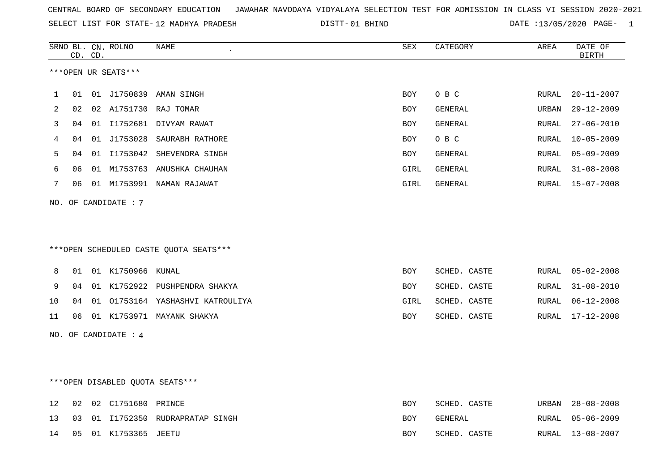| CENTRAL BOARD OF SECONDARY EDUCATION – JAWAHAR NAVODAYA VIDYALAYA SELECTION TEST FOR ADMISSION IN CLASS VI SESSION 2020-2021 |  |
|------------------------------------------------------------------------------------------------------------------------------|--|
|------------------------------------------------------------------------------------------------------------------------------|--|

SELECT LIST FOR STATE-12 MADHYA PRADESH

12 MADHYA PRADESH 01 BHIND DATE :13/05/2020 PAGE- 1

|    |    | CD. CD. | SRNO BL. CN. ROLNO              | <b>NAME</b>                            | <b>SEX</b> | CATEGORY     | AREA  | DATE OF<br><b>BIRTH</b> |
|----|----|---------|---------------------------------|----------------------------------------|------------|--------------|-------|-------------------------|
|    |    |         | ***OPEN UR SEATS***             |                                        |            |              |       |                         |
| 1  | 01 |         |                                 | 01 J1750839 AMAN SINGH                 | <b>BOY</b> | O B C        | RURAL | $20 - 11 - 2007$        |
| 2  | 02 |         |                                 | 02 A1751730 RAJ TOMAR                  | BOY        | GENERAL      | URBAN | $29 - 12 - 2009$        |
| 3  | 04 |         |                                 | 01 I1752681 DIVYAM RAWAT               | BOY        | GENERAL      | RURAL | $27 - 06 - 2010$        |
| 4  | 04 |         |                                 | 01 J1753028 SAURABH RATHORE            | <b>BOY</b> | O B C        | RURAL | $10 - 05 - 2009$        |
| 5  | 04 |         |                                 | 01 I1753042 SHEVENDRA SINGH            | <b>BOY</b> | GENERAL      | RURAL | $05 - 09 - 2009$        |
| 6  | 06 |         |                                 | 01 M1753763 ANUSHKA CHAUHAN            | GIRL       | GENERAL      | RURAL | $31 - 08 - 2008$        |
| 7  | 06 |         |                                 | 01 M1753991 NAMAN RAJAWAT              | GIRL       | GENERAL      |       | RURAL 15-07-2008        |
|    |    |         | NO. OF CANDIDATE : $7$          |                                        |            |              |       |                         |
|    |    |         |                                 |                                        |            |              |       |                         |
|    |    |         |                                 |                                        |            |              |       |                         |
|    |    |         |                                 | ***OPEN SCHEDULED CASTE QUOTA SEATS*** |            |              |       |                         |
| 8  | 01 |         | 01 K1750966 KUNAL               |                                        | <b>BOY</b> | SCHED. CASTE | RURAL | $05 - 02 - 2008$        |
| 9  | 04 |         |                                 | 01 K1752922 PUSHPENDRA SHAKYA          | <b>BOY</b> | SCHED. CASTE | RURAL | $31 - 08 - 2010$        |
| 10 | 04 |         |                                 | 01 01753164 YASHASHVI KATROULIYA       | GIRL       | SCHED. CASTE | RURAL | $06 - 12 - 2008$        |
| 11 | 06 |         |                                 | 01 K1753971 MAYANK SHAKYA              | <b>BOY</b> | SCHED. CASTE | RURAL | $17 - 12 - 2008$        |
|    |    |         | NO. OF CANDIDATE : 4            |                                        |            |              |       |                         |
|    |    |         |                                 |                                        |            |              |       |                         |
|    |    |         |                                 |                                        |            |              |       |                         |
|    |    |         | ***OPEN DISABLED QUOTA SEATS*** |                                        |            |              |       |                         |
| 12 | 02 |         | 02 C1751680 PRINCE              |                                        | <b>BOY</b> | SCHED. CASTE | URBAN | $28 - 08 - 2008$        |
| 13 | 03 |         |                                 | 01 I1752350 RUDRAPRATAP SINGH          | <b>BOY</b> | GENERAL      | RURAL | $05 - 06 - 2009$        |
| 14 | 05 |         | 01 K1753365 JEETU               |                                        | <b>BOY</b> | SCHED. CASTE | RURAL | $13 - 08 - 2007$        |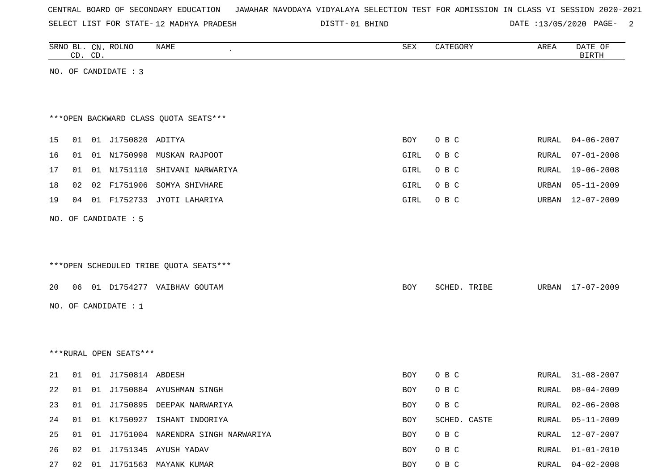|  |  |  |  | CENTRAL BOARD OF SECONDARY EDUCATION – JAWAHAR NAVODAYA VIDYALAYA SELECTION TEST FOR ADMISSION IN CLASS VI SESSION 2020-2021 |  |  |  |  |  |  |  |  |  |  |  |  |
|--|--|--|--|------------------------------------------------------------------------------------------------------------------------------|--|--|--|--|--|--|--|--|--|--|--|--|
|--|--|--|--|------------------------------------------------------------------------------------------------------------------------------|--|--|--|--|--|--|--|--|--|--|--|--|

SELECT LIST FOR STATE- DISTT- 12 MADHYA PRADESH

DISTT-01 BHIND DATE :13/05/2020 PAGE- 2

|    |    | CD. CD. | SRNO BL. CN. ROLNO     | NAME                                   | SEX        | CATEGORY     | AREA  | DATE OF<br><b>BIRTH</b> |
|----|----|---------|------------------------|----------------------------------------|------------|--------------|-------|-------------------------|
|    |    |         | NO. OF CANDIDATE : 3   |                                        |            |              |       |                         |
|    |    |         |                        |                                        |            |              |       |                         |
|    |    |         |                        |                                        |            |              |       |                         |
|    |    |         |                        | *** OPEN BACKWARD CLASS QUOTA SEATS*** |            |              |       |                         |
| 15 | 01 |         | 01 J1750820 ADITYA     |                                        | <b>BOY</b> | O B C        | RURAL | $04 - 06 - 2007$        |
| 16 | 01 |         | 01 N1750998            | MUSKAN RAJPOOT                         | GIRL       | O B C        | RURAL | $07 - 01 - 2008$        |
| 17 | 01 |         |                        | 01 N1751110 SHIVANI NARWARIYA          | GIRL       | O B C        | RURAL | 19-06-2008              |
| 18 | 02 |         | 02 F1751906            | SOMYA SHIVHARE                         | GIRL       | O B C        | URBAN | $05 - 11 - 2009$        |
| 19 | 04 |         | 01 F1752733            | JYOTI LAHARIYA                         | GIRL       | O B C        | URBAN | $12 - 07 - 2009$        |
|    |    |         | NO. OF CANDIDATE : 5   |                                        |            |              |       |                         |
|    |    |         |                        |                                        |            |              |       |                         |
|    |    |         |                        |                                        |            |              |       |                         |
|    |    |         |                        | ***OPEN SCHEDULED TRIBE QUOTA SEATS*** |            |              |       |                         |
|    |    |         |                        |                                        |            |              |       |                         |
| 20 | 06 |         |                        | 01 D1754277 VAIBHAV GOUTAM             | <b>BOY</b> | SCHED. TRIBE | URBAN | 17-07-2009              |
|    |    |         | NO. OF CANDIDATE : 1   |                                        |            |              |       |                         |
|    |    |         |                        |                                        |            |              |       |                         |
|    |    |         |                        |                                        |            |              |       |                         |
|    |    |         | ***RURAL OPEN SEATS*** |                                        |            |              |       |                         |
| 21 | 01 |         | 01 J1750814 ABDESH     |                                        | BOY        | O B C        | RURAL | $31 - 08 - 2007$        |
| 22 | 01 |         |                        | 01 J1750884 AYUSHMAN SINGH             | <b>BOY</b> | O B C        | RURAL | $08 - 04 - 2009$        |
| 23 | 01 |         |                        | 01 J1750895 DEEPAK NARWARIYA           | BOY        | O B C        | RURAL | $02 - 06 - 2008$        |
| 24 | 01 |         |                        | 01 K1750927 ISHANT INDORIYA            | BOY        | SCHED. CASTE | RURAL | $05 - 11 - 2009$        |
| 25 | 01 |         |                        | 01 J1751004 NARENDRA SINGH NARWARIYA   | BOY        | O B C        | RURAL | $12 - 07 - 2007$        |
| 26 | 02 |         |                        | 01 J1751345 AYUSH YADAV                | BOY        | O B C        | RURAL | $01 - 01 - 2010$        |
| 27 |    |         |                        | 02 01 J1751563 MAYANK KUMAR            | BOY        | O B C        |       | RURAL 04-02-2008        |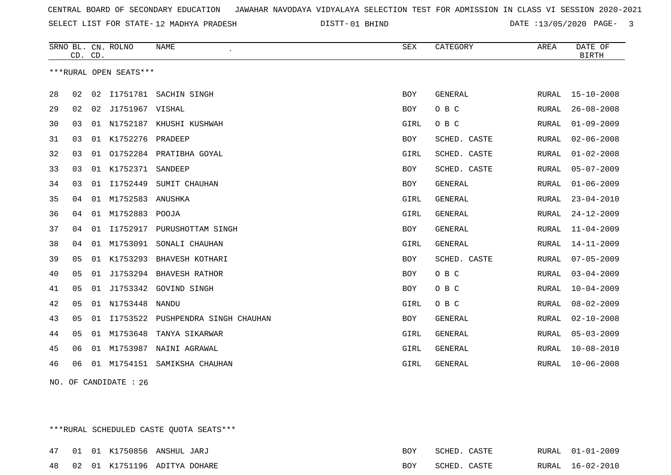SELECT LIST FOR STATE- DISTT- 12 MADHYA PRADESH

01 BHIND DATE :13/05/2020 PAGE- 3

|    | CD. CD.        |    | SRNO BL. CN. ROLNO     | <b>NAME</b>              | <b>SEX</b> | CATEGORY       | AREA         | DATE OF<br><b>BIRTH</b> |
|----|----------------|----|------------------------|--------------------------|------------|----------------|--------------|-------------------------|
|    |                |    | ***RURAL OPEN SEATS*** |                          |            |                |              |                         |
|    |                |    |                        |                          |            |                |              |                         |
| 28 | 02             | 02 |                        | I1751781 SACHIN SINGH    | <b>BOY</b> | GENERAL        | RURAL        | $15 - 10 - 2008$        |
| 29 | 02             | 02 | J1751967 VISHAL        |                          | <b>BOY</b> | O B C          | RURAL        | $26 - 08 - 2008$        |
| 30 | 03             | 01 | N1752187               | KHUSHI KUSHWAH           | GIRL       | O B C          | RURAL        | $01 - 09 - 2009$        |
| 31 | 03             | 01 | K1752276               | PRADEEP                  | BOY        | SCHED. CASTE   | RURAL        | $02 - 06 - 2008$        |
| 32 | 03             | 01 |                        | 01752284 PRATIBHA GOYAL  | GIRL       | SCHED. CASTE   | RURAL        | $01 - 02 - 2008$        |
| 33 | 03             |    | 01 K1752371            | SANDEEP                  | <b>BOY</b> | SCHED. CASTE   | RURAL        | $05 - 07 - 2009$        |
| 34 | 03             | 01 | I1752449               | SUMIT CHAUHAN            | <b>BOY</b> | GENERAL        | RURAL        | $01 - 06 - 2009$        |
| 35 | 04             | 01 | M1752583               | ANUSHKA                  | GIRL       | <b>GENERAL</b> | <b>RURAL</b> | $23 - 04 - 2010$        |
| 36 | 04             | 01 | M1752883               | POOJA                    | GIRL       | <b>GENERAL</b> | <b>RURAL</b> | $24 - 12 - 2009$        |
| 37 | 04             | 01 | I1752917               | PURUSHOTTAM SINGH        | BOY        | GENERAL        | RURAL        | $11 - 04 - 2009$        |
| 38 | 04             | 01 | M1753091               | SONALI CHAUHAN           | GIRL       | <b>GENERAL</b> | <b>RURAL</b> | $14 - 11 - 2009$        |
| 39 | 05             | 01 | K1753293               | BHAVESH KOTHARI          | <b>BOY</b> | SCHED. CASTE   | <b>RURAL</b> | $07 - 05 - 2009$        |
| 40 | 0 <sub>5</sub> | 01 | J1753294               | BHAVESH RATHOR           | BOY        | O B C          | RURAL        | $03 - 04 - 2009$        |
| 41 | 05             | 01 |                        | J1753342 GOVIND SINGH    | <b>BOY</b> | O B C          | RURAL        | $10 - 04 - 2009$        |
| 42 | 05             | 01 | N1753448               | <b>NANDU</b>             | GIRL       | O B C          | <b>RURAL</b> | $08 - 02 - 2009$        |
| 43 | 05             | 01 | I1753522               | PUSHPENDRA SINGH CHAUHAN | BOY        | GENERAL        | RURAL        | $02 - 10 - 2008$        |
| 44 | 05             | 01 | M1753648               | TANYA SIKARWAR           | GIRL       | <b>GENERAL</b> | RURAL        | $05 - 03 - 2009$        |
| 45 | 06             | 01 | M1753987               | NAINI AGRAWAL            | GIRL       | <b>GENERAL</b> | <b>RURAL</b> | $10 - 08 - 2010$        |
| 46 | 06             | 01 | M1754151               | SAMIKSHA CHAUHAN         | GIRL       | <b>GENERAL</b> | RURAL        | $10 - 06 - 2008$        |
|    |                |    |                        |                          |            |                |              |                         |

NO. OF CANDIDATE : 26

\*\*\*RURAL SCHEDULED CASTE QUOTA SEATS\*\*\*

|  |  | 47 01 01 K1750856 ANSHUL JARJ   | <b>BOY</b> | SCHED. CASTE | RURAL 01-01-2009 |
|--|--|---------------------------------|------------|--------------|------------------|
|  |  | 48 02 01 K1751196 ADITYA DOHARE | BOY        | SCHED. CASTE | RURAL 16-02-2010 |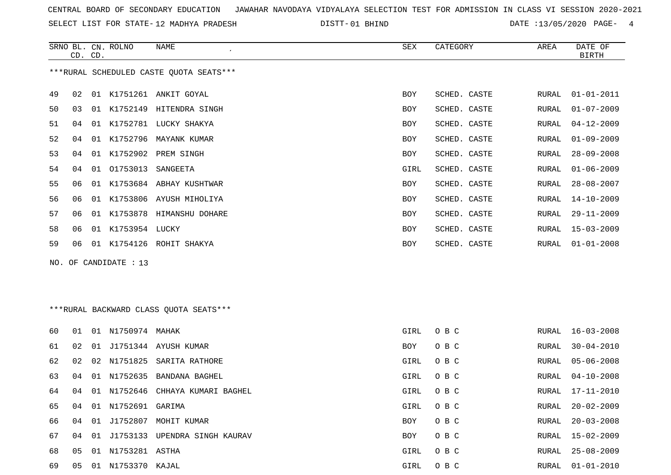SELECT LIST FOR STATE- DISTT- 12 MADHYA PRADESH

01 BHIND DATE :13/05/2020 PAGE- 4

|    |    | CD. CD. | SRNO BL. CN. ROLNO | NAME                                    | SEX        | CATEGORY     | AREA  | DATE OF<br><b>BIRTH</b> |
|----|----|---------|--------------------|-----------------------------------------|------------|--------------|-------|-------------------------|
|    |    |         |                    | ***RURAL SCHEDULED CASTE QUOTA SEATS*** |            |              |       |                         |
| 49 | 02 |         |                    | 01 K1751261 ANKIT GOYAL                 | <b>BOY</b> | SCHED. CASTE | RURAL | $01 - 01 - 2011$        |
| 50 | 03 | 01      |                    | K1752149 HITENDRA SINGH                 | <b>BOY</b> | SCHED. CASTE | RURAL | $01 - 07 - 2009$        |
| 51 | 04 |         |                    | 01 K1752781 LUCKY SHAKYA                | <b>BOY</b> | SCHED. CASTE | RURAL | $04 - 12 - 2009$        |
| 52 | 04 |         |                    | 01 K1752796 MAYANK KUMAR                | <b>BOY</b> | SCHED. CASTE | RURAL | $01 - 09 - 2009$        |
| 53 | 04 |         |                    | 01 K1752902 PREM SINGH                  | <b>BOY</b> | SCHED. CASTE | RURAL | $28 - 09 - 2008$        |
| 54 | 04 |         | 01 01753013        | SANGEETA                                | GIRL       | SCHED. CASTE | RURAL | $01 - 06 - 2009$        |
| 55 | 06 | 01      |                    | K1753684 ABHAY KUSHTWAR                 | <b>BOY</b> | SCHED. CASTE | RURAL | $28 - 08 - 2007$        |
| 56 | 06 | 01      |                    | K1753806 AYUSH MIHOLIYA                 | <b>BOY</b> | SCHED. CASTE | RURAL | $14 - 10 - 2009$        |
| 57 | 06 |         |                    | 01 K1753878 HIMANSHU DOHARE             | BOY        | SCHED. CASTE | RURAL | $29 - 11 - 2009$        |
| 58 | 06 | 01      | K1753954 LUCKY     |                                         | <b>BOY</b> | SCHED. CASTE | RURAL | $15 - 03 - 2009$        |
| 59 | 06 | 01      |                    | K1754126 ROHIT SHAKYA                   | <b>BOY</b> | SCHED. CASTE | RURAL | $01 - 01 - 2008$        |
|    |    |         |                    |                                         |            |              |       |                         |

NO. OF CANDIDATE : 13

# \*\*\*RURAL BACKWARD CLASS QUOTA SEATS\*\*\*

| 60 | 01 | 01 | N1750974 MAHAK     |                            | GIRL       | O B C | RURAL | 16-03-2008       |
|----|----|----|--------------------|----------------------------|------------|-------|-------|------------------|
| 61 | 02 | 01 |                    | J1751344 AYUSH KUMAR       | BOY        | O B C | RURAL | $30 - 04 - 2010$ |
| 62 | 02 |    |                    | 02 N1751825 SARITA RATHORE | GIRL       | O B C | RURAL | 05-06-2008       |
| 63 | 04 |    |                    | 01 N1752635 BANDANA BAGHEL | GIRL       | O B C | RURAL | $04 - 10 - 2008$ |
| 64 | 04 |    | 01 N1752646        | CHHAYA KUMARI BAGHEL       | GIRL       | O B C | RURAL | 17-11-2010       |
| 65 | 04 |    | 01 N1752691 GARIMA |                            | GIRL       | O B C | RURAL | $20 - 02 - 2009$ |
| 66 | 04 | 01 | J1752807           | MOHIT KUMAR                | <b>BOY</b> | O B C | RURAL | $20 - 03 - 2008$ |
| 67 | 04 | 01 | J1753133           | UPENDRA SINGH KAURAV       | BOY        | O B C | RURAL | $15 - 02 - 2009$ |
| 68 | 05 |    | 01 N1753281 ASTHA  |                            | GIRL       | O B C | RURAL | 25-08-2009       |
| 69 | 05 |    | 01 N1753370 KAJAL  |                            | GIRL       | O B C | RURAL | 01-01-2010       |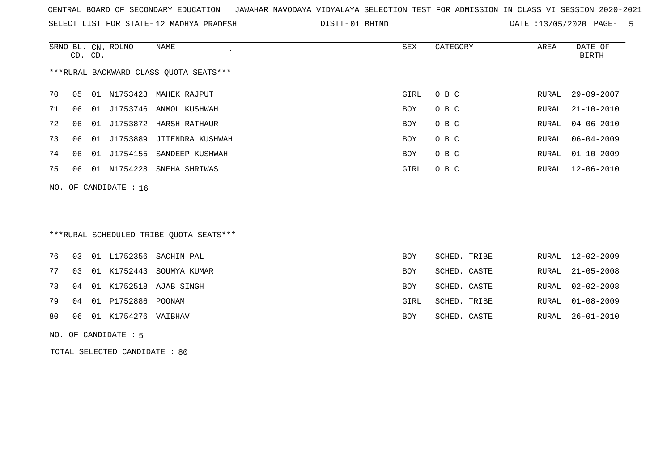SELECT LIST FOR STATE- DISTT- 12 MADHYA PRADESH

01 BHIND DATE :13/05/2020 PAGE- 5

|    | CD. CD. |    | SRNO BL. CN. ROLNO      | NAME                                   | SEX        | CATEGORY | AREA  | DATE OF<br>BIRTH |
|----|---------|----|-------------------------|----------------------------------------|------------|----------|-------|------------------|
|    |         |    |                         | ***RURAL BACKWARD CLASS OUOTA SEATS*** |            |          |       |                  |
| 70 | 05      |    |                         | 01 N1753423 MAHEK RAJPUT               | GIRL       | O B C    | RURAL | $29 - 09 - 2007$ |
| 71 | 06      |    |                         | 01 J1753746 ANMOL KUSHWAH              | <b>BOY</b> | O B C    | RURAL | $21 - 10 - 2010$ |
| 72 |         | 01 |                         | J1753872 HARSH RATHAUR                 | <b>BOY</b> | O B C    | RURAL | 04-06-2010       |
| 73 | 06      | 01 | J1753889                | JITENDRA KUSHWAH                       | BOY        | O B C    | RURAL | $06 - 04 - 2009$ |
| 74 | 06      | 01 | J1754155                | SANDEEP KUSHWAH                        | <b>BOY</b> | O B C    | RURAL | $01 - 10 - 2009$ |
| 75 | 06      |    |                         | 01 N1754228 SNEHA SHRIWAS              | GIRL       | O B C    |       | RURAL 12-06-2010 |
|    |         |    | NO. OF CANDIDATE : $16$ |                                        |            |          |       |                  |

# \*\*\*RURAL SCHEDULED TRIBE QUOTA SEATS\*\*\*

| RURAL 21-05-2008<br>SCHED. CASTE |
|----------------------------------|
| RURAL 02-02-2008<br>SCHED. CASTE |
| RURAL 01-08-2009<br>SCHED. TRIBE |
| RURAL 26-01-2010<br>SCHED. CASTE |
|                                  |

#### NO. OF CANDIDATE : 5

TOTAL SELECTED CANDIDATE : 80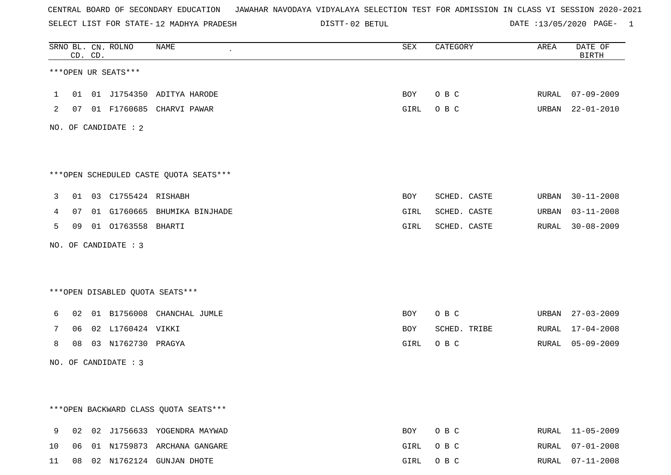SELECT LIST FOR STATE- DISTT- 12 MADHYA PRADESH

02 BETUL DATE :13/05/2020 PAGE- 1

|              |    | CD. CD. | SRNO BL. CN. ROLNO     | NAME                                   | SEX  | CATEGORY     | AREA  | DATE OF<br><b>BIRTH</b> |
|--------------|----|---------|------------------------|----------------------------------------|------|--------------|-------|-------------------------|
|              |    |         | ***OPEN UR SEATS***    |                                        |      |              |       |                         |
| $\mathbf{1}$ |    |         |                        | 01 01 J1754350 ADITYA HARODE           | BOY  | O B C        |       | RURAL 07-09-2009        |
| 2            |    |         |                        | 07 01 F1760685 CHARVI PAWAR            | GIRL | O B C        |       | URBAN 22-01-2010        |
|              |    |         | NO. OF CANDIDATE : 2   |                                        |      |              |       |                         |
|              |    |         |                        |                                        |      |              |       |                         |
|              |    |         |                        | ***OPEN SCHEDULED CASTE QUOTA SEATS*** |      |              |       |                         |
| 3            |    |         | 01 03 C1755424 RISHABH |                                        | BOY  | SCHED. CASTE | URBAN | $30 - 11 - 2008$        |
| 4            | 07 |         |                        | 01 G1760665 BHUMIKA BINJHADE           | GIRL | SCHED. CASTE | URBAN | $03 - 11 - 2008$        |
| 5            |    |         | 09 01 01763558 BHARTI  |                                        | GIRL | SCHED. CASTE | RURAL | $30 - 08 - 2009$        |
|              |    |         | NO. OF CANDIDATE : 3   |                                        |      |              |       |                         |
|              |    |         |                        |                                        |      |              |       |                         |
|              |    |         |                        | ***OPEN DISABLED QUOTA SEATS***        |      |              |       |                         |
| 6            |    |         |                        | 02 01 B1756008 CHANCHAL JUMLE          | BOY  | O B C        |       | URBAN 27-03-2009        |
| 7            |    |         | 06 02 L1760424 VIKKI   |                                        | BOY  | SCHED. TRIBE | RURAL | 17-04-2008              |
| 8            | 08 |         | 03 N1762730 PRAGYA     |                                        | GIRL | O B C        | RURAL | $05 - 09 - 2009$        |
|              |    |         | NO. OF CANDIDATE : 3   |                                        |      |              |       |                         |
|              |    |         |                        |                                        |      |              |       |                         |
|              |    |         |                        |                                        |      |              |       |                         |
|              |    |         |                        | *** OPEN BACKWARD CLASS QUOTA SEATS*** |      |              |       |                         |
| 9            | 02 |         |                        | 02 J1756633 YOGENDRA MAYWAD            | BOY  | O B C        | RURAL | $11 - 05 - 2009$        |
| 10           | 06 |         |                        | 01 N1759873 ARCHANA GANGARE            | GIRL | O B C        | RURAL | $07 - 01 - 2008$        |
| 11           |    |         |                        | 08 02 N1762124 GUNJAN DHOTE            | GIRL | O B C        |       | RURAL 07-11-2008        |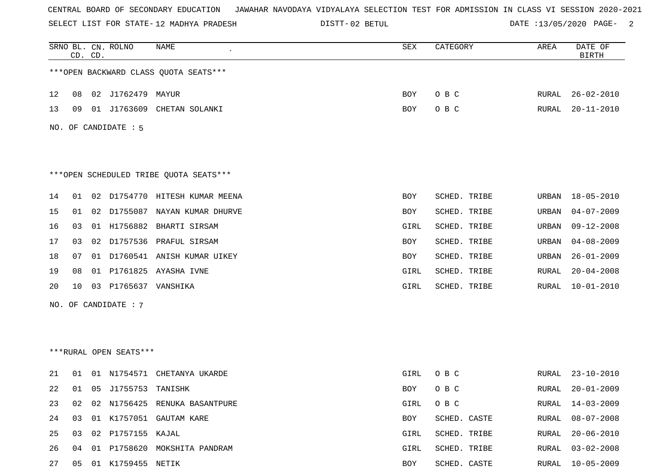SELECT LIST FOR STATE- DISTT- 12 MADHYA PRADESH

02 BETUL DATE :13/05/2020 PAGE- 2

|    | CD. CD. |    | SRNO BL. CN. ROLNO     | <b>NAME</b>                            | SEX        | CATEGORY     | AREA         | DATE OF<br><b>BIRTH</b> |
|----|---------|----|------------------------|----------------------------------------|------------|--------------|--------------|-------------------------|
|    |         |    |                        | *** OPEN BACKWARD CLASS QUOTA SEATS*** |            |              |              |                         |
| 12 | 08      |    | 02 J1762479 MAYUR      |                                        | BOY        | O B C        | RURAL        | $26 - 02 - 2010$        |
| 13 | 09      |    | 01 J1763609            | CHETAN SOLANKI                         | BOY        | O B C        | RURAL        | $20 - 11 - 2010$        |
|    |         |    | NO. OF CANDIDATE : 5   |                                        |            |              |              |                         |
|    |         |    |                        |                                        |            |              |              |                         |
|    |         |    |                        | ***OPEN SCHEDULED TRIBE QUOTA SEATS*** |            |              |              |                         |
| 14 | 01      | 02 |                        | D1754770 HITESH KUMAR MEENA            | <b>BOY</b> | SCHED. TRIBE | URBAN        | $18 - 05 - 2010$        |
| 15 | 01      | 02 | D1755087               | NAYAN KUMAR DHURVE                     | BOY        | SCHED. TRIBE | URBAN        | $04 - 07 - 2009$        |
| 16 | 03      |    |                        | 01 H1756882 BHARTI SIRSAM              | GIRL       | SCHED. TRIBE | URBAN        | $09 - 12 - 2008$        |
| 17 | 03      |    |                        | 02 D1757536 PRAFUL SIRSAM              | BOY        | SCHED. TRIBE | URBAN        | $04 - 08 - 2009$        |
| 18 | 07      |    |                        | 01 D1760541 ANISH KUMAR UIKEY          | BOY        | SCHED. TRIBE | URBAN        | $26 - 01 - 2009$        |
| 19 | 08      |    |                        | 01 P1761825 AYASHA IVNE                | GIRL       | SCHED. TRIBE | RURAL        | $20 - 04 - 2008$        |
| 20 | 10      | 03 | P1765637 VANSHIKA      |                                        | GIRL       | SCHED. TRIBE | RURAL        | $10 - 01 - 2010$        |
|    |         |    | NO. OF CANDIDATE : 7   |                                        |            |              |              |                         |
|    |         |    |                        |                                        |            |              |              |                         |
|    |         |    |                        |                                        |            |              |              |                         |
|    |         |    | ***RURAL OPEN SEATS*** |                                        |            |              |              |                         |
| 21 | 01      |    |                        | 01 N1754571 CHETANYA UKARDE            | GIRL       | O B C        | RURAL        | $23 - 10 - 2010$        |
| 22 | 01      |    | 05 J1755753 TANISHK    |                                        | BOY        | O B C        | RURAL        | $20 - 01 - 2009$        |
| 23 | 02      |    |                        | 02 N1756425 RENUKA BASANTPURE          | GIRL       | O B C        | RURAL        | $14 - 03 - 2009$        |
| 24 | 03      |    |                        | 01 K1757051 GAUTAM KARE                | BOY        | SCHED. CASTE | RURAL        | $08 - 07 - 2008$        |
| 25 | 03      |    | 02 P1757155 KAJAL      |                                        | GIRL       | SCHED. TRIBE | RURAL        | $20 - 06 - 2010$        |
| 26 | 04      |    |                        | 01 P1758620 MOKSHITA PANDRAM           | GIRL       | SCHED. TRIBE | <b>RURAL</b> | $03 - 02 - 2008$        |
| 27 | 05      |    | 01 K1759455 NETIK      |                                        | BOY        | SCHED. CASTE | RURAL        | $10 - 05 - 2009$        |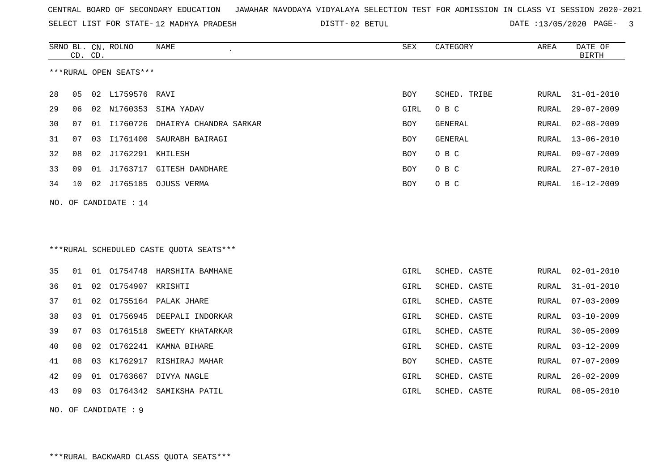SELECT LIST FOR STATE- DISTT- 12 MADHYA PRADESH

02 BETUL DATE :13/05/2020 PAGE- 3

|    | CD. CD. |    | SRNO BL. CN. ROLNO      | <b>NAME</b>                             | <b>SEX</b> | CATEGORY       | AREA         | DATE OF<br><b>BIRTH</b> |
|----|---------|----|-------------------------|-----------------------------------------|------------|----------------|--------------|-------------------------|
|    |         |    | ***RURAL OPEN SEATS***  |                                         |            |                |              |                         |
| 28 | 05      |    | 02 L1759576 RAVI        |                                         | <b>BOY</b> | SCHED. TRIBE   | RURAL        | $31 - 01 - 2010$        |
| 29 | 06      | 02 | N1760353                | SIMA YADAV                              | GIRL       | O B C          | RURAL        | $29 - 07 - 2009$        |
| 30 | 07      | 01 | I1760726                | DHAIRYA CHANDRA SARKAR                  | <b>BOY</b> | <b>GENERAL</b> | RURAL        | $02 - 08 - 2009$        |
| 31 | 07      | 03 | I1761400                | SAURABH BAIRAGI                         | <b>BOY</b> | GENERAL        | RURAL        | $13 - 06 - 2010$        |
| 32 | 08      | 02 | J1762291 KHILESH        |                                         | <b>BOY</b> | O B C          | RURAL        | $09 - 07 - 2009$        |
| 33 | 09      | 01 |                         | J1763717 GITESH DANDHARE                | <b>BOY</b> | O B C          | RURAL        | $27 - 07 - 2010$        |
| 34 | 10      |    |                         | 02 J1765185 OJUSS VERMA                 | <b>BOY</b> | O B C          | RURAL        | 16-12-2009              |
|    |         |    | NO. OF CANDIDATE : $14$ |                                         |            |                |              |                         |
|    |         |    |                         |                                         |            |                |              |                         |
|    |         |    |                         |                                         |            |                |              |                         |
|    |         |    |                         | ***RURAL SCHEDULED CASTE QUOTA SEATS*** |            |                |              |                         |
| 35 | 01      |    |                         | 01 01754748 HARSHITA BAMHANE            | GIRL       | SCHED. CASTE   | RURAL        | $02 - 01 - 2010$        |
| 36 | 01      | 02 | 01754907 KRISHTI        |                                         | GIRL       | SCHED. CASTE   | <b>RURAL</b> | $31 - 01 - 2010$        |
| 37 | 01      |    |                         | 02 01755164 PALAK JHARE                 | GIRL       | SCHED. CASTE   | <b>RURAL</b> | $07 - 03 - 2009$        |
| 38 | 03      |    |                         | 01 01756945 DEEPALI INDORKAR            | GIRL       | SCHED. CASTE   | <b>RURAL</b> | $03 - 10 - 2009$        |
| 39 | 07      | 03 |                         | 01761518 SWEETY KHATARKAR               | GIRL       | SCHED. CASTE   | <b>RURAL</b> | $30 - 05 - 2009$        |
| 40 | 08      | 02 |                         | 01762241 KAMNA BIHARE                   | GIRL       | SCHED. CASTE   | <b>RURAL</b> | $03 - 12 - 2009$        |
| 41 | 08      | 03 |                         | K1762917 RISHIRAJ MAHAR                 | <b>BOY</b> | SCHED. CASTE   | <b>RURAL</b> | $07 - 07 - 2009$        |
| 42 | 09      | 01 |                         | 01763667 DIVYA NAGLE                    | GIRL       | SCHED. CASTE   | RURAL        | $26 - 02 - 2009$        |
| 43 | 09      | 03 | 01764342                | SAMIKSHA PATIL                          | GIRL       | SCHED. CASTE   | RURAL        | $08 - 05 - 2010$        |
|    |         |    |                         |                                         |            |                |              |                         |

NO. OF CANDIDATE : 9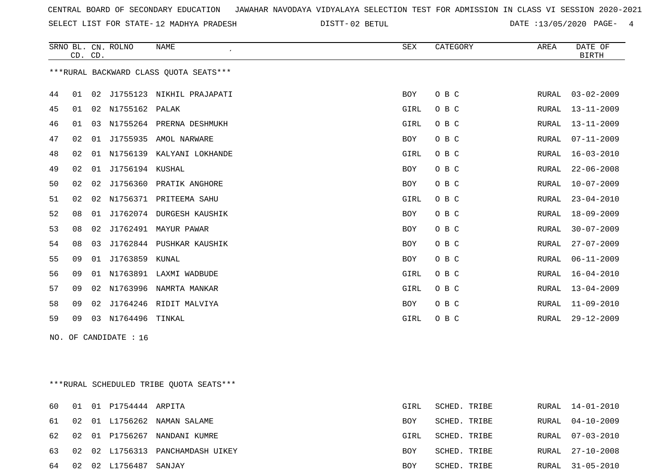SELECT LIST FOR STATE- DISTT- 12 MADHYA PRADESH

02 BETUL DATE :13/05/2020 PAGE- 4

|    |    | CD. CD. | SRNO BL. CN. ROLNO    | <b>NAME</b>                             | SEX        | CATEGORY | AREA  | DATE OF<br><b>BIRTH</b> |
|----|----|---------|-----------------------|-----------------------------------------|------------|----------|-------|-------------------------|
|    |    |         |                       | *** RURAL BACKWARD CLASS QUOTA SEATS*** |            |          |       |                         |
| 44 | 01 | 02      |                       | J1755123 NIKHIL PRAJAPATI               | <b>BOY</b> | O B C    | RURAL | $03 - 02 - 2009$        |
| 45 | 01 | 02      | N1755162 PALAK        |                                         | GIRL       | O B C    | RURAL | $13 - 11 - 2009$        |
| 46 | 01 | 03      |                       | N1755264 PRERNA DESHMUKH                | GIRL       | O B C    | RURAL | $13 - 11 - 2009$        |
| 47 | 02 | 01      | J1755935              | AMOL NARWARE                            | <b>BOY</b> | O B C    | RURAL | $07 - 11 - 2009$        |
| 48 | 02 | 01      | N1756139              | KALYANI LOKHANDE                        | GIRL       | O B C    | RURAL | $16 - 03 - 2010$        |
| 49 | 02 | 01      | J1756194 KUSHAL       |                                         | <b>BOY</b> | O B C    | RURAL | $22 - 06 - 2008$        |
| 50 | 02 | 02      |                       | J1756360 PRATIK ANGHORE                 | <b>BOY</b> | O B C    | RURAL | $10 - 07 - 2009$        |
| 51 | 02 |         |                       | 02 N1756371 PRITEEMA SAHU               | GIRL       | O B C    | RURAL | $23 - 04 - 2010$        |
| 52 | 08 | 01      |                       | J1762074 DURGESH KAUSHIK                | BOY        | O B C    | RURAL | $18 - 09 - 2009$        |
| 53 | 08 | 02      | J1762491              | MAYUR PAWAR                             | <b>BOY</b> | O B C    | RURAL | $30 - 07 - 2009$        |
| 54 | 08 | 03      |                       | J1762844 PUSHKAR KAUSHIK                | <b>BOY</b> | O B C    | RURAL | $27 - 07 - 2009$        |
| 55 | 09 | 01      | J1763859              | KUNAL                                   | BOY        | O B C    | RURAL | $06 - 11 - 2009$        |
| 56 | 09 | 01      |                       | N1763891 LAXMI WADBUDE                  | GIRL       | O B C    | RURAL | $16 - 04 - 2010$        |
| 57 | 09 | 02      |                       | N1763996 NAMRTA MANKAR                  | GIRL       | O B C    | RURAL | $13 - 04 - 2009$        |
| 58 | 09 | 02      |                       | J1764246 RIDIT MALVIYA                  | BOY        | O B C    | RURAL | $11 - 09 - 2010$        |
| 59 | 09 | 03      | N1764496              | TINKAL                                  | GIRL       | O B C    | RURAL | $29 - 12 - 2009$        |
|    |    |         | NO. OF CANDIDATE : 16 |                                         |            |          |       |                         |

\*\*\*RURAL SCHEDULED TRIBE QUOTA SEATS\*\*\*

| 60    |    | 01 01 P1754444 ARPITA |                                  | GIRL       | SCHED. TRIBE | RURAL 14-01-2010 |
|-------|----|-----------------------|----------------------------------|------------|--------------|------------------|
| 61 02 |    |                       | 01 L1756262 NAMAN SALAME         | BOY        | SCHED. TRIBE | RURAL 04-10-2009 |
|       |    |                       | 62 02 01 P1756267 NANDANI KUMRE  | GIRL       | SCHED. TRIBE | RURAL 07-03-2010 |
| 63    |    |                       | 02 02 L1756313 PANCHAMDASH UIKEY | <b>BOY</b> | SCHED. TRIBE | RURAL 27-10-2008 |
| 64    | 02 | 02 L1756487 SANJAY    |                                  | BOY        | SCHED. TRIBE | RURAL 31-05-2010 |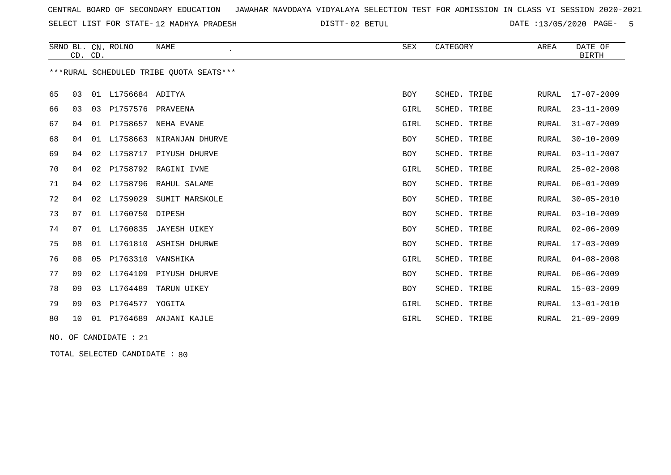SELECT LIST FOR STATE- DISTT- 12 MADHYA PRADESH

02 BETUL DATE :13/05/2020 PAGE- 5

|                                         | CD. CD. |    | SRNO BL. CN. ROLNO | <b>NAME</b>              | SEX        | CATEGORY     | AREA  | DATE OF<br><b>BIRTH</b> |
|-----------------------------------------|---------|----|--------------------|--------------------------|------------|--------------|-------|-------------------------|
| ***RURAL SCHEDULED TRIBE OUOTA SEATS*** |         |    |                    |                          |            |              |       |                         |
| 65                                      | 03      |    | 01 L1756684 ADITYA |                          | <b>BOY</b> | SCHED. TRIBE | RURAL | $17 - 07 - 2009$        |
| 66                                      | 03      | 03 | P1757576 PRAVEENA  |                          | GIRL       | SCHED. TRIBE | RURAL | $23 - 11 - 2009$        |
| 67                                      | 04      | 01 |                    | P1758657 NEHA EVANE      | GIRL       | SCHED. TRIBE | RURAL | $31 - 07 - 2009$        |
| 68                                      | 04      | 01 |                    | L1758663 NIRANJAN DHURVE | <b>BOY</b> | SCHED. TRIBE | RURAL | $30 - 10 - 2009$        |
| 69                                      | 04      | 02 | L1758717           | PIYUSH DHURVE            | <b>BOY</b> | SCHED. TRIBE | RURAL | $03 - 11 - 2007$        |
| 70                                      | 04      | 02 |                    | P1758792 RAGINI IVNE     | GIRL       | SCHED. TRIBE | RURAL | $25 - 02 - 2008$        |
| 71                                      | 04      | 02 |                    | L1758796 RAHUL SALAME    | <b>BOY</b> | SCHED. TRIBE | RURAL | $06 - 01 - 2009$        |
| 72                                      | 04      | 02 | L1759029           | SUMIT MARSKOLE           | <b>BOY</b> | SCHED. TRIBE | RURAL | $30 - 05 - 2010$        |
| 73                                      | 07      |    | 01 L1760750        | DIPESH                   | <b>BOY</b> | SCHED. TRIBE | RURAL | $03 - 10 - 2009$        |
| 74                                      | 07      | 01 |                    | L1760835 JAYESH UIKEY    | <b>BOY</b> | SCHED. TRIBE | RURAL | $02 - 06 - 2009$        |
| 75                                      | 08      | 01 |                    | L1761810 ASHISH DHURWE   | <b>BOY</b> | SCHED. TRIBE | RURAL | $17 - 03 - 2009$        |
| 76                                      | 08      | 05 | P1763310           | VANSHIKA                 | GIRL       | SCHED. TRIBE | RURAL | $04 - 08 - 2008$        |
| 77                                      | 09      | 02 | L1764109           | PIYUSH DHURVE            | <b>BOY</b> | SCHED. TRIBE | RURAL | $06 - 06 - 2009$        |
| 78                                      | 09      |    |                    | 03 L1764489 TARUN UIKEY  | <b>BOY</b> | SCHED. TRIBE | RURAL | $15 - 03 - 2009$        |
| 79                                      | 09      |    | 03 P1764577 YOGITA |                          | GIRL       | SCHED. TRIBE | RURAL | $13 - 01 - 2010$        |
| 80                                      | 10      | 01 |                    | P1764689 ANJANI KAJLE    | GIRL       | SCHED. TRIBE | RURAL | $21 - 09 - 2009$        |
|                                         |         |    |                    |                          |            |              |       |                         |

NO. OF CANDIDATE : 21

TOTAL SELECTED CANDIDATE : 80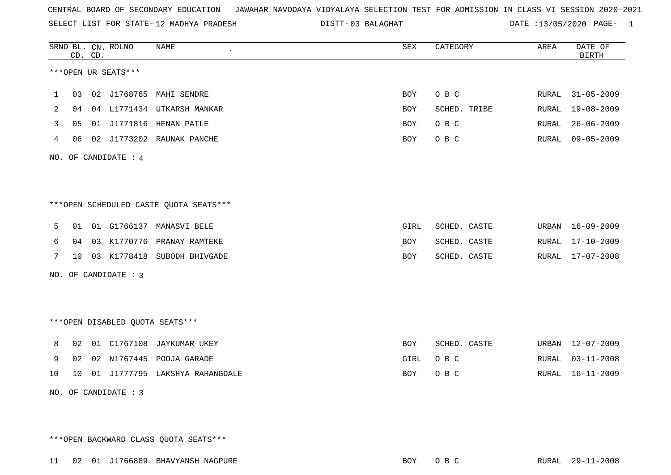SELECT LIST FOR STATE- DISTT- 12 MADHYA PRADESH

DISTT-03 BALAGHAT **DATE** :13/05/2020 PAGE- 1

|    |    | CD. CD. | SRNO BL. CN. ROLNO              | <b>NAME</b>                            | SEX        | CATEGORY     | AREA  | DATE OF<br><b>BIRTH</b> |
|----|----|---------|---------------------------------|----------------------------------------|------------|--------------|-------|-------------------------|
|    |    |         | ***OPEN UR SEATS***             |                                        |            |              |       |                         |
| 1  | 03 |         |                                 | 02 J1768765 MAHI SENDRE                | <b>BOY</b> | O B C        | RURAL | $31 - 05 - 2009$        |
| 2  | 04 |         |                                 | 04 L1771434 UTKARSH MANKAR             | BOY        | SCHED. TRIBE | RURAL | $19 - 08 - 2009$        |
| 3  | 05 |         |                                 | 01 J1771816 HENAN PATLE                | <b>BOY</b> | O B C        | RURAL | $26 - 06 - 2009$        |
| 4  | 06 |         |                                 | 02 J1773202 RAUNAK PANCHE              | <b>BOY</b> | O B C        | RURAL | $09 - 05 - 2009$        |
|    |    |         | NO. OF CANDIDATE : 4            |                                        |            |              |       |                         |
|    |    |         |                                 |                                        |            |              |       |                         |
|    |    |         |                                 | ***OPEN SCHEDULED CASTE QUOTA SEATS*** |            |              |       |                         |
| 5  | 01 |         |                                 | 01 G1766137 MANASVI BELE               | GIRL       | SCHED. CASTE | URBAN | $16 - 09 - 2009$        |
| 6  | 04 | 03      |                                 | K1770776 PRANAY RAMTEKE                | <b>BOY</b> | SCHED. CASTE | RURAL | $17 - 10 - 2009$        |
| 7  | 10 |         |                                 | 03 K1778418 SUBODH BHIVGADE            | BOY        | SCHED. CASTE | RURAL | 17-07-2008              |
|    |    |         | NO. OF CANDIDATE : 3            |                                        |            |              |       |                         |
|    |    |         |                                 |                                        |            |              |       |                         |
|    |    |         | ***OPEN DISABLED QUOTA SEATS*** |                                        |            |              |       |                         |
| 8  | 02 |         |                                 | 01 C1767108 JAYKUMAR UKEY              | BOY        | SCHED. CASTE | URBAN | $12 - 07 - 2009$        |
| 9  | 02 |         |                                 | 02 N1767445 POOJA GARADE               | GIRL       | O B C        | RURAL | $03 - 11 - 2008$        |
| 10 | 10 |         |                                 | 01 J1777795 LAKSHYA RAHANGDALE         | BOY        | O B C        | RURAL | $16 - 11 - 2009$        |
|    |    |         | NO. OF CANDIDATE : 3            |                                        |            |              |       |                         |

\*\*\*OPEN BACKWARD CLASS QUOTA SEATS\*\*\*

11 02 01 J1766889 BHAVYANSH NAGPURE BOY O B C RURAL 29-11-2008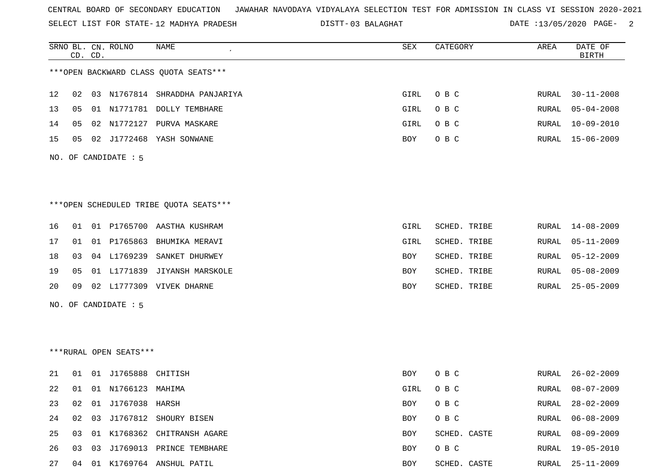SELECT LIST FOR STATE- DISTT- 12 MADHYA PRADESH

03 BALAGHAT DATE :13/05/2020 PAGE- 2

|    |    | CD. CD. | SRNO BL. CN. ROLNO     | NAME                                   | SEX         | CATEGORY     | AREA  | DATE OF<br><b>BIRTH</b> |
|----|----|---------|------------------------|----------------------------------------|-------------|--------------|-------|-------------------------|
|    |    |         |                        | *** OPEN BACKWARD CLASS QUOTA SEATS*** |             |              |       |                         |
| 12 | 02 |         |                        | 03 N1767814 SHRADDHA PANJARIYA         | GIRL        | O B C        | RURAL | $30 - 11 - 2008$        |
| 13 | 05 |         |                        | 01 N1771781 DOLLY TEMBHARE             | GIRL        | O B C        | RURAL | $05 - 04 - 2008$        |
| 14 | 05 |         | 02 N1772127            | PURVA MASKARE                          | GIRL        | O B C        | RURAL | $10 - 09 - 2010$        |
| 15 | 05 |         |                        | 02 J1772468 YASH SONWANE               | <b>BOY</b>  | O B C        | RURAL | 15-06-2009              |
|    |    |         | NO. OF CANDIDATE : 5   |                                        |             |              |       |                         |
|    |    |         |                        | ***OPEN SCHEDULED TRIBE QUOTA SEATS*** |             |              |       |                         |
| 16 | 01 |         |                        | 01 P1765700 AASTHA KUSHRAM             | <b>GIRL</b> | SCHED. TRIBE | RURAL | 14-08-2009              |
| 17 | 01 |         | 01 P1765863            | BHUMIKA MERAVI                         | GIRL        | SCHED. TRIBE | RURAL | $05 - 11 - 2009$        |
| 18 | 03 |         | 04 L1769239            | SANKET DHURWEY                         | BOY         | SCHED. TRIBE | RURAL | $05 - 12 - 2009$        |
| 19 | 05 |         |                        | 01 L1771839 JIYANSH MARSKOLE           | BOY         | SCHED. TRIBE | RURAL | $05 - 08 - 2009$        |
| 20 | 09 |         |                        | 02 L1777309 VIVEK DHARNE               | BOY         | SCHED. TRIBE | RURAL | $25 - 05 - 2009$        |
|    |    |         | NO. OF CANDIDATE : 5   |                                        |             |              |       |                         |
|    |    |         |                        |                                        |             |              |       |                         |
|    |    |         | ***RURAL OPEN SEATS*** |                                        |             |              |       |                         |
| 21 | 01 |         | 01 J1765888 CHITISH    |                                        | <b>BOY</b>  | O B C        | RURAL | $26 - 02 - 2009$        |
| 22 | 01 |         | 01 N1766123            | MAHIMA                                 | GIRL        | O B C        | RURAL | $08 - 07 - 2009$        |
| 23 |    |         | 02 01 J1767038 HARSH   |                                        | BOY         | O B C        |       | RURAL 28-02-2009        |
| 24 | 02 |         |                        | 03 J1767812 SHOURY BISEN               | BOY         | O B C        | RURAL | $06 - 08 - 2009$        |
| 25 | 03 |         |                        | 01 K1768362 CHITRANSH AGARE            | BOY         | SCHED. CASTE | RURAL | 08-09-2009              |
| 26 | 03 |         |                        | 03 J1769013 PRINCE TEMBHARE            | BOY         | O B C        | RURAL | 19-05-2010              |
| 27 |    |         |                        | 04 01 K1769764 ANSHUL PATIL            | BOY         | SCHED. CASTE |       | RURAL 25-11-2009        |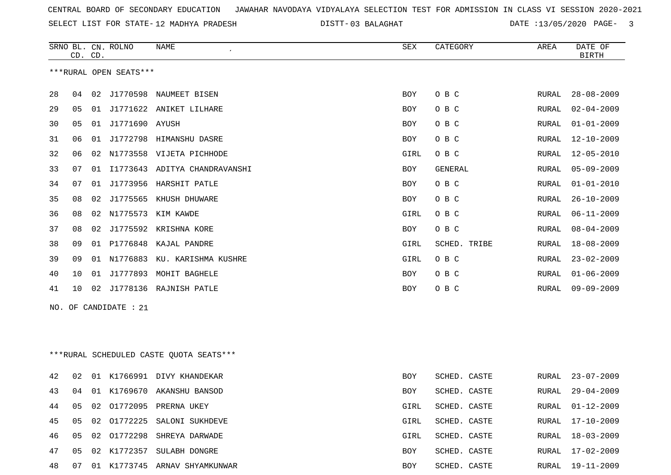SELECT LIST FOR STATE- DISTT- 12 MADHYA PRADESH

03 BALAGHAT DATE :13/05/2020 PAGE- 3

|    | CD. CD. |    | SRNO BL. CN. ROLNO     | NAME                                    | SEX        | CATEGORY     | AREA         | DATE OF<br><b>BIRTH</b> |
|----|---------|----|------------------------|-----------------------------------------|------------|--------------|--------------|-------------------------|
|    |         |    | ***RURAL OPEN SEATS*** |                                         |            |              |              |                         |
| 28 | 04      |    |                        | 02 J1770598 NAUMEET BISEN               | BOY        | O B C        | RURAL        | $28 - 08 - 2009$        |
|    |         |    |                        |                                         |            |              |              |                         |
| 29 | 05      |    |                        | 01 J1771622 ANIKET LILHARE              | <b>BOY</b> | O B C        | RURAL        | $02 - 04 - 2009$        |
| 30 | 05      | 01 | J1771690 AYUSH         |                                         | <b>BOY</b> | O B C        | RURAL        | $01 - 01 - 2009$        |
| 31 | 06      | 01 | J1772798               | HIMANSHU DASRE                          | BOY        | O B C        | RURAL        | $12 - 10 - 2009$        |
| 32 | 06      | 02 |                        | N1773558 VIJETA PICHHODE                | GIRL       | O B C        | RURAL        | $12 - 05 - 2010$        |
| 33 | 07      | 01 |                        | I1773643 ADITYA CHANDRAVANSHI           | BOY        | GENERAL      | RURAL        | 05-09-2009              |
| 34 | 07      | 01 |                        | J1773956 HARSHIT PATLE                  | BOY        | O B C        | RURAL        | $01 - 01 - 2010$        |
| 35 | 08      | 02 |                        | J1775565 KHUSH DHUWARE                  | BOY        | O B C        | RURAL        | $26 - 10 - 2009$        |
| 36 | 08      | 02 |                        | N1775573 KIM KAWDE                      | GIRL       | O B C        | RURAL        | $06 - 11 - 2009$        |
| 37 | 08      |    |                        | 02 J1775592 KRISHNA KORE                | BOY        | O B C        | RURAL        | $08 - 04 - 2009$        |
| 38 | 09      | 01 | P1776848               | KAJAL PANDRE                            | GIRL       | SCHED. TRIBE | RURAL        | $18 - 08 - 2009$        |
| 39 | 09      |    | 01 N1776883            | KU. KARISHMA KUSHRE                     | GIRL       | O B C        | <b>RURAL</b> | $23 - 02 - 2009$        |
| 40 | 10      | 01 |                        | J1777893 MOHIT BAGHELE                  | BOY        | O B C        | RURAL        | $01 - 06 - 2009$        |
| 41 | 10      | 02 |                        | J1778136 RAJNISH PATLE                  | BOY        | O B C        | RURAL        | $09 - 09 - 2009$        |
|    |         |    | NO. OF CANDIDATE : 21  |                                         |            |              |              |                         |
|    |         |    |                        |                                         |            |              |              |                         |
|    |         |    |                        |                                         |            |              |              |                         |
|    |         |    |                        |                                         |            |              |              |                         |
|    |         |    |                        | ***RURAL SCHEDULED CASTE QUOTA SEATS*** |            |              |              |                         |
| 42 | 02      |    |                        | 01 K1766991 DIVY KHANDEKAR              | BOY        | SCHED. CASTE | RURAL        | $23 - 07 - 2009$        |
| 43 | 04      |    |                        | 01 K1769670 AKANSHU BANSOD              | BOY        | SCHED. CASTE | <b>RURAL</b> | $29 - 04 - 2009$        |
| 44 | 05      | 02 |                        | O1772095 PRERNA UKEY                    | GIRL       | SCHED. CASTE | RURAL        | 01-12-2009              |
| 45 | 05      | 02 |                        | 01772225 SALONI SUKHDEVE                | GIRL       | SCHED. CASTE | RURAL        | $17 - 10 - 2009$        |
| 46 | 05      |    |                        | 02 01772298 SHREYA DARWADE              | GIRL       | SCHED. CASTE | RURAL        | $18 - 03 - 2009$        |
| 47 | 05      |    |                        | 02 K1772357 SULABH DONGRE               | BOY        | SCHED. CASTE | RURAL        | 17-02-2009              |
| 48 | 07      |    |                        | 01 K1773745 ARNAV SHYAMKUNWAR           | BOY        | SCHED. CASTE | RURAL        | 19-11-2009              |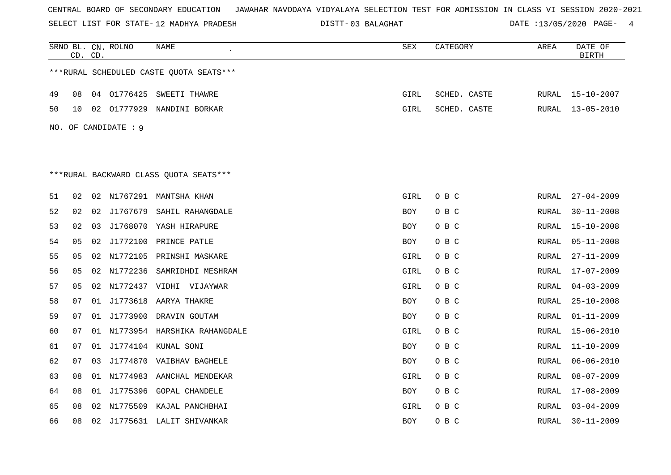SELECT LIST FOR STATE- DISTT- 12 MADHYA PRADESH

03 BALAGHAT DATE :13/05/2020 PAGE- 4

|    |    | CD. CD. | SRNO BL. CN. ROLNO   | NAME                                     | SEX        | CATEGORY     | AREA  | DATE OF<br><b>BIRTH</b> |
|----|----|---------|----------------------|------------------------------------------|------------|--------------|-------|-------------------------|
|    |    |         |                      | *** RURAL SCHEDULED CASTE QUOTA SEATS*** |            |              |       |                         |
| 49 | 08 |         |                      | 04 01776425 SWEETI THAWRE                | GIRL       | SCHED. CASTE | RURAL | $15 - 10 - 2007$        |
| 50 | 10 |         |                      | 02 01777929 NANDINI BORKAR               | GIRL       | SCHED. CASTE | RURAL | $13 - 05 - 2010$        |
|    |    |         | NO. OF CANDIDATE : 9 |                                          |            |              |       |                         |
|    |    |         |                      |                                          |            |              |       |                         |
|    |    |         |                      |                                          |            |              |       |                         |
|    |    |         |                      | ***RURAL BACKWARD CLASS OUOTA SEATS***   |            |              |       |                         |
| 51 | 02 |         |                      | 02 N1767291 MANTSHA KHAN                 | GIRL       | O B C        | RURAL | $27 - 04 - 2009$        |
| 52 | 02 |         |                      | 02 J1767679 SAHIL RAHANGDALE             | BOY        | O B C        | RURAL | $30 - 11 - 2008$        |
| 53 | 02 | 03      |                      | J1768070 YASH HIRAPURE                   | BOY        | O B C        | RURAL | $15 - 10 - 2008$        |
| 54 | 05 |         |                      | 02 J1772100 PRINCE PATLE                 | <b>BOY</b> | O B C        | RURAL | $05 - 11 - 2008$        |
| 55 | 05 |         |                      | 02 N1772105 PRINSHI MASKARE              | GIRL       | O B C        | RURAL | $27 - 11 - 2009$        |
| 56 | 05 |         |                      | 02 N1772236 SAMRIDHDI MESHRAM            | GIRL       | O B C        | RURAL | 17-07-2009              |
| 57 | 05 |         |                      | 02 N1772437 VIDHI VIJAYWAR               | GIRL       | O B C        | RURAL | $04 - 03 - 2009$        |
| 58 | 07 |         |                      | 01 J1773618 AARYA THAKRE                 | <b>BOY</b> | O B C        | RURAL | $25 - 10 - 2008$        |
| 59 | 07 |         |                      | 01 J1773900 DRAVIN GOUTAM                | BOY        | O B C        | RURAL | $01 - 11 - 2009$        |
| 60 | 07 |         |                      | 01 N1773954 HARSHIKA RAHANGDALE          | GIRL       | O B C        | RURAL | $15 - 06 - 2010$        |
| 61 | 07 |         |                      | 01 J1774104 KUNAL SONI                   | <b>BOY</b> | O B C        | RURAL | $11 - 10 - 2009$        |
| 62 | 07 |         |                      | 03 J1774870 VAIBHAV BAGHELE              | <b>BOY</b> | O B C        | RURAL | $06 - 06 - 2010$        |
| 63 | 08 |         |                      | 01 N1774983 AANCHAL MENDEKAR             | GIRL       | O B C        | RURAL | $08 - 07 - 2009$        |
| 64 | 08 |         |                      | 01 J1775396 GOPAL CHANDELE               | BOY        | O B C        | RURAL | 17-08-2009              |
| 65 | 08 |         |                      | 02 N1775509 KAJAL PANCHBHAI              | GIRL       | O B C        | RURAL | $03 - 04 - 2009$        |
| 66 | 08 |         |                      | 02 J1775631 LALIT SHIVANKAR              | <b>BOY</b> | O B C        | RURAL | $30 - 11 - 2009$        |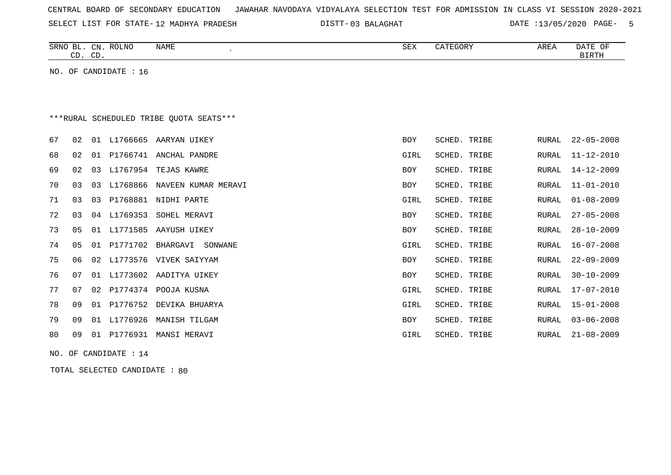| CENTRAL BOARD OF SECONDARY EDUCATION – JAWAHAR NAVODAYA VIDYALAYA SELECTION TEST FOR ADMISSION IN CLASS VI SESSION 2020-2021 |  |  |  |  |
|------------------------------------------------------------------------------------------------------------------------------|--|--|--|--|
|------------------------------------------------------------------------------------------------------------------------------|--|--|--|--|

SELECT LIST FOR STATE-12 MADHYA PRADESH

12 MADHYA PRADESH 03 BALAGHAT DATE :13/05/2020 PAGE- 5

|    | CD. CD. |    | SRNO BL. CN. ROLNO    | <b>NAME</b><br>$\cdot$                  | <b>SEX</b> | CATEGORY     | AREA          | DATE OF<br><b>BIRTH</b> |
|----|---------|----|-----------------------|-----------------------------------------|------------|--------------|---------------|-------------------------|
|    |         |    | NO. OF CANDIDATE : 16 |                                         |            |              |               |                         |
|    |         |    |                       |                                         |            |              |               |                         |
|    |         |    |                       |                                         |            |              |               |                         |
|    |         |    |                       | ***RURAL SCHEDULED TRIBE QUOTA SEATS*** |            |              |               |                         |
| 67 | 02      |    |                       | 01 L1766665 AARYAN UIKEY                | <b>BOY</b> | SCHED. TRIBE | <b>RURAL</b>  | $22 - 05 - 2008$        |
| 68 | 02      | 01 |                       | P1766741 ANCHAL PANDRE                  | GIRL       | SCHED. TRIBE | RURAL         | $11 - 12 - 2010$        |
| 69 | 02      | 03 |                       | L1767954 TEJAS KAWRE                    | BOY        | SCHED. TRIBE | <b>RURAL</b>  | $14 - 12 - 2009$        |
| 70 | 03      | 03 | L1768866              | NAVEEN KUMAR MERAVI                     | BOY        | SCHED. TRIBE | <b>RURAL</b>  | $11 - 01 - 2010$        |
| 71 | 03      | 03 | P1768881              | NIDHI PARTE                             | GIRL       | SCHED. TRIBE | <b>RURAL</b>  | $01 - 08 - 2009$        |
| 72 | 03      | 04 | L1769353              | SOHEL MERAVI                            | BOY        | SCHED. TRIBE | RURAL         | $27 - 05 - 2008$        |
| 73 | 05      | 01 | L1771585              | AAYUSH UIKEY                            | <b>BOY</b> | SCHED. TRIBE | <b>RURAL</b>  | $28 - 10 - 2009$        |
| 74 | 05      | 01 |                       | P1771702 BHARGAVI<br>SONWANE            | GIRL       | SCHED. TRIBE | <b>RURAL</b>  | $16 - 07 - 2008$        |
| 75 | 06      | 02 |                       | L1773576 VIVEK SAIYYAM                  | BOY        | SCHED. TRIBE | <b>RURAL</b>  | $22 - 09 - 2009$        |
| 76 | 07      | 01 | L1773602              | AADITYA UIKEY                           | BOY        | SCHED. TRIBE | <b>RURAL</b>  | $30 - 10 - 2009$        |
| 77 | 07      | 02 |                       | P1774374 POOJA KUSNA                    | GIRL       | SCHED. TRIBE | <b>RURAL</b>  | $17 - 07 - 2010$        |
| 78 | 09      | 01 | P1776752              | DEVIKA BHUARYA                          | GIRL       | SCHED. TRIBE | <b>RURAL</b>  | $15 - 01 - 2008$        |
| 79 | 09      | 01 | L1776926              | MANISH TILGAM                           | BOY        | SCHED. TRIBE | ${\tt RURAL}$ | $03 - 06 - 2008$        |
| 80 | 09      | 01 | P1776931              | MANSI MERAVI                            | GIRL       | SCHED. TRIBE | RURAL         | $21 - 08 - 2009$        |
|    |         |    |                       |                                         |            |              |               |                         |

NO. OF CANDIDATE : 14

TOTAL SELECTED CANDIDATE : 80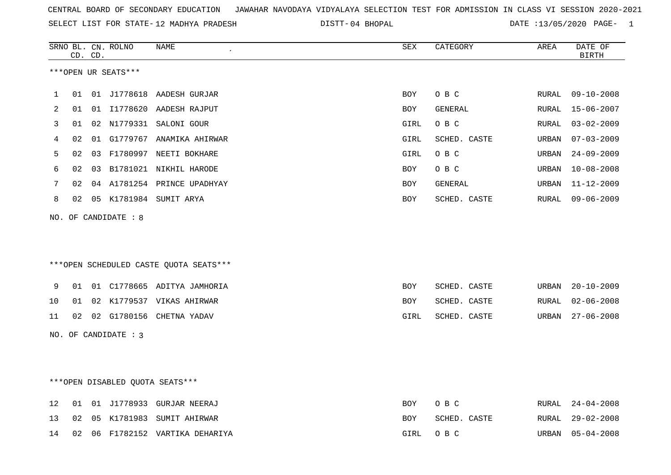|  |  |  |  | CENTRAL BOARD OF SECONDARY EDUCATION GJAWAHAR NAVODAYA VIDYALAYA SELECTION TEST FOR ADMISSION IN CLASS VI SESSION 2020-2021 |  |  |  |  |  |  |  |  |  |  |  |
|--|--|--|--|-----------------------------------------------------------------------------------------------------------------------------|--|--|--|--|--|--|--|--|--|--|--|
|--|--|--|--|-----------------------------------------------------------------------------------------------------------------------------|--|--|--|--|--|--|--|--|--|--|--|

SELECT LIST FOR STATE-12 MADHYA PRADESH

12 MADHYA PRADESH 04 BHOPAL DATE :13/05/2020 PAGE- 1

|    |    | CD. CD. | SRNO BL. CN. ROLNO   | <b>NAME</b>                            | <b>SEX</b> | CATEGORY     | AREA  | DATE OF<br>BIRTH |
|----|----|---------|----------------------|----------------------------------------|------------|--------------|-------|------------------|
|    |    |         | ***OPEN UR SEATS***  |                                        |            |              |       |                  |
| 1  | 01 |         |                      | 01 J1778618 AADESH GURJAR              | <b>BOY</b> | O B C        | RURAL | $09 - 10 - 2008$ |
| 2  | 01 |         |                      | 01 I1778620 AADESH RAJPUT              | BOY        | GENERAL      | RURAL | $15 - 06 - 2007$ |
| 3  | 01 |         |                      | 02 N1779331 SALONI GOUR                | GIRL       | O B C        | RURAL | $03 - 02 - 2009$ |
| 4  | 02 |         |                      | 01 G1779767 ANAMIKA AHIRWAR            | GIRL       | SCHED. CASTE | URBAN | $07 - 03 - 2009$ |
| 5  | 02 |         |                      | 03 F1780997 NEETI BOKHARE              | GIRL       | O B C        | URBAN | $24 - 09 - 2009$ |
| 6  | 02 |         |                      | 03 B1781021 NIKHIL HARODE              | <b>BOY</b> | O B C        | URBAN | $10 - 08 - 2008$ |
| 7  | 02 |         |                      | 04 A1781254 PRINCE UPADHYAY            | <b>BOY</b> | GENERAL      | URBAN | $11 - 12 - 2009$ |
| 8  | 02 |         |                      | 05 K1781984 SUMIT ARYA                 | <b>BOY</b> | SCHED. CASTE | RURAL | $09 - 06 - 2009$ |
|    |    |         | NO. OF CANDIDATE : 8 |                                        |            |              |       |                  |
|    |    |         |                      |                                        |            |              |       |                  |
|    |    |         |                      | ***OPEN SCHEDULED CASTE QUOTA SEATS*** |            |              |       |                  |
| 9  | 01 |         |                      | 01 C1778665 ADITYA JAMHORIA            | <b>BOY</b> | SCHED. CASTE | URBAN | $20 - 10 - 2009$ |
| 10 | 01 |         |                      | 02 K1779537 VIKAS AHIRWAR              | <b>BOY</b> | SCHED. CASTE | RURAL | $02 - 06 - 2008$ |
| 11 | 02 |         |                      | 02 G1780156 CHETNA YADAV               | GIRL       | SCHED. CASTE | URBAN | $27 - 06 - 2008$ |
|    |    |         | NO. OF CANDIDATE : 3 |                                        |            |              |       |                  |
|    |    |         |                      |                                        |            |              |       |                  |
|    |    |         |                      | *** OPEN DISABLED QUOTA SEATS***       |            |              |       |                  |
| 12 | 01 |         |                      | 01 J1778933 GURJAR NEERAJ              | <b>BOY</b> | O B C        | RURAL | $24 - 04 - 2008$ |
| 13 | 02 |         |                      | 05 K1781983 SUMIT AHIRWAR              | <b>BOY</b> | SCHED. CASTE | RURAL | $29 - 02 - 2008$ |
| 14 | 02 |         |                      | 06 F1782152 VARTIKA DEHARIYA           | GIRL       | O B C        | URBAN | $05 - 04 - 2008$ |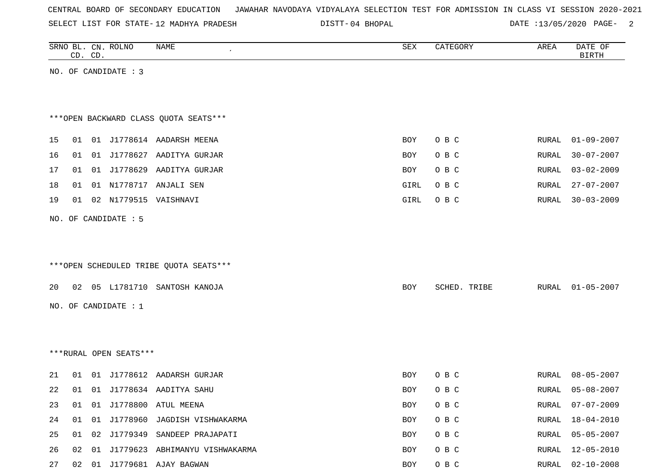|  |  |  |  | CENTRAL BOARD OF SECONDARY EDUCATION – JAWAHAR NAVODAYA VIDYALAYA SELECTION TEST FOR ADMISSION IN CLASS VI SESSION 2020-2021 |  |  |  |  |  |  |  |  |  |  |  |  |
|--|--|--|--|------------------------------------------------------------------------------------------------------------------------------|--|--|--|--|--|--|--|--|--|--|--|--|
|--|--|--|--|------------------------------------------------------------------------------------------------------------------------------|--|--|--|--|--|--|--|--|--|--|--|--|

SELECT LIST FOR STATE- DISTT- 12 MADHYA PRADESH

DISTT-04 BHOPAL 2000 DATE :13/05/2020 PAGE-

|          |    | CD. CD. | SRNO BL. CN. ROLNO     | NAME                                                         | SEX        | CATEGORY       | AREA                  | DATE OF<br><b>BIRTH</b>              |
|----------|----|---------|------------------------|--------------------------------------------------------------|------------|----------------|-----------------------|--------------------------------------|
|          |    |         | NO. OF CANDIDATE : 3   |                                                              |            |                |                       |                                      |
|          |    |         |                        |                                                              |            |                |                       |                                      |
|          |    |         |                        |                                                              |            |                |                       |                                      |
|          |    |         |                        | *** OPEN BACKWARD CLASS QUOTA SEATS***                       |            |                |                       |                                      |
| 15       | 01 |         |                        | 01 J1778614 AADARSH MEENA                                    | <b>BOY</b> | O B C          | RURAL                 | $01 - 09 - 2007$                     |
| 16       | 01 |         |                        | 01 J1778627 AADITYA GURJAR                                   | <b>BOY</b> | O B C          | <b>RURAL</b>          | $30 - 07 - 2007$                     |
| 17       |    |         |                        | 01 01 J1778629 AADITYA GURJAR                                | BOY        | O B C          | RURAL                 | $03 - 02 - 2009$                     |
| 18       | 01 |         |                        | 01 N1778717 ANJALI SEN                                       | GIRL       | O B C          | <b>RURAL</b>          | $27 - 07 - 2007$                     |
| 19       | 01 |         |                        | 02 N1779515 VAISHNAVI                                        | GIRL       | O B C          | <b>RURAL</b>          | $30 - 03 - 2009$                     |
|          |    |         | NO. OF CANDIDATE : 5   |                                                              |            |                |                       |                                      |
|          |    |         |                        |                                                              |            |                |                       |                                      |
|          |    |         |                        |                                                              |            |                |                       |                                      |
|          |    |         |                        | ***OPEN SCHEDULED TRIBE QUOTA SEATS***                       |            |                |                       |                                      |
| 20       |    |         |                        | 02 05 L1781710 SANTOSH KANOJA                                | BOY        | SCHED. TRIBE   | RURAL                 | $01 - 05 - 2007$                     |
|          |    |         | NO. OF CANDIDATE : $1$ |                                                              |            |                |                       |                                      |
|          |    |         |                        |                                                              |            |                |                       |                                      |
|          |    |         |                        |                                                              |            |                |                       |                                      |
|          |    |         | ***RURAL OPEN SEATS*** |                                                              |            |                |                       |                                      |
|          |    |         |                        |                                                              |            |                |                       |                                      |
| 21       | 01 |         |                        | 01 J1778612 AADARSH GURJAR                                   | BOY        | O B C          | RURAL                 | $08 - 05 - 2007$                     |
| 22       |    |         |                        | 01 01 J1778634 AADITYA SAHU                                  | <b>BOY</b> | O B C          | RURAL                 | $05 - 08 - 2007$                     |
| 23<br>24 | 01 |         |                        | 01 01 J1778800 ATUL MEENA<br>01 J1778960 JAGDISH VISHWAKARMA | BOY<br>BOY | O B C<br>O B C | RURAL<br><b>RURAL</b> | $07 - 07 - 2009$<br>$18 - 04 - 2010$ |
| 25       | 01 |         |                        | 02 J1779349 SANDEEP PRAJAPATI                                | BOY        | O B C          | RURAL                 | $05 - 05 - 2007$                     |
| 26       |    |         |                        | 02 01 J1779623 ABHIMANYU VISHWAKARMA                         | BOY        | O B C          | RURAL                 | $12 - 05 - 2010$                     |
|          |    |         |                        |                                                              |            |                |                       |                                      |

27 02 01 J1779681 AJAY BAGWAN BOY O B C RURAL 02-10-2008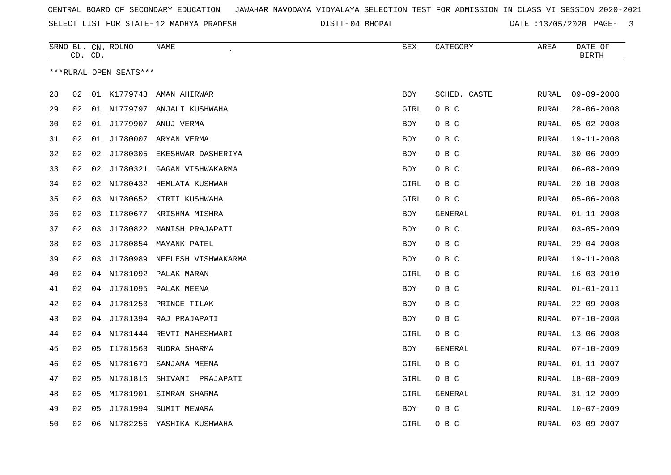SELECT LIST FOR STATE- DISTT- 12 MADHYA PRADESH

04 BHOPAL DATE :13/05/2020 PAGE- 3

|    | CD. CD. |    | SRNO BL. CN. ROLNO     | NAME                         | SEX        | CATEGORY     | AREA         | DATE OF<br><b>BIRTH</b> |
|----|---------|----|------------------------|------------------------------|------------|--------------|--------------|-------------------------|
|    |         |    | ***RURAL OPEN SEATS*** |                              |            |              |              |                         |
|    |         |    |                        |                              |            |              |              |                         |
| 28 | 02      |    |                        | 01 K1779743 AMAN AHIRWAR     | <b>BOY</b> | SCHED. CASTE | RURAL        | $09 - 09 - 2008$        |
| 29 | 02      |    |                        | 01 N1779797 ANJALI KUSHWAHA  | GIRL       | O B C        | RURAL        | $28 - 06 - 2008$        |
| 30 | 02      | 01 | J1779907               | ANUJ VERMA                   | BOY        | O B C        | RURAL        | $05 - 02 - 2008$        |
| 31 | 02      | 01 |                        | J1780007 ARYAN VERMA         | BOY        | O B C        | RURAL        | $19 - 11 - 2008$        |
| 32 | 02      | 02 | J1780305               | EKESHWAR DASHERIYA           | <b>BOY</b> | O B C        | <b>RURAL</b> | $30 - 06 - 2009$        |
| 33 | 02      | 02 | J1780321               | GAGAN VISHWAKARMA            | <b>BOY</b> | O B C        | RURAL        | $06 - 08 - 2009$        |
| 34 | 02      |    |                        | 02 N1780432 HEMLATA KUSHWAH  | GIRL       | O B C        | RURAL        | $20 - 10 - 2008$        |
| 35 | 02      |    |                        | 03 N1780652 KIRTI KUSHWAHA   | GIRL       | O B C        | RURAL        | $05 - 06 - 2008$        |
| 36 | 02      | 03 |                        | I1780677 KRISHNA MISHRA      | <b>BOY</b> | GENERAL      | RURAL        | $01 - 11 - 2008$        |
| 37 | 02      | 03 |                        | J1780822 MANISH PRAJAPATI    | <b>BOY</b> | O B C        | RURAL        | $03 - 05 - 2009$        |
| 38 | 02      | 03 |                        | J1780854 MAYANK PATEL        | BOY        | O B C        | RURAL        | $29 - 04 - 2008$        |
| 39 | 02      | 03 | J1780989               | NEELESH VISHWAKARMA          | BOY        | O B C        | RURAL        | $19 - 11 - 2008$        |
| 40 | 02      |    |                        | 04 N1781092 PALAK MARAN      | GIRL       | O B C        | RURAL        | $16 - 03 - 2010$        |
| 41 | 02      | 04 |                        | J1781095 PALAK MEENA         | <b>BOY</b> | O B C        | <b>RURAL</b> | $01 - 01 - 2011$        |
| 42 | 02      | 04 |                        | J1781253 PRINCE TILAK        | <b>BOY</b> | O B C        | RURAL        | $22 - 09 - 2008$        |
| 43 | 02      |    |                        | 04 J1781394 RAJ PRAJAPATI    | <b>BOY</b> | O B C        | <b>RURAL</b> | $07 - 10 - 2008$        |
| 44 | 02      |    |                        | 04 N1781444 REVTI MAHESHWARI | GIRL       | O B C        | RURAL        | $13 - 06 - 2008$        |
| 45 | 02      | 05 |                        | I1781563 RUDRA SHARMA        | <b>BOY</b> | GENERAL      | RURAL        | $07 - 10 - 2009$        |
| 46 | 02      | 05 | N1781679               | SANJANA MEENA                | GIRL       | O B C        | RURAL        | $01 - 11 - 2007$        |
| 47 | 02      | 05 |                        | N1781816 SHIVANI PRAJAPATI   | GIRL       | овс          | RURAL        | $18 - 08 - 2009$        |
| 48 | 02      | 05 | M1781901               | SIMRAN SHARMA                | GIRL       | GENERAL      | RURAL        | $31 - 12 - 2009$        |
| 49 | 02      | 05 |                        | J1781994 SUMIT MEWARA        | BOY        | O B C        | RURAL        | $10 - 07 - 2009$        |
| 50 | 02      | 06 |                        | N1782256 YASHIKA KUSHWAHA    | GIRL       | O B C        | <b>RURAL</b> | $03 - 09 - 2007$        |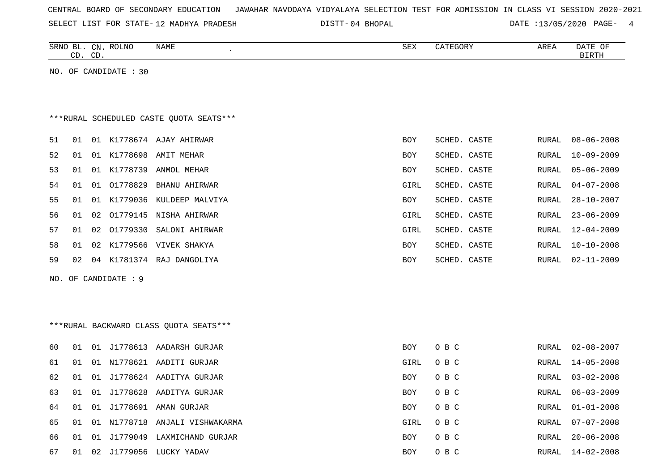| CENTRAL BOARD OF SECONDARY EDUCATION – JAWAHAR NAVODAYA VIDYALAYA SELECTION TEST FOR ADMISSION IN CLASS VI SESSION 2020-2021 |  |  |  |  |
|------------------------------------------------------------------------------------------------------------------------------|--|--|--|--|
|------------------------------------------------------------------------------------------------------------------------------|--|--|--|--|

SELECT LIST FOR STATE-12 MADHYA PRADESH

12 MADHYA PRADESH 04 BHOPAL DATE :13/05/2020 PAGE- 4

|    | CD. CD. | SRNO BL. CN. ROLNO    | NAME                                    | <b>SEX</b> | CATEGORY     | AREA  | DATE OF<br><b>BIRTH</b> |
|----|---------|-----------------------|-----------------------------------------|------------|--------------|-------|-------------------------|
|    |         | NO. OF CANDIDATE : 30 |                                         |            |              |       |                         |
|    |         |                       |                                         |            |              |       |                         |
|    |         |                       |                                         |            |              |       |                         |
|    |         |                       | ***RURAL SCHEDULED CASTE QUOTA SEATS*** |            |              |       |                         |
| 51 | 01      |                       | 01 K1778674 AJAY AHIRWAR                | <b>BOY</b> | SCHED. CASTE | RURAL | $08 - 06 - 2008$        |
| 52 | 01      | 01 K1778698           | AMIT MEHAR                              | <b>BOY</b> | SCHED. CASTE | RURAL | $10 - 09 - 2009$        |
| 53 | 01      | K1778739<br>01        | ANMOL MEHAR                             | BOY        | SCHED. CASTE | RURAL | $05 - 06 - 2009$        |
| 54 | 01      | 01 01778829           | <b>BHANU AHIRWAR</b>                    | GIRL       | SCHED. CASTE | RURAL | $04 - 07 - 2008$        |
| 55 | 01      | K1779036<br>01        | KULDEEP MALVIYA                         | BOY        | SCHED. CASTE | RURAL | $28 - 10 - 2007$        |
| 56 | 01      | 02                    | 01779145 NISHA AHIRWAR                  | GIRL       | SCHED. CASTE | RURAL | $23 - 06 - 2009$        |
| 57 | 01      | 02                    | 01779330 SALONI AHIRWAR                 | GIRL       | SCHED. CASTE | RURAL | $12 - 04 - 2009$        |
| 58 | 01      | 02                    | K1779566 VIVEK SHAKYA                   | <b>BOY</b> | SCHED. CASTE | RURAL | $10 - 10 - 2008$        |
| 59 | 02      |                       | 04 K1781374 RAJ DANGOLIYA               | BOY        | SCHED. CASTE | RURAL | $02 - 11 - 2009$        |
|    |         | NO. OF CANDIDATE : 9  |                                         |            |              |       |                         |
|    |         |                       |                                         |            |              |       |                         |
|    |         |                       |                                         |            |              |       |                         |
|    |         |                       | ***RURAL BACKWARD CLASS OUOTA SEATS***  |            |              |       |                         |
|    |         |                       |                                         |            |              |       |                         |
| 60 | 01      |                       | 01 J1778613 AADARSH GURJAR              | BOY        | O B C        | RURAL | $02 - 08 - 2007$        |
| 61 | 01      |                       | 01 N1778621 AADITI GURJAR               | GIRL       | O B C        | RURAL | $14 - 05 - 2008$        |
| 62 | 01      |                       | 01 J1778624 AADITYA GURJAR              | <b>BOY</b> | O B C        | RURAL | $03 - 02 - 2008$        |
| 63 | 01      | 01                    | J1778628 AADITYA GURJAR                 | BOY        | O B C        | RURAL | $06 - 03 - 2009$        |
| 64 | 01      | 01                    | J1778691 AMAN GURJAR                    | BOY        | O B C        | RURAL | $01 - 01 - 2008$        |
| 65 | 01      |                       | 01 N1778718 ANJALI VISHWAKARMA          | GIRL       | O B C        | RURAL | $07 - 07 - 2008$        |
| 66 | 01      |                       | 01 J1779049 LAXMICHAND GURJAR           | <b>BOY</b> | O B C        | RURAL | $20 - 06 - 2008$        |

67 01 02 J1779056 LUCKY YADAV 67 (2008) BOY O B C RURAL 14-02-2008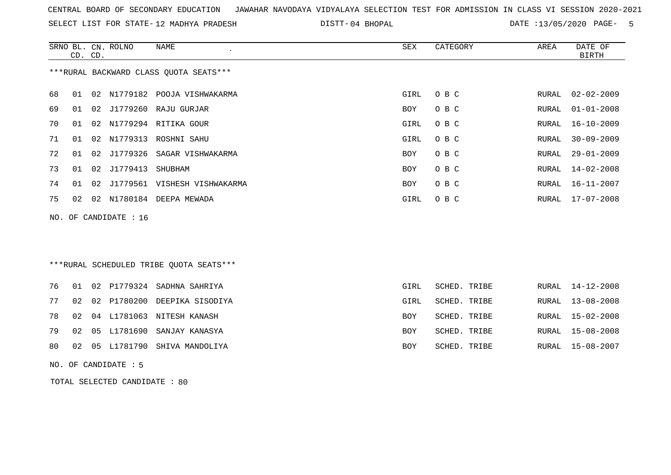SELECT LIST FOR STATE- DISTT- 12 MADHYA PRADESH

DISTT-04 BHOPAL 2020 DATE :13/05/2020 PAGE- 5

|    |    | CD. CD. | SRNO BL. CN. ROLNO    | NAME<br>$\epsilon$                      | SEX  | CATEGORY | AREA  | DATE OF<br>BIRTH |
|----|----|---------|-----------------------|-----------------------------------------|------|----------|-------|------------------|
|    |    |         |                       | *** RURAL BACKWARD CLASS QUOTA SEATS*** |      |          |       |                  |
| 68 | 01 |         |                       | 02 N1779182 POOJA VISHWAKARMA           | GIRL | O B C    | RURAL | $02 - 02 - 2009$ |
| 69 | 01 |         |                       | 02 J1779260 RAJU GURJAR                 | BOY  | O B C    | RURAL | $01 - 01 - 2008$ |
| 70 | 01 |         |                       | 02 N1779294 RITIKA GOUR                 | GIRL | O B C    | RURAL | $16 - 10 - 2009$ |
| 71 | 01 |         |                       | 02 N1779313 ROSHNI SAHU                 | GIRL | O B C    | RURAL | $30 - 09 - 2009$ |
| 72 | 01 | 02      |                       | J1779326 SAGAR VISHWAKARMA              | BOY  | O B C    | RURAL | $29 - 01 - 2009$ |
| 73 | 01 |         | 02 J1779413 SHUBHAM   |                                         | BOY  | O B C    | RURAL | 14-02-2008       |
| 74 | 01 |         |                       | 02 J1779561 VISHESH VISHWAKARMA         | BOY  | O B C    | RURAL | 16-11-2007       |
| 75 | 02 |         |                       | 02 N1780184 DEEPA MEWADA                | GIRL | O B C    | RURAL | 17-07-2008       |
|    |    |         | NO. OF CANDIDATE : 16 |                                         |      |          |       |                  |
|    |    |         |                       |                                         |      |          |       |                  |
|    |    |         |                       |                                         |      |          |       |                  |
|    |    |         |                       |                                         |      |          |       |                  |

# \*\*\*RURAL SCHEDULED TRIBE QUOTA SEATS\*\*\*

|  |  | 76 01 02 P1779324 SADHNA SAHRIYA   | GIRL       | SCHED. TRIBE | RURAL 14-12-2008 |
|--|--|------------------------------------|------------|--------------|------------------|
|  |  | 77 02 02 P1780200 DEEPIKA SISODIYA | GIRL       | SCHED. TRIBE | RURAL 13-08-2008 |
|  |  | 78 02 04 L1781063 NITESH KANASH    | BOY        | SCHED. TRIBE | RURAL 15-02-2008 |
|  |  | 79 02 05 L1781690 SANJAY KANASYA   | <b>BOY</b> | SCHED. TRIBE | RURAL 15-08-2008 |
|  |  | 80 02 05 L1781790 SHIVA MANDOLIYA  | BOY        | SCHED. TRIBE | RURAL 15-08-2007 |

NO. OF CANDIDATE : 5

TOTAL SELECTED CANDIDATE : 80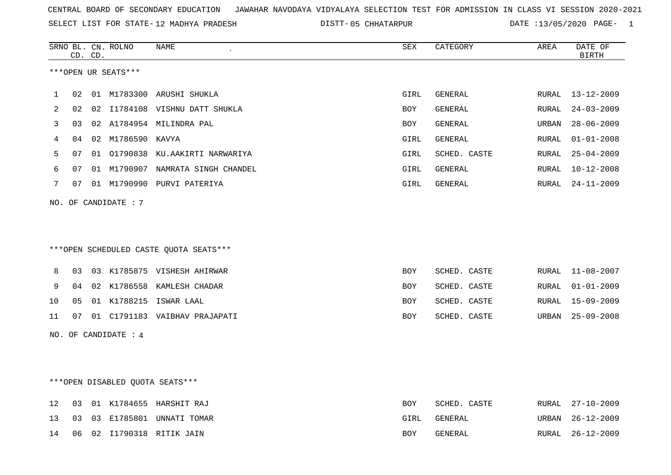SELECT LIST FOR STATE- DISTT- 12 MADHYA PRADESH

05 CHHATARPUR DATE :13/05/2020 PAGE- 1

|    |    |    | CD. CD. | SRNO BL. CN. ROLNO   | NAME                                   | SEX        | CATEGORY       | AREA  | DATE OF<br><b>BIRTH</b> |
|----|----|----|---------|----------------------|----------------------------------------|------------|----------------|-------|-------------------------|
|    |    |    |         | ***OPEN UR SEATS***  |                                        |            |                |       |                         |
| 1  | 02 |    |         |                      | 01 M1783300 ARUSHI SHUKLA              | GIRL       | GENERAL        |       | RURAL 13-12-2009        |
| 2  | 02 |    |         |                      | 02 I1784108 VISHNU DATT SHUKLA         | BOY        | GENERAL        | RURAL | $24 - 03 - 2009$        |
| 3  | 03 |    |         |                      | 02 A1784954 MILINDRA PAL               | BOY        | GENERAL        | URBAN | $28 - 06 - 2009$        |
| 4  | 04 |    |         | 02 M1786590 KAVYA    |                                        | GIRL       | GENERAL        | RURAL | $01 - 01 - 2008$        |
| 5  | 07 |    |         |                      | 01 01790838 KU.AAKIRTI NARWARIYA       | GIRL       | SCHED. CASTE   | RURAL | $25 - 04 - 2009$        |
| 6  | 07 |    |         |                      | 01 M1790907 NAMRATA SINGH CHANDEL      | GIRL       | <b>GENERAL</b> | RURAL | $10 - 12 - 2008$        |
| 7  | 07 |    |         |                      | 01 M1790990 PURVI PATERIYA             | GIRL       | GENERAL        | RURAL | $24 - 11 - 2009$        |
|    |    |    |         | NO. OF CANDIDATE : 7 |                                        |            |                |       |                         |
|    |    |    |         |                      |                                        |            |                |       |                         |
|    |    |    |         |                      | ***OPEN SCHEDULED CASTE QUOTA SEATS*** |            |                |       |                         |
| 8  | 03 |    |         |                      | 03 K1785875 VISHESH AHIRWAR            | <b>BOY</b> | SCHED. CASTE   | RURAL | $11 - 08 - 2007$        |
| 9  | 04 |    |         |                      | 02 K1786558 KAMLESH CHADAR             | <b>BOY</b> | SCHED. CASTE   | RURAL | $01 - 01 - 2009$        |
| 10 | 05 |    |         |                      | 01 K1788215 ISWAR LAAL                 | BOY        | SCHED. CASTE   | RURAL | $15 - 09 - 2009$        |
| 11 |    | 07 |         |                      | 01 C1791183 VAIBHAV PRAJAPATI          | BOY        | SCHED. CASTE   | URBAN | $25 - 09 - 2008$        |
|    |    |    |         | NO. OF CANDIDATE : 4 |                                        |            |                |       |                         |
|    |    |    |         |                      |                                        |            |                |       |                         |
|    |    |    |         |                      |                                        |            |                |       |                         |
|    |    |    |         |                      | ***OPEN DISABLED QUOTA SEATS***        |            |                |       |                         |
| 12 | 03 |    |         |                      | 01 K1784655 HARSHIT RAJ                | <b>BOY</b> | SCHED. CASTE   |       | RURAL 27-10-2009        |
| 13 | 03 |    |         |                      | 03 E1785801 UNNATI TOMAR               | GIRL       | GENERAL        | URBAN | $26 - 12 - 2009$        |
| 14 | 06 |    |         |                      | 02 I1790318 RITIK JAIN                 | <b>BOY</b> | GENERAL        | RURAL | $26 - 12 - 2009$        |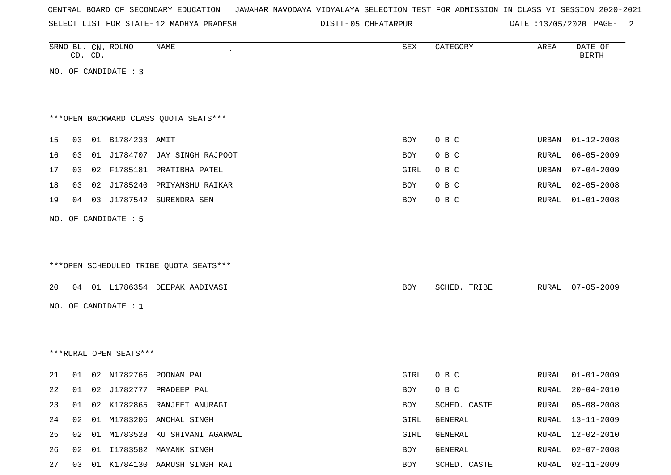SELECT LIST FOR STATE- DISTT- 12 MADHYA PRADESH

05 CHHATARPUR DATE :13/05/2020 PAGE- 2

|    |    | CD. CD. | SRNO BL. CN. ROLNO     | NAME                                   | SEX        | CATEGORY     | AREA         | DATE OF<br><b>BIRTH</b> |
|----|----|---------|------------------------|----------------------------------------|------------|--------------|--------------|-------------------------|
|    |    |         | NO. OF CANDIDATE : 3   |                                        |            |              |              |                         |
|    |    |         |                        |                                        |            |              |              |                         |
|    |    |         |                        |                                        |            |              |              |                         |
|    |    |         |                        | *** OPEN BACKWARD CLASS QUOTA SEATS*** |            |              |              |                         |
| 15 | 03 |         | 01 B1784233 AMIT       |                                        | BOY        | O B C        | URBAN        | $01 - 12 - 2008$        |
| 16 | 03 |         |                        | 01 J1784707 JAY SINGH RAJPOOT          | BOY        | O B C        | RURAL        | $06 - 05 - 2009$        |
| 17 |    |         |                        | 03 02 F1785181 PRATIBHA PATEL          | GIRL       | O B C        | URBAN        | $07 - 04 - 2009$        |
| 18 | 03 |         |                        | 02 J1785240 PRIYANSHU RAIKAR           | BOY        | O B C        | RURAL        | $02 - 05 - 2008$        |
| 19 | 04 |         |                        | 03 J1787542 SURENDRA SEN               | <b>BOY</b> | O B C        | RURAL        | $01 - 01 - 2008$        |
|    |    |         | NO. OF CANDIDATE : 5   |                                        |            |              |              |                         |
|    |    |         |                        |                                        |            |              |              |                         |
|    |    |         |                        |                                        |            |              |              |                         |
|    |    |         |                        | ***OPEN SCHEDULED TRIBE QUOTA SEATS*** |            |              |              |                         |
| 20 |    |         |                        | 04 01 L1786354 DEEPAK AADIVASI         | BOY        | SCHED. TRIBE | RURAL        | $07 - 05 - 2009$        |
|    |    |         | NO. OF CANDIDATE : 1   |                                        |            |              |              |                         |
|    |    |         |                        |                                        |            |              |              |                         |
|    |    |         |                        |                                        |            |              |              |                         |
|    |    |         | ***RURAL OPEN SEATS*** |                                        |            |              |              |                         |
|    |    |         |                        |                                        |            |              |              |                         |
| 21 | 01 |         |                        | 02 N1782766 POONAM PAL                 | GIRL       | O B C        | RURAL        | $01 - 01 - 2009$        |
| 22 |    |         |                        | 01 02 J1782777 PRADEEP PAL             | BOY        | O B C        | RURAL        | $20 - 04 - 2010$        |
| 23 |    |         |                        | 01 02 K1782865 RANJEET ANURAGI         | BOY        | SCHED. CASTE | <b>RURAL</b> | $05 - 08 - 2008$        |
| 24 |    |         |                        | 02 01 M1783206 ANCHAL SINGH            | GIRL       | GENERAL      | RURAL        | $13 - 11 - 2009$        |
| 25 |    |         |                        | 02 01 M1783528 KU SHIVANI AGARWAL      | GIRL       | GENERAL      | RURAL        | $12 - 02 - 2010$        |
| 26 |    |         |                        | 02 01 I1783582 MAYANK SINGH            | BOY        | GENERAL      | RURAL        | $02 - 07 - 2008$        |
| 27 |    |         |                        | 03 01 K1784130 AARUSH SINGH RAI        | BOY        | SCHED. CASTE |              | RURAL 02-11-2009        |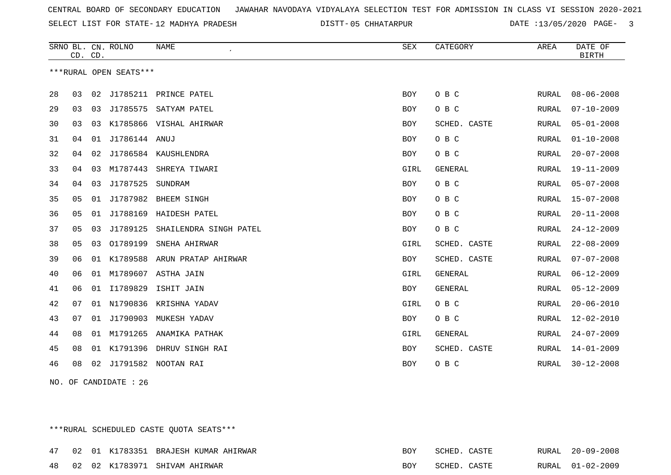SELECT LIST FOR STATE- DISTT- 12 MADHYA PRADESH

05 CHHATARPUR DATE :13/05/2020 PAGE- 3

|    | CD. CD. |    | SRNO BL. CN. ROLNO     | <b>NAME</b>                     | SEX        | CATEGORY       | AREA  | DATE OF<br><b>BIRTH</b> |
|----|---------|----|------------------------|---------------------------------|------------|----------------|-------|-------------------------|
|    |         |    | ***RURAL OPEN SEATS*** |                                 |            |                |       |                         |
| 28 | 03      | 02 |                        | J1785211 PRINCE PATEL           | <b>BOY</b> | O B C          | RURAL | $08 - 06 - 2008$        |
| 29 | 03      | 03 |                        | J1785575 SATYAM PATEL           | <b>BOY</b> | O B C          | RURAL | $07 - 10 - 2009$        |
| 30 | 03      | 03 |                        | K1785866 VISHAL AHIRWAR         | <b>BOY</b> | SCHED. CASTE   | RURAL | $05 - 01 - 2008$        |
| 31 | 04      | 01 | J1786144 ANUJ          |                                 | <b>BOY</b> | O B C          | RURAL | $01 - 10 - 2008$        |
| 32 | 04      | 02 |                        | J1786584 KAUSHLENDRA            | <b>BOY</b> | O B C          | RURAL | $20 - 07 - 2008$        |
| 33 | 04      | 03 | M1787443               | SHREYA TIWARI                   | GIRL       | <b>GENERAL</b> | RURAL | $19 - 11 - 2009$        |
| 34 | 04      | 03 | J1787525               | SUNDRAM                         | <b>BOY</b> | O B C          | RURAL | $05 - 07 - 2008$        |
| 35 | 05      | 01 |                        | J1787982 BHEEM SINGH            | <b>BOY</b> | O B C          | RURAL | $15 - 07 - 2008$        |
| 36 | 05      | 01 |                        | J1788169 HAIDESH PATEL          | <b>BOY</b> | O B C          | RURAL | $20 - 11 - 2008$        |
| 37 | 05      | 03 | J1789125               | SHAILENDRA SINGH PATEL          | <b>BOY</b> | O B C          | RURAL | $24 - 12 - 2009$        |
| 38 | 05      | 03 | 01789199               | SNEHA AHIRWAR                   | GIRL       | SCHED. CASTE   | RURAL | $22 - 08 - 2009$        |
| 39 | 06      |    |                        | 01 K1789588 ARUN PRATAP AHIRWAR | <b>BOY</b> | SCHED. CASTE   | RURAL | $07 - 07 - 2008$        |
| 40 | 06      | 01 | M1789607               | ASTHA JAIN                      | GIRL       | <b>GENERAL</b> | RURAL | $06 - 12 - 2009$        |
| 41 | 06      | 01 | I1789829               | ISHIT JAIN                      | <b>BOY</b> | <b>GENERAL</b> | RURAL | $05 - 12 - 2009$        |
| 42 | 07      |    |                        | 01 N1790836 KRISHNA YADAV       | GIRL       | O B C          | RURAL | $20 - 06 - 2010$        |
| 43 | 07      | 01 | J1790903               | MUKESH YADAV                    | <b>BOY</b> | O B C          | RURAL | $12 - 02 - 2010$        |
| 44 | 08      | 01 | M1791265               | ANAMIKA PATHAK                  | GIRL       | <b>GENERAL</b> | RURAL | $24 - 07 - 2009$        |
| 45 | 08      | 01 | K1791396               | DHRUV SINGH RAI                 | <b>BOY</b> | SCHED. CASTE   | RURAL | $14 - 01 - 2009$        |
| 46 | 08      | 02 |                        | J1791582 NOOTAN RAI             | <b>BOY</b> | O B C          | RURAL | $30 - 12 - 2008$        |

NO. OF CANDIDATE : 26

\*\*\*RURAL SCHEDULED CASTE QUOTA SEATS\*\*\*

|  |  | 47 02 01 K1783351 BRAJESH KUMAR AHIRWAR | BOY | SCHED. CASTE |  | RURAL 20-09-2008 |
|--|--|-----------------------------------------|-----|--------------|--|------------------|
|  |  | 48 02 02 K1783971 SHIVAM AHIRWAR        | BOY | SCHED. CASTE |  | RURAL 01-02-2009 |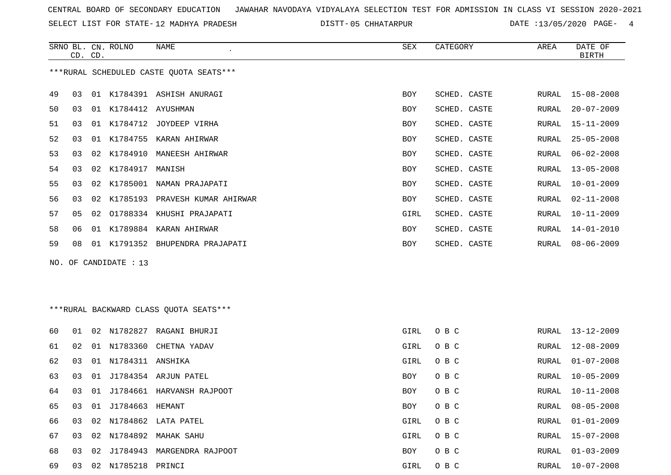SELECT LIST FOR STATE- DISTT- 12 MADHYA PRADESH

05 CHHATARPUR DATE :13/05/2020 PAGE- 4

|    | CD. CD. |    | SRNO BL. CN. ROLNO    | <b>NAME</b>                             | SEX        | CATEGORY     | AREA         | DATE OF<br><b>BIRTH</b> |
|----|---------|----|-----------------------|-----------------------------------------|------------|--------------|--------------|-------------------------|
|    |         |    |                       | ***RURAL SCHEDULED CASTE QUOTA SEATS*** |            |              |              |                         |
| 49 | 03      |    |                       | 01 K1784391 ASHISH ANURAGI              | <b>BOY</b> | SCHED. CASTE | RURAL        | $15 - 08 - 2008$        |
| 50 | 03      |    | 01 K1784412 AYUSHMAN  |                                         | BOY        | SCHED. CASTE | <b>RURAL</b> | $20 - 07 - 2009$        |
| 51 | 03      |    |                       | 01 K1784712 JOYDEEP VIRHA               | BOY        | SCHED. CASTE | RURAL        | $15 - 11 - 2009$        |
| 52 | 03      |    |                       | 01 K1784755 KARAN AHIRWAR               | <b>BOY</b> | SCHED. CASTE | RURAL        | $25 - 05 - 2008$        |
| 53 | 03      |    |                       | 02 K1784910 MANEESH AHIRWAR             | BOY        | SCHED. CASTE | <b>RURAL</b> | $06 - 02 - 2008$        |
| 54 | 03      |    | 02 K1784917 MANISH    |                                         | BOY        | SCHED. CASTE | RURAL        | $13 - 05 - 2008$        |
| 55 | 03      | 02 |                       | K1785001 NAMAN PRAJAPATI                | <b>BOY</b> | SCHED. CASTE | RURAL        | $10 - 01 - 2009$        |
| 56 | 03      |    |                       | 02 K1785193 PRAVESH KUMAR AHIRWAR       | BOY        | SCHED. CASTE | <b>RURAL</b> | $02 - 11 - 2008$        |
| 57 | 05      | 02 |                       | 01788334 KHUSHI PRAJAPATI               | GIRL       | SCHED. CASTE | RURAL        | $10 - 11 - 2009$        |
| 58 | 06      |    |                       | 01 K1789884 KARAN AHIRWAR               | <b>BOY</b> | SCHED. CASTE | RURAL        | $14 - 01 - 2010$        |
| 59 | 08      |    |                       | 01 K1791352 BHUPENDRA PRAJAPATI         | BOY        | SCHED. CASTE | RURAL        | $08 - 06 - 2009$        |
|    |         |    | NO. OF CANDIDATE : 13 |                                         |            |              |              |                         |
|    |         |    |                       |                                         |            |              |              |                         |
|    |         |    |                       |                                         |            |              |              |                         |
|    |         |    |                       | ***RURAL BACKWARD CLASS OUOTA SEATS***  |            |              |              |                         |
| 60 | 01      |    |                       | 02 N1782827 RAGANI BHURJI               | GIRL       | O B C        | RURAL        | $13 - 12 - 2009$        |
| 61 | 02      |    |                       | 01 N1783360 CHETNA YADAV                | GIRL       | O B C        | RURAL        | $12 - 08 - 2009$        |
| 62 | 03      | 01 | N1784311 ANSHIKA      |                                         | GIRL       | O B C        | <b>RURAL</b> | $01 - 07 - 2008$        |
| 63 | 03      |    |                       | 01 J1784354 ARJUN PATEL                 | BOY        | O B C        | RURAL        | $10 - 05 - 2009$        |
| 64 | 03      |    |                       | 01 J1784661 HARVANSH RAJPOOT            | <b>BOY</b> | O B C        | <b>RURAL</b> | $10 - 11 - 2008$        |
| 65 | 03      |    | 01 J1784663 HEMANT    |                                         | BOY        | O B C        | RURAL        | $08 - 05 - 2008$        |
| 66 | 03      |    |                       | 02 N1784862 LATA PATEL                  | GIRL       | O B C        | RURAL        | $01 - 01 - 2009$        |

 03 02 N1784892 MAHAK SAHU GIRL O B C RURAL 15-07-2008 03 02 J1784943 MARGENDRA RAJPOOT BOY O B C RURAL 01-03-2009

03 02 N1785218 PRINCI GIRL O B C RURAL 10-07-2008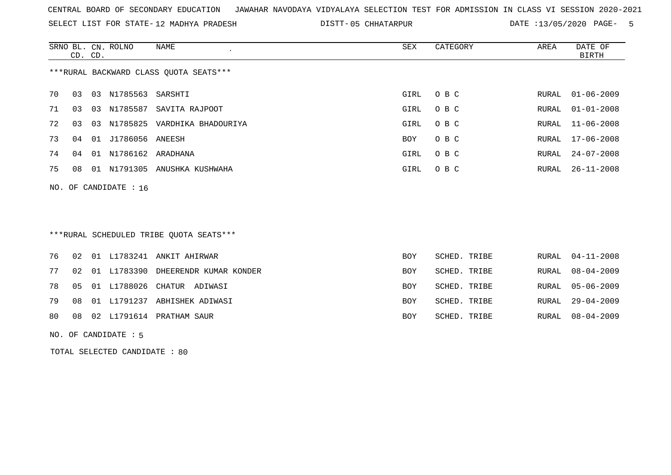SELECT LIST FOR STATE- DISTT- 12 MADHYA PRADESH

05 CHHATARPUR DATE :13/05/2020 PAGE- 5

|                                        |    |         | SRNO BL. CN. ROLNO      | NAME<br>$\epsilon$              | SEX  | CATEGORY | AREA  | DATE OF          |  |  |  |
|----------------------------------------|----|---------|-------------------------|---------------------------------|------|----------|-------|------------------|--|--|--|
|                                        |    | CD. CD. |                         |                                 |      |          |       | <b>BIRTH</b>     |  |  |  |
| ***RURAL BACKWARD CLASS QUOTA SEATS*** |    |         |                         |                                 |      |          |       |                  |  |  |  |
| 70                                     | 03 |         | 03 N1785563 SARSHTI     |                                 | GIRL | O B C    | RURAL | $01 - 06 - 2009$ |  |  |  |
| 71                                     | 03 |         |                         | 03 N1785587 SAVITA RAJPOOT      | GIRL | O B C    | RURAL | $01 - 01 - 2008$ |  |  |  |
| 72                                     | 03 |         |                         | 03 N1785825 VARDHIKA BHADOURIYA | GIRL | O B C    |       | RURAL 11-06-2008 |  |  |  |
| 73                                     | 04 | 01      | J1786056 ANEESH         |                                 | BOY  | O B C    | RURAL | 17-06-2008       |  |  |  |
| 74                                     | 04 |         | 01 N1786162 ARADHANA    |                                 | GIRL | O B C    | RURAL | 24-07-2008       |  |  |  |
| 75                                     | 08 | 01      |                         | N1791305 ANUSHKA KUSHWAHA       | GIRL | O B C    | RURAL | $26 - 11 - 2008$ |  |  |  |
|                                        |    |         | NO. OF CANDIDATE : $16$ |                                 |      |          |       |                  |  |  |  |
|                                        |    |         |                         |                                 |      |          |       |                  |  |  |  |

# \*\*\*RURAL SCHEDULED TRIBE QUOTA SEATS\*\*\*

|  |  | 76 02 01 L1783241 ANKIT AHIRWAR          | <b>BOY</b> | SCHED. TRIBE | RURAL 04-11-2008 |
|--|--|------------------------------------------|------------|--------------|------------------|
|  |  | 77 02 01 L1783390 DHEERENDR KUMAR KONDER | <b>BOY</b> | SCHED. TRIBE | RURAL 08-04-2009 |
|  |  | 78  05  01  L1788026  CHATUR  ADIWASI    | <b>BOY</b> | SCHED. TRIBE | RURAL 05-06-2009 |
|  |  | 79 08 01 L1791237 ABHISHEK ADIWASI       | <b>BOY</b> | SCHED. TRIBE | RURAL 29-04-2009 |
|  |  | 80 08 02 L1791614 PRATHAM SAUR           | BOY        | SCHED. TRIBE | RURAL 08-04-2009 |
|  |  |                                          |            |              |                  |

#### NO. OF CANDIDATE : 5

TOTAL SELECTED CANDIDATE : 80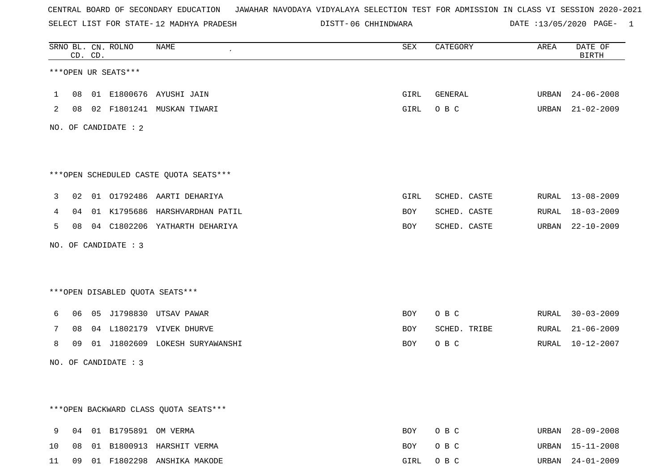SELECT LIST FOR STATE- DISTT- 12 MADHYA PRADESH

|              |    | CD. CD. | SRNO BL. CN. ROLNO      | NAME                                   | SEX  | CATEGORY     | AREA  | DATE OF<br><b>BIRTH</b> |
|--------------|----|---------|-------------------------|----------------------------------------|------|--------------|-------|-------------------------|
|              |    |         | ***OPEN UR SEATS***     |                                        |      |              |       |                         |
| $\mathbf{1}$ |    |         |                         | 08 01 E1800676 AYUSHI JAIN             | GIRL | GENERAL      |       | URBAN 24-06-2008        |
| 2            |    |         |                         | 08 02 F1801241 MUSKAN TIWARI           | GIRL | O B C        |       | URBAN 21-02-2009        |
|              |    |         | NO. OF CANDIDATE : 2    |                                        |      |              |       |                         |
|              |    |         |                         | ***OPEN SCHEDULED CASTE QUOTA SEATS*** |      |              |       |                         |
| 3            |    |         |                         | 02 01 01792486 AARTI DEHARIYA          | GIRL | SCHED. CASTE |       | RURAL 13-08-2009        |
| 4            |    |         |                         | 04 01 K1795686 HARSHVARDHAN PATIL      | BOY  | SCHED. CASTE |       | RURAL 18-03-2009        |
| 5            |    |         |                         | 08 04 C1802206 YATHARTH DEHARIYA       | BOY  | SCHED. CASTE |       | URBAN 22-10-2009        |
|              |    |         | NO. OF CANDIDATE : 3    |                                        |      |              |       |                         |
|              |    |         |                         |                                        |      |              |       |                         |
|              |    |         |                         | ***OPEN DISABLED QUOTA SEATS***        |      |              |       |                         |
| 6            |    |         |                         | 06  05  J1798830  UTSAV PAWAR          | BOY  | O B C        | RURAL | $30 - 03 - 2009$        |
| 7            | 08 |         |                         | 04 L1802179 VIVEK DHURVE               | BOY  | SCHED. TRIBE | RURAL | 21-06-2009              |
| 8            |    |         |                         | 09 01 J1802609 LOKESH SURYAWANSHI      | BOY  | O B C        | RURAL | 10-12-2007              |
|              |    |         | NO. OF CANDIDATE : 3    |                                        |      |              |       |                         |
|              |    |         |                         |                                        |      |              |       |                         |
|              |    |         |                         | *** OPEN BACKWARD CLASS QUOTA SEATS*** |      |              |       |                         |
| 9            |    |         | 04 01 B1795891 OM VERMA |                                        | BOY  | O B C        |       | URBAN 28-09-2008        |
| 10           | 08 |         |                         | 01 B1800913 HARSHIT VERMA              | BOY  | O B C        | URBAN | $15 - 11 - 2008$        |
| 11           |    |         |                         | 09 01 F1802298 ANSHIKA MAKODE          | GIRL | O B C        |       | URBAN 24-01-2009        |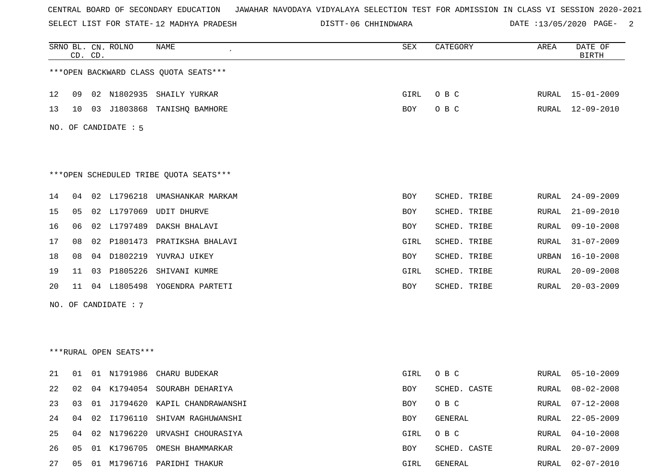SELECT LIST FOR STATE- DISTT- 12 MADHYA PRADESH

|    |    | CD. CD. | SRNO BL. CN. ROLNO     | NAME                                    | SEX        | CATEGORY     | AREA  | DATE OF<br><b>BIRTH</b> |
|----|----|---------|------------------------|-----------------------------------------|------------|--------------|-------|-------------------------|
|    |    |         |                        | *** OPEN BACKWARD CLASS QUOTA SEATS***  |            |              |       |                         |
| 12 | 09 |         |                        | 02 N1802935 SHAILY YURKAR               | GIRL       | O B C        |       | RURAL 15-01-2009        |
| 13 | 10 |         | 03 J1803868            | TANISHO BAMHORE                         | BOY        | O B C        | RURAL | 12-09-2010              |
|    |    |         | NO. OF CANDIDATE : 5   |                                         |            |              |       |                         |
|    |    |         |                        | *** OPEN SCHEDULED TRIBE QUOTA SEATS*** |            |              |       |                         |
| 14 | 04 |         |                        | 02 L1796218 UMASHANKAR MARKAM           | BOY        | SCHED. TRIBE | RURAL | $24 - 09 - 2009$        |
| 15 | 05 | 02      | L1797069               | UDIT DHURVE                             | BOY        | SCHED. TRIBE | RURAL | $21 - 09 - 2010$        |
| 16 | 06 |         |                        | 02 L1797489 DAKSH BHALAVI               | BOY        | SCHED. TRIBE | RURAL | $09 - 10 - 2008$        |
| 17 | 08 | 02      | P1801473               | PRATIKSHA BHALAVI                       | GIRL       | SCHED. TRIBE | RURAL | $31 - 07 - 2009$        |
| 18 | 08 |         |                        | 04 D1802219 YUVRAJ UIKEY                | BOY        | SCHED. TRIBE | URBAN | 16-10-2008              |
| 19 | 11 |         | 03 P1805226            | SHIVANI KUMRE                           | GIRL       | SCHED. TRIBE | RURAL | $20 - 09 - 2008$        |
| 20 | 11 |         |                        | 04 L1805498 YOGENDRA PARTETI            | BOY        | SCHED. TRIBE | RURAL | $20 - 03 - 2009$        |
|    |    |         | NO. OF CANDIDATE : 7   |                                         |            |              |       |                         |
|    |    |         |                        |                                         |            |              |       |                         |
|    |    |         |                        |                                         |            |              |       |                         |
|    |    |         | ***RURAL OPEN SEATS*** |                                         |            |              |       |                         |
| 21 | 01 |         | 01 N1791986            | CHARU BUDEKAR                           | GIRL       | O B C        | RURAL | 05-10-2009              |
| 22 | 02 |         |                        | 04 K1794054 SOURABH DEHARIYA            | BOY        | SCHED. CASTE | RURAL | $08 - 02 - 2008$        |
| 23 | 03 | 01      |                        | J1794620 KAPIL CHANDRAWANSHI            | <b>BOY</b> | O B C        | RURAL | $07 - 12 - 2008$        |
| 24 | 04 | 02      |                        | I1796110 SHIVAM RAGHUWANSHI             | BOY        | GENERAL      | RURAL | $22 - 05 - 2009$        |
| 25 | 04 |         |                        | 02 N1796220 URVASHI CHOURASIYA          | GIRL       | O B C        | RURAL | $04 - 10 - 2008$        |
| 26 | 05 | 01      | K1796705               | OMESH BHAMMARKAR                        | BOY        | SCHED. CASTE | RURAL | $20 - 07 - 2009$        |
| 27 | 05 |         |                        | 01 M1796716 PARIDHI THAKUR              | GIRL       | GENERAL      | RURAL | $02 - 07 - 2010$        |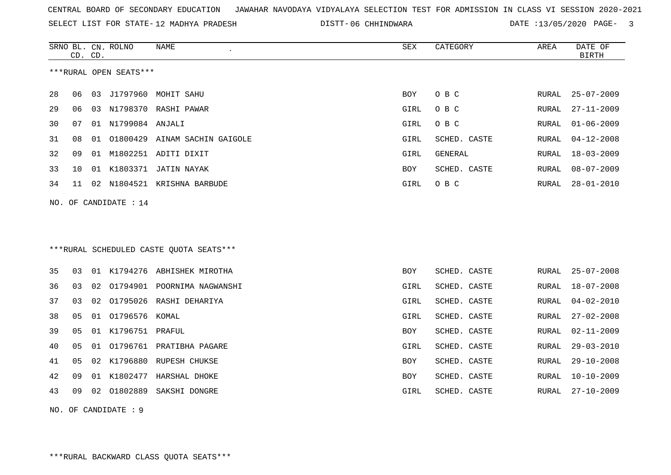SELECT LIST FOR STATE- DISTT- 12 MADHYA PRADESH

|    | CD. CD. |    | SRNO BL. CN. ROLNO      | NAME                                     | SEX        | CATEGORY     | AREA         | DATE OF<br><b>BIRTH</b> |
|----|---------|----|-------------------------|------------------------------------------|------------|--------------|--------------|-------------------------|
|    |         |    | ***RURAL OPEN SEATS***  |                                          |            |              |              |                         |
| 28 | 06      | 03 | J1797960                | MOHIT SAHU                               | BOY        | O B C        | RURAL        | $25 - 07 - 2009$        |
| 29 | 06      |    |                         | 03 N1798370 RASHI PAWAR                  | GIRL       | O B C        | RURAL        | $27 - 11 - 2009$        |
| 30 | 07      |    | 01 N1799084 ANJALI      |                                          | GIRL       | O B C        | RURAL        | $01 - 06 - 2009$        |
| 31 | 08      | 01 |                         | 01800429 AINAM SACHIN GAIGOLE            | GIRL       | SCHED. CASTE | RURAL        | $04 - 12 - 2008$        |
| 32 | 09      |    |                         | 01 M1802251 ADITI DIXIT                  | GIRL       | GENERAL      | RURAL        | $18 - 03 - 2009$        |
| 33 | 10      |    |                         | 01 K1803371 JATIN NAYAK                  | BOY        | SCHED. CASTE | RURAL        | $08 - 07 - 2009$        |
| 34 | 11      |    |                         | 02 N1804521 KRISHNA BARBUDE              | GIRL       | O B C        | RURAL        | $28 - 01 - 2010$        |
|    |         |    | NO. OF CANDIDATE : $14$ |                                          |            |              |              |                         |
|    |         |    |                         |                                          |            |              |              |                         |
|    |         |    |                         |                                          |            |              |              |                         |
|    |         |    |                         | *** RURAL SCHEDULED CASTE QUOTA SEATS*** |            |              |              |                         |
| 35 | 03      |    |                         | 01 K1794276 ABHISHEK MIROTHA             | <b>BOY</b> | SCHED. CASTE | RURAL        | $25 - 07 - 2008$        |
| 36 | 03      | 02 |                         | 01794901 POORNIMA NAGWANSHI              | GIRL       | SCHED. CASTE | RURAL        | 18-07-2008              |
| 37 | 03      | 02 |                         | 01795026 RASHI DEHARIYA                  | GIRL       | SCHED. CASTE | RURAL        | $04 - 02 - 2010$        |
| 38 | 05      |    | 01 01796576 KOMAL       |                                          | GIRL       | SCHED. CASTE | RURAL        | $27 - 02 - 2008$        |
| 39 | 05      |    | 01 K1796751 PRAFUL      |                                          | BOY        | SCHED. CASTE | RURAL        | $02 - 11 - 2009$        |
| 40 | 05      |    |                         | 01 01796761 PRATIBHA PAGARE              | GIRL       | SCHED. CASTE | <b>RURAL</b> | $29 - 03 - 2010$        |
| 41 | 05      |    |                         | 02 K1796880 RUPESH CHUKSE                | BOY        | SCHED. CASTE | RURAL        | $29 - 10 - 2008$        |
| 42 | 09      |    |                         | 01 K1802477 HARSHAL DHOKE                | BOY        | SCHED. CASTE | RURAL        | $10 - 10 - 2009$        |
| 43 | 09      |    |                         | 02 01802889 SAKSHI DONGRE                | GIRL       | SCHED. CASTE | RURAL        | $27 - 10 - 2009$        |
|    |         |    | NO. OF CANDIDATE: 9     |                                          |            |              |              |                         |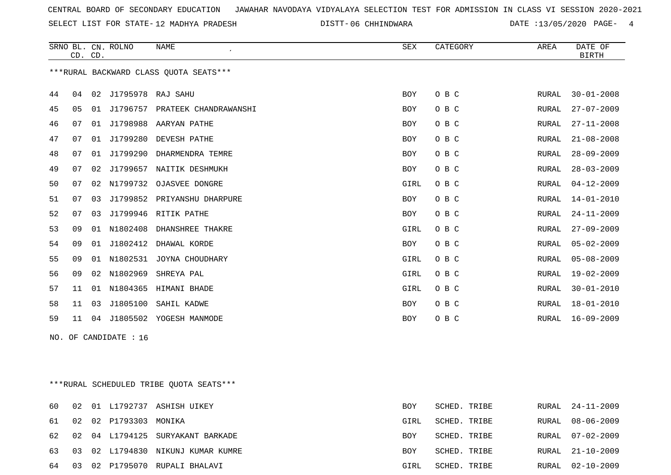SELECT LIST FOR STATE- DISTT- 12 MADHYA PRADESH

|    | CD. CD. |    | SRNO BL. CN. ROLNO    | NAME                                    | SEX        | CATEGORY     | AREA         | DATE OF<br><b>BIRTH</b> |
|----|---------|----|-----------------------|-----------------------------------------|------------|--------------|--------------|-------------------------|
|    |         |    |                       | *** RURAL BACKWARD CLASS QUOTA SEATS*** |            |              |              |                         |
| 44 | 04      |    | 02 J1795978 RAJ SAHU  |                                         | <b>BOY</b> | O B C        | RURAL        | $30 - 01 - 2008$        |
| 45 | 05      | 01 |                       | J1796757 PRATEEK CHANDRAWANSHI          | BOY        | O B C        | RURAL        | $27 - 07 - 2009$        |
| 46 | 07      |    |                       | 01 J1798988 AARYAN PATHE                | BOY        | O B C        | RURAL        | $27 - 11 - 2008$        |
| 47 | 07      | 01 | J1799280              | DEVESH PATHE                            | <b>BOY</b> | O B C        | <b>RURAL</b> | $21 - 08 - 2008$        |
| 48 | 07      |    |                       | 01 J1799290 DHARMENDRA TEMRE            | <b>BOY</b> | O B C        | RURAL        | $28 - 09 - 2009$        |
| 49 | 07      | 02 |                       | J1799657 NAITIK DESHMUKH                | <b>BOY</b> | O B C        | <b>RURAL</b> | $28 - 03 - 2009$        |
| 50 | 07      |    |                       | 02 N1799732 OJASVEE DONGRE              | GIRL       | O B C        | <b>RURAL</b> | $04 - 12 - 2009$        |
| 51 | 07      | 03 |                       | J1799852 PRIYANSHU DHARPURE             | BOY        | O B C        | RURAL        | $14 - 01 - 2010$        |
| 52 | 07      |    |                       | 03 J1799946 RITIK PATHE                 | <b>BOY</b> | O B C        | <b>RURAL</b> | $24 - 11 - 2009$        |
| 53 | 09      |    | 01 N1802408           | DHANSHREE THAKRE                        | GIRL       | O B C        | RURAL        | $27 - 09 - 2009$        |
| 54 | 09      |    |                       | 01 J1802412 DHAWAL KORDE                | <b>BOY</b> | O B C        | <b>RURAL</b> | $05 - 02 - 2009$        |
| 55 | 09      | 01 |                       | N1802531 JOYNA CHOUDHARY                | GIRL       | O B C        | RURAL        | $05 - 08 - 2009$        |
| 56 | 09      | 02 | N1802969              | SHREYA PAL                              | GIRL       | O B C        | <b>RURAL</b> | $19 - 02 - 2009$        |
| 57 | 11      | 01 | N1804365              | HIMANI BHADE                            | GIRL       | O B C        | <b>RURAL</b> | $30 - 01 - 2010$        |
| 58 | 11      | 03 | J1805100              | SAHIL KADWE                             | <b>BOY</b> | O B C        | <b>RURAL</b> | $18 - 01 - 2010$        |
| 59 | 11      |    |                       | 04 J1805502 YOGESH MANMODE              | BOY        | O B C        | RURAL        | $16 - 09 - 2009$        |
|    |         |    | NO. OF CANDIDATE : 16 |                                         |            |              |              |                         |
|    |         |    |                       | ***RURAL SCHEDULED TRIBE QUOTA SEATS*** |            |              |              |                         |
| 60 |         |    |                       | 02 01 L1792737 ASHISH UIKEY             | <b>BOY</b> | SCHED. TRIBE | RURAL        | $24 - 11 - 2009$        |

|  | 61 02 02 P1793303 MONIKA |                                      | GIRL       | SCHED. TRIBE |  | RURAL 08-06-2009 |
|--|--------------------------|--------------------------------------|------------|--------------|--|------------------|
|  |                          | 62 02 04 L1794125 SURYAKANT BARKADE  | <b>BOY</b> | SCHED. TRIBE |  | RURAL 07-02-2009 |
|  |                          | 63 03 02 L1794830 NIKUNJ KUMAR KUMRE | <b>BOY</b> | SCHED. TRIBE |  | RURAL 21-10-2009 |
|  |                          | 64 03 02 P1795070 RUPALI BHALAVI     | GIRL       | SCHED. TRIBE |  | RURAL 02-10-2009 |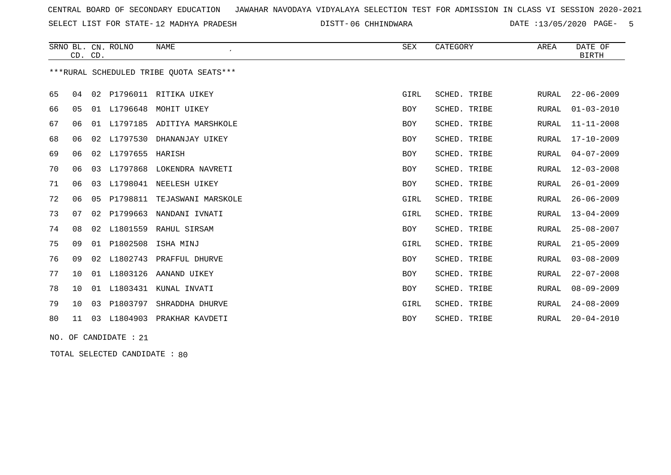SELECT LIST FOR STATE- DISTT- 12 MADHYA PRADESH

06 CHHINDWARA DATE :13/05/2020 PAGE- 5

|    |    | CD. CD. | SRNO BL. CN. ROLNO    | <b>NAME</b><br>$\overline{\phantom{a}}$  | <b>SEX</b> | CATEGORY     | AREA         | DATE OF<br><b>BIRTH</b> |
|----|----|---------|-----------------------|------------------------------------------|------------|--------------|--------------|-------------------------|
|    |    |         |                       | *** RURAL SCHEDULED TRIBE QUOTA SEATS*** |            |              |              |                         |
| 65 | 04 |         |                       | 02 P1796011 RITIKA UIKEY                 | GIRL       | SCHED. TRIBE | RURAL        | $22 - 06 - 2009$        |
| 66 | 05 |         |                       | 01 L1796648 MOHIT UIKEY                  | BOY        | SCHED. TRIBE | <b>RURAL</b> | $01 - 03 - 2010$        |
| 67 | 06 | 01      |                       | L1797185 ADITIYA MARSHKOLE               | BOY        | SCHED. TRIBE | RURAL        | $11 - 11 - 2008$        |
| 68 | 06 | 02      | L1797530              | DHANANJAY UIKEY                          | BOY        | SCHED. TRIBE | RURAL        | $17 - 10 - 2009$        |
| 69 | 06 |         | 02 L1797655           | HARISH                                   | BOY        | SCHED. TRIBE | <b>RURAL</b> | $04 - 07 - 2009$        |
| 70 | 06 | 03      | L1797868              | LOKENDRA NAVRETI                         | BOY        | SCHED. TRIBE | RURAL        | $12 - 03 - 2008$        |
| 71 | 06 | 03      | L1798041              | NEELESH UIKEY                            | BOY        | SCHED. TRIBE | RURAL        | $26 - 01 - 2009$        |
| 72 | 06 | 05      | P1798811              | TEJASWANI MARSKOLE                       | GIRL       | SCHED. TRIBE | RURAL        | $26 - 06 - 2009$        |
| 73 | 07 |         | 02 P1799663           | NANDANI IVNATI                           | GIRL       | SCHED. TRIBE | RURAL        | $13 - 04 - 2009$        |
| 74 | 08 | 02      | L1801559              | RAHUL SIRSAM                             | BOY        | SCHED. TRIBE | RURAL        | $25 - 08 - 2007$        |
| 75 | 09 |         | 01 P1802508           | ISHA MINJ                                | GIRL       | SCHED. TRIBE | RURAL        | $21 - 05 - 2009$        |
| 76 | 09 |         | 02 L1802743           | PRAFFUL DHURVE                           | BOY        | SCHED. TRIBE | RURAL        | $03 - 08 - 2009$        |
| 77 | 10 |         | 01 L1803126           | AANAND UIKEY                             | BOY        | SCHED. TRIBE | RURAL        | $22 - 07 - 2008$        |
| 78 | 10 | 01      | L1803431              | KUNAL INVATI                             | BOY        | SCHED. TRIBE | RURAL        | $08 - 09 - 2009$        |
| 79 | 10 | 03      | P1803797              | SHRADDHA DHURVE                          | GIRL       | SCHED. TRIBE | <b>RURAL</b> | $24 - 08 - 2009$        |
| 80 |    |         |                       | 11 03 L1804903 PRAKHAR KAVDETI           | BOY        | SCHED. TRIBE | RURAL        | $20 - 04 - 2010$        |
|    |    |         | NO. OF CANDIDATE : 21 |                                          |            |              |              |                         |

TOTAL SELECTED CANDIDATE : 80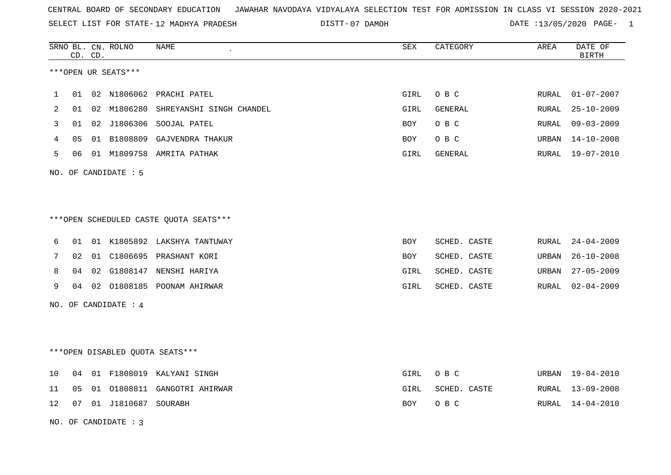SELECT LIST FOR STATE- DISTT- 12 MADHYA PRADESH

07 DAMOH DATE :13/05/2020 PAGE- 1

|    |    | CD. CD. | SRNO BL. CN. ROLNO     | NAME                                    | SEX  | CATEGORY     | AREA  | DATE OF<br><b>BIRTH</b> |
|----|----|---------|------------------------|-----------------------------------------|------|--------------|-------|-------------------------|
|    |    |         | ***OPEN UR SEATS***    |                                         |      |              |       |                         |
| 1  |    |         |                        | 01 02 N1806062 PRACHI PATEL             | GIRL | O B C        | RURAL | $01 - 07 - 2007$        |
| 2  |    |         |                        | 01 02 M1806280 SHREYANSHI SINGH CHANDEL | GIRL | GENERAL      | RURAL | $25 - 10 - 2009$        |
| 3  |    |         |                        | 01 02 J1806306 SOOJAL PATEL             | BOY  | O B C        | RURAL | $09 - 03 - 2009$        |
| 4  | 05 |         |                        | 01 B1808809 GAJVENDRA THAKUR            | BOY  | O B C        | URBAN | $14 - 10 - 2008$        |
| 5  |    |         |                        | 06 01 M1809758 AMRITA PATHAK            | GIRL | GENERAL      | RURAL | $19 - 07 - 2010$        |
|    |    |         | NO. OF CANDIDATE : 5   |                                         |      |              |       |                         |
|    |    |         |                        |                                         |      |              |       |                         |
|    |    |         |                        | ***OPEN SCHEDULED CASTE QUOTA SEATS***  |      |              |       |                         |
| 6  |    |         |                        | 01 01 K1805892 LAKSHYA TANTUWAY         | BOY  | SCHED. CASTE | RURAL | $24 - 04 - 2009$        |
| 7  | 02 |         |                        | 01 C1806695 PRASHANT KORI               | BOY  | SCHED. CASTE | URBAN | $26 - 10 - 2008$        |
| 8  | 04 |         |                        | 02 G1808147 NENSHI HARIYA               | GIRL | SCHED. CASTE | URBAN | $27 - 05 - 2009$        |
| 9  |    |         |                        | 04 02 01808185 POONAM AHIRWAR           | GIRL | SCHED. CASTE | RURAL | $02 - 04 - 2009$        |
|    |    |         | NO. OF CANDIDATE : $4$ |                                         |      |              |       |                         |
|    |    |         |                        |                                         |      |              |       |                         |
|    |    |         |                        | ***OPEN DISABLED QUOTA SEATS***         |      |              |       |                         |
| 10 |    |         |                        | 04 01 F1808019 KALYANI SINGH            | GIRL | O B C        |       | URBAN 19-04-2010        |
| 11 | 05 |         |                        | 01 01808811 GANGOTRI AHIRWAR            | GIRL | SCHED. CASTE | RURAL | 13-09-2008              |
| 12 | 07 |         | 01 J1810687 SOURABH    |                                         | BOY  | O B C        | RURAL | $14 - 04 - 2010$        |

NO. OF CANDIDATE : 3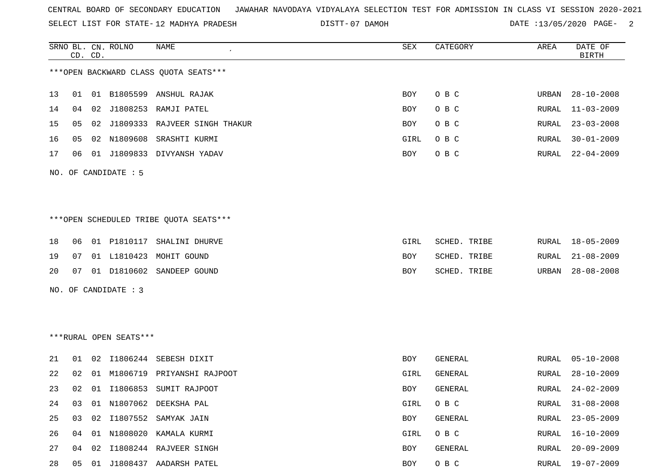SELECT LIST FOR STATE- DISTT- 12 MADHYA PRADESH

07 DAMOH DATE :13/05/2020 PAGE- 2

|    |    | CD. CD. | SRNO BL. CN. ROLNO     | NAME                                   | SEX        | CATEGORY     | AREA  | DATE OF<br><b>BIRTH</b> |
|----|----|---------|------------------------|----------------------------------------|------------|--------------|-------|-------------------------|
|    |    |         |                        | *** OPEN BACKWARD CLASS QUOTA SEATS*** |            |              |       |                         |
| 13 | 01 |         |                        | 01 B1805599 ANSHUL RAJAK               | BOY        | O B C        | URBAN | $28 - 10 - 2008$        |
| 14 | 04 |         |                        | 02 J1808253 RAMJI PATEL                | <b>BOY</b> | O B C        | RURAL | $11 - 03 - 2009$        |
| 15 | 05 |         |                        | 02 J1809333 RAJVEER SINGH THAKUR       | <b>BOY</b> | O B C        | RURAL | $23 - 03 - 2008$        |
| 16 | 05 |         | 02 N1809608            | SRASHTI KURMI                          | GIRL       | O B C        | RURAL | $30 - 01 - 2009$        |
| 17 | 06 |         |                        | 01 J1809833 DIVYANSH YADAV             | <b>BOY</b> | O B C        | RURAL | $22 - 04 - 2009$        |
|    |    |         | NO. OF CANDIDATE : 5   |                                        |            |              |       |                         |
|    |    |         |                        |                                        |            |              |       |                         |
|    |    |         |                        |                                        |            |              |       |                         |
|    |    |         |                        | ***OPEN SCHEDULED TRIBE QUOTA SEATS*** |            |              |       |                         |
| 18 | 06 |         | 01 P1810117            | SHALINI DHURVE                         | GIRL       | SCHED. TRIBE | RURAL | $18 - 05 - 2009$        |
| 19 | 07 |         |                        | 01 L1810423 MOHIT GOUND                | BOY        | SCHED. TRIBE | RURAL | $21 - 08 - 2009$        |
| 20 | 07 |         |                        | 01 D1810602 SANDEEP GOUND              | BOY        | SCHED. TRIBE | URBAN | $28 - 08 - 2008$        |
|    |    |         | NO. OF CANDIDATE : 3   |                                        |            |              |       |                         |
|    |    |         |                        |                                        |            |              |       |                         |
|    |    |         |                        |                                        |            |              |       |                         |
|    |    |         | ***RURAL OPEN SEATS*** |                                        |            |              |       |                         |
| 21 | 01 |         |                        | 02 I1806244 SEBESH DIXIT               | <b>BOY</b> | GENERAL      | RURAL | $05 - 10 - 2008$        |
| 22 | 02 | 01      | M1806719               | PRIYANSHI RAJPOOT                      | GIRL       | GENERAL      | RURAL | $28 - 10 - 2009$        |
| 23 | 02 |         |                        | 01 I1806853 SUMIT RAJPOOT              | BOY        | GENERAL      | RURAL | $24 - 02 - 2009$        |
| 24 | 03 |         |                        | 01 N1807062 DEEKSHA PAL                | GIRL       | O B C        | RURAL | $31 - 08 - 2008$        |
| 25 | 03 |         |                        | 02 I1807552 SAMYAK JAIN                | BOY        | GENERAL      | RURAL | $23 - 05 - 2009$        |
| 26 | 04 |         |                        | 01 N1808020 KAMALA KURMI               | GIRL       | O B C        | RURAL | $16 - 10 - 2009$        |
| 27 | 04 |         |                        | 02 I1808244 RAJVEER SINGH              | BOY        | GENERAL      | RURAL | $20 - 09 - 2009$        |

28 05 01 J1808437 AADARSH PATEL BOY O B C RURAL 19-07-2009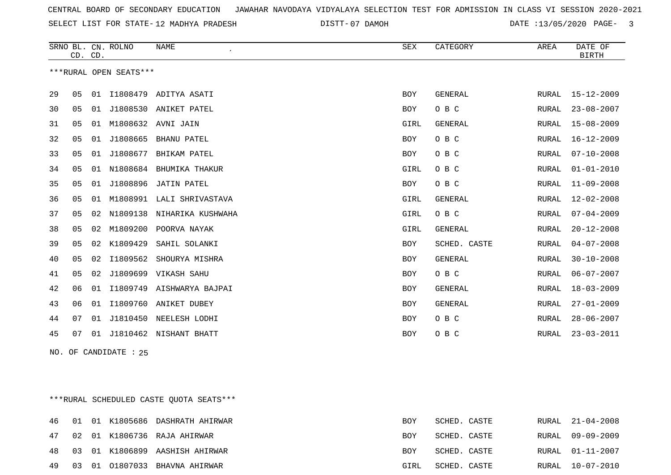| CENTRAL BOARD OF SECONDARY EDUCATION – JAWAHAR NAVODAYA VIDYALAYA SELECTION TEST FOR ADMISSION IN CLASS VI SESSION 2020-2021 |  |
|------------------------------------------------------------------------------------------------------------------------------|--|
|------------------------------------------------------------------------------------------------------------------------------|--|

SELECT LIST FOR STATE- DISTT- 12 MADHYA PRADESH 07 DAMOH DATE :13/05/2020 PAGE- 3

|    | CD. CD. |    | SRNO BL. CN. ROLNO     | <b>NAME</b>           | SEX        | CATEGORY       | AREA         | DATE OF<br><b>BIRTH</b> |
|----|---------|----|------------------------|-----------------------|------------|----------------|--------------|-------------------------|
|    |         |    | ***RURAL OPEN SEATS*** |                       |            |                |              |                         |
| 29 | 05      | 01 |                        | I1808479 ADITYA ASATI | <b>BOY</b> | <b>GENERAL</b> | RURAL        | $15 - 12 - 2009$        |
| 30 | 05      | 01 | J1808530               | ANIKET PATEL          | BOY        | O B C          | RURAL        | $23 - 08 - 2007$        |
| 31 | 05      | 01 | M1808632               | AVNI JAIN             | GIRL       | GENERAL        | <b>RURAL</b> | $15 - 08 - 2009$        |
| 32 | 05      | 01 | J1808665               | BHANU PATEL           | <b>BOY</b> | O B C          | RURAL        | $16 - 12 - 2009$        |
| 33 | 05      | 01 | J1808677               | BHIKAM PATEL          | <b>BOY</b> | O B C          | <b>RURAL</b> | $07 - 10 - 2008$        |
| 34 | 05      | 01 | N1808684               | BHUMIKA THAKUR        | GIRL       | O B C          | RURAL        | $01 - 01 - 2010$        |
| 35 | 05      | 01 | J1808896               | JATIN PATEL           | <b>BOY</b> | O B C          | RURAL        | $11 - 09 - 2008$        |
| 36 | 05      | 01 | M1808991               | LALI SHRIVASTAVA      | GIRL       | GENERAL        | RURAL        | $12 - 02 - 2008$        |
| 37 | 05      | 02 | N1809138               | NIHARIKA KUSHWAHA     | GIRL       | O B C          | RURAL        | $07 - 04 - 2009$        |
| 38 | 05      | 02 | M1809200               | POORVA NAYAK          | GIRL       | <b>GENERAL</b> | <b>RURAL</b> | $20 - 12 - 2008$        |
| 39 | 05      | 02 | K1809429               | SAHIL SOLANKI         | <b>BOY</b> | SCHED. CASTE   | <b>RURAL</b> | $04 - 07 - 2008$        |
| 40 | 05      | 02 | I1809562               | SHOURYA MISHRA        | <b>BOY</b> | GENERAL        | RURAL        | $30 - 10 - 2008$        |
| 41 | 05      | 02 | J1809699               | VIKASH SAHU           | <b>BOY</b> | O B C          | <b>RURAL</b> | $06 - 07 - 2007$        |
| 42 | 06      | 01 | I1809749               | AISHWARYA BAJPAI      | <b>BOY</b> | GENERAL        | RURAL        | $18 - 03 - 2009$        |
| 43 | 06      | 01 | I1809760               | ANIKET DUBEY          | <b>BOY</b> | GENERAL        | RURAL        | $27 - 01 - 2009$        |
| 44 | 07      | 01 | J1810450               | NEELESH LODHI         | BOY        | O B C          | <b>RURAL</b> | $28 - 06 - 2007$        |
| 45 | 07      | 01 | J1810462               | NISHANT BHATT         | <b>BOY</b> | O B C          | RURAL        | $23 - 03 - 2011$        |

NO. OF CANDIDATE : 25

\*\*\*RURAL SCHEDULED CASTE QUOTA SEATS\*\*\*

|  |  | 46 01 01 K1805686 DASHRATH AHIRWAR | BOY  | SCHED. CASTE |  | RURAL 21-04-2008 |
|--|--|------------------------------------|------|--------------|--|------------------|
|  |  | 47 02 01 K1806736 RAJA AHIRWAR     | BOY  | SCHED. CASTE |  | RURAL 09-09-2009 |
|  |  | 48 03 01 K1806899 AASHISH AHIRWAR  | BOY  | SCHED. CASTE |  | RURAL 01-11-2007 |
|  |  | 49 03 01 01807033 BHAVNA AHIRWAR   | GIRL | SCHED. CASTE |  | RURAL 10-07-2010 |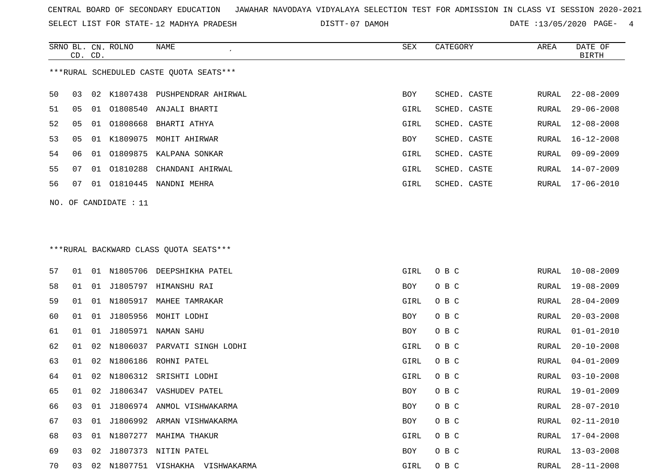SELECT LIST FOR STATE- DISTT- 12 MADHYA PRADESH

SRNO BL. CN.

ROLNO NAME SEX CATEGORY AREA DATE OF

07 DAMOH DATE :13/05/2020 PAGE- 4

|                                         | CD. CD. |    |                       |                                  |            |              |       | <b>BIRTH</b>     |
|-----------------------------------------|---------|----|-----------------------|----------------------------------|------------|--------------|-------|------------------|
| ***RURAL SCHEDULED CASTE QUOTA SEATS*** |         |    |                       |                                  |            |              |       |                  |
| 50                                      | 03      | 02 |                       | K1807438 PUSHPENDRAR AHIRWAL     | <b>BOY</b> | SCHED. CASTE | RURAL | $22 - 08 - 2009$ |
| 51                                      | 05      | 01 |                       | 01808540 ANJALI BHARTI           | GIRL       | SCHED. CASTE | RURAL | $29 - 06 - 2008$ |
| 52                                      | 05      | 01 |                       | 01808668 BHARTI ATHYA            | GIRL       | SCHED. CASTE | RURAL | 12-08-2008       |
| 53                                      | 05      |    | 01 K1809075           | MOHIT AHIRWAR                    | BOY        | SCHED. CASTE | RURAL | $16 - 12 - 2008$ |
| 54                                      | 06      | 01 |                       | 01809875 KALPANA SONKAR          | GIRL       | SCHED. CASTE | RURAL | $09 - 09 - 2009$ |
| 55                                      | 07      | 01 | 01810288              | CHANDANI AHIRWAL                 | GIRL       | SCHED. CASTE | RURAL | $14 - 07 - 2009$ |
| 56                                      | 07      | 01 |                       | 01810445 NANDNI MEHRA            | GIRL       | SCHED. CASTE | RURAL | 17-06-2010       |
|                                         |         |    | NO. OF CANDIDATE : 11 |                                  |            |              |       |                  |
|                                         |         |    |                       |                                  |            |              |       |                  |
| ***RURAL BACKWARD CLASS QUOTA SEATS***  |         |    |                       |                                  |            |              |       |                  |
| 57                                      | 01      |    |                       | 01 N1805706 DEEPSHIKHA PATEL     | GIRL       | O B C        | RURAL | $10 - 08 - 2009$ |
| 58                                      | 01      | 01 |                       | J1805797 HIMANSHU RAI            | BOY        | O B C        | RURAL | 19-08-2009       |
| 59                                      | 01      | 01 |                       | N1805917 MAHEE TAMRAKAR          | GIRL       | O B C        | RURAL | $28 - 04 - 2009$ |
| 60                                      | 01      | 01 |                       | J1805956 MOHIT LODHI             | BOY        | O B C        | RURAL | $20 - 03 - 2008$ |
| 61                                      | 01      | 01 | J1805971              | NAMAN SAHU                       | BOY        | O B C        | RURAL | $01 - 01 - 2010$ |
| 62                                      | 01      | 02 | N1806037              | PARVATI SINGH LODHI              | GIRL       | O B C        | RURAL | $20 - 10 - 2008$ |
| 63                                      | 01      | 02 | N1806186              | ROHNI PATEL                      | GIRL       | O B C        | RURAL | $04 - 01 - 2009$ |
| 64                                      | 01      | 02 | N1806312              | SRISHTI LODHI                    | GIRL       | O B C        | RURAL | $03 - 10 - 2008$ |
| 65                                      | 01      | 02 |                       | J1806347 VASHUDEV PATEL          | BOY        | O B C        | RURAL | 19-01-2009       |
| 66                                      | 03      |    |                       | 01 J1806974 ANMOL VISHWAKARMA    | BOY        | O B C        | RURAL | $28 - 07 - 2010$ |
| 67                                      |         |    |                       | 03 01 J1806992 ARMAN VISHWAKARMA | BOY        | O B C        | RURAL | 02-11-2010       |
| 68                                      | 03      |    |                       | 01 N1807277 MAHIMA THAKUR        | GIRL       | O B C        | RURAL | 17-04-2008       |
| 69                                      | 03      | 02 |                       | J1807373 NITIN PATEL             | BOY        | O B C        | RURAL | $13 - 03 - 2008$ |
| 70                                      | 03      | 02 |                       | N1807751 VISHAKHA VISHWAKARMA    | GIRL       | O B C        | RURAL | $28 - 11 - 2008$ |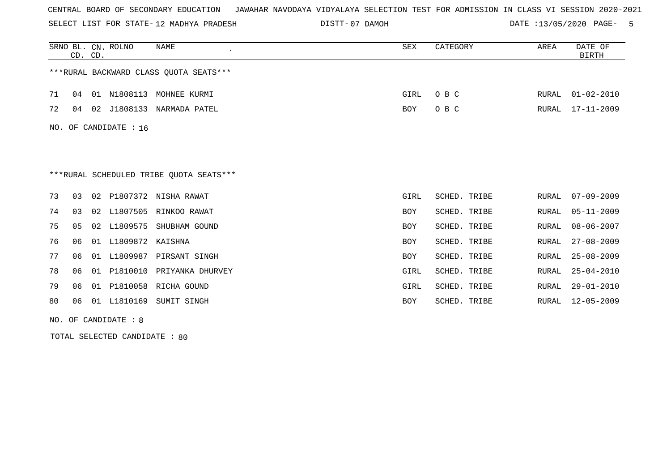SELECT LIST FOR STATE- DISTT- 12 MADHYA PRADESH

07 DAMOH DATE :13/05/2020 PAGE- 5

|                                         | CD. CD.               |    | SRNO BL. CN. ROLNO  | NAME                      | SEX        | CATEGORY     | AREA  | DATE OF<br><b>BIRTH</b> |  |
|-----------------------------------------|-----------------------|----|---------------------|---------------------------|------------|--------------|-------|-------------------------|--|
| *** RURAL BACKWARD CLASS QUOTA SEATS*** |                       |    |                     |                           |            |              |       |                         |  |
| 71                                      | 04                    |    | 01 N1808113         | MOHNEE KURMI              | GIRL       | O B C        | RURAL | $01 - 02 - 2010$        |  |
| 72                                      | 04                    |    |                     | 02 J1808133 NARMADA PATEL | BOY        | O B C        | RURAL | 17-11-2009              |  |
|                                         | NO. OF CANDIDATE : 16 |    |                     |                           |            |              |       |                         |  |
|                                         |                       |    |                     |                           |            |              |       |                         |  |
|                                         |                       |    |                     |                           |            |              |       |                         |  |
| ***RURAL SCHEDULED TRIBE OUOTA SEATS*** |                       |    |                     |                           |            |              |       |                         |  |
| 73                                      | 03                    |    |                     | 02 P1807372 NISHA RAWAT   | GIRL       | SCHED. TRIBE | RURAL | $07 - 09 - 2009$        |  |
| 74                                      | 03                    |    |                     | 02 L1807505 RINKOO RAWAT  | BOY        | SCHED. TRIBE | RURAL | $05 - 11 - 2009$        |  |
| 75                                      | 05                    |    | 02 L1809575         | SHUBHAM GOUND             | <b>BOY</b> | SCHED. TRIBE | RURAL | $08 - 06 - 2007$        |  |
| 76                                      | 06                    |    | 01 L1809872 KAISHNA |                           | <b>BOY</b> | SCHED. TRIBE | RURAL | $27 - 08 - 2009$        |  |
| 77                                      | 06                    | 01 | L1809987            | PIRSANT SINGH             | <b>BOY</b> | SCHED. TRIBE | RURAL | $25 - 08 - 2009$        |  |
| 78                                      | 06                    | 01 |                     | P1810010 PRIYANKA DHURVEY | GIRL       | SCHED. TRIBE | RURAL | $25 - 04 - 2010$        |  |
| 79                                      | 06                    | 01 |                     | P1810058 RICHA GOUND      | GIRL       | SCHED. TRIBE | RURAL | $29 - 01 - 2010$        |  |
| 80                                      | 06                    | 01 | L1810169            | SUMIT SINGH               | <b>BOY</b> | SCHED. TRIBE | RURAL | $12 - 05 - 2009$        |  |

NO. OF CANDIDATE : 8

TOTAL SELECTED CANDIDATE : 80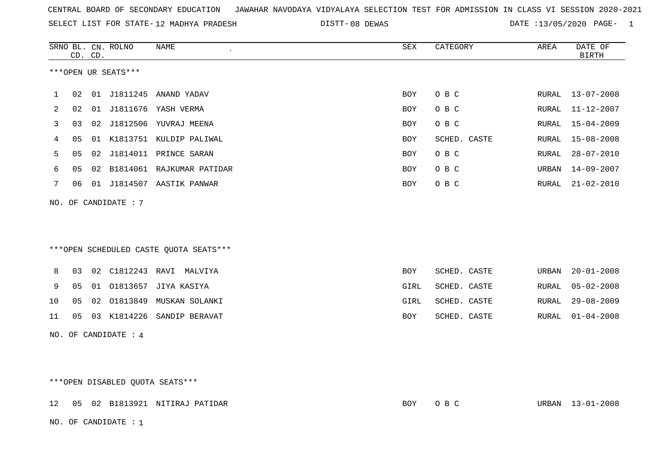| CENTRAL BOARD OF SECONDARY EDUCATION – JAWAHAR NAVODAYA VIDYALAYA SELECTION TEST FOR ADMISSION IN CLASS VI SESSION 2020-2021 |  |
|------------------------------------------------------------------------------------------------------------------------------|--|
|------------------------------------------------------------------------------------------------------------------------------|--|

SELECT LIST FOR STATE-12 MADHYA PRADESH DISTT-08 DEWAS DATE :13/05/2020 PAGE- 1

|                                 |    | CD. CD. | SRNO BL. CN. ROLNO   | <b>NAME</b>                            | ${\tt SEX}$ | CATEGORY     | AREA  | DATE OF<br><b>BIRTH</b> |
|---------------------------------|----|---------|----------------------|----------------------------------------|-------------|--------------|-------|-------------------------|
| ***OPEN UR SEATS***             |    |         |                      |                                        |             |              |       |                         |
| 1                               | 02 |         |                      | 01 J1811245 ANAND YADAV                | <b>BOY</b>  | O B C        |       | RURAL 13-07-2008        |
| 2                               | 02 |         |                      | 01 J1811676 YASH VERMA                 | <b>BOY</b>  | O B C        | RURAL | $11 - 12 - 2007$        |
| 3                               | 03 |         |                      | 02 J1812506 YUVRAJ MEENA               | <b>BOY</b>  | O B C        | RURAL | $15 - 04 - 2009$        |
| 4                               | 05 |         |                      | 01 K1813751 KULDIP PALIWAL             | BOY         | SCHED. CASTE | RURAL | $15 - 08 - 2008$        |
| 5                               | 05 |         |                      | 02 J1814011 PRINCE SARAN               | <b>BOY</b>  | O B C        | RURAL | $28 - 07 - 2010$        |
| 6                               | 05 |         |                      | 02 B1814061 RAJKUMAR PATIDAR           | BOY         | O B C        | URBAN | $14 - 09 - 2007$        |
| 7                               | 06 |         |                      | 01 J1814507 AASTIK PANWAR              | BOY         | O B C        | RURAL | $21 - 02 - 2010$        |
|                                 |    |         | NO. OF CANDIDATE : 7 |                                        |             |              |       |                         |
|                                 |    |         |                      |                                        |             |              |       |                         |
|                                 |    |         |                      |                                        |             |              |       |                         |
|                                 |    |         |                      | ***OPEN SCHEDULED CASTE QUOTA SEATS*** |             |              |       |                         |
| 8                               |    |         |                      | 03  02  C1812243  RAVI  MALVIYA        | <b>BOY</b>  | SCHED. CASTE | URBAN | $20 - 01 - 2008$        |
| 9                               | 05 |         |                      | 01 01813657 JIYA KASIYA                | GIRL        | SCHED. CASTE | RURAL | $05 - 02 - 2008$        |
| 10                              | 05 |         |                      | 02 01813849 MUSKAN SOLANKI             | GIRL        | SCHED. CASTE | RURAL | $29 - 08 - 2009$        |
| 11                              | 05 |         |                      | 03 K1814226 SANDIP BERAVAT             | BOY         | SCHED. CASTE | RURAL | $01 - 04 - 2008$        |
| NO. OF CANDIDATE : 4            |    |         |                      |                                        |             |              |       |                         |
|                                 |    |         |                      |                                        |             |              |       |                         |
|                                 |    |         |                      |                                        |             |              |       |                         |
| ***OPEN DISABLED QUOTA SEATS*** |    |         |                      |                                        |             |              |       |                         |

12 05 02 B1813921 NITIRAJ PATIDAR BOY O B C URBAN 13-01-2008

NO. OF CANDIDATE : 1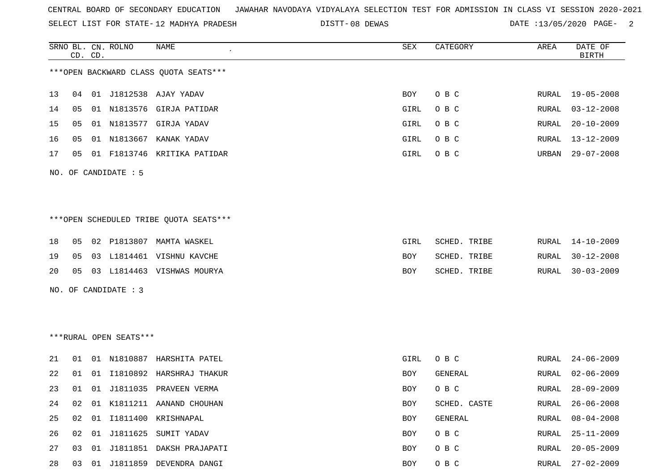SELECT LIST FOR STATE- DISTT- 12 MADHYA PRADESH

08 DEWAS DATE :13/05/2020 PAGE- 2

|    |    | CD. CD. | SRNO BL. CN. ROLNO     | NAME                                   | SEX        | CATEGORY     | AREA  | DATE OF<br><b>BIRTH</b> |
|----|----|---------|------------------------|----------------------------------------|------------|--------------|-------|-------------------------|
|    |    |         |                        | *** OPEN BACKWARD CLASS QUOTA SEATS*** |            |              |       |                         |
| 13 | 04 |         |                        | 01 J1812538 AJAY YADAV                 | BOY        | O B C        | RURAL | $19 - 05 - 2008$        |
| 14 | 05 |         |                        | 01 N1813576 GIRJA PATIDAR              | GIRL       | O B C        | RURAL | $03 - 12 - 2008$        |
| 15 | 05 |         |                        | 01 N1813577 GIRJA YADAV                | GIRL       | O B C        | RURAL | $20 - 10 - 2009$        |
| 16 | 05 |         |                        | 01 N1813667 KANAK YADAV                | GIRL       | O B C        | RURAL | $13 - 12 - 2009$        |
| 17 | 05 |         |                        | 01 F1813746 KRITIKA PATIDAR            | GIRL       | O B C        | URBAN | $29 - 07 - 2008$        |
|    |    |         | NO. OF CANDIDATE : 5   |                                        |            |              |       |                         |
|    |    |         |                        |                                        |            |              |       |                         |
|    |    |         |                        | ***OPEN SCHEDULED TRIBE QUOTA SEATS*** |            |              |       |                         |
| 18 | 05 |         |                        | 02 P1813807 MAMTA WASKEL               | GIRL       | SCHED. TRIBE | RURAL | $14 - 10 - 2009$        |
| 19 | 05 |         |                        | 03 L1814461 VISHNU KAVCHE              | BOY        | SCHED. TRIBE | RURAL | $30 - 12 - 2008$        |
| 20 | 05 |         |                        | 03 L1814463 VISHWAS MOURYA             | BOY        | SCHED. TRIBE | RURAL | $30 - 03 - 2009$        |
|    |    |         | NO. OF CANDIDATE : 3   |                                        |            |              |       |                         |
|    |    |         |                        |                                        |            |              |       |                         |
|    |    |         |                        |                                        |            |              |       |                         |
|    |    |         | ***RURAL OPEN SEATS*** |                                        |            |              |       |                         |
| 21 | 01 |         |                        | 01 N1810887 HARSHITA PATEL             | GIRL       | O B C        | RURAL | $24 - 06 - 2009$        |
| 22 | 01 | 01      |                        | I1810892 HARSHRAJ THAKUR               | BOY        | GENERAL      | RURAL | $02 - 06 - 2009$        |
| 23 | 01 |         |                        | 01 J1811035 PRAVEEN VERMA              | BOY        | O B C        | RURAL | $28 - 09 - 2009$        |
| 24 | 02 |         |                        | 01 K1811211 AANAND CHOUHAN             | BOY        | SCHED. CASTE | RURAL | $26 - 06 - 2008$        |
| 25 | 02 |         |                        | 01 I1811400 KRISHNAPAL                 | BOY        | GENERAL      | RURAL | $08 - 04 - 2008$        |
| 26 | 02 |         |                        | 01 J1811625 SUMIT YADAV                | BOY        | O B C        | RURAL | $25 - 11 - 2009$        |
| 27 | 03 |         |                        | 01 J1811851 DAKSH PRAJAPATI            | <b>BOY</b> | O B C        | RURAL | $20 - 05 - 2009$        |
| 28 |    |         |                        | 03 01 J1811859 DEVENDRA DANGI          | BOY        | $O$ B $C$    | RURAL | $27 - 02 - 2009$        |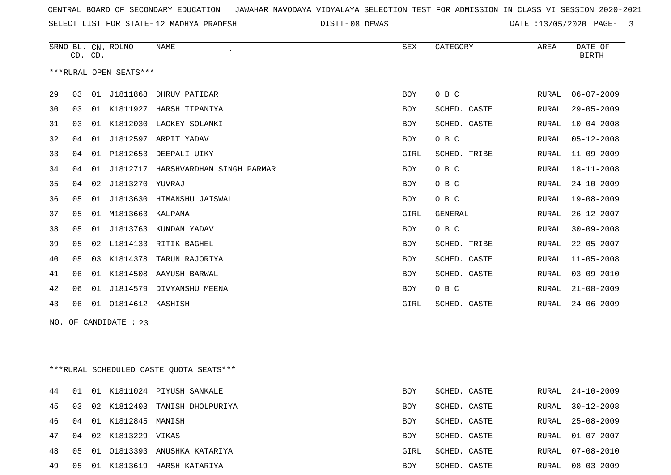SELECT LIST FOR STATE- DISTT- 12 MADHYA PRADESH

08 DEWAS DATE :13/05/2020 PAGE- 3

|    |    | CD. CD. | SRNO BL. CN. ROLNO     | NAME                               | SEX        | CATEGORY       | AREA  | DATE OF<br><b>BIRTH</b> |
|----|----|---------|------------------------|------------------------------------|------------|----------------|-------|-------------------------|
|    |    |         | ***RURAL OPEN SEATS*** |                                    |            |                |       |                         |
| 29 | 03 |         |                        | 01 J1811868 DHRUV PATIDAR          | BOY        | O B C          | RURAL | $06 - 07 - 2009$        |
| 30 | 03 |         |                        | 01 K1811927 HARSH TIPANIYA         | <b>BOY</b> | SCHED. CASTE   | RURAL | $29 - 05 - 2009$        |
| 31 | 03 | 01      |                        | K1812030 LACKEY SOLANKI            | <b>BOY</b> | SCHED. CASTE   | RURAL | $10 - 04 - 2008$        |
| 32 | 04 | 01      |                        | J1812597 ARPIT YADAV               | <b>BOY</b> | O B C          | RURAL | $05 - 12 - 2008$        |
| 33 | 04 | 01      |                        | P1812653 DEEPALI UIKY              | GIRL       | SCHED. TRIBE   | RURAL | $11 - 09 - 2009$        |
| 34 | 04 | 01      |                        | J1812717 HARSHVARDHAN SINGH PARMAR | <b>BOY</b> | O B C          | RURAL | $18 - 11 - 2008$        |
| 35 | 04 | 02      | J1813270 YUVRAJ        |                                    | <b>BOY</b> | O B C          | RURAL | $24 - 10 - 2009$        |
| 36 | 05 | 01      |                        | J1813630 HIMANSHU JAISWAL          | <b>BOY</b> | O B C          | RURAL | $19 - 08 - 2009$        |
| 37 | 05 | 01      | M1813663               | KALPANA                            | GIRL       | <b>GENERAL</b> | RURAL | $26 - 12 - 2007$        |
| 38 | 05 | 01      | J1813763               | KUNDAN YADAV                       | BOY        | O B C          | RURAL | $30 - 09 - 2008$        |
| 39 | 05 | 02      |                        | L1814133 RITIK BAGHEL              | <b>BOY</b> | SCHED. TRIBE   | RURAL | $22 - 05 - 2007$        |
| 40 | 05 | 03      | K1814378               | TARUN RAJORIYA                     | <b>BOY</b> | SCHED. CASTE   | RURAL | $11 - 05 - 2008$        |
| 41 | 06 | 01      | K1814508               | AAYUSH BARWAL                      | <b>BOY</b> | SCHED. CASTE   | RURAL | $03 - 09 - 2010$        |
| 42 | 06 | 01      | J1814579               | DIVYANSHU MEENA                    | BOY        | O B C          | RURAL | $21 - 08 - 2009$        |
| 43 | 06 | 01      | 01814612 KASHISH       |                                    | GIRL       | SCHED. CASTE   | RURAL | $24 - 06 - 2009$        |
|    |    |         |                        |                                    |            |                |       |                         |

NO. OF CANDIDATE : 23

\*\*\*RURAL SCHEDULED CASTE QUOTA SEATS\*\*\*

| 44 01 |    |    |                    | 01 K1811024 PIYUSH SANKALE    | BOY        | SCHED. CASTE |       | RURAL 24-10-2009 |
|-------|----|----|--------------------|-------------------------------|------------|--------------|-------|------------------|
| 45 03 |    |    |                    | 02 K1812403 TANISH DHOLPURIYA | BOY        | SCHED. CASTE |       | RURAL 30-12-2008 |
| 46    | 04 |    | 01 K1812845 MANISH |                               | <b>BOY</b> | SCHED. CASTE |       | RURAL 25-08-2009 |
| 47    | 04 |    | 02 K1813229 VIKAS  |                               | BOY        | SCHED, CASTE |       | RURAL 01-07-2007 |
| 48    | 05 | 01 |                    | . 01813393 ANUSHKA KATARIYA   | GIRL       | SCHED. CASTE | RURAL | 07-08-2010       |
| 49    | 05 | 01 |                    | K1813619 HARSH KATARIYA       | <b>BOY</b> | SCHED, CASTE | RURAL | 08-03-2009       |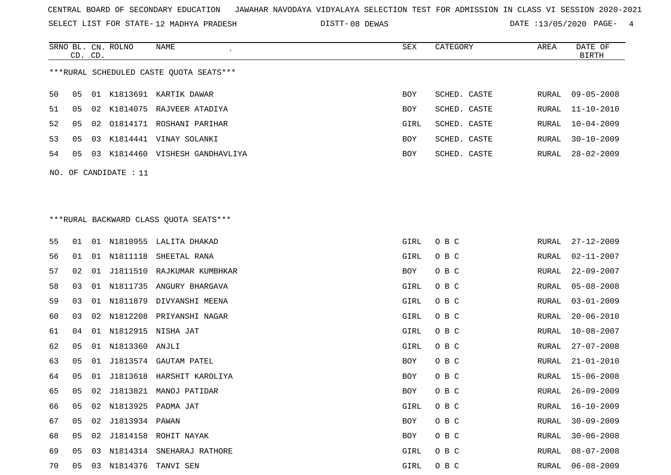SELECT LIST FOR STATE- DISTT- 12 MADHYA PRADESH

SRNO BL. CN.

ROLNO NAME SEX CATEGORY AREA DATE OF

08 DEWAS DATE :13/05/2020 PAGE- 4

|    | CD. CD. |    |                       |                                         |      |              |       | <b>BIRTH</b>     |
|----|---------|----|-----------------------|-----------------------------------------|------|--------------|-------|------------------|
|    |         |    |                       | ***RURAL SCHEDULED CASTE QUOTA SEATS*** |      |              |       |                  |
| 50 | 05      |    |                       | 01 K1813691 KARTIK DAWAR                | BOY  | SCHED. CASTE | RURAL | $09 - 05 - 2008$ |
| 51 | 05      | 02 |                       | K1814075 RAJVEER ATADIYA                | BOY  | SCHED. CASTE | RURAL | $11 - 10 - 2010$ |
| 52 | 05      | 02 |                       | 01814171 ROSHANI PARIHAR                | GIRL | SCHED. CASTE | RURAL | $10 - 04 - 2009$ |
| 53 | 05      |    |                       | 03 K1814441 VINAY SOLANKI               | BOY  | SCHED. CASTE | RURAL | $30 - 10 - 2009$ |
| 54 | 05      |    |                       | 03 K1814460 VISHESH GANDHAVLIYA         | BOY  | SCHED. CASTE | RURAL | $28 - 02 - 2009$ |
|    |         |    | NO. OF CANDIDATE : 11 |                                         |      |              |       |                  |
|    |         |    |                       |                                         |      |              |       |                  |
|    |         |    |                       |                                         |      |              |       |                  |
|    |         |    |                       | *** RURAL BACKWARD CLASS QUOTA SEATS*** |      |              |       |                  |
| 55 | 01      |    |                       | 01 N1810955 LALITA DHAKAD               | GIRL | O B C        | RURAL | $27 - 12 - 2009$ |
| 56 | 01      | 01 | N1811118              | SHEETAL RANA                            | GIRL | O B C        | RURAL | $02 - 11 - 2007$ |
| 57 | 02      | 01 | J1811510              | RAJKUMAR KUMBHKAR                       | BOY  | O B C        | RURAL | $22 - 09 - 2007$ |
| 58 | 03      | 01 |                       | N1811735 ANGURY BHARGAVA                | GIRL | O B C        | RURAL | $05 - 08 - 2008$ |
| 59 | 03      |    | 01 N1811879           | DIVYANSHI MEENA                         | GIRL | O B C        | RURAL | $03 - 01 - 2009$ |
| 60 | 03      | 02 |                       | N1812208 PRIYANSHI NAGAR                | GIRL | O B C        | RURAL | $20 - 06 - 2010$ |
| 61 | 04      | 01 | N1812915              | NISHA JAT                               | GIRL | O B C        | RURAL | $10 - 08 - 2007$ |
| 62 | 05      | 01 | N1813360              | ANJLI                                   | GIRL | O B C        | RURAL | $27 - 07 - 2008$ |
| 63 | 05      | 01 |                       | J1813574 GAUTAM PATEL                   | BOY  | O B C        | RURAL | $21 - 01 - 2010$ |
| 64 | 05      | 01 | J1813618              | HARSHIT KAROLIYA                        | BOY  | O B C        | RURAL | $15 - 06 - 2008$ |
| 65 | 05      | 02 | J1813821              | MANOJ PATIDAR                           | BOY  | O B C        | RURAL | $26 - 09 - 2009$ |
| 66 | 05      |    |                       | 02 N1813925 PADMA JAT                   | GIRL | O B C        | RURAL | $16 - 10 - 2009$ |
| 67 | 05      |    | 02 J1813934 PAWAN     |                                         | BOY  | O B C        | RURAL | $30 - 09 - 2009$ |
| 68 | 05      |    |                       | 02 J1814158 ROHIT NAYAK                 | BOY  | O B C        | RURAL | $30 - 06 - 2008$ |
| 69 | 05      |    | 03 N1814314           | SNEHARAJ RATHORE                        | GIRL | O B C        | RURAL | $08 - 07 - 2008$ |
| 70 | 05      |    | 03 N1814376           | TANVI SEN                               | GIRL | O B C        | RURAL | $06 - 08 - 2009$ |
|    |         |    |                       |                                         |      |              |       |                  |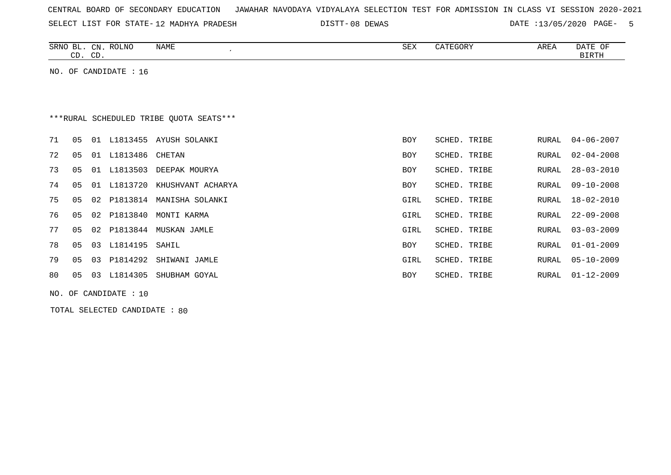|  |  |  |  |  | CENTRAL BOARD OF SECONDARY EDUCATION – JAWAHAR NAVODAYA VIDYALAYA SELECTION TEST FOR ADMISSION IN CLASS VI SESSION 2020-2021 |  |  |  |  |  |  |  |  |  |  |  |  |
|--|--|--|--|--|------------------------------------------------------------------------------------------------------------------------------|--|--|--|--|--|--|--|--|--|--|--|--|
|--|--|--|--|--|------------------------------------------------------------------------------------------------------------------------------|--|--|--|--|--|--|--|--|--|--|--|--|

SELECT LIST FOR STATE- DISTT- 12 MADHYA PRADESH

DISTT-08 DEWAS 6 000 000 000 DATE :13/05/2020 PAGE- 5

| <b>ROLNO</b><br>SRNO<br>BL.<br>$\cap$ <sub>NT</sub><br>◡∸<br>$\sim$<br>CD<br>ىب                                                                                                                                                                                                                                                                                                              | NAME | SEX | CATEGORY | AREA | DATE<br>ОF<br><b>BIRTH</b> |
|----------------------------------------------------------------------------------------------------------------------------------------------------------------------------------------------------------------------------------------------------------------------------------------------------------------------------------------------------------------------------------------------|------|-----|----------|------|----------------------------|
| $\lambda$<br>$CD$ $Q$ $\overline{Q}$ $\overline{Q}$ $\overline{Q}$ $\overline{Q}$ $\overline{Q}$ $\overline{Q}$ $\overline{Q}$ $\overline{Q}$ $\overline{Q}$ $\overline{Q}$ $\overline{Q}$ $\overline{Q}$ $\overline{Q}$ $\overline{Q}$ $\overline{Q}$ $\overline{Q}$ $\overline{Q}$ $\overline{Q}$ $\overline{Q}$ $\overline{Q}$ $\overline{Q}$ $\overline{Q}$ $\overline{Q}$ $\overline{Q$ |      |     |          |      |                            |

NO. OF CANDIDATE : 16

# \*\*\*RURAL SCHEDULED TRIBE QUOTA SEATS\*\*\*

| 71 | 05 | 01   | L1813455        | AYUSH SOLANKI     | <b>BOY</b> | SCHED. TRIBE | RURAL | $04 - 06 - 2007$ |
|----|----|------|-----------------|-------------------|------------|--------------|-------|------------------|
| 72 | 05 | 01   | L1813486 CHETAN |                   | <b>BOY</b> | SCHED. TRIBE | RURAL | 02-04-2008       |
| 73 | 05 | - 01 | L1813503        | DEEPAK MOURYA     | <b>BOY</b> | SCHED. TRIBE | RURAL | 28-03-2010       |
| 74 | 05 | 01   | L1813720        | KHUSHVANT ACHARYA | BOY        | SCHED. TRIBE | RURAL | 09-10-2008       |
| 75 | 05 | 02   | P1813814        | MANISHA SOLANKI   | GIRL       | SCHED. TRIBE | RURAL | $18 - 02 - 2010$ |
| 76 | 05 | 02   | P1813840        | MONTI KARMA       | GIRL       | SCHED. TRIBE | RURAL | 22-09-2008       |
| 77 | 05 | 02   | P1813844        | MUSKAN JAMLE      | GIRL       | SCHED. TRIBE |       | RURAL 03-03-2009 |
| 78 | 05 | 03   | L1814195 SAHIL  |                   | BOY        | SCHED. TRIBE |       | RURAL 01-01-2009 |
| 79 | 05 | 03   | P1814292        | SHIWANI JAMLE     | GIRL       | SCHED. TRIBE | RURAL | $05 - 10 - 2009$ |
| 80 | 05 | 03   | L1814305        | SHUBHAM GOYAL     | <b>BOY</b> | SCHED. TRIBE |       | RURAL 01-12-2009 |
|    |    |      |                 |                   |            |              |       |                  |

NO. OF CANDIDATE : 10

TOTAL SELECTED CANDIDATE : 80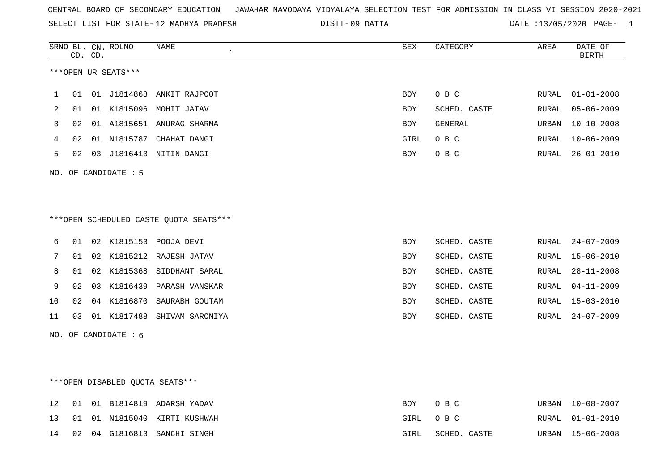| CENTRAL BOARD OF SECONDARY EDUCATION – JAWAHAR NAVODAYA VIDYALAYA SELECTION TEST FOR ADMISSION IN CLASS VI SESSION 2020-2021 |  |
|------------------------------------------------------------------------------------------------------------------------------|--|
|------------------------------------------------------------------------------------------------------------------------------|--|

SELECT LIST FOR STATE-12 MADHYA PRADESH

12 MADHYA PRADESH 09 DATIA DATE :13/05/2020 PAGE- 1

|     | CD. CD. |    | SRNO BL. CN. ROLNO   | <b>NAME</b><br>$\overline{\phantom{a}}$ | ${\tt SEX}$ | CATEGORY       | AREA         | DATE OF<br><b>BIRTH</b> |
|-----|---------|----|----------------------|-----------------------------------------|-------------|----------------|--------------|-------------------------|
|     |         |    | ***OPEN UR SEATS***  |                                         |             |                |              |                         |
| 1   | 01      |    | 01 J1814868          | ANKIT RAJPOOT                           | <b>BOY</b>  | O B C          | RURAL        | $01 - 01 - 2008$        |
| 2   | 01      | 01 | K1815096             | MOHIT JATAV                             | <b>BOY</b>  | SCHED. CASTE   | <b>RURAL</b> | $05 - 06 - 2009$        |
| 3   | 02      |    | 01 A1815651          | ANURAG SHARMA                           | BOY         | <b>GENERAL</b> | URBAN        | $10 - 10 - 2008$        |
| 4   | 02      |    | 01 N1815787          | CHAHAT DANGI                            | GIRL        | O B C          | <b>RURAL</b> | $10 - 06 - 2009$        |
| 5   | 02      |    |                      | 03 J1816413 NITIN DANGI                 | <b>BOY</b>  | O B C          | RURAL        | $26 - 01 - 2010$        |
|     |         |    | NO. OF CANDIDATE : 5 | ***OPEN SCHEDULED CASTE QUOTA SEATS***  |             |                |              |                         |
| 6   | 01      |    |                      | 02 K1815153 POOJA DEVI                  | <b>BOY</b>  | SCHED. CASTE   | <b>RURAL</b> | $24 - 07 - 2009$        |
| 7   | 01      |    | 02 K1815212          | RAJESH JATAV                            | <b>BOY</b>  | SCHED. CASTE   | <b>RURAL</b> | $15 - 06 - 2010$        |
| 8   | 01      |    |                      | 02 K1815368 SIDDHANT SARAL              | <b>BOY</b>  | SCHED. CASTE   | <b>RURAL</b> | $28 - 11 - 2008$        |
| 9   | 02      | 03 | K1816439             | PARASH VANSKAR                          | <b>BOY</b>  | SCHED. CASTE   | <b>RURAL</b> | $04 - 11 - 2009$        |
| 10  | 02      |    | 04 K1816870          | SAURABH GOUTAM                          | <b>BOY</b>  | SCHED. CASTE   | <b>RURAL</b> | $15 - 03 - 2010$        |
| 11  | 03      |    | 01 K1817488          | SHIVAM SARONIYA                         | <b>BOY</b>  | SCHED. CASTE   | <b>RURAL</b> | $24 - 07 - 2009$        |
| NO. |         |    | OF CANDIDATE : 6     |                                         |             |                |              |                         |

\*\*\*OPEN DISABLED QUOTA SEATS\*\*\*

|  |  | 12 01 01 B1814819 ADARSH YADAV  |      | BOY OBC      | URBAN 10-08-2007 |
|--|--|---------------------------------|------|--------------|------------------|
|  |  | 13 01 01 N1815040 KIRTI KUSHWAH |      | GIRL OBC     | RURAL 01-01-2010 |
|  |  | 14 02 04 G1816813 SANCHI SINGH  | GIRL | SCHED. CASTE | URBAN 15-06-2008 |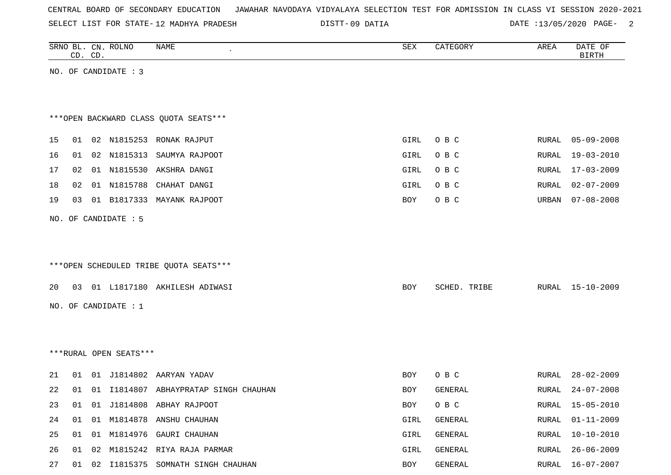|  |  | CENTRAL BOARD OF SECONDARY EDUCATION – JAWAHAR NAVODAYA VIDYALAYA SELECTION TEST FOR ADMISSION IN CLASS VI SESSION 2020-2021 |  |  |  |  |  |  |  |  |  |  |  |  |  |
|--|--|------------------------------------------------------------------------------------------------------------------------------|--|--|--|--|--|--|--|--|--|--|--|--|--|
|--|--|------------------------------------------------------------------------------------------------------------------------------|--|--|--|--|--|--|--|--|--|--|--|--|--|

SELECT LIST FOR STATE- DISTT- 12 MADHYA PRADESH

DISTT-09 DATIA 2000 000 DATE :13/05/2020 PAGE-

|    | CD. CD. |    | SRNO BL. CN. ROLNO     | NAME                                   | ${\tt SEX}$ | CATEGORY     | AREA  | DATE OF<br><b>BIRTH</b> |
|----|---------|----|------------------------|----------------------------------------|-------------|--------------|-------|-------------------------|
|    |         |    | NO. OF CANDIDATE : 3   |                                        |             |              |       |                         |
|    |         |    |                        |                                        |             |              |       |                         |
|    |         |    |                        |                                        |             |              |       |                         |
|    |         |    |                        | ***OPEN BACKWARD CLASS QUOTA SEATS***  |             |              |       |                         |
| 15 |         |    |                        | 01 02 N1815253 RONAK RAJPUT            | GIRL        | O B C        | RURAL | $05 - 09 - 2008$        |
| 16 | 01      |    | 02 N1815313            | SAUMYA RAJPOOT                         | GIRL        | O B C        | RURAL | 19-03-2010              |
| 17 | 02      |    | 01 N1815530            | AKSHRA DANGI                           | GIRL        | O B C        | RURAL | $17 - 03 - 2009$        |
| 18 | 02      |    | 01 N1815788            | CHAHAT DANGI                           | GIRL        | O B C        | RURAL | $02 - 07 - 2009$        |
| 19 | 03      |    |                        | 01 B1817333 MAYANK RAJPOOT             | BOY         | O B C        | URBAN | $07 - 08 - 2008$        |
|    |         |    | NO. OF CANDIDATE : 5   |                                        |             |              |       |                         |
|    |         |    |                        |                                        |             |              |       |                         |
|    |         |    |                        |                                        |             |              |       |                         |
|    |         |    |                        | ***OPEN SCHEDULED TRIBE QUOTA SEATS*** |             |              |       |                         |
| 20 |         |    |                        | 03 01 L1817180 AKHILESH ADIWASI        | BOY         | SCHED. TRIBE | RURAL | 15-10-2009              |
|    |         |    | NO. OF CANDIDATE : 1   |                                        |             |              |       |                         |
|    |         |    |                        |                                        |             |              |       |                         |
|    |         |    |                        |                                        |             |              |       |                         |
|    |         |    | ***RURAL OPEN SEATS*** |                                        |             |              |       |                         |
|    |         |    |                        |                                        |             |              |       |                         |
| 21 |         |    |                        | 01 01 J1814802 AARYAN YADAV            | BOY         | O B C        | RURAL | $28 - 02 - 2009$        |
| 22 | 01      | 01 |                        | I1814807 ABHAYPRATAP SINGH CHAUHAN     | BOY         | GENERAL      | RURAL | $24 - 07 - 2008$        |
| 23 |         |    |                        | 01 01 J1814808 ABHAY RAJPOOT           | BOY         | O B C        | RURAL | 15-05-2010              |
| 24 |         |    |                        | 01 01 M1814878 ANSHU CHAUHAN           | GIRL        | GENERAL      | RURAL | $01 - 11 - 2009$        |
| 25 |         |    |                        | 01 01 M1814976 GAURI CHAUHAN           | GIRL        | GENERAL      | RURAL | $10 - 10 - 2010$        |
| 26 |         |    |                        | 01 02 M1815242 RIYA RAJA PARMAR        | GIRL        | GENERAL      |       | RURAL 26-06-2009        |

27 01 02 I1815375 SOMNATH SINGH CHAUHAN BOY GENERAL BOY GENERAL RURAL 16-07-2007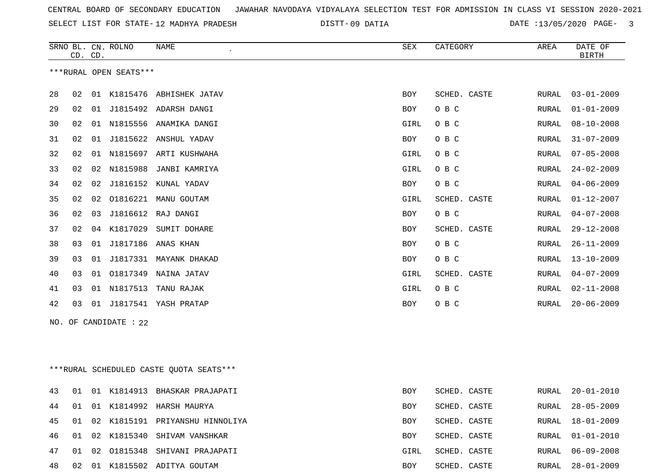SELECT LIST FOR STATE- DISTT- 12 MADHYA PRADESH

09 DATIA DATE :13/05/2020 PAGE- 3

|     | CD. CD. |    | SRNO BL. CN. ROLNO     | NAME                    | <b>SEX</b> | CATEGORY     | AREA         | DATE OF<br><b>BIRTH</b> |
|-----|---------|----|------------------------|-------------------------|------------|--------------|--------------|-------------------------|
|     |         |    | ***RURAL OPEN SEATS*** |                         |            |              |              |                         |
| 28  | 02      | 01 |                        | K1815476 ABHISHEK JATAV | <b>BOY</b> | SCHED. CASTE | RURAL        | $03 - 01 - 2009$        |
| 29  | 02      | 01 |                        | J1815492 ADARSH DANGI   | <b>BOY</b> | O B C        | RURAL        | $01 - 01 - 2009$        |
| 30  | 02      | 01 | N1815556               | ANAMIKA DANGI           | GIRL       | O B C        | RURAL        | $08 - 10 - 2008$        |
| 31  | 02      | 01 | J1815622               | ANSHUL YADAV            | <b>BOY</b> | O B C        | RURAL        | $31 - 07 - 2009$        |
| 32  | 02      | 01 |                        | N1815697 ARTI KUSHWAHA  | GIRL       | O B C        | RURAL        | $07 - 05 - 2008$        |
| 33  | 02      | 02 | N1815988               | JANBI KAMRIYA           | GIRL       | O B C        | RURAL        | $24 - 02 - 2009$        |
| 34  | 02      | 02 |                        | J1816152 KUNAL YADAV    | <b>BOY</b> | O B C        | <b>RURAL</b> | $04 - 06 - 2009$        |
| 35  | 02      | 02 | 01816221               | MANU GOUTAM             | GIRL       | SCHED. CASTE | RURAL        | $01 - 12 - 2007$        |
| 36  | 02      | 03 |                        | J1816612 RAJ DANGI      | <b>BOY</b> | O B C        | RURAL        | $04 - 07 - 2008$        |
| 37  | 02      | 04 | K1817029               | SUMIT DOHARE            | <b>BOY</b> | SCHED. CASTE | <b>RURAL</b> | $29 - 12 - 2008$        |
| 38  | 03      | 01 | J1817186               | ANAS KHAN               | <b>BOY</b> | O B C        | <b>RURAL</b> | $26 - 11 - 2009$        |
| 39  | 03      | 01 | J1817331               | MAYANK DHAKAD           | <b>BOY</b> | O B C        | <b>RURAL</b> | $13 - 10 - 2009$        |
| 40  | 03      | 01 | 01817349               | NAINA JATAV             | GIRL       | SCHED. CASTE | RURAL        | $04 - 07 - 2009$        |
| 41  | 03      | 01 | N1817513               | TANU RAJAK              | GIRL       | O B C        | RURAL        | $02 - 11 - 2008$        |
| 42  | 03      | 01 |                        | J1817541 YASH PRATAP    | <b>BOY</b> | O B C        | <b>RURAL</b> | $20 - 06 - 2009$        |
| NO. |         |    | OF CANDIDATE : 22      |                         |            |              |              |                         |

\*\*\*RURAL SCHEDULED CASTE QUOTA SEATS\*\*\*

| 43    | 01 |  | 01 K1814913 BHASKAR PRAJAPATI   | <b>BOY</b> | SCHED. CASTE | RURAL | 20-01-2010       |
|-------|----|--|---------------------------------|------------|--------------|-------|------------------|
| 44    | 01 |  | 01 K1814992 HARSH MAURYA        | BOY        | SCHED. CASTE | RURAL | $28 - 05 - 2009$ |
| 45    | 01 |  | 02 K1815191 PRIYANSHU HINNOLIYA | BOY        | SCHED. CASTE | RURAL | 18-01-2009       |
| 46 01 |    |  | 02 K1815340 SHIVAM VANSHKAR     | <b>BOY</b> | SCHED. CASTE | RURAL | 01-01-2010       |
| 47    | 01 |  | 02 01815348 SHIVANI PRAJAPATI   | GIRL       | SCHED. CASTE | RURAL | 06-09-2008       |
| 48    | 02 |  | 01 K1815502 ADITYA GOUTAM       | <b>BOY</b> | SCHED, CASTE | RURAL | $28 - 01 - 2009$ |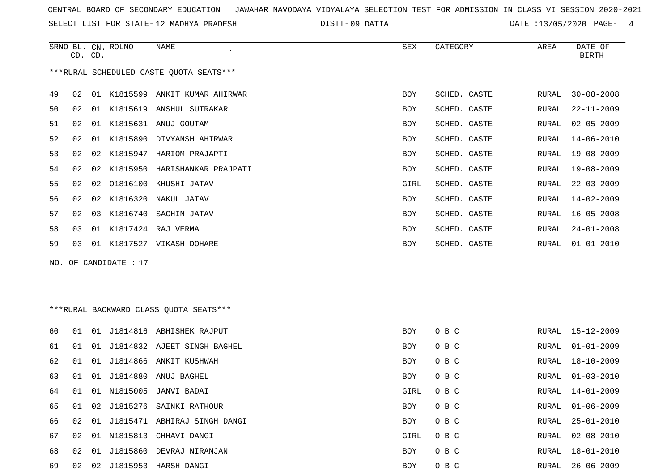SRNO BL. CN. ROLNO NAME SEX CATEGORY AREA DATE OF

SELECT LIST FOR STATE- DISTT- 12 MADHYA PRADESH

09 DATIA DATE :13/05/2020 PAGE- 4

|    |    | CD. CD. |                       |                                         |            |              |       | <b>BIRTH</b>     |
|----|----|---------|-----------------------|-----------------------------------------|------------|--------------|-------|------------------|
|    |    |         |                       | ***RURAL SCHEDULED CASTE QUOTA SEATS*** |            |              |       |                  |
| 49 | 02 |         |                       | 01 K1815599 ANKIT KUMAR AHIRWAR         | <b>BOY</b> | SCHED. CASTE | RURAL | $30 - 08 - 2008$ |
| 50 | 02 |         |                       | 01 K1815619 ANSHUL SUTRAKAR             | BOY        | SCHED. CASTE | RURAL | $22 - 11 - 2009$ |
| 51 | 02 |         |                       | 01 K1815631 ANUJ GOUTAM                 | BOY        | SCHED. CASTE | RURAL | $02 - 05 - 2009$ |
| 52 | 02 |         |                       | 01 K1815890 DIVYANSH AHIRWAR            | BOY        | SCHED. CASTE | RURAL | $14 - 06 - 2010$ |
| 53 | 02 |         |                       | 02 K1815947 HARIOM PRAJAPTI             | BOY        | SCHED. CASTE | RURAL | 19-08-2009       |
| 54 | 02 |         |                       | 02 K1815950 HARISHANKAR PRAJPATI        | BOY        | SCHED. CASTE | RURAL | 19-08-2009       |
| 55 | 02 |         |                       | 02 01816100 KHUSHI JATAV                | GIRL       | SCHED. CASTE | RURAL | $22 - 03 - 2009$ |
| 56 | 02 | 02      | K1816320              | NAKUL JATAV                             | BOY        | SCHED. CASTE | RURAL | 14-02-2009       |
| 57 | 02 | 03      |                       | K1816740 SACHIN JATAV                   | BOY        | SCHED. CASTE | RURAL | $16 - 05 - 2008$ |
| 58 | 03 |         |                       | 01 K1817424 RAJ VERMA                   | BOY        | SCHED. CASTE | RURAL | $24 - 01 - 2008$ |
| 59 | 03 |         |                       | 01 K1817527 VIKASH DOHARE               | BOY        | SCHED. CASTE | RURAL | $01 - 01 - 2010$ |
|    |    |         | NO. OF CANDIDATE : 17 |                                         |            |              |       |                  |
|    |    |         |                       |                                         |            |              |       |                  |
|    |    |         |                       |                                         |            |              |       |                  |
|    |    |         |                       | ***RURAL BACKWARD CLASS QUOTA SEATS***  |            |              |       |                  |
| 60 | 01 |         |                       | 01 J1814816 ABHISHEK RAJPUT             | <b>BOY</b> | O B C        | RURAL | 15-12-2009       |
| 61 | 01 |         |                       | 01 J1814832 AJEET SINGH BAGHEL          | BOY        | O B C        | RURAL | $01 - 01 - 2009$ |
| 62 | 01 |         |                       | 01 J1814866 ANKIT KUSHWAH               | BOY        | O B C        | RURAL | $18 - 10 - 2009$ |
| 63 | 01 |         |                       | 01 J1814880 ANUJ BAGHEL                 | BOY        | O B C        | RURAL | $01 - 03 - 2010$ |
| 64 | 01 |         |                       | 01 N1815005 JANVI BADAI                 | GIRL       | O B C        | RURAL | $14 - 01 - 2009$ |
| 65 | 01 |         |                       | 02 J1815276 SAINKI RATHOUR              | <b>BOY</b> | O B C        | RURAL | $01 - 06 - 2009$ |
| 66 |    |         |                       | 02 01 J1815471 ABHIRAJ SINGH DANGI      | BOY        | O B C        | RURAL | $25 - 01 - 2010$ |
| 67 | 02 |         |                       | 01 N1815813 CHHAVI DANGI                | GIRL       | O B C        | RURAL | $02 - 08 - 2010$ |
| 68 | 02 |         |                       | 01 J1815860 DEVRAJ NIRANJAN             | BOY        | O B C        | RURAL | $18 - 01 - 2010$ |
| 69 | 02 |         |                       | 02 J1815953 HARSH DANGI                 | <b>BOY</b> | O B C        | RURAL | $26 - 06 - 2009$ |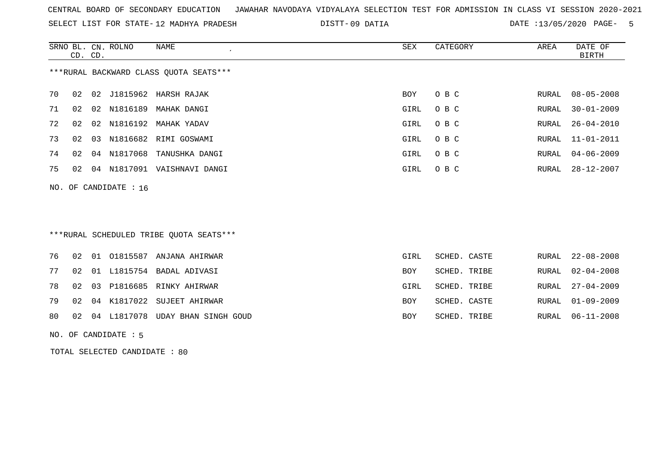SELECT LIST FOR STATE- DISTT- 12 MADHYA PRADESH

09 DATIA DATE :13/05/2020 PAGE- 5

|    | CD. CD. |    | SRNO BL. CN. ROLNO      | NAME                                   | SEX  | CATEGORY | AREA  | DATE OF<br>BIRTH |
|----|---------|----|-------------------------|----------------------------------------|------|----------|-------|------------------|
|    |         |    |                         | ***RURAL BACKWARD CLASS QUOTA SEATS*** |      |          |       |                  |
| 70 | 02      |    |                         | 02 J1815962 HARSH RAJAK                | BOY  | O B C    |       | RURAL 08-05-2008 |
| 71 | 02      |    | 02 N1816189             | MAHAK DANGI                            | GIRL | O B C    | RURAL | $30 - 01 - 2009$ |
| 72 | 02      |    |                         | 02 N1816192 MAHAK YADAV                | GIRL | O B C    | RURAL | $26 - 04 - 2010$ |
| 73 | 02      | 03 |                         | N1816682 RIMI GOSWAMI                  | GIRL | O B C    |       | RURAL 11-01-2011 |
| 74 | 02      | 04 |                         | N1817068 TANUSHKA DANGI                | GIRL | O B C    |       | RURAL 04-06-2009 |
| 75 | 02      | 04 | N1817091                | VAISHNAVI DANGI                        | GIRL | O B C    | RURAL | 28-12-2007       |
|    |         |    | NO. OF CANDIDATE : $16$ |                                        |      |          |       |                  |

## \*\*\*RURAL SCHEDULED TRIBE QUOTA SEATS\*\*\*

|  |  | 76 02 01 01815587 ANJANA AHIRWAR       | GIRL | SCHED. CASTE | RURAL 22-08-2008 |
|--|--|----------------------------------------|------|--------------|------------------|
|  |  | 77 02 01 L1815754 BADAL ADIVASI        | BOY  | SCHED. TRIBE | RURAL 02-04-2008 |
|  |  | 78 02 03 P1816685 RINKY AHIRWAR        | GIRL | SCHED. TRIBE | RURAL 27-04-2009 |
|  |  | 79 02 04 K1817022 SUJEET AHIRWAR       | BOY  | SCHED. CASTE | RURAL 01-09-2009 |
|  |  | 80 02 04 L1817078 UDAY BHAN SINGH GOUD | BOY  | SCHED. TRIBE | RURAL 06-11-2008 |
|  |  |                                        |      |              |                  |

NO. OF CANDIDATE : 5

TOTAL SELECTED CANDIDATE : 80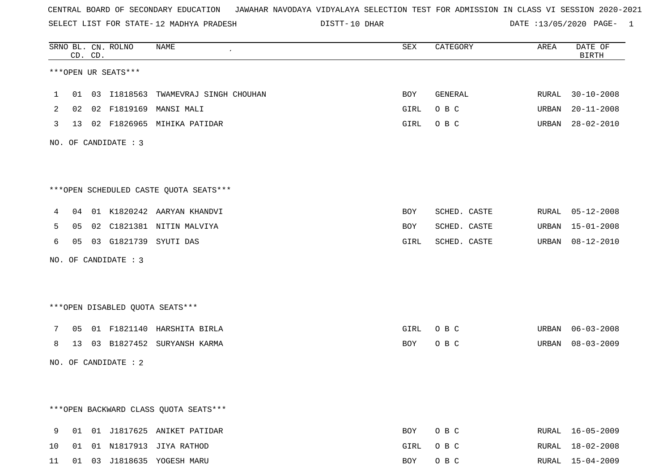SELECT LIST FOR STATE- DISTT- 12 MADHYA PRADESH

10 DHAR DATE :13/05/2020 PAGE- 1

|    |    | CD. CD. | SRNO BL. CN. ROLNO   | NAME                                   | SEX  | CATEGORY     | AREA  | DATE OF<br><b>BIRTH</b> |
|----|----|---------|----------------------|----------------------------------------|------|--------------|-------|-------------------------|
|    |    |         | ***OPEN UR SEATS***  |                                        |      |              |       |                         |
| 1  |    |         |                      | 01 03 I1818563 TWAMEVRAJ SINGH CHOUHAN | BOY  | GENERAL      | RURAL | $30 - 10 - 2008$        |
| 2  |    |         |                      | 02  02  F1819169  MANSI  MALI          | GIRL | O B C        | URBAN | $20 - 11 - 2008$        |
| 3  |    |         |                      | 13 02 F1826965 MIHIKA PATIDAR          | GIRL | O B C        | URBAN | $28 - 02 - 2010$        |
|    |    |         | NO. OF CANDIDATE : 3 |                                        |      |              |       |                         |
|    |    |         |                      | ***OPEN SCHEDULED CASTE QUOTA SEATS*** |      |              |       |                         |
| 4  |    |         |                      | 04 01 K1820242 AARYAN KHANDVI          | BOY  | SCHED. CASTE | RURAL | $05 - 12 - 2008$        |
| 5  | 05 |         |                      | 02 C1821381 NITIN MALVIYA              | BOY  | SCHED. CASTE | URBAN | $15 - 01 - 2008$        |
| 6  | 05 |         |                      | 03 G1821739 SYUTI DAS                  | GIRL | SCHED. CASTE | URBAN | 08-12-2010              |
|    |    |         | NO. OF CANDIDATE : 3 |                                        |      |              |       |                         |
|    |    |         |                      | ***OPEN DISABLED QUOTA SEATS***        |      |              |       |                         |
| 7  | 05 |         |                      | 01 F1821140 HARSHITA BIRLA             | GIRL | O B C        | URBAN | $06 - 03 - 2008$        |
| 8  |    |         |                      | 13 03 B1827452 SURYANSH KARMA          | BOY  | O B C        | URBAN | $08 - 03 - 2009$        |
|    |    |         | NO. OF CANDIDATE : 2 |                                        |      |              |       |                         |
|    |    |         |                      |                                        |      |              |       |                         |
|    |    |         |                      | *** OPEN BACKWARD CLASS QUOTA SEATS*** |      |              |       |                         |
| 9  |    |         |                      | 01 01 J1817625 ANIKET PATIDAR          | BOY  | O B C        |       | RURAL 16-05-2009        |
| 10 | 01 |         |                      | 01 N1817913 JIYA RATHOD                | GIRL | O B C        | RURAL | 18-02-2008              |
| 11 | 01 |         |                      | 03 J1818635 YOGESH MARU                | BOY  | O B C        |       | RURAL 15-04-2009        |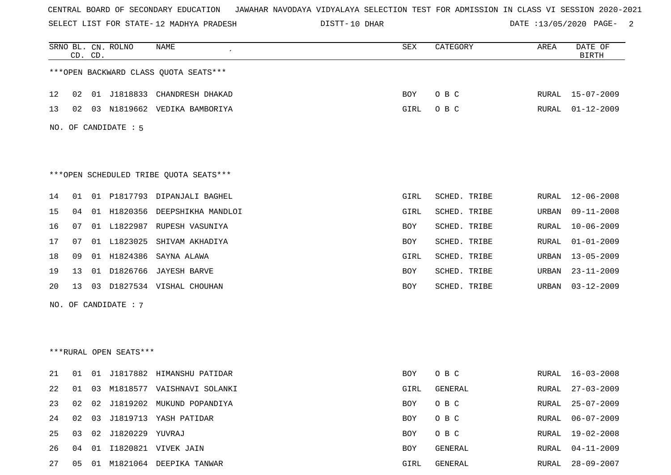SELECT LIST FOR STATE- DISTT- 12 MADHYA PRADESH

DISTT-10 DHAR DATE :13/05/2020 PAGE- 2

|    |    | CD. CD. | SRNO BL. CN. ROLNO       | <b>NAME</b>                            | <b>SEX</b> | CATEGORY     | AREA  | DATE OF<br><b>BIRTH</b> |
|----|----|---------|--------------------------|----------------------------------------|------------|--------------|-------|-------------------------|
|    |    |         |                          | *** OPEN BACKWARD CLASS QUOTA SEATS*** |            |              |       |                         |
| 12 | 02 |         |                          | 01 J1818833 CHANDRESH DHAKAD           | BOY        | O B C        |       | RURAL 15-07-2009        |
| 13 | 02 |         |                          | 03 N1819662 VEDIKA BAMBORIYA           | GIRL       | O B C        | RURAL | $01 - 12 - 2009$        |
|    |    |         | NO. OF CANDIDATE : 5     |                                        |            |              |       |                         |
|    |    |         |                          |                                        |            |              |       |                         |
|    |    |         |                          | ***OPEN SCHEDULED TRIBE QUOTA SEATS*** |            |              |       |                         |
| 14 | 01 |         |                          | 01 P1817793 DIPANJALI BAGHEL           | GIRL       | SCHED. TRIBE | RURAL | $12 - 06 - 2008$        |
| 15 | 04 |         | 01 H1820356              | DEEPSHIKHA MANDLOI                     | GIRL       | SCHED. TRIBE | URBAN | $09 - 11 - 2008$        |
| 16 | 07 |         |                          | 01 L1822987 RUPESH VASUNIYA            | BOY        | SCHED. TRIBE | RURAL | $10 - 06 - 2009$        |
| 17 | 07 |         | 01 L1823025              | SHIVAM AKHADIYA                        | BOY        | SCHED. TRIBE | RURAL | $01 - 01 - 2009$        |
| 18 | 09 |         |                          | 01 H1824386 SAYNA ALAWA                | GIRL       | SCHED. TRIBE | URBAN | $13 - 05 - 2009$        |
| 19 | 13 |         |                          | 01 D1826766 JAYESH BARVE               | BOY        | SCHED. TRIBE | URBAN | $23 - 11 - 2009$        |
| 20 | 13 |         |                          | 03 D1827534 VISHAL CHOUHAN             | BOY        | SCHED. TRIBE | URBAN | $03 - 12 - 2009$        |
|    |    |         | NO. OF CANDIDATE : 7     |                                        |            |              |       |                         |
|    |    |         |                          |                                        |            |              |       |                         |
|    |    |         |                          |                                        |            |              |       |                         |
|    |    |         | ***RURAL OPEN SEATS***   |                                        |            |              |       |                         |
| 21 | 01 |         |                          | 01 J1817882 HIMANSHU PATIDAR           | BOY        | O B C        |       | RURAL 16-03-2008        |
| 22 |    |         |                          | 01 03 M1818577 VAISHNAVI SOLANKI       | GIRL       | GENERAL      | RURAL | $27 - 03 - 2009$        |
| 23 | 02 |         |                          | 02 J1819202 MUKUND POPANDIYA           | BOY        | O B C        | RURAL | $25 - 07 - 2009$        |
| 24 | 02 |         |                          | 03 J1819713 YASH PATIDAR               | <b>BOY</b> | O B C        | RURAL | $06 - 07 - 2009$        |
| 25 |    |         | 03  02  J1820229  YUVRAJ |                                        | BOY        | O B C        | RURAL | $19 - 02 - 2008$        |
| 26 | 04 |         |                          | 01 I1820821 VIVEK JAIN                 | BOY        | GENERAL      | RURAL | $04 - 11 - 2009$        |
| 27 |    |         |                          | 05 01 M1821064 DEEPIKA TANWAR          | GIRL       | GENERAL      |       | RURAL 28-09-2007        |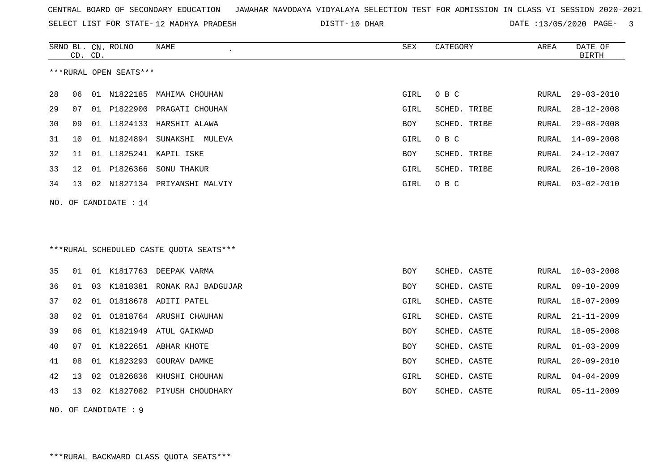| CENTRAL BOARD OF SECONDARY EDUCATION GUNAHAR NAVODAYA VIDYALAYA SELECTION TEST FOR ADMISSION IN CLASS VI SESSION 2020-2021 |  |  |  |  |  |  |  |  |  |  |  |  |  |  |  |  |  |  |
|----------------------------------------------------------------------------------------------------------------------------|--|--|--|--|--|--|--|--|--|--|--|--|--|--|--|--|--|--|
|----------------------------------------------------------------------------------------------------------------------------|--|--|--|--|--|--|--|--|--|--|--|--|--|--|--|--|--|--|

SELECT LIST FOR STATE-12 MADHYA PRADESH

12 MADHYA PRADESH 10 DHAR DATE :13/05/2020 PAGE- 3

|    |    | CD. CD. | SRNO BL. CN. ROLNO     | NAME<br>$\epsilon$                      | SEX        | CATEGORY     | AREA         | DATE OF<br><b>BIRTH</b> |
|----|----|---------|------------------------|-----------------------------------------|------------|--------------|--------------|-------------------------|
|    |    |         | ***RURAL OPEN SEATS*** |                                         |            |              |              |                         |
| 28 | 06 |         | 01 N1822185            | MAHIMA CHOUHAN                          | GIRL       | O B C        | RURAL        | $29 - 03 - 2010$        |
| 29 | 07 |         |                        | 01 P1822900 PRAGATI CHOUHAN             | GIRL       | SCHED. TRIBE | RURAL        | $28 - 12 - 2008$        |
| 30 | 09 |         |                        | 01 L1824133 HARSHIT ALAWA               | BOY        | SCHED. TRIBE | RURAL        | $29 - 08 - 2008$        |
| 31 | 10 |         |                        | 01 N1824894 SUNAKSHI MULEVA             | GIRL       | O B C        | RURAL        | $14 - 09 - 2008$        |
| 32 | 11 |         |                        | 01 L1825241 KAPIL ISKE                  | BOY        | SCHED. TRIBE | RURAL        | $24 - 12 - 2007$        |
| 33 | 12 |         | 01 P1826366            | SONU THAKUR                             | GIRL       | SCHED. TRIBE | RURAL        | $26 - 10 - 2008$        |
| 34 | 13 |         |                        | 02 N1827134 PRIYANSHI MALVIY            | GIRL       | O B C        | RURAL        | $03 - 02 - 2010$        |
|    |    |         | NO. OF CANDIDATE : 14  |                                         |            |              |              |                         |
|    |    |         |                        |                                         |            |              |              |                         |
|    |    |         |                        |                                         |            |              |              |                         |
|    |    |         |                        | ***RURAL SCHEDULED CASTE QUOTA SEATS*** |            |              |              |                         |
|    |    |         |                        |                                         |            |              |              |                         |
| 35 | 01 |         |                        | 01 K1817763 DEEPAK VARMA                | BOY        | SCHED. CASTE | RURAL        | $10 - 03 - 2008$        |
| 36 | 01 | 03      |                        | K1818381 RONAK RAJ BADGUJAR             | BOY        | SCHED. CASTE | RURAL        | $09 - 10 - 2009$        |
| 37 | 02 | 01      | 01818678               | ADITI PATEL                             | GIRL       | SCHED. CASTE | RURAL        | $18 - 07 - 2009$        |
| 38 | 02 | 01      |                        | 01818764 ARUSHI CHAUHAN                 | GIRL       | SCHED. CASTE | RURAL        | $21 - 11 - 2009$        |
| 39 | 06 | 01      | K1821949               | ATUL GAIKWAD                            | <b>BOY</b> | SCHED. CASTE | RURAL        | $18 - 05 - 2008$        |
| 40 | 07 | 01      |                        | K1822651 ABHAR KHOTE                    | BOY        | SCHED. CASTE | <b>RURAL</b> | $01 - 03 - 2009$        |
| 41 | 08 | 01      | K1823293               | <b>GOURAV DAMKE</b>                     | BOY        | SCHED. CASTE | RURAL        | $20 - 09 - 2010$        |
| 42 | 13 | 02      | 01826836               | KHUSHI CHOUHAN                          | GIRL       | SCHED. CASTE | RURAL        | $04 - 04 - 2009$        |
| 43 | 13 | 02      |                        | K1827082 PIYUSH CHOUDHARY               | <b>BOY</b> | SCHED. CASTE | RURAL        | $05 - 11 - 2009$        |
|    |    |         | NO. OF CANDIDATE : 9   |                                         |            |              |              |                         |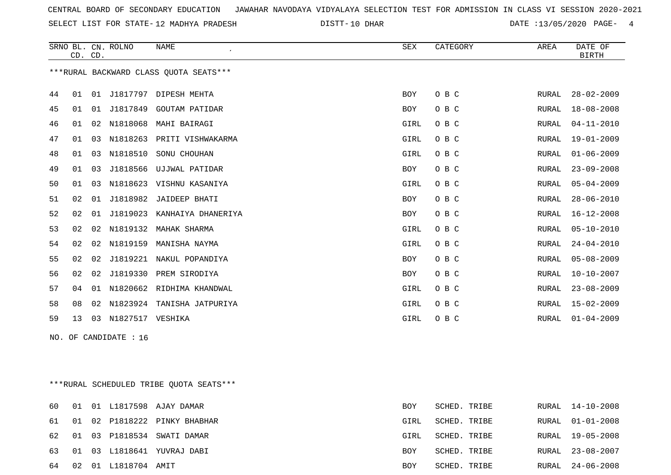SELECT LIST FOR STATE- DISTT- 12 MADHYA PRADESH

DISTT-10 DHAR 2001 2002 DATE :13/05/2020 PAGE- 4

|    |    | CD. CD. | SRNO BL. CN. ROLNO | <b>NAME</b>                             | SEX        | CATEGORY | AREA         | DATE OF<br><b>BIRTH</b> |
|----|----|---------|--------------------|-----------------------------------------|------------|----------|--------------|-------------------------|
|    |    |         |                    | *** RURAL BACKWARD CLASS QUOTA SEATS*** |            |          |              |                         |
| 44 | 01 | 01      |                    | J1817797 DIPESH MEHTA                   | BOY        | O B C    | RURAL        | $28 - 02 - 2009$        |
| 45 | 01 | 01      | J1817849           | <b>GOUTAM PATIDAR</b>                   | BOY        | O B C    | RURAL        | $18 - 08 - 2008$        |
| 46 | 01 | 02      | N1818068           | MAHI BAIRAGI                            | GIRL       | O B C    | <b>RURAL</b> | $04 - 11 - 2010$        |
| 47 | 01 | 03      | N1818263           | PRITI VISHWAKARMA                       | GIRL       | O B C    | <b>RURAL</b> | $19 - 01 - 2009$        |
| 48 | 01 |         | 03 N1818510        | SONU CHOUHAN                            | GIRL       | O B C    | <b>RURAL</b> | $01 - 06 - 2009$        |
| 49 | 01 | 03      |                    | J1818566 UJJWAL PATIDAR                 | BOY        | O B C    | RURAL        | $23 - 09 - 2008$        |
| 50 | 01 | 03      | N1818623           | VISHNU KASANIYA                         | GIRL       | O B C    | RURAL        | $05 - 04 - 2009$        |
| 51 | 02 | 01      | J1818982           | JAIDEEP BHATI                           | BOY        | O B C    | RURAL        | $28 - 06 - 2010$        |
| 52 | 02 | 01      | J1819023           | KANHAIYA DHANERIYA                      | <b>BOY</b> | O B C    | RURAL        | $16 - 12 - 2008$        |
| 53 | 02 | 02      | N1819132           | MAHAK SHARMA                            | GIRL       | O B C    | <b>RURAL</b> | $05 - 10 - 2010$        |
| 54 | 02 | 02      | N1819159           | MANISHA NAYMA                           | GIRL       | O B C    | RURAL        | $24 - 04 - 2010$        |
| 55 | 02 | 02      | J1819221           | NAKUL POPANDIYA                         | BOY        | O B C    | <b>RURAL</b> | $05 - 08 - 2009$        |
| 56 | 02 | 02      | J1819330           | PREM SIRODIYA                           | BOY        | O B C    | RURAL        | $10 - 10 - 2007$        |
| 57 | 04 | 01      | N1820662           | RIDHIMA KHANDWAL                        | GIRL       | O B C    | RURAL        | $23 - 08 - 2009$        |
| 58 | 08 | 02      | N1823924           | TANISHA JATPURIYA                       | GIRL       | O B C    | <b>RURAL</b> | $15 - 02 - 2009$        |
| 59 | 13 | 03      | N1827517           | VESHIKA                                 | GIRL       | O B C    | RURAL        | $01 - 04 - 2009$        |

NO. OF CANDIDATE : 16

\*\*\*RURAL SCHEDULED TRIBE QUOTA SEATS\*\*\*

|       |  |                  | 60 01 01 L1817598 AJAY DAMAR    | <b>BOY</b> | SCHED. TRIBE |       | RURAL 14-10-2008 |
|-------|--|------------------|---------------------------------|------------|--------------|-------|------------------|
|       |  |                  | 61 01 02 P1818222 PINKY BHABHAR | GIRL       | SCHED. TRIBE |       | RURAL 01-01-2008 |
|       |  |                  | 62 01 03 P1818534 SWATI DAMAR   | GIRL       | SCHED. TRIBE | RURAL | 19-05-2008       |
|       |  |                  | 63 01 03 L1818641 YUVRAJ DABI   | BOY        | SCHED. TRIBE |       | RURAL 23-08-2007 |
| 64 02 |  | 01 L1818704 AMIT |                                 | BOY        | SCHED. TRIBE |       | RURAL 24-06-2008 |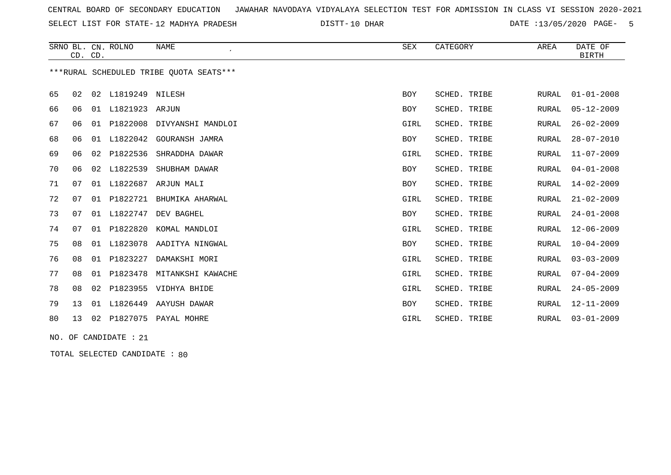SELECT LIST FOR STATE- DISTT- 12 MADHYA PRADESH

10 DHAR DATE :13/05/2020 PAGE- 5

|    |    | CD. CD. | SRNO BL. CN. ROLNO | <b>NAME</b>                             | SEX        | CATEGORY     | AREA         | DATE OF<br><b>BIRTH</b> |
|----|----|---------|--------------------|-----------------------------------------|------------|--------------|--------------|-------------------------|
|    |    |         |                    | ***RURAL SCHEDULED TRIBE OUOTA SEATS*** |            |              |              |                         |
| 65 | 02 |         | 02 L1819249 NILESH |                                         | <b>BOY</b> | SCHED. TRIBE | RURAL        | $01 - 01 - 2008$        |
| 66 | 06 |         | 01 L1821923 ARJUN  |                                         | BOY        | SCHED. TRIBE | <b>RURAL</b> | $05 - 12 - 2009$        |
| 67 | 06 |         | 01 P1822008        | DIVYANSHI MANDLOI                       | GIRL       | SCHED. TRIBE | <b>RURAL</b> | $26 - 02 - 2009$        |
| 68 | 06 |         | 01 L1822042        | GOURANSH JAMRA                          | BOY        | SCHED. TRIBE | <b>RURAL</b> | $28 - 07 - 2010$        |
| 69 | 06 |         | 02 P1822536        | SHRADDHA DAWAR                          | GIRL       | SCHED. TRIBE | <b>RURAL</b> | $11 - 07 - 2009$        |
| 70 | 06 | 02      | L1822539           | SHUBHAM DAWAR                           | <b>BOY</b> | SCHED. TRIBE | RURAL        | $04 - 01 - 2008$        |
| 71 | 07 | 01      | L1822687           | ARJUN MALI                              | BOY        | SCHED. TRIBE | <b>RURAL</b> | 14-02-2009              |
| 72 | 07 | 01      | P1822721           | BHUMIKA AHARWAL                         | GIRL       | SCHED. TRIBE | <b>RURAL</b> | $21 - 02 - 2009$        |
| 73 | 07 |         | 01 L1822747        | DEV BAGHEL                              | BOY        | SCHED. TRIBE | <b>RURAL</b> | $24 - 01 - 2008$        |
| 74 | 07 |         | 01 P1822820        | KOMAL MANDLOI                           | GIRL       | SCHED. TRIBE | <b>RURAL</b> | $12 - 06 - 2009$        |
| 75 | 08 | 01      | L1823078           | AADITYA NINGWAL                         | BOY        | SCHED. TRIBE | <b>RURAL</b> | $10 - 04 - 2009$        |
| 76 | 08 | 01      | P1823227           | DAMAKSHI MORI                           | GIRL       | SCHED. TRIBE | <b>RURAL</b> | $03 - 03 - 2009$        |
| 77 | 08 | 01      | P1823478           | MITANKSHI KAWACHE                       | GIRL       | SCHED. TRIBE | <b>RURAL</b> | $07 - 04 - 2009$        |
| 78 | 08 |         | 02 P1823955        | VIDHYA BHIDE                            | GIRL       | SCHED. TRIBE | RURAL        | $24 - 05 - 2009$        |
| 79 | 13 |         | 01 L1826449        | AAYUSH DAWAR                            | <b>BOY</b> | SCHED. TRIBE | RURAL        | $12 - 11 - 2009$        |
| 80 | 13 | 02      |                    | P1827075 PAYAL MOHRE                    | GIRL       | SCHED. TRIBE | RURAL        | $03 - 01 - 2009$        |

NO. OF CANDIDATE : 21

TOTAL SELECTED CANDIDATE : 80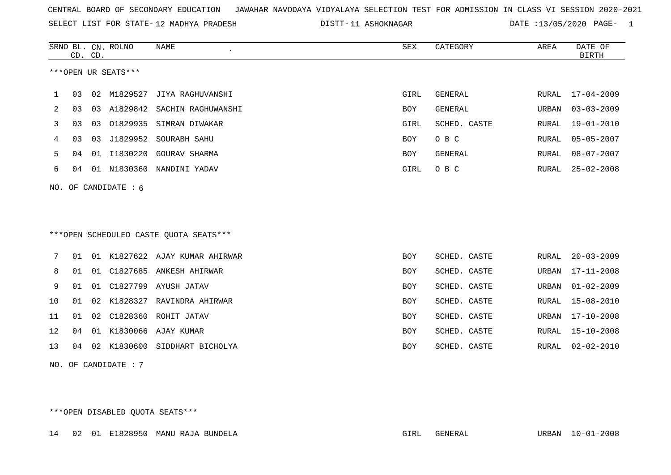SELECT LIST FOR STATE- DISTT- 12 MADHYA PRADESH

11 ASHOKNAGAR DATE :13/05/2020 PAGE- 1

|     |    | CD. CD. | SRNO BL. CN. ROLNO  | <b>NAME</b>                            | SEX        | CATEGORY       | AREA         | DATE OF<br><b>BIRTH</b> |
|-----|----|---------|---------------------|----------------------------------------|------------|----------------|--------------|-------------------------|
|     |    |         | ***OPEN UR SEATS*** |                                        |            |                |              |                         |
| ı   | 03 | 02      | M1829527            | JIYA RAGHUVANSHI                       | GIRL       | GENERAL        | RURAL        | $17 - 04 - 2009$        |
| 2   | 03 | 03      |                     | A1829842 SACHIN RAGHUWANSHI            | BOY        | <b>GENERAL</b> | URBAN        | $03 - 03 - 2009$        |
| 3   | 03 | 03      | 01829935            | SIMRAN DIWAKAR                         | GIRL       | SCHED. CASTE   | RURAL        | $19 - 01 - 2010$        |
| 4   | 03 | 03      | J1829952            | SOURABH SAHU                           | <b>BOY</b> | O B C          | RURAL        | $05 - 05 - 2007$        |
| 5   | 04 | 01      | I1830220            | GOURAV SHARMA                          | <b>BOY</b> | <b>GENERAL</b> | <b>RURAL</b> | $08 - 07 - 2007$        |
| 6   | 04 |         | 01 N1830360         | NANDINI YADAV                          | GIRL       | O B C          | RURAL        | $25 - 02 - 2008$        |
| NO. |    |         | OF CANDIDATE : 6    |                                        |            |                |              |                         |
|     |    |         |                     |                                        |            |                |              |                         |
|     |    |         |                     |                                        |            |                |              |                         |
|     |    |         |                     | ***OPEN SCHEDULED CASTE QUOTA SEATS*** |            |                |              |                         |
| 7   | 01 |         |                     | 01 K1827622 AJAY KUMAR AHIRWAR         | <b>BOY</b> | SCHED. CASTE   | RURAL        | $20 - 03 - 2009$        |
| 8   | 01 | 01      |                     | C1827685 ANKESH AHIRWAR                | BOY        | SCHED. CASTE   | URBAN        | $17 - 11 - 2008$        |
| 9   | 01 | 01      |                     | C1827799 AYUSH JATAV                   | <b>BOY</b> | SCHED. CASTE   | URBAN        | $01 - 02 - 2009$        |
| 10  | 01 | 02      | K1828327            | RAVINDRA AHIRWAR                       | <b>BOY</b> | SCHED. CASTE   | <b>RURAL</b> | $15 - 08 - 2010$        |
| 11  | 01 | 02      |                     | C1828360 ROHIT JATAV                   | BOY        | SCHED. CASTE   | URBAN        | $17 - 10 - 2008$        |
| 12  | 04 | 01      | K1830066            | AJAY KUMAR                             | <b>BOY</b> | SCHED. CASTE   | RURAL        | $15 - 10 - 2008$        |
| 13  | 04 | 02      |                     | K1830600 SIDDHART BICHOLYA             | <b>BOY</b> | SCHED. CASTE   | RURAL        | $02 - 02 - 2010$        |
| NO. |    |         | OF CANDIDATE : 7    |                                        |            |                |              |                         |

\*\*\*OPEN DISABLED QUOTA SEATS\*\*\*

14 02 01 E1828950 MANU RAJA BUNDELA GIRL GENERAL URBAN 10-01-2008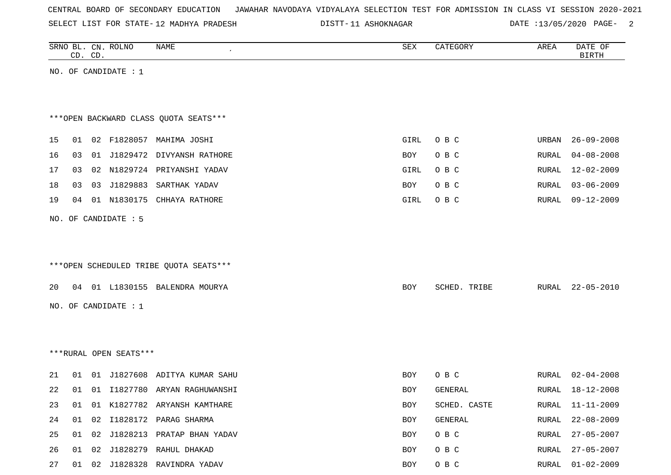|  |  |  |  | CENTRAL BOARD OF SECONDARY EDUCATION – JAWAHAR NAVODAYA VIDYALAYA SELECTION TEST FOR ADMISSION IN CLASS VI SESSION 2020-2021 |  |  |  |  |  |  |  |  |  |  |
|--|--|--|--|------------------------------------------------------------------------------------------------------------------------------|--|--|--|--|--|--|--|--|--|--|
|--|--|--|--|------------------------------------------------------------------------------------------------------------------------------|--|--|--|--|--|--|--|--|--|--|

SELECT LIST FOR STATE-12 MADHYA PRADESH

12 MADHYA PRADESH 11 ASHOKNAGAR DATE :13/05/2020 PAGE- 2

|    |    | CD. CD. | SRNO BL. CN. ROLNO     | NAME                                   | SEX        | CATEGORY     | AREA  | DATE OF<br><b>BIRTH</b> |
|----|----|---------|------------------------|----------------------------------------|------------|--------------|-------|-------------------------|
|    |    |         | NO. OF CANDIDATE : $1$ |                                        |            |              |       |                         |
|    |    |         |                        |                                        |            |              |       |                         |
|    |    |         |                        |                                        |            |              |       |                         |
|    |    |         |                        | *** OPEN BACKWARD CLASS QUOTA SEATS*** |            |              |       |                         |
| 15 | 01 |         |                        | 02 F1828057 MAHIMA JOSHI               | GIRL       | O B C        | URBAN | $26 - 09 - 2008$        |
| 16 | 03 |         |                        | 01 J1829472 DIVYANSH RATHORE           | BOY        | O B C        | RURAL | $04 - 08 - 2008$        |
| 17 | 03 |         |                        | 02 N1829724 PRIYANSHI YADAV            | GIRL       | O B C        | RURAL | $12 - 02 - 2009$        |
| 18 | 03 |         |                        | 03 J1829883 SARTHAK YADAV              | BOY        | O B C        | RURAL | $03 - 06 - 2009$        |
| 19 | 04 |         |                        | 01 N1830175 CHHAYA RATHORE             | GIRL       | O B C        | RURAL | $09 - 12 - 2009$        |
|    |    |         |                        |                                        |            |              |       |                         |
|    |    |         | NO. OF CANDIDATE : 5   |                                        |            |              |       |                         |
|    |    |         |                        |                                        |            |              |       |                         |
|    |    |         |                        | ***OPEN SCHEDULED TRIBE QUOTA SEATS*** |            |              |       |                         |
|    |    |         |                        |                                        |            |              |       |                         |
| 20 |    |         |                        | 04 01 L1830155 BALENDRA MOURYA         | <b>BOY</b> | SCHED. TRIBE | RURAL | $22 - 05 - 2010$        |
|    |    |         | NO. OF CANDIDATE : $1$ |                                        |            |              |       |                         |
|    |    |         |                        |                                        |            |              |       |                         |
|    |    |         |                        |                                        |            |              |       |                         |
|    |    |         | ***RURAL OPEN SEATS*** |                                        |            |              |       |                         |
|    |    |         |                        |                                        |            |              |       |                         |
| 21 | 01 |         |                        | 01 J1827608 ADITYA KUMAR SAHU          | BOY        | O B C        | RURAL | $02 - 04 - 2008$        |
| 22 |    |         |                        | 01 01 I1827780 ARYAN RAGHUWANSHI       | <b>BOY</b> | GENERAL      | RURAL | 18-12-2008              |
| 23 |    |         |                        | 01 01 K1827782 ARYANSH KAMTHARE        | BOY        | SCHED. CASTE | RURAL | 11-11-2009              |
| 24 | 01 | 02      |                        | I1828172 PARAG SHARMA                  | BOY        | GENERAL      | RURAL | $22 - 08 - 2009$        |
| 25 |    |         |                        | 01 02 J1828213 PRATAP BHAN YADAV       | BOY        | O B C        | RURAL | $27 - 05 - 2007$        |
| 26 |    |         |                        | 01 02 J1828279 RAHUL DHAKAD            | BOY        | O B C        | RURAL | $27 - 05 - 2007$        |
| 27 |    |         |                        | 01 02 J1828328 RAVINDRA YADAV          | BOY        | O B C        |       | RURAL 01-02-2009        |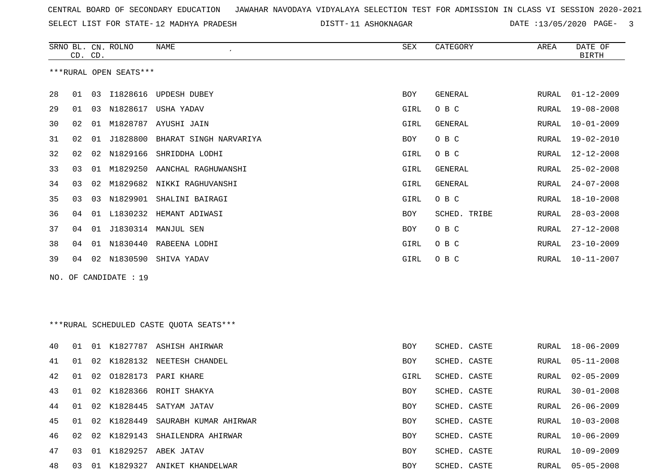SRNO BL. CN. ROLNO NAME SEX CATEGORY AREA DATE OF

SELECT LIST FOR STATE- DISTT- 12 MADHYA PRADESH

DISTT-11 ASHOKNAGAR DATE :13/05/2020 PAGE- 3

|    | CD. CD. |    |                        |                                         |            |                |       | <b>BIRTH</b>     |
|----|---------|----|------------------------|-----------------------------------------|------------|----------------|-------|------------------|
|    |         |    | ***RURAL OPEN SEATS*** |                                         |            |                |       |                  |
| 28 | 01      | 03 | I1828616               | UPDESH DUBEY                            | <b>BOY</b> | <b>GENERAL</b> | RURAL | $01 - 12 - 2009$ |
| 29 | 01      | 03 |                        | N1828617 USHA YADAV                     | GIRL       | O B C          | RURAL | 19-08-2008       |
| 30 | 02      |    |                        | 01 M1828787 AYUSHI JAIN                 | GIRL       | GENERAL        | RURAL | 10-01-2009       |
| 31 | 02      | 01 | J1828800               | BHARAT SINGH NARVARIYA                  | BOY        | O B C          | RURAL | $19 - 02 - 2010$ |
| 32 | 02      | 02 | N1829166               | SHRIDDHA LODHI                          | GIRL       | O B C          | RURAL | $12 - 12 - 2008$ |
| 33 | 03      | 01 | M1829250               | AANCHAL RAGHUWANSHI                     | GIRL       | <b>GENERAL</b> | RURAL | $25 - 02 - 2008$ |
| 34 | 03      | 02 | M1829682               | NIKKI RAGHUVANSHI                       | GIRL       | <b>GENERAL</b> | RURAL | $24 - 07 - 2008$ |
| 35 | 03      | 03 |                        | N1829901 SHALINI BAIRAGI                | GIRL       | O B C          | RURAL | 18-10-2008       |
| 36 | 04      | 01 | L1830232               | HEMANT ADIWASI                          | BOY        | SCHED. TRIBE   | RURAL | $28 - 03 - 2008$ |
| 37 | 04      | 01 |                        | J1830314 MANJUL SEN                     | BOY        | O B C          | RURAL | $27 - 12 - 2008$ |
| 38 | 04      |    | 01 N1830440            | RABEENA LODHI                           | GIRL       | O B C          | RURAL | $23 - 10 - 2009$ |
| 39 | 04      |    |                        | 02 N1830590 SHIVA YADAV                 | GIRL       | O B C          | RURAL | $10 - 11 - 2007$ |
|    |         |    | NO. OF CANDIDATE : 19  |                                         |            |                |       |                  |
|    |         |    |                        | ***RURAL SCHEDULED CASTE QUOTA SEATS*** |            |                |       |                  |
| 40 | 01      | 01 |                        | K1827787 ASHISH AHIRWAR                 | BOY        | SCHED. CASTE   | RURAL | $18 - 06 - 2009$ |
| 41 | 01      | 02 |                        | K1828132 NEETESH CHANDEL                | BOY        | SCHED. CASTE   | RURAL | 05-11-2008       |
| 42 | 01      | 02 | 01828173               | PARI KHARE                              | GIRL       | SCHED. CASTE   | RURAL | $02 - 05 - 2009$ |
| 43 | 01      | 02 |                        | K1828366 ROHIT SHAKYA                   | BOY        | SCHED. CASTE   | RURAL | $30 - 01 - 2008$ |
| 44 | 01      |    |                        | 02 K1828445 SATYAM JATAV                | BOY        | SCHED. CASTE   | RURAL | $26 - 06 - 2009$ |
| 45 | 01      |    |                        | 02 K1828449 SAURABH KUMAR AHIRWAR       | BOY        | SCHED. CASTE   |       | RURAL 10-03-2008 |
| 46 | 02      |    |                        | 02 K1829143 SHAILENDRA AHIRWAR          | BOY        | SCHED. CASTE   | RURAL | 10-06-2009       |
| 47 | 03      | 01 |                        | K1829257 ABEK JATAV                     | BOY        | SCHED. CASTE   | RURAL | $10 - 09 - 2009$ |
| 48 | 03      |    |                        | 01 K1829327 ANIKET KHANDELWAR           | BOY        | SCHED. CASTE   | RURAL | $05 - 05 - 2008$ |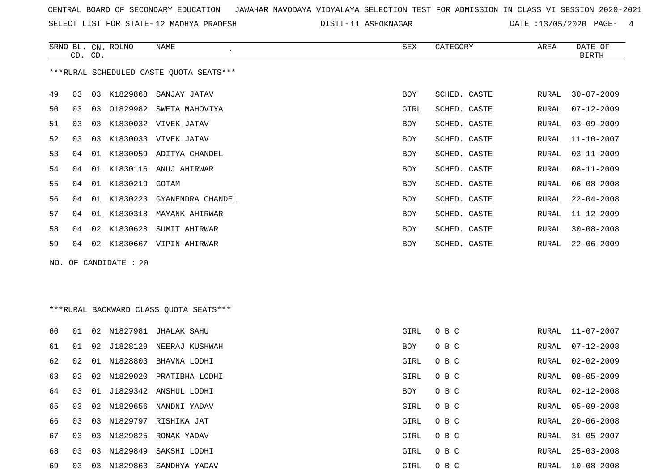SELECT LIST FOR STATE- DISTT- 12 MADHYA PRADESH

11 ASHOKNAGAR DATE :13/05/2020 PAGE- 4

|    | CD. CD. |    | SRNO BL. CN. ROLNO    | <b>NAME</b>                              | <b>SEX</b> | CATEGORY     | AREA          | DATE OF<br><b>BIRTH</b> |
|----|---------|----|-----------------------|------------------------------------------|------------|--------------|---------------|-------------------------|
|    |         |    |                       | *** RURAL SCHEDULED CASTE QUOTA SEATS*** |            |              |               |                         |
| 49 | 03      |    | 03 K1829868           | SANJAY JATAV                             | <b>BOY</b> | SCHED. CASTE | RURAL         | $30 - 07 - 2009$        |
| 50 | 03      |    |                       | 03 01829982 SWETA MAHOVIYA               | GIRL       | SCHED. CASTE | RURAL         | $07 - 12 - 2009$        |
| 51 | 03      | 03 |                       | K1830032 VIVEK JATAV                     | BOY        | SCHED. CASTE | RURAL         | $03 - 09 - 2009$        |
| 52 | 03      | 03 |                       | K1830033 VIVEK JATAV                     | <b>BOY</b> | SCHED. CASTE | RURAL         | $11 - 10 - 2007$        |
| 53 | 04      | 01 |                       | K1830059 ADITYA CHANDEL                  | <b>BOY</b> | SCHED. CASTE | RURAL         | $03 - 11 - 2009$        |
| 54 | 04      |    |                       | 01 K1830116 ANUJ AHIRWAR                 | <b>BOY</b> | SCHED. CASTE | ${\tt RURAL}$ | $08 - 11 - 2009$        |
| 55 | 04      |    | 01 K1830219 GOTAM     |                                          | <b>BOY</b> | SCHED. CASTE | RURAL         | $06 - 08 - 2008$        |
| 56 | 04      |    |                       | 01 K1830223 GYANENDRA CHANDEL            | <b>BOY</b> | SCHED. CASTE | RURAL         | $22 - 04 - 2008$        |
| 57 | 04      | 01 | K1830318              | MAYANK AHIRWAR                           | <b>BOY</b> | SCHED. CASTE | RURAL         | $11 - 12 - 2009$        |
| 58 | 04      |    |                       | 02 K1830628 SUMIT AHIRWAR                | <b>BOY</b> | SCHED. CASTE | RURAL         | $30 - 08 - 2008$        |
| 59 | 04      |    |                       | 02 K1830667 VIPIN AHIRWAR                | BOY        | SCHED. CASTE | RURAL         | $22 - 06 - 2009$        |
|    |         |    | NO. OF CANDIDATE : 20 |                                          |            |              |               |                         |
|    |         |    |                       | *** RURAL BACKWARD CLASS QUOTA SEATS***  |            |              |               |                         |
| 60 | 01      |    |                       | 02 N1827981 JHALAK SAHU                  | GIRL       | O B C        | RURAL         | $11 - 07 - 2007$        |
| 61 | 01      | 02 |                       | J1828129 NEERAJ KUSHWAH                  | BOY        | O B C        | RURAL         | $07 - 12 - 2008$        |
| 62 | 02      | 01 | N1828803              | BHAVNA LODHI                             | GIRL       | O B C        | RURAL         | $02 - 02 - 2009$        |
| 63 |         |    |                       | 02 02 N1829020 PRATIBHA LODHI            | GIRL       | O B C        | RURAL         | $08 - 05 - 2009$        |

64 03 01 J1829342 ANSHUL LODHI BOY O B C

|  |  | 65 03 02 N1829656 NANDNI YADAV | GIRL | O B C |  |
|--|--|--------------------------------|------|-------|--|
|  |  |                                |      |       |  |

66 03 03 N1829797 RISHIKA JAT GIRL O B C GIRL O B C

67 03 03 N1829825 RONAK YADAV GIRL O B C

68 03 03 N1829849 SAKSHI LODHI GIRL O B C GIRL O B C

69 03 03 N1829863 SANDHYA YADAV GIRL O B C RURAL 10-08-2008

|  | NUNALI UG-UJ-ZUUJ |
|--|-------------------|
|  | RURAL 02-12-2008  |
|  | RURAL 05-09-2008  |
|  | RURAL 20-06-2008  |
|  | RURAL 31-05-2007  |
|  | RURAL 25-03-2008  |
|  |                   |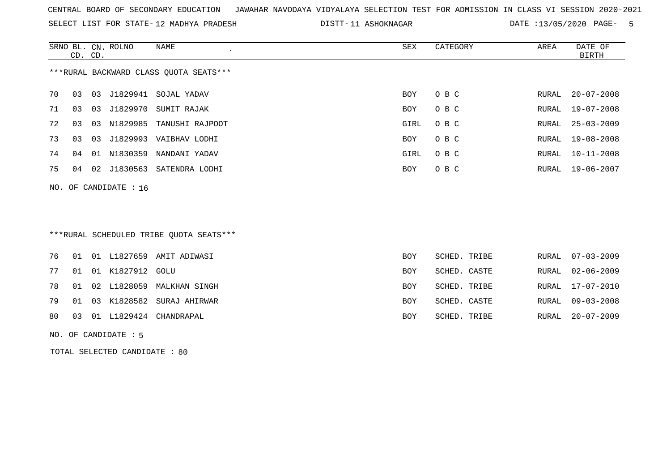SELECT LIST FOR STATE- DISTT- 12 MADHYA PRADESH

11 ASHOKNAGAR DATE :13/05/2020 PAGE- 5

|                                        |         |    | SRNO BL. CN. ROLNO      | NAME                   | SEX  | CATEGORY | AREA  | DATE OF          |
|----------------------------------------|---------|----|-------------------------|------------------------|------|----------|-------|------------------|
|                                        | CD. CD. |    |                         |                        |      |          |       | BIRTH            |
| ***RURAL BACKWARD CLASS OUOTA SEATS*** |         |    |                         |                        |      |          |       |                  |
| 70                                     | 03 03   |    | J1829941                | SOJAL YADAV            | BOY  | O B C    | RURAL | $20 - 07 - 2008$ |
| 71                                     | 03      | 03 | J1829970                | SUMIT RAJAK            | BOY  | O B C    | RURAL | 19-07-2008       |
| 72                                     | 03      | 03 | N1829985                | TANUSHI RAJPOOT        | GIRL | O B C    | RURAL | $25 - 03 - 2009$ |
| 73                                     | 03      | 03 |                         | J1829993 VAIBHAV LODHI | BOY  | O B C    |       | RURAL 19-08-2008 |
| 74                                     | 04      | 01 | N1830359                | NANDANI YADAV          | GIRL | O B C    | RURAL | $10 - 11 - 2008$ |
| 75                                     | 04      |    | 02 J1830563             | SATENDRA LODHI         | BOY  | O B C    |       | RURAL 19-06-2007 |
|                                        |         |    | NO. OF CANDIDATE : $16$ |                        |      |          |       |                  |

## \*\*\*RURAL SCHEDULED TRIBE QUOTA SEATS\*\*\*

|  |                        | 76 01 01 L1827659 AMIT ADIWASI  | <b>BOY</b> | SCHED. TRIBE | RURAL 07-03-2009 |
|--|------------------------|---------------------------------|------------|--------------|------------------|
|  | 77 01 01 K1827912 GOLU |                                 | BOY        | SCHED. CASTE | RURAL 02-06-2009 |
|  |                        | 78 01 02 L1828059 MALKHAN SINGH | BOY        | SCHED. TRIBE | RURAL 17-07-2010 |
|  |                        | 79 01 03 K1828582 SURAJ AHIRWAR | <b>BOY</b> | SCHED. CASTE | RURAL 09-03-2008 |
|  |                        | 80 03 01 L1829424 CHANDRAPAL    | BOY        | SCHED. TRIBE | RURAL 20-07-2009 |

#### NO. OF CANDIDATE : 5

TOTAL SELECTED CANDIDATE : 80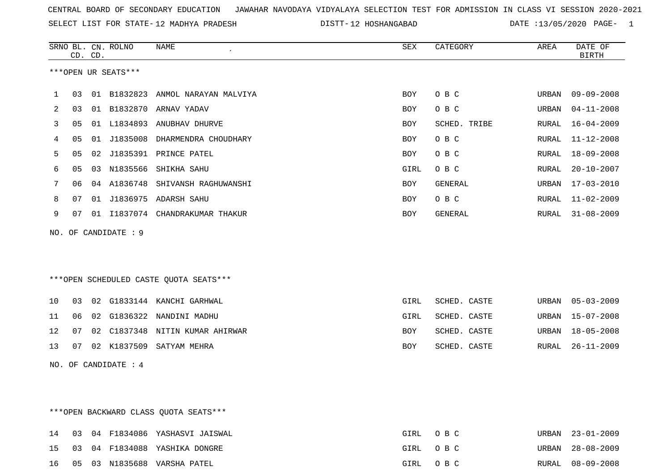SELECT LIST FOR STATE- DISTT- 12 MADHYA PRADESH

DISTT-12 HOSHANGABAD DATE :13/05/2020 PAGE- 1

|    | CD. CD. |    | SRNO BL. CN. ROLNO   | <b>NAME</b>                            | SEX        | CATEGORY       | AREA  | DATE OF<br><b>BIRTH</b> |
|----|---------|----|----------------------|----------------------------------------|------------|----------------|-------|-------------------------|
|    |         |    | ***OPEN UR SEATS***  |                                        |            |                |       |                         |
| 1  | 03      | 01 | B1832823             | ANMOL NARAYAN MALVIYA                  | <b>BOY</b> | O B C          | URBAN | $09 - 09 - 2008$        |
| 2  | 03      | 01 | B1832870             | ARNAV YADAV                            | BOY        | O B C          | URBAN | $04 - 11 - 2008$        |
| 3  | 05      |    | 01 L1834893          | ANUBHAV DHURVE                         | BOY        | SCHED. TRIBE   | RURAL | $16 - 04 - 2009$        |
| 4  | 05      | 01 | J1835008             | DHARMENDRA CHOUDHARY                   | <b>BOY</b> | O B C          | RURAL | $11 - 12 - 2008$        |
| 5  | 05      | 02 |                      | J1835391 PRINCE PATEL                  | BOY        | O B C          | RURAL | $18 - 09 - 2008$        |
| 6  | 05      | 03 | N1835566             | SHIKHA SAHU                            | GIRL       | O B C          | RURAL | $20 - 10 - 2007$        |
| 7  | 06      |    | 04 A1836748          | SHIVANSH RAGHUWANSHI                   | BOY        | GENERAL        | URBAN | $17 - 03 - 2010$        |
| 8  | 07      |    | 01 J1836975          | ADARSH SAHU                            | <b>BOY</b> | O B C          | RURAL | $11 - 02 - 2009$        |
| 9  | 07      |    |                      | 01 I1837074 CHANDRAKUMAR THAKUR        | <b>BOY</b> | <b>GENERAL</b> | RURAL | $31 - 08 - 2009$        |
|    |         |    | NO. OF CANDIDATE : 9 |                                        |            |                |       |                         |
|    |         |    |                      | ***OPEN SCHEDULED CASTE QUOTA SEATS*** |            |                |       |                         |
| 10 | 03      | 02 |                      | G1833144 KANCHI GARHWAL                | GIRL       | SCHED. CASTE   | URBAN | $05 - 03 - 2009$        |
| 11 | 06      | 02 | G1836322             | NANDINI MADHU                          | GIRL       | SCHED. CASTE   | URBAN | $15 - 07 - 2008$        |
| 12 | 07      | 02 | C1837348             | NITIN KUMAR AHIRWAR                    | BOY        | SCHED. CASTE   | URBAN | $18 - 05 - 2008$        |
| 13 | 07      |    | 02 K1837509          | SATYAM MEHRA                           | <b>BOY</b> | SCHED. CASTE   | RURAL | $26 - 11 - 2009$        |
|    |         |    | NO. OF CANDIDATE : 4 |                                        |            |                |       |                         |

\*\*\*OPEN BACKWARD CLASS QUOTA SEATS\*\*\*

|  |  | 14 03 04 F1834086 YASHASVI JAISWAL | GIRL OBC | URBAN 23-01-2009 |
|--|--|------------------------------------|----------|------------------|
|  |  | 15 03 04 F1834088 YASHIKA DONGRE   | GIRL OBC | URBAN 28-08-2009 |
|  |  | 16 05 03 N1835688 VARSHA PATEL     | GIRL OBC | RURAL 08-09-2008 |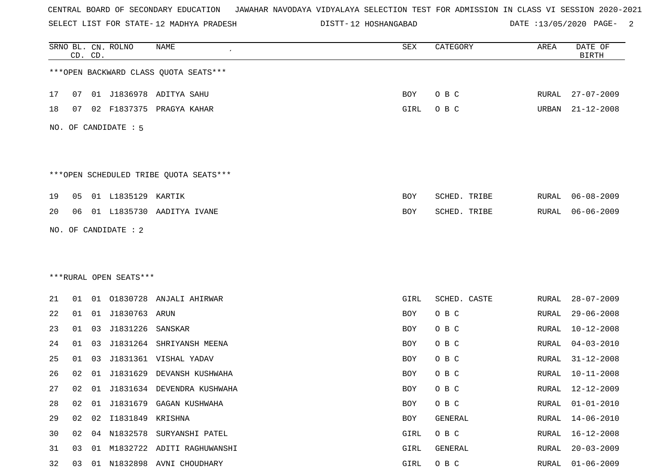SELECT LIST FOR STATE- DISTT- 12 MADHYA PRADESH

DISTT-12 HOSHANGABAD DATE :13/05/2020 PAGE- 2

|    |    | CD. CD. | SRNO BL. CN. ROLNO     | NAME                                   | SEX        | CATEGORY     | AREA          | DATE OF<br><b>BIRTH</b> |
|----|----|---------|------------------------|----------------------------------------|------------|--------------|---------------|-------------------------|
|    |    |         |                        | *** OPEN BACKWARD CLASS QUOTA SEATS*** |            |              |               |                         |
| 17 | 07 |         |                        | 01 J1836978 ADITYA SAHU                | BOY        | O B C        | RURAL         | $27 - 07 - 2009$        |
| 18 | 07 |         |                        | 02 F1837375 PRAGYA KAHAR               | GIRL       | O B C        | URBAN         | $21 - 12 - 2008$        |
|    |    |         | NO. OF CANDIDATE : 5   |                                        |            |              |               |                         |
|    |    |         |                        | ***OPEN SCHEDULED TRIBE QUOTA SEATS*** |            |              |               |                         |
| 19 | 05 |         | 01 L1835129            | KARTIK                                 | <b>BOY</b> | SCHED. TRIBE | RURAL         | $06 - 08 - 2009$        |
| 20 | 06 |         |                        | 01 L1835730 AADITYA IVANE              | BOY        | SCHED. TRIBE | RURAL         | $06 - 06 - 2009$        |
|    |    |         | NO. OF CANDIDATE : 2   |                                        |            |              |               |                         |
|    |    |         |                        |                                        |            |              |               |                         |
|    |    |         | ***RURAL OPEN SEATS*** |                                        |            |              |               |                         |
|    |    |         |                        |                                        |            |              |               |                         |
| 21 | 01 | 01      |                        | 01830728 ANJALI AHIRWAR                | GIRL       | SCHED. CASTE | RURAL         | $28 - 07 - 2009$        |
| 22 | 01 |         | 01 J1830763 ARUN       |                                        | <b>BOY</b> | O B C        | RURAL         | $29 - 06 - 2008$        |
| 23 | 01 | 03      | J1831226               | SANSKAR                                | BOY        | O B C        | RURAL         | $10 - 12 - 2008$        |
| 24 | 01 | 03      | J1831264               | SHRIYANSH MEENA                        | BOY        | O B C        | RURAL         | $04 - 03 - 2010$        |
| 25 | 01 | 03      |                        | J1831361 VISHAL YADAV                  | BOY        | O B C        | RURAL         | $31 - 12 - 2008$        |
| 26 | 02 | 01      | J1831629               | DEVANSH KUSHWAHA                       | BOY        | O B C        | RURAL         | $10 - 11 - 2008$        |
| 27 | 02 | 01      |                        | J1831634 DEVENDRA KUSHWAHA             | BOY        | O B C        | RURAL         | 12-12-2009              |
| 28 | 02 | 01      |                        | J1831679 GAGAN KUSHWAHA                | BOY        | O B C        | RURAL         | $01 - 01 - 2010$        |
| 29 | 02 | 02      | I1831849 KRISHNA       |                                        | BOY        | GENERAL      | RURAL         | $14 - 06 - 2010$        |
| 30 | 02 |         |                        | 04 N1832578 SURYANSHI PATEL            | GIRL       | O B C        | RURAL         | $16 - 12 - 2008$        |
| 31 | 03 | 01      |                        | M1832722 ADITI RAGHUWANSHI             | GIRL       | GENERAL      | ${\tt RURAL}$ | $20 - 03 - 2009$        |
| 32 | 03 |         |                        | 01 N1832898 AVNI CHOUDHARY             | GIRL       | O B C        | RURAL         | $01 - 06 - 2009$        |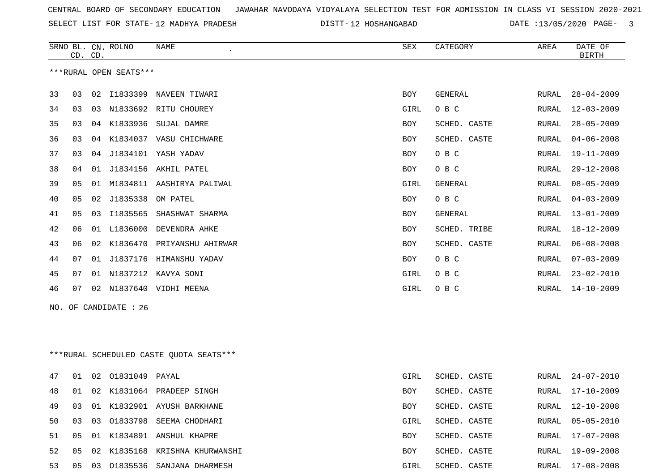SELECT LIST FOR STATE- DISTT- 12 MADHYA PRADESH

DISTT-12 HOSHANGABAD DATE :13/05/2020 PAGE- 3

|          | CD. CD.  |    | SRNO BL. CN. ROLNO     | NAME                                      | SEX               | CATEGORY                     | AREA           | DATE OF<br><b>BIRTH</b>              |
|----------|----------|----|------------------------|-------------------------------------------|-------------------|------------------------------|----------------|--------------------------------------|
|          |          |    | ***RURAL OPEN SEATS*** |                                           |                   |                              |                |                                      |
| 33       | 03       |    |                        | 02 I1833399 NAVEEN TIWARI                 | BOY               | GENERAL                      | RURAL          | $28 - 04 - 2009$                     |
| 34       | 03       |    |                        | 03 N1833692 RITU CHOUREY                  |                   | O B C                        |                | $12 - 03 - 2009$                     |
| 35       |          |    | 04 K1833936            |                                           | GIRL              |                              | RURAL<br>RURAL | $28 - 05 - 2009$                     |
| 36       | 03<br>03 |    |                        | SUJAL DAMRE<br>04 K1834037 VASU CHICHWARE | BOY<br><b>BOY</b> | SCHED. CASTE<br>SCHED. CASTE |                | $04 - 06 - 2008$                     |
| 37       | 03       |    |                        | 04 J1834101 YASH YADAV                    | BOY               | O B C                        | RURAL<br>RURAL | $19 - 11 - 2009$                     |
| 38       | 04       | 01 |                        | J1834156 AKHIL PATEL                      | BOY               | O B C                        | RURAL          | $29 - 12 - 2008$                     |
|          | 05       |    |                        | 01 M1834811 AASHIRYA PALIWAL              |                   |                              |                | $08 - 05 - 2009$                     |
| 39       | 05       |    | 02 J1835338            |                                           | GIRL              | GENERAL<br>O B C             | RURAL          | $04 - 03 - 2009$                     |
| 40       |          |    |                        | OM PATEL<br>03 I1835565 SHASHWAT SHARMA   | <b>BOY</b>        |                              | <b>RURAL</b>   |                                      |
| 41<br>42 | 05<br>06 |    | 01 L1836000            |                                           | BOY               | GENERAL<br>SCHED. TRIBE      | RURAL          | $13 - 01 - 2009$<br>$18 - 12 - 2009$ |
|          |          |    |                        | DEVENDRA AHKE                             | <b>BOY</b>        |                              | <b>RURAL</b>   |                                      |
| 43       | 06       |    |                        | 02 K1836470 PRIYANSHU AHIRWAR             | BOY               | SCHED. CASTE                 | RURAL          | $06 - 08 - 2008$                     |
| 44       | 07       |    |                        | 01 J1837176 HIMANSHU YADAV                | BOY               | O B C                        | RURAL          | $07 - 03 - 2009$                     |
| 45       | 07       |    | 01 N1837212            | KAVYA SONI                                | GIRL              | O B C                        | RURAL          | $23 - 02 - 2010$                     |
| 46       | 07       |    |                        | 02 N1837640 VIDHI MEENA                   | GIRL              | O B C                        | RURAL          | $14 - 10 - 2009$                     |
| NO.      |          |    | OF CANDIDATE : 26      |                                           |                   |                              |                |                                      |
|          |          |    |                        |                                           |                   |                              |                |                                      |
|          |          |    |                        |                                           |                   |                              |                |                                      |
|          |          |    |                        | ***RURAL SCHEDULED CASTE QUOTA SEATS***   |                   |                              |                |                                      |
| 47       | 01       |    | 02 01831049 PAYAL      |                                           | GIRL              | SCHED. CASTE                 | RURAL          | $24 - 07 - 2010$                     |
| 48       | 01       |    |                        | 02 K1831064 PRADEEP SINGH                 | BOY               | SCHED. CASTE                 | RURAL          | $17 - 10 - 2009$                     |
| 49       | 03       |    |                        | 01 K1832901 AYUSH BARKHANE                | BOY               | SCHED. CASTE                 | RURAL          | $12 - 10 - 2008$                     |
| 50       | 03       |    |                        | 03 01833798 SEEMA CHODHARI                | GIRL              | SCHED. CASTE                 | RURAL          | $05 - 05 - 2010$                     |
| 51       | 05       |    |                        | 01 K1834891 ANSHUL KHAPRE                 | BOY               | SCHED. CASTE                 | RURAL          | $17 - 07 - 2008$                     |
| 52       | 05       |    |                        | 02 K1835168 KRISHNA KHURWANSHI            | BOY               | SCHED. CASTE                 | RURAL          | $19 - 09 - 2008$                     |
| 53       | 05       |    |                        | 03 01835536 SANJANA DHARMESH              | GIRL              | SCHED. CASTE                 | RURAL          | $17 - 08 - 2008$                     |
|          |          |    |                        |                                           |                   |                              |                |                                      |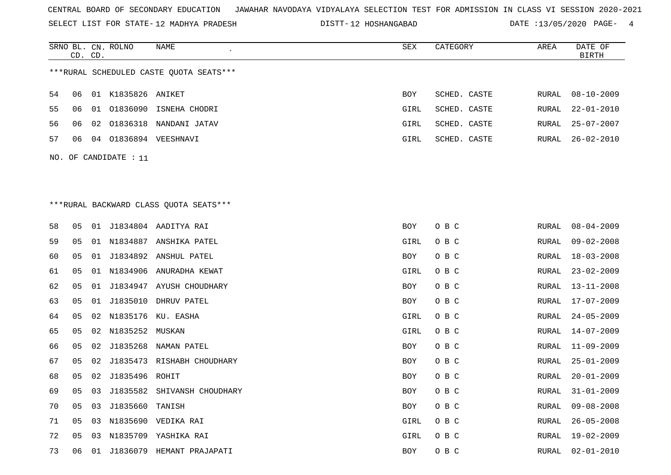SELECT LIST FOR STATE- DISTT- 12 MADHYA PRADESH

DISTT-12 HOSHANGABAD DATE :13/05/2020 PAGE- 4

|    |                       | CD. CD. | SRNO BL. CN. ROLNO | NAME                                    | ${\tt SEX}$ | CATEGORY     | AREA         | DATE OF<br><b>BIRTH</b> |  |
|----|-----------------------|---------|--------------------|-----------------------------------------|-------------|--------------|--------------|-------------------------|--|
|    |                       |         |                    | ***RURAL SCHEDULED CASTE QUOTA SEATS*** |             |              |              |                         |  |
| 54 | 06                    |         | 01 K1835826 ANIKET |                                         | BOY         | SCHED. CASTE | RURAL        | $08 - 10 - 2009$        |  |
| 55 | 06                    |         |                    | 01 01836090 ISNEHA CHODRI               | GIRL        | SCHED. CASTE | RURAL        | $22 - 01 - 2010$        |  |
| 56 | 06                    | 02      |                    | 01836318 NANDANI JATAV                  | GIRL        | SCHED. CASTE | RURAL        | $25 - 07 - 2007$        |  |
| 57 | 06                    |         |                    | 04 01836894 VEESHNAVI                   | GIRL        | SCHED. CASTE | RURAL        | $26 - 02 - 2010$        |  |
|    | NO. OF CANDIDATE : 11 |         |                    |                                         |             |              |              |                         |  |
|    |                       |         |                    |                                         |             |              |              |                         |  |
|    |                       |         |                    |                                         |             |              |              |                         |  |
|    |                       |         |                    | *** RURAL BACKWARD CLASS QUOTA SEATS*** |             |              |              |                         |  |
| 58 | 05                    |         |                    | 01 J1834804 AADITYA RAI                 | BOY         | O B C        | RURAL        | $08 - 04 - 2009$        |  |
| 59 | 05                    |         |                    | 01 N1834887 ANSHIKA PATEL               | GIRL        | O B C        | RURAL        | $09 - 02 - 2008$        |  |
| 60 | 05                    |         |                    | 01 J1834892 ANSHUL PATEL                | BOY         | O B C        |              | $18 - 03 - 2008$        |  |
|    |                       |         |                    |                                         |             |              | RURAL        |                         |  |
| 61 | 05                    | 01      |                    | N1834906 ANURADHA KEWAT                 | GIRL        | O B C        | RURAL        | $23 - 02 - 2009$        |  |
| 62 | 05                    | 01      |                    | J1834947 AYUSH CHOUDHARY                | BOY         | O B C        | <b>RURAL</b> | $13 - 11 - 2008$        |  |
| 63 | 05                    | 01      |                    | J1835010 DHRUV PATEL                    | BOY         | O B C        | RURAL        | $17 - 07 - 2009$        |  |
| 64 | 05                    | 02      |                    | N1835176 KU. EASHA                      | GIRL        | O B C        | RURAL        | $24 - 05 - 2009$        |  |
| 65 | 05                    |         | 02 N1835252 MUSKAN |                                         | GIRL        | O B C        | RURAL        | $14 - 07 - 2009$        |  |
| 66 | 05                    | 02      |                    | J1835268 NAMAN PATEL                    | BOY         | O B C        | RURAL        | $11 - 09 - 2009$        |  |
| 67 | 05                    | 02      |                    | J1835473 RISHABH CHOUDHARY              | <b>BOY</b>  | O B C        | RURAL        | $25 - 01 - 2009$        |  |
| 68 | 05                    | 02      | J1835496 ROHIT     |                                         | BOY         | O B C        | RURAL        | $20 - 01 - 2009$        |  |
| 69 | 05                    | 03      |                    | J1835582 SHIVANSH CHOUDHARY             | BOY         | O B C        | RURAL        | $31 - 01 - 2009$        |  |
| 70 | 05                    | 03      | J1835660           | TANISH                                  | BOY         | O B C        | RURAL        | $09 - 08 - 2008$        |  |
| 71 | 05                    |         |                    | 03 N1835690 VEDIKA RAI                  | GIRL        | O B C        | RURAL        | $26 - 05 - 2008$        |  |
| 72 | 05                    |         |                    | 03 N1835709 YASHIKA RAI                 | GIRL        | O B C        | RURAL        | 19-02-2009              |  |
| 73 | 06                    | 01      |                    | J1836079 HEMANT PRAJAPATI               | <b>BOY</b>  | овс          | RURAL        | $02 - 01 - 2010$        |  |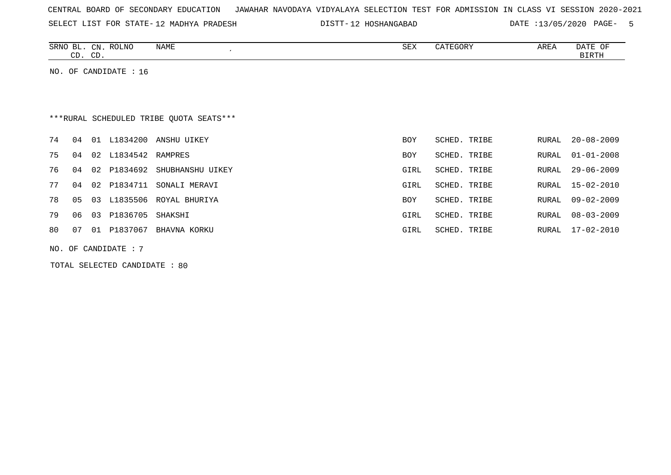SELECT LIST FOR STATE- DISTT- 12 MADHYA PRADESH

DISTT-12 HOSHANGABAD DATE :13/05/2020 PAGE- 5

| SRNO<br>ப     | CN              | <b>ROLNO</b> | <b>NAME</b> | SEX | <b>ATEGORY</b><br>$\sim$ $\sim$ | AREA | OF<br><b>DA</b> IL |
|---------------|-----------------|--------------|-------------|-----|---------------------------------|------|--------------------|
| $\sim$<br>. ب | $\sqrt{2}$<br>ັ |              |             |     |                                 |      | <b>BIRTH</b>       |

NO. OF CANDIDATE : 16

## \*\*\*RURAL SCHEDULED TRIBE QUOTA SEATS\*\*\*

| 74  |       |    | 04 01 L1834200      | ANSHU UIKEY                     | <b>BOY</b> | SCHED. TRIBE | RURAL 20-08-2009 |
|-----|-------|----|---------------------|---------------------------------|------------|--------------|------------------|
| 75  | 04    |    | 02 L1834542 RAMPRES |                                 | <b>BOY</b> | SCHED. TRIBE | RURAL 01-01-2008 |
| 76  |       |    |                     | 04 02 P1834692 SHUBHANSHU UIKEY | GIRL       | SCHED. TRIBE | RURAL 29-06-2009 |
| 77  |       |    | 04 02 P1834711      | SONALI MERAVI                   | GIRL       | SCHED. TRIBE | RURAL 15-02-2010 |
| 78  |       |    |                     | 05 03 L1835506 ROYAL BHURIYA    | <b>BOY</b> | SCHED. TRIBE | RURAL 09-02-2009 |
| 79  | 06 03 |    | P1836705            | SHAKSHI                         | GIRL       | SCHED. TRIBE | RURAL 08-03-2009 |
| 80. | 07    | 01 | P1837067            | BHAVNA KORKU                    | GIRL       | SCHED. TRIBE | RURAL 17-02-2010 |
|     |       |    |                     |                                 |            |              |                  |

NO. OF CANDIDATE : 7

TOTAL SELECTED CANDIDATE : 80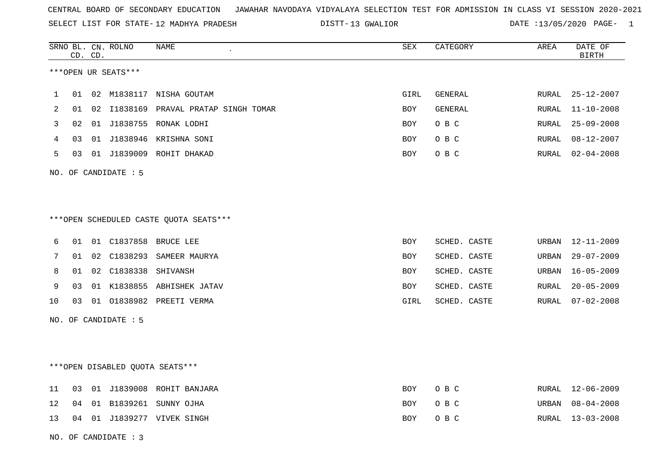SELECT LIST FOR STATE- DISTT- 12 MADHYA PRADESH

13 GWALIOR DATE :13/05/2020 PAGE- 1

|    |    | CD. CD. | SRNO BL. CN. ROLNO   | NAME                                   | SEX        | CATEGORY     | AREA  | DATE OF<br><b>BIRTH</b> |
|----|----|---------|----------------------|----------------------------------------|------------|--------------|-------|-------------------------|
|    |    |         | ***OPEN UR SEATS***  |                                        |            |              |       |                         |
| 1  | 01 |         |                      | 02 M1838117 NISHA GOUTAM               | GIRL       | GENERAL      | RURAL | $25 - 12 - 2007$        |
| 2  | 01 |         |                      | 02 I1838169 PRAVAL PRATAP SINGH TOMAR  | BOY        | GENERAL      | RURAL | $11 - 10 - 2008$        |
| 3  | 02 |         |                      | 01 J1838755 RONAK LODHI                | <b>BOY</b> | O B C        | RURAL | $25 - 09 - 2008$        |
| 4  | 03 |         |                      | 01 J1838946 KRISHNA SONI               | BOY        | O B C        |       | RURAL 08-12-2007        |
| 5  | 03 |         |                      | 01 J1839009 ROHIT DHAKAD               | BOY        | O B C        | RURAL | 02-04-2008              |
|    |    |         | NO. OF CANDIDATE : 5 |                                        |            |              |       |                         |
|    |    |         |                      |                                        |            |              |       |                         |
|    |    |         |                      | ***OPEN SCHEDULED CASTE QUOTA SEATS*** |            |              |       |                         |
| 6  | 01 |         |                      | 01 C1837858 BRUCE LEE                  | BOY        | SCHED. CASTE |       | URBAN 12-11-2009        |
| 7  |    |         |                      | 01 02 C1838293 SAMEER MAURYA           | BOY        | SCHED. CASTE | URBAN | $29 - 07 - 2009$        |
| 8  | 01 |         | 02 C1838338 SHIVANSH |                                        | <b>BOY</b> | SCHED. CASTE | URBAN | $16 - 05 - 2009$        |
| 9  | 03 |         |                      | 01 K1838855 ABHISHEK JATAV             | BOY        | SCHED. CASTE | RURAL | $20 - 05 - 2009$        |
| 10 | 03 |         |                      |                                        | GIRL       | SCHED. CASTE | RURAL | 07-02-2008              |
|    |    |         | NO. OF CANDIDATE : 5 |                                        |            |              |       |                         |
|    |    |         |                      |                                        |            |              |       |                         |
|    |    |         |                      | ***OPEN DISABLED QUOTA SEATS***        |            |              |       |                         |
| 11 |    |         |                      | 03 01 J1839008 ROHIT BANJARA           | <b>BOY</b> | O B C        |       | RURAL 12-06-2009        |
| 12 | 04 |         |                      | 01 B1839261 SUNNY OJHA                 | <b>BOY</b> | O B C        | URBAN | $08 - 04 - 2008$        |
| 13 |    |         |                      | 04 01 J1839277 VIVEK SINGH             | BOY        | O B C        |       | RURAL 13-03-2008        |
|    |    |         | NO. OF CANDIDATE: 3  |                                        |            |              |       |                         |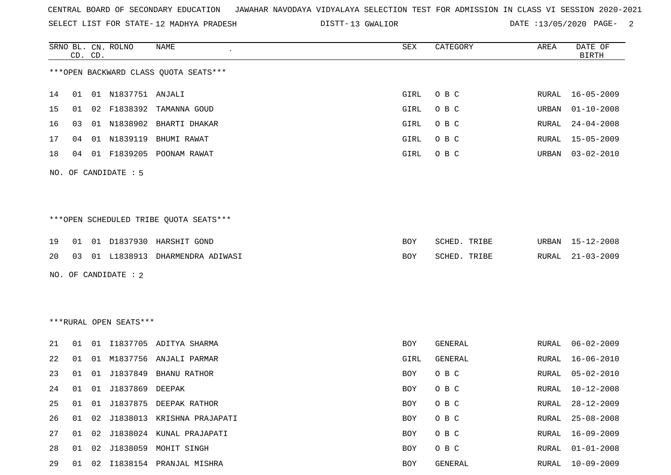SRNO BL. CN. ROLNO NAME SEX CATEGORY AREA DATE OF

SELECT LIST FOR STATE- DISTT- 12 MADHYA PRADESH

DISTT-13 GWALIOR **DATE** :13/05/2020 PAGE- 2

| *** OPEN BACKWARD CLASS QUOTA SEATS***<br>14<br>01 N1837751 ANJALI<br>GIRL<br>O B C<br>$16 - 05 - 2009$<br>01<br>RURAL<br>15<br>F1838392<br>GIRL<br>O B C<br>$01 - 10 - 2008$<br>02<br>TAMANNA GOUD<br>URBAN<br>01<br>16<br>01 N1838902 BHARTI DHAKAR<br>O B C<br>$24 - 04 - 2008$<br>03<br>GIRL<br>RURAL<br>N1839119<br>17<br>01<br>BHUMI RAWAT<br>GIRL<br>O B C<br>$15 - 05 - 2009$<br>04<br>RURAL<br>18<br>01 F1839205 POONAM RAWAT<br>GIRL<br>O B C<br>$03 - 02 - 2010$<br>04<br>URBAN<br>NO. OF CANDIDATE : 5<br>*** OPEN SCHEDULED TRIBE QUOTA SEATS***<br>19<br>01 D1837930 HARSHIT GOND<br>BOY<br>SCHED. TRIBE<br>URBAN<br>15-12-2008<br>01<br>20<br>01 L1838913 DHARMENDRA ADIWASI<br>$21 - 03 - 2009$<br>SCHED. TRIBE<br>RURAL<br>03<br>BOY<br>NO. OF CANDIDATE : 2<br>***RURAL OPEN SEATS***<br>21<br>01 I1837705 ADITYA SHARMA<br>$06 - 02 - 2009$<br>BOY<br>GENERAL<br>RURAL<br>01<br>22<br>M1837756<br>$16 - 06 - 2010$<br>01<br>ANJALI PARMAR<br>GIRL<br>GENERAL<br>RURAL<br>01<br>23<br>J1837849 BHANU RATHOR<br>O B C<br>$05 - 02 - 2010$<br>01<br>01<br>BOY<br>RURAL<br>24<br>01 J1837869 DEEPAK<br>$10 - 12 - 2008$<br>BOY<br>O B C<br>RURAL<br>01<br>25<br>01 J1837875 DEEPAK RATHOR<br>O B C<br>$28 - 12 - 2009$<br>01<br>BOY<br>RURAL<br>26<br>J1838013 KRISHNA PRAJAPATI<br>O B C<br>$25 - 08 - 2008$<br>01<br>02<br>BOY<br>RURAL<br>27<br>01 02<br>J1838024 KUNAL PRAJAPATI<br>O B C<br>$16 - 09 - 2009$<br>BOY<br>RURAL<br>28<br>J1838059 MOHIT SINGH<br>01 02<br>O B C<br>$01 - 01 - 2008$<br>BOY<br>RURAL<br>$10 - 09 - 2009$<br>29<br>01 02 I1838154 PRANJAL MISHRA<br>BOY<br>GENERAL<br>RURAL |  | CD. CD. |  |  |  |  |  |  | <b>BIRTH</b> |  |  |  |
|----------------------------------------------------------------------------------------------------------------------------------------------------------------------------------------------------------------------------------------------------------------------------------------------------------------------------------------------------------------------------------------------------------------------------------------------------------------------------------------------------------------------------------------------------------------------------------------------------------------------------------------------------------------------------------------------------------------------------------------------------------------------------------------------------------------------------------------------------------------------------------------------------------------------------------------------------------------------------------------------------------------------------------------------------------------------------------------------------------------------------------------------------------------------------------------------------------------------------------------------------------------------------------------------------------------------------------------------------------------------------------------------------------------------------------------------------------------------------------------------------------------------------------------------------------------------------------------------------------------------------|--|---------|--|--|--|--|--|--|--------------|--|--|--|
|                                                                                                                                                                                                                                                                                                                                                                                                                                                                                                                                                                                                                                                                                                                                                                                                                                                                                                                                                                                                                                                                                                                                                                                                                                                                                                                                                                                                                                                                                                                                                                                                                            |  |         |  |  |  |  |  |  |              |  |  |  |
|                                                                                                                                                                                                                                                                                                                                                                                                                                                                                                                                                                                                                                                                                                                                                                                                                                                                                                                                                                                                                                                                                                                                                                                                                                                                                                                                                                                                                                                                                                                                                                                                                            |  |         |  |  |  |  |  |  |              |  |  |  |
|                                                                                                                                                                                                                                                                                                                                                                                                                                                                                                                                                                                                                                                                                                                                                                                                                                                                                                                                                                                                                                                                                                                                                                                                                                                                                                                                                                                                                                                                                                                                                                                                                            |  |         |  |  |  |  |  |  |              |  |  |  |
|                                                                                                                                                                                                                                                                                                                                                                                                                                                                                                                                                                                                                                                                                                                                                                                                                                                                                                                                                                                                                                                                                                                                                                                                                                                                                                                                                                                                                                                                                                                                                                                                                            |  |         |  |  |  |  |  |  |              |  |  |  |
|                                                                                                                                                                                                                                                                                                                                                                                                                                                                                                                                                                                                                                                                                                                                                                                                                                                                                                                                                                                                                                                                                                                                                                                                                                                                                                                                                                                                                                                                                                                                                                                                                            |  |         |  |  |  |  |  |  |              |  |  |  |
|                                                                                                                                                                                                                                                                                                                                                                                                                                                                                                                                                                                                                                                                                                                                                                                                                                                                                                                                                                                                                                                                                                                                                                                                                                                                                                                                                                                                                                                                                                                                                                                                                            |  |         |  |  |  |  |  |  |              |  |  |  |
|                                                                                                                                                                                                                                                                                                                                                                                                                                                                                                                                                                                                                                                                                                                                                                                                                                                                                                                                                                                                                                                                                                                                                                                                                                                                                                                                                                                                                                                                                                                                                                                                                            |  |         |  |  |  |  |  |  |              |  |  |  |
|                                                                                                                                                                                                                                                                                                                                                                                                                                                                                                                                                                                                                                                                                                                                                                                                                                                                                                                                                                                                                                                                                                                                                                                                                                                                                                                                                                                                                                                                                                                                                                                                                            |  |         |  |  |  |  |  |  |              |  |  |  |
|                                                                                                                                                                                                                                                                                                                                                                                                                                                                                                                                                                                                                                                                                                                                                                                                                                                                                                                                                                                                                                                                                                                                                                                                                                                                                                                                                                                                                                                                                                                                                                                                                            |  |         |  |  |  |  |  |  |              |  |  |  |
|                                                                                                                                                                                                                                                                                                                                                                                                                                                                                                                                                                                                                                                                                                                                                                                                                                                                                                                                                                                                                                                                                                                                                                                                                                                                                                                                                                                                                                                                                                                                                                                                                            |  |         |  |  |  |  |  |  |              |  |  |  |
|                                                                                                                                                                                                                                                                                                                                                                                                                                                                                                                                                                                                                                                                                                                                                                                                                                                                                                                                                                                                                                                                                                                                                                                                                                                                                                                                                                                                                                                                                                                                                                                                                            |  |         |  |  |  |  |  |  |              |  |  |  |
|                                                                                                                                                                                                                                                                                                                                                                                                                                                                                                                                                                                                                                                                                                                                                                                                                                                                                                                                                                                                                                                                                                                                                                                                                                                                                                                                                                                                                                                                                                                                                                                                                            |  |         |  |  |  |  |  |  |              |  |  |  |
|                                                                                                                                                                                                                                                                                                                                                                                                                                                                                                                                                                                                                                                                                                                                                                                                                                                                                                                                                                                                                                                                                                                                                                                                                                                                                                                                                                                                                                                                                                                                                                                                                            |  |         |  |  |  |  |  |  |              |  |  |  |
|                                                                                                                                                                                                                                                                                                                                                                                                                                                                                                                                                                                                                                                                                                                                                                                                                                                                                                                                                                                                                                                                                                                                                                                                                                                                                                                                                                                                                                                                                                                                                                                                                            |  |         |  |  |  |  |  |  |              |  |  |  |
|                                                                                                                                                                                                                                                                                                                                                                                                                                                                                                                                                                                                                                                                                                                                                                                                                                                                                                                                                                                                                                                                                                                                                                                                                                                                                                                                                                                                                                                                                                                                                                                                                            |  |         |  |  |  |  |  |  |              |  |  |  |
|                                                                                                                                                                                                                                                                                                                                                                                                                                                                                                                                                                                                                                                                                                                                                                                                                                                                                                                                                                                                                                                                                                                                                                                                                                                                                                                                                                                                                                                                                                                                                                                                                            |  |         |  |  |  |  |  |  |              |  |  |  |
|                                                                                                                                                                                                                                                                                                                                                                                                                                                                                                                                                                                                                                                                                                                                                                                                                                                                                                                                                                                                                                                                                                                                                                                                                                                                                                                                                                                                                                                                                                                                                                                                                            |  |         |  |  |  |  |  |  |              |  |  |  |
|                                                                                                                                                                                                                                                                                                                                                                                                                                                                                                                                                                                                                                                                                                                                                                                                                                                                                                                                                                                                                                                                                                                                                                                                                                                                                                                                                                                                                                                                                                                                                                                                                            |  |         |  |  |  |  |  |  |              |  |  |  |
|                                                                                                                                                                                                                                                                                                                                                                                                                                                                                                                                                                                                                                                                                                                                                                                                                                                                                                                                                                                                                                                                                                                                                                                                                                                                                                                                                                                                                                                                                                                                                                                                                            |  |         |  |  |  |  |  |  |              |  |  |  |
|                                                                                                                                                                                                                                                                                                                                                                                                                                                                                                                                                                                                                                                                                                                                                                                                                                                                                                                                                                                                                                                                                                                                                                                                                                                                                                                                                                                                                                                                                                                                                                                                                            |  |         |  |  |  |  |  |  |              |  |  |  |
|                                                                                                                                                                                                                                                                                                                                                                                                                                                                                                                                                                                                                                                                                                                                                                                                                                                                                                                                                                                                                                                                                                                                                                                                                                                                                                                                                                                                                                                                                                                                                                                                                            |  |         |  |  |  |  |  |  |              |  |  |  |
|                                                                                                                                                                                                                                                                                                                                                                                                                                                                                                                                                                                                                                                                                                                                                                                                                                                                                                                                                                                                                                                                                                                                                                                                                                                                                                                                                                                                                                                                                                                                                                                                                            |  |         |  |  |  |  |  |  |              |  |  |  |
|                                                                                                                                                                                                                                                                                                                                                                                                                                                                                                                                                                                                                                                                                                                                                                                                                                                                                                                                                                                                                                                                                                                                                                                                                                                                                                                                                                                                                                                                                                                                                                                                                            |  |         |  |  |  |  |  |  |              |  |  |  |
|                                                                                                                                                                                                                                                                                                                                                                                                                                                                                                                                                                                                                                                                                                                                                                                                                                                                                                                                                                                                                                                                                                                                                                                                                                                                                                                                                                                                                                                                                                                                                                                                                            |  |         |  |  |  |  |  |  |              |  |  |  |
|                                                                                                                                                                                                                                                                                                                                                                                                                                                                                                                                                                                                                                                                                                                                                                                                                                                                                                                                                                                                                                                                                                                                                                                                                                                                                                                                                                                                                                                                                                                                                                                                                            |  |         |  |  |  |  |  |  |              |  |  |  |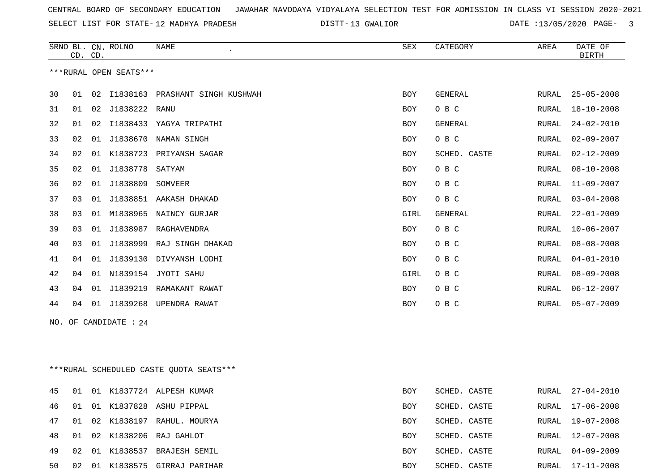SELECT LIST FOR STATE- DISTT- 12 MADHYA PRADESH

DISTT-13 GWALIOR DATE :13/05/2020 PAGE- 3

|    |    | CD. CD. | SRNO BL. CN. ROLNO     | NAME<br>$\epsilon$              | SEX        | CATEGORY       | AREA         | DATE OF<br><b>BIRTH</b> |
|----|----|---------|------------------------|---------------------------------|------------|----------------|--------------|-------------------------|
|    |    |         | ***RURAL OPEN SEATS*** |                                 |            |                |              |                         |
| 30 | 01 | 02      |                        | I1838163 PRASHANT SINGH KUSHWAH | <b>BOY</b> | GENERAL        | RURAL        | $25 - 05 - 2008$        |
| 31 | 01 | 02      | J1838222 RANU          |                                 | <b>BOY</b> | O B C          | <b>RURAL</b> | $18 - 10 - 2008$        |
| 32 | 01 | 02      |                        | I1838433 YAGYA TRIPATHI         | BOY        | GENERAL        | RURAL        | $24 - 02 - 2010$        |
| 33 | 02 | 01      |                        | J1838670 NAMAN SINGH            | <b>BOY</b> | O B C          | <b>RURAL</b> | $02 - 09 - 2007$        |
| 34 | 02 | 01      | K1838723               | PRIYANSH SAGAR                  | <b>BOY</b> | SCHED. CASTE   | <b>RURAL</b> | $02 - 12 - 2009$        |
| 35 | 02 | 01      | J1838778               | SATYAM                          | <b>BOY</b> | O B C          | RURAL        | $08 - 10 - 2008$        |
| 36 | 02 | 01      | J1838809               | SOMVEER                         | <b>BOY</b> | O B C          | RURAL        | $11 - 09 - 2007$        |
| 37 | 03 | 01      |                        | J1838851 AAKASH DHAKAD          | <b>BOY</b> | O B C          | RURAL        | $03 - 04 - 2008$        |
| 38 | 03 | 01      |                        | M1838965 NAINCY GURJAR          | GIRL       | <b>GENERAL</b> | RURAL        | $22 - 01 - 2009$        |
| 39 | 03 | 01      |                        | J1838987 RAGHAVENDRA            | BOY        | O B C          | RURAL        | $10 - 06 - 2007$        |
| 40 | 03 | 01      |                        | J1838999 RAJ SINGH DHAKAD       | <b>BOY</b> | O B C          | RURAL        | $08 - 08 - 2008$        |
| 41 | 04 | 01      |                        | J1839130 DIVYANSH LODHI         | BOY        | O B C          | RURAL        | $04 - 01 - 2010$        |
| 42 | 04 | 01      | N1839154               | JYOTI SAHU                      | GIRL       | O B C          | RURAL        | $08 - 09 - 2008$        |
| 43 | 04 | 01      | J1839219               | RAMAKANT RAWAT                  | <b>BOY</b> | O B C          | RURAL        | $06 - 12 - 2007$        |
| 44 | 04 | 01      | J1839268               | UPENDRA RAWAT                   | <b>BOY</b> | O B C          | RURAL        | $05 - 07 - 2009$        |
|    |    |         | NO. OF CANDIDATE : 24  |                                 |            |                |              |                         |

\*\*\*RURAL SCHEDULED CASTE QUOTA SEATS\*\*\*

| 45 | 01             |    |             | 01 K1837724 ALPESH KUMAR  | <b>BOY</b> | SCHED. CASTE | RURAL | 27-04-2010 |
|----|----------------|----|-------------|---------------------------|------------|--------------|-------|------------|
| 46 | 01             |    |             | 01 K1837828 ASHU PIPPAL   | BOY        | SCHED. CASTE | RURAL | 17-06-2008 |
| 47 | $\bigcirc$ 0.1 |    |             | 02 K1838197 RAHUL. MOURYA | BOY        | SCHED. CASTE | RURAL | 19-07-2008 |
| 48 | $\bigcirc$ 0.1 |    |             | 02 K1838206 RAJ GAHLOT    | <b>BOY</b> | SCHED. CASTE | RURAL | 12-07-2008 |
| 49 | 02             |    | 01 K1838537 | BRAJESH SEMIL             | BOY        | SCHED. CASTE | RURAL | 04-09-2009 |
| 50 | 02             | 01 |             | K1838575 GIRRAJ PARIHAR   | BOY        | SCHED. CASTE | RURAL | 17-11-2008 |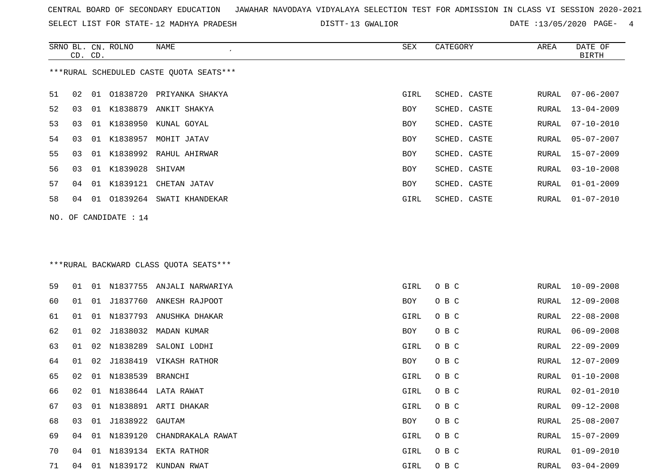SRNO BL. CN. ROLNO NAME SEX CATEGORY AREA DATE OF

SELECT LIST FOR STATE- DISTT- 12 MADHYA PRADESH

DISTT-13 GWALIOR **DATE** :13/05/2020 PAGE- 4

|    | CD. CD. |    |                          |                                         |      |              |       | BIRTH            |
|----|---------|----|--------------------------|-----------------------------------------|------|--------------|-------|------------------|
|    |         |    |                          | ***RURAL SCHEDULED CASTE QUOTA SEATS*** |      |              |       |                  |
| 51 | 02      |    |                          | 01 01838720 PRIYANKA SHAKYA             | GIRL | SCHED. CASTE | RURAL | 07-06-2007       |
| 52 | 03      | 01 | K1838879                 | ANKIT SHAKYA                            | BOY  | SCHED. CASTE | RURAL | $13 - 04 - 2009$ |
| 53 | 03      | 01 | K1838950                 | KUNAL GOYAL                             | BOY  | SCHED. CASTE | RURAL | $07 - 10 - 2010$ |
| 54 | 03      | 01 | K1838957                 | MOHIT JATAV                             | BOY  | SCHED. CASTE | RURAL | $05 - 07 - 2007$ |
| 55 | 03      | 01 |                          | K1838992 RAHUL AHIRWAR                  | BOY  | SCHED. CASTE | RURAL | 15-07-2009       |
| 56 | 03      | 01 | K1839028                 | SHIVAM                                  | BOY  | SCHED. CASTE | RURAL | $03 - 10 - 2008$ |
| 57 | 04      |    |                          | 01 K1839121 CHETAN JATAV                | BOY  | SCHED. CASTE | RURAL | $01 - 01 - 2009$ |
| 58 | 04      |    |                          | 01 01839264 SWATI KHANDEKAR             | GIRL | SCHED. CASTE | RURAL | $01 - 07 - 2010$ |
|    |         |    | NO. OF CANDIDATE : 14    |                                         |      |              |       |                  |
|    |         |    |                          |                                         |      |              |       |                  |
|    |         |    |                          |                                         |      |              |       |                  |
|    |         |    |                          | *** RURAL BACKWARD CLASS QUOTA SEATS*** |      |              |       |                  |
| 59 | 01      | 01 |                          | N1837755 ANJALI NARWARIYA               | GIRL | O B C        | RURAL | $10 - 09 - 2008$ |
| 60 | 01      | 01 | J1837760                 | ANKESH RAJPOOT                          | BOY  | O B C        | RURAL | $12 - 09 - 2008$ |
| 61 | 01      | 01 |                          | N1837793 ANUSHKA DHAKAR                 | GIRL | O B C        | RURAL | $22 - 08 - 2008$ |
| 62 | 01      | 02 | J1838032                 | MADAN KUMAR                             | BOY  | O B C        | RURAL | $06 - 09 - 2008$ |
| 63 | 01      | 02 |                          | N1838289 SALONI LODHI                   | GIRL | O B C        | RURAL | $22 - 09 - 2009$ |
| 64 | 01      | 02 | J1838419                 | VIKASH RATHOR                           | BOY  | O B C        | RURAL | 12-07-2009       |
| 65 | 02      | 01 | N1838539 BRANCHI         |                                         | GIRL | O B C        | RURAL | $01 - 10 - 2008$ |
| 66 | 02      | 01 |                          | N1838644 LATA RAWAT                     | GIRL | O B C        | RURAL | $02 - 01 - 2010$ |
| 67 | 03      |    |                          | 01 N1838891 ARTI DHAKAR                 | GIRL | O B C        | RURAL | $09 - 12 - 2008$ |
| 68 |         |    | 03  01  J1838922  GAUTAM |                                         | BOY  | O B C        |       | RURAL 25-08-2007 |
| 69 |         |    |                          | 04 01 N1839120 CHANDRAKALA RAWAT        | GIRL | O B C        |       | RURAL 15-07-2009 |
| 70 |         |    |                          | 04 01 N1839134 EKTA RATHOR              | GIRL | O B C        | RURAL | $01 - 09 - 2010$ |
| 71 |         |    |                          | 04 01 N1839172 KUNDAN RWAT              | GIRL | O B C        | RURAL | $03 - 04 - 2009$ |
|    |         |    |                          |                                         |      |              |       |                  |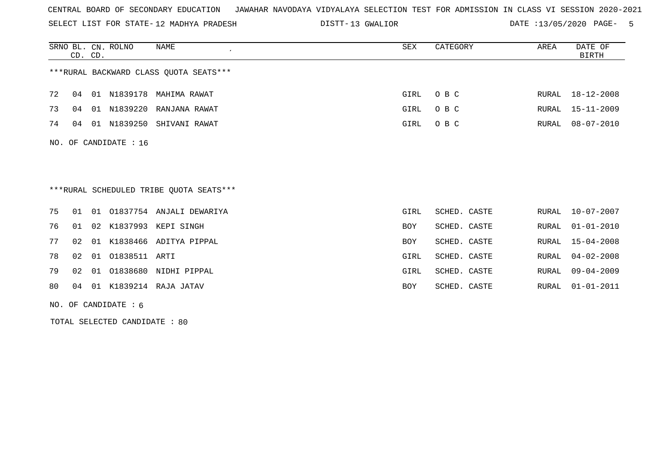SELECT LIST FOR STATE- DISTT- 12 MADHYA PRADESH

13 GWALIOR DATE :13/05/2020 PAGE- 5

|    |    | CD. CD. | SRNO BL. CN. ROLNO     | <b>NAME</b><br>$\epsilon$               | SEX        | CATEGORY     | AREA  | DATE OF<br><b>BIRTH</b> |
|----|----|---------|------------------------|-----------------------------------------|------------|--------------|-------|-------------------------|
|    |    |         |                        | *** RURAL BACKWARD CLASS QUOTA SEATS*** |            |              |       |                         |
| 72 | 04 |         |                        | 01 N1839178 MAHIMA RAWAT                | GIRL       | O B C        | RURAL | 18-12-2008              |
| 73 | 04 |         |                        | 01 N1839220 RANJANA RAWAT               | GIRL       | O B C        | RURAL | $15 - 11 - 2009$        |
| 74 | 04 |         |                        | 01 N1839250 SHIVANI RAWAT               | GIRL       | O B C        | RURAL | $08 - 07 - 2010$        |
|    |    |         | NO. OF CANDIDATE : 16  |                                         |            |              |       |                         |
|    |    |         |                        |                                         |            |              |       |                         |
|    |    |         |                        |                                         |            |              |       |                         |
|    |    |         |                        | ***RURAL SCHEDULED TRIBE OUOTA SEATS*** |            |              |       |                         |
| 75 | 01 | 01      |                        | 01837754 ANJALI DEWARIYA                | GIRL       | SCHED. CASTE | RURAL | $10 - 07 - 2007$        |
| 76 | 01 |         |                        | 02 K1837993 KEPI SINGH                  | <b>BOY</b> | SCHED. CASTE | RURAL | $01 - 01 - 2010$        |
| 77 | 02 | 01      |                        | K1838466 ADITYA PIPPAL                  | <b>BOY</b> | SCHED. CASTE | RURAL | $15 - 04 - 2008$        |
| 78 | 02 | 01      | 01838511 ARTI          |                                         | GIRL       | SCHED. CASTE | RURAL | $04 - 02 - 2008$        |
| 79 | 02 | 01      |                        | 01838680 NIDHI PIPPAL                   | GIRL       | SCHED. CASTE | RURAL | $09 - 04 - 2009$        |
| 80 | 04 |         |                        | 01 K1839214 RAJA JATAV                  | <b>BOY</b> | SCHED. CASTE | RURAL | $01 - 01 - 2011$        |
|    |    |         | NO. OF CANDIDATE : $6$ |                                         |            |              |       |                         |

TOTAL SELECTED CANDIDATE : 80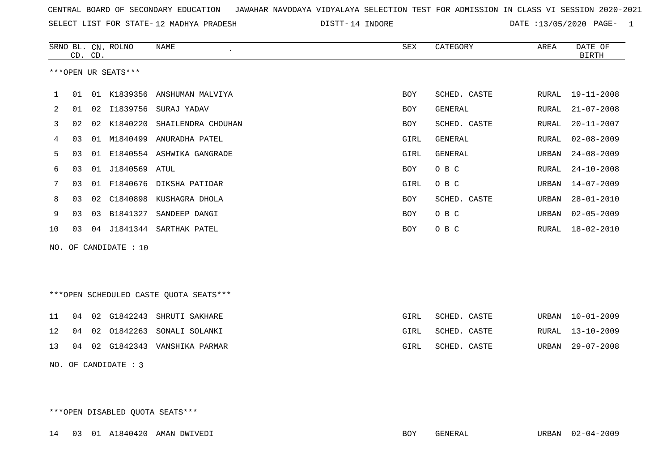SELECT LIST FOR STATE- DISTT- 12 MADHYA PRADESH

DISTT-14 INDORE DATE :13/05/2020 PAGE- 1

|             |    | CD. CD. | SRNO BL. CN. ROLNO    | <b>NAME</b>                             | SEX        | CATEGORY       | AREA  | DATE OF<br><b>BIRTH</b> |
|-------------|----|---------|-----------------------|-----------------------------------------|------------|----------------|-------|-------------------------|
|             |    |         | ***OPEN UR SEATS***   |                                         |            |                |       |                         |
| $\mathbf 1$ | 01 |         |                       | 01 K1839356 ANSHUMAN MALVIYA            | <b>BOY</b> | SCHED. CASTE   | RURAL | 19-11-2008              |
| 2           | 01 |         | 02 I1839756           | SURAJ YADAV                             | <b>BOY</b> | <b>GENERAL</b> | RURAL | $21 - 07 - 2008$        |
| 3           | 02 |         |                       | 02 K1840220 SHAILENDRA CHOUHAN          | <b>BOY</b> | SCHED. CASTE   | RURAL | $20 - 11 - 2007$        |
| 4           | 03 |         |                       | 01 M1840499 ANURADHA PATEL              | GIRL       | <b>GENERAL</b> | RURAL | $02 - 08 - 2009$        |
| 5           | 03 | 01      |                       | E1840554 ASHWIKA GANGRADE               | GIRL       | GENERAL        | URBAN | $24 - 08 - 2009$        |
| 6           | 03 | 01      | J1840569 ATUL         |                                         | <b>BOY</b> | O B C          | RURAL | $24 - 10 - 2008$        |
| 7           | 03 | 01      | F1840676              | DIKSHA PATIDAR                          | GIRL       | O B C          | URBAN | $14 - 07 - 2009$        |
| 8           | 03 | 02      | C1840898              | KUSHAGRA DHOLA                          | <b>BOY</b> | SCHED. CASTE   | URBAN | $28 - 01 - 2010$        |
| 9           | 03 | 03      | B1841327              | SANDEEP DANGI                           | <b>BOY</b> | O B C          | URBAN | $02 - 05 - 2009$        |
| 10          | 03 | 04      | J1841344              | SARTHAK PATEL                           | <b>BOY</b> | O B C          | RURAL | $18 - 02 - 2010$        |
|             |    |         | NO. OF CANDIDATE : 10 |                                         |            |                |       |                         |
|             |    |         |                       | *** OPEN SCHEDULED CASTE QUOTA SEATS*** |            |                |       |                         |
| 11          | 04 |         | 02 G1842243           | SHRUTI SAKHARE                          | GIRL       | SCHED. CASTE   | URBAN | $10 - 01 - 2009$        |
| 12          |    |         |                       | 04 02 01842263 SONALLI SOLANKI          | GTRI.      | SCHED CASTE    |       | RIRAL 13-10-2009        |

| TA NA ALISTANOS CONSTRUIT SUNANNI |      | GIRT POUTD. CAPIE | CUUAT ISTIUTZUUZ |
|-----------------------------------|------|-------------------|------------------|
| 13 04 02 G1842343 VANSHIKA PARMAR | GIRL | SCHED. CASTE      | URBAN 29-07-2008 |

NO. OF CANDIDATE : 3

\*\*\*OPEN DISABLED QUOTA SEATS\*\*\*

14 03 01 A1840420 AMAN DWIVEDI BOY GENERAL URBAN 02-04-2009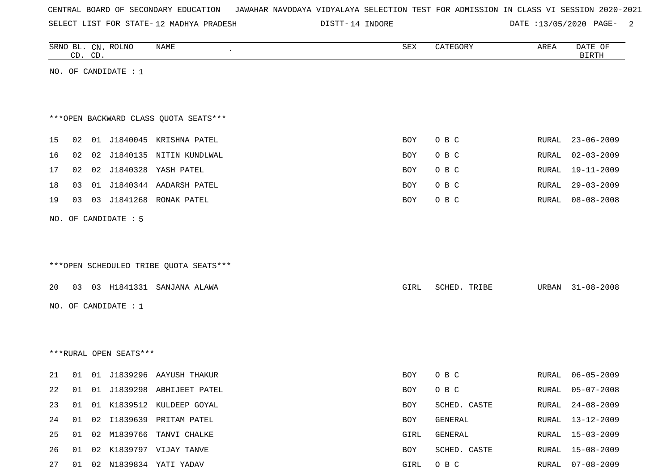| CENTRAL BOARD OF SECONDARY EDUCATION – JAWAHAR NAVODAYA VIDYALAYA SELECTION TEST FOR ADMISSION IN CLASS VI SESSION 2020-2021 |  |  |  |
|------------------------------------------------------------------------------------------------------------------------------|--|--|--|
|------------------------------------------------------------------------------------------------------------------------------|--|--|--|

SELECT LIST FOR STATE- DISTT- 12 MADHYA PRADESH

DISTT-14 INDORE 2012 DATE :13/05/2020 PAGE-

|    |    | CD. CD. | SRNO BL. CN. ROLNO     | NAME                                   | SEX        | CATEGORY     | AREA         | DATE OF<br><b>BIRTH</b> |
|----|----|---------|------------------------|----------------------------------------|------------|--------------|--------------|-------------------------|
|    |    |         | NO. OF CANDIDATE : $1$ |                                        |            |              |              |                         |
|    |    |         |                        |                                        |            |              |              |                         |
|    |    |         |                        |                                        |            |              |              |                         |
|    |    |         |                        | *** OPEN BACKWARD CLASS QUOTA SEATS*** |            |              |              |                         |
| 15 | 02 |         |                        | 01 J1840045 KRISHNA PATEL              | <b>BOY</b> | O B C        | RURAL        | $23 - 06 - 2009$        |
| 16 | 02 |         |                        | 02 J1840135 NITIN KUNDLWAL             | BOY        | O B C        | <b>RURAL</b> | $02 - 03 - 2009$        |
| 17 | 02 |         |                        | 02 J1840328 YASH PATEL                 | <b>BOY</b> | O B C        | RURAL        | 19-11-2009              |
| 18 | 03 |         |                        | 01 J1840344 AADARSH PATEL              | BOY        | O B C        | RURAL        | $29 - 03 - 2009$        |
|    |    |         | 03 J1841268            |                                        |            |              |              |                         |
| 19 | 03 |         |                        | RONAK PATEL                            | <b>BOY</b> | O B C        | RURAL        | $08 - 08 - 2008$        |
|    |    |         | NO. OF CANDIDATE : 5   |                                        |            |              |              |                         |
|    |    |         |                        |                                        |            |              |              |                         |
|    |    |         |                        |                                        |            |              |              |                         |
|    |    |         |                        | ***OPEN SCHEDULED TRIBE QUOTA SEATS*** |            |              |              |                         |
| 20 | 03 |         |                        | 03 H1841331 SANJANA ALAWA              | GIRL       | SCHED. TRIBE | URBAN        | $31 - 08 - 2008$        |
|    |    |         |                        |                                        |            |              |              |                         |
|    |    |         | NO. OF CANDIDATE : 1   |                                        |            |              |              |                         |
|    |    |         |                        |                                        |            |              |              |                         |
|    |    |         |                        |                                        |            |              |              |                         |
|    |    |         | ***RURAL OPEN SEATS*** |                                        |            |              |              |                         |
| 21 | 01 |         |                        | 01 J1839296 AAYUSH THAKUR              | BOY        | O B C        | RURAL        | $06 - 05 - 2009$        |
| 22 | 01 |         |                        | 01 J1839298 ABHIJEET PATEL             | <b>BOY</b> | O B C        | RURAL        | 05-07-2008              |
| 23 | 01 |         |                        | 01 K1839512 KULDEEP GOYAL              | BOY        | SCHED. CASTE | RURAL        | $24 - 08 - 2009$        |
| 24 | 01 |         |                        | 02 I1839639 PRITAM PATEL               | BOY        | GENERAL      | RURAL        | $13 - 12 - 2009$        |
| 25 | 01 |         |                        | 02 M1839766 TANVI CHALKE               | GIRL       | GENERAL      | <b>RURAL</b> | $15 - 03 - 2009$        |
| 26 | 01 |         |                        | 02 K1839797 VIJAY TANVE                | BOY        | SCHED. CASTE | RURAL        | $15 - 08 - 2009$        |
| 27 | 01 |         |                        | 02 N1839834 YATI YADAV                 | GIRL       | O B C        |              | RURAL 07-08-2009        |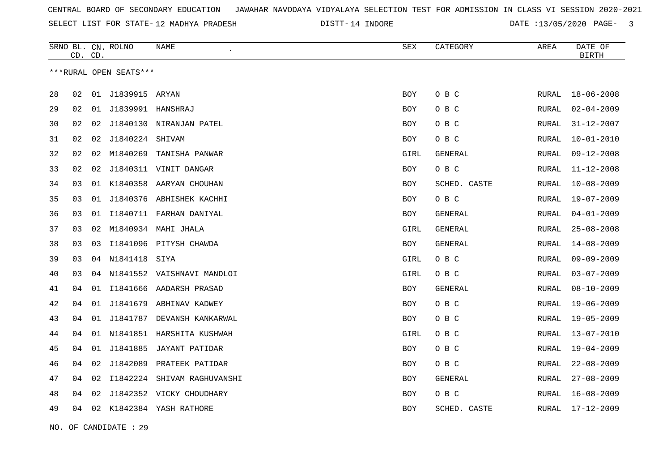SELECT LIST FOR STATE- DISTT- 12 MADHYA PRADESH

DISTT-14 INDORE DATE :13/05/2020 PAGE- 3

|    | CD. CD. |                 | SRNO BL. CN. ROLNO     | NAME                       | ${\tt SEX}$ | CATEGORY       | AREA         | DATE OF<br><b>BIRTH</b> |
|----|---------|-----------------|------------------------|----------------------------|-------------|----------------|--------------|-------------------------|
|    |         |                 | ***RURAL OPEN SEATS*** |                            |             |                |              |                         |
| 28 | 02      | 01              | J1839915               | ARYAN                      | <b>BOY</b>  | O B C          | RURAL        | $18 - 06 - 2008$        |
| 29 | 02      |                 | 01 J1839991 HANSHRAJ   |                            | BOY         | O B C          | RURAL        | $02 - 04 - 2009$        |
| 30 | 02      | 02              |                        | J1840130 NIRANJAN PATEL    | <b>BOY</b>  | O B C          | RURAL        | $31 - 12 - 2007$        |
| 31 | 02      | 02 <sub>o</sub> | J1840224 SHIVAM        |                            | <b>BOY</b>  | O B C          | RURAL        | $10 - 01 - 2010$        |
| 32 | 02      | 02              | M1840269               | TANISHA PANWAR             | GIRL        | <b>GENERAL</b> | RURAL        | $09 - 12 - 2008$        |
| 33 | 02      | 02              |                        | J1840311 VINIT DANGAR      | <b>BOY</b>  | O B C          | RURAL        | $11 - 12 - 2008$        |
| 34 | 03      | 01              |                        | K1840358 AARYAN CHOUHAN    | BOY         | SCHED. CASTE   | <b>RURAL</b> | $10 - 08 - 2009$        |
| 35 | 03      | 01              |                        | J1840376 ABHISHEK KACHHI   | BOY         | O B C          | RURAL        | $19 - 07 - 2009$        |
| 36 | 03      | 01              |                        | I1840711 FARHAN DANIYAL    | <b>BOY</b>  | GENERAL        | RURAL        | $04 - 01 - 2009$        |
| 37 | 03      | 02              |                        | M1840934 MAHI JHALA        | GIRL        | GENERAL        | RURAL        | $25 - 08 - 2008$        |
| 38 | 03      | 03              |                        | I1841096 PITYSH CHAWDA     | <b>BOY</b>  | <b>GENERAL</b> | <b>RURAL</b> | $14 - 08 - 2009$        |
| 39 | 03      |                 | 04 N1841418            | SIYA                       | GIRL        | O B C          | <b>RURAL</b> | $09 - 09 - 2009$        |
| 40 | 03      | 04              |                        | N1841552 VAISHNAVI MANDLOI | GIRL        | O B C          | RURAL        | $03 - 07 - 2009$        |
| 41 | 04      | 01              |                        | I1841666 AADARSH PRASAD    | <b>BOY</b>  | GENERAL        | <b>RURAL</b> | $08 - 10 - 2009$        |
| 42 | 04      | 01              |                        | J1841679 ABHINAV KADWEY    | BOY         | O B C          | RURAL        | $19 - 06 - 2009$        |
| 43 | 04      | 01              |                        | J1841787 DEVANSH KANKARWAL | <b>BOY</b>  | O B C          | RURAL        | $19 - 05 - 2009$        |
| 44 | 04      | 01              |                        | N1841851 HARSHITA KUSHWAH  | GIRL        | O B C          | RURAL        | $13 - 07 - 2010$        |
| 45 | 04      | 01              |                        | J1841885 JAYANT PATIDAR    | BOY         | O B C          | RURAL        | $19 - 04 - 2009$        |
| 46 | 04      | 02              | J1842089               | PRATEEK PATIDAR            | <b>BOY</b>  | O B C          | RURAL        | $22 - 08 - 2009$        |
| 47 | 04      | 02              | I1842224               | SHIVAM RAGHUVANSHI         | BOY         | GENERAL        | RURAL        | $27 - 08 - 2009$        |
| 48 | 04      | 02              |                        | J1842352 VICKY CHOUDHARY   | BOY         | O B C          | RURAL        | $16 - 08 - 2009$        |
| 49 | 04      |                 |                        | 02 K1842384 YASH RATHORE   | <b>BOY</b>  | SCHED. CASTE   | RURAL        | $17 - 12 - 2009$        |

NO. OF CANDIDATE : 29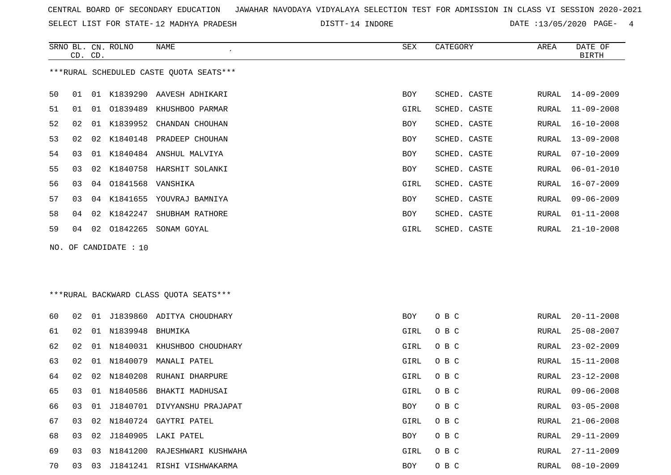SELECT LIST FOR STATE- DISTT- 12 MADHYA PRADESH

DISTT-14 INDORE 2020 DATE :13/05/2020 PAGE- 4

|    | CD. CD.         |    | SRNO BL. CN. ROLNO    | NAME<br>$\epsilon$                      | SEX        | CATEGORY     | AREA  | DATE OF<br><b>BIRTH</b> |
|----|-----------------|----|-----------------------|-----------------------------------------|------------|--------------|-------|-------------------------|
|    |                 |    |                       | ***RURAL SCHEDULED CASTE QUOTA SEATS*** |            |              |       |                         |
| 50 | 01              |    |                       | 01 K1839290 AAVESH ADHIKARI             | <b>BOY</b> | SCHED. CASTE | RURAL | $14 - 09 - 2009$        |
| 51 | 01              |    |                       | 01 01839489 KHUSHBOO PARMAR             | GIRL       | SCHED. CASTE | RURAL | $11 - 09 - 2008$        |
| 52 | 02              |    |                       | 01 K1839952 CHANDAN CHOUHAN             | <b>BOY</b> | SCHED. CASTE | RURAL | $16 - 10 - 2008$        |
| 53 | 02              | 02 | K1840148              | PRADEEP CHOUHAN                         | <b>BOY</b> | SCHED. CASTE | RURAL | $13 - 09 - 2008$        |
| 54 | 03              |    |                       | 01 K1840484 ANSHUL MALVIYA              | BOY        | SCHED. CASTE | RURAL | $07 - 10 - 2009$        |
| 55 | 03              |    |                       | 02 K1840758 HARSHIT SOLANKI             | <b>BOY</b> | SCHED. CASTE | RURAL | $06 - 01 - 2010$        |
| 56 | 03              |    | 04 01841568           | VANSHIKA                                | GIRL       | SCHED. CASTE | RURAL | $16 - 07 - 2009$        |
| 57 | 03              |    |                       | 04 K1841655 YOUVRAJ BAMNIYA             | <b>BOY</b> | SCHED. CASTE | RURAL | $09 - 06 - 2009$        |
| 58 | 04              |    |                       | 02 K1842247 SHUBHAM RATHORE             | BOY        | SCHED. CASTE | RURAL | $01 - 11 - 2008$        |
| 59 | 04              |    | 02 01842265           | SONAM GOYAL                             | GIRL       | SCHED. CASTE | RURAL | $21 - 10 - 2008$        |
|    |                 |    | NO. OF CANDIDATE : 10 |                                         |            |              |       |                         |
|    |                 |    |                       |                                         |            |              |       |                         |
|    |                 |    |                       |                                         |            |              |       |                         |
|    |                 |    |                       | *** RURAL BACKWARD CLASS QUOTA SEATS*** |            |              |       |                         |
|    |                 |    |                       |                                         |            |              |       |                         |
| 60 | 02              |    |                       | 01 J1839860 ADITYA CHOUDHARY            | BOY        | O B C        | RURAL | $20 - 11 - 2008$        |
| 61 | 02 <sub>o</sub> |    | 01 N1839948 BHUMIKA   |                                         | GIRL       | O B C        | RURAL | $25 - 08 - 2007$        |
| 62 | 02              |    |                       | 01 N1840031 KHUSHBOO CHOUDHARY          | GIRL       | O B C        | RURAL | $23 - 02 - 2009$        |
| 63 | 02              |    | 01 N1840079           | MANALI PATEL                            | GIRL       | O B C        | RURAL | $15 - 11 - 2008$        |
|    |                 |    |                       |                                         |            |              |       |                         |

| 64 | 02 | 02   | N1840208 | RUHANI DHARPURE     | GIRL       | O B C | RURAL | 23-12-2008       |
|----|----|------|----------|---------------------|------------|-------|-------|------------------|
| 65 | 03 | -01  | N1840586 | BHAKTI MADHUSAI     | GIRL       | O B C | RURAL | $09 - 06 - 2008$ |
| 66 | 03 | 01   | J1840701 | DIVYANSHU PRAJAPAT  | BOY.       | O B C | RURAL | $03 - 05 - 2008$ |
| 67 | 03 | O 2. | N1840724 | GAYTRI PATEL        | GIRL       | O B C | RURAL | $21 - 06 - 2008$ |
| 68 | 03 | 02.  | J1840905 | LAKI PATEL          | BOY.       | O B C | RURAL | $29 - 11 - 2009$ |
| 69 | 03 | 03   | N1841200 | RAJESHWARI KUSHWAHA | GIRL       | O B C | RURAL | 27-11-2009       |
| 70 | 03 | 03   | J1841241 | RISHI VISHWAKARMA   | <b>BOY</b> | O B C | RURAL | $08 - 10 - 2009$ |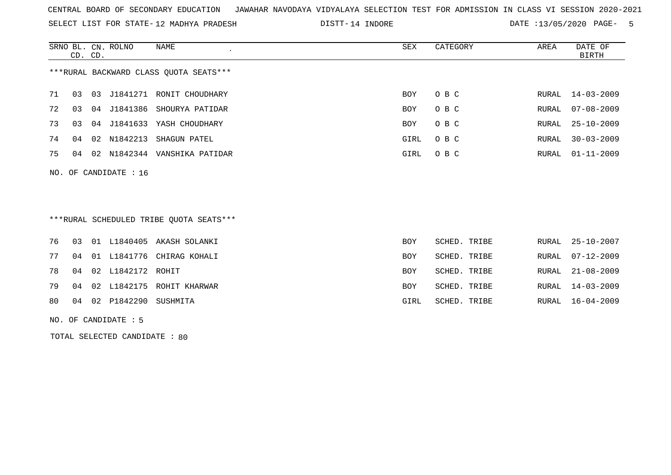SELECT LIST FOR STATE- DISTT- 12 MADHYA PRADESH

DISTT-14 INDORE DATE :13/05/2020 PAGE- 5

|    | CD. CD. | SRNO BL. CN. ROLNO      | NAME                                   | SEX  | CATEGORY | AREA  | DATE OF<br><b>BIRTH</b> |
|----|---------|-------------------------|----------------------------------------|------|----------|-------|-------------------------|
|    |         |                         | ***RURAL BACKWARD CLASS QUOTA SEATS*** |      |          |       |                         |
| 71 | 03      |                         | 03 J1841271 RONIT CHOUDHARY            | BOY  | O B C    |       | RURAL 14-03-2009        |
| 72 | 03      |                         | 04 J1841386 SHOURYA PATIDAR            | BOY  | O B C    | RURAL | $07 - 08 - 2009$        |
| 73 | 03      |                         | 04 J1841633 YASH CHOUDHARY             | BOY  | O B C    | RURAL | $25 - 10 - 2009$        |
| 74 | 04      |                         | 02 N1842213 SHAGUN PATEL               | GIRL | O B C    | RURAL | $30 - 03 - 2009$        |
| 75 | 04      |                         | 02 N1842344 VANSHIKA PATIDAR           | GIRL | O B C    | RURAL | $01 - 11 - 2009$        |
|    |         | NO. OF CANDIDATE : $16$ |                                        |      |          |       |                         |
|    |         |                         |                                        |      |          |       |                         |

\*\*\*RURAL SCHEDULED TRIBE QUOTA SEATS\*\*\*

|  |                            | 76 03 01 L1840405 AKASH SOLANKI | BOY        | SCHED. TRIBE | RURAL 25-10-2007 |
|--|----------------------------|---------------------------------|------------|--------------|------------------|
|  |                            | 77 04 01 L1841776 CHIRAG KOHALI | <b>BOY</b> | SCHED. TRIBE | RURAL 07-12-2009 |
|  | 78 04 02 L1842172 ROHIT    |                                 | <b>BOY</b> | SCHED. TRIBE | RURAL 21-08-2009 |
|  |                            | 79 04 02 L1842175 ROHIT KHARWAR | <b>BOY</b> | SCHED. TRIBE | RURAL 14-03-2009 |
|  | 80 04 02 P1842290 SUSHMITA |                                 | GIRL       | SCHED. TRIBE | RURAL 16-04-2009 |
|  |                            |                                 |            |              |                  |

NO. OF CANDIDATE : 5

TOTAL SELECTED CANDIDATE : 80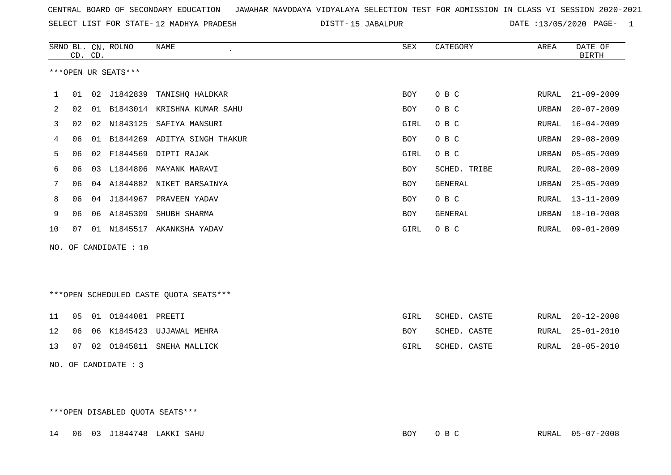SELECT LIST FOR STATE- DISTT- 12 MADHYA PRADESH

DISTT-15 JABALPUR 2020 DATE :13/05/2020 PAGE- 1

|     |    | CD. CD. | SRNO BL. CN. ROLNO  | <b>NAME</b>                            | <b>SEX</b> | CATEGORY     | AREA  | DATE OF<br><b>BIRTH</b> |
|-----|----|---------|---------------------|----------------------------------------|------------|--------------|-------|-------------------------|
|     |    |         | ***OPEN UR SEATS*** |                                        |            |              |       |                         |
| 1   | 01 |         |                     | 02 J1842839 TANISHQ HALDKAR            | BOY        | O B C        | RURAL | $21 - 09 - 2009$        |
| 2   | 02 |         |                     | 01 B1843014 KRISHNA KUMAR SAHU         | <b>BOY</b> | O B C        | URBAN | $20 - 07 - 2009$        |
| 3   | 02 |         |                     | 02 N1843125 SAFIYA MANSURI             | GIRL       | O B C        | RURAL | $16 - 04 - 2009$        |
| 4   | 06 |         |                     | 01 B1844269 ADITYA SINGH THAKUR        | <b>BOY</b> | O B C        | URBAN | $29 - 08 - 2009$        |
| 5   | 06 |         |                     | 02 F1844569 DIPTI RAJAK                | GIRL       | O B C        | URBAN | $05 - 05 - 2009$        |
| 6   | 06 | 03      |                     | L1844806 MAYANK MARAVI                 | <b>BOY</b> | SCHED. TRIBE | RURAL | $20 - 08 - 2009$        |
| 7   | 06 |         |                     | 04 A1844882 NIKET BARSAINYA            | <b>BOY</b> | GENERAL      | URBAN | $25 - 05 - 2009$        |
| 8   | 06 |         | 04 J1844967         | PRAVEEN YADAV                          | <b>BOY</b> | O B C        | RURAL | $13 - 11 - 2009$        |
| 9   | 06 |         | 06 A1845309         | SHUBH SHARMA                           | <b>BOY</b> | GENERAL      | URBAN | $18 - 10 - 2008$        |
| 10  | 07 |         |                     | 01 N1845517 AKANKSHA YADAV             | GIRL       | O B C        | RURAL | $09 - 01 - 2009$        |
| NO. |    |         | OF CANDIDATE : 10   |                                        |            |              |       |                         |
|     |    |         |                     |                                        |            |              |       |                         |
|     |    |         |                     |                                        |            |              |       |                         |
|     |    |         |                     | ***OPEN SCHEDULED CASTE QUOTA SEATS*** |            |              |       |                         |
| 11  | 05 |         | 01 01844081 PREETI  |                                        | GIRL       | SCHED. CASTE | RURAL | $20 - 12 - 2008$        |

|  |  | 12 06 06 K1845423 UJJAWAL MEHRA | <b>BOY</b> | SCHED. CASTE |  | RURAL 25-01-2010 |
|--|--|---------------------------------|------------|--------------|--|------------------|
|  |  | 13 07 02 01845811 SNEHA MALLICK | GIRL       | SCHED. CASTE |  | RURAL 28-05-2010 |

NO. OF CANDIDATE : 3

\*\*\*OPEN DISABLED QUOTA SEATS\*\*\*

14 06 03 J1844748 LAKKI SAHU BOY O B C RURAL 05-07-2008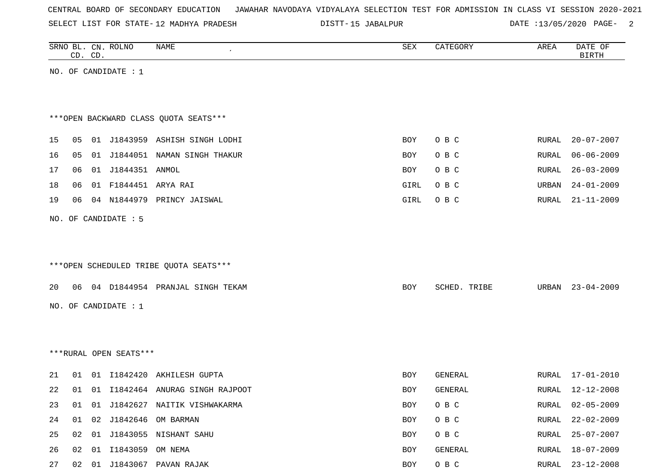|  |  |  |  | CENTRAL BOARD OF SECONDARY EDUCATION – JAWAHAR NAVODAYA VIDYALAYA SELECTION TEST FOR ADMISSION IN CLASS VI SESSION 2020-2021 |  |  |  |  |  |  |  |  |  |  |  |  |  |  |
|--|--|--|--|------------------------------------------------------------------------------------------------------------------------------|--|--|--|--|--|--|--|--|--|--|--|--|--|--|
|--|--|--|--|------------------------------------------------------------------------------------------------------------------------------|--|--|--|--|--|--|--|--|--|--|--|--|--|--|

SELECT LIST FOR STATE-12 MADHYA PRADESH

12 MADHYA PRADESH 15 JABALPUR DATE :13/05/2020 PAGE- 2

|    |    |                        | <b>NAME</b>                                                                                | ${\tt SEX}$                                                                                                                                                                                                                                                                                                                                                       | CATEGORY         | AREA           | DATE OF<br><b>BIRTH</b>        |
|----|----|------------------------|--------------------------------------------------------------------------------------------|-------------------------------------------------------------------------------------------------------------------------------------------------------------------------------------------------------------------------------------------------------------------------------------------------------------------------------------------------------------------|------------------|----------------|--------------------------------|
|    |    |                        |                                                                                            |                                                                                                                                                                                                                                                                                                                                                                   |                  |                |                                |
|    |    |                        |                                                                                            |                                                                                                                                                                                                                                                                                                                                                                   |                  |                |                                |
|    |    |                        |                                                                                            |                                                                                                                                                                                                                                                                                                                                                                   |                  |                |                                |
|    |    |                        |                                                                                            |                                                                                                                                                                                                                                                                                                                                                                   |                  |                |                                |
|    |    |                        |                                                                                            | BOY                                                                                                                                                                                                                                                                                                                                                               | O B C            | RURAL          | $20 - 07 - 2007$               |
| 05 |    |                        |                                                                                            | BOY                                                                                                                                                                                                                                                                                                                                                               | O B C            | RURAL          | $06 - 06 - 2009$               |
| 06 |    |                        |                                                                                            | BOY                                                                                                                                                                                                                                                                                                                                                               | O B C            | RURAL          | $26 - 03 - 2009$               |
| 06 |    |                        |                                                                                            | GIRL                                                                                                                                                                                                                                                                                                                                                              | O B C            | URBAN          | $24 - 01 - 2009$               |
| 06 |    |                        |                                                                                            | GIRL                                                                                                                                                                                                                                                                                                                                                              | O B C            | RURAL          | $21 - 11 - 2009$               |
|    |    |                        |                                                                                            |                                                                                                                                                                                                                                                                                                                                                                   |                  |                |                                |
|    |    |                        |                                                                                            |                                                                                                                                                                                                                                                                                                                                                                   |                  |                |                                |
|    |    |                        |                                                                                            |                                                                                                                                                                                                                                                                                                                                                                   |                  |                |                                |
|    |    |                        |                                                                                            |                                                                                                                                                                                                                                                                                                                                                                   |                  |                |                                |
|    |    |                        |                                                                                            | BOY                                                                                                                                                                                                                                                                                                                                                               | SCHED. TRIBE     | URBAN          | $23 - 04 - 2009$               |
|    |    |                        |                                                                                            |                                                                                                                                                                                                                                                                                                                                                                   |                  |                |                                |
|    |    |                        |                                                                                            |                                                                                                                                                                                                                                                                                                                                                                   |                  |                |                                |
|    |    |                        |                                                                                            |                                                                                                                                                                                                                                                                                                                                                                   |                  |                |                                |
|    |    |                        |                                                                                            |                                                                                                                                                                                                                                                                                                                                                                   |                  |                |                                |
|    |    |                        |                                                                                            |                                                                                                                                                                                                                                                                                                                                                                   |                  |                |                                |
|    |    |                        |                                                                                            |                                                                                                                                                                                                                                                                                                                                                                   |                  |                | $17 - 01 - 2010$               |
|    |    |                        |                                                                                            | BOY                                                                                                                                                                                                                                                                                                                                                               | GENERAL          |                | $12 - 12 - 2008$               |
| 01 |    |                        |                                                                                            |                                                                                                                                                                                                                                                                                                                                                                   |                  |                |                                |
|    |    |                        | 01 01 J1842627 NAITIK VISHWAKARMA                                                          | BOY                                                                                                                                                                                                                                                                                                                                                               | O B C            | RURAL          | $02 - 05 - 2009$               |
|    |    |                        | 01 02 J1842646 OM BARMAN                                                                   | BOY                                                                                                                                                                                                                                                                                                                                                               | O B C            | RURAL          | $22 - 02 - 2009$               |
| 02 |    | 02 01 I1843059 OM NEMA | 01 J1843055 NISHANT SAHU                                                                   | BOY<br>BOY                                                                                                                                                                                                                                                                                                                                                        | O B C<br>GENERAL | RURAL<br>RURAL | $25 - 07 - 2007$<br>18-07-2009 |
|    | 01 | CD. CD.<br>05          | SRNO BL. CN. ROLNO<br>NO. OF CANDIDATE : 1<br>NO. OF CANDIDATE : 5<br>NO. OF CANDIDATE : 1 | *** OPEN BACKWARD CLASS QUOTA SEATS***<br>01 J1843959 ASHISH SINGH LODHI<br>01 J1844051 NAMAN SINGH THAKUR<br>01 J1844351 ANMOL<br>01 F1844451 ARYA RAI<br>04 N1844979 PRINCY JAISWAL<br>***OPEN SCHEDULED TRIBE QUOTA SEATS***<br>06 04 D1844954 PRANJAL SINGH TEKAM<br>***RURAL OPEN SEATS***<br>01 I1842420 AKHILESH GUPTA<br>01 I1842464 ANURAG SINGH RAJPOOT | BOY              | GENERAL        | RURAL<br><b>RURAL</b>          |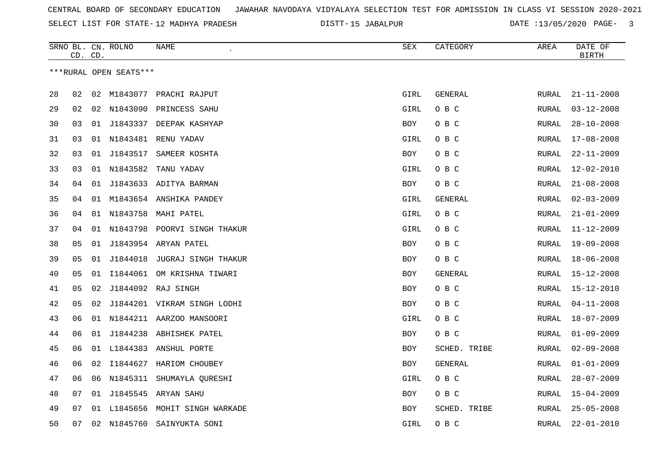SELECT LIST FOR STATE- DISTT- 12 MADHYA PRADESH

15 JABALPUR DATE :13/05/2020 PAGE- 3

|    | CD. CD. |    | SRNO BL. CN. ROLNO     | NAME                            | SEX        | CATEGORY     | AREA  | DATE OF<br><b>BIRTH</b> |
|----|---------|----|------------------------|---------------------------------|------------|--------------|-------|-------------------------|
|    |         |    | ***RURAL OPEN SEATS*** |                                 |            |              |       |                         |
| 28 | 02      |    |                        | 02 M1843077 PRACHI RAJPUT       | GIRL       | GENERAL      | RURAL | $21 - 11 - 2008$        |
| 29 | 02      |    |                        | 02 N1843090 PRINCESS SAHU       | GIRL       | O B C        | RURAL | $03 - 12 - 2008$        |
| 30 | 03      | 01 |                        | J1843337 DEEPAK KASHYAP         | BOY        | O B C        | RURAL | $28 - 10 - 2008$        |
| 31 | 03      |    |                        | 01 N1843481 RENU YADAV          | GIRL       | O B C        | RURAL | $17 - 08 - 2008$        |
| 32 | 03      | 01 | J1843517               | SAMEER KOSHTA                   | BOY        | O B C        | RURAL | $22 - 11 - 2009$        |
| 33 | 03      |    | 01 N1843582            | TANU YADAV                      | GIRL       | O B C        | RURAL | $12 - 02 - 2010$        |
| 34 | 04      | 01 |                        | J1843633 ADITYA BARMAN          | BOY        | O B C        | RURAL | $21 - 08 - 2008$        |
| 35 | 04      |    |                        | 01 M1843654 ANSHIKA PANDEY      | GIRL       | GENERAL      | RURAL | $02 - 03 - 2009$        |
| 36 | 04      |    |                        | 01 N1843758 MAHI PATEL          | GIRL       | O B C        | RURAL | $21 - 01 - 2009$        |
| 37 | 04      |    |                        | 01 N1843798 POORVI SINGH THAKUR | GIRL       | O B C        | RURAL | $11 - 12 - 2009$        |
| 38 | 05      |    |                        | 01 J1843954 ARYAN PATEL         | <b>BOY</b> | O B C        | RURAL | $19 - 09 - 2008$        |
| 39 | 05      | 01 | J1844018               | JUGRAJ SINGH THAKUR             | <b>BOY</b> | O B C        | RURAL | $18 - 06 - 2008$        |
| 40 | 05      | 01 | I1844061               | OM KRISHNA TIWARI               | BOY        | GENERAL      | RURAL | $15 - 12 - 2008$        |
| 41 | 05      | 02 |                        | J1844092 RAJ SINGH              | BOY        | O B C        | RURAL | $15 - 12 - 2010$        |
| 42 | 05      | 02 |                        | J1844201 VIKRAM SINGH LODHI     | BOY        | O B C        | RURAL | $04 - 11 - 2008$        |
| 43 | 06      |    |                        | 01 N1844211 AARZOO MANSOORI     | GIRL       | O B C        | RURAL | $18 - 07 - 2009$        |
| 44 | 06      | 01 |                        | J1844238 ABHISHEK PATEL         | BOY        | O B C        | RURAL | $01 - 09 - 2009$        |
| 45 | 06      |    |                        | 01 L1844383 ANSHUL PORTE        | BOY        | SCHED. TRIBE | RURAL | $02 - 09 - 2008$        |
| 46 | 06      | 02 | I1844627               | HARIOM CHOUBEY                  | BOY        | GENERAL      | RURAL | $01 - 01 - 2009$        |
| 47 | 06      | 06 |                        | N1845311 SHUMAYLA QURESHI       | GIRL       | O B C        | RURAL | $28 - 07 - 2009$        |
| 48 | 07      | 01 | J1845545               | ARYAN SAHU                      | BOY        | O B C        | RURAL | $15 - 04 - 2009$        |
| 49 | 07      | 01 |                        | L1845656 MOHIT SINGH WARKADE    | <b>BOY</b> | SCHED. TRIBE | RURAL | $25 - 05 - 2008$        |
| 50 | 07      |    | 02 N1845760            | SAINYUKTA SONI                  | GIRL       | овс          | RURAL | $22 - 01 - 2010$        |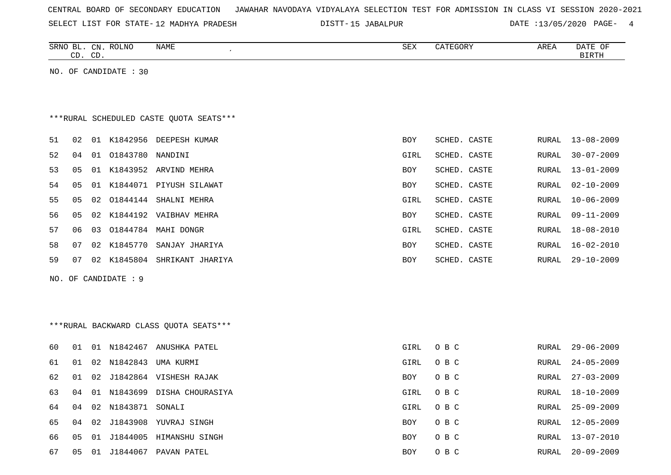| CENTRAL BOARD OF SECONDARY EDUCATION – JAWAHAR NAVODAYA VIDYALAYA SELECTION TEST FOR ADMISSION IN CLASS VI SESSION 2020-2021 |  |  |  |  |
|------------------------------------------------------------------------------------------------------------------------------|--|--|--|--|
|------------------------------------------------------------------------------------------------------------------------------|--|--|--|--|

SELECT LIST FOR STATE-12 MADHYA PRADESH

12 MADHYA PRADESH 15 JABALPUR DATE :13/05/2020 PAGE- 4

|    |    | CD. CD. | SRNO BL. CN. ROLNO    | NAME                                    | SEX        | CATEGORY     | AREA  | DATE OF<br><b>BIRTH</b> |
|----|----|---------|-----------------------|-----------------------------------------|------------|--------------|-------|-------------------------|
|    |    |         | NO. OF CANDIDATE : 30 |                                         |            |              |       |                         |
|    |    |         |                       |                                         |            |              |       |                         |
|    |    |         |                       |                                         |            |              |       |                         |
|    |    |         |                       | ***RURAL SCHEDULED CASTE OUOTA SEATS*** |            |              |       |                         |
| 51 | 02 |         |                       | 01 K1842956 DEEPESH KUMAR               | BOY        | SCHED. CASTE | RURAL | 13-08-2009              |
| 52 | 04 |         | 01 01843780 NANDINI   |                                         | GIRL       | SCHED. CASTE | RURAL | $30 - 07 - 2009$        |
| 53 | 05 |         |                       | 01 K1843952 ARVIND MEHRA                | BOY        | SCHED. CASTE | RURAL | $13 - 01 - 2009$        |
| 54 | 05 |         |                       | 01 K1844071 PIYUSH SILAWAT              | BOY        | SCHED. CASTE | RURAL | $02 - 10 - 2009$        |
| 55 | 05 |         |                       | 02 01844144 SHALNI MEHRA                | GIRL       | SCHED. CASTE | RURAL | $10 - 06 - 2009$        |
| 56 | 05 |         |                       | 02 K1844192 VAIBHAV MEHRA               | BOY        | SCHED. CASTE | RURAL | $09 - 11 - 2009$        |
| 57 | 06 | 03      |                       | 01844784 MAHI DONGR                     | GIRL       | SCHED. CASTE | RURAL | 18-08-2010              |
| 58 | 07 |         |                       | 02 K1845770 SANJAY JHARIYA              | BOY        | SCHED. CASTE | RURAL | $16 - 02 - 2010$        |
| 59 | 07 |         |                       | 02 K1845804 SHRIKANT JHARIYA            | BOY        | SCHED. CASTE | RURAL | $29 - 10 - 2009$        |
|    |    |         | NO. OF CANDIDATE : 9  |                                         |            |              |       |                         |
|    |    |         |                       |                                         |            |              |       |                         |
|    |    |         |                       |                                         |            |              |       |                         |
|    |    |         |                       | *** RURAL BACKWARD CLASS QUOTA SEATS*** |            |              |       |                         |
|    |    |         |                       |                                         |            |              |       |                         |
| 60 | 01 |         |                       | 01 N1842467 ANUSHKA PATEL               | GIRL       | O B C        | RURAL | $29 - 06 - 2009$        |
| 61 | 01 |         | 02 N1842843           | UMA KURMI                               | GIRL       | O B C        | RURAL | $24 - 05 - 2009$        |
| 62 | 01 |         |                       | 02 J1842864 VISHESH RAJAK               | BOY        | O B C        | RURAL | $27 - 03 - 2009$        |
| 63 | 04 |         |                       | 01 N1843699 DISHA CHOURASIYA            | GIRL       | O B C        | RURAL | $18 - 10 - 2009$        |
| 64 | 04 |         | 02 N1843871 SONALI    |                                         | GIRL       | O B C        | RURAL | $25 - 09 - 2009$        |
| 65 | 04 |         |                       | 02 J1843908 YUVRAJ SINGH                | BOY        | O B C        | RURAL | 12-05-2009              |
| 66 | 05 |         |                       | 01 J1844005 HIMANSHU SINGH              | BOY        | O B C        | RURAL | 13-07-2010              |
| 67 | 05 | 01      |                       | J1844067 PAVAN PATEL                    | <b>BOY</b> | O B C        | RURAL | $20 - 09 - 2009$        |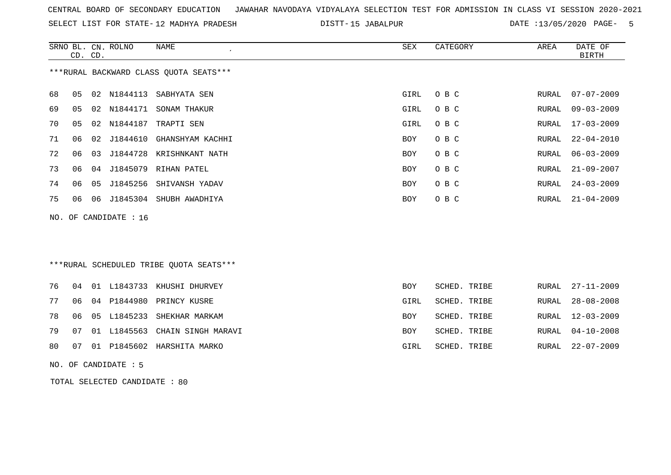SELECT LIST FOR STATE- DISTT- 12 MADHYA PRADESH

DISTT-15 JABALPUR 15 13/05/2020 PAGE- 5

|    | CD. CD. |    | SRNO BL. CN. ROLNO    | <b>NAME</b>                              | <b>SEX</b>  | CATEGORY     | AREA  | DATE OF<br><b>BIRTH</b> |
|----|---------|----|-----------------------|------------------------------------------|-------------|--------------|-------|-------------------------|
|    |         |    |                       | *** RURAL BACKWARD CLASS QUOTA SEATS***  |             |              |       |                         |
| 68 | 05      | 02 | N1844113              | SABHYATA SEN                             | GIRL        | O B C        | RURAL | $07 - 07 - 2009$        |
| 69 | 05      |    | 02 N1844171           | SONAM THAKUR                             | GIRL        | O B C        | RURAL | $09 - 03 - 2009$        |
| 70 | 05      |    | 02 N1844187           | TRAPTI SEN                               | GIRL        | O B C        | RURAL | $17 - 03 - 2009$        |
| 71 | 06      |    |                       | 02 J1844610 GHANSHYAM KACHHI             | BOY         | O B C        | RURAL | $22 - 04 - 2010$        |
| 72 | 06      | 03 | J1844728              | KRISHNKANT NATH                          | BOY         | O B C        | RURAL | $06 - 03 - 2009$        |
| 73 | 06      | 04 | J1845079              | RIHAN PATEL                              | BOY         | O B C        | RURAL | $21 - 09 - 2007$        |
| 74 | 06      | 05 | J1845256              | SHIVANSH YADAV                           | BOY         | O B C        | RURAL | $24 - 03 - 2009$        |
| 75 | 06      | 06 |                       | J1845304 SHUBH AWADHIYA                  | <b>BOY</b>  | O B C        | RURAL | $21 - 04 - 2009$        |
|    |         |    | NO. OF CANDIDATE : 16 |                                          |             |              |       |                         |
|    |         |    |                       |                                          |             |              |       |                         |
|    |         |    |                       | *** RURAL SCHEDULED TRIBE QUOTA SEATS*** |             |              |       |                         |
| 76 | 04      |    |                       | 01 L1843733 KHUSHI DHURVEY               | BOY         | SCHED. TRIBE | RURAL | $27 - 11 - 2009$        |
| 77 | 06      | 04 | P1844980              | PRINCY KUSRE                             | GIRL        | SCHED. TRIBE | RURAL | $28 - 08 - 2008$        |
| 78 | 06      | 05 | L1845233              | SHEKHAR MARKAM                           | <b>BOY</b>  | SCHED. TRIBE | RURAL | $12 - 03 - 2009$        |
| 79 | 07      | 01 |                       | L1845563 CHAIN SINGH MARAVI              | BOY         | SCHED. TRIBE | RURAL | $04 - 10 - 2008$        |
| 80 | 07      |    |                       | 01 P1845602 HARSHITA MARKO               | <b>GIRL</b> | SCHED. TRIBE | RURAL | $22 - 07 - 2009$        |

NO. OF CANDIDATE : 5

TOTAL SELECTED CANDIDATE : 80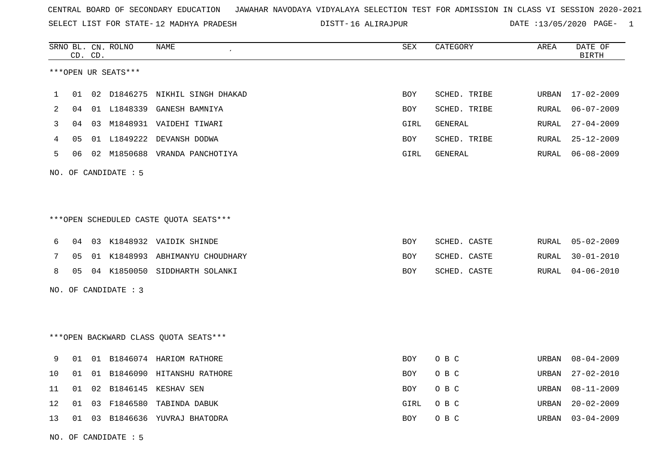SELECT LIST FOR STATE- DISTT- 12 MADHYA PRADESH

16 ALIRAJPUR DATE :13/05/2020 PAGE- 1

|                |    | CD. CD. | SRNO BL. CN. ROLNO   | <b>NAME</b>                             | ${\tt SEX}$ | CATEGORY     | AREA  | DATE OF<br><b>BIRTH</b> |
|----------------|----|---------|----------------------|-----------------------------------------|-------------|--------------|-------|-------------------------|
|                |    |         | ***OPEN UR SEATS***  |                                         |             |              |       |                         |
| $\mathbf 1$    | 01 |         | 02 D1846275          | NIKHIL SINGH DHAKAD                     | BOY         | SCHED. TRIBE | URBAN | $17 - 02 - 2009$        |
| $\overline{2}$ | 04 |         |                      | 01 L1848339 GANESH BAMNIYA              | BOY         | SCHED. TRIBE | RURAL | $06 - 07 - 2009$        |
| 3              | 04 |         |                      | 03 M1848931 VAIDEHI TIWARI              | GIRL        | GENERAL      | RURAL | $27 - 04 - 2009$        |
| 4              | 05 |         |                      | 01 L1849222 DEVANSH DODWA               | BOY         | SCHED. TRIBE | RURAL | $25 - 12 - 2009$        |
| 5              | 06 |         |                      | 02 M1850688 VRANDA PANCHOTIYA           | GIRL        | GENERAL      | RURAL | $06 - 08 - 2009$        |
|                |    |         | NO. OF CANDIDATE : 5 |                                         |             |              |       |                         |
|                |    |         |                      |                                         |             |              |       |                         |
|                |    |         |                      | *** OPEN SCHEDULED CASTE QUOTA SEATS*** |             |              |       |                         |
| 6              | 04 |         |                      | 03 K1848932 VAIDIK SHINDE               | <b>BOY</b>  | SCHED. CASTE | RURAL | $05 - 02 - 2009$        |
| 7              | 05 |         |                      | 01 K1848993 ABHIMANYU CHOUDHARY         | BOY         | SCHED. CASTE | RURAL | $30 - 01 - 2010$        |
| 8              | 05 |         |                      | 04 K1850050 SIDDHARTH SOLANKI           | <b>BOY</b>  | SCHED. CASTE | RURAL | $04 - 06 - 2010$        |
|                |    |         | NO. OF CANDIDATE : 3 |                                         |             |              |       |                         |
|                |    |         |                      |                                         |             |              |       |                         |
|                |    |         |                      | *** OPEN BACKWARD CLASS QUOTA SEATS***  |             |              |       |                         |
| 9              | 01 |         |                      | 01 B1846074 HARIOM RATHORE              | <b>BOY</b>  | O B C        | URBAN | $08 - 04 - 2009$        |
| 10             | 01 | 01      |                      | B1846090 HITANSHU RATHORE               | BOY         | O B C        | URBAN | $27 - 02 - 2010$        |
| 11             | 01 | 02      |                      | B1846145 KESHAV SEN                     | <b>BOY</b>  | O B C        | URBAN | $08 - 11 - 2009$        |
| 12             | 01 |         | 03 F1846580          | TABINDA DABUK                           | GIRL        | O B C        | URBAN | $20 - 02 - 2009$        |
| 13             |    |         |                      | 01 03 B1846636 YUVRAJ BHATODRA          | <b>BOY</b>  | O B C        | URBAN | $03 - 04 - 2009$        |

NO. OF CANDIDATE : 5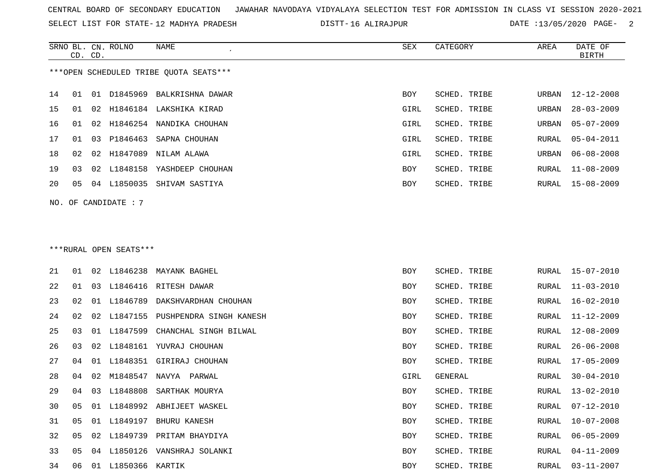SELECT LIST FOR STATE- DISTT- 12 MADHYA PRADESH

16 ALIRAJPUR DATE :13/05/2020 PAGE- 2

|    | CD. CD. |    | SRNO BL. CN. ROLNO     | NAME                                   | SEX        | CATEGORY            | AREA  | DATE OF<br><b>BIRTH</b> |
|----|---------|----|------------------------|----------------------------------------|------------|---------------------|-------|-------------------------|
|    |         |    |                        | ***OPEN SCHEDULED TRIBE QUOTA SEATS*** |            |                     |       |                         |
| 14 | 01      |    |                        | 01 D1845969 BALKRISHNA DAWAR           | BOY        | SCHED. TRIBE        | URBAN | $12 - 12 - 2008$        |
| 15 | 01      | 02 |                        | H1846184 LAKSHIKA KIRAD                | GIRL       | SCHED. TRIBE        | URBAN | $28 - 03 - 2009$        |
| 16 | 01      | 02 |                        | H1846254 NANDIKA CHOUHAN               | GIRL       | SCHED. TRIBE        | URBAN | $05 - 07 - 2009$        |
| 17 | 01      | 03 | P1846463               | SAPNA CHOUHAN                          | GIRL       | SCHED. TRIBE        | RURAL | $05 - 04 - 2011$        |
| 18 | 02      | 02 | H1847089               | NILAM ALAWA                            | GIRL       | <b>SCHED. TRIBE</b> | URBAN | $06 - 08 - 2008$        |
| 19 | 03      | 02 | L1848158               | YASHDEEP CHOUHAN                       | BOY        | SCHED. TRIBE        | RURAL | $11 - 08 - 2009$        |
| 20 | 05      |    | 04 L1850035            | SHIVAM SASTIYA                         | BOY        | SCHED. TRIBE        | RURAL | 15-08-2009              |
|    |         |    | NO. OF CANDIDATE : 7   |                                        |            |                     |       |                         |
|    |         |    |                        |                                        |            |                     |       |                         |
|    |         |    |                        |                                        |            |                     |       |                         |
|    |         |    | ***RURAL OPEN SEATS*** |                                        |            |                     |       |                         |
| 21 | 01      | 02 |                        | L1846238 MAYANK BAGHEL                 | BOY        | SCHED. TRIBE        | RURAL | 15-07-2010              |
| 22 | 01      | 03 |                        | L1846416 RITESH DAWAR                  | BOY        | SCHED. TRIBE        | RURAL | $11 - 03 - 2010$        |
| 23 | 02      | 01 | L1846789               | DAKSHVARDHAN CHOUHAN                   | <b>BOY</b> | SCHED. TRIBE        | RURAL | $16 - 02 - 2010$        |
| 24 | 02      | 02 | L1847155               | PUSHPENDRA SINGH KANESH                | BOY        | SCHED. TRIBE        | RURAL | 11-12-2009              |
| 25 | 03      | 01 | L1847599               | CHANCHAL SINGH BILWAL                  | BOY        | SCHED. TRIBE        | RURAL | $12 - 08 - 2009$        |
| 26 | 03      | 02 |                        | L1848161 YUVRAJ CHOUHAN                | BOY        | SCHED. TRIBE        | RURAL | $26 - 06 - 2008$        |
| 27 | 04      | 01 | L1848351               | GIRIRAJ CHOUHAN                        | BOY        | SCHED. TRIBE        | RURAL | $17 - 05 - 2009$        |
| 28 | 04      | 02 |                        | M1848547 NAVYA PARWAL                  | GIRL       | <b>GENERAL</b>      | RURAL | $30 - 04 - 2010$        |
| 29 | 04      | 03 | L1848808               | SARTHAK MOURYA                         | BOY        | <b>SCHED. TRIBE</b> | RURAL | 13-02-2010              |
| 30 | 05      | 01 |                        | L1848992 ABHIJEET WASKEL               | BOY        | SCHED. TRIBE        | RURAL | $07 - 12 - 2010$        |
| 31 | 05      |    |                        | 01 L1849197 BHURU KANESH               | <b>BOY</b> | SCHED. TRIBE        | RURAL | $10 - 07 - 2008$        |
| 32 | 05      | 02 | L1849739               | PRITAM BHAYDIYA                        | BOY        | SCHED. TRIBE        | RURAL | $06 - 05 - 2009$        |
| 33 | 05      | 04 |                        | L1850126 VANSHRAJ SOLANKI              | BOY        | SCHED. TRIBE        | RURAL | $04 - 11 - 2009$        |
| 34 | 06      |    | 01 L1850366 KARTIK     |                                        | BOY        | SCHED. TRIBE        | RURAL | $03 - 11 - 2007$        |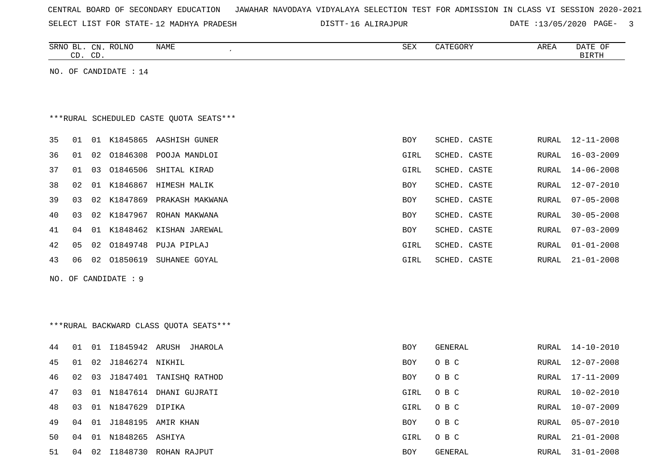| CENTRAL BOARD OF SECONDARY EDUCATION – JAWAHAR NAVODAYA VIDYALAYA SELECTION TEST FOR ADMISSION IN CLASS VI SESSION 2020-2021 |  |  |  |  |
|------------------------------------------------------------------------------------------------------------------------------|--|--|--|--|
|------------------------------------------------------------------------------------------------------------------------------|--|--|--|--|

SELECT LIST FOR STATE- DISTT- 12 MADHYA PRADESH

16 ALIRAJPUR DATE :13/05/2020 PAGE- 3

RURAL 21-01-2008

|    |    | CD. CD. | SRNO BL. CN. ROLNO    | NAME                                    | SEX        | CATEGORY     | AREA         | DATE OF<br><b>BIRTH</b> |
|----|----|---------|-----------------------|-----------------------------------------|------------|--------------|--------------|-------------------------|
|    |    |         | NO. OF CANDIDATE : 14 |                                         |            |              |              |                         |
|    |    |         |                       |                                         |            |              |              |                         |
|    |    |         |                       |                                         |            |              |              |                         |
|    |    |         |                       | ***RURAL SCHEDULED CASTE QUOTA SEATS*** |            |              |              |                         |
| 35 | 01 |         |                       | 01 K1845865 AASHISH GUNER               | BOY        | SCHED. CASTE | RURAL        | $12 - 11 - 2008$        |
| 36 | 01 | 02      | 01846308              | POOJA MANDLOI                           | GIRL       | SCHED. CASTE | RURAL        | $16 - 03 - 2009$        |
| 37 | 01 | 03      | 01846506              | SHITAL KIRAD                            | GIRL       | SCHED. CASTE | <b>RURAL</b> | $14 - 06 - 2008$        |
| 38 | 02 |         | 01 K1846867           | HIMESH MALIK                            | <b>BOY</b> | SCHED. CASTE | <b>RURAL</b> | $12 - 07 - 2010$        |
| 39 | 03 | 02      | K1847869              | PRAKASH MAKWANA                         | <b>BOY</b> | SCHED. CASTE | <b>RURAL</b> | $07 - 05 - 2008$        |
| 40 | 03 | 02      |                       | K1847967 ROHAN MAKWANA                  | BOY        | SCHED. CASTE | RURAL        | $30 - 05 - 2008$        |
| 41 | 04 | 01      |                       | K1848462 KISHAN JAREWAL                 | <b>BOY</b> | SCHED. CASTE | RURAL        | $07 - 03 - 2009$        |
| 42 | 05 | 02      | 01849748              | PUJA PIPLAJ                             | GIRL       | SCHED. CASTE | RURAL        | $01 - 01 - 2008$        |
| 43 | 06 | 02      | 01850619              | SUHANEE GOYAL                           | GIRL       | SCHED. CASTE | RURAL        | $21 - 01 - 2008$        |
|    |    |         | NO. OF CANDIDATE : 9  |                                         |            |              |              |                         |
|    |    |         |                       |                                         |            |              |              |                         |
|    |    |         |                       |                                         |            |              |              |                         |
|    |    |         |                       | *** RURAL BACKWARD CLASS QUOTA SEATS*** |            |              |              |                         |
| 44 | 01 |         |                       | 01 I1845942 ARUSH JHAROLA               | <b>BOY</b> | GENERAL      | RURAL        | $14 - 10 - 2010$        |
| 45 | 01 | 02      | J1846274 NIKHIL       |                                         | <b>BOY</b> | O B C        | <b>RURAL</b> | $12 - 07 - 2008$        |
| 46 | 02 | 03      |                       | J1847401 TANISHQ RATHOD                 | <b>BOY</b> | O B C        | RURAL        | $17 - 11 - 2009$        |
| 47 | 03 | 01      |                       | N1847614 DHANI GUJRATI                  | GIRL       | O B C        | <b>RURAL</b> | $10 - 02 - 2010$        |
| 48 | 03 |         | 01 N1847629 DIPIKA    |                                         | GIRL       | O B C        | <b>RURAL</b> | $10 - 07 - 2009$        |
| 49 | 04 | 01      | J1848195              | AMIR KHAN                               | <b>BOY</b> | O B C        | RURAL        | $05 - 07 - 2010$        |

50 04 01 N1848265 ASHIYA GIRL O B C

51 04 02 I1848730 ROHAN RAJPUT BOY GENERAL RURAL 31-01-2008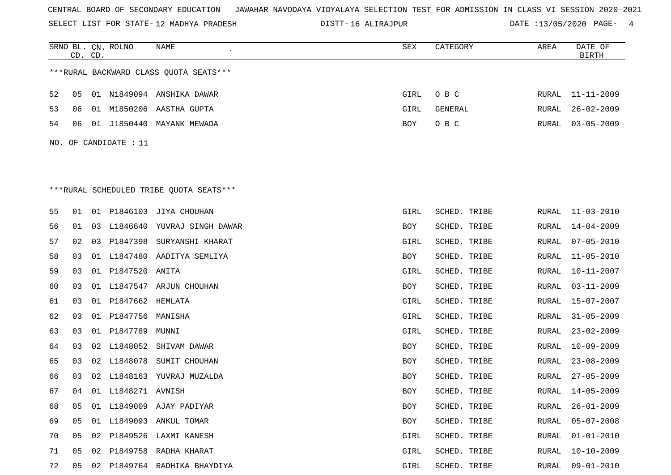SELECT LIST FOR STATE- DISTT- 12 MADHYA PRADESH

16 ALIRAJPUR DATE :13/05/2020 PAGE- 4

|    | CD. CD. |    | SRNO BL. CN. ROLNO    | NAME                                    | <b>SEX</b> | CATEGORY     | AREA  | DATE OF<br><b>BIRTH</b> |
|----|---------|----|-----------------------|-----------------------------------------|------------|--------------|-------|-------------------------|
|    |         |    |                       | ***RURAL BACKWARD CLASS QUOTA SEATS***  |            |              |       |                         |
| 52 | 05      |    |                       | 01 N1849094 ANSHIKA DAWAR               | GIRL       | O B C        | RURAL | $11 - 11 - 2009$        |
| 53 | 06      |    |                       | 01 M1850206 AASTHA GUPTA                | GIRL       | GENERAL      | RURAL | $26 - 02 - 2009$        |
| 54 | 06      |    |                       | 01 J1850440 MAYANK MEWADA               | BOY        | O B C        | RURAL | $03 - 05 - 2009$        |
|    |         |    | NO. OF CANDIDATE : 11 |                                         |            |              |       |                         |
|    |         |    |                       |                                         |            |              |       |                         |
|    |         |    |                       |                                         |            |              |       |                         |
|    |         |    |                       | ***RURAL SCHEDULED TRIBE QUOTA SEATS*** |            |              |       |                         |
| 55 | 01      |    |                       | 01 P1846103 JIYA CHOUHAN                | GIRL       | SCHED. TRIBE | RURAL | $11 - 03 - 2010$        |
| 56 | 01      |    |                       | 03 L1846640 YUVRAJ SINGH DAWAR          | BOY        | SCHED. TRIBE | RURAL | $14 - 04 - 2009$        |
| 57 | 02      | 03 | P1847398              | SURYANSHI KHARAT                        | GIRL       | SCHED. TRIBE | RURAL | $07 - 05 - 2010$        |
| 58 | 03      |    |                       | 01 L1847480 AADITYA SEMLIYA             | BOY        | SCHED. TRIBE | RURAL | $11 - 05 - 2010$        |
| 59 | 03      | 01 | P1847520              | ANITA                                   | GIRL       | SCHED. TRIBE | RURAL | $10 - 11 - 2007$        |
| 60 | 03      |    |                       | 01 L1847547 ARJUN CHOUHAN               | BOY        | SCHED. TRIBE | RURAL | $03 - 11 - 2009$        |
| 61 | 03      |    | 01 P1847662 HEMLATA   |                                         | GIRL       | SCHED. TRIBE | RURAL | $15 - 07 - 2007$        |
| 62 | 03      | 01 | P1847756              | MANISHA                                 | GIRL       | SCHED. TRIBE | RURAL | $31 - 05 - 2009$        |
| 63 | 03      |    | 01 P1847789 MUNNI     |                                         | GIRL       | SCHED. TRIBE | RURAL | $23 - 02 - 2009$        |
| 64 | 03      |    | 02 L1848052           | SHIVAM DAWAR                            | BOY        | SCHED. TRIBE | RURAL | $10 - 09 - 2009$        |
| 65 | 03      |    | 02 L1848078           | SUMIT CHOUHAN                           | BOY        | SCHED. TRIBE | RURAL | $23 - 08 - 2009$        |
| 66 | 03      |    |                       | 02 L1848163 YUVRAJ MUZALDA              | BOY        | SCHED. TRIBE | RURAL | $27 - 05 - 2009$        |
| 67 | 04      |    | 01 L1848271 AVNISH    |                                         | BOY        | SCHED. TRIBE | RURAL | $14 - 05 - 2009$        |
| 68 | 05      |    |                       | 01 L1849009 AJAY PADIYAR                | BOY        | SCHED. TRIBE | RURAL | $26 - 01 - 2009$        |
| 69 | 05      |    |                       | 01 L1849093 ANKUL TOMAR                 | BOY        | SCHED. TRIBE | RURAL | $05 - 07 - 2008$        |
| 70 | 05      | 02 |                       | P1849526 LAXMI KANESH                   | GIRL       | SCHED. TRIBE | RURAL | $01 - 01 - 2010$        |
| 71 | 05      |    |                       | 02 P1849758 RADHA KHARAT                | GIRL       | SCHED. TRIBE | RURAL | $10 - 10 - 2009$        |
| 72 | 05      |    |                       | 02 P1849764 RADHIKA BHAYDIYA            | GIRL       | SCHED. TRIBE | RURAL | $09 - 01 - 2010$        |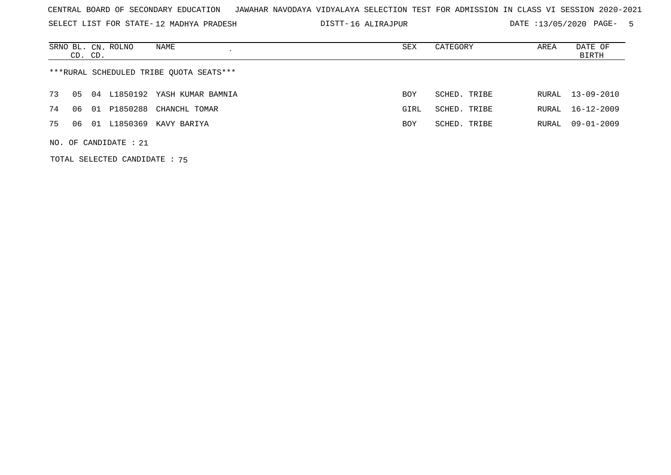SELECT LIST FOR STATE- DISTT- 12 MADHYA PRADESH

16 ALIRAJPUR DATE :13/05/2020 PAGE- 5

|    | CD. CD. | SRNO BL. CN. ROLNO      | NAME                                    | SEX        | CATEGORY     | AREA  | DATE OF<br>BIRTH |
|----|---------|-------------------------|-----------------------------------------|------------|--------------|-------|------------------|
|    |         |                         | ***RURAL SCHEDULED TRIBE QUOTA SEATS*** |            |              |       |                  |
| 73 | 05      |                         | 04 L1850192 YASH KUMAR BAMNIA           | <b>BOY</b> | SCHED. TRIBE | RURAL | $13 - 09 - 2010$ |
| 74 | 06      |                         | 01 P1850288 CHANCHL TOMAR               | GIRL       | SCHED. TRIBE | RURAL | $16 - 12 - 2009$ |
| 75 | 06      |                         | 01 L1850369 KAVY BARIYA                 | <b>BOY</b> | SCHED. TRIBE | RURAL | $09 - 01 - 2009$ |
|    |         | NO. OF CANDIDATE : $21$ |                                         |            |              |       |                  |

TOTAL SELECTED CANDIDATE : 75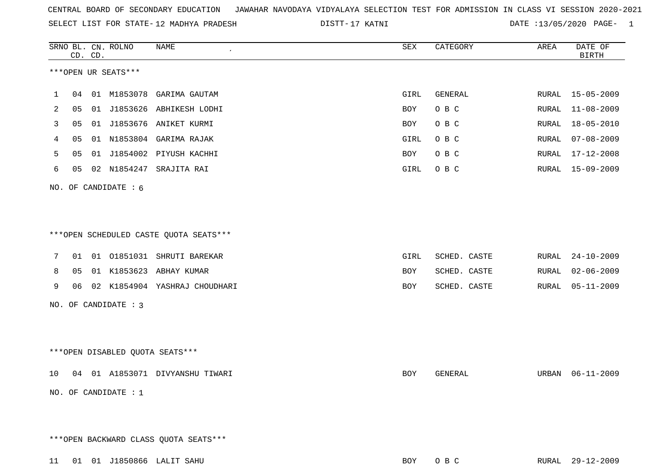|  |  |  |  | CENTRAL BOARD OF SECONDARY EDUCATION GJAWAHAR NAVODAYA VIDYALAYA SELECTION TEST FOR ADMISSION IN CLASS VI SESSION 2020-2021 |  |  |  |  |  |  |  |  |  |  |  |
|--|--|--|--|-----------------------------------------------------------------------------------------------------------------------------|--|--|--|--|--|--|--|--|--|--|--|
|--|--|--|--|-----------------------------------------------------------------------------------------------------------------------------|--|--|--|--|--|--|--|--|--|--|--|

SELECT LIST FOR STATE-12 MADHYA PRADESH

12 MADHYA PRADESH 17 KATNI DATE :13/05/2020 PAGE- 1

|        |          | CD. CD. | SRNO BL. CN. ROLNO     | <b>NAME</b><br>$\pmb{\cdot}$                             | SEX        | CATEGORY                     | AREA           | DATE OF<br><b>BIRTH</b>              |
|--------|----------|---------|------------------------|----------------------------------------------------------|------------|------------------------------|----------------|--------------------------------------|
|        |          |         | ***OPEN UR SEATS***    |                                                          |            |                              |                |                                      |
| 1      | 04       |         |                        | 01 M1853078 GARIMA GAUTAM                                | GIRL       | GENERAL                      |                | RURAL 15-05-2009                     |
| 2      | 05       |         | 01 J1853626            | ABHIKESH LODHI                                           | BOY        | O B C                        | RURAL          | $11 - 08 - 2009$                     |
| 3      | 05       |         |                        | 01 J1853676 ANIKET KURMI                                 | BOY        | O B C                        | RURAL          | $18 - 05 - 2010$                     |
| 4      | 05       |         |                        | 01 N1853804 GARIMA RAJAK                                 | GIRL       | O B C                        | RURAL          | $07 - 08 - 2009$                     |
| 5      | 05       | 01      |                        | J1854002 PIYUSH KACHHI                                   | BOY        | O B C                        | RURAL          | $17 - 12 - 2008$                     |
| 6      | 05       |         |                        | 02 N1854247 SRAJITA RAI                                  | GIRL       | O B C                        | RURAL          | 15-09-2009                           |
|        |          |         | NO. OF CANDIDATE : 6   |                                                          |            |                              |                |                                      |
|        |          |         |                        | ***OPEN SCHEDULED CASTE QUOTA SEATS***                   |            |                              |                |                                      |
| 7      |          |         |                        | 01 01 01851031 SHRUTI BAREKAR                            | GIRL       | SCHED. CASTE                 | RURAL          | $24 - 10 - 2009$<br>$02 - 06 - 2009$ |
| 8<br>9 | 05<br>06 |         |                        | 01 K1853623 ABHAY KUMAR<br>02 K1854904 YASHRAJ CHOUDHARI | BOY<br>BOY | SCHED. CASTE<br>SCHED. CASTE | RURAL<br>RURAL | $05 - 11 - 2009$                     |
|        |          |         | NO. OF CANDIDATE : 3   |                                                          |            |                              |                |                                      |
|        |          |         |                        |                                                          |            |                              |                |                                      |
|        |          |         |                        | ***OPEN DISABLED QUOTA SEATS***                          |            |                              |                |                                      |
| 10     |          |         |                        | 04 01 A1853071 DIVYANSHU TIWARI                          | BOY        | GENERAL                      | URBAN          | $06 - 11 - 2009$                     |
|        |          |         | NO. OF CANDIDATE : $1$ |                                                          |            |                              |                |                                      |
|        |          |         |                        | *** OPEN BACKWARD CLASS QUOTA SEATS***                   |            |                              |                |                                      |
|        |          |         |                        |                                                          |            |                              |                |                                      |
|        |          |         |                        | 11 01 01 J1850866 LALIT SAHU                             | BOY        | O B C                        |                | RURAL 29-12-2009                     |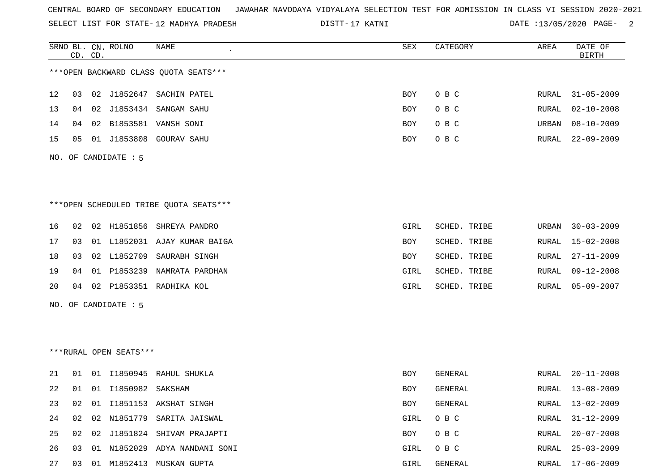SELECT LIST FOR STATE- DISTT- 12 MADHYA PRADESH

17 KATNI DATE :13/05/2020 PAGE- 2

|    |    | CD. CD. | SRNO BL. CN. ROLNO     | <b>NAME</b>                             | ${\tt SEX}$ | CATEGORY     | AREA         | DATE OF<br><b>BIRTH</b> |
|----|----|---------|------------------------|-----------------------------------------|-------------|--------------|--------------|-------------------------|
|    |    |         |                        | *** OPEN BACKWARD CLASS QUOTA SEATS *** |             |              |              |                         |
| 12 | 03 |         |                        | 02 J1852647 SACHIN PATEL                | BOY         | O B C        | RURAL        | $31 - 05 - 2009$        |
| 13 | 04 |         |                        | 02 J1853434 SANGAM SAHU                 | BOY         | O B C        | RURAL        | $02 - 10 - 2008$        |
| 14 | 04 | 02      |                        | B1853581 VANSH SONI                     | <b>BOY</b>  | O B C        | URBAN        | $08 - 10 - 2009$        |
| 15 | 05 |         |                        | 01 J1853808 GOURAV SAHU                 | BOY         | O B C        | RURAL        | $22 - 09 - 2009$        |
|    |    |         | NO. OF CANDIDATE : 5   |                                         |             |              |              |                         |
|    |    |         |                        |                                         |             |              |              |                         |
|    |    |         |                        | ***OPEN SCHEDULED TRIBE QUOTA SEATS***  |             |              |              |                         |
| 16 | 02 |         |                        | 02 H1851856 SHREYA PANDRO               | GIRL        | SCHED. TRIBE | URBAN        | $30 - 03 - 2009$        |
| 17 | 03 |         |                        | 01 L1852031 AJAY KUMAR BAIGA            | BOY         | SCHED. TRIBE | RURAL        | $15 - 02 - 2008$        |
| 18 | 03 |         | 02 L1852709            | SAURABH SINGH                           | <b>BOY</b>  | SCHED. TRIBE | <b>RURAL</b> | $27 - 11 - 2009$        |
| 19 | 04 |         |                        | 01 P1853239 NAMRATA PARDHAN             | GIRL        | SCHED. TRIBE | RURAL        | $09 - 12 - 2008$        |
| 20 | 04 |         |                        | 02 P1853351 RADHIKA KOL                 | GIRL        | SCHED. TRIBE | RURAL        | $05 - 09 - 2007$        |
|    |    |         | NO. OF CANDIDATE : 5   |                                         |             |              |              |                         |
|    |    |         |                        |                                         |             |              |              |                         |
|    |    |         |                        |                                         |             |              |              |                         |
|    |    |         | ***RURAL OPEN SEATS*** |                                         |             |              |              |                         |
| 21 | 01 |         |                        | 01 I1850945 RAHUL SHUKLA                | <b>BOY</b>  | GENERAL      | RURAL        | $20 - 11 - 2008$        |
| 22 | 01 |         | 01 I1850982            | SAKSHAM                                 | BOY         | GENERAL      | RURAL        | $13 - 08 - 2009$        |

23 02 01 I1851153 AKSHAT SINGH BOY GENERAL RURAL RURAL RURAL RURAL RURAL RURAL RURAL RURAL RURAL RURAL RURAL RU

26 03 01 N1852029 ADYA NANDANI SONI GIRL O B C RURAL 25-03-2009

27 03 01 M1852413 MUSKAN GUPTA GIRL GENERAL RURAL 17-06-2009

|  |  | 24 02 02 N1851779 SARITA JAISWAL  | GIRL OBC |  | RURAL 31-12-2009 |
|--|--|-----------------------------------|----------|--|------------------|
|  |  | 25 02 02 J1851824 SHIVAM PRAJAPTI | BOY OBC  |  | RURAL 20-07-2008 |

RURAL 25-03-2009

RURAL 13-02-2009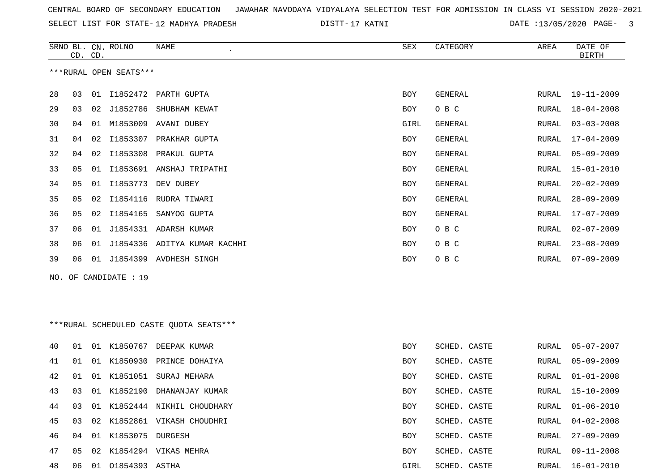| CENTRAL BOARD OF SECONDARY EDUCATION – JAWAHAR NAVODAYA VIDYALAYA SELECTION TEST FOR ADMISSION IN CLASS VI SESSION 2020-2021 |  |
|------------------------------------------------------------------------------------------------------------------------------|--|
|------------------------------------------------------------------------------------------------------------------------------|--|

SELECT LIST FOR STATE-12 MADHYA PRADESH

12 MADHYA PRADESH 17 KATNI DATE :13/05/2020 PAGE- 3

|     |    | CD. CD. | SRNO BL. CN. ROLNO     | NAME                                     | SEX        | CATEGORY       | AREA  | DATE OF<br><b>BIRTH</b> |
|-----|----|---------|------------------------|------------------------------------------|------------|----------------|-------|-------------------------|
|     |    |         | ***RURAL OPEN SEATS*** |                                          |            |                |       |                         |
| 28  | 03 | 01      | I1852472               | PARTH GUPTA                              | <b>BOY</b> | <b>GENERAL</b> | RURAL | $19 - 11 - 2009$        |
| 29  | 03 | 02      | J1852786               | SHUBHAM KEWAT                            | BOY        | O B C          | RURAL | $18 - 04 - 2008$        |
| 30  | 04 | 01      | M1853009               | AVANI DUBEY                              | GIRL       | <b>GENERAL</b> | RURAL | $03 - 03 - 2008$        |
| 31  | 04 | 02      | I1853307               | PRAKHAR GUPTA                            | <b>BOY</b> | <b>GENERAL</b> | RURAL | $17 - 04 - 2009$        |
| 32  | 04 | 02      | I1853308               | PRAKUL GUPTA                             | <b>BOY</b> | GENERAL        | RURAL | $05 - 09 - 2009$        |
| 33  | 05 | 01      |                        | I1853691 ANSHAJ TRIPATHI                 | BOY        | GENERAL        | RURAL | $15 - 01 - 2010$        |
| 34  | 05 |         |                        | 01 I1853773 DEV DUBEY                    | <b>BOY</b> | <b>GENERAL</b> | RURAL | $20 - 02 - 2009$        |
| 35  | 05 | 02      |                        | I1854116 RUDRA TIWARI                    | <b>BOY</b> | <b>GENERAL</b> | RURAL | $28 - 09 - 2009$        |
| 36  | 05 | 02      | I1854165               | SANYOG GUPTA                             | <b>BOY</b> | <b>GENERAL</b> | RURAL | $17 - 07 - 2009$        |
| 37  | 06 | 01      | J1854331               | ADARSH KUMAR                             | <b>BOY</b> | O B C          | RURAL | $02 - 07 - 2009$        |
| 38  | 06 | 01      |                        | J1854336 ADITYA KUMAR KACHHI             | <b>BOY</b> | O B C          | RURAL | $23 - 08 - 2009$        |
| 39  | 06 |         |                        | 01 J1854399 AVDHESH SINGH                | BOY        | O B C          | RURAL | $07 - 09 - 2009$        |
| NO. |    |         | OF CANDIDATE : 19      |                                          |            |                |       |                         |
|     |    |         |                        |                                          |            |                |       |                         |
|     |    |         |                        |                                          |            |                |       |                         |
|     |    |         |                        | *** RURAL SCHEDULED CASTE QUOTA SEATS*** |            |                |       |                         |
| 40  | 01 |         |                        | 01 K1850767 DEEPAK KUMAR                 | BOY        | SCHED. CASTE   | RURAL | $05 - 07 - 2007$        |
| 41  | 01 |         |                        | 01 K1850930 PRINCE DOHAIYA               | <b>BOY</b> | SCHED. CASTE   | RURAL | $05 - 09 - 2009$        |
| 42  | 01 |         | 01 K1851051            | SURAJ MEHARA                             | <b>BOY</b> | SCHED. CASTE   | RURAL | $01 - 01 - 2008$        |
| 43  | 03 |         |                        | 01 K1852190 DHANANJAY KUMAR              | <b>BOY</b> | SCHED. CASTE   | RURAL | $15 - 10 - 2009$        |
| 44  | 03 |         |                        | 01 K1852444 NIKHIL CHOUDHARY             | BOY        | SCHED. CASTE   | RURAL | $01 - 06 - 2010$        |
| 45  | 03 |         |                        | 02 K1852861 VIKASH CHOUDHRI              | BOY        | SCHED. CASTE   | RURAL | $04 - 02 - 2008$        |
| 46  | 04 |         | 01 K1853075 DURGESH    |                                          | <b>BOY</b> | SCHED. CASTE   | RURAL | $27 - 09 - 2009$        |
| 47  | 05 |         |                        | 02 K1854294 VIKAS MEHRA                  | BOY        | SCHED. CASTE   | RURAL | $09 - 11 - 2008$        |
| 48  | 06 |         | 01 01854393 ASTHA      |                                          | GIRL       | SCHED. CASTE   | RURAL | $16 - 01 - 2010$        |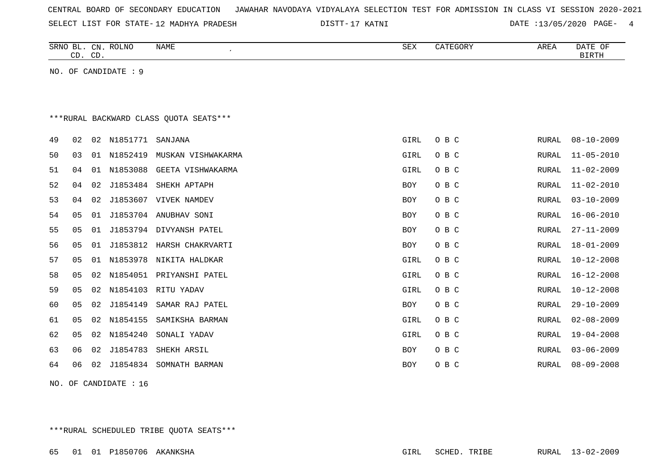| CENTRAL BOARD OF SECONDARY EDUCATION – JAWAHAR NAVODAYA VIDYALAYA SELECTION TEST FOR ADMISSION IN CLASS VI SESSION 2020-2021 |  |  |  |  |
|------------------------------------------------------------------------------------------------------------------------------|--|--|--|--|
|------------------------------------------------------------------------------------------------------------------------------|--|--|--|--|

SELECT LIST FOR STATE- DISTT- 12 MADHYA PRADESH

17 KATNI DATE :13/05/2020 PAGE- 4

|    |                | CD. CD. | SRNO BL. CN. ROLNO    | NAME                                   | SEX        | CATEGORY | AREA          | DATE OF<br><b>BIRTH</b> |
|----|----------------|---------|-----------------------|----------------------------------------|------------|----------|---------------|-------------------------|
|    |                |         | NO. OF CANDIDATE : 9  |                                        |            |          |               |                         |
|    |                |         |                       |                                        |            |          |               |                         |
|    |                |         |                       |                                        |            |          |               |                         |
|    |                |         |                       | ***RURAL BACKWARD CLASS QUOTA SEATS*** |            |          |               |                         |
| 49 | 02             |         | 02 N1851771           | SANJANA                                | GIRL       | O B C    | RURAL         | $08 - 10 - 2009$        |
| 50 | 03             | 01      | N1852419              | MUSKAN VISHWAKARMA                     | GIRL       | O B C    | RURAL         | $11 - 05 - 2010$        |
| 51 | 04             |         |                       | 01 N1853088 GEETA VISHWAKARMA          | GIRL       | O B C    | RURAL         | $11 - 02 - 2009$        |
| 52 | 04             | 02      | J1853484              | SHEKH APTAPH                           | <b>BOY</b> | O B C    | RURAL         | $11 - 02 - 2010$        |
| 53 | 04             | 02      |                       | J1853607 VIVEK NAMDEV                  | <b>BOY</b> | O B C    | ${\tt RURAL}$ | $03 - 10 - 2009$        |
| 54 | 05             | 01      |                       | J1853704 ANUBHAV SONI                  | <b>BOY</b> | O B C    | RURAL         | $16 - 06 - 2010$        |
| 55 | 05             | 01      |                       | J1853794 DIVYANSH PATEL                | BOY        | O B C    | RURAL         | $27 - 11 - 2009$        |
| 56 | 05             | 01      |                       | J1853812 HARSH CHAKRVARTI              | <b>BOY</b> | O B C    | RURAL         | $18 - 01 - 2009$        |
| 57 | 05             | 01      |                       | N1853978 NIKITA HALDKAR                | GIRL       | O B C    | RURAL         | $10 - 12 - 2008$        |
| 58 | 05             |         |                       | 02 N1854051 PRIYANSHI PATEL            | GIRL       | O B C    | RURAL         | $16 - 12 - 2008$        |
| 59 | 05             | 02      | N1854103              | RITU YADAV                             | GIRL       | O B C    | RURAL         | $10 - 12 - 2008$        |
| 60 | 05             | 02      | J1854149              | SAMAR RAJ PATEL                        | BOY        | O B C    | RURAL         | $29 - 10 - 2009$        |
| 61 | 0 <sub>5</sub> | 02      | N1854155              | SAMIKSHA BARMAN                        | GIRL       | O B C    | RURAL         | $02 - 08 - 2009$        |
| 62 | 05             | 02      | N1854240              | SONALI YADAV                           | GIRL       | O B C    | RURAL         | $19 - 04 - 2008$        |
| 63 | 06             | 02      | J1854783              | SHEKH ARSIL                            | BOY        | O B C    | RURAL         | $03 - 06 - 2009$        |
| 64 | 06             | 02      |                       | J1854834 SOMNATH BARMAN                | <b>BOY</b> | O B C    | RURAL         | $08 - 09 - 2008$        |
|    |                |         | NO. OF CANDIDATE : 16 |                                        |            |          |               |                         |

\*\*\*RURAL SCHEDULED TRIBE QUOTA SEATS\*\*\*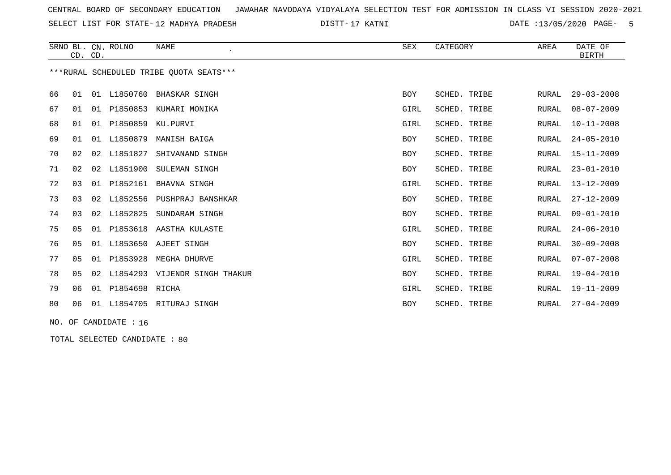SELECT LIST FOR STATE- DISTT- 12 MADHYA PRADESH

17 KATNI DATE :13/05/2020 PAGE- 5

|    | CD. CD.                                 |    | SRNO BL. CN. ROLNO | <b>NAME</b>                | <b>SEX</b> | CATEGORY        | AREA         | DATE OF<br><b>BIRTH</b> |  |  |  |
|----|-----------------------------------------|----|--------------------|----------------------------|------------|-----------------|--------------|-------------------------|--|--|--|
|    | ***RURAL SCHEDULED TRIBE OUOTA SEATS*** |    |                    |                            |            |                 |              |                         |  |  |  |
| 66 | 01                                      | 01 | L1850760           | BHASKAR SINGH              | <b>BOY</b> | SCHED. TRIBE    | RURAL        | $29 - 03 - 2008$        |  |  |  |
| 67 | 01                                      | 01 | P1850853           | KUMARI MONIKA              | GIRL       | SCHED. TRIBE    | RURAL        | $08 - 07 - 2009$        |  |  |  |
| 68 | 01                                      | 01 | P1850859           | KU.PURVI                   | GIRL       | SCHED. TRIBE    | RURAL        | $10 - 11 - 2008$        |  |  |  |
| 69 | 01                                      | 01 | L1850879           | MANISH BAIGA               | <b>BOY</b> | SCHED. TRIBE    | <b>RURAL</b> | $24 - 05 - 2010$        |  |  |  |
| 70 | 02                                      | 02 | L1851827           | SHIVANAND SINGH            | <b>BOY</b> | SCHED. TRIBE    | RURAL        | $15 - 11 - 2009$        |  |  |  |
| 71 | 02                                      | 02 | L1851900           | SULEMAN SINGH              | <b>BOY</b> | SCHED. TRIBE    | <b>RURAL</b> | $23 - 01 - 2010$        |  |  |  |
| 72 | 03                                      |    | 01 P1852161        | BHAVNA SINGH               | GIRL       | SCHED. TRIBE    | <b>RURAL</b> | $13 - 12 - 2009$        |  |  |  |
| 73 | 03                                      |    | 02 L1852556        | PUSHPRAJ BANSHKAR          | <b>BOY</b> | SCHED. TRIBE    | <b>RURAL</b> | $27 - 12 - 2009$        |  |  |  |
| 74 | 03                                      |    | 02 L1852825        | SUNDARAM SINGH             | BOY        | SCHED. TRIBE    | RURAL        | $09 - 01 - 2010$        |  |  |  |
| 75 | 05                                      |    |                    | 01 P1853618 AASTHA KULASTE | GIRL       | SCHED. TRIBE    | RURAL        | $24 - 06 - 2010$        |  |  |  |
| 76 | 05                                      | 01 | L1853650           | AJEET SINGH                | BOY        | SCHED. TRIBE    | RURAL        | $30 - 09 - 2008$        |  |  |  |
| 77 | 0 <sub>5</sub>                          | 01 | P1853928           | MEGHA DHURVE               | GIRL       | SCHED. TRIBE    | <b>RURAL</b> | $07 - 07 - 2008$        |  |  |  |
| 78 | 05                                      | 02 | L1854293           | VIJENDR SINGH THAKUR       | <b>BOY</b> | SCHED. TRIBE    | <b>RURAL</b> | $19 - 04 - 2010$        |  |  |  |
| 79 | 06                                      | 01 | P1854698           | RICHA                      | GIRL       | SCHED.<br>TRIBE | <b>RURAL</b> | $19 - 11 - 2009$        |  |  |  |
| 80 | 06                                      | 01 | L1854705           | RITURAJ SINGH              | <b>BOY</b> | SCHED.<br>TRIBE | <b>RURAL</b> | $27 - 04 - 2009$        |  |  |  |

NO. OF CANDIDATE : 16

TOTAL SELECTED CANDIDATE : 80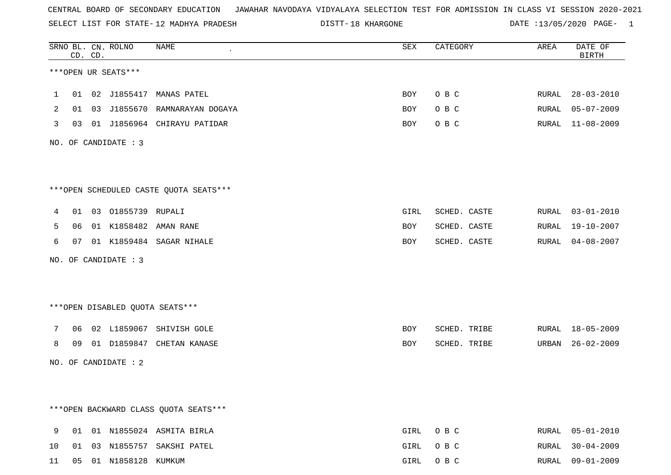SELECT LIST FOR STATE- DISTT- 12 MADHYA PRADESH

DISTT-18 KHARGONE **DATE** :13/05/2020 PAGE- 1

|                 |    | CD. CD. | SRNO BL. CN. ROLNO    | NAME<br>$\overline{\phantom{a}}$       | SEX        | CATEGORY     | AREA  | DATE OF<br><b>BIRTH</b> |
|-----------------|----|---------|-----------------------|----------------------------------------|------------|--------------|-------|-------------------------|
|                 |    |         | ***OPEN UR SEATS***   |                                        |            |              |       |                         |
| $\mathbf{1}$    |    |         |                       | 01 02 J1855417 MANAS PATEL             | BOY        | O B C        |       | RURAL 28-03-2010        |
| 2               |    |         |                       | 01 03 J1855670 RAMNARAYAN DOGAYA       | BOY        | O B C        |       | RURAL 05-07-2009        |
| 3               |    |         |                       | 03 01 J1856964 CHIRAYU PATIDAR         | BOY        | O B C        |       | RURAL 11-08-2009        |
|                 |    |         | NO. OF CANDIDATE : 3  |                                        |            |              |       |                         |
|                 |    |         |                       | ***OPEN SCHEDULED CASTE QUOTA SEATS*** |            |              |       |                         |
| 4               |    |         | 01 03 01855739 RUPALI |                                        | GIRL       | SCHED. CASTE |       | RURAL 03-01-2010        |
| 5               |    |         |                       | 06 01 K1858482 AMAN RANE               | BOY        | SCHED. CASTE |       | RURAL 19-10-2007        |
| 6               |    |         |                       | 07 01 K1859484 SAGAR NIHALE            | BOY        | SCHED. CASTE |       | RURAL 04-08-2007        |
|                 |    |         | NO. OF CANDIDATE : 3  |                                        |            |              |       |                         |
|                 |    |         |                       | ***OPEN DISABLED QUOTA SEATS***        |            |              |       |                         |
| $7\overline{ }$ |    |         |                       | 06 02 L1859067 SHIVISH GOLE            | <b>BOY</b> | SCHED. TRIBE |       | RURAL 18-05-2009        |
| 8               | 09 |         |                       | 01 D1859847 CHETAN KANASE              | BOY        | SCHED. TRIBE |       | URBAN 26-02-2009        |
|                 |    |         | NO. OF CANDIDATE : 2  |                                        |            |              |       |                         |
|                 |    |         |                       | *** OPEN BACKWARD CLASS QUOTA SEATS*** |            |              |       |                         |
| 9               | 01 |         |                       | 01 N1855024 ASMITA BIRLA               | GIRL       | O B C        | RURAL | $05 - 01 - 2010$        |
| 10              | 01 |         |                       | 03 N1855757 SAKSHI PATEL               | GIRL       | O B C        | RURAL | $30 - 04 - 2009$        |
| 11              | 05 |         | 01 N1858128 KUMKUM    |                                        | GIRL       | O B C        |       | RURAL 09-01-2009        |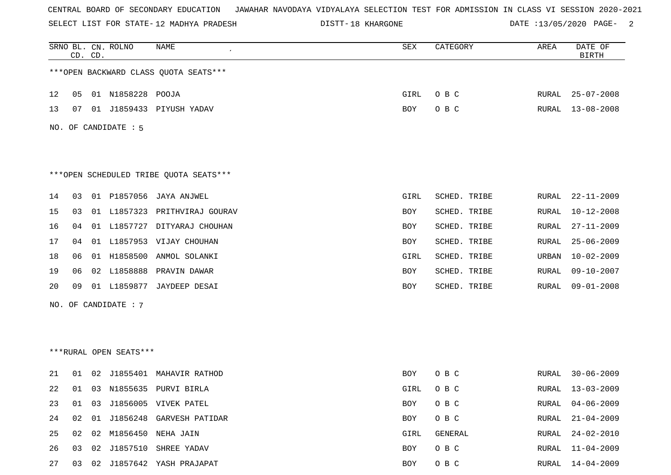SELECT LIST FOR STATE- DISTT- 12 MADHYA PRADESH

DISTT-18 KHARGONE **DATE** :13/05/2020 PAGE- 2

|    |    | CD. CD. | SRNO BL. CN. ROLNO     | <b>NAME</b>                            | SEX        | CATEGORY     | AREA  | DATE OF<br><b>BIRTH</b> |
|----|----|---------|------------------------|----------------------------------------|------------|--------------|-------|-------------------------|
|    |    |         |                        | *** OPEN BACKWARD CLASS QUOTA SEATS*** |            |              |       |                         |
| 12 | 05 |         | 01 N1858228 POOJA      |                                        | GIRL       | O B C        | RURAL | $25 - 07 - 2008$        |
| 13 | 07 |         |                        | 01 J1859433 PIYUSH YADAV               | BOY        | O B C        | RURAL | $13 - 08 - 2008$        |
|    |    |         | NO. OF CANDIDATE : 5   |                                        |            |              |       |                         |
|    |    |         |                        | ***OPEN SCHEDULED TRIBE QUOTA SEATS*** |            |              |       |                         |
| 14 | 03 |         | 01 P1857056            | JAYA ANJWEL                            | GIRL       | SCHED. TRIBE | RURAL | $22 - 11 - 2009$        |
| 15 | 03 |         | 01 L1857323            | PRITHVIRAJ GOURAV                      | BOY        | SCHED. TRIBE | RURAL | $10 - 12 - 2008$        |
| 16 | 04 |         |                        | 01 L1857727 DITYARAJ CHOUHAN           | <b>BOY</b> | SCHED. TRIBE | RURAL | $27 - 11 - 2009$        |
| 17 | 04 |         |                        | 01 L1857953 VIJAY CHOUHAN              | BOY        | SCHED. TRIBE | RURAL | $25 - 06 - 2009$        |
| 18 | 06 |         | 01 H1858500            | ANMOL SOLANKI                          | GIRL       | SCHED. TRIBE | URBAN | $10 - 02 - 2009$        |
| 19 | 06 |         | 02 L1858888            | PRAVIN DAWAR                           | BOY        | SCHED. TRIBE | RURAL | $09 - 10 - 2007$        |
| 20 | 09 |         | 01 L1859877            | JAYDEEP DESAI                          | <b>BOY</b> | SCHED. TRIBE | RURAL | $09 - 01 - 2008$        |
|    |    |         | NO. OF CANDIDATE : 7   |                                        |            |              |       |                         |
|    |    |         |                        |                                        |            |              |       |                         |
|    |    |         |                        |                                        |            |              |       |                         |
|    |    |         | ***RURAL OPEN SEATS*** |                                        |            |              |       |                         |
| 21 | 01 | 02      |                        | J1855401 MAHAVIR RATHOD                | BOY        | O B C        | RURAL | $30 - 06 - 2009$        |
| 22 | 01 |         |                        | 03 N1855635 PURVI BIRLA                | GIRL       | O B C        | RURAL | $13 - 03 - 2009$        |
| 23 | 01 | 03      |                        | J1856005 VIVEK PATEL                   | BOY        | O B C        | RURAL | $04 - 06 - 2009$        |
| 24 | 02 | 01      |                        | J1856248 GARVESH PATIDAR               | BOY        | O B C        | RURAL | $21 - 04 - 2009$        |
| 25 | 02 | 02      |                        | M1856450 NEHA JAIN                     | GIRL       | GENERAL      | RURAL | $24 - 02 - 2010$        |
| 26 | 03 | 02      | J1857510               | SHREE YADAV                            | BOY        | O B C        | RURAL | $11 - 04 - 2009$        |
| 27 | 03 |         |                        | 02 J1857642 YASH PRAJAPAT              | BOY        | O B C        | RURAL | $14 - 04 - 2009$        |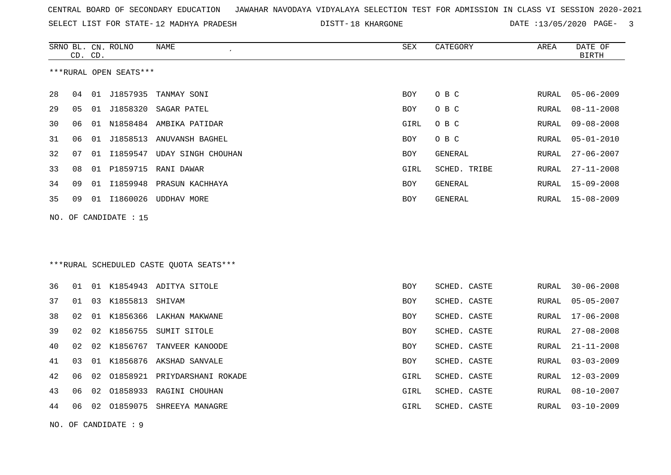SELECT LIST FOR STATE- DISTT- 12 MADHYA PRADESH

DISTT-18 KHARGONE **DATE** :13/05/2020 PAGE- 3

|    | CD. CD. |    | SRNO BL. CN. ROLNO     | NAME                                     | ${\tt SEX}$ | CATEGORY       | AREA  | DATE OF<br><b>BIRTH</b> |
|----|---------|----|------------------------|------------------------------------------|-------------|----------------|-------|-------------------------|
|    |         |    | ***RURAL OPEN SEATS*** |                                          |             |                |       |                         |
| 28 | 04      |    | 01 J1857935            | TANMAY SONI                              | BOY         | O B C          | RURAL | $05 - 06 - 2009$        |
| 29 | 05      |    | 01 J1858320            | SAGAR PATEL                              | BOY         | O B C          | RURAL | $08 - 11 - 2008$        |
| 30 | 06      |    |                        | 01 N1858484 AMBIKA PATIDAR               | GIRL        | O B C          | RURAL | $09 - 08 - 2008$        |
| 31 | 06      |    |                        | 01 J1858513 ANUVANSH BAGHEL              | <b>BOY</b>  | O B C          | RURAL | $05 - 01 - 2010$        |
| 32 | 07      |    |                        | 01 I1859547 UDAY SINGH CHOUHAN           | <b>BOY</b>  | GENERAL        | RURAL | $27 - 06 - 2007$        |
| 33 | 08      |    |                        | 01 P1859715 RANI DAWAR                   | GIRL        | SCHED. TRIBE   | RURAL | $27 - 11 - 2008$        |
| 34 | 09      | 01 | I1859948               | PRASUN KACHHAYA                          | BOY         | GENERAL        | RURAL | $15 - 09 - 2008$        |
| 35 | 09      |    |                        | 01 I1860026 UDDHAV MORE                  | <b>BOY</b>  | <b>GENERAL</b> | RURAL | $15 - 08 - 2009$        |
|    |         |    | NO. OF CANDIDATE : 15  |                                          |             |                |       |                         |
|    |         |    |                        |                                          |             |                |       |                         |
|    |         |    |                        |                                          |             |                |       |                         |
|    |         |    |                        | *** RURAL SCHEDULED CASTE QUOTA SEATS*** |             |                |       |                         |
| 36 | 01      |    |                        | 01 K1854943 ADITYA SITOLE                | <b>BOY</b>  | SCHED. CASTE   | RURAL | $30 - 06 - 2008$        |
| 37 | 01      |    | 03 K1855813 SHIVAM     |                                          | <b>BOY</b>  | SCHED. CASTE   | RURAL | $05 - 05 - 2007$        |
| 38 | 02      |    |                        | 01 K1856366 LAKHAN MAKWANE               | <b>BOY</b>  | SCHED. CASTE   | RURAL | $17 - 06 - 2008$        |
| 39 | 02      | 02 |                        | K1856755 SUMIT SITOLE                    | BOY         | SCHED. CASTE   | RURAL | $27 - 08 - 2008$        |
| 40 | 02      | 02 | K1856767               | TANVEER KANOODE                          | BOY         | SCHED. CASTE   | RURAL | $21 - 11 - 2008$        |
| 41 | 03      | 01 |                        | K1856876 AKSHAD SANVALE                  | BOY         | SCHED. CASTE   | RURAL | $03 - 03 - 2009$        |
| 42 | 06      | 02 |                        | 01858921 PRIYDARSHANI ROKADE             | GIRL        | SCHED. CASTE   | RURAL | $12 - 03 - 2009$        |
| 43 | 06      | 02 |                        | 01858933 RAGINI CHOUHAN                  | GIRL        | SCHED. CASTE   | RURAL | $08 - 10 - 2007$        |
| 44 | 06      | 02 | 01859075               | SHREEYA MANAGRE                          | GIRL        | SCHED. CASTE   | RURAL | $03 - 10 - 2009$        |
|    |         |    |                        |                                          |             |                |       |                         |

NO. OF CANDIDATE : 9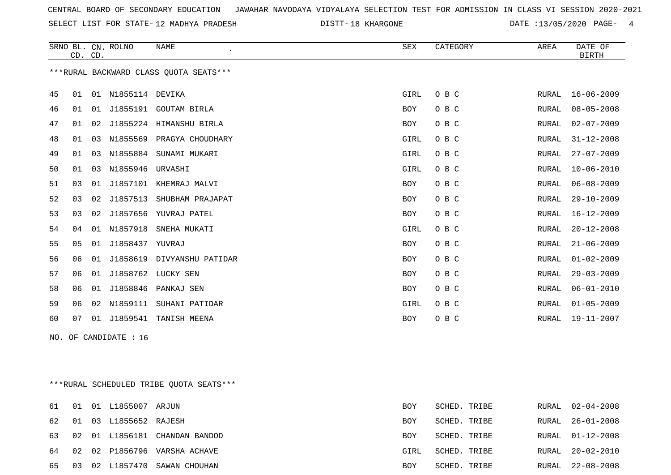SELECT LIST FOR STATE- DISTT- 12 MADHYA PRADESH

DISTT-18 KHARGONE **18 CONSERVERSE SET A** DATE :13/05/2020 PAGE- 4

|    | CD. CD.                                 |    | SRNO BL. CN. ROLNO | <b>NAME</b>           | SEX         | CATEGORY | AREA          | DATE OF<br><b>BIRTH</b> |  |  |  |
|----|-----------------------------------------|----|--------------------|-----------------------|-------------|----------|---------------|-------------------------|--|--|--|
|    | *** RURAL BACKWARD CLASS QUOTA SEATS*** |    |                    |                       |             |          |               |                         |  |  |  |
| 45 | 01                                      | 01 | N1855114           | DEVIKA                | GIRL        | O B C    | RURAL         | $16 - 06 - 2009$        |  |  |  |
| 46 | 01                                      | 01 |                    | J1855191 GOUTAM BIRLA | <b>BOY</b>  | O B C    | ${\tt RURAL}$ | $08 - 05 - 2008$        |  |  |  |
| 47 | 01                                      | 02 | J1855224           | HIMANSHU BIRLA        | <b>BOY</b>  | O B C    | RURAL         | $02 - 07 - 2009$        |  |  |  |
| 48 | 01                                      | 03 | N1855569           | PRAGYA CHOUDHARY      | <b>GIRL</b> | O B C    | <b>RURAL</b>  | $31 - 12 - 2008$        |  |  |  |
| 49 | 01                                      | 03 | N1855884           | SUNAMI MUKARI         | GIRL        | O B C    | RURAL         | $27 - 07 - 2009$        |  |  |  |
| 50 | 01                                      | 03 | N1855946           | URVASHI               | GIRL        | O B C    | <b>RURAL</b>  | $10 - 06 - 2010$        |  |  |  |
| 51 | 03                                      | 01 | J1857101           | KHEMRAJ MALVI         | <b>BOY</b>  | O B C    | RURAL         | $06 - 08 - 2009$        |  |  |  |
| 52 | 03                                      | 02 | J1857513           | SHUBHAM PRAJAPAT      | <b>BOY</b>  | O B C    | RURAL         | $29 - 10 - 2009$        |  |  |  |
| 53 | 03                                      | 02 | J1857656           | YUVRAJ PATEL          | <b>BOY</b>  | O B C    | <b>RURAL</b>  | $16 - 12 - 2009$        |  |  |  |
| 54 | 04                                      | 01 | N1857918           | SNEHA MUKATI          | GIRL        | O B C    | <b>RURAL</b>  | $20 - 12 - 2008$        |  |  |  |
| 55 | 05                                      | 01 | J1858437           | YUVRAJ                | <b>BOY</b>  | O B C    | <b>RURAL</b>  | $21 - 06 - 2009$        |  |  |  |
| 56 | 06                                      | 01 | J1858619           | DIVYANSHU PATIDAR     | <b>BOY</b>  | O B C    | RURAL         | $01 - 02 - 2009$        |  |  |  |
| 57 | 06                                      | 01 | J1858762           | LUCKY SEN             | BOY         | O B C    | <b>RURAL</b>  | $29 - 03 - 2009$        |  |  |  |
| 58 | 06                                      | 01 | J1858846           | PANKAJ SEN            | BOY         | O B C    | <b>RURAL</b>  | $06 - 01 - 2010$        |  |  |  |
| 59 | 06                                      | 02 | N1859111           | SUHANI PATIDAR        | GIRL        | O B C    | RURAL         | $01 - 05 - 2009$        |  |  |  |
| 60 | 07                                      | 01 | J1859541           | TANISH MEENA          | <b>BOY</b>  | O B C    | RURAL         | $19 - 11 - 2007$        |  |  |  |

NO. OF CANDIDATE : 16

\*\*\*RURAL SCHEDULED TRIBE QUOTA SEATS\*\*\*

|       |  | 61 01 01 L1855007 ARJUN  |                                  | BOY        | SCHED. TRIBE |       | RURAL 02-04-2008 |
|-------|--|--------------------------|----------------------------------|------------|--------------|-------|------------------|
|       |  | 62 01 03 L1855652 RAJESH |                                  | BOY        | SCHED. TRIBE |       | RURAL 26-01-2008 |
|       |  |                          | 63 02 01 L1856181 CHANDAN BANDOD | <b>BOY</b> | SCHED. TRIBE |       | RURAL 01-12-2008 |
|       |  |                          | 64 02 02 P1856796 VARSHA ACHAVE  | GIRL       | SCHED. TRIBE |       | RURAL 20-02-2010 |
| 65 03 |  |                          | 02 L1857470 SAWAN CHOUHAN        | <b>BOY</b> | SCHED. TRIBE | RURAL | 22-08-2008       |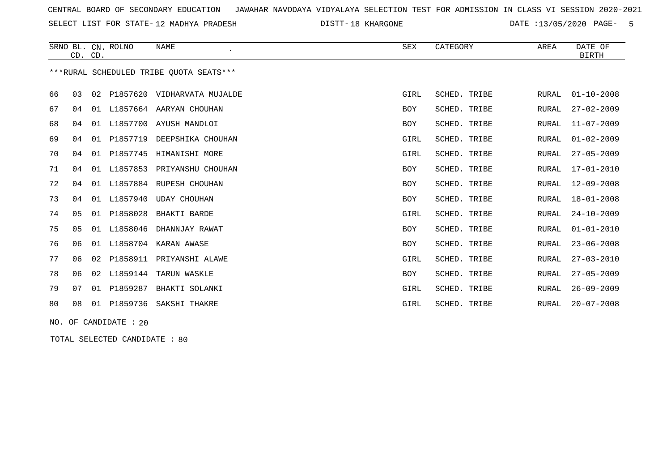SELECT LIST FOR STATE- DISTT- 12 MADHYA PRADESH

DISTT-18 KHARGONE **18 CONSTRAINER 13/05/2020 PAGE-** 5

|                                         |    | CD. CD. | SRNO BL. CN. ROLNO | <b>NAME</b>         | SEX        | CATEGORY     | AREA         | DATE OF<br><b>BIRTH</b> |  |
|-----------------------------------------|----|---------|--------------------|---------------------|------------|--------------|--------------|-------------------------|--|
| ***RURAL SCHEDULED TRIBE OUOTA SEATS*** |    |         |                    |                     |            |              |              |                         |  |
| 66                                      | 03 | 02      | P1857620           | VIDHARVATA MUJALDE  | GIRL       | SCHED. TRIBE | <b>RURAL</b> | $01 - 10 - 2008$        |  |
| 67                                      | 04 | 01      | L1857664           | AARYAN CHOUHAN      | <b>BOY</b> | SCHED. TRIBE | <b>RURAL</b> | $27 - 02 - 2009$        |  |
| 68                                      | 04 | 01      | L1857700           | AYUSH MANDLOI       | BOY        | SCHED. TRIBE | <b>RURAL</b> | $11 - 07 - 2009$        |  |
| 69                                      | 04 | 01      | P1857719           | DEEPSHIKA CHOUHAN   | GIRL       | SCHED. TRIBE | <b>RURAL</b> | $01 - 02 - 2009$        |  |
| 70                                      | 04 | 01      | P1857745           | HIMANISHI MORE      | GIRL       | SCHED. TRIBE | <b>RURAL</b> | $27 - 05 - 2009$        |  |
| 71                                      | 04 | 01      | L1857853           | PRIYANSHU CHOUHAN   | <b>BOY</b> | SCHED. TRIBE | <b>RURAL</b> | $17 - 01 - 2010$        |  |
| 72                                      | 04 | 01      | L1857884           | RUPESH CHOUHAN      | <b>BOY</b> | SCHED. TRIBE | <b>RURAL</b> | $12 - 09 - 2008$        |  |
| 73                                      | 04 | 01      | L1857940           | <b>UDAY CHOUHAN</b> | <b>BOY</b> | SCHED. TRIBE | <b>RURAL</b> | $18 - 01 - 2008$        |  |
| 74                                      | 05 | 01      | P1858028           | BHAKTI BARDE        | GIRL       | SCHED. TRIBE | <b>RURAL</b> | $24 - 10 - 2009$        |  |
| 75                                      | 05 | 01      | L1858046           | DHANNJAY RAWAT      | <b>BOY</b> | SCHED. TRIBE | <b>RURAL</b> | $01 - 01 - 2010$        |  |
| 76                                      | 06 | 01      | L1858704           | KARAN AWASE         | <b>BOY</b> | SCHED. TRIBE | <b>RURAL</b> | $23 - 06 - 2008$        |  |
| 77                                      | 06 | 02      | P1858911           | PRIYANSHI ALAWE     | GIRL       | SCHED. TRIBE | <b>RURAL</b> | $27 - 03 - 2010$        |  |
| 78                                      | 06 | 02      | L1859144           | TARUN WASKLE        | <b>BOY</b> | SCHED. TRIBE | <b>RURAL</b> | $27 - 05 - 2009$        |  |
| 79                                      | 07 | 01      | P1859287           | BHAKTI SOLANKI      | GIRL       | SCHED. TRIBE | <b>RURAL</b> | $26 - 09 - 2009$        |  |
| 80                                      | 08 | 01      | P1859736           | SAKSHI THAKRE       | GIRL       | SCHED. TRIBE | <b>RURAL</b> | $20 - 07 - 2008$        |  |

NO. OF CANDIDATE : 20

TOTAL SELECTED CANDIDATE : 80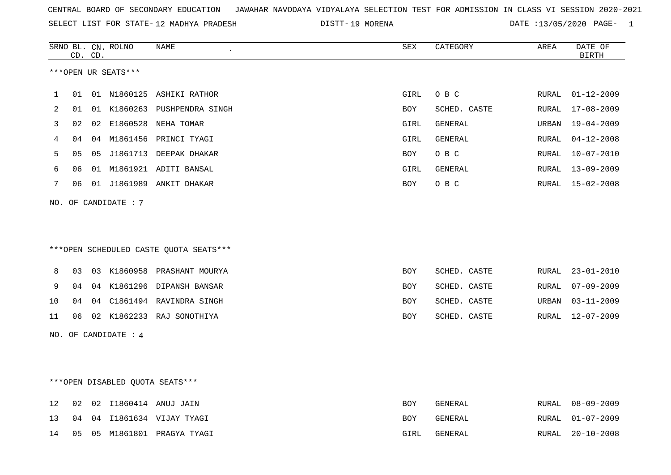| CENTRAL BOARD OF SECONDARY EDUCATION – JAWAHAR NAVODAYA VIDYALAYA SELECTION TEST FOR ADMISSION IN CLASS VI SESSION 2020-2021 |  |
|------------------------------------------------------------------------------------------------------------------------------|--|
|------------------------------------------------------------------------------------------------------------------------------|--|

SELECT LIST FOR STATE-12 MADHYA PRADESH

12 MADHYA PRADESH 19 MORENA DATE :13/05/2020 PAGE- 1

|    |    | CD. CD. | SRNO BL. CN. ROLNO   | <b>NAME</b>                            | <b>SEX</b> | CATEGORY       | AREA  | DATE OF<br><b>BIRTH</b> |
|----|----|---------|----------------------|----------------------------------------|------------|----------------|-------|-------------------------|
|    |    |         | ***OPEN UR SEATS***  |                                        |            |                |       |                         |
|    |    |         |                      |                                        |            |                |       |                         |
| 1  | 01 |         |                      | 01 N1860125 ASHIKI RATHOR              | GIRL       | O B C          | RURAL | $01 - 12 - 2009$        |
| 2  | 01 |         |                      | 01 K1860263 PUSHPENDRA SINGH           | BOY        | SCHED. CASTE   | RURAL | 17-08-2009              |
| 3  | 02 |         |                      | 02 E1860528 NEHA TOMAR                 | GIRL       | <b>GENERAL</b> | URBAN | $19 - 04 - 2009$        |
| 4  | 04 |         |                      | 04 M1861456 PRINCI TYAGI               | GIRL       | <b>GENERAL</b> | RURAL | $04 - 12 - 2008$        |
| 5  | 05 |         |                      | 05 J1861713 DEEPAK DHAKAR              | <b>BOY</b> | O B C          | RURAL | $10 - 07 - 2010$        |
| 6  | 06 |         |                      | 01 M1861921 ADITI BANSAL               | GIRL       | GENERAL        | RURAL | $13 - 09 - 2009$        |
| 7  | 06 |         |                      | 01 J1861989 ANKIT DHAKAR               | BOY        | O B C          |       | RURAL 15-02-2008        |
|    |    |         | NO. OF CANDIDATE: 7  |                                        |            |                |       |                         |
|    |    |         |                      |                                        |            |                |       |                         |
|    |    |         |                      |                                        |            |                |       |                         |
|    |    |         |                      | ***OPEN SCHEDULED CASTE QUOTA SEATS*** |            |                |       |                         |
| 8  | 03 |         |                      | 03 K1860958 PRASHANT MOURYA            | <b>BOY</b> | SCHED. CASTE   | RURAL | $23 - 01 - 2010$        |
| 9  | 04 |         |                      | 04 K1861296 DIPANSH BANSAR             | BOY        | SCHED. CASTE   | RURAL | $07 - 09 - 2009$        |
| 10 | 04 |         |                      | 04 C1861494 RAVINDRA SINGH             | BOY        | SCHED. CASTE   | URBAN | $03 - 11 - 2009$        |
| 11 | 06 |         |                      | 02 K1862233 RAJ SONOTHIYA              | <b>BOY</b> | SCHED. CASTE   | RURAL | $12 - 07 - 2009$        |
|    |    |         | NO. OF CANDIDATE : 4 |                                        |            |                |       |                         |
|    |    |         |                      |                                        |            |                |       |                         |
|    |    |         |                      |                                        |            |                |       |                         |
|    |    |         |                      | ***OPEN DISABLED QUOTA SEATS***        |            |                |       |                         |
| 12 | 02 |         |                      | 02 I1860414 ANUJ JAIN                  | <b>BOY</b> | <b>GENERAL</b> | RURAL | $08 - 09 - 2009$        |
| 13 | 04 |         |                      | 04 I1861634 VIJAY TYAGI                | BOY        | GENERAL        | RURAL | $01 - 07 - 2009$        |
| 14 | 05 |         |                      | 05 M1861801 PRAGYA TYAGI               | GIRL       | <b>GENERAL</b> | RURAL | $20 - 10 - 2008$        |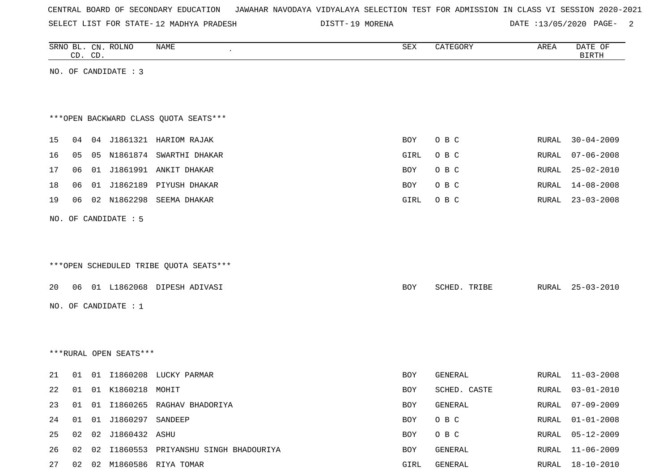|  |  |  |  | CENTRAL BOARD OF SECONDARY EDUCATION – JAWAHAR NAVODAYA VIDYALAYA SELECTION TEST FOR ADMISSION IN CLASS VI SESSION 2020-2021 |  |  |  |  |  |  |  |  |  |  |
|--|--|--|--|------------------------------------------------------------------------------------------------------------------------------|--|--|--|--|--|--|--|--|--|--|
|--|--|--|--|------------------------------------------------------------------------------------------------------------------------------|--|--|--|--|--|--|--|--|--|--|

SELECT LIST FOR STATE-12 MADHYA PRADESH

12 MADHYA PRADESH 19 MORENA DATE :13/05/2020 PAGE- 2

|    |    | CD. CD. | SRNO BL. CN. ROLNO     | NAME                                    | SEX        | CATEGORY     | AREA  | DATE OF<br><b>BIRTH</b> |
|----|----|---------|------------------------|-----------------------------------------|------------|--------------|-------|-------------------------|
|    |    |         | NO. OF CANDIDATE : 3   |                                         |            |              |       |                         |
|    |    |         |                        |                                         |            |              |       |                         |
|    |    |         |                        |                                         |            |              |       |                         |
|    |    |         |                        | *** OPEN BACKWARD CLASS QUOTA SEATS *** |            |              |       |                         |
| 15 | 04 |         |                        | 04 J1861321 HARIOM RAJAK                | BOY        | O B C        | RURAL | $30 - 04 - 2009$        |
| 16 | 05 |         |                        | 05 N1861874 SWARTHI DHAKAR              | GIRL       | O B C        | RURAL | $07 - 06 - 2008$        |
| 17 | 06 |         |                        | 01 J1861991 ANKIT DHAKAR                | BOY        | O B C        | RURAL | $25 - 02 - 2010$        |
| 18 | 06 |         |                        | 01 J1862189 PIYUSH DHAKAR               | BOY        | O B C        | RURAL | $14 - 08 - 2008$        |
| 19 | 06 |         | 02 N1862298            | SEEMA DHAKAR                            | GIRL       | O B C        | RURAL | $23 - 03 - 2008$        |
|    |    |         | NO. OF CANDIDATE : 5   |                                         |            |              |       |                         |
|    |    |         |                        |                                         |            |              |       |                         |
|    |    |         |                        |                                         |            |              |       |                         |
|    |    |         |                        | ***OPEN SCHEDULED TRIBE QUOTA SEATS***  |            |              |       |                         |
| 20 |    |         |                        | 06 01 L1862068 DIPESH ADIVASI           | BOY        | SCHED. TRIBE | RURAL | 25-03-2010              |
|    |    |         |                        |                                         |            |              |       |                         |
|    |    |         | NO. OF CANDIDATE : 1   |                                         |            |              |       |                         |
|    |    |         |                        |                                         |            |              |       |                         |
|    |    |         | ***RURAL OPEN SEATS*** |                                         |            |              |       |                         |
|    |    |         |                        |                                         |            |              |       |                         |
| 21 | 01 |         |                        | 01 I1860208 LUCKY PARMAR                | BOY        | GENERAL      | RURAL | $11 - 03 - 2008$        |
| 22 | 01 |         | 01 K1860218 MOHIT      |                                         | <b>BOY</b> | SCHED. CASTE | RURAL | $03 - 01 - 2010$        |
| 23 | 01 |         |                        | 01 I1860265 RAGHAV BHADORIYA            | BOY        | GENERAL      | RURAL | $07 - 09 - 2009$        |
| 24 | 01 |         | 01 J1860297 SANDEEP    |                                         | BOY        | O B C        | RURAL | $01 - 01 - 2008$        |
| 25 | 02 |         | 02 J1860432 ASHU       |                                         | BOY        | O B C        | RURAL | $05 - 12 - 2009$        |
| 26 | 02 |         |                        | 02 I1860553 PRIYANSHU SINGH BHADOURIYA  | BOY        | GENERAL      | RURAL | $11 - 06 - 2009$        |
| 27 |    |         |                        | 02 02 M1860586 RIYA TOMAR               | GIRL       | GENERAL      | RURAL | $18 - 10 - 2010$        |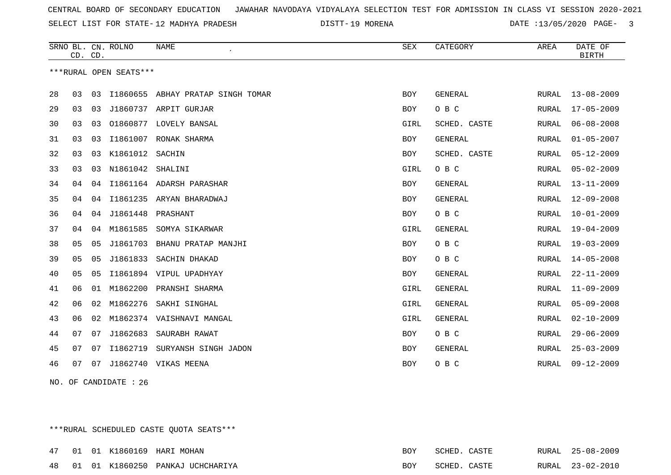SELECT LIST FOR STATE- DISTT- 12 MADHYA PRADESH

DISTT-19 MORENA 2020 CONTE :13/05/2020 PAGE- 3

|    |    | CD. CD. | SRNO BL. CN. ROLNO     | <b>NAME</b>                       | SEX        | CATEGORY       | AREA         | DATE OF<br><b>BIRTH</b> |
|----|----|---------|------------------------|-----------------------------------|------------|----------------|--------------|-------------------------|
|    |    |         | ***RURAL OPEN SEATS*** |                                   |            |                |              |                         |
| 28 | 03 | 03      |                        | 11860655 ABHAY PRATAP SINGH TOMAR | BOY        | GENERAL        | RURAL        | $13 - 08 - 2009$        |
| 29 | 03 | 03      |                        | J1860737 ARPIT GURJAR             | <b>BOY</b> | O B C          | RURAL        | $17 - 05 - 2009$        |
| 30 | 03 | 03      |                        | 01860877 LOVELY BANSAL            | GIRL       | SCHED. CASTE   | RURAL        | $06 - 08 - 2008$        |
| 31 | 03 | 03      | I1861007               | RONAK SHARMA                      | <b>BOY</b> | <b>GENERAL</b> | RURAL        | $01 - 05 - 2007$        |
| 32 | 03 | 03      | K1861012               | SACHIN                            | BOY        | SCHED. CASTE   | RURAL        | $05 - 12 - 2009$        |
| 33 | 03 | 03      | N1861042               | SHALINI                           | GIRL       | O B C          | RURAL        | $05 - 02 - 2009$        |
| 34 | 04 | 04      |                        | I1861164 ADARSH PARASHAR          | BOY        | GENERAL        | RURAL        | $13 - 11 - 2009$        |
| 35 | 04 | 04      |                        | I1861235 ARYAN BHARADWAJ          | BOY        | <b>GENERAL</b> | RURAL        | $12 - 09 - 2008$        |
| 36 | 04 | 04      | J1861448               | PRASHANT                          | BOY        | O B C          | RURAL        | $10 - 01 - 2009$        |
| 37 | 04 | 04      | M1861585               | SOMYA SIKARWAR                    | GIRL       | <b>GENERAL</b> | RURAL        | $19 - 04 - 2009$        |
| 38 | 05 | 05      | J1861703               | BHANU PRATAP MANJHI               | BOY        | O B C          | RURAL        | $19 - 03 - 2009$        |
| 39 | 05 | 05      |                        | J1861833 SACHIN DHAKAD            | BOY        | O B C          | RURAL        | $14 - 05 - 2008$        |
| 40 | 05 | 05      |                        | I1861894 VIPUL UPADHYAY           | BOY        | <b>GENERAL</b> | RURAL        | $22 - 11 - 2009$        |
| 41 | 06 | 01      | M1862200               | PRANSHI SHARMA                    | GIRL       | <b>GENERAL</b> | <b>RURAL</b> | $11 - 09 - 2009$        |
| 42 | 06 | 02      | M1862276               | SAKHI SINGHAL                     | GIRL       | <b>GENERAL</b> | RURAL        | $05 - 09 - 2008$        |
| 43 | 06 | 02      |                        | M1862374 VAISHNAVI MANGAL         | GIRL       | <b>GENERAL</b> | RURAL        | $02 - 10 - 2009$        |
| 44 | 07 | 07      | J1862683               | SAURABH RAWAT                     | BOY        | O B C          | <b>RURAL</b> | $29 - 06 - 2009$        |
| 45 | 07 | 07      | I1862719               | SURYANSH SINGH JADON              | BOY        | <b>GENERAL</b> | RURAL        | $25 - 03 - 2009$        |
| 46 | 07 | 07      |                        | J1862740 VIKAS MEENA              | <b>BOY</b> | O B C          | RURAL        | $09 - 12 - 2009$        |

NO. OF CANDIDATE : 26

\*\*\*RURAL SCHEDULED CASTE QUOTA SEATS\*\*\*

|  |  | 47 01 01 K1860169 HARI MOHAN        | SCHED. | CASTE | RURAL | 25-08-2009       |
|--|--|-------------------------------------|--------|-------|-------|------------------|
|  |  | 48 01 01 K1860250 PANKAJ UCHCHARIYA | SCHED. | CASTE |       | RURAL 23-02-2010 |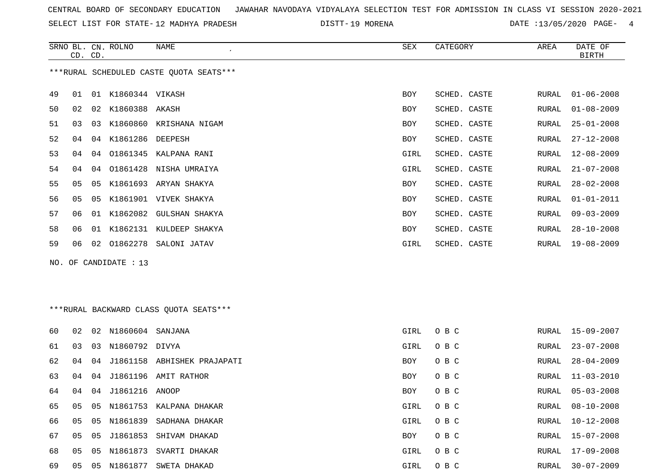SELECT LIST FOR STATE- DISTT- 12 MADHYA PRADESH

DISTT-19 MORENA 2000 2000 DATE :13/05/2020 PAGE- 4

|    | CD. CD. |    | SRNO BL. CN. ROLNO    | NAME                                    | SEX  | CATEGORY     | AREA  | DATE OF<br><b>BIRTH</b> |
|----|---------|----|-----------------------|-----------------------------------------|------|--------------|-------|-------------------------|
|    |         |    |                       | ***RURAL SCHEDULED CASTE QUOTA SEATS*** |      |              |       |                         |
| 49 | 01      |    | 01 K1860344 VIKASH    |                                         | BOY  | SCHED. CASTE | RURAL | $01 - 06 - 2008$        |
| 50 | 02      |    | 02 K1860388 AKASH     |                                         | BOY  | SCHED. CASTE | RURAL | $01 - 08 - 2009$        |
| 51 | 03      | 03 |                       | K1860860 KRISHANA NIGAM                 | BOY  | SCHED. CASTE | RURAL | $25 - 01 - 2008$        |
| 52 | 04      | 04 | K1861286              | DEEPESH                                 | BOY  | SCHED. CASTE | RURAL | $27 - 12 - 2008$        |
| 53 | 04      | 04 | 01861345              | KALPANA RANI                            | GIRL | SCHED. CASTE | RURAL | $12 - 08 - 2009$        |
| 54 | 04      | 04 |                       | 01861428 NISHA UMRAIYA                  | GIRL | SCHED. CASTE | RURAL | $21 - 07 - 2008$        |
| 55 | 05      | 05 |                       | K1861693 ARYAN SHAKYA                   | BOY  | SCHED. CASTE | RURAL | $28 - 02 - 2008$        |
| 56 | 05      | 05 |                       | K1861901 VIVEK SHAKYA                   | BOY  | SCHED. CASTE | RURAL | $01 - 01 - 2011$        |
| 57 | 06      |    |                       | 01 K1862082 GULSHAN SHAKYA              | BOY  | SCHED. CASTE | RURAL | $09 - 03 - 2009$        |
| 58 | 06      |    |                       | 01 K1862131 KULDEEP SHAKYA              | BOY  | SCHED. CASTE | RURAL | $28 - 10 - 2008$        |
| 59 | 06      | 02 |                       | 01862278 SALONI JATAV                   | GIRL | SCHED. CASTE | RURAL | 19-08-2009              |
|    |         |    | NO. OF CANDIDATE : 13 |                                         |      |              |       |                         |
|    |         |    |                       |                                         |      |              |       |                         |
|    |         |    |                       |                                         |      |              |       |                         |
|    |         |    |                       | *** RURAL BACKWARD CLASS QUOTA SEATS*** |      |              |       |                         |
| 60 | 02      | 02 | N1860604 SANJANA      |                                         | GIRL | O B C        | RURAL | $15 - 09 - 2007$        |
| 61 | 03      | 03 | N1860792 DIVYA        |                                         | GIRL | O B C        | RURAL | $23 - 07 - 2008$        |
| 62 | 04      | 04 |                       | J1861158 ABHISHEK PRAJAPATI             | BOY  | O B C        | RURAL | $28 - 04 - 2009$        |
| 63 | 04      | 04 |                       | J1861196 AMIT RATHOR                    | BOY  | O B C        | RURAL | $11 - 03 - 2010$        |
| 64 | 04      | 04 | J1861216 ANOOP        |                                         | BOY  | O B C        | RURAL | $05 - 03 - 2008$        |
| 65 | 05      | 05 |                       | N1861753 KALPANA DHAKAR                 | GIRL | O B C        | RURAL | $08 - 10 - 2008$        |
| 66 | 05      | 05 |                       | N1861839 SADHANA DHAKAR                 | GIRL | O B C        | RURAL | $10 - 12 - 2008$        |
| 67 | 05      | 05 | J1861853              | SHIVAM DHAKAD                           | BOY  | O B C        | RURAL | $15 - 07 - 2008$        |
| 68 | 05      | 05 |                       | N1861873 SVARTI DHAKAR                  | GIRL | O B C        | RURAL | $17 - 09 - 2008$        |
| 69 | 05      |    |                       | 05 N1861877 SWETA DHAKAD                | GIRL | O B C        | RURAL | $30 - 07 - 2009$        |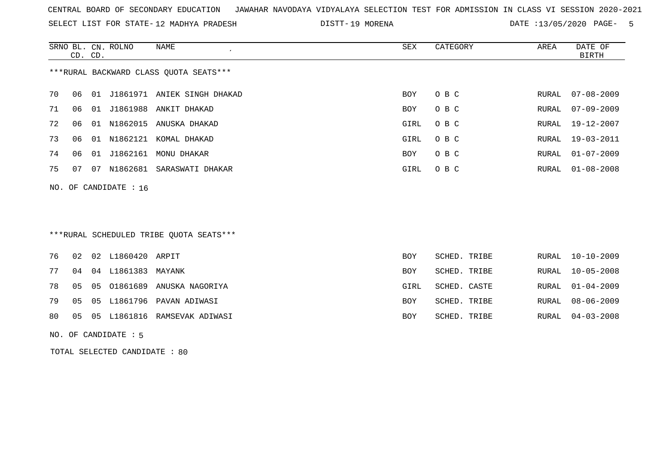SELECT LIST FOR STATE- DISTT- 12 MADHYA PRADESH

DISTT-19 MORENA 2000 2000 DATE :13/05/2020 PAGE- 5

|                                        | CD. CD. |    | SRNO BL. CN. ROLNO      | NAME                        | SEX  | CATEGORY | AREA  | DATE OF<br>BIRTH |
|----------------------------------------|---------|----|-------------------------|-----------------------------|------|----------|-------|------------------|
| ***RURAL BACKWARD CLASS QUOTA SEATS*** |         |    |                         |                             |      |          |       |                  |
| 70                                     | 06      | 01 |                         | J1861971 ANIEK SINGH DHAKAD | BOY  | O B C    | RURAL | $07 - 08 - 2009$ |
| 71                                     | 06      |    |                         | 01 J1861988 ANKIT DHAKAD    | BOY  | O B C    | RURAL | 07-09-2009       |
| 72                                     | 06      | 01 |                         | N1862015 ANUSKA DHAKAD      | GIRL | O B C    | RURAL | 19-12-2007       |
| 73                                     | 06      | 01 |                         | N1862121 KOMAL DHAKAD       | GIRL | O B C    | RURAL | 19-03-2011       |
| 74                                     | 06      |    |                         | 01 J1862161 MONU DHAKAR     | BOY  | O B C    | RURAL | $01 - 07 - 2009$ |
| 75                                     | 07      | 07 |                         | N1862681 SARASWATI DHAKAR   | GIRL | O B C    |       | RURAL 01-08-2008 |
|                                        |         |    | NO. OF CANDIDATE : $16$ |                             |      |          |       |                  |
|                                        |         |    |                         |                             |      |          |       |                  |

\*\*\*RURAL SCHEDULED TRIBE QUOTA SEATS\*\*\*

|  |  | <b>BOY</b>                                                                                                                                                     |                                                                              | RURAL 10-10-2009 |
|--|--|----------------------------------------------------------------------------------------------------------------------------------------------------------------|------------------------------------------------------------------------------|------------------|
|  |  | BOY                                                                                                                                                            |                                                                              | RURAL 10-05-2008 |
|  |  | GIRL                                                                                                                                                           |                                                                              | RURAL 01-04-2009 |
|  |  | BOY                                                                                                                                                            |                                                                              | RURAL 08-06-2009 |
|  |  | BOY                                                                                                                                                            |                                                                              | RURAL 04-03-2008 |
|  |  | 76 02 02 L1860420 ARPIT<br>04 04 L1861383 MAYANK<br>78 05 05 01861689 ANUSKA NAGORIYA<br>79 05 05 L1861796 PAVAN ADIWASI<br>80 05 05 L1861816 RAMSEVAK ADIWASI | SCHED. TRIBE<br>SCHED. TRIBE<br>SCHED. CASTE<br>SCHED. TRIBE<br>SCHED. TRIBE |                  |

NO. OF CANDIDATE : 5

TOTAL SELECTED CANDIDATE : 80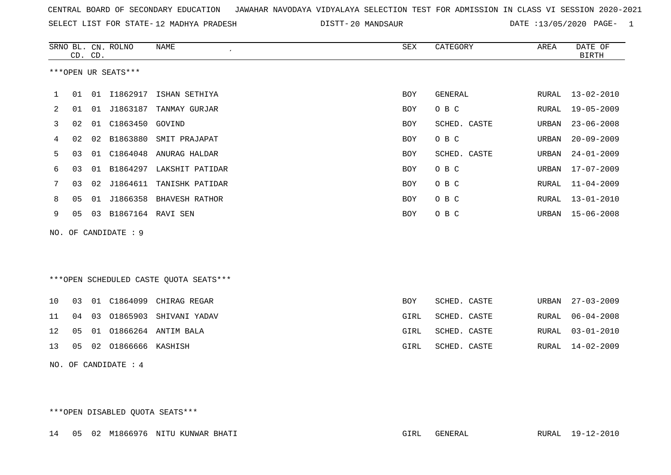| CENTRAL BOARD OF SECONDARY EDUCATION GUNAHAR NAVODAYA VIDYALAYA SELECTION TEST FOR ADMISSION IN CLASS VI SESSION 2020-2021 |  |  |  |  |
|----------------------------------------------------------------------------------------------------------------------------|--|--|--|--|
|----------------------------------------------------------------------------------------------------------------------------|--|--|--|--|

SELECT LIST FOR STATE-12 MADHYA PRADESH

12 MADHYA PRADESH 20 MANDSAUR DATE :13/05/2020 PAGE- 1

|    |                | CD. CD. | SRNO BL. CN. ROLNO   | NAME                                   | SEX        | CATEGORY     | AREA  | DATE OF<br><b>BIRTH</b> |
|----|----------------|---------|----------------------|----------------------------------------|------------|--------------|-------|-------------------------|
|    |                |         | ***OPEN UR SEATS***  |                                        |            |              |       |                         |
|    |                |         |                      |                                        |            |              |       |                         |
| 1  | 01             |         |                      | 01 I1862917 ISHAN SETHIYA              | <b>BOY</b> | GENERAL      |       | RURAL 13-02-2010        |
| 2  | 01             |         |                      | 01 J1863187 TANMAY GURJAR              | <b>BOY</b> | O B C        | RURAL | $19 - 05 - 2009$        |
| 3  | 02             | 01      | C1863450             | GOVIND                                 | <b>BOY</b> | SCHED. CASTE | URBAN | $23 - 06 - 2008$        |
| 4  | 02             | 02      | B1863880             | SMIT PRAJAPAT                          | BOY        | O B C        | URBAN | $20 - 09 - 2009$        |
| 5  | 03             | 01      | C1864048             | ANURAG HALDAR                          | BOY        | SCHED. CASTE | URBAN | $24 - 01 - 2009$        |
| 6  | 03             | 01      |                      | B1864297 LAKSHIT PATIDAR               | BOY        | O B C        | URBAN | $17 - 07 - 2009$        |
| 7  | 03             |         | 02 J1864611          | TANISHK PATIDAR                        | BOY        | O B C        | RURAL | $11 - 04 - 2009$        |
| 8  | 0 <sub>5</sub> | 01      | J1866358             | BHAVESH RATHOR                         | BOY        | O B C        | RURAL | $13 - 01 - 2010$        |
| 9  | 05             |         | 03 B1867164 RAVI SEN |                                        | BOY        | O B C        | URBAN | $15 - 06 - 2008$        |
|    |                |         | NO. OF CANDIDATE : 9 |                                        |            |              |       |                         |
|    |                |         |                      |                                        |            |              |       |                         |
|    |                |         |                      |                                        |            |              |       |                         |
|    |                |         |                      |                                        |            |              |       |                         |
|    |                |         |                      | ***OPEN SCHEDULED CASTE QUOTA SEATS*** |            |              |       |                         |
| 10 | 03             | 01      |                      | C1864099 CHIRAG REGAR                  | BOY        | SCHED. CASTE | URBAN | $27 - 03 - 2009$        |
| 11 | 04             | 03      | 01865903             | SHIVANI YADAV                          | GIRL       | SCHED. CASTE | RURAL | $06 - 04 - 2008$        |
| 12 | 05             | 01      |                      | 01866264 ANTIM BALA                    | GIRL       | SCHED. CASTE | RURAL | $03 - 01 - 2010$        |
| 13 | 05             |         | 02 01866666 KASHISH  |                                        | GIRL       | SCHED. CASTE | RURAL | $14 - 02 - 2009$        |
|    |                |         | NO. OF CANDIDATE : 4 |                                        |            |              |       |                         |

\*\*\*OPEN DISABLED QUOTA SEATS\*\*\*

14 05 02 M1866976 NITU KUNWAR BHATI GIRL GENERAL RURAL 19-12-2010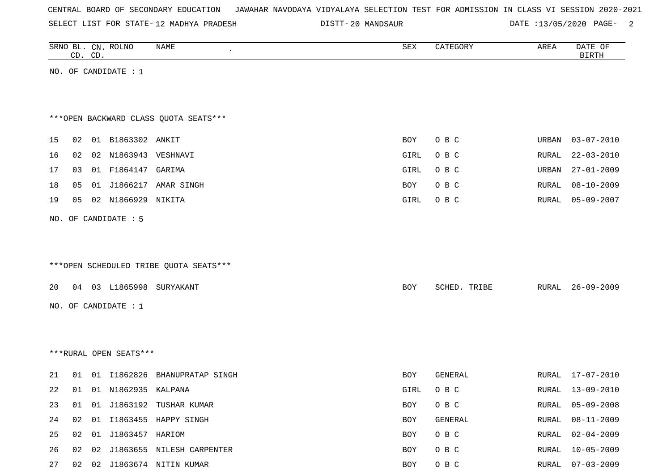SELECT LIST FOR STATE- DISTT- 12 MADHYA PRADESH

20 MANDSAUR DATE :13/05/2020 PAGE- 2

|    |    | CD. CD. | SRNO BL. CN. ROLNO     | NAME                                   | ${\tt SEX}$ | CATEGORY     | AREA         | DATE OF<br><b>BIRTH</b> |
|----|----|---------|------------------------|----------------------------------------|-------------|--------------|--------------|-------------------------|
|    |    |         | NO. OF CANDIDATE : $1$ |                                        |             |              |              |                         |
|    |    |         |                        |                                        |             |              |              |                         |
|    |    |         |                        |                                        |             |              |              |                         |
|    |    |         |                        | *** OPEN BACKWARD CLASS QUOTA SEATS*** |             |              |              |                         |
| 15 | 02 |         | 01 B1863302 ANKIT      |                                        | BOY         | O B C        | <b>URBAN</b> | $03 - 07 - 2010$        |
| 16 | 02 |         | 02 N1863943 VESHNAVI   |                                        | GIRL        | O B C        | RURAL        | $22 - 03 - 2010$        |
| 17 | 03 |         | 01 F1864147 GARIMA     |                                        | GIRL        | O B C        | URBAN        | $27 - 01 - 2009$        |
| 18 | 05 |         | 01 J1866217            | AMAR SINGH                             | BOY         | O B C        | RURAL        | $08 - 10 - 2009$        |
| 19 | 05 |         | 02 N1866929            | NIKITA                                 | GIRL        | O B C        | RURAL        | $05 - 09 - 2007$        |
|    |    |         | NO. OF CANDIDATE : 5   |                                        |             |              |              |                         |
|    |    |         |                        |                                        |             |              |              |                         |
|    |    |         |                        |                                        |             |              |              |                         |
|    |    |         |                        | ***OPEN SCHEDULED TRIBE QUOTA SEATS*** |             |              |              |                         |
| 20 |    |         |                        | 04 03 L1865998 SURYAKANT               | BOY         | SCHED. TRIBE | RURAL        | $26 - 09 - 2009$        |
|    |    |         | NO. OF CANDIDATE : 1   |                                        |             |              |              |                         |
|    |    |         |                        |                                        |             |              |              |                         |
|    |    |         |                        |                                        |             |              |              |                         |
|    |    |         | ***RURAL OPEN SEATS*** |                                        |             |              |              |                         |
|    |    |         |                        |                                        |             |              |              |                         |
| 21 | 01 |         | 01 I1862826            | BHANUPRATAP SINGH                      | BOY         | GENERAL      | RURAL        | $17 - 07 - 2010$        |
| 22 | 01 |         | 01 N1862935 KALPANA    |                                        | GIRL        | O B C        | RURAL        | 13-09-2010              |
| 23 | 01 |         |                        | 01 J1863192 TUSHAR KUMAR               | BOY         | O B C        | RURAL        | $05 - 09 - 2008$        |
| 24 | 02 |         |                        | 01 I1863455 HAPPY SINGH                | BOY         | GENERAL      | RURAL        | $08 - 11 - 2009$        |
| 25 | 02 |         | 01 J1863457 HARIOM     |                                        | BOY         | O B C        | RURAL        | $02 - 04 - 2009$        |
| 26 |    |         |                        | 02 02 J1863655 NILESH CARPENTER        | BOY         | O B C        | RURAL        | $10 - 05 - 2009$        |
| 27 |    |         |                        | 02 02 J1863674 NITIN KUMAR             | BOY         | $O$ B $C$    | RURAL        | $07 - 03 - 2009$        |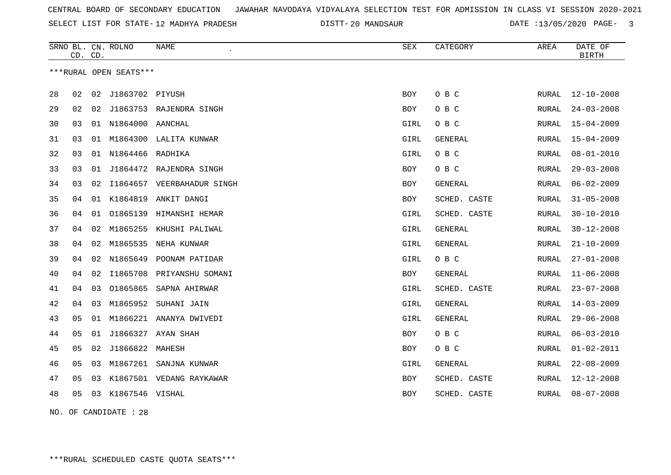SELECT LIST FOR STATE- DISTT- 12 MADHYA PRADESH

20 MANDSAUR DATE :13/05/2020 PAGE- 3

|    | CD. CD. |    | SRNO BL. CN. ROLNO     | <b>NAME</b>                   | <b>SEX</b> | CATEGORY       | AREA         | DATE OF<br><b>BIRTH</b> |
|----|---------|----|------------------------|-------------------------------|------------|----------------|--------------|-------------------------|
|    |         |    | ***RURAL OPEN SEATS*** |                               |            |                |              |                         |
| 28 | 02      | 02 | J1863702 PIYUSH        |                               | <b>BOY</b> | O B C          | RURAL        | $12 - 10 - 2008$        |
| 29 | 02      | 02 |                        | J1863753 RAJENDRA SINGH       | <b>BOY</b> | O B C          | RURAL        | $24 - 03 - 2008$        |
| 30 | 03      |    | 01 N1864000 AANCHAL    |                               | GIRL       | O B C          | RURAL        | $15 - 04 - 2009$        |
| 31 | 03      | 01 |                        | M1864300 LALITA KUNWAR        | GIRL       | <b>GENERAL</b> | RURAL        | $15 - 04 - 2009$        |
| 32 | 03      |    | 01 N1864466 RADHIKA    |                               | GIRL       | O B C          | RURAL        | $08 - 01 - 2010$        |
| 33 | 03      | 01 | J1864472               | RAJENDRA SINGH                | <b>BOY</b> | O B C          | <b>RURAL</b> | $29 - 03 - 2008$        |
| 34 | 03      |    |                        | 02 I1864657 VEERBAHADUR SINGH | BOY        | GENERAL        | RURAL        | $06 - 02 - 2009$        |
| 35 | 04      |    | 01 K1864819            | ANKIT DANGI                   | BOY        | SCHED. CASTE   | <b>RURAL</b> | $31 - 05 - 2008$        |
| 36 | 04      | 01 | 01865139               | HIMANSHI HEMAR                | GIRL       | SCHED. CASTE   | RURAL        | $30 - 10 - 2010$        |
| 37 | 04      | 02 | M1865255               | KHUSHI PALIWAL                | GIRL       | <b>GENERAL</b> | RURAL        | $30 - 12 - 2008$        |
| 38 | 04      | 02 | M1865535               | NEHA KUNWAR                   | GIRL       | <b>GENERAL</b> | RURAL        | $21 - 10 - 2009$        |
| 39 | 04      | 02 |                        | N1865649 POONAM PATIDAR       | GIRL       | O B C          | RURAL        | $27 - 01 - 2008$        |
| 40 | 04      | 02 | I1865708               | PRIYANSHU SOMANI              | BOY        | <b>GENERAL</b> | RURAL        | $11 - 06 - 2008$        |
| 41 | 04      | 03 | 01865865               | SAPNA AHIRWAR                 | GIRL       | SCHED. CASTE   | RURAL        | $23 - 07 - 2008$        |
| 42 | 04      | 03 | M1865952               | SUHANI JAIN                   | GIRL       | <b>GENERAL</b> | <b>RURAL</b> | $14 - 03 - 2009$        |
| 43 | 05      | 01 |                        | M1866221 ANANYA DWIVEDI       | GIRL       | <b>GENERAL</b> | RURAL        | $29 - 06 - 2008$        |
| 44 | 05      | 01 |                        | J1866327 AYAN SHAH            | BOY        | O B C          | RURAL        | $06 - 03 - 2010$        |
| 45 | 05      |    | 02 J1866822 MAHESH     |                               | <b>BOY</b> | O B C          | RURAL        | $01 - 02 - 2011$        |
| 46 | 05      | 03 | M1867261               | SANJNA KUNWAR                 | GIRL       | GENERAL        | RURAL        | $22 - 08 - 2009$        |
| 47 | 05      | 03 |                        | K1867501 VEDANG RAYKAWAR      | BOY        | SCHED. CASTE   | RURAL        | $12 - 12 - 2008$        |
| 48 | 05      | 03 | K1867546 VISHAL        |                               | BOY        | SCHED. CASTE   | RURAL        | $08 - 07 - 2008$        |
|    |         |    |                        |                               |            |                |              |                         |

NO. OF CANDIDATE : 28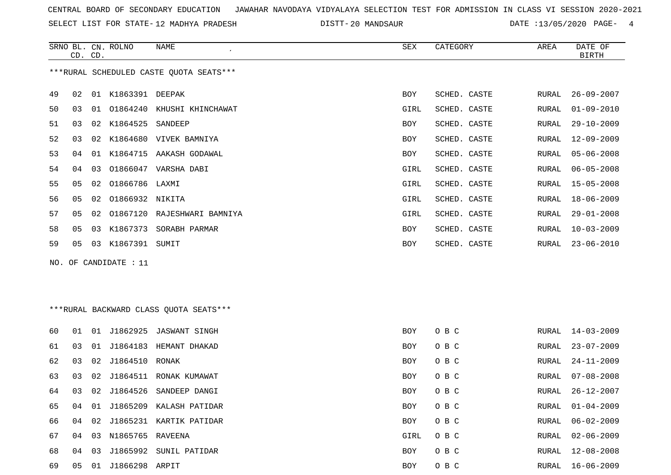SELECT LIST FOR STATE- DISTT- 12 MADHYA PRADESH

DISTT-20 MANDSAUR 20 DATE :13/05/2020 PAGE- 4

|                                         | CD. CD.        |    | SRNO BL. CN. ROLNO | NAME               | SEX        | CATEGORY     | AREA  | DATE OF<br>BIRTH |
|-----------------------------------------|----------------|----|--------------------|--------------------|------------|--------------|-------|------------------|
| ***RURAL SCHEDULED CASTE OUOTA SEATS*** |                |    |                    |                    |            |              |       |                  |
| 49                                      | 02             | 01 | K1863391 DEEPAK    |                    | <b>BOY</b> | SCHED. CASTE | RURAL | $26 - 09 - 2007$ |
| 50                                      | 03             | 01 | 01864240           | KHUSHI KHINCHAWAT  | GIRL       | SCHED. CASTE | RURAL | $01 - 09 - 2010$ |
| 51                                      | 03             | 02 | K1864525 SANDEEP   |                    | BOY        | SCHED. CASTE | RURAL | $29 - 10 - 2009$ |
| 52                                      | 03             | 02 | K1864680           | VIVEK BAMNIYA      | <b>BOY</b> | SCHED. CASTE | RURAL | $12 - 09 - 2009$ |
| 53                                      | 04             | 01 | K1864715           | AAKASH GODAWAL     | BOY        | SCHED. CASTE | RURAL | $05 - 06 - 2008$ |
| 54                                      | 04             | 03 | 01866047           | VARSHA DABI        | GIRL       | SCHED. CASTE | RURAL | $06 - 05 - 2008$ |
| 55                                      | 0 <sub>5</sub> | 02 | 01866786 LAXMI     |                    | GIRL       | SCHED. CASTE | RURAL | 15-05-2008       |
| 56                                      | 05             | 02 | 01866932 NIKITA    |                    | GIRL       | SCHED. CASTE | RURAL | 18-06-2009       |
| 57                                      | 0 <sub>5</sub> | 02 | 01867120           | RAJESHWARI BAMNIYA | GIRL       | SCHED. CASTE | RURAL | $29 - 01 - 2008$ |
| 58                                      | 05             | 03 | K1867373           | SORABH PARMAR      | BOY        | SCHED. CASTE | RURAL | $10 - 03 - 2009$ |
| 59                                      | 05             | 03 | K1867391           | SUMIT              | BOY        | SCHED. CASTE | RURAL | $23 - 06 - 2010$ |

NO. OF CANDIDATE : 11

# \*\*\*RURAL BACKWARD CLASS QUOTA SEATS\*\*\*

| 60 | 01 | 01 | J1862925 | JASWANT SINGH  | BOY        | O B C | RURAL | $14 - 03 - 2009$ |
|----|----|----|----------|----------------|------------|-------|-------|------------------|
| 61 | 03 | 01 | J1864183 | HEMANT DHAKAD  | <b>BOY</b> | O B C | RURAL | $23 - 07 - 2009$ |
| 62 | 03 | 02 | J1864510 | RONAK          | <b>BOY</b> | O B C | RURAL | 24-11-2009       |
| 63 | 03 | 02 | J1864511 | RONAK KUMAWAT  | <b>BOY</b> | O B C | RURAL | $07 - 08 - 2008$ |
| 64 | 03 | 02 | J1864526 | SANDEEP DANGI  | <b>BOY</b> | O B C | RURAL | 26-12-2007       |
| 65 | 04 | 01 | J1865209 | KALASH PATIDAR | <b>BOY</b> | O B C | RURAL | $01 - 04 - 2009$ |
| 66 | 04 | 02 | J1865231 | KARTIK PATIDAR | BOY        | O B C | RURAL | $06 - 02 - 2009$ |
| 67 | 04 | 03 | N1865765 | RAVEENA        | GIRL       | O B C | RURAL | $02 - 06 - 2009$ |
| 68 | 04 | 03 | J1865992 | SUNIL PATIDAR  | <b>BOY</b> | O B C | RURAL | $12 - 08 - 2008$ |
| 69 | 05 | 01 | J1866298 | ARPIT          | BOY        | O B C | RURAL | 16-06-2009       |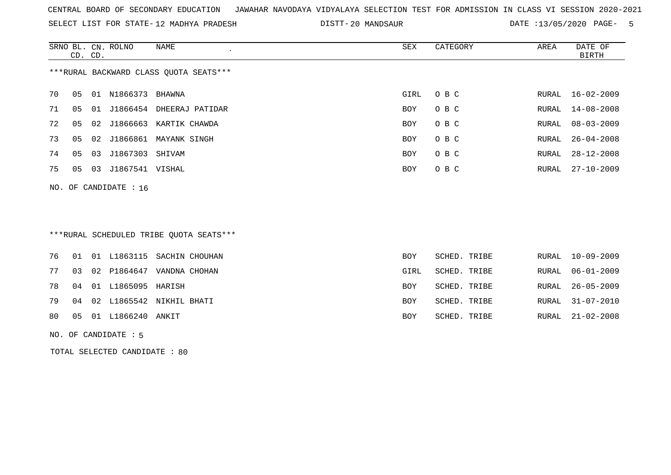SELECT LIST FOR STATE- DISTT- 12 MADHYA PRADESH

20 MANDSAUR DATE :13/05/2020 PAGE- 5

|    | CD. CD.                 |    | SRNO BL. CN. ROLNO | NAME                                   | SEX        | CATEGORY | AREA  | DATE OF<br>BIRTH |  |
|----|-------------------------|----|--------------------|----------------------------------------|------------|----------|-------|------------------|--|
|    |                         |    |                    | ***RURAL BACKWARD CLASS OUOTA SEATS*** |            |          |       |                  |  |
| 70 | 05                      | 01 | N1866373           | BHAWNA                                 | GIRL       | O B C    | RURAL | 16-02-2009       |  |
| 71 | 05                      | 01 | J1866454           | DHEERAJ PATIDAR                        | <b>BOY</b> | O B C    |       | RURAL 14-08-2008 |  |
| 72 | 05                      |    |                    | 02 J1866663 KARTIK CHAWDA              | BOY        | O B C    | RURAL | 08-03-2009       |  |
| 73 | 05                      |    | 02 J1866861        | MAYANK SINGH                           | <b>BOY</b> | O B C    |       | RURAL 26-04-2008 |  |
| 74 | 05                      | 03 | J1867303           | SHIVAM                                 | <b>BOY</b> | O B C    | RURAL | $28 - 12 - 2008$ |  |
| 75 | 05                      | 03 | J1867541           | VISHAL                                 | <b>BOY</b> | O B C    | RURAL | $27 - 10 - 2009$ |  |
|    | NO. OF CANDIDATE : $16$ |    |                    |                                        |            |          |       |                  |  |

# \*\*\*RURAL SCHEDULED TRIBE QUOTA SEATS\*\*\*

|    |  |                             | 76 01 01 L1863115 SACHIN CHOUHAN | BOY.       | SCHED. TRIBE |  | RURAL 10-09-2009 |
|----|--|-----------------------------|----------------------------------|------------|--------------|--|------------------|
| 77 |  |                             | 03 02 P1864647 VANDNA CHOHAN     | GIRL       | SCHED. TRIBE |  | RURAL 06-01-2009 |
|    |  | 78 04 01 L1865095 HARISH    |                                  | <b>BOY</b> | SCHED. TRIBE |  | RURAL 26-05-2009 |
|    |  |                             | 79 04 02 L1865542 NIKHIL BHATI   | <b>BOY</b> | SCHED. TRIBE |  | RURAL 31-07-2010 |
|    |  | 80  05  01  L1866240  ANKIT |                                  | BOY        | SCHED. TRIBE |  | RURAL 21-02-2008 |
|    |  |                             |                                  |            |              |  |                  |

## NO. OF CANDIDATE : 5

TOTAL SELECTED CANDIDATE : 80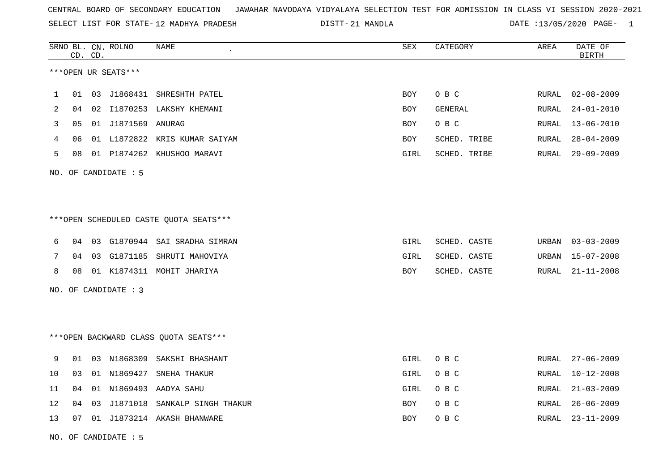SELECT LIST FOR STATE- DISTT- 12 MADHYA PRADESH

21 MANDLA DATE :13/05/2020 PAGE- 1

|                |    | CD. CD. | SRNO BL. CN. ROLNO   | NAME                                    | ${\tt SEX}$ | CATEGORY     | AREA  | DATE OF<br><b>BIRTH</b> |
|----------------|----|---------|----------------------|-----------------------------------------|-------------|--------------|-------|-------------------------|
|                |    |         | ***OPEN UR SEATS***  |                                         |             |              |       |                         |
| $\mathbf{1}$   | 01 | 03      | J1868431             | SHRESHTH PATEL                          | <b>BOY</b>  | O B C        | RURAL | $02 - 08 - 2009$        |
| $\overline{2}$ | 04 | 02      |                      | I1870253 LAKSHY KHEMANI                 | BOY         | GENERAL      | RURAL | $24 - 01 - 2010$        |
| 3              | 05 |         | 01 J1871569 ANURAG   |                                         | BOY         | O B C        | RURAL | $13 - 06 - 2010$        |
| 4              | 06 |         |                      | 01 L1872822 KRIS KUMAR SAIYAM           | BOY         | SCHED. TRIBE | RURAL | $28 - 04 - 2009$        |
| 5              | 08 |         |                      | 01 P1874262 KHUSHOO MARAVI              | GIRL        | SCHED. TRIBE | RURAL | $29 - 09 - 2009$        |
|                |    |         | NO. OF CANDIDATE : 5 |                                         |             |              |       |                         |
|                |    |         |                      |                                         |             |              |       |                         |
|                |    |         |                      | *** OPEN SCHEDULED CASTE QUOTA SEATS*** |             |              |       |                         |
| 6              | 04 |         |                      | 03 G1870944 SAI SRADHA SIMRAN           | GIRL        | SCHED. CASTE | URBAN | $03 - 03 - 2009$        |
| 7              | 04 |         |                      | 03 G1871185 SHRUTI MAHOVIYA             | GIRL        | SCHED. CASTE | URBAN | $15 - 07 - 2008$        |
| 8              | 08 |         |                      | 01 K1874311 MOHIT JHARIYA               | BOY         | SCHED. CASTE | RURAL | $21 - 11 - 2008$        |
|                |    |         | NO. OF CANDIDATE : 3 |                                         |             |              |       |                         |
|                |    |         |                      |                                         |             |              |       |                         |
|                |    |         |                      | *** OPEN BACKWARD CLASS QUOTA SEATS***  |             |              |       |                         |
| 9              | 01 |         |                      | 03 N1868309 SAKSHI BHASHANT             | GIRL        | O B C        | RURAL | $27 - 06 - 2009$        |
| 10             | 03 |         | 01 N1869427          | SNEHA THAKUR                            | GIRL        | O B C        | RURAL | $10 - 12 - 2008$        |
| 11             | 04 |         |                      | 01 N1869493 AADYA SAHU                  | GIRL        | O B C        | RURAL | $21 - 03 - 2009$        |
| 12             | 04 | 03      |                      | J1871018 SANKALP SINGH THAKUR           | BOY         | O B C        | RURAL | $26 - 06 - 2009$        |
| 13             | 07 |         |                      | 01 J1873214 AKASH BHANWARE              | <b>BOY</b>  | O B C        | RURAL | $23 - 11 - 2009$        |

NO. OF CANDIDATE : 5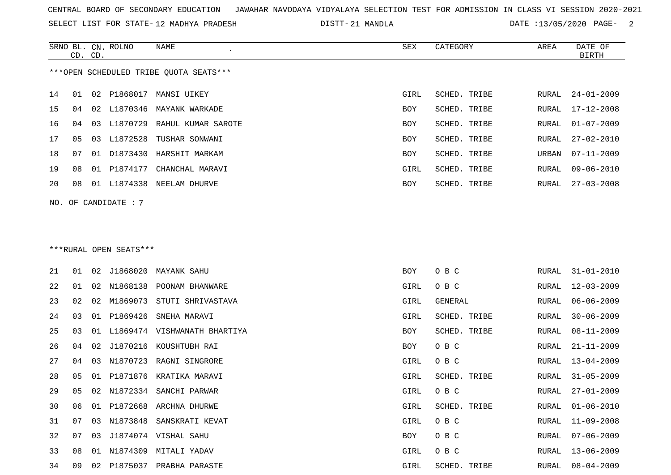SELECT LIST FOR STATE- DISTT- 12 MADHYA PRADESH

DISTT-21 MANDLA 2020 DATE :13/05/2020 PAGE- 2

|    |    | CD. CD. | SRNO BL. CN. ROLNO     | NAME                                   | SEX        | CATEGORY       | AREA  | DATE OF<br><b>BIRTH</b> |
|----|----|---------|------------------------|----------------------------------------|------------|----------------|-------|-------------------------|
|    |    |         |                        | ***OPEN SCHEDULED TRIBE OUOTA SEATS*** |            |                |       |                         |
| 14 | 01 |         | 02 P1868017            | MANSI UIKEY                            | GIRL       | SCHED. TRIBE   | RURAL | $24 - 01 - 2009$        |
| 15 | 04 | 02      |                        | L1870346 MAYANK WARKADE                | <b>BOY</b> | SCHED. TRIBE   | RURAL | 17-12-2008              |
| 16 | 04 | 03      | L1870729               | RAHUL KUMAR SAROTE                     | BOY        | SCHED. TRIBE   | RURAL | $01 - 07 - 2009$        |
| 17 | 05 | 03      | L1872528               | TUSHAR SONWANI                         | <b>BOY</b> | SCHED. TRIBE   | RURAL | $27 - 02 - 2010$        |
| 18 | 07 | 01      | D1873430               | HARSHIT MARKAM                         | BOY        | SCHED. TRIBE   | URBAN | $07 - 11 - 2009$        |
| 19 | 08 | 01      | P1874177               | CHANCHAL MARAVI                        | GIRL       | SCHED. TRIBE   | RURAL | $09 - 06 - 2010$        |
| 20 | 08 |         |                        | 01 L1874338 NEELAM DHURVE              | BOY        | SCHED. TRIBE   | RURAL | $27 - 03 - 2008$        |
|    |    |         | NO. OF CANDIDATE : 7   |                                        |            |                |       |                         |
|    |    |         |                        |                                        |            |                |       |                         |
|    |    |         |                        |                                        |            |                |       |                         |
|    |    |         | ***RURAL OPEN SEATS*** |                                        |            |                |       |                         |
| 21 | 01 | 02      |                        | J1868020 MAYANK SAHU                   | BOY        | O B C          | RURAL | $31 - 01 - 2010$        |
| 22 | 01 | 02      | N1868138               | POONAM BHANWARE                        | GIRL       | O B C          | RURAL | $12 - 03 - 2009$        |
| 23 | 02 | 02      | M1869073               | STUTI SHRIVASTAVA                      | GIRL       | <b>GENERAL</b> | RURAL | $06 - 06 - 2009$        |
| 24 | 03 | 01      | P1869426               | SNEHA MARAVI                           | GIRL       | SCHED. TRIBE   | RURAL | $30 - 06 - 2009$        |
| 25 | 03 | 01      |                        | L1869474 VISHWANATH BHARTIYA           | BOY        | SCHED. TRIBE   | RURAL | $08 - 11 - 2009$        |
| 26 | 04 | 02      | J1870216               | KOUSHTUBH RAI                          | BOY        | O B C          | RURAL | $21 - 11 - 2009$        |
| 27 | 04 | 03      | N1870723               | RAGNI SINGRORE                         | GIRL       | O B C          | RURAL | $13 - 04 - 2009$        |
| 28 | 05 | 01      | P1871876               | KRATIKA MARAVI                         | GIRL       | SCHED. TRIBE   | RURAL | $31 - 05 - 2009$        |
| 29 | 05 |         |                        | 02 N1872334 SANCHI PARWAR              | GIRL       | O B C          | RURAL | $27 - 01 - 2009$        |
| 30 | 06 |         |                        | 01 P1872668 ARCHNA DHURWE              | GIRL       | SCHED. TRIBE   | RURAL | $01 - 06 - 2010$        |
| 31 | 07 | 03      |                        | N1873848 SANSKRATI KEVAT               | GIRL       | O B C          | RURAL | $11 - 09 - 2008$        |
| 32 | 07 | 03      |                        | J1874074 VISHAL SAHU                   | BOY        | O B C          |       | RURAL 07-06-2009        |
| 33 | 08 |         |                        | 01 N1874309 MITALI YADAV               | GIRL       | O B C          | RURAL | 13-06-2009              |
| 34 | 09 |         |                        | 02 P1875037 PRABHA PARASTE             | GIRL       | SCHED. TRIBE   | RURAL | $08 - 04 - 2009$        |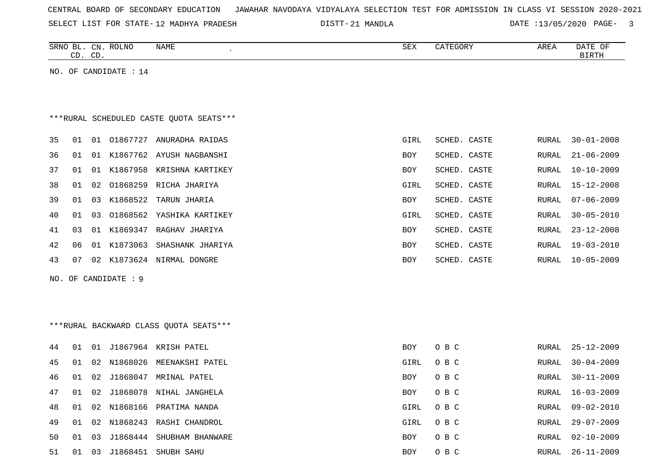| CENTRAL BOARD OF SECONDARY EDUCATION – JAWAHAR NAVODAYA VIDYALAYA SELECTION TEST FOR ADMISSION IN CLASS VI SESSION 2020-2021 |  |  |  |  |
|------------------------------------------------------------------------------------------------------------------------------|--|--|--|--|
|------------------------------------------------------------------------------------------------------------------------------|--|--|--|--|

SELECT LIST FOR STATE- DISTT- 12 MADHYA PRADESH

21 MANDLA DATE :13/05/2020 PAGE- 3

| <b>ROLNO</b><br>SRNC<br>$\mathcal{C}$ N<br>DI.<br>$\sim$ $\sim$ $\sim$ $\sim$ $\sim$ $\sim$ | <b>NAME</b> | SEX | ⊶ا ا≟ ا | AREA | OF<br>`^<br>DAIL |
|---------------------------------------------------------------------------------------------|-------------|-----|---------|------|------------------|
| $\cap$ T<br>$\lnot$<br>◡◡<br>$\sim$                                                         |             |     |         |      | ᇚᇭ               |
|                                                                                             |             |     |         |      |                  |

NO. OF CANDIDATE : 14

# \*\*\*RURAL SCHEDULED CASTE QUOTA SEATS\*\*\*

| 35 | 01 | . O 1 | 01867727 | ANURADHA RAIDAS  | GIRL       | SCHED. CASTE | RURAL | $30 - 01 - 2008$ |
|----|----|-------|----------|------------------|------------|--------------|-------|------------------|
| 36 | 01 | O 1   | K1867762 | AYUSH NAGBANSHI  | BOY        | SCHED. CASTE | RURAL | $21 - 06 - 2009$ |
| 37 | 01 | 01    | K1867958 | KRISHNA KARTIKEY | BOY        | SCHED. CASTE |       | RURAL 10-10-2009 |
| 38 | 01 | 02    | 01868259 | RICHA JHARIYA    | GIRL       | SCHED. CASTE |       | RURAL 15-12-2008 |
| 39 | 01 | 03    | K1868522 | TARUN JHARIA     | BOY        | SCHED. CASTE | RURAL | $07 - 06 - 2009$ |
| 40 | 01 | 03    | 01868562 | YASHIKA KARTIKEY | GIRL       | SCHED. CASTE | RURAL | 30-05-2010       |
| 41 | 03 | . O 1 | K1869347 | RAGHAV JHARIYA   | BOY        | SCHED. CASTE | RURAL | $23 - 12 - 2008$ |
| 42 | 06 | 01    | K1873063 | SHASHANK JHARIYA | BOY        | SCHED, CASTE | RURAL | 19-03-2010       |
| 43 | 07 | 02    | K1873624 | NIRMAL DONGRE    | <b>BOY</b> | SCHED. CASTE | RURAL | 10-05-2009       |
|    |    |       |          |                  |            |              |       |                  |

NO. OF CANDIDATE : 9

# \*\*\*RURAL BACKWARD CLASS QUOTA SEATS\*\*\*

| 44  | . O 1 |    |             | 01 J1867964 KRISH PATEL    | BOY        | O B C | RURAL | 25-12-2009       |
|-----|-------|----|-------------|----------------------------|------------|-------|-------|------------------|
| 45  | 01    |    | 02 N1868026 | MEENAKSHI PATEL            | GIRL       | O B C | RURAL | $30 - 04 - 2009$ |
| 46  | 01    |    | 02 J1868047 | MRINAL PATEL               | BOY        | O B C | RURAL | $30 - 11 - 2009$ |
| 47  | O 1   |    |             | 02 J1868078 NIHAL JANGHELA | <b>BOY</b> | O B C | RURAL | 16-03-2009       |
| 48. | 01    |    |             | 02 N1868166 PRATIMA NANDA  | GIRL       | O B C | RURAL | 09-02-2010       |
| 49  | 01    |    |             | 02 N1868243 RASHI CHANDROL | GIRL       | O B C | RURAL | 29-07-2009       |
| 50  | . O 1 | 03 | J1868444    | SHUBHAM BHANWARE           | <b>BOY</b> | O B C | RURAL | $02 - 10 - 2009$ |
| 51  | 01    | 03 | J1868451    | SHUBH SAHU                 | BOY        | O B C | RURAL | $26 - 11 - 2009$ |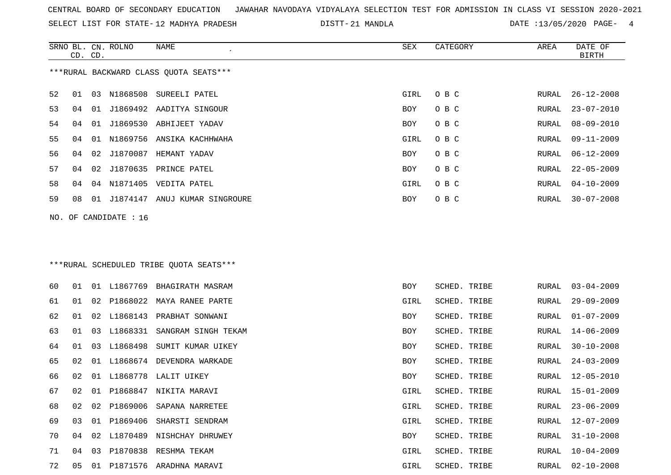SELECT LIST FOR STATE- DISTT- 12 MADHYA PRADESH

SRNO BL. CN.

ROLNO NAME SEX CATEGORY AREA DATE OF

21 MANDLA DATE :13/05/2020 PAGE- 4

|     | CD. CD.                                |    |                   |                                         |      |                     |       | <b>BIRTH</b>     |  |  |  |
|-----|----------------------------------------|----|-------------------|-----------------------------------------|------|---------------------|-------|------------------|--|--|--|
|     | ***RURAL BACKWARD CLASS QUOTA SEATS*** |    |                   |                                         |      |                     |       |                  |  |  |  |
| 52  | 01                                     | 03 | N1868508          | SUREELI PATEL                           | GIRL | O B C               | RURAL | $26 - 12 - 2008$ |  |  |  |
| 53  | 04                                     | 01 |                   | J1869492 AADITYA SINGOUR                | BOY  | O B C               | RURAL | $23 - 07 - 2010$ |  |  |  |
| 54  | 04                                     | 01 |                   | J1869530 ABHIJEET YADAV                 | BOY  | O B C               | RURAL | $08 - 09 - 2010$ |  |  |  |
| 55  | 04                                     | 01 | N1869756          | ANSIKA KACHHWAHA                        | GIRL | O B C               | RURAL | $09 - 11 - 2009$ |  |  |  |
| 56  | 04                                     | 02 |                   | J1870087 HEMANT YADAV                   | BOY  | O B C               | RURAL | $06 - 12 - 2009$ |  |  |  |
| 57  | 04                                     | 02 | J1870635          | PRINCE PATEL                            | BOY  | O B C               | RURAL | $22 - 05 - 2009$ |  |  |  |
| 58  | 04                                     | 04 | N1871405          | VEDITA PATEL                            | GIRL | O B C               | RURAL | $04 - 10 - 2009$ |  |  |  |
| 59  | 08                                     |    |                   | 01 J1874147 ANUJ KUMAR SINGROURE        | BOY  | O B C               | RURAL | $30 - 07 - 2008$ |  |  |  |
| NO. |                                        |    | OF CANDIDATE : 16 |                                         |      |                     |       |                  |  |  |  |
|     |                                        |    |                   |                                         |      |                     |       |                  |  |  |  |
|     |                                        |    |                   | ***RURAL SCHEDULED TRIBE QUOTA SEATS*** |      |                     |       |                  |  |  |  |
| 60  | 01                                     | 01 | L1867769          | BHAGIRATH MASRAM                        | BOY  | SCHED. TRIBE        | RURAL | $03 - 04 - 2009$ |  |  |  |
| 61  | 01                                     | 02 | P1868022          | MAYA RANEE PARTE                        | GIRL | SCHED. TRIBE        | RURAL | $29 - 09 - 2009$ |  |  |  |
| 62  | 01                                     | 02 | L1868143          | PRABHAT SONWANI                         | BOY  | SCHED. TRIBE        | RURAL | $01 - 07 - 2009$ |  |  |  |
| 63  | 01                                     | 03 | L1868331          | SANGRAM SINGH TEKAM                     | BOY  | SCHED. TRIBE        | RURAL | $14 - 06 - 2009$ |  |  |  |
| 64  | 01                                     | 03 | L1868498          | SUMIT KUMAR UIKEY                       | BOY  | SCHED. TRIBE        | RURAL | $30 - 10 - 2008$ |  |  |  |
| 65  | 02                                     | 01 |                   | L1868674 DEVENDRA WARKADE               | BOY  | SCHED. TRIBE        | RURAL | $24 - 03 - 2009$ |  |  |  |
| 66  | 02                                     | 01 | L1868778          | LALIT UIKEY                             | BOY  | SCHED. TRIBE        | RURAL | $12 - 05 - 2010$ |  |  |  |
| 67  | 02                                     | 01 | P1868847          | NIKITA MARAVI                           | GIRL | <b>SCHED. TRIBE</b> | RURAL | 15-01-2009       |  |  |  |
| 68  | 02                                     | 02 | P1869006          | SAPANA NARRETEE                         | GIRL | SCHED. TRIBE        | RURAL | $23 - 06 - 2009$ |  |  |  |
| 69  | 03                                     |    |                   | 01 P1869406 SHARSTI SENDRAM             | GIRL | SCHED. TRIBE        | RURAL | 12-07-2009       |  |  |  |
| 70  | 04                                     |    |                   | 02 L1870489 NISHCHAY DHRUWEY            | BOY  | SCHED. TRIBE        | RURAL | $31 - 10 - 2008$ |  |  |  |
| 71  | 04                                     | 03 |                   | P1870838 RESHMA TEKAM                   | GIRL | SCHED. TRIBE        | RURAL | $10 - 04 - 2009$ |  |  |  |
| 72  | 05                                     |    |                   | 01 P1871576 ARADHNA MARAVI              | GIRL | SCHED. TRIBE        | RURAL | $02 - 10 - 2008$ |  |  |  |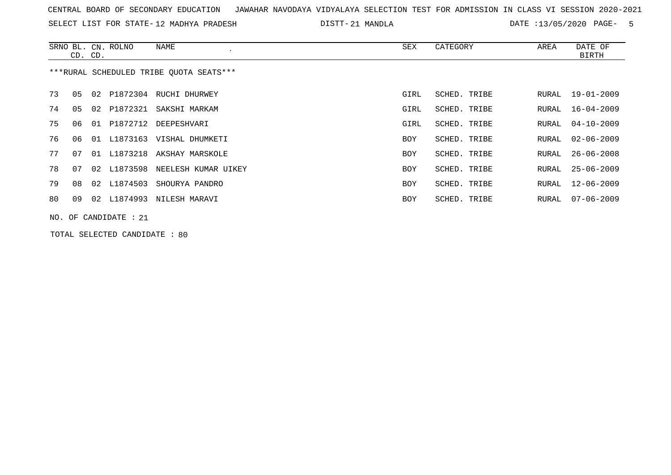SELECT LIST FOR STATE- DISTT- 12 MADHYA PRADESH

21 MANDLA DATE :13/05/2020 PAGE- 5

|                                         | CD. CD.                 |    | SRNO BL. CN. ROLNO | NAME                        | SEX  | CATEGORY     | AREA  | DATE OF<br><b>BIRTH</b> |  |  |
|-----------------------------------------|-------------------------|----|--------------------|-----------------------------|------|--------------|-------|-------------------------|--|--|
| ***RURAL SCHEDULED TRIBE OUOTA SEATS*** |                         |    |                    |                             |      |              |       |                         |  |  |
| 73                                      | 05                      |    |                    | 02 P1872304 RUCHI DHURWEY   | GIRL | SCHED. TRIBE | RURAL | $19 - 01 - 2009$        |  |  |
| 74                                      | 05                      |    | 02 P1872321        | SAKSHI MARKAM               | GIRL | SCHED. TRIBE | RURAL | $16 - 04 - 2009$        |  |  |
| 75                                      | 06                      | 01 | P1872712           | DEEPESHVARI                 | GIRL | SCHED. TRIBE | RURAL | $04 - 10 - 2009$        |  |  |
| 76                                      | 06                      | 01 |                    | L1873163 VISHAL DHUMKETI    | BOY  | SCHED. TRIBE | RURAL | $02 - 06 - 2009$        |  |  |
| 77                                      | 07                      |    |                    | 01 L1873218 AKSHAY MARSKOLE | BOY  | SCHED. TRIBE | RURAL | $26 - 06 - 2008$        |  |  |
| 78                                      | 07                      |    | 02 L1873598        | NEELESH KUMAR UIKEY         | BOY  | SCHED. TRIBE | RURAL | $25 - 06 - 2009$        |  |  |
| 79                                      | 08                      |    | 02 L1874503        | SHOURYA PANDRO              | BOY  | SCHED. TRIBE | RURAL | $12 - 06 - 2009$        |  |  |
| 80                                      | 09                      |    | 02 L1874993        | NILESH MARAVI               | BOY  | SCHED. TRIBE | RURAL | $07 - 06 - 2009$        |  |  |
|                                         | NO. OF CANDIDATE : $21$ |    |                    |                             |      |              |       |                         |  |  |

TOTAL SELECTED CANDIDATE : 80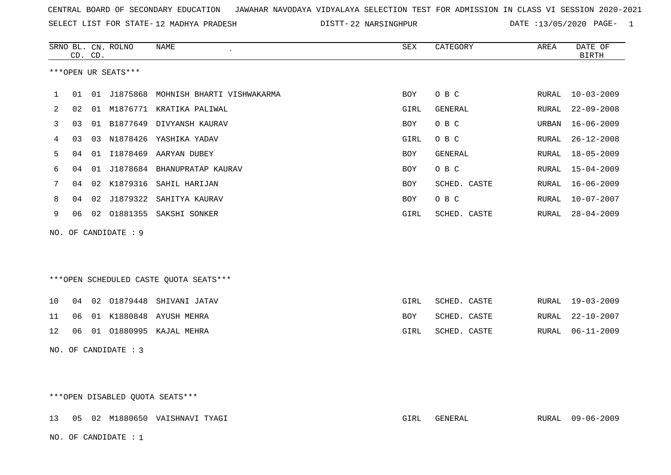SELECT LIST FOR STATE- DISTT- 12 MADHYA PRADESH

DISTT-22 NARSINGHPUR DATE :13/05/2020 PAGE- 1

|              | CD. CD.              |  | SRNO BL. CN. ROLNO | <b>NAME</b>                               | SEX  | CATEGORY     | AREA  | DATE OF<br><b>BIRTH</b> |  |  |
|--------------|----------------------|--|--------------------|-------------------------------------------|------|--------------|-------|-------------------------|--|--|
|              | ***OPEN UR SEATS***  |  |                    |                                           |      |              |       |                         |  |  |
| $\mathbf{1}$ |                      |  |                    | 01 01 J1875868 MOHNISH BHARTI VISHWAKARMA | BOY  | O B C        | RURAL | $10 - 03 - 2009$        |  |  |
| 2            | 02                   |  |                    | 01 M1876771 KRATIKA PALIWAL               | GIRL | GENERAL      | RURAL | $22 - 09 - 2008$        |  |  |
| 3            | 03                   |  |                    | 01 B1877649 DIVYANSH KAURAV               | BOY  | O B C        | URBAN | $16 - 06 - 2009$        |  |  |
| 4            | 03                   |  |                    | 03 N1878426 YASHIKA YADAV                 | GIRL | O B C        | RURAL | $26 - 12 - 2008$        |  |  |
| 5            | 04                   |  |                    | 01 I1878469 AARYAN DUBEY                  | BOY  | GENERAL      | RURAL | $18 - 05 - 2009$        |  |  |
| 6            | 04                   |  |                    | 01 J1878684 BHANUPRATAP KAURAV            | BOY  | O B C        | RURAL | $15 - 04 - 2009$        |  |  |
| 7            | 04                   |  |                    | 02 K1879316 SAHIL HARIJAN                 | BOY  | SCHED. CASTE | RURAL | $16 - 06 - 2009$        |  |  |
| 8            | 04                   |  |                    | 02 J1879322 SAHITYA KAURAV                | BOY  | O B C        | RURAL | $10 - 07 - 2007$        |  |  |
| 9            |                      |  |                    | 06 02 01881355 SAKSHI SONKER              | GIRL | SCHED. CASTE | RURAL | $28 - 04 - 2009$        |  |  |
|              | NO. OF CANDIDATE : 9 |  |                    |                                           |      |              |       |                         |  |  |
|              |                      |  |                    | ***OPEN SCHEDULED CASTE QUOTA SEATS***    |      |              |       |                         |  |  |
| 10           |                      |  |                    | 04 02 01879448 SHIVANI JATAV              | GIRL | SCHED. CASTE | RURAL | $19 - 03 - 2009$        |  |  |
| 11           | 06                   |  |                    | 01 K1880848 AYUSH MEHRA                   | BOY  | SCHED. CASTE | RURAL | $22 - 10 - 2007$        |  |  |
| 12           | 06                   |  |                    | 01 01880995 KAJAL MEHRA                   | GIRL | SCHED. CASTE | RURAL | $06 - 11 - 2009$        |  |  |
|              | NO. OF CANDIDATE : 3 |  |                    |                                           |      |              |       |                         |  |  |

\*\*\*OPEN DISABLED QUOTA SEATS\*\*\*

13 05 02 M1880650 VAISHNAVI TYAGI GIRL GENERAL RURAL 09-06-2009 NO. OF CANDIDATE : 1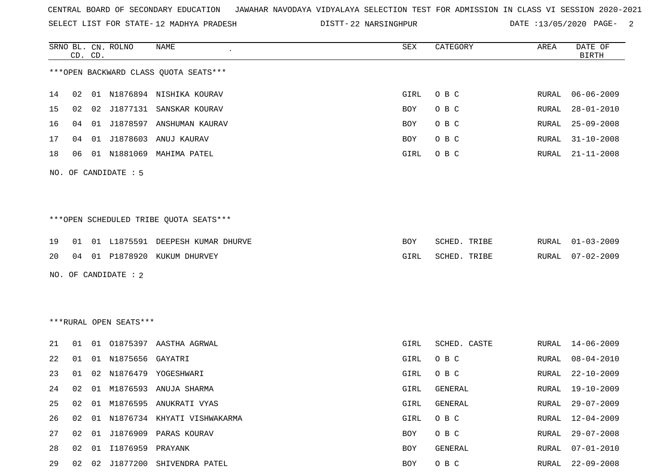SELECT LIST FOR STATE- DISTT- 12 MADHYA PRADESH

DISTT-22 NARSINGHPUR DATE :13/05/2020 PAGE- 2

|    | CD. CD.                                |  | SRNO BL. CN. ROLNO     | NAME                                   | SEX  | CATEGORY       | AREA  | DATE OF<br><b>BIRTH</b> |  |  |  |
|----|----------------------------------------|--|------------------------|----------------------------------------|------|----------------|-------|-------------------------|--|--|--|
|    | *** OPEN BACKWARD CLASS QUOTA SEATS*** |  |                        |                                        |      |                |       |                         |  |  |  |
| 14 | 02                                     |  |                        | 01 N1876894 NISHIKA KOURAV             | GIRL | O B C          | RURAL | $06 - 06 - 2009$        |  |  |  |
| 15 | 02                                     |  |                        | 02 J1877131 SANSKAR KOURAV             | BOY  | O B C          | RURAL | $28 - 01 - 2010$        |  |  |  |
| 16 | 04                                     |  |                        | 01 J1878597 ANSHUMAN KAURAV            | BOY  | O B C          | RURAL | $25 - 09 - 2008$        |  |  |  |
| 17 | 04                                     |  |                        | 01 J1878603 ANUJ KAURAV                | BOY  | O B C          | RURAL | $31 - 10 - 2008$        |  |  |  |
| 18 | 06                                     |  |                        | 01 N1881069 MAHIMA PATEL               | GIRL | O B C          | RURAL | $21 - 11 - 2008$        |  |  |  |
|    |                                        |  | NO. OF CANDIDATE : 5   |                                        |      |                |       |                         |  |  |  |
|    |                                        |  |                        |                                        |      |                |       |                         |  |  |  |
|    |                                        |  |                        | ***OPEN SCHEDULED TRIBE QUOTA SEATS*** |      |                |       |                         |  |  |  |
| 19 | 01                                     |  |                        | 01 L1875591 DEEPESH KUMAR DHURVE       | BOY  | SCHED. TRIBE   | RURAL | 01-03-2009              |  |  |  |
| 20 | 04                                     |  |                        | 01 P1878920 KUKUM DHURVEY              | GIRL | SCHED. TRIBE   | RURAL | $07 - 02 - 2009$        |  |  |  |
|    |                                        |  | NO. OF CANDIDATE : 2   |                                        |      |                |       |                         |  |  |  |
|    |                                        |  |                        |                                        |      |                |       |                         |  |  |  |
|    |                                        |  |                        |                                        |      |                |       |                         |  |  |  |
|    |                                        |  | ***RURAL OPEN SEATS*** |                                        |      |                |       |                         |  |  |  |
| 21 | 01                                     |  |                        | 01 01875397 AASTHA AGRWAL              | GIRL | SCHED. CASTE   | RURAL | $14 - 06 - 2009$        |  |  |  |
| 22 | 01                                     |  | 01 N1875656            | GAYATRI                                | GIRL | O B C          | RURAL | $08 - 04 - 2010$        |  |  |  |
| 23 | 01                                     |  |                        | 02 N1876479 YOGESHWARI                 | GIRL | O B C          | RURAL | $22 - 10 - 2009$        |  |  |  |
| 24 | 02                                     |  |                        | 01 M1876593 ANUJA SHARMA               | GIRL | <b>GENERAL</b> | RURAL | $19 - 10 - 2009$        |  |  |  |
|    |                                        |  |                        | 25 02 01 M1876595 ANUKRATI VYAS        | GIRL | GENERAL        |       | RURAL 29-07-2009        |  |  |  |
| 26 | 02                                     |  |                        | 01 N1876734 KHYATI VISHWAKARMA         | GIRL | O B C          | RURAL | $12 - 04 - 2009$        |  |  |  |
| 27 | 02                                     |  |                        | 01 J1876909 PARAS KOURAV               | BOY  | O B C          | RURAL | $29 - 07 - 2008$        |  |  |  |
| 28 | 02                                     |  | 01 I1876959 PRAYANK    |                                        | BOY  | GENERAL        | RURAL | $07 - 01 - 2010$        |  |  |  |
| 29 |                                        |  |                        | 02 02 J1877200 SHIVENDRA PATEL         | BOY  | O B C          | RURAL | $22 - 09 - 2008$        |  |  |  |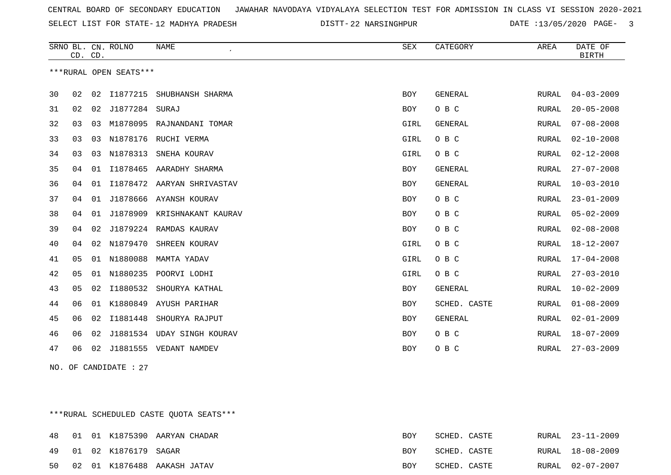SELECT LIST FOR STATE- DISTT- 12 MADHYA PRADESH

DISTT-22 NARSINGHPUR DATE :13/05/2020 PAGE- 3

|    | CD. CD. |    | SRNO BL. CN. ROLNO     | <b>NAME</b>                | ${\tt SEX}$ | CATEGORY     | AREA  | DATE OF<br><b>BIRTH</b> |
|----|---------|----|------------------------|----------------------------|-------------|--------------|-------|-------------------------|
|    |         |    | ***RURAL OPEN SEATS*** |                            |             |              |       |                         |
| 30 | 02      | 02 | I1877215               | SHUBHANSH SHARMA           | <b>BOY</b>  | GENERAL      | RURAL | $04 - 03 - 2009$        |
| 31 | 02      | 02 | J1877284 SURAJ         |                            | <b>BOY</b>  | O B C        | RURAL | $20 - 05 - 2008$        |
| 32 | 03      | 03 |                        | M1878095 RAJNANDANI TOMAR  | GIRL        | GENERAL      | RURAL | $07 - 08 - 2008$        |
| 33 | 03      | 03 |                        | N1878176 RUCHI VERMA       | GIRL        | O B C        | RURAL | $02 - 10 - 2008$        |
| 34 | 03      | 03 | N1878313               | SNEHA KOURAV               | GIRL        | O B C        | RURAL | $02 - 12 - 2008$        |
| 35 | 04      | 01 | I1878465               | AARADHY SHARMA             | BOY         | GENERAL      | RURAL | $27 - 07 - 2008$        |
| 36 | 04      | 01 |                        | I1878472 AARYAN SHRIVASTAV | BOY         | GENERAL      | RURAL | $10 - 03 - 2010$        |
| 37 | 04      | 01 | J1878666               | AYANSH KOURAV              | BOY         | O B C        | RURAL | $23 - 01 - 2009$        |
| 38 | 04      | 01 | J1878909               | KRISHNAKANT KAURAV         | BOY         | O B C        | RURAL | $05 - 02 - 2009$        |
| 39 | 04      | 02 | J1879224               | RAMDAS KAURAV              | BOY         | O B C        | RURAL | $02 - 08 - 2008$        |
| 40 | 04      | 02 | N1879470               | SHREEN KOURAV              | GIRL        | O B C        | RURAL | 18-12-2007              |
| 41 | 05      | 01 | N1880088               | MAMTA YADAV                | GIRL        | O B C        | RURAL | $17 - 04 - 2008$        |
| 42 | 05      | 01 | N1880235               | POORVI LODHI               | GIRL        | O B C        | RURAL | $27 - 03 - 2010$        |
| 43 | 05      | 02 | I1880532               | SHOURYA KATHAL             | <b>BOY</b>  | GENERAL      | RURAL | $10 - 02 - 2009$        |
| 44 | 06      | 01 | K1880849               | AYUSH PARIHAR              | <b>BOY</b>  | SCHED. CASTE | RURAL | $01 - 08 - 2009$        |
| 45 | 06      | 02 | I1881448               | SHOURYA RAJPUT             | BOY         | GENERAL      | RURAL | $02 - 01 - 2009$        |
| 46 | 06      | 02 | J1881534               | <b>UDAY SINGH KOURAV</b>   | BOY         | O B C        | RURAL | $18 - 07 - 2009$        |
| 47 | 06      | 02 | J1881555               | VEDANT NAMDEV              | <b>BOY</b>  | O B C        | RURAL | $27 - 03 - 2009$        |

NO. OF CANDIDATE : 27

\*\*\*RURAL SCHEDULED CASTE QUOTA SEATS\*\*\*

|  |                         | 48 01 01 K1875390 AARYAN CHADAR | BOY | SCHED. CASTE | RURAL 23-11-2009 |
|--|-------------------------|---------------------------------|-----|--------------|------------------|
|  | 49 01 02 K1876179 SAGAR |                                 | BOY | SCHED, CASTE | RURAL 18-08-2009 |
|  |                         | 50 02 01 K1876488 AAKASH JATAV  | BOY | SCHED. CASTE | RURAL 02-07-2007 |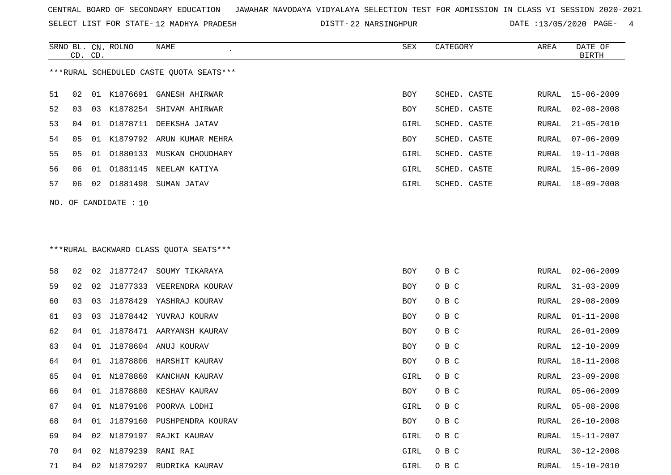SELECT LIST FOR STATE- DISTT- 12 MADHYA PRADESH

DISTT-22 NARSINGHPUR DATE :13/05/2020 PAGE- 4

|    | CD. CD. |    | SRNO BL. CN. ROLNO    | NAME                                    | SEX        | CATEGORY     | AREA  | DATE OF<br><b>BIRTH</b> |
|----|---------|----|-----------------------|-----------------------------------------|------------|--------------|-------|-------------------------|
|    |         |    |                       | ***RURAL SCHEDULED CASTE QUOTA SEATS*** |            |              |       |                         |
| 51 | 02      |    |                       | 01 K1876691 GANESH AHIRWAR              | BOY        | SCHED. CASTE | RURAL | 15-06-2009              |
| 52 | 03      |    |                       | 03 K1878254 SHIVAM AHIRWAR              | BOY        | SCHED. CASTE | RURAL | $02 - 08 - 2008$        |
| 53 | 04      | 01 | 01878711              | DEEKSHA JATAV                           | GIRL       | SCHED. CASTE | RURAL | $21 - 05 - 2010$        |
| 54 | 05      | 01 |                       | K1879792 ARUN KUMAR MEHRA               | BOY        | SCHED. CASTE | RURAL | $07 - 06 - 2009$        |
| 55 | 05      | 01 |                       | 01880133 MUSKAN CHOUDHARY               | GIRL       | SCHED. CASTE | RURAL | $19 - 11 - 2008$        |
| 56 | 06      | 01 | 01881145              | NEELAM KATIYA                           | GIRL       | SCHED. CASTE | RURAL | $15 - 06 - 2009$        |
| 57 | 06      | 02 |                       | 01881498 SUMAN JATAV                    | GIRL       | SCHED. CASTE | RURAL | 18-09-2008              |
|    |         |    | NO. OF CANDIDATE : 10 |                                         |            |              |       |                         |
|    |         |    |                       |                                         |            |              |       |                         |
|    |         |    |                       |                                         |            |              |       |                         |
|    |         |    |                       | *** RURAL BACKWARD CLASS QUOTA SEATS*** |            |              |       |                         |
| 58 | 02      | 02 |                       | J1877247 SOUMY TIKARAYA                 | BOY        | O B C        | RURAL | 02-06-2009              |
| 59 | 02      | 02 |                       | J1877333 VEERENDRA KOURAV               | BOY        | O B C        | RURAL | $31 - 03 - 2009$        |
| 60 | 03      | 03 | J1878429              | YASHRAJ KOURAV                          | <b>BOY</b> | O B C        | RURAL | $29 - 08 - 2009$        |
| 61 | 03      | 03 | J1878442              | YUVRAJ KOURAV                           | BOY        | O B C        | RURAL | $01 - 11 - 2008$        |
| 62 | 04      | 01 |                       | J1878471 AARYANSH KAURAV                | BOY        | O B C        | RURAL | $26 - 01 - 2009$        |
| 63 | 04      | 01 |                       | J1878604 ANUJ KOURAV                    | BOY        | O B C        | RURAL | $12 - 10 - 2009$        |
| 64 | 04      | 01 | J1878806              | HARSHIT KAURAV                          | BOY        | O B C        | RURAL | 18-11-2008              |
| 65 | 04      | 01 | N1878860              | KANCHAN KAURAV                          | GIRL       | O B C        | RURAL | $23 - 09 - 2008$        |
| 66 | 04      |    |                       | 01 J1878880 KESHAV KAURAV               | BOY        | O B C        | RURAL | $05 - 06 - 2009$        |
| 67 | 04      |    |                       | 01 N1879106 POORVA LODHI                | GIRL       | O B C        | RURAL | $05 - 08 - 2008$        |
| 68 | 04      |    |                       | 01 J1879160 PUSHPENDRA KOURAV           | <b>BOY</b> | O B C        | RURAL | $26 - 10 - 2008$        |
| 69 | 04      | 02 |                       | N1879197 RAJKI KAURAV                   | GIRL       | O B C        | RURAL | 15-11-2007              |
| 70 | 04      | 02 | N1879239 RANI RAI     |                                         | GIRL       | O B C        | RURAL | 30-12-2008              |
| 71 |         |    |                       | 04 02 N1879297 RUDRIKA KAURAV           | GIRL       | O B C        |       | RURAL 15-10-2010        |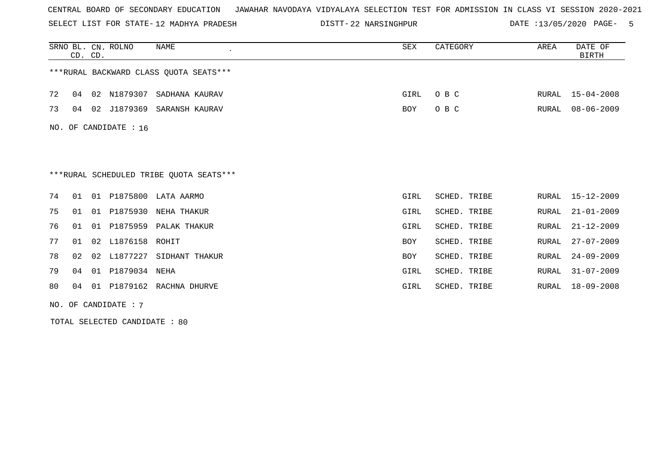SELECT LIST FOR STATE- DISTT- 12 MADHYA PRADESH

DISTT-22 NARSINGHPUR DATE :13/05/2020 PAGE- 5

|    | CD. CD. |    | SRNO BL. CN. ROLNO    | NAME                                    | SEX        | CATEGORY     | AREA  | DATE OF<br><b>BIRTH</b> |
|----|---------|----|-----------------------|-----------------------------------------|------------|--------------|-------|-------------------------|
|    |         |    |                       | ***RURAL BACKWARD CLASS OUOTA SEATS***  |            |              |       |                         |
| 72 | 04      | 02 | N1879307              | SADHANA KAURAV                          | GIRL       | O B C        | RURAL | $15 - 04 - 2008$        |
| 73 | 04      | 02 | J1879369              | SARANSH KAURAV                          | <b>BOY</b> | O B C        | RURAL | $08 - 06 - 2009$        |
|    |         |    | NO. OF CANDIDATE : 16 |                                         |            |              |       |                         |
|    |         |    |                       |                                         |            |              |       |                         |
|    |         |    |                       | ***RURAL SCHEDULED TRIBE QUOTA SEATS*** |            |              |       |                         |
| 74 | 01      | 01 |                       | P1875800 LATA AARMO                     | GIRL       | SCHED. TRIBE | RURAL | 15-12-2009              |
| 75 | 01      | 01 | P1875930              | NEHA THAKUR                             | GIRL       | SCHED. TRIBE | RURAL | $21 - 01 - 2009$        |
| 76 | 01      | 01 | P1875959              | PALAK THAKUR                            | GIRL       | SCHED. TRIBE | RURAL | $21 - 12 - 2009$        |
| 77 | 01      | 02 | L1876158              | ROHIT                                   | <b>BOY</b> | SCHED. TRIBE | RURAL | $27 - 07 - 2009$        |
| 78 | 02      | 02 | L1877227              | SIDHANT THAKUR                          | <b>BOY</b> | SCHED. TRIBE | RURAL | $24 - 09 - 2009$        |
| 79 | 04      | 01 | P1879034 NEHA         |                                         | GIRL       | SCHED. TRIBE | RURAL | $31 - 07 - 2009$        |
| 80 | 04      | 01 |                       | P1879162 RACHNA DHURVE                  | GIRL       | SCHED. TRIBE | RURAL | $18 - 09 - 2008$        |
|    |         |    | NO. OF CANDIDATE : 7  |                                         |            |              |       |                         |

TOTAL SELECTED CANDIDATE : 80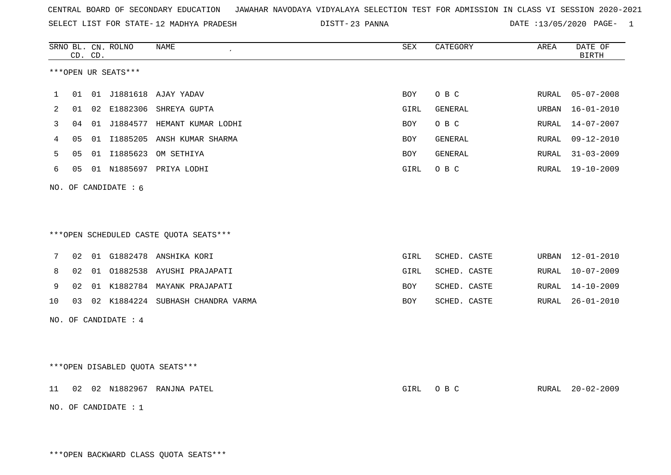SELECT LIST FOR STATE- DISTT- 12 MADHYA PRADESH

23 PANNA DATE :13/05/2020 PAGE- 1

|    |    | CD. CD. | SRNO BL. CN. ROLNO              | <b>NAME</b>                            | SEX        | CATEGORY       | AREA          | DATE OF<br><b>BIRTH</b> |
|----|----|---------|---------------------------------|----------------------------------------|------------|----------------|---------------|-------------------------|
|    |    |         | ***OPEN UR SEATS***             |                                        |            |                |               |                         |
| 1  | 01 |         |                                 | 01 J1881618 AJAY YADAV                 | <b>BOY</b> | O B C          | ${\tt RURAL}$ | $05 - 07 - 2008$        |
| 2  | 01 |         |                                 | 02 E1882306 SHREYA GUPTA               | GIRL       | GENERAL        | URBAN         | $16 - 01 - 2010$        |
| 3  | 04 |         |                                 | 01 J1884577 HEMANT KUMAR LODHI         | BOY        | O B C          | RURAL         | $14 - 07 - 2007$        |
| 4  | 05 |         |                                 | 01 I1885205 ANSH KUMAR SHARMA          | <b>BOY</b> | <b>GENERAL</b> | RURAL         | $09 - 12 - 2010$        |
| 5  | 05 |         |                                 | 01 I1885623 OM SETHIYA                 | BOY        | GENERAL        | RURAL         | $31 - 03 - 2009$        |
| 6  | 05 |         |                                 | 01 N1885697 PRIYA LODHI                | GIRL       | O B C          | RURAL         | $19 - 10 - 2009$        |
|    |    |         | NO. OF CANDIDATE : 6            |                                        |            |                |               |                         |
|    |    |         |                                 |                                        |            |                |               |                         |
|    |    |         |                                 |                                        |            |                |               |                         |
|    |    |         |                                 | ***OPEN SCHEDULED CASTE QUOTA SEATS*** |            |                |               |                         |
| 7  | 02 |         |                                 | 01 G1882478 ANSHIKA KORI               | GIRL       | SCHED. CASTE   | URBAN         | $12 - 01 - 2010$        |
| 8  | 02 | 01      |                                 | 01882538 AYUSHI PRAJAPATI              | GIRL       | SCHED. CASTE   | RURAL         | $10 - 07 - 2009$        |
| 9  | 02 |         |                                 | 01 K1882784 MAYANK PRAJAPATI           | BOY        | SCHED. CASTE   | RURAL         | $14 - 10 - 2009$        |
| 10 | 03 |         |                                 | 02 K1884224 SUBHASH CHANDRA VARMA      | BOY        | SCHED. CASTE   | RURAL         | $26 - 01 - 2010$        |
|    |    |         | NO. OF CANDIDATE : $4$          |                                        |            |                |               |                         |
|    |    |         |                                 |                                        |            |                |               |                         |
|    |    |         |                                 |                                        |            |                |               |                         |
|    |    |         | ***OPEN DISABLED QUOTA SEATS*** |                                        |            |                |               |                         |
| 11 | 02 |         |                                 | 02 N1882967 RANJNA PATEL               | GIRL       | O B C          | RURAL         | $20 - 02 - 2009$        |
|    |    |         | NO. OF CANDIDATE : 1            |                                        |            |                |               |                         |

\*\*\*OPEN BACKWARD CLASS QUOTA SEATS\*\*\*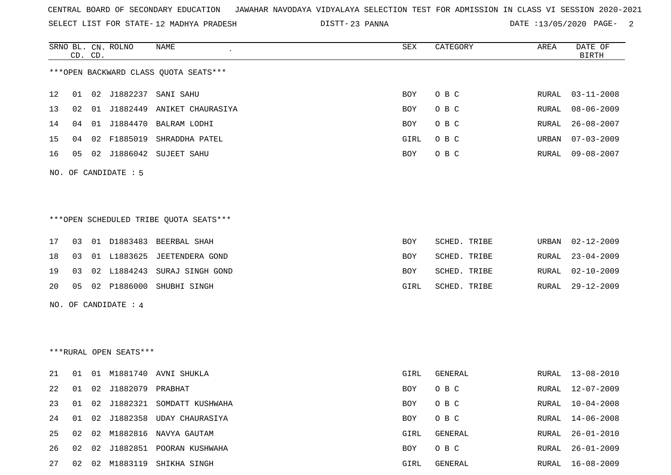SELECT LIST FOR STATE- DISTT- 12 MADHYA PRADESH

23 PANNA DATE :13/05/2020 PAGE- 2

RURAL 26-01-2010

RURAL 26-01-2009

|    | CD. CD. | SRNO BL. CN. ROLNO     | NAME                                   | SEX        | CATEGORY     | AREA  | DATE OF<br><b>BIRTH</b> |
|----|---------|------------------------|----------------------------------------|------------|--------------|-------|-------------------------|
|    |         |                        | *** OPEN BACKWARD CLASS QUOTA SEATS*** |            |              |       |                         |
| 12 | 01      | 02 J1882237            | SANI SAHU                              | <b>BOY</b> | O B C        | RURAL | $03 - 11 - 2008$        |
| 13 | 02      |                        | 01 J1882449 ANIKET CHAURASIYA          | BOY        | O B C        | RURAL | $08 - 06 - 2009$        |
| 14 | 04      |                        | 01 J1884470 BALRAM LODHI               | <b>BOY</b> | O B C        | RURAL | $26 - 08 - 2007$        |
| 15 | 04      |                        | 02 F1885019 SHRADDHA PATEL             | GIRL       | O B C        | URBAN | $07 - 03 - 2009$        |
| 16 | 05      |                        | 02 J1886042 SUJEET SAHU                | <b>BOY</b> | O B C        | RURAL | $09 - 08 - 2007$        |
|    |         | NO. OF CANDIDATE : 5   |                                        |            |              |       |                         |
|    |         |                        | ***OPEN SCHEDULED TRIBE QUOTA SEATS*** |            |              |       |                         |
| 17 | 03      |                        | 01 D1883483 BEERBAL SHAH               | <b>BOY</b> | SCHED. TRIBE | URBAN | $02 - 12 - 2009$        |
| 18 | 03      |                        | 01 L1883625 JEETENDERA GOND            | BOY        | SCHED. TRIBE | RURAL | $23 - 04 - 2009$        |
| 19 | 03      |                        | 02 L1884243 SURAJ SINGH GOND           | <b>BOY</b> | SCHED. TRIBE | RURAL | $02 - 10 - 2009$        |
| 20 | 05      |                        | 02 P1886000 SHUBHI SINGH               | GIRL       | SCHED. TRIBE | RURAL | $29 - 12 - 2009$        |
|    |         | NO. OF CANDIDATE : 4   |                                        |            |              |       |                         |
|    |         |                        |                                        |            |              |       |                         |
|    |         | ***RURAL OPEN SEATS*** |                                        |            |              |       |                         |
| 21 | 01      |                        | 01 M1881740 AVNI SHUKLA                | GIRL       | GENERAL      |       | RURAL 13-08-2010        |
| 22 | 01      | 02 J1882079 PRABHAT    |                                        | <b>BOY</b> | O B C        | RURAL | $12 - 07 - 2009$        |
| 23 | 01      |                        | 02 J1882321 SOMDATT KUSHWAHA           | BOY        | O B C        | RURAL | $10 - 04 - 2008$        |
| 24 | 01      | 02 J1882358            | UDAY CHAURASIYA                        | <b>BOY</b> | O B C        | RURAL | $14 - 06 - 2008$        |

27 02 02 M1883119 SHIKHA SINGH GIRL GENERAL RURAL 16-08-2009

25 02 02 M1882816 NAVYA GAUTAM GIRL GENERAL RURAL 26-01-2010

26 02 02 J1882851 POORAN KUSHWAHA BOY O B C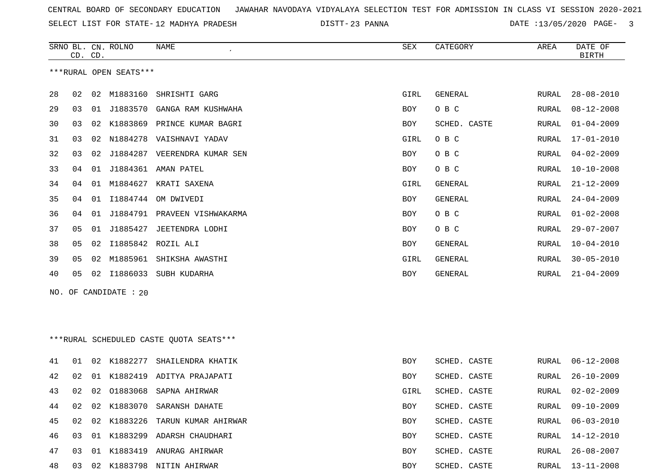SELECT LIST FOR STATE- DISTT- 12 MADHYA PRADESH

23 PANNA DATE :13/05/2020 PAGE- 3

|    |    | CD. CD. | SRNO BL. CN. ROLNO     | <b>NAME</b>                              | SEX  | CATEGORY       | AREA  | DATE OF<br><b>BIRTH</b> |
|----|----|---------|------------------------|------------------------------------------|------|----------------|-------|-------------------------|
|    |    |         | ***RURAL OPEN SEATS*** |                                          |      |                |       |                         |
| 28 | 02 | 02      | M1883160               | SHRISHTI GARG                            | GIRL | <b>GENERAL</b> | RURAL | $28 - 08 - 2010$        |
| 29 | 03 | 01      | J1883570               | GANGA RAM KUSHWAHA                       | BOY  | O B C          | RURAL | $08 - 12 - 2008$        |
| 30 | 03 | 02      | K1883869               | PRINCE KUMAR BAGRI                       | BOY  | SCHED. CASTE   | RURAL | $01 - 04 - 2009$        |
| 31 | 03 | 02      | N1884278               | VAISHNAVI YADAV                          | GIRL | O B C          | RURAL | $17 - 01 - 2010$        |
| 32 | 03 | 02      | J1884287               | VEERENDRA KUMAR SEN                      | BOY  | O B C          | RURAL | $04 - 02 - 2009$        |
| 33 | 04 | 01      | J1884361               | AMAN PATEL                               | BOY  | O B C          | RURAL | $10 - 10 - 2008$        |
| 34 | 04 | 01      | M1884627               | KRATI SAXENA                             | GIRL | GENERAL        | RURAL | $21 - 12 - 2009$        |
| 35 | 04 | 01      | I1884744               | OM DWIVEDI                               | BOY  | <b>GENERAL</b> | RURAL | $24 - 04 - 2009$        |
| 36 | 04 | 01      | J1884791               | PRAVEEN VISHWAKARMA                      | BOY  | O B C          | RURAL | $01 - 02 - 2008$        |
| 37 | 05 | 01      | J1885427               | JEETENDRA LODHI                          | BOY  | O B C          | RURAL | $29 - 07 - 2007$        |
| 38 | 05 | 02      | I1885842               | ROZIL ALI                                | BOY  | <b>GENERAL</b> | RURAL | $10 - 04 - 2010$        |
| 39 | 05 | 02      | M1885961               | SHIKSHA AWASTHI                          | GIRL | GENERAL        | RURAL | $30 - 05 - 2010$        |
| 40 | 05 | 02      | I1886033               | SUBH KUDARHA                             | BOY  | GENERAL        | RURAL | $21 - 04 - 2009$        |
|    |    |         | NO. OF CANDIDATE : 20  |                                          |      |                |       |                         |
|    |    |         |                        |                                          |      |                |       |                         |
|    |    |         |                        |                                          |      |                |       |                         |
|    |    |         |                        | *** RURAL SCHEDULED CASTE QUOTA SEATS*** |      |                |       |                         |
| 41 | 01 | 02      | K1882277               | SHAILENDRA KHATIK                        | BOY  | SCHED. CASTE   | RURAL | $06 - 12 - 2008$        |
| 42 | 02 | 01      | K1882419               | ADITYA PRAJAPATI                         | BOY  | SCHED. CASTE   | RURAL | $26 - 10 - 2009$        |
| 43 | 02 | 02      | 01883068               | SAPNA AHIRWAR                            | GIRL | SCHED. CASTE   | RURAL | $02 - 02 - 2009$        |
| 44 | 02 |         |                        | 02 K1883070 SARANSH DAHATE               | BOY  | SCHED. CASTE   |       | RURAL 09-10-2009        |
| 45 | 02 |         | 02 K1883226            | TARUN KUMAR AHIRWAR                      | BOY  | SCHED. CASTE   | RURAL | $06 - 03 - 2010$        |
| 46 | 03 |         |                        | 01 K1883299 ADARSH CHAUDHARI             | BOY  | SCHED. CASTE   | RURAL | 14-12-2010              |
| 47 | 03 |         |                        | 01 K1883419 ANURAG AHIRWAR               | BOY  | SCHED. CASTE   |       | RURAL 26-08-2007        |

03 02 K1883798 NITIN AHIRWAR BOY SCHED. CASTE RURAL 13-11-2008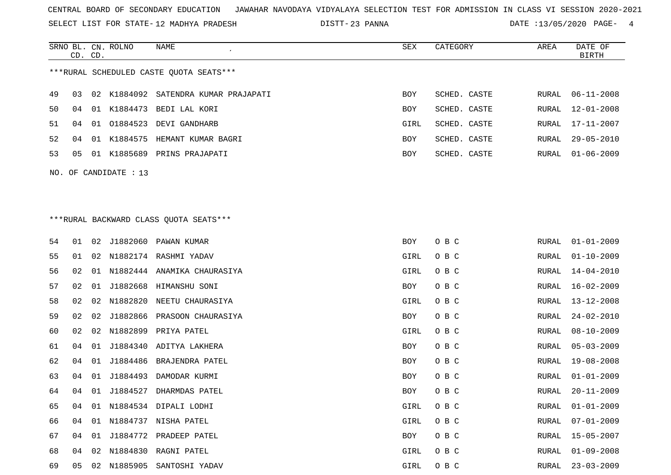SELECT LIST FOR STATE- DISTT- 12 MADHYA PRADESH

SRNO BL. CN.

ROLNO NAME SEX CATEGORY AREA DATE OF

23 PANNA DATE :13/05/2020 PAGE- 4

|    | CD. CD.                                 |    |                       |                                         |      |              |       | <b>BIRTH</b>     |  |  |  |  |  |  |
|----|-----------------------------------------|----|-----------------------|-----------------------------------------|------|--------------|-------|------------------|--|--|--|--|--|--|
|    | ***RURAL SCHEDULED CASTE QUOTA SEATS*** |    |                       |                                         |      |              |       |                  |  |  |  |  |  |  |
| 49 | 03                                      | 02 |                       | K1884092 SATENDRA KUMAR PRAJAPATI       | BOY  | SCHED. CASTE | RURAL | $06 - 11 - 2008$ |  |  |  |  |  |  |
| 50 | 04                                      | 01 |                       | K1884473 BEDI LAL KORI                  | BOY  | SCHED. CASTE | RURAL | $12 - 01 - 2008$ |  |  |  |  |  |  |
| 51 | 04                                      | 01 |                       | 01884523 DEVI GANDHARB                  | GIRL | SCHED. CASTE | RURAL | 17-11-2007       |  |  |  |  |  |  |
| 52 | 04                                      |    | 01 K1884575           | HEMANT KUMAR BAGRI                      | BOY  | SCHED. CASTE | RURAL | $29 - 05 - 2010$ |  |  |  |  |  |  |
| 53 | 05                                      |    |                       | 01 K1885689 PRINS PRAJAPATI             | BOY  | SCHED. CASTE | RURAL | $01 - 06 - 2009$ |  |  |  |  |  |  |
|    |                                         |    | NO. OF CANDIDATE : 13 |                                         |      |              |       |                  |  |  |  |  |  |  |
|    |                                         |    |                       |                                         |      |              |       |                  |  |  |  |  |  |  |
|    |                                         |    |                       |                                         |      |              |       |                  |  |  |  |  |  |  |
|    |                                         |    |                       | *** RURAL BACKWARD CLASS QUOTA SEATS*** |      |              |       |                  |  |  |  |  |  |  |
|    |                                         |    |                       |                                         |      |              |       |                  |  |  |  |  |  |  |
| 54 | 01                                      | 02 |                       | J1882060 PAWAN KUMAR                    | BOY  | O B C        | RURAL | $01 - 01 - 2009$ |  |  |  |  |  |  |
| 55 | 01                                      | 02 |                       | N1882174 RASHMI YADAV                   | GIRL | O B C        | RURAL | $01 - 10 - 2009$ |  |  |  |  |  |  |
| 56 | 02                                      | 01 |                       | N1882444 ANAMIKA CHAURASIYA             | GIRL | O B C        | RURAL | $14 - 04 - 2010$ |  |  |  |  |  |  |
| 57 | 02                                      | 01 |                       | J1882668 HIMANSHU SONI                  | BOY  | O B C        | RURAL | 16-02-2009       |  |  |  |  |  |  |
| 58 | 02                                      | 02 | N1882820              | NEETU CHAURASIYA                        | GIRL | O B C        | RURAL | $13 - 12 - 2008$ |  |  |  |  |  |  |
| 59 | 02                                      | 02 | J1882866              | PRASOON CHAURASIYA                      | BOY  | O B C        | RURAL | $24 - 02 - 2010$ |  |  |  |  |  |  |
| 60 | 02                                      | 02 | N1882899              | PRIYA PATEL                             | GIRL | O B C        | RURAL | $08 - 10 - 2009$ |  |  |  |  |  |  |
| 61 | 04                                      | 01 | J1884340              | ADITYA LAKHERA                          | BOY  | O B C        | RURAL | $05 - 03 - 2009$ |  |  |  |  |  |  |
| 62 | 04                                      | 01 | J1884486              | BRAJENDRA PATEL                         | BOY  | O B C        | RURAL | $19 - 08 - 2008$ |  |  |  |  |  |  |
| 63 | 04                                      | 01 | J1884493              | DAMODAR KURMI                           | BOY  | O B C        | RURAL | $01 - 01 - 2009$ |  |  |  |  |  |  |
| 64 | 04                                      | 01 |                       | J1884527 DHARMDAS PATEL                 | BOY  | O B C        | RURAL | $20 - 11 - 2009$ |  |  |  |  |  |  |
| 65 | 04                                      |    |                       | 01 N1884534 DIPALI LODHI                | GIRL | O B C        | RURAL | $01 - 01 - 2009$ |  |  |  |  |  |  |
| 66 |                                         |    |                       | 04 01 N1884737 NISHA PATEL              | GIRL | O B C        |       | RURAL 07-01-2009 |  |  |  |  |  |  |
| 67 | 04                                      |    |                       | 01 J1884772 PRADEEP PATEL               | BOY  | O B C        | RURAL | 15-05-2007       |  |  |  |  |  |  |
| 68 | 04                                      | 02 | N1884830              | RAGNI PATEL                             | GIRL | O B C        | RURAL | $01 - 09 - 2008$ |  |  |  |  |  |  |
| 69 | 05                                      | 02 | N1885905              | SANTOSHI YADAV                          | GIRL | O B C        | RURAL | $23 - 03 - 2009$ |  |  |  |  |  |  |
|    |                                         |    |                       |                                         |      |              |       |                  |  |  |  |  |  |  |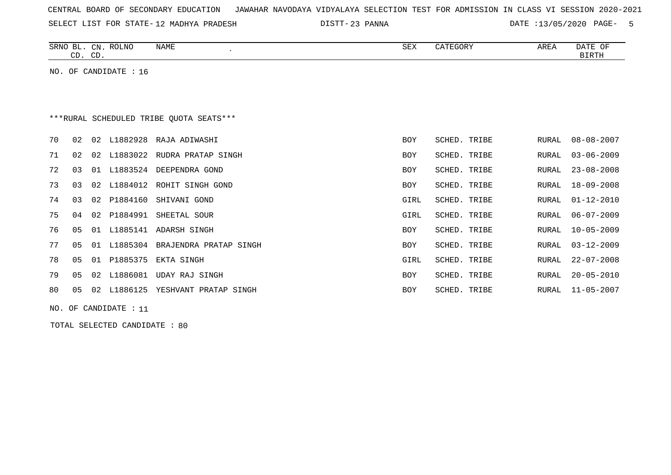| CENTRAL BOARD OF SECONDARY EDUCATION – JAWAHAR NAVODAYA VIDYALAYA SELECTION TEST FOR ADMISSION IN CLASS VI SESSION 2020-2021 |  |  |  |  |
|------------------------------------------------------------------------------------------------------------------------------|--|--|--|--|
|------------------------------------------------------------------------------------------------------------------------------|--|--|--|--|

SELECT LIST FOR STATE-12 MADHYA PRADESH

12 MADHYA PRADESH 23 PANNA DATE :13/05/2020 PAGE- 5

| <b>ROLNO</b><br>SRNO BL.<br>NAME<br>CN.<br>$\cap$<br>CD.<br>، ب | SEX | CATEGORY | AREA | DATE OF<br><b>BIRTH</b> |
|-----------------------------------------------------------------|-----|----------|------|-------------------------|
| NO.<br>CANDIDATE : 16<br>OF                                     |     |          |      |                         |

# \*\*\*RURAL SCHEDULED TRIBE QUOTA SEATS\*\*\*

| 70 |    |    | 02 02 L1882928 | RAJA ADIWASHI            | BOY        | SCHED. TRIBE | RURAL | 08-08-2007       |
|----|----|----|----------------|--------------------------|------------|--------------|-------|------------------|
| 71 | 02 | 02 | L1883022       | RUDRA PRATAP SINGH       | <b>BOY</b> | SCHED. TRIBE | RURAL | $03 - 06 - 2009$ |
| 72 | 03 | 01 | L1883524       | DEEPENDRA GOND           | BOY        | SCHED. TRIBE | RURAL | 23-08-2008       |
| 73 | 03 |    | 02 L1884012    | ROHIT SINGH GOND         | <b>BOY</b> | SCHED. TRIBE | RURAL | 18-09-2008       |
| 74 | 03 |    | 02 P1884160    | SHIVANI GOND             | GIRL       | SCHED. TRIBE | RURAL | 01-12-2010       |
| 75 | 04 | 02 | P1884991       | SHEETAL SOUR             | GIRL       | SCHED. TRIBE | RURAL | $06 - 07 - 2009$ |
| 76 | 05 |    |                | 01 L1885141 ADARSH SINGH | BOY        | SCHED. TRIBE | RURAL | 10-05-2009       |
| 77 | 05 | 01 | L1885304       | BRAJENDRA PRATAP SINGH   | <b>BOY</b> | SCHED. TRIBE | RURAL | $03 - 12 - 2009$ |
| 78 | 05 | 01 | P1885375       | EKTA SINGH               | GIRL       | SCHED. TRIBE | RURAL | $22 - 07 - 2008$ |
| 79 | 05 | 02 | L1886081       | UDAY RAJ SINGH           | BOY        | SCHED. TRIBE | RURAL | $20 - 05 - 2010$ |
| 80 | 05 | 02 | L1886125       | YESHVANT PRATAP SINGH    | BOY        | SCHED. TRIBE | RURAL | 11-05-2007       |

NO. OF CANDIDATE : 11

TOTAL SELECTED CANDIDATE : 80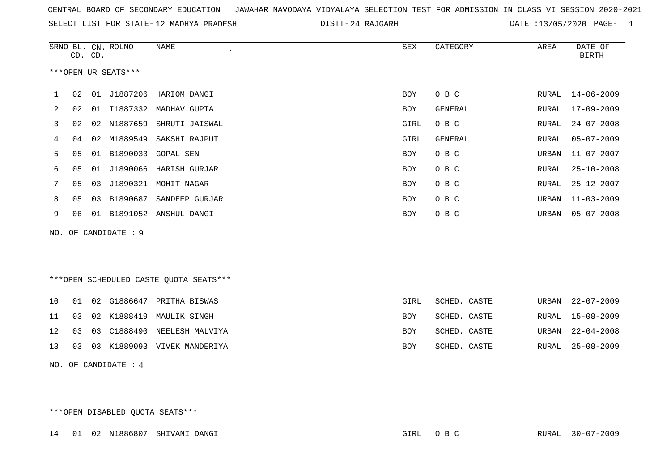| CENTRAL BOARD OF SECONDARY EDUCATION GUNAHAR NAVODAYA VIDYALAYA SELECTION TEST FOR ADMISSION IN CLASS VI SESSION 2020-2021 |  |  |  |
|----------------------------------------------------------------------------------------------------------------------------|--|--|--|
|----------------------------------------------------------------------------------------------------------------------------|--|--|--|

SELECT LIST FOR STATE-12 MADHYA PRADESH

12 MADHYA PRADESH 24 RAJGARH DATE :13/05/2020 PAGE- 1

|     |                | CD. CD. | SRNO BL. CN. ROLNO   | <b>NAME</b>                             | SEX        | CATEGORY     | AREA  | DATE OF<br><b>BIRTH</b> |
|-----|----------------|---------|----------------------|-----------------------------------------|------------|--------------|-------|-------------------------|
|     |                |         | ***OPEN UR SEATS***  |                                         |            |              |       |                         |
| 1   | 02             |         |                      | 01 J1887206 HARIOM DANGI                | BOY        | O B C        |       | RURAL 14-06-2009        |
| 2   | 02             |         |                      | 01 I1887332 MADHAV GUPTA                | BOY        | GENERAL      | RURAL | $17 - 09 - 2009$        |
| 3   | 02             | 02      | N1887659             | SHRUTI JAISWAL                          | GIRL       | O B C        | RURAL | $24 - 07 - 2008$        |
| 4   | 04             | 02      | M1889549             | SAKSHI RAJPUT                           | GIRL       | GENERAL      | RURAL | $05 - 07 - 2009$        |
| 5   | 05             | 01      | B1890033             | GOPAL SEN                               | <b>BOY</b> | O B C        | URBAN | $11 - 07 - 2007$        |
| 6   | 05             | 01      | J1890066             | HARISH GURJAR                           | <b>BOY</b> | O B C        | RURAL | $25 - 10 - 2008$        |
| 7   | 05             | 03      | J1890321             | MOHIT NAGAR                             | BOY        | O B C        | RURAL | $25 - 12 - 2007$        |
| 8   | 0 <sub>5</sub> | 03      | B1890687             | SANDEEP GURJAR                          | BOY        | O B C        | URBAN | $11 - 03 - 2009$        |
| 9   | 06             |         |                      | 01 B1891052 ANSHUL DANGI                | <b>BOY</b> | O B C        | URBAN | $05 - 07 - 2008$        |
| NO. |                |         | OF CANDIDATE : 9     |                                         |            |              |       |                         |
|     |                |         |                      |                                         |            |              |       |                         |
|     |                |         |                      |                                         |            |              |       |                         |
|     |                |         |                      | *** OPEN SCHEDULED CASTE QUOTA SEATS*** |            |              |       |                         |
| 10  | 01             |         |                      | 02 G1886647 PRITHA BISWAS               | GIRL       | SCHED. CASTE | URBAN | $22 - 07 - 2009$        |
| 11  | 03             | 02      |                      | K1888419 MAULIK SINGH                   | BOY        | SCHED. CASTE | RURAL | $15 - 08 - 2009$        |
| 12  | 03             | 03      | C1888490             | NEELESH MALVIYA                         | <b>BOY</b> | SCHED. CASTE | URBAN | $22 - 04 - 2008$        |
| 13  | 03             | 03      |                      | K1889093 VIVEK MANDERIYA                | <b>BOY</b> | SCHED. CASTE | RURAL | $25 - 08 - 2009$        |
|     |                |         | NO. OF CANDIDATE : 4 |                                         |            |              |       |                         |

\*\*\*OPEN DISABLED QUOTA SEATS\*\*\*

14 01 02 N1886807 SHIVANI DANGI GIRL O B C RURAL 30-07-2009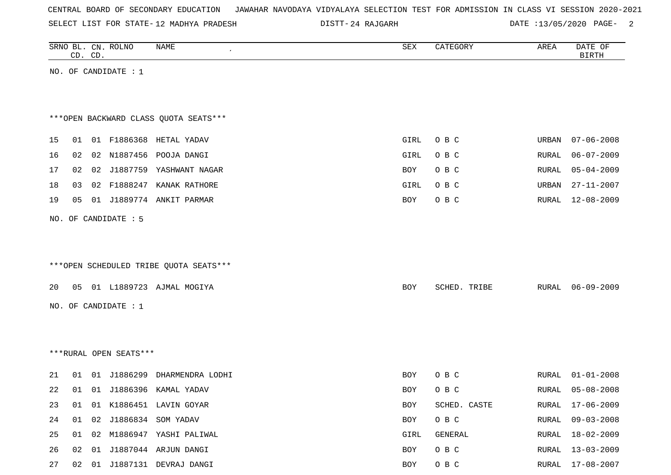|  |  |  |  | CENTRAL BOARD OF SECONDARY EDUCATION – JAWAHAR NAVODAYA VIDYALAYA SELECTION TEST FOR ADMISSION IN CLASS VI SESSION 2020-2021 |  |  |  |  |  |  |  |  |  |  |  |  |
|--|--|--|--|------------------------------------------------------------------------------------------------------------------------------|--|--|--|--|--|--|--|--|--|--|--|--|
|--|--|--|--|------------------------------------------------------------------------------------------------------------------------------|--|--|--|--|--|--|--|--|--|--|--|--|

SELECT LIST FOR STATE- DISTT- 12 MADHYA PRADESH

DISTT-24 RAJGARH DATE :13/05/2020 PAGE- 2

| SRNO BL. CN. ROLNO | CD. CD. |                        | NAME                                   | SEX        | CATEGORY     | AREA  | DATE OF<br><b>BIRTH</b> |
|--------------------|---------|------------------------|----------------------------------------|------------|--------------|-------|-------------------------|
|                    |         | NO. OF CANDIDATE : 1   |                                        |            |              |       |                         |
|                    |         |                        |                                        |            |              |       |                         |
|                    |         |                        | *** OPEN BACKWARD CLASS QUOTA SEATS*** |            |              |       |                         |
| 15<br>01           |         |                        | 01 F1886368 HETAL YADAV                | GIRL       | O B C        | URBAN | $07 - 06 - 2008$        |
| 16                 | 02      |                        | 02 N1887456 POOJA DANGI                | GIRL       | O B C        | RURAL | $06 - 07 - 2009$        |
| 17                 | 02      |                        | 02 J1887759 YASHWANT NAGAR             | BOY        | O B C        | RURAL | $05 - 04 - 2009$        |
| 18<br>03           |         |                        | 02 F1888247 KANAK RATHORE              | GIRL       | O B C        | URBAN | $27 - 11 - 2007$        |
| 05<br>19           |         |                        | 01 J1889774 ANKIT PARMAR               | BOY        | O B C        | RURAL | 12-08-2009              |
|                    |         | NO. OF CANDIDATE : 5   |                                        |            |              |       |                         |
|                    |         |                        |                                        |            |              |       |                         |
|                    |         |                        |                                        |            |              |       |                         |
|                    |         |                        | ***OPEN SCHEDULED TRIBE QUOTA SEATS*** |            |              |       |                         |
| 20                 |         |                        | 05 01 L1889723 AJMAL MOGIYA            | BOY        | SCHED. TRIBE | RURAL | $06 - 09 - 2009$        |
|                    |         | NO. OF CANDIDATE : $1$ |                                        |            |              |       |                         |
|                    |         |                        |                                        |            |              |       |                         |
|                    |         |                        |                                        |            |              |       |                         |
|                    |         | ***RURAL OPEN SEATS*** |                                        |            |              |       |                         |
| 21<br>01           |         | 01 J1886299            | DHARMENDRA LODHI                       | <b>BOY</b> | O B C        | RURAL | $01 - 01 - 2008$        |
| 22<br>01           |         | 01 J1886396            | KAMAL YADAV                            | <b>BOY</b> | O B C        | RURAL | $05 - 08 - 2008$        |
| 23                 |         |                        | 01 01 K1886451 LAVIN GOYAR             | BOY        | SCHED. CASTE |       | RURAL 17-06-2009        |
| 24                 |         |                        | 01  02  J1886834  SOM YADAV            | BOY        | O B C        | RURAL | $09 - 03 - 2008$        |
| 25                 |         |                        | 01 02 M1886947 YASHI PALIWAL           | GIRL       | GENERAL      | RURAL | 18-02-2009              |
| 26                 |         |                        | 02 01 J1887044 ARJUN DANGI             | BOY        | O B C        | RURAL | $13 - 03 - 2009$        |
| 27                 |         |                        | 02 01 J1887131 DEVRAJ DANGI            | BOY        | O B C        |       | RURAL 17-08-2007        |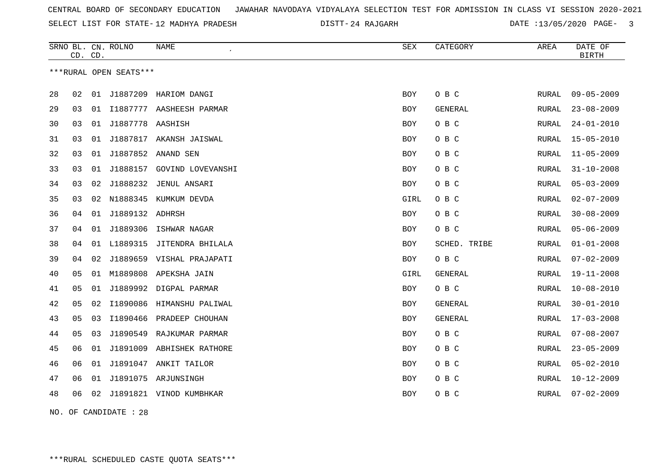SELECT LIST FOR STATE- DISTT- 12 MADHYA PRADESH

24 RAJGARH DATE :13/05/2020 PAGE- 3

|    | CD. CD.        |    | SRNO BL. CN. ROLNO     | NAME                      | SEX        | CATEGORY       | AREA         | DATE OF<br><b>BIRTH</b> |
|----|----------------|----|------------------------|---------------------------|------------|----------------|--------------|-------------------------|
|    |                |    | ***RURAL OPEN SEATS*** |                           |            |                |              |                         |
|    |                |    |                        |                           |            |                |              |                         |
| 28 | 02             | 01 | J1887209               | HARIOM DANGI              | BOY        | O B C          | RURAL        | $09 - 05 - 2009$        |
| 29 | 03             | 01 | I1887777               | AASHEESH PARMAR           | BOY        | GENERAL        | RURAL        | $23 - 08 - 2009$        |
| 30 | 03             | 01 | J1887778 AASHISH       |                           | BOY        | O B C          | RURAL        | $24 - 01 - 2010$        |
| 31 | 03             | 01 | J1887817               | AKANSH JAISWAL            | BOY        | O B C          | <b>RURAL</b> | $15 - 05 - 2010$        |
| 32 | 03             | 01 |                        | J1887852 ANAND SEN        | BOY        | O B C          | RURAL        | $11 - 05 - 2009$        |
| 33 | 03             | 01 | J1888157               | GOVIND LOVEVANSHI         | BOY        | O B C          | <b>RURAL</b> | $31 - 10 - 2008$        |
| 34 | 03             | 02 | J1888232               | JENUL ANSARI              | BOY        | O B C          | <b>RURAL</b> | $05 - 03 - 2009$        |
| 35 | 03             | 02 | N1888345               | KUMKUM DEVDA              | GIRL       | O B C          | RURAL        | $02 - 07 - 2009$        |
| 36 | 04             | 01 | J1889132 ADHRSH        |                           | BOY        | O B C          | <b>RURAL</b> | $30 - 08 - 2009$        |
| 37 | 04             | 01 | J1889306               | ISHWAR NAGAR              | BOY        | O B C          | RURAL        | $05 - 06 - 2009$        |
| 38 | 04             | 01 | L1889315               | JITENDRA BHILALA          | <b>BOY</b> | SCHED. TRIBE   | RURAL        | $01 - 01 - 2008$        |
| 39 | 04             | 02 |                        | J1889659 VISHAL PRAJAPATI | BOY        | O B C          | RURAL        | $07 - 02 - 2009$        |
| 40 | 05             | 01 | M1889808               | APEKSHA JAIN              | GIRL       | GENERAL        | RURAL        | $19 - 11 - 2008$        |
| 41 | 05             | 01 |                        | J1889992 DIGPAL PARMAR    | BOY        | O B C          | RURAL        | $10 - 08 - 2010$        |
| 42 | 05             | 02 | I1890086               | HIMANSHU PALIWAL          | BOY        | <b>GENERAL</b> | <b>RURAL</b> | $30 - 01 - 2010$        |
| 43 | 05             | 03 | I1890466               | PRADEEP CHOUHAN           | <b>BOY</b> | GENERAL        | RURAL        | $17 - 03 - 2008$        |
| 44 | 0 <sub>5</sub> | 03 | J1890549               | RAJKUMAR PARMAR           | <b>BOY</b> | O B C          | <b>RURAL</b> | $07 - 08 - 2007$        |
| 45 | 06             | 01 |                        | J1891009 ABHISHEK RATHORE | BOY        | O B C          | RURAL        | $23 - 05 - 2009$        |
| 46 | 06             | 01 |                        | J1891047 ANKIT TAILOR     | <b>BOY</b> | O B C          | <b>RURAL</b> | $05 - 02 - 2010$        |
| 47 | 06             | 01 |                        | J1891075 ARJUNSINGH       | BOY        | O B C          | <b>RURAL</b> | $10 - 12 - 2009$        |
| 48 | 06             | 02 |                        | J1891821 VINOD KUMBHKAR   | <b>BOY</b> | O B C          | <b>RURAL</b> | $07 - 02 - 2009$        |
|    |                |    |                        |                           |            |                |              |                         |

NO. OF CANDIDATE : 28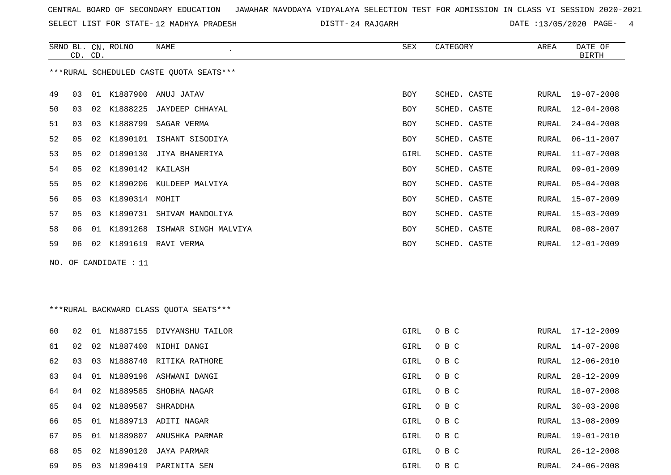SELECT LIST FOR STATE- DISTT- 12 MADHYA PRADESH

24 RAJGARH DATE :13/05/2020 PAGE- 4

|    |    | CD. CD. | SRNO BL. CN. ROLNO | NAME                                    | SEX        | CATEGORY     | AREA  | DATE OF<br><b>BIRTH</b> |
|----|----|---------|--------------------|-----------------------------------------|------------|--------------|-------|-------------------------|
|    |    |         |                    | ***RURAL SCHEDULED CASTE QUOTA SEATS*** |            |              |       |                         |
| 49 | 03 | 01      | K1887900           | ANUJ JATAV                              | <b>BOY</b> | SCHED. CASTE | RURAL | 19-07-2008              |
| 50 | 03 | 02      | K1888225           | JAYDEEP CHHAYAL                         | <b>BOY</b> | SCHED. CASTE | RURAL | $12 - 04 - 2008$        |
| 51 | 03 | 03      | K1888799           | SAGAR VERMA                             | BOY        | SCHED. CASTE | RURAL | $24 - 04 - 2008$        |
| 52 | 05 | 02      | K1890101           | ISHANT SISODIYA                         | BOY        | SCHED. CASTE | RURAL | $06 - 11 - 2007$        |
| 53 | 05 | 02      | 01890130           | JIYA BHANERIYA                          | GIRL       | SCHED. CASTE | RURAL | $11 - 07 - 2008$        |
| 54 | 05 | 02      | K1890142 KAILASH   |                                         | <b>BOY</b> | SCHED. CASTE | RURAL | $09 - 01 - 2009$        |
| 55 | 05 |         |                    | 02 K1890206 KULDEEP MALVIYA             | BOY        | SCHED. CASTE | RURAL | $05 - 04 - 2008$        |
| 56 | 05 | 03      | K1890314 MOHIT     |                                         | BOY        | SCHED. CASTE | RURAL | $15 - 07 - 2009$        |
| 57 | 05 | 03      | K1890731           | SHIVAM MANDOLIYA                        | <b>BOY</b> | SCHED. CASTE | RURAL | $15 - 03 - 2009$        |
| 58 | 06 | 01      |                    | K1891268 ISHWAR SINGH MALVIYA           | <b>BOY</b> | SCHED. CASTE | RURAL | $08 - 08 - 2007$        |
| 59 | 06 | 02      | K1891619           | RAVI VERMA                              | BOY        | SCHED. CASTE | RURAL | $12 - 01 - 2009$        |
|    |    |         |                    |                                         |            |              |       |                         |

NO. OF CANDIDATE : 11

## \*\*\*RURAL BACKWARD CLASS QUOTA SEATS\*\*\*

| 60 | 02 | 01 | N1887155    | DIVYANSHU TAILOR       | GIRL | O B C | RURAL | $17 - 12 - 2009$ |
|----|----|----|-------------|------------------------|------|-------|-------|------------------|
| 61 | 02 | 02 | N1887400    | NIDHI DANGI            | GIRL | O B C | RURAL | 14-07-2008       |
| 62 | 03 | 03 | N1888740    | RITIKA RATHORE         | GIRL | O B C | RURAL | 12-06-2010       |
| 63 | 04 | 01 |             | N1889196 ASHWANI DANGI | GIRL | O B C | RURAL | 28-12-2009       |
| 64 | 04 |    | 02 N1889585 | SHOBHA NAGAR           | GIRL | O B C | RURAL | 18-07-2008       |
| 65 | 04 | 02 | N1889587    | SHRADDHA               | GIRL | O B C | RURAL | $30 - 03 - 2008$ |
| 66 | 05 | 01 | N1889713    | ADITI NAGAR            | GIRL | O B C | RURAL | 13-08-2009       |
| 67 | 05 |    | 01 N1889807 | ANUSHKA PARMAR         | GIRL | O B C | RURAL | $19 - 01 - 2010$ |
| 68 | 05 | 02 | N1890120    | JAYA PARMAR            | GIRL | O B C | RURAL | $26 - 12 - 2008$ |
| 69 | 05 | 03 | N1890419    | PARINITA SEN           | GIRL | O B C | RURAL | $24 - 06 - 2008$ |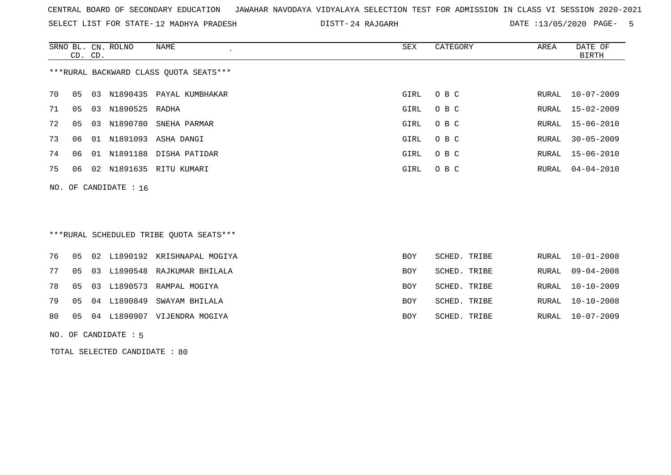SELECT LIST FOR STATE- DISTT- 12 MADHYA PRADESH

24 RAJGARH DATE :13/05/2020 PAGE- 5

|     | CD. CD. | SRNO BL. CN. ROLNO   | NAME<br>$\epsilon$                      | SEX        | CATEGORY     | AREA  | DATE OF<br><b>BIRTH</b> |
|-----|---------|----------------------|-----------------------------------------|------------|--------------|-------|-------------------------|
|     |         |                      | *** RURAL BACKWARD CLASS QUOTA SEATS*** |            |              |       |                         |
| 70  | 05      | 03                   | N1890435 PAYAL KUMBHAKAR                | GIRL       | O B C        | RURAL | $10 - 07 - 2009$        |
| 71  | 05      | N1890525 RADHA<br>03 |                                         | GIRL       | O B C        | RURAL | $15 - 02 - 2009$        |
| 72  | 05      | 03                   | N1890780 SNEHA PARMAR                   | GIRL       | O B C        | RURAL | $15 - 06 - 2010$        |
| 73  | 06      |                      | 01 N1891093 ASHA DANGI                  | GIRL       | O B C        | RURAL | $30 - 05 - 2009$        |
| 74  | 06      | 01                   | N1891188 DISHA PATIDAR                  | GIRL       | O B C        | RURAL | $15 - 06 - 2010$        |
| 75  | 06      | 02                   | N1891635 RITU KUMARI                    | GIRL       | O B C        | RURAL | $04 - 04 - 2010$        |
| NO. |         | OF CANDIDATE : 16    |                                         |            |              |       |                         |
|     |         |                      |                                         |            |              |       |                         |
|     |         |                      |                                         |            |              |       |                         |
|     |         |                      | ***RURAL SCHEDULED TRIBE QUOTA SEATS*** |            |              |       |                         |
| 76  | 05      | 02                   | L1890192 KRISHNAPAL MOGIYA              | <b>BOY</b> | SCHED. TRIBE | RURAL | $10 - 01 - 2008$        |

|  |  | 76 - 05 02 L1890192 KRISHNAPAL MOGIYA | BOY        | SCHED. TRIBE | RURAL 10-01-2008 |
|--|--|---------------------------------------|------------|--------------|------------------|
|  |  | 77 05 03 L1890548 RAJKUMAR BHILALA    | <b>BOY</b> | SCHED. TRIBE | RURAL 09-04-2008 |
|  |  | 78 05 03 L1890573 RAMPAL MOGIYA       | <b>BOY</b> | SCHED. TRIBE | RURAL 10-10-2009 |
|  |  | 79 05 04 L1890849 SWAYAM BHILALA      | <b>BOY</b> | SCHED. TRIBE | RURAL 10-10-2008 |
|  |  | 80 05 04 L1890907 VIJENDRA MOGIYA     | <b>BOY</b> | SCHED. TRIBE | RURAL 10-07-2009 |

NO. OF CANDIDATE : 5

TOTAL SELECTED CANDIDATE : 80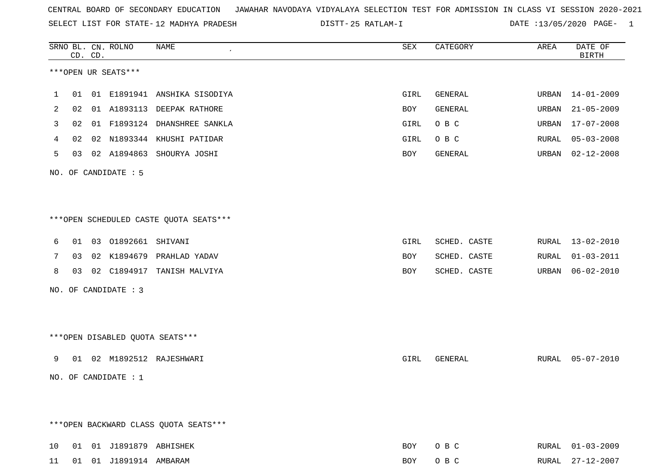SELECT LIST FOR STATE- DISTT- 12 MADHYA PRADESH

25 RATLAM-I DATE :13/05/2020 PAGE- 1

|    |    | CD. CD. | SRNO BL. CN. ROLNO        | NAME                                   | SEX  | CATEGORY     | AREA  | DATE OF<br><b>BIRTH</b> |
|----|----|---------|---------------------------|----------------------------------------|------|--------------|-------|-------------------------|
|    |    |         | ***OPEN UR SEATS***       |                                        |      |              |       |                         |
| 1  |    |         |                           | 01 01 E1891941 ANSHIKA SISODIYA        | GIRL | GENERAL      | URBAN | 14-01-2009              |
| 2  | 02 |         | 01 A1893113               | DEEPAK RATHORE                         | BOY  | GENERAL      | URBAN | $21 - 05 - 2009$        |
| 3  | 02 |         |                           | 01 F1893124 DHANSHREE SANKLA           | GIRL | O B C        | URBAN | $17 - 07 - 2008$        |
| 4  | 02 |         |                           | 02 N1893344 KHUSHI PATIDAR             | GIRL | O B C        | RURAL | $05 - 03 - 2008$        |
| 5  | 03 |         |                           | 02 A1894863 SHOURYA JOSHI              | BOY  | GENERAL      | URBAN | $02 - 12 - 2008$        |
|    |    |         | NO. OF CANDIDATE : 5      |                                        |      |              |       |                         |
|    |    |         |                           | ***OPEN SCHEDULED CASTE QUOTA SEATS*** |      |              |       |                         |
| 6  |    |         | 01  03  01892661  SHIVANI |                                        | GIRL | SCHED. CASTE | RURAL | 13-02-2010              |
| 7  | 03 |         |                           | 02 K1894679 PRAHLAD YADAV              | BOY  | SCHED. CASTE | RURAL | $01 - 03 - 2011$        |
| 8  | 03 |         | 02 C1894917               | TANISH MALVIYA                         | BOY  | SCHED. CASTE | URBAN | $06 - 02 - 2010$        |
|    |    |         | NO. OF CANDIDATE : 3      |                                        |      |              |       |                         |
|    |    |         |                           | ***OPEN DISABLED QUOTA SEATS***        |      |              |       |                         |
| 9  |    |         |                           | 01  02  M1892512  RAJESHWARI           | GIRL | GENERAL      |       | RURAL 05-07-2010        |
|    |    |         | NO. OF CANDIDATE $: 1$    |                                        |      |              |       |                         |
|    |    |         |                           | *** OPEN BACKWARD CLASS QUOTA SEATS*** |      |              |       |                         |
| 10 |    |         | 01 01 J1891879 ABHISHEK   |                                        | BOY  | O B C        |       | RURAL 01-03-2009        |
| 11 |    |         | 01  01  J1891914  AMBARAM |                                        | BOY  | O B C        |       | RURAL 27-12-2007        |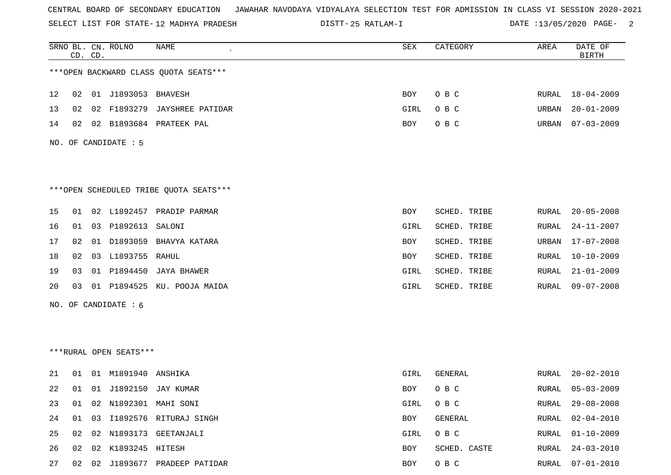SELECT LIST FOR STATE- DISTT- 12 MADHYA PRADESH

25 RATLAM-I DATE :13/05/2020 PAGE- 2

|    |    | CD. CD. | SRNO BL. CN. ROLNO     | NAME                                   | SEX        | CATEGORY     | AREA  | DATE OF<br><b>BIRTH</b> |
|----|----|---------|------------------------|----------------------------------------|------------|--------------|-------|-------------------------|
|    |    |         |                        | *** OPEN BACKWARD CLASS QUOTA SEATS*** |            |              |       |                         |
| 12 | 02 |         | 01 J1893053 BHAVESH    |                                        | BOY        | O B C        |       | RURAL 18-04-2009        |
| 13 | 02 |         |                        | 02 F1893279 JAYSHREE PATIDAR           | GIRL       | O B C        | URBAN | $20 - 01 - 2009$        |
| 14 | 02 |         |                        | 02 B1893684 PRATEEK PAL                | BOY        | O B C        | URBAN | $07 - 03 - 2009$        |
|    |    |         | NO. OF CANDIDATE : 5   |                                        |            |              |       |                         |
|    |    |         |                        | ***OPEN SCHEDULED TRIBE QUOTA SEATS*** |            |              |       |                         |
| 15 | 01 |         |                        | 02 L1892457 PRADIP PARMAR              | BOY        | SCHED. TRIBE | RURAL | $20 - 05 - 2008$        |
| 16 |    |         | 01 03 P1892613 SALONI  |                                        | GIRL       | SCHED. TRIBE | RURAL | $24 - 11 - 2007$        |
| 17 | 02 |         |                        | 01 D1893059 BHAVYA KATARA              | BOY        | SCHED. TRIBE | URBAN | $17 - 07 - 2008$        |
| 18 | 02 |         | 03 L1893755 RAHUL      |                                        | BOY        | SCHED. TRIBE | RURAL | $10 - 10 - 2009$        |
| 19 | 03 |         |                        | 01 P1894450 JAYA BHAWER                | GIRL       | SCHED. TRIBE | RURAL | $21 - 01 - 2009$        |
| 20 | 03 |         |                        | 01 P1894525 KU. POOJA MAIDA            | GIRL       | SCHED. TRIBE | RURAL | $09 - 07 - 2008$        |
|    |    |         | NO. OF CANDIDATE : 6   |                                        |            |              |       |                         |
|    |    |         |                        |                                        |            |              |       |                         |
|    |    |         | ***RURAL OPEN SEATS*** |                                        |            |              |       |                         |
| 21 | 01 |         | 01 M1891940 ANSHIKA    |                                        | GIRL       | GENERAL      | RURAL | $20 - 02 - 2010$        |
| 22 |    |         |                        | 01 01 J1892150 JAY KUMAR               | <b>BOY</b> | O B C        | RURAL | $05 - 03 - 2009$        |
| 23 |    |         |                        | 01 02 N1892301 MAHI SONI               | GIRL       | O B C        | RURAL | $29 - 08 - 2008$        |
| 24 | 01 |         |                        | 03 I1892576 RITURAJ SINGH              | BOY        | GENERAL      | RURAL | $02 - 04 - 2010$        |
| 25 | 02 |         |                        | 02 N1893173 GEETANJALI                 | GIRL       | O B C        | RURAL | $01 - 10 - 2009$        |
| 26 | 02 |         | 02 K1893245 HITESH     |                                        | BOY        | SCHED. CASTE | RURAL | $24 - 03 - 2010$        |
| 27 |    |         |                        | 02 02 J1893677 PRADEEP PATIDAR         | BOY        | O B C        |       | RURAL 07-01-2010        |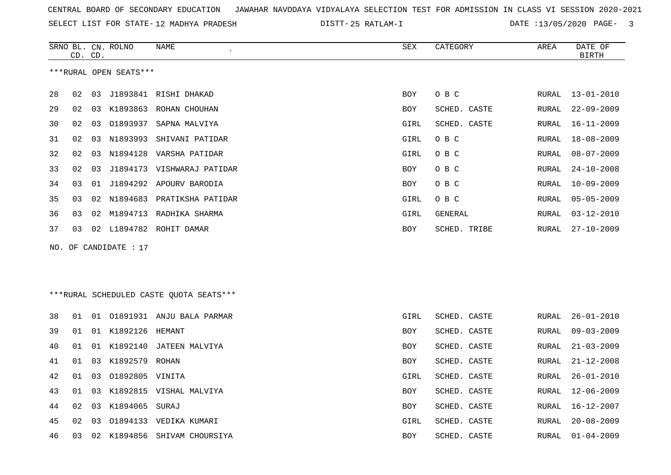SELECT LIST FOR STATE- DISTT- 12 MADHYA PRADESH

25 RATLAM-I DATE :13/05/2020 PAGE- 3

|    | CD. CD. |    | SRNO BL. CN. ROLNO     | NAME                                    | SEX        | CATEGORY     | AREA  | DATE OF<br><b>BIRTH</b> |
|----|---------|----|------------------------|-----------------------------------------|------------|--------------|-------|-------------------------|
|    |         |    | ***RURAL OPEN SEATS*** |                                         |            |              |       |                         |
|    |         |    |                        |                                         |            |              |       |                         |
| 28 | 02      | 03 |                        | J1893841 RISHI DHAKAD                   | <b>BOY</b> | O B C        | RURAL | $13 - 01 - 2010$        |
| 29 | 02      | 03 | K1893863               | ROHAN CHOUHAN                           | BOY        | SCHED. CASTE | RURAL | $22 - 09 - 2009$        |
| 30 | 02      | 03 |                        | 01893937 SAPNA MALVIYA                  | GIRL       | SCHED. CASTE | RURAL | 16-11-2009              |
| 31 | 02      | 03 | N1893993               | SHIVANI PATIDAR                         | GIRL       | O B C        | RURAL | 18-08-2009              |
| 32 | 02      | 03 |                        | N1894128 VARSHA PATIDAR                 | GIRL       | O B C        | RURAL | $08 - 07 - 2009$        |
| 33 | 02      | 03 |                        | J1894173 VISHWARAJ PATIDAR              | BOY        | O B C        | RURAL | $24 - 10 - 2008$        |
| 34 | 03      | 01 |                        | J1894292 APOURV BARODIA                 | <b>BOY</b> | O B C        | RURAL | $10 - 09 - 2009$        |
| 35 | 03      | 02 |                        | N1894683 PRATIKSHA PATIDAR              | GIRL       | O B C        | RURAL | $05 - 05 - 2009$        |
| 36 | 03      | 02 |                        | M1894713 RADHIKA SHARMA                 | GIRL       | GENERAL      | RURAL | $03 - 12 - 2010$        |
| 37 | 03      |    |                        | 02 L1894782 ROHIT DAMAR                 | BOY        | SCHED. TRIBE | RURAL | $27 - 10 - 2009$        |
|    |         |    | NO. OF CANDIDATE : 17  |                                         |            |              |       |                         |
|    |         |    |                        |                                         |            |              |       |                         |
|    |         |    |                        |                                         |            |              |       |                         |
|    |         |    |                        | ***RURAL SCHEDULED CASTE QUOTA SEATS*** |            |              |       |                         |
|    |         |    |                        |                                         |            |              |       |                         |
| 38 | 01      |    |                        | 01 01891931 ANJU BALA PARMAR            | GIRL       | SCHED. CASTE | RURAL | $26 - 01 - 2010$        |
| 39 | 01      |    | 01 K1892126            | HEMANT                                  | <b>BOY</b> | SCHED. CASTE | RURAL | $09 - 03 - 2009$        |
| 40 | 01      |    |                        | 01 K1892140 JATEEN MALVIYA              | <b>BOY</b> | SCHED. CASTE | RURAL | $21 - 03 - 2009$        |
| 41 | 01      | 03 | K1892579 ROHAN         |                                         | <b>BOY</b> | SCHED. CASTE | RURAL | $21 - 12 - 2008$        |
| 42 | 01      | 03 | 01892805 VINITA        |                                         | GIRL       | SCHED. CASTE | RURAL | $26 - 01 - 2010$        |
| 43 | 01      | 03 |                        | K1892815 VISHAL MALVIYA                 | BOY        | SCHED. CASTE | RURAL | 12-06-2009              |
| 44 | 02      | 03 | K1894065 SURAJ         |                                         | BOY        | SCHED. CASTE | RURAL | 16-12-2007              |
| 45 | 02      | 03 |                        | 01894133 VEDIKA KUMARI                  | GIRL       | SCHED. CASTE | RURAL | $20 - 08 - 2009$        |
| 46 | 03      |    |                        | 02 K1894856 SHIVAM CHOURSIYA            | <b>BOY</b> | SCHED. CASTE | RURAL | $01 - 04 - 2009$        |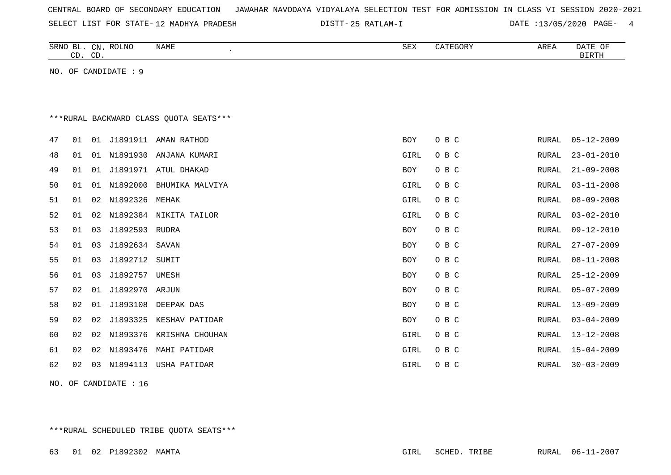| CENTRAL BOARD OF SECONDARY EDUCATION – JAWAHAR NAVODAYA VIDYALAYA SELECTION TEST FOR ADMISSION IN CLASS VI SESSION 2020-2021 |  |  |  |  |
|------------------------------------------------------------------------------------------------------------------------------|--|--|--|--|
|------------------------------------------------------------------------------------------------------------------------------|--|--|--|--|

SELECT LIST FOR STATE- DISTT- 12 MADHYA PRADESH

25 RATLAM-I DATE :13/05/2020 PAGE- 4

|    | CD. CD. |    | SRNO BL. CN. ROLNO   | <b>NAME</b>                             | SEX        | CATEGORY | AREA  | DATE OF<br><b>BIRTH</b> |
|----|---------|----|----------------------|-----------------------------------------|------------|----------|-------|-------------------------|
|    |         |    | NO. OF CANDIDATE : 9 |                                         |            |          |       |                         |
|    |         |    |                      |                                         |            |          |       |                         |
|    |         |    |                      |                                         |            |          |       |                         |
|    |         |    |                      | *** RURAL BACKWARD CLASS QUOTA SEATS*** |            |          |       |                         |
| 47 | 01      | 01 | J1891911             | AMAN RATHOD                             | <b>BOY</b> | O B C    | RURAL | $05 - 12 - 2009$        |
| 48 | 01      | 01 | N1891930             | ANJANA KUMARI                           | GIRL       | O B C    | RURAL | $23 - 01 - 2010$        |
| 49 | 01      | 01 |                      | J1891971 ATUL DHAKAD                    | BOY        | O B C    | RURAL | $21 - 09 - 2008$        |
| 50 | 01      | 01 | N1892000             | BHUMIKA MALVIYA                         | GIRL       | O B C    | RURAL | $03 - 11 - 2008$        |
| 51 | 01      | 02 | N1892326             | MEHAK                                   | GIRL       | O B C    | RURAL | $08 - 09 - 2008$        |
| 52 | 01      | 02 | N1892384             | NIKITA TAILOR                           | GIRL       | O B C    | RURAL | $03 - 02 - 2010$        |
| 53 | 01      | 03 | J1892593             | <b>RUDRA</b>                            | <b>BOY</b> | O B C    | RURAL | $09 - 12 - 2010$        |
| 54 | 01      | 03 | J1892634 SAVAN       |                                         | <b>BOY</b> | O B C    | RURAL | $27 - 07 - 2009$        |
| 55 | 01      | 03 | J1892712             | SUMIT                                   | BOY        | O B C    | RURAL | $08 - 11 - 2008$        |
| 56 | 01      | 03 | J1892757             | UMESH                                   | BOY        | O B C    | RURAL | $25 - 12 - 2009$        |
| 57 | 02      | 01 | J1892970 ARJUN       |                                         | <b>BOY</b> | O B C    | RURAL | $05 - 07 - 2009$        |
| 58 | 02      | 01 | J1893108             | DEEPAK DAS                              | <b>BOY</b> | O B C    | RURAL | $13 - 09 - 2009$        |
| 59 | 02      | 02 | J1893325             | KESHAV PATIDAR                          | <b>BOY</b> | O B C    | RURAL | $03 - 04 - 2009$        |
| 60 | 02      | 02 |                      | N1893376 KRISHNA CHOUHAN                | GIRL       | O B C    | RURAL | $13 - 12 - 2008$        |
| 61 | 02      | 02 | N1893476             | MAHI PATIDAR                            | GIRL       | O B C    | RURAL | $15 - 04 - 2009$        |
| 62 | 02      | 03 | N1894113             | USHA PATIDAR                            | GIRL       | O B C    | RURAL | $30 - 03 - 2009$        |
|    |         |    |                      |                                         |            |          |       |                         |

NO. OF CANDIDATE : 16

\*\*\*RURAL SCHEDULED TRIBE QUOTA SEATS\*\*\*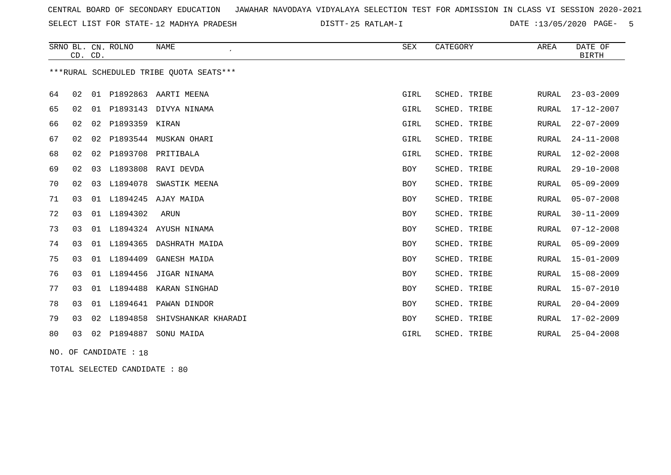SELECT LIST FOR STATE- DISTT- 12 MADHYA PRADESH

25 RATLAM-I DATE :13/05/2020 PAGE- 5

|    |    | CD. CD. | SRNO BL. CN. ROLNO | <b>NAME</b>                             | SEX         | CATEGORY     | AREA         | DATE OF<br><b>BIRTH</b> |
|----|----|---------|--------------------|-----------------------------------------|-------------|--------------|--------------|-------------------------|
|    |    |         |                    | ***RURAL SCHEDULED TRIBE OUOTA SEATS*** |             |              |              |                         |
| 64 | 02 |         |                    | 01 P1892863 AARTI MEENA                 | GIRL        | SCHED. TRIBE | RURAL        | $23 - 03 - 2009$        |
| 65 | 02 | 01      | P1893143           | DIVYA NINAMA                            | GIRL        | SCHED. TRIBE | <b>RURAL</b> | 17-12-2007              |
| 66 | 02 | 02      | P1893359           | KIRAN                                   | <b>GIRL</b> | SCHED. TRIBE | <b>RURAL</b> | $22 - 07 - 2009$        |
| 67 | 02 | 02      | P1893544           | MUSKAN OHARI                            | GIRL        | SCHED. TRIBE | <b>RURAL</b> | $24 - 11 - 2008$        |
| 68 | 02 | 02      | P1893708           | PRITIBALA                               | GIRL        | SCHED. TRIBE | <b>RURAL</b> | $12 - 02 - 2008$        |
| 69 | 02 | 03      | L1893808           | RAVI DEVDA                              | <b>BOY</b>  | SCHED. TRIBE | <b>RURAL</b> | $29 - 10 - 2008$        |
| 70 | 02 | 03      | L1894078           | SWASTIK MEENA                           | BOY         | SCHED. TRIBE | <b>RURAL</b> | $05 - 09 - 2009$        |
| 71 | 03 | 01      | L1894245           | AJAY MAIDA                              | BOY         | SCHED. TRIBE | RURAL        | $05 - 07 - 2008$        |
| 72 | 03 |         | 01 L1894302        | ARUN                                    | <b>BOY</b>  | SCHED. TRIBE | <b>RURAL</b> | $30 - 11 - 2009$        |
| 73 | 03 | 01      | L1894324           | AYUSH NINAMA                            | <b>BOY</b>  | SCHED. TRIBE | <b>RURAL</b> | $07 - 12 - 2008$        |
| 74 | 03 | 01      | L1894365           | DASHRATH MAIDA                          | <b>BOY</b>  | SCHED. TRIBE | <b>RURAL</b> | $05 - 09 - 2009$        |
| 75 | 03 |         | 01 L1894409        | GANESH MAIDA                            | BOY         | SCHED. TRIBE | <b>RURAL</b> | $15 - 01 - 2009$        |
| 76 | 03 | 01      | L1894456           | JIGAR NINAMA                            | BOY         | SCHED. TRIBE | <b>RURAL</b> | $15 - 08 - 2009$        |
| 77 | 03 | 01      | L1894488           | KARAN SINGHAD                           | BOY         | SCHED. TRIBE | <b>RURAL</b> | $15 - 07 - 2010$        |
| 78 | 03 |         | 01 L1894641        | PAWAN DINDOR                            | <b>BOY</b>  | SCHED. TRIBE | <b>RURAL</b> | $20 - 04 - 2009$        |
| 79 | 03 | 02      | L1894858           | SHIVSHANKAR KHARADI                     | <b>BOY</b>  | SCHED. TRIBE | <b>RURAL</b> | $17 - 02 - 2009$        |
| 80 | 03 | 02      | P1894887           | SONU MAIDA                              | GIRL        | SCHED. TRIBE | <b>RURAL</b> | $25 - 04 - 2008$        |

NO. OF CANDIDATE : 18

TOTAL SELECTED CANDIDATE : 80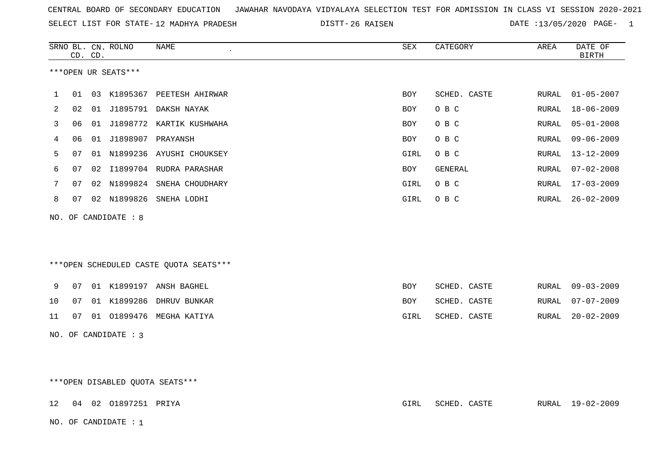| CENTRAL BOARD OF SECONDARY EDUCATION – JAWAHAR NAVODAYA VIDYALAYA SELECTION TEST FOR ADMISSION IN CLASS VI SESSION 2020-2021 |  |  |  |
|------------------------------------------------------------------------------------------------------------------------------|--|--|--|
|------------------------------------------------------------------------------------------------------------------------------|--|--|--|

SELECT LIST FOR STATE-12 MADHYA PRADESH

12 MADHYA PRADESH 26 RAISEN DATE :13/05/2020 PAGE- 1

|    |                                 | CD. CD. | SRNO BL. CN. ROLNO      | NAME                                   | ${\tt SEX}$ | CATEGORY     | AREA  | DATE OF<br><b>BIRTH</b> |  |
|----|---------------------------------|---------|-------------------------|----------------------------------------|-------------|--------------|-------|-------------------------|--|
|    |                                 |         | ***OPEN UR SEATS***     |                                        |             |              |       |                         |  |
| 1  | 01                              |         |                         | 03 K1895367 PEETESH AHIRWAR            | <b>BOY</b>  | SCHED. CASTE | RURAL | $01 - 05 - 2007$        |  |
| 2  | 02                              |         |                         | 01 J1895791 DAKSH NAYAK                | <b>BOY</b>  | O B C        | RURAL | $18 - 06 - 2009$        |  |
| 3  | 06                              |         |                         | 01 J1898772 KARTIK KUSHWAHA            | <b>BOY</b>  | O B C        | RURAL | $05 - 01 - 2008$        |  |
| 4  | 06                              |         | 01 J1898907 PRAYANSH    |                                        | BOY         | O B C        | RURAL | $09 - 06 - 2009$        |  |
| 5  | 07                              |         |                         | 01 N1899236 AYUSHI CHOUKSEY            | GIRL        | O B C        | RURAL | $13 - 12 - 2009$        |  |
| 6  | 07                              |         |                         | 02 I1899704 RUDRA PARASHAR             | BOY         | GENERAL      | RURAL | $07 - 02 - 2008$        |  |
| 7  | 07                              |         |                         | 02 N1899824 SNEHA CHOUDHARY            | GIRL        | O B C        | RURAL | $17 - 03 - 2009$        |  |
| 8  |                                 |         |                         | 07 02 N1899826 SNEHA LODHI             | GIRL        | O B C        | RURAL | $26 - 02 - 2009$        |  |
|    |                                 |         |                         |                                        |             |              |       |                         |  |
|    |                                 |         | NO. OF CANDIDATE : 8    |                                        |             |              |       |                         |  |
|    |                                 |         |                         |                                        |             |              |       |                         |  |
|    |                                 |         |                         |                                        |             |              |       |                         |  |
|    |                                 |         |                         | ***OPEN SCHEDULED CASTE QUOTA SEATS*** |             |              |       |                         |  |
| 9  | 07                              |         |                         | 01 K1899197 ANSH BAGHEL                | <b>BOY</b>  | SCHED. CASTE | RURAL | $09 - 03 - 2009$        |  |
| 10 | 07                              |         |                         | 01 K1899286 DHRUV BUNKAR               | BOY         | SCHED. CASTE | RURAL | $07 - 07 - 2009$        |  |
| 11 | 07                              |         |                         | 01 01899476 MEGHA KATIYA               | GIRL        | SCHED. CASTE | RURAL | $20 - 02 - 2009$        |  |
|    |                                 |         | NO. OF CANDIDATE : 3    |                                        |             |              |       |                         |  |
|    |                                 |         |                         |                                        |             |              |       |                         |  |
|    |                                 |         |                         |                                        |             |              |       |                         |  |
|    | ***OPEN DISABLED QUOTA SEATS*** |         |                         |                                        |             |              |       |                         |  |
|    |                                 |         |                         |                                        |             |              |       |                         |  |
| 12 |                                 |         | 04  02  01897251  PRIYA |                                        | GIRL        | SCHED. CASTE |       | RURAL 19-02-2009        |  |

NO. OF CANDIDATE : 1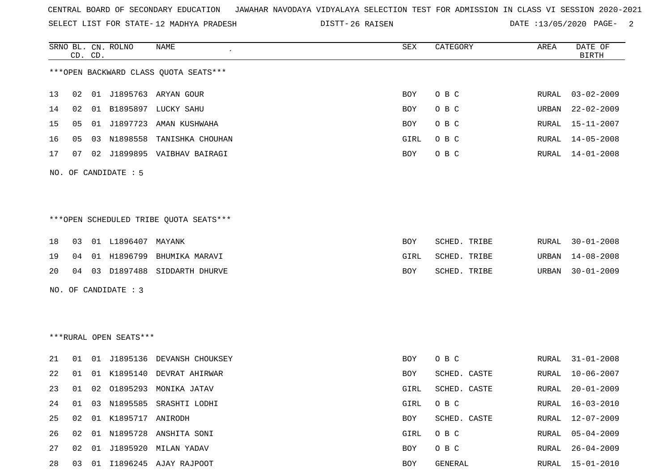SELECT LIST FOR STATE- DISTT- 12 MADHYA PRADESH

26 RAISEN DATE :13/05/2020 PAGE- 2

|    |    | CD. CD. | SRNO BL. CN. ROLNO     | NAME                                   | SEX  | CATEGORY     | AREA  | DATE OF<br><b>BIRTH</b> |
|----|----|---------|------------------------|----------------------------------------|------|--------------|-------|-------------------------|
|    |    |         |                        | *** OPEN BACKWARD CLASS QUOTA SEATS*** |      |              |       |                         |
| 13 | 02 |         |                        | 01 J1895763 ARYAN GOUR                 | BOY  | O B C        | RURAL | $03 - 02 - 2009$        |
| 14 | 02 |         |                        | 01 B1895897 LUCKY SAHU                 | BOY  | O B C        | URBAN | $22 - 02 - 2009$        |
| 15 | 05 |         |                        | 01 J1897723 AMAN KUSHWAHA              | BOY  | O B C        | RURAL | $15 - 11 - 2007$        |
| 16 | 05 |         |                        | 03 N1898558 TANISHKA CHOUHAN           | GIRL | O B C        | RURAL | $14 - 05 - 2008$        |
| 17 | 07 |         |                        | 02 J1899895 VAIBHAV BAIRAGI            | BOY  | O B C        | RURAL | $14 - 01 - 2008$        |
|    |    |         | NO. OF CANDIDATE : 5   |                                        |      |              |       |                         |
|    |    |         |                        |                                        |      |              |       |                         |
|    |    |         |                        | ***OPEN SCHEDULED TRIBE QUOTA SEATS*** |      |              |       |                         |
| 18 | 03 |         | 01 L1896407 MAYANK     |                                        | BOY  | SCHED. TRIBE | RURAL | $30 - 01 - 2008$        |
| 19 | 04 |         |                        | 01 H1896799 BHUMIKA MARAVI             | GIRL | SCHED. TRIBE | URBAN | $14 - 08 - 2008$        |
| 20 | 04 |         |                        | 03 D1897488 SIDDARTH DHURVE            | BOY  | SCHED. TRIBE | URBAN | $30 - 01 - 2009$        |
|    |    |         | NO. OF CANDIDATE : 3   |                                        |      |              |       |                         |
|    |    |         |                        |                                        |      |              |       |                         |
|    |    |         |                        |                                        |      |              |       |                         |
|    |    |         | ***RURAL OPEN SEATS*** |                                        |      |              |       |                         |
| 21 | 01 |         |                        | 01 J1895136 DEVANSH CHOUKSEY           | BOY  | O B C        | RURAL | $31 - 01 - 2008$        |
| 22 | 01 |         |                        | 01 K1895140 DEVRAT AHIRWAR             | BOY  | SCHED. CASTE | RURAL | $10 - 06 - 2007$        |
| 23 |    |         |                        | 01 02 01895293 MONIKA JATAV            | GIRL | SCHED. CASTE | RURAL | $20 - 01 - 2009$        |
| 24 | 01 |         |                        | 03 N1895585 SRASHTI LODHI              | GIRL | O B C        | RURAL | $16 - 03 - 2010$        |
| 25 | 02 |         | 01 K1895717 ANIRODH    |                                        | BOY  | SCHED. CASTE | RURAL | $12 - 07 - 2009$        |
| 26 | 02 |         |                        | 01 N1895728 ANSHITA SONI               | GIRL | O B C        | RURAL | $05 - 04 - 2009$        |
| 27 | 02 |         |                        | 01 J1895920 MILAN YADAV                | BOY  | O B C        | RURAL | $26 - 04 - 2009$        |
| 28 |    |         |                        | 03 01 I1896245 AJAY RAJPOOT            | BOY  | GENERAL      | RURAL | $15 - 01 - 2010$        |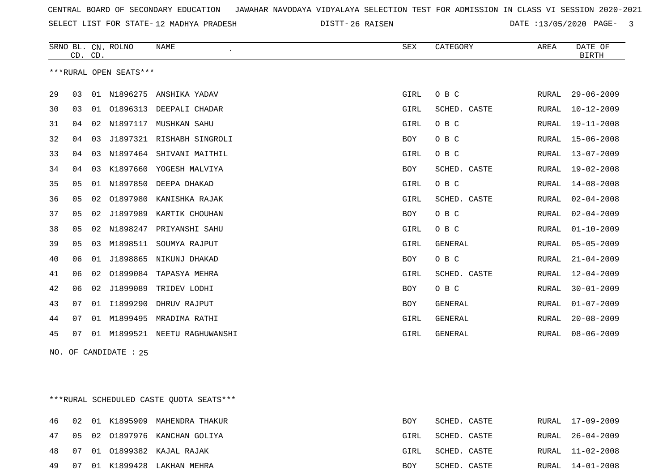SELECT LIST FOR STATE- DISTT- 12 MADHYA PRADESH

26 RAISEN DATE :13/05/2020 PAGE- 3

|    | CD. CD. |    | SRNO BL. CN. ROLNO     | <b>NAME</b>               | <b>SEX</b>  | CATEGORY       | AREA  | DATE OF<br><b>BIRTH</b> |
|----|---------|----|------------------------|---------------------------|-------------|----------------|-------|-------------------------|
|    |         |    | ***RURAL OPEN SEATS*** |                           |             |                |       |                         |
| 29 | 03      |    |                        | 01 N1896275 ANSHIKA YADAV | GIRL        | O B C          | RURAL | $29 - 06 - 2009$        |
| 30 | 03      | 01 | 01896313               | DEEPALI CHADAR            | GIRL        | SCHED. CASTE   | RURAL | $10 - 12 - 2009$        |
| 31 | 04      | 02 | N1897117               | MUSHKAN SAHU              | GIRL        | O B C          | RURAL | $19 - 11 - 2008$        |
| 32 | 04      | 03 | J1897321               | RISHABH SINGROLI          | <b>BOY</b>  | O B C          | RURAL | $15 - 06 - 2008$        |
| 33 | 04      | 03 | N1897464               | SHIVANI MAITHIL           | GIRL        | O B C          | RURAL | $13 - 07 - 2009$        |
| 34 | 04      | 03 | K1897660               | YOGESH MALVIYA            | <b>BOY</b>  | SCHED. CASTE   | RURAL | 19-02-2008              |
| 35 | 05      |    | 01 N1897850            | DEEPA DHAKAD              | GIRL        | O B C          | RURAL | $14 - 08 - 2008$        |
| 36 | 05      | 02 | 01897980               | KANISHKA RAJAK            | GIRL        | SCHED. CASTE   | RURAL | $02 - 04 - 2008$        |
| 37 | 05      | 02 | J1897989               | KARTIK CHOUHAN            | BOY         | O B C          | RURAL | $02 - 04 - 2009$        |
| 38 | 05      | 02 | N1898247               | PRIYANSHI SAHU            | GIRL        | O B C          | RURAL | $01 - 10 - 2009$        |
| 39 | 05      | 03 | M1898511               | SOUMYA RAJPUT             | GIRL        | <b>GENERAL</b> | RURAL | $05 - 05 - 2009$        |
| 40 | 06      | 01 | J1898865               | NIKUNJ DHAKAD             | <b>BOY</b>  | O B C          | RURAL | $21 - 04 - 2009$        |
| 41 | 06      | 02 | 01899084               | TAPASYA MEHRA             | GIRL        | SCHED. CASTE   | RURAL | $12 - 04 - 2009$        |
| 42 | 06      | 02 | J1899089               | TRIDEV LODHI              | <b>BOY</b>  | O B C          | RURAL | $30 - 01 - 2009$        |
| 43 | 07      | 01 | I1899290               | DHRUV RAJPUT              | <b>BOY</b>  | GENERAL        | RURAL | $01 - 07 - 2009$        |
| 44 | 07      | 01 | M1899495               | MRADIMA RATHI             | GIRL        | GENERAL        | RURAL | $20 - 08 - 2009$        |
| 45 | 07      | 01 | M1899521               | NEETU RAGHUWANSHI         | <b>GIRL</b> | GENERAL        | RURAL | $08 - 06 - 2009$        |

NO. OF CANDIDATE : 25

\*\*\*RURAL SCHEDULED CASTE QUOTA SEATS\*\*\*

|  |  | 46 02 01 K1895909 MAHENDRA THAKUR | BOY  | SCHED. CASTE |  | RURAL 17-09-2009 |
|--|--|-----------------------------------|------|--------------|--|------------------|
|  |  | 47 05 02 01897976 KANCHAN GOLIYA  | GIRL | SCHED. CASTE |  | RURAL 26-04-2009 |
|  |  | 48 07 01 01899382 KAJAL RAJAK     | GIRL | SCHED. CASTE |  | RURAL 11-02-2008 |
|  |  | 49 07 01 K1899428 LAKHAN MEHRA    | BOY  | SCHED. CASTE |  | RURAL 14-01-2008 |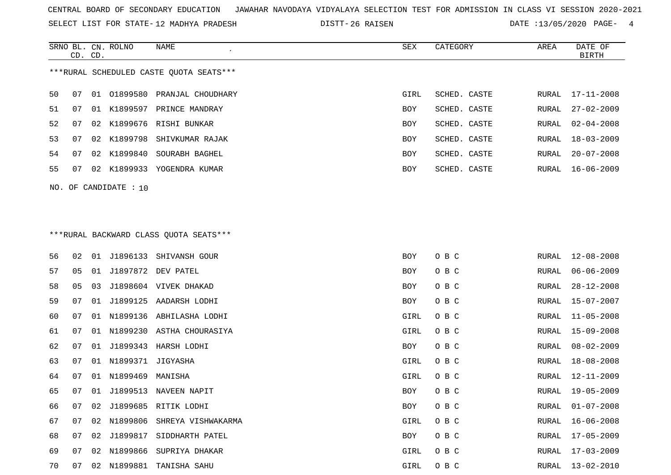SELECT LIST FOR STATE- DISTT- 12 MADHYA PRADESH

26 RAISEN DATE :13/05/2020 PAGE- 4

|    | CD. CD. |    | SRNO BL. CN. ROLNO    | NAME<br>$\epsilon$                       | SEX        | CATEGORY     | AREA  | DATE OF<br><b>BIRTH</b> |
|----|---------|----|-----------------------|------------------------------------------|------------|--------------|-------|-------------------------|
|    |         |    |                       | *** RURAL SCHEDULED CASTE QUOTA SEATS*** |            |              |       |                         |
| 50 | 07      | 01 | 01899580              | PRANJAL CHOUDHARY                        | GIRL       | SCHED. CASTE | RURAL | $17 - 11 - 2008$        |
| 51 | 07      |    |                       | 01 K1899597 PRINCE MANDRAY               | BOY        | SCHED. CASTE | RURAL | $27 - 02 - 2009$        |
| 52 | 07      |    |                       | 02 K1899676 RISHI BUNKAR                 | BOY        | SCHED. CASTE | RURAL | $02 - 04 - 2008$        |
| 53 | 07      | 02 |                       | K1899798 SHIVKUMAR RAJAK                 | BOY        | SCHED. CASTE | RURAL | $18 - 03 - 2009$        |
| 54 | 07      |    | 02 K1899840           | SOURABH BAGHEL                           | BOY        | SCHED. CASTE | RURAL | $20 - 07 - 2008$        |
| 55 | 07      |    |                       | 02 K1899933 YOGENDRA KUMAR               | <b>BOY</b> | SCHED. CASTE | RURAL | $16 - 06 - 2009$        |
|    |         |    | NO. OF CANDIDATE : 10 |                                          |            |              |       |                         |
|    |         |    |                       |                                          |            |              |       |                         |
|    |         |    |                       | *** RURAL BACKWARD CLASS QUOTA SEATS***  |            |              |       |                         |
| 56 | 02      | 01 | J1896133              | SHIVANSH GOUR                            | <b>BOY</b> | O B C        | RURAL | $12 - 08 - 2008$        |
| 57 | 05      |    |                       | 01 J1897872 DEV PATEL                    | <b>BOY</b> | O B C        | RURAL | $06 - 06 - 2009$        |

| ، ر |    | ◡∸ |          | ستتمع وتتلا               | ມ∪⊥  | <b>ی ط ب</b> | 170177T | UU UU 4UUS       |
|-----|----|----|----------|---------------------------|------|--------------|---------|------------------|
| 58  | 05 | 03 |          | J1898604 VIVEK DHAKAD     | BOY  | O B C        | RURAL   | $28 - 12 - 2008$ |
| 59  | 07 | 01 | J1899125 | AADARSH LODHI             | BOY  | O B C        | RURAL   | $15 - 07 - 2007$ |
| 60  | 07 | 01 | N1899136 | ABHILASHA LODHI           | GIRL | O B C        | RURAL   | $11 - 05 - 2008$ |
| 61  | 07 | 01 |          | N1899230 ASTHA CHOURASIYA | GIRL | O B C        | RURAL   | $15 - 09 - 2008$ |
| 62  | 07 | 01 | J1899343 | HARSH LODHI               | BOY  | O B C        | RURAL   | $08 - 02 - 2009$ |
| 63  | 07 | 01 | N1899371 | JIGYASHA                  | GIRL | O B C        | RURAL   | $18 - 08 - 2008$ |
| 64  | 07 | 01 | N1899469 | MANISHA                   | GIRL | O B C        | RURAL   | $12 - 11 - 2009$ |
| 65  | 07 | 01 | J1899513 | NAVEEN NAPIT              | BOY  | O B C        | RURAL   | $19 - 05 - 2009$ |
| 66  | 07 | 02 | J1899685 | RITIK LODHI               | BOY  | O B C        | RURAL   | $01 - 07 - 2008$ |
| 67  | 07 | 02 | N1899806 | SHREYA VISHWAKARMA        | GIRL | O B C        | RURAL   | $16 - 06 - 2008$ |
| 68  | 07 | 02 | J1899817 | SIDDHARTH PATEL           | BOY  | O B C        | RURAL   | $17 - 05 - 2009$ |
| 69  | 07 | 02 | N1899866 | SUPRIYA DHAKAR            | GIRL | O B C        | RURAL   | $17 - 03 - 2009$ |
| 70  | 07 | 02 | N1899881 | TANISHA SAHU              | GIRL | O B C        | RURAL   | 13-02-2010       |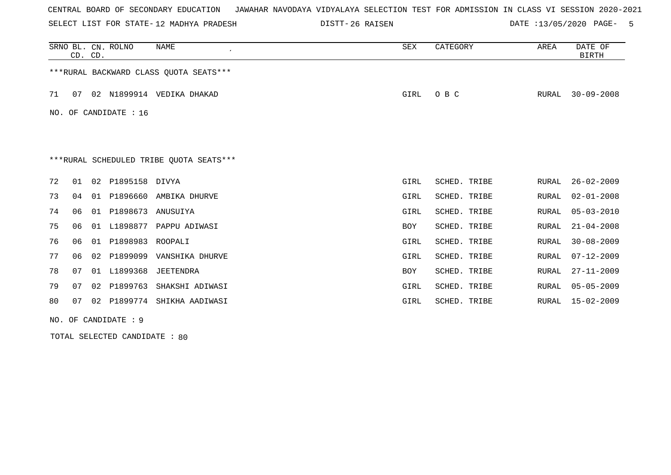SELECT LIST FOR STATE- DISTT- 12 MADHYA PRADESH

26 RAISEN DATE :13/05/2020 PAGE- 5

|    |                       | CD. CD. | SRNO BL. CN. ROLNO   | NAME                                    | SEX        | CATEGORY     | AREA  | DATE OF<br><b>BIRTH</b> |  |
|----|-----------------------|---------|----------------------|-----------------------------------------|------------|--------------|-------|-------------------------|--|
|    |                       |         |                      | ***RURAL BACKWARD CLASS QUOTA SEATS***  |            |              |       |                         |  |
| 71 | 07                    |         |                      | 02 N1899914 VEDIKA DHAKAD               | GIRL       | O B C        | RURAL | $30 - 09 - 2008$        |  |
|    | NO. OF CANDIDATE : 16 |         |                      |                                         |            |              |       |                         |  |
|    |                       |         |                      |                                         |            |              |       |                         |  |
|    |                       |         |                      | ***RURAL SCHEDULED TRIBE QUOTA SEATS*** |            |              |       |                         |  |
| 72 | 01                    | 02      | P1895158 DIVYA       |                                         | GIRL       | SCHED. TRIBE | RURAL | $26 - 02 - 2009$        |  |
| 73 | 04                    | 01      | P1896660             | AMBIKA DHURVE                           | GIRL       | SCHED. TRIBE | RURAL | $02 - 01 - 2008$        |  |
| 74 | 06                    | 01      | P1898673             | ANUSUIYA                                | GIRL       | SCHED. TRIBE | RURAL | $05 - 03 - 2010$        |  |
| 75 | 06                    | 01      | L1898877             | PAPPU ADIWASI                           | <b>BOY</b> | SCHED. TRIBE | RURAL | $21 - 04 - 2008$        |  |
| 76 | 06                    | 01      | P1898983             | ROOPALI                                 | GIRL       | SCHED. TRIBE | RURAL | $30 - 08 - 2009$        |  |
| 77 | 06                    | 02      | P1899099             | VANSHIKA DHURVE                         | GIRL       | SCHED. TRIBE | RURAL | $07 - 12 - 2009$        |  |
| 78 | 07                    | 01      | L1899368             | JEETENDRA                               | <b>BOY</b> | SCHED. TRIBE | RURAL | $27 - 11 - 2009$        |  |
| 79 | 07                    | 02      | P1899763             | SHAKSHI ADIWASI                         | GIRL       | SCHED. TRIBE | RURAL | $05 - 05 - 2009$        |  |
| 80 | 07                    | 02      |                      | P1899774 SHIKHA AADIWASI                | GIRL       | SCHED. TRIBE | RURAL | $15 - 02 - 2009$        |  |
|    |                       |         | NO. OF CANDIDATE : 9 |                                         |            |              |       |                         |  |

TOTAL SELECTED CANDIDATE : 80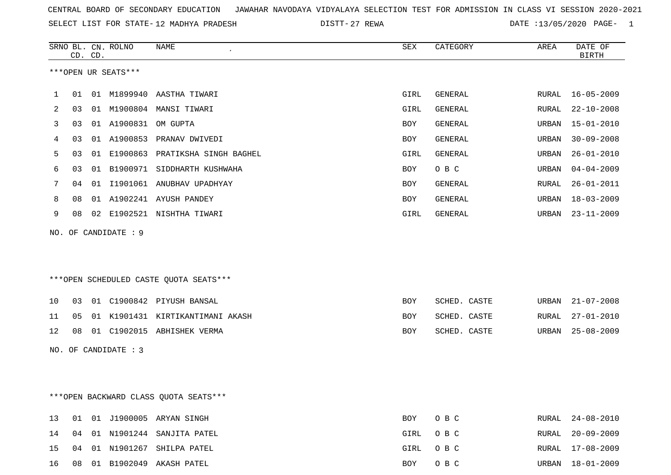SELECT LIST FOR STATE- DISTT- 12 MADHYA PRADESH

27 REWA DATE :13/05/2020 PAGE- 1

|    |                                        | CD. CD. | SRNO BL. CN. ROLNO   | <b>NAME</b>                            | ${\tt SEX}$ | CATEGORY     | AREA         | DATE OF<br><b>BIRTH</b> |
|----|----------------------------------------|---------|----------------------|----------------------------------------|-------------|--------------|--------------|-------------------------|
|    |                                        |         | ***OPEN UR SEATS***  |                                        |             |              |              |                         |
|    |                                        |         |                      |                                        |             |              |              |                         |
| 1  | 01                                     |         |                      | 01 M1899940 AASTHA TIWARI              | GIRL        | GENERAL      | RURAL        | $16 - 05 - 2009$        |
| 2  | 03                                     |         |                      | 01 M1900804 MANSI TIWARI               | GIRL        | GENERAL      | RURAL        | $22 - 10 - 2008$        |
| 3  | 03                                     |         | 01 A1900831          | OM GUPTA                               | BOY         | GENERAL      | URBAN        | $15 - 01 - 2010$        |
| 4  | 03                                     |         |                      | 01 A1900853 PRANAV DWIVEDI             | BOY         | GENERAL      | <b>URBAN</b> | $30 - 09 - 2008$        |
| 5  | 03                                     |         |                      | 01 E1900863 PRATIKSHA SINGH BAGHEL     | GIRL        | GENERAL      | <b>URBAN</b> | $26 - 01 - 2010$        |
| 6  | 03                                     |         |                      | 01 B1900971 SIDDHARTH KUSHWAHA         | BOY         | O B C        | <b>URBAN</b> | $04 - 04 - 2009$        |
| 7  | 04                                     |         |                      | 01 I1901061 ANUBHAV UPADHYAY           | <b>BOY</b>  | GENERAL      | RURAL        | $26 - 01 - 2011$        |
| 8  | 08                                     |         |                      | 01 A1902241 AYUSH PANDEY               | BOY         | GENERAL      | URBAN        | $18 - 03 - 2009$        |
| 9  | 08                                     |         |                      | 02 E1902521 NISHTHA TIWARI             | GIRL        | GENERAL      | URBAN        | $23 - 11 - 2009$        |
|    |                                        |         | NO. OF CANDIDATE : 9 |                                        |             |              |              |                         |
|    |                                        |         |                      |                                        |             |              |              |                         |
|    |                                        |         |                      |                                        |             |              |              |                         |
|    |                                        |         |                      | ***OPEN SCHEDULED CASTE QUOTA SEATS*** |             |              |              |                         |
|    |                                        |         |                      |                                        |             |              |              |                         |
| 10 | 03                                     |         |                      | 01 C1900842 PIYUSH BANSAL              | BOY         | SCHED. CASTE | URBAN        | $21 - 07 - 2008$        |
| 11 | 05                                     |         |                      | 01 K1901431 KIRTIKANTIMANI AKASH       | BOY         | SCHED. CASTE | RURAL        | $27 - 01 - 2010$        |
| 12 | 08                                     |         |                      | 01 C1902015 ABHISHEK VERMA             | BOY         | SCHED. CASTE | URBAN        | $25 - 08 - 2009$        |
|    |                                        |         | NO. OF CANDIDATE : 3 |                                        |             |              |              |                         |
|    |                                        |         |                      |                                        |             |              |              |                         |
|    |                                        |         |                      |                                        |             |              |              |                         |
|    | *** OPEN BACKWARD CLASS QUOTA SEATS*** |         |                      |                                        |             |              |              |                         |

|  |  | 13 01 01 J1900005 ARYAN SINGH   | BOY OBC  |  | RURAL 24-08-2010 |
|--|--|---------------------------------|----------|--|------------------|
|  |  | 14 04 01 N1901244 SANJITA PATEL | GIRL OBC |  | RURAL 20-09-2009 |
|  |  | 15 04 01 N1901267 SHILPA PATEL  | GIRL OBC |  | RURAL 17-08-2009 |
|  |  | 16 08 01 B1902049 AKASH PATEL   | BOY OBC  |  | URBAN 18-01-2009 |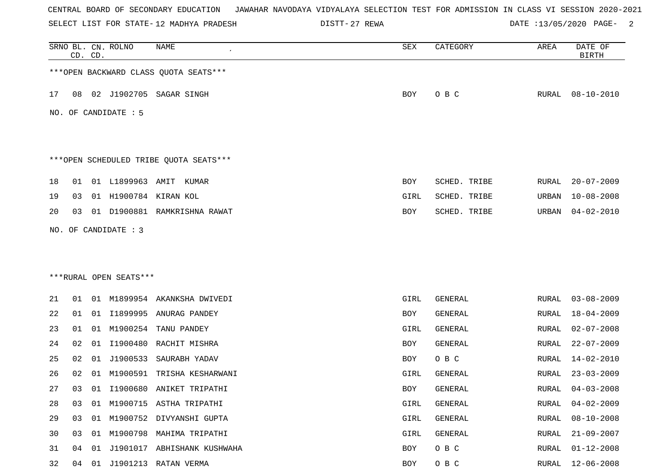SELECT LIST FOR STATE- DISTT- 12 MADHYA PRADESH

DISTT-27 REWA 2007 2020 DATE :13/05/2020 PAGE-

|    |    | CD. CD. | SRNO BL. CN. ROLNO                             | <b>NAME</b>                            | SEX        | CATEGORY       | AREA  | DATE OF<br><b>BIRTH</b> |
|----|----|---------|------------------------------------------------|----------------------------------------|------------|----------------|-------|-------------------------|
|    |    |         |                                                | *** OPEN BACKWARD CLASS QUOTA SEATS*** |            |                |       |                         |
| 17 | 08 |         |                                                | 02 J1902705 SAGAR SINGH                | BOY        | O B C          |       | RURAL 08-10-2010        |
|    |    |         | NO. OF CANDIDATE : 5                           |                                        |            |                |       |                         |
|    |    |         |                                                | ***OPEN SCHEDULED TRIBE QUOTA SEATS*** |            |                |       |                         |
| 18 | 01 |         | 01 L1899963 AMIT                               | KUMAR                                  | BOY        | SCHED. TRIBE   | RURAL | $20 - 07 - 2009$        |
| 19 | 03 |         |                                                | 01 H1900784 KIRAN KOL                  | GIRL       | SCHED. TRIBE   | URBAN | $10 - 08 - 2008$        |
| 20 | 03 |         |                                                | 01 D1900881 RAMKRISHNA RAWAT           | BOY        | SCHED. TRIBE   | URBAN | $04 - 02 - 2010$        |
|    |    |         | NO. OF CANDIDATE : 3<br>***RURAL OPEN SEATS*** |                                        |            |                |       |                         |
| 21 | 01 |         |                                                | 01 M1899954 AKANKSHA DWIVEDI           | GIRL       | GENERAL        | RURAL | $03 - 08 - 2009$        |
| 22 | 01 |         |                                                | 01 I1899995 ANURAG PANDEY              | BOY        | GENERAL        | RURAL | $18 - 04 - 2009$        |
| 23 | 01 | 01      | M1900254                                       | TANU PANDEY                            | GIRL       | <b>GENERAL</b> | RURAL | $02 - 07 - 2008$        |
| 24 | 02 | 01      | I1900480                                       | RACHIT MISHRA                          | BOY        | <b>GENERAL</b> | RURAL | $22 - 07 - 2009$        |
| 25 | 02 | 01      | J1900533                                       | SAURABH YADAV                          | <b>BOY</b> | O B C          | RURAL | $14 - 02 - 2010$        |
| 26 | 02 | 01      | M1900591                                       | TRISHA KESHARWANI                      | GIRL       | GENERAL        | RURAL | $23 - 03 - 2009$        |
| 27 | 03 |         |                                                | 01 I1900680 ANIKET TRIPATHI            | <b>BOY</b> | GENERAL        | RURAL | $04 - 03 - 2008$        |
| 28 | 03 |         |                                                | 01 M1900715 ASTHA TRIPATHI             | GIRL       | GENERAL        | RURAL | $04 - 02 - 2009$        |
| 29 | 03 |         |                                                | 01 M1900752 DIVYANSHI GUPTA            | GIRL       | GENERAL        | RURAL | $08 - 10 - 2008$        |
| 30 | 03 |         |                                                | 01 M1900798 MAHIMA TRIPATHI            | GIRL       | GENERAL        | RURAL | $21 - 09 - 2007$        |
| 31 | 04 | 01      |                                                | J1901017 ABHISHANK KUSHWAHA            | BOY        | O B C          | RURAL | $01 - 12 - 2008$        |
| 32 | 04 |         |                                                | 01 J1901213 RATAN VERMA                | BOY        | O B C          | RURAL | $12 - 06 - 2008$        |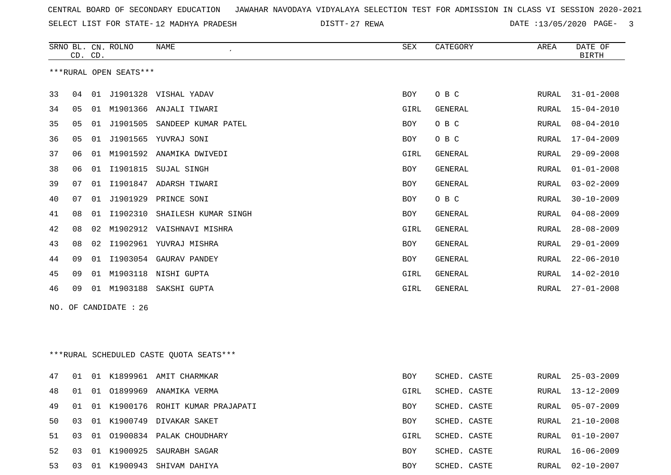SELECT LIST FOR STATE- DISTT- 12 MADHYA PRADESH

27 REWA DATE :13/05/2020 PAGE- 3

|    | CD. CD. |    | SRNO BL. CN. ROLNO     | <b>NAME</b>               | <b>SEX</b> | CATEGORY       | AREA  | DATE OF<br><b>BIRTH</b> |
|----|---------|----|------------------------|---------------------------|------------|----------------|-------|-------------------------|
|    |         |    | ***RURAL OPEN SEATS*** |                           |            |                |       |                         |
| 33 | 04      | 01 | J1901328               | VISHAL YADAV              | <b>BOY</b> | O B C          | RURAL | $31 - 01 - 2008$        |
| 34 | 05      | 01 | M1901366               | ANJALI TIWARI             | GIRL       | <b>GENERAL</b> | RURAL | $15 - 04 - 2010$        |
| 35 | 05      | 01 | J1901505               | SANDEEP KUMAR PATEL       | BOY        | O B C          | RURAL | $08 - 04 - 2010$        |
| 36 | 05      | 01 |                        | J1901565 YUVRAJ SONI      | <b>BOY</b> | O B C          | RURAL | $17 - 04 - 2009$        |
| 37 | 06      | 01 | M1901592               | ANAMIKA DWIVEDI           | GIRL       | <b>GENERAL</b> | RURAL | $29 - 09 - 2008$        |
| 38 | 06      | 01 | I1901815               | SUJAL SINGH               | <b>BOY</b> | <b>GENERAL</b> | RURAL | $01 - 01 - 2008$        |
| 39 | 07      | 01 | I1901847               | ADARSH TIWARI             | <b>BOY</b> | <b>GENERAL</b> | RURAL | $03 - 02 - 2009$        |
| 40 | 07      | 01 | J1901929               | PRINCE SONI               | <b>BOY</b> | O B C          | RURAL | $30 - 10 - 2009$        |
| 41 | 08      | 01 | I1902310               | SHAILESH KUMAR SINGH      | <b>BOY</b> | <b>GENERAL</b> | RURAL | $04 - 08 - 2009$        |
| 42 | 08      | 02 |                        | M1902912 VAISHNAVI MISHRA | GIRL       | <b>GENERAL</b> | RURAL | $28 - 08 - 2009$        |
| 43 | 08      | 02 | I1902961               | YUVRAJ MISHRA             | <b>BOY</b> | <b>GENERAL</b> | RURAL | $29 - 01 - 2009$        |
| 44 | 09      | 01 | I1903054               | GAURAV PANDEY             | <b>BOY</b> | <b>GENERAL</b> | RURAL | $22 - 06 - 2010$        |
| 45 | 09      | 01 | M1903118               | NISHI GUPTA               | GIRL       | <b>GENERAL</b> | RURAL | $14 - 02 - 2010$        |
| 46 | 09      | 01 | M1903188               | SAKSHI GUPTA              | GIRL       | <b>GENERAL</b> | RURAL | $27 - 01 - 2008$        |
|    |         |    |                        |                           |            |                |       |                         |

NO. OF CANDIDATE : 26

\*\*\*RURAL SCHEDULED CASTE QUOTA SEATS\*\*\*

| 47 | 01             |     |             | 01 K1899961 AMIT CHARMKAR         | BOY        | SCHED. CASTE |       | RURAL 25-03-2009 |
|----|----------------|-----|-------------|-----------------------------------|------------|--------------|-------|------------------|
| 48 | 01             |     | 01 01899969 | ANAMIKA VERMA                     | GIRL       | SCHED. CASTE | RURAL | $13 - 12 - 2009$ |
| 49 | 01             |     |             | 01 K1900176 ROHIT KUMAR PRAJAPATI | <b>BOY</b> | SCHED. CASTE |       | RURAL 05-07-2009 |
| 50 | 03             |     |             | 01 K1900749 DIVAKAR SAKET         | <b>BOY</b> | SCHED. CASTE |       | RURAL 21-10-2008 |
| 51 | 03             |     |             | 01 01900834 PALAK CHOUDHARY       | GIRL       | SCHED. CASTE |       | RURAL 01-10-2007 |
| 52 | 0 <sub>3</sub> |     |             | 01 K1900925 SAURABH SAGAR         | <b>BOY</b> | SCHED. CASTE |       | RURAL 16-06-2009 |
| 53 | 03             | -01 | K1900943    | SHIVAM DAHIYA                     | BOY        | SCHED. CASTE | RURAL | 02-10-2007       |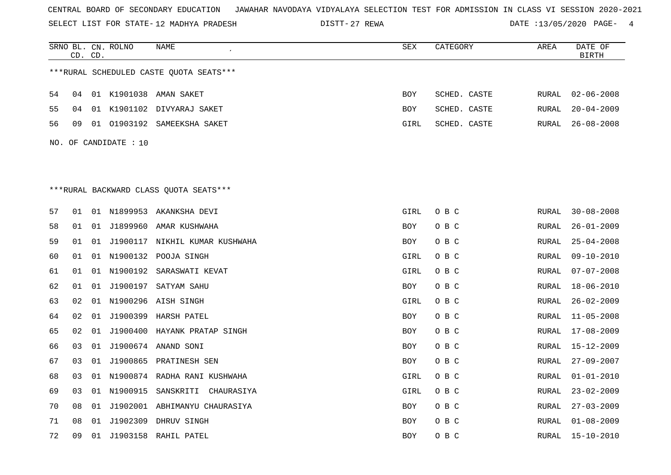SELECT LIST FOR STATE- DISTT- 12 MADHYA PRADESH

DISTT-27 REWA 20020 DATE :13/05/2020 PAGE- 4

|    | CD. CD. |    | SRNO BL. CN. ROLNO    | NAME                                    | ${\tt SEX}$ | CATEGORY     | AREA  | DATE OF<br><b>BIRTH</b> |
|----|---------|----|-----------------------|-----------------------------------------|-------------|--------------|-------|-------------------------|
|    |         |    |                       | ***RURAL SCHEDULED CASTE QUOTA SEATS*** |             |              |       |                         |
| 54 | 04      |    |                       | 01 K1901038 AMAN SAKET                  | <b>BOY</b>  | SCHED. CASTE | RURAL | $02 - 06 - 2008$        |
| 55 | 04      |    |                       | 01 K1901102 DIVYARAJ SAKET              | BOY         | SCHED. CASTE | RURAL | $20 - 04 - 2009$        |
| 56 | 09      | 01 |                       | 01903192 SAMEEKSHA SAKET                | GIRL        | SCHED. CASTE | RURAL | $26 - 08 - 2008$        |
|    |         |    | NO. OF CANDIDATE : 10 |                                         |             |              |       |                         |
|    |         |    |                       |                                         |             |              |       |                         |
|    |         |    |                       |                                         |             |              |       |                         |
|    |         |    |                       | ***RURAL BACKWARD CLASS OUOTA SEATS***  |             |              |       |                         |
| 57 | 01      |    |                       | 01 N1899953 AKANKSHA DEVI               | GIRL        | O B C        | RURAL | $30 - 08 - 2008$        |
| 58 | 01      |    |                       | 01 J1899960 AMAR KUSHWAHA               | BOY         | O B C        | RURAL | $26 - 01 - 2009$        |
|    |         |    |                       |                                         |             |              |       |                         |
| 59 | 01      | 01 |                       | J1900117 NIKHIL KUMAR KUSHWAHA          | BOY         | O B C        | RURAL | $25 - 04 - 2008$        |
| 60 | 01      |    |                       | 01 N1900132 POOJA SINGH                 | GIRL        | O B C        | RURAL | $09 - 10 - 2010$        |
| 61 | 01      |    |                       | 01 N1900192 SARASWATI KEVAT             | GIRL        | O B C        | RURAL | $07 - 07 - 2008$        |
| 62 | 01      | 01 | J1900197              | SATYAM SAHU                             | BOY         | O B C        | RURAL | $18 - 06 - 2010$        |
| 63 | 02      |    |                       | 01 N1900296 AISH SINGH                  | GIRL        | O B C        | RURAL | $26 - 02 - 2009$        |
| 64 | 02      | 01 | J1900399              | HARSH PATEL                             | BOY         | O B C        | RURAL | $11 - 05 - 2008$        |
| 65 | 02      | 01 | J1900400              | HAYANK PRATAP SINGH                     | <b>BOY</b>  | O B C        | RURAL | $17 - 08 - 2009$        |
| 66 | 03      |    |                       | 01 J1900674 ANAND SONI                  | BOY         | O B C        | RURAL | $15 - 12 - 2009$        |
| 67 | 03      | 01 |                       | J1900865 PRATINESH SEN                  | BOY         | O B C        | RURAL | $27 - 09 - 2007$        |
| 68 | 03      |    |                       | 01 N1900874 RADHA RANI KUSHWAHA         | GIRL        | O B C        | RURAL | $01 - 01 - 2010$        |
| 69 | 03      | 01 | N1900915              | SANSKRITI CHAURASIYA                    | GIRL        | O B C        | RURAL | $23 - 02 - 2009$        |
| 70 | 08      | 01 |                       | J1902001 ABHIMANYU CHAURASIYA           | BOY         | O B C        | RURAL | $27 - 03 - 2009$        |
| 71 | 08      |    | 01 J1902309           | DHRUV SINGH                             | <b>BOY</b>  | O B C        | RURAL | $01 - 08 - 2009$        |
| 72 | 09      |    |                       | 01 J1903158 RAHIL PATEL                 | <b>BOY</b>  | O B C        |       | RURAL 15-10-2010        |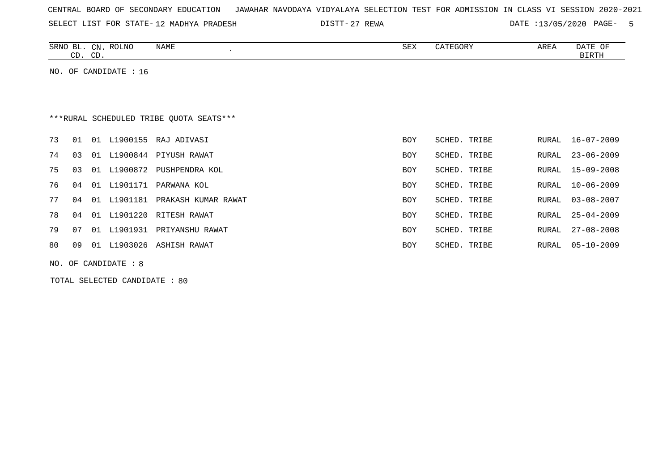| CENTRAL BOARD OF SECONDARY EDUCATION – JAWAHAR NAVODAYA VIDYALAYA SELECTION TEST FOR ADMISSION IN CLASS VI SESSION 2020-2021 |  |  |  |  |
|------------------------------------------------------------------------------------------------------------------------------|--|--|--|--|
|------------------------------------------------------------------------------------------------------------------------------|--|--|--|--|

SELECT LIST FOR STATE- DISTT- 12 MADHYA PRADESH

27 REWA DATE :13/05/2020 PAGE- 5

| SRNO<br>$\sim$<br>ப | <b>ROLNC</b><br>CN. | <b>NAME</b> | SEX | CATEGORY | AREA | DATE<br>OF   |
|---------------------|---------------------|-------------|-----|----------|------|--------------|
| $\sim$ $\sim$<br>ىت | $\cap$<br>ັບມ       |             |     |          |      | <b>BIRTH</b> |

NO. OF CANDIDATE : 16

# \*\*\*RURAL SCHEDULED TRIBE QUOTA SEATS\*\*\*

| 73 | 01 01 |    | L1900155    | RAJ ADIVASI         | <b>BOY</b> | SCHED. TRIBE |       | RURAL 16-07-2009 |
|----|-------|----|-------------|---------------------|------------|--------------|-------|------------------|
| 74 | 03    |    | 01 L1900844 | PIYUSH RAWAT        | BOY        | SCHED. TRIBE | RURAL | 23-06-2009       |
| 75 | 03    | 01 | L1900872    | PUSHPENDRA KOL      | <b>BOY</b> | SCHED. TRIBE | RURAL | 15-09-2008       |
| 76 | 04    | 01 | L1901171    | PARWANA KOL         | <b>BOY</b> | SCHED. TRIBE | RURAL | 10-06-2009       |
| 77 | 04    | 01 | L1901181    | PRAKASH KUMAR RAWAT | <b>BOY</b> | SCHED. TRIBE | RURAL | $03 - 08 - 2007$ |
| 78 | 04    | 01 | L1901220    | RITESH RAWAT        | <b>BOY</b> | SCHED, TRIBE |       | RURAL 25-04-2009 |
| 79 | 07    | 01 | L1901931    | PRIYANSHU RAWAT     | <b>BOY</b> | SCHED. TRIBE | RURAL | 27-08-2008       |
| 80 | 09    | 01 | L1903026    | ASHISH RAWAT        | <b>BOY</b> | SCHED. TRIBE | RURAL | $05 - 10 - 2009$ |

NO. OF CANDIDATE : 8

TOTAL SELECTED CANDIDATE : 80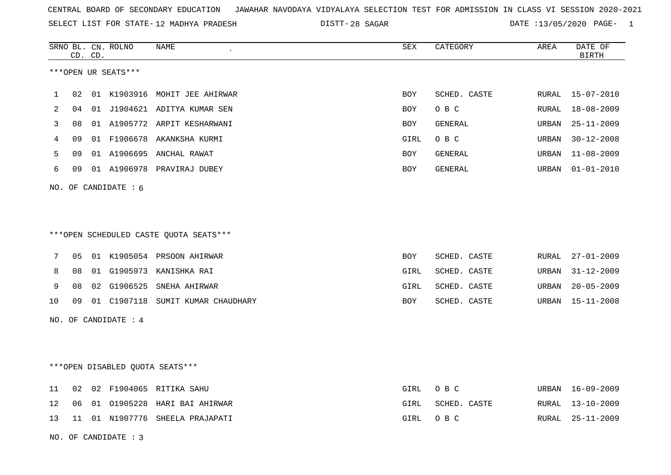SELECT LIST FOR STATE- DISTT- 12 MADHYA PRADESH

28 SAGAR DATE :13/05/2020 PAGE- 1

|    |    | CD. CD. | SRNO BL. CN. ROLNO     | NAME                                    | SEX  | CATEGORY     | AREA  | DATE OF<br><b>BIRTH</b> |
|----|----|---------|------------------------|-----------------------------------------|------|--------------|-------|-------------------------|
|    |    |         | ***OPEN UR SEATS***    |                                         |      |              |       |                         |
| 1  | 02 |         |                        | 01 K1903916 MOHIT JEE AHIRWAR           | BOY  | SCHED. CASTE |       | RURAL 15-07-2010        |
| 2  | 04 |         |                        | 01 J1904621 ADITYA KUMAR SEN            | BOY  | O B C        | RURAL | 18-08-2009              |
| 3  | 08 |         |                        | 01 A1905772 ARPIT KESHARWANI            | BOY  | GENERAL      | URBAN | $25 - 11 - 2009$        |
| 4  | 09 |         |                        | 01 F1906678 AKANKSHA KURMI              | GIRL | O B C        | URBAN | $30 - 12 - 2008$        |
| 5  | 09 |         |                        | 01 A1906695 ANCHAL RAWAT                | BOY  | GENERAL      | URBAN | $11 - 08 - 2009$        |
| 6  | 09 |         |                        | 01 A1906978 PRAVIRAJ DUBEY              | BOY  | GENERAL      | URBAN | $01 - 01 - 2010$        |
|    |    |         | NO. OF CANDIDATE : $6$ |                                         |      |              |       |                         |
|    |    |         |                        |                                         |      |              |       |                         |
|    |    |         |                        |                                         |      |              |       |                         |
|    |    |         |                        | *** OPEN SCHEDULED CASTE QUOTA SEATS*** |      |              |       |                         |
| 7  | 05 |         |                        | 01 K1905054 PRSOON AHIRWAR              | BOY  | SCHED. CASTE | RURAL | $27 - 01 - 2009$        |
| 8  | 08 |         |                        | 01 G1905973 KANISHKA RAI                | GIRL | SCHED. CASTE | URBAN | $31 - 12 - 2009$        |
| 9  | 08 |         |                        | 02 G1906525 SNEHA AHIRWAR               | GIRL | SCHED. CASTE | URBAN | $20 - 05 - 2009$        |
| 10 | 09 |         |                        | 01 C1907118 SUMIT KUMAR CHAUDHARY       | BOY  | SCHED. CASTE | URBAN | 15-11-2008              |
|    |    |         | NO. OF CANDIDATE : 4   |                                         |      |              |       |                         |
|    |    |         |                        |                                         |      |              |       |                         |
|    |    |         |                        |                                         |      |              |       |                         |
|    |    |         |                        | *** OPEN DISABLED QUOTA SEATS***        |      |              |       |                         |
| 11 | 02 |         |                        | 02 F1904065 RITIKA SAHU                 | GIRL | O B C        | URBAN | 16-09-2009              |
| 12 | 06 |         |                        | 01 01905228 HARI BAI AHIRWAR            | GIRL | SCHED. CASTE | RURAL | $13 - 10 - 2009$        |
| 13 | 11 |         |                        | 01 N1907776 SHEELA PRAJAPATI            | GIRL | O B C        | RURAL | $25 - 11 - 2009$        |
|    |    |         | NO. OF CANDIDATE : 3   |                                         |      |              |       |                         |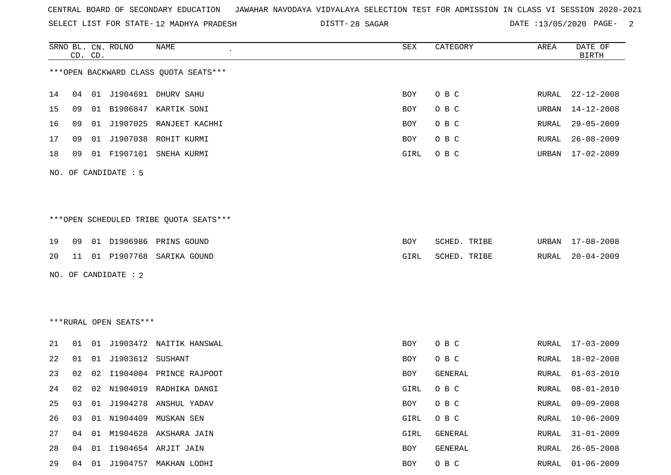SELECT LIST FOR STATE- DISTT- 12 MADHYA PRADESH

DISTT-28 SAGAR DATE :13/05/2020 PAGE- 2

|    |    | CD. CD. | SRNO BL. CN. ROLNO     | <b>NAME</b>                            | SEX        | CATEGORY     | AREA         | DATE OF<br><b>BIRTH</b> |
|----|----|---------|------------------------|----------------------------------------|------------|--------------|--------------|-------------------------|
|    |    |         |                        | *** OPEN BACKWARD CLASS QUOTA SEATS*** |            |              |              |                         |
| 14 | 04 |         |                        | 01 J1904691 DHURV SAHU                 | BOY        | O B C        | RURAL        | $22 - 12 - 2008$        |
| 15 | 09 | 01      | B1906847               | KARTIK SONI                            | BOY        | O B C        | URBAN        | $14 - 12 - 2008$        |
| 16 | 09 |         |                        | 01 J1907025 RANJEET KACHHI             | BOY        | O B C        | RURAL        | $29 - 05 - 2009$        |
| 17 | 09 |         |                        | 01 J1907038 ROHIT KURMI                | BOY        | O B C        | RURAL        | $26 - 08 - 2009$        |
| 18 | 09 |         |                        | 01 F1907101 SNEHA KURMI                | GIRL       | O B C        | URBAN        | $17 - 02 - 2009$        |
|    |    |         | NO. OF CANDIDATE : 5   |                                        |            |              |              |                         |
|    |    |         |                        |                                        |            |              |              |                         |
|    |    |         |                        | ***OPEN SCHEDULED TRIBE QUOTA SEATS*** |            |              |              |                         |
| 19 | 09 |         |                        | 01 D1906986 PRINS GOUND                | BOY        | SCHED. TRIBE | URBAN        | 17-08-2008              |
| 20 | 11 |         |                        | 01 P1907768 SARIKA GOUND               | GIRL       | SCHED. TRIBE | RURAL        | $20 - 04 - 2009$        |
|    |    |         | NO. OF CANDIDATE : 2   |                                        |            |              |              |                         |
|    |    |         |                        |                                        |            |              |              |                         |
|    |    |         |                        |                                        |            |              |              |                         |
|    |    |         | ***RURAL OPEN SEATS*** |                                        |            |              |              |                         |
| 21 | 01 |         |                        | 01 J1903472 NAITIK HANSWAL             | <b>BOY</b> | O B C        | RURAL        | $17 - 03 - 2009$        |
| 22 | 01 | 01      | J1903612 SUSHANT       |                                        | BOY        | O B C        | RURAL        | $18 - 02 - 2008$        |
| 23 | 02 | 02      | I1904004               | PRINCE RAJPOOT                         | BOY        | GENERAL      | RURAL        | $01 - 03 - 2010$        |
| 24 | 02 |         |                        | 02 N1904019 RADHIKA DANGI              | GIRL       | O B C        | RURAL        | $08 - 01 - 2010$        |
| 25 | 03 |         |                        | 01 J1904278 ANSHUL YADAV               | BOY        | O B C        | RURAL        | $09 - 09 - 2008$        |
| 26 | 03 |         | 01 N1904409            | MUSKAN SEN                             | GIRL       | O B C        | <b>RURAL</b> | $10 - 06 - 2009$        |
| 27 | 04 |         |                        | 01 M1904628 AKSHARA JAIN               | GIRL       | GENERAL      | RURAL        | $31 - 01 - 2009$        |
| 28 | 04 | 01      |                        | I1904654 ARJIT JAIN                    | BOY        | GENERAL      | RURAL        | $26 - 05 - 2008$        |
| 29 | 04 |         |                        | 01 J1904757 MAKHAN LODHI               | BOY        | O B C        | RURAL        | $01 - 06 - 2009$        |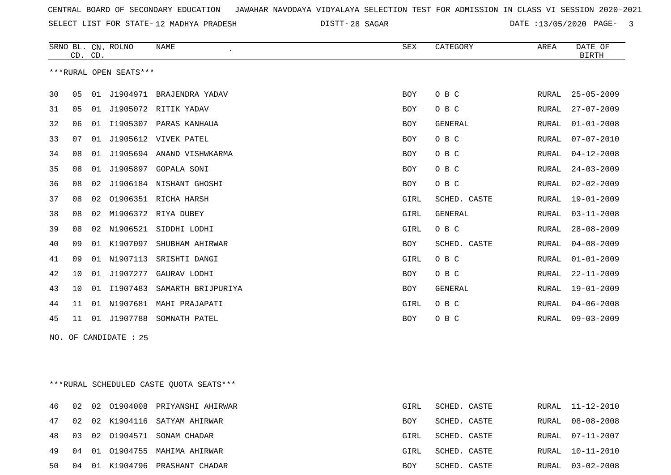SELECT LIST FOR STATE- DISTT- 12 MADHYA PRADESH

28 SAGAR DATE :13/05/2020 PAGE- 3

|    | CD. CD. |    | SRNO BL. CN. ROLNO     | NAME                       | <b>SEX</b> | CATEGORY       | AREA         | DATE OF<br><b>BIRTH</b> |
|----|---------|----|------------------------|----------------------------|------------|----------------|--------------|-------------------------|
|    |         |    | ***RURAL OPEN SEATS*** |                            |            |                |              |                         |
| 30 | 05      | 01 | J1904971               | BRAJENDRA YADAV            | <b>BOY</b> | O B C          | RURAL        | $25 - 05 - 2009$        |
| 31 | 05      | 01 | J1905072               | RITIK YADAV                | <b>BOY</b> | O B C          | RURAL        | $27 - 07 - 2009$        |
| 32 | 06      | 01 | I1905307               | PARAS KANHAUA              | <b>BOY</b> | <b>GENERAL</b> | RURAL        | $01 - 01 - 2008$        |
| 33 | 07      | 01 |                        | J1905612 VIVEK PATEL       | BOY        | O B C          | RURAL        | $07 - 07 - 2010$        |
| 34 | 08      | 01 |                        | J1905694 ANAND VISHWKARMA  | <b>BOY</b> | O B C          | RURAL        | $04 - 12 - 2008$        |
| 35 | 08      | 01 |                        | J1905897 GOPALA SONI       | <b>BOY</b> | O B C          | RURAL        | $24 - 03 - 2009$        |
| 36 | 08      |    |                        | 02 J1906184 NISHANT GHOSHI | BOY        | O B C          | RURAL        | $02 - 02 - 2009$        |
| 37 | 08      | 02 |                        | 01906351 RICHA HARSH       | GIRL       | SCHED. CASTE   | RURAL        | $19 - 01 - 2009$        |
| 38 | 08      | 02 | M1906372               | RIYA DUBEY                 | GIRL       | <b>GENERAL</b> | RURAL        | $03 - 11 - 2008$        |
| 39 | 08      | 02 | N1906521               | SIDDHI LODHI               | GIRL       | O B C          | <b>RURAL</b> | $28 - 08 - 2009$        |
| 40 | 09      | 01 | K1907097               | SHUBHAM AHIRWAR            | <b>BOY</b> | SCHED. CASTE   | RURAL        | $04 - 08 - 2009$        |
| 41 | 09      | 01 | N1907113               | SRISHTI DANGI              | GIRL       | O B C          | RURAL        | $01 - 01 - 2009$        |
| 42 | 10      | 01 | J1907277               | GAURAV LODHI               | <b>BOY</b> | O B C          | RURAL        | $22 - 11 - 2009$        |
| 43 | 10      | 01 | I1907483               | SAMARTH BRIJPURIYA         | <b>BOY</b> | <b>GENERAL</b> | RURAL        | $19 - 01 - 2009$        |
| 44 | 11      |    |                        | 01 N1907681 MAHI PRAJAPATI | GIRL       | O B C          | RURAL        | $04 - 06 - 2008$        |
| 45 | 11      |    |                        | 01 J1907788 SOMNATH PATEL  | BOY        | O B C          | RURAL        | $09 - 03 - 2009$        |
|    |         |    | NO. OF CANDIDATE : 25  |                            |            |                |              |                         |

\*\*\*RURAL SCHEDULED CASTE QUOTA SEATS\*\*\*

|  |  | 46 02 02 01904008 PRIYANSHI AHIRWAR | GIRL | SCHED. CASTE |  | RURAL 11-12-2010 |
|--|--|-------------------------------------|------|--------------|--|------------------|
|  |  | 47 02 02 K1904116 SATYAM AHIRWAR    | BOY  | SCHED. CASTE |  | RURAL 08-08-2008 |
|  |  | 48 03 02 01904571 SONAM CHADAR      | GIRL | SCHED. CASTE |  | RURAL 07-11-2007 |
|  |  | 49 04 01 01904755 MAHIMA AHIRWAR    | GIRL | SCHED. CASTE |  | RURAL 10-11-2010 |
|  |  | 50 04 01 K1904796 PRASHANT CHADAR   | BOY  | SCHED. CASTE |  | RURAL 03-02-2008 |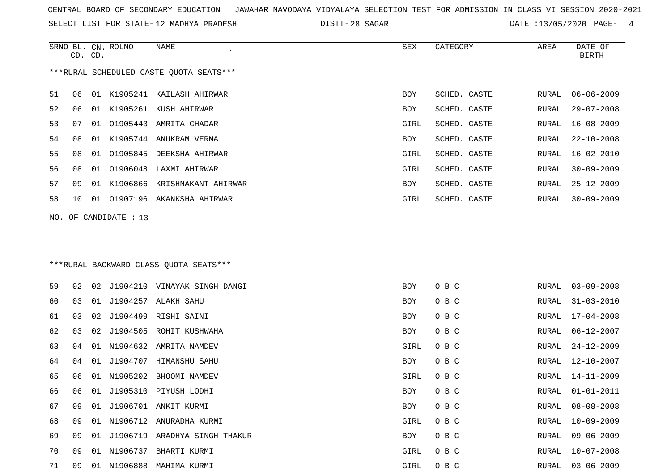SELECT LIST FOR STATE- DISTT- 12 MADHYA PRADESH

SRNO BL. CN.

ROLNO NAME SEX CATEGORY AREA DATE OF

28 SAGAR DATE :13/05/2020 PAGE- 4

|    | CD. CD. |    |                       |                                         |            |              |              | BIRTH            |
|----|---------|----|-----------------------|-----------------------------------------|------------|--------------|--------------|------------------|
|    |         |    |                       | ***RURAL SCHEDULED CASTE QUOTA SEATS*** |            |              |              |                  |
| 51 | 06      |    |                       | 01 K1905241 KAILASH AHIRWAR             | BOY        | SCHED. CASTE | RURAL        | $06 - 06 - 2009$ |
| 52 | 06      | 01 |                       | K1905261 KUSH AHIRWAR                   | BOY        | SCHED. CASTE | RURAL        | $29 - 07 - 2008$ |
| 53 | 07      | 01 |                       | 01905443 AMRITA CHADAR                  | GIRL       | SCHED. CASTE | RURAL        | $16 - 08 - 2009$ |
| 54 | 08      | 01 |                       | K1905744 ANUKRAM VERMA                  | BOY        | SCHED. CASTE | RURAL        | $22 - 10 - 2008$ |
| 55 | 08      | 01 |                       | 01905845 DEEKSHA AHIRWAR                | GIRL       | SCHED. CASTE | RURAL        | $16 - 02 - 2010$ |
| 56 | 08      | 01 | 01906048              | LAXMI AHIRWAR                           | GIRL       | SCHED. CASTE | RURAL        | $30 - 09 - 2009$ |
| 57 | 09      |    |                       | 01 K1906866 KRISHNAKANT AHIRWAR         | BOY        | SCHED. CASTE | RURAL        | 25-12-2009       |
| 58 | 10      |    |                       | 01 01907196 AKANKSHA AHIRWAR            | GIRL       | SCHED. CASTE | RURAL        | $30 - 09 - 2009$ |
|    |         |    | NO. OF CANDIDATE : 13 |                                         |            |              |              |                  |
|    |         |    |                       | *** RURAL BACKWARD CLASS QUOTA SEATS*** |            |              |              |                  |
| 59 | 02      | 02 |                       | J1904210 VINAYAK SINGH DANGI            | <b>BOY</b> | O B C        | RURAL        | $03 - 09 - 2008$ |
| 60 | 03      | 01 | J1904257              | ALAKH SAHU                              | BOY        | O B C        | RURAL        | $31 - 03 - 2010$ |
| 61 | 03      | 02 |                       | J1904499 RISHI SAINI                    | BOY        | O B C        | RURAL        | 17-04-2008       |
| 62 | 03      | 02 | J1904505              | ROHIT KUSHWAHA                          | BOY        | O B C        | RURAL        | $06 - 12 - 2007$ |
| 63 | 04      | 01 |                       | N1904632 AMRITA NAMDEV                  | GIRL       | O B C        | RURAL        | 24-12-2009       |
| 64 | 04      | 01 | J1904707              | HIMANSHU SAHU                           | BOY        | O B C        | RURAL        | 12-10-2007       |
| 65 | 06      | 01 |                       | N1905202 BHOOMI NAMDEV                  | GIRL       | O B C        | RURAL        | $14 - 11 - 2009$ |
| 66 | 06      | 01 |                       | J1905310 PIYUSH LODHI                   | BOY        | O B C        | RURAL        | $01 - 01 - 2011$ |
| 67 | 09      | 01 |                       | J1906701 ANKIT KURMI                    | BOY        | O B C        | RURAL        | $08 - 08 - 2008$ |
| 68 | 09      |    |                       | 01 N1906712 ANURADHA KURMI              | GIRL       | O B C        | RURAL        | 10-09-2009       |
| 69 | 09      |    |                       | 01 J1906719 ARADHYA SINGH THAKUR        | BOY        | O B C        | RURAL        | $09 - 06 - 2009$ |
| 70 | 09      |    |                       | 01 N1906737 BHARTI KURMI                | GIRL       | O B C        | <b>RURAL</b> | $10 - 07 - 2008$ |
| 71 | 09      |    |                       | 01 N1906888 MAHIMA KURMI                | GIRL       | O B C        | RURAL        | $03 - 06 - 2009$ |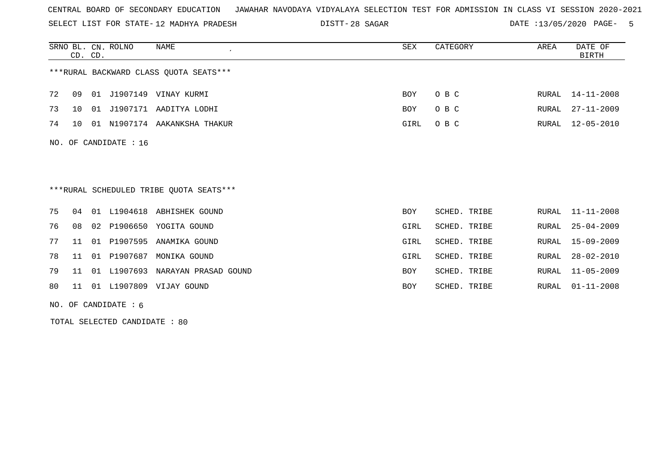SELECT LIST FOR STATE- DISTT- 12 MADHYA PRADESH

28 SAGAR DATE :13/05/2020 PAGE- 5

|     | CD. CD.         |    | SRNO BL. CN. ROLNO | NAME                                    | SEX        | CATEGORY        | AREA  | DATE OF<br><b>BIRTH</b> |
|-----|-----------------|----|--------------------|-----------------------------------------|------------|-----------------|-------|-------------------------|
|     |                 |    |                    | ***RURAL BACKWARD CLASS OUOTA SEATS***  |            |                 |       |                         |
| 72  | 09              |    |                    | 01 J1907149 VINAY KURMI                 | BOY        | O B C           | RURAL | 14-11-2008              |
| 73  | 10              |    |                    | 01 J1907171 AADITYA LODHI               | BOY        | O B C           | RURAL | $27 - 11 - 2009$        |
| 74  | 10 <sup>°</sup> | 01 |                    | N1907174 AAKANKSHA THAKUR               | GIRL       | O B C           | RURAL | $12 - 05 - 2010$        |
| NO. |                 |    | OF CANDIDATE : 16  |                                         |            |                 |       |                         |
|     |                 |    |                    |                                         |            |                 |       |                         |
|     |                 |    |                    |                                         |            |                 |       |                         |
|     |                 |    |                    | ***RURAL SCHEDULED TRIBE QUOTA SEATS*** |            |                 |       |                         |
| 75  | 04              |    |                    | 01 L1904618 ABHISHEK GOUND              | BOY        | SCHED. TRIBE    |       | RURAL 11-11-2008        |
| 76  | 08              | 02 | P1906650           | YOGITA GOUND                            | GIRL       | SCHED. TRIBE    | RURAL | $25 - 04 - 2009$        |
| 77  | 11              | 01 | P1907595           | ANAMIKA GOUND                           | GIRL       | SCHED. TRIBE    | RURAL | $15 - 09 - 2009$        |
| 78  | 11              | 01 | P1907687           | MONIKA GOUND                            | GIRL       | SCHED. TRIBE    | RURAL | $28 - 02 - 2010$        |
| 79  | 11              |    |                    | 01 L1907693 NARAYAN PRASAD GOUND        | BOY        | SCHED. TRIBE    | RURAL | 11-05-2009              |
| 80  | 11              |    |                    | 01 L1907809 VIJAY GOUND                 | <b>BOY</b> | SCHED.<br>TRIBE | RURAL | $01 - 11 - 2008$        |
|     |                 |    |                    |                                         |            |                 |       |                         |

NO. OF CANDIDATE : 6

TOTAL SELECTED CANDIDATE : 80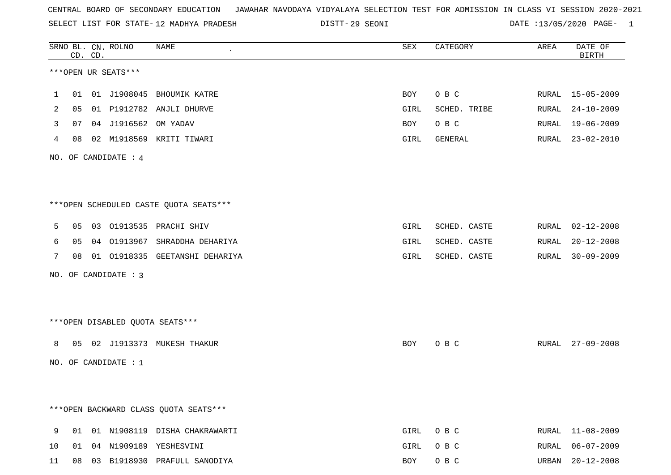SELECT LIST FOR STATE- DISTT- 12 MADHYA PRADESH

29 SEONI DATE :13/05/2020 PAGE- 1

| SRNO BL. CN. ROLNO    | CD. CD. |                        | NAME<br>$\pmb{\cdot}$                   | SEX  | CATEGORY     | AREA  | DATE OF<br>BIRTH |
|-----------------------|---------|------------------------|-----------------------------------------|------|--------------|-------|------------------|
|                       |         | ***OPEN UR SEATS***    |                                         |      |              |       |                  |
| 1                     |         |                        | 01 01 J1908045 BHOUMIK KATRE            | BOY  | O B C        |       | RURAL 15-05-2009 |
| 05<br>2               |         |                        | 01 P1912782 ANJLI DHURVE                | GIRL | SCHED. TRIBE | RURAL | 24-10-2009       |
| 07<br>3               |         | 04 J1916562 OM YADAV   |                                         | BOY  | O B C        | RURAL | 19-06-2009       |
| 4                     |         |                        | 08  02  M1918569  KRITI TIWARI          | GIRL | GENERAL      |       | RURAL 23-02-2010 |
|                       |         | NO. OF CANDIDATE : $4$ |                                         |      |              |       |                  |
|                       |         |                        |                                         |      |              |       |                  |
|                       |         |                        | ***OPEN SCHEDULED CASTE QUOTA SEATS***  |      |              |       |                  |
| 5                     |         |                        | 05 03 01913535 PRACHI SHIV              | GIRL | SCHED. CASTE |       | RURAL 02-12-2008 |
| 6<br>05               |         |                        | 04 01913967 SHRADDHA DEHARIYA           | GIRL | SCHED. CASTE | RURAL | $20 - 12 - 2008$ |
| $7\phantom{.0}$<br>08 |         |                        | 01 01918335 GEETANSHI DEHARIYA          | GIRL | SCHED. CASTE | RURAL | 30-09-2009       |
|                       |         | NO. OF CANDIDATE : 3   |                                         |      |              |       |                  |
|                       |         |                        |                                         |      |              |       |                  |
|                       |         |                        | ***OPEN DISABLED QUOTA SEATS***         |      |              |       |                  |
| 8                     |         |                        | 05 02 J1913373 MUKESH THAKUR            | BOY  | O B C        |       | RURAL 27-09-2008 |
|                       |         | NO. OF CANDIDATE : $1$ |                                         |      |              |       |                  |
|                       |         |                        |                                         |      |              |       |                  |
|                       |         |                        | *** OPEN BACKWARD CLASS QUOTA SEATS *** |      |              |       |                  |
| 9<br>01               |         |                        | 01 N1908119 DISHA CHAKRAWARTI           | GIRL | O B C        |       | RURAL 11-08-2009 |
| 10<br>01              |         |                        | 04 N1909189 YESHESVINI                  | GIRL | O B C        | RURAL | $06 - 07 - 2009$ |
| 11                    |         |                        | 08 03 B1918930 PRAFULL SANODIYA         | BOY  | O B C        |       | URBAN 20-12-2008 |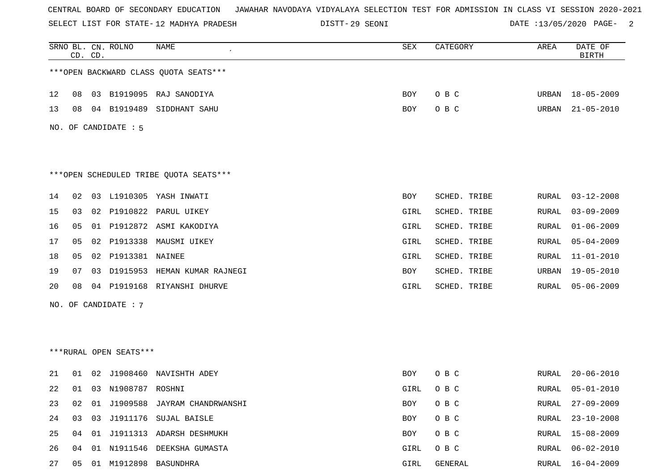SELECT LIST FOR STATE- DISTT- 12 MADHYA PRADESH

29 SEONI DATE :13/05/2020 PAGE- 2

|                                        |    | CD. CD. | SRNO BL. CN. ROLNO   | <b>NAME</b>                            | SEX  | CATEGORY     | AREA         | DATE OF<br><b>BIRTH</b> |  |
|----------------------------------------|----|---------|----------------------|----------------------------------------|------|--------------|--------------|-------------------------|--|
| *** OPEN BACKWARD CLASS QUOTA SEATS*** |    |         |                      |                                        |      |              |              |                         |  |
| 12                                     | 08 |         |                      | 03 B1919095 RAJ SANODIYA               | BOY  | O B C        | URBAN        | $18 - 05 - 2009$        |  |
| 13                                     | 08 |         | 04 B1919489          | SIDDHANT SAHU                          | BOY  | O B C        | URBAN        | $21 - 05 - 2010$        |  |
|                                        |    |         | NO. OF CANDIDATE : 5 |                                        |      |              |              |                         |  |
|                                        |    |         |                      | ***OPEN SCHEDULED TRIBE QUOTA SEATS*** |      |              |              |                         |  |
| 14                                     | 02 | 03      |                      | L1910305 YASH INWATI                   | BOY  | SCHED. TRIBE | RURAL        | $03 - 12 - 2008$        |  |
| 15                                     | 03 | 02      | P1910822             | PARUL UIKEY                            | GIRL | SCHED. TRIBE | RURAL        | $03 - 09 - 2009$        |  |
| 16                                     | 05 | 01      |                      | P1912872 ASMI KAKODIYA                 | GIRL | SCHED. TRIBE | RURAL        | $01 - 06 - 2009$        |  |
| 17                                     | 05 | 02      | P1913338             | MAUSMI UIKEY                           | GIRL | SCHED. TRIBE | RURAL        | $05 - 04 - 2009$        |  |
| 18                                     | 05 | 02      | P1913381 NAINEE      |                                        | GIRL | SCHED. TRIBE | RURAL        | $11 - 01 - 2010$        |  |
| 19                                     | 07 | 03      | D1915953             | HEMAN KUMAR RAJNEGI                    | BOY  | SCHED. TRIBE | URBAN        | $19 - 05 - 2010$        |  |
| 20                                     | 08 | 04      | P1919168             | RIYANSHI DHURVE                        | GIRL | SCHED. TRIBE | RURAL        | $05 - 06 - 2009$        |  |
|                                        |    |         | NO. OF CANDIDATE : 7 |                                        |      |              |              |                         |  |
|                                        |    |         |                      |                                        |      |              |              |                         |  |
|                                        |    |         |                      |                                        |      |              |              |                         |  |
| ***RURAL OPEN SEATS***                 |    |         |                      |                                        |      |              |              |                         |  |
| 21                                     | 01 | 02      | J1908460             | NAVISHTH ADEY                          | BOY  | O B C        | RURAL        | $20 - 06 - 2010$        |  |
| 22                                     | 01 |         | 03 N1908787 ROSHNI   |                                        | GIRL | O B C        | RURAL        | $05 - 01 - 2010$        |  |
| 23                                     | 02 | 01      |                      | J1909588 JAYRAM CHANDRWANSHI           | BOY  | O B C        | <b>RURAL</b> | $27 - 09 - 2009$        |  |
| 24                                     | 03 | 03      |                      | J1911176 SUJAL BAISLE                  | BOY  | O B C        | <b>RURAL</b> | $23 - 10 - 2008$        |  |
| 25                                     | 04 |         |                      | 01 J1911313 ADARSH DESHMUKH            | BOY  | O B C        | RURAL        | 15-08-2009              |  |
| 26                                     | 04 | 01      | N1911546             | DEEKSHA GUMASTA                        | GIRL | O B C        | <b>RURAL</b> | $06 - 02 - 2010$        |  |
| 27                                     | 05 |         | 01 M1912898          | BASUNDHRA                              | GIRL | GENERAL      | <b>RURAL</b> | $16 - 04 - 2009$        |  |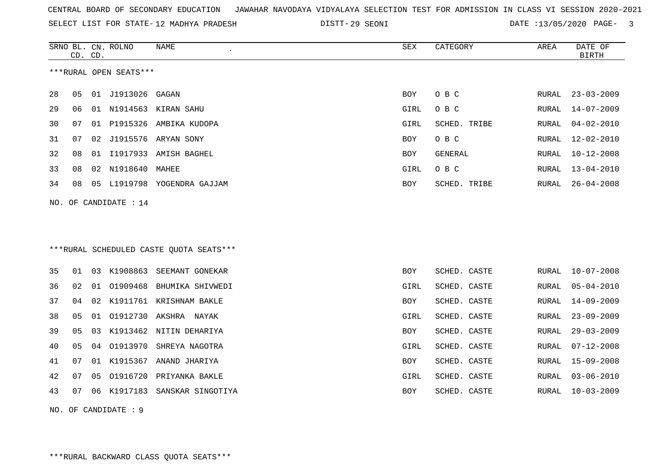| CENTRAL BOARD OF SECONDARY EDUCATION GUNAHAR NAVODAYA VIDYALAYA SELECTION TEST FOR ADMISSION IN CLASS VI SESSION 2020-2021 |  |  |  |
|----------------------------------------------------------------------------------------------------------------------------|--|--|--|
|----------------------------------------------------------------------------------------------------------------------------|--|--|--|

SELECT LIST FOR STATE-12 MADHYA PRADESH

12 MADHYA PRADESH 29 SEONI DATE :13/05/2020 PAGE- 3

|                        | CD. CD. |    | SRNO BL. CN. ROLNO | NAME                                     | <b>SEX</b> | CATEGORY     | AREA  | DATE OF<br><b>BIRTH</b> |
|------------------------|---------|----|--------------------|------------------------------------------|------------|--------------|-------|-------------------------|
| ***RURAL OPEN SEATS*** |         |    |                    |                                          |            |              |       |                         |
| 28                     | 05      |    | 01 J1913026        | GAGAN                                    | BOY        | O B C        | RURAL | $23 - 03 - 2009$        |
| 29                     | 06      |    |                    | 01 N1914563 KIRAN SAHU                   | GIRL       | O B C        | RURAL | 14-07-2009              |
| 30                     | 07      |    |                    | 01 P1915326 AMBIKA KUDOPA                | GIRL       | SCHED. TRIBE | RURAL | $04 - 02 - 2010$        |
| 31                     | 07      | 02 |                    | J1915576 ARYAN SONY                      | BOY        | O B C        | RURAL | $12 - 02 - 2010$        |
| 32                     | 08      |    |                    | 01 I1917933 AMISH BAGHEL                 | BOY        | GENERAL      | RURAL | $10 - 12 - 2008$        |
| 33                     | 08      |    | 02 N1918640 MAHEE  |                                          | GIRL       | O B C        | RURAL | $13 - 04 - 2010$        |
| 34                     | 08      |    |                    | 05 L1919798 YOGENDRA GAJJAM              | <b>BOY</b> | SCHED. TRIBE | RURAL | $26 - 04 - 2008$        |
| NO.                    |         |    | OF CANDIDATE : 14  |                                          |            |              |       |                         |
|                        |         |    |                    |                                          |            |              |       |                         |
|                        |         |    |                    |                                          |            |              |       |                         |
|                        |         |    |                    | *** RURAL SCHEDULED CASTE QUOTA SEATS*** |            |              |       |                         |
| 35                     | 01      |    |                    | 03 K1908863 SEEMANT GONEKAR              | <b>BOY</b> | SCHED. CASTE | RURAL | $10 - 07 - 2008$        |
| 36                     | 02      |    |                    | 01 01909468 BHUMIKA SHIVWEDI             | GIRL       | SCHED. CASTE | RURAL | $05 - 04 - 2010$        |
| 37                     | 04      | 02 |                    | K1911761 KRISHNAM BAKLE                  | BOY        | SCHED. CASTE | RURAL | $14 - 09 - 2009$        |
| 38                     | 05      |    |                    | 01 01912730 AKSHRA NAYAK                 | GIRL       | SCHED. CASTE | RURAL | $23 - 09 - 2009$        |
| 39                     | 05      | 03 |                    | K1913462 NITIN DEHARIYA                  | BOY        | SCHED. CASTE | RURAL | $29 - 03 - 2009$        |
| 40                     | 05      |    |                    | 04 01913970 SHREYA NAGOTRA               | GIRL       | SCHED. CASTE | RURAL | $07 - 12 - 2008$        |
| 41                     | 07      |    |                    | 01 K1915367 ANAND JHARIYA                | BOY        | SCHED. CASTE | RURAL | $15 - 09 - 2008$        |
| 42                     | 07      | 05 |                    | 01916720 PRIYANKA BAKLE                  | GIRL       | SCHED. CASTE | RURAL | $03 - 06 - 2010$        |
| 43                     | 07      |    |                    | 06 K1917183 SANSKAR SINGOTIYA            | <b>BOY</b> | SCHED. CASTE | RURAL | $10 - 03 - 2009$        |
| NO. OF CANDIDATE: 9    |         |    |                    |                                          |            |              |       |                         |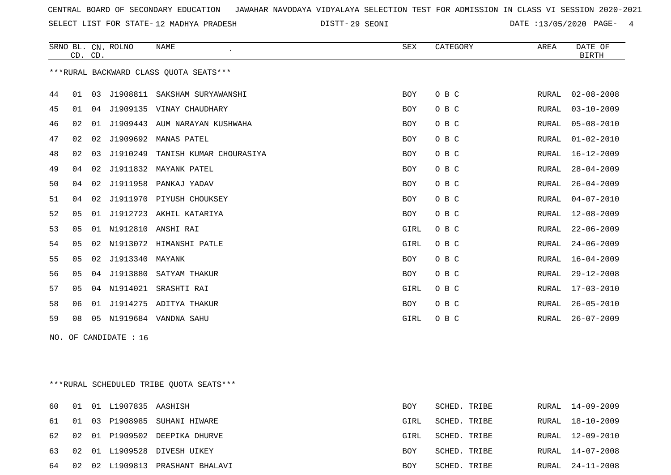SELECT LIST FOR STATE- DISTT- 12 MADHYA PRADESH

29 SEONI DATE :13/05/2020 PAGE- 4

|                                         |                | CD. CD. | SRNO BL. CN. ROLNO | <b>NAME</b>                  | <b>SEX</b> | CATEGORY | AREA          | DATE OF<br><b>BIRTH</b> |  |  |
|-----------------------------------------|----------------|---------|--------------------|------------------------------|------------|----------|---------------|-------------------------|--|--|
| *** RURAL BACKWARD CLASS QUOTA SEATS*** |                |         |                    |                              |            |          |               |                         |  |  |
| 44                                      | 01             | 03      |                    | J1908811 SAKSHAM SURYAWANSHI | <b>BOY</b> | O B C    | RURAL         | $02 - 08 - 2008$        |  |  |
| 45                                      | 01             |         |                    | 04 J1909135 VINAY CHAUDHARY  | BOY        | O B C    | RURAL         | $03 - 10 - 2009$        |  |  |
| 46                                      | 02             | 01      | J1909443           | AUM NARAYAN KUSHWAHA         | <b>BOY</b> | O B C    | RURAL         | $05 - 08 - 2010$        |  |  |
| 47                                      | 02             | 02      | J1909692           | MANAS PATEL                  | <b>BOY</b> | O B C    | RURAL         | $01 - 02 - 2010$        |  |  |
| 48                                      | 02             | 03      | J1910249           | TANISH KUMAR CHOURASIYA      | BOY        | O B C    | ${\tt RURAL}$ | $16 - 12 - 2009$        |  |  |
| 49                                      | 04             | 02      |                    | J1911832 MAYANK PATEL        | <b>BOY</b> | O B C    | RURAL         | $28 - 04 - 2009$        |  |  |
| 50                                      | 04             | 02      |                    | J1911958 PANKAJ YADAV        | <b>BOY</b> | O B C    | RURAL         | $26 - 04 - 2009$        |  |  |
| 51                                      | 04             |         |                    | 02 J1911970 PIYUSH CHOUKSEY  | <b>BOY</b> | O B C    | RURAL         | $04 - 07 - 2010$        |  |  |
| 52                                      | 0 <sub>5</sub> | 01      |                    | J1912723 AKHIL KATARIYA      | BOY        | O B C    | RURAL         | $12 - 08 - 2009$        |  |  |
| 53                                      | 05             | 01      | N1912810           | ANSHI RAI                    | GIRL       | O B C    | RURAL         | $22 - 06 - 2009$        |  |  |
| 54                                      | 05             |         |                    | 02 N1913072 HIMANSHI PATLE   | GIRL       | O B C    | RURAL         | $24 - 06 - 2009$        |  |  |
| 55                                      | 05             | 02      | J1913340           | MAYANK                       | <b>BOY</b> | O B C    | RURAL         | $16 - 04 - 2009$        |  |  |
| 56                                      | 05             | 04      | J1913880           | SATYAM THAKUR                | <b>BOY</b> | O B C    | RURAL         | $29 - 12 - 2008$        |  |  |
| 57                                      | 05             |         | 04 N1914021        | SRASHTI RAI                  | GIRL       | O B C    | RURAL         | $17 - 03 - 2010$        |  |  |
| 58                                      | 06             | 01      |                    | J1914275 ADITYA THAKUR       | <b>BOY</b> | O B C    | RURAL         | $26 - 05 - 2010$        |  |  |
| 59                                      | 08             | 05      |                    | N1919684 VANDNA SAHU         | GIRL       | O B C    | RURAL         | $26 - 07 - 2009$        |  |  |
| NO. OF CANDIDATE : 16                   |                |         |                    |                              |            |          |               |                         |  |  |

\*\*\*RURAL SCHEDULED TRIBE QUOTA SEATS\*\*\*

| 60 |    | 01 01 L1907835 AASHISH |                                  | BOY        | SCHED. TRIBE |       | RURAL 14-09-2009 |
|----|----|------------------------|----------------------------------|------------|--------------|-------|------------------|
|    |    |                        | 61 01 03 P1908985 SUHANI HIWARE  | GIRL       | SCHED. TRIBE | RURAL | 18-10-2009       |
|    |    |                        | 62 02 01 P1909502 DEEPIKA DHURVE | GIRL       | SCHED. TRIBE |       | RURAL 12-09-2010 |
|    |    |                        | 63 02 01 L1909528 DIVESH UIKEY   | <b>BOY</b> | SCHED. TRIBE |       | RURAL 14-07-2008 |
| 64 | 02 | 02 L1909813            | PRASHANT BHALAVI                 | <b>BOY</b> | SCHED. TRIBE |       | RURAL 24-11-2008 |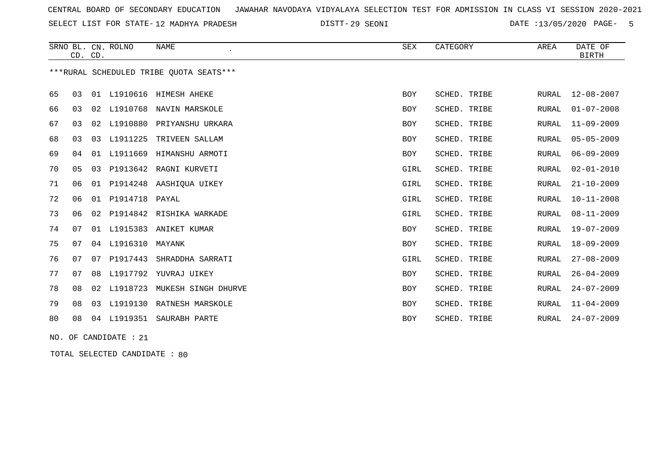SELECT LIST FOR STATE- DISTT- 12 MADHYA PRADESH

29 SEONI DATE :13/05/2020 PAGE- 5

|    | CD. CD. |    | SRNO BL. CN. ROLNO | NAME                                    | SEX        | CATEGORY     | AREA         | DATE OF<br><b>BIRTH</b> |
|----|---------|----|--------------------|-----------------------------------------|------------|--------------|--------------|-------------------------|
|    |         |    |                    | ***RURAL SCHEDULED TRIBE OUOTA SEATS*** |            |              |              |                         |
| 65 | 03      |    |                    | 01 L1910616 HIMESH AHEKE                | <b>BOY</b> | SCHED. TRIBE | RURAL        | $12 - 08 - 2007$        |
| 66 | 03      | 02 | L1910768           | NAVIN MARSKOLE                          | BOY        | SCHED. TRIBE | <b>RURAL</b> | $01 - 07 - 2008$        |
| 67 | 03      | 02 | L1910880           | PRIYANSHU URKARA                        | <b>BOY</b> | SCHED. TRIBE | <b>RURAL</b> | $11 - 09 - 2009$        |
| 68 | 03      | 03 | L1911225           | TRIVEEN SALLAM                          | <b>BOY</b> | SCHED. TRIBE | <b>RURAL</b> | $05 - 05 - 2009$        |
| 69 | 04      |    |                    | 01 L1911669 HIMANSHU ARMOTI             | <b>BOY</b> | SCHED. TRIBE | RURAL        | $06 - 09 - 2009$        |
| 70 | 05      | 03 |                    | P1913642 RAGNI KURVETI                  | GIRL       | SCHED. TRIBE | <b>RURAL</b> | $02 - 01 - 2010$        |
| 71 | 06      | 01 |                    | P1914248 AASHIOUA UIKEY                 | GIRL       | SCHED. TRIBE | <b>RURAL</b> | $21 - 10 - 2009$        |
| 72 | 06      | 01 | P1914718           | PAYAL                                   | GIRL       | SCHED. TRIBE | <b>RURAL</b> | $10 - 11 - 2008$        |
| 73 | 06      | 02 | P1914842           | RISHIKA WARKADE                         | GIRL       | SCHED. TRIBE | <b>RURAL</b> | $08 - 11 - 2009$        |
| 74 | 07      | 01 | L1915383           | ANIKET KUMAR                            | BOY        | SCHED. TRIBE | RURAL        | $19 - 07 - 2009$        |
| 75 | 07      |    | 04 L1916310        | MAYANK                                  | BOY        | SCHED. TRIBE | <b>RURAL</b> | $18 - 09 - 2009$        |
| 76 | 07      | 07 | P1917443           | SHRADDHA SARRATI                        | GIRL       | SCHED. TRIBE | <b>RURAL</b> | $27 - 08 - 2009$        |
| 77 | 07      | 08 | L1917792           | YUVRAJ UIKEY                            | BOY        | SCHED. TRIBE | <b>RURAL</b> | $26 - 04 - 2009$        |
| 78 | 08      | 02 | L1918723           | MUKESH SINGH DHURVE                     | BOY        | SCHED. TRIBE | <b>RURAL</b> | $24 - 07 - 2009$        |
| 79 | 08      | 03 | L1919130           | RATNESH MARSKOLE                        | <b>BOY</b> | SCHED. TRIBE | <b>RURAL</b> | $11 - 04 - 2009$        |
| 80 | 08      | 04 | L1919351           | SAURABH PARTE                           | <b>BOY</b> | SCHED. TRIBE | RURAL        | $24 - 07 - 2009$        |

NO. OF CANDIDATE : 21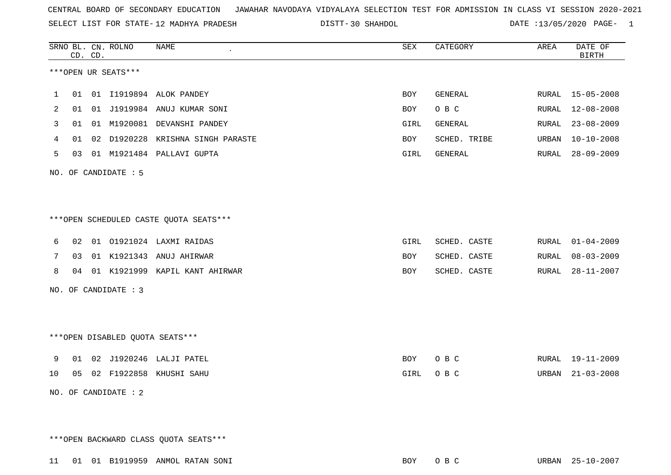SELECT LIST FOR STATE- DISTT- 12 MADHYA PRADESH

DISTT-30 SHAHDOL 120 SHAHDOL 2020 DATE :13/05/2020 PAGE- 1

|    |    | CD. CD. | SRNO BL. CN. ROLNO   | NAME                                   | <b>SEX</b> | CATEGORY     | AREA         | DATE OF<br><b>BIRTH</b> |
|----|----|---------|----------------------|----------------------------------------|------------|--------------|--------------|-------------------------|
|    |    |         | ***OPEN UR SEATS***  |                                        |            |              |              |                         |
| 1  | 01 |         |                      | 01 I1919894 ALOK PANDEY                | <b>BOY</b> | GENERAL      | RURAL        | $15 - 05 - 2008$        |
| 2  | 01 |         |                      | 01 J1919984 ANUJ KUMAR SONI            | <b>BOY</b> | O B C        | RURAL        | $12 - 08 - 2008$        |
| 3  | 01 |         |                      | 01 M1920081 DEVANSHI PANDEY            | GIRL       | GENERAL      | RURAL        | $23 - 08 - 2009$        |
| 4  | 01 |         |                      | 02 D1920228 KRISHNA SINGH PARASTE      | BOY        | SCHED. TRIBE | <b>URBAN</b> | $10 - 10 - 2008$        |
| 5  | 03 |         |                      | 01 M1921484 PALLAVI GUPTA              | GIRL       | GENERAL      | RURAL        | $28 - 09 - 2009$        |
|    |    |         | NO. OF CANDIDATE : 5 |                                        |            |              |              |                         |
|    |    |         |                      | ***OPEN SCHEDULED CASTE QUOTA SEATS*** |            |              |              |                         |
| 6  | 02 |         |                      | 01 01921024 LAXMI RAIDAS               | GIRL       | SCHED. CASTE | RURAL        | $01 - 04 - 2009$        |
| 7  | 03 |         |                      | 01 K1921343 ANUJ AHIRWAR               | <b>BOY</b> | SCHED. CASTE | RURAL        | $08 - 03 - 2009$        |
| 8  | 04 |         |                      | 01 K1921999 KAPIL KANT AHIRWAR         | <b>BOY</b> | SCHED. CASTE | RURAL        | $28 - 11 - 2007$        |
|    |    |         | NO. OF CANDIDATE : 3 |                                        |            |              |              |                         |
|    |    |         |                      | ***OPEN DISABLED QUOTA SEATS***        |            |              |              |                         |
| 9  | 01 |         |                      | 02 J1920246 LALJI PATEL                | BOY        | O B C        | RURAL        | 19-11-2009              |
| 10 |    |         |                      | 05 02 F1922858 KHUSHI SAHU             | GIRL       | O B C        | URBAN        | $21 - 03 - 2008$        |
|    |    |         | NO. OF CANDIDATE : 2 |                                        |            |              |              |                         |

\*\*\*OPEN BACKWARD CLASS QUOTA SEATS\*\*\*

11 01 01 B1919959 ANMOL RATAN SONI BOY O B C URBAN 25-10-2007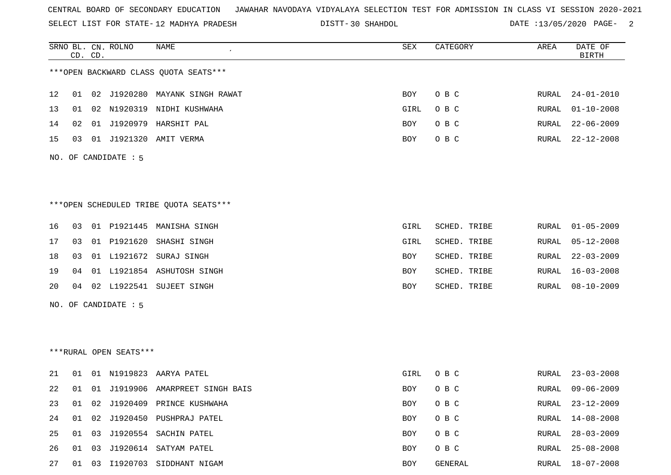SELECT LIST FOR STATE- DISTT- 12 MADHYA PRADESH

DISTT-30 SHAHDOL **DATE** :13/05/2020 PAGE- 2

|    |    | CD. CD. | SRNO BL. CN. ROLNO     | <b>NAME</b>                            | ${\tt SEX}$ | CATEGORY     | AREA  | DATE OF<br><b>BIRTH</b> |
|----|----|---------|------------------------|----------------------------------------|-------------|--------------|-------|-------------------------|
|    |    |         |                        | *** OPEN BACKWARD CLASS QUOTA SEATS*** |             |              |       |                         |
| 12 | 01 |         |                        | 02 J1920280 MAYANK SINGH RAWAT         | BOY         | O B C        | RURAL | $24 - 01 - 2010$        |
| 13 | 01 |         |                        | 02 N1920319 NIDHI KUSHWAHA             | GIRL        | O B C        | RURAL | $01 - 10 - 2008$        |
| 14 | 02 |         |                        | 01 J1920979 HARSHIT PAL                | BOY         | O B C        | RURAL | $22 - 06 - 2009$        |
| 15 | 03 |         |                        | 01 J1921320 AMIT VERMA                 | BOY         | O B C        | RURAL | $22 - 12 - 2008$        |
|    |    |         | NO. OF CANDIDATE : 5   |                                        |             |              |       |                         |
|    |    |         |                        | ***OPEN SCHEDULED TRIBE QUOTA SEATS*** |             |              |       |                         |
| 16 | 03 |         |                        | 01 P1921445 MANISHA SINGH              | GIRL        | SCHED. TRIBE | RURAL | $01 - 05 - 2009$        |
| 17 | 03 |         | 01 P1921620            | SHASHI SINGH                           | GIRL        | SCHED. TRIBE | RURAL | $05 - 12 - 2008$        |
| 18 | 03 |         | 01 L1921672            | SURAJ SINGH                            | BOY         | SCHED. TRIBE | RURAL | $22 - 03 - 2009$        |
| 19 | 04 |         |                        | 01 L1921854 ASHUTOSH SINGH             | BOY         | SCHED. TRIBE | RURAL | $16 - 03 - 2008$        |
| 20 | 04 |         |                        | 02 L1922541 SUJEET SINGH               | BOY         | SCHED. TRIBE | RURAL | $08 - 10 - 2009$        |
|    |    |         | NO. OF CANDIDATE : 5   |                                        |             |              |       |                         |
|    |    |         |                        |                                        |             |              |       |                         |
|    |    |         | ***RURAL OPEN SEATS*** |                                        |             |              |       |                         |
| 21 | 01 |         |                        | 01 N1919823 AARYA PATEL                | GIRL        | O B C        | RURAL | $23 - 03 - 2008$        |
| 22 | 01 |         |                        | 01 J1919906 AMARPREET SINGH BAIS       | BOY         | O B C        | RURAL | $09 - 06 - 2009$        |
| 23 | 01 |         |                        | 02 J1920409 PRINCE KUSHWAHA            | BOY         | O B C        | RURAL | $23 - 12 - 2009$        |
| 24 | 01 |         |                        | 02 J1920450 PUSHPRAJ PATEL             | BOY         | O B C        | RURAL | $14 - 08 - 2008$        |
| 25 | 01 |         |                        | 03 J1920554 SACHIN PATEL               | BOY         | O B C        | RURAL | $28 - 03 - 2009$        |
| 26 | 01 |         |                        | 03 J1920614 SATYAM PATEL               | BOY         | O B C        | RURAL | $25 - 08 - 2008$        |
| 27 | 01 |         |                        | 03 I1920703 SIDDHANT NIGAM             | BOY         | GENERAL      |       | RURAL 18-07-2008        |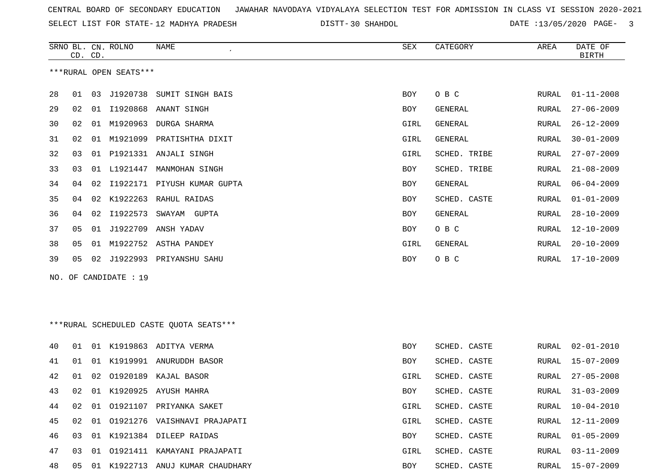SELECT LIST FOR STATE- DISTT- 12 MADHYA PRADESH

30 SHAHDOL DATE :13/05/2020 PAGE- 3

|     | CD. CD. |    | SRNO BL. CN. ROLNO     | NAME                                    | SEX        | CATEGORY       | AREA  | DATE OF<br><b>BIRTH</b> |
|-----|---------|----|------------------------|-----------------------------------------|------------|----------------|-------|-------------------------|
|     |         |    | ***RURAL OPEN SEATS*** |                                         |            |                |       |                         |
| 28  | 01      |    |                        | 03 J1920738 SUMIT SINGH BAIS            | BOY        | O B C          | RURAL | $01 - 11 - 2008$        |
| 29  | 02      |    |                        | 01 I1920868 ANANT SINGH                 | BOY        | GENERAL        | RURAL | $27 - 06 - 2009$        |
| 30  | 02      | 01 |                        | M1920963 DURGA SHARMA                   | GIRL       | <b>GENERAL</b> | RURAL | $26 - 12 - 2009$        |
| 31  | 02      | 01 |                        | M1921099 PRATISHTHA DIXIT               | GIRL       | GENERAL        | RURAL | $30 - 01 - 2009$        |
| 32  | 03      |    |                        | 01 P1921331 ANJALI SINGH                | GIRL       | SCHED. TRIBE   | RURAL | $27 - 07 - 2009$        |
| 33  | 03      |    | 01 L1921447            | MANMOHAN SINGH                          | BOY        | SCHED. TRIBE   | RURAL | $21 - 08 - 2009$        |
| 34  | 04      |    |                        | 02 I1922171 PIYUSH KUMAR GUPTA          | BOY        | GENERAL        | RURAL | $06 - 04 - 2009$        |
| 35  | 04      | 02 | K1922263               | RAHUL RAIDAS                            | BOY        | SCHED. CASTE   | RURAL | $01 - 01 - 2009$        |
| 36  | 04      |    |                        | 02 I1922573 SWAYAM GUPTA                | BOY        | <b>GENERAL</b> | RURAL | $28 - 10 - 2009$        |
| 37  | 05      |    | 01 J1922709            | ANSH YADAV                              | BOY        | O B C          | RURAL | $12 - 10 - 2009$        |
| 38  | 05      | 01 |                        | M1922752 ASTHA PANDEY                   | GIRL       | <b>GENERAL</b> | RURAL | $20 - 10 - 2009$        |
| 39  | 05      |    |                        | 02 J1922993 PRIYANSHU SAHU              | BOY        | O B C          | RURAL | $17 - 10 - 2009$        |
| NO. |         |    | OF CANDIDATE : 19      |                                         |            |                |       |                         |
|     |         |    |                        |                                         |            |                |       |                         |
|     |         |    |                        |                                         |            |                |       |                         |
|     |         |    |                        | ***RURAL SCHEDULED CASTE QUOTA SEATS*** |            |                |       |                         |
| 40  | 01      |    |                        | 01 K1919863 ADITYA VERMA                | BOY        | SCHED. CASTE   | RURAL | $02 - 01 - 2010$        |
| 41  | 01      | 01 |                        | K1919991 ANURUDDH BASOR                 | <b>BOY</b> | SCHED. CASTE   | RURAL | $15 - 07 - 2009$        |
| 42  | 01      | 02 |                        | 01920189 KAJAL BASOR                    | GIRL       | SCHED. CASTE   | RURAL | $27 - 05 - 2008$        |
| 43  | 02      |    |                        | 01 K1920925 AYUSH MAHRA                 | BOY        | SCHED. CASTE   | RURAL | $31 - 03 - 2009$        |
| 44  | 02      |    |                        | 01 01921107 PRIYANKA SAKET              | GIRL       | SCHED. CASTE   | RURAL | $10 - 04 - 2010$        |
| 45  | 02      |    |                        | 01 01921276 VAISHNAVI PRAJAPATI         | GIRL       | SCHED. CASTE   | RURAL | $12 - 11 - 2009$        |
| 46  | 03      |    |                        | 01 K1921384 DILEEP RAIDAS               | BOY        | SCHED. CASTE   | RURAL | $01 - 05 - 2009$        |
| 47  | 03      |    |                        | 01 01921411 KAMAYANI PRAJAPATI          | GIRL       | SCHED. CASTE   | RURAL | $03 - 11 - 2009$        |
| 48  | 05      |    |                        | 01 K1922713 ANUJ KUMAR CHAUDHARY        | BOY        | SCHED. CASTE   |       | RURAL 15-07-2009        |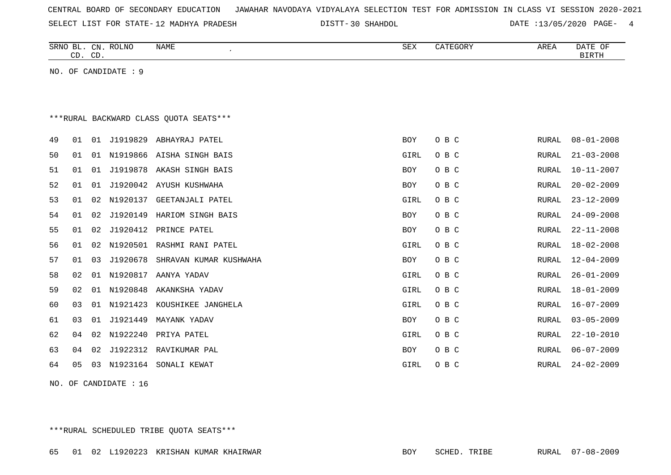| CENTRAL BOARD OF SECONDARY EDUCATION – JAWAHAR NAVODAYA VIDYALAYA SELECTION TEST FOR ADMISSION IN CLASS VI SESSION 2020-2021 |  |  |  |  |
|------------------------------------------------------------------------------------------------------------------------------|--|--|--|--|
|------------------------------------------------------------------------------------------------------------------------------|--|--|--|--|

DISTT-30 SHAHDOL 2020 DATE :13/05/2020 PAGE- 4

|    | CD. CD.                                 |    | SRNO BL. CN. ROLNO   | <b>NAME</b>               | <b>SEX</b>  | CATEGORY | AREA         | DATE OF<br><b>BIRTH</b> |  |  |  |  |  |  |  |
|----|-----------------------------------------|----|----------------------|---------------------------|-------------|----------|--------------|-------------------------|--|--|--|--|--|--|--|
|    |                                         |    | NO. OF CANDIDATE : 9 |                           |             |          |              |                         |  |  |  |  |  |  |  |
|    |                                         |    |                      |                           |             |          |              |                         |  |  |  |  |  |  |  |
|    | *** RURAL BACKWARD CLASS QUOTA SEATS*** |    |                      |                           |             |          |              |                         |  |  |  |  |  |  |  |
|    |                                         |    |                      |                           |             |          |              |                         |  |  |  |  |  |  |  |
| 49 | 01                                      |    | 01 J1919829          | ABHAYRAJ PATEL            | <b>BOY</b>  | O B C    | RURAL        | $08 - 01 - 2008$        |  |  |  |  |  |  |  |
| 50 | 01                                      | 01 |                      | N1919866 AISHA SINGH BAIS | GIRL        | O B C    | RURAL        | $21 - 03 - 2008$        |  |  |  |  |  |  |  |
| 51 | 01                                      | 01 | J1919878             | AKASH SINGH BAIS          | <b>BOY</b>  | O B C    | RURAL        | $10 - 11 - 2007$        |  |  |  |  |  |  |  |
| 52 | 01                                      | 01 |                      | J1920042 AYUSH KUSHWAHA   | <b>BOY</b>  | O B C    | <b>RURAL</b> | $20 - 02 - 2009$        |  |  |  |  |  |  |  |
| 53 | 01                                      | 02 | N1920137             | GEETANJALI PATEL          | GIRL        | O B C    | RURAL        | $23 - 12 - 2009$        |  |  |  |  |  |  |  |
| 54 | 01                                      | 02 | J1920149             | HARIOM SINGH BAIS         | <b>BOY</b>  | O B C    | RURAL        | $24 - 09 - 2008$        |  |  |  |  |  |  |  |
| 55 | 01                                      | 02 | J1920412             | PRINCE PATEL              | <b>BOY</b>  | O B C    | RURAL        | $22 - 11 - 2008$        |  |  |  |  |  |  |  |
| 56 | 01                                      | 02 | N1920501             | RASHMI RANI PATEL         | GIRL        | O B C    | RURAL        | $18 - 02 - 2008$        |  |  |  |  |  |  |  |
| 57 | 01                                      | 03 | J1920678             | SHRAVAN KUMAR KUSHWAHA    | BOY         | O B C    | RURAL        | $12 - 04 - 2009$        |  |  |  |  |  |  |  |
| 58 | 02                                      | 01 | N1920817             | AANYA YADAV               | GIRL        | O B C    | RURAL        | $26 - 01 - 2009$        |  |  |  |  |  |  |  |
| 59 | 02                                      | 01 | N1920848             | AKANKSHA YADAV            | GIRL        | O B C    | RURAL        | $18 - 01 - 2009$        |  |  |  |  |  |  |  |
| 60 | 03                                      | 01 | N1921423             | KOUSHIKEE JANGHELA        | GIRL        | O B C    | RURAL        | $16 - 07 - 2009$        |  |  |  |  |  |  |  |
| 61 | 03                                      | 01 | J1921449             | MAYANK YADAV              | <b>BOY</b>  | O B C    | RURAL        | $03 - 05 - 2009$        |  |  |  |  |  |  |  |
| 62 | 04                                      | 02 | N1922240             | PRIYA PATEL               | GIRL        | O B C    | RURAL        | $22 - 10 - 2010$        |  |  |  |  |  |  |  |
| 63 | 04                                      | 02 |                      | J1922312 RAVIKUMAR PAL    | <b>BOY</b>  | O B C    | RURAL        | $06 - 07 - 2009$        |  |  |  |  |  |  |  |
| 64 | 05                                      | 03 |                      | N1923164 SONALI KEWAT     | <b>GIRL</b> | O B C    | RURAL        | $24 - 02 - 2009$        |  |  |  |  |  |  |  |

NO. OF CANDIDATE : 16

\*\*\*RURAL SCHEDULED TRIBE QUOTA SEATS\*\*\*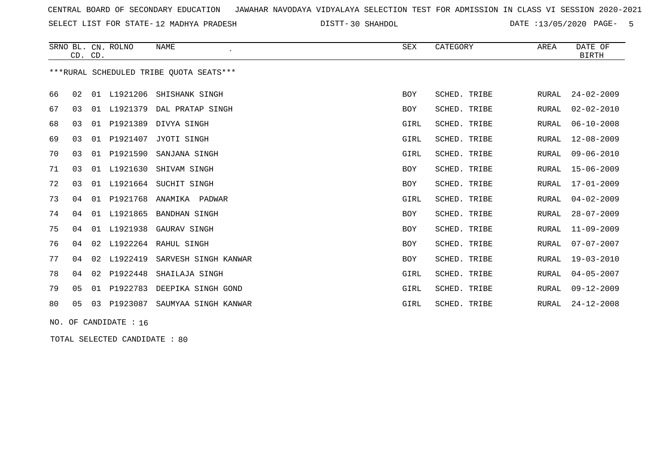SELECT LIST FOR STATE- DISTT- 12 MADHYA PRADESH

DISTT-30 SHAHDOL **DATE** :13/05/2020 PAGE- 5

|    | CD. CD.        |    | SRNO BL. CN. ROLNO | <b>NAME</b><br>$\cdot$                  | <b>SEX</b> | CATEGORY     | AREA         | DATE OF<br><b>BIRTH</b> |
|----|----------------|----|--------------------|-----------------------------------------|------------|--------------|--------------|-------------------------|
|    |                |    |                    | ***RURAL SCHEDULED TRIBE OUOTA SEATS*** |            |              |              |                         |
| 66 | 02             | 01 | L1921206           | SHISHANK SINGH                          | <b>BOY</b> | SCHED. TRIBE | RURAL        | $24 - 02 - 2009$        |
| 67 | 03             | 01 | L1921379           | DAL PRATAP SINGH                        | BOY        | SCHED. TRIBE | RURAL        | $02 - 02 - 2010$        |
| 68 | 03             | 01 | P1921389           | DIVYA SINGH                             | GIRL       | SCHED. TRIBE | <b>RURAL</b> | $06 - 10 - 2008$        |
| 69 | 03             | 01 | P1921407           | JYOTI SINGH                             | GIRL       | SCHED. TRIBE | RURAL        | $12 - 08 - 2009$        |
| 70 | 03             | 01 | P1921590           | SANJANA SINGH                           | GIRL       | SCHED. TRIBE | RURAL        | $09 - 06 - 2010$        |
| 71 | 03             | 01 | L1921630           | SHIVAM SINGH                            | BOY        | SCHED. TRIBE | RURAL        | $15 - 06 - 2009$        |
| 72 | 03             | 01 | L1921664           | SUCHIT SINGH                            | <b>BOY</b> | SCHED. TRIBE | RURAL        | $17 - 01 - 2009$        |
| 73 | 04             | 01 | P1921768           | ANAMIKA<br>PADWAR                       | GIRL       | SCHED. TRIBE | RURAL        | $04 - 02 - 2009$        |
| 74 | 04             | 01 | L1921865           | <b>BANDHAN SINGH</b>                    | <b>BOY</b> | SCHED. TRIBE | RURAL        | $28 - 07 - 2009$        |
| 75 | 04             | 01 | L1921938           | GAURAV SINGH                            | <b>BOY</b> | SCHED. TRIBE | RURAL        | $11 - 09 - 2009$        |
| 76 | 04             | 02 | L1922264           | RAHUL SINGH                             | <b>BOY</b> | SCHED. TRIBE | RURAL        | $07 - 07 - 2007$        |
| 77 | 04             | 02 | L1922419           | SARVESH SINGH KANWAR                    | BOY        | SCHED. TRIBE | RURAL        | $19 - 03 - 2010$        |
| 78 | 04             | 02 | P1922448           | SHAILAJA SINGH                          | GIRL       | SCHED. TRIBE | RURAL        | $04 - 05 - 2007$        |
| 79 | 0 <sub>5</sub> | 01 | P1922783           | DEEPIKA SINGH GOND                      | GIRL       | SCHED. TRIBE | RURAL        | $09 - 12 - 2009$        |
| 80 | 05             | 03 | P1923087           | SAUMYAA SINGH KANWAR                    | GIRL       | SCHED. TRIBE | RURAL        | $24 - 12 - 2008$        |

NO. OF CANDIDATE : 16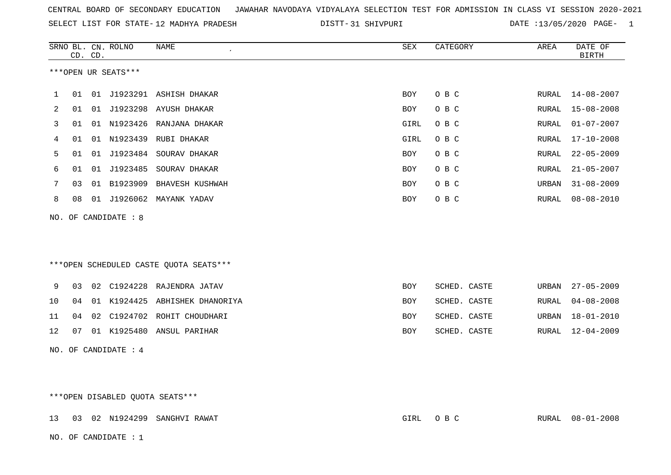|  |  |  |  | CENTRAL BOARD OF SECONDARY EDUCATION GUNAHAR NAVODAYA VIDYALAYA SELECTION TEST FOR ADMISSION IN CLASS VI SESSION 2020-2021 |  |  |  |  |  |  |  |  |  |  |  |  |  |  |  |
|--|--|--|--|----------------------------------------------------------------------------------------------------------------------------|--|--|--|--|--|--|--|--|--|--|--|--|--|--|--|
|--|--|--|--|----------------------------------------------------------------------------------------------------------------------------|--|--|--|--|--|--|--|--|--|--|--|--|--|--|--|

SELECT LIST FOR STATE-12 MADHYA PRADESH DISTT-31 SHIVPURI DATE :13/05/2020 PAGE- 1

|     |    | CD. CD. | SRNO BL. CN. ROLNO  | <b>NAME</b>                            | <b>SEX</b> | CATEGORY     | AREA         | DATE OF<br><b>BIRTH</b> |
|-----|----|---------|---------------------|----------------------------------------|------------|--------------|--------------|-------------------------|
|     |    |         | ***OPEN UR SEATS*** |                                        |            |              |              |                         |
| 1   | 01 |         |                     | 01 J1923291 ASHISH DHAKAR              | BOY        | O B C        | RURAL        | $14 - 08 - 2007$        |
| 2   | 01 | 01      |                     | J1923298 AYUSH DHAKAR                  | BOY        | O B C        | RURAL        | $15 - 08 - 2008$        |
| 3   | 01 |         |                     | 01 N1923426 RANJANA DHAKAR             | GIRL       | O B C        | RURAL        | $01 - 07 - 2007$        |
| 4   | 01 |         | 01 N1923439         | RUBI DHAKAR                            | GIRL       | O B C        | <b>RURAL</b> | $17 - 10 - 2008$        |
| 5   | 01 | 01      | J1923484            | SOURAV DHAKAR                          | <b>BOY</b> | O B C        | <b>RURAL</b> | $22 - 05 - 2009$        |
| 6   | 01 | 01      | J1923485            | SOURAV DHAKAR                          | BOY        | O B C        | RURAL        | $21 - 05 - 2007$        |
| 7   | 03 |         | 01 B1923909         | BHAVESH KUSHWAH                        | BOY        | O B C        | URBAN        | $31 - 08 - 2009$        |
| 8   | 08 | 01      | J1926062            | MAYANK YADAV                           | <b>BOY</b> | O B C        | <b>RURAL</b> | $08 - 08 - 2010$        |
| NO. |    |         | OF CANDIDATE : 8    |                                        |            |              |              |                         |
|     |    |         |                     |                                        |            |              |              |                         |
|     |    |         |                     |                                        |            |              |              |                         |
|     |    |         |                     | ***OPEN SCHEDULED CASTE QUOTA SEATS*** |            |              |              |                         |
| 9   | 03 | 02      | C1924228            | RAJENDRA JATAV                         | <b>BOY</b> | SCHED. CASTE | URBAN        | $27 - 05 - 2009$        |
| 10  | 04 | 01      | K1924425            | ABHISHEK DHANORIYA                     | <b>BOY</b> | SCHED. CASTE | RURAL        | $04 - 08 - 2008$        |
| 11  | 04 | 02      |                     | C1924702 ROHIT CHOUDHARI               | BOY        | SCHED. CASTE | URBAN        | $18 - 01 - 2010$        |
| 12  | 07 |         |                     | 01 K1925480 ANSUL PARIHAR              | BOY        | SCHED. CASTE | RURAL        | $12 - 04 - 2009$        |
| NO. |    |         | OF CANDIDATE : 4    |                                        |            |              |              |                         |

\*\*\*OPEN DISABLED QUOTA SEATS\*\*\*

13 03 02 N1924299 SANGHVI RAWAT GIRL O B C RURAL 08-01-2008 NO. OF CANDIDATE : 1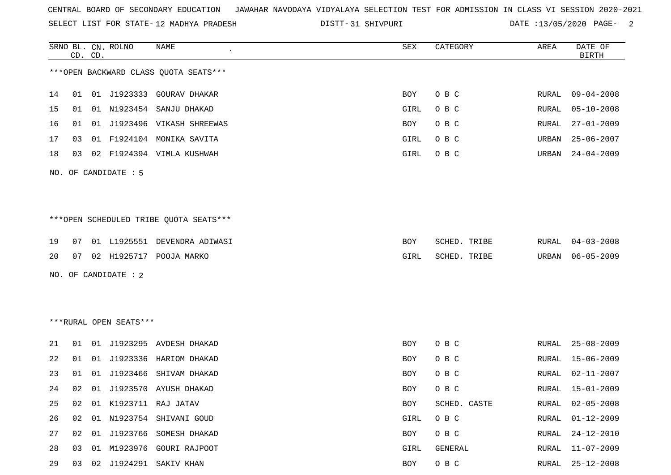SELECT LIST FOR STATE- DISTT- 12 MADHYA PRADESH

|    |    | CD. CD. | SRNO BL. CN. ROLNO     | NAME                                   | SEX        | CATEGORY     | AREA         | DATE OF<br><b>BIRTH</b> |
|----|----|---------|------------------------|----------------------------------------|------------|--------------|--------------|-------------------------|
|    |    |         |                        | *** OPEN BACKWARD CLASS QUOTA SEATS*** |            |              |              |                         |
| 14 | 01 |         |                        | 01 J1923333 GOURAV DHAKAR              | BOY        | O B C        | RURAL        | 09-04-2008              |
| 15 | 01 |         | 01 N1923454            | SANJU DHAKAD                           | GIRL       | O B C        | RURAL        | $05 - 10 - 2008$        |
| 16 | 01 |         |                        | 01 J1923496 VIKASH SHREEWAS            | BOY        | O B C        | RURAL        | $27 - 01 - 2009$        |
| 17 | 03 |         |                        | 01 F1924104 MONIKA SAVITA              | GIRL       | O B C        | URBAN        | $25 - 06 - 2007$        |
| 18 | 03 |         |                        | 02 F1924394 VIMLA KUSHWAH              | GIRL       | O B C        | URBAN        | $24 - 04 - 2009$        |
|    |    |         | NO. OF CANDIDATE : 5   |                                        |            |              |              |                         |
|    |    |         |                        | ***OPEN SCHEDULED TRIBE QUOTA SEATS*** |            |              |              |                         |
| 19 | 07 |         |                        | 01 L1925551 DEVENDRA ADIWASI           | BOY        | SCHED. TRIBE | RURAL        | $04 - 03 - 2008$        |
| 20 | 07 |         |                        | 02 H1925717 POOJA MARKO                | GIRL       | SCHED. TRIBE | URBAN        | $06 - 05 - 2009$        |
|    |    |         | NO. OF CANDIDATE : 2   |                                        |            |              |              |                         |
|    |    |         |                        |                                        |            |              |              |                         |
|    |    |         | ***RURAL OPEN SEATS*** |                                        |            |              |              |                         |
| 21 | 01 |         |                        | 01 J1923295 AVDESH DHAKAD              | BOY        | O B C        | RURAL        | $25 - 08 - 2009$        |
| 22 | 01 |         |                        | 01 J1923336 HARIOM DHAKAD              | BOY        | O B C        | RURAL        | $15 - 06 - 2009$        |
| 23 | 01 | 01      | J1923466               | SHIVAM DHAKAD                          | BOY        | O B C        | RURAL        | $02 - 11 - 2007$        |
| 24 | 02 |         |                        | 01 J1923570 AYUSH DHAKAD               | <b>BOY</b> | O B C        | RURAL        | $15 - 01 - 2009$        |
| 25 | 02 |         |                        | 01 K1923711 RAJ JATAV                  | <b>BOY</b> | SCHED. CASTE | <b>RURAL</b> | $02 - 05 - 2008$        |
| 26 | 02 |         |                        | 01 N1923754 SHIVANI GOUD               | GIRL       | O B C        | <b>RURAL</b> | $01 - 12 - 2009$        |
| 27 |    |         |                        | 02 01 J1923766 SOMESH DHAKAD           | BOY        | O B C        | RURAL        | $24 - 12 - 2010$        |
| 28 | 03 |         |                        | 01 M1923976 GOURI RAJPOOT              | GIRL       | GENERAL      | <b>RURAL</b> | $11 - 07 - 2009$        |
| 29 |    |         |                        | 03 02 J1924291 SAKIV KHAN              | BOY        | O B C        | RURAL        | 25-12-2008              |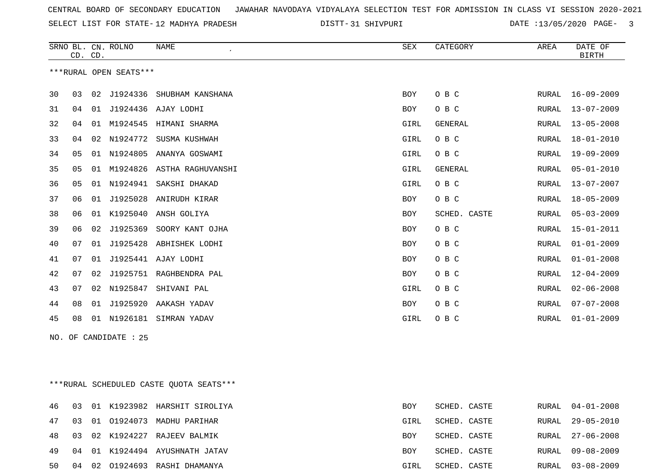SELECT LIST FOR STATE- DISTT- 12 MADHYA PRADESH

31 SHIVPURI DATE :13/05/2020 PAGE- 3

|    | CD. CD. |    | SRNO BL. CN. ROLNO     | <b>NAME</b>       | SEX        | CATEGORY     | AREA         | DATE OF<br><b>BIRTH</b> |
|----|---------|----|------------------------|-------------------|------------|--------------|--------------|-------------------------|
|    |         |    | ***RURAL OPEN SEATS*** |                   |            |              |              |                         |
| 30 | 03      | 02 | J1924336               | SHUBHAM KANSHANA  | <b>BOY</b> | O B C        | RURAL        | $16 - 09 - 2009$        |
| 31 | 04      | 01 | J1924436               | AJAY LODHI        | BOY        | O B C        | RURAL        | $13 - 07 - 2009$        |
| 32 | 04      | 01 | M1924545               | HIMANI SHARMA     | GIRL       | GENERAL      | <b>RURAL</b> | $13 - 05 - 2008$        |
| 33 | 04      | 02 | N1924772               | SUSMA KUSHWAH     | GIRL       | O B C        | RURAL        | $18 - 01 - 2010$        |
| 34 | 05      | 01 | N1924805               | ANANYA GOSWAMI    | GIRL       | O B C        | RURAL        | $19 - 09 - 2009$        |
| 35 | 05      | 01 | M1924826               | ASTHA RAGHUVANSHI | GIRL       | GENERAL      | <b>RURAL</b> | $05 - 01 - 2010$        |
| 36 | 05      | 01 | N1924941               | SAKSHI DHAKAD     | GIRL       | O B C        | RURAL        | $13 - 07 - 2007$        |
| 37 | 06      | 01 | J1925028               | ANIRUDH KIRAR     | BOY        | O B C        | RURAL        | $18 - 05 - 2009$        |
| 38 | 06      | 01 | K1925040               | ANSH GOLIYA       | BOY        | SCHED. CASTE | RURAL        | $05 - 03 - 2009$        |
| 39 | 06      | 02 | J1925369               | SOORY KANT OJHA   | BOY        | O B C        | RURAL        | $15 - 01 - 2011$        |
| 40 | 07      | 01 | J1925428               | ABHISHEK LODHI    | BOY        | O B C        | <b>RURAL</b> | $01 - 01 - 2009$        |
| 41 | 07      | 01 | J1925441               | AJAY LODHI        | BOY        | O B C        | <b>RURAL</b> | $01 - 01 - 2008$        |
| 42 | 07      | 02 | J1925751               | RAGHBENDRA PAL    | BOY        | O B C        | RURAL        | $12 - 04 - 2009$        |
| 43 | 07      | 02 | N1925847               | SHIVANI PAL       | GIRL       | O B C        | RURAL        | $02 - 06 - 2008$        |
| 44 | 08      | 01 | J1925920               | AAKASH YADAV      | BOY        | O B C        | RURAL        | $07 - 07 - 2008$        |
| 45 | 08      |    | 01 N1926181            | SIMRAN YADAV      | GIRL       | O B C        | RURAL        | $01 - 01 - 2009$        |
|    |         |    | NO. OF CANDIDATE : 25  |                   |            |              |              |                         |

\*\*\*RURAL SCHEDULED CASTE QUOTA SEATS\*\*\*

|  |  | 46 03 01 K1923982 HARSHIT SIROLIYA | <b>BOY</b> | SCHED. CASTE |  | RURAL 04-01-2008 |
|--|--|------------------------------------|------------|--------------|--|------------------|
|  |  | 47 03 01 01924073 MADHU PARIHAR    | GIRL       | SCHED. CASTE |  | RURAL 29-05-2010 |
|  |  | 48 03 02 K1924227 RAJEEV BALMIK    | BOY        | SCHED. CASTE |  | RURAL 27-06-2008 |
|  |  | 49 04 01 K1924494 AYUSHNATH JATAV  | BOY        | SCHED. CASTE |  | RURAL 09-08-2009 |
|  |  | 50 04 02 01924693 RASHI DHAMANYA   | GIRL       | SCHED. CASTE |  | RURAL 03-08-2009 |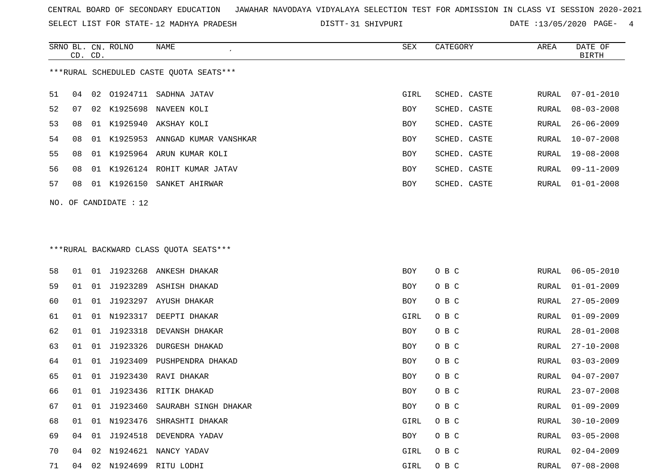SELECT LIST FOR STATE- DISTT- 12 MADHYA PRADESH

SRNO BL. CN.

ROLNO NAME SEX CATEGORY AREA DATE OF

31 SHIVPURI DATE :13/05/2020 PAGE- 4

|    | CD. CD.                                 |    |                         |                                         |      |              |       | BIRTH            |  |  |  |  |  |  |
|----|-----------------------------------------|----|-------------------------|-----------------------------------------|------|--------------|-------|------------------|--|--|--|--|--|--|
|    | ***RURAL SCHEDULED CASTE QUOTA SEATS*** |    |                         |                                         |      |              |       |                  |  |  |  |  |  |  |
| 51 | 04                                      |    |                         | 02 01924711 SADHNA JATAV                | GIRL | SCHED. CASTE | RURAL | $07 - 01 - 2010$ |  |  |  |  |  |  |
| 52 | 07                                      | 02 | K1925698                | NAVEEN KOLI                             | BOY  | SCHED. CASTE | RURAL | $08 - 03 - 2008$ |  |  |  |  |  |  |
| 53 | 08                                      | 01 | K1925940                | AKSHAY KOLI                             | BOY  | SCHED. CASTE | RURAL | $26 - 06 - 2009$ |  |  |  |  |  |  |
| 54 | 08                                      | 01 | K1925953                | ANNGAD KUMAR VANSHKAR                   | BOY  | SCHED. CASTE | RURAL | $10 - 07 - 2008$ |  |  |  |  |  |  |
| 55 | 08                                      | 01 |                         | K1925964 ARUN KUMAR KOLI                | BOY  | SCHED. CASTE | RURAL | 19-08-2008       |  |  |  |  |  |  |
| 56 | 08                                      | 01 |                         | K1926124 ROHIT KUMAR JATAV              | BOY  | SCHED. CASTE | RURAL | $09 - 11 - 2009$ |  |  |  |  |  |  |
| 57 | 08                                      |    |                         | 01 K1926150 SANKET AHIRWAR              | BOY  | SCHED. CASTE | RURAL | $01 - 01 - 2008$ |  |  |  |  |  |  |
|    |                                         |    | NO. OF CANDIDATE : $12$ |                                         |      |              |       |                  |  |  |  |  |  |  |
|    |                                         |    |                         |                                         |      |              |       |                  |  |  |  |  |  |  |
|    |                                         |    |                         | *** RURAL BACKWARD CLASS QUOTA SEATS*** |      |              |       |                  |  |  |  |  |  |  |
| 58 | 01                                      |    |                         | 01 J1923268 ANKESH DHAKAR               | BOY  | O B C        | RURAL | $06 - 05 - 2010$ |  |  |  |  |  |  |
| 59 | 01                                      | 01 | J1923289                | ASHISH DHAKAD                           | BOY  | O B C        | RURAL | $01 - 01 - 2009$ |  |  |  |  |  |  |
| 60 | 01                                      | 01 | J1923297                | AYUSH DHAKAR                            | BOY  | O B C        | RURAL | $27 - 05 - 2009$ |  |  |  |  |  |  |
| 61 | 01                                      | 01 |                         | N1923317 DEEPTI DHAKAR                  | GIRL | O B C        | RURAL | $01 - 09 - 2009$ |  |  |  |  |  |  |
| 62 | 01                                      | 01 | J1923318                | DEVANSH DHAKAR                          | BOY  | O B C        | RURAL | $28 - 01 - 2008$ |  |  |  |  |  |  |
| 63 | 01                                      | 01 | J1923326                | DURGESH DHAKAD                          | BOY  | O B C        | RURAL | $27 - 10 - 2008$ |  |  |  |  |  |  |
| 64 | 01                                      | 01 | J1923409                | PUSHPENDRA DHAKAD                       | BOY  | O B C        | RURAL | $03 - 03 - 2009$ |  |  |  |  |  |  |
| 65 | 01                                      | 01 | J1923430                | RAVI DHAKAR                             | BOY  | O B C        | RURAL | $04 - 07 - 2007$ |  |  |  |  |  |  |
| 66 | 01                                      | 01 | J1923436                | RITIK DHAKAD                            | BOY  | O B C        | RURAL | $23 - 07 - 2008$ |  |  |  |  |  |  |
| 67 | 01                                      | 01 | J1923460                | SAURABH SINGH DHAKAR                    | BOY  | O B C        | RURAL | $01 - 09 - 2009$ |  |  |  |  |  |  |
| 68 |                                         |    |                         | 01 01 N1923476 SHRASHTI DHAKAR          | GIRL | O B C        | RURAL | 30-10-2009       |  |  |  |  |  |  |
| 69 | 04                                      |    |                         | 01 J1924518 DEVENDRA YADAV              | BOY  | O B C        | RURAL | $03 - 05 - 2008$ |  |  |  |  |  |  |
| 70 | 04                                      |    |                         | 02 N1924621 NANCY YADAV                 | GIRL | O B C        | RURAL | $02 - 04 - 2009$ |  |  |  |  |  |  |
| 71 |                                         |    |                         | 04 02 N1924699 RITU LODHI               | GIRL | O B C        | RURAL | $07 - 08 - 2008$ |  |  |  |  |  |  |
|    |                                         |    |                         |                                         |      |              |       |                  |  |  |  |  |  |  |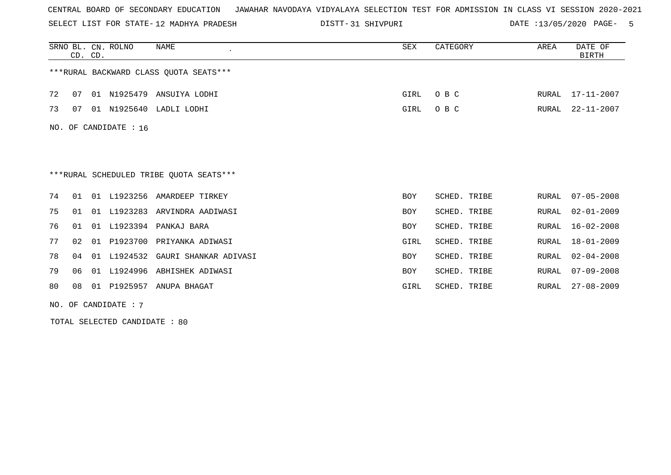SELECT LIST FOR STATE- DISTT- 12 MADHYA PRADESH

31 SHIVPURI DATE :13/05/2020 PAGE- 5

|    | CD. CD. |    | SRNO BL. CN. ROLNO    | NAME                                    | SEX        | CATEGORY     | AREA  | DATE OF<br><b>BIRTH</b> |
|----|---------|----|-----------------------|-----------------------------------------|------------|--------------|-------|-------------------------|
|    |         |    |                       | *** RURAL BACKWARD CLASS QUOTA SEATS*** |            |              |       |                         |
| 72 | 07      |    |                       | 01 N1925479 ANSUIYA LODHI               | GIRL       | O B C        | RURAL | 17-11-2007              |
| 73 | 07      |    |                       | 01 N1925640 LADLI LODHI                 | GIRL       | O B C        | RURAL | $22 - 11 - 2007$        |
|    |         |    | NO. OF CANDIDATE : 16 |                                         |            |              |       |                         |
|    |         |    |                       |                                         |            |              |       |                         |
|    |         |    |                       |                                         |            |              |       |                         |
|    |         |    |                       | ***RURAL SCHEDULED TRIBE OUOTA SEATS*** |            |              |       |                         |
| 74 | 01      |    | 01 L1923256           | AMARDEEP TIRKEY                         | <b>BOY</b> | SCHED. TRIBE | RURAL | $07 - 05 - 2008$        |
| 75 | 01      | 01 | L1923283              | ARVINDRA AADIWASI                       | <b>BOY</b> | SCHED. TRIBE | RURAL | $02 - 01 - 2009$        |
| 76 | 01      |    |                       | 01 L1923394 PANKAJ BARA                 | <b>BOY</b> | SCHED. TRIBE | RURAL | $16 - 02 - 2008$        |
| 77 | 02      | 01 |                       | P1923700 PRIYANKA ADIWASI               | GIRL       | SCHED. TRIBE | RURAL | $18 - 01 - 2009$        |
| 78 | 04      | 01 |                       | L1924532 GAURI SHANKAR ADIVASI          | <b>BOY</b> | SCHED. TRIBE | RURAL | $02 - 04 - 2008$        |
| 79 | 06      | 01 | L1924996              | ABHISHEK ADIWASI                        | <b>BOY</b> | SCHED. TRIBE | RURAL | $07 - 09 - 2008$        |
| 80 | 08      |    |                       | 01 P1925957 ANUPA BHAGAT                | GIRL       | SCHED. TRIBE | RURAL | $27 - 08 - 2009$        |

NO. OF CANDIDATE : 7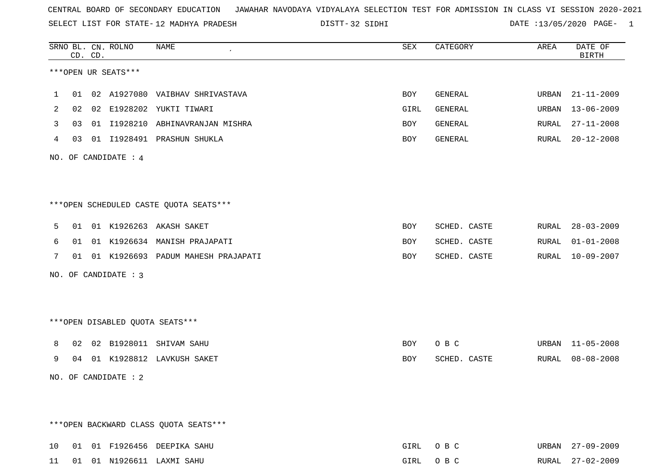SELECT LIST FOR STATE- DISTT- 12 MADHYA PRADESH

32 SIDHI DATE :13/05/2020 PAGE- 1

|                | CD. CD. | SRNO BL. CN. ROLNO     | NAME                                   | SEX  | CATEGORY     | AREA  | DATE OF<br>BIRTH |
|----------------|---------|------------------------|----------------------------------------|------|--------------|-------|------------------|
|                |         | ***OPEN UR SEATS***    |                                        |      |              |       |                  |
| $\mathbf 1$    |         |                        | 01 02 A1927080 VAIBHAV SHRIVASTAVA     | BOY  | GENERAL      | URBAN | 21-11-2009       |
| $\overline{2}$ |         |                        | 02  02  E1928202  YUKTI TIWARI         | GIRL | GENERAL      |       | URBAN 13-06-2009 |
| 3              |         |                        | 03 01 I1928210 ABHINAVRANJAN MISHRA    | BOY  | GENERAL      |       | RURAL 27-11-2008 |
| 4              |         |                        | 03 01 I1928491 PRASHUN SHUKLA          | BOY  | GENERAL      |       | RURAL 20-12-2008 |
|                |         | NO. OF CANDIDATE : $4$ |                                        |      |              |       |                  |
|                |         |                        |                                        |      |              |       |                  |
|                |         |                        | ***OPEN SCHEDULED CASTE QUOTA SEATS*** |      |              |       |                  |
| 5              |         |                        | 01 01 K1926263 AKASH SAKET             | BOY  | SCHED. CASTE |       | RURAL 28-03-2009 |
| 6              |         |                        | 01 01 K1926634 MANISH PRAJAPATI        | BOY  | SCHED. CASTE |       | RURAL 01-01-2008 |
| 7              |         |                        | 01 01 K1926693 PADUM MAHESH PRAJAPATI  | BOY  | SCHED. CASTE |       | RURAL 10-09-2007 |
|                |         | NO. OF CANDIDATE : 3   |                                        |      |              |       |                  |
|                |         |                        |                                        |      |              |       |                  |
|                |         |                        | ***OPEN DISABLED OUOTA SEATS***        |      |              |       |                  |
| 8              |         |                        | 02 02 B1928011 SHIVAM SAHU             | BOY  | O B C        |       | URBAN 11-05-2008 |
| 9              |         |                        | 04 01 K1928812 LAVKUSH SAKET           | BOY  | SCHED. CASTE |       | RURAL 08-08-2008 |
|                |         | NO. OF CANDIDATE : $2$ |                                        |      |              |       |                  |
|                |         |                        |                                        |      |              |       |                  |
|                |         |                        | *** OPEN BACKWARD CLASS QUOTA SEATS*** |      |              |       |                  |
| 10             |         |                        | 01 01 F1926456 DEEPIKA SAHU            |      | GIRL OBC     |       | URBAN 27-09-2009 |

11 01 01 N1926611 LAXMI SAHU GIRL O B C RURAL 27-02-2009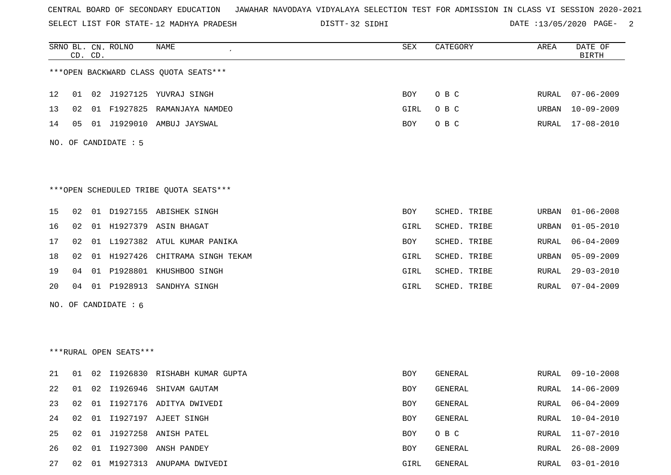SELECT LIST FOR STATE- DISTT- 12 MADHYA PRADESH

32 SIDHI DATE :13/05/2020 PAGE- 2

|    |    | CD. CD. | SRNO BL. CN. ROLNO     | NAME                                   | <b>SEX</b> | CATEGORY     | AREA         | DATE OF<br><b>BIRTH</b> |
|----|----|---------|------------------------|----------------------------------------|------------|--------------|--------------|-------------------------|
|    |    |         |                        | *** OPEN BACKWARD CLASS QUOTA SEATS*** |            |              |              |                         |
| 12 |    |         |                        | 01 02 J1927125 YUVRAJ SINGH            | BOY        | O B C        | RURAL        | $07 - 06 - 2009$        |
| 13 | 02 |         | 01 F1927825            | RAMANJAYA NAMDEO                       | GIRL       | O B C        | URBAN        | $10 - 09 - 2009$        |
| 14 | 05 |         |                        | 01 J1929010 AMBUJ JAYSWAL              | BOY        | O B C        | RURAL        | $17 - 08 - 2010$        |
|    |    |         | NO. OF CANDIDATE : 5   |                                        |            |              |              |                         |
|    |    |         |                        | ***OPEN SCHEDULED TRIBE QUOTA SEATS*** |            |              |              |                         |
| 15 | 02 |         |                        | 01 D1927155 ABISHEK SINGH              | BOY        | SCHED. TRIBE | URBAN        | $01 - 06 - 2008$        |
| 16 | 02 |         |                        | 01 H1927379 ASIN BHAGAT                | GIRL       | SCHED. TRIBE | URBAN        | $01 - 05 - 2010$        |
| 17 | 02 |         |                        | 01 L1927382 ATUL KUMAR PANIKA          | BOY        | SCHED. TRIBE | RURAL        | $06 - 04 - 2009$        |
| 18 | 02 |         |                        | 01 H1927426 CHITRAMA SINGH TEKAM       | GIRL       | SCHED. TRIBE | URBAN        | $05 - 09 - 2009$        |
| 19 | 04 |         |                        | 01 P1928801 KHUSHBOO SINGH             | GIRL       | SCHED. TRIBE | RURAL        | $29 - 03 - 2010$        |
| 20 | 04 |         |                        | 01 P1928913 SANDHYA SINGH              | GIRL       | SCHED. TRIBE | RURAL        | $07 - 04 - 2009$        |
|    |    |         | NO. OF CANDIDATE $: 6$ |                                        |            |              |              |                         |
|    |    |         |                        |                                        |            |              |              |                         |
|    |    |         | ***RURAL OPEN SEATS*** |                                        |            |              |              |                         |
| 21 | 01 | 02      |                        | I1926830 RISHABH KUMAR GUPTA           | BOY        | GENERAL      | RURAL        | $09 - 10 - 2008$        |
| 22 |    |         |                        | 01 02 I1926946 SHIVAM GAUTAM           | BOY        | GENERAL      | RURAL        | 14-06-2009              |
| 23 | 02 | 01      |                        | I1927176 ADITYA DWIVEDI                | BOY        | GENERAL      | <b>RURAL</b> | $06 - 04 - 2009$        |
| 24 | 02 | 01      |                        | I1927197 AJEET SINGH                   | BOY        | GENERAL      | RURAL        | $10 - 04 - 2010$        |
| 25 | 02 |         |                        | 01 J1927258 ANISH PATEL                | BOY        | O B C        | RURAL        | $11 - 07 - 2010$        |
| 26 | 02 |         |                        | 01 I1927300 ANSH PANDEY                | BOY        | GENERAL      | RURAL        | $26 - 08 - 2009$        |
| 27 |    |         |                        | 02 01 M1927313 ANUPAMA DWIVEDI         | GIRL       | GENERAL      | RURAL        | $03 - 01 - 2010$        |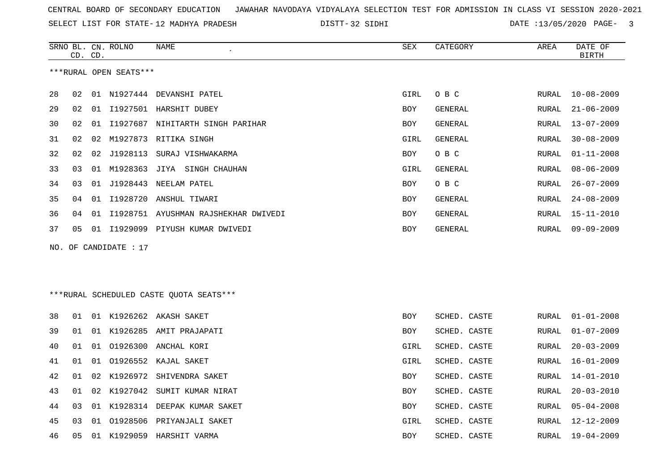32 SIDHI DATE :13/05/2020 PAGE- 3

|     |    | CD. CD. | SRNO BL. CN. ROLNO     | NAME                                    | ${\tt SEX}$ | CATEGORY       | AREA  | DATE OF<br><b>BIRTH</b> |
|-----|----|---------|------------------------|-----------------------------------------|-------------|----------------|-------|-------------------------|
|     |    |         | ***RURAL OPEN SEATS*** |                                         |             |                |       |                         |
| 28  | 02 |         |                        | 01 N1927444 DEVANSHI PATEL              | GIRL        | O B C          | RURAL | $10 - 08 - 2009$        |
| 29  | 02 |         |                        | 01 I1927501 HARSHIT DUBEY               | <b>BOY</b>  | GENERAL        | RURAL | $21 - 06 - 2009$        |
| 30  | 02 |         |                        | 01 I1927687 NIHITARTH SINGH PARIHAR     | BOY         | GENERAL        | RURAL | $13 - 07 - 2009$        |
| 31  | 02 |         |                        | 02 M1927873 RITIKA SINGH                | GIRL        | GENERAL        | RURAL | $30 - 08 - 2009$        |
| 32  | 02 |         | 02 J1928113            | SURAJ VISHWAKARMA                       | BOY         | O B C          | RURAL | $01 - 11 - 2008$        |
| 33  | 03 |         |                        | 01 M1928363 JIYA SINGH CHAUHAN          | GIRL        | GENERAL        | RURAL | $08 - 06 - 2009$        |
| 34  | 03 |         |                        | 01 J1928443 NEELAM PATEL                | <b>BOY</b>  | O B C          | RURAL | $26 - 07 - 2009$        |
| 35  | 04 |         |                        | 01 I1928720 ANSHUL TIWARI               | <b>BOY</b>  | <b>GENERAL</b> | RURAL | $24 - 08 - 2009$        |
| 36  | 04 |         |                        | 01 I1928751 AYUSHMAN RAJSHEKHAR DWIVEDI | BOY         | <b>GENERAL</b> | RURAL | $15 - 11 - 2010$        |
| 37  | 05 |         |                        | 01 I1929099 PIYUSH KUMAR DWIVEDI        | BOY         | GENERAL        | RURAL | $09 - 09 - 2009$        |
| NO. |    |         | OF CANDIDATE : 17      |                                         |             |                |       |                         |
|     |    |         |                        |                                         |             |                |       |                         |
|     |    |         |                        |                                         |             |                |       |                         |
|     |    |         |                        | ***RURAL SCHEDULED CASTE QUOTA SEATS*** |             |                |       |                         |
| 38  | 01 |         |                        | 01 K1926262 AKASH SAKET                 | <b>BOY</b>  | SCHED. CASTE   | RURAL | $01 - 01 - 2008$        |
| 39  | 01 |         |                        | 01 K1926285 AMIT PRAJAPATI              | BOY         | SCHED. CASTE   | RURAL | $01 - 07 - 2009$        |
| 40  | 01 |         |                        | 01 01926300 ANCHAL KORI                 | GIRL        | SCHED. CASTE   | RURAL | $20 - 03 - 2009$        |
| 41  | 01 |         |                        | 01 01926552 KAJAL SAKET                 | GIRL        | SCHED. CASTE   | RURAL | $16 - 01 - 2009$        |
| 42  | 01 |         |                        | 02 K1926972 SHIVENDRA SAKET             | BOY         | SCHED. CASTE   | RURAL | $14 - 01 - 2010$        |
| 43  | 01 |         |                        | 02 K1927042 SUMIT KUMAR NIRAT           | BOY         | SCHED. CASTE   | RURAL | $20 - 03 - 2010$        |
| 44  | 03 |         |                        | 01 K1928314 DEEPAK KUMAR SAKET          | <b>BOY</b>  | SCHED. CASTE   | RURAL | $05 - 04 - 2008$        |

|  |  | 46 05 01 K1929059 HARSHIT VARMA |  | BOY | SCHED. CASTE |  | RURAL 19-04-2009 |
|--|--|---------------------------------|--|-----|--------------|--|------------------|

03 01 O1928506 PRIYANJALI SAKET GIRL SCHED. CASTE RURAL 12-12-2009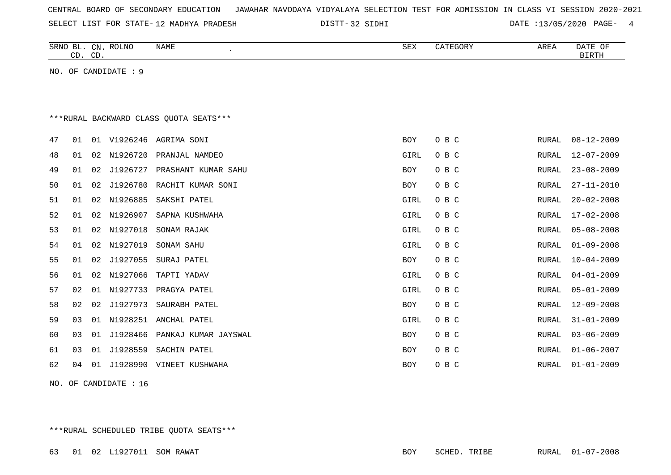| CENTRAL BOARD OF SECONDARY EDUCATION – JAWAHAR NAVODAYA VIDYALAYA SELECTION TEST FOR ADMISSION IN CLASS VI SESSION 2020-2021 |  |  |  |  |
|------------------------------------------------------------------------------------------------------------------------------|--|--|--|--|
|------------------------------------------------------------------------------------------------------------------------------|--|--|--|--|

32 SIDHI DATE :13/05/2020 PAGE- 4

|    |    | CD. CD. | SRNO BL. CN. ROLNO   | NAME<br>$\cdot$                        | SEX        | CATEGORY | AREA         | DATE OF<br><b>BIRTH</b> |
|----|----|---------|----------------------|----------------------------------------|------------|----------|--------------|-------------------------|
|    |    |         | NO. OF CANDIDATE : 9 |                                        |            |          |              |                         |
|    |    |         |                      |                                        |            |          |              |                         |
|    |    |         |                      |                                        |            |          |              |                         |
|    |    |         |                      | ***RURAL BACKWARD CLASS OUOTA SEATS*** |            |          |              |                         |
| 47 | 01 |         | 01 V1926246          | AGRIMA SONI                            | <b>BOY</b> | O B C    | RURAL        | $08 - 12 - 2009$        |
| 48 | 01 | 02      | N1926720             | PRANJAL NAMDEO                         | GIRL       | O B C    | RURAL        | $12 - 07 - 2009$        |
| 49 | 01 | 02      | J1926727             | PRASHANT KUMAR SAHU                    | <b>BOY</b> | O B C    | RURAL        | $23 - 08 - 2009$        |
| 50 | 01 | 02      | J1926780             | RACHIT KUMAR SONI                      | BOY        | O B C    | <b>RURAL</b> | $27 - 11 - 2010$        |
| 51 | 01 | 02      | N1926885             | SAKSHI PATEL                           | GIRL       | O B C    | RURAL        | $20 - 02 - 2008$        |
| 52 | 01 | 02      | N1926907             | SAPNA KUSHWAHA                         | GIRL       | O B C    | <b>RURAL</b> | $17 - 02 - 2008$        |
| 53 | 01 | 02      | N1927018             | SONAM RAJAK                            | GIRL       | O B C    | RURAL        | $05 - 08 - 2008$        |
| 54 | 01 | 02      | N1927019             | SONAM SAHU                             | GIRL       | O B C    | RURAL        | $01 - 09 - 2008$        |
| 55 | 01 | 02      | J1927055             | SURAJ PATEL                            | BOY        | O B C    | RURAL        | $10 - 04 - 2009$        |
| 56 | 01 | 02      | N1927066             | TAPTI YADAV                            | GIRL       | O B C    | RURAL        | $04 - 01 - 2009$        |
| 57 | 02 | 01      | N1927733             | PRAGYA PATEL                           | GIRL       | O B C    | <b>RURAL</b> | $05 - 01 - 2009$        |
| 58 | 02 | 02      | J1927973             | SAURABH PATEL                          | <b>BOY</b> | O B C    | RURAL        | $12 - 09 - 2008$        |
| 59 | 03 | 01      | N1928251             | ANCHAL PATEL                           | GIRL       | O B C    | <b>RURAL</b> | $31 - 01 - 2009$        |
| 60 | 03 | 01      | J1928466             | PANKAJ KUMAR JAYSWAL                   | <b>BOY</b> | O B C    | RURAL        | $03 - 06 - 2009$        |
| 61 | 03 | 01      | J1928559             | SACHIN PATEL                           | <b>BOY</b> | O B C    | RURAL        | $01 - 06 - 2007$        |
| 62 | 04 | 01      |                      | J1928990 VINEET KUSHWAHA               | <b>BOY</b> | O B C    | <b>RURAL</b> | $01 - 01 - 2009$        |
|    |    |         |                      |                                        |            |          |              |                         |

NO. OF CANDIDATE : 16

\*\*\*RURAL SCHEDULED TRIBE QUOTA SEATS\*\*\*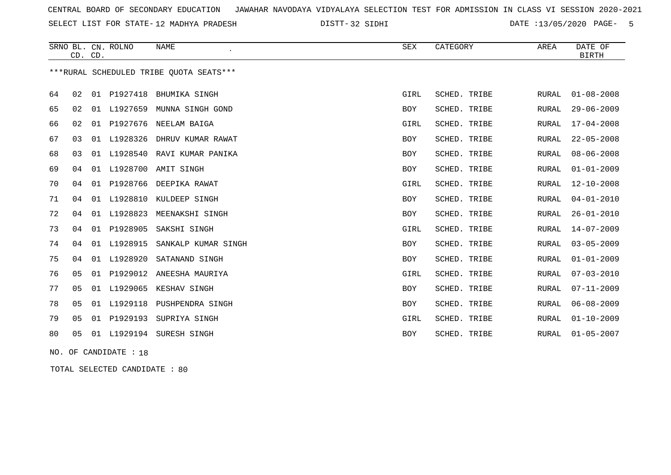SELECT LIST FOR STATE- DISTT- 12 MADHYA PRADESH

32 SIDHI DATE :13/05/2020 PAGE- 5

|    | CD. CD. |    | SRNO BL. CN. ROLNO    | <b>NAME</b><br>$\overline{\phantom{a}}$ | <b>SEX</b> | CATEGORY     | AREA         | DATE OF<br><b>BIRTH</b> |
|----|---------|----|-----------------------|-----------------------------------------|------------|--------------|--------------|-------------------------|
|    |         |    |                       | ***RURAL SCHEDULED TRIBE OUOTA SEATS*** |            |              |              |                         |
| 64 | 02      | 01 | P1927418              | BHUMIKA SINGH                           | GIRL       | SCHED. TRIBE | RURAL        | $01 - 08 - 2008$        |
| 65 | 02      | 01 | L1927659              | MUNNA SINGH GOND                        | BOY        | SCHED. TRIBE | RURAL        | $29 - 06 - 2009$        |
| 66 | 02      | 01 | P1927676              | NEELAM BAIGA                            | GIRL       | SCHED. TRIBE | RURAL        | $17 - 04 - 2008$        |
| 67 | 03      | 01 | L1928326              | DHRUV KUMAR RAWAT                       | BOY        | SCHED. TRIBE | <b>RURAL</b> | $22 - 05 - 2008$        |
| 68 | 03      | 01 | L1928540              | RAVI KUMAR PANIKA                       | <b>BOY</b> | SCHED. TRIBE | RURAL        | $08 - 06 - 2008$        |
| 69 | 04      | 01 | L1928700              | AMIT SINGH                              | <b>BOY</b> | SCHED. TRIBE | <b>RURAL</b> | $01 - 01 - 2009$        |
| 70 | 04      |    | 01 P1928766           | DEEPIKA RAWAT                           | GIRL       | SCHED. TRIBE | RURAL        | $12 - 10 - 2008$        |
| 71 | 04      |    | 01 L1928810           | KULDEEP SINGH                           | BOY        | SCHED. TRIBE | RURAL        | $04 - 01 - 2010$        |
| 72 | 04      |    | 01 L1928823           | MEENAKSHI SINGH                         | BOY        | SCHED. TRIBE | RURAL        | $26 - 01 - 2010$        |
| 73 | 04      |    | 01 P1928905           | SAKSHI SINGH                            | GIRL       | SCHED. TRIBE | RURAL        | $14 - 07 - 2009$        |
| 74 | 04      |    | 01 L1928915           | SANKALP KUMAR SINGH                     | BOY        | SCHED. TRIBE | <b>RURAL</b> | $03 - 05 - 2009$        |
| 75 | 04      | 01 | L1928920              | SATANAND SINGH                          | BOY        | SCHED. TRIBE | RURAL        | $01 - 01 - 2009$        |
| 76 | 05      |    |                       | 01 P1929012 ANEESHA MAURIYA             | GIRL       | SCHED. TRIBE | <b>RURAL</b> | $07 - 03 - 2010$        |
| 77 | 05      |    | 01 L1929065           | KESHAV SINGH                            | BOY        | SCHED. TRIBE | RURAL        | $07 - 11 - 2009$        |
| 78 | 05      |    | 01 L1929118           | PUSHPENDRA SINGH                        | BOY        | SCHED. TRIBE | <b>RURAL</b> | $06 - 08 - 2009$        |
| 79 | 05      | 01 | P1929193              | SUPRIYA SINGH                           | GIRL       | SCHED. TRIBE | RURAL        | $01 - 10 - 2009$        |
| 80 | 05      |    |                       | 01 L1929194 SURESH SINGH                | <b>BOY</b> | SCHED. TRIBE | RURAL        | $01 - 05 - 2007$        |
|    |         |    | NO. OF CANDIDATE : 18 |                                         |            |              |              |                         |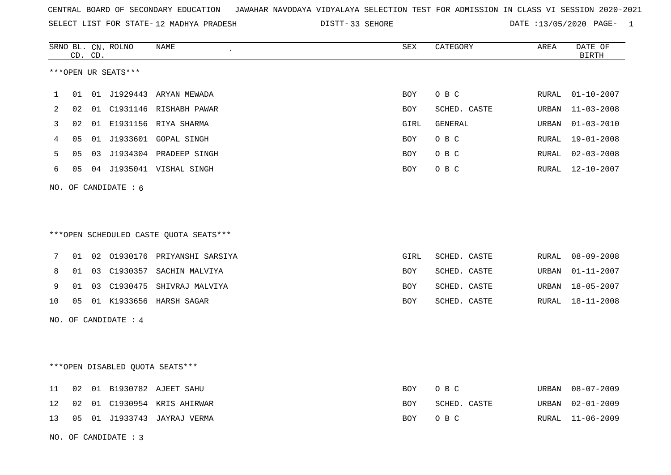|  |  |  |  | CENTRAL BOARD OF SECONDARY EDUCATION GJAWAHAR NAVODAYA VIDYALAYA SELECTION TEST FOR ADMISSION IN CLASS VI SESSION 2020-2021 |  |  |  |  |  |  |  |  |  |  |  |
|--|--|--|--|-----------------------------------------------------------------------------------------------------------------------------|--|--|--|--|--|--|--|--|--|--|--|
|--|--|--|--|-----------------------------------------------------------------------------------------------------------------------------|--|--|--|--|--|--|--|--|--|--|--|

SELECT LIST FOR STATE-12 MADHYA PRADESH DISTT-33 SEHORE DATE :13/05/2020 PAGE- 1

|    |    | CD. CD. | SRNO BL. CN. ROLNO     | NAME                                    | SEX        | CATEGORY     | AREA          | DATE OF<br><b>BIRTH</b> |
|----|----|---------|------------------------|-----------------------------------------|------------|--------------|---------------|-------------------------|
|    |    |         | ***OPEN UR SEATS***    |                                         |            |              |               |                         |
| 1  | 01 |         |                        | 01 J1929443 ARYAN MEWADA                | BOY        | O B C        | RURAL         | $01 - 10 - 2007$        |
| 2  | 02 |         |                        | 01 C1931146 RISHABH PAWAR               | <b>BOY</b> | SCHED. CASTE | URBAN         | $11 - 03 - 2008$        |
| 3  | 02 |         |                        | 01 E1931156 RIYA SHARMA                 | GIRL       | GENERAL      | URBAN         | $01 - 03 - 2010$        |
| 4  | 05 |         |                        | 01 J1933601 GOPAL SINGH                 | BOY        | O B C        | ${\tt RURAL}$ | $19 - 01 - 2008$        |
| 5  | 05 |         |                        | 03 J1934304 PRADEEP SINGH               | <b>BOY</b> | O B C        | RURAL         | $02 - 03 - 2008$        |
| 6  | 05 |         |                        | 04 J1935041 VISHAL SINGH                | <b>BOY</b> | O B C        | RURAL         | $12 - 10 - 2007$        |
|    |    |         | NO. OF CANDIDATE : $6$ |                                         |            |              |               |                         |
|    |    |         |                        |                                         |            |              |               |                         |
|    |    |         |                        |                                         |            |              |               |                         |
|    |    |         |                        | *** OPEN SCHEDULED CASTE QUOTA SEATS*** |            |              |               |                         |
| 7  | 01 |         |                        | 02 01930176 PRIYANSHI SARSIYA           | GIRL       | SCHED. CASTE | RURAL         | $08 - 09 - 2008$        |
| 8  | 01 |         |                        | 03 C1930357 SACHIN MALVIYA              | BOY        | SCHED. CASTE | URBAN         | $01 - 11 - 2007$        |
| 9  | 01 |         |                        | 03 C1930475 SHIVRAJ MALVIYA             | BOY        | SCHED. CASTE | URBAN         | $18 - 05 - 2007$        |
| 10 | 05 |         |                        | 01 K1933656 HARSH SAGAR                 | <b>BOY</b> | SCHED. CASTE | RURAL         | 18-11-2008              |
|    |    |         | NO. OF CANDIDATE : 4   |                                         |            |              |               |                         |
|    |    |         |                        |                                         |            |              |               |                         |
|    |    |         |                        |                                         |            |              |               |                         |
|    |    |         |                        | ***OPEN DISABLED QUOTA SEATS***         |            |              |               |                         |
| 11 | 02 |         |                        | 01 B1930782 AJEET SAHU                  | <b>BOY</b> | O B C        | URBAN         | $08 - 07 - 2009$        |
| 12 | 02 |         |                        | 01 C1930954 KRIS AHIRWAR                | <b>BOY</b> | SCHED. CASTE | URBAN         | $02 - 01 - 2009$        |
| 13 | 05 |         |                        | 01 J1933743 JAYRAJ VERMA                | BOY        | O B C        | RURAL         | $11 - 06 - 2009$        |
|    |    |         | NO. OF CANDIDATE : 3   |                                         |            |              |               |                         |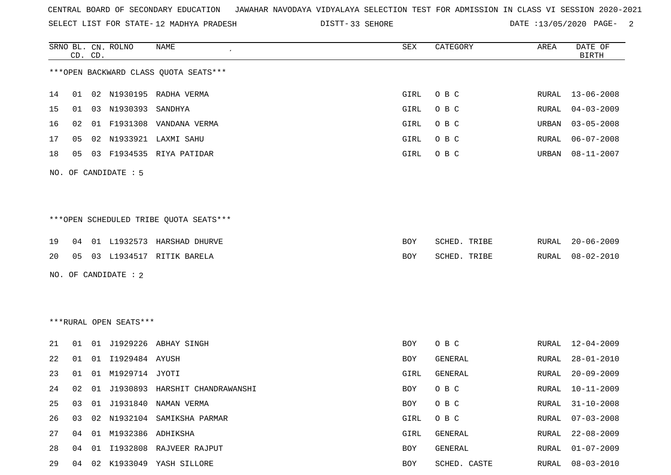SELECT LIST FOR STATE- DISTT- 12 MADHYA PRADESH

DISTT-33 SEHORE 2001 CATE :13/05/2020 PAGE- 2

|    |    | CD. CD. | SRNO BL. CN. ROLNO      | NAME                                   | SEX        | CATEGORY       | AREA         | DATE OF<br><b>BIRTH</b> |
|----|----|---------|-------------------------|----------------------------------------|------------|----------------|--------------|-------------------------|
|    |    |         |                         | *** OPEN BACKWARD CLASS QUOTA SEATS*** |            |                |              |                         |
| 14 | 01 |         |                         | 02 N1930195 RADHA VERMA                | GIRL       | O B C          | RURAL        | 13-06-2008              |
| 15 | 01 |         | 03 N1930393             | SANDHYA                                | GIRL       | O B C          | RURAL        | $04 - 03 - 2009$        |
| 16 | 02 |         | 01 F1931308             | VANDANA VERMA                          | GIRL       | O B C          | URBAN        | $03 - 05 - 2008$        |
| 17 | 05 |         |                         | 02 N1933921 LAXMI SAHU                 | GIRL       | O B C          | RURAL        | $06 - 07 - 2008$        |
| 18 | 05 |         |                         | 03 F1934535 RIYA PATIDAR               | GIRL       | O B C          | URBAN        | $08 - 11 - 2007$        |
|    |    |         | NO. OF CANDIDATE : 5    |                                        |            |                |              |                         |
|    |    |         |                         |                                        |            |                |              |                         |
|    |    |         |                         | ***OPEN SCHEDULED TRIBE QUOTA SEATS*** |            |                |              |                         |
| 19 | 04 |         |                         | 01 L1932573 HARSHAD DHURVE             | BOY        | SCHED. TRIBE   | RURAL        | $20 - 06 - 2009$        |
| 20 | 05 |         |                         | 03 L1934517 RITIK BARELA               | <b>BOY</b> | SCHED. TRIBE   | RURAL        | $08 - 02 - 2010$        |
|    |    |         | NO. OF CANDIDATE : 2    |                                        |            |                |              |                         |
|    |    |         |                         |                                        |            |                |              |                         |
|    |    |         |                         |                                        |            |                |              |                         |
|    |    |         | ***RURAL OPEN SEATS***  |                                        |            |                |              |                         |
| 21 | 01 |         |                         | 01 J1929226 ABHAY SINGH                | BOY        | O B C          | RURAL        | 12-04-2009              |
| 22 | 01 | 01      | 11929484 AYUSH          |                                        | BOY        | GENERAL        | RURAL        | $28 - 01 - 2010$        |
| 23 | 01 | 01      | M1929714 JYOTI          |                                        | GIRL       | <b>GENERAL</b> | RURAL        | $20 - 09 - 2009$        |
| 24 | 02 |         |                         | 01 J1930893 HARSHIT CHANDRAWANSHI      | <b>BOY</b> | O B C          | RURAL        | $10 - 11 - 2009$        |
| 25 | 03 |         |                         | 01 J1931840 NAMAN VERMA                | BOY        | $O$ B $C$      | <b>RURAL</b> | $31 - 10 - 2008$        |
| 26 | 03 |         |                         | 02 N1932104 SAMIKSHA PARMAR            | GIRL       | O B C          | <b>RURAL</b> | $07 - 03 - 2008$        |
| 27 |    |         | 04 01 M1932386 ADHIKSHA |                                        | GIRL       | GENERAL        | RURAL        | $22 - 08 - 2009$        |
| 28 | 04 | 01      |                         | I1932808 RAJVEER RAJPUT                | BOY        | GENERAL        | <b>RURAL</b> | $01 - 07 - 2009$        |
| 29 | 04 |         |                         | 02 K1933049 YASH SILLORE               | BOY        | SCHED. CASTE   | RURAL        | $08 - 03 - 2010$        |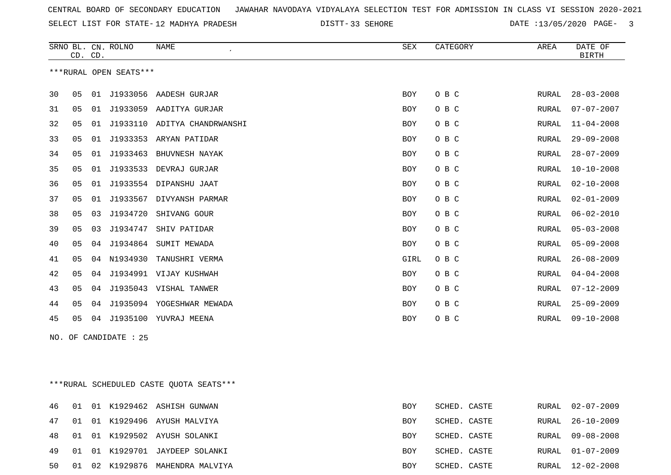33 SEHORE DATE :13/05/2020 PAGE- 3

|     | CD. CD.                                 |    | SRNO BL. CN. ROLNO     | NAME                                                                                                                                                                                                                                                                                                                                                                  | <b>SEX</b> | CATEGORY |  | AREA         | DATE OF<br><b>BIRTH</b>      |
|-----|-----------------------------------------|----|------------------------|-----------------------------------------------------------------------------------------------------------------------------------------------------------------------------------------------------------------------------------------------------------------------------------------------------------------------------------------------------------------------|------------|----------|--|--------------|------------------------------|
|     |                                         |    | ***RURAL OPEN SEATS*** |                                                                                                                                                                                                                                                                                                                                                                       |            |          |  |              |                              |
| 30  | 05                                      |    |                        | 01 J1933056 AADESH GURJAR                                                                                                                                                                                                                                                                                                                                             | BOY        | O B C    |  | RURAL        | $28 - 03 - 2008$             |
| 31  | 05                                      |    |                        | 01 J1933059 AADITYA GURJAR                                                                                                                                                                                                                                                                                                                                            | BOY        | O B C    |  | RURAL        | $07 - 07 - 2007$             |
| 32  | 05                                      |    |                        | 01 J1933110 ADITYA CHANDRWANSHI                                                                                                                                                                                                                                                                                                                                       | BOY        | O B C    |  | RURAL        | $11 - 04 - 2008$             |
| 33  | 05                                      |    |                        | 01 J1933353 ARYAN PATIDAR                                                                                                                                                                                                                                                                                                                                             | <b>BOY</b> | O B C    |  | RURAL        | $29 - 09 - 2008$             |
| 34  | 05                                      |    |                        | 01 J1933463 BHUVNESH NAYAK                                                                                                                                                                                                                                                                                                                                            | <b>BOY</b> | O B C    |  | RURAL        | $28 - 07 - 2009$             |
| 35  | 05                                      |    | 01 J1933533            | DEVRAJ GURJAR                                                                                                                                                                                                                                                                                                                                                         | <b>BOY</b> | O B C    |  | RURAL        | $10 - 10 - 2008$             |
| 36  | 05                                      |    |                        | 01 J1933554 DIPANSHU JAAT                                                                                                                                                                                                                                                                                                                                             | BOY        | O B C    |  | RURAL        | $02 - 10 - 2008$             |
| 37  | 05                                      |    | 01 J1933567            | DIVYANSH PARMAR                                                                                                                                                                                                                                                                                                                                                       | BOY        | O B C    |  | RURAL        | $02 - 01 - 2009$             |
| 38  | 05                                      | 03 | J1934720               | SHIVANG GOUR                                                                                                                                                                                                                                                                                                                                                          | BOY        | O B C    |  | RURAL        | $06 - 02 - 2010$             |
| 39  | 05                                      | 03 | J1934747               | SHIV PATIDAR                                                                                                                                                                                                                                                                                                                                                          | BOY        | O B C    |  | RURAL        | $05 - 03 - 2008$             |
| 40  | 05                                      | 04 |                        | J1934864 SUMIT MEWADA                                                                                                                                                                                                                                                                                                                                                 | <b>BOY</b> | O B C    |  | RURAL        | $05 - 09 - 2008$             |
| 41  | 05                                      | 04 | N1934930               | TANUSHRI VERMA                                                                                                                                                                                                                                                                                                                                                        | GIRL       | O B C    |  | RURAL        | $26 - 08 - 2009$             |
| 42  | 05                                      | 04 |                        | J1934991 VIJAY KUSHWAH                                                                                                                                                                                                                                                                                                                                                | <b>BOY</b> | O B C    |  | <b>RURAL</b> | $04 - 04 - 2008$             |
| 43  | 05                                      | 04 |                        | J1935043 VISHAL TANWER                                                                                                                                                                                                                                                                                                                                                | <b>BOY</b> | O B C    |  | RURAL        | $07 - 12 - 2009$             |
| 44  | 05                                      | 04 |                        | J1935094 YOGESHWAR MEWADA                                                                                                                                                                                                                                                                                                                                             | <b>BOY</b> | O B C    |  | <b>RURAL</b> | $25 - 09 - 2009$             |
| 45  | 05                                      |    |                        | 04 J1935100 YUVRAJ MEENA                                                                                                                                                                                                                                                                                                                                              | <b>BOY</b> | O B C    |  | RURAL        | $09 - 10 - 2008$             |
| NO. |                                         |    | OF CANDIDATE : 25      |                                                                                                                                                                                                                                                                                                                                                                       |            |          |  |              |                              |
|     |                                         |    |                        |                                                                                                                                                                                                                                                                                                                                                                       |            |          |  |              |                              |
|     |                                         |    |                        |                                                                                                                                                                                                                                                                                                                                                                       |            |          |  |              |                              |
|     | ***RURAL SCHEDULED CASTE OUOTA SEATS*** |    |                        |                                                                                                                                                                                                                                                                                                                                                                       |            |          |  |              |                              |
|     |                                         |    |                        | $\overline{A}$ 6 $\overline{A}$ 01 $\overline{A}$ 1000460 $\overline{A}$ $\overline{C}$ $\overline{C}$ $\overline{C}$ $\overline{C}$ $\overline{C}$ $\overline{C}$ $\overline{C}$ $\overline{C}$ $\overline{C}$ $\overline{C}$ $\overline{C}$ $\overline{C}$ $\overline{C}$ $\overline{C}$ $\overline{C}$ $\overline{C}$ $\overline{C}$ $\overline{C}$ $\overline{C}$ | $D\cap V$  |          |  |              | <u>0000 - 1000 - 1</u> 01110 |

|  |  | TO OI OI NIJZJIOZ ADHIDH GUNWAN    | DU 1       | OUNDD. UADIB | NUNALI UZTU ZUUJ |
|--|--|------------------------------------|------------|--------------|------------------|
|  |  | 47 01 01 K1929496 AYUSH MALVIYA    | BOY        | SCHED. CASTE | RURAL 26-10-2009 |
|  |  | 48 01 01 K1929502 AYUSH SOLANKI    | BOY        | SCHED. CASTE | RURAL 09-08-2008 |
|  |  | 49 01 01 K1929701 JAYDEEP SOLANKI  | <b>BOY</b> | SCHED. CASTE | RURAL 01-07-2009 |
|  |  | 50 01 02 K1929876 MAHENDRA MALVIYA | BOY        | SCHED. CASTE | RURAL 12-02-2008 |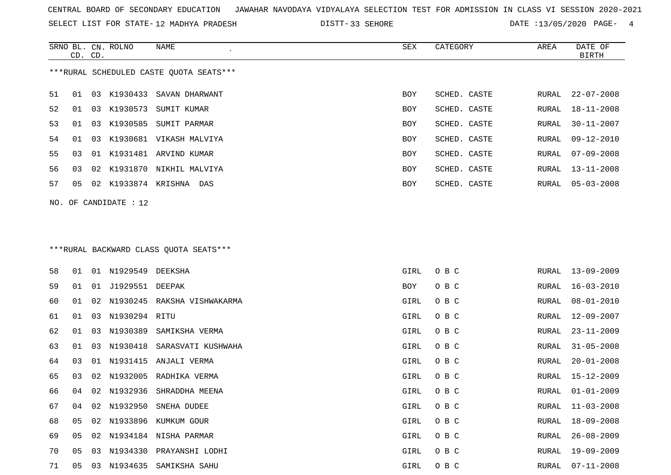SRNO BL. CN. ROLNO NAME SEX CATEGORY AREA DATE OF

SELECT LIST FOR STATE- DISTT- 12 MADHYA PRADESH

|    | CD. CD. |    |                       |                                         |            |              |       | <b>BIRTH</b>     |
|----|---------|----|-----------------------|-----------------------------------------|------------|--------------|-------|------------------|
|    |         |    |                       | ***RURAL SCHEDULED CASTE QUOTA SEATS*** |            |              |       |                  |
| 51 | 01      |    | 03 K1930433           | SAVAN DHARWANT                          | <b>BOY</b> | SCHED. CASTE | RURAL | $22 - 07 - 2008$ |
| 52 | 01      | 03 | K1930573              | SUMIT KUMAR                             | BOY        | SCHED. CASTE | RURAL | 18-11-2008       |
| 53 | 01      |    |                       | 03 K1930585 SUMIT PARMAR                | BOY        | SCHED. CASTE | RURAL | $30 - 11 - 2007$ |
| 54 | 01      | 03 |                       | K1930681 VIKASH MALVIYA                 | BOY        | SCHED. CASTE | RURAL | $09 - 12 - 2010$ |
| 55 | 03      |    |                       | 01 K1931481 ARVIND KUMAR                | BOY        | SCHED. CASTE | RURAL | $07 - 09 - 2008$ |
| 56 | 03      |    |                       | 02 K1931870 NIKHIL MALVIYA              | BOY        | SCHED. CASTE | RURAL | $13 - 11 - 2008$ |
| 57 | 05      |    |                       | 02 K1933874 KRISHNA DAS                 | BOY        | SCHED. CASTE | RURAL | $05 - 03 - 2008$ |
|    |         |    | NO. OF CANDIDATE : 12 |                                         |            |              |       |                  |
|    |         |    |                       |                                         |            |              |       |                  |
|    |         |    |                       | ***RURAL BACKWARD CLASS QUOTA SEATS***  |            |              |       |                  |
| 58 | 01      |    | 01 N1929549 DEEKSHA   |                                         | GIRL       | O B C        | RURAL | 13-09-2009       |
| 59 | 01      |    | 01 J1929551 DEEPAK    |                                         | BOY        | O B C        | RURAL | $16 - 03 - 2010$ |
| 60 | 01      | 02 |                       | N1930245 RAKSHA VISHWAKARMA             | GIRL       | O B C        | RURAL | $08 - 01 - 2010$ |
| 61 | 01      | 03 | N1930294 RITU         |                                         | GIRL       | O B C        | RURAL | 12-09-2007       |
| 62 | 01      |    | 03 N1930389           | SAMIKSHA VERMA                          | GIRL       | O B C        | RURAL | $23 - 11 - 2009$ |
| 63 | 01      | 03 |                       | N1930418 SARASVATI KUSHWAHA             | GIRL       | O B C        | RURAL | $31 - 05 - 2008$ |
| 64 | 03      | 01 | N1931415              | ANJALI VERMA                            | GIRL       | O B C        | RURAL | $20 - 01 - 2008$ |
| 65 | 03      | 02 | N1932005              | RADHIKA VERMA                           | GIRL       | O B C        | RURAL | $15 - 12 - 2009$ |
| 66 | 04      | 02 | N1932936              | SHRADDHA MEENA                          | GIRL       | O B C        | RURAL | $01 - 01 - 2009$ |
| 67 | 04      |    | 02 N1932950           | SNEHA DUDEE                             | GIRL       | O B C        | RURAL | $11 - 03 - 2008$ |
| 68 |         |    |                       | 05 02 N1933896 KUMKUM GOUR              | GIRL       | O B C        |       | RURAL 18-09-2008 |
| 69 |         |    |                       | 05 02 N1934184 NISHA PARMAR             | GIRL       | O B C        | RURAL | $26 - 08 - 2009$ |
| 70 |         |    |                       | 05 03 N1934330 PRAYANSHI LODHI          | GIRL       | O B C        | RURAL | 19-09-2009       |
| 71 |         |    |                       | 05 03 N1934635 SAMIKSHA SAHU            | GIRL       | O B C        |       | RURAL 07-11-2008 |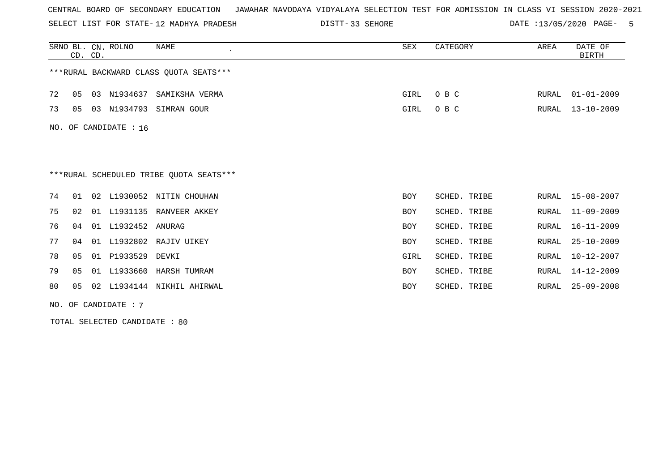SELECT LIST FOR STATE- DISTT- 12 MADHYA PRADESH

DISTT-33 SEHORE **DATE** :13/05/2020 PAGE- 5

|    |    | CD. CD. | SRNO BL. CN. ROLNO    | <b>NAME</b>                             | SEX  | CATEGORY     | AREA  | DATE OF<br><b>BIRTH</b> |
|----|----|---------|-----------------------|-----------------------------------------|------|--------------|-------|-------------------------|
|    |    |         |                       | *** RURAL BACKWARD CLASS QUOTA SEATS*** |      |              |       |                         |
| 72 | 05 | 03      | N1934637              | SAMIKSHA VERMA                          | GIRL | O B C        | RURAL | $01 - 01 - 2009$        |
| 73 | 05 |         | 03 N1934793           | SIMRAN GOUR                             | GIRL | O B C        | RURAL | $13 - 10 - 2009$        |
|    |    |         | NO. OF CANDIDATE : 16 |                                         |      |              |       |                         |
|    |    |         |                       |                                         |      |              |       |                         |
|    |    |         |                       | ***RURAL SCHEDULED TRIBE OUOTA SEATS*** |      |              |       |                         |
| 74 | 01 |         |                       | 02 L1930052 NITIN CHOUHAN               | BOY  | SCHED. TRIBE |       | RURAL 15-08-2007        |
| 75 | 02 |         |                       | 01 L1931135 RANVEER AKKEY               | BOY  | SCHED. TRIBE | RURAL | $11 - 09 - 2009$        |
| 76 | 04 |         | 01 L1932452 ANURAG    |                                         | BOY  | SCHED. TRIBE | RURAL | 16-11-2009              |
| 77 | 04 | 01      |                       | L1932802 RAJIV UIKEY                    | BOY  | SCHED. TRIBE | RURAL | $25 - 10 - 2009$        |
| 78 | 05 |         | 01 P1933529           | DEVKI                                   | GIRL | SCHED. TRIBE | RURAL | $10 - 12 - 2007$        |
| 79 | 05 |         |                       | 01 L1933660 HARSH TUMRAM                | BOY  | SCHED. TRIBE | RURAL | $14 - 12 - 2009$        |
| 80 | 05 |         |                       | 02 L1934144 NIKHIL AHIRWAL              | BOY  | SCHED. TRIBE | RURAL | $25 - 09 - 2008$        |
|    |    |         | NO. OF CANDIDATE: 7   |                                         |      |              |       |                         |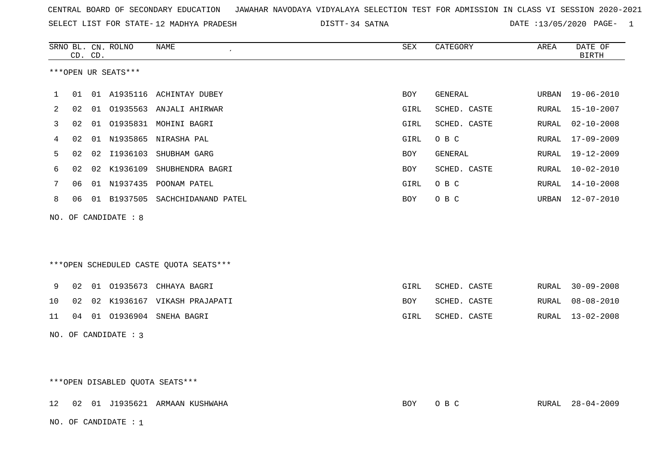| CENTRAL BOARD OF SECONDARY EDUCATION – JAWAHAR NAVODAYA VIDYALAYA SELECTION TEST FOR ADMISSION IN CLASS VI SESSION 2020-2021 |  |  |  |
|------------------------------------------------------------------------------------------------------------------------------|--|--|--|
|------------------------------------------------------------------------------------------------------------------------------|--|--|--|

SELECT LIST FOR STATE-12 MADHYA PRADESH DISTT-34 SATNA DATE :13/05/2020 PAGE- 1

|              |    | CD. CD. | SRNO BL. CN. ROLNO   | NAME                                   | SEX  | CATEGORY     | AREA  | DATE OF<br><b>BIRTH</b> |
|--------------|----|---------|----------------------|----------------------------------------|------|--------------|-------|-------------------------|
|              |    |         | ***OPEN UR SEATS***  |                                        |      |              |       |                         |
| $\mathbf{1}$ | 01 |         |                      | 01 A1935116 ACHINTAY DUBEY             | BOY  | GENERAL      |       | URBAN 19-06-2010        |
| 2            | 02 |         |                      | 01 01935563 ANJALI AHIRWAR             | GIRL | SCHED. CASTE | RURAL | 15-10-2007              |
| 3            | 02 |         |                      | 01 01935831 MOHINI BAGRI               | GIRL | SCHED. CASTE | RURAL | 02-10-2008              |
| 4            | 02 |         |                      | 01 N1935865 NIRASHA PAL                | GIRL | O B C        | RURAL | 17-09-2009              |
| 5            | 02 |         | 02 I1936103          | SHUBHAM GARG                           | BOY  | GENERAL      | RURAL | 19-12-2009              |
| 6            | 02 |         |                      | 02 K1936109 SHUBHENDRA BAGRI           | BOY  | SCHED. CASTE | RURAL | 10-02-2010              |
| 7            | 06 |         |                      | 01 N1937435 POONAM PATEL               | GIRL | O B C        | RURAL | $14 - 10 - 2008$        |
| 8            | 06 |         |                      | 01 B1937505 SACHCHIDANAND PATEL        | BOY  | O B C        |       | URBAN 12-07-2010        |
| NO.          |    |         | OF CANDIDATE : 8     |                                        |      |              |       |                         |
|              |    |         |                      |                                        |      |              |       |                         |
|              |    |         |                      | ***OPEN SCHEDULED CASTE QUOTA SEATS*** |      |              |       |                         |
| 9            | 02 |         |                      | 01 01935673 CHHAYA BAGRI               | GIRL | SCHED. CASTE | RURAL | $30 - 09 - 2008$        |
| 10           | 02 |         |                      | 02 K1936167 VIKASH PRAJAPATI           | BOY  | SCHED. CASTE | RURAL | 08-08-2010              |
| 11           |    |         |                      | 04 01 01936904 SNEHA BAGRI             | GIRL | SCHED. CASTE |       | RURAL 13-02-2008        |
|              |    |         | NO. OF CANDIDATE : 3 |                                        |      |              |       |                         |
|              |    |         |                      |                                        |      |              |       |                         |
|              |    |         |                      |                                        |      |              |       |                         |
|              |    |         |                      | ***OPEN DISABLED QUOTA SEATS***        |      |              |       |                         |
| 12           |    |         |                      | 02 01 J1935621 ARMAAN KUSHWAHA         | BOY  | O B C        |       | RURAL 28-04-2009        |

NO. OF CANDIDATE : 1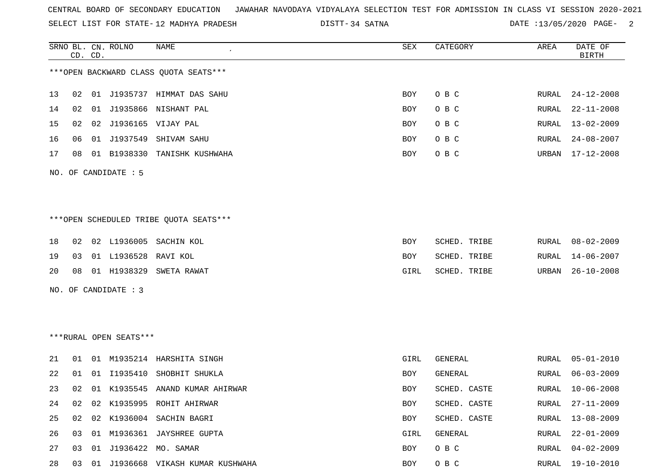SELECT LIST FOR STATE- DISTT- 12 MADHYA PRADESH

34 SATNA DATE :13/05/2020 PAGE- 2

|     |    | CD. CD. | SRNO BL. CN. ROLNO     | NAME                                    | SEX  | CATEGORY       | AREA  | DATE OF<br><b>BIRTH</b> |
|-----|----|---------|------------------------|-----------------------------------------|------|----------------|-------|-------------------------|
|     |    |         |                        | *** OPEN BACKWARD CLASS QUOTA SEATS *** |      |                |       |                         |
| 13  | 02 |         |                        | 01 J1935737 HIMMAT DAS SAHU             | BOY  | O B C          | RURAL | $24 - 12 - 2008$        |
| 14  | 02 |         |                        | 01 J1935866 NISHANT PAL                 | BOY  | O B C          | RURAL | $22 - 11 - 2008$        |
| 15  | 02 |         |                        | 02 J1936165 VIJAY PAL                   | BOY  | O B C          | RURAL | $13 - 02 - 2009$        |
| 16  | 06 |         | 01 J1937549            | SHIVAM SAHU                             | BOY  | O B C          | RURAL | $24 - 08 - 2007$        |
| 17  | 08 |         |                        | 01 B1938330 TANISHK KUSHWAHA            | BOY  | O B C          | URBAN | $17 - 12 - 2008$        |
|     |    |         | NO. OF CANDIDATE : 5   |                                         |      |                |       |                         |
|     |    |         |                        | ***OPEN SCHEDULED TRIBE QUOTA SEATS***  |      |                |       |                         |
| 18  | 02 |         | 02 L1936005            | SACHIN KOL                              | BOY  | SCHED. TRIBE   | RURAL | $08 - 02 - 2009$        |
| 19  | 03 |         | 01 L1936528 RAVI KOL   |                                         | BOY  | SCHED. TRIBE   | RURAL | 14-06-2007              |
| 20  | 08 |         | 01 H1938329            | SWETA RAWAT                             | GIRL | SCHED. TRIBE   | URBAN | $26 - 10 - 2008$        |
| NO. |    |         | OF CANDIDATE : 3       |                                         |      |                |       |                         |
|     |    |         | ***RURAL OPEN SEATS*** |                                         |      |                |       |                         |
| 21  | 01 |         |                        | 01 M1935214 HARSHITA SINGH              | GIRL | <b>GENERAL</b> | RURAL | $05 - 01 - 2010$        |
| 22  | 01 |         | 01 11935410            | SHOBHIT SHUKLA                          | BOY  | GENERAL        | RURAL | $06 - 03 - 2009$        |
| 23  | 02 |         |                        | 01 K1935545 ANAND KUMAR AHIRWAR         | BOY  | SCHED. CASTE   |       | RURAL 10-06-2008        |
| 24  | 02 | 02      |                        | K1935995 ROHIT AHIRWAR                  | BOY  | SCHED. CASTE   | RURAL | $27 - 11 - 2009$        |
| 25  | 02 |         |                        | 02 K1936004 SACHIN BAGRI                | BOY  | SCHED. CASTE   | RURAL | $13 - 08 - 2009$        |
| 26  | 03 |         |                        | 01 M1936361 JAYSHREE GUPTA              | GIRL | GENERAL        | RURAL | $22 - 01 - 2009$        |
| 27  | 03 |         |                        | 01 J1936422 MO. SAMAR                   | BOY  | O B C          | RURAL | $04 - 02 - 2009$        |
| 28  | 03 |         |                        | 01 J1936668 VIKASH KUMAR KUSHWAHA       | BOY  | O B C          |       | RURAL 19-10-2010        |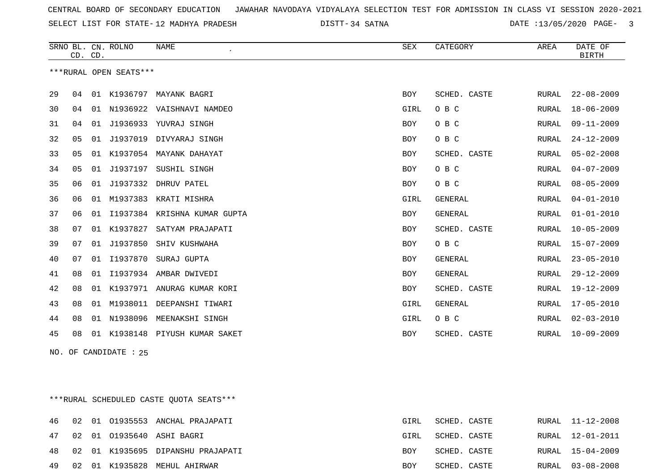34 SATNA DATE :13/05/2020 PAGE- 3

|    | CD. CD.        |    | SRNO BL. CN. ROLNO     | <b>NAME</b>                  | <b>SEX</b> | CATEGORY       | AREA  | DATE OF<br><b>BIRTH</b> |
|----|----------------|----|------------------------|------------------------------|------------|----------------|-------|-------------------------|
|    |                |    | ***RURAL OPEN SEATS*** |                              |            |                |       |                         |
| 29 | 04             | 01 | K1936797               | MAYANK BAGRI                 | <b>BOY</b> | SCHED. CASTE   | RURAL | $22 - 08 - 2009$        |
| 30 | 04             | 01 | N1936922               | VAISHNAVI NAMDEO             | GIRL       | O B C          | RURAL | $18 - 06 - 2009$        |
| 31 | 04             | 01 | J1936933               | YUVRAJ SINGH                 | <b>BOY</b> | O B C          | RURAL | $09 - 11 - 2009$        |
| 32 | 05             | 01 | J1937019               | DIVYARAJ SINGH               | <b>BOY</b> | O B C          | RURAL | $24 - 12 - 2009$        |
| 33 | 0 <sub>5</sub> | 01 |                        | K1937054 MAYANK DAHAYAT      | <b>BOY</b> | SCHED. CASTE   | RURAL | $05 - 02 - 2008$        |
| 34 | 05             | 01 |                        | J1937197 SUSHIL SINGH        | <b>BOY</b> | O B C          | RURAL | $04 - 07 - 2009$        |
| 35 | 06             | 01 |                        | J1937332 DHRUV PATEL         | <b>BOY</b> | O B C          | RURAL | $08 - 05 - 2009$        |
| 36 | 06             | 01 |                        | M1937383 KRATI MISHRA        | GIRL       | <b>GENERAL</b> | RURAL | $04 - 01 - 2010$        |
| 37 | 06             | 01 |                        | I1937384 KRISHNA KUMAR GUPTA | <b>BOY</b> | <b>GENERAL</b> | RURAL | $01 - 01 - 2010$        |
| 38 | 07             | 01 | K1937827               | SATYAM PRAJAPATI             | <b>BOY</b> | SCHED. CASTE   | RURAL | $10 - 05 - 2009$        |
| 39 | 07             | 01 | J1937850               | SHIV KUSHWAHA                | <b>BOY</b> | O B C          | RURAL | $15 - 07 - 2009$        |
| 40 | 07             | 01 | I1937870               | SURAJ GUPTA                  | <b>BOY</b> | <b>GENERAL</b> | RURAL | $23 - 05 - 2010$        |
| 41 | 08             | 01 |                        | I1937934 AMBAR DWIVEDI       | <b>BOY</b> | <b>GENERAL</b> | RURAL | $29 - 12 - 2009$        |
| 42 | 08             | 01 |                        | K1937971 ANURAG KUMAR KORI   | <b>BOY</b> | SCHED. CASTE   | RURAL | $19 - 12 - 2009$        |
| 43 | 08             | 01 | M1938011               | DEEPANSHI TIWARI             | GIRL       | <b>GENERAL</b> | RURAL | $17 - 05 - 2010$        |
| 44 | 08             | 01 | N1938096               | MEENAKSHI SINGH              | GIRL       | O B C          | RURAL | $02 - 03 - 2010$        |
| 45 | 08             | 01 | K1938148               | PIYUSH KUMAR SAKET           | <b>BOY</b> | SCHED. CASTE   | RURAL | $10 - 09 - 2009$        |
|    |                |    |                        |                              |            |                |       |                         |

NO. OF CANDIDATE : 25

\*\*\*RURAL SCHEDULED CASTE QUOTA SEATS\*\*\*

|  |  | 46 02 01 01935553 ANCHAL PRAJAPATI   | GIRL | SCHED. CASTE |  | RURAL 11-12-2008 |
|--|--|--------------------------------------|------|--------------|--|------------------|
|  |  | 47 02 01 01935640 ASHI BAGRI         | GIRL | SCHED. CASTE |  | RURAL 12-01-2011 |
|  |  | 48 02 01 K1935695 DIPANSHU PRAJAPATI | BOY  | SCHED. CASTE |  | RURAL 15-04-2009 |
|  |  | 49 02 01 K1935828 MEHUL AHIRWAR      | BOY  | SCHED. CASTE |  | RURAL 03-08-2008 |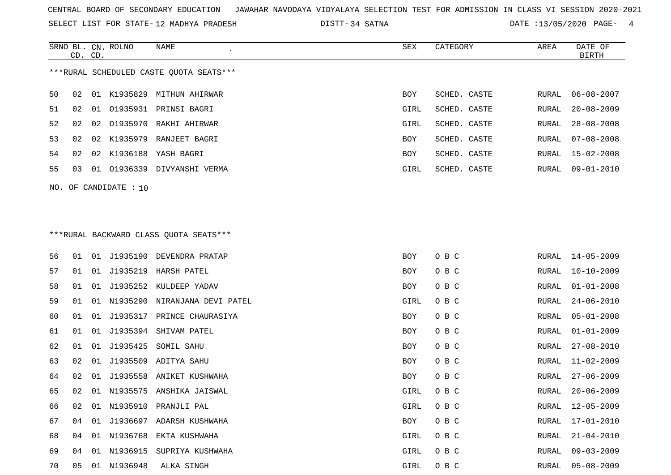SELECT LIST FOR STATE- DISTT- 12 MADHYA PRADESH

SRNO BL. CN.

ROLNO NAME SEX CATEGORY AREA DATE OF

34 SATNA DATE :13/05/2020 PAGE- 4

|    | CD. CD. |    |                       |                                         |      |              |       | BIRTH            |
|----|---------|----|-----------------------|-----------------------------------------|------|--------------|-------|------------------|
|    |         |    |                       | ***RURAL SCHEDULED CASTE QUOTA SEATS*** |      |              |       |                  |
| 50 | 02      |    |                       | 01 K1935829 MITHUN AHIRWAR              | BOY  | SCHED. CASTE | RURAL | $06 - 08 - 2007$ |
| 51 | 02      | 01 |                       | 01935931 PRINSI BAGRI                   | GIRL | SCHED. CASTE | RURAL | $20 - 08 - 2009$ |
| 52 | 02      | 02 | 01935970              | RAKHI AHIRWAR                           | GIRL | SCHED. CASTE | RURAL | $28 - 08 - 2008$ |
| 53 | 02      | 02 | K1935979              | RANJEET BAGRI                           | BOY  | SCHED. CASTE | RURAL | $07 - 08 - 2008$ |
| 54 | 02      |    |                       | 02 K1936188 YASH BAGRI                  | BOY  | SCHED. CASTE | RURAL | $15 - 02 - 2008$ |
| 55 | 03      |    |                       | 01 01936339 DIVYANSHI VERMA             | GIRL | SCHED. CASTE | RURAL | $09 - 01 - 2010$ |
|    |         |    | NO. OF CANDIDATE : 10 |                                         |      |              |       |                  |
|    |         |    |                       |                                         |      |              |       |                  |
|    |         |    |                       | *** RURAL BACKWARD CLASS QUOTA SEATS*** |      |              |       |                  |
| 56 |         |    |                       | 01 01 J1935190 DEVENDRA PRATAP          | BOY  | O B C        | RURAL | 14-05-2009       |
| 57 | 01      |    |                       | 01 J1935219 HARSH PATEL                 | BOY  | O B C        | RURAL | $10 - 10 - 2009$ |
| 58 | 01      | 01 | J1935252              | KULDEEP YADAV                           | BOY  | O B C        | RURAL | $01 - 01 - 2008$ |
| 59 | 01      | 01 | N1935290              | NIRANJANA DEVI PATEL                    | GIRL | O B C        | RURAL | $24 - 06 - 2010$ |
| 60 | 01      |    |                       | 01 J1935317 PRINCE CHAURASIYA           | BOY  | O B C        | RURAL | $05 - 01 - 2008$ |
| 61 | 01      |    | 01 J1935394           | SHIVAM PATEL                            | BOY  | O B C        | RURAL | $01 - 01 - 2009$ |
| 62 | 01      |    |                       | 01 J1935425 SOMIL SAHU                  | BOY  | O B C        | RURAL | $27 - 08 - 2010$ |
| 63 | 02      |    |                       | 01 J1935509 ADITYA SAHU                 | BOY  | O B C        | RURAL | $11 - 02 - 2009$ |
| 64 | 02      |    |                       | 01 J1935558 ANIKET KUSHWAHA             | BOY  | O B C        | RURAL | $27 - 06 - 2009$ |
| 65 | 02      | 01 |                       | N1935575 ANSHIKA JAISWAL                | GIRL | O B C        | RURAL | $20 - 06 - 2009$ |
| 66 | 02      |    |                       | 01 N1935910 PRANJLI PAL                 | GIRL | O B C        | RURAL | $12 - 05 - 2009$ |
| 67 |         |    |                       | 04 01 J1936697 ADARSH KUSHWAHA          | BOY  | O B C        |       | RURAL 17-01-2010 |
| 68 | 04      |    |                       | 01 N1936768 EKTA KUSHWAHA               | GIRL | O B C        | RURAL | $21 - 04 - 2010$ |
| 69 | 04      |    | 01 N1936915           | SUPRIYA KUSHWAHA                        | GIRL | O B C        | RURAL | $09 - 03 - 2009$ |
| 70 | 05      |    | 01 N1936948           | ALKA SINGH                              | GIRL | O B C        | RURAL | $05 - 08 - 2009$ |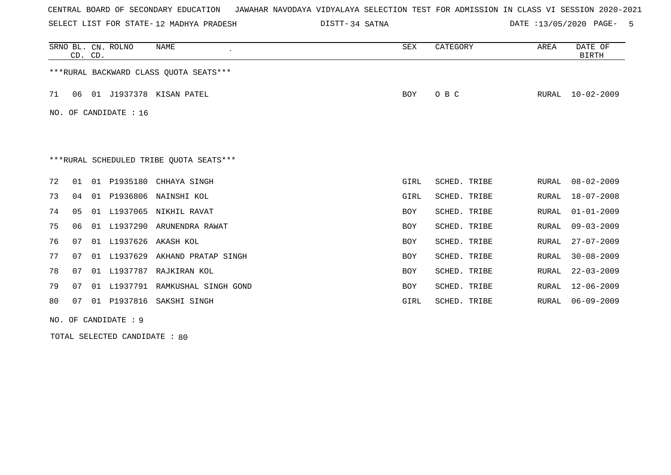SELECT LIST FOR STATE- DISTT- 12 MADHYA PRADESH

DISTT-34 SATNA 12000 PAGE- 5

|    |                         | CD. CD. | SRNO BL. CN. ROLNO | NAME                                    | SEX        | CATEGORY     | AREA  | DATE OF<br><b>BIRTH</b> |  |  |
|----|-------------------------|---------|--------------------|-----------------------------------------|------------|--------------|-------|-------------------------|--|--|
|    |                         |         |                    | ***RURAL BACKWARD CLASS OUOTA SEATS***  |            |              |       |                         |  |  |
| 71 | 06                      |         |                    | 01 J1937378 KISAN PATEL                 | BOY        | O B C        | RURAL | $10 - 02 - 2009$        |  |  |
|    | NO. OF CANDIDATE : $16$ |         |                    |                                         |            |              |       |                         |  |  |
|    |                         |         |                    |                                         |            |              |       |                         |  |  |
|    |                         |         |                    |                                         |            |              |       |                         |  |  |
|    |                         |         |                    | ***RURAL SCHEDULED TRIBE OUOTA SEATS*** |            |              |       |                         |  |  |
| 72 | 01                      |         | 01 P1935180        | CHHAYA SINGH                            | GIRL       | SCHED. TRIBE | RURAL | $08 - 02 - 2009$        |  |  |
| 73 | 04                      |         | 01 P1936806        | NAINSHI KOL                             | GIRL       | SCHED. TRIBE | RURAL | $18 - 07 - 2008$        |  |  |
| 74 | 05                      |         |                    | 01 L1937065 NIKHIL RAVAT                | <b>BOY</b> | SCHED. TRIBE | RURAL | $01 - 01 - 2009$        |  |  |
| 75 | 06                      | 01      |                    | L1937290 ARUNENDRA RAWAT                | <b>BOY</b> | SCHED. TRIBE | RURAL | $09 - 03 - 2009$        |  |  |
| 76 | 07                      |         |                    | 01 L1937626 AKASH KOL                   | <b>BOY</b> | SCHED. TRIBE | RURAL | $27 - 07 - 2009$        |  |  |
| 77 | 07                      |         |                    | 01 L1937629 AKHAND PRATAP SINGH         | <b>BOY</b> | SCHED. TRIBE | RURAL | $30 - 08 - 2009$        |  |  |
| 78 | 07                      |         |                    | 01 L1937787 RAJKIRAN KOL                | BOY        | SCHED. TRIBE | RURAL | $22 - 03 - 2009$        |  |  |
| 79 | 07                      |         |                    | 01 L1937791 RAMKUSHAL SINGH GOND        | <b>BOY</b> | SCHED. TRIBE | RURAL | $12 - 06 - 2009$        |  |  |
| 80 | 07                      |         |                    | 01 P1937816 SAKSHI SINGH                | GIRL       | SCHED. TRIBE | RURAL | $06 - 09 - 2009$        |  |  |
|    |                         |         |                    |                                         |            |              |       |                         |  |  |

NO. OF CANDIDATE : 9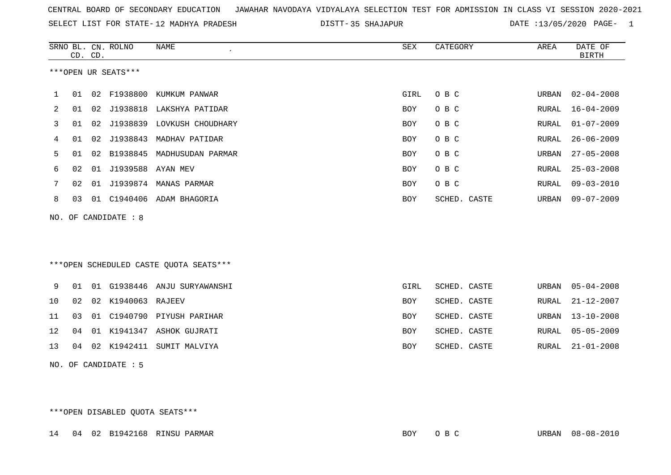DISTT-35 SHAJAPUR 2020 DATE :13/05/2020 PAGE- 1

|             |                      | CD. CD. | SRNO BL. CN. ROLNO   | <b>NAME</b>                             | <b>SEX</b> | CATEGORY     | AREA         | DATE OF<br><b>BIRTH</b> |  |  |
|-------------|----------------------|---------|----------------------|-----------------------------------------|------------|--------------|--------------|-------------------------|--|--|
|             |                      |         | ***OPEN UR SEATS***  |                                         |            |              |              |                         |  |  |
| $\mathbf 1$ | 01                   |         |                      | 02 F1938800 KUMKUM PANWAR               | GIRL       | O B C        | URBAN        | $02 - 04 - 2008$        |  |  |
| 2           | 01                   |         |                      | 02 J1938818 LAKSHYA PATIDAR             | <b>BOY</b> | O B C        | RURAL        | $16 - 04 - 2009$        |  |  |
| 3           | 01                   |         |                      | 02 J1938839 LOVKUSH CHOUDHARY           | BOY        | O B C        | RURAL        | $01 - 07 - 2009$        |  |  |
| 4           | 01                   |         | 02 J1938843          | MADHAV PATIDAR                          | <b>BOY</b> | O B C        | RURAL        | $26 - 06 - 2009$        |  |  |
| 5           | 01                   |         |                      | 02 B1938845 MADHUSUDAN PARMAR           | BOY        | O B C        | URBAN        | $27 - 05 - 2008$        |  |  |
| 6           | 02                   |         | 01 J1939588 AYAN MEV |                                         | <b>BOY</b> | O B C        | RURAL        | $25 - 03 - 2008$        |  |  |
| 7           | 02                   |         |                      | 01 J1939874 MANAS PARMAR                | <b>BOY</b> | O B C        | <b>RURAL</b> | $09 - 03 - 2010$        |  |  |
| 8           | 03                   |         |                      | 01 C1940406 ADAM BHAGORIA               | <b>BOY</b> | SCHED. CASTE | URBAN        | $09 - 07 - 2009$        |  |  |
| NO.         |                      |         | OF CANDIDATE : 8     |                                         |            |              |              |                         |  |  |
|             |                      |         |                      | *** OPEN SCHEDULED CASTE QUOTA SEATS*** |            |              |              |                         |  |  |
| 9           | 01                   |         |                      | 01 G1938446 ANJU SURYAWANSHI            | GIRL       | SCHED. CASTE | URBAN        | $05 - 04 - 2008$        |  |  |
| 10          | 02                   |         | 02 K1940063 RAJEEV   |                                         | <b>BOY</b> | SCHED. CASTE | RURAL        | $21 - 12 - 2007$        |  |  |
| 11          | 03                   |         |                      | 01 C1940790 PIYUSH PARIHAR              | <b>BOY</b> | SCHED. CASTE | URBAN        | $13 - 10 - 2008$        |  |  |
| 12          | 04                   |         |                      | 01 K1941347 ASHOK GUJRATI               | <b>BOY</b> | SCHED. CASTE | RURAL        | $05 - 05 - 2009$        |  |  |
| 13          | 04                   |         |                      | 02 K1942411 SUMIT MALVIYA               | BOY        | SCHED. CASTE | RURAL        | $21 - 01 - 2008$        |  |  |
|             | NO. OF CANDIDATE : 5 |         |                      |                                         |            |              |              |                         |  |  |

\*\*\*OPEN DISABLED QUOTA SEATS\*\*\*

14 04 02 B1942168 RINSU PARMAR BOY O B C URBAN 08-08-2010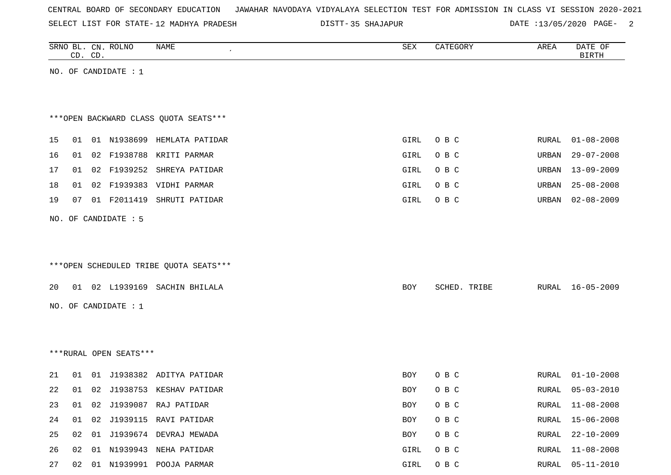|  |  |  |  | CENTRAL BOARD OF SECONDARY EDUCATION – JAWAHAR NAVODAYA VIDYALAYA SELECTION TEST FOR ADMISSION IN CLASS VI SESSION 2020-2021 |  |  |  |  |  |  |  |  |  |  |  |  |
|--|--|--|--|------------------------------------------------------------------------------------------------------------------------------|--|--|--|--|--|--|--|--|--|--|--|--|
|--|--|--|--|------------------------------------------------------------------------------------------------------------------------------|--|--|--|--|--|--|--|--|--|--|--|--|

|    |    | CD. CD. | SRNO BL. CN. ROLNO     | NAME                                    | SEX        | CATEGORY     | AREA         | DATE OF<br><b>BIRTH</b> |
|----|----|---------|------------------------|-----------------------------------------|------------|--------------|--------------|-------------------------|
|    |    |         | NO. OF CANDIDATE : $1$ |                                         |            |              |              |                         |
|    |    |         |                        |                                         |            |              |              |                         |
|    |    |         |                        |                                         |            |              |              |                         |
|    |    |         |                        | *** OPEN BACKWARD CLASS QUOTA SEATS***  |            |              |              |                         |
| 15 |    |         |                        | 01 01 N1938699 HEMLATA PATIDAR          | GIRL       | O B C        | <b>RURAL</b> | $01 - 08 - 2008$        |
| 16 | 01 |         |                        | 02 F1938788 KRITI PARMAR                | GIRL       | O B C        | URBAN        | $29 - 07 - 2008$        |
| 17 | 01 |         |                        | 02 F1939252 SHREYA PATIDAR              | GIRL       | O B C        | URBAN        | $13 - 09 - 2009$        |
| 18 | 01 |         |                        | 02 F1939383 VIDHI PARMAR                | GIRL       | O B C        | URBAN        | $25 - 08 - 2008$        |
| 19 | 07 |         | 01 F2011419            | SHRUTI PATIDAR                          | GIRL       | O B C        | URBAN        | $02 - 08 - 2009$        |
|    |    |         | NO. OF CANDIDATE : 5   |                                         |            |              |              |                         |
|    |    |         |                        |                                         |            |              |              |                         |
|    |    |         |                        |                                         |            |              |              |                         |
|    |    |         |                        | *** OPEN SCHEDULED TRIBE QUOTA SEATS*** |            |              |              |                         |
| 20 |    |         |                        | 01 02 L1939169 SACHIN BHILALA           | BOY        | SCHED. TRIBE |              | RURAL 16-05-2009        |
|    |    |         | NO. OF CANDIDATE : $1$ |                                         |            |              |              |                         |
|    |    |         |                        |                                         |            |              |              |                         |
|    |    |         |                        |                                         |            |              |              |                         |
|    |    |         | ***RURAL OPEN SEATS*** |                                         |            |              |              |                         |
|    |    |         |                        |                                         |            |              |              |                         |
| 21 | 01 |         |                        | 01 J1938382 ADITYA PATIDAR              | BOY        | O B C        | RURAL        | $01 - 10 - 2008$        |
| 22 | 01 |         |                        | 02 J1938753 KESHAV PATIDAR              | <b>BOY</b> | O B C        | RURAL        | $05 - 03 - 2010$        |
| 23 |    |         |                        | 01 02 J1939087 RAJ PATIDAR              | BOY        | O B C        | RURAL        | $11 - 08 - 2008$        |
| 24 |    |         |                        | 01  02  J1939115  RAVI  PATIDAR         | BOY        | O B C        | RURAL        | $15 - 06 - 2008$        |
| 25 |    |         |                        | 02 01 J1939674 DEVRAJ MEWADA            | BOY        | O B C        | RURAL        | $22 - 10 - 2009$        |
| 26 |    |         |                        | 02 01 N1939943 NEHA PATIDAR             | GIRL       | O B C        | RURAL        | $11 - 08 - 2008$        |
| 27 |    |         |                        | 02 01 N1939991 POOJA PARMAR             | GIRL       | O B C        | RURAL        | $05 - 11 - 2010$        |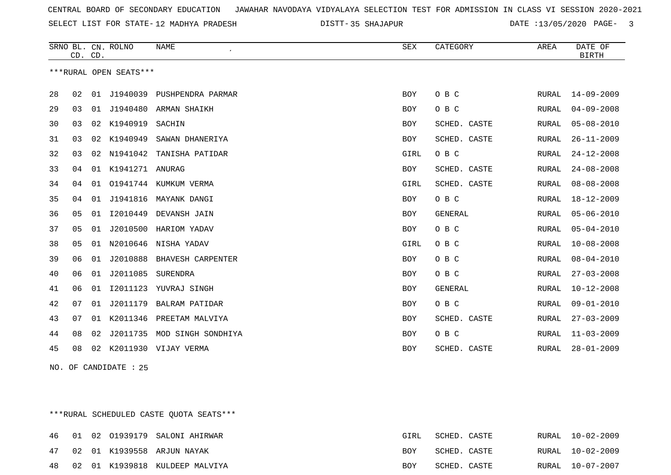SELECT LIST FOR STATE- DISTT- 12 MADHYA PRADESH

35 SHAJAPUR DATE :13/05/2020 PAGE- 3

|    | CD. CD. |    | SRNO BL. CN. ROLNO     | <b>NAME</b>                 | <b>SEX</b> | CATEGORY       | AREA  | DATE OF<br><b>BIRTH</b> |
|----|---------|----|------------------------|-----------------------------|------------|----------------|-------|-------------------------|
|    |         |    | ***RURAL OPEN SEATS*** |                             |            |                |       |                         |
| 28 | 02      | 01 | J1940039               | PUSHPENDRA PARMAR           | <b>BOY</b> | O B C          | RURAL | $14 - 09 - 2009$        |
| 29 | 03      | 01 | J1940480               | ARMAN SHAIKH                | <b>BOY</b> | O B C          | RURAL | $04 - 09 - 2008$        |
| 30 | 03      |    | 02 K1940919            | SACHIN                      | <b>BOY</b> | SCHED. CASTE   | RURAL | $05 - 08 - 2010$        |
| 31 | 03      |    | 02 K1940949            | SAWAN DHANERIYA             | <b>BOY</b> | SCHED. CASTE   | RURAL | $26 - 11 - 2009$        |
| 32 | 03      | 02 | N1941042               | TANISHA PATIDAR             | GIRL       | O B C          | RURAL | $24 - 12 - 2008$        |
| 33 | 04      |    | 01 K1941271 ANURAG     |                             | <b>BOY</b> | SCHED. CASTE   | RURAL | $24 - 08 - 2008$        |
| 34 | 04      | 01 |                        | 01941744 KUMKUM VERMA       | GIRL       | SCHED. CASTE   | RURAL | $08 - 08 - 2008$        |
| 35 | 04      |    |                        | 01 J1941816 MAYANK DANGI    | <b>BOY</b> | O B C          | RURAL | $18 - 12 - 2009$        |
| 36 | 05      | 01 | I2010449               | DEVANSH JAIN                | <b>BOY</b> | <b>GENERAL</b> | RURAL | $05 - 06 - 2010$        |
| 37 | 05      | 01 | J2010500               | HARIOM YADAV                | <b>BOY</b> | O B C          | RURAL | $05 - 04 - 2010$        |
| 38 | 05      | 01 | N2010646               | NISHA YADAV                 | GIRL       | O B C          | RURAL | $10 - 08 - 2008$        |
| 39 | 06      | 01 |                        | J2010888 BHAVESH CARPENTER  | <b>BOY</b> | O B C          | RURAL | $08 - 04 - 2010$        |
| 40 | 06      | 01 | J2011085 SURENDRA      |                             | <b>BOY</b> | O B C          | RURAL | $27 - 03 - 2008$        |
| 41 | 06      | 01 | I2011123               | YUVRAJ SINGH                | <b>BOY</b> | <b>GENERAL</b> | RURAL | $10 - 12 - 2008$        |
| 42 | 07      | 01 | J2011179               | <b>BALRAM PATIDAR</b>       | <b>BOY</b> | O B C          | RURAL | $09 - 01 - 2010$        |
| 43 | 07      | 01 | K2011346               | PREETAM MALVIYA             | <b>BOY</b> | SCHED. CASTE   | RURAL | $27 - 03 - 2009$        |
| 44 | 08      | 02 |                        | J2011735 MOD SINGH SONDHIYA | <b>BOY</b> | O B C          | RURAL | $11 - 03 - 2009$        |
| 45 | 08      | 02 |                        | K2011930 VIJAY VERMA        | <b>BOY</b> | SCHED. CASTE   | RURAL | $28 - 01 - 2009$        |

NO. OF CANDIDATE : 25

\*\*\*RURAL SCHEDULED CASTE QUOTA SEATS\*\*\*

|  |  | 46 01 02 01939179 SALONI AHIRWAR  | GIRL       | SCHED. CASTE |  | RURAL 10-02-2009 |
|--|--|-----------------------------------|------------|--------------|--|------------------|
|  |  | 47 02 01 K1939558 ARJUN NAYAK     | BOY        | SCHED. CASTE |  | RURAL 10-02-2009 |
|  |  | 48 02 01 K1939818 KULDEEP MALVIYA | <b>BOY</b> | SCHED. CASTE |  | RURAL 10-07-2007 |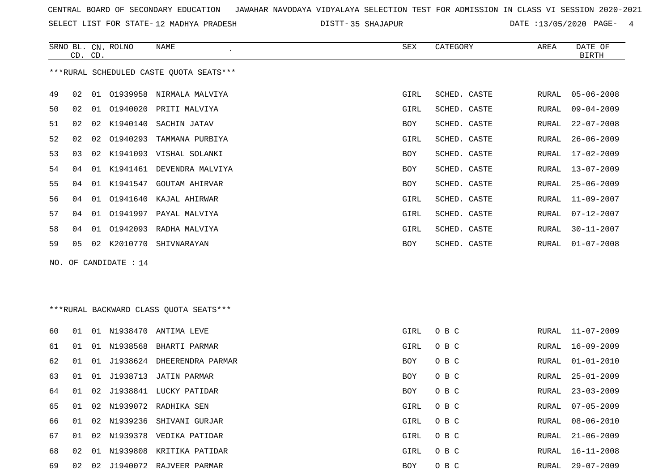SELECT LIST FOR STATE- DISTT- 12 MADHYA PRADESH

DISTT-35 SHAJAPUR **DATE** :13/05/2020 PAGE- 4

RURAL 21-06-2009

|     |    | CD. CD. | SRNO BL. CN. ROLNO | NAME                                    | SEX        | CATEGORY     | AREA  | DATE OF<br><b>BIRTH</b> |
|-----|----|---------|--------------------|-----------------------------------------|------------|--------------|-------|-------------------------|
|     |    |         |                    | ***RURAL SCHEDULED CASTE QUOTA SEATS*** |            |              |       |                         |
| 49  | 02 |         |                    | 01 01939958 NIRMALA MALVIYA             | GIRL       | SCHED. CASTE | RURAL | $05 - 06 - 2008$        |
| 50  | 02 | 01      |                    | 01940020 PRITI MALVIYA                  | GIRL       | SCHED. CASTE | RURAL | $09 - 04 - 2009$        |
| 51  | 02 | 02      | K1940140           | SACHIN JATAV                            | BOY        | SCHED. CASTE | RURAL | $22 - 07 - 2008$        |
| 52  | 02 | 02      |                    | 01940293 TAMMANA PURBIYA                | GIRL       | SCHED. CASTE | RURAL | $26 - 06 - 2009$        |
| 53  | 03 | 02      |                    | K1941093 VISHAL SOLANKI                 | BOY        | SCHED. CASTE | RURAL | $17 - 02 - 2009$        |
| 54  | 04 |         |                    | 01 K1941461 DEVENDRA MALVIYA            | BOY        | SCHED. CASTE | RURAL | $13 - 07 - 2009$        |
| 55  | 04 |         | 01 K1941547        | <b>GOUTAM AHIRVAR</b>                   | BOY        | SCHED. CASTE | RURAL | $25 - 06 - 2009$        |
| 56  | 04 |         |                    | 01 01941640 KAJAL AHIRWAR               | GIRL       | SCHED. CASTE | RURAL | $11 - 09 - 2007$        |
| 57  | 04 | 01      |                    | 01941997 PAYAL MALVIYA                  | GIRL       | SCHED. CASTE | RURAL | $07 - 12 - 2007$        |
| 58  | 04 | 01      |                    | 01942093 RADHA MALVIYA                  | GIRL       | SCHED. CASTE | RURAL | $30 - 11 - 2007$        |
| 59  | 05 |         |                    | 02 K2010770 SHIVNARAYAN                 | <b>BOY</b> | SCHED. CASTE | RURAL | $01 - 07 - 2008$        |
| NO. |    |         | OF CANDIDATE : 14  |                                         |            |              |       |                         |
|     |    |         |                    |                                         |            |              |       |                         |
|     |    |         |                    |                                         |            |              |       |                         |
|     |    |         |                    | *** RURAL BACKWARD CLASS QUOTA SEATS*** |            |              |       |                         |
| 60  | 01 |         |                    | 01 N1938470 ANTIMA LEVE                 | GIRL       | O B C        | RURAL | 11-07-2009              |
| 61  | 01 |         | 01 N1938568        | BHARTI PARMAR                           | GIRL       | O B C        | RURAL | $16 - 09 - 2009$        |
| 62  | 01 |         |                    | 01 J1938624 DHEERENDRA PARMAR           | BOY        | O B C        | RURAL | $01 - 01 - 2010$        |
| 63  | 01 | 01      | J1938713           | JATIN PARMAR                            | BOY        | O B C        | RURAL | $25 - 01 - 2009$        |
| 64  | 01 | 02      |                    | J1938841 LUCKY PATIDAR                  | BOY        | O B C        | RURAL | $23 - 03 - 2009$        |

65 01 02 N1939072 RADHIKA SEN GIRL O B C RURAL 07-05-2009

66 01 02 N1939236 SHIVANI GURJAR GIRL O B C RURAL 08-06-2010

67 01 02 N1939378 VEDIKA PATIDAR GIRL O B C 68 02 01 N1939808 KRITIKA PATIDAR GIRL O B C RURAL 16-11-2008

69 02 02 J1940072 RAJVEER PARMAR BOY O B C RURAL 29-07-2009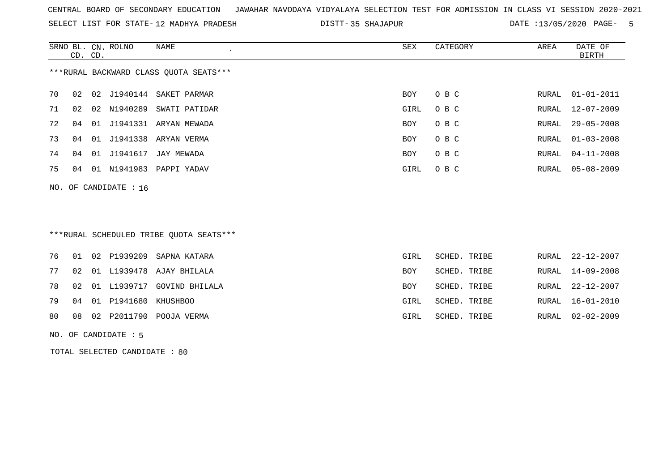SELECT LIST FOR STATE- DISTT- 12 MADHYA PRADESH

35 SHAJAPUR DATE :13/05/2020 PAGE- 5

|    | CD. CD. | SRNO BL. CN. ROLNO      | NAME<br>$\epsilon$                     | SEX        | CATEGORY | AREA  | DATE OF<br>BIRTH |
|----|---------|-------------------------|----------------------------------------|------------|----------|-------|------------------|
|    |         |                         | ***RURAL BACKWARD CLASS OUOTA SEATS*** |            |          |       |                  |
| 70 | 02      |                         | 02 J1940144 SAKET PARMAR               | BOY        | O B C    | RURAL | $01 - 01 - 2011$ |
| 71 | 02      | 02 N1940289             | SWATI PATIDAR                          | GIRL       | O B C    | RURAL | 12-07-2009       |
| 72 | 04      |                         | 01 J1941331 ARYAN MEWADA               | BOY        | O B C    | RURAL | $29 - 05 - 2008$ |
| 73 | 04      |                         | 01 J1941338 ARYAN VERMA                | <b>BOY</b> | O B C    | RURAL | $01 - 03 - 2008$ |
| 74 | 04      |                         | 01 J1941617 JAY MEWADA                 | BOY        | O B C    | RURAL | 04-11-2008       |
| 75 | 04      |                         | 01 N1941983 PAPPI YADAV                | GIRL       | O B C    | RURAL | 05-08-2009       |
|    |         | NO. OF CANDIDATE : $16$ |                                        |            |          |       |                  |

# \*\*\*RURAL SCHEDULED TRIBE QUOTA SEATS\*\*\*

|  |                            | 76 01 02 P1939209 SAPNA KATARA   | GIRL | SCHED. TRIBE |  | RURAL 22-12-2007 |
|--|----------------------------|----------------------------------|------|--------------|--|------------------|
|  |                            | 77 02 01 L1939478 AJAY BHILALA   | BOY  | SCHED. TRIBE |  | RURAL 14-09-2008 |
|  |                            | 78 02 01 L1939717 GOVIND BHILALA | BOY  | SCHED. TRIBE |  | RURAL 22-12-2007 |
|  | 79 04 01 P1941680 KHUSHBOO |                                  | GIRL | SCHED. TRIBE |  | RURAL 16-01-2010 |
|  |                            | 80 08 02 P2011790 POOJA VERMA    | GIRL | SCHED. TRIBE |  | RURAL 02-02-2009 |
|  |                            |                                  |      |              |  |                  |

#### NO. OF CANDIDATE : 5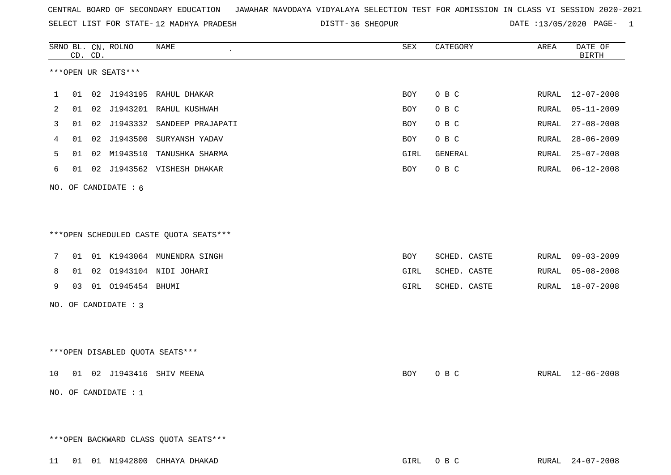|    |    | CD. CD. | SRNO BL. CN. ROLNO     | NAME<br>$\pmb{\cdot}$                                                | SEX        | CATEGORY       | AREA  | DATE OF<br><b>BIRTH</b> |
|----|----|---------|------------------------|----------------------------------------------------------------------|------------|----------------|-------|-------------------------|
|    |    |         | ***OPEN UR SEATS***    |                                                                      |            |                |       |                         |
| 1  | 01 |         |                        | 02 J1943195 RAHUL DHAKAR                                             | BOY        | O B C          |       | RURAL 12-07-2008        |
| 2  | 01 |         | 02 J1943201            | RAHUL KUSHWAH                                                        | BOY        | O B C          | RURAL | $05 - 11 - 2009$        |
| 3  | 01 |         | 02 J1943332            | SANDEEP PRAJAPATI                                                    | <b>BOY</b> | O B C          | RURAL | $27 - 08 - 2008$        |
| 4  | 01 |         | 02 J1943500            | SURYANSH YADAV                                                       | BOY        | O B C          | RURAL | $28 - 06 - 2009$        |
| 5  | 01 |         | 02 M1943510            | TANUSHKA SHARMA                                                      | GIRL       | <b>GENERAL</b> | RURAL | $25 - 07 - 2008$        |
| 6  | 01 |         |                        | 02 J1943562 VISHESH DHAKAR                                           | <b>BOY</b> | O B C          | RURAL | 06-12-2008              |
|    |    |         | NO. OF CANDIDATE : 6   |                                                                      |            |                |       |                         |
| 7  | 01 |         |                        | ***OPEN SCHEDULED CASTE QUOTA SEATS***<br>01 K1943064 MUNENDRA SINGH | BOY        | SCHED. CASTE   |       | RURAL 09-03-2009        |
| 8  | 01 |         |                        | 02 01943104 NIDI JOHARI                                              | GIRL       | SCHED. CASTE   | RURAL | $05 - 08 - 2008$        |
| 9  | 03 |         | 01 01945454 BHUMI      |                                                                      | GIRL       | SCHED. CASTE   | RURAL | 18-07-2008              |
|    |    |         | NO. OF CANDIDATE : 3   |                                                                      |            |                |       |                         |
|    |    |         |                        | ***OPEN DISABLED QUOTA SEATS***                                      |            |                |       |                         |
| 10 | 01 |         |                        | 02 J1943416 SHIV MEENA                                               | <b>BOY</b> | O B C          | RURAL | $12 - 06 - 2008$        |
|    |    |         | NO. OF CANDIDATE : $1$ |                                                                      |            |                |       |                         |
|    |    |         |                        | *** OPEN BACKWARD CLASS QUOTA SEATS***                               |            |                |       |                         |
|    |    |         |                        | 11 01 01 N1942800 CHHAYA DHAKAD                                      |            | GIRL OBC       |       | RURAL 24-07-2008        |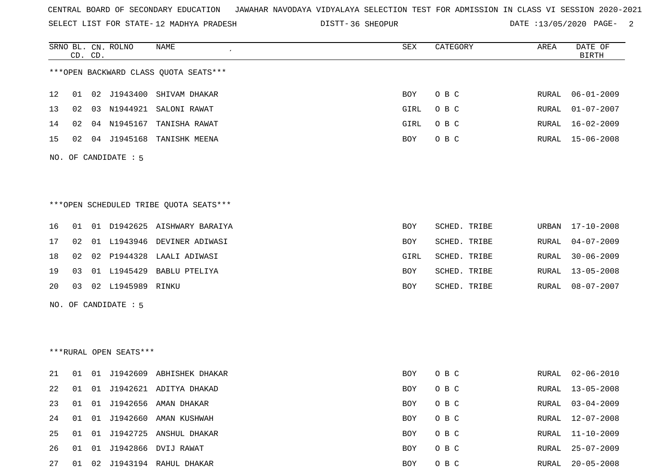SELECT LIST FOR STATE- DISTT- 12 MADHYA PRADESH

|    |    | CD. CD. | SRNO BL. CN. ROLNO     | NAME                                   | <b>SEX</b> | CATEGORY     | AREA  | DATE OF<br><b>BIRTH</b> |
|----|----|---------|------------------------|----------------------------------------|------------|--------------|-------|-------------------------|
|    |    |         |                        | *** OPEN BACKWARD CLASS QUOTA SEATS*** |            |              |       |                         |
|    |    |         |                        |                                        |            |              |       |                         |
| 12 | 01 |         |                        | 02 J1943400 SHIVAM DHAKAR              | BOY        | O B C        | RURAL | $06 - 01 - 2009$        |
| 13 | 02 |         | 03 N1944921            | SALONI RAWAT                           | GIRL       | O B C        | RURAL | $01 - 07 - 2007$        |
| 14 | 02 |         | 04 N1945167            | TANISHA RAWAT                          | GIRL       | O B C        | RURAL | $16 - 02 - 2009$        |
| 15 | 02 |         |                        | 04 J1945168 TANISHK MEENA              | BOY        | O B C        | RURAL | 15-06-2008              |
|    |    |         | NO. OF CANDIDATE : 5   |                                        |            |              |       |                         |
|    |    |         |                        |                                        |            |              |       |                         |
|    |    |         |                        |                                        |            |              |       |                         |
|    |    |         |                        | ***OPEN SCHEDULED TRIBE QUOTA SEATS*** |            |              |       |                         |
| 16 | 01 |         |                        | 01 D1942625 AISHWARY BARAIYA           | BOY        | SCHED. TRIBE | URBAN | $17 - 10 - 2008$        |
| 17 | 02 |         |                        | 01 L1943946 DEVINER ADIWASI            | <b>BOY</b> | SCHED. TRIBE | RURAL | $04 - 07 - 2009$        |
| 18 | 02 |         |                        | 02 P1944328 LAALI ADIWASI              | GIRL       | SCHED. TRIBE | RURAL | $30 - 06 - 2009$        |
| 19 | 03 |         |                        | 01 L1945429 BABLU PTELIYA              | BOY        | SCHED. TRIBE | RURAL | $13 - 05 - 2008$        |
| 20 | 03 |         | 02 L1945989 RINKU      |                                        | BOY        | SCHED. TRIBE | RURAL | $08 - 07 - 2007$        |
|    |    |         | NO. OF CANDIDATE : 5   |                                        |            |              |       |                         |
|    |    |         |                        |                                        |            |              |       |                         |
|    |    |         |                        |                                        |            |              |       |                         |
|    |    |         | ***RURAL OPEN SEATS*** |                                        |            |              |       |                         |
| 21 | 01 |         |                        | 01 J1942609 ABHISHEK DHAKAR            | BOY        | O B C        | RURAL | $02 - 06 - 2010$        |
| 22 |    |         |                        | 01 01 J1942621 ADITYA DHAKAD           | BOY        | O B C        | RURAL | $13 - 05 - 2008$        |
| 23 | 01 |         |                        | 01 J1942656 AMAN DHAKAR                | BOY        | O B C        | RURAL | $03 - 04 - 2009$        |
| 24 |    |         |                        | 01 01 J1942660 AMAN KUSHWAH            | BOY        | $O$ B $C$    | RURAL | $12 - 07 - 2008$        |
| 25 | 01 |         |                        | 01 J1942725 ANSHUL DHAKAR              | BOY        | O B C        | RURAL | $11 - 10 - 2009$        |
| 26 | 01 |         |                        | 01 J1942866 DVIJ RAWAT                 | BOY        | O B C        | RURAL | $25 - 07 - 2009$        |
| 27 |    |         |                        | 01 02 J1943194 RAHUL DHAKAR            | BOY        | $O$ B $C$    | RURAL | $20 - 05 - 2008$        |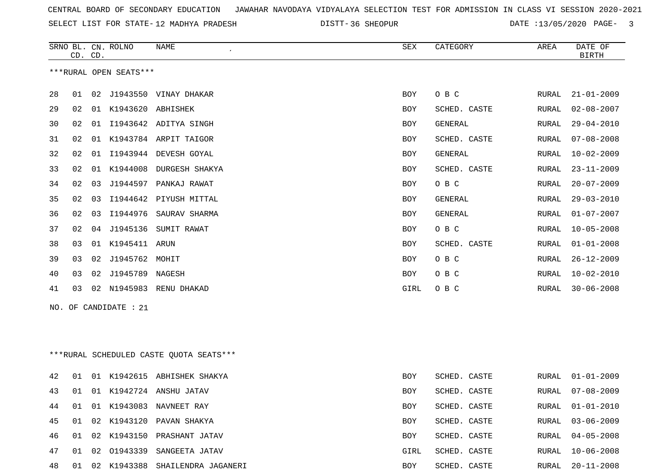| CENTRAL BOARD OF SECONDARY EDUCATION – JAWAHAR NAVODAYA VIDYALAYA SELECTION TEST FOR ADMISSION IN CLASS VI SESSION 2020-2021 |  |
|------------------------------------------------------------------------------------------------------------------------------|--|
|------------------------------------------------------------------------------------------------------------------------------|--|

|    | CD. CD. |    | SRNO BL. CN. ROLNO     | NAME                                    | SEX        | CATEGORY       | AREA         | DATE OF<br><b>BIRTH</b> |
|----|---------|----|------------------------|-----------------------------------------|------------|----------------|--------------|-------------------------|
|    |         |    | ***RURAL OPEN SEATS*** |                                         |            |                |              |                         |
| 28 | 01      |    |                        | 02 J1943550 VINAY DHAKAR                | BOY        | O B C          | RURAL        | $21 - 01 - 2009$        |
| 29 | 02      |    | 01 K1943620 ABHISHEK   |                                         | BOY        | SCHED. CASTE   | RURAL        | $02 - 08 - 2007$        |
| 30 | 02      | 01 |                        | I1943642 ADITYA SINGH                   | BOY        | GENERAL        | RURAL        | $29 - 04 - 2010$        |
| 31 | 02      |    |                        | 01 K1943784 ARPIT TAIGOR                | BOY        | SCHED. CASTE   | RURAL        | $07 - 08 - 2008$        |
| 32 | 02      | 01 |                        | I1943944 DEVESH GOYAL                   | BOY        | <b>GENERAL</b> | RURAL        | $10 - 02 - 2009$        |
| 33 | 02      | 01 |                        | K1944008 DURGESH SHAKYA                 | BOY        | SCHED. CASTE   | RURAL        | $23 - 11 - 2009$        |
| 34 | 02      | 03 |                        | J1944597 PANKAJ RAWAT                   | BOY        | O B C          | RURAL        | $20 - 07 - 2009$        |
| 35 | 02      | 03 |                        | I1944642 PIYUSH MITTAL                  | <b>BOY</b> | <b>GENERAL</b> | RURAL        | $29 - 03 - 2010$        |
| 36 | 02      | 03 |                        | I1944976 SAURAV SHARMA                  | BOY        | GENERAL        | <b>RURAL</b> | $01 - 07 - 2007$        |
| 37 | 02      | 04 | J1945136               | SUMIT RAWAT                             | BOY        | O B C          | RURAL        | $10 - 05 - 2008$        |
| 38 | 03      |    | 01 K1945411 ARUN       |                                         | BOY        | SCHED. CASTE   | RURAL        | $01 - 01 - 2008$        |
| 39 | 03      | 02 | J1945762 MOHIT         |                                         | BOY        | O B C          | RURAL        | $26 - 12 - 2009$        |
| 40 | 03      | 02 | J1945789 NAGESH        |                                         | BOY        | O B C          | RURAL        | $10 - 02 - 2010$        |
| 41 | 03      |    |                        | 02 N1945983 RENU DHAKAD                 | GIRL       | O B C          | RURAL        | $30 - 06 - 2008$        |
|    |         |    | NO. OF CANDIDATE : 21  |                                         |            |                |              |                         |
|    |         |    |                        |                                         |            |                |              |                         |
|    |         |    |                        |                                         |            |                |              |                         |
|    |         |    |                        | ***RURAL SCHEDULED CASTE QUOTA SEATS*** |            |                |              |                         |
| 42 | 01      |    |                        | 01 K1942615 ABHISHEK SHAKYA             | BOY        | SCHED. CASTE   | RURAL        | $01 - 01 - 2009$        |
| 43 | 01      |    |                        | 01 K1942724 ANSHU JATAV                 | BOY        | SCHED. CASTE   | RURAL        | $07 - 08 - 2009$        |
| 44 | 01      |    |                        | 01 K1943083 NAVNEET RAY                 | BOY        | SCHED. CASTE   | RURAL        | $01 - 01 - 2010$        |
| 45 | 01      |    |                        | 02 K1943120 PAVAN SHAKYA                | BOY        | SCHED. CASTE   | RURAL        | $03 - 06 - 2009$        |
| 46 | 01      | 02 |                        | K1943150 PRASHANT JATAV                 | BOY        | SCHED. CASTE   | RURAL        | $04 - 05 - 2008$        |
| 47 | 01      |    |                        | 02 01943339 SANGEETA JATAV              | GIRL       | SCHED. CASTE   | RURAL        | $10 - 06 - 2008$        |
| 48 | 01      |    |                        | 02 K1943388 SHAILENDRA JAGANERI         | BOY        | SCHED. CASTE   | RURAL        | $20 - 11 - 2008$        |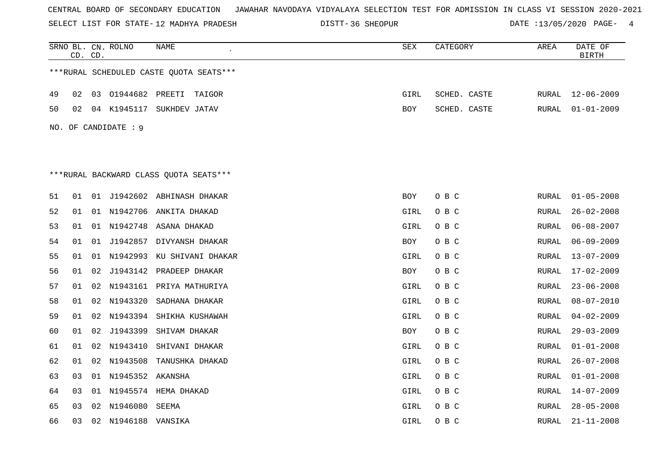SELECT LIST FOR STATE- DISTT- 12 MADHYA PRADESH

|     | CD. CD. |    | SRNO BL. CN. ROLNO  | NAME<br>$\bullet$                       | SEX        | CATEGORY     | AREA         | DATE OF<br><b>BIRTH</b> |
|-----|---------|----|---------------------|-----------------------------------------|------------|--------------|--------------|-------------------------|
|     |         |    |                     | ***RURAL SCHEDULED CASTE QUOTA SEATS*** |            |              |              |                         |
| 49  | 02      |    |                     | 03 01944682 PREETI TAIGOR               | GIRL       | SCHED. CASTE | RURAL        | $12 - 06 - 2009$        |
| 50  | 02      |    |                     | 04 K1945117 SUKHDEV JATAV               | <b>BOY</b> | SCHED. CASTE | RURAL        | $01 - 01 - 2009$        |
|     |         |    |                     |                                         |            |              |              |                         |
| NO. |         |    | OF CANDIDATE : 9    |                                         |            |              |              |                         |
|     |         |    |                     |                                         |            |              |              |                         |
|     |         |    |                     | ***RURAL BACKWARD CLASS OUOTA SEATS***  |            |              |              |                         |
|     |         |    |                     |                                         |            |              |              |                         |
| 51  | 01      |    |                     | 01 J1942602 ABHINASH DHAKAR             | BOY        | O B C        | RURAL        | $01 - 05 - 2008$        |
| 52  | 01      |    |                     | 01 N1942706 ANKITA DHAKAD               | GIRL       | O B C        | RURAL        | $26 - 02 - 2008$        |
| 53  | 01      |    |                     | 01 N1942748 ASANA DHAKAD                | GIRL       | O B C        | RURAL        | $06 - 08 - 2007$        |
| 54  | 01      |    |                     | 01 J1942857 DIVYANSH DHAKAR             | BOY        | O B C        | RURAL        | $06 - 09 - 2009$        |
| 55  | 01      |    |                     | 01 N1942993 KU SHIVANI DHAKAR           | GIRL       | O B C        | RURAL        | $13 - 07 - 2009$        |
| 56  | 01      |    |                     | 02 J1943142 PRADEEP DHAKAR              | BOY        | O B C        | RURAL        | 17-02-2009              |
| 57  | 01      |    |                     | 02 N1943161 PRIYA MATHURIYA             | GIRL       | O B C        | RURAL        | $23 - 06 - 2008$        |
| 58  | 01      |    |                     | 02 N1943320 SADHANA DHAKAR              | GIRL       | O B C        | RURAL        | $08 - 07 - 2010$        |
| 59  | 01      | 02 |                     | N1943394 SHIKHA KUSHAWAH                | GIRL       | O B C        | RURAL        | $04 - 02 - 2009$        |
| 60  | 01      | 02 | J1943399            | SHIVAM DHAKAR                           | BOY        | O B C        | RURAL        | $29 - 03 - 2009$        |
| 61  | 01      |    | 02 N1943410         | SHIVANI DHAKAR                          | GIRL       | O B C        | RURAL        | $01 - 01 - 2008$        |
| 62  | 01      |    | 02 N1943508         | TANUSHKA DHAKAD                         | GIRL       | O B C        | RURAL        | $26 - 07 - 2008$        |
| 63  | 03      |    | 01 N1945352 AKANSHA |                                         | GIRL       | O B C        | RURAL        | $01 - 01 - 2008$        |
| 64  | 03      |    |                     | 01 N1945574 HEMA DHAKAD                 | GIRL       | O B C        | RURAL        | $14 - 07 - 2009$        |
| 65  | 03      |    | 02 N1946080 SEEMA   |                                         | GIRL       | O B C        | RURAL        | $28 - 05 - 2008$        |
| 66  | 03      |    | 02 N1946188 VANSIKA |                                         | GIRL       | O B C        | <b>RURAL</b> | $21 - 11 - 2008$        |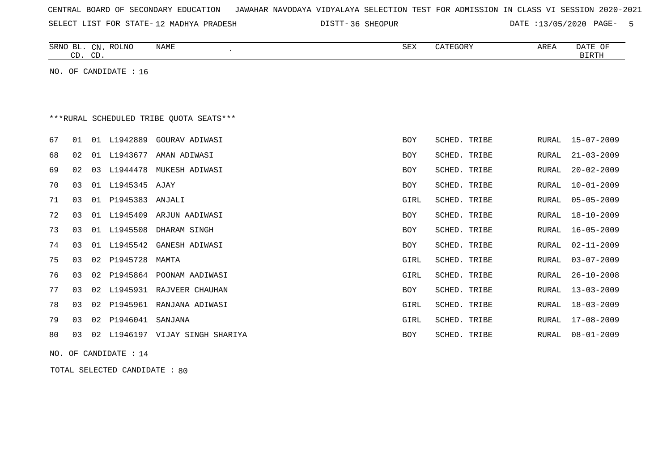| CENTRAL BOARD OF SECONDARY EDUCATION – JAWAHAR NAVODAYA VIDYALAYA SELECTION TEST FOR ADMISSION IN CLASS VI SESSION 2020-2021 |  |  |  |  |
|------------------------------------------------------------------------------------------------------------------------------|--|--|--|--|
|------------------------------------------------------------------------------------------------------------------------------|--|--|--|--|

12 MADHYA PRADESH 36 SHEOPUR DATE :13/05/2020 PAGE- 5

|                                         | CD. CD. |    | SRNO BL. CN. ROLNO | <b>NAME</b><br>$\pmb{\cdot}$ | <b>SEX</b> | CATEGORY     | AREA         | DATE OF<br><b>BIRTH</b> |  |  |  |
|-----------------------------------------|---------|----|--------------------|------------------------------|------------|--------------|--------------|-------------------------|--|--|--|
| NO. OF CANDIDATE : 16                   |         |    |                    |                              |            |              |              |                         |  |  |  |
|                                         |         |    |                    |                              |            |              |              |                         |  |  |  |
|                                         |         |    |                    |                              |            |              |              |                         |  |  |  |
| ***RURAL SCHEDULED TRIBE OUOTA SEATS*** |         |    |                    |                              |            |              |              |                         |  |  |  |
| 67                                      | 01      |    | 01 L1942889        | GOURAV ADIWASI               | <b>BOY</b> | SCHED. TRIBE | RURAL        | $15 - 07 - 2009$        |  |  |  |
| 68                                      | 02      | 01 | L1943677           | AMAN ADIWASI                 | <b>BOY</b> | SCHED. TRIBE | <b>RURAL</b> | $21 - 03 - 2009$        |  |  |  |
| 69                                      | 02      | 03 | L1944478           | MUKESH ADIWASI               | <b>BOY</b> | SCHED. TRIBE | <b>RURAL</b> | $20 - 02 - 2009$        |  |  |  |
| 70                                      | 03      |    | 01 L1945345 AJAY   |                              | <b>BOY</b> | SCHED. TRIBE | <b>RURAL</b> | $10 - 01 - 2009$        |  |  |  |
| 71                                      | 03      | 01 | P1945383           | ANJALI                       | GIRL       | SCHED. TRIBE | RURAL        | $05 - 05 - 2009$        |  |  |  |
| 72                                      | 03      | 01 | L1945409           | ARJUN AADIWASI               | BOY        | SCHED. TRIBE | <b>RURAL</b> | $18 - 10 - 2009$        |  |  |  |
| 73                                      | 03      |    | 01 L1945508        | DHARAM SINGH                 | BOY        | SCHED. TRIBE | RURAL        | $16 - 05 - 2009$        |  |  |  |
| 74                                      | 03      | 01 | L1945542           | GANESH ADIWASI               | BOY        | SCHED. TRIBE | RURAL        | $02 - 11 - 2009$        |  |  |  |
| 75                                      | 03      | 02 | P1945728           | MAMTA                        | GIRL       | SCHED. TRIBE | <b>RURAL</b> | $03 - 07 - 2009$        |  |  |  |
| 76                                      | 03      | 02 | P1945864           | POONAM AADIWASI              | GIRL       | SCHED. TRIBE | <b>RURAL</b> | $26 - 10 - 2008$        |  |  |  |
| 77                                      | 03      | 02 |                    | L1945931 RAJVEER CHAUHAN     | BOY        | SCHED. TRIBE | RURAL        | $13 - 03 - 2009$        |  |  |  |
| 78                                      | 03      | 02 | P1945961           | RANJANA ADIWASI              | GIRL       | SCHED. TRIBE | <b>RURAL</b> | $18 - 03 - 2009$        |  |  |  |
| 79                                      | 03      | 02 | P1946041           | SANJANA                      | GIRL       | SCHED. TRIBE | RURAL        | $17 - 08 - 2009$        |  |  |  |
| 80                                      | 03      | 02 |                    | L1946197 VIJAY SINGH SHARIYA | <b>BOY</b> | SCHED. TRIBE | RURAL        | $08 - 01 - 2009$        |  |  |  |
|                                         |         |    |                    |                              |            |              |              |                         |  |  |  |

NO. OF CANDIDATE : 14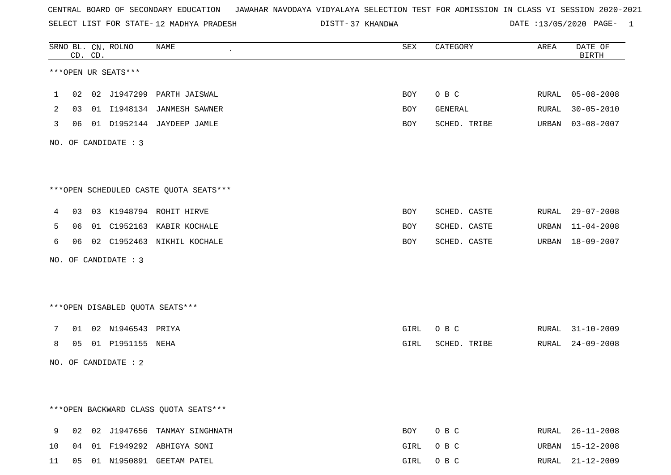SELECT LIST FOR STATE- DISTT- 12 MADHYA PRADESH

37 KHANDWA DATE :13/05/2020 PAGE- 1

|        |          | CD. CD. | SRNO BL. CN. ROLNO     | NAME<br>$\epsilon$                                      | ${\tt SEX}$ | CATEGORY                     | AREA  | DATE OF<br><b>BIRTH</b>              |
|--------|----------|---------|------------------------|---------------------------------------------------------|-------------|------------------------------|-------|--------------------------------------|
|        |          |         | ***OPEN UR SEATS***    |                                                         |             |                              |       |                                      |
| 1      | 02       |         |                        | 02 J1947299 PARTH JAISWAL                               | BOY         | O B C                        |       | RURAL 05-08-2008                     |
| 2      | 03       |         |                        | 01 I1948134 JANMESH SAWNER                              | BOY         | GENERAL                      | RURAL | $30 - 05 - 2010$                     |
| 3      | 06       |         |                        | 01 D1952144 JAYDEEP JAMLE                               | BOY         | SCHED. TRIBE                 | URBAN | $03 - 08 - 2007$                     |
|        |          |         | NO. OF CANDIDATE : $3$ |                                                         |             |                              |       |                                      |
|        |          |         |                        | ***OPEN SCHEDULED CASTE QUOTA SEATS***                  |             |                              |       |                                      |
|        |          |         |                        |                                                         |             |                              |       |                                      |
| 4      | 03       |         |                        | 03 K1948794 ROHIT HIRVE                                 | BOY         | SCHED. CASTE                 |       | RURAL 29-07-2008                     |
| 5<br>6 | 06<br>06 |         |                        | 01 C1952163 KABIR KOCHALE<br>02 C1952463 NIKHIL KOCHALE | BOY<br>BOY  | SCHED. CASTE<br>SCHED. CASTE |       | URBAN 11-04-2008<br>URBAN 18-09-2007 |
|        |          |         |                        |                                                         |             |                              |       |                                      |
|        |          |         | NO. OF CANDIDATE : 3   |                                                         |             |                              |       |                                      |
|        |          |         |                        | ***OPEN DISABLED QUOTA SEATS***                         |             |                              |       |                                      |
| 7      |          |         | 01 02 N1946543 PRIYA   |                                                         | GIRL        | O B C                        | RURAL | $31 - 10 - 2009$                     |
| 8      | 05       |         | 01 P1951155 NEHA       |                                                         | GIRL        | SCHED. TRIBE                 | RURAL | $24 - 09 - 2008$                     |
|        |          |         | NO. OF CANDIDATE : 2   |                                                         |             |                              |       |                                      |
|        |          |         |                        |                                                         |             |                              |       |                                      |
|        |          |         |                        | *** OPEN BACKWARD CLASS QUOTA SEATS***                  |             |                              |       |                                      |
| 9      | 02       |         |                        | 02 J1947656 TANMAY SINGHNATH                            | BOY         | O B C                        |       | RURAL 26-11-2008                     |
| 10     |          |         |                        | 04 01 F1949292 ABHIGYA SONI                             | GIRL        | O B C                        | URBAN | 15-12-2008                           |
| 11     |          |         |                        | 05 01 N1950891 GEETAM PATEL                             | GIRL        | O B C                        |       | RURAL 21-12-2009                     |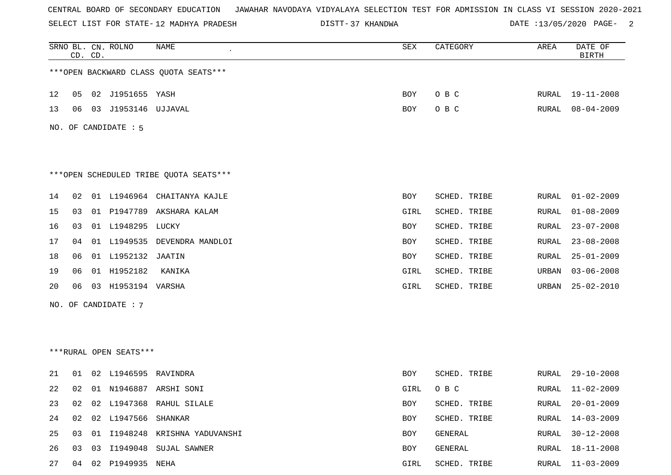SELECT LIST FOR STATE- DISTT- 12 MADHYA PRADESH

37 KHANDWA DATE :13/05/2020 PAGE- 2

|     | CD. CD. |    | SRNO BL. CN. ROLNO     | <b>NAME</b>                            | SEX        | CATEGORY     | AREA  | DATE OF<br><b>BIRTH</b> |
|-----|---------|----|------------------------|----------------------------------------|------------|--------------|-------|-------------------------|
|     |         |    |                        | *** OPEN BACKWARD CLASS QUOTA SEATS*** |            |              |       |                         |
| 12  | 05      |    | 02 J1951655 YASH       |                                        | <b>BOY</b> | O B C        | RURAL | 19-11-2008              |
| 13  | 06      |    | 03 J1953146 UJJAVAL    |                                        | BOY        | O B C        | RURAL | $08 - 04 - 2009$        |
| NO. |         |    | OF CANDIDATE : 5       |                                        |            |              |       |                         |
|     |         |    |                        |                                        |            |              |       |                         |
|     |         |    |                        |                                        |            |              |       |                         |
|     |         |    |                        | ***OPEN SCHEDULED TRIBE QUOTA SEATS*** |            |              |       |                         |
| 14  | 02      |    |                        | 01 L1946964 CHAITANYA KAJLE            | BOY        | SCHED. TRIBE | RURAL | $01 - 02 - 2009$        |
| 15  | 03      |    |                        | 01 P1947789 AKSHARA KALAM              | GIRL       | SCHED. TRIBE | RURAL | $01 - 08 - 2009$        |
| 16  | 03      |    | 01 L1948295 LUCKY      |                                        | BOY        | SCHED. TRIBE | RURAL | $23 - 07 - 2008$        |
| 17  | 04      |    |                        | 01 L1949535 DEVENDRA MANDLOI           | <b>BOY</b> | SCHED. TRIBE | RURAL | $23 - 08 - 2008$        |
| 18  | 06      |    | 01 L1952132 JAATIN     |                                        | <b>BOY</b> | SCHED. TRIBE | RURAL | $25 - 01 - 2009$        |
| 19  | 06      |    | 01 H1952182            | KANIKA                                 | GIRL       | SCHED. TRIBE | URBAN | $03 - 06 - 2008$        |
| 20  | 06      |    | 03 H1953194 VARSHA     |                                        | GIRL       | SCHED. TRIBE | URBAN | $25 - 02 - 2010$        |
|     |         |    | NO. OF CANDIDATE : 7   |                                        |            |              |       |                         |
|     |         |    |                        |                                        |            |              |       |                         |
|     |         |    |                        |                                        |            |              |       |                         |
|     |         |    | ***RURAL OPEN SEATS*** |                                        |            |              |       |                         |
| 21  | 01      |    | 02 L1946595 RAVINDRA   |                                        | BOY        | SCHED. TRIBE | RURAL | $29 - 10 - 2008$        |
| 22  | 02      |    |                        | 01 N1946887 ARSHI SONI                 | GIRL       | O B C        | RURAL | $11 - 02 - 2009$        |
| 23  | 02      |    |                        | 02 L1947368 RAHUL SILALE               | <b>BOY</b> | SCHED. TRIBE | RURAL | $20 - 01 - 2009$        |
| 24  | 02      |    | 02 L1947566            | SHANKAR                                | BOY        | SCHED. TRIBE | RURAL | $14 - 03 - 2009$        |
| 25  | 03      |    |                        | 01 I1948248 KRISHNA YADUVANSHI         | BOY        | GENERAL      | RURAL | $30 - 12 - 2008$        |
| 26  | 03      | 03 |                        | I1949048 SUJAL SAWNER                  | BOY        | GENERAL      | RURAL | $18 - 11 - 2008$        |
| 27  |         |    | 04 02 P1949935 NEHA    |                                        | GIRL       | SCHED. TRIBE | RURAL | $11 - 03 - 2009$        |
|     |         |    |                        |                                        |            |              |       |                         |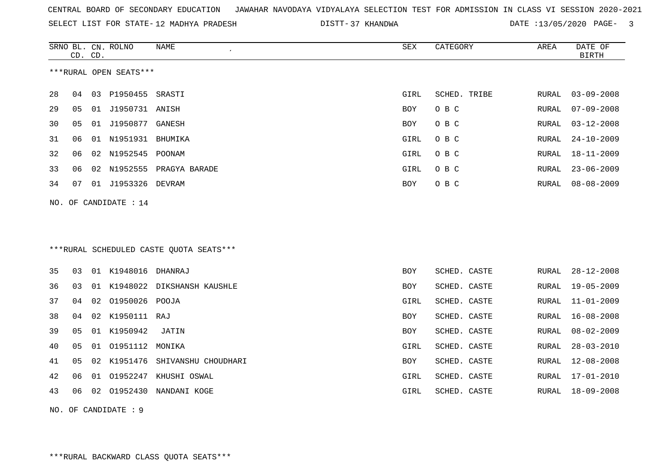|  |  |  |  | CENTRAL BOARD OF SECONDARY EDUCATION GJAWAHAR NAVODAYA VIDYALAYA SELECTION TEST FOR ADMISSION IN CLASS VI SESSION 2020-2021 |  |  |  |  |  |  |  |  |  |  |  |
|--|--|--|--|-----------------------------------------------------------------------------------------------------------------------------|--|--|--|--|--|--|--|--|--|--|--|
|--|--|--|--|-----------------------------------------------------------------------------------------------------------------------------|--|--|--|--|--|--|--|--|--|--|--|

SELECT LIST FOR STATE-12 MADHYA PRADESH

12 MADHYA PRADESH 37 KHANDWA DATE :13/05/2020 PAGE- 3

|    | CD. CD. |    | SRNO BL. CN. ROLNO     | NAME                                     | SEX        | CATEGORY     | AREA         | DATE OF<br><b>BIRTH</b> |
|----|---------|----|------------------------|------------------------------------------|------------|--------------|--------------|-------------------------|
|    |         |    | ***RURAL OPEN SEATS*** |                                          |            |              |              |                         |
| 28 | 04      | 03 | P1950455               | SRASTI                                   | GIRL       | SCHED. TRIBE | <b>RURAL</b> | $03 - 09 - 2008$        |
| 29 | 05      | 01 | J1950731 ANISH         |                                          | <b>BOY</b> | O B C        | RURAL        | $07 - 09 - 2008$        |
| 30 | 05      | 01 | J1950877 GANESH        |                                          | <b>BOY</b> | O B C        | RURAL        | $03 - 12 - 2008$        |
| 31 | 06      | 01 | N1951931 BHUMIKA       |                                          | GIRL       | O B C        | RURAL        | $24 - 10 - 2009$        |
| 32 | 06      | 02 | N1952545 POONAM        |                                          | GIRL       | O B C        | RURAL        | $18 - 11 - 2009$        |
| 33 | 06      | 02 |                        | N1952555 PRAGYA BARADE                   | GIRL       | O B C        | RURAL        | $23 - 06 - 2009$        |
| 34 | 07      |    | 01 J1953326 DEVRAM     |                                          | <b>BOY</b> | O B C        | RURAL        | $08 - 08 - 2009$        |
|    |         |    | NO. OF CANDIDATE : 14  |                                          |            |              |              |                         |
|    |         |    |                        |                                          |            |              |              |                         |
|    |         |    |                        |                                          |            |              |              |                         |
|    |         |    |                        | *** RURAL SCHEDULED CASTE QUOTA SEATS*** |            |              |              |                         |
| 35 | 03      |    | 01 K1948016            | DHANRAJ                                  | <b>BOY</b> | SCHED. CASTE | RURAL        | $28 - 12 - 2008$        |
| 36 | 03      | 01 |                        | K1948022 DIKSHANSH KAUSHLE               | BOY        | SCHED. CASTE | RURAL        | $19 - 05 - 2009$        |
| 37 | 04      | 02 | 01950026 POOJA         |                                          | GIRL       | SCHED. CASTE | RURAL        | $11 - 01 - 2009$        |
| 38 | 04      | 02 | K1950111 RAJ           |                                          | BOY        | SCHED. CASTE | RURAL        | $16 - 08 - 2008$        |
| 39 | 05      |    | 01 K1950942            | <b>JATIN</b>                             | BOY        | SCHED. CASTE | RURAL        | $08 - 02 - 2009$        |
| 40 | 05      |    | 01 01951112 MONIKA     |                                          | GIRL       | SCHED. CASTE | RURAL        | $28 - 03 - 2010$        |
| 41 | 05      |    | 02 K1951476            | SHIVANSHU CHOUDHARI                      | BOY        | SCHED. CASTE | RURAL        | $12 - 08 - 2008$        |
| 42 | 06      | 01 | 01952247               | KHUSHI OSWAL                             | GIRL       | SCHED. CASTE | RURAL        | $17 - 01 - 2010$        |
| 43 | 06      | 02 |                        | O1952430 NANDANI KOGE                    | GIRL       | SCHED. CASTE | RURAL        | $18 - 09 - 2008$        |
|    |         |    |                        |                                          |            |              |              |                         |

NO. OF CANDIDATE : 9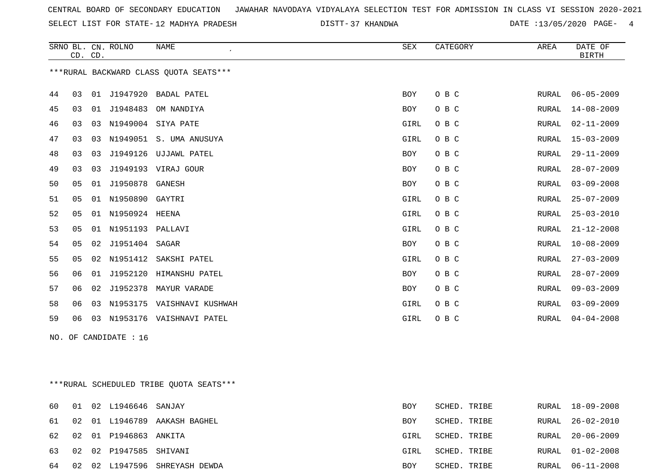SELECT LIST FOR STATE- DISTT- 12 MADHYA PRADESH

37 KHANDWA DATE :13/05/2020 PAGE- 4

|    |    | CD. CD. | SRNO BL. CN. ROLNO    | <b>NAME</b>                             | SEX  | CATEGORY     | AREA  | DATE OF<br><b>BIRTH</b> |
|----|----|---------|-----------------------|-----------------------------------------|------|--------------|-------|-------------------------|
|    |    |         |                       | *** RURAL BACKWARD CLASS QUOTA SEATS*** |      |              |       |                         |
| 44 | 03 |         | 01 J1947920           | BADAL PATEL                             | BOY  | O B C        | RURAL | $06 - 05 - 2009$        |
| 45 | 03 |         |                       | 01 J1948483 OM NANDIYA                  | BOY  | O B C        | RURAL | $14 - 08 - 2009$        |
| 46 | 03 |         |                       | 03 N1949004 SIYA PATE                   | GIRL | O B C        | RURAL | 02-11-2009              |
| 47 | 03 |         |                       | 03 N1949051 S. UMA ANUSUYA              | GIRL | O B C        | RURAL | 15-03-2009              |
| 48 | 03 | 03      |                       | J1949126 UJJAWL PATEL                   | BOY  | O B C        | RURAL | $29 - 11 - 2009$        |
| 49 | 03 | 03      |                       | J1949193 VIRAJ GOUR                     | BOY  | O B C        | RURAL | $28 - 07 - 2009$        |
| 50 | 05 |         | 01 J1950878 GANESH    |                                         | BOY  | O B C        | RURAL | $03 - 09 - 2008$        |
| 51 | 05 |         | 01 N1950890 GAYTRI    |                                         | GIRL | O B C        | RURAL | $25 - 07 - 2009$        |
| 52 | 05 |         | 01 N1950924 HEENA     |                                         | GIRL | O B C        | RURAL | $25 - 03 - 2010$        |
| 53 | 05 |         | 01 N1951193 PALLAVI   |                                         | GIRL | O B C        | RURAL | $21 - 12 - 2008$        |
| 54 | 05 |         | 02 J1951404 SAGAR     |                                         | BOY  | O B C        | RURAL | $10 - 08 - 2009$        |
| 55 | 05 |         | 02 N1951412           | SAKSHI PATEL                            | GIRL | O B C        | RURAL | $27 - 03 - 2009$        |
| 56 | 06 |         |                       | 01 J1952120 HIMANSHU PATEL              | BOY  | O B C        | RURAL | $28 - 07 - 2009$        |
| 57 | 06 |         |                       | 02 J1952378 MAYUR VARADE                | BOY  | O B C        | RURAL | $09 - 03 - 2009$        |
| 58 | 06 |         |                       | 03 N1953175 VAISHNAVI KUSHWAH           | GIRL | O B C        | RURAL | $03 - 09 - 2009$        |
| 59 | 06 |         |                       | 03 N1953176 VAISHNAVI PATEL             | GIRL | O B C        | RURAL | $04 - 04 - 2008$        |
|    |    |         | NO. OF CANDIDATE : 16 |                                         |      |              |       |                         |
|    |    |         |                       |                                         |      |              |       |                         |
|    |    |         |                       |                                         |      |              |       |                         |
|    |    |         |                       | ***RURAL SCHEDULED TRIBE QUOTA SEATS*** |      |              |       |                         |
| 60 | 01 |         | 02 L1946646           | SANJAY                                  | BOY  | SCHED. TRIBE |       | RURAL 18-09-2008        |

|  |                           | 61 02 01 L1946789 AAKASH BAGHEL  | <b>BOY</b> | SCHED. TRIBE |  | RURAL 26-02-2010 |
|--|---------------------------|----------------------------------|------------|--------------|--|------------------|
|  | 62 02 01 P1946863 ANKITA  |                                  | GIRL       | SCHED. TRIBE |  | RURAL 20-06-2009 |
|  | 63 02 02 P1947585 SHIVANI |                                  | GIRL       | SCHED. TRIBE |  | RURAL 01-02-2008 |
|  |                           | 64 02 02 L1947596 SHREYASH DEWDA | BOY        | SCHED. TRIBE |  | RURAL 06-11-2008 |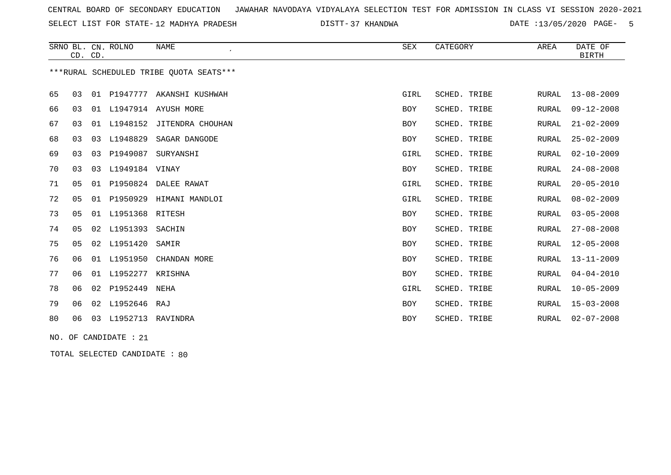SELECT LIST FOR STATE- DISTT- 12 MADHYA PRADESH

37 KHANDWA DATE :13/05/2020 PAGE- 5

|    | CD. CD.        |    | SRNO BL. CN. ROLNO   | <b>NAME</b>                             | SEX        | CATEGORY     | AREA         | DATE OF<br><b>BIRTH</b> |
|----|----------------|----|----------------------|-----------------------------------------|------------|--------------|--------------|-------------------------|
|    |                |    |                      | ***RURAL SCHEDULED TRIBE OUOTA SEATS*** |            |              |              |                         |
| 65 | 03             |    |                      | 01 P1947777 AKANSHI KUSHWAH             | GIRL       | SCHED. TRIBE | RURAL        | $13 - 08 - 2009$        |
| 66 | 03             |    |                      | 01 L1947914 AYUSH MORE                  | BOY        | SCHED. TRIBE | RURAL        | $09 - 12 - 2008$        |
| 67 | 03             |    |                      | 01 L1948152 JITENDRA CHOUHAN            | BOY        | SCHED. TRIBE | <b>RURAL</b> | $21 - 02 - 2009$        |
| 68 | 03             |    | 03 L1948829          | SAGAR DANGODE                           | BOY        | SCHED. TRIBE | RURAL        | $25 - 02 - 2009$        |
| 69 | 03             |    | 03 P1949087          | SURYANSHI                               | GIRL       | SCHED. TRIBE | <b>RURAL</b> | $02 - 10 - 2009$        |
| 70 | 03             |    | 03 L1949184 VINAY    |                                         | <b>BOY</b> | SCHED. TRIBE | RURAL        | $24 - 08 - 2008$        |
| 71 | 05             | 01 |                      | P1950824 DALEE RAWAT                    | GIRL       | SCHED. TRIBE | RURAL        | $20 - 05 - 2010$        |
| 72 | 0 <sub>5</sub> | 01 | P1950929             | HIMANI MANDLOI                          | GIRL       | SCHED. TRIBE | <b>RURAL</b> | $08 - 02 - 2009$        |
| 73 | 05             |    | 01 L1951368 RITESH   |                                         | <b>BOY</b> | SCHED. TRIBE | RURAL        | $03 - 05 - 2008$        |
| 74 | 05             |    | 02 L1951393          | SACHIN                                  | BOY        | SCHED. TRIBE | <b>RURAL</b> | $27 - 08 - 2008$        |
| 75 | 05             |    | 02 L1951420          | SAMIR                                   | BOY        | SCHED. TRIBE | <b>RURAL</b> | $12 - 05 - 2008$        |
| 76 | 06             |    | 01 L1951950          | CHANDAN MORE                            | BOY        | SCHED. TRIBE | RURAL        | $13 - 11 - 2009$        |
| 77 | 06             |    | 01 L1952277          | KRISHNA                                 | BOY        | SCHED. TRIBE | <b>RURAL</b> | $04 - 04 - 2010$        |
| 78 | 06             | 02 | P1952449             | NEHA                                    | GIRL       | SCHED. TRIBE | <b>RURAL</b> | $10 - 05 - 2009$        |
| 79 | 06             |    | 02 L1952646 RAJ      |                                         | BOY        | SCHED. TRIBE | <b>RURAL</b> | $15 - 03 - 2008$        |
| 80 | 06             |    | 03 L1952713 RAVINDRA |                                         | BOY        | SCHED. TRIBE | RURAL        | $02 - 07 - 2008$        |
|    |                |    |                      |                                         |            |              |              |                         |

NO. OF CANDIDATE : 21

TOTAL SELECTED CANDIDATE : 80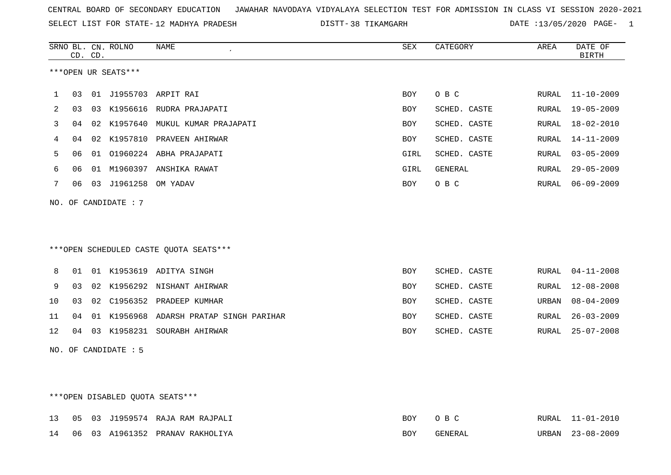SELECT LIST FOR STATE- DISTT- 12 MADHYA PRADESH

38 TIKAMGARH DATE :13/05/2020 PAGE- 1

|    |    | CD. CD. | SRNO BL. CN. ROLNO   | NAME                                    | ${\tt SEX}$ | CATEGORY     | AREA  | DATE OF<br><b>BIRTH</b> |
|----|----|---------|----------------------|-----------------------------------------|-------------|--------------|-------|-------------------------|
|    |    |         | ***OPEN UR SEATS***  |                                         |             |              |       |                         |
|    |    |         |                      |                                         |             |              |       |                         |
| 1  | 03 |         |                      | 01 J1955703 ARPIT RAI                   | <b>BOY</b>  | O B C        |       | RURAL 11-10-2009        |
| 2  | 03 |         |                      | 03 K1956616 RUDRA PRAJAPATI             | <b>BOY</b>  | SCHED. CASTE | RURAL | $19 - 05 - 2009$        |
| 3  | 04 |         |                      | 02 K1957640 MUKUL KUMAR PRAJAPATI       | BOY         | SCHED. CASTE | RURAL | $18 - 02 - 2010$        |
| 4  | 04 |         |                      | 02 K1957810 PRAVEEN AHIRWAR             | <b>BOY</b>  | SCHED. CASTE | RURAL | $14 - 11 - 2009$        |
| 5  | 06 |         |                      | 01 01960224 ABHA PRAJAPATI              | GIRL        | SCHED. CASTE | RURAL | $03 - 05 - 2009$        |
| 6  | 06 |         |                      | 01 M1960397 ANSHIKA RAWAT               | GIRL        | GENERAL      | RURAL | $29 - 05 - 2009$        |
| 7  | 06 |         | 03 J1961258 OM YADAV |                                         | BOY         | O B C        | RURAL | $06 - 09 - 2009$        |
|    |    |         | NO. OF CANDIDATE : 7 |                                         |             |              |       |                         |
|    |    |         |                      |                                         |             |              |       |                         |
|    |    |         |                      |                                         |             |              |       |                         |
|    |    |         |                      |                                         |             |              |       |                         |
|    |    |         |                      | ***OPEN SCHEDULED CASTE QUOTA SEATS***  |             |              |       |                         |
| 8  | 01 |         |                      | 01 K1953619 ADITYA SINGH                | <b>BOY</b>  | SCHED. CASTE | RURAL | $04 - 11 - 2008$        |
| 9  | 03 |         |                      | 02 K1956292 NISHANT AHIRWAR             | BOY         | SCHED. CASTE | RURAL | $12 - 08 - 2008$        |
| 10 | 03 |         |                      | 02 C1956352 PRADEEP KUMHAR              | BOY         | SCHED. CASTE | URBAN | $08 - 04 - 2009$        |
| 11 | 04 |         |                      | 01 K1956968 ADARSH PRATAP SINGH PARIHAR | <b>BOY</b>  | SCHED. CASTE | RURAL | $26 - 03 - 2009$        |
| 12 |    |         |                      | 04 03 K1958231 SOURABH AHIRWAR          | <b>BOY</b>  | SCHED. CASTE | RURAL | $25 - 07 - 2008$        |
|    |    |         | NO. OF CANDIDATE : 5 |                                         |             |              |       |                         |
|    |    |         |                      |                                         |             |              |       |                         |
|    |    |         |                      |                                         |             |              |       |                         |
|    |    |         |                      |                                         |             |              |       |                         |
|    |    |         |                      | ***OPEN DISABLED OUOTA SEATS***         |             |              |       |                         |

|  |  | 13 05 03 J1959574 RAJA RAM RAJPALI | BOY OBC    |         | RURAL 11-01-2010 |
|--|--|------------------------------------|------------|---------|------------------|
|  |  | 14 06 03 A1961352 PRANAV RAKHOLIYA | <b>BOY</b> | GENERAL | URBAN 23-08-2009 |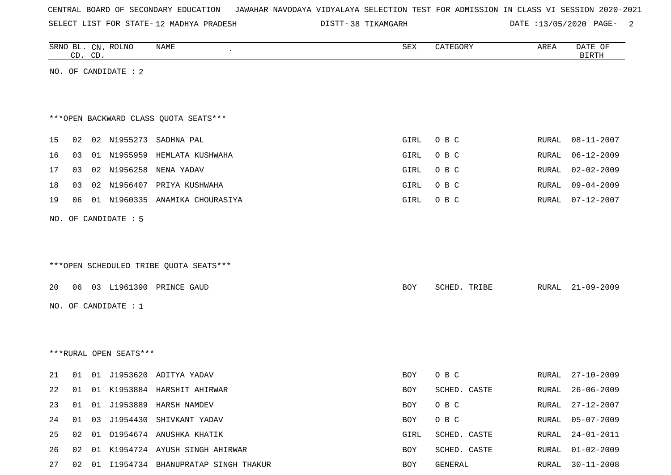| CENTRAL BOARD OF SECONDARY EDUCATION – JAWAHAR NAVODAYA VIDYALAYA SELECTION TEST FOR ADMISSION IN CLASS VI SESSION 2020-2021 |  |  |  |  |
|------------------------------------------------------------------------------------------------------------------------------|--|--|--|--|
|------------------------------------------------------------------------------------------------------------------------------|--|--|--|--|

SELECT LIST FOR STATE- DISTT- 12 MADHYA PRADESH

DISTT-38 TIKAMGARH DATE :13/05/2020 PAGE- 2

|    | CD. CD. | SRNO BL. CN. ROLNO     | NAME                                    | ${\tt SEX}$ | CATEGORY     | AREA  | DATE OF<br><b>BIRTH</b> |
|----|---------|------------------------|-----------------------------------------|-------------|--------------|-------|-------------------------|
|    |         | NO. OF CANDIDATE : 2   |                                         |             |              |       |                         |
|    |         |                        |                                         |             |              |       |                         |
|    |         |                        |                                         |             |              |       |                         |
|    |         |                        | *** OPEN BACKWARD CLASS QUOTA SEATS***  |             |              |       |                         |
| 15 |         |                        | 02 02 N1955273 SADHNA PAL               | GIRL        | O B C        | RURAL | $08 - 11 - 2007$        |
| 16 | 03      |                        | 01 N1955959 HEMLATA KUSHWAHA            | GIRL        | O B C        | RURAL | $06 - 12 - 2009$        |
| 17 | 03      | 02 N1956258            | NENA YADAV                              | GIRL        | O B C        | RURAL | $02 - 02 - 2009$        |
| 18 | 03      |                        | 02 N1956407 PRIYA KUSHWAHA              | GIRL        | O B C        | RURAL | $09 - 04 - 2009$        |
| 19 | 06      |                        | 01 N1960335 ANAMIKA CHOURASIYA          | GIRL        | O B C        | RURAL | $07 - 12 - 2007$        |
|    |         | NO. OF CANDIDATE : 5   |                                         |             |              |       |                         |
|    |         |                        |                                         |             |              |       |                         |
|    |         |                        |                                         |             |              |       |                         |
|    |         |                        | ***OPEN SCHEDULED TRIBE QUOTA SEATS***  |             |              |       |                         |
| 20 |         |                        | 06 03 L1961390 PRINCE GAUD              | BOY         | SCHED. TRIBE | RURAL | $21 - 09 - 2009$        |
|    |         | NO. OF CANDIDATE : 1   |                                         |             |              |       |                         |
|    |         |                        |                                         |             |              |       |                         |
|    |         |                        |                                         |             |              |       |                         |
|    |         |                        |                                         |             |              |       |                         |
|    |         | ***RURAL OPEN SEATS*** |                                         |             |              |       |                         |
| 21 |         |                        | 01 01 J1953620 ADITYA YADAV             | BOY         | O B C        | RURAL | $27 - 10 - 2009$        |
| 22 | 01      |                        | 01 K1953884 HARSHIT AHIRWAR             | BOY         | SCHED. CASTE | RURAL | $26 - 06 - 2009$        |
| 23 | 01      |                        | 01 J1953889 HARSH NAMDEV                | BOY         | O B C        | RURAL | 27-12-2007              |
| 24 |         |                        | 01 03 J1954430 SHIVKANT YADAV           | BOY         | O B C        | RURAL | $05 - 07 - 2009$        |
| 25 |         |                        | 02 01 01954674 ANUSHKA KHATIK           | GIRL        | SCHED. CASTE | RURAL | $24 - 01 - 2011$        |
| 26 |         |                        | 02 01 K1954724 AYUSH SINGH AHIRWAR      | BOY         | SCHED. CASTE | RURAL | $01 - 02 - 2009$        |
| 27 |         |                        | 02 01 I1954734 BHANUPRATAP SINGH THAKUR | BOY         | GENERAL      | RURAL | $30 - 11 - 2008$        |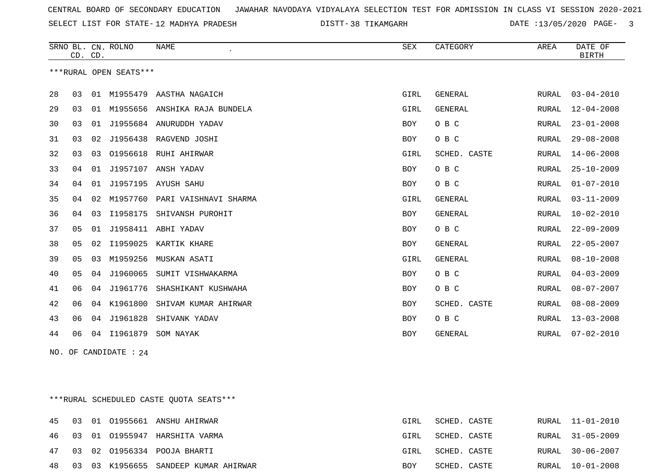SELECT LIST FOR STATE- DISTT- 12 MADHYA PRADESH

38 TIKAMGARH DATE :13/05/2020 PAGE- 3

|    |    | CD. CD. | SRNO BL. CN. ROLNO     | <b>NAME</b>                    | SEX        | CATEGORY       | AREA         | DATE OF<br><b>BIRTH</b> |
|----|----|---------|------------------------|--------------------------------|------------|----------------|--------------|-------------------------|
|    |    |         | ***RURAL OPEN SEATS*** |                                |            |                |              |                         |
| 28 | 03 |         |                        | 01 M1955479 AASTHA NAGAICH     | GIRL       | <b>GENERAL</b> | RURAL        | $03 - 04 - 2010$        |
| 29 | 03 | 01      |                        | M1955656 ANSHIKA RAJA BUNDELA  | GIRL       | <b>GENERAL</b> | RURAL        | $12 - 04 - 2008$        |
| 30 | 03 | 01      |                        | J1955684 ANURUDDH YADAV        | BOY        | O B C          | RURAL        | $23 - 01 - 2008$        |
| 31 | 03 | 02      | J1956438               | RAGVEND JOSHI                  | <b>BOY</b> | O B C          | RURAL        | $29 - 08 - 2008$        |
| 32 | 03 | 03      | 01956618               | RUHI AHIRWAR                   | GIRL       | SCHED. CASTE   | <b>RURAL</b> | $14 - 06 - 2008$        |
| 33 | 04 | 01      | J1957107               | ANSH YADAV                     | <b>BOY</b> | O B C          | RURAL        | $25 - 10 - 2009$        |
| 34 | 04 | 01      | J1957195               | AYUSH SAHU                     | <b>BOY</b> | O B C          | RURAL        | $01 - 07 - 2010$        |
| 35 | 04 | 02      |                        | M1957760 PARI VAISHNAVI SHARMA | GIRL       | <b>GENERAL</b> | RURAL        | $03 - 11 - 2009$        |
| 36 | 04 | 03      | I1958175               | SHIVANSH PUROHIT               | <b>BOY</b> | <b>GENERAL</b> | RURAL        | $10 - 02 - 2010$        |
| 37 | 05 | 01      | J1958411               | ABHI YADAV                     | <b>BOY</b> | O B C          | RURAL        | $22 - 09 - 2009$        |
| 38 | 05 | 02      | I1959025               | KARTIK KHARE                   | <b>BOY</b> | <b>GENERAL</b> | RURAL        | $22 - 05 - 2007$        |
| 39 | 05 | 03      | M1959256               | MUSKAN ASATI                   | GIRL       | <b>GENERAL</b> | RURAL        | $08 - 10 - 2008$        |
| 40 | 05 | 04      | J1960065               | SUMIT VISHWAKARMA              | <b>BOY</b> | O B C          | RURAL        | $04 - 03 - 2009$        |
| 41 | 06 | 04      | J1961776               | SHASHIKANT KUSHWAHA            | <b>BOY</b> | O B C          | RURAL        | $08 - 07 - 2007$        |
| 42 | 06 | 04      | K1961800               | SHIVAM KUMAR AHIRWAR           | <b>BOY</b> | SCHED. CASTE   | RURAL        | $08 - 08 - 2009$        |
| 43 | 06 | 04      | J1961828               | SHIVANK YADAV                  | <b>BOY</b> | O B C          | RURAL        | $13 - 03 - 2008$        |
| 44 | 06 | 04      | I1961879               | SOM NAYAK                      | <b>BOY</b> | <b>GENERAL</b> | RURAL        | $07 - 02 - 2010$        |

NO. OF CANDIDATE : 24

\*\*\*RURAL SCHEDULED CASTE QUOTA SEATS\*\*\*

|  |  | 45 03 01 01955661 ANSHU AHIRWAR         | GIRL | SCHED. CASTE |  | RURAL 11-01-2010 |
|--|--|-----------------------------------------|------|--------------|--|------------------|
|  |  | 46 03 01 01955947 HARSHITA VARMA        | GIRL | SCHED. CASTE |  | RURAL 31-05-2009 |
|  |  | 47 03 02 01956334 POOJA BHARTI          | GIRL | SCHED. CASTE |  | RURAL 30-06-2007 |
|  |  | 48 03 03 K1956655 SANDEEP KUMAR AHIRWAR | BOY  | SCHED. CASTE |  | RURAL 10-01-2008 |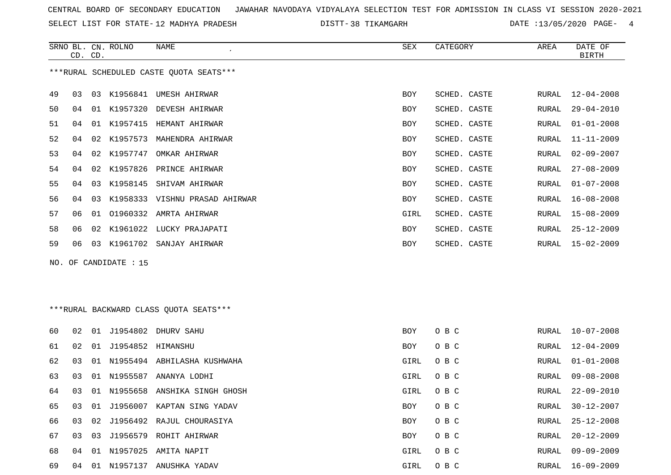SELECT LIST FOR STATE- DISTT- 12 MADHYA PRADESH

DISTT-38 TIKAMGARH DATE :13/05/2020 PAGE- 4

|    | CD. CD. |    | SRNO BL. CN. ROLNO    | NAME                                    | SEX        | CATEGORY     | AREA  | DATE OF<br><b>BIRTH</b> |
|----|---------|----|-----------------------|-----------------------------------------|------------|--------------|-------|-------------------------|
|    |         |    |                       | ***RURAL SCHEDULED CASTE QUOTA SEATS*** |            |              |       |                         |
| 49 | 03      |    |                       | 03 K1956841 UMESH AHIRWAR               | BOY        | SCHED. CASTE | RURAL | $12 - 04 - 2008$        |
| 50 | 04      |    |                       | 01 K1957320 DEVESH AHIRWAR              | BOY        | SCHED. CASTE | RURAL | $29 - 04 - 2010$        |
| 51 | 04      |    |                       | 01 K1957415 HEMANT AHIRWAR              | BOY        | SCHED. CASTE | RURAL | $01 - 01 - 2008$        |
| 52 | 04      | 02 | K1957573              | MAHENDRA AHIRWAR                        | <b>BOY</b> | SCHED. CASTE | RURAL | $11 - 11 - 2009$        |
| 53 | 04      | 02 | K1957747              | OMKAR AHIRWAR                           | BOY        | SCHED. CASTE | RURAL | $02 - 09 - 2007$        |
| 54 | 04      | 02 | K1957826              | PRINCE AHIRWAR                          | <b>BOY</b> | SCHED. CASTE | RURAL | $27 - 08 - 2009$        |
| 55 | 04      | 03 |                       | K1958145 SHIVAM AHIRWAR                 | BOY        | SCHED. CASTE | RURAL | $01 - 07 - 2008$        |
| 56 | 04      | 03 |                       | K1958333 VISHNU PRASAD AHIRWAR          | BOY        | SCHED. CASTE | RURAL | $16 - 08 - 2008$        |
| 57 | 06      |    |                       | 01 01960332 AMRTA AHIRWAR               | GIRL       | SCHED. CASTE | RURAL | $15 - 08 - 2009$        |
| 58 | 06      |    |                       | 02 K1961022 LUCKY PRAJAPATI             | BOY        | SCHED. CASTE | RURAL | $25 - 12 - 2009$        |
| 59 | 06      |    |                       | 03 K1961702 SANJAY AHIRWAR              | BOY        | SCHED. CASTE | RURAL | $15 - 02 - 2009$        |
|    |         |    | NO. OF CANDIDATE : 15 |                                         |            |              |       |                         |
|    |         |    |                       |                                         |            |              |       |                         |
|    |         |    |                       |                                         |            |              |       |                         |
|    |         |    |                       | *** RURAL BACKWARD CLASS QUOTA SEATS*** |            |              |       |                         |
| 60 | 02      |    |                       | 01 J1954802 DHURV SAHU                  | <b>BOY</b> | O B C        | RURAL | $10 - 07 - 2008$        |
| 61 | 02      |    | 01 J1954852 HIMANSHU  |                                         | BOY        | O B C        | RURAL | $12 - 04 - 2009$        |
| 62 | 03      | 01 |                       | N1955494 ABHILASHA KUSHWAHA             | GIRL       | O B C        | RURAL | $01 - 01 - 2008$        |
| 63 | 03      |    |                       | 01 N1955587 ANANYA LODHI                | GIRL       | O B C        | RURAL | $09 - 08 - 2008$        |
| 64 | 03      |    |                       | 01 N1955658 ANSHIKA SINGH GHOSH         | GIRL       | O B C        | RURAL | $22 - 09 - 2010$        |
| 65 | 03      |    |                       | 01 J1956007 KAPTAN SING YADAV           | BOY        | O B C        | RURAL | $30 - 12 - 2007$        |
| 66 | 03      |    |                       | 02 J1956492 RAJUL CHOURASIYA            | BOY        | O B C        | RURAL | $25 - 12 - 2008$        |
| 67 | 03      | 03 |                       | J1956579 ROHIT AHIRWAR                  | BOY        | O B C        | RURAL | $20 - 12 - 2009$        |
| 68 |         |    |                       | 04 01 N1957025 AMITA NAPIT              | GIRL       | O B C        | RURAL | $09 - 09 - 2009$        |
| 69 |         |    |                       | 04 01 N1957137 ANUSHKA YADAV            | GIRL       | O B C        |       | RURAL 16-09-2009        |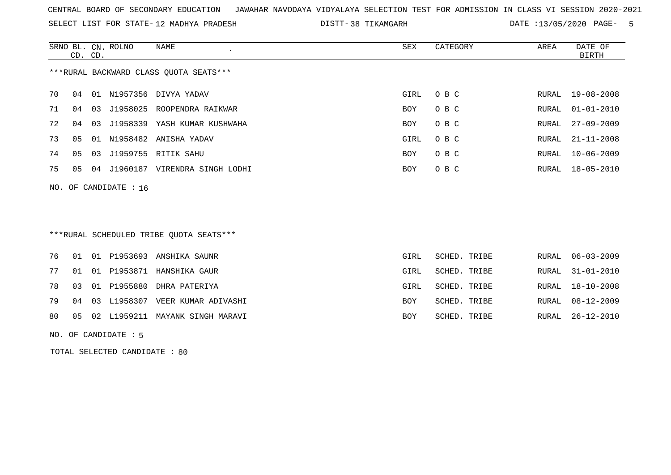SELECT LIST FOR STATE- DISTT- 12 MADHYA PRADESH

38 TIKAMGARH DATE :13/05/2020 PAGE- 5

|                                        | CD. CD. |    | SRNO BL. CN. ROLNO | NAME                 | SEX        | CATEGORY | AREA  | DATE OF<br>BIRTH |
|----------------------------------------|---------|----|--------------------|----------------------|------------|----------|-------|------------------|
| ***RURAL BACKWARD CLASS QUOTA SEATS*** |         |    |                    |                      |            |          |       |                  |
| 70                                     | 04      | 01 | N1957356           | DIVYA YADAV          | GIRL       | O B C    | RURAL | 19-08-2008       |
| 71                                     | 04      | 03 | J1958025           | ROOPENDRA RAIKWAR    | <b>BOY</b> | O B C    | RURAL | $01 - 01 - 2010$ |
| 72                                     | 04      | 03 | J1958339           | YASH KUMAR KUSHWAHA  | <b>BOY</b> | O B C    | RURAL | $27 - 09 - 2009$ |
| 73                                     | 05      | 01 | N1958482           | ANISHA YADAV         | GIRL       | O B C    | RURAL | $21 - 11 - 2008$ |
| 74                                     | 05      | 03 | J1959755           | RITIK SAHU           | BOY        | O B C    | RURAL | $10 - 06 - 2009$ |
| 75                                     | 05      | 04 | J1960187           | VIRENDRA SINGH LODHI | BOY        | O B C    | RURAL | 18-05-2010       |
|                                        |         |    |                    |                      |            |          |       |                  |

# \*\*\*RURAL SCHEDULED TRIBE QUOTA SEATS\*\*\*

|  |  | 76 01 01 P1953693 ANSHIKA SAUNR       | GIRL | SCHED. TRIBE | RURAL 06-03-2009 |
|--|--|---------------------------------------|------|--------------|------------------|
|  |  | 77 01 01 P1953871 HANSHIKA GAUR       | GIRL | SCHED. TRIBE | RURAL 31-01-2010 |
|  |  | 78 03 01 P1955880 DHRA PATERIYA       | GIRL | SCHED. TRIBE | RURAL 18-10-2008 |
|  |  | 79 04 03 L1958307 VEER KUMAR ADIVASHI | BOY  | SCHED. TRIBE | RURAL 08-12-2009 |
|  |  | 80 05 02 L1959211 MAYANK SINGH MARAVI | BOY  | SCHED. TRIBE | RURAL 26-12-2010 |
|  |  |                                       |      |              |                  |

NO. OF CANDIDATE : 5

NO. OF CANDIDATE : 16

TOTAL SELECTED CANDIDATE : 80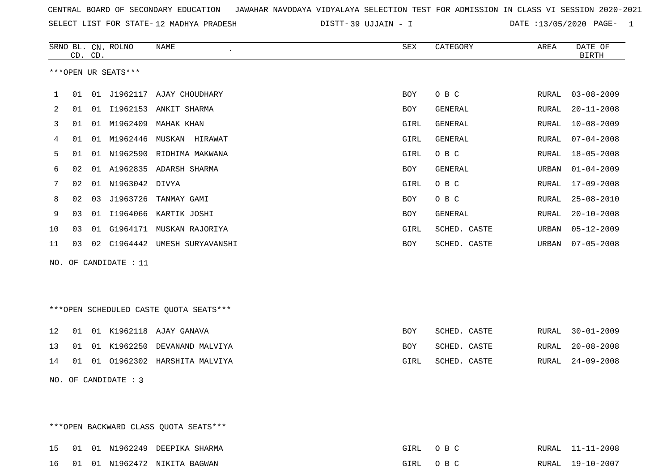| CENTRAL BOARD OF SECONDARY EDUCATION GUNAHAR NAVODAYA VIDYALAYA SELECTION TEST FOR ADMISSION IN CLASS VI SESSION 2020-2021 |  |  |  |  |
|----------------------------------------------------------------------------------------------------------------------------|--|--|--|--|
|----------------------------------------------------------------------------------------------------------------------------|--|--|--|--|

SELECT LIST FOR STATE-12 MADHYA PRADESH DISTT-39 UJJAIN - I DATE :13/05/2020 PAGE- 1

|    |    | CD. CD. | SRNO BL. CN. ROLNO    | <b>NAME</b>                            | ${\tt SEX}$ | CATEGORY     | AREA  | DATE OF<br><b>BIRTH</b> |
|----|----|---------|-----------------------|----------------------------------------|-------------|--------------|-------|-------------------------|
|    |    |         | ***OPEN UR SEATS***   |                                        |             |              |       |                         |
| 1  | 01 |         |                       | 01 J1962117 AJAY CHOUDHARY             | BOY         | O B C        | RURAL | $03 - 08 - 2009$        |
| 2  | 01 |         |                       | 01 I1962153 ANKIT SHARMA               | BOY         | GENERAL      | RURAL | $20 - 11 - 2008$        |
| 3  | 01 |         |                       | 01 M1962409 MAHAK KHAN                 | GIRL        | GENERAL      | RURAL | $10 - 08 - 2009$        |
| 4  | 01 |         | 01 M1962446           | MUSKAN HIRAWAT                         | GIRL        | GENERAL      | RURAL | $07 - 04 - 2008$        |
| 5  | 01 |         |                       | 01 N1962590 RIDHIMA MAKWANA            | GIRL        | O B C        | RURAL | $18 - 05 - 2008$        |
| 6  | 02 |         |                       | 01 A1962835 ADARSH SHARMA              | BOY         | GENERAL      | URBAN | $01 - 04 - 2009$        |
| 7  | 02 |         | 01 N1963042 DIVYA     |                                        | GIRL        | O B C        | RURAL | $17 - 09 - 2008$        |
| 8  | 02 | 03      |                       | J1963726 TANMAY GAMI                   | BOY         | O B C        | RURAL | $25 - 08 - 2010$        |
| 9  | 03 |         |                       | 01 I1964066 KARTIK JOSHI               | <b>BOY</b>  | GENERAL      | RURAL | $20 - 10 - 2008$        |
| 10 | 03 |         |                       | 01 G1964171 MUSKAN RAJORIYA            | GIRL        | SCHED. CASTE | URBAN | $05 - 12 - 2009$        |
| 11 | 03 |         |                       | 02 C1964442 UMESH SURYAVANSHI          | <b>BOY</b>  | SCHED. CASTE | URBAN | $07 - 05 - 2008$        |
|    |    |         | NO. OF CANDIDATE : 11 |                                        |             |              |       |                         |
|    |    |         |                       |                                        |             |              |       |                         |
|    |    |         |                       | ***OPEN SCHEDULED CASTE QUOTA SEATS*** |             |              |       |                         |
| 12 | 01 |         |                       | 01 K1962118 AJAY GANAVA                | BOY         | SCHED. CASTE | RURAL | $30 - 01 - 2009$        |
| 13 | 01 |         |                       | 01 K1962250 DEVANAND MALVIYA           | BOY         | SCHED. CASTE | RURAL | $20 - 08 - 2008$        |
| 14 | 01 |         |                       | 01 01962302 HARSHITA MALVIYA           | GIRL        | SCHED. CASTE | RURAL | $24 - 09 - 2008$        |
|    |    |         | NO. OF CANDIDATE : 3  |                                        |             |              |       |                         |

\*\*\*OPEN BACKWARD CLASS QUOTA SEATS\*\*\*

|  |  | 15 01 01 N1962249 DEEPIKA SHARMA | ATRI. | O R C | RURAL 11-11-2008 |
|--|--|----------------------------------|-------|-------|------------------|
|  |  | 16 01 01 N1962472 NIKITA BAGWAN  | GTRI. | ORC   | RURAL 19-10-2007 |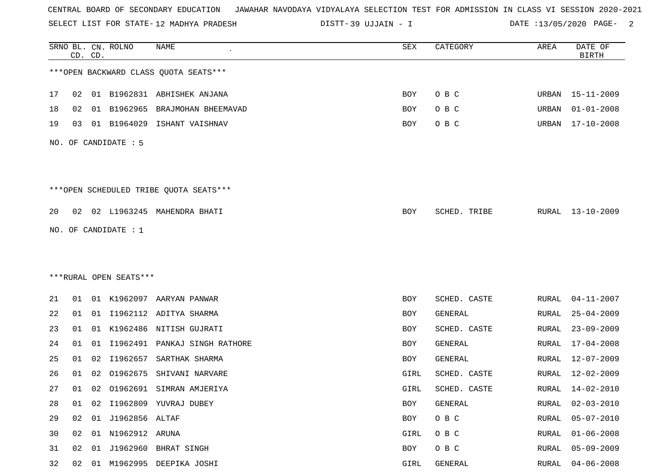SELECT LIST FOR STATE- DISTT- 12 MADHYA PRADESH

39 UJJAIN - I DATE :13/05/2020 PAGE- 2

|    |    | CD. CD. | SRNO BL. CN. ROLNO     | <b>NAME</b>                            | SEX  | CATEGORY     | AREA  | DATE OF<br><b>BIRTH</b> |
|----|----|---------|------------------------|----------------------------------------|------|--------------|-------|-------------------------|
|    |    |         |                        | *** OPEN BACKWARD CLASS QUOTA SEATS*** |      |              |       |                         |
| 17 | 02 |         |                        | 01 B1962831 ABHISHEK ANJANA            | BOY  | O B C        |       | URBAN 15-11-2009        |
| 18 | 02 | 01      | B1962965               | BRAJMOHAN BHEEMAVAD                    | BOY  | O B C        | URBAN | $01 - 01 - 2008$        |
| 19 | 03 |         | 01 B1964029            | ISHANT VAISHNAV                        | BOY  | O B C        | URBAN | 17-10-2008              |
|    |    |         | NO. OF CANDIDATE : 5   |                                        |      |              |       |                         |
|    |    |         |                        | ***OPEN SCHEDULED TRIBE QUOTA SEATS*** |      |              |       |                         |
| 20 |    |         |                        | 02 02 L1963245 MAHENDRA BHATI          | BOY  | SCHED. TRIBE | RURAL | 13-10-2009              |
|    |    |         | NO. OF CANDIDATE : 1   |                                        |      |              |       |                         |
|    |    |         |                        |                                        |      |              |       |                         |
|    |    |         |                        |                                        |      |              |       |                         |
|    |    |         | ***RURAL OPEN SEATS*** |                                        |      |              |       |                         |
| 21 | 01 |         |                        | 01 K1962097 AARYAN PANWAR              | BOY  | SCHED. CASTE | RURAL | $04 - 11 - 2007$        |
| 22 | 01 |         |                        | 01 I1962112 ADITYA SHARMA              | BOY  | GENERAL      | RURAL | $25 - 04 - 2009$        |
| 23 | 01 | 01      |                        | K1962486 NITISH GUJRATI                | BOY  | SCHED. CASTE | RURAL | $23 - 09 - 2009$        |
| 24 | 01 | 01      |                        | 11962491 PANKAJ SINGH RATHORE          | BOY  | GENERAL      | RURAL | $17 - 04 - 2008$        |
| 25 | 01 | 02      |                        | I1962657 SARTHAK SHARMA                | BOY  | GENERAL      | RURAL | $12 - 07 - 2009$        |
| 26 | 01 | 02      | 01962675               | SHIVANI NARVARE                        | GIRL | SCHED. CASTE | RURAL | $12 - 02 - 2009$        |
| 27 | 01 | 02      |                        | 01962691 SIMRAN AMJERIYA               | GIRL | SCHED. CASTE | RURAL | 14-02-2010              |
| 28 | 01 | 02      |                        | I1962809 YUVRAJ DUBEY                  | BOY  | GENERAL      | RURAL | $02 - 03 - 2010$        |
| 29 | 02 |         | 01 J1962856 ALTAF      |                                        | BOY  | O B C        | RURAL | $05 - 07 - 2010$        |
| 30 | 02 |         | 01 N1962912 ARUNA      |                                        | GIRL | O B C        | RURAL | $01 - 06 - 2008$        |
| 31 | 02 | 01      |                        | J1962960 BHRAT SINGH                   | BOY  | O B C        | RURAL | $05 - 09 - 2009$        |
| 32 |    |         |                        | 02 01 M1962995 DEEPIKA JOSHI           | GIRL | GENERAL      | RURAL | $04 - 06 - 2008$        |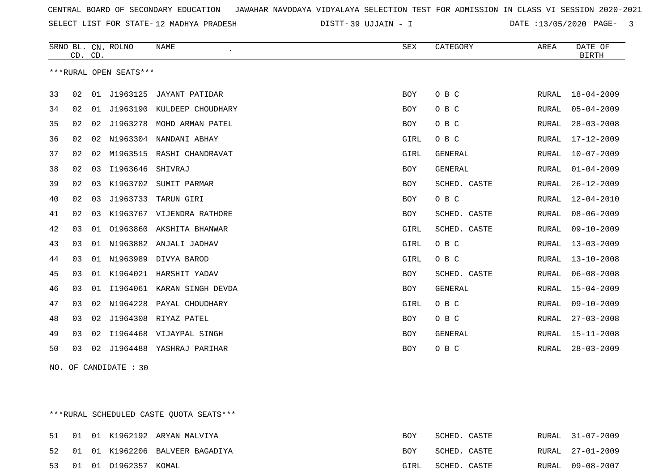SELECT LIST FOR STATE- DISTT- 12 MADHYA PRADESH

39 UJJAIN - I DATE :13/05/2020 PAGE- 3

|    | CD. CD. |    | SRNO BL. CN. ROLNO     | <b>NAME</b>            | <b>SEX</b> | CATEGORY       | AREA          | DATE OF<br><b>BIRTH</b> |
|----|---------|----|------------------------|------------------------|------------|----------------|---------------|-------------------------|
|    |         |    | ***RURAL OPEN SEATS*** |                        |            |                |               |                         |
| 33 | 02      | 01 | J1963125               | JAYANT PATIDAR         | <b>BOY</b> | O B C          | RURAL         | $18 - 04 - 2009$        |
| 34 | 02      | 01 | J1963190               | KULDEEP CHOUDHARY      | <b>BOY</b> | O B C          | RURAL         | $05 - 04 - 2009$        |
| 35 | 02      | 02 | J1963278               | MOHD ARMAN PATEL       | <b>BOY</b> | O B C          | RURAL         | $28 - 03 - 2008$        |
| 36 | 02      | 02 | N1963304               | NANDANI ABHAY          | GIRL       | O B C          | RURAL         | 17-12-2009              |
| 37 | 02      | 02 | M1963515               | RASHI CHANDRAVAT       | GIRL       | <b>GENERAL</b> | ${\tt RURAL}$ | $10 - 07 - 2009$        |
| 38 | 02      | 03 | I1963646               | SHIVRAJ                | BOY        | GENERAL        | RURAL         | $01 - 04 - 2009$        |
| 39 | 02      | 03 | K1963702               | SUMIT PARMAR           | <b>BOY</b> | SCHED. CASTE   | RURAL         | $26 - 12 - 2009$        |
| 40 | 02      | 03 | J1963733               | TARUN GIRI             | BOY        | O B C          | RURAL         | 12-04-2010              |
| 41 | 02      | 03 | K1963767               | VIJENDRA RATHORE       | BOY        | SCHED. CASTE   | RURAL         | $08 - 06 - 2009$        |
| 42 | 03      | 01 | 01963860               | AKSHITA BHANWAR        | GIRL       | SCHED. CASTE   | RURAL         | $09 - 10 - 2009$        |
| 43 | 03      | 01 |                        | N1963882 ANJALI JADHAV | GIRL       | O B C          | RURAL         | $13 - 03 - 2009$        |
| 44 | 03      | 01 | N1963989               | DIVYA BAROD            | GIRL       | O B C          | RURAL         | $13 - 10 - 2008$        |
| 45 | 03      | 01 | K1964021               | HARSHIT YADAV          | <b>BOY</b> | SCHED. CASTE   | <b>RURAL</b>  | $06 - 08 - 2008$        |
| 46 | 03      | 01 | I1964061               | KARAN SINGH DEVDA      | BOY        | GENERAL        | RURAL         | $15 - 04 - 2009$        |
| 47 | 03      | 02 | N1964228               | PAYAL CHOUDHARY        | GIRL       | O B C          | RURAL         | $09 - 10 - 2009$        |
| 48 | 03      | 02 | J1964308               | RIYAZ PATEL            | BOY        | O B C          | RURAL         | $27 - 03 - 2008$        |
| 49 | 03      | 02 | I1964468               | VIJAYPAL SINGH         | BOY        | <b>GENERAL</b> | RURAL         | $15 - 11 - 2008$        |
| 50 | 03      | 02 | J1964488               | YASHRAJ PARIHAR        | <b>BOY</b> | O B C          | RURAL         | $28 - 03 - 2009$        |

NO. OF CANDIDATE : 30

\*\*\*RURAL SCHEDULED CASTE QUOTA SEATS\*\*\*

|  |                         | 51 01 01 K1962192 ARYAN MALVIYA    | BOY        | SCHED. CASTE |  | RURAL 31-07-2009 |
|--|-------------------------|------------------------------------|------------|--------------|--|------------------|
|  |                         | 52 01 01 K1962206 BALVEER BAGADIYA | <b>BOY</b> | SCHED. CASTE |  | RURAL 27-01-2009 |
|  | 53 01 01 01962357 KOMAL |                                    | GIRL       | SCHED. CASTE |  | RURAL 09-08-2007 |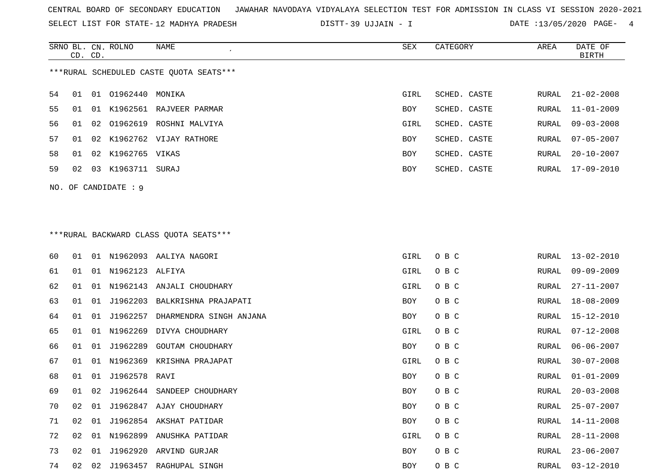SELECT LIST FOR STATE- DISTT- 12 MADHYA PRADESH

39 UJJAIN - I DATE :13/05/2020 PAGE- 4

|    | CD. CD.                                 |    | SRNO BL. CN. ROLNO | NAME                                    | SEX        | CATEGORY     | AREA  | DATE OF<br><b>BIRTH</b> |  |  |
|----|-----------------------------------------|----|--------------------|-----------------------------------------|------------|--------------|-------|-------------------------|--|--|
|    |                                         |    |                    | ***RURAL SCHEDULED CASTE QUOTA SEATS*** |            |              |       |                         |  |  |
| 54 | 01                                      |    | 01 01962440 MONIKA |                                         | GIRL       | SCHED. CASTE | RURAL | $21 - 02 - 2008$        |  |  |
| 55 | 01                                      |    |                    | 01 K1962561 RAJVEER PARMAR              | BOY        | SCHED. CASTE | RURAL | $11 - 01 - 2009$        |  |  |
| 56 | 01                                      |    |                    | 02 01962619 ROSHNI MALVIYA              | GIRL       | SCHED. CASTE | RURAL | $09 - 03 - 2008$        |  |  |
| 57 | 01                                      | 02 |                    | K1962762 VIJAY RATHORE                  | <b>BOY</b> | SCHED. CASTE | RURAL | $07 - 05 - 2007$        |  |  |
| 58 | 01                                      |    | 02 K1962765 VIKAS  |                                         | <b>BOY</b> | SCHED. CASTE | RURAL | $20 - 10 - 2007$        |  |  |
| 59 | 02                                      |    | 03 K1963711 SURAJ  |                                         | <b>BOY</b> | SCHED. CASTE | RURAL | 17-09-2010              |  |  |
|    | NO. OF CANDIDATE : 9                    |    |                    |                                         |            |              |       |                         |  |  |
|    | *** RURAL BACKWARD CLASS QUOTA SEATS*** |    |                    |                                         |            |              |       |                         |  |  |

|    | ***RURAL BACKWARD CLASS OUOTA SEATS*** |    |                 |                              |            |       |       |                  |  |  |
|----|----------------------------------------|----|-----------------|------------------------------|------------|-------|-------|------------------|--|--|
| 60 | 01                                     |    |                 | 01 N1962093 AALIYA NAGORI    | GIRL       | O B C | RURAL | 13-02-2010       |  |  |
| 61 | 01                                     | 01 | N1962123 ALFIYA |                              | GIRL       | O B C | RURAL | $09 - 09 - 2009$ |  |  |
| 62 | 01                                     |    |                 | 01 N1962143 ANJALI CHOUDHARY | GIRL       | O B C | RURAL | $27 - 11 - 2007$ |  |  |
| 63 | 01                                     | 01 | J1962203        | BALKRISHNA PRAJAPATI         | BOY        | O B C | RURAL | $18 - 08 - 2009$ |  |  |
| 64 | 01                                     | 01 | J1962257        | DHARMENDRA SINGH ANJANA      | BOY        | O B C | RURAL | $15 - 12 - 2010$ |  |  |
| 65 | 01                                     | 01 | N1962269        | DIVYA CHOUDHARY              | GIRL       | O B C | RURAL | $07 - 12 - 2008$ |  |  |
| 66 | 01                                     | 01 | J1962289        | <b>GOUTAM CHOUDHARY</b>      | BOY        | O B C | RURAL | $06 - 06 - 2007$ |  |  |
| 67 | 01                                     | 01 | N1962369        | KRISHNA PRAJAPAT             | GIRL       | O B C | RURAL | $30 - 07 - 2008$ |  |  |
| 68 | 01                                     | 01 | J1962578 RAVI   |                              | BOY        | O B C | RURAL | $01 - 01 - 2009$ |  |  |
| 69 | 01                                     | 02 |                 | J1962644 SANDEEP CHOUDHARY   | <b>BOY</b> | O B C | RURAL | $20 - 03 - 2008$ |  |  |
| 70 | 02                                     | 01 |                 | J1962847 AJAY CHOUDHARY      | BOY        | O B C | RURAL | $25 - 07 - 2007$ |  |  |
| 71 | 02                                     | 01 |                 | J1962854 AKSHAT PATIDAR      | BOY        | O B C | RURAL | $14 - 11 - 2008$ |  |  |
| 72 | 02                                     | 01 | N1962899        | ANUSHKA PATIDAR              | GIRL       | O B C | RURAL | $28 - 11 - 2008$ |  |  |
| 73 | 02                                     | 01 | J1962920        | ARVIND GURJAR                | BOY        | O B C | RURAL | $23 - 06 - 2007$ |  |  |
| 74 | 02                                     | 02 |                 | J1963457 RAGHUPAL SINGH      | BOY        | O B C | RURAL | $03 - 12 - 2010$ |  |  |
|    |                                        |    |                 |                              |            |       |       |                  |  |  |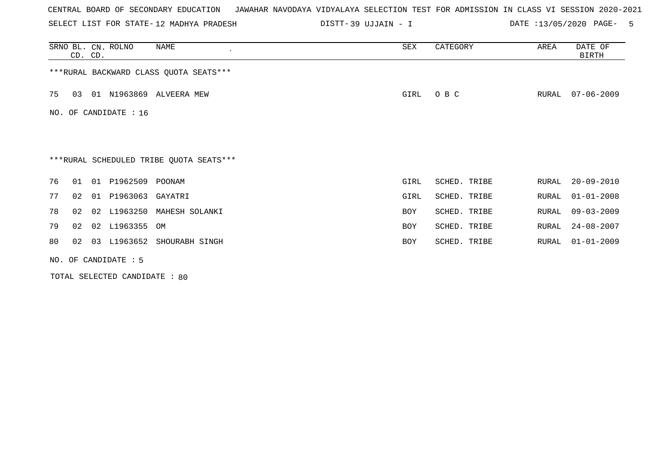SELECT LIST FOR STATE- DISTT- 12 MADHYA PRADESH

39 UJJAIN - I DATE :13/05/2020 PAGE- 5

|                       | CD. CD. |    | SRNO BL. CN. ROLNO   | NAME<br>$\cdot$                         | SEX        | CATEGORY     | AREA  | DATE OF<br>BIRTH |  |  |  |
|-----------------------|---------|----|----------------------|-----------------------------------------|------------|--------------|-------|------------------|--|--|--|
|                       |         |    |                      | *** RURAL BACKWARD CLASS QUOTA SEATS*** |            |              |       |                  |  |  |  |
| 75                    | 03      |    |                      | 01 N1963869 ALVEERA MEW                 | GIRL       | O B C        | RURAL | $07 - 06 - 2009$ |  |  |  |
| NO. OF CANDIDATE : 16 |         |    |                      |                                         |            |              |       |                  |  |  |  |
|                       |         |    |                      |                                         |            |              |       |                  |  |  |  |
|                       |         |    |                      | ***RURAL SCHEDULED TRIBE QUOTA SEATS*** |            |              |       |                  |  |  |  |
| 76                    | 01      | 01 | P1962509             | POONAM                                  | GIRL       | SCHED. TRIBE | RURAL | $20 - 09 - 2010$ |  |  |  |
| 77                    | 02      | 01 | P1963063 GAYATRI     |                                         | GIRL       | SCHED. TRIBE | RURAL | $01 - 01 - 2008$ |  |  |  |
| 78                    | 02      |    | 02 L1963250          | MAHESH SOLANKI                          | <b>BOY</b> | SCHED. TRIBE | RURAL | $09 - 03 - 2009$ |  |  |  |
| 79                    | 02      |    | 02 L1963355 OM       |                                         | BOY        | SCHED. TRIBE | RURAL | $24 - 08 - 2007$ |  |  |  |
| 80                    | 02      |    |                      | 03 L1963652 SHOURABH SINGH              | <b>BOY</b> | SCHED. TRIBE | RURAL | $01 - 01 - 2009$ |  |  |  |
|                       |         |    | NO. OF CANDIDATE : 5 |                                         |            |              |       |                  |  |  |  |

TOTAL SELECTED CANDIDATE : 80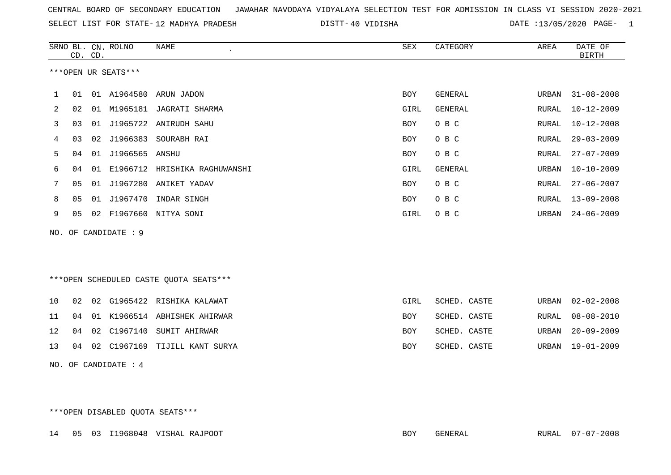| CENTRAL BOARD OF SECONDARY EDUCATION GUNAHAR NAVODAYA VIDYALAYA SELECTION TEST FOR ADMISSION IN CLASS VI SESSION 2020-2021 |  |  |  |  |
|----------------------------------------------------------------------------------------------------------------------------|--|--|--|--|
|----------------------------------------------------------------------------------------------------------------------------|--|--|--|--|

SELECT LIST FOR STATE- DISTT- 12 MADHYA PRADESH

40 VIDISHA DATE :13/05/2020 PAGE- 1

|                                                   |                |         | SRNO BL. CN. ROLNO   | NAME                                   | SEX        | CATEGORY       | AREA         | DATE OF          |
|---------------------------------------------------|----------------|---------|----------------------|----------------------------------------|------------|----------------|--------------|------------------|
|                                                   |                | CD. CD. |                      |                                        |            |                |              | <b>BIRTH</b>     |
|                                                   |                |         | ***OPEN UR SEATS***  |                                        |            |                |              |                  |
|                                                   |                |         |                      |                                        |            |                |              |                  |
| 1                                                 | 01             |         |                      | 01 A1964580 ARUN JADON                 | <b>BOY</b> | GENERAL        | URBAN        | $31 - 08 - 2008$ |
| 2                                                 | 02             | 01      |                      | M1965181 JAGRATI SHARMA                | GIRL       | <b>GENERAL</b> | <b>RURAL</b> | $10 - 12 - 2009$ |
| 3                                                 | 03             | 01      | J1965722             | ANIRUDH SAHU                           | BOY        | O B C          | RURAL        | $10 - 12 - 2008$ |
| 4                                                 | 03             | 02      | J1966383             | SOURABH RAI                            | BOY        | O B C          | RURAL        | $29 - 03 - 2009$ |
| 5                                                 | 04             | 01      | J1966565             | ANSHU                                  | <b>BOY</b> | O B C          | RURAL        | $27 - 07 - 2009$ |
| 6<br>04<br>E1966712<br>HRISHIKA RAGHUWANSHI<br>01 |                |         |                      |                                        | GIRL       | <b>GENERAL</b> | URBAN        | $10 - 10 - 2009$ |
| 7                                                 | 05             | 01      | J1967280             | ANIKET YADAV                           | <b>BOY</b> | O B C          | RURAL        | $27 - 06 - 2007$ |
| 8                                                 | 0 <sub>5</sub> | 01      | J1967470             | INDAR SINGH                            | <b>BOY</b> | O B C          | RURAL        | $13 - 09 - 2008$ |
| 9                                                 | 05             |         |                      | 02 F1967660 NITYA SONI                 | GIRL       | O B C          | URBAN        | $24 - 06 - 2009$ |
|                                                   |                |         | NO. OF CANDIDATE : 9 |                                        |            |                |              |                  |
|                                                   |                |         |                      |                                        |            |                |              |                  |
|                                                   |                |         |                      |                                        |            |                |              |                  |
|                                                   |                |         |                      | ***OPEN SCHEDULED CASTE QUOTA SEATS*** |            |                |              |                  |
|                                                   |                |         |                      |                                        |            |                |              |                  |
| 10                                                | 02             | 02      |                      | G1965422 RISHIKA KALAWAT               | GIRL       | SCHED. CASTE   | URBAN        | $02 - 02 - 2008$ |
| 11                                                | 04             | 01      |                      | K1966514 ABHISHEK AHIRWAR              | BOY        | SCHED. CASTE   | <b>RURAL</b> | $08 - 08 - 2010$ |
| 12                                                | 04             | 02      | C1967140             | SUMIT AHIRWAR                          | <b>BOY</b> | SCHED. CASTE   | <b>URBAN</b> | $20 - 09 - 2009$ |
| 13                                                | 04             | 02      | C1967169             | TIJILL KANT SURYA                      | <b>BOY</b> | SCHED. CASTE   | URBAN        | $19 - 01 - 2009$ |
|                                                   |                |         | NO. OF CANDIDATE : 4 |                                        |            |                |              |                  |

\*\*\*OPEN DISABLED QUOTA SEATS\*\*\*

14 05 03 I1968048 VISHAL RAJPOOT BOY GENERAL RURAL 07-07-2008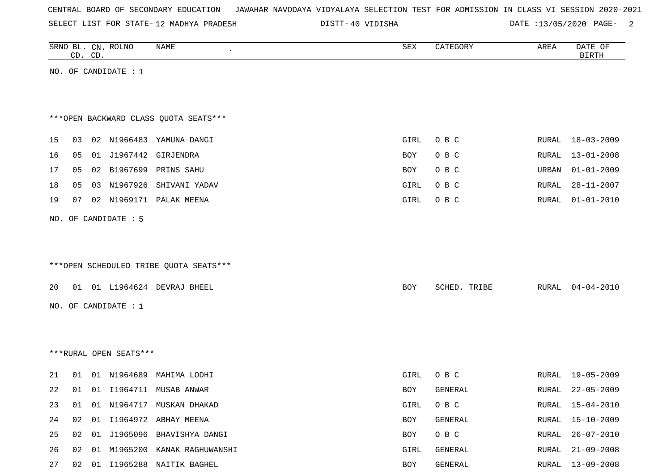|  |  |  |  | CENTRAL BOARD OF SECONDARY EDUCATION – JAWAHAR NAVODAYA VIDYALAYA SELECTION TEST FOR ADMISSION IN CLASS VI SESSION 2020-2021 |  |  |  |  |  |  |  |  |  |  |
|--|--|--|--|------------------------------------------------------------------------------------------------------------------------------|--|--|--|--|--|--|--|--|--|--|
|--|--|--|--|------------------------------------------------------------------------------------------------------------------------------|--|--|--|--|--|--|--|--|--|--|

SELECT LIST FOR STATE-12 MADHYA PRADESH

12 MADHYA PRADESH 40 VIDISHA DATE :13/05/2020 PAGE- 2

|    |    | CD. CD. | SRNO BL. CN. ROLNO     | NAME                                   | SEX        | CATEGORY     | AREA  | DATE OF<br><b>BIRTH</b> |
|----|----|---------|------------------------|----------------------------------------|------------|--------------|-------|-------------------------|
|    |    |         | NO. OF CANDIDATE : $1$ |                                        |            |              |       |                         |
|    |    |         |                        |                                        |            |              |       |                         |
|    |    |         |                        |                                        |            |              |       |                         |
|    |    |         |                        | *** OPEN BACKWARD CLASS QUOTA SEATS*** |            |              |       |                         |
| 15 | 03 |         |                        | 02 N1966483 YAMUNA DANGI               | GIRL       | O B C        | RURAL | 18-03-2009              |
| 16 | 05 |         | 01 J1967442            | GIRJENDRA                              | BOY        | O B C        | RURAL | $13 - 01 - 2008$        |
| 17 | 05 |         |                        | 02 B1967699 PRINS SAHU                 | BOY        | O B C        | URBAN | $01 - 01 - 2009$        |
| 18 | 05 |         |                        | 03 N1967926 SHIVANI YADAV              | GIRL       | O B C        | RURAL | $28 - 11 - 2007$        |
| 19 | 07 |         |                        | 02 N1969171 PALAK MEENA                | GIRL       | O B C        | RURAL | $01 - 01 - 2010$        |
|    |    |         |                        |                                        |            |              |       |                         |
|    |    |         | NO. OF CANDIDATE : 5   |                                        |            |              |       |                         |
|    |    |         |                        |                                        |            |              |       |                         |
|    |    |         |                        |                                        |            |              |       |                         |
|    |    |         |                        | ***OPEN SCHEDULED TRIBE QUOTA SEATS*** |            |              |       |                         |
| 20 |    |         |                        | 01 01 L1964624 DEVRAJ BHEEL            | BOY        | SCHED. TRIBE | RURAL | $04 - 04 - 2010$        |
|    |    |         |                        |                                        |            |              |       |                         |
|    |    |         | NO. OF CANDIDATE : 1   |                                        |            |              |       |                         |
|    |    |         |                        |                                        |            |              |       |                         |
|    |    |         |                        |                                        |            |              |       |                         |
|    |    |         | ***RURAL OPEN SEATS*** |                                        |            |              |       |                         |
| 21 | 01 |         | 01 N1964689            | MAHIMA LODHI                           | GIRL       | O B C        | RURAL | 19-05-2009              |
| 22 |    |         |                        | 01  01  11964711  MUSAB  ANWAR         | <b>BOY</b> | GENERAL      | RURAL | $22 - 05 - 2009$        |
| 23 |    |         |                        | 01 01 N1964717 MUSKAN DHAKAD           | GIRL       | O B C        | RURAL | $15 - 04 - 2010$        |
| 24 | 02 |         |                        | 01 I1964972 ABHAY MEENA                | BOY        | GENERAL      | RURAL | $15 - 10 - 2009$        |
| 25 | 02 |         |                        | 01 J1965096 BHAVISHYA DANGI            | BOY        | O B C        | RURAL | $26 - 07 - 2010$        |
| 26 | 02 |         |                        | 01 M1965200 KANAK RAGHUWANSHI          | GIRL       | GENERAL      | RURAL | $21 - 09 - 2008$        |
| 27 |    |         |                        | 02 01 I1965288 NAITIK BAGHEL           | BOY        | GENERAL      |       | RURAL 13-09-2008        |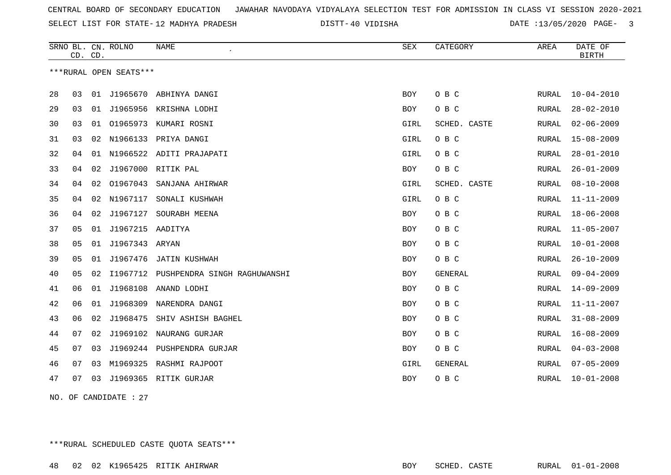SELECT LIST FOR STATE- DISTT- 12 MADHYA PRADESH

40 VIDISHA DATE :13/05/2020 PAGE- 3

|    | CD. CD. |    | SRNO BL. CN. ROLNO     | <b>NAME</b>                  | <b>SEX</b> | CATEGORY     | AREA         | DATE OF<br><b>BIRTH</b> |
|----|---------|----|------------------------|------------------------------|------------|--------------|--------------|-------------------------|
|    |         |    | ***RURAL OPEN SEATS*** |                              |            |              |              |                         |
| 28 | 03      |    |                        | 01 J1965670 ABHINYA DANGI    | BOY        | O B C        | RURAL        | $10 - 04 - 2010$        |
| 29 | 03      | 01 | J1965956               | KRISHNA LODHI                | BOY        | O B C        | RURAL        | $28 - 02 - 2010$        |
| 30 | 03      | 01 | 01965973               | KUMARI ROSNI                 | GIRL       | SCHED. CASTE | RURAL        | $02 - 06 - 2009$        |
| 31 | 03      | 02 | N1966133               | PRIYA DANGI                  | GIRL       | O B C        | RURAL        | $15 - 08 - 2009$        |
| 32 | 04      | 01 |                        | N1966522 ADITI PRAJAPATI     | GIRL       | O B C        | RURAL        | $28 - 01 - 2010$        |
| 33 | 04      | 02 |                        | J1967000 RITIK PAL           | BOY        | O B C        | RURAL        | $26 - 01 - 2009$        |
| 34 | 04      | 02 | 01967043               | SANJANA AHIRWAR              | GIRL       | SCHED. CASTE | RURAL        | $08 - 10 - 2008$        |
| 35 | 04      | 02 | N1967117               | SONALI KUSHWAH               | GIRL       | O B C        | <b>RURAL</b> | $11 - 11 - 2009$        |
| 36 | 04      | 02 | J1967127               | SOURABH MEENA                | <b>BOY</b> | O B C        | RURAL        | $18 - 06 - 2008$        |
| 37 | 05      | 01 | J1967215 AADITYA       |                              | BOY        | O B C        | RURAL        | $11 - 05 - 2007$        |
| 38 | 05      | 01 | J1967343 ARYAN         |                              | <b>BOY</b> | O B C        | <b>RURAL</b> | $10 - 01 - 2008$        |
| 39 | 05      | 01 | J1967476               | JATIN KUSHWAH                | BOY        | O B C        | <b>RURAL</b> | $26 - 10 - 2009$        |
| 40 | 05      | 02 | I1967712               | PUSHPENDRA SINGH RAGHUWANSHI | BOY        | GENERAL      | RURAL        | $09 - 04 - 2009$        |
| 41 | 06      | 01 | J1968108               | ANAND LODHI                  | BOY        | O B C        | RURAL        | $14 - 09 - 2009$        |
| 42 | 06      | 01 | J1968309               | NARENDRA DANGI               | BOY        | O B C        | RURAL        | $11 - 11 - 2007$        |
| 43 | 06      | 02 |                        | J1968475 SHIV ASHISH BAGHEL  | BOY        | O B C        | RURAL        | $31 - 08 - 2009$        |
| 44 | 07      | 02 | J1969102               | NAURANG GURJAR               | <b>BOY</b> | O B C        | <b>RURAL</b> | $16 - 08 - 2009$        |
| 45 | 07      | 03 | J1969244               | PUSHPENDRA GURJAR            | BOY        | O B C        | RURAL        | $04 - 03 - 2008$        |
| 46 | 07      | 03 | M1969325               | RASHMI RAJPOOT               | GIRL       | GENERAL      | RURAL        | $07 - 05 - 2009$        |
| 47 | 07      | 03 |                        | J1969365 RITIK GURJAR        | BOY        | O B C        | RURAL        | $10 - 01 - 2008$        |

NO. OF CANDIDATE : 27

\*\*\*RURAL SCHEDULED CASTE QUOTA SEATS\*\*\*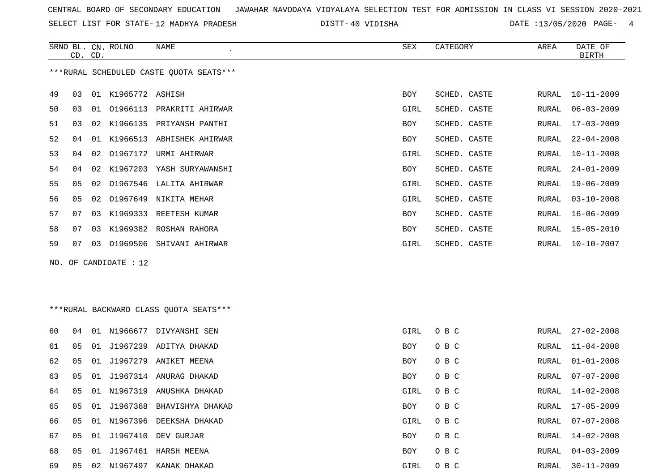SELECT LIST FOR STATE- DISTT- 12 MADHYA PRADESH

40 VIDISHA DATE :13/05/2020 PAGE- 4

|    | CD. CD. |    | SRNO BL. CN. ROLNO      | NAME                                    | SEX        | CATEGORY     | AREA          | DATE OF<br><b>BIRTH</b> |
|----|---------|----|-------------------------|-----------------------------------------|------------|--------------|---------------|-------------------------|
|    |         |    |                         | ***RURAL SCHEDULED CASTE QUOTA SEATS*** |            |              |               |                         |
| 49 | 03      |    | 01 K1965772 ASHISH      |                                         | <b>BOY</b> | SCHED. CASTE | RURAL         | $10 - 11 - 2009$        |
| 50 | 03      |    |                         | 01 01966113 PRAKRITI AHIRWAR            | GIRL       | SCHED. CASTE | RURAL         | $06 - 03 - 2009$        |
| 51 | 03      | 02 |                         | K1966135 PRIYANSH PANTHI                | BOY        | SCHED. CASTE | RURAL         | $17 - 03 - 2009$        |
| 52 | 04      |    |                         | 01 K1966513 ABHISHEK AHIRWAR            | <b>BOY</b> | SCHED. CASTE | RURAL         | $22 - 04 - 2008$        |
| 53 | 04      | 02 |                         | 01967172 URMI AHIRWAR                   | GIRL       | SCHED. CASTE | RURAL         | $10 - 11 - 2008$        |
| 54 | 04      |    |                         | 02 K1967203 YASH SURYAWANSHI            | BOY        | SCHED. CASTE | RURAL         | $24 - 01 - 2009$        |
| 55 | 05      | 02 |                         | 01967546 LALITA AHIRWAR                 | GIRL       | SCHED. CASTE | RURAL         | $19 - 06 - 2009$        |
| 56 | 05      | 02 |                         | 01967649 NIKITA MEHAR                   | GIRL       | SCHED. CASTE | RURAL         | $03 - 10 - 2008$        |
| 57 | 07      | 03 |                         | K1969333 REETESH KUMAR                  | BOY        | SCHED. CASTE | RURAL         | $16 - 06 - 2009$        |
| 58 | 07      |    |                         | 03 K1969382 ROSHAN RAHORA               | BOY        | SCHED. CASTE | RURAL         | $15 - 05 - 2010$        |
| 59 | 07 -    |    |                         | 03 01969506 SHIVANI AHIRWAR             | GIRL       | SCHED. CASTE | RURAL         | $10 - 10 - 2007$        |
|    |         |    | NO. OF CANDIDATE : $12$ |                                         |            |              |               |                         |
|    |         |    |                         |                                         |            |              |               |                         |
|    |         |    |                         | ***RURAL BACKWARD CLASS QUOTA SEATS***  |            |              |               |                         |
| 60 | 04      |    |                         | 01 N1966677 DIVYANSHI SEN               | GIRL       | O B C        | RURAL         | $27 - 02 - 2008$        |
| 61 | 05      |    |                         | 01 J1967239 ADITYA DHAKAD               | BOY        | O B C        | RURAL         | $11 - 04 - 2008$        |
| 62 | 05      |    |                         | 01 J1967279 ANIKET MEENA                | BOY        | O B C        | ${\tt RURAL}$ | $01 - 01 - 2008$        |
| 63 | 05      |    |                         | 01 J1967314 ANURAG DHAKAD               | BOY        | O B C        | RURAL         | $07 - 07 - 2008$        |
| 64 | 05      |    |                         | 01 N1967319 ANUSHKA DHAKAD              | GIRL       | O B C        | RURAL         | $14 - 02 - 2008$        |
| 65 | 05      |    |                         | 01 J1967368 BHAVISHYA DHAKAD            | BOY        | O B C        | RURAL         | $17 - 05 - 2009$        |
| 66 | 05      |    |                         | 01 N1967396 DEEKSHA DHAKAD              | GIRL       | O B C        | RURAL         | $07 - 07 - 2008$        |
| 67 | 05      |    |                         | 01 J1967410 DEV GURJAR                  | <b>BOY</b> | овс          | <b>RURAL</b>  | $14 - 02 - 2008$        |

 05 01 J1967461 HARSH MEENA BOY O B C RURAL 04-03-2009 05 02 N1967497 KANAK DHAKAD GIRL O B C RURAL 30-11-2009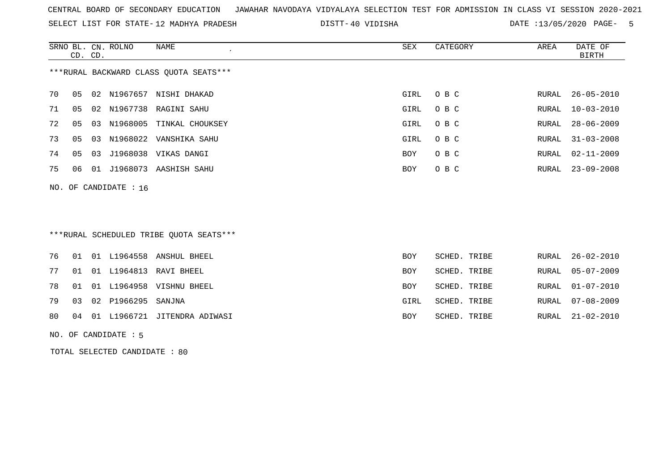SELECT LIST FOR STATE- DISTT- 12 MADHYA PRADESH

40 VIDISHA DATE :13/05/2020 PAGE- 5

|    | CD. CD.                 |    | SRNO BL. CN. ROLNO | NAME<br>$\epsilon$                     | SEX  | CATEGORY | AREA  | DATE OF<br>BIRTH |  |  |
|----|-------------------------|----|--------------------|----------------------------------------|------|----------|-------|------------------|--|--|
|    |                         |    |                    | ***RURAL BACKWARD CLASS OUOTA SEATS*** |      |          |       |                  |  |  |
| 70 | 05                      |    |                    | 02 N1967657 NISHI DHAKAD               | GIRL | O B C    | RURAL | $26 - 05 - 2010$ |  |  |
| 71 | 05                      |    |                    | 02 N1967738 RAGINI SAHU                | GIRL | O B C    | RURAL | 10-03-2010       |  |  |
| 72 | 05                      |    |                    | 03 N1968005 TINKAL CHOUKSEY            | GIRL | O B C    | RURAL | $28 - 06 - 2009$ |  |  |
| 73 | 05                      | 03 |                    | N1968022 VANSHIKA SAHU                 | GIRL | O B C    | RURAL | $31 - 03 - 2008$ |  |  |
| 74 | 05                      | 03 |                    | J1968038 VIKAS DANGI                   | BOY  | O B C    | RURAL | $02 - 11 - 2009$ |  |  |
| 75 | 06                      |    |                    | 01 J1968073 AASHISH SAHU               | BOY  | O B C    |       | RURAL 23-09-2008 |  |  |
|    | NO. OF CANDIDATE : $16$ |    |                    |                                        |      |          |       |                  |  |  |
|    |                         |    |                    |                                        |      |          |       |                  |  |  |

# \*\*\*RURAL SCHEDULED TRIBE QUOTA SEATS\*\*\*

|  |                          | 76 01 01 L1964558 ANSHUL BHEEL     | <b>BOY</b> | SCHED. TRIBE |  | RURAL 26-02-2010 |
|--|--------------------------|------------------------------------|------------|--------------|--|------------------|
|  |                          | 77 01 01 L1964813 RAVI BHEEL       | BOY        | SCHED. TRIBE |  | RURAL 05-07-2009 |
|  |                          | 78 01 01 L1964958 VISHNU BHEEL     | BOY        | SCHED. TRIBE |  | RURAL 01-07-2010 |
|  | 79 03 02 P1966295 SANJNA |                                    | GIRL       | SCHED. TRIBE |  | RURAL 07-08-2009 |
|  |                          | 80 04 01 L1966721 JITENDRA ADIWASI | BOY        | SCHED. TRIBE |  | RURAL 21-02-2010 |

#### NO. OF CANDIDATE : 5

TOTAL SELECTED CANDIDATE : 80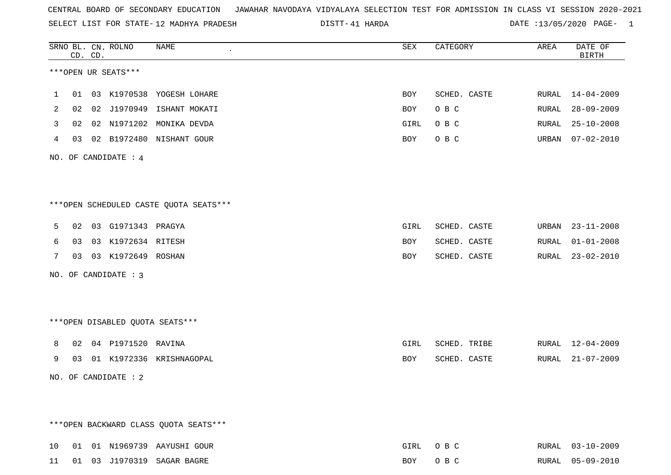SELECT LIST FOR STATE- DISTT- 12 MADHYA PRADESH

41 HARDA DATE :13/05/2020 PAGE- 1

|    |    | CD. CD. | SRNO BL. CN. ROLNO     | <b>NAME</b>                            | SEX        | CATEGORY     | AREA  | DATE OF<br><b>BIRTH</b> |
|----|----|---------|------------------------|----------------------------------------|------------|--------------|-------|-------------------------|
|    |    |         | ***OPEN UR SEATS***    |                                        |            |              |       |                         |
| 1  | 01 |         |                        | 03 K1970538 YOGESH LOHARE              | BOY        | SCHED. CASTE | RURAL | $14 - 04 - 2009$        |
| 2  | 02 |         | 02 J1970949            | ISHANT MOKATI                          | BOY        | O B C        | RURAL | $28 - 09 - 2009$        |
| 3  | 02 |         |                        | 02 N1971202 MONIKA DEVDA               | GIRL       | O B C        | RURAL | $25 - 10 - 2008$        |
| 4  | 03 |         |                        | 02 B1972480 NISHANT GOUR               | BOY        | O B C        | URBAN | $07 - 02 - 2010$        |
|    |    |         | NO. OF CANDIDATE : $4$ |                                        |            |              |       |                         |
|    |    |         |                        |                                        |            |              |       |                         |
|    |    |         |                        | ***OPEN SCHEDULED CASTE QUOTA SEATS*** |            |              |       |                         |
| 5  | 02 |         | 03 G1971343 PRAGYA     |                                        | GIRL       | SCHED. CASTE | URBAN | $23 - 11 - 2008$        |
| 6  | 03 |         | 03 K1972634 RITESH     |                                        | BOY        | SCHED. CASTE | RURAL | $01 - 01 - 2008$        |
| 7  | 03 |         | 03 K1972649 ROSHAN     |                                        | <b>BOY</b> | SCHED. CASTE | RURAL | $23 - 02 - 2010$        |
|    |    |         | NO. OF CANDIDATE : 3   |                                        |            |              |       |                         |
|    |    |         |                        |                                        |            |              |       |                         |
|    |    |         |                        | ***OPEN DISABLED QUOTA SEATS***        |            |              |       |                         |
| 8  | 02 |         | 04 P1971520 RAVINA     |                                        | GIRL       | SCHED. TRIBE | RURAL | 12-04-2009              |
| 9  | 03 |         |                        | 01 K1972336 KRISHNAGOPAL               | BOY        | SCHED. CASTE | RURAL | $21 - 07 - 2009$        |
|    |    |         | NO. OF CANDIDATE : 2   |                                        |            |              |       |                         |
|    |    |         |                        |                                        |            |              |       |                         |
|    |    |         |                        | *** OPEN BACKWARD CLASS QUOTA SEATS*** |            |              |       |                         |
| 10 |    |         |                        | 01  01  N1969739  AAYUSHI  GOUR        | GIRL       | O B C        |       | RURAL 03-10-2009        |
| 11 |    |         |                        | 01 03 J1970319 SAGAR BAGRE             | BOY        | O B C        |       | RURAL 05-09-2010        |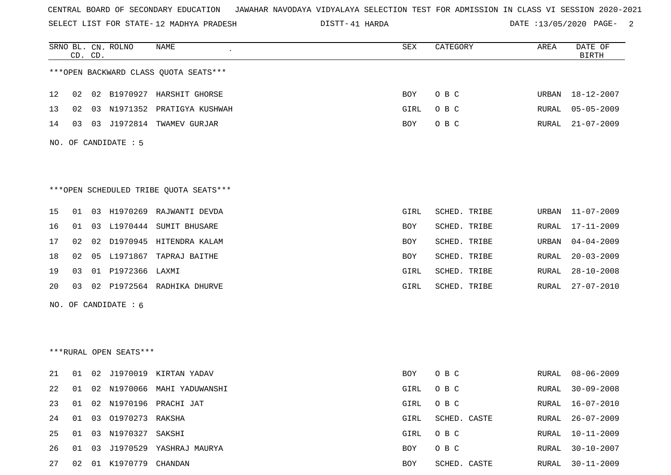SELECT LIST FOR STATE- DISTT- 12 MADHYA PRADESH

41 HARDA DATE :13/05/2020 PAGE- 2

|    | CD. CD. |    | SRNO BL. CN. ROLNO     | <b>NAME</b>                             | SEX  | CATEGORY     | AREA  | DATE OF<br><b>BIRTH</b> |
|----|---------|----|------------------------|-----------------------------------------|------|--------------|-------|-------------------------|
|    |         |    |                        | *** OPEN BACKWARD CLASS QUOTA SEATS***  |      |              |       |                         |
| 12 | 02      |    |                        | 02 B1970927 HARSHIT GHORSE              | BOY  | O B C        | URBAN | 18-12-2007              |
| 13 | 02      |    |                        | 03 N1971352 PRATIGYA KUSHWAH            | GIRL | O B C        | RURAL | $05 - 05 - 2009$        |
| 14 | 03      |    |                        | 03 J1972814 TWAMEV GURJAR               | BOY  | O B C        | RURAL | $21 - 07 - 2009$        |
|    |         |    | NO. OF CANDIDATE : 5   |                                         |      |              |       |                         |
|    |         |    |                        | *** OPEN SCHEDULED TRIBE QUOTA SEATS*** |      |              |       |                         |
| 15 | 01      |    |                        | 03 H1970269 RAJWANTI DEVDA              | GIRL | SCHED. TRIBE | URBAN | $11 - 07 - 2009$        |
| 16 | 01      |    |                        | 03 L1970444 SUMIT BHUSARE               | BOY  | SCHED. TRIBE | RURAL | 17-11-2009              |
| 17 | 02      | 02 |                        | D1970945 HITENDRA KALAM                 | BOY  | SCHED. TRIBE | URBAN | $04 - 04 - 2009$        |
| 18 | 02      |    |                        | 05 L1971867 TAPRAJ BAITHE               | BOY  | SCHED. TRIBE | RURAL | $20 - 03 - 2009$        |
| 19 | 03      |    | 01 P1972366 LAXMI      |                                         | GIRL | SCHED. TRIBE | RURAL | $28 - 10 - 2008$        |
| 20 | 03      |    |                        | 02 P1972564 RADHIKA DHURVE              | GIRL | SCHED. TRIBE | RURAL | $27 - 07 - 2010$        |
|    |         |    | NO. OF CANDIDATE : 6   |                                         |      |              |       |                         |
|    |         |    | ***RURAL OPEN SEATS*** |                                         |      |              |       |                         |
| 21 | 01      |    |                        | 02 J1970019 KIRTAN YADAV                | BOY  | O B C        | RURAL | $08 - 06 - 2009$        |
| 22 | 01      |    |                        | 02 N1970066 MAHI YADUWANSHI             | GIRL | O B C        | RURAL | $30 - 09 - 2008$        |
| 23 | 01      |    |                        | 02 N1970196 PRACHI JAT                  | GIRL | O B C        |       | RURAL 16-07-2010        |
| 24 | 01      |    | 03 01970273 RAKSHA     |                                         | GIRL | SCHED. CASTE | RURAL | $26 - 07 - 2009$        |
| 25 | 01      |    | 03 N1970327 SAKSHI     |                                         | GIRL | O B C        | RURAL | $10 - 11 - 2009$        |
| 26 | 01      |    |                        | 03 J1970529 YASHRAJ MAURYA              | BOY  | O B C        | RURAL | $30 - 10 - 2007$        |
| 27 |         |    | 02 01 K1970779 CHANDAN |                                         | BOY  | SCHED. CASTE | RURAL | $30 - 11 - 2009$        |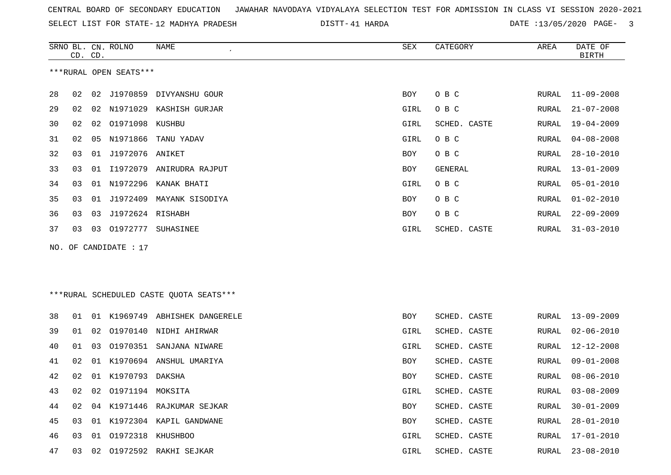|  |  |  |  |  | CENTRAL BOARD OF SECONDARY EDUCATION – JAWAHAR NAVODAYA VIDYALAYA SELECTION TEST FOR ADMISSION IN CLASS VI SESSION 2020-2021 |  |  |  |  |  |  |  |  |  |  |  |  |  |
|--|--|--|--|--|------------------------------------------------------------------------------------------------------------------------------|--|--|--|--|--|--|--|--|--|--|--|--|--|
|--|--|--|--|--|------------------------------------------------------------------------------------------------------------------------------|--|--|--|--|--|--|--|--|--|--|--|--|--|

SELECT LIST FOR STATE-12 MADHYA PRADESH

12 MADHYA PRADESH 41 HARDA DATE :13/05/2020 PAGE- 3

|    | CD. CD. |    | SRNO BL. CN. ROLNO     | NAME                       | SEX        | CATEGORY     | AREA  | DATE OF<br><b>BIRTH</b> |
|----|---------|----|------------------------|----------------------------|------------|--------------|-------|-------------------------|
|    |         |    | ***RURAL OPEN SEATS*** |                            |            |              |       |                         |
| 28 | 02      |    |                        | 02 J1970859 DIVYANSHU GOUR | BOY        | O B C        | RURAL | $11 - 09 - 2008$        |
| 29 | 02      | 02 |                        | N1971029 KASHISH GURJAR    | GIRL       | O B C        | RURAL | $21 - 07 - 2008$        |
| 30 | 02      |    | 02 01971098 KUSHBU     |                            | GIRL       | SCHED. CASTE | RURAL | 19-04-2009              |
| 31 | 02      | 05 | N1971866               | TANU YADAV                 | GIRL       | O B C        | RURAL | $04 - 08 - 2008$        |
| 32 | 03      |    | 01 J1972076 ANIKET     |                            | BOY        | O B C        | RURAL | $28 - 10 - 2010$        |
| 33 | 03      | 01 |                        | I1972079 ANIRUDRA RAJPUT   | <b>BOY</b> | GENERAL      | RURAL | $13 - 01 - 2009$        |
| 34 | 03      | 01 | N1972296               | KANAK BHATI                | GIRL       | O B C        | RURAL | $05 - 01 - 2010$        |
| 35 | 03      | 01 |                        | J1972409 MAYANK SISODIYA   | BOY        | O B C        | RURAL | $01 - 02 - 2010$        |
| 36 | 03      | 03 | J1972624 RISHABH       |                            | BOY        | O B C        | RURAL | $22 - 09 - 2009$        |
| 37 | 03      | 03 | 01972777               | SUHASINEE                  | GIRL       | SCHED. CASTE | RURAL | $31 - 03 - 2010$        |
|    |         |    | NO. OF CANDIDATE : 17  |                            |            |              |       |                         |

\*\*\*RURAL SCHEDULED CASTE QUOTA SEATS\*\*\*

| 38 | 01    | O 1 | K1969749            | ABHISHEK DANGERELE          | <b>BOY</b> | SCHED. CASTE | RURAL | $13 - 09 - 2009$ |
|----|-------|-----|---------------------|-----------------------------|------------|--------------|-------|------------------|
| 39 | . N 1 |     |                     | 02 01970140 NIDHI AHIRWAR   | GIRL       | SCHED. CASTE | RURAL | $02 - 06 - 2010$ |
| 40 | O 1   | 03  |                     | 01970351 SANJANA NIWARE     | GIRL       | SCHED. CASTE | RURAL | 12-12-2008       |
| 41 | O 2.  |     |                     | 01 K1970694 ANSHUL UMARIYA  | <b>BOY</b> | SCHED. CASTE | RURAL | 09-01-2008       |
| 42 | O 2.  |     | 01 K1970793 DAKSHA  |                             | <b>BOY</b> | SCHED. CASTE | RURAL | $08 - 06 - 2010$ |
| 43 | 02    |     | 02 01971194 MOKSITA |                             | GIRL       | SCHED. CASTE | RURAL | $03 - 08 - 2009$ |
| 44 | 02    |     |                     | 04 K1971446 RAJKUMAR SEJKAR | <b>BOY</b> | SCHED. CASTE | RURAL | $30 - 01 - 2009$ |
| 45 | 03    |     |                     | 01 K1972304 KAPIL GANDWANE  | <b>BOY</b> | SCHED. CASTE | RURAL | $28 - 01 - 2010$ |
| 46 | 03    |     | 01 01972318         | KHUSHBOO                    | GIRL       | SCHED. CASTE | RURAL | 17-01-2010       |
| 47 | 03    |     | 02 01972592         | RAKHI SEJKAR                | GIRL       | SCHED. CASTE | RURAL | $23 - 08 - 2010$ |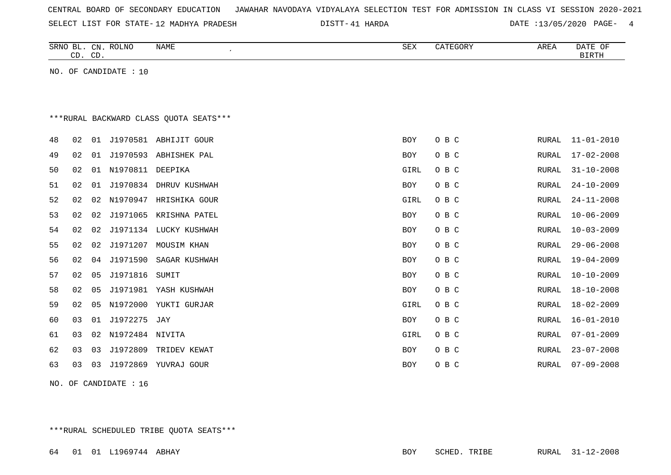| CENTRAL BOARD OF SECONDARY EDUCATION – JAWAHAR NAVODAYA VIDYALAYA SELECTION TEST FOR ADMISSION IN CLASS VI SESSION 2020-2021 |  |  |  |  |
|------------------------------------------------------------------------------------------------------------------------------|--|--|--|--|
|------------------------------------------------------------------------------------------------------------------------------|--|--|--|--|

SELECT LIST FOR STATE- DISTT- 12 MADHYA PRADESH

DISTT-41 HARDA **DATE** :13/05/2020 PAGE- 4

|    | CD. CD. |    | SRNO BL. CN. ROLNO    | <b>NAME</b><br>$\epsilon$              | SEX        | CATEGORY | AREA         | DATE OF<br><b>BIRTH</b> |
|----|---------|----|-----------------------|----------------------------------------|------------|----------|--------------|-------------------------|
|    |         |    | NO. OF CANDIDATE : 10 |                                        |            |          |              |                         |
|    |         |    |                       |                                        |            |          |              |                         |
|    |         |    |                       |                                        |            |          |              |                         |
|    |         |    |                       | ***RURAL BACKWARD CLASS OUOTA SEATS*** |            |          |              |                         |
|    |         |    |                       |                                        |            |          |              |                         |
| 48 | 02      |    |                       | 01 J1970581 ABHIJIT GOUR               | <b>BOY</b> | O B C    | RURAL        | $11 - 01 - 2010$        |
| 49 | 02      | 01 | J1970593              | ABHISHEK PAL                           | BOY        | O B C    | RURAL        | $17 - 02 - 2008$        |
| 50 | 02      | 01 | N1970811              | DEEPIKA                                | GIRL       | O B C    | RURAL        | $31 - 10 - 2008$        |
| 51 | 02      |    |                       | 01 J1970834 DHRUV KUSHWAH              | <b>BOY</b> | O B C    | <b>RURAL</b> | $24 - 10 - 2009$        |
| 52 | 02      | 02 | N1970947              | HRISHIKA GOUR                          | GIRL       | O B C    | RURAL        | $24 - 11 - 2008$        |
| 53 | 02      | 02 | J1971065              | KRISHNA PATEL                          | <b>BOY</b> | O B C    | RURAL        | $10 - 06 - 2009$        |
| 54 | 02      | 02 |                       | J1971134 LUCKY KUSHWAH                 | BOY        | O B C    | RURAL        | $10 - 03 - 2009$        |
| 55 | 02      | 02 | J1971207              | MOUSIM KHAN                            | <b>BOY</b> | O B C    | RURAL        | $29 - 06 - 2008$        |
| 56 | 02      | 04 | J1971590              | SAGAR KUSHWAH                          | BOY        | O B C    | RURAL        | $19 - 04 - 2009$        |
| 57 | 02      | 05 | J1971816              | SUMIT                                  | <b>BOY</b> | O B C    | RURAL        | $10 - 10 - 2009$        |
| 58 | 02      | 05 |                       | J1971981 YASH KUSHWAH                  | BOY        | O B C    | RURAL        | $18 - 10 - 2008$        |
| 59 | 02      | 05 | N1972000              | YUKTI GURJAR                           | GIRL       | O B C    | RURAL        | $18 - 02 - 2009$        |
| 60 | 03      | 01 | J1972275              | JAY                                    | BOY        | O B C    | RURAL        | $16 - 01 - 2010$        |
| 61 | 03      | 02 | N1972484 NIVITA       |                                        | GIRL       | O B C    | RURAL        | $07 - 01 - 2009$        |
| 62 | 03      | 03 | J1972809              | TRIDEV KEWAT                           | <b>BOY</b> | O B C    | RURAL        | $23 - 07 - 2008$        |
| 63 | 03      | 03 | J1972869              | YUVRAJ GOUR                            | <b>BOY</b> | O B C    | <b>RURAL</b> | $07 - 09 - 2008$        |
|    |         |    |                       |                                        |            |          |              |                         |

NO. OF CANDIDATE : 16

\*\*\*RURAL SCHEDULED TRIBE QUOTA SEATS\*\*\*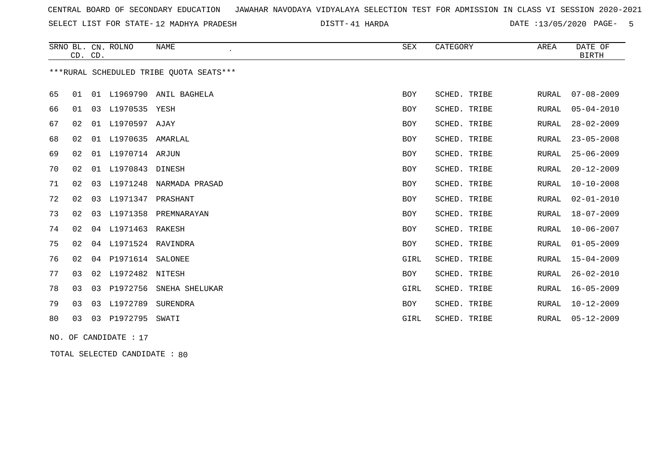SELECT LIST FOR STATE- DISTT- 12 MADHYA PRADESH

41 HARDA DATE :13/05/2020 PAGE- 5

|    | CD. CD. |    | SRNO BL. CN. ROLNO  | <b>NAME</b>                              | SEX        | CATEGORY     | AREA         | DATE OF<br><b>BIRTH</b> |
|----|---------|----|---------------------|------------------------------------------|------------|--------------|--------------|-------------------------|
|    |         |    |                     | *** RURAL SCHEDULED TRIBE QUOTA SEATS*** |            |              |              |                         |
| 65 | 01      |    |                     | 01 L1969790 ANIL BAGHELA                 | <b>BOY</b> | SCHED. TRIBE | RURAL        | $07 - 08 - 2009$        |
| 66 | 01      | 03 | L1970535 YESH       |                                          | BOY        | SCHED. TRIBE | RURAL        | $05 - 04 - 2010$        |
| 67 | 02      |    | 01 L1970597 AJAY    |                                          | BOY        | SCHED. TRIBE | <b>RURAL</b> | $28 - 02 - 2009$        |
| 68 | 02      |    | 01 L1970635 AMARLAL |                                          | BOY        | SCHED. TRIBE | <b>RURAL</b> | $23 - 05 - 2008$        |
| 69 | 02      |    | 01 L1970714 ARJUN   |                                          | <b>BOY</b> | SCHED. TRIBE | <b>RURAL</b> | $25 - 06 - 2009$        |
| 70 | 02      |    | 01 L1970843 DINESH  |                                          | BOY        | SCHED. TRIBE | <b>RURAL</b> | $20 - 12 - 2009$        |
| 71 | 02      | 03 | L1971248            | NARMADA PRASAD                           | BOY        | SCHED. TRIBE | <b>RURAL</b> | $10 - 10 - 2008$        |
| 72 | 02      | 03 | L1971347            | PRASHANT                                 | <b>BOY</b> | SCHED. TRIBE | <b>RURAL</b> | $02 - 01 - 2010$        |
| 73 | 02      | 03 | L1971358            | PREMNARAYAN                              | <b>BOY</b> | SCHED. TRIBE | <b>RURAL</b> | $18 - 07 - 2009$        |
| 74 | 02      |    | 04 L1971463         | RAKESH                                   | <b>BOY</b> | SCHED. TRIBE | <b>RURAL</b> | $10 - 06 - 2007$        |
| 75 | 02      | 04 | L1971524 RAVINDRA   |                                          | <b>BOY</b> | SCHED. TRIBE | <b>RURAL</b> | $01 - 05 - 2009$        |
| 76 | 02      |    | 04 P1971614         | SALONEE                                  | GIRL       | SCHED. TRIBE | <b>RURAL</b> | $15 - 04 - 2009$        |
| 77 | 03      | 02 | L1972482            | NITESH                                   | BOY        | SCHED. TRIBE | <b>RURAL</b> | $26 - 02 - 2010$        |
| 78 | 03      |    | 03 P1972756         | SNEHA SHELUKAR                           | GIRL       | SCHED. TRIBE | <b>RURAL</b> | $16 - 05 - 2009$        |
| 79 | 03      |    | 03 L1972789         | SURENDRA                                 | <b>BOY</b> | SCHED. TRIBE | <b>RURAL</b> | $10 - 12 - 2009$        |
| 80 | 03      |    | 03 P1972795         | SWATI                                    | GIRL       | SCHED. TRIBE | RURAL        | $05 - 12 - 2009$        |
|    |         |    |                     |                                          |            |              |              |                         |

NO. OF CANDIDATE : 17

TOTAL SELECTED CANDIDATE : 80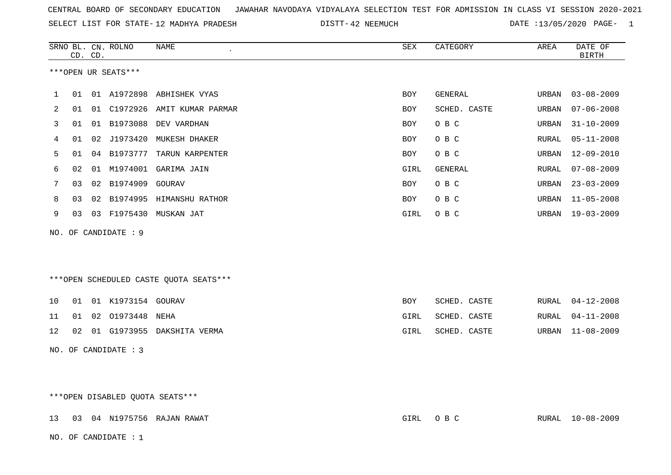SELECT LIST FOR STATE- DISTT- 12 MADHYA PRADESH

DISTT-42 NEEMUCH DATE :13/05/2020 PAGE- 1

|    |    | CD. CD. | SRNO BL. CN. ROLNO   | <b>NAME</b><br>$\cdot$                 | ${\tt SEX}$ | CATEGORY     | AREA  | DATE OF<br><b>BIRTH</b> |
|----|----|---------|----------------------|----------------------------------------|-------------|--------------|-------|-------------------------|
|    |    |         | ***OPEN UR SEATS***  |                                        |             |              |       |                         |
| 1  |    |         |                      | 01 01 A1972898 ABHISHEK VYAS           | <b>BOY</b>  | GENERAL      | URBAN | $03 - 08 - 2009$        |
| 2  | 01 | 01      |                      | C1972926 AMIT KUMAR PARMAR             | BOY         | SCHED. CASTE | URBAN | $07 - 06 - 2008$        |
| 3  | 01 | 01      | B1973088             | DEV VARDHAN                            | BOY         | O B C        | URBAN | $31 - 10 - 2009$        |
| 4  | 01 | 02      | J1973420             | MUKESH DHAKER                          | <b>BOY</b>  | O B C        | RURAL | $05 - 11 - 2008$        |
| 5  | 01 | 04      | B1973777             | TARUN KARPENTER                        | BOY         | O B C        | URBAN | $12 - 09 - 2010$        |
| 6  | 02 | 01      | M1974001             | GARIMA JAIN                            | GIRL        | GENERAL      | RURAL | $07 - 08 - 2009$        |
| 7  | 03 | 02      | B1974909             | GOURAV                                 | BOY         | O B C        | URBAN | $23 - 03 - 2009$        |
| 8  | 03 | 02      |                      | B1974995 HIMANSHU RATHOR               | BOY         | O B C        | URBAN | $11 - 05 - 2008$        |
| 9  | 03 |         | 03 F1975430          | MUSKAN JAT                             | GIRL        | O B C        | URBAN | 19-03-2009              |
|    |    |         | NO. OF CANDIDATE : 9 |                                        |             |              |       |                         |
|    |    |         |                      |                                        |             |              |       |                         |
|    |    |         |                      |                                        |             |              |       |                         |
|    |    |         |                      | ***OPEN SCHEDULED CASTE QUOTA SEATS*** |             |              |       |                         |
| 10 | 01 |         | 01 K1973154 GOURAV   |                                        | BOY         | SCHED. CASTE | RURAL | $04 - 12 - 2008$        |
| 11 | 01 | 02      | 01973448 NEHA        |                                        | GIRL        | SCHED. CASTE | RURAL | $04 - 11 - 2008$        |
| 12 | 02 |         |                      | 01 G1973955 DAKSHITA VERMA             | GIRL        | SCHED. CASTE |       | URBAN 11-08-2009        |
|    |    |         | NO. OF CANDIDATE : 3 |                                        |             |              |       |                         |
|    |    |         |                      |                                        |             |              |       |                         |
|    |    |         |                      |                                        |             |              |       |                         |

| ***OPEN DISABLED OUOTA SEATS*** |  |  |
|---------------------------------|--|--|
|---------------------------------|--|--|

| 13 03 04 N1975756 RAJAN RAWAT | GIRL OBC | RURAL 10-08-2009 |
|-------------------------------|----------|------------------|
| NO. OF CANDIDATE: 1           |          |                  |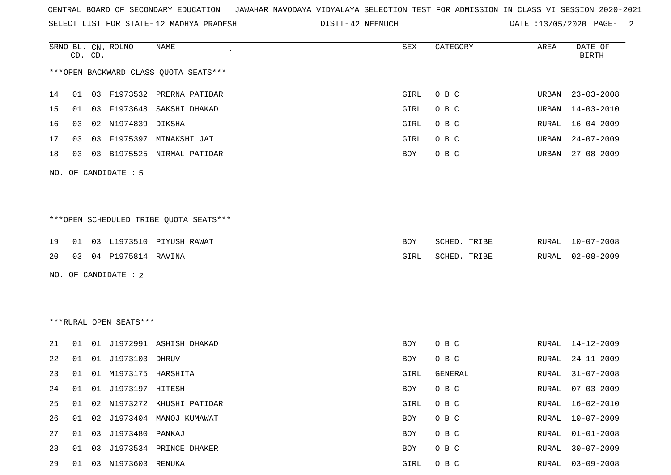SELECT LIST FOR STATE- DISTT- 12 MADHYA PRADESH

DISTT-42 NEEMUCH DATE :13/05/2020 PAGE- 2

|    |    | CD. CD. | SRNO BL. CN. ROLNO     | NAME                                    | SEX  | CATEGORY     | AREA         | DATE OF<br><b>BIRTH</b> |
|----|----|---------|------------------------|-----------------------------------------|------|--------------|--------------|-------------------------|
|    |    |         |                        | *** OPEN BACKWARD CLASS QUOTA SEATS***  |      |              |              |                         |
| 14 | 01 |         |                        | 03 F1973532 PRERNA PATIDAR              | GIRL | O B C        | URBAN        | $23 - 03 - 2008$        |
| 15 | 01 | 03      |                        | F1973648 SAKSHI DHAKAD                  | GIRL | O B C        | URBAN        | $14 - 03 - 2010$        |
| 16 | 03 | 02      | N1974839               | DIKSHA                                  | GIRL | O B C        | RURAL        | $16 - 04 - 2009$        |
| 17 | 03 | 03      |                        | F1975397 MINAKSHI JAT                   | GIRL | O B C        | URBAN        | $24 - 07 - 2009$        |
| 18 | 03 |         |                        | 03 B1975525 NIRMAL PATIDAR              | BOY  | O B C        | URBAN        | $27 - 08 - 2009$        |
|    |    |         | NO. OF CANDIDATE : 5   |                                         |      |              |              |                         |
|    |    |         |                        |                                         |      |              |              |                         |
|    |    |         |                        |                                         |      |              |              |                         |
|    |    |         |                        | *** OPEN SCHEDULED TRIBE QUOTA SEATS*** |      |              |              |                         |
| 19 | 01 |         |                        | 03 L1973510 PIYUSH RAWAT                | BOY  | SCHED. TRIBE | RURAL        | $10 - 07 - 2008$        |
| 20 | 03 |         | 04 P1975814 RAVINA     |                                         | GIRL | SCHED. TRIBE | RURAL        | $02 - 08 - 2009$        |
|    |    |         | NO. OF CANDIDATE : 2   |                                         |      |              |              |                         |
|    |    |         |                        |                                         |      |              |              |                         |
|    |    |         |                        |                                         |      |              |              |                         |
|    |    |         | ***RURAL OPEN SEATS*** |                                         |      |              |              |                         |
| 21 | 01 |         |                        | 01 J1972991 ASHISH DHAKAD               | BOY  | O B C        | RURAL        | 14-12-2009              |
| 22 | 01 | 01      | J1973103               | DHRUV                                   | BOY  | O B C        | RURAL        | $24 - 11 - 2009$        |
| 23 | 01 |         | 01 M1973175 HARSHITA   |                                         | GIRL | GENERAL      | RURAL        | $31 - 07 - 2008$        |
| 24 | 01 |         | 01 J1973197 HITESH     |                                         | BOY  | O B C        | RURAL        | $07 - 03 - 2009$        |
| 25 | 01 |         |                        | 02 N1973272 KHUSHI PATIDAR              | GIRL | O B C        | <b>RURAL</b> | $16 - 02 - 2010$        |
| 26 | 01 | 02      |                        | J1973404 MANOJ KUMAWAT                  | BOY  | O B C        | RURAL        | $10 - 07 - 2009$        |
| 27 | 01 | 03      | J1973480 PANKAJ        |                                         | BOY  | O B C        | RURAL        | $01 - 01 - 2008$        |
| 28 | 01 | 03      |                        | J1973534 PRINCE DHAKER                  | BOY  | O B C        | RURAL        | $30 - 07 - 2009$        |
| 29 | 01 |         | 03 N1973603 RENUKA     |                                         | GIRL | O B C        | RURAL        | $03 - 09 - 2008$        |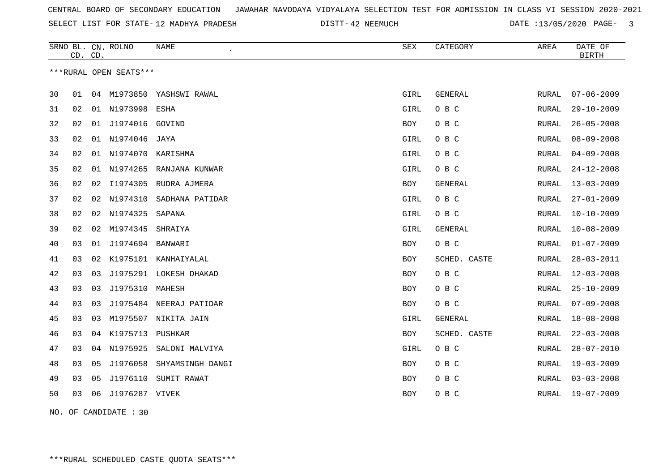SELECT LIST FOR STATE- DISTT- 12 MADHYA PRADESH

DISTT-42 NEEMUCH DATE :13/05/2020 PAGE- 3

| ***RURAL OPEN SEATS***<br>30<br>04 M1973850 YASHSWI RAWAL<br>GIRL<br><b>GENERAL</b><br><b>RURAL</b><br>01<br>O B C<br>31<br>01 N1973998<br>GIRL<br>02<br>ESHA<br>RURAL<br>32<br>J1974016 GOVIND<br>O B C<br>02<br>01<br>BOY<br>RURAL<br>01 N1974046<br>33<br>02<br>GIRL<br>O B C<br><b>RURAL</b><br>JAYA<br>34<br>02<br>01 N1974070 KARISHMA<br>O B C<br>GIRL<br>RURAL<br>01 N1974265<br>35<br>02<br>RANJANA KUNWAR<br>GIRL<br>O B C<br>RURAL<br>36<br>02<br>02<br>I1974305<br>RUDRA AJMERA<br><b>BOY</b><br>GENERAL<br>RURAL<br>O B C<br>37<br>N1974310<br>SADHANA PATIDAR<br>GIRL<br>02<br>02<br>RURAL |    | CD. | CD. | SRNO BL. CN. ROLNO | NAME   | <b>SEX</b> | CATEGORY | AREA  | DATE OF<br><b>BIRTH</b> |
|----------------------------------------------------------------------------------------------------------------------------------------------------------------------------------------------------------------------------------------------------------------------------------------------------------------------------------------------------------------------------------------------------------------------------------------------------------------------------------------------------------------------------------------------------------------------------------------------------------|----|-----|-----|--------------------|--------|------------|----------|-------|-------------------------|
|                                                                                                                                                                                                                                                                                                                                                                                                                                                                                                                                                                                                          |    |     |     |                    |        |            |          |       |                         |
|                                                                                                                                                                                                                                                                                                                                                                                                                                                                                                                                                                                                          |    |     |     |                    |        |            |          |       | $07 - 06 - 2009$        |
|                                                                                                                                                                                                                                                                                                                                                                                                                                                                                                                                                                                                          |    |     |     |                    |        |            |          |       | $29 - 10 - 2009$        |
|                                                                                                                                                                                                                                                                                                                                                                                                                                                                                                                                                                                                          |    |     |     |                    |        |            |          |       | $26 - 05 - 2008$        |
|                                                                                                                                                                                                                                                                                                                                                                                                                                                                                                                                                                                                          |    |     |     |                    |        |            |          |       | $08 - 09 - 2008$        |
|                                                                                                                                                                                                                                                                                                                                                                                                                                                                                                                                                                                                          |    |     |     |                    |        |            |          |       | $04 - 09 - 2008$        |
|                                                                                                                                                                                                                                                                                                                                                                                                                                                                                                                                                                                                          |    |     |     |                    |        |            |          |       | $24 - 12 - 2008$        |
|                                                                                                                                                                                                                                                                                                                                                                                                                                                                                                                                                                                                          |    |     |     |                    |        |            |          |       | $13 - 03 - 2009$        |
|                                                                                                                                                                                                                                                                                                                                                                                                                                                                                                                                                                                                          |    |     |     |                    |        |            |          |       | $27 - 01 - 2009$        |
|                                                                                                                                                                                                                                                                                                                                                                                                                                                                                                                                                                                                          | 38 | 02  | 02  | N1974325           | SAPANA | GIRL       | O B C    | RURAL | $10 - 10 - 2009$        |
| 39<br>02<br>M1974345<br>GIRL<br>GENERAL<br>02<br>SHRAIYA<br>RURAL                                                                                                                                                                                                                                                                                                                                                                                                                                                                                                                                        |    |     |     |                    |        |            |          |       | $10 - 08 - 2009$        |
| J1974694 BANWARI<br>O B C<br>03<br>01<br>40<br>BOY<br>RURAL                                                                                                                                                                                                                                                                                                                                                                                                                                                                                                                                              |    |     |     |                    |        |            |          |       | $01 - 07 - 2009$        |
| K1975101 KANHAIYALAL<br>41<br>03<br>02<br>BOY<br>SCHED. CASTE<br>RURAL                                                                                                                                                                                                                                                                                                                                                                                                                                                                                                                                   |    |     |     |                    |        |            |          |       | $28 - 03 - 2011$        |
| J1975291 LOKESH DHAKAD<br>O B C<br>42<br>03<br>03<br><b>RURAL</b><br>BOY                                                                                                                                                                                                                                                                                                                                                                                                                                                                                                                                 |    |     |     |                    |        |            |          |       | $12 - 03 - 2008$        |
| J1975310 MAHESH<br>43<br>03<br>O B C<br>03<br>BOY<br>RURAL                                                                                                                                                                                                                                                                                                                                                                                                                                                                                                                                               |    |     |     |                    |        |            |          |       | $25 - 10 - 2009$        |
| 03<br>J1975484 NEERAJ PATIDAR<br>O B C<br>44<br>03<br>BOY<br>RURAL                                                                                                                                                                                                                                                                                                                                                                                                                                                                                                                                       |    |     |     |                    |        |            |          |       | $07 - 09 - 2008$        |
| M1975507 NIKITA JAIN<br>45<br>03<br>GIRL<br>GENERAL<br>03<br>RURAL                                                                                                                                                                                                                                                                                                                                                                                                                                                                                                                                       |    |     |     |                    |        |            |          |       | $18 - 08 - 2008$        |
| 46<br>04 K1975713 PUSHKAR<br>03<br><b>BOY</b><br>SCHED. CASTE<br>RURAL                                                                                                                                                                                                                                                                                                                                                                                                                                                                                                                                   |    |     |     |                    |        |            |          |       | $22 - 03 - 2008$        |
| 47<br>03<br>04 N1975925<br>O B C<br>SALONI MALVIYA<br>GIRL<br>RURAL                                                                                                                                                                                                                                                                                                                                                                                                                                                                                                                                      |    |     |     |                    |        |            |          |       | $28 - 07 - 2010$        |
| 48<br>J1976058<br>O B C<br>03<br>SHYAMSINGH DANGI<br>05<br>BOY<br>RURAL                                                                                                                                                                                                                                                                                                                                                                                                                                                                                                                                  |    |     |     |                    |        |            |          |       | $19 - 03 - 2009$        |
| 03<br>J1976110<br>SUMIT RAWAT<br>O B C<br>49<br>05<br>BOY<br>RURAL                                                                                                                                                                                                                                                                                                                                                                                                                                                                                                                                       |    |     |     |                    |        |            |          |       | $03 - 03 - 2008$        |
| 50<br>J1976287 VIVEK<br>O B C<br>03<br>06<br>BOY<br>RURAL                                                                                                                                                                                                                                                                                                                                                                                                                                                                                                                                                |    |     |     |                    |        |            |          |       | 19-07-2009              |

NO. OF CANDIDATE : 30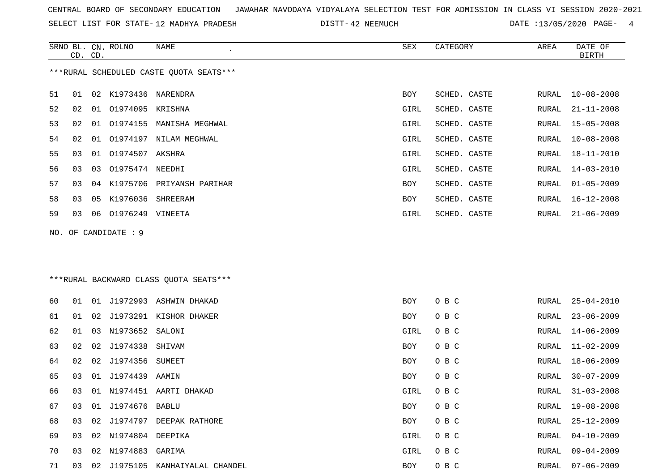SRNO BL. CN. ROLNO NAME SEX CATEGORY AREA DATE OF

SELECT LIST FOR STATE- DISTT- 12 MADHYA PRADESH

DISTT-42 NEEMUCH DATE :13/05/2020 PAGE- 4

|    | CD. CD. |    |                     |                                         |      |              |       | <b>BIRTH</b>     |
|----|---------|----|---------------------|-----------------------------------------|------|--------------|-------|------------------|
|    |         |    |                     | ***RURAL SCHEDULED CASTE QUOTA SEATS*** |      |              |       |                  |
| 51 | 01      | 02 | K1973436 NARENDRA   |                                         | BOY  | SCHED. CASTE | RURAL | $10 - 08 - 2008$ |
| 52 | 02      | 01 | 01974095            | KRISHNA                                 | GIRL | SCHED. CASTE | RURAL | $21 - 11 - 2008$ |
| 53 | 02      | 01 |                     | 01974155 MANISHA MEGHWAL                | GIRL | SCHED. CASTE | RURAL | $15 - 05 - 2008$ |
| 54 | 02      | 01 |                     | 01974197 NILAM MEGHWAL                  | GIRL | SCHED. CASTE | RURAL | $10 - 08 - 2008$ |
| 55 | 03      | 01 | 01974507 AKSHRA     |                                         | GIRL | SCHED. CASTE | RURAL | 18-11-2010       |
| 56 | 03      | 03 | 01975474 NEEDHI     |                                         | GIRL | SCHED. CASTE | RURAL | $14 - 03 - 2010$ |
| 57 | 03      | 04 | K1975706            | PRIYANSH PARIHAR                        | BOY  | SCHED. CASTE | RURAL | $01 - 05 - 2009$ |
| 58 | 03      | 05 | K1976036            | SHREERAM                                | BOY  | SCHED. CASTE | RURAL | $16 - 12 - 2008$ |
| 59 | 03      | 06 | 01976249 VINEETA    |                                         | GIRL | SCHED. CASTE | RURAL | $21 - 06 - 2009$ |
|    |         |    | NO. OF CANDIDATE: 9 |                                         |      |              |       |                  |
|    |         |    |                     |                                         |      |              |       |                  |
|    |         |    |                     | ***RURAL BACKWARD CLASS QUOTA SEATS***  |      |              |       |                  |
| 60 | 01      |    |                     | 01 J1972993 ASHWIN DHAKAD               | BOY  | O B C        | RURAL | $25 - 04 - 2010$ |
| 61 | 01      | 02 |                     | J1973291 KISHOR DHAKER                  | BOY  | O B C        | RURAL | $23 - 06 - 2009$ |
| 62 | 01      | 03 | N1973652            | SALONI                                  | GIRL | O B C        | RURAL | $14 - 06 - 2009$ |
| 63 | 02      | 02 | J1974338            | SHIVAM                                  | BOY  | O B C        | RURAL | $11 - 02 - 2009$ |
| 64 | 02      | 02 | J1974356            | SUMEET                                  | BOY  | O B C        | RURAL | $18 - 06 - 2009$ |
| 65 | 03      | 01 | J1974439            | AAMIN                                   | BOY  | O B C        | RURAL | $30 - 07 - 2009$ |
| 66 | 03      | 01 |                     | N1974451 AARTI DHAKAD                   | GIRL | O B C        | RURAL | $31 - 03 - 2008$ |
| 67 | 03      |    | 01 J1974676         | BABLU                                   | BOY  | O B C        | RURAL | $19 - 08 - 2008$ |
| 68 |         |    |                     | 03 02 J1974797 DEEPAK RATHORE           | BOY  | O B C        | RURAL | 25-12-2009       |
| 69 | 03      |    | 02 N1974804 DEEPIKA |                                         | GIRL | O B C        | RURAL | $04 - 10 - 2009$ |
| 70 | 03      |    | 02 N1974883         | GARIMA                                  | GIRL | O B C        | RURAL | $09 - 04 - 2009$ |
| 71 | 03      |    |                     | 02 J1975105 KANHAIYALAL CHANDEL         | BOY  | O B C        | RURAL | $07 - 06 - 2009$ |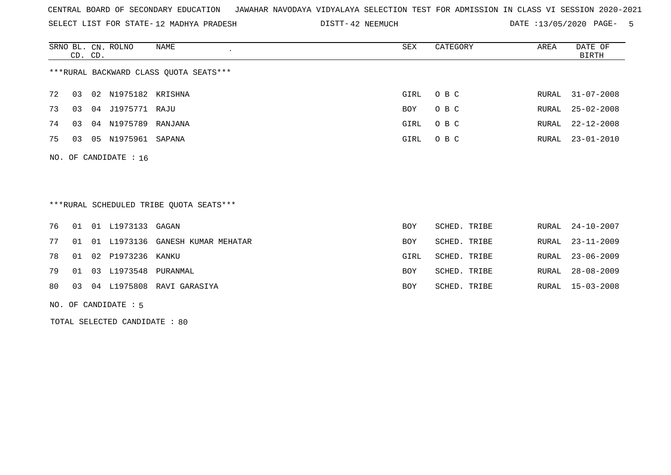SELECT LIST FOR STATE- DISTT- 12 MADHYA PRADESH

DISTT-42 NEEMUCH DATE :13/05/2020 PAGE- 5

|    | CD. CD. |    | SRNO BL. CN. ROLNO      | NAME                                   | SEX  | CATEGORY | AREA  | DATE OF<br>BIRTH |
|----|---------|----|-------------------------|----------------------------------------|------|----------|-------|------------------|
|    |         |    |                         | ***RURAL BACKWARD CLASS QUOTA SEATS*** |      |          |       |                  |
| 72 | 03      |    | 02 N1975182 KRISHNA     |                                        | GIRL | O B C    |       | RURAL 31-07-2008 |
| 73 | 03      |    | 04 J1975771 RAJU        |                                        | BOY  | O B C    | RURAL | $25 - 02 - 2008$ |
| 74 | 03      |    | 04 N1975789             | RANJANA                                | GIRL | O B C    | RURAL | $22 - 12 - 2008$ |
| 75 | 03      | 05 | N1975961 SAPANA         |                                        | GIRL | O B C    |       | RURAL 23-01-2010 |
|    |         |    | NO. OF CANDIDATE : $16$ |                                        |      |          |       |                  |

\*\*\*RURAL SCHEDULED TRIBE QUOTA SEATS\*\*\*

|  | 76 01 01 L1973133 GAGAN    |                                        | <b>BOY</b> | SCHED. TRIBE |  | RURAL 24-10-2007 |
|--|----------------------------|----------------------------------------|------------|--------------|--|------------------|
|  |                            | 77 01 01 L1973136 GANESH KUMAR MEHATAR | <b>BOY</b> | SCHED. TRIBE |  | RURAL 23-11-2009 |
|  | 78 01 02 P1973236 KANKU    |                                        | GIRL       | SCHED. TRIBE |  | RURAL 23-06-2009 |
|  | 79 01 03 L1973548 PURANMAL |                                        | <b>BOY</b> | SCHED. TRIBE |  | RURAL 28-08-2009 |
|  |                            | 80 03 04 L1975808 RAVI GARASIYA        | BOY        | SCHED. TRIBE |  | RURAL 15-03-2008 |

NO. OF CANDIDATE : 5

TOTAL SELECTED CANDIDATE : 80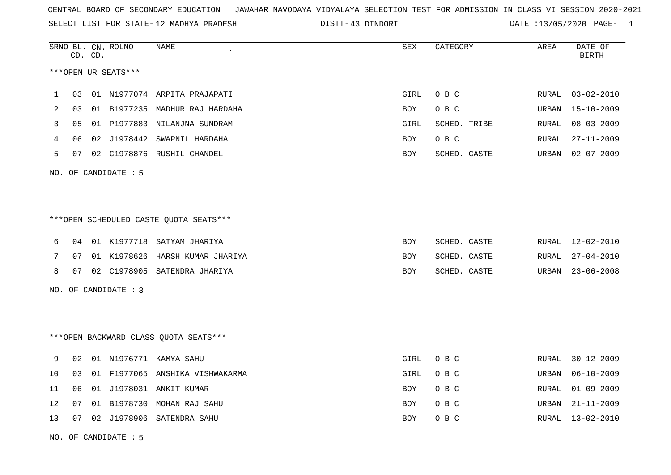SELECT LIST FOR STATE- DISTT- 12 MADHYA PRADESH

43 DINDORI DATE :13/05/2020 PAGE- 1

|    |    | CD. CD. | SRNO BL. CN. ROLNO   | NAME                                   | ${\tt SEX}$ | CATEGORY     | AREA  | DATE OF<br><b>BIRTH</b> |
|----|----|---------|----------------------|----------------------------------------|-------------|--------------|-------|-------------------------|
|    |    |         | ***OPEN UR SEATS***  |                                        |             |              |       |                         |
| 1  | 03 |         |                      | 01 N1977074 ARPITA PRAJAPATI           | GIRL        | O B C        | RURAL | $03 - 02 - 2010$        |
| 2  | 03 |         |                      | 01 B1977235 MADHUR RAJ HARDAHA         | BOY         | O B C        | URBAN | $15 - 10 - 2009$        |
| 3  | 05 |         |                      | 01 P1977883 NILANJNA SUNDRAM           | GIRL        | SCHED. TRIBE | RURAL | $08 - 03 - 2009$        |
| 4  | 06 |         |                      | 02 J1978442 SWAPNIL HARDAHA            | BOY         | O B C        | RURAL | $27 - 11 - 2009$        |
| 5  | 07 |         |                      | 02 C1978876 RUSHIL CHANDEL             | <b>BOY</b>  | SCHED. CASTE | URBAN | $02 - 07 - 2009$        |
|    |    |         | NO. OF CANDIDATE : 5 |                                        |             |              |       |                         |
|    |    |         |                      |                                        |             |              |       |                         |
|    |    |         |                      | ***OPEN SCHEDULED CASTE QUOTA SEATS*** |             |              |       |                         |
| 6  | 04 |         |                      | 01 K1977718 SATYAM JHARIYA             | BOY         | SCHED. CASTE | RURAL | 12-02-2010              |
| 7  | 07 |         |                      | 01 K1978626 HARSH KUMAR JHARIYA        | BOY         | SCHED. CASTE | RURAL | $27 - 04 - 2010$        |
| 8  | 07 |         |                      | 02 C1978905 SATENDRA JHARIYA           | BOY         | SCHED. CASTE | URBAN | $23 - 06 - 2008$        |
|    |    |         | NO. OF CANDIDATE : 3 |                                        |             |              |       |                         |
|    |    |         |                      |                                        |             |              |       |                         |
|    |    |         |                      | *** OPEN BACKWARD CLASS QUOTA SEATS*** |             |              |       |                         |
| 9  | 02 |         |                      | 01 N1976771 KAMYA SAHU                 | GIRL        | O B C        | RURAL | $30 - 12 - 2009$        |
| 10 | 03 |         |                      | 01 F1977065 ANSHIKA VISHWAKARMA        | GIRL        | O B C        | URBAN | $06 - 10 - 2009$        |
| 11 | 06 |         |                      | 01 J1978031 ANKIT KUMAR                | <b>BOY</b>  | O B C        | RURAL | $01 - 09 - 2009$        |
| 12 | 07 |         |                      | 01 B1978730 MOHAN RAJ SAHU             | BOY         | O B C        | URBAN | $21 - 11 - 2009$        |
| 13 | 07 |         |                      | 02 J1978906 SATENDRA SAHU              | <b>BOY</b>  | O B C        | RURAL | 13-02-2010              |

NO. OF CANDIDATE : 5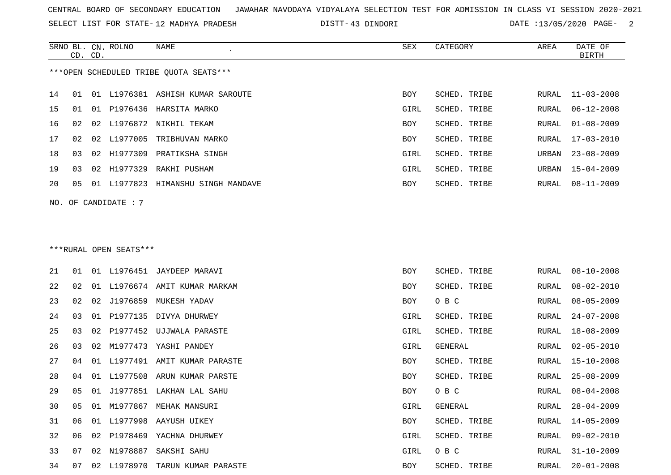SELECT LIST FOR STATE- DISTT- 12 MADHYA PRADESH

43 DINDORI DATE :13/05/2020 PAGE- 2

|     | CD. CD. |    | SRNO BL. CN. ROLNO     | NAME                                   | SEX        | CATEGORY     | AREA  | DATE OF<br><b>BIRTH</b> |
|-----|---------|----|------------------------|----------------------------------------|------------|--------------|-------|-------------------------|
|     |         |    |                        | ***OPEN SCHEDULED TRIBE OUOTA SEATS*** |            |              |       |                         |
| 14  | 01      | 01 |                        | L1976381 ASHISH KUMAR SAROUTE          | <b>BOY</b> | SCHED. TRIBE | RURAL | $11 - 03 - 2008$        |
| 15  | 01      |    |                        | 01 P1976436 HARSITA MARKO              | GIRL       | SCHED. TRIBE | RURAL | $06 - 12 - 2008$        |
| 16  | 02      |    |                        | 02 L1976872 NIKHIL TEKAM               | <b>BOY</b> | SCHED. TRIBE | RURAL | $01 - 08 - 2009$        |
| 17  | 02      | 02 | L1977005               | TRIBHUVAN MARKO                        | BOY        | SCHED. TRIBE | RURAL | $17 - 03 - 2010$        |
| 18  | 03      | 02 | H1977309               | PRATIKSHA SINGH                        | GIRL       | SCHED. TRIBE | URBAN | $23 - 08 - 2009$        |
| 19  | 03      | 02 |                        | H1977329 RAKHI PUSHAM                  | GIRL       | SCHED. TRIBE | URBAN | $15 - 04 - 2009$        |
| 20  | 05      |    |                        | 01 L1977823 HIMANSHU SINGH MANDAVE     | <b>BOY</b> | SCHED. TRIBE | RURAL | $08 - 11 - 2009$        |
| NO. |         |    | OF CANDIDATE : 7       |                                        |            |              |       |                         |
|     |         |    |                        |                                        |            |              |       |                         |
|     |         |    |                        |                                        |            |              |       |                         |
|     |         |    | ***RURAL OPEN SEATS*** |                                        |            |              |       |                         |
| 21  | 01      | 01 |                        | L1976451 JAYDEEP MARAVI                | <b>BOY</b> | SCHED. TRIBE | RURAL | $08 - 10 - 2008$        |
| 22  | 02      |    |                        | 01 L1976674 AMIT KUMAR MARKAM          | <b>BOY</b> | SCHED. TRIBE | RURAL | $08 - 02 - 2010$        |
|     |         |    |                        |                                        |            |              |       |                         |

| 21 | 01              | 01  |             | L1976451 JAYDEEP MARAVI     | BOY  | SCHED. TRIBE | RURAL | $08 - 10 - 2008$ |
|----|-----------------|-----|-------------|-----------------------------|------|--------------|-------|------------------|
| 22 | 02 <sub>o</sub> | 01  |             | L1976674 AMIT KUMAR MARKAM  | BOY  | SCHED. TRIBE | RURAL | $08 - 02 - 2010$ |
| 23 | 02              | 02  |             | J1976859 MUKESH YADAV       | BOY  | O B C        | RURAL | $08 - 05 - 2009$ |
| 24 | 03              | 01  |             | P1977135 DIVYA DHURWEY      | GIRL | SCHED. TRIBE | RURAL | $24 - 07 - 2008$ |
| 25 | 03              | 02  |             | P1977452 UJJWALA PARASTE    | GIRL | SCHED. TRIBE | RURAL | 18-08-2009       |
| 26 | 03              | 02  |             | M1977473 YASHI PANDEY       | GIRL | GENERAL      | RURAL | $02 - 05 - 2010$ |
| 27 | 04              | 01  |             | L1977491 AMIT KUMAR PARASTE | BOY  | SCHED. TRIBE | RURAL | 15-10-2008       |
| 28 | 04              | O 1 |             | L1977508 ARUN KUMAR PARSTE  | BOY  | SCHED. TRIBE | RURAL | $25 - 08 - 2009$ |
| 29 | 05              | 01  |             | J1977851 LAKHAN LAL SAHU    | BOY  | O B C        | RURAL | 08-04-2008       |
| 30 | 05              | 01  | M1977867    | MEHAK MANSURI               | GIRL | GENERAL      | RURAL | $28 - 04 - 2009$ |
| 31 | 06              | 01  | L1977998    | AAYUSH UIKEY                | BOY  | SCHED. TRIBE | RURAL | $14 - 05 - 2009$ |
| 32 | 06              | 02  |             | P1978469 YACHNA DHURWEY     | GIRL | SCHED. TRIBE | RURAL | 09-02-2010       |
| 33 | 07              |     | 02 N1978887 | SAKSHI SAHU                 | GIRL | O B C        | RURAL | $31 - 10 - 2009$ |
| 34 | 07              |     | 02 L1978970 | TARUN KUMAR PARASTE         | BOY  | SCHED. TRIBE | RURAL | $20 - 01 - 2008$ |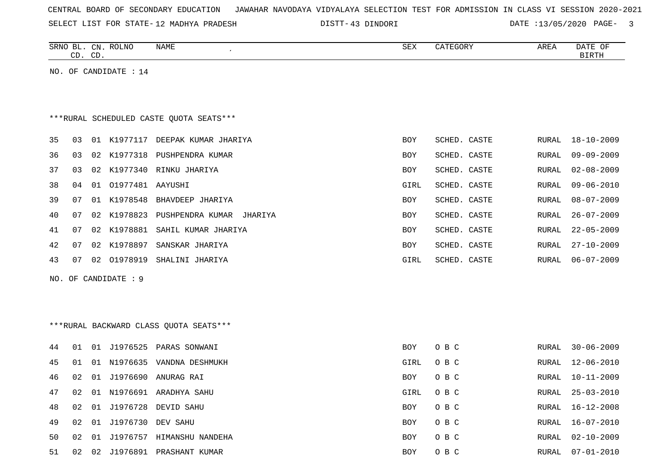| CENTRAL BOARD OF SECONDARY EDUCATION – JAWAHAR NAVODAYA VIDYALAYA SELECTION TEST FOR ADMISSION IN CLASS VI SESSION 2020-2021 |  |  |  |  |
|------------------------------------------------------------------------------------------------------------------------------|--|--|--|--|
|------------------------------------------------------------------------------------------------------------------------------|--|--|--|--|

SELECT LIST FOR STATE- DISTT- 12 MADHYA PRADESH

43 DINDORI DATE :13/05/2020 PAGE- 3

|    | CD. CD. |    | SRNO BL. CN. ROLNO      | <b>NAME</b>                             | ${\tt SEX}$ | CATEGORY     | AREA  | DATE OF<br><b>BIRTH</b> |
|----|---------|----|-------------------------|-----------------------------------------|-------------|--------------|-------|-------------------------|
|    |         |    | NO. OF CANDIDATE : 14   |                                         |             |              |       |                         |
|    |         |    |                         |                                         |             |              |       |                         |
|    |         |    |                         |                                         |             |              |       |                         |
|    |         |    |                         | ***RURAL SCHEDULED CASTE QUOTA SEATS*** |             |              |       |                         |
| 35 | 03      |    |                         | 01 K1977117 DEEPAK KUMAR JHARIYA        | BOY         | SCHED. CASTE | RURAL | $18 - 10 - 2009$        |
| 36 | 03      |    |                         | 02 K1977318 PUSHPENDRA KUMAR            | BOY         | SCHED. CASTE | RURAL | $09 - 09 - 2009$        |
| 37 | 03      |    |                         | 02 K1977340 RINKU JHARIYA               | BOY         | SCHED. CASTE | RURAL | $02 - 08 - 2009$        |
| 38 | 04      | 01 | 01977481 AAYUSHI        |                                         | GIRL        | SCHED. CASTE | RURAL | $09 - 06 - 2010$        |
| 39 | 07      |    | 01 K1978548             | BHAVDEEP JHARIYA                        | BOY         | SCHED. CASTE | RURAL | $08 - 07 - 2009$        |
| 40 | 07      |    | 02 K1978823             | PUSHPENDRA KUMAR JHARIYA                | BOY         | SCHED. CASTE | RURAL | $26 - 07 - 2009$        |
| 41 | 07      |    | 02 K1978881             | SAHIL KUMAR JHARIYA                     | BOY         | SCHED. CASTE | RURAL | $22 - 05 - 2009$        |
| 42 | 07      |    | 02 K1978897             | SANSKAR JHARIYA                         | BOY         | SCHED. CASTE | RURAL | $27 - 10 - 2009$        |
| 43 | 07      |    | 02 01978919             | SHALINI JHARIYA                         | GIRL        | SCHED. CASTE | RURAL | $06 - 07 - 2009$        |
|    |         |    | NO. OF CANDIDATE : 9    |                                         |             |              |       |                         |
|    |         |    |                         |                                         |             |              |       |                         |
|    |         |    |                         |                                         |             |              |       |                         |
|    |         |    |                         | ***RURAL BACKWARD CLASS QUOTA SEATS***  |             |              |       |                         |
| 44 | 01      |    |                         | 01 J1976525 PARAS SONWANI               | <b>BOY</b>  | O B C        | RURAL | $30 - 06 - 2009$        |
| 45 | 01      | 01 | N1976635                | VANDNA DESHMUKH                         | GIRL        | O B C        | RURAL | $12 - 06 - 2010$        |
| 46 | 02      |    |                         | 01 J1976690 ANURAG RAI                  | BOY         | O B C        | RURAL | $10 - 11 - 2009$        |
| 47 | 02      |    |                         | 01 N1976691 ARADHYA SAHU                | GIRL        | O B C        | RURAL | $25 - 03 - 2010$        |
| 48 |         |    |                         | 02 01 J1976728 DEVID SAHU               | BOY         | O B C        |       | RURAL 16-12-2008        |
| 49 |         |    | 02 01 J1976730 DEV SAHU |                                         | BOY         | O B C        | RURAL | $16 - 07 - 2010$        |
| 50 |         |    |                         | 02 01 J1976757 HIMANSHU NANDEHA         | BOY         | O B C        | RURAL | $02 - 10 - 2009$        |
| 51 |         |    |                         | 02 02 J1976891 PRASHANT KUMAR           | BOY         | O B C        | RURAL | $07 - 01 - 2010$        |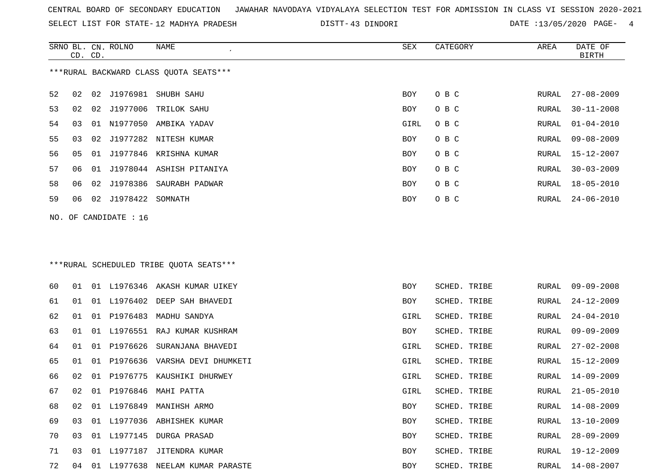SELECT LIST FOR STATE- DISTT- 12 MADHYA PRADESH

SRNO BL. CN.

ROLNO NAME SEX CATEGORY AREA DATE OF

43 DINDORI DATE :13/05/2020 PAGE- 4

|        | CD. CD. |    |                       |                                         |            |              |       | <b>BIRTH</b>     |
|--------|---------|----|-----------------------|-----------------------------------------|------------|--------------|-------|------------------|
|        |         |    |                       | ***RURAL BACKWARD CLASS QUOTA SEATS***  |            |              |       |                  |
| 52     | 02      | 02 | J1976981              | SHUBH SAHU                              | <b>BOY</b> | O B C        | RURAL | $27 - 08 - 2009$ |
| 53     | 02      | 02 | J1977006              | TRILOK SAHU                             | BOY        | O B C        | RURAL | $30 - 11 - 2008$ |
| 54     | 03      | 01 |                       | N1977050 AMBIKA YADAV                   | GIRL       | O B C        | RURAL | $01 - 04 - 2010$ |
| 55     | 03      | 02 |                       | J1977282 NITESH KUMAR                   | BOY        | O B C        | RURAL | $09 - 08 - 2009$ |
| 56     | 05      | 01 |                       | J1977846 KRISHNA KUMAR                  | BOY        | O B C        | RURAL | $15 - 12 - 2007$ |
| 57     | 06      | 01 | J1978044              | ASHISH PITANIYA                         | BOY        | O B C        | RURAL | $30 - 03 - 2009$ |
| 58     | 06      | 02 | J1978386              | SAURABH PADWAR                          | BOY        | O B C        | RURAL | $18 - 05 - 2010$ |
| 59     | 06      | 02 | J1978422              | SOMNATH                                 | BOY        | O B C        | RURAL | $24 - 06 - 2010$ |
|        |         |    | NO. OF CANDIDATE : 16 |                                         |            |              |       |                  |
|        |         |    |                       |                                         |            |              |       |                  |
|        |         |    |                       | ***RURAL SCHEDULED TRIBE QUOTA SEATS*** |            |              |       |                  |
|        |         |    |                       |                                         |            |              |       |                  |
| 60     | 01      |    |                       | 01 L1976346 AKASH KUMAR UIKEY           | BOY        | SCHED. TRIBE | RURAL | $09 - 09 - 2008$ |
| 61     | 01      |    |                       | 01 L1976402 DEEP SAH BHAVEDI            | BOY        | SCHED. TRIBE | RURAL | $24 - 12 - 2009$ |
| 62     | 01      |    | 01 P1976483           | MADHU SANDYA                            | GIRL       | SCHED. TRIBE | RURAL | $24 - 04 - 2010$ |
| 63     | 01      | 01 | L1976551              | RAJ KUMAR KUSHRAM                       | BOY        | SCHED. TRIBE | RURAL | $09 - 09 - 2009$ |
| 64     | 01      | 01 | P1976626              | SURANJANA BHAVEDI                       | GIRL       | SCHED. TRIBE | RURAL | $27 - 02 - 2008$ |
| 65     | 01      | 01 |                       | P1976636 VARSHA DEVI DHUMKETI           | GIRL       | SCHED. TRIBE | RURAL | 15-12-2009       |
| 66     | 02      | 01 | P1976775              | KAUSHIKI DHURWEY                        | GIRL       | SCHED. TRIBE | RURAL | 14-09-2009       |
| 67     | 02      | 01 | P1976846              | MAHI PATTA                              | GIRL       | SCHED. TRIBE | RURAL | $21 - 05 - 2010$ |
| 68     | 02      |    |                       | 01 L1976849 MANIHSH ARMO                | BOY        | SCHED. TRIBE | RURAL | $14 - 08 - 2009$ |
| 69     |         |    |                       | 03 01 L1977036 ABHISHEK KUMAR           | BOY        | SCHED. TRIBE | RURAL | 13-10-2009       |
| 70     | 03      |    |                       | 01 L1977145 DURGA PRASAD                | BOY        | SCHED. TRIBE | RURAL | $28 - 09 - 2009$ |
| $71\,$ | 03      |    |                       | 01 L1977187 JITENDRA KUMAR              | BOY        | SCHED. TRIBE | RURAL | $19 - 12 - 2009$ |
| 72     | 04      |    |                       | 01 L1977638 NEELAM KUMAR PARASTE        | BOY        | SCHED. TRIBE | RURAL | $14 - 08 - 2007$ |
|        |         |    |                       |                                         |            |              |       |                  |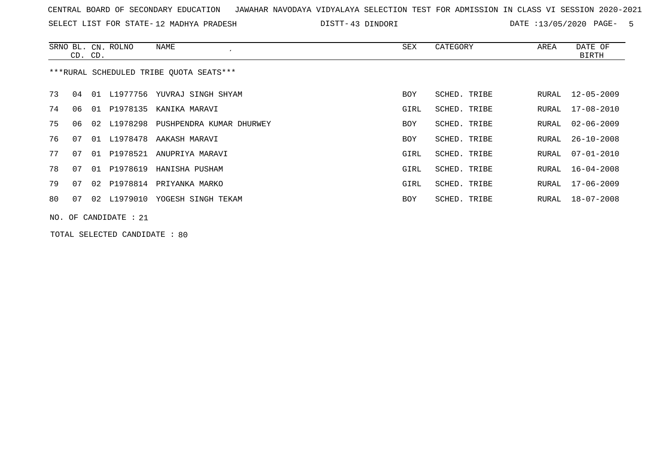SELECT LIST FOR STATE- DISTT- 12 MADHYA PRADESH

43 DINDORI DATE :13/05/2020 PAGE- 5

|    | CD. CD. | SRNO BL. CN. ROLNO      | NAME                                    | SEX        | CATEGORY     | AREA  | DATE OF<br>BIRTH |
|----|---------|-------------------------|-----------------------------------------|------------|--------------|-------|------------------|
|    |         |                         | ***RURAL SCHEDULED TRIBE OUOTA SEATS*** |            |              |       |                  |
| 73 | 04      |                         | 01 L1977756 YUVRAJ SINGH SHYAM          | <b>BOY</b> | SCHED. TRIBE | RURAL | 12-05-2009       |
| 74 | 06      |                         | 01 P1978135 KANIKA MARAVI               | GIRL       | SCHED. TRIBE | RURAL | 17-08-2010       |
| 75 | 06      |                         | 02 L1978298 PUSHPENDRA KUMAR DHURWEY    | BOY        | SCHED. TRIBE | RURAL | $02 - 06 - 2009$ |
| 76 | 07      |                         | 01 L1978478 AAKASH MARAVI               | BOY        | SCHED. TRIBE | RURAL | $26 - 10 - 2008$ |
| 77 | 07      |                         | 01 P1978521 ANUPRIYA MARAVI             | GIRL       | SCHED. TRIBE | RURAL | $07 - 01 - 2010$ |
| 78 | 07      |                         | 01 P1978619 HANISHA PUSHAM              | GIRL       | SCHED. TRIBE | RURAL | 16-04-2008       |
| 79 | 07      |                         | 02 P1978814 PRIYANKA MARKO              | GIRL       | SCHED. TRIBE | RURAL | 17-06-2009       |
| 80 | 07      | 02 L1979010             | YOGESH SINGH TEKAM                      | BOY        | SCHED. TRIBE | RURAL | 18-07-2008       |
|    |         | $NO.$ OF CANDIDATE : 21 |                                         |            |              |       |                  |

TOTAL SELECTED CANDIDATE : 80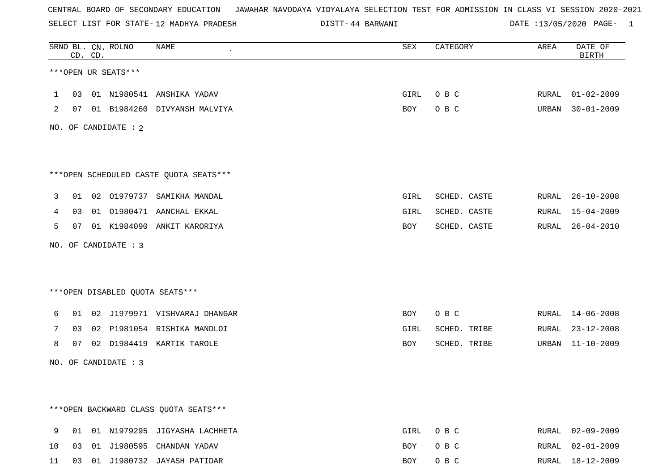SELECT LIST FOR STATE- DISTT- 12 MADHYA PRADESH

44 BARWANI DATE :13/05/2020 PAGE- 1

|              |                | CD. CD. | SRNO BL. CN. ROLNO   | NAME                                    | SEX         | CATEGORY     | AREA | DATE OF<br><b>BIRTH</b> |
|--------------|----------------|---------|----------------------|-----------------------------------------|-------------|--------------|------|-------------------------|
|              |                |         | ***OPEN UR SEATS***  |                                         |             |              |      |                         |
| $\mathbf{1}$ |                |         |                      | 03 01 N1980541 ANSHIKA YADAV            | GIRL        | O B C        |      | RURAL 01-02-2009        |
| 2            |                |         |                      | 07 01 B1984260 DIVYANSH MALVIYA         | BOY         | O B C        |      | URBAN 30-01-2009        |
|              |                |         | NO. OF CANDIDATE : 2 |                                         |             |              |      |                         |
|              |                |         |                      |                                         |             |              |      |                         |
|              |                |         |                      | *** OPEN SCHEDULED CASTE QUOTA SEATS*** |             |              |      |                         |
| 3            |                |         |                      | 01 02 01979737 SAMIKHA MANDAL           | GIRL        | SCHED. CASTE |      | RURAL 26-10-2008        |
| 4            | 0 <sub>3</sub> |         |                      | 01 01980471 AANCHAL EKKAL               | GIRL        | SCHED. CASTE |      | RURAL 15-04-2009        |
| 5            |                |         |                      | 07 01 K1984090 ANKIT KARORIYA           | BOY         | SCHED. CASTE |      | RURAL 26-04-2010        |
|              |                |         | NO. OF CANDIDATE : 3 |                                         |             |              |      |                         |
|              |                |         |                      |                                         |             |              |      |                         |
|              |                |         |                      | ***OPEN DISABLED QUOTA SEATS***         |             |              |      |                         |
| 6            |                |         |                      | 01 02 J1979971 VISHVARAJ DHANGAR        | BOY         | O B C        |      | RURAL 14-06-2008        |
| 7            |                |         |                      | 03 02 P1981054 RISHIKA MANDLOI          | GIRL        | SCHED. TRIBE |      | RURAL 23-12-2008        |
| 8            |                |         |                      | 07 02 D1984419 KARTIK TAROLE            | BOY         | SCHED. TRIBE |      | URBAN 11-10-2009        |
|              |                |         | NO. OF CANDIDATE : 3 |                                         |             |              |      |                         |
|              |                |         |                      |                                         |             |              |      |                         |
|              |                |         |                      |                                         |             |              |      |                         |
|              |                |         |                      | *** OPEN BACKWARD CLASS QUOTA SEATS***  |             |              |      |                         |
| 9            |                |         |                      | 01 01 N1979295 JIGYASHA LACHHETA        | <b>GIRL</b> | O B C        |      | RURAL 02-09-2009        |
| 10           | 03             |         |                      | 01 J1980595 CHANDAN YADAV               | BOY         | O B C        |      | RURAL 02-01-2009        |

11 03 01 J1980732 JAYASH PATIDAR BOY O B C RURAL 18-12-2009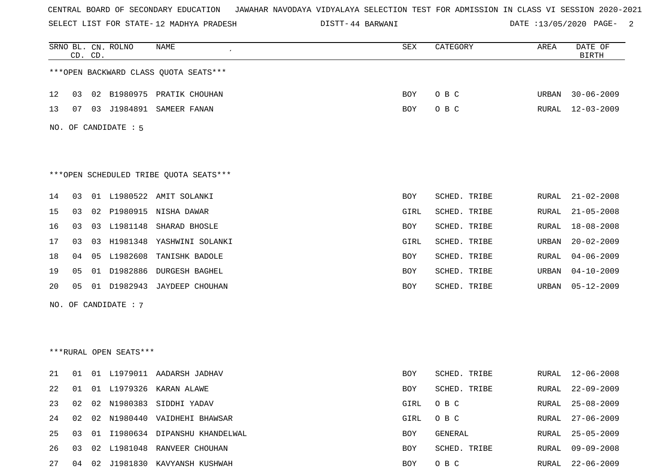SELECT LIST FOR STATE- DISTT- 12 MADHYA PRADESH

44 BARWANI DATE :13/05/2020 PAGE- 2

|    |    | CD. CD. | SRNO BL. CN. ROLNO     | NAME                                   | <b>SEX</b> | CATEGORY     | AREA  | DATE OF<br><b>BIRTH</b> |
|----|----|---------|------------------------|----------------------------------------|------------|--------------|-------|-------------------------|
|    |    |         |                        | *** OPEN BACKWARD CLASS QUOTA SEATS*** |            |              |       |                         |
| 12 | 03 |         |                        | 02 B1980975 PRATIK CHOUHAN             | BOY        | O B C        | URBAN | $30 - 06 - 2009$        |
| 13 |    |         |                        | 07 03 J1984891 SAMEER FANAN            | BOY        | O B C        | RURAL | 12-03-2009              |
|    |    |         | NO. OF CANDIDATE : 5   |                                        |            |              |       |                         |
|    |    |         |                        |                                        |            |              |       |                         |
|    |    |         |                        |                                        |            |              |       |                         |
|    |    |         |                        | ***OPEN SCHEDULED TRIBE QUOTA SEATS*** |            |              |       |                         |
| 14 | 03 |         |                        | 01 L1980522 AMIT SOLANKI               | BOY        | SCHED. TRIBE | RURAL | $21 - 02 - 2008$        |
| 15 | 03 |         |                        | 02 P1980915 NISHA DAWAR                | GIRL       | SCHED. TRIBE | RURAL | $21 - 05 - 2008$        |
| 16 | 03 |         |                        | 03 L1981148 SHARAD BHOSLE              | BOY        | SCHED. TRIBE | RURAL | $18 - 08 - 2008$        |
| 17 | 03 |         |                        | 03 H1981348 YASHWINI SOLANKI           | GIRL       | SCHED. TRIBE | URBAN | $20 - 02 - 2009$        |
| 18 | 04 |         |                        | 05 L1982608 TANISHK BADOLE             | BOY        | SCHED. TRIBE | RURAL | $04 - 06 - 2009$        |
| 19 | 05 |         |                        | 01 D1982886 DURGESH BAGHEL             | BOY        | SCHED. TRIBE | URBAN | $04 - 10 - 2009$        |
| 20 | 05 |         |                        | 01 D1982943 JAYDEEP CHOUHAN            | BOY        | SCHED. TRIBE | URBAN | $05 - 12 - 2009$        |
|    |    |         | NO. OF CANDIDATE : 7   |                                        |            |              |       |                         |
|    |    |         |                        |                                        |            |              |       |                         |
|    |    |         |                        |                                        |            |              |       |                         |
|    |    |         | ***RURAL OPEN SEATS*** |                                        |            |              |       |                         |
| 21 |    |         |                        | 01 01 L1979011 AADARSH JADHAV          | BOY        | SCHED. TRIBE | RURAL | $12 - 06 - 2008$        |
| 22 |    |         |                        | 01 01 L1979326 KARAN ALAWE             | BOY        | SCHED. TRIBE | RURAL | $22 - 09 - 2009$        |
| 23 | 02 |         |                        | 02 N1980383 SIDDHI YADAV               | GIRL       | O B C        | RURAL | $25 - 08 - 2009$        |
| 24 | 02 |         |                        | 02 N1980440 VAIDHEHI BHAWSAR           | GIRL       | O B C        | RURAL | $27 - 06 - 2009$        |
| 25 | 03 |         |                        | 01 I1980634 DIPANSHU KHANDELWAL        | BOY        | GENERAL      | RURAL | $25 - 05 - 2009$        |
| 26 |    |         |                        | 03 02 L1981048 RANVEER CHOUHAN         | BOY        | SCHED. TRIBE | RURAL | $09 - 09 - 2008$        |
| 27 |    |         |                        | 04 02 J1981830 KAVYANSH KUSHWAH        | BOY        | O B C        |       | RURAL 22-06-2009        |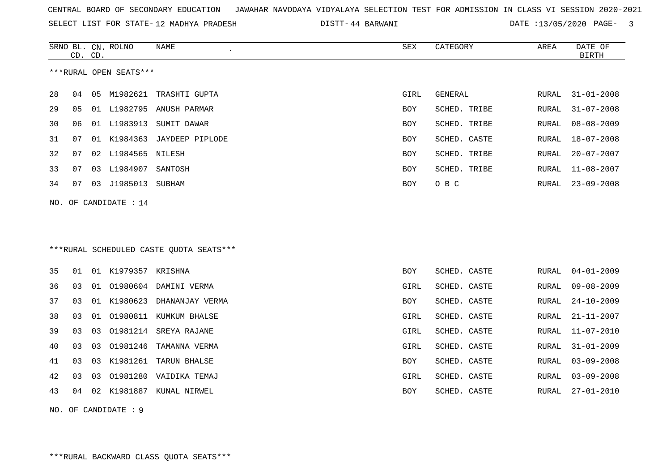SELECT LIST FOR STATE- DISTT- 12 MADHYA PRADESH

44 BARWANI DATE :13/05/2020 PAGE- 3

|    | CD. CD. |    | SRNO BL. CN. ROLNO     | NAME                                    | ${\tt SEX}$ | CATEGORY     | AREA  | DATE OF<br><b>BIRTH</b> |
|----|---------|----|------------------------|-----------------------------------------|-------------|--------------|-------|-------------------------|
|    |         |    | ***RURAL OPEN SEATS*** |                                         |             |              |       |                         |
| 28 | 04      | 05 | M1982621               | TRASHTI GUPTA                           | GIRL        | GENERAL      | RURAL | $31 - 01 - 2008$        |
| 29 | 05      |    |                        | 01 L1982795 ANUSH PARMAR                | BOY         | SCHED. TRIBE | RURAL | $31 - 07 - 2008$        |
| 30 | 06      |    | 01 L1983913            | SUMIT DAWAR                             | <b>BOY</b>  | SCHED. TRIBE | RURAL | $08 - 08 - 2009$        |
| 31 | 07      |    | 01 K1984363            | JAYDEEP PIPLODE                         | <b>BOY</b>  | SCHED. CASTE | RURAL | $18 - 07 - 2008$        |
| 32 | 07      |    | 02 L1984565 NILESH     |                                         | <b>BOY</b>  | SCHED. TRIBE | RURAL | $20 - 07 - 2007$        |
| 33 | 07      |    | 03 L1984907 SANTOSH    |                                         | <b>BOY</b>  | SCHED. TRIBE | RURAL | $11 - 08 - 2007$        |
| 34 | 07      |    | 03 J1985013 SUBHAM     |                                         | BOY         | O B C        | RURAL | $23 - 09 - 2008$        |
|    |         |    | NO. OF CANDIDATE : 14  |                                         |             |              |       |                         |
|    |         |    |                        |                                         |             |              |       |                         |
|    |         |    |                        |                                         |             |              |       |                         |
|    |         |    |                        | ***RURAL SCHEDULED CASTE QUOTA SEATS*** |             |              |       |                         |
| 35 | 01      |    | 01 K1979357 KRISHNA    |                                         | BOY         | SCHED. CASTE | RURAL | $04 - 01 - 2009$        |
| 36 | 03      |    |                        | 01 01980604 DAMINI VERMA                | GIRL        | SCHED. CASTE | RURAL | $09 - 08 - 2009$        |
| 37 | 03      |    | 01 K1980623            | DHANANJAY VERMA                         | BOY         | SCHED. CASTE | RURAL | $24 - 10 - 2009$        |
| 38 | 03      |    |                        | 01 01980811 KUMKUM BHALSE               | GIRL        | SCHED. CASTE | RURAL | $21 - 11 - 2007$        |
| 39 | 03      | 03 |                        | 01981214 SREYA RAJANE                   | GIRL        | SCHED. CASTE | RURAL | $11 - 07 - 2010$        |
| 40 | 03      | 03 | 01981246               | TAMANNA VERMA                           | GIRL        | SCHED. CASTE | RURAL | $31 - 01 - 2009$        |
| 41 | 03      | 03 |                        | K1981261 TARUN BHALSE                   | BOY         | SCHED. CASTE | RURAL | $03 - 09 - 2008$        |
| 42 | 03      | 03 |                        | 01981280 VAIDIKA TEMAJ                  | GIRL        | SCHED. CASTE | RURAL | $03 - 09 - 2008$        |
| 43 | 04      |    |                        | 02 K1981887 KUNAL NIRWEL                | BOY         | SCHED. CASTE | RURAL | $27 - 01 - 2010$        |
|    |         |    | NO. OF CANDIDATE : $9$ |                                         |             |              |       |                         |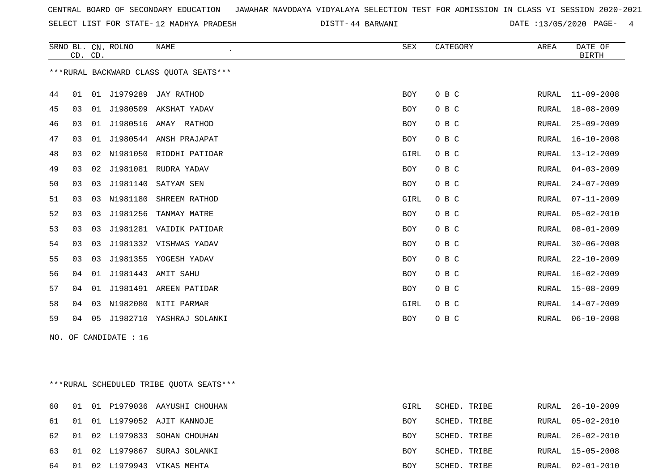SELECT LIST FOR STATE- DISTT- 12 MADHYA PRADESH

44 BARWANI DATE :13/05/2020 PAGE- 4

|    | CD. CD. |    | SRNO BL. CN. ROLNO    | <b>NAME</b>                              | SEX        | CATEGORY | AREA  | DATE OF<br><b>BIRTH</b> |
|----|---------|----|-----------------------|------------------------------------------|------------|----------|-------|-------------------------|
|    |         |    |                       | *** RURAL BACKWARD CLASS QUOTA SEATS***  |            |          |       |                         |
| 44 | 01      |    |                       | 01 J1979289 JAY RATHOD                   | <b>BOY</b> | O B C    | RURAL | $11 - 09 - 2008$        |
| 45 | 03      |    |                       | 01 J1980509 AKSHAT YADAV                 | BOY        | O B C    | RURAL | $18 - 08 - 2009$        |
| 46 | 03      |    |                       | 01 J1980516 AMAY RATHOD                  | BOY        | O B C    | RURAL | $25 - 09 - 2009$        |
| 47 | 03      |    |                       | 01 J1980544 ANSH PRAJAPAT                | BOY        | O B C    | RURAL | $16 - 10 - 2008$        |
| 48 | 03      |    |                       | 02 N1981050 RIDDHI PATIDAR               | GIRL       | O B C    | RURAL | $13 - 12 - 2009$        |
| 49 | 03      |    |                       | 02 J1981081 RUDRA YADAV                  | <b>BOY</b> | O B C    | RURAL | $04 - 03 - 2009$        |
| 50 | 03      | 03 | J1981140              | SATYAM SEN                               | BOY        | O B C    | RURAL | $24 - 07 - 2009$        |
| 51 | 03      | 03 | N1981180              | SHREEM RATHOD                            | GIRL       | O B C    | RURAL | $07 - 11 - 2009$        |
| 52 | 03      |    |                       | 03 J1981256 TANMAY MATRE                 | BOY        | O B C    | RURAL | $05 - 02 - 2010$        |
| 53 | 03      |    |                       | 03 J1981281 VAIDIK PATIDAR               | BOY        | O B C    | RURAL | $08 - 01 - 2009$        |
| 54 | 03      | 03 |                       | J1981332 VISHWAS YADAV                   | <b>BOY</b> | O B C    | RURAL | $30 - 06 - 2008$        |
| 55 | 03      | 03 |                       | J1981355 YOGESH YADAV                    | <b>BOY</b> | O B C    | RURAL | $22 - 10 - 2009$        |
| 56 | 04      | 01 |                       | J1981443 AMIT SAHU                       | BOY        | O B C    | RURAL | $16 - 02 - 2009$        |
| 57 | 04      |    |                       | 01 J1981491 AREEN PATIDAR                | <b>BOY</b> | O B C    | RURAL | 15-08-2009              |
| 58 | 04      |    |                       | 03 N1982080 NITI PARMAR                  | GIRL       | O B C    | RURAL | $14 - 07 - 2009$        |
| 59 | 04      |    |                       | 05 J1982710 YASHRAJ SOLANKI              | <b>BOY</b> | O B C    | RURAL | $06 - 10 - 2008$        |
|    |         |    | NO. OF CANDIDATE : 16 |                                          |            |          |       |                         |
|    |         |    |                       |                                          |            |          |       |                         |
|    |         |    |                       | *** RURAL SCHEDULED TRIBE QUOTA SEATS*** |            |          |       |                         |

|  |  | 60 01 01 P1979036 AAYUSHI CHOUHAN | GIRL       | SCHED. TRIBE | RURAL 26-10-2009 |
|--|--|-----------------------------------|------------|--------------|------------------|
|  |  | 61 01 01 L1979052 AJIT KANNOJE    | BOY        | SCHED. TRIBE | RURAL 05-02-2010 |
|  |  | 62 01 02 L1979833 SOHAN CHOUHAN   | <b>BOY</b> | SCHED. TRIBE | RURAL 26-02-2010 |
|  |  | 63 01 02 L1979867 SURAJ SOLANKI   | <b>BOY</b> | SCHED. TRIBE | RURAL 15-05-2008 |
|  |  | 64 01 02 L1979943 VIKAS MEHTA     | <b>BOY</b> | SCHED. TRIBE | RURAL 02-01-2010 |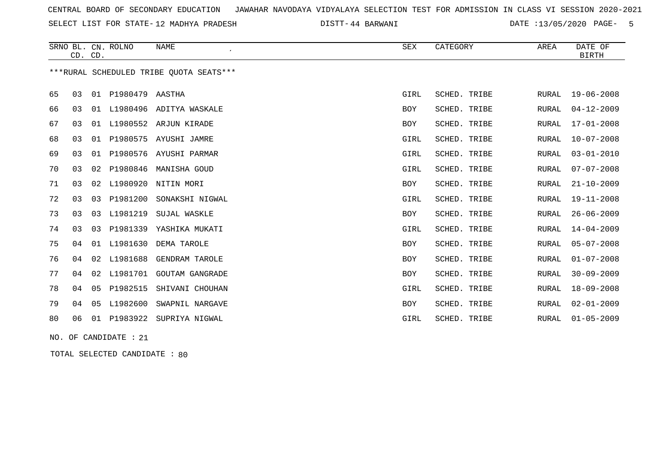SELECT LIST FOR STATE- DISTT- 12 MADHYA PRADESH

44 BARWANI DATE :13/05/2020 PAGE- 5

|    |    | CD. CD. | SRNO BL. CN. ROLNO | NAME                                    | SEX        | CATEGORY     | AREA         | DATE OF<br><b>BIRTH</b> |
|----|----|---------|--------------------|-----------------------------------------|------------|--------------|--------------|-------------------------|
|    |    |         |                    | ***RURAL SCHEDULED TRIBE OUOTA SEATS*** |            |              |              |                         |
| 65 | 03 |         | 01 P1980479 AASTHA |                                         | GIRL       | SCHED. TRIBE | RURAL        | $19 - 06 - 2008$        |
| 66 | 03 |         |                    | 01 L1980496 ADITYA WASKALE              | <b>BOY</b> | SCHED. TRIBE | <b>RURAL</b> | $04 - 12 - 2009$        |
| 67 | 03 |         |                    | 01 L1980552 ARJUN KIRADE                | <b>BOY</b> | SCHED. TRIBE | RURAL        | $17 - 01 - 2008$        |
| 68 | 03 |         |                    | 01 P1980575 AYUSHI JAMRE                | GIRL       | SCHED. TRIBE | <b>RURAL</b> | $10 - 07 - 2008$        |
| 69 | 03 |         |                    | 01 P1980576 AYUSHI PARMAR               | GIRL       | SCHED. TRIBE | <b>RURAL</b> | $03 - 01 - 2010$        |
| 70 | 03 | 02      | P1980846           | MANISHA GOUD                            | GIRL       | SCHED. TRIBE | <b>RURAL</b> | $07 - 07 - 2008$        |
| 71 | 03 | 02      | L1980920           | NITIN MORI                              | <b>BOY</b> | SCHED. TRIBE | <b>RURAL</b> | $21 - 10 - 2009$        |
| 72 | 03 | 03      | P1981200           | SONAKSHI NIGWAL                         | GIRL       | SCHED. TRIBE | <b>RURAL</b> | $19 - 11 - 2008$        |
| 73 | 03 | 03      | L1981219           | SUJAL WASKLE                            | <b>BOY</b> | SCHED. TRIBE | <b>RURAL</b> | $26 - 06 - 2009$        |
| 74 | 03 | 03      | P1981339           | YASHIKA MUKATI                          | GIRL       | SCHED. TRIBE | <b>RURAL</b> | $14 - 04 - 2009$        |
| 75 | 04 | 01      | L1981630           | DEMA TAROLE                             | <b>BOY</b> | SCHED. TRIBE | <b>RURAL</b> | $05 - 07 - 2008$        |
| 76 | 04 | 02      | L1981688           | <b>GENDRAM TAROLE</b>                   | <b>BOY</b> | SCHED. TRIBE | <b>RURAL</b> | $01 - 07 - 2008$        |
| 77 | 04 | 02      | L1981701           | <b>GOUTAM GANGRADE</b>                  | <b>BOY</b> | SCHED. TRIBE | <b>RURAL</b> | $30 - 09 - 2009$        |
| 78 | 04 | 05      | P1982515           | SHIVANI CHOUHAN                         | GIRL       | SCHED. TRIBE | RURAL        | $18 - 09 - 2008$        |
| 79 | 04 | 05      | L1982600           | SWAPNIL NARGAVE                         | <b>BOY</b> | SCHED. TRIBE | <b>RURAL</b> | $02 - 01 - 2009$        |
| 80 | 06 | 01      | P1983922           | SUPRIYA NIGWAL                          | GIRL       | SCHED. TRIBE | RURAL        | $01 - 05 - 2009$        |
|    |    |         |                    |                                         |            |              |              |                         |

NO. OF CANDIDATE : 21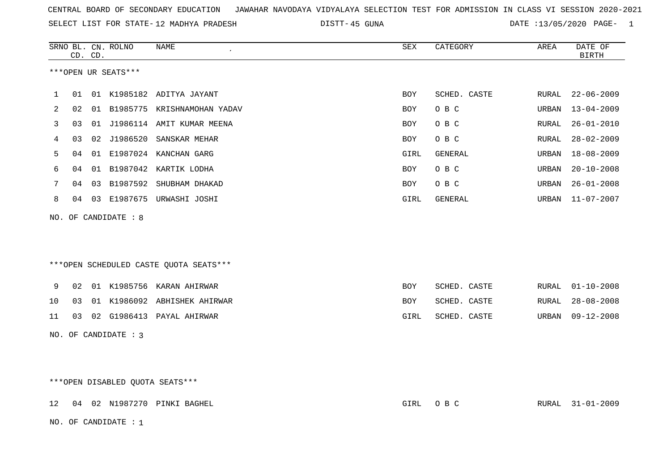| CENTRAL BOARD OF SECONDARY EDUCATION – JAWAHAR NAVODAYA VIDYALAYA SELECTION TEST FOR ADMISSION IN CLASS VI SESSION 2020-2021 |  |
|------------------------------------------------------------------------------------------------------------------------------|--|
|------------------------------------------------------------------------------------------------------------------------------|--|

SELECT LIST FOR STATE-12 MADHYA PRADESH DISTT-45 GUNA DATE :13/05/2020 PAGE- 1

|    |    | CD. CD. | SRNO BL. CN. ROLNO   | NAME                                   | ${\tt SEX}$ | CATEGORY       | AREA         | DATE OF<br><b>BIRTH</b> |
|----|----|---------|----------------------|----------------------------------------|-------------|----------------|--------------|-------------------------|
|    |    |         | ***OPEN UR SEATS***  |                                        |             |                |              |                         |
| 1  | 01 |         |                      | 01 K1985182 ADITYA JAYANT              | <b>BOY</b>  | SCHED. CASTE   | RURAL        | $22 - 06 - 2009$        |
| 2  | 02 |         |                      | 01 B1985775 KRISHNAMOHAN YADAV         | <b>BOY</b>  | O B C          | URBAN        | $13 - 04 - 2009$        |
| 3  | 03 |         |                      | 01 J1986114 AMIT KUMAR MEENA           | <b>BOY</b>  | O B C          | <b>RURAL</b> | $26 - 01 - 2010$        |
| 4  | 03 |         | 02 J1986520          | SANSKAR MEHAR                          | BOY         | O B C          | RURAL        | $28 - 02 - 2009$        |
| 5  | 04 |         |                      | 01 E1987024 KANCHAN GARG               | GIRL        | <b>GENERAL</b> | URBAN        | $18 - 08 - 2009$        |
| 6  | 04 |         |                      | 01 B1987042 KARTIK LODHA               | <b>BOY</b>  | O B C          | URBAN        | $20 - 10 - 2008$        |
| 7  | 04 |         |                      | 03 B1987592 SHUBHAM DHAKAD             | BOY         | O B C          | URBAN        | $26 - 01 - 2008$        |
| 8  |    |         |                      | 04 03 E1987675 URWASHI JOSHI           | GIRL        | GENERAL        | URBAN        | $11 - 07 - 2007$        |
|    |    |         | NO. OF CANDIDATE : 8 |                                        |             |                |              |                         |
|    |    |         |                      |                                        |             |                |              |                         |
|    |    |         |                      | ***OPEN SCHEDULED CASTE QUOTA SEATS*** |             |                |              |                         |
| 9  | 02 |         |                      | 01 K1985756 KARAN AHIRWAR              | BOY         | SCHED. CASTE   | RURAL        | $01 - 10 - 2008$        |
| 10 | 03 |         |                      | 01 K1986092 ABHISHEK AHIRWAR           | BOY         | SCHED. CASTE   | RURAL        | $28 - 08 - 2008$        |
| 11 |    |         |                      | 03 02 G1986413 PAYAL AHIRWAR           | GIRL        | SCHED. CASTE   | URBAN        | $09 - 12 - 2008$        |
|    |    |         | NO. OF CANDIDATE : 3 |                                        |             |                |              |                         |
|    |    |         |                      |                                        |             |                |              |                         |
|    |    |         |                      |                                        |             |                |              |                         |
|    |    |         |                      | ***OPEN DISABLED QUOTA SEATS***        |             |                |              |                         |
| 12 |    |         |                      | 04 02 N1987270 PINKI BAGHEL            | GIRL        | O B C          | RURAL        | 31-01-2009              |

NO. OF CANDIDATE : 1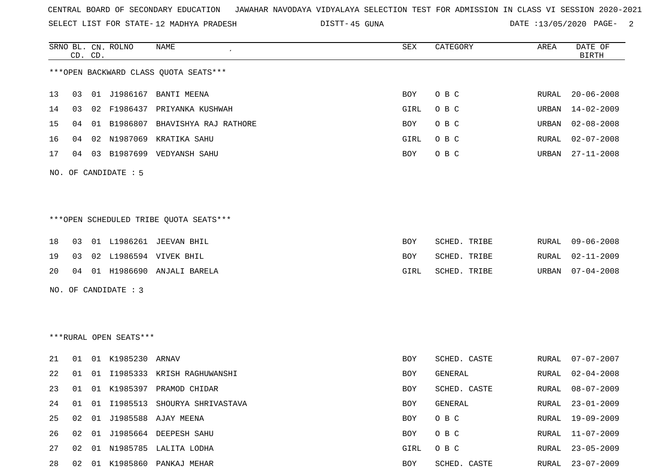SELECT LIST FOR STATE- DISTT- 12 MADHYA PRADESH

45 GUNA DATE :13/05/2020 PAGE- 2

|     |    | CD. CD. | SRNO BL. CN. ROLNO     | NAME                                   | SEX        | CATEGORY     | AREA  | DATE OF<br><b>BIRTH</b> |
|-----|----|---------|------------------------|----------------------------------------|------------|--------------|-------|-------------------------|
|     |    |         |                        | *** OPEN BACKWARD CLASS QUOTA SEATS*** |            |              |       |                         |
| 13  | 03 |         | 01 J1986167            | <b>BANTI MEENA</b>                     | BOY        | O B C        | RURAL | $20 - 06 - 2008$        |
| 14  | 03 |         |                        | 02 F1986437 PRIYANKA KUSHWAH           | GIRL       | O B C        | URBAN | $14 - 02 - 2009$        |
| 15  | 04 | 01      | B1986807               | BHAVISHYA RAJ RATHORE                  | BOY        | O B C        | URBAN | $02 - 08 - 2008$        |
| 16  | 04 | 02      | N1987069               | KRATIKA SAHU                           | GIRL       | O B C        | RURAL | $02 - 07 - 2008$        |
| 17  | 04 | 03      |                        | B1987699 VEDYANSH SAHU                 | BOY        | O B C        | URBAN | $27 - 11 - 2008$        |
| NO. |    |         | OF CANDIDATE : 5       |                                        |            |              |       |                         |
|     |    |         |                        | ***OPEN SCHEDULED TRIBE QUOTA SEATS*** |            |              |       |                         |
| 18  | 03 |         |                        | 01 L1986261 JEEVAN BHIL                | BOY        | SCHED. TRIBE | RURAL | $09 - 06 - 2008$        |
| 19  | 03 |         |                        | 02 L1986594 VIVEK BHIL                 | BOY        | SCHED. TRIBE | RURAL | 02-11-2009              |
| 20  | 04 |         |                        | 01 H1986690 ANJALI BARELA              | GIRL       | SCHED. TRIBE | URBAN | $07 - 04 - 2008$        |
| NO. |    |         | OF CANDIDATE : 3       |                                        |            |              |       |                         |
|     |    |         |                        |                                        |            |              |       |                         |
|     |    |         |                        |                                        |            |              |       |                         |
|     |    |         | ***RURAL OPEN SEATS*** |                                        |            |              |       |                         |
| 21  | 01 |         | 01 K1985230 ARNAV      |                                        | <b>BOY</b> | SCHED. CASTE | RURAL | $07 - 07 - 2007$        |
| 22  | 01 | 01      |                        | I1985333 KRISH RAGHUWANSHI             | BOY        | GENERAL      | RURAL | $02 - 04 - 2008$        |
| 23  | 01 |         |                        | 01 K1985397 PRAMOD CHIDAR              | BOY        | SCHED. CASTE | RURAL | $08 - 07 - 2009$        |
| 24  | 01 |         |                        | 01 I1985513 SHOURYA SHRIVASTAVA        | BOY        | GENERAL      |       | RURAL 23-01-2009        |
| 25  | 02 |         |                        | 01 J1985588 AJAY MEENA                 | BOY        | O B C        | RURAL | $19 - 09 - 2009$        |
| 26  | 02 |         |                        | 01 J1985664 DEEPESH SAHU               | BOY        | O B C        | RURAL | $11 - 07 - 2009$        |
| 27  | 02 |         |                        | 01 N1985785 LALITA LODHA               | GIRL       | O B C        | RURAL | $23 - 05 - 2009$        |
| 28  |    |         |                        | 02 01 K1985860 PANKAJ MEHAR            | BOY        | SCHED. CASTE |       | RURAL 23-07-2009        |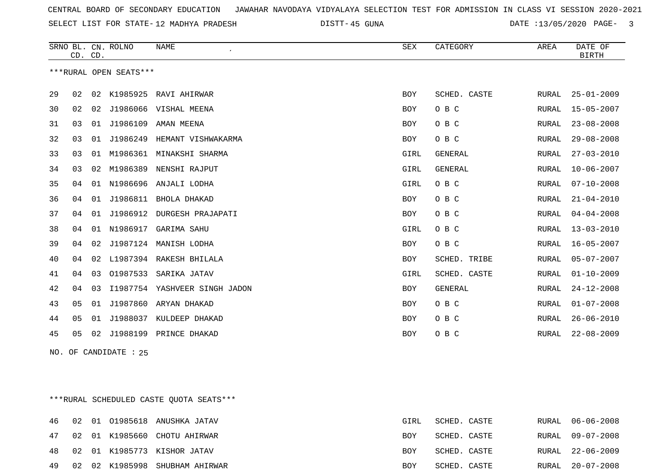SELECT LIST FOR STATE- DISTT- 12 MADHYA PRADESH

45 GUNA DATE :13/05/2020 PAGE- 3

|    | CD. CD. |    | SRNO BL. CN. ROLNO     | <b>NAME</b><br>$\cdot$ | <b>SEX</b> | CATEGORY       | AREA         | DATE OF<br><b>BIRTH</b> |
|----|---------|----|------------------------|------------------------|------------|----------------|--------------|-------------------------|
|    |         |    | ***RURAL OPEN SEATS*** |                        |            |                |              |                         |
| 29 | 02      | 02 | K1985925               | RAVI AHIRWAR           | <b>BOY</b> | SCHED. CASTE   | RURAL        | $25 - 01 - 2009$        |
| 30 | 02      | 02 | J1986066               | VISHAL MEENA           | BOY        | O B C          | RURAL        | $15 - 05 - 2007$        |
| 31 | 03      | 01 | J1986109               | AMAN MEENA             | <b>BOY</b> | O B C          | RURAL        | $23 - 08 - 2008$        |
| 32 | 03      | 01 | J1986249               | HEMANT VISHWAKARMA     | BOY        | O B C          | RURAL        | $29 - 08 - 2008$        |
| 33 | 03      | 01 | M1986361               | MINAKSHI SHARMA        | GIRL       | <b>GENERAL</b> | RURAL        | $27 - 03 - 2010$        |
| 34 | 03      | 02 | M1986389               | NENSHI RAJPUT          | GIRL       | <b>GENERAL</b> | <b>RURAL</b> | $10 - 06 - 2007$        |
| 35 | 04      | 01 | N1986696               | ANJALI LODHA           | GIRL       | O B C          | RURAL        | $07 - 10 - 2008$        |
| 36 | 04      | 01 | J1986811               | BHOLA DHAKAD           | <b>BOY</b> | O B C          | RURAL        | $21 - 04 - 2010$        |
| 37 | 04      | 01 | J1986912               | DURGESH PRAJAPATI      | <b>BOY</b> | O B C          | RURAL        | $04 - 04 - 2008$        |
| 38 | 04      | 01 | N1986917               | GARIMA SAHU            | GIRL       | O B C          | RURAL        | $13 - 03 - 2010$        |
| 39 | 04      | 02 | J1987124               | MANISH LODHA           | BOY        | O B C          | RURAL        | $16 - 05 - 2007$        |
| 40 | 04      | 02 | L1987394               | RAKESH BHILALA         | <b>BOY</b> | SCHED. TRIBE   | RURAL        | $05 - 07 - 2007$        |
| 41 | 04      | 03 | 01987533               | SARIKA JATAV           | GIRL       | SCHED. CASTE   | RURAL        | $01 - 10 - 2009$        |
| 42 | 04      | 03 | I1987754               | YASHVEER SINGH JADON   | <b>BOY</b> | <b>GENERAL</b> | RURAL        | $24 - 12 - 2008$        |
| 43 | 05      | 01 | J1987860               | ARYAN DHAKAD           | <b>BOY</b> | O B C          | RURAL        | $01 - 07 - 2008$        |
| 44 | 05      | 01 | J1988037               | KULDEEP DHAKAD         | <b>BOY</b> | O B C          | <b>RURAL</b> | $26 - 06 - 2010$        |
| 45 | 05      | 02 | J1988199               | PRINCE DHAKAD          | BOY        | O B C          | <b>RURAL</b> | $22 - 08 - 2009$        |

NO. OF CANDIDATE : 25

\*\*\*RURAL SCHEDULED CASTE QUOTA SEATS\*\*\*

|  |  | 46 02 01 01985618 ANUSHKA JATAV   | GIRL | SCHED. CASTE |  | RURAL 06-06-2008 |
|--|--|-----------------------------------|------|--------------|--|------------------|
|  |  | 47 02 01 K1985660 CHOTU AHIRWAR   | BOY  | SCHED. CASTE |  | RURAL 09-07-2008 |
|  |  | 48 02 01 K1985773 KISHOR JATAV    | BOY  | SCHED. CASTE |  | RURAL 22-06-2009 |
|  |  | 49 02 02 K1985998 SHUBHAM AHIRWAR | BOY  | SCHED. CASTE |  | RURAL 20-07-2008 |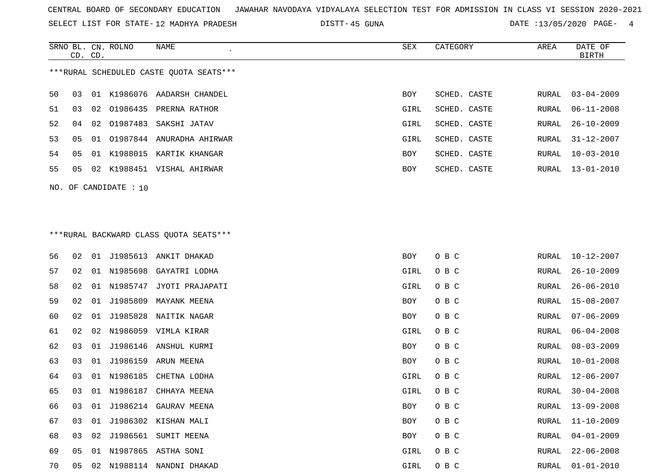SELECT LIST FOR STATE- DISTT- 12 MADHYA PRADESH

45 GUNA DATE :13/05/2020 PAGE- 4

|    |                                         |  | SRNO BL. CN. ROLNO      | NAME                         | SEX        | CATEGORY     | AREA  | DATE OF          |  |  |
|----|-----------------------------------------|--|-------------------------|------------------------------|------------|--------------|-------|------------------|--|--|
|    | CD. CD.                                 |  |                         |                              |            |              |       | BIRTH            |  |  |
|    | ***RURAL SCHEDULED CASTE OUOTA SEATS*** |  |                         |                              |            |              |       |                  |  |  |
| 50 | 03                                      |  |                         | 01 K1986076 AADARSH CHANDEL  | <b>BOY</b> | SCHED. CASTE | RURAL | $03 - 04 - 2009$ |  |  |
| 51 | 03                                      |  |                         | 02 01986435 PRERNA RATHOR    | GIRL       | SCHED. CASTE | RURAL | $06 - 11 - 2008$ |  |  |
| 52 | 04                                      |  |                         | 02 01987483 SAKSHI JATAV     | GIRL       | SCHED. CASTE | RURAL | 26-10-2009       |  |  |
| 53 | 05                                      |  |                         | 01 01987844 ANURADHA AHIRWAR | GIRL       | SCHED. CASTE | RURAL | 31-12-2007       |  |  |
| 54 | 05                                      |  |                         | 01 K1988015 KARTIK KHANGAR   | BOY        | SCHED. CASTE | RURAL | $10 - 03 - 2010$ |  |  |
| 55 | 05                                      |  |                         | 02 K1988451 VISHAL AHIRWAR   | <b>BOY</b> | SCHED. CASTE | RURAL | 13-01-2010       |  |  |
|    |                                         |  | NO. OF CANDIDATE : $10$ |                              |            |              |       |                  |  |  |
|    |                                         |  |                         |                              |            |              |       |                  |  |  |

# \*\*\*RURAL BACKWARD CLASS QUOTA SEATS\*\*\*

| 56 | 02 | 01 |             | J1985613 ANKIT DHAKAD     | <b>BOY</b> | O B C | RURAL | 10-12-2007       |
|----|----|----|-------------|---------------------------|------------|-------|-------|------------------|
| 57 | 02 | 01 | N1985698    | GAYATRI LODHA             | GIRL       | O B C | RURAL | $26 - 10 - 2009$ |
| 58 | 02 |    | 01 N1985747 | JYOTI PRAJAPATI           | GIRL       | O B C | RURAL | $26 - 06 - 2010$ |
| 59 | 02 | 01 | J1985809    | MAYANK MEENA              | BOY        | O B C | RURAL | $15 - 08 - 2007$ |
| 60 | 02 | 01 |             | J1985828 NAITIK NAGAR     | BOY        | O B C | RURAL | $07 - 06 - 2009$ |
| 61 | 02 |    |             | 02 N1986059 VIMLA KIRAR   | GIRL       | O B C | RURAL | $06 - 04 - 2008$ |
| 62 | 03 | 01 |             | J1986146 ANSHUL KURMI     | BOY        | O B C | RURAL | $08 - 03 - 2009$ |
| 63 | 03 | 01 |             | J1986159 ARUN MEENA       | BOY        | O B C | RURAL | $10 - 01 - 2008$ |
| 64 | 03 | 01 | N1986185    | CHETNA LODHA              | GIRL       | O B C | RURAL | $12 - 06 - 2007$ |
| 65 | 03 |    | 01 N1986187 | CHHAYA MEENA              | GIRL       | O B C | RURAL | $30 - 04 - 2008$ |
| 66 | 03 | 01 | J1986214    | GAURAV MEENA              | <b>BOY</b> | O B C | RURAL | $13 - 09 - 2008$ |
| 67 | 03 | 01 |             | J1986302 KISHAN MALI      | BOY        | O B C | RURAL | $11 - 10 - 2009$ |
| 68 | 03 | 02 | J1986561    | SUMIT MEENA               | BOY        | O B C | RURAL | $04 - 01 - 2009$ |
| 69 | 05 | 01 |             | N1987865 ASTHA SONI       | GIRL       | O B C | RURAL | $22 - 06 - 2008$ |
| 70 | 05 |    |             | 02 N1988114 NANDNI DHAKAD | GIRL       | O B C | RURAL | $01 - 01 - 2010$ |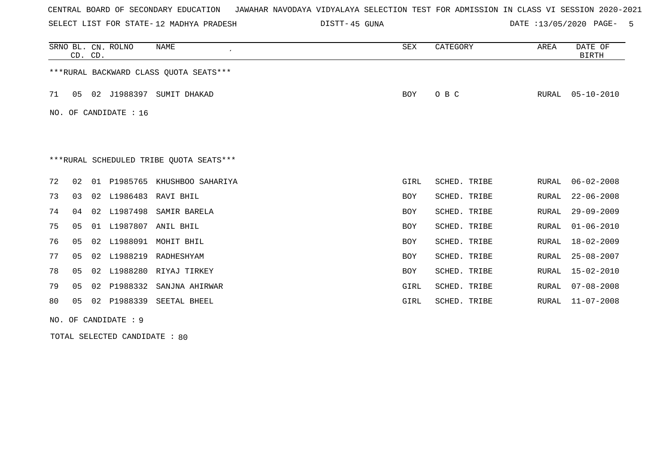SELECT LIST FOR STATE- DISTT- 12 MADHYA PRADESH

45 GUNA DATE :13/05/2020 PAGE- 5

|    |                                         | CD. CD. | SRNO BL. CN. ROLNO | NAME                                   | SEX        | CATEGORY     | AREA  | DATE OF<br><b>BIRTH</b> |  |  |  |
|----|-----------------------------------------|---------|--------------------|----------------------------------------|------------|--------------|-------|-------------------------|--|--|--|
|    |                                         |         |                    | ***RURAL BACKWARD CLASS OUOTA SEATS*** |            |              |       |                         |  |  |  |
| 71 | 05                                      |         |                    | 02 J1988397 SUMIT DHAKAD               | <b>BOY</b> | O B C        | RURAL | $05 - 10 - 2010$        |  |  |  |
|    | OF CANDIDATE : 16<br>NO.                |         |                    |                                        |            |              |       |                         |  |  |  |
|    |                                         |         |                    |                                        |            |              |       |                         |  |  |  |
|    | ***RURAL SCHEDULED TRIBE QUOTA SEATS*** |         |                    |                                        |            |              |       |                         |  |  |  |
| 72 | 02                                      |         |                    | 01 P1985765 KHUSHBOO SAHARIYA          | GIRL       | SCHED. TRIBE | RURAL | $06 - 02 - 2008$        |  |  |  |
| 73 | 03                                      |         |                    | 02 L1986483 RAVI BHIL                  | <b>BOY</b> | SCHED. TRIBE | RURAL | $22 - 06 - 2008$        |  |  |  |
| 74 | 04                                      | 02      | L1987498           | SAMIR BARELA                           | <b>BOY</b> | SCHED. TRIBE | RURAL | $29 - 09 - 2009$        |  |  |  |
| 75 | 05                                      | 01      | L1987807           | ANIL BHIL                              | <b>BOY</b> | SCHED. TRIBE | RURAL | $01 - 06 - 2010$        |  |  |  |
| 76 | 05                                      | 02      | L1988091           | MOHIT BHIL                             | <b>BOY</b> | SCHED. TRIBE | RURAL | $18 - 02 - 2009$        |  |  |  |
| 77 | 05                                      | 02      | L1988219           | RADHESHYAM                             | <b>BOY</b> | SCHED. TRIBE | RURAL | $25 - 08 - 2007$        |  |  |  |
| 78 | 05                                      | 02      |                    | L1988280 RIYAJ TIRKEY                  | <b>BOY</b> | SCHED. TRIBE | RURAL | $15 - 02 - 2010$        |  |  |  |
| 79 | 05                                      | 02      | P1988332           | SANJNA AHIRWAR                         | GIRL       | SCHED. TRIBE | RURAL | $07 - 08 - 2008$        |  |  |  |
| 80 | 05                                      |         |                    | 02 P1988339 SEETAL BHEEL               | GIRL       | SCHED. TRIBE | RURAL | $11 - 07 - 2008$        |  |  |  |
|    | NO. OF CANDIDATE : 9                    |         |                    |                                        |            |              |       |                         |  |  |  |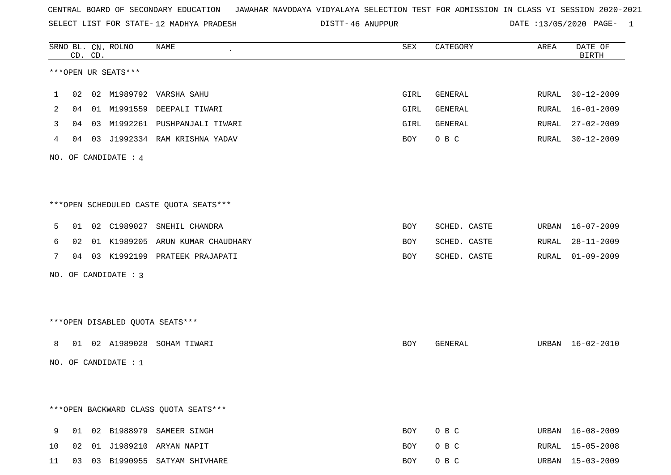SELECT LIST FOR STATE- DISTT- 12 MADHYA PRADESH

46 ANUPPUR DATE :13/05/2020 PAGE- 1

|    |    | CD. CD. | SRNO BL. CN. ROLNO              | NAME                                   | SEX        | CATEGORY     | AREA  | DATE OF<br><b>BIRTH</b> |
|----|----|---------|---------------------------------|----------------------------------------|------------|--------------|-------|-------------------------|
|    |    |         | ***OPEN UR SEATS***             |                                        |            |              |       |                         |
| 1  | 02 |         |                                 | 02 M1989792 VARSHA SAHU                | GIRL       | GENERAL      | RURAL | 30-12-2009              |
| 2  | 04 |         |                                 | 01 M1991559 DEEPALI TIWARI             | GIRL       | GENERAL      | RURAL | $16 - 01 - 2009$        |
| 3  | 04 |         |                                 | 03 M1992261 PUSHPANJALI TIWARI         | GIRL       | GENERAL      | RURAL | $27 - 02 - 2009$        |
| 4  | 04 |         |                                 | 03 J1992334 RAM KRISHNA YADAV          | BOY        | O B C        | RURAL | $30 - 12 - 2009$        |
|    |    |         | NO. OF CANDIDATE : $4$          |                                        |            |              |       |                         |
|    |    |         |                                 |                                        |            |              |       |                         |
|    |    |         |                                 |                                        |            |              |       |                         |
|    |    |         |                                 | ***OPEN SCHEDULED CASTE QUOTA SEATS*** |            |              |       |                         |
| 5  | 01 |         |                                 | 02 C1989027 SNEHIL CHANDRA             | <b>BOY</b> | SCHED. CASTE |       | URBAN 16-07-2009        |
| 6  | 02 |         |                                 | 01 K1989205 ARUN KUMAR CHAUDHARY       | <b>BOY</b> | SCHED. CASTE | RURAL | $28 - 11 - 2009$        |
| 7  |    |         |                                 | 04 03 K1992199 PRATEEK PRAJAPATI       | BOY        | SCHED. CASTE |       | RURAL 01-09-2009        |
|    |    |         | NO. OF CANDIDATE : 3            |                                        |            |              |       |                         |
|    |    |         |                                 |                                        |            |              |       |                         |
|    |    |         |                                 |                                        |            |              |       |                         |
|    |    |         | ***OPEN DISABLED QUOTA SEATS*** |                                        |            |              |       |                         |
| 8  |    |         |                                 | 01 02 A1989028 SOHAM TIWARI            | BOY        | GENERAL      |       | URBAN 16-02-2010        |
|    |    |         | NO. OF CANDIDATE : $1$          |                                        |            |              |       |                         |
|    |    |         |                                 |                                        |            |              |       |                         |
|    |    |         |                                 |                                        |            |              |       |                         |
|    |    |         |                                 | *** OPEN BACKWARD CLASS QUOTA SEATS*** |            |              |       |                         |
| 9  | 01 |         |                                 | 02 B1988979 SAMEER SINGH               | BOY        | O B C        |       | URBAN 16-08-2009        |
| 10 |    |         |                                 | 02 01 J1989210 ARYAN NAPIT             | BOY        | O B C        |       | RURAL 15-05-2008        |

11 03 03 B1990955 SATYAM SHIVHARE BOY O B C URBAN 15-03-2009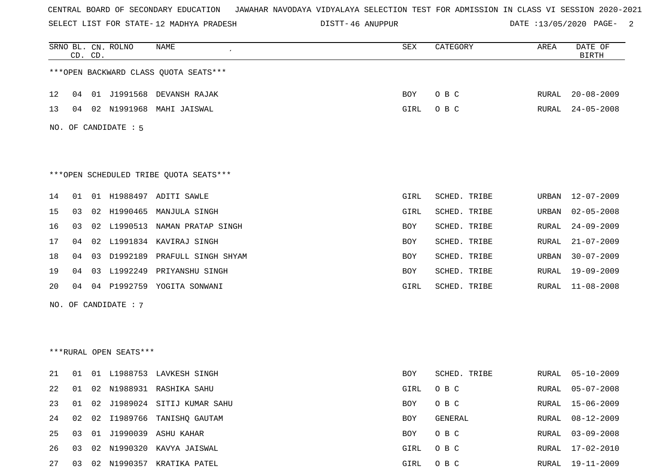SELECT LIST FOR STATE- DISTT- 12 MADHYA PRADESH

46 ANUPPUR DATE :13/05/2020 PAGE- 2

|    |    | CD. CD. | SRNO BL. CN. ROLNO     | NAME                                   | SEX  | CATEGORY     | AREA  | DATE OF<br><b>BIRTH</b> |
|----|----|---------|------------------------|----------------------------------------|------|--------------|-------|-------------------------|
|    |    |         |                        | *** OPEN BACKWARD CLASS QUOTA SEATS*** |      |              |       |                         |
| 12 |    |         |                        | 04 01 J1991568 DEVANSH RAJAK           | BOY  | O B C        | RURAL | $20 - 08 - 2009$        |
| 13 |    |         |                        | 04 02 N1991968 MAHI JAISWAL            | GIRL | O B C        | RURAL | $24 - 05 - 2008$        |
|    |    |         | NO. OF CANDIDATE : 5   |                                        |      |              |       |                         |
|    |    |         |                        | ***OPEN SCHEDULED TRIBE QUOTA SEATS*** |      |              |       |                         |
| 14 | 01 |         |                        | 01 H1988497 ADITI SAWLE                | GIRL | SCHED. TRIBE | URBAN | 12-07-2009              |
| 15 | 03 |         |                        | 02 H1990465 MANJULA SINGH              | GIRL | SCHED. TRIBE | URBAN | $02 - 05 - 2008$        |
| 16 |    |         |                        | 03 02 L1990513 NAMAN PRATAP SINGH      | BOY  | SCHED. TRIBE | RURAL | $24 - 09 - 2009$        |
| 17 | 04 |         |                        | 02 L1991834 KAVIRAJ SINGH              | BOY  | SCHED. TRIBE | RURAL | $21 - 07 - 2009$        |
| 18 | 04 |         |                        | 03 D1992189 PRAFULL SINGH SHYAM        | BOY  | SCHED. TRIBE | URBAN | $30 - 07 - 2009$        |
| 19 | 04 |         | 03 L1992249            | PRIYANSHU SINGH                        | BOY  | SCHED. TRIBE | RURAL | 19-09-2009              |
| 20 |    |         |                        | 04 04 P1992759 YOGITA SONWANI          | GIRL | SCHED. TRIBE | RURAL | 11-08-2008              |
|    |    |         | NO. OF CANDIDATE : 7   |                                        |      |              |       |                         |
|    |    |         |                        |                                        |      |              |       |                         |
|    |    |         |                        |                                        |      |              |       |                         |
|    |    |         | ***RURAL OPEN SEATS*** |                                        |      |              |       |                         |
| 21 |    |         |                        | 01 01 L1988753 LAVKESH SINGH           | BOY  | SCHED. TRIBE | RURAL | 05-10-2009              |
| 22 |    |         |                        | 01 02 N1988931 RASHIKA SAHU            | GIRL | O B C        | RURAL | $05 - 07 - 2008$        |
| 23 |    |         |                        | 01 02 J1989024 SITIJ KUMAR SAHU        | BOY  | O B C        | RURAL | 15-06-2009              |
| 24 |    |         |                        | 02 02 I1989766 TANISHQ GAUTAM          | BOY  | GENERAL      | RURAL | $08 - 12 - 2009$        |
| 25 | 03 |         |                        | 01 J1990039 ASHU KAHAR                 | BOY  | O B C        | RURAL | $03 - 09 - 2008$        |
| 26 | 03 |         |                        | 02 N1990320 KAVYA JAISWAL              | GIRL | O B C        | RURAL | $17 - 02 - 2010$        |
| 27 |    |         |                        | 03 02 N1990357 KRATIKA PATEL           | GIRL | O B C        |       | RURAL 19-11-2009        |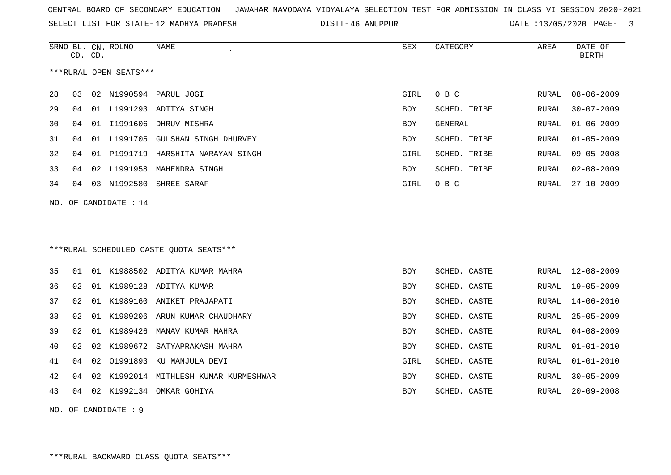SELECT LIST FOR STATE- DISTT- 12 MADHYA PRADESH

46 ANUPPUR DATE :13/05/2020 PAGE- 3

| ***RURAL OPEN SEATS***<br>28<br>03<br>02<br>N1990594<br>PARUL JOGI<br>GIRL<br>O B C<br>RURAL<br>01 L1991293 ADITYA SINGH<br>29<br>04<br><b>BOY</b><br>SCHED. TRIBE<br>RURAL<br>01 I1991606<br>30<br>DHRUV MISHRA<br>GENERAL<br>04<br>BOY<br>RURAL<br>04<br>01 L1991705<br><b>GULSHAN SINGH DHURVEY</b><br><b>SCHED. TRIBE</b><br>31<br><b>BOY</b><br><b>RURAL</b><br>32<br>01 P1991719 HARSHITA NARAYAN SINGH<br>04<br>GIRL<br>SCHED. TRIBE<br>RURAL<br>33<br>04<br>02<br>L1991958<br>MAHENDRA SINGH<br>BOY<br>SCHED. TRIBE<br>RURAL<br>03 N1992580<br>O B C<br>34<br>04<br>SHREE SARAF<br>GIRL<br>RURAL<br>NO. OF CANDIDATE : 14<br>***RURAL SCHEDULED CASTE QUOTA SEATS***<br>35<br>01 K1988502 ADITYA KUMAR MAHRA<br>SCHED. CASTE<br>01<br><b>BOY</b><br>RURAL<br>01 K1989128 ADITYA KUMAR<br>SCHED. CASTE<br>36<br>02<br><b>BOY</b><br>RURAL<br>01 K1989160 ANIKET PRAJAPATI<br>37<br>02<br>SCHED. CASTE<br><b>RURAL</b><br>BOY<br>38<br>02<br>01 K1989206 ARUN KUMAR CHAUDHARY<br>SCHED. CASTE<br><b>BOY</b><br>RURAL<br>39<br>02<br>01 K1989426<br>MANAV KUMAR MAHRA<br><b>BOY</b><br>SCHED. CASTE<br>RURAL<br>40<br>02<br>02<br>K1989672<br>SATYAPRAKASH MAHRA<br>SCHED. CASTE<br>BOY<br>RURAL<br>01991893 KU MANJULA DEVI<br>SCHED. CASTE<br>41<br>04<br>02<br>GIRL<br>RURAL<br>K1992014 MITHLESH KUMAR KURMESHWAR<br>42<br>04<br>02<br><b>BOY</b><br>SCHED. CASTE<br><b>RURAL</b><br>02 K1992134 OMKAR GOHIYA |    | CD. CD. | SRNO BL. CN. ROLNO | NAME<br>$\epsilon$ | <b>SEX</b> | CATEGORY     | AREA  | DATE OF<br><b>BIRTH</b> |
|------------------------------------------------------------------------------------------------------------------------------------------------------------------------------------------------------------------------------------------------------------------------------------------------------------------------------------------------------------------------------------------------------------------------------------------------------------------------------------------------------------------------------------------------------------------------------------------------------------------------------------------------------------------------------------------------------------------------------------------------------------------------------------------------------------------------------------------------------------------------------------------------------------------------------------------------------------------------------------------------------------------------------------------------------------------------------------------------------------------------------------------------------------------------------------------------------------------------------------------------------------------------------------------------------------------------------------------------------------------------------------------------------------------------|----|---------|--------------------|--------------------|------------|--------------|-------|-------------------------|
|                                                                                                                                                                                                                                                                                                                                                                                                                                                                                                                                                                                                                                                                                                                                                                                                                                                                                                                                                                                                                                                                                                                                                                                                                                                                                                                                                                                                                        |    |         |                    |                    |            |              |       |                         |
|                                                                                                                                                                                                                                                                                                                                                                                                                                                                                                                                                                                                                                                                                                                                                                                                                                                                                                                                                                                                                                                                                                                                                                                                                                                                                                                                                                                                                        |    |         |                    |                    |            |              |       | $08 - 06 - 2009$        |
|                                                                                                                                                                                                                                                                                                                                                                                                                                                                                                                                                                                                                                                                                                                                                                                                                                                                                                                                                                                                                                                                                                                                                                                                                                                                                                                                                                                                                        |    |         |                    |                    |            |              |       | $30 - 07 - 2009$        |
|                                                                                                                                                                                                                                                                                                                                                                                                                                                                                                                                                                                                                                                                                                                                                                                                                                                                                                                                                                                                                                                                                                                                                                                                                                                                                                                                                                                                                        |    |         |                    |                    |            |              |       | $01 - 06 - 2009$        |
|                                                                                                                                                                                                                                                                                                                                                                                                                                                                                                                                                                                                                                                                                                                                                                                                                                                                                                                                                                                                                                                                                                                                                                                                                                                                                                                                                                                                                        |    |         |                    |                    |            |              |       | $01 - 05 - 2009$        |
|                                                                                                                                                                                                                                                                                                                                                                                                                                                                                                                                                                                                                                                                                                                                                                                                                                                                                                                                                                                                                                                                                                                                                                                                                                                                                                                                                                                                                        |    |         |                    |                    |            |              |       | $09 - 05 - 2008$        |
|                                                                                                                                                                                                                                                                                                                                                                                                                                                                                                                                                                                                                                                                                                                                                                                                                                                                                                                                                                                                                                                                                                                                                                                                                                                                                                                                                                                                                        |    |         |                    |                    |            |              |       | $02 - 08 - 2009$        |
|                                                                                                                                                                                                                                                                                                                                                                                                                                                                                                                                                                                                                                                                                                                                                                                                                                                                                                                                                                                                                                                                                                                                                                                                                                                                                                                                                                                                                        |    |         |                    |                    |            |              |       | $27 - 10 - 2009$        |
|                                                                                                                                                                                                                                                                                                                                                                                                                                                                                                                                                                                                                                                                                                                                                                                                                                                                                                                                                                                                                                                                                                                                                                                                                                                                                                                                                                                                                        |    |         |                    |                    |            |              |       |                         |
|                                                                                                                                                                                                                                                                                                                                                                                                                                                                                                                                                                                                                                                                                                                                                                                                                                                                                                                                                                                                                                                                                                                                                                                                                                                                                                                                                                                                                        |    |         |                    |                    |            |              |       |                         |
|                                                                                                                                                                                                                                                                                                                                                                                                                                                                                                                                                                                                                                                                                                                                                                                                                                                                                                                                                                                                                                                                                                                                                                                                                                                                                                                                                                                                                        |    |         |                    |                    |            |              |       |                         |
|                                                                                                                                                                                                                                                                                                                                                                                                                                                                                                                                                                                                                                                                                                                                                                                                                                                                                                                                                                                                                                                                                                                                                                                                                                                                                                                                                                                                                        |    |         |                    |                    |            |              |       |                         |
|                                                                                                                                                                                                                                                                                                                                                                                                                                                                                                                                                                                                                                                                                                                                                                                                                                                                                                                                                                                                                                                                                                                                                                                                                                                                                                                                                                                                                        |    |         |                    |                    |            |              |       | $12 - 08 - 2009$        |
|                                                                                                                                                                                                                                                                                                                                                                                                                                                                                                                                                                                                                                                                                                                                                                                                                                                                                                                                                                                                                                                                                                                                                                                                                                                                                                                                                                                                                        |    |         |                    |                    |            |              |       | $19 - 05 - 2009$        |
|                                                                                                                                                                                                                                                                                                                                                                                                                                                                                                                                                                                                                                                                                                                                                                                                                                                                                                                                                                                                                                                                                                                                                                                                                                                                                                                                                                                                                        |    |         |                    |                    |            |              |       | $14 - 06 - 2010$        |
|                                                                                                                                                                                                                                                                                                                                                                                                                                                                                                                                                                                                                                                                                                                                                                                                                                                                                                                                                                                                                                                                                                                                                                                                                                                                                                                                                                                                                        |    |         |                    |                    |            |              |       | $25 - 05 - 2009$        |
|                                                                                                                                                                                                                                                                                                                                                                                                                                                                                                                                                                                                                                                                                                                                                                                                                                                                                                                                                                                                                                                                                                                                                                                                                                                                                                                                                                                                                        |    |         |                    |                    |            |              |       | $04 - 08 - 2009$        |
|                                                                                                                                                                                                                                                                                                                                                                                                                                                                                                                                                                                                                                                                                                                                                                                                                                                                                                                                                                                                                                                                                                                                                                                                                                                                                                                                                                                                                        |    |         |                    |                    |            |              |       | $01 - 01 - 2010$        |
|                                                                                                                                                                                                                                                                                                                                                                                                                                                                                                                                                                                                                                                                                                                                                                                                                                                                                                                                                                                                                                                                                                                                                                                                                                                                                                                                                                                                                        |    |         |                    |                    |            |              |       | $01 - 01 - 2010$        |
|                                                                                                                                                                                                                                                                                                                                                                                                                                                                                                                                                                                                                                                                                                                                                                                                                                                                                                                                                                                                                                                                                                                                                                                                                                                                                                                                                                                                                        |    |         |                    |                    |            |              |       | $30 - 05 - 2009$        |
|                                                                                                                                                                                                                                                                                                                                                                                                                                                                                                                                                                                                                                                                                                                                                                                                                                                                                                                                                                                                                                                                                                                                                                                                                                                                                                                                                                                                                        | 43 | 04      |                    |                    | BOY        | SCHED. CASTE | RURAL | $20 - 09 - 2008$        |

NO. OF CANDIDATE : 9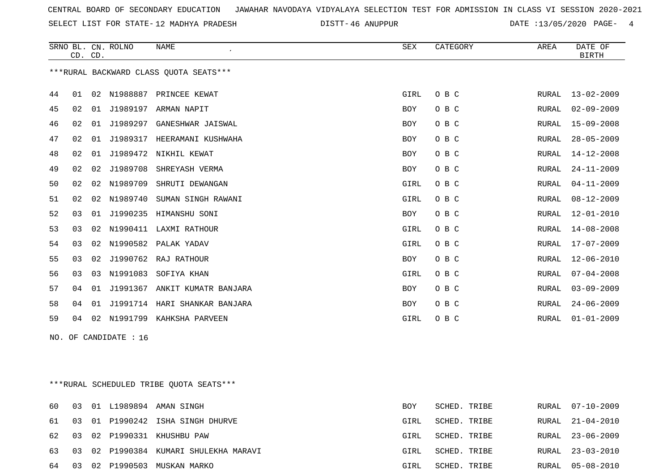SELECT LIST FOR STATE- DISTT- 12 MADHYA PRADESH

46 ANUPPUR DATE :13/05/2020 PAGE- 4

|    |    | CD. CD. | SRNO BL. CN. ROLNO      | NAME<br>$\epsilon$                      | SEX        | CATEGORY | AREA  | DATE OF<br><b>BIRTH</b> |
|----|----|---------|-------------------------|-----------------------------------------|------------|----------|-------|-------------------------|
|    |    |         |                         | *** RURAL BACKWARD CLASS QUOTA SEATS*** |            |          |       |                         |
| 44 | 01 |         |                         | 02 N1988887 PRINCEE KEWAT               | GIRL       | O B C    | RURAL | $13 - 02 - 2009$        |
| 45 | 02 |         |                         | 01 J1989197 ARMAN NAPIT                 | BOY        | O B C    | RURAL | $02 - 09 - 2009$        |
| 46 | 02 | 01      | J1989297                | GANESHWAR JAISWAL                       | BOY        | O B C    | RURAL | $15 - 09 - 2008$        |
| 47 | 02 | 01      | J1989317                | HEERAMANI KUSHWAHA                      | <b>BOY</b> | O B C    | RURAL | $28 - 05 - 2009$        |
| 48 | 02 |         |                         | 01 J1989472 NIKHIL KEWAT                | <b>BOY</b> | O B C    | RURAL | 14-12-2008              |
| 49 | 02 | 02      | J1989708                | SHREYASH VERMA                          | BOY        | O B C    | RURAL | $24 - 11 - 2009$        |
| 50 | 02 | 02      | N1989709                | SHRUTI DEWANGAN                         | GIRL       | O B C    | RURAL | $04 - 11 - 2009$        |
| 51 | 02 |         | 02 N1989740             | SUMAN SINGH RAWANI                      | GIRL       | O B C    | RURAL | $08 - 12 - 2009$        |
| 52 | 03 | 01      |                         | J1990235 HIMANSHU SONI                  | BOY        | O B C    | RURAL | $12 - 01 - 2010$        |
| 53 | 03 | 02      |                         | N1990411 LAXMI RATHOUR                  | GIRL       | O B C    | RURAL | $14 - 08 - 2008$        |
| 54 | 03 |         |                         | 02 N1990582 PALAK YADAV                 | GIRL       | O B C    | RURAL | 17-07-2009              |
| 55 | 03 | 02      |                         | J1990762 RAJ RATHOUR                    | BOY        | O B C    | RURAL | $12 - 06 - 2010$        |
| 56 | 03 | 03      | N1991083                | SOFIYA KHAN                             | GIRL       | O B C    | RURAL | $07 - 04 - 2008$        |
| 57 | 04 |         |                         | 01 J1991367 ANKIT KUMATR BANJARA        | BOY        | O B C    | RURAL | $03 - 09 - 2009$        |
| 58 | 04 | 01      |                         | J1991714 HARI SHANKAR BANJARA           | BOY        | O B C    | RURAL | $24 - 06 - 2009$        |
| 59 | 04 |         | 02 N1991799             | KAHKSHA PARVEEN                         | GIRL       | O B C    | RURAL | $01 - 01 - 2009$        |
|    |    |         | NO. OF CANDIDATE : $16$ |                                         |            |          |       |                         |
|    |    |         |                         |                                         |            |          |       |                         |
|    |    |         |                         |                                         |            |          |       |                         |
|    |    |         |                         |                                         |            |          |       |                         |

\*\*\*RURAL SCHEDULED TRIBE QUOTA SEATS\*\*\*

|       |  | 60 03 01 L1989894 AMAN SINGH             | <b>BOY</b> | SCHED. TRIBE |  | RURAL 07-10-2009 |
|-------|--|------------------------------------------|------------|--------------|--|------------------|
|       |  | 61 03 01 P1990242 ISHA SINGH DHURVE      | GIRL       | SCHED. TRIBE |  | RURAL 21-04-2010 |
|       |  | 62 03 02 P1990331 KHUSHBU PAW            | GIRL       | SCHED. TRIBE |  | RURAL 23-06-2009 |
|       |  | 63 03 02 P1990384 KUMARI SHULEKHA MARAVI | GIRL       | SCHED. TRIBE |  | RURAL 23-03-2010 |
| 64 03 |  | 02 P1990503 MUSKAN MARKO                 | GIRL       | SCHED. TRIBE |  | RURAL 05-08-2010 |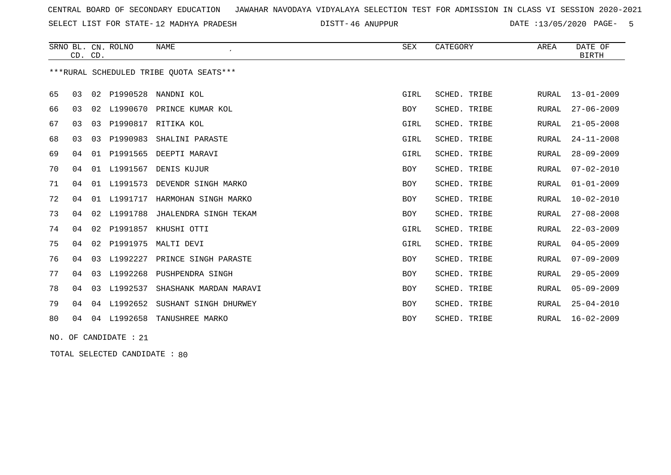SELECT LIST FOR STATE- DISTT- 12 MADHYA PRADESH

46 ANUPPUR DATE :13/05/2020 PAGE- 5

|    |    | CD. CD. | SRNO BL. CN. ROLNO | <b>NAME</b><br>$\lambda$                | SEX        | CATEGORY     | AREA         | DATE OF<br><b>BIRTH</b> |
|----|----|---------|--------------------|-----------------------------------------|------------|--------------|--------------|-------------------------|
|    |    |         |                    | ***RURAL SCHEDULED TRIBE OUOTA SEATS*** |            |              |              |                         |
| 65 | 03 |         | 02 P1990528        | NANDNI KOL                              | GIRL       | SCHED. TRIBE | <b>RURAL</b> | $13 - 01 - 2009$        |
| 66 | 03 | 02      | L1990670           | PRINCE KUMAR KOL                        | BOY        | SCHED. TRIBE | RURAL        | $27 - 06 - 2009$        |
| 67 | 03 | 03      | P1990817           | RITIKA KOL                              | GIRL       | SCHED. TRIBE | <b>RURAL</b> | $21 - 05 - 2008$        |
| 68 | 03 | 03      | P1990983           | SHALINI PARASTE                         | GIRL       | SCHED. TRIBE | RURAL        | $24 - 11 - 2008$        |
| 69 | 04 |         |                    | 01 P1991565 DEEPTI MARAVI               | GIRL       | SCHED. TRIBE | RURAL        | $28 - 09 - 2009$        |
| 70 | 04 | 01      | L1991567           | DENIS KUJUR                             | BOY        | SCHED. TRIBE | RURAL        | $07 - 02 - 2010$        |
| 71 | 04 | 01      | L1991573           | DEVENDR SINGH MARKO                     | <b>BOY</b> | SCHED. TRIBE | RURAL        | $01 - 01 - 2009$        |
| 72 | 04 | 01      | L1991717           | HARMOHAN SINGH MARKO                    | BOY        | SCHED. TRIBE | RURAL        | $10 - 02 - 2010$        |
| 73 | 04 | 02      | L1991788           | JHALENDRA SINGH TEKAM                   | BOY        | SCHED. TRIBE | RURAL        | $27 - 08 - 2008$        |
| 74 | 04 | 02      | P1991857           | KHUSHI OTTI                             | GIRL       | SCHED. TRIBE | RURAL        | $22 - 03 - 2009$        |
| 75 | 04 | 02      | P1991975           | MALTI DEVI                              | GIRL       | SCHED. TRIBE | RURAL        | $04 - 05 - 2009$        |
| 76 | 04 | 03      | L1992227           | PRINCE SINGH PARASTE                    | BOY        | SCHED. TRIBE | RURAL        | $07 - 09 - 2009$        |
| 77 | 04 | 03      | L1992268           | PUSHPENDRA SINGH                        | BOY        | SCHED. TRIBE | RURAL        | $29 - 05 - 2009$        |
| 78 | 04 | 03      | L1992537           | SHASHANK MARDAN MARAVI                  | BOY        | SCHED. TRIBE | RURAL        | $05 - 09 - 2009$        |
| 79 | 04 |         | 04 L1992652        | SUSHANT SINGH DHURWEY                   | BOY        | SCHED. TRIBE | RURAL        | $25 - 04 - 2010$        |
| 80 | 04 |         | 04 L1992658        | TANUSHREE MARKO                         | <b>BOY</b> | SCHED. TRIBE | RURAL        | $16 - 02 - 2009$        |
|    |    |         |                    |                                         |            |              |              |                         |

NO. OF CANDIDATE : 21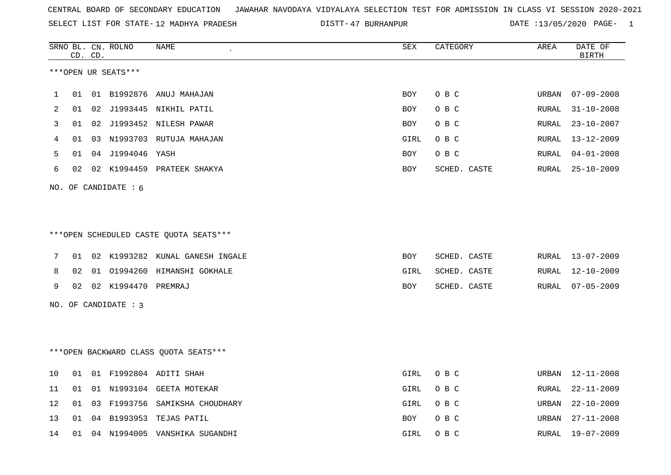SELECT LIST FOR STATE- DISTT- 12 MADHYA PRADESH

47 BURHANPUR DATE :13/05/2020 PAGE- 1

|    |    | CD. CD. | SRNO BL. CN. ROLNO     | NAME                                   | ${\tt SEX}$ | CATEGORY     | AREA  | DATE OF<br><b>BIRTH</b> |
|----|----|---------|------------------------|----------------------------------------|-------------|--------------|-------|-------------------------|
|    |    |         | ***OPEN UR SEATS***    |                                        |             |              |       |                         |
| 1  | 01 |         |                        | 01 B1992876 ANUJ MAHAJAN               | BOY         | O B C        | URBAN | $07 - 09 - 2008$        |
| 2  | 01 |         |                        | 02 J1993445 NIKHIL PATIL               | BOY         | O B C        | RURAL | $31 - 10 - 2008$        |
| 3  | 01 |         |                        | 02 J1993452 NILESH PAWAR               | BOY         | O B C        | RURAL | $23 - 10 - 2007$        |
| 4  | 01 |         |                        | 03 N1993703 RUTUJA MAHAJAN             | GIRL        | O B C        | RURAL | $13 - 12 - 2009$        |
| 5  | 01 |         | 04 J1994046 YASH       |                                        | <b>BOY</b>  | O B C        | RURAL | $04 - 01 - 2008$        |
| 6  | 02 |         |                        | 02 K1994459 PRATEEK SHAKYA             | <b>BOY</b>  | SCHED. CASTE | RURAL | $25 - 10 - 2009$        |
|    |    |         | NO. OF CANDIDATE $: 6$ |                                        |             |              |       |                         |
|    |    |         |                        |                                        |             |              |       |                         |
|    |    |         |                        |                                        |             |              |       |                         |
|    |    |         |                        | ***OPEN SCHEDULED CASTE QUOTA SEATS*** |             |              |       |                         |
| 7  | 01 |         |                        | 02 K1993282 KUNAL GANESH INGALE        | BOY         | SCHED. CASTE |       | RURAL 13-07-2009        |
| 8  | 02 |         |                        | 01 01994260 HIMANSHI GOKHALE           | GIRL        | SCHED. CASTE | RURAL | 12-10-2009              |
| 9  | 02 |         | 02 K1994470 PREMRAJ    |                                        | BOY         | SCHED. CASTE | RURAL | $07 - 05 - 2009$        |
|    |    |         | NO. OF CANDIDATE : 3   |                                        |             |              |       |                         |
|    |    |         |                        |                                        |             |              |       |                         |
|    |    |         |                        |                                        |             |              |       |                         |
|    |    |         |                        | *** OPEN BACKWARD CLASS OUOTA SEATS*** |             |              |       |                         |
| 10 | 01 |         |                        | 01 F1992804 ADITI SHAH                 | GIRL        | O B C        |       | URBAN 12-11-2008        |
| 11 | 01 |         |                        | 01 N1993104 GEETA MOTEKAR              | GIRL        | O B C        | RURAL | $22 - 11 - 2009$        |
| 12 | 01 |         |                        | 03 F1993756 SAMIKSHA CHOUDHARY         | GIRL        | O B C        | URBAN | $22 - 10 - 2009$        |
| 13 | 01 |         |                        | 04 B1993953 TEJAS PATIL                | BOY         | O B C        | URBAN | $27 - 11 - 2008$        |
| 14 | 01 |         |                        | 04 N1994005 VANSHIKA SUGANDHI          | GIRL        | O B C        | RURAL | $19 - 07 - 2009$        |
|    |    |         |                        |                                        |             |              |       |                         |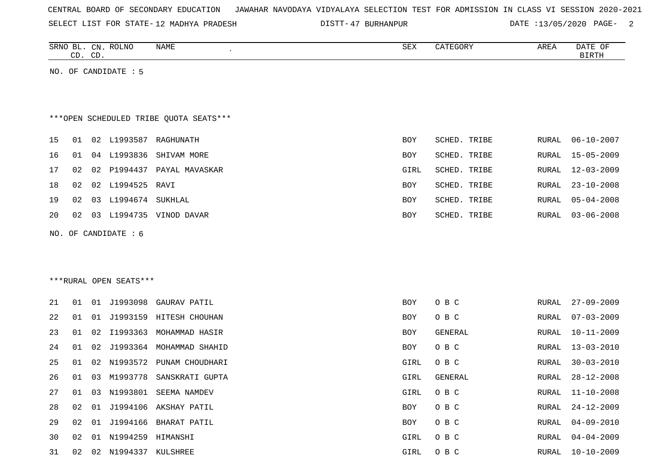| CENTRAL BOARD OF SECONDARY EDUCATION – JAWAHAR NAVODAYA VIDYALAYA SELECTION TEST FOR ADMISSION IN CLASS VI SESSION 2020-2021 |  |  |  |  |
|------------------------------------------------------------------------------------------------------------------------------|--|--|--|--|
|------------------------------------------------------------------------------------------------------------------------------|--|--|--|--|

SELECT LIST FOR STATE-12 MADHYA PRADESH

12 MADHYA PRADESH 47 BURHANPUR DATE :13/05/2020 PAGE- 2

|    | CD. CD. |    | SRNO BL. CN. ROLNO     | NAME<br>$\epsilon$                     | SEX        | CATEGORY     | AREA  | DATE OF<br>BIRTH |
|----|---------|----|------------------------|----------------------------------------|------------|--------------|-------|------------------|
|    |         |    |                        |                                        |            |              |       |                  |
|    |         |    | NO. OF CANDIDATE $: 5$ |                                        |            |              |       |                  |
|    |         |    |                        |                                        |            |              |       |                  |
|    |         |    |                        |                                        |            |              |       |                  |
|    |         |    |                        |                                        |            |              |       |                  |
|    |         |    |                        | ***OPEN SCHEDULED TRIBE OUOTA SEATS*** |            |              |       |                  |
|    |         |    |                        |                                        |            |              |       |                  |
| 15 | 01      | 02 | L1993587               | RAGHUNATH                              | BOY        | SCHED. TRIBE | RURAL | $06 - 10 - 2007$ |
|    |         |    |                        |                                        |            |              |       |                  |
| 16 | 01      | 04 | L1993836               | SHIVAM MORE                            | <b>BOY</b> | SCHED. TRIBE | RURAL | 15-05-2009       |
| 17 | 02      | 02 | P1994437               | PAYAL MAVASKAR                         | GIRL       | SCHED. TRIBE | RURAL | $12 - 03 - 2009$ |
|    |         |    |                        |                                        |            |              |       |                  |
| 18 | 02      | 02 | L1994525               | RAVI                                   | BOY        | SCHED. TRIBE | RURAL | $23 - 10 - 2008$ |
| 19 | 02      | 03 | L1994674               | SUKHLAL                                | BOY        | SCHED. TRIBE | RURAL | $05 - 04 - 2008$ |
| 20 | 02      | 03 | L1994735               | VINOD DAVAR                            | BOY        | SCHED. TRIBE | RURAL | 03-06-2008       |

NO. OF CANDIDATE : 6

\*\*\*RURAL OPEN SEATS\*\*\*

| 21 | 01 | 01 |             | J1993098 GAURAV PATIL       | <b>BOY</b> | O B C   | RURAL | 27-09-2009       |
|----|----|----|-------------|-----------------------------|------------|---------|-------|------------------|
| 22 | 01 | 01 |             | J1993159 HITESH CHOUHAN     | <b>BOY</b> | O B C   |       | RURAL 07-03-2009 |
| 23 | 01 |    | 02 I1993363 | MOHAMMAD HASIR              | BOY        | GENERAL | RURAL | 10-11-2009       |
| 24 | 01 |    |             | 02 J1993364 MOHAMMAD SHAHID | BOY        | O B C   | RURAL | 13-03-2010       |
| 25 | 01 | 02 |             | N1993572 PUNAM CHOUDHARI    | GIRL       | O B C   | RURAL | 30-03-2010       |
| 26 | 01 | 03 | M1993778    | SANSKRATI GUPTA             | GIRL       | GENERAL | RURAL | $28 - 12 - 2008$ |
| 27 | 01 | 03 | N1993801    | SEEMA NAMDEV                | GIRL       | O B C   | RURAL | 11-10-2008       |
| 28 | 02 | 01 |             | J1994106 AKSHAY PATIL       | BOY        | O B C   | RURAL | 24-12-2009       |
| 29 | 02 | 01 | J1994166    | BHARAT PATIL                | BOY        | O B C   | RURAL | 04-09-2010       |
| 30 | 02 | 01 | N1994259    | HIMANSHI                    | GIRL       | O B C   | RURAL | 04-04-2009       |
| 31 | 02 | 02 | N1994337    | KULSHREE                    | GIRL       | O B C   | RURAL | $10 - 10 - 2009$ |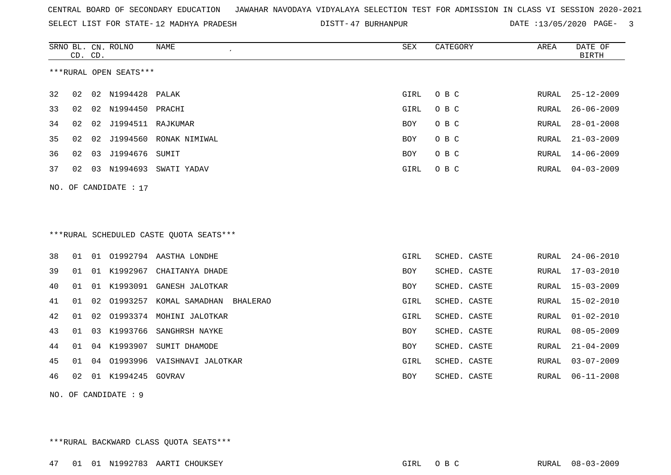SELECT LIST FOR STATE- DISTT- 12 MADHYA PRADESH

DISTT-47 BURHANPUR DATE :13/05/2020 PAGE- 3

|    | CD. CD.               |    | SRNO BL. CN. ROLNO     | <b>NAME</b>                              | <b>SEX</b>  | CATEGORY     | AREA         | DATE OF<br><b>BIRTH</b> |  |  |  |
|----|-----------------------|----|------------------------|------------------------------------------|-------------|--------------|--------------|-------------------------|--|--|--|
|    |                       |    | ***RURAL OPEN SEATS*** |                                          |             |              |              |                         |  |  |  |
| 32 | 02                    |    | 02 N1994428 PALAK      |                                          | GIRL        | O B C        | RURAL        | 25-12-2009              |  |  |  |
| 33 | 02                    | 02 | N1994450               | PRACHI                                   | GIRL        | O B C        | RURAL        | $26 - 06 - 2009$        |  |  |  |
| 34 | 02                    | 02 | J1994511 RAJKUMAR      |                                          | <b>BOY</b>  | O B C        | RURAL        | $28 - 01 - 2008$        |  |  |  |
| 35 | 02                    | 02 | J1994560               | RONAK NIMIWAL                            | BOY         | O B C        | RURAL        | $21 - 03 - 2009$        |  |  |  |
| 36 | 02                    | 03 | J1994676               | SUMIT                                    | BOY         | O B C        | RURAL        | $14 - 06 - 2009$        |  |  |  |
| 37 | 02                    |    |                        | 03 N1994693 SWATI YADAV                  | GIRL        | O B C        | RURAL        | $04 - 03 - 2009$        |  |  |  |
|    | NO. OF CANDIDATE : 17 |    |                        |                                          |             |              |              |                         |  |  |  |
|    |                       |    |                        | *** RURAL SCHEDULED CASTE QUOTA SEATS*** |             |              |              |                         |  |  |  |
| 38 | 01                    |    |                        | 01 01992794 AASTHA LONDHE                | <b>GIRL</b> | SCHED. CASTE | RURAL        | $24 - 06 - 2010$        |  |  |  |
| 39 | 01                    |    |                        | 01 K1992967 CHAITANYA DHADE              | <b>BOY</b>  | SCHED. CASTE | RURAL        | $17 - 03 - 2010$        |  |  |  |
| 40 | 01                    | 01 | K1993091               | GANESH JALOTKAR                          | <b>BOY</b>  | SCHED. CASTE | RURAL        | $15 - 03 - 2009$        |  |  |  |
| 41 | 01                    | 02 | 01993257               | KOMAL SAMADHAN<br>BHALERAO               | GIRL        | SCHED. CASTE | RURAL        | $15 - 02 - 2010$        |  |  |  |
| 42 | 01                    | 02 |                        | 01993374 MOHINI JALOTKAR                 | GIRL        | SCHED. CASTE | RURAL        | $01 - 02 - 2010$        |  |  |  |
| 43 | 01                    | 03 | K1993766               | SANGHRSH NAYKE                           | BOY         | SCHED. CASTE | RURAL        | $08 - 05 - 2009$        |  |  |  |
| 44 | 01                    | 04 | K1993907               | SUMIT DHAMODE                            | BOY         | SCHED. CASTE | RURAL        | $21 - 04 - 2009$        |  |  |  |
| 45 | 01                    | 04 | 01993996               | VAISHNAVI JALOTKAR                       | GIRL        | SCHED. CASTE | RURAL        | $03 - 07 - 2009$        |  |  |  |
| 46 | 02                    | 01 | K1994245               | GOVRAV                                   | <b>BOY</b>  | SCHED. CASTE | <b>RURAL</b> | $06 - 11 - 2008$        |  |  |  |

NO. OF CANDIDATE : 9

\*\*\*RURAL BACKWARD CLASS QUOTA SEATS\*\*\*

47 01 01 N1992783 AARTI CHOUKSEY GIRL O B C RURAL 08-03-2009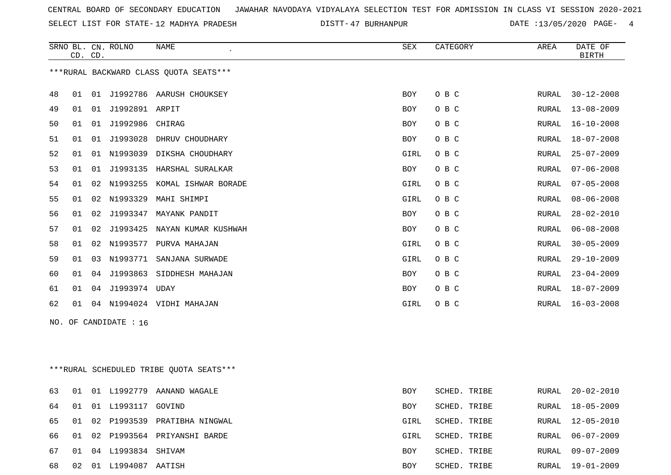SELECT LIST FOR STATE- DISTT- 12 MADHYA PRADESH

47 BURHANPUR DATE :13/05/2020 PAGE- 4

|    |    | CD. CD. | SRNO BL. CN. ROLNO    | <b>NAME</b><br>$\epsilon$              | SEX        | CATEGORY | AREA  | DATE OF<br><b>BIRTH</b> |
|----|----|---------|-----------------------|----------------------------------------|------------|----------|-------|-------------------------|
|    |    |         |                       | ***RURAL BACKWARD CLASS OUOTA SEATS*** |            |          |       |                         |
| 48 | 01 |         |                       | 01 J1992786 AARUSH CHOUKSEY            | BOY        | O B C    | RURAL | $30 - 12 - 2008$        |
| 49 | 01 | 01      | J1992891 ARPIT        |                                        | BOY        | O B C    | RURAL | $13 - 08 - 2009$        |
| 50 | 01 | 01      | J1992986              | CHIRAG                                 | <b>BOY</b> | O B C    | RURAL | $16 - 10 - 2008$        |
| 51 | 01 | 01      | J1993028              | DHRUV CHOUDHARY                        | <b>BOY</b> | O B C    | RURAL | $18 - 07 - 2008$        |
| 52 | 01 | 01      | N1993039              | DIKSHA CHOUDHARY                       | GIRL       | O B C    | RURAL | $25 - 07 - 2009$        |
| 53 | 01 | 01      | J1993135              | HARSHAL SURALKAR                       | <b>BOY</b> | O B C    | RURAL | $07 - 06 - 2008$        |
| 54 | 01 | 02      | N1993255              | KOMAL ISHWAR BORADE                    | GIRL       | O B C    | RURAL | $07 - 05 - 2008$        |
| 55 | 01 | 02      | N1993329              | MAHI SHIMPI                            | GIRL       | O B C    | RURAL | $08 - 06 - 2008$        |
| 56 | 01 | 02      | J1993347              | MAYANK PANDIT                          | <b>BOY</b> | O B C    | RURAL | $28 - 02 - 2010$        |
| 57 | 01 |         | 02 J1993425           | NAYAN KUMAR KUSHWAH                    | BOY        | O B C    | RURAL | $06 - 08 - 2008$        |
| 58 | 01 |         | 02 N1993577           | PURVA MAHAJAN                          | GIRL       | O B C    | RURAL | $30 - 05 - 2009$        |
| 59 | 01 | 03      | N1993771              | SANJANA SURWADE                        | GIRL       | O B C    | RURAL | $29 - 10 - 2009$        |
| 60 | 01 | 04      | J1993863              | SIDDHESH MAHAJAN                       | <b>BOY</b> | O B C    | RURAL | $23 - 04 - 2009$        |
| 61 | 01 | 04      | J1993974              | UDAY                                   | <b>BOY</b> | O B C    | RURAL | $18 - 07 - 2009$        |
| 62 | 01 | 04      |                       | N1994024 VIDHI MAHAJAN                 | GIRL       | O B C    | RURAL | $16 - 03 - 2008$        |
|    |    |         | NO. OF CANDIDATE : 16 |                                        |            |          |       |                         |

\*\*\*RURAL SCHEDULED TRIBE QUOTA SEATS\*\*\*

| 63  | 01   | 01 |                    | L1992779 AANAND WAGALE      | BOY        | SCHED. TRIBE | RURAL | 20-02-2010       |
|-----|------|----|--------------------|-----------------------------|------------|--------------|-------|------------------|
| 64  | - 01 |    | 01 L1993117 GOVIND |                             | <b>BOY</b> | SCHED. TRIBE | RURAL | 18-05-2009       |
| 65  | 01   |    | 02 P1993539        | PRATIBHA NINGWAL            | GIRL       | SCHED. TRIBE | RURAL | 12-05-2010       |
| 66. | 01   |    |                    | 02 P1993564 PRIYANSHI BARDE | GIRL       | SCHED. TRIBE |       | RURAL 06-07-2009 |
| 67  | 01   |    | 04 L1993834 SHIVAM |                             | <b>BOY</b> | SCHED. TRIBE | RURAL | 09-07-2009       |
| 68  | 02   | 01 | L1994087           | AATISH                      | <b>BOY</b> | SCHED. TRIBE | RURAL | 19-01-2009       |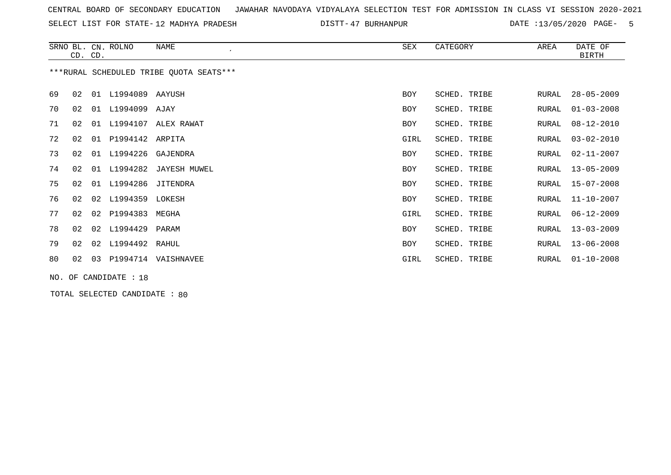SELECT LIST FOR STATE- DISTT- 12 MADHYA PRADESH

47 BURHANPUR DATE :13/05/2020 PAGE- 5

|    |    | CD. CD. | SRNO BL. CN. ROLNO    | NAME                                    | SEX        | CATEGORY     | AREA  | DATE OF<br><b>BIRTH</b> |
|----|----|---------|-----------------------|-----------------------------------------|------------|--------------|-------|-------------------------|
|    |    |         |                       | ***RURAL SCHEDULED TRIBE OUOTA SEATS*** |            |              |       |                         |
| 69 | 02 | 01      | L1994089 AAYUSH       |                                         | <b>BOY</b> | SCHED. TRIBE | RURAL | $28 - 05 - 2009$        |
| 70 | 02 | 01      | L1994099 AJAY         |                                         | <b>BOY</b> | SCHED. TRIBE | RURAL | $01 - 03 - 2008$        |
| 71 | 02 | 01      | L1994107              | ALEX RAWAT                              | <b>BOY</b> | SCHED. TRIBE | RURAL | $08 - 12 - 2010$        |
| 72 | 02 | 01      | P1994142 ARPITA       |                                         | GIRL       | SCHED. TRIBE | RURAL | $03 - 02 - 2010$        |
| 73 | 02 | 01      | L1994226              | GAJENDRA                                | BOY        | SCHED. TRIBE | RURAL | $02 - 11 - 2007$        |
| 74 | 02 | 01      | L1994282              | JAYESH MUWEL                            | <b>BOY</b> | SCHED. TRIBE | RURAL | $13 - 05 - 2009$        |
| 75 | 02 | 01      | L1994286              | JITENDRA                                | <b>BOY</b> | SCHED. TRIBE | RURAL | $15 - 07 - 2008$        |
| 76 | 02 |         | 02 L1994359 LOKESH    |                                         | <b>BOY</b> | SCHED. TRIBE | RURAL | 11-10-2007              |
| 77 | 02 | 02      | P1994383              | MEGHA                                   | GIRL       | SCHED. TRIBE | RURAL | $06 - 12 - 2009$        |
| 78 | 02 | 02      | L1994429              | PARAM                                   | <b>BOY</b> | SCHED. TRIBE | RURAL | $13 - 03 - 2009$        |
| 79 | 02 |         | 02 L1994492 RAHUL     |                                         | <b>BOY</b> | SCHED. TRIBE | RURAL | $13 - 06 - 2008$        |
| 80 | 02 | 03      | P1994714              | VAISHNAVEE                              | GIRL       | SCHED. TRIBE | RURAL | $01 - 10 - 2008$        |
|    |    |         | NO. OF CANDIDATE : 18 |                                         |            |              |       |                         |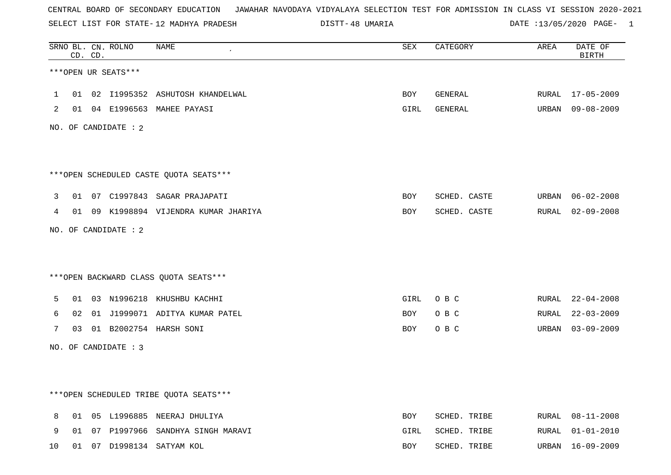SELECT LIST FOR STATE- DISTT- 12 MADHYA PRADESH

48 UMARIA DATE :13/05/2020 PAGE- 1

|                |    | CD. CD. | SRNO BL. CN. ROLNO   | NAME                                   | ${\tt SEX}$ | CATEGORY     | AREA  | DATE OF<br><b>BIRTH</b> |
|----------------|----|---------|----------------------|----------------------------------------|-------------|--------------|-------|-------------------------|
|                |    |         | ***OPEN UR SEATS***  |                                        |             |              |       |                         |
| 1              | 01 |         |                      | 02 I1995352 ASHUTOSH KHANDELWAL        | <b>BOY</b>  | GENERAL      | RURAL | 17-05-2009              |
| $\overline{2}$ |    |         |                      | 01 04 E1996563 MAHEE PAYASI            | GIRL        | GENERAL      | URBAN | 09-08-2009              |
|                |    |         | NO. OF CANDIDATE : 2 |                                        |             |              |       |                         |
|                |    |         |                      |                                        |             |              |       |                         |
|                |    |         |                      | ***OPEN SCHEDULED CASTE QUOTA SEATS*** |             |              |       |                         |
| 3              |    |         |                      | 01 07 C1997843 SAGAR PRAJAPATI         | BOY         | SCHED. CASTE | URBAN | 06-02-2008              |
| 4              |    |         |                      | 01 09 K1998894 VIJENDRA KUMAR JHARIYA  | BOY         | SCHED. CASTE |       | RURAL 02-09-2008        |
|                |    |         | NO. OF CANDIDATE : 2 |                                        |             |              |       |                         |
|                |    |         |                      |                                        |             |              |       |                         |
|                |    |         |                      | *** OPEN BACKWARD CLASS QUOTA SEATS*** |             |              |       |                         |
| 5              | 01 |         |                      | 03 N1996218 KHUSHBU KACHHI             | GIRL        | O B C        | RURAL | 22-04-2008              |
| 6              | 02 |         |                      | 01 J1999071 ADITYA KUMAR PATEL         | BOY         | O B C        | RURAL | $22 - 03 - 2009$        |
| 7              | 03 |         |                      | 01 B2002754 HARSH SONI                 | BOY         | O B C        | URBAN | 03-09-2009              |
|                |    |         | NO. OF CANDIDATE : 3 |                                        |             |              |       |                         |
|                |    |         |                      |                                        |             |              |       |                         |
|                |    |         |                      |                                        |             |              |       |                         |
|                |    |         |                      | ***OPEN SCHEDULED TRIBE QUOTA SEATS*** |             |              |       |                         |
| 8              |    |         |                      | 01 05 L1996885 NEERAJ DHULIYA          | <b>BOY</b>  | SCHED. TRIBE | RURAL | $08 - 11 - 2008$        |
| 9              | 01 |         |                      | 07 P1997966 SANDHYA SINGH MARAVI       | GIRL        | SCHED. TRIBE | RURAL | $01 - 01 - 2010$        |
| 10             |    |         |                      | 01 07 D1998134 SATYAM KOL              | <b>BOY</b>  | SCHED. TRIBE | URBAN | $16 - 09 - 2009$        |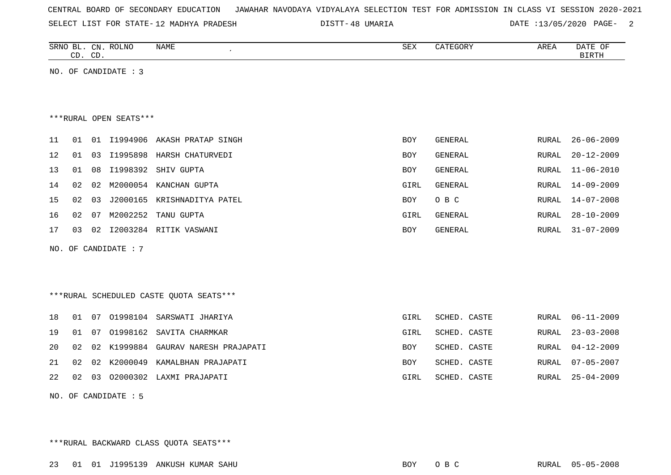| CENTRAL BOARD OF SECONDARY EDUCATION – JAWAHAR NAVODAYA VIDYALAYA SELECTION TEST FOR ADMISSION IN CLASS VI SESSION 2020-2021 |  |  |  |  |
|------------------------------------------------------------------------------------------------------------------------------|--|--|--|--|
|------------------------------------------------------------------------------------------------------------------------------|--|--|--|--|

SELECT LIST FOR STATE- DISTT- 12 MADHYA PRADESH

48 UMARIA DATE :13/05/2020 PAGE- 2

|    | CD. CD. |    | SRNO BL. CN. ROLNO     | NAME<br>$\epsilon$          | SEX        | CATEGORY | AREA  | DATE OF<br>BIRTH |
|----|---------|----|------------------------|-----------------------------|------------|----------|-------|------------------|
|    |         |    | NO. OF CANDIDATE : 3   |                             |            |          |       |                  |
|    |         |    |                        |                             |            |          |       |                  |
|    |         |    |                        |                             |            |          |       |                  |
|    |         |    | ***RURAL OPEN SEATS*** |                             |            |          |       |                  |
| 11 | 01      | 01 |                        | 11994906 AKASH PRATAP SINGH | BOY        | GENERAL  | RURAL | $26 - 06 - 2009$ |
| 12 | 01      | 03 |                        | I1995898 HARSH CHATURVEDI   | BOY        | GENERAL  | RURAL | $20 - 12 - 2009$ |
| 13 | 01      | 08 | I1998392               | SHIV GUPTA                  | <b>BOY</b> | GENERAL  | RURAL | $11 - 06 - 2010$ |
| 14 | 02      | 02 | M2000054               | KANCHAN GUPTA               | GIRL       | GENERAL  | RURAL | $14 - 09 - 2009$ |
| 15 | 02      | 03 | J2000165               | KRISHNADITYA PATEL          | <b>BOY</b> | O B C    | RURAL | 14-07-2008       |
| 16 | 02      | 07 | M2002252               | TANU GUPTA                  | GIRL       | GENERAL  | RURAL | $28 - 10 - 2009$ |
| 17 | 03      | 02 |                        | 12003284 RITIK VASWANI      | <b>BOY</b> | GENERAL  | RURAL | $31 - 07 - 2009$ |

NO. OF CANDIDATE : 7

\*\*\*RURAL SCHEDULED CASTE QUOTA SEATS\*\*\*

|  |  | 18 01 07 01998104 SARSWATI JHARIYA        | GIRL       | SCHED. CASTE |  | RURAL 06-11-2009 |
|--|--|-------------------------------------------|------------|--------------|--|------------------|
|  |  | 19 01 07 01998162 SAVITA CHARMKAR         | GIRL       | SCHED. CASTE |  | RURAL 23-03-2008 |
|  |  | 20 02 02 K1999884 GAURAV NARESH PRAJAPATI | <b>BOY</b> | SCHED. CASTE |  | RURAL 04-12-2009 |
|  |  | 21 02 02 K2000049 KAMALBHAN PRAJAPATI     | <b>BOY</b> | SCHED. CASTE |  | RURAL 07-05-2007 |
|  |  | 22 02 03 02000302 LAXMI PRAJAPATI         | GIRL       | SCHED. CASTE |  | RURAL 25-04-2009 |
|  |  |                                           |            |              |  |                  |

NO. OF CANDIDATE : 5

\*\*\*RURAL BACKWARD CLASS QUOTA SEATS\*\*\*

23 01 01 J1995139 ANKUSH KUMAR SAHU BOY O B C RURAL 05-05-2008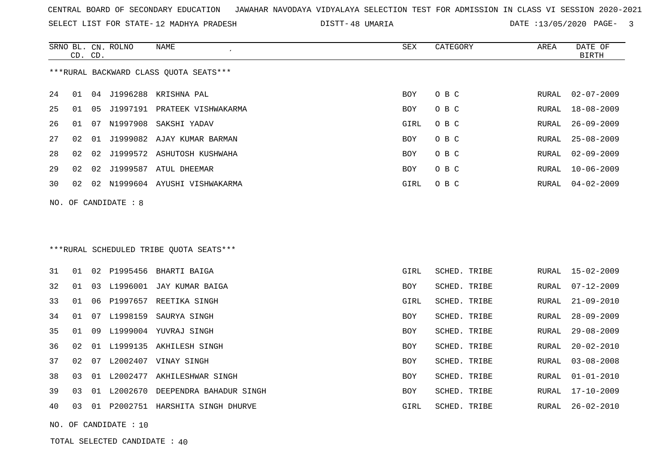SELECT LIST FOR STATE- DISTT- 12 MADHYA PRADESH

48 UMARIA DATE :13/05/2020 PAGE- 3

RURAL 03-08-2008

SCHED. TRIBE RURAL 01-01-2010

SCHED. TRIBE RURAL 17-10-2009

|     | CD. CD. |    | SRNO BL. CN. ROLNO | NAME                                    | SEX  | CATEGORY     | AREA  | DATE OF<br><b>BIRTH</b> |
|-----|---------|----|--------------------|-----------------------------------------|------|--------------|-------|-------------------------|
|     |         |    |                    | ***RURAL BACKWARD CLASS OUOTA SEATS***  |      |              |       |                         |
| 24  | 01      |    |                    | 04 J1996288 KRISHNA PAL                 | BOY  | O B C        | RURAL | $02 - 07 - 2009$        |
| 25  | 01      | 05 |                    | J1997191 PRATEEK VISHWAKARMA            | BOY  | O B C        | RURAL | $18 - 08 - 2009$        |
| 26  | 01      | 07 | N1997908           | SAKSHI YADAV                            | GIRL | O B C        | RURAL | $26 - 09 - 2009$        |
| 27  | 02      | 01 |                    | J1999082 AJAY KUMAR BARMAN              | BOY  | O B C        | RURAL | $25 - 08 - 2009$        |
| 28  | 02      | 02 |                    | J1999572 ASHUTOSH KUSHWAHA              | BOY  | O B C        | RURAL | $02 - 09 - 2009$        |
| 29  | 02      | 02 |                    | J1999587 ATUL DHEEMAR                   | BOY  | O B C        | RURAL | $10 - 06 - 2009$        |
| 30  | 02      | 02 |                    | N1999604 AYUSHI VISHWAKARMA             | GIRL | O B C        | RURAL | $04 - 02 - 2009$        |
| NO. |         |    | OF CANDIDATE : 8   |                                         |      |              |       |                         |
|     |         |    |                    |                                         |      |              |       |                         |
|     |         |    |                    |                                         |      |              |       |                         |
|     |         |    |                    | ***RURAL SCHEDULED TRIBE QUOTA SEATS*** |      |              |       |                         |
| 31  | 01      | 02 | P1995456           | BHARTI BAIGA                            | GIRL | SCHED. TRIBE | RURAL | $15 - 02 - 2009$        |
| 32  | 01      |    | 03 L1996001        | JAY KUMAR BAIGA                         | BOY  | SCHED. TRIBE | RURAL | $07 - 12 - 2009$        |
| 33  | 01      | 06 | P1997657           | REETIKA SINGH                           | GIRL | SCHED. TRIBE | RURAL | $21 - 09 - 2010$        |
| 34  | 01      |    | 07 L1998159        | SAURYA SINGH                            | BOY  | SCHED. TRIBE | RURAL | $28 - 09 - 2009$        |

35 01 09 L1999004 YUVRAJ SINGH BOY SCHED. TRIBE RURAL 29-08-2009

36 02 01 L1999135 AKHILESH SINGH BOY SCHED. TRIBE RURAL 20-02-2010

37 02 07 L2002407 VINAY SINGH BOY SCHED. TRIBE 38 03 01 L2002477 AKHILESHWAR SINGH BOY SCHED. TRIBE ROY

39 03 01 L2002670 DEEPENDRA BAHADUR SINGH BOY SCHEDE. TRIBE ROY

40 03 01 P2002751 HARSHITA SINGH DHURVE GIRL SCHED. TRIBE RURAL 26-02-2010

NO. OF CANDIDATE : 10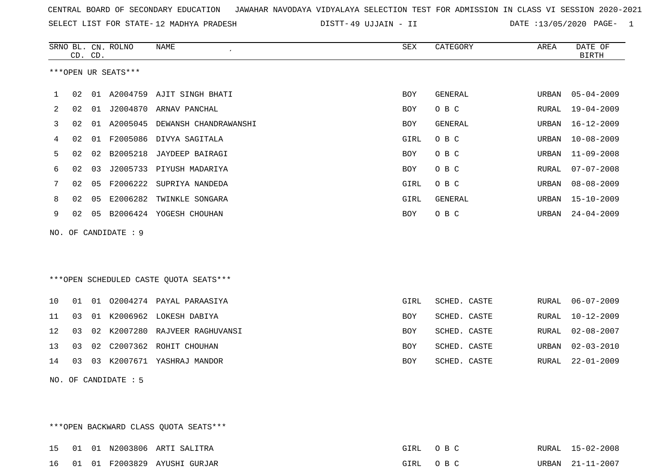| CENTRAL BOARD OF SECONDARY EDUCATION GUNAHAR NAVODAYA VIDYALAYA SELECTION TEST FOR ADMISSION IN CLASS VI SESSION 2020-2021 |  |  |  |  |
|----------------------------------------------------------------------------------------------------------------------------|--|--|--|--|
|----------------------------------------------------------------------------------------------------------------------------|--|--|--|--|

SELECT LIST FOR STATE-12 MADHYA PRADESH DISTT-49 UJJAIN - II DATE :13/05/2020 PAGE- 1

|     |    | CD. CD. | SRNO BL. CN. ROLNO   | <b>NAME</b>                            | ${\tt SEX}$ | CATEGORY     | AREA         | DATE OF<br><b>BIRTH</b> |
|-----|----|---------|----------------------|----------------------------------------|-------------|--------------|--------------|-------------------------|
|     |    |         | ***OPEN UR SEATS***  |                                        |             |              |              |                         |
| 1   | 02 | 01      |                      | A2004759 AJIT SINGH BHATI              | <b>BOY</b>  | GENERAL      | URBAN        | $05 - 04 - 2009$        |
| 2   | 02 | 01      | J2004870             | ARNAV PANCHAL                          | BOY         | O B C        | RURAL        | $19 - 04 - 2009$        |
| 3   | 02 | 01      |                      | A2005045 DEWANSH CHANDRAWANSHI         | <b>BOY</b>  | GENERAL      | URBAN        | $16 - 12 - 2009$        |
| 4   | 02 | 01      |                      | F2005086 DIVYA SAGITALA                | GIRL        | O B C        | URBAN        | $10 - 08 - 2009$        |
| 5   | 02 | 02      | B2005218             | JAYDEEP BAIRAGI                        | BOY         | O B C        | URBAN        | $11 - 09 - 2008$        |
| 6   | 02 | 03      |                      | J2005733 PIYUSH MADARIYA               | <b>BOY</b>  | O B C        | RURAL        | $07 - 07 - 2008$        |
| 7   | 02 | 05      | F2006222             | SUPRIYA NANDEDA                        | GIRL        | O B C        | URBAN        | $08 - 08 - 2009$        |
| 8   | 02 | 05      | E2006282             | TWINKLE SONGARA                        | GIRL        | GENERAL      | URBAN        | $15 - 10 - 2009$        |
| 9   | 02 | 05      |                      | B2006424 YOGESH CHOUHAN                | <b>BOY</b>  | O B C        | URBAN        | $24 - 04 - 2009$        |
| NO. |    |         | OF CANDIDATE : 9     |                                        |             |              |              |                         |
|     |    |         |                      |                                        |             |              |              |                         |
|     |    |         |                      |                                        |             |              |              |                         |
|     |    |         |                      | ***OPEN SCHEDULED CASTE QUOTA SEATS*** |             |              |              |                         |
| 10  | 01 |         |                      | 01 02004274 PAYAL PARAASIYA            | GIRL        | SCHED. CASTE | RURAL        | $06 - 07 - 2009$        |
| 11  | 03 | 01      |                      | K2006962 LOKESH DABIYA                 | BOY         | SCHED. CASTE | RURAL        | $10 - 12 - 2009$        |
| 12  | 03 | 02      |                      | K2007280 RAJVEER RAGHUVANSI            | <b>BOY</b>  | SCHED. CASTE | <b>RURAL</b> | $02 - 08 - 2007$        |
| 13  | 03 | 02      |                      | C2007362 ROHIT CHOUHAN                 | BOY         | SCHED. CASTE | URBAN        | $02 - 03 - 2010$        |
| 14  | 03 | 03      |                      | K2007671 YASHRAJ MANDOR                | <b>BOY</b>  | SCHED. CASTE | <b>RURAL</b> | $22 - 01 - 2009$        |
|     |    |         | NO. OF CANDIDATE : 5 |                                        |             |              |              |                         |

\*\*\*OPEN BACKWARD CLASS QUOTA SEATS\*\*\*

|  |  | 15 01 01 N2003806 ARTI SALITRA  | GIRL OBC | RURAL 15-02-2008 |
|--|--|---------------------------------|----------|------------------|
|  |  | 16 01 01 F2003829 AYUSHI GURJAR | GIRL OBC | URBAN 21-11-2007 |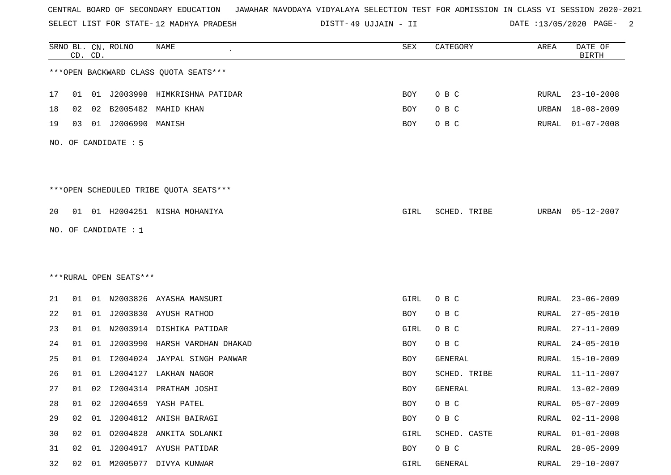SELECT LIST FOR STATE- DISTT- 12 MADHYA PRADESH

49 UJJAIN - II DATE :13/05/2020 PAGE- 2

|    |    | CD. CD. | SRNO BL. CN. ROLNO     | <b>NAME</b>                             | <b>SEX</b> | CATEGORY     | AREA         | DATE OF<br><b>BIRTH</b> |
|----|----|---------|------------------------|-----------------------------------------|------------|--------------|--------------|-------------------------|
|    |    |         |                        | *** OPEN BACKWARD CLASS QUOTA SEATS***  |            |              |              |                         |
| 17 | 01 |         |                        | 01 J2003998 HIMKRISHNA PATIDAR          | BOY        | O B C        | <b>RURAL</b> | 23-10-2008              |
| 18 | 02 | 02      | B2005482               | MAHID KHAN                              | BOY        | O B C        | URBAN        | $18 - 08 - 2009$        |
| 19 | 03 |         | 01 J2006990            | MANISH                                  | BOY        | O B C        | RURAL        | $01 - 07 - 2008$        |
|    |    |         | NO. OF CANDIDATE : 5   |                                         |            |              |              |                         |
|    |    |         |                        | *** OPEN SCHEDULED TRIBE QUOTA SEATS*** |            |              |              |                         |
| 20 |    |         |                        | 01 01 H2004251 NISHA MOHANIYA           | GIRL       | SCHED. TRIBE | URBAN        | 05-12-2007              |
|    |    |         | NO. OF CANDIDATE : $1$ |                                         |            |              |              |                         |
|    |    |         |                        |                                         |            |              |              |                         |
|    |    |         |                        |                                         |            |              |              |                         |
|    |    |         | ***RURAL OPEN SEATS*** |                                         |            |              |              |                         |
| 21 |    |         |                        | 01 01 N2003826 AYASHA MANSURI           | GIRL       | O B C        | RURAL        | $23 - 06 - 2009$        |
| 22 | 01 | 01      |                        | J2003830 AYUSH RATHOD                   | BOY        | O B C        | RURAL        | $27 - 05 - 2010$        |
| 23 | 01 | 01      |                        | N2003914 DISHIKA PATIDAR                | GIRL       | O B C        | RURAL        | $27 - 11 - 2009$        |
| 24 | 01 | 01      | J2003990               | HARSH VARDHAN DHAKAD                    | BOY        | O B C        | <b>RURAL</b> | $24 - 05 - 2010$        |
| 25 | 01 | 01      |                        | 12004024 JAYPAL SINGH PANWAR            | BOY        | GENERAL      | RURAL        | 15-10-2009              |
| 26 | 01 | 01      | L2004127               | LAKHAN NAGOR                            | BOY        | SCHED. TRIBE | RURAL        | $11 - 11 - 2007$        |
| 27 | 01 |         |                        | 02 I2004314 PRATHAM JOSHI               | BOY        | GENERAL      | RURAL        | $13 - 02 - 2009$        |
| 28 | 01 | 02      |                        | J2004659 YASH PATEL                     | BOY        | O B C        | RURAL        | $05 - 07 - 2009$        |
| 29 | 02 |         |                        | 01 J2004812 ANISH BAIRAGI               | BOY        | O B C        | RURAL        | $02 - 11 - 2008$        |
| 30 | 02 | 01      |                        | 02004828 ANKITA SOLANKI                 | GIRL       | SCHED. CASTE | RURAL        | $01 - 01 - 2008$        |
| 31 | 02 | 01      |                        | J2004917 AYUSH PATIDAR                  | BOY        | O B C        | RURAL        | $28 - 05 - 2009$        |
| 32 |    |         |                        | 02 01 M2005077 DIVYA KUNWAR             | GIRL       | GENERAL      | RURAL        | 29-10-2007              |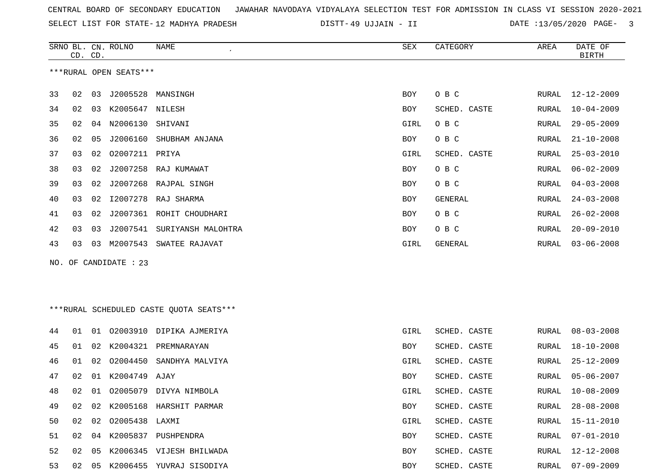|  |  |  |  | CENTRAL BOARD OF SECONDARY EDUCATION GJAWAHAR NAVODAYA VIDYALAYA SELECTION TEST FOR ADMISSION IN CLASS VI SESSION 2020-2021 |  |  |  |  |  |  |  |  |  |  |  |
|--|--|--|--|-----------------------------------------------------------------------------------------------------------------------------|--|--|--|--|--|--|--|--|--|--|--|
|--|--|--|--|-----------------------------------------------------------------------------------------------------------------------------|--|--|--|--|--|--|--|--|--|--|--|

SELECT LIST FOR STATE- DISTT- 12 MADHYA PRADESH

49 UJJAIN - II DATE :13/05/2020 PAGE- 3

|    | CD. CD. |    | SRNO BL. CN. ROLNO     | NAME                                    | SEX  | CATEGORY     | AREA  | DATE OF<br><b>BIRTH</b> |
|----|---------|----|------------------------|-----------------------------------------|------|--------------|-------|-------------------------|
|    |         |    | ***RURAL OPEN SEATS*** |                                         |      |              |       |                         |
| 33 | 02      | 03 | J2005528               | MANSINGH                                | BOY  | O B C        | RURAL | $12 - 12 - 2009$        |
| 34 | 02      | 03 | K2005647 NILESH        |                                         | BOY  | SCHED. CASTE | RURAL | $10 - 04 - 2009$        |
| 35 | 02      | 04 | N2006130               | SHIVANI                                 | GIRL | O B C        | RURAL | $29 - 05 - 2009$        |
| 36 | 02      | 05 | J2006160               | SHUBHAM ANJANA                          | BOY  | O B C        | RURAL | $21 - 10 - 2008$        |
| 37 | 03      | 02 | 02007211 PRIYA         |                                         | GIRL | SCHED. CASTE | RURAL | $25 - 03 - 2010$        |
| 38 | 03      | 02 | J2007258               | RAJ KUMAWAT                             | BOY  | O B C        | RURAL | $06 - 02 - 2009$        |
| 39 | 03      | 02 |                        | J2007268 RAJPAL SINGH                   | BOY  | O B C        | RURAL | $04 - 03 - 2008$        |
| 40 | 03      | 02 | I2007278               | RAJ SHARMA                              | BOY  | GENERAL      | RURAL | $24 - 03 - 2008$        |
| 41 | 03      | 02 |                        | J2007361 ROHIT CHOUDHARI                | BOY  | O B C        | RURAL | $26 - 02 - 2008$        |
| 42 | 03      | 03 | J2007541               | SURIYANSH MALOHTRA                      | BOY  | O B C        | RURAL | $20 - 09 - 2010$        |
| 43 | 03      | 03 |                        | M2007543 SWATEE RAJAVAT                 | GIRL | GENERAL      | RURAL | $03 - 06 - 2008$        |
|    |         |    | NO. OF CANDIDATE : 23  |                                         |      |              |       |                         |
|    |         |    |                        |                                         |      |              |       |                         |
|    |         |    |                        |                                         |      |              |       |                         |
|    |         |    |                        | ***RURAL SCHEDULED CASTE QUOTA SEATS*** |      |              |       |                         |
| 44 | 01      | 01 |                        | 02003910 DIPIKA AJMERIYA                | GIRL | SCHED. CASTE | RURAL | $08 - 03 - 2008$        |
| 45 | 01      | 02 |                        | K2004321 PREMNARAYAN                    | BOY  | SCHED. CASTE | RURAL | $18 - 10 - 2008$        |
| 46 | 01      | 02 | 02004450               | SANDHYA MALVIYA                         | GIRL | SCHED. CASTE | RURAL | $25 - 12 - 2009$        |
| 47 | 02      | 01 | K2004749 AJAY          |                                         | BOY  | SCHED. CASTE | RURAL | $05 - 06 - 2007$        |
| 48 | 02      | 01 |                        | 02005079 DIVYA NIMBOLA                  | GIRL | SCHED. CASTE | RURAL | $10 - 08 - 2009$        |
| 49 | 02      | 02 |                        | K2005168 HARSHIT PARMAR                 | BOY  | SCHED. CASTE | RURAL | $28 - 08 - 2008$        |
| 50 | 02      | 02 | 02005438 LAXMI         |                                         | GIRL | SCHED. CASTE | RURAL | $15 - 11 - 2010$        |
| 51 | 02      | 04 |                        | K2005837 PUSHPENDRA                     | BOY  | SCHED. CASTE | RURAL | $07 - 01 - 2010$        |
| 52 | 02      | 05 |                        | K2006345 VIJESH BHILWADA                | BOY  | SCHED. CASTE | RURAL | 12-12-2008              |
| 53 |         |    |                        | 02 05 K2006455 YUVRAJ SISODIYA          | BOY  | SCHED. CASTE | RURAL | 07-09-2009              |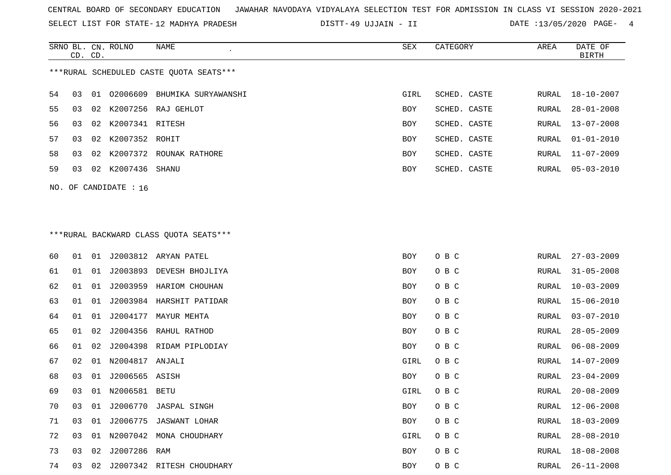SELECT LIST FOR STATE- DISTT- 12 MADHYA PRADESH

49 UJJAIN - II DATE :13/05/2020 PAGE- 4

|     |         |    | SRNO BL. CN. ROLNO      | NAME                                    | SEX        | CATEGORY     | AREA  | DATE OF          |
|-----|---------|----|-------------------------|-----------------------------------------|------------|--------------|-------|------------------|
|     | CD. CD. |    |                         |                                         |            |              |       | BIRTH            |
|     |         |    |                         | ***RURAL SCHEDULED CASTE QUOTA SEATS*** |            |              |       |                  |
| 54  | 03      |    |                         | 01 02006609 BHUMIKA SURYAWANSHI         | GIRL       | SCHED. CASTE |       | RURAL 18-10-2007 |
| 55  | 03      |    |                         | 02 K2007256 RAJ GEHLOT                  | <b>BOY</b> | SCHED. CASTE | RURAL | $28 - 01 - 2008$ |
| 56. | 03      |    | 02 K2007341 RITESH      |                                         | BOY        | SCHED. CASTE | RURAL | 13-07-2008       |
| 57  | 03      |    | 02 K2007352 ROHIT       |                                         | BOY        | SCHED. CASTE | RURAL | 01-01-2010       |
| 58  | 03      | 02 |                         | K2007372 ROUNAK RATHORE                 | BOY        | SCHED. CASTE | RURAL | 11-07-2009       |
| 59  | 03      |    | 02 K2007436 SHANU       |                                         | BOY        | SCHED. CASTE | RURAL | 05-03-2010       |
|     |         |    | NO. OF CANDIDATE : $16$ |                                         |            |              |       |                  |

# \*\*\*RURAL BACKWARD CLASS QUOTA SEATS\*\*\*

| 60 | 01 | 01 |                    | J2003812 ARYAN PATEL      | BOY  | O B C | RURAL | $27 - 03 - 2009$ |
|----|----|----|--------------------|---------------------------|------|-------|-------|------------------|
| 61 | 01 | 01 |                    | J2003893 DEVESH BHOJLIYA  | BOY  | O B C | RURAL | $31 - 05 - 2008$ |
| 62 | 01 | 01 |                    | J2003959 HARIOM CHOUHAN   | BOY  | O B C | RURAL | $10 - 03 - 2009$ |
| 63 | 01 | 01 |                    | J2003984 HARSHIT PATIDAR  | BOY  | O B C | RURAL | $15 - 06 - 2010$ |
| 64 | 01 | 01 | J2004177           | MAYUR MEHTA               | BOY  | O B C | RURAL | $03 - 07 - 2010$ |
| 65 | 01 | 02 |                    | J2004356 RAHUL RATHOD     | BOY  | O B C | RURAL | $28 - 05 - 2009$ |
| 66 | 01 | 02 |                    | J2004398 RIDAM PIPLODIAY  | BOY  | O B C | RURAL | $06 - 08 - 2009$ |
| 67 | 02 |    | 01 N2004817 ANJALI |                           | GIRL | O B C | RURAL | 14-07-2009       |
| 68 | 03 | 01 | J2006565 ASISH     |                           | BOY  | O B C | RURAL | $23 - 04 - 2009$ |
| 69 | 03 |    | 01 N2006581 BETU   |                           | GIRL | O B C | RURAL | $20 - 08 - 2009$ |
| 70 | 03 | 01 |                    | J2006770 JASPAL SINGH     | BOY  | O B C | RURAL | $12 - 06 - 2008$ |
| 71 | 03 | 01 |                    | J2006775 JASWANT LOHAR    | BOY  | O B C | RURAL | $18 - 03 - 2009$ |
| 72 | 03 | 01 | N2007042           | MONA CHOUDHARY            | GIRL | O B C | RURAL | $28 - 08 - 2010$ |
| 73 | 03 | 02 | J2007286 RAM       |                           | BOY  | O B C | RURAL | $18 - 08 - 2008$ |
| 74 | 03 | 02 |                    | J2007342 RITESH CHOUDHARY | BOY  | O B C | RURAL | $26 - 11 - 2008$ |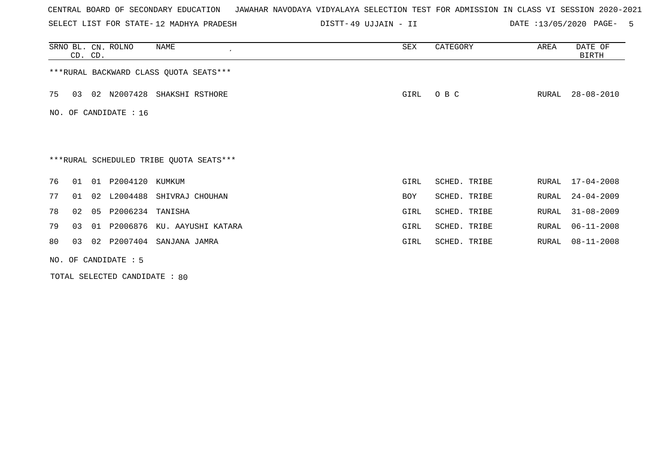SELECT LIST FOR STATE- DISTT- 12 MADHYA PRADESH

49 UJJAIN - II DATE :13/05/2020 PAGE- 5

|    | CD. CD. |    | SRNO BL. CN. ROLNO     | NAME                                    | SEX  | CATEGORY     | AREA  | DATE OF<br>BIRTH |
|----|---------|----|------------------------|-----------------------------------------|------|--------------|-------|------------------|
|    |         |    |                        | *** RURAL BACKWARD CLASS QUOTA SEATS*** |      |              |       |                  |
| 75 | 03      |    |                        | 02 N2007428 SHAKSHI RSTHORE             | GIRL | O B C        | RURAL | 28-08-2010       |
|    |         |    | NO. OF CANDIDATE : 16  |                                         |      |              |       |                  |
|    |         |    |                        |                                         |      |              |       |                  |
|    |         |    |                        | ***RURAL SCHEDULED TRIBE QUOTA SEATS*** |      |              |       |                  |
| 76 | 01      | 01 | P2004120 KUMKUM        |                                         | GIRL | SCHED. TRIBE | RURAL | $17 - 04 - 2008$ |
| 77 | 01      | 02 | L2004488               | SHIVRAJ CHOUHAN                         | BOY  | SCHED. TRIBE | RURAL | $24 - 04 - 2009$ |
| 78 | 02      | 05 | P2006234 TANISHA       |                                         | GIRL | SCHED. TRIBE | RURAL | $31 - 08 - 2009$ |
| 79 | 03      | 01 |                        | P2006876 KU. AAYUSHI KATARA             | GIRL | SCHED. TRIBE | RURAL | $06 - 11 - 2008$ |
| 80 | 03      | 02 |                        | P2007404 SANJANA JAMRA                  | GIRL | SCHED. TRIBE | RURAL | $08 - 11 - 2008$ |
|    |         |    | NO. OF CANDIDATE $: 5$ |                                         |      |              |       |                  |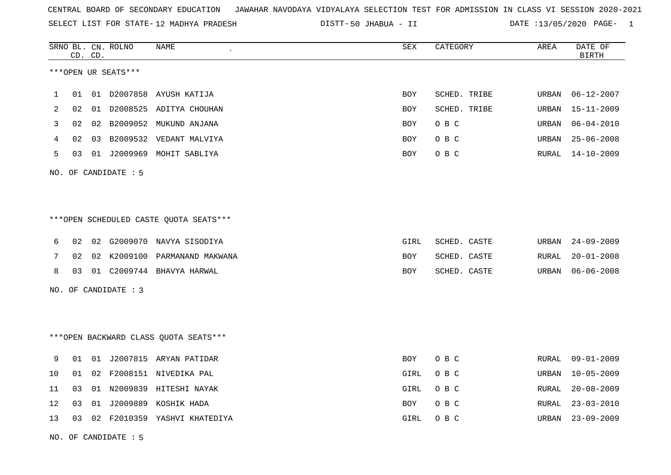SELECT LIST FOR STATE- DISTT- 12 MADHYA PRADESH

50 JHABUA - II DATE :13/05/2020 PAGE- 1

|    |    | CD. CD. | SRNO BL. CN. ROLNO   | <b>NAME</b>                            | <b>SEX</b> | CATEGORY     | AREA  | DATE OF<br><b>BIRTH</b> |
|----|----|---------|----------------------|----------------------------------------|------------|--------------|-------|-------------------------|
|    |    |         | ***OPEN UR SEATS***  |                                        |            |              |       |                         |
| 1  | 01 |         | 01 D2007858          | AYUSH KATIJA                           | BOY        | SCHED. TRIBE | URBAN | $06 - 12 - 2007$        |
| 2  | 02 |         |                      | 01 D2008525 ADITYA CHOUHAN             | BOY        | SCHED. TRIBE | URBAN | $15 - 11 - 2009$        |
| 3  | 02 |         |                      | 02 B2009052 MUKUND ANJANA              | BOY        | O B C        | URBAN | $06 - 04 - 2010$        |
| 4  | 02 |         |                      | 03 B2009532 VEDANT MALVIYA             | BOY        | O B C        | URBAN | $25 - 06 - 2008$        |
| 5  | 03 |         |                      | 01 J2009969 MOHIT SABLIYA              | BOY        | O B C        | RURAL | $14 - 10 - 2009$        |
|    |    |         | NO. OF CANDIDATE : 5 |                                        |            |              |       |                         |
|    |    |         |                      |                                        |            |              |       |                         |
|    |    |         |                      | ***OPEN SCHEDULED CASTE QUOTA SEATS*** |            |              |       |                         |
| 6  | 02 |         |                      | 02 G2009070 NAVYA SISODIYA             | GIRL       | SCHED. CASTE | URBAN | $24 - 09 - 2009$        |
| 7  | 02 |         | 02 K2009100          | PARMANAND MAKWANA                      | BOY        | SCHED. CASTE | RURAL | $20 - 01 - 2008$        |
| 8  | 03 |         |                      | 01 C2009744 BHAVYA HARWAL              | BOY        | SCHED. CASTE | URBAN | $06 - 06 - 2008$        |
|    |    |         | NO. OF CANDIDATE : 3 |                                        |            |              |       |                         |
|    |    |         |                      |                                        |            |              |       |                         |
|    |    |         |                      | *** OPEN BACKWARD CLASS QUOTA SEATS*** |            |              |       |                         |
| 9  | 01 |         |                      | 01 J2007815 ARYAN PATIDAR              | <b>BOY</b> | O B C        | RURAL | $09 - 01 - 2009$        |
| 10 | 01 |         |                      | 02 F2008151 NIVEDIKA PAL               | GIRL       | O B C        | URBAN | $10 - 05 - 2009$        |
| 11 | 03 |         |                      | 01 N2009839 HITESHI NAYAK              | GIRL       | O B C        | RURAL | $20 - 08 - 2009$        |
| 12 | 03 | 01      |                      | J2009889 KOSHIK HADA                   | BOY        | O B C        | RURAL | $23 - 03 - 2010$        |
| 13 | 03 |         |                      | 02 F2010359 YASHVI KHATEDIYA           | GIRL       | O B C        | URBAN | $23 - 09 - 2009$        |

NO. OF CANDIDATE : 5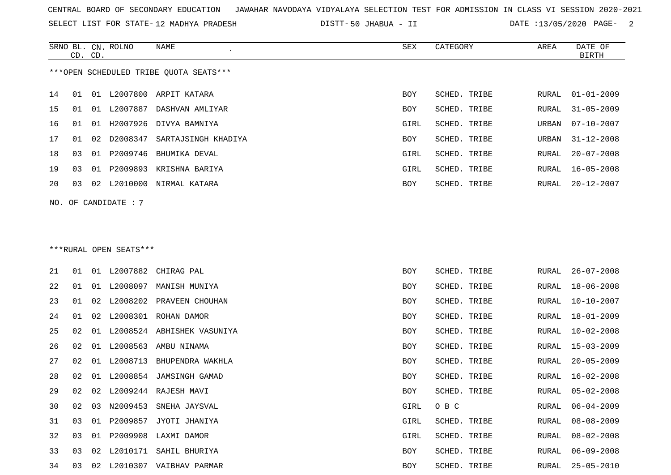SELECT LIST FOR STATE- DISTT- 12 MADHYA PRADESH

50 JHABUA - II DATE :13/05/2020 PAGE- 2

|    |    | CD. CD. | SRNO BL. CN. ROLNO     | NAME                                   | SEX        | CATEGORY     | AREA  | DATE OF<br><b>BIRTH</b> |
|----|----|---------|------------------------|----------------------------------------|------------|--------------|-------|-------------------------|
|    |    |         |                        | ***OPEN SCHEDULED TRIBE QUOTA SEATS*** |            |              |       |                         |
| 14 | 01 |         |                        | 01 L2007800 ARPIT KATARA               | <b>BOY</b> | SCHED. TRIBE | RURAL | $01 - 01 - 2009$        |
| 15 | 01 |         |                        | 01 L2007887 DASHVAN AMLIYAR            | <b>BOY</b> | SCHED. TRIBE | RURAL | $31 - 05 - 2009$        |
| 16 | 01 |         |                        | 01 H2007926 DIVYA BAMNIYA              | GIRL       | SCHED. TRIBE | URBAN | $07 - 10 - 2007$        |
| 17 | 01 |         | 02 D2008347            | SARTAJSINGH KHADIYA                    | BOY        | SCHED. TRIBE | URBAN | $31 - 12 - 2008$        |
| 18 | 03 |         |                        | 01 P2009746 BHUMIKA DEVAL              | GIRL       | SCHED. TRIBE | RURAL | $20 - 07 - 2008$        |
| 19 | 03 |         |                        | 01 P2009893 KRISHNA BARIYA             | GIRL       | SCHED. TRIBE | RURAL | $16 - 05 - 2008$        |
| 20 | 03 |         |                        | 02 L2010000 NIRMAL KATARA              | BOY        | SCHED. TRIBE | RURAL | $20 - 12 - 2007$        |
|    |    |         | NO. OF CANDIDATE: 7    |                                        |            |              |       |                         |
|    |    |         |                        |                                        |            |              |       |                         |
|    |    |         |                        |                                        |            |              |       |                         |
|    |    |         | ***RURAL OPEN SEATS*** |                                        |            |              |       |                         |
| 21 | 01 |         |                        | 01 L2007882 CHIRAG PAL                 | BOY        | SCHED. TRIBE | RURAL | $26 - 07 - 2008$        |
| 22 | 01 |         | 01 L2008097            | MANISH MUNIYA                          | BOY        | SCHED. TRIBE | RURAL | $18 - 06 - 2008$        |
| 23 | 01 |         |                        | 02 L2008202 PRAVEEN CHOUHAN            | BOY        | SCHED. TRIBE | RURAL | $10 - 10 - 2007$        |
| 24 | 01 |         |                        | 02 L2008301 ROHAN DAMOR                | <b>BOY</b> | SCHED. TRIBE | RURAL | $18 - 01 - 2009$        |
| 25 | 02 |         |                        | 01 L2008524 ABHISHEK VASUNIYA          | <b>BOY</b> | SCHED. TRIBE | RURAL | $10 - 02 - 2008$        |
| 26 | 02 |         |                        | 01 L2008563 AMBU NINAMA                | BOY        | SCHED. TRIBE | RURAL | $15 - 03 - 2009$        |
| 27 | 02 |         |                        | 01 L2008713 BHUPENDRA WAKHLA           | BOY        | SCHED. TRIBE | RURAL | $20 - 05 - 2009$        |
| 28 | 02 |         |                        | 01 L2008854 JAMSINGH GAMAD             | BOY        | SCHED. TRIBE | RURAL | $16 - 02 - 2008$        |
| 29 | 02 |         |                        | 02 L2009244 RAJESH MAVI                | BOY        | SCHED. TRIBE | RURAL | $05 - 02 - 2008$        |
| 30 | 02 | 03      | N2009453               | SNEHA JAYSVAL                          | GIRL       | O B C        | RURAL | $06 - 04 - 2009$        |
| 31 | 03 |         |                        | 01 P2009857 JYOTI JHANIYA              | GIRL       | SCHED. TRIBE | RURAL | $08 - 08 - 2009$        |
| 32 | 03 |         |                        | 01 P2009908 LAXMI DAMOR                | GIRL       | SCHED. TRIBE | RURAL | $08 - 02 - 2008$        |

 03 02 L2010171 SAHIL BHURIYA BOY SCHED. TRIBE RURAL 06-09-2008 03 02 L2010307 VAIBHAV PARMAR BOY SCHED. TRIBE RURAL 25-05-2010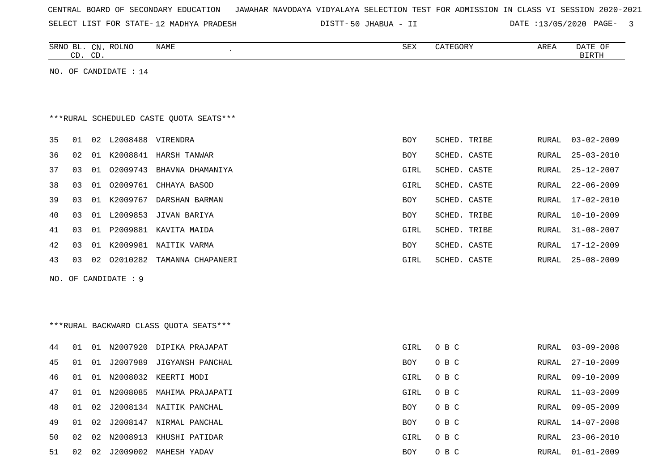| CENTRAL BOARD OF SECONDARY EDUCATION – JAWAHAR NAVODAYA VIDYALAYA SELECTION TEST FOR ADMISSION IN CLASS VI SESSION 2020-2021 |  |  |  |  |  |  |  |  |  |  |  |  |  |  |  |  |  |  |
|------------------------------------------------------------------------------------------------------------------------------|--|--|--|--|--|--|--|--|--|--|--|--|--|--|--|--|--|--|
|------------------------------------------------------------------------------------------------------------------------------|--|--|--|--|--|--|--|--|--|--|--|--|--|--|--|--|--|--|

SELECT LIST FOR STATE-12 MADHYA PRADESH DISTT-50 JHABUA - II DATE :13/05/2020 PAGE- 3

|     |    | CD. CD. | SRNO BL. CN. ROLNO    | NAME                                    | ${\tt SEX}$ | CATEGORY            | AREA         | DATE OF<br><b>BIRTH</b> |
|-----|----|---------|-----------------------|-----------------------------------------|-------------|---------------------|--------------|-------------------------|
|     |    |         | NO. OF CANDIDATE : 14 |                                         |             |                     |              |                         |
|     |    |         |                       | ***RURAL SCHEDULED CASTE QUOTA SEATS*** |             |                     |              |                         |
| 35  | 01 | 02      |                       | L2008488 VIRENDRA                       | <b>BOY</b>  | <b>SCHED. TRIBE</b> | RURAL        | $03 - 02 - 2009$        |
| 36  | 02 | 01      | K2008841              | HARSH TANWAR                            | BOY         | SCHED. CASTE        | RURAL        | $25 - 03 - 2010$        |
| 37  | 03 | 01      |                       | 02009743 BHAVNA DHAMANIYA               | GIRL        | SCHED. CASTE        | RURAL        | $25 - 12 - 2007$        |
| 38  | 03 | 01      | 02009761              | CHHAYA BASOD                            | GIRL        | SCHED. CASTE        | RURAL        | $22 - 06 - 2009$        |
| 39  | 03 | 01      | K2009767              | DARSHAN BARMAN                          | BOY         | SCHED. CASTE        | RURAL        | $17 - 02 - 2010$        |
| 40  | 03 | 01      | L2009853              | JIVAN BARIYA                            | BOY         | SCHED. TRIBE        | RURAL        | $10 - 10 - 2009$        |
| 41  | 03 | 01      |                       | P2009881 KAVITA MAIDA                   | GIRL        | SCHED. TRIBE        | RURAL        | $31 - 08 - 2007$        |
| 42  | 03 | 01      |                       | K2009981 NAITIK VARMA                   | <b>BOY</b>  | SCHED. CASTE        | <b>RURAL</b> | $17 - 12 - 2009$        |
| 43  | 03 | 02      | 02010282              | TAMANNA CHAPANERI                       | GIRL        | SCHED. CASTE        | RURAL        | $25 - 08 - 2009$        |
| NO. |    |         | OF CANDIDATE : 9      |                                         |             |                     |              |                         |
|     |    |         |                       | *** RURAL BACKWARD CLASS QUOTA SEATS*** |             |                     |              |                         |
| 44  | 01 |         |                       | 01 N2007920 DIPIKA PRAJAPAT             | GIRL        | O B C               | RURAL        | $03 - 09 - 2008$        |
| 45  | 01 | 01      | J2007989              | JIGYANSH PANCHAL                        | <b>BOY</b>  | O B C               | RURAL        | $27 - 10 - 2009$        |
| 46  | 01 |         |                       | 01 N2008032 KEERTI MODI                 | GIRL        | O B C               | RURAL        | $09 - 10 - 2009$        |
| 47  | 01 | 01      | N2008085              | MAHIMA PRAJAPATI                        | GIRL        | O B C               | RURAL        | $11 - 03 - 2009$        |
| 48  | 01 | 02      |                       | J2008134 NAITIK PANCHAL                 | <b>BOY</b>  | O B C               | RURAL        | $09 - 05 - 2009$        |

49 01 02 J2008147 NIRMAL PANCHAL BOY O B C RURAL 14-07-2008

50 02 02 N2008913 KHUSHI PATIDAR GIRL O B C RURAL 23-06-2010 51 02 02 J2009002 MAHESH YADAV 800 C BOY O B C RURAL 01-01-2009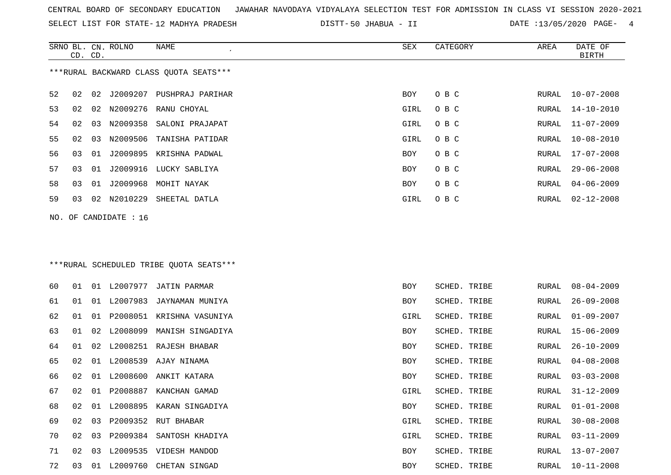SELECT LIST FOR STATE- DISTT- 12 MADHYA PRADESH

50 JHABUA - II DATE :13/05/2020 PAGE- 4

|    | CD. CD. |    | SRNO BL. CN. ROLNO    | NAME                                    | SEX  | CATEGORY     | AREA          | DATE OF<br><b>BIRTH</b> |
|----|---------|----|-----------------------|-----------------------------------------|------|--------------|---------------|-------------------------|
|    |         |    |                       | ***RURAL BACKWARD CLASS QUOTA SEATS***  |      |              |               |                         |
| 52 | 02      | 02 |                       | J2009207 PUSHPRAJ PARIHAR               | BOY  | O B C        | RURAL         | $10 - 07 - 2008$        |
| 53 | 02      |    |                       | 02 N2009276 RANU CHOYAL                 | GIRL | O B C        | RURAL         | $14 - 10 - 2010$        |
| 54 | 02      | 03 | N2009358              | SALONI PRAJAPAT                         | GIRL | O B C        | RURAL         | $11 - 07 - 2009$        |
| 55 | 02      | 03 | N2009506              | TANISHA PATIDAR                         | GIRL | O B C        | RURAL         | $10 - 08 - 2010$        |
| 56 | 03      | 01 | J2009895              | KRISHNA PADWAL                          | BOY  | O B C        | ${\tt RURAL}$ | $17 - 07 - 2008$        |
| 57 | 03      | 01 | J2009916              | LUCKY SABLIYA                           | BOY  | O B C        | RURAL         | $29 - 06 - 2008$        |
| 58 | 03      | 01 | J2009968              | MOHIT NAYAK                             | BOY  | O B C        | RURAL         | $04 - 06 - 2009$        |
| 59 | 03      | 02 | N2010229              | SHEETAL DATLA                           | GIRL | O B C        | RURAL         | $02 - 12 - 2008$        |
|    |         |    | NO. OF CANDIDATE : 16 |                                         |      |              |               |                         |
|    |         |    |                       |                                         |      |              |               |                         |
|    |         |    |                       | ***RURAL SCHEDULED TRIBE QUOTA SEATS*** |      |              |               |                         |
| 60 | 01      |    |                       | 01 L2007977 JATIN PARMAR                | BOY  | SCHED. TRIBE | RURAL         | $08 - 04 - 2009$        |
| 61 | 01      | 01 | L2007983              | JAYNAMAN MUNIYA                         | BOY  | SCHED. TRIBE | RURAL         | $26 - 09 - 2008$        |
| 62 | 01      | 01 | P2008051              | KRISHNA VASUNIYA                        | GIRL | SCHED. TRIBE | RURAL         | $01 - 09 - 2007$        |
| 63 | 01      | 02 | L2008099              | MANISH SINGADIYA                        | BOY  | SCHED. TRIBE | RURAL         | $15 - 06 - 2009$        |
| 64 | 01      | 02 |                       | L2008251 RAJESH BHABAR                  | BOY  | SCHED. TRIBE | RURAL         | $26 - 10 - 2009$        |
| 65 | 02      | 01 | L2008539              | AJAY NINAMA                             | BOY  | SCHED. TRIBE | RURAL         | $04 - 08 - 2008$        |
| 66 | 02      | 01 | L2008600              | ANKIT KATARA                            | BOY  | SCHED. TRIBE | RURAL         | $03 - 03 - 2008$        |
| 67 | 02      |    | 01 P2008887           | KANCHAN GAMAD                           | GIRL | SCHED. TRIBE | RURAL         | $31 - 12 - 2009$        |
| 68 | 02      | 01 |                       | L2008895 KARAN SINGADIYA                | BOY  | SCHED. TRIBE | RURAL         | $01 - 01 - 2008$        |
| 69 | 02      | 03 | P2009352              | RUT BHABAR                              | GIRL | SCHED. TRIBE | RURAL         | $30 - 08 - 2008$        |
| 70 | 02      | 03 |                       | P2009384 SANTOSH KHADIYA                | GIRL | SCHED. TRIBE | RURAL         | $03 - 11 - 2009$        |
| 71 | 02      | 03 |                       | L2009535 VIDESH MANDOD                  | BOY  | SCHED. TRIBE | RURAL         | $13 - 07 - 2007$        |
| 72 | 03      |    |                       | 01 L2009760 CHETAN SINGAD               | BOY  | SCHED. TRIBE |               | RURAL 10-11-2008        |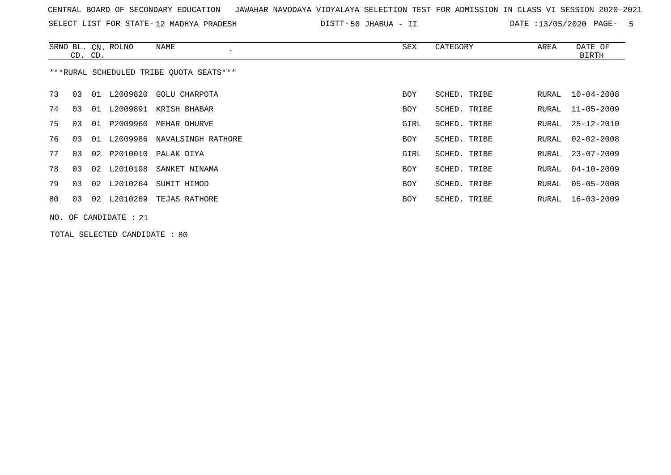|  |  | CENTRAL BOARD OF SECONDARY EDUCATION – JAWAHAR NAVODAYA VIDYALAYA SELECTION TEST FOR ADMISSION IN CLASS VI SESSION 2020-2021 |  |  |  |  |  |  |  |
|--|--|------------------------------------------------------------------------------------------------------------------------------|--|--|--|--|--|--|--|
|  |  |                                                                                                                              |  |  |  |  |  |  |  |

SELECT LIST FOR STATE-12 MADHYA PRADESH DISTT-50 JHABUA - II DATE :13/05/2020 PAGE- 5

|    | CD. CD. |                 | SRNO BL. CN. ROLNO      | NAME                                    | SEX        | CATEGORY     | AREA  | DATE OF<br><b>BIRTH</b> |
|----|---------|-----------------|-------------------------|-----------------------------------------|------------|--------------|-------|-------------------------|
|    |         |                 |                         | ***RURAL SCHEDULED TRIBE OUOTA SEATS*** |            |              |       |                         |
| 73 | 03      | 01              | L2009820                | GOLU CHARPOTA                           | <b>BOY</b> | SCHED. TRIBE | RURAL | $10 - 04 - 2008$        |
| 74 | 03      | 01              | L2009891                | KRISH BHABAR                            | <b>BOY</b> | SCHED. TRIBE | RURAL | $11 - 05 - 2009$        |
| 75 | 03      | 01              | P2009960                | MEHAR DHURVE                            | GIRL       | SCHED. TRIBE | RURAL | $25 - 12 - 2010$        |
| 76 | 03      | 01              | L2009986                | NAVALSINGH RATHORE                      | <b>BOY</b> | SCHED. TRIBE | RURAL | $02 - 02 - 2008$        |
| 77 | 03      | 02              |                         | P2010010 PALAK DIYA                     | GIRL       | SCHED. TRIBE | RURAL | $23 - 07 - 2009$        |
| 78 | 03      | 02              | L2010198                | SANKET NINAMA                           | <b>BOY</b> | SCHED. TRIBE | RURAL | $04 - 10 - 2009$        |
| 79 | 03      | 02 <sub>o</sub> | L2010264                | SUMIT HIMOD                             | BOY        | SCHED. TRIBE | RURAL | $05 - 05 - 2008$        |
| 80 | 03      | 02              | L2010289                | TEJAS RATHORE                           | BOY        | SCHED. TRIBE | RURAL | $16 - 03 - 2009$        |
|    |         |                 | NO. OF CANDIDATE : $21$ |                                         |            |              |       |                         |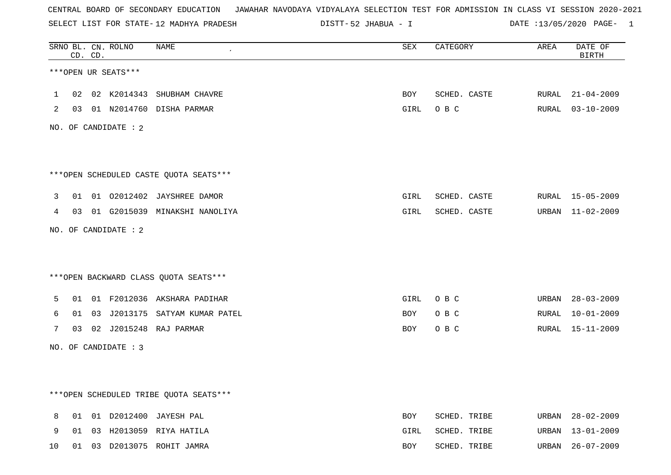SELECT LIST FOR STATE- DISTT- 12 MADHYA PRADESH

52 JHABUA - I DATE :13/05/2020 PAGE- 1

|    |    | CD. CD. | SRNO BL. CN. ROLNO   | NAME                                   | <b>SEX</b> | CATEGORY     | AREA  | DATE OF<br><b>BIRTH</b> |
|----|----|---------|----------------------|----------------------------------------|------------|--------------|-------|-------------------------|
|    |    |         | ***OPEN UR SEATS***  |                                        |            |              |       |                         |
| 1  | 02 |         |                      | 02 K2014343 SHUBHAM CHAVRE             | BOY        | SCHED. CASTE | RURAL | $21 - 04 - 2009$        |
| 2  |    |         |                      | 03 01 N2014760 DISHA PARMAR            | GIRL       | O B C        |       | RURAL 03-10-2009        |
|    |    |         | NO. OF CANDIDATE : 2 |                                        |            |              |       |                         |
|    |    |         |                      |                                        |            |              |       |                         |
|    |    |         |                      | ***OPEN SCHEDULED CASTE QUOTA SEATS*** |            |              |       |                         |
| 3  | 01 |         |                      | 01 02012402 JAYSHREE DAMOR             | GIRL       | SCHED. CASTE |       | RURAL 15-05-2009        |
| 4  | 03 |         |                      | 01 G2015039 MINAKSHI NANOLIYA          | GIRL       | SCHED. CASTE | URBAN | 11-02-2009              |
|    |    |         | NO. OF CANDIDATE : 2 |                                        |            |              |       |                         |
|    |    |         |                      |                                        |            |              |       |                         |
|    |    |         |                      | *** OPEN BACKWARD CLASS QUOTA SEATS*** |            |              |       |                         |
| 5  | 01 |         |                      | 01 F2012036 AKSHARA PADIHAR            | GIRL       | O B C        | URBAN | 28-03-2009              |
| 6  | 01 |         |                      | 03 J2013175 SATYAM KUMAR PATEL         | BOY        | O B C        | RURAL | $10 - 01 - 2009$        |
| 7  |    |         |                      | 03 02 J2015248 RAJ PARMAR              | BOY        | O B C        |       | RURAL 15-11-2009        |
|    |    |         | NO. OF CANDIDATE : 3 |                                        |            |              |       |                         |
|    |    |         |                      |                                        |            |              |       |                         |
|    |    |         |                      | ***OPEN SCHEDULED TRIBE QUOTA SEATS*** |            |              |       |                         |
| 8  | 01 |         |                      | 01 D2012400 JAYESH PAL                 | <b>BOY</b> | SCHED. TRIBE | URBAN | 28-02-2009              |
| 9  | 01 |         |                      | 03 H2013059 RIYA HATILA                | GIRL       | SCHED. TRIBE | URBAN | 13-01-2009              |
| 10 | 01 |         |                      | 03 D2013075 ROHIT JAMRA                | BOY        | SCHED. TRIBE | URBAN | $26 - 07 - 2009$        |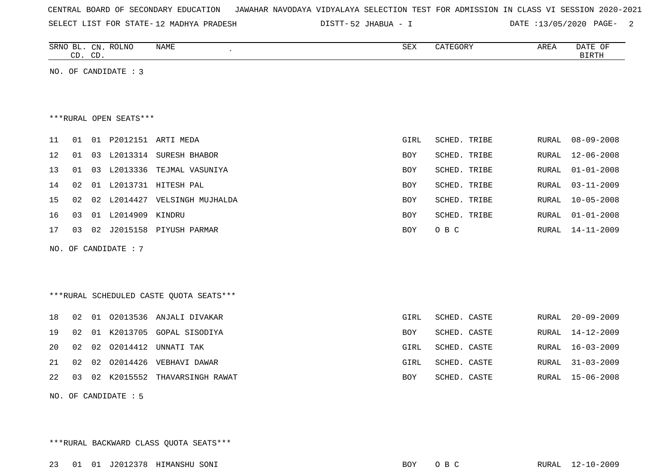| CENTRAL BOARD OF SECONDARY EDUCATION – JAWAHAR NAVODAYA VIDYALAYA SELECTION TEST FOR ADMISSION IN CLASS VI SESSION 2020-2021 |  |  |  |  |  |  |  |  |  |  |
|------------------------------------------------------------------------------------------------------------------------------|--|--|--|--|--|--|--|--|--|--|
|------------------------------------------------------------------------------------------------------------------------------|--|--|--|--|--|--|--|--|--|--|

SELECT LIST FOR STATE- DISTT- 12 MADHYA PRADESH

52 JHABUA - I DATE :13/05/2020 PAGE- 2

|                        | CD. CD.             |    | SRNO BL. CN. ROLNO   | NAME<br>$\mathcal{L}_{\mathcal{A}}$ | SEX  | CATEGORY     | AREA  | DATE OF<br>BIRTH |  |  |  |
|------------------------|---------------------|----|----------------------|-------------------------------------|------|--------------|-------|------------------|--|--|--|
|                        |                     |    | NO. OF CANDIDATE : 3 |                                     |      |              |       |                  |  |  |  |
| ***RURAL OPEN SEATS*** |                     |    |                      |                                     |      |              |       |                  |  |  |  |
| 11                     | 01                  | 01 |                      | P2012151 ARTI MEDA                  | GIRL | SCHED. TRIBE | RURAL | $08 - 09 - 2008$ |  |  |  |
| 12                     | 01                  |    | 03 L2013314          | SURESH BHABOR                       | BOY  | SCHED. TRIBE | RURAL | $12 - 06 - 2008$ |  |  |  |
| 13                     | 01                  |    |                      | 03 L2013336 TEJMAL VASUNIYA         | BOY  | SCHED. TRIBE | RURAL | $01 - 01 - 2008$ |  |  |  |
| 14                     | 02                  |    |                      | 01 L2013731 HITESH PAL              | BOY  | SCHED. TRIBE | RURAL | $03 - 11 - 2009$ |  |  |  |
| 15                     | 02                  |    |                      | 02 L2014427 VELSINGH MUJHALDA       | BOY  | SCHED. TRIBE | RURAL | $10 - 05 - 2008$ |  |  |  |
| 16                     | 0 <sub>3</sub>      |    | 01 L2014909 KINDRU   |                                     | BOY  | SCHED. TRIBE | RURAL | $01 - 01 - 2008$ |  |  |  |
| 17                     | 03                  | 02 |                      | J2015158 PIYUSH PARMAR              | BOY  | O B C        | RURAL | $14 - 11 - 2009$ |  |  |  |
|                        | NO. OF CANDIDATE: 7 |    |                      |                                     |      |              |       |                  |  |  |  |

\*\*\*RURAL SCHEDULED CASTE QUOTA SEATS\*\*\*

| 18 |  | 02 01 02013536 ANJALI DIVAKAR       | GIRL       | SCHED. CASTE | RURAL 20-09-2009 |
|----|--|-------------------------------------|------------|--------------|------------------|
|    |  | 19 02 01 K2013705 GOPAL SISODIYA    | BOY        | SCHED. CASTE | RURAL 14-12-2009 |
| 20 |  | 02 02 02014412 UNNATI TAK           | GIRL       | SCHED. CASTE | RURAL 16-03-2009 |
|    |  | 21 02 02 02014426 VEBHAVI DAWAR     | GIRL       | SCHED. CASTE | RURAL 31-03-2009 |
|    |  | 22 03 02 K2015552 THAVARSINGH RAWAT | <b>BOY</b> | SCHED. CASTE | RURAL 15-06-2008 |
|    |  |                                     |            |              |                  |

NO. OF CANDIDATE : 5

\*\*\*RURAL BACKWARD CLASS QUOTA SEATS\*\*\*

23 01 01 J2012378 HIMANSHU SONI BOY O B C RURAL 12-10-2009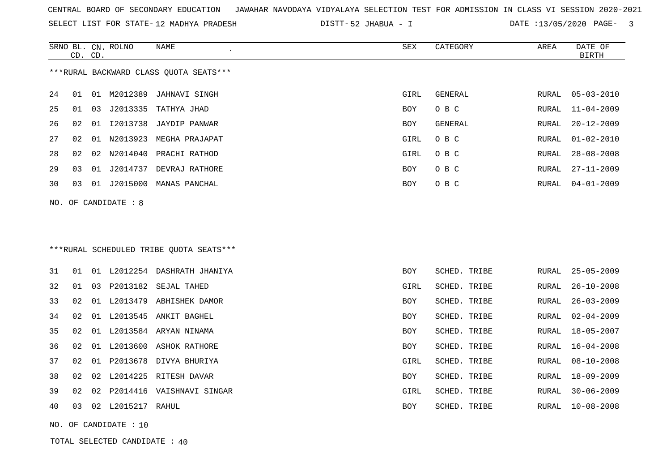| CENTRAL BOARD OF SECONDARY EDUCATION – JAWAHAR NAVODAYA VIDYALAYA SELECTION TEST FOR ADMISSION IN CLASS VI SESSION 2020-2021 |  |  |  |  |
|------------------------------------------------------------------------------------------------------------------------------|--|--|--|--|
|------------------------------------------------------------------------------------------------------------------------------|--|--|--|--|

SELECT LIST FOR STATE-12 MADHYA PRADESH DISTT-52 JHABUA - I DATE :13/05/2020 PAGE- 3

|                      | CD. CD. |    | SRNO BL. CN. ROLNO      | <b>NAME</b>                             | <b>SEX</b> | CATEGORY     | AREA  | DATE OF<br>BIRTH |
|----------------------|---------|----|-------------------------|-----------------------------------------|------------|--------------|-------|------------------|
|                      |         |    |                         | ***RURAL BACKWARD CLASS OUOTA SEATS***  |            |              |       |                  |
| 24                   | 01      |    | 01 M2012389             | JAHNAVI SINGH                           | GIRL       | GENERAL      | RURAL | $05 - 03 - 2010$ |
| 25                   | 01      |    |                         | 03 J2013335 TATHYA JHAD                 | BOY        | O B C        | RURAL | $11 - 04 - 2009$ |
| 26                   | 02      | 01 | I2013738                | JAYDIP PANWAR                           | BOY        | GENERAL      | RURAL | $20 - 12 - 2009$ |
| 27                   | 02      |    |                         | 01 N2013923 MEGHA PRAJAPAT              | GIRL       | O B C        | RURAL | $01 - 02 - 2010$ |
| 28                   | 02      |    |                         | 02 N2014040 PRACHI RATHOD               | GIRL       | O B C        | RURAL | $28 - 08 - 2008$ |
| 29                   | 03      |    |                         | 01 J2014737 DEVRAJ RATHORE              | BOY        | O B C        | RURAL | $27 - 11 - 2009$ |
| 30                   | 03      |    |                         | 01 J2015000 MANAS PANCHAL               | BOY        | O B C        | RURAL | $04 - 01 - 2009$ |
| NO. OF CANDIDATE : 8 |         |    |                         |                                         |            |              |       |                  |
|                      |         |    |                         |                                         |            |              |       |                  |
|                      |         |    |                         |                                         |            |              |       |                  |
|                      |         |    |                         | ***RURAL SCHEDULED TRIBE QUOTA SEATS*** |            |              |       |                  |
| 31                   | 01      |    |                         | 01 L2012254 DASHRATH JHANIYA            | <b>BOY</b> | SCHED. TRIBE | RURAL | $25 - 05 - 2009$ |
| 32                   | 01      |    |                         | 03 P2013182 SEJAL TAHED                 | GIRL       | SCHED. TRIBE | RURAL | $26 - 10 - 2008$ |
| 33                   | 02      |    |                         | 01 L2013479 ABHISHEK DAMOR              | BOY        | SCHED. TRIBE | RURAL | $26 - 03 - 2009$ |
| 34                   | 02      |    |                         | 01 L2013545 ANKIT BAGHEL                | BOY        | SCHED. TRIBE | RURAL | $02 - 04 - 2009$ |
| 35                   | 02      |    |                         | 01 L2013584 ARYAN NINAMA                | BOY        | SCHED. TRIBE | RURAL | $18 - 05 - 2007$ |
| 36                   | 02      |    |                         | 01 L2013600 ASHOK RATHORE               | BOY        | SCHED. TRIBE | RURAL | $16 - 04 - 2008$ |
| 37                   | 02      |    |                         | 01 P2013678 DIVYA BHURIYA               | GIRL       | SCHED. TRIBE | RURAL | $08 - 10 - 2008$ |
| 38                   | 02      | 02 |                         | L2014225 RITESH DAVAR                   | BOY        | SCHED. TRIBE | RURAL | $18 - 09 - 2009$ |
| 39                   | 02      |    |                         | 02 P2014416 VAISHNAVI SINGAR            | GIRL       | SCHED. TRIBE | RURAL | $30 - 06 - 2009$ |
| 40                   | 03      |    | 02 L2015217 RAHUL       |                                         | BOY        | SCHED. TRIBE | RURAL | $10 - 08 - 2008$ |
|                      |         |    | NO. OF CANDIDATE : $10$ |                                         |            |              |       |                  |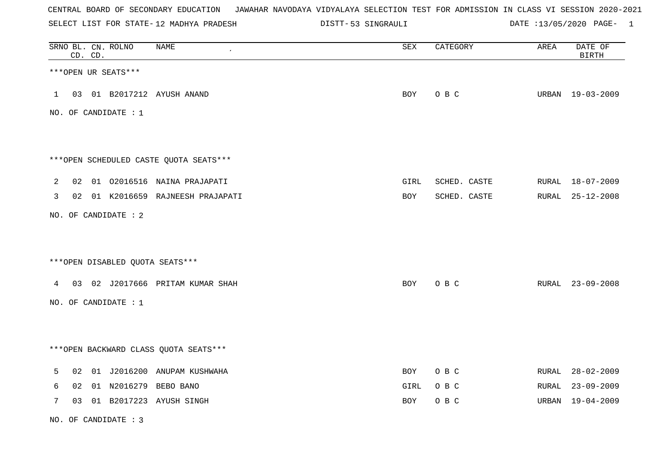SELECT LIST FOR STATE- DISTT- 12 MADHYA PRADESH

53 SINGRAULI DATE :13/05/2020 PAGE- 1

|   | CD. CD. | SRNO BL. CN. ROLNO   | <b>NAME</b>                            | SEX  | CATEGORY     | AREA | DATE OF<br><b>BIRTH</b> |
|---|---------|----------------------|----------------------------------------|------|--------------|------|-------------------------|
|   |         | ***OPEN UR SEATS***  |                                        |      |              |      |                         |
|   |         |                      | 1 03 01 B2017212 AYUSH ANAND           | BOY  | O B C        |      | URBAN 19-03-2009        |
|   |         | NO. OF CANDIDATE : 1 |                                        |      |              |      |                         |
|   |         |                      |                                        |      |              |      |                         |
|   |         |                      | ***OPEN SCHEDULED CASTE QUOTA SEATS*** |      |              |      |                         |
| 2 |         |                      | 02 01 02016516 NAINA PRAJAPATI         | GIRL | SCHED. CASTE |      | RURAL 18-07-2009        |
| 3 |         |                      | 02 01 K2016659 RAJNEESH PRAJAPATI      | BOY  | SCHED. CASTE |      | RURAL 25-12-2008        |
|   |         | NO. OF CANDIDATE : 2 |                                        |      |              |      |                         |
|   |         |                      |                                        |      |              |      |                         |
|   |         |                      | ***OPEN DISABLED QUOTA SEATS***        |      |              |      |                         |
|   |         |                      | 4 03 02 J2017666 PRITAM KUMAR SHAH     | BOY  | O B C        |      | RURAL 23-09-2008        |
|   |         | NO. OF CANDIDATE : 1 |                                        |      |              |      |                         |
|   |         |                      |                                        |      |              |      |                         |
|   |         |                      | *** OPEN BACKWARD CLASS QUOTA SEATS*** |      |              |      |                         |
| 5 |         |                      | 02 01 J2016200 ANUPAM KUSHWAHA         | BOY  | O B C        |      | RURAL 28-02-2009        |
| 6 |         |                      | 02 01 N2016279 BEBO BANO               | GIRL | O B C        |      | RURAL 23-09-2009        |
| 7 | 03      |                      | 01 B2017223 AYUSH SINGH                | BOY  | O B C        |      | URBAN 19-04-2009        |

NO. OF CANDIDATE : 3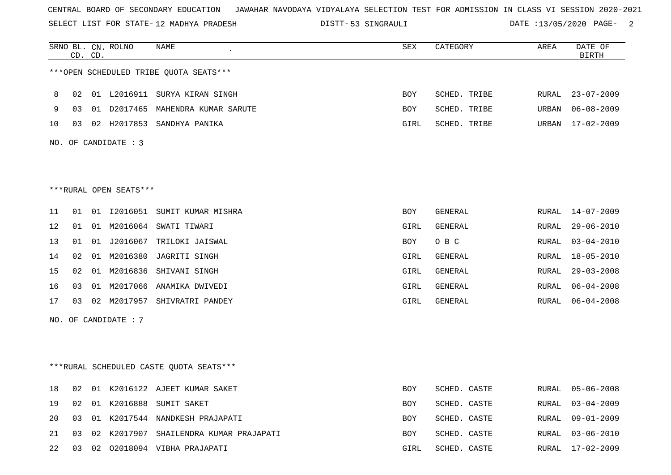SELECT LIST FOR STATE- DISTT- 12 MADHYA PRADESH

53 SINGRAULI DATE :13/05/2020 PAGE- 2

|    |    | CD. CD. | SRNO BL. CN. ROLNO     | NAME<br>$\pmb{\cdot}$                   | SEX  | CATEGORY     | AREA  | DATE OF<br>BIRTH |
|----|----|---------|------------------------|-----------------------------------------|------|--------------|-------|------------------|
|    |    |         |                        | ***OPEN SCHEDULED TRIBE QUOTA SEATS***  |      |              |       |                  |
| 8  | 02 |         |                        | 01 L2016911 SURYA KIRAN SINGH           | BOY  | SCHED. TRIBE | RURAL | $23 - 07 - 2009$ |
| 9  | 03 |         |                        | 01 D2017465 MAHENDRA KUMAR SARUTE       | BOY  | SCHED. TRIBE | URBAN | $06 - 08 - 2009$ |
| 10 | 03 |         |                        | 02 H2017853 SANDHYA PANIKA              | GIRL | SCHED. TRIBE | URBAN | $17 - 02 - 2009$ |
|    |    |         | NO. OF CANDIDATE : 3   |                                         |      |              |       |                  |
|    |    |         |                        |                                         |      |              |       |                  |
|    |    |         | ***RURAL OPEN SEATS*** |                                         |      |              |       |                  |
| 11 | 01 |         |                        | 01 I2016051 SUMIT KUMAR MISHRA          | BOY  | GENERAL      | RURAL | $14 - 07 - 2009$ |
| 12 | 01 |         |                        | 01 M2016064 SWATI TIWARI                | GIRL | GENERAL      | RURAL | $29 - 06 - 2010$ |
| 13 | 01 |         |                        | 01 J2016067 TRILOKI JAISWAL             | BOY  | O B C        | RURAL | $03 - 04 - 2010$ |
| 14 | 02 |         |                        | 01 M2016380 JAGRITI SINGH               | GIRL | GENERAL      | RURAL | $18 - 05 - 2010$ |
| 15 | 02 |         |                        | 01 M2016836 SHIVANI SINGH               | GIRL | GENERAL      | RURAL | $29 - 03 - 2008$ |
| 16 | 03 | 01      | M2017066               | ANAMIKA DWIVEDI                         | GIRL | GENERAL      | RURAL | $06 - 04 - 2008$ |
| 17 | 03 |         |                        | 02 M2017957 SHIVRATRI PANDEY            | GIRL | GENERAL      | RURAL | $06 - 04 - 2008$ |
|    |    |         | NO. OF CANDIDATE : 7   |                                         |      |              |       |                  |
|    |    |         |                        |                                         |      |              |       |                  |
|    |    |         |                        | ***RURAL SCHEDULED CASTE QUOTA SEATS*** |      |              |       |                  |
| 18 |    |         |                        | 02 01 K2016122 AJEET KUMAR SAKET        | BOY  | SCHED. CASTE | RURAL | $05 - 06 - 2008$ |
| 19 | 02 |         |                        | 01 K2016888 SUMIT SAKET                 | BOY  | SCHED. CASTE | RURAL | $03 - 04 - 2009$ |
| 20 | 03 |         |                        | 01 K2017544 NANDKESH PRAJAPATI          | BOY  | SCHED. CASTE | RURAL | $09 - 01 - 2009$ |
| 21 | 03 |         |                        | 02 K2017907 SHAILENDRA KUMAR PRAJAPATI  | BOY  | SCHED. CASTE | RURAL | $03 - 06 - 2010$ |
| 22 |    |         |                        | 03 02 02018094 VIBHA PRAJAPATI          | GIRL | SCHED. CASTE | RURAL | $17 - 02 - 2009$ |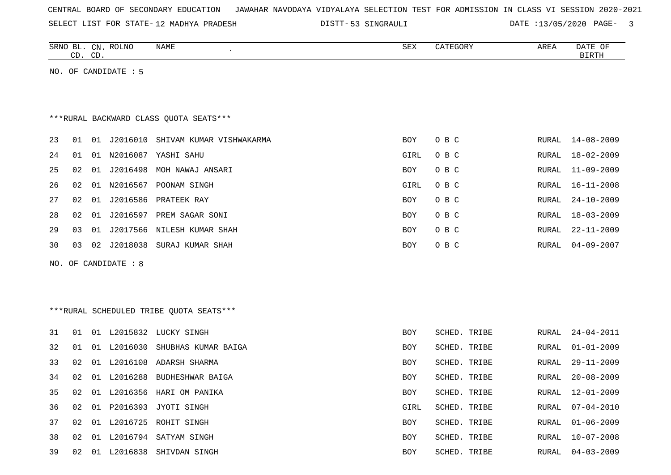SELECT LIST FOR STATE- DISTT- 12 MADHYA PRADESH

53 SINGRAULI DATE :13/05/2020 PAGE- 3

|    |    | CD. CD. | SRNO BL. CN. ROLNO   | <b>NAME</b>                             | ${\tt SEX}$ | CATEGORY     | AREA          | DATE OF<br><b>BIRTH</b> |
|----|----|---------|----------------------|-----------------------------------------|-------------|--------------|---------------|-------------------------|
|    |    |         | NO. OF CANDIDATE : 5 |                                         |             |              |               |                         |
|    |    |         |                      |                                         |             |              |               |                         |
|    |    |         |                      |                                         |             |              |               |                         |
|    |    |         |                      | *** RURAL BACKWARD CLASS QUOTA SEATS*** |             |              |               |                         |
| 23 | 01 |         |                      | 01 J2016010 SHIVAM KUMAR VISHWAKARMA    | <b>BOY</b>  | O B C        | RURAL         | 14-08-2009              |
| 24 | 01 |         |                      | 01 N2016087 YASHI SAHU                  | GIRL        | O B C        | ${\tt RURAL}$ | $18 - 02 - 2009$        |
| 25 | 02 | 01      |                      | J2016498 MOH NAWAJ ANSARI               | BOY         | O B C        | <b>RURAL</b>  | $11 - 09 - 2009$        |
| 26 | 02 | 01      |                      | N2016567 POONAM SINGH                   | GIRL        | O B C        | <b>RURAL</b>  | $16 - 11 - 2008$        |
| 27 | 02 | 01      | J2016586             | PRATEEK RAY                             | BOY         | O B C        | <b>RURAL</b>  | $24 - 10 - 2009$        |
| 28 | 02 | 01      |                      | J2016597 PREM SAGAR SONI                | <b>BOY</b>  | O B C        | <b>RURAL</b>  | $18 - 03 - 2009$        |
| 29 | 03 | 01      | J2017566             | NILESH KUMAR SHAH                       | BOY         | O B C        | <b>RURAL</b>  | $22 - 11 - 2009$        |
| 30 | 03 |         |                      | 02 J2018038 SURAJ KUMAR SHAH            | BOY         | O B C        | RURAL         | $04 - 09 - 2007$        |
|    |    |         | NO. OF CANDIDATE: 8  |                                         |             |              |               |                         |
|    |    |         |                      |                                         |             |              |               |                         |
|    |    |         |                      |                                         |             |              |               |                         |
|    |    |         |                      | ***RURAL SCHEDULED TRIBE QUOTA SEATS*** |             |              |               |                         |
| 31 | 01 |         |                      | 01 L2015832 LUCKY SINGH                 | <b>BOY</b>  | SCHED. TRIBE | <b>RURAL</b>  | $24 - 04 - 2011$        |
| 32 | 01 |         |                      | 01 L2016030 SHUBHAS KUMAR BAIGA         | BOY         | SCHED. TRIBE | <b>RURAL</b>  | $01 - 01 - 2009$        |
| 33 | 02 |         | 01 L2016108          | ADARSH SHARMA                           | BOY         | SCHED. TRIBE | <b>RURAL</b>  | $29 - 11 - 2009$        |
| 34 | 02 | 01      | L2016288             | BUDHESHWAR BAIGA                        | BOY         | SCHED. TRIBE | <b>RURAL</b>  | $20 - 08 - 2009$        |
| 35 | 02 |         |                      | 01 L2016356 HARI OM PANIKA              | BOY         | SCHED. TRIBE | <b>RURAL</b>  | $12 - 01 - 2009$        |
| 36 | 02 | 01      | P2016393             | JYOTI SINGH                             | GIRL        | SCHED. TRIBE | <b>RURAL</b>  | $07 - 04 - 2010$        |
| 37 | 02 | 01      |                      | L2016725 ROHIT SINGH                    | BOY         | SCHED. TRIBE | RURAL         | $01 - 06 - 2009$        |
| 38 | 02 |         |                      | 01 L2016794 SATYAM SINGH                | BOY         | SCHED. TRIBE | RURAL         | $10 - 07 - 2008$        |
| 39 | 02 |         | 01 L2016838          | SHIVDAN SINGH                           | <b>BOY</b>  | SCHED. TRIBE | RURAL         | $04 - 03 - 2009$        |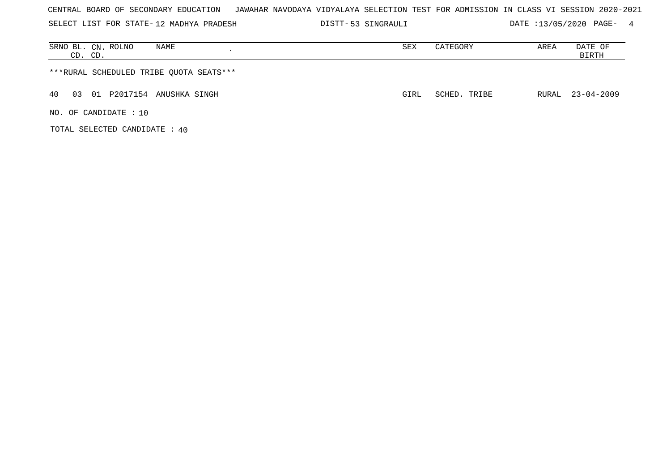SELECT LIST FOR STATE- DISTT- 12 MADHYA PRADESH

53 SINGRAULI DATE :13/05/2020 PAGE- 4

| SRNO BL. CN. ROLNO<br>NAME<br>CD. CD.   | SEX  | CATEGORY     | AREA | DATE OF<br>BIRTH |
|-----------------------------------------|------|--------------|------|------------------|
| ***RURAL SCHEDULED TRIBE QUOTA SEATS*** |      |              |      |                  |
| 01 P2017154 ANUSHKA SINGH<br>40<br>03   | GIRL | SCHED. TRIBE |      | RURAL 23-04-2009 |
| NO. OF CANDIDATE $: 10$                 |      |              |      |                  |

TOTAL SELECTED CANDIDATE : 40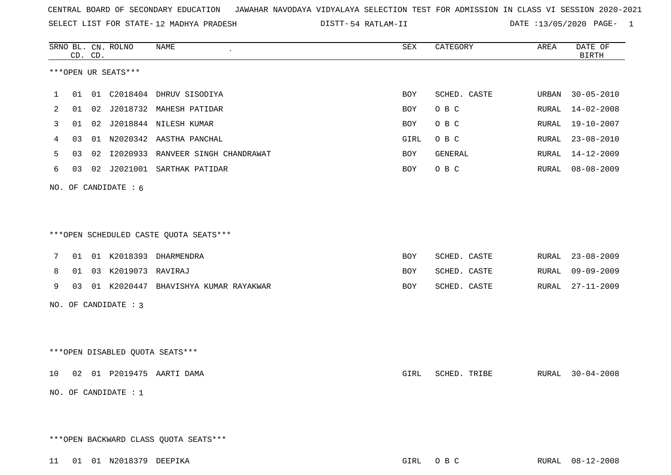SELECT LIST FOR STATE- DISTT- 12 MADHYA PRADESH

54 RATLAM-II DATE :13/05/2020 PAGE- 1

|    | CD. CD. |    | SRNO BL. CN. ROLNO        | NAME<br>$\epsilon$                      | SEX  | CATEGORY     | AREA  | DATE OF<br><b>BIRTH</b> |
|----|---------|----|---------------------------|-----------------------------------------|------|--------------|-------|-------------------------|
|    |         |    | ***OPEN UR SEATS***       |                                         |      |              |       |                         |
| 1  | 01      |    |                           | 01 C2018404 DHRUV SISODIYA              | BOY  | SCHED. CASTE | URBAN | $30 - 05 - 2010$        |
| 2  | 01      |    |                           | 02 J2018732 MAHESH PATIDAR              | BOY  | O B C        | RURAL | $14 - 02 - 2008$        |
| 3  | 01      |    |                           | 02 J2018844 NILESH KUMAR                | BOY  | O B C        | RURAL | $19 - 10 - 2007$        |
| 4  | 03      | 01 |                           | N2020342 AASTHA PANCHAL                 | GIRL | O B C        | RURAL | $23 - 08 - 2010$        |
| 5  | 03      |    |                           | 02 I2020933 RANVEER SINGH CHANDRAWAT    | BOY  | GENERAL      | RURAL | 14-12-2009              |
| 6  | 03      |    |                           | 02 J2021001 SARTHAK PATIDAR             | BOY  | O B C        | RURAL | $08 - 08 - 2009$        |
|    |         |    | NO. OF CANDIDATE : 6      |                                         |      |              |       |                         |
|    |         |    |                           |                                         |      |              |       |                         |
|    |         |    |                           | *** OPEN SCHEDULED CASTE QUOTA SEATS*** |      |              |       |                         |
| 7  | 01      |    |                           | 01 K2018393 DHARMENDRA                  | BOY  | SCHED. CASTE | RURAL | $23 - 08 - 2009$        |
| 8  | 01      |    | 03 K2019073 RAVIRAJ       |                                         | BOY  | SCHED. CASTE | RURAL | $09 - 09 - 2009$        |
| 9  | 03      |    |                           | 01 K2020447 BHAVISHYA KUMAR RAYAKWAR    | BOY  | SCHED. CASTE | RURAL | $27 - 11 - 2009$        |
|    |         |    | NO. OF CANDIDATE : 3      |                                         |      |              |       |                         |
|    |         |    |                           |                                         |      |              |       |                         |
|    |         |    |                           | ***OPEN DISABLED QUOTA SEATS***         |      |              |       |                         |
| 10 |         |    |                           | 02 01 P2019475 AARTI DAMA               | GIRL | SCHED. TRIBE | RURAL | $30 - 04 - 2008$        |
|    |         |    | NO. OF CANDIDATE : 1      |                                         |      |              |       |                         |
|    |         |    |                           |                                         |      |              |       |                         |
|    |         |    |                           | *** OPEN BACKWARD CLASS QUOTA SEATS***  |      |              |       |                         |
|    |         |    | 11 01 01 N2018379 DEEPIKA |                                         |      | GIRL OBC     |       | RURAL 08-12-2008        |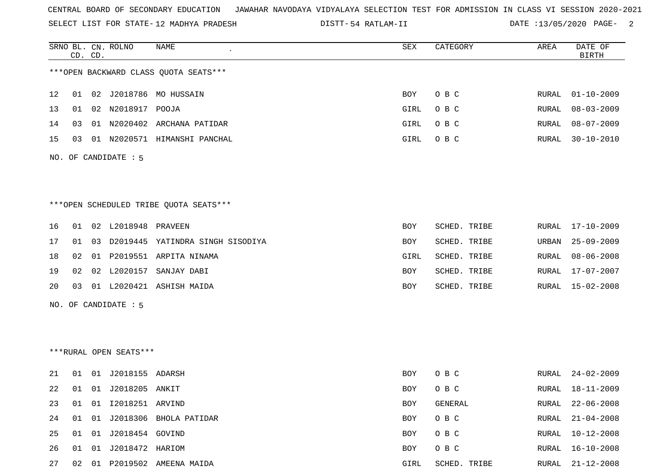SELECT LIST FOR STATE- DISTT- 12 MADHYA PRADESH

54 RATLAM-II DATE :13/05/2020 PAGE- 2

|    |    | CD. CD. | SRNO BL. CN. ROLNO     | <b>NAME</b>                            | <b>SEX</b> | CATEGORY     | AREA          | DATE OF<br><b>BIRTH</b> |
|----|----|---------|------------------------|----------------------------------------|------------|--------------|---------------|-------------------------|
|    |    |         |                        | *** OPEN BACKWARD CLASS QUOTA SEATS*** |            |              |               |                         |
| 12 | 01 |         |                        | 02 J2018786 MO HUSSAIN                 | BOY        | O B C        | RURAL         | 01-10-2009              |
| 13 | 01 |         | 02 N2018917 POOJA      |                                        | GIRL       | O B C        | RURAL         | $08 - 03 - 2009$        |
| 14 | 03 |         |                        | 01 N2020402 ARCHANA PATIDAR            | GIRL       | O B C        | RURAL         | $08 - 07 - 2009$        |
| 15 | 03 |         |                        | 01 N2020571 HIMANSHI PANCHAL           | GIRL       | O B C        | ${\tt RURAL}$ | $30 - 10 - 2010$        |
|    |    |         | NO. OF CANDIDATE $: 5$ |                                        |            |              |               |                         |
|    |    |         |                        | ***OPEN SCHEDULED TRIBE QUOTA SEATS*** |            |              |               |                         |
| 16 | 01 |         | 02 L2018948 PRAVEEN    |                                        | BOY        | SCHED. TRIBE | RURAL         | 17-10-2009              |
| 17 | 01 |         |                        | 03 D2019445 YATINDRA SINGH SISODIYA    | BOY        | SCHED. TRIBE | URBAN         | $25 - 09 - 2009$        |
| 18 | 02 |         |                        | 01 P2019551 ARPITA NINAMA              | GIRL       | SCHED. TRIBE | RURAL         | $08 - 06 - 2008$        |
| 19 | 02 |         |                        | 02 L2020157 SANJAY DABI                | BOY        | SCHED. TRIBE | RURAL         | 17-07-2007              |
| 20 | 03 |         |                        | 01 L2020421 ASHISH MAIDA               | BOY        | SCHED. TRIBE |               | RURAL 15-02-2008        |
|    |    |         | NO. OF CANDIDATE $: 5$ |                                        |            |              |               |                         |
|    |    |         | ***RURAL OPEN SEATS*** |                                        |            |              |               |                         |
| 21 | 01 |         | 01 J2018155 ADARSH     |                                        | BOY        | O B C        | RURAL         | 24-02-2009              |
| 22 | 01 |         | 01 J2018205 ANKIT      |                                        | BOY        | O B C        | RURAL         | $18 - 11 - 2009$        |
| 23 | 01 |         | 01 I2018251 ARVIND     |                                        | <b>BOY</b> | GENERAL      | RURAL         | $22 - 06 - 2008$        |
| 24 | 01 |         |                        | 01 J2018306 BHOLA PATIDAR              | <b>BOY</b> | O B C        | RURAL         | $21 - 04 - 2008$        |
| 25 | 01 |         | 01 J2018454 GOVIND     |                                        | <b>BOY</b> | O B C        | RURAL         | $10 - 12 - 2008$        |
| 26 |    |         | 01 01 J2018472 HARIOM  |                                        | BOY        | O B C        | RURAL         | 16-10-2008              |

27 02 01 P2019502 AMEENA MAIDA GIRL SCHED. TRIBE RURAL 21-12-2008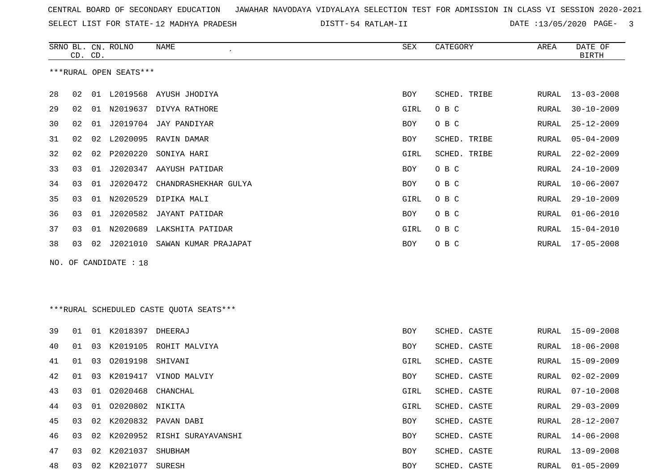SELECT LIST FOR STATE- DISTT- 12 MADHYA PRADESH

54 RATLAM-II DATE :13/05/2020 PAGE- 3

| ***RURAL OPEN SEATS***<br>28<br>01 L2019568 AYUSH JHODIYA<br>SCHED. TRIBE<br>02<br>BOY<br>RURAL<br>29<br>02<br>01 N2019637 DIVYA RATHORE<br>GIRL<br>O B C<br>RURAL<br>30<br>J2019704 JAY PANDIYAR<br>O B C<br>02<br>01<br>BOY<br>RURAL<br>31<br>02<br>L2020095 RAVIN DAMAR<br>SCHED. TRIBE<br>02<br>BOY<br>RURAL<br>32<br>02<br>P2020220<br>SCHED. TRIBE<br>02<br>SONIYA HARI<br>GIRL<br>RURAL<br>33<br>O B C<br>03<br>J2020347<br>AAYUSH PATIDAR<br>01<br>BOY<br>RURAL<br>34<br>O B C<br>03<br>01<br>J2020472 CHANDRASHEKHAR GULYA<br>BOY<br>RURAL<br>35<br>03<br>N2020529 DIPIKA MALI<br>GIRL<br>O B C<br>01<br>RURAL<br>36<br>J2020582 JAYANT PATIDAR<br>O B C<br>03<br>01<br>BOY<br>RURAL<br>37<br>N2020689 LAKSHITA PATIDAR<br>GIRL<br>O B C<br>03<br>01<br>RURAL<br>38<br>03<br>02<br>J2021010 SAWAN KUMAR PRAJAPAT<br>O B C<br>BOY<br>RURAL<br>NO. OF CANDIDATE : 18<br>***RURAL SCHEDULED CASTE QUOTA SEATS***<br>39<br>K2018397 DHEERAJ<br>SCHED. CASTE<br>01<br>01<br>BOY<br>RURAL<br>K2019105 ROHIT MALVIYA<br>SCHED. CASTE<br>40<br>01<br>03<br>BOY<br>RURAL<br>01<br>03<br>02019198<br>SHIVANI<br>SCHED. CASTE<br>41<br>GIRL<br>RURAL<br>K2019417 VINOD MALVIY<br>42<br>01<br>03<br>BOY<br>SCHED. CASTE<br>RURAL<br>43<br>03<br>02020468<br>CHANCHAL<br>01<br>GIRL<br>SCHED. CASTE<br>RURAL<br>02020802 NIKITA<br>44<br>01<br>SCHED. CASTE<br>RURAL<br>03<br>GIRL<br>45<br>02 K2020832 PAVAN DABI<br>03<br>BOY<br>SCHED. CASTE<br>RURAL<br>K2020952 RISHI SURAYAVANSHI<br>46<br>03<br>02<br>BOY<br>SCHED. CASTE<br>RURAL<br>47<br>K2021037 SHUBHAM<br>SCHED. CASTE<br>03<br>BOY<br>02<br>RURAL<br>02 K2021077 SURESH<br>48<br>SCHED. CASTE<br>03<br>BOY<br>RURAL | CD. CD. | SRNO BL. CN. ROLNO | NAME | SEX | CATEGORY | AREA | DATE OF<br><b>BIRTH</b> |
|-------------------------------------------------------------------------------------------------------------------------------------------------------------------------------------------------------------------------------------------------------------------------------------------------------------------------------------------------------------------------------------------------------------------------------------------------------------------------------------------------------------------------------------------------------------------------------------------------------------------------------------------------------------------------------------------------------------------------------------------------------------------------------------------------------------------------------------------------------------------------------------------------------------------------------------------------------------------------------------------------------------------------------------------------------------------------------------------------------------------------------------------------------------------------------------------------------------------------------------------------------------------------------------------------------------------------------------------------------------------------------------------------------------------------------------------------------------------------------------------------------------------------------------------------------------------------------------------------------------------------------------------------------------------------------|---------|--------------------|------|-----|----------|------|-------------------------|
|                                                                                                                                                                                                                                                                                                                                                                                                                                                                                                                                                                                                                                                                                                                                                                                                                                                                                                                                                                                                                                                                                                                                                                                                                                                                                                                                                                                                                                                                                                                                                                                                                                                                               |         |                    |      |     |          |      |                         |
|                                                                                                                                                                                                                                                                                                                                                                                                                                                                                                                                                                                                                                                                                                                                                                                                                                                                                                                                                                                                                                                                                                                                                                                                                                                                                                                                                                                                                                                                                                                                                                                                                                                                               |         |                    |      |     |          |      | $13 - 03 - 2008$        |
|                                                                                                                                                                                                                                                                                                                                                                                                                                                                                                                                                                                                                                                                                                                                                                                                                                                                                                                                                                                                                                                                                                                                                                                                                                                                                                                                                                                                                                                                                                                                                                                                                                                                               |         |                    |      |     |          |      | $30 - 10 - 2009$        |
|                                                                                                                                                                                                                                                                                                                                                                                                                                                                                                                                                                                                                                                                                                                                                                                                                                                                                                                                                                                                                                                                                                                                                                                                                                                                                                                                                                                                                                                                                                                                                                                                                                                                               |         |                    |      |     |          |      | $25 - 12 - 2009$        |
|                                                                                                                                                                                                                                                                                                                                                                                                                                                                                                                                                                                                                                                                                                                                                                                                                                                                                                                                                                                                                                                                                                                                                                                                                                                                                                                                                                                                                                                                                                                                                                                                                                                                               |         |                    |      |     |          |      | $05 - 04 - 2009$        |
|                                                                                                                                                                                                                                                                                                                                                                                                                                                                                                                                                                                                                                                                                                                                                                                                                                                                                                                                                                                                                                                                                                                                                                                                                                                                                                                                                                                                                                                                                                                                                                                                                                                                               |         |                    |      |     |          |      | $22 - 02 - 2009$        |
|                                                                                                                                                                                                                                                                                                                                                                                                                                                                                                                                                                                                                                                                                                                                                                                                                                                                                                                                                                                                                                                                                                                                                                                                                                                                                                                                                                                                                                                                                                                                                                                                                                                                               |         |                    |      |     |          |      | $24 - 10 - 2009$        |
|                                                                                                                                                                                                                                                                                                                                                                                                                                                                                                                                                                                                                                                                                                                                                                                                                                                                                                                                                                                                                                                                                                                                                                                                                                                                                                                                                                                                                                                                                                                                                                                                                                                                               |         |                    |      |     |          |      | $10 - 06 - 2007$        |
|                                                                                                                                                                                                                                                                                                                                                                                                                                                                                                                                                                                                                                                                                                                                                                                                                                                                                                                                                                                                                                                                                                                                                                                                                                                                                                                                                                                                                                                                                                                                                                                                                                                                               |         |                    |      |     |          |      | $29 - 10 - 2009$        |
|                                                                                                                                                                                                                                                                                                                                                                                                                                                                                                                                                                                                                                                                                                                                                                                                                                                                                                                                                                                                                                                                                                                                                                                                                                                                                                                                                                                                                                                                                                                                                                                                                                                                               |         |                    |      |     |          |      | $01 - 06 - 2010$        |
|                                                                                                                                                                                                                                                                                                                                                                                                                                                                                                                                                                                                                                                                                                                                                                                                                                                                                                                                                                                                                                                                                                                                                                                                                                                                                                                                                                                                                                                                                                                                                                                                                                                                               |         |                    |      |     |          |      | $15 - 04 - 2010$        |
|                                                                                                                                                                                                                                                                                                                                                                                                                                                                                                                                                                                                                                                                                                                                                                                                                                                                                                                                                                                                                                                                                                                                                                                                                                                                                                                                                                                                                                                                                                                                                                                                                                                                               |         |                    |      |     |          |      | $17 - 05 - 2008$        |
|                                                                                                                                                                                                                                                                                                                                                                                                                                                                                                                                                                                                                                                                                                                                                                                                                                                                                                                                                                                                                                                                                                                                                                                                                                                                                                                                                                                                                                                                                                                                                                                                                                                                               |         |                    |      |     |          |      |                         |
|                                                                                                                                                                                                                                                                                                                                                                                                                                                                                                                                                                                                                                                                                                                                                                                                                                                                                                                                                                                                                                                                                                                                                                                                                                                                                                                                                                                                                                                                                                                                                                                                                                                                               |         |                    |      |     |          |      |                         |
|                                                                                                                                                                                                                                                                                                                                                                                                                                                                                                                                                                                                                                                                                                                                                                                                                                                                                                                                                                                                                                                                                                                                                                                                                                                                                                                                                                                                                                                                                                                                                                                                                                                                               |         |                    |      |     |          |      |                         |
|                                                                                                                                                                                                                                                                                                                                                                                                                                                                                                                                                                                                                                                                                                                                                                                                                                                                                                                                                                                                                                                                                                                                                                                                                                                                                                                                                                                                                                                                                                                                                                                                                                                                               |         |                    |      |     |          |      |                         |
|                                                                                                                                                                                                                                                                                                                                                                                                                                                                                                                                                                                                                                                                                                                                                                                                                                                                                                                                                                                                                                                                                                                                                                                                                                                                                                                                                                                                                                                                                                                                                                                                                                                                               |         |                    |      |     |          |      | $15 - 09 - 2008$        |
|                                                                                                                                                                                                                                                                                                                                                                                                                                                                                                                                                                                                                                                                                                                                                                                                                                                                                                                                                                                                                                                                                                                                                                                                                                                                                                                                                                                                                                                                                                                                                                                                                                                                               |         |                    |      |     |          |      | $18 - 06 - 2008$        |
|                                                                                                                                                                                                                                                                                                                                                                                                                                                                                                                                                                                                                                                                                                                                                                                                                                                                                                                                                                                                                                                                                                                                                                                                                                                                                                                                                                                                                                                                                                                                                                                                                                                                               |         |                    |      |     |          |      | $15 - 09 - 2009$        |
|                                                                                                                                                                                                                                                                                                                                                                                                                                                                                                                                                                                                                                                                                                                                                                                                                                                                                                                                                                                                                                                                                                                                                                                                                                                                                                                                                                                                                                                                                                                                                                                                                                                                               |         |                    |      |     |          |      | $02 - 02 - 2009$        |
|                                                                                                                                                                                                                                                                                                                                                                                                                                                                                                                                                                                                                                                                                                                                                                                                                                                                                                                                                                                                                                                                                                                                                                                                                                                                                                                                                                                                                                                                                                                                                                                                                                                                               |         |                    |      |     |          |      | $07 - 10 - 2008$        |
|                                                                                                                                                                                                                                                                                                                                                                                                                                                                                                                                                                                                                                                                                                                                                                                                                                                                                                                                                                                                                                                                                                                                                                                                                                                                                                                                                                                                                                                                                                                                                                                                                                                                               |         |                    |      |     |          |      | $29 - 03 - 2009$        |
|                                                                                                                                                                                                                                                                                                                                                                                                                                                                                                                                                                                                                                                                                                                                                                                                                                                                                                                                                                                                                                                                                                                                                                                                                                                                                                                                                                                                                                                                                                                                                                                                                                                                               |         |                    |      |     |          |      | 28-12-2007              |
|                                                                                                                                                                                                                                                                                                                                                                                                                                                                                                                                                                                                                                                                                                                                                                                                                                                                                                                                                                                                                                                                                                                                                                                                                                                                                                                                                                                                                                                                                                                                                                                                                                                                               |         |                    |      |     |          |      | $14 - 06 - 2008$        |
|                                                                                                                                                                                                                                                                                                                                                                                                                                                                                                                                                                                                                                                                                                                                                                                                                                                                                                                                                                                                                                                                                                                                                                                                                                                                                                                                                                                                                                                                                                                                                                                                                                                                               |         |                    |      |     |          |      | $13 - 09 - 2008$        |
|                                                                                                                                                                                                                                                                                                                                                                                                                                                                                                                                                                                                                                                                                                                                                                                                                                                                                                                                                                                                                                                                                                                                                                                                                                                                                                                                                                                                                                                                                                                                                                                                                                                                               |         |                    |      |     |          |      | $01 - 05 - 2009$        |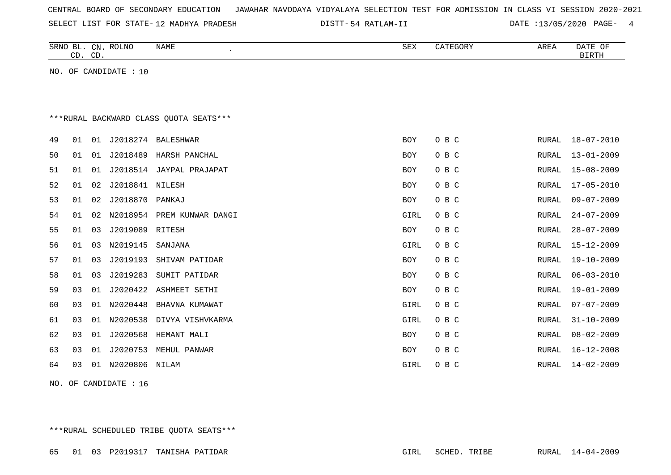| CENTRAL BOARD OF SECONDARY EDUCATION – JAWAHAR NAVODAYA VIDYALAYA SELECTION TEST FOR ADMISSION IN CLASS VI SESSION 2020-2021 |  |  |  |  |
|------------------------------------------------------------------------------------------------------------------------------|--|--|--|--|
|------------------------------------------------------------------------------------------------------------------------------|--|--|--|--|

SELECT LIST FOR STATE- DISTT- 12 MADHYA PRADESH

54 RATLAM-II DATE :13/05/2020 PAGE- 4

|    | CD. CD. |    | SRNO BL. CN. ROLNO    | <b>NAME</b><br>$\cdot$                 | <b>SEX</b> | CATEGORY | AREA         | DATE OF<br><b>BIRTH</b> |
|----|---------|----|-----------------------|----------------------------------------|------------|----------|--------------|-------------------------|
|    |         |    | NO. OF CANDIDATE : 10 |                                        |            |          |              |                         |
|    |         |    |                       |                                        |            |          |              |                         |
|    |         |    |                       |                                        |            |          |              |                         |
|    |         |    |                       | ***RURAL BACKWARD CLASS QUOTA SEATS*** |            |          |              |                         |
| 49 | 01      | 01 |                       | J2018274 BALESHWAR                     | <b>BOY</b> | O B C    | RURAL        | $18 - 07 - 2010$        |
| 50 | 01      | 01 |                       | J2018489 HARSH PANCHAL                 | <b>BOY</b> | O B C    | RURAL        | $13 - 01 - 2009$        |
| 51 | 01      | 01 |                       | J2018514 JAYPAL PRAJAPAT               | <b>BOY</b> | O B C    | RURAL        | $15 - 08 - 2009$        |
| 52 | 01      | 02 | J2018841              | NILESH                                 | <b>BOY</b> | O B C    | RURAL        | $17 - 05 - 2010$        |
| 53 | 01      | 02 | J2018870              | PANKAJ                                 | <b>BOY</b> | O B C    | RURAL        | $09 - 07 - 2009$        |
| 54 | 01      | 02 |                       | N2018954 PREM KUNWAR DANGI             | GIRL       | O B C    | RURAL        | $24 - 07 - 2009$        |
| 55 | 01      | 03 | J2019089              | RITESH                                 | <b>BOY</b> | O B C    | RURAL        | $28 - 07 - 2009$        |
| 56 | 01      | 03 | N2019145              | SANJANA                                | GIRL       | O B C    | RURAL        | $15 - 12 - 2009$        |
| 57 | 01      | 03 | J2019193              | SHIVAM PATIDAR                         | <b>BOY</b> | O B C    | RURAL        | $19 - 10 - 2009$        |
| 58 | 01      | 03 | J2019283              | SUMIT PATIDAR                          | <b>BOY</b> | O B C    | RURAL        | $06 - 03 - 2010$        |
| 59 | 03      | 01 | J2020422              | ASHMEET SETHI                          | <b>BOY</b> | O B C    | RURAL        | $19 - 01 - 2009$        |
| 60 | 03      | 01 | N2020448              | BHAVNA KUMAWAT                         | GIRL       | O B C    | RURAL        | $07 - 07 - 2009$        |
| 61 | 03      | 01 | N2020538              | DIVYA VISHVKARMA                       | GIRL       | O B C    | <b>RURAL</b> | $31 - 10 - 2009$        |
| 62 | 03      | 01 | J2020568              | HEMANT MALI                            | <b>BOY</b> | O B C    | RURAL        | $08 - 02 - 2009$        |
| 63 | 03      | 01 | J2020753              | MEHUL PANWAR                           | <b>BOY</b> | O B C    | RURAL        | $16 - 12 - 2008$        |
| 64 | 03      |    | 01 N2020806 NILAM     |                                        | GIRL       | O B C    | RURAL        | $14 - 02 - 2009$        |

NO. OF CANDIDATE : 16

\*\*\*RURAL SCHEDULED TRIBE QUOTA SEATS\*\*\*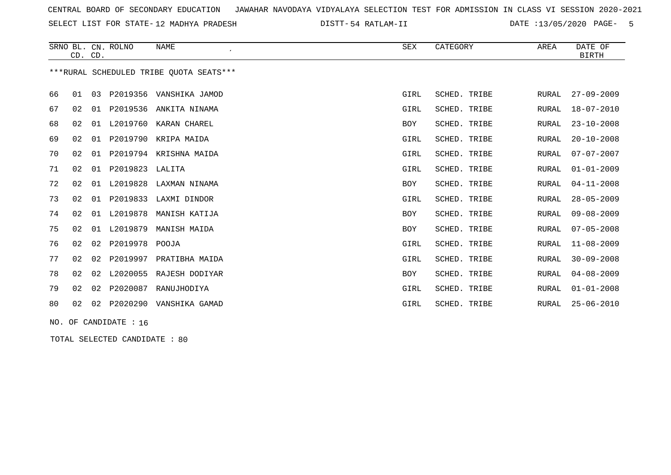SELECT LIST FOR STATE- DISTT- 12 MADHYA PRADESH

54 RATLAM-II DATE :13/05/2020 PAGE- 5

|    | CD. CD. |    | SRNO BL. CN. ROLNO | <b>NAME</b>                             | SEX        | CATEGORY     | AREA         | DATE OF<br><b>BIRTH</b> |
|----|---------|----|--------------------|-----------------------------------------|------------|--------------|--------------|-------------------------|
|    |         |    |                    | ***RURAL SCHEDULED TRIBE OUOTA SEATS*** |            |              |              |                         |
| 66 | 01      | 03 | P2019356           | VANSHIKA JAMOD                          | GIRL       | SCHED. TRIBE | RURAL        | $27 - 09 - 2009$        |
| 67 | 02      | 01 | P2019536           | ANKITA NINAMA                           | GIRL       | SCHED. TRIBE | <b>RURAL</b> | $18 - 07 - 2010$        |
| 68 | 02      | 01 | L2019760           | KARAN CHAREL                            | <b>BOY</b> | SCHED. TRIBE | <b>RURAL</b> | $23 - 10 - 2008$        |
| 69 | 02      | 01 | P2019790           | KRIPA MAIDA                             | GIRL       | SCHED. TRIBE | <b>RURAL</b> | $20 - 10 - 2008$        |
| 70 | 02      | 01 | P2019794           | KRISHNA MAIDA                           | GIRL       | SCHED. TRIBE | <b>RURAL</b> | $07 - 07 - 2007$        |
| 71 | 02      | 01 | P2019823           | LALITA                                  | GIRL       | SCHED. TRIBE | <b>RURAL</b> | $01 - 01 - 2009$        |
| 72 | 02      | 01 | L2019828           | LAXMAN NINAMA                           | <b>BOY</b> | SCHED. TRIBE | <b>RURAL</b> | $04 - 11 - 2008$        |
| 73 | 02      | 01 | P2019833           | LAXMI DINDOR                            | GIRL       | SCHED. TRIBE | <b>RURAL</b> | $28 - 05 - 2009$        |
| 74 | 02      | 01 | L2019878           | MANISH KATIJA                           | <b>BOY</b> | SCHED. TRIBE | RURAL        | $09 - 08 - 2009$        |
| 75 | 02      | 01 | L2019879           | MANISH MAIDA                            | <b>BOY</b> | SCHED. TRIBE | RURAL        | $07 - 05 - 2008$        |
| 76 | 02      | 02 | P2019978           | POOJA                                   | GIRL       | SCHED. TRIBE | RURAL        | $11 - 08 - 2009$        |
| 77 | 02      | 02 | P2019997           | PRATIBHA MAIDA                          | GIRL       | SCHED. TRIBE | <b>RURAL</b> | $30 - 09 - 2008$        |
| 78 | 02      | 02 | L2020055           | RAJESH DODIYAR                          | <b>BOY</b> | SCHED. TRIBE | <b>RURAL</b> | $04 - 08 - 2009$        |
| 79 | 02      | 02 | P2020087           | RANUJHODIYA                             | GIRL       | SCHED. TRIBE | <b>RURAL</b> | $01 - 01 - 2008$        |
| 80 | 02      | 02 | P2020290           | VANSHIKA GAMAD                          | GIRL       | SCHED. TRIBE | RURAL        | $25 - 06 - 2010$        |

NO. OF CANDIDATE : 16

TOTAL SELECTED CANDIDATE : 80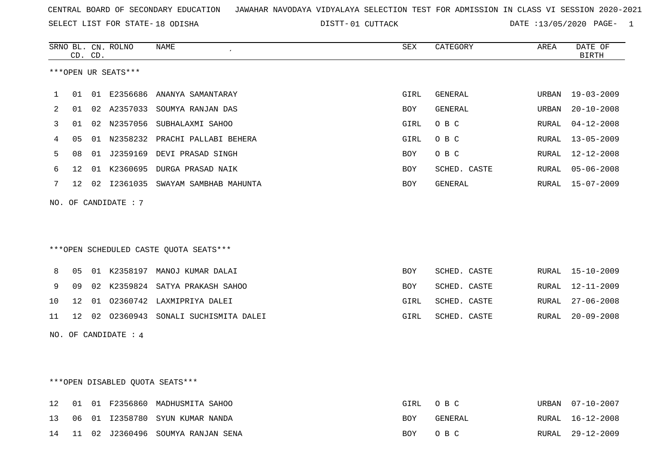SELECT LIST FOR STATE- DISTT- 18 ODISHA

01 CUTTACK DATE :13/05/2020 PAGE- 1

|     |    | CD. CD. | SRNO BL. CN. ROLNO   | <b>NAME</b>                            | <b>SEX</b> | CATEGORY     | AREA         | DATE OF<br><b>BIRTH</b> |
|-----|----|---------|----------------------|----------------------------------------|------------|--------------|--------------|-------------------------|
|     |    |         | ***OPEN UR SEATS***  |                                        |            |              |              |                         |
| 1   | 01 |         |                      | 01 E2356686 ANANYA SAMANTARAY          | GIRL       | GENERAL      | URBAN        | $19 - 03 - 2009$        |
| 2   | 01 |         |                      | 02 A2357033 SOUMYA RANJAN DAS          | BOY        | GENERAL      | URBAN        | $20 - 10 - 2008$        |
| 3   | 01 |         | 02 N2357056          | SUBHALAXMI SAHOO                       | GIRL       | O B C        | RURAL        | $04 - 12 - 2008$        |
| 4   | 05 |         |                      | 01 N2358232 PRACHI PALLABI BEHERA      | GIRL       | O B C        | RURAL        | $13 - 05 - 2009$        |
| 5   | 08 |         |                      | 01 J2359169 DEVI PRASAD SINGH          | BOY        | O B C        | RURAL        | $12 - 12 - 2008$        |
| 6   | 12 |         |                      | 01 K2360695 DURGA PRASAD NAIK          | BOY        | SCHED. CASTE | RURAL        | $05 - 06 - 2008$        |
| 7   | 12 |         |                      | 02 I2361035 SWAYAM SAMBHAB MAHUNTA     | BOY        | GENERAL      | RURAL        | $15 - 07 - 2009$        |
| NO. |    |         | OF CANDIDATE : 7     |                                        |            |              |              |                         |
|     |    |         |                      | ***OPEN SCHEDULED CASTE QUOTA SEATS*** |            |              |              |                         |
| 8   | 05 |         |                      | 01 K2358197 MANOJ KUMAR DALAI          | BOY        | SCHED. CASTE | RURAL        | $15 - 10 - 2009$        |
| 9   | 09 |         |                      | 02 K2359824 SATYA PRAKASH SAHOO        | BOY        | SCHED. CASTE | RURAL        | $12 - 11 - 2009$        |
| 10  | 12 |         |                      | 01 02360742 LAXMIPRIYA DALEI           | GIRL       | SCHED. CASTE | RURAL        | $27 - 06 - 2008$        |
| 11  | 12 |         |                      | 02 02360943 SONALI SUCHISMITA DALEI    | GIRL       | SCHED. CASTE | RURAL        | $20 - 09 - 2008$        |
|     |    |         | NO. OF CANDIDATE : 4 |                                        |            |              |              |                         |
|     |    |         |                      |                                        |            |              |              |                         |
|     |    |         |                      | *** OPEN DISABLED QUOTA SEATS***       |            |              |              |                         |
| 12  | 01 |         |                      | 01 F2356860 MADHUSMITA SAHOO           | GIRL       | O B C        | URBAN        | $07 - 10 - 2007$        |
| 13  | 06 |         |                      | 01 I2358780 SYUN KUMAR NANDA           | BOY        | GENERAL      | RURAL        | $16 - 12 - 2008$        |
| 14  | 11 |         | 02 J2360496          | SOUMYA RANJAN SENA                     | <b>BOY</b> | O B C        | <b>RURAL</b> | $29 - 12 - 2009$        |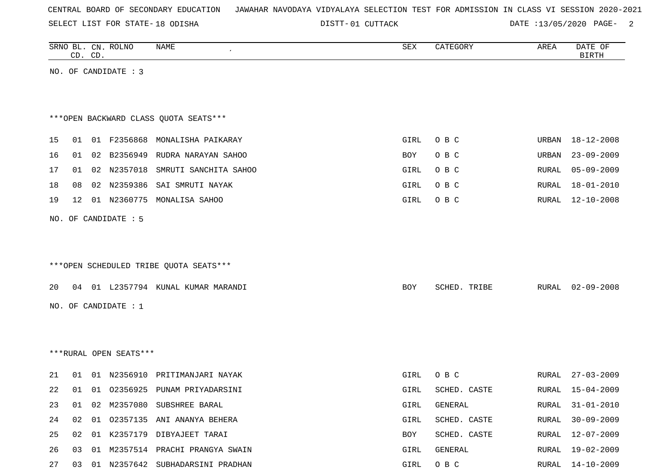SELECT LIST FOR STATE- DISTT- 18 ODISHA

01 CUTTACK DATE :13/05/2020 PAGE- 2

|    |    | CD. CD. | SRNO BL. CN. ROLNO     | <b>NAME</b>                            | ${\tt SEX}$ | CATEGORY     | AREA  | DATE OF<br><b>BIRTH</b> |
|----|----|---------|------------------------|----------------------------------------|-------------|--------------|-------|-------------------------|
|    |    |         | NO. OF CANDIDATE : 3   |                                        |             |              |       |                         |
|    |    |         |                        |                                        |             |              |       |                         |
|    |    |         |                        |                                        |             |              |       |                         |
|    |    |         |                        | *** OPEN BACKWARD CLASS QUOTA SEATS*** |             |              |       |                         |
| 15 | 01 |         | 01 F2356868            | MONALISHA PAIKARAY                     | GIRL        | O B C        | URBAN | $18 - 12 - 2008$        |
| 16 | 01 |         | 02 B2356949            | RUDRA NARAYAN SAHOO                    | BOY         | O B C        | URBAN | $23 - 09 - 2009$        |
| 17 | 01 |         | 02 N2357018            | SMRUTI SANCHITA SAHOO                  | GIRL        | O B C        | RURAL | $05 - 09 - 2009$        |
| 18 | 08 |         | 02 N2359386            | SAI SMRUTI NAYAK                       | GIRL        | O B C        | RURAL | $18 - 01 - 2010$        |
| 19 | 12 |         | 01 N2360775            | MONALISA SAHOO                         | GIRL        | O B C        | RURAL | $12 - 10 - 2008$        |
|    |    |         | NO. OF CANDIDATE : 5   |                                        |             |              |       |                         |
|    |    |         |                        |                                        |             |              |       |                         |
|    |    |         |                        |                                        |             |              |       |                         |
|    |    |         |                        | ***OPEN SCHEDULED TRIBE QUOTA SEATS*** |             |              |       |                         |
| 20 |    |         |                        | 04 01 L2357794 KUNAL KUMAR MARANDI     | BOY         | SCHED. TRIBE | RURAL | $02 - 09 - 2008$        |
|    |    |         | NO. OF CANDIDATE : 1   |                                        |             |              |       |                         |
|    |    |         |                        |                                        |             |              |       |                         |
|    |    |         |                        |                                        |             |              |       |                         |
|    |    |         | ***RURAL OPEN SEATS*** |                                        |             |              |       |                         |
|    |    |         |                        |                                        |             |              |       |                         |
| 21 | 01 |         | 01 N2356910            | PRITIMANJARI NAYAK                     | GIRL        | O B C        | RURAL | $27 - 03 - 2009$        |
| 22 | 01 |         |                        | 01 02356925 PUNAM PRIYADARSINI         | GIRL        | SCHED. CASTE | RURAL | 15-04-2009              |
| 23 | 01 |         |                        | 02 M2357080 SUBSHREE BARAL             | GIRL        | GENERAL      |       | RURAL 31-01-2010        |
| 24 | 02 |         |                        | 01 02357135 ANI ANANYA BEHERA          | GIRL        | SCHED. CASTE | RURAL | $30 - 09 - 2009$        |
| 25 | 02 |         |                        | 01 K2357179 DIBYAJEET TARAI            | BOY         | SCHED. CASTE | RURAL | 12-07-2009              |
| 26 |    |         |                        | 03 01 M2357514 PRACHI PRANGYA SWAIN    | GIRL        | GENERAL      |       | RURAL 19-02-2009        |
| 27 |    |         |                        | 03 01 N2357642 SUBHADARSINI PRADHAN    | GIRL        | O B C        |       | RURAL 14-10-2009        |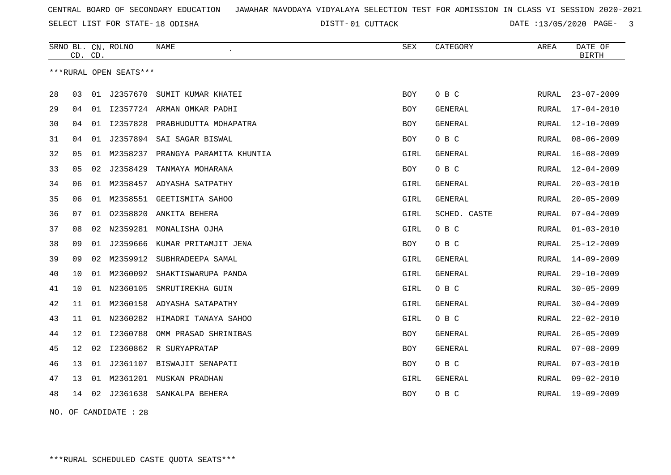SELECT LIST FOR STATE- DISTT- 18 ODISHA

01 CUTTACK DATE :13/05/2020 PAGE- 3

|    | CD. CD. |    | SRNO BL. CN. ROLNO     | NAME                                 | <b>SEX</b> | CATEGORY       | AREA         | DATE OF<br><b>BIRTH</b> |
|----|---------|----|------------------------|--------------------------------------|------------|----------------|--------------|-------------------------|
|    |         |    | ***RURAL OPEN SEATS*** |                                      |            |                |              |                         |
| 28 | 03      | 01 | J2357670               | SUMIT KUMAR KHATEI                   | <b>BOY</b> | O B C          | RURAL        | $23 - 07 - 2009$        |
| 29 | 04      | 01 |                        | 12357724 ARMAN OMKAR PADHI           | BOY        | GENERAL        | RURAL        | $17 - 04 - 2010$        |
| 30 | 04      | 01 |                        | I2357828 PRABHUDUTTA MOHAPATRA       | BOY        | GENERAL        | RURAL        | $12 - 10 - 2009$        |
| 31 | 04      | 01 | J2357894               | SAI SAGAR BISWAL                     | <b>BOY</b> | O B C          | RURAL        | $08 - 06 - 2009$        |
| 32 | 05      |    |                        | 01 M2358237 PRANGYA PARAMITA KHUNTIA | GIRL       | <b>GENERAL</b> | RURAL        | $16 - 08 - 2009$        |
| 33 | 05      | 02 | J2358429               | TANMAYA MOHARANA                     | BOY        | O B C          | RURAL        | $12 - 04 - 2009$        |
| 34 | 06      | 01 |                        | M2358457 ADYASHA SATPATHY            | GIRL       | GENERAL        | RURAL        | $20 - 03 - 2010$        |
| 35 | 06      | 01 | M2358551               | GEETISMITA SAHOO                     | GIRL       | <b>GENERAL</b> | RURAL        | $20 - 05 - 2009$        |
| 36 | 07      | 01 | 02358820               | ANKITA BEHERA                        | GIRL       | SCHED. CASTE   | RURAL        | $07 - 04 - 2009$        |
| 37 | 08      | 02 | N2359281               | MONALISHA OJHA                       | GIRL       | O B C          | RURAL        | $01 - 03 - 2010$        |
| 38 | 09      | 01 | J2359666               | KUMAR PRITAMJIT JENA                 | BOY        | O B C          | RURAL        | $25 - 12 - 2009$        |
| 39 | 09      | 02 | M2359912               | SUBHRADEEPA SAMAL                    | GIRL       | GENERAL        | RURAL        | $14 - 09 - 2009$        |
| 40 | 10      | 01 | M2360092               | SHAKTISWARUPA PANDA                  | GIRL       | GENERAL        | RURAL        | $29 - 10 - 2009$        |
| 41 | 10      | 01 | N2360105               | SMRUTIREKHA GUIN                     | GIRL       | O B C          | RURAL        | $30 - 05 - 2009$        |
| 42 | 11      | 01 | M2360158               | ADYASHA SATAPATHY                    | GIRL       | GENERAL        | RURAL        | $30 - 04 - 2009$        |
| 43 | 11      |    |                        | 01 N2360282 HIMADRI TANAYA SAHOO     | GIRL       | O B C          | RURAL        | $22 - 02 - 2010$        |
| 44 | 12      | 01 | I2360788               | OMM PRASAD SHRINIBAS                 | <b>BOY</b> | GENERAL        | <b>RURAL</b> | $26 - 05 - 2009$        |
| 45 | 12      | 02 |                        | I2360862 R SURYAPRATAP               | <b>BOY</b> | GENERAL        | RURAL        | $07 - 08 - 2009$        |
| 46 | 13      | 01 | J2361107               | BISWAJIT SENAPATI                    | BOY        | O B C          | RURAL        | $07 - 03 - 2010$        |
| 47 | 13      | 01 |                        | M2361201 MUSKAN PRADHAN              | GIRL       | GENERAL        | RURAL        | $09 - 02 - 2010$        |
| 48 | 14      | 02 |                        | J2361638 SANKALPA BEHERA             | BOY        | O B C          | RURAL        | $19 - 09 - 2009$        |
|    |         |    |                        |                                      |            |                |              |                         |

NO. OF CANDIDATE : 28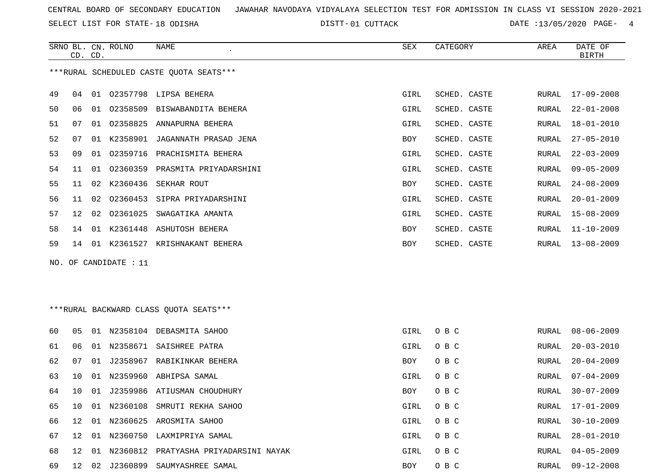SELECT LIST FOR STATE- DISTT- 18 ODISHA

68 12 01 N2360812 PRATYASHA PRIYADARSINI NAYAK

DISTT-01 CUTTACK DATE :13/05/2020 PAGE- 4

|    | CD. CD. |    | SRNO BL. CN. ROLNO    | NAME                                    | <b>SEX</b>  | CATEGORY     | AREA         | DATE OF<br><b>BIRTH</b> |
|----|---------|----|-----------------------|-----------------------------------------|-------------|--------------|--------------|-------------------------|
|    |         |    |                       | ***RURAL SCHEDULED CASTE QUOTA SEATS*** |             |              |              |                         |
| 49 | 04      |    |                       | 01 02357798 LIPSA BEHERA                | GIRL        | SCHED. CASTE | RURAL        | $17 - 09 - 2008$        |
| 50 | 06      |    |                       | 01 02358509 BISWABANDITA BEHERA         | GIRL        | SCHED. CASTE | RURAL        | $22 - 01 - 2008$        |
| 51 | 07      | 01 | 02358825              | ANNAPURNA BEHERA                        | GIRL        | SCHED. CASTE | RURAL        | $18 - 01 - 2010$        |
| 52 | 07      |    |                       | 01 K2358901 JAGANNATH PRASAD JENA       | BOY         | SCHED. CASTE | RURAL        | $27 - 05 - 2010$        |
| 53 | 09      | 01 |                       | 02359716 PRACHISMITA BEHERA             | GIRL        | SCHED. CASTE | RURAL        | $22 - 03 - 2009$        |
| 54 | 11      | 01 |                       | 02360359 PRASMITA PRIYADARSHINI         | GIRL        | SCHED. CASTE | RURAL        | $09 - 05 - 2009$        |
| 55 | 11      |    |                       | 02 K2360436 SEKHAR ROUT                 | BOY         | SCHED. CASTE | RURAL        | $24 - 08 - 2009$        |
| 56 | 11      | 02 | 02360453              | SIPRA PRIYADARSHINI                     | GIRL        | SCHED. CASTE | RURAL        | $20 - 01 - 2009$        |
| 57 | 12      | 02 |                       | 02361025 SWAGATIKA AMANTA               | GIRL        | SCHED. CASTE | RURAL        | $15 - 08 - 2009$        |
| 58 | 14      |    |                       | 01 K2361448 ASHUTOSH BEHERA             | BOY         | SCHED. CASTE | RURAL        | $11 - 10 - 2009$        |
| 59 | 14      |    |                       | 01 K2361527 KRISHNAKANT BEHERA          | <b>BOY</b>  | SCHED. CASTE | RURAL        | $13 - 08 - 2009$        |
|    |         |    | NO. OF CANDIDATE : 11 |                                         |             |              |              |                         |
|    |         |    |                       |                                         |             |              |              |                         |
|    |         |    |                       |                                         |             |              |              |                         |
|    |         |    |                       | ***RURAL BACKWARD CLASS OUOTA SEATS***  |             |              |              |                         |
| 60 | 05      |    |                       | 01 N2358104 DEBASMITA SAHOO             | GIRL        | O B C        | RURAL        | $08 - 06 - 2009$        |
| 61 | 06      |    |                       | 01 N2358671 SAISHREE PATRA              | GIRL        | O B C        | RURAL        | $20 - 03 - 2010$        |
| 62 | 07      |    |                       | 01 J2358967 RABIKINKAR BEHERA           | BOY         | O B C        | RURAL        | $20 - 04 - 2009$        |
| 63 | 10      |    |                       | 01 N2359960 ABHIPSA SAMAL               | GIRL        | O B C        | RURAL        | $07 - 04 - 2009$        |
| 64 | 10      | 01 |                       | J2359986 ATIUSMAN CHOUDHURY             | BOY         | O B C        | RURAL        | $30 - 07 - 2009$        |
| 65 | 10      |    |                       | 01 N2360108 SMRUTI REKHA SAHOO          | GIRL        | O B C        | RURAL        | $17 - 01 - 2009$        |
| 66 | 12      |    |                       | 01 N2360625 AROSMITA SAHOO              | GIRL        | O B C        | RURAL        | $30 - 10 - 2009$        |
| 67 | 12      |    |                       | 01 N2360750 LAXMIPRIYA SAMAL            | <b>GIRL</b> | овс          | <b>RURAL</b> | $28 - 01 - 2010$        |

69 12 02 J2360899 SAUMYASHREE SAMAL BOY O B C RURAL 09-12-2008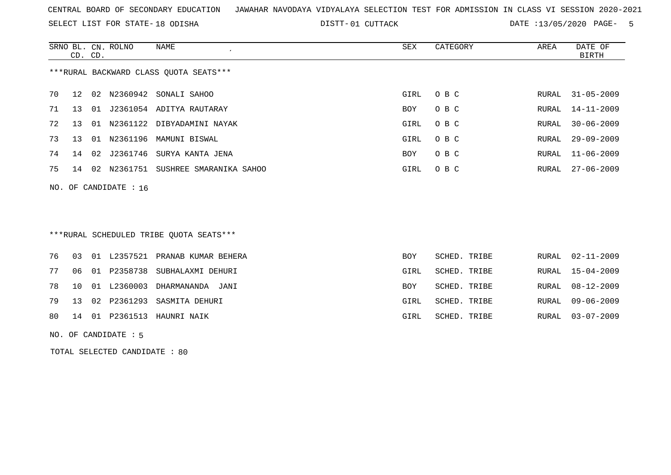SELECT LIST FOR STATE- DISTT- 18 ODISHA

DISTT-01 CUTTACK DATE :13/05/2020 PAGE- 5

|                                         | CD. CD. |    | SRNO BL. CN. ROLNO      | NAME                          | SEX  | CATEGORY | AREA  | DATE OF<br>BIRTH |
|-----------------------------------------|---------|----|-------------------------|-------------------------------|------|----------|-------|------------------|
| *** RURAL BACKWARD CLASS QUOTA SEATS*** |         |    |                         |                               |      |          |       |                  |
| 70                                      | 12      | 02 | N2360942                | SONALI SAHOO                  | GIRL | O B C    | RURAL | 31-05-2009       |
| 71                                      | 13      |    |                         | 01 J2361054 ADITYA RAUTARAY   | BOY  | O B C    |       | RURAL 14-11-2009 |
| 72                                      | 13      |    |                         | 01 N2361122 DIBYADAMINI NAYAK | GIRL | O B C    | RURAL | $30 - 06 - 2009$ |
| 73                                      | 13      |    |                         | 01 N2361196 MAMUNI BISWAL     | GIRL | O B C    | RURAL | $29 - 09 - 2009$ |
| 74                                      | 14      | 02 | J2361746                | SURYA KANTA JENA              | BOY  | O B C    | RURAL | $11 - 06 - 2009$ |
| 75                                      | 14      | 02 | N2361751                | SUSHREE SMARANIKA SAHOO       | GIRL | O B C    | RURAL | $27 - 06 - 2009$ |
|                                         |         |    | NO. OF CANDIDATE : $16$ |                               |      |          |       |                  |

# \*\*\*RURAL SCHEDULED TRIBE QUOTA SEATS\*\*\*

|  |  | 76 03 01 L2357521 PRANAB KUMAR BEHERA   | <b>BOY</b> | SCHED. TRIBE | RURAL 02-11-2009 |
|--|--|-----------------------------------------|------------|--------------|------------------|
|  |  | 77 06 01 P2358738 SUBHALAXMI DEHURI     | GIRL       | SCHED. TRIBE | RURAL 15-04-2009 |
|  |  | 78  10  01  L2360003  DHARMANANDA  JANI | <b>BOY</b> | SCHED. TRIBE | RURAL 08-12-2009 |
|  |  | 79 13 02 P2361293 SASMITA DEHURI        | GIRL       | SCHED. TRIBE | RURAL 09-06-2009 |
|  |  | 80 14 01 P2361513 HAUNRI NAIK           | GIRL       | SCHED. TRIBE | RURAL 03-07-2009 |
|  |  |                                         |            |              |                  |

NO. OF CANDIDATE : 5

TOTAL SELECTED CANDIDATE : 80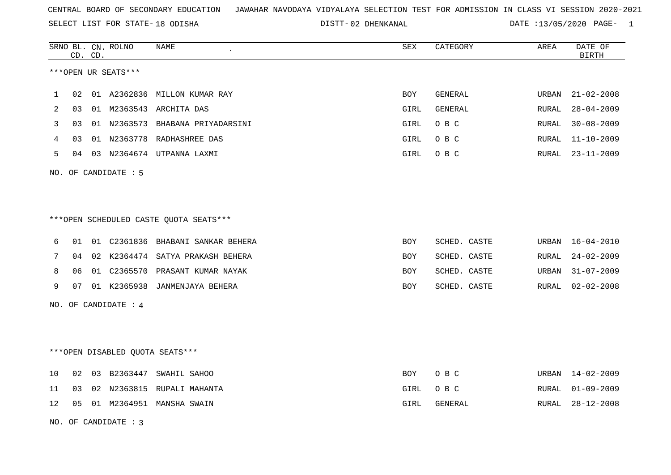SELECT LIST FOR STATE- DISTT- 18 ODISHA

|    |    | CD. CD. | SRNO BL. CN. ROLNO   | NAME                                   | ${\tt SEX}$ | CATEGORY     | AREA  | DATE OF<br><b>BIRTH</b> |
|----|----|---------|----------------------|----------------------------------------|-------------|--------------|-------|-------------------------|
|    |    |         | ***OPEN UR SEATS***  |                                        |             |              |       |                         |
| 1  | 02 |         | 01 A2362836          | MILLON KUMAR RAY                       | BOY         | GENERAL      | URBAN | $21 - 02 - 2008$        |
| 2  | 03 | 01      |                      | M2363543 ARCHITA DAS                   | GIRL        | GENERAL      | RURAL | $28 - 04 - 2009$        |
| 3  | 03 |         |                      | 01 N2363573 BHABANA PRIYADARSINI       | GIRL        | O B C        | RURAL | $30 - 08 - 2009$        |
| 4  | 03 |         |                      | 01 N2363778 RADHASHREE DAS             | GIRL        | O B C        | RURAL | $11 - 10 - 2009$        |
| 5  | 04 |         |                      | 03 N2364674 UTPANNA LAXMI              | GIRL        | O B C        | RURAL | $23 - 11 - 2009$        |
|    |    |         | NO. OF CANDIDATE : 5 |                                        |             |              |       |                         |
|    |    |         |                      |                                        |             |              |       |                         |
|    |    |         |                      |                                        |             |              |       |                         |
|    |    |         |                      | ***OPEN SCHEDULED CASTE QUOTA SEATS*** |             |              |       |                         |
| 6  | 01 |         |                      | 01 C2361836 BHABANI SANKAR BEHERA      | BOY         | SCHED. CASTE | URBAN | $16 - 04 - 2010$        |
| 7  | 04 |         |                      | 02 K2364474 SATYA PRAKASH BEHERA       | BOY         | SCHED. CASTE | RURAL | $24 - 02 - 2009$        |
| 8  | 06 |         |                      | 01 C2365570 PRASANT KUMAR NAYAK        | BOY         | SCHED. CASTE | URBAN | $31 - 07 - 2009$        |
| 9  | 07 |         |                      | 01 K2365938 JANMENJAYA BEHERA          | BOY         | SCHED. CASTE | RURAL | $02 - 02 - 2008$        |
|    |    |         | NO. OF CANDIDATE : 4 |                                        |             |              |       |                         |
|    |    |         |                      |                                        |             |              |       |                         |
|    |    |         |                      |                                        |             |              |       |                         |
|    |    |         |                      | ***OPEN DISABLED QUOTA SEATS***        |             |              |       |                         |
| 10 | 02 |         |                      | 03 B2363447 SWAHIL SAHOO               | BOY         | O B C        | URBAN | 14-02-2009              |
| 11 | 03 | 02      | N2363815             | RUPALI MAHANTA                         | GIRL        | O B C        | RURAL | $01 - 09 - 2009$        |
| 12 | 05 |         |                      | 01 M2364951 MANSHA SWAIN               | GIRL        | GENERAL      | RURAL | $28 - 12 - 2008$        |
|    |    |         | NO. OF CANDIDATE: 3  |                                        |             |              |       |                         |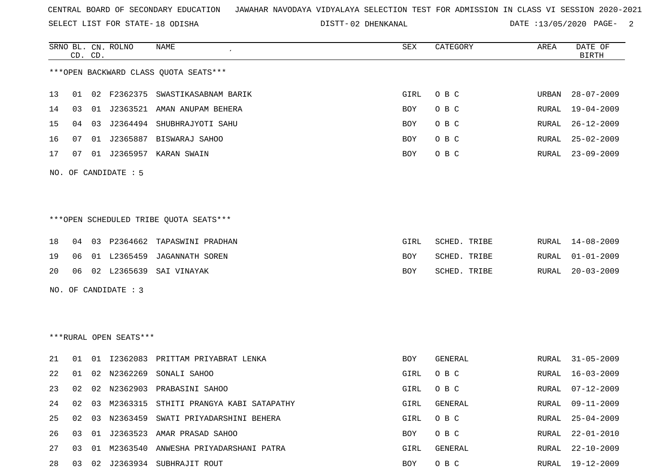SELECT LIST FOR STATE- DISTT- 18 ODISHA

|    |    | CD. CD. | SRNO BL. CN. ROLNO     | NAME                                      | ${\tt SEX}$ | CATEGORY       | AREA  | DATE OF<br><b>BIRTH</b> |
|----|----|---------|------------------------|-------------------------------------------|-------------|----------------|-------|-------------------------|
|    |    |         |                        | *** OPEN BACKWARD CLASS QUOTA SEATS***    |             |                |       |                         |
| 13 |    |         |                        | 01 02 F2362375 SWASTIKASABNAM BARIK       | GIRL        | O B C          | URBAN | $28 - 07 - 2009$        |
| 14 | 03 |         | 01 J2363521            | AMAN ANUPAM BEHERA                        | BOY         | O B C          | RURAL | $19 - 04 - 2009$        |
| 15 | 04 | 03      |                        | J2364494 SHUBHRAJYOTI SAHU                | BOY         | O B C          | RURAL | $26 - 12 - 2009$        |
| 16 | 07 |         |                        | 01 J2365887 BISWARAJ SAHOO                | BOY         | O B C          | RURAL | $25 - 02 - 2009$        |
| 17 | 07 |         |                        | 01 J2365957 KARAN SWAIN                   | BOY         | O B C          | RURAL | $23 - 09 - 2009$        |
|    |    |         | NO. OF CANDIDATE : 5   |                                           |             |                |       |                         |
|    |    |         |                        | ***OPEN SCHEDULED TRIBE QUOTA SEATS***    |             |                |       |                         |
| 18 |    |         |                        | 04 03 P2364662 TAPASWINI PRADHAN          | GIRL        | SCHED. TRIBE   | RURAL | $14 - 08 - 2009$        |
| 19 | 06 |         |                        | 01 L2365459 JAGANNATH SOREN               | BOY         | SCHED. TRIBE   | RURAL | $01 - 01 - 2009$        |
| 20 | 06 |         |                        | 02 L2365639 SAI VINAYAK                   | BOY         | SCHED. TRIBE   | RURAL | $20 - 03 - 2009$        |
|    |    |         | NO. OF CANDIDATE : 3   |                                           |             |                |       |                         |
|    |    |         |                        |                                           |             |                |       |                         |
|    |    |         |                        |                                           |             |                |       |                         |
|    |    |         | ***RURAL OPEN SEATS*** |                                           |             |                |       |                         |
| 21 | 01 |         |                        | 01 I2362083 PRITTAM PRIYABRAT LENKA       | <b>BOY</b>  | <b>GENERAL</b> | RURAL | $31 - 05 - 2009$        |
| 22 | 01 | 02      | N2362269               | SONALI SAHOO                              | GIRL        | O B C          | RURAL | $16 - 03 - 2009$        |
| 23 |    |         |                        | 02 02 N2362903 PRABASINI SAHOO            | GIRL        | O B C          | RURAL | $07 - 12 - 2009$        |
| 24 | 02 |         |                        | 03 M2363315 STHITI PRANGYA KABI SATAPATHY | GIRL        | GENERAL        | RURAL | $09 - 11 - 2009$        |
| 25 |    |         |                        | 02 03 N2363459 SWATI PRIYADARSHINI BEHERA | GIRL        | O B C          | RURAL | $25 - 04 - 2009$        |
| 26 |    |         |                        | 03 01 J2363523 AMAR PRASAD SAHOO          | BOY         | O B C          | RURAL | $22 - 01 - 2010$        |
| 27 | 03 |         |                        | 01 M2363540 ANWESHA PRIYADARSHANI PATRA   | GIRL        | GENERAL        | RURAL | $22 - 10 - 2009$        |
| 28 |    |         |                        | 03 02 J2363934 SUBHRAJIT ROUT             | BOY         | O B C          | RURAL | 19-12-2009              |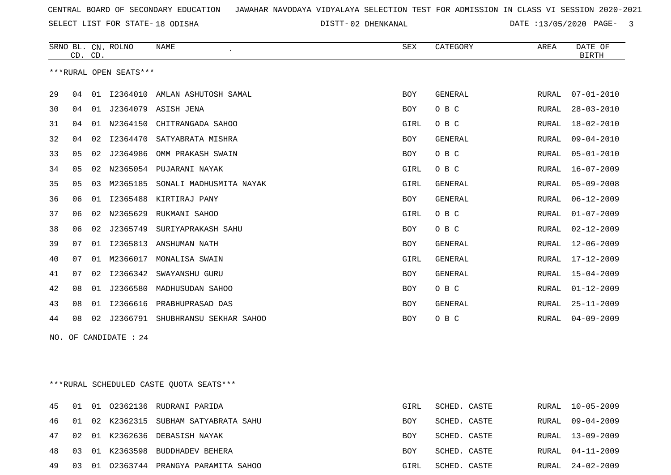SELECT LIST FOR STATE- DISTT- 18 ODISHA

|     |                                          | CD. CD. | SRNO BL. CN. ROLNO     | NAME<br>$\epsilon$               | <b>SEX</b> | CATEGORY       | AREA  | DATE OF<br><b>BIRTH</b> |  |
|-----|------------------------------------------|---------|------------------------|----------------------------------|------------|----------------|-------|-------------------------|--|
|     |                                          |         | ***RURAL OPEN SEATS*** |                                  |            |                |       |                         |  |
| 29  | 04                                       |         |                        | 01 I2364010 AMLAN ASHUTOSH SAMAL | <b>BOY</b> | <b>GENERAL</b> | RURAL | $07 - 01 - 2010$        |  |
| 30  | 04                                       |         |                        | 01 J2364079 ASISH JENA           | BOY        | O B C          | RURAL | $28 - 03 - 2010$        |  |
| 31  | 04                                       | 01      | N2364150               | CHITRANGADA SAHOO                | GIRL       | O B C          | RURAL | $18 - 02 - 2010$        |  |
| 32  | 04                                       | 02      | I2364470               | SATYABRATA MISHRA                | BOY        | GENERAL        | RURAL | $09 - 04 - 2010$        |  |
| 33  | 05                                       | 02      | J2364986               | OMM PRAKASH SWAIN                | BOY        | O B C          | RURAL | $05 - 01 - 2010$        |  |
| 34  | 05                                       | 02      |                        | N2365054 PUJARANI NAYAK          | GIRL       | O B C          | RURAL | $16 - 07 - 2009$        |  |
| 35  | 05                                       | 03      |                        | M2365185 SONALI MADHUSMITA NAYAK | GIRL       | <b>GENERAL</b> | RURAL | $05 - 09 - 2008$        |  |
| 36  | 06                                       | 01      |                        | 12365488 KIRTIRAJ PANY           | BOY        | GENERAL        | RURAL | $06 - 12 - 2009$        |  |
| 37  | 06                                       | 02      |                        | N2365629 RUKMANI SAHOO           | GIRL       | O B C          | RURAL | $01 - 07 - 2009$        |  |
| 38  | 06                                       | 02      | J2365749               | SURIYAPRAKASH SAHU               | <b>BOY</b> | O B C          | RURAL | $02 - 12 - 2009$        |  |
| 39  | 07                                       | 01      |                        | I2365813 ANSHUMAN NATH           | BOY        | <b>GENERAL</b> | RURAL | $12 - 06 - 2009$        |  |
| 40  | 07                                       |         |                        | 01 M2366017 MONALISA SWAIN       | GIRL       | <b>GENERAL</b> | RURAL | $17 - 12 - 2009$        |  |
| 41  | 07                                       | 02      | I2366342               | SWAYANSHU GURU                   | <b>BOY</b> | GENERAL        | RURAL | $15 - 04 - 2009$        |  |
| 42  | 08                                       | 01      | J2366580               | MADHUSUDAN SAHOO                 | BOY        | O B C          | RURAL | $01 - 12 - 2009$        |  |
| 43  | 08                                       | 01      |                        | I2366616 PRABHUPRASAD DAS        | <b>BOY</b> | GENERAL        | RURAL | $25 - 11 - 2009$        |  |
| 44  | 08                                       | 02      |                        | J2366791 SHUBHRANSU SEKHAR SAHOO | BOY        | O B C          | RURAL | $04 - 09 - 2009$        |  |
| NO. |                                          |         | OF CANDIDATE : 24      |                                  |            |                |       |                         |  |
|     |                                          |         |                        |                                  |            |                |       |                         |  |
|     |                                          |         |                        |                                  |            |                |       |                         |  |
|     | *** RURAL SCHEDULED CASTE QUOTA SEATS*** |         |                        |                                  |            |                |       |                         |  |

|          |  | 45 01 01 02362136 RUDRANI PARIDA         | GIRL       | SCHED. CASTE | RURAL 10-05-2009 |
|----------|--|------------------------------------------|------------|--------------|------------------|
|          |  | 46 01 02 K2362315 SUBHAM SATYABRATA SAHU | <b>BOY</b> | SCHED. CASTE | RURAL 09-04-2009 |
|          |  | 47 02 01 K2362636 DEBASISH NAYAK         | <b>BOY</b> | SCHED. CASTE | RURAL 13-09-2009 |
|          |  | 48 03 01 K2363598 BUDDHADEV BEHERA       | BOY        | SCHED. CASTE | RURAL 04-11-2009 |
| 49 03 01 |  | 02363744 PRANGYA PARAMITA SAHOO          | GIRL       | SCHED. CASTE | RURAL 24-02-2009 |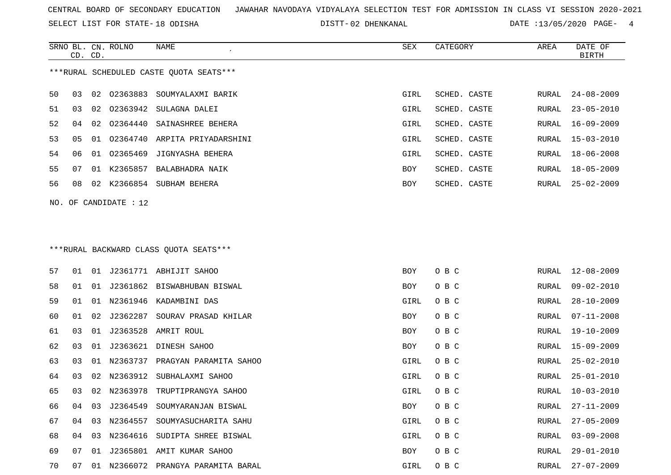SELECT LIST FOR STATE- DISTT- 18 ODISHA

|    | CD. CD. |    | SRNO BL. CN. ROLNO    | NAME                                    | SEX        | CATEGORY     | AREA  | DATE OF<br><b>BIRTH</b> |
|----|---------|----|-----------------------|-----------------------------------------|------------|--------------|-------|-------------------------|
|    |         |    |                       | ***RURAL SCHEDULED CASTE QUOTA SEATS*** |            |              |       |                         |
| 50 | 03      | 02 | 02363883              | SOUMYALAXMI BARIK                       | GIRL       | SCHED. CASTE | RURAL | $24 - 08 - 2009$        |
| 51 | 03      | 02 | 02363942              | SULAGNA DALEI                           | GIRL       | SCHED. CASTE | RURAL | $23 - 05 - 2010$        |
| 52 | 04      | 02 | 02364440              | SAINASHREE BEHERA                       | GIRL       | SCHED. CASTE | RURAL | $16 - 09 - 2009$        |
| 53 | 05      | 01 | 02364740              | ARPITA PRIYADARSHINI                    | GIRL       | SCHED. CASTE | RURAL | 15-03-2010              |
| 54 | 06      | 01 | 02365469              | JIGNYASHA BEHERA                        | GIRL       | SCHED. CASTE | RURAL | $18 - 06 - 2008$        |
| 55 | 07      | 01 | K2365857              | BALABHADRA NAIK                         | BOY        | SCHED. CASTE | RURAL | 18-05-2009              |
| 56 | 08      |    |                       | 02 K2366854 SUBHAM BEHERA               | <b>BOY</b> | SCHED. CASTE | RURAL | 25-02-2009              |
|    |         |    | NO. OF CANDIDATE : 12 |                                         |            |              |       |                         |
|    |         |    |                       |                                         |            |              |       |                         |
|    |         |    |                       |                                         |            |              |       |                         |
|    |         |    |                       | *** RURAL BACKWARD CLASS QUOTA SEATS*** |            |              |       |                         |
| 57 | 01      | 01 |                       | J2361771 ABHIJIT SAHOO                  | <b>BOY</b> | O B C        | RURAL | $12 - 08 - 2009$        |
| 58 | 01      | 01 |                       | J2361862 BISWABHUBAN BISWAL             | BOY        | O B C        | RURAL | $09 - 02 - 2010$        |
| 59 | 01      | 01 | N2361946              | KADAMBINI DAS                           | GIRL       | O B C        | RURAL | $28 - 10 - 2009$        |
| 60 | 01      | 02 | J2362287              | SOURAV PRASAD KHILAR                    | BOY        | O B C        | RURAL | $07 - 11 - 2008$        |
| 61 | 03      | 01 | J2363528              | AMRIT ROUL                              | BOY        | O B C        | RURAL | $19 - 10 - 2009$        |
| 62 | 03      | 01 | J2363621              | DINESH SAHOO                            | BOY        | O B C        | RURAL | $15 - 09 - 2009$        |
| 63 | 03      | 01 | N2363737              | PRAGYAN PARAMITA SAHOO                  | GIRL       | O B C        | RURAL | $25 - 02 - 2010$        |
| 64 | 03      | 02 | N2363912              | SUBHALAXMI SAHOO                        | GIRL       | O B C        | RURAL | $25 - 01 - 2010$        |
| 65 | 03      |    | 02 N2363978           | TRUPTIPRANGYA SAHOO                     | GIRL       | O B C        | RURAL | $10 - 03 - 2010$        |
| 66 | 04      | 03 | J2364549              | SOUMYARANJAN BISWAL                     | BOY        | O B C        | RURAL | $27 - 11 - 2009$        |
| 67 | 04      |    | 03 N2364557           | SOUMYASUCHARITA SAHU                    | GIRL       | O B C        | RURAL | $27 - 05 - 2009$        |
| 68 | 04      | 03 | N2364616              | SUDIPTA SHREE BISWAL                    | GIRL       | O B C        | RURAL | $03 - 09 - 2008$        |
| 69 | 07      |    |                       | 01 J2365801 AMIT KUMAR SAHOO            | BOY        | O B C        | RURAL | $29 - 01 - 2010$        |
| 70 | 07      |    |                       | 01 N2366072 PRANGYA PARAMITA BARAL      | GIRL       | O B C        |       | RURAL 27-07-2009        |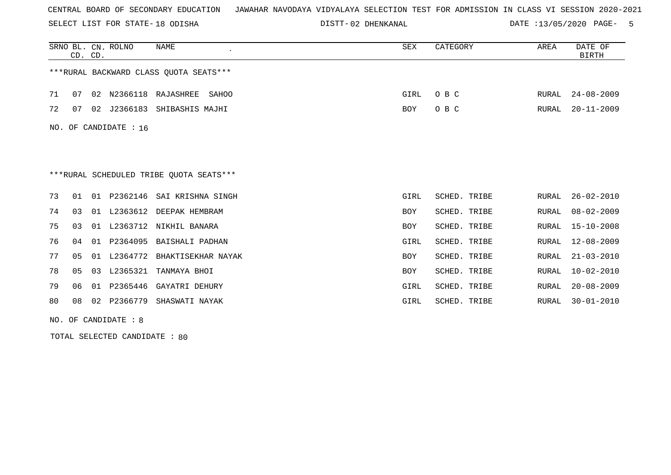SELECT LIST FOR STATE- DISTT- 18 ODISHA

02 DHENKANAL DATE :13/05/2020 PAGE- 5

|    | CD. CD.        |    | SRNO BL. CN. ROLNO    | <b>NAME</b>                              | <b>SEX</b> | CATEGORY     | AREA         | DATE OF<br><b>BIRTH</b> |
|----|----------------|----|-----------------------|------------------------------------------|------------|--------------|--------------|-------------------------|
|    |                |    |                       | ***RURAL BACKWARD CLASS OUOTA SEATS***   |            |              |              |                         |
| 71 | 07             | 02 | N2366118              | RAJASHREE<br>SAHOO                       | GIRL       | O B C        | RURAL        | $24 - 08 - 2009$        |
| 72 | 07             |    |                       | 02 J2366183 SHIBASHIS MAJHI              | BOY        | O B C        | RURAL        | $20 - 11 - 2009$        |
|    |                |    | NO. OF CANDIDATE : 16 |                                          |            |              |              |                         |
|    |                |    |                       |                                          |            |              |              |                         |
|    |                |    |                       | *** RURAL SCHEDULED TRIBE QUOTA SEATS*** |            |              |              |                         |
| 73 | 01             | 01 |                       | P2362146 SAI KRISHNA SINGH               | GIRL       | SCHED. TRIBE | RURAL        | $26 - 02 - 2010$        |
| 74 | 03             |    |                       | 01 L2363612 DEEPAK HEMBRAM               | BOY        | SCHED. TRIBE | <b>RURAL</b> | $08 - 02 - 2009$        |
| 75 | 03             |    |                       | 01 L2363712 NIKHIL BANARA                | BOY        | SCHED. TRIBE | RURAL        | $15 - 10 - 2008$        |
| 76 | 04             | 01 | P2364095              | BAISHALI PADHAN                          | GIRL       | SCHED. TRIBE | RURAL        | $12 - 08 - 2009$        |
| 77 | 0 <sub>5</sub> | 01 | L2364772              | BHAKTISEKHAR NAYAK                       | <b>BOY</b> | SCHED. TRIBE | RURAL        | $21 - 03 - 2010$        |
| 78 | 05             | 03 | L2365321              | TANMAYA BHOI                             | BOY        | SCHED. TRIBE | <b>RURAL</b> | $10 - 02 - 2010$        |
| 79 | 06             | 01 | P2365446              | GAYATRI DEHURY                           | GIRL       | SCHED. TRIBE | <b>RURAL</b> | $20 - 08 - 2009$        |
| 80 | 08             | 02 | P2366779              | SHASWATI NAYAK                           | GIRL       | SCHED. TRIBE | RURAL        | $30 - 01 - 2010$        |

NO. OF CANDIDATE : 8

TOTAL SELECTED CANDIDATE : 80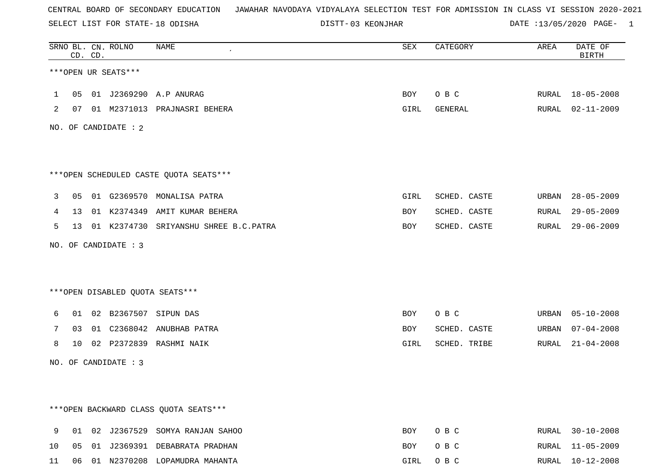SELECT LIST FOR STATE- DISTT- 18 ODISHA

03 KEONJHAR DATE :13/05/2020 PAGE- 1

|                |    | CD. CD. | SRNO BL. CN. ROLNO   | <b>NAME</b>                            | SEX        | CATEGORY     | AREA  | DATE OF<br><b>BIRTH</b> |
|----------------|----|---------|----------------------|----------------------------------------|------------|--------------|-------|-------------------------|
|                |    |         | ***OPEN UR SEATS***  |                                        |            |              |       |                         |
| $\mathbf{1}$   | 05 |         |                      | 01 J2369290 A.P ANURAG                 | BOY        | O B C        |       | RURAL 18-05-2008        |
| $\overline{2}$ |    |         |                      | 07 01 M2371013 PRAJNASRI BEHERA        | GIRL       | GENERAL      |       | RURAL 02-11-2009        |
|                |    |         | NO. OF CANDIDATE : 2 |                                        |            |              |       |                         |
|                |    |         |                      |                                        |            |              |       |                         |
|                |    |         |                      | ***OPEN SCHEDULED CASTE QUOTA SEATS*** |            |              |       |                         |
| 3              | 05 |         |                      | 01 G2369570 MONALISA PATRA             | GIRL       | SCHED. CASTE | URBAN | $28 - 05 - 2009$        |
| 4              | 13 |         |                      | 01 K2374349 AMIT KUMAR BEHERA          | BOY        | SCHED. CASTE | RURAL | $29 - 05 - 2009$        |
| 5              | 13 |         |                      | 01 K2374730 SRIYANSHU SHREE B.C. PATRA | BOY        | SCHED. CASTE | RURAL | $29 - 06 - 2009$        |
|                |    |         | NO. OF CANDIDATE : 3 |                                        |            |              |       |                         |
|                |    |         |                      |                                        |            |              |       |                         |
|                |    |         |                      | ***OPEN DISABLED QUOTA SEATS***        |            |              |       |                         |
| 6              |    |         |                      | 01 02 B2367507 SIPUN DAS               | BOY        | O B C        |       | URBAN 05-10-2008        |
| 7              | 03 |         |                      | 01 C2368042 ANUBHAB PATRA              | BOY        | SCHED. CASTE | URBAN | $07 - 04 - 2008$        |
| 8              |    |         |                      | 10 02 P2372839 RASHMI NAIK             | GIRL       | SCHED. TRIBE |       | RURAL 21-04-2008        |
|                |    |         | NO. OF CANDIDATE : 3 |                                        |            |              |       |                         |
|                |    |         |                      |                                        |            |              |       |                         |
|                |    |         |                      | *** OPEN BACKWARD CLASS QUOTA SEATS*** |            |              |       |                         |
| 9              |    |         |                      | 01 02 J2367529 SOMYA RANJAN SAHOO      |            | O B C        |       | RURAL 30-10-2008        |
| 10             |    |         |                      | 05 01 J2369391 DEBABRATA PRADHAN       | BOY<br>BOY | O B C        |       | RURAL 11-05-2009        |
|                |    |         |                      |                                        |            |              |       |                         |

11 06 01 N2370208 LOPAMUDRA MAHANTA GIRL O B C RURAL 10-12-2008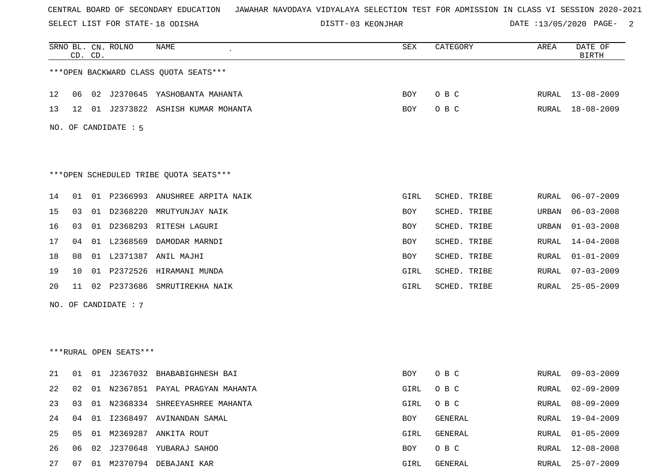SELECT LIST FOR STATE- DISTT- 18 ODISHA

03 KEONJHAR DATE :13/05/2020 PAGE- 2

|    |    | CD. CD. | SRNO BL. CN. ROLNO     | NAME                                   | SEX        | CATEGORY     | AREA  | DATE OF<br><b>BIRTH</b> |
|----|----|---------|------------------------|----------------------------------------|------------|--------------|-------|-------------------------|
|    |    |         |                        | *** OPEN BACKWARD CLASS QUOTA SEATS*** |            |              |       |                         |
| 12 | 06 |         |                        | 02 J2370645 YASHOBANTA MAHANTA         | BOY        | O B C        |       | RURAL 13-08-2009        |
| 13 | 12 | 01      |                        | J2373822 ASHISH KUMAR MOHANTA          | BOY        | O B C        | RURAL | 18-08-2009              |
|    |    |         | NO. OF CANDIDATE : 5   |                                        |            |              |       |                         |
|    |    |         |                        | ***OPEN SCHEDULED TRIBE QUOTA SEATS*** |            |              |       |                         |
| 14 | 01 |         |                        | 01 P2366993 ANUSHREE ARPITA NAIK       | GIRL       | SCHED. TRIBE | RURAL | $06 - 07 - 2009$        |
| 15 | 03 | 01      | D2368220               | MRUTYUNJAY NAIK                        | BOY        | SCHED. TRIBE | URBAN | $06 - 03 - 2008$        |
| 16 | 03 |         |                        | 01 D2368293 RITESH LAGURI              | BOY        | SCHED. TRIBE | URBAN | $01 - 03 - 2008$        |
| 17 | 04 |         | 01 L2368569            | DAMODAR MARNDI                         | BOY        | SCHED. TRIBE | RURAL | $14 - 04 - 2008$        |
| 18 | 08 |         |                        | 01 L2371387 ANIL MAJHI                 | <b>BOY</b> | SCHED. TRIBE | RURAL | $01 - 01 - 2009$        |
| 19 | 10 |         | 01 P2372526            | HIRAMANI MUNDA                         | GIRL       | SCHED. TRIBE | RURAL | $07 - 03 - 2009$        |
| 20 | 11 | 02      | P2373686               | SMRUTIREKHA NAIK                       | GIRL       | SCHED. TRIBE | RURAL | $25 - 05 - 2009$        |
|    |    |         | NO. OF CANDIDATE : 7   |                                        |            |              |       |                         |
|    |    |         |                        |                                        |            |              |       |                         |
|    |    |         |                        |                                        |            |              |       |                         |
|    |    |         | ***RURAL OPEN SEATS*** |                                        |            |              |       |                         |
| 21 | 01 | 01      | J2367032               | BHABABIGHNESH BAI                      | BOY        | O B C        | RURAL | $09 - 03 - 2009$        |
| 22 | 02 |         |                        | 01 N2367851 PAYAL PRAGYAN MAHANTA      | GIRL       | O B C        | RURAL | $02 - 09 - 2009$        |
| 23 | 03 |         |                        | 01 N2368334 SHREEYASHREE MAHANTA       | GIRL       | O B C        | RURAL | $08 - 09 - 2009$        |
| 24 | 04 |         |                        | 01 I2368497 AVINANDAN SAMAL            | BOY        | GENERAL      | RURAL | $19 - 04 - 2009$        |
| 25 | 05 |         |                        | 01 M2369287 ANKITA ROUT                | GIRL       | GENERAL      | RURAL | $01 - 05 - 2009$        |
| 26 | 06 | 02      |                        | J2370648 YUBARAJ SAHOO                 | BOY        | O B C        | RURAL | $12 - 08 - 2008$        |
| 27 | 07 |         |                        | 01 M2370794 DEBAJANI KAR               | GIRL       | GENERAL      | RURAL | 25-07-2009              |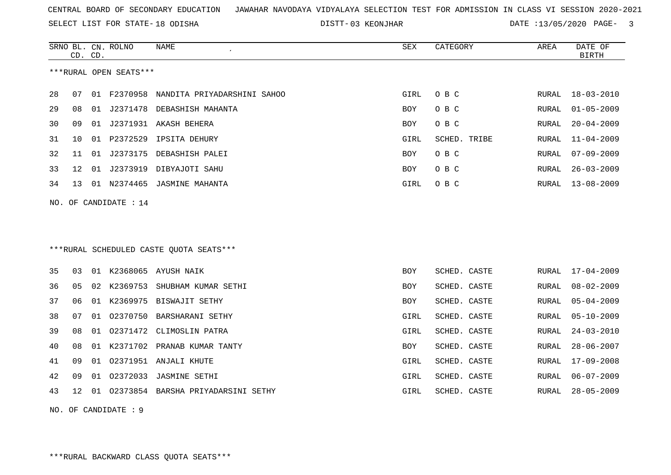SELECT LIST FOR STATE- DISTT- 18 ODISHA

03 KEONJHAR DATE :13/05/2020 PAGE- 3

|    |                       | CD. CD. | SRNO BL. CN. ROLNO     | NAME                                     | SEX  | CATEGORY     | AREA  | DATE OF<br><b>BIRTH</b> |  |  |
|----|-----------------------|---------|------------------------|------------------------------------------|------|--------------|-------|-------------------------|--|--|
|    |                       |         | ***RURAL OPEN SEATS*** |                                          |      |              |       |                         |  |  |
| 28 | 07                    |         |                        | 01 F2370958 NANDITA PRIYADARSHINI SAHOO  | GIRL | O B C        | RURAL | $18 - 03 - 2010$        |  |  |
| 29 | 08                    |         |                        | 01 J2371478 DEBASHISH MAHANTA            | BOY  | O B C        | RURAL | $01 - 05 - 2009$        |  |  |
| 30 | 09                    |         |                        | 01 J2371931 AKASH BEHERA                 | BOY  | O B C        | RURAL | $20 - 04 - 2009$        |  |  |
| 31 | 10                    | 01      | P2372529               | IPSITA DEHURY                            | GIRL | SCHED. TRIBE | RURAL | $11 - 04 - 2009$        |  |  |
| 32 | 11                    |         |                        | 01 J2373175 DEBASHISH PALEI              | BOY  | O B C        | RURAL | $07 - 09 - 2009$        |  |  |
| 33 | 12                    |         |                        | 01 J2373919 DIBYAJOTI SAHU               | BOY  | O B C        | RURAL | $26 - 03 - 2009$        |  |  |
| 34 | 13                    |         |                        | 01 N2374465 JASMINE MAHANTA              | GIRL | O B C        | RURAL | $13 - 08 - 2009$        |  |  |
|    | NO. OF CANDIDATE : 14 |         |                        |                                          |      |              |       |                         |  |  |
|    |                       |         |                        |                                          |      |              |       |                         |  |  |
|    |                       |         |                        |                                          |      |              |       |                         |  |  |
|    |                       |         |                        | *** RURAL SCHEDULED CASTE QUOTA SEATS*** |      |              |       |                         |  |  |
| 35 | 03                    |         |                        | 01 K2368065 AYUSH NAIK                   | BOY  | SCHED. CASTE | RURAL | $17 - 04 - 2009$        |  |  |
| 36 | 05                    |         | 02 K2369753            | SHUBHAM KUMAR SETHI                      | BOY  | SCHED. CASTE | RURAL | $08 - 02 - 2009$        |  |  |
| 37 | 06                    |         |                        | 01 K2369975 BISWAJIT SETHY               | BOY  | SCHED. CASTE | RURAL | $05 - 04 - 2009$        |  |  |
| 38 | 07                    | 01      |                        | 02370750 BARSHARANI SETHY                | GIRL | SCHED. CASTE | RURAL | $05 - 10 - 2009$        |  |  |
| 39 | 08                    | 01      |                        | 02371472 CLIMOSLIN PATRA                 | GIRL | SCHED. CASTE | RURAL | $24 - 03 - 2010$        |  |  |
| 40 | 08                    |         |                        | 01 K2371702 PRANAB KUMAR TANTY           | BOY  | SCHED. CASTE | RURAL | $28 - 06 - 2007$        |  |  |
| 41 | 09                    | 01      |                        | 02371951 ANJALI KHUTE                    | GIRL | SCHED. CASTE | RURAL | 17-09-2008              |  |  |
| 42 | 09                    | 01      |                        | 02372033 JASMINE SETHI                   | GIRL | SCHED. CASTE | RURAL | $06 - 07 - 2009$        |  |  |
| 43 | 12                    |         |                        | 01 02373854 BARSHA PRIYADARSINI SETHY    | GIRL | SCHED. CASTE | RURAL | $28 - 05 - 2009$        |  |  |

NO. OF CANDIDATE : 9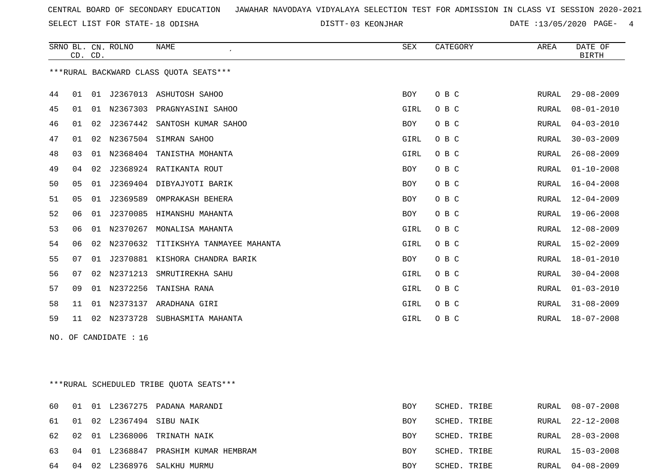SELECT LIST FOR STATE- DISTT- 18 ODISHA

03 KEONJHAR DATE :13/05/2020 PAGE- 4

|     | CD. CD.                                 |    | SRNO BL. CN. ROLNO | <b>NAME</b><br>$\epsilon$              | SEX        | CATEGORY | AREA  | DATE OF<br><b>BIRTH</b> |  |
|-----|-----------------------------------------|----|--------------------|----------------------------------------|------------|----------|-------|-------------------------|--|
|     |                                         |    |                    | ***RURAL BACKWARD CLASS OUOTA SEATS*** |            |          |       |                         |  |
| 44  | 01                                      |    |                    | 01 J2367013 ASHUTOSH SAHOO             | <b>BOY</b> | O B C    | RURAL | $29 - 08 - 2009$        |  |
| 45  | 01                                      |    |                    | 01 N2367303 PRAGNYASINI SAHOO          | GIRL       | O B C    | RURAL | $08 - 01 - 2010$        |  |
| 46  | 01                                      | 02 | J2367442           | SANTOSH KUMAR SAHOO                    | BOY        | O B C    | RURAL | $04 - 03 - 2010$        |  |
| 47  | 01                                      |    |                    | 02 N2367504 SIMRAN SAHOO               | GIRL       | O B C    | RURAL | $30 - 03 - 2009$        |  |
| 48  | 03                                      | 01 | N2368404           | TANISTHA MOHANTA                       | GIRL       | O B C    | RURAL | $26 - 08 - 2009$        |  |
| 49  | 04                                      | 02 |                    | J2368924 RATIKANTA ROUT                | BOY        | O B C    | RURAL | $01 - 10 - 2008$        |  |
| 50  | 05                                      |    |                    | 01 J2369404 DIBYAJYOTI BARIK           | BOY        | O B C    | RURAL | $16 - 04 - 2008$        |  |
| 51  | 05                                      | 01 | J2369589           | OMPRAKASH BEHERA                       | BOY        | O B C    | RURAL | $12 - 04 - 2009$        |  |
| 52  | 06                                      |    |                    | 01 J2370085 HIMANSHU MAHANTA           | BOY        | O B C    | RURAL | 19-06-2008              |  |
| 53  | 06                                      | 01 | N2370267           | MONALISA MAHANTA                       | GIRL       | O B C    | RURAL | $12 - 08 - 2009$        |  |
| 54  | 06                                      | 02 | N2370632           | TITIKSHYA TANMAYEE MAHANTA             | GIRL       | O B C    | RURAL | $15 - 02 - 2009$        |  |
| 55  | 07                                      |    |                    | 01 J2370881 KISHORA CHANDRA BARIK      | BOY        | O B C    | RURAL | $18 - 01 - 2010$        |  |
| 56  | 07                                      | 02 | N2371213           | SMRUTIREKHA SAHU                       | GIRL       | O B C    | RURAL | $30 - 04 - 2008$        |  |
| 57  | 09                                      |    | 01 N2372256        | TANISHA RANA                           | GIRL       | O B C    | RURAL | $01 - 03 - 2010$        |  |
| 58  | 11                                      |    |                    | 01 N2373137 ARADHANA GIRI              | GIRL       | O B C    | RURAL | $31 - 08 - 2009$        |  |
| 59  | 11                                      |    |                    | 02 N2373728 SUBHASMITA MAHANTA         | GIRL       | O B C    | RURAL | $18 - 07 - 2008$        |  |
| NO. |                                         |    | OF CANDIDATE : 16  |                                        |            |          |       |                         |  |
|     |                                         |    |                    |                                        |            |          |       |                         |  |
|     | ***RURAL SCHEDULED TRIBE QUOTA SEATS*** |    |                    |                                        |            |          |       |                         |  |

| 60 |  | 01 01 L2367275 PADANA MARANDI           | <b>BOY</b> | SCHED. TRIBE | RURAL 08-07-2008 |
|----|--|-----------------------------------------|------------|--------------|------------------|
|    |  | 61 01 02 L2367494 SIBU NAIK             | <b>BOY</b> | SCHED. TRIBE | RURAL 22-12-2008 |
|    |  | 62 02 01 L2368006 TRINATH NAIK          | BOY        | SCHED. TRIBE | RURAL 28-03-2008 |
|    |  | 63 04 01 L2368847 PRASHIM KUMAR HEMBRAM | <b>BOY</b> | SCHED. TRIBE | RURAL 15-03-2008 |
|    |  | 64 04 02 L2368976 SALKHU MURMU          | BOY        | SCHED. TRIBE | RURAL 04-08-2009 |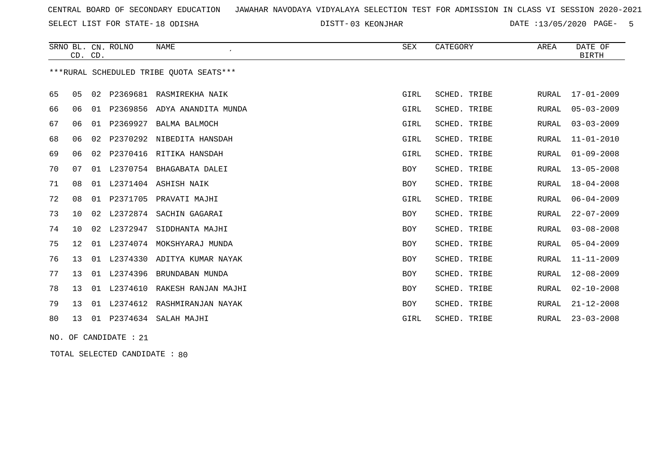SELECT LIST FOR STATE- DISTT- 18 ODISHA

03 KEONJHAR DATE :13/05/2020 PAGE- 5

|    |                   | CD. CD. | SRNO BL. CN. ROLNO | <b>NAME</b>                             | SEX        | CATEGORY     | AREA         | DATE OF<br><b>BIRTH</b> |
|----|-------------------|---------|--------------------|-----------------------------------------|------------|--------------|--------------|-------------------------|
|    |                   |         |                    | ***RURAL SCHEDULED TRIBE OUOTA SEATS*** |            |              |              |                         |
| 65 | 05                |         |                    | 02 P2369681 RASMIREKHA NAIK             | GIRL       | SCHED. TRIBE | <b>RURAL</b> | $17 - 01 - 2009$        |
| 66 | 06                | 01      | P2369856           | ADYA ANANDITA MUNDA                     | GIRL       | SCHED. TRIBE | RURAL        | $05 - 03 - 2009$        |
| 67 | 06                |         | 01 P2369927        | BALMA BALMOCH                           | GIRL       | SCHED. TRIBE | <b>RURAL</b> | $03 - 03 - 2009$        |
| 68 | 06                |         |                    | 02 P2370292 NIBEDITA HANSDAH            | GIRL       | SCHED. TRIBE | RURAL        | $11 - 01 - 2010$        |
| 69 | 06                |         |                    | 02 P2370416 RITIKA HANSDAH              | GIRL       | SCHED. TRIBE | <b>RURAL</b> | $01 - 09 - 2008$        |
| 70 | 07                | 01      |                    | L2370754 BHAGABATA DALEI                | <b>BOY</b> | SCHED. TRIBE | RURAL        | $13 - 05 - 2008$        |
| 71 | 08                | 01      |                    | L2371404 ASHISH NAIK                    | BOY        | SCHED. TRIBE | <b>RURAL</b> | $18 - 04 - 2008$        |
| 72 | 08                | 01      | P2371705           | PRAVATI MAJHI                           | GIRL       | SCHED. TRIBE | <b>RURAL</b> | $06 - 04 - 2009$        |
| 73 | 10 <sup>°</sup>   | 02      | L2372874           | SACHIN GAGARAI                          | <b>BOY</b> | SCHED. TRIBE | <b>RURAL</b> | $22 - 07 - 2009$        |
| 74 | 10 <sup>°</sup>   | 02      | L2372947           | SIDDHANTA MAJHI                         | <b>BOY</b> | SCHED. TRIBE | <b>RURAL</b> | $03 - 08 - 2008$        |
| 75 | $12 \overline{ }$ | 01      | L2374074           | MOKSHYARAJ MUNDA                        | <b>BOY</b> | SCHED. TRIBE | <b>RURAL</b> | $05 - 04 - 2009$        |
| 76 | 13                | 01      | L2374330           | ADITYA KUMAR NAYAK                      | BOY        | SCHED. TRIBE | <b>RURAL</b> | $11 - 11 - 2009$        |
| 77 | 13                | 01      | L2374396           | BRUNDABAN MUNDA                         | BOY        | SCHED. TRIBE | <b>RURAL</b> | $12 - 08 - 2009$        |
| 78 | 13                |         |                    | 01 L2374610 RAKESH RANJAN MAJHI         | <b>BOY</b> | SCHED. TRIBE | <b>RURAL</b> | $02 - 10 - 2008$        |
| 79 | 13                |         |                    | 01 L2374612 RASHMIRANJAN NAYAK          | <b>BOY</b> | SCHED. TRIBE | <b>RURAL</b> | $21 - 12 - 2008$        |
| 80 | 13                |         |                    | 01 P2374634 SALAH MAJHI                 | GIRL       | SCHED. TRIBE | RURAL        | $23 - 03 - 2008$        |
|    |                   |         |                    |                                         |            |              |              |                         |

NO. OF CANDIDATE : 21

TOTAL SELECTED CANDIDATE : 80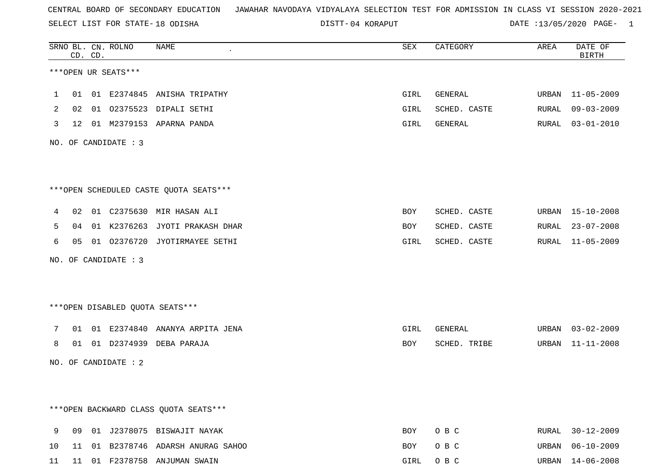SELECT LIST FOR STATE- DISTT- 18 ODISHA

04 KORAPUT DATE :13/05/2020 PAGE- 1

|              |    | CD. CD. | SRNO BL. CN. ROLNO   | NAME                                    | SEX  | CATEGORY     | AREA  | DATE OF<br><b>BIRTH</b> |
|--------------|----|---------|----------------------|-----------------------------------------|------|--------------|-------|-------------------------|
|              |    |         | ***OPEN UR SEATS***  |                                         |      |              |       |                         |
| $\mathbf{1}$ |    |         |                      | 01 01 E2374845 ANISHA TRIPATHY          | GIRL | GENERAL      |       | URBAN 11-05-2009        |
| 2            |    |         |                      | 02 01 02375523 DIPALI SETHI             | GIRL | SCHED. CASTE |       | RURAL 09-03-2009        |
| $\mathbf{3}$ |    |         |                      | 12 01 M2379153 APARNA PANDA             | GIRL | GENERAL      |       | RURAL 03-01-2010        |
|              |    |         | NO. OF CANDIDATE : 3 |                                         |      |              |       |                         |
|              |    |         |                      | *** OPEN SCHEDULED CASTE QUOTA SEATS*** |      |              |       |                         |
| 4            |    |         |                      | 02 01 C2375630 MIR HASAN ALI            | BOY  | SCHED. CASTE |       | URBAN 15-10-2008        |
| 5            |    |         |                      | 04 01 K2376263 JYOTI PRAKASH DHAR       | BOY  | SCHED. CASTE |       | RURAL 23-07-2008        |
| 6            |    |         |                      | 05 01 02376720 JYOTIRMAYEE SETHI        | GIRL | SCHED. CASTE |       | RURAL 11-05-2009        |
|              |    |         | NO. OF CANDIDATE : 3 |                                         |      |              |       |                         |
|              |    |         |                      | ***OPEN DISABLED QUOTA SEATS***         |      |              |       |                         |
| 7            |    |         |                      | 01 01 E2374840 ANANYA ARPITA JENA       | GIRL | GENERAL      |       | URBAN 03-02-2009        |
| 8            |    |         |                      | 01 01 D2374939 DEBA PARAJA              | BOY  | SCHED. TRIBE |       | URBAN 11-11-2008        |
|              |    |         | NO. OF CANDIDATE : 2 |                                         |      |              |       |                         |
|              |    |         |                      |                                         |      |              |       |                         |
|              |    |         |                      | *** OPEN BACKWARD CLASS QUOTA SEATS***  |      |              |       |                         |
| 9            | 09 |         |                      | 01 J2378075 BISWAJIT NAYAK              | BOY  | O B C        | RURAL | $30 - 12 - 2009$        |
| 10           | 11 |         |                      | 01 B2378746 ADARSH ANURAG SAHOO         | BOY  | O B C        | URBAN | $06 - 10 - 2009$        |
| 11           |    |         |                      | 11 01 F2378758 ANJUMAN SWAIN            | GIRL | O B C        |       | URBAN 14-06-2008        |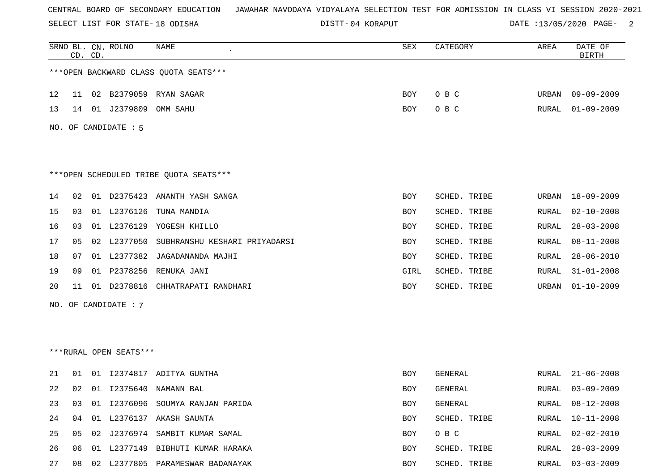SELECT LIST FOR STATE- DISTT- 18 ODISHA

04 KORAPUT DATE :13/05/2020 PAGE- 2

|    |    | CD. CD. | SRNO BL. CN. ROLNO     | NAME                                   | SEX        | CATEGORY     | AREA         | DATE OF<br><b>BIRTH</b> |
|----|----|---------|------------------------|----------------------------------------|------------|--------------|--------------|-------------------------|
|    |    |         |                        | *** OPEN BACKWARD CLASS QUOTA SEATS*** |            |              |              |                         |
| 12 |    |         |                        | 11 02 B2379059 RYAN SAGAR              | BOY.       | O B C        | URBAN        | $09 - 09 - 2009$        |
| 13 | 14 |         | 01 J2379809            | OMM SAHU                               | <b>BOY</b> | O B C        | <b>RURAL</b> | $01 - 09 - 2009$        |
|    |    |         | NO. OF CANDIDATE : 5   |                                        |            |              |              |                         |
|    |    |         |                        |                                        |            |              |              |                         |
|    |    |         |                        | ***OPEN SCHEDULED TRIBE QUOTA SEATS*** |            |              |              |                         |
| 14 | 02 |         |                        | 01 D2375423 ANANTH YASH SANGA          | <b>BOY</b> | SCHED. TRIBE | URBAN        | 18-09-2009              |
| 15 | 03 |         | 01 L2376126            | TUNA MANDIA                            | BOY        | SCHED. TRIBE | RURAL        | $02 - 10 - 2008$        |
| 16 | 03 |         |                        | 01 L2376129 YOGESH KHILLO              | BOY        | SCHED. TRIBE | RURAL        | $28 - 03 - 2008$        |
| 17 | 05 |         | 02 L2377050            | SUBHRANSHU KESHARI PRIYADARSI          | BOY        | SCHED. TRIBE | RURAL        | $08 - 11 - 2008$        |
| 18 | 07 |         |                        | 01 L2377382 JAGADANANDA MAJHI          | BOY        | SCHED. TRIBE | RURAL        | $28 - 06 - 2010$        |
| 19 | 09 |         | 01 P2378256            | RENUKA JANI                            | GIRL       | SCHED. TRIBE | RURAL        | $31 - 01 - 2008$        |
| 20 | 11 | 01      | D2378816               | CHHATRAPATI RANDHARI                   | BOY        | SCHED. TRIBE | URBAN        | $01 - 10 - 2009$        |
|    |    |         | NO. OF CANDIDATE : 7   |                                        |            |              |              |                         |
|    |    |         |                        |                                        |            |              |              |                         |
|    |    |         |                        |                                        |            |              |              |                         |
|    |    |         | ***RURAL OPEN SEATS*** |                                        |            |              |              |                         |
| 21 | 01 | 01      |                        | I2374817 ADITYA GUNTHA                 | BOY        | GENERAL      | RURAL        | $21 - 06 - 2008$        |
| 22 | 02 |         |                        | 01 12375640 NAMANN BAL                 | BOY        | GENERAL      | RURAL        | $03 - 09 - 2009$        |
| 23 | 03 |         |                        | 01 I2376096 SOUMYA RANJAN PARIDA       | BOY        | GENERAL      | <b>RURAL</b> | $08 - 12 - 2008$        |
| 24 | 04 |         |                        | 01 L2376137 AKASH SAUNTA               | BOY        | SCHED. TRIBE | <b>RURAL</b> | $10 - 11 - 2008$        |
| 25 | 05 |         |                        | 02 J2376974 SAMBIT KUMAR SAMAL         | BOY        | O B C        | RURAL        | $02 - 02 - 2010$        |
| 26 | 06 |         |                        | 01 L2377149 BIBHUTI KUMAR HARAKA       | BOY        | SCHED. TRIBE | <b>RURAL</b> | $28 - 03 - 2009$        |
| 27 | 08 |         |                        | 02 L2377805 PARAMESWAR BADANAYAK       | BOY        | SCHED. TRIBE | <b>RURAL</b> | $03 - 03 - 2009$        |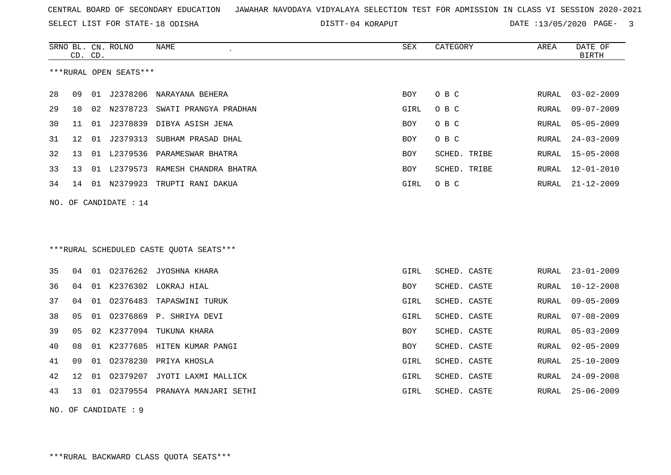SELECT LIST FOR STATE- DISTT- 18 ODISHA

04 KORAPUT DATE :13/05/2020 PAGE- 3

|    |    | CD. CD. | SRNO BL. CN. ROLNO      | NAME                                     | <b>SEX</b> | CATEGORY     | AREA  | DATE OF<br><b>BIRTH</b> |
|----|----|---------|-------------------------|------------------------------------------|------------|--------------|-------|-------------------------|
|    |    |         | ***RURAL OPEN SEATS***  |                                          |            |              |       |                         |
| 28 | 09 | 01      | J2378206                | NARAYANA BEHERA                          | <b>BOY</b> | O B C        | RURAL | $03 - 02 - 2009$        |
| 29 | 10 | 02      | N2378723                | SWATI PRANGYA PRADHAN                    | GIRL       | O B C        | RURAL | $09 - 07 - 2009$        |
| 30 | 11 |         |                         | 01 J2378839 DIBYA ASISH JENA             | <b>BOY</b> | O B C        | RURAL | $05 - 05 - 2009$        |
| 31 | 12 |         | 01 J2379313             | SUBHAM PRASAD DHAL                       | BOY        | O B C        | RURAL | $24 - 03 - 2009$        |
| 32 | 13 |         |                         | 01 L2379536 PARAMESWAR BHATRA            | <b>BOY</b> | SCHED. TRIBE | RURAL | $15 - 05 - 2008$        |
| 33 | 13 |         | 01 L2379573             | RAMESH CHANDRA BHATRA                    | BOY        | SCHED. TRIBE | RURAL | $12 - 01 - 2010$        |
| 34 | 14 |         |                         | 01 N2379923 TRUPTI RANI DAKUA            | GIRL       | O B C        | RURAL | $21 - 12 - 2009$        |
|    |    |         | NO. OF CANDIDATE : $14$ |                                          |            |              |       |                         |
|    |    |         |                         |                                          |            |              |       |                         |
|    |    |         |                         |                                          |            |              |       |                         |
|    |    |         |                         | *** RURAL SCHEDULED CASTE QUOTA SEATS*** |            |              |       |                         |
|    |    |         |                         |                                          |            |              |       |                         |
| 35 | 04 |         | 01 02376262             | JYOSHNA KHARA                            | GIRL       | SCHED. CASTE | RURAL | $23 - 01 - 2009$        |
| 36 | 04 |         |                         | 01 K2376302 LOKRAJ HIAL                  | BOY        | SCHED. CASTE | RURAL | $10 - 12 - 2008$        |
| 37 | 04 | 01      | 02376483                | TAPASWINI TURUK                          | GIRL       | SCHED. CASTE | RURAL | $09 - 05 - 2009$        |
| 38 | 05 | 01      |                         | 02376869 P. SHRIYA DEVI                  | GIRL       | SCHED. CASTE | RURAL | $07 - 08 - 2009$        |
| 39 | 05 | 02      | K2377094                | TUKUNA KHARA                             | BOY        | SCHED. CASTE | RURAL | $05 - 03 - 2009$        |
| 40 | 08 |         |                         | 01 K2377685 HITEN KUMAR PANGI            | BOY        | SCHED. CASTE | RURAL | $02 - 05 - 2009$        |
| 41 | 09 |         | 01 02378230             | PRIYA KHOSLA                             | GIRL       | SCHED. CASTE | RURAL | $25 - 10 - 2009$        |
| 42 | 12 | 01      | 02379207                | JYOTI LAXMI MALLICK                      | GIRL       | SCHED. CASTE | RURAL | $24 - 09 - 2008$        |
| 43 | 13 | 01      |                         | 02379554 PRANAYA MANJARI SETHI           | GIRL       | SCHED. CASTE | RURAL | $25 - 06 - 2009$        |
|    |    |         |                         |                                          |            |              |       |                         |

NO. OF CANDIDATE : 9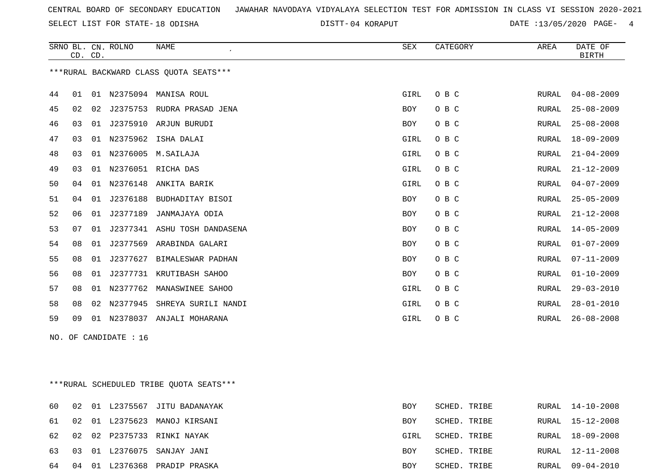SELECT LIST FOR STATE- DISTT- 18 ODISHA

04 KORAPUT DATE :13/05/2020 PAGE- 4

|    | CD. CD.               |    | SRNO BL. CN. ROLNO | NAME                                   | SEX        | CATEGORY | AREA         | DATE OF<br><b>BIRTH</b> |  |
|----|-----------------------|----|--------------------|----------------------------------------|------------|----------|--------------|-------------------------|--|
|    |                       |    |                    | ***RURAL BACKWARD CLASS OUOTA SEATS*** |            |          |              |                         |  |
| 44 | 01                    |    |                    | 01 N2375094 MANISA ROUL                | GIRL       | O B C    | RURAL        | $04 - 08 - 2009$        |  |
| 45 | 02                    | 02 |                    | J2375753 RUDRA PRASAD JENA             | BOY        | O B C    | RURAL        | $25 - 08 - 2009$        |  |
| 46 | 03                    |    |                    | 01 J2375910 ARJUN BURUDI               | BOY        | O B C    | RURAL        | $25 - 08 - 2008$        |  |
| 47 | 03                    |    |                    | 01 N2375962 ISHA DALAI                 | GIRL       | O B C    | RURAL        | $18 - 09 - 2009$        |  |
| 48 | 03                    |    |                    | 01 N2376005 M. SAILAJA                 | GIRL       | O B C    | RURAL        | $21 - 04 - 2009$        |  |
| 49 | 03                    |    |                    | 01 N2376051 RICHA DAS                  | GIRL       | O B C    | RURAL        | $21 - 12 - 2009$        |  |
| 50 | 04                    |    |                    | 01 N2376148 ANKITA BARIK               | GIRL       | O B C    | RURAL        | $04 - 07 - 2009$        |  |
| 51 | 04                    | 01 |                    | J2376188 BUDHADITAY BISOI              | BOY        | O B C    | RURAL        | $25 - 05 - 2009$        |  |
| 52 | 06                    | 01 |                    | J2377189 JANMAJAYA ODIA                | BOY        | O B C    | RURAL        | $21 - 12 - 2008$        |  |
| 53 | 07                    | 01 |                    | J2377341 ASHU TOSH DANDASENA           | BOY        | O B C    | RURAL        | 14-05-2009              |  |
| 54 | 08                    | 01 |                    | J2377569 ARABINDA GALARI               | <b>BOY</b> | O B C    | RURAL        | $01 - 07 - 2009$        |  |
| 55 | 08                    | 01 | J2377627           | BIMALESWAR PADHAN                      | BOY        | O B C    | <b>RURAL</b> | $07 - 11 - 2009$        |  |
| 56 | 08                    | 01 |                    | J2377731 KRUTIBASH SAHOO               | BOY        | O B C    | <b>RURAL</b> | $01 - 10 - 2009$        |  |
| 57 | 08                    |    |                    | 01 N2377762 MANASWINEE SAHOO           | GIRL       | O B C    | RURAL        | $29 - 03 - 2010$        |  |
| 58 | 08                    | 02 | N2377945           | SHREYA SURILI NANDI                    | GIRL       | O B C    | RURAL        | $28 - 01 - 2010$        |  |
| 59 | 09                    |    |                    | 01 N2378037 ANJALI MOHARANA            | GIRL       | O B C    | RURAL        | $26 - 08 - 2008$        |  |
|    | NO. OF CANDIDATE : 16 |    |                    |                                        |            |          |              |                         |  |
|    |                       |    |                    |                                        |            |          |              |                         |  |
|    |                       |    |                    |                                        |            |          |              |                         |  |

\*\*\*RURAL SCHEDULED TRIBE QUOTA SEATS\*\*\*

| 60    | 02 |  | 01 L2375567 JITU BADANAYAK      | BOY        | SCHED. TRIBE |       | RURAL 14-10-2008 |
|-------|----|--|---------------------------------|------------|--------------|-------|------------------|
| 61 02 |    |  | 01 L2375623 MANOJ KIRSANI       | BOY        | SCHED. TRIBE | RURAL | 15-12-2008       |
| 62 02 |    |  | 02 P2375733 RINKI NAYAK         | GIRL       | SCHED. TRIBE | RURAL | 18-09-2008       |
|       |    |  | 63 03 01 L2376075 SANJAY JANI   | <b>BOY</b> | SCHED. TRIBE |       | RURAL 12-11-2008 |
|       |    |  | 64 04 01 L2376368 PRADIP PRASKA | BOY        | SCHED. TRIBE |       | RURAL 09-04-2010 |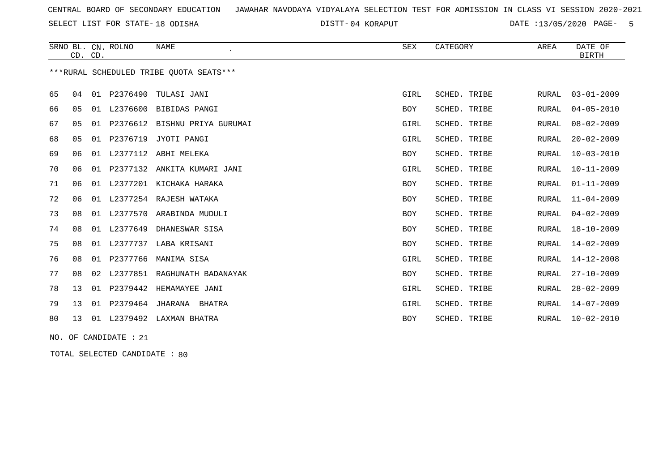SELECT LIST FOR STATE- DISTT- 18 ODISHA

04 KORAPUT DATE :13/05/2020 PAGE- 5

|    |    | CD. CD. | SRNO BL. CN. ROLNO | <b>NAME</b><br>$\cdot$                  | <b>SEX</b> | CATEGORY     | AREA         | DATE OF<br>BIRTH |
|----|----|---------|--------------------|-----------------------------------------|------------|--------------|--------------|------------------|
|    |    |         |                    | ***RURAL SCHEDULED TRIBE OUOTA SEATS*** |            |              |              |                  |
| 65 | 04 | 01      |                    | P2376490 TULASI JANI                    | GIRL       | SCHED. TRIBE | RURAL        | $03 - 01 - 2009$ |
| 66 | 05 | 01      | L2376600           | BIBIDAS PANGI                           | BOY        | SCHED. TRIBE | <b>RURAL</b> | $04 - 05 - 2010$ |
| 67 | 05 | 01      |                    | P2376612 BISHNU PRIYA GURUMAI           | GIRL       | SCHED. TRIBE | RURAL        | $08 - 02 - 2009$ |
| 68 | 05 |         |                    | 01 P2376719 JYOTI PANGI                 | GIRL       | SCHED. TRIBE | <b>RURAL</b> | $20 - 02 - 2009$ |
| 69 | 06 | 01      |                    | L2377112 ABHI MELEKA                    | BOY        | SCHED. TRIBE | RURAL        | $10 - 03 - 2010$ |
| 70 | 06 | 01      |                    | P2377132 ANKITA KUMARI JANI             | GIRL       | SCHED. TRIBE | <b>RURAL</b> | $10 - 11 - 2009$ |
| 71 | 06 | 01      | L2377201           | KICHAKA HARAKA                          | BOY        | SCHED. TRIBE | RURAL        | $01 - 11 - 2009$ |
| 72 | 06 | 01      |                    | L2377254 RAJESH WATAKA                  | BOY        | SCHED. TRIBE | <b>RURAL</b> | $11 - 04 - 2009$ |
| 73 | 08 |         | 01 L2377570        | ARABINDA MUDULI                         | BOY        | SCHED. TRIBE | RURAL        | $04 - 02 - 2009$ |
| 74 | 08 | 01      | L2377649           | DHANESWAR SISA                          | BOY        | SCHED. TRIBE | RURAL        | $18 - 10 - 2009$ |
| 75 | 08 | 01      | L2377737           | LABA KRISANI                            | BOY        | SCHED. TRIBE | <b>RURAL</b> | $14 - 02 - 2009$ |
| 76 | 08 | 01      | P2377766           | MANIMA SISA                             | GIRL       | SCHED. TRIBE | <b>RURAL</b> | $14 - 12 - 2008$ |
| 77 | 08 | 02      | L2377851           | RAGHUNATH BADANAYAK                     | <b>BOY</b> | SCHED. TRIBE | <b>RURAL</b> | $27 - 10 - 2009$ |
| 78 | 13 |         | 01 P2379442        | HEMAMAYEE JANI                          | GIRL       | SCHED. TRIBE | RURAL        | $28 - 02 - 2009$ |
| 79 | 13 | 01      | P2379464           | JHARANA<br>BHATRA                       | GIRL       | SCHED. TRIBE | RURAL        | $14 - 07 - 2009$ |
| 80 | 13 | 01      |                    | L2379492 LAXMAN BHATRA                  | <b>BOY</b> | SCHED. TRIBE | RURAL        | $10 - 02 - 2010$ |

NO. OF CANDIDATE : 21

TOTAL SELECTED CANDIDATE : 80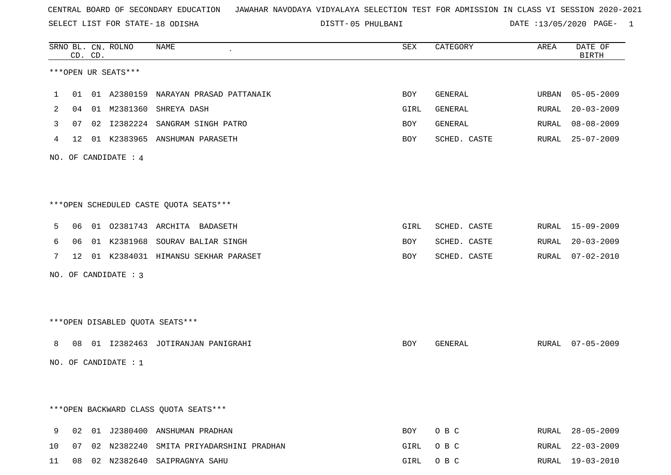SELECT LIST FOR STATE- DISTT- 18 ODISHA

|    |    | CD. CD. | SRNO BL. CN. ROLNO     | NAME                                    | ${\tt SEX}$ | CATEGORY     | AREA  | DATE OF<br><b>BIRTH</b> |
|----|----|---------|------------------------|-----------------------------------------|-------------|--------------|-------|-------------------------|
|    |    |         | ***OPEN UR SEATS***    |                                         |             |              |       |                         |
| ı  | 01 |         |                        | 01 A2380159 NARAYAN PRASAD PATTANAIK    | BOY         | GENERAL      | URBAN | 05-05-2009              |
| 2  | 04 |         |                        | 01 M2381360 SHREYA DASH                 | GIRL        | GENERAL      | RURAL | $20 - 03 - 2009$        |
| 3  | 07 |         |                        | 02 I2382224 SANGRAM SINGH PATRO         | BOY         | GENERAL      | RURAL | $08 - 08 - 2009$        |
| 4  |    |         |                        | 12 01 K2383965 ANSHUMAN PARASETH        | BOY         | SCHED. CASTE |       | RURAL 25-07-2009        |
|    |    |         | NO. OF CANDIDATE : 4   |                                         |             |              |       |                         |
|    |    |         |                        |                                         |             |              |       |                         |
|    |    |         |                        | ***OPEN SCHEDULED CASTE QUOTA SEATS***  |             |              |       |                         |
| 5  | 06 |         |                        | 01 02381743 ARCHITA BADASETH            | GIRL        | SCHED. CASTE |       | RURAL 15-09-2009        |
| 6  | 06 |         |                        | 01 K2381968 SOURAV BALIAR SINGH         | BOY         | SCHED. CASTE | RURAL | $20 - 03 - 2009$        |
| 7  |    |         |                        | 12 01 K2384031 HIMANSU SEKHAR PARASET   | BOY         | SCHED. CASTE | RURAL | $07 - 02 - 2010$        |
|    |    |         | NO. OF CANDIDATE : 3   |                                         |             |              |       |                         |
|    |    |         |                        |                                         |             |              |       |                         |
|    |    |         |                        | ***OPEN DISABLED QUOTA SEATS***         |             |              |       |                         |
| 8  | 08 |         |                        | 01 I2382463 JOTIRANJAN PANIGRAHI        | BOY         | GENERAL      |       | RURAL 07-05-2009        |
|    |    |         | NO. OF CANDIDATE : $1$ |                                         |             |              |       |                         |
|    |    |         |                        |                                         |             |              |       |                         |
|    |    |         |                        | *** OPEN BACKWARD CLASS QUOTA SEATS***  |             |              |       |                         |
| 9  |    |         |                        | 02 01 J2380400 ANSHUMAN PRADHAN         | BOY         | O B C        |       | RURAL 28-05-2009        |
| 10 | 07 |         |                        | 02 N2382240 SMITA PRIYADARSHINI PRADHAN | GIRL        | O B C        | RURAL | $22 - 03 - 2009$        |
| 11 |    |         |                        | 08 02 N2382640 SAIPRAGNYA SAHU          | GIRL        | O B C        |       | RURAL 19-03-2010        |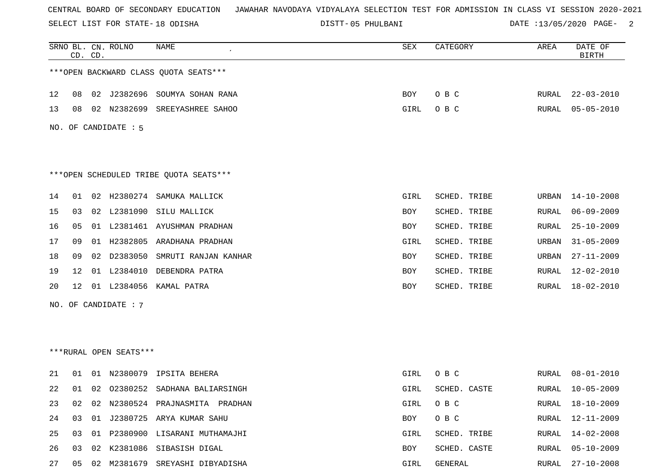SELECT LIST FOR STATE- DISTT- 18 ODISHA

|    |    | CD. CD. | SRNO BL. CN. ROLNO     | <b>NAME</b>                            | SEX         | CATEGORY     | AREA         | DATE OF<br><b>BIRTH</b> |
|----|----|---------|------------------------|----------------------------------------|-------------|--------------|--------------|-------------------------|
|    |    |         |                        | *** OPEN BACKWARD CLASS QUOTA SEATS*** |             |              |              |                         |
| 12 | 08 |         |                        | 02 J2382696 SOUMYA SOHAN RANA          | BOY         | O B C        | RURAL        | $22 - 03 - 2010$        |
| 13 | 08 | 02      | N2382699               | SREEYASHREE SAHOO                      | <b>GIRL</b> | O B C        | RURAL        | $05 - 05 - 2010$        |
|    |    |         | NO. OF CANDIDATE : 5   |                                        |             |              |              |                         |
|    |    |         |                        | ***OPEN SCHEDULED TRIBE QUOTA SEATS*** |             |              |              |                         |
| 14 | 01 | 02      | H2380274               | SAMUKA MALLICK                         | <b>GIRL</b> | SCHED. TRIBE | URBAN        | $14 - 10 - 2008$        |
| 15 | 03 | 02      | L2381090               | SILU MALLICK                           | BOY         | SCHED. TRIBE | RURAL        | $06 - 09 - 2009$        |
| 16 | 05 |         |                        | 01 L2381461 AYUSHMAN PRADHAN           | <b>BOY</b>  | SCHED. TRIBE | RURAL        | $25 - 10 - 2009$        |
| 17 | 09 | 01      | H2382805               | ARADHANA PRADHAN                       | GIRL        | SCHED. TRIBE | URBAN        | $31 - 05 - 2009$        |
| 18 | 09 | 02      | D2383050               | SMRUTI RANJAN KANHAR                   | BOY         | SCHED. TRIBE | URBAN        | $27 - 11 - 2009$        |
| 19 | 12 |         | 01 L2384010            | DEBENDRA PATRA                         | BOY         | SCHED. TRIBE | RURAL        | $12 - 02 - 2010$        |
| 20 | 12 | 01      |                        | L2384056 KAMAL PATRA                   | <b>BOY</b>  | SCHED. TRIBE | RURAL        | 18-02-2010              |
|    |    |         | NO. OF CANDIDATE : $7$ |                                        |             |              |              |                         |
|    |    |         |                        |                                        |             |              |              |                         |
|    |    |         |                        |                                        |             |              |              |                         |
|    |    |         | ***RURAL OPEN SEATS*** |                                        |             |              |              |                         |
| 21 | 01 |         | 01 N2380079            | IPSITA BEHERA                          | GIRL        | O B C        | RURAL        | $08 - 01 - 2010$        |
| 22 | 01 | 02      |                        | 02380252 SADHANA BALIARSINGH           | GIRL        | SCHED. CASTE | RURAL        | $10 - 05 - 2009$        |
| 23 | 02 | 02      |                        | N2380524 PRAJNASMITA PRADHAN           | GIRL        | O B C        | RURAL        | $18 - 10 - 2009$        |
| 24 | 03 |         |                        | 01 J2380725 ARYA KUMAR SAHU            | BOY         | O B C        | RURAL        | $12 - 11 - 2009$        |
| 25 | 03 |         |                        | 01 P2380900 LISARANI MUTHAMAJHI        | GIRL        | SCHED. TRIBE | RURAL        | 14-02-2008              |
| 26 | 03 | 02      |                        | K2381086 SIBASISH DIGAL                | BOY         | SCHED. CASTE | <b>RURAL</b> | $05 - 10 - 2009$        |
| 27 | 05 |         |                        | 02 M2381679 SREYASHI DIBYADISHA        | GIRL        | GENERAL      | RURAL        | $27 - 10 - 2008$        |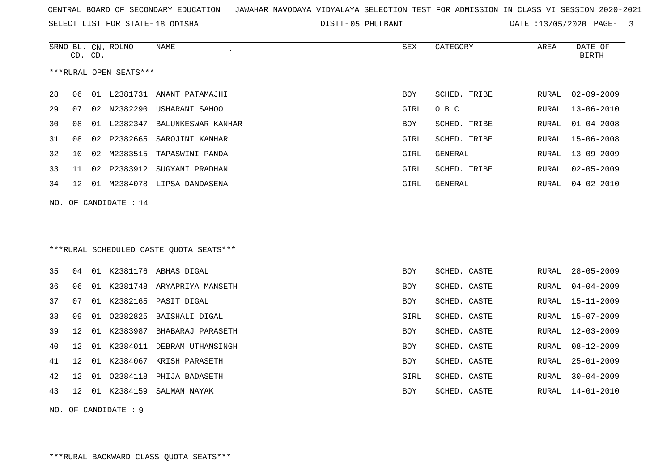SELECT LIST FOR STATE- DISTT- 18 ODISHA

|    | CD. CD. |    | SRNO BL. CN. ROLNO     | <b>NAME</b>                             | SEX        | CATEGORY     | AREA         | DATE OF<br><b>BIRTH</b> |
|----|---------|----|------------------------|-----------------------------------------|------------|--------------|--------------|-------------------------|
|    |         |    | ***RURAL OPEN SEATS*** |                                         |            |              |              |                         |
| 28 | 06      | 01 | L2381731               | ANANT PATAMAJHI                         | BOY        | SCHED. TRIBE | RURAL        | $02 - 09 - 2009$        |
| 29 | 07      | 02 | N2382290               | USHARANI SAHOO                          | GIRL       | O B C        | RURAL        | $13 - 06 - 2010$        |
| 30 | 08      | 01 | L2382347               | BALUNKESWAR KANHAR                      | BOY        | SCHED. TRIBE | RURAL        | $01 - 04 - 2008$        |
| 31 | 08      | 02 | P2382665               | SAROJINI KANHAR                         | GIRL       | SCHED. TRIBE | RURAL        | $15 - 06 - 2008$        |
| 32 | 10      | 02 | M2383515               | TAPASWINI PANDA                         | GIRL       | GENERAL      | RURAL        | $13 - 09 - 2009$        |
| 33 | 11      |    |                        | 02 P2383912 SUGYANI PRADHAN             | GIRL       | SCHED. TRIBE | RURAL        | $02 - 05 - 2009$        |
| 34 | 12      |    |                        | 01 M2384078 LIPSA DANDASENA             | GIRL       | GENERAL      | RURAL        | $04 - 02 - 2010$        |
|    |         |    | NO. OF CANDIDATE : 14  |                                         |            |              |              |                         |
|    |         |    |                        |                                         |            |              |              |                         |
|    |         |    |                        |                                         |            |              |              |                         |
|    |         |    |                        | ***RURAL SCHEDULED CASTE QUOTA SEATS*** |            |              |              |                         |
| 35 | 04      |    |                        | 01 K2381176 ABHAS DIGAL                 | BOY        | SCHED. CASTE | RURAL        | $28 - 05 - 2009$        |
| 36 | 06      |    |                        | 01 K2381748 ARYAPRIYA MANSETH           | BOY        | SCHED. CASTE | RURAL        | $04 - 04 - 2009$        |
| 37 | 07      |    |                        | 01 K2382165 PASIT DIGAL                 | <b>BOY</b> | SCHED. CASTE | RURAL        | $15 - 11 - 2009$        |
| 38 | 09      | 01 | 02382825               | BAISHALI DIGAL                          | GIRL       | SCHED. CASTE | <b>RURAL</b> | $15 - 07 - 2009$        |
| 39 | 12      | 01 |                        | K2383987 BHABARAJ PARASETH              | BOY        | SCHED. CASTE | RURAL        | $12 - 03 - 2009$        |
| 40 | 12      | 01 | K2384011               | DEBRAM UTHANSINGH                       | <b>BOY</b> | SCHED. CASTE | RURAL        | $08 - 12 - 2009$        |
| 41 | 12      | 01 |                        | K2384067 KRISH PARASETH                 | <b>BOY</b> | SCHED. CASTE | RURAL        | $25 - 01 - 2009$        |
| 42 | 12      | 01 | 02384118               | PHIJA BADASETH                          | GIRL       | SCHED. CASTE | RURAL        | $30 - 04 - 2009$        |
| 43 | 12      |    |                        | 01 K2384159 SALMAN NAYAK                | BOY        | SCHED. CASTE | RURAL        | $14 - 01 - 2010$        |
|    |         |    | NO. OF CANDIDATE : 9   |                                         |            |              |              |                         |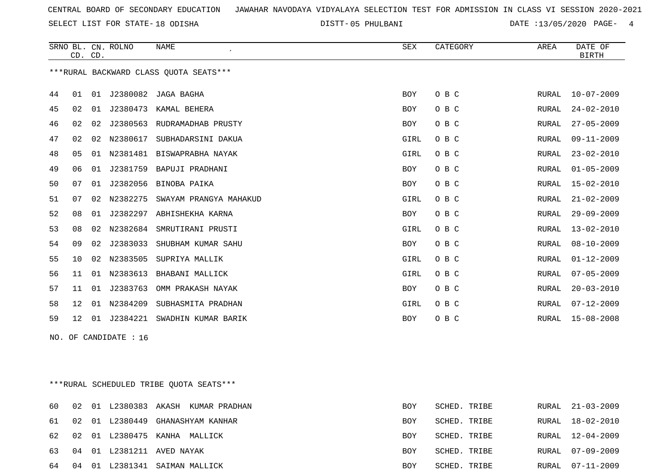SELECT LIST FOR STATE- DISTT- 18 ODISHA

|                                         |                                         | CD. CD. | SRNO BL. CN. ROLNO | <b>NAME</b>                     | SEX        | CATEGORY | AREA         | DATE OF<br><b>BIRTH</b> |  |  |
|-----------------------------------------|-----------------------------------------|---------|--------------------|---------------------------------|------------|----------|--------------|-------------------------|--|--|
| *** RURAL BACKWARD CLASS QUOTA SEATS*** |                                         |         |                    |                                 |            |          |              |                         |  |  |
| 44                                      | 01                                      | 01      |                    | J2380082 JAGA BAGHA             | <b>BOY</b> | O B C    | RURAL        | $10 - 07 - 2009$        |  |  |
| 45                                      | 02                                      | 01      | J2380473           | KAMAL BEHERA                    | BOY        | O B C    | RURAL        | $24 - 02 - 2010$        |  |  |
| 46                                      | 02                                      | 02      | J2380563           | RUDRAMADHAB PRUSTY              | BOY        | O B C    | <b>RURAL</b> | $27 - 05 - 2009$        |  |  |
| 47                                      | 02                                      |         |                    | 02 N2380617 SUBHADARSINI DAKUA  | GIRL       | O B C    | RURAL        | $09 - 11 - 2009$        |  |  |
| 48                                      | 05                                      |         |                    | 01 N2381481 BISWAPRABHA NAYAK   | GIRL       | O B C    | <b>RURAL</b> | $23 - 02 - 2010$        |  |  |
| 49                                      | 06                                      | 01      |                    | J2381759 BAPUJI PRADHANI        | BOY        | O B C    | <b>RURAL</b> | $01 - 05 - 2009$        |  |  |
| 50                                      | 07                                      | 01      | J2382056           | BINOBA PAIKA                    | BOY        | O B C    | <b>RURAL</b> | $15 - 02 - 2010$        |  |  |
| 51                                      | 07                                      | 02      | N2382275           | SWAYAM PRANGYA MAHAKUD          | GIRL       | O B C    | <b>RURAL</b> | $21 - 02 - 2009$        |  |  |
| 52                                      | 08                                      | 01      |                    | J2382297 ABHISHEKHA KARNA       | BOY        | O B C    | <b>RURAL</b> | $29 - 09 - 2009$        |  |  |
| 53                                      | 08                                      |         | 02 N2382684        | SMRUTIRANI PRUSTI               | GIRL       | O B C    | <b>RURAL</b> | $13 - 02 - 2010$        |  |  |
| 54                                      | 09                                      | 02      | J2383033           | SHUBHAM KUMAR SAHU              | BOY        | O B C    | <b>RURAL</b> | $08 - 10 - 2009$        |  |  |
| 55                                      | 10                                      |         | 02 N2383505        | SUPRIYA MALLIK                  | GIRL       | O B C    | RURAL        | $01 - 12 - 2009$        |  |  |
| 56                                      | 11                                      |         | 01 N2383613        | BHABANI MALLICK                 | GIRL       | O B C    | <b>RURAL</b> | $07 - 05 - 2009$        |  |  |
| 57                                      | 11                                      | 01      | J2383763           | OMM PRAKASH NAYAK               | BOY        | O B C    | <b>RURAL</b> | $20 - 03 - 2010$        |  |  |
| 58                                      | 12                                      |         | 01 N2384209        | SUBHASMITA PRADHAN              | GIRL       | O B C    | <b>RURAL</b> | $07 - 12 - 2009$        |  |  |
| 59                                      | 12                                      |         |                    | 01 J2384221 SWADHIN KUMAR BARIK | BOY        | O B C    | RURAL        | $15 - 08 - 2008$        |  |  |
| NO. OF CANDIDATE : 16                   |                                         |         |                    |                                 |            |          |              |                         |  |  |
|                                         |                                         |         |                    |                                 |            |          |              |                         |  |  |
|                                         |                                         |         |                    |                                 |            |          |              |                         |  |  |
|                                         | ***RURAL SCHEDULED TRIBE QUOTA SEATS*** |         |                    |                                 |            |          |              |                         |  |  |

|  |  | 60 02 01 L2380383 AKASH KUMAR PRADHAN | BOY        | SCHED. TRIBE | RURAL 21-03-2009 |
|--|--|---------------------------------------|------------|--------------|------------------|
|  |  | 61 02 01 L2380449 GHANASHYAM KANHAR   | <b>BOY</b> | SCHED. TRIBE | RURAL 18-02-2010 |
|  |  | 62 02 01 L2380475 KANHA MALLICK       | BOY        | SCHED. TRIBE | RURAL 12-04-2009 |
|  |  | 63  04  01  L2381211  AVED NAYAK      | <b>BOY</b> | SCHED. TRIBE | RURAL 07-09-2009 |
|  |  | 64 04 01 L2381341 SAIMAN MALLICK      | <b>BOY</b> | SCHED. TRIBE | RURAL 07-11-2009 |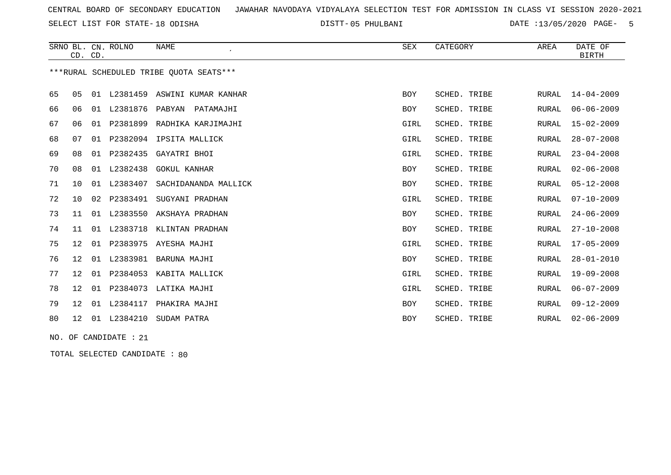SELECT LIST FOR STATE- DISTT- 18 ODISHA

05 PHULBANI DATE :13/05/2020 PAGE- 5

|    |                                          | CD. CD. | SRNO BL. CN. ROLNO | <b>NAME</b><br>$\epsilon$       | <b>SEX</b> | CATEGORY            | AREA         | DATE OF<br><b>BIRTH</b> |  |  |  |
|----|------------------------------------------|---------|--------------------|---------------------------------|------------|---------------------|--------------|-------------------------|--|--|--|
|    | *** RURAL SCHEDULED TRIBE QUOTA SEATS*** |         |                    |                                 |            |                     |              |                         |  |  |  |
| 65 | 05                                       |         |                    | 01 L2381459 ASWINI KUMAR KANHAR | <b>BOY</b> | SCHED. TRIBE        | RURAL        | $14 - 04 - 2009$        |  |  |  |
| 66 | 06                                       |         | 01 L2381876 PABYAN | PATAMAJHI                       | BOY        | SCHED. TRIBE        | <b>RURAL</b> | $06 - 06 - 2009$        |  |  |  |
| 67 | 06                                       | 01      |                    | P2381899 RADHIKA KARJIMAJHI     | GIRL       | SCHED. TRIBE        | RURAL        | $15 - 02 - 2009$        |  |  |  |
| 68 | 07                                       | 01      |                    | P2382094 IPSITA MALLICK         | GIRL       | SCHED. TRIBE        | RURAL        | $28 - 07 - 2008$        |  |  |  |
| 69 | 08                                       |         | 01 P2382435        | GAYATRI BHOI                    | GIRL       | SCHED. TRIBE        | <b>RURAL</b> | $23 - 04 - 2008$        |  |  |  |
| 70 | 08                                       |         | 01 L2382438        | <b>GOKUL KANHAR</b>             | BOY        | SCHED. TRIBE        | <b>RURAL</b> | $02 - 06 - 2008$        |  |  |  |
| 71 | 10                                       |         | 01 L2383407        | SACHIDANANDA MALLICK            | BOY        | SCHED. TRIBE        | RURAL        | $05 - 12 - 2008$        |  |  |  |
| 72 | 10 <sup>°</sup>                          |         | 02 P2383491        | SUGYANI PRADHAN                 | GIRL       | <b>SCHED. TRIBE</b> | <b>RURAL</b> | $07 - 10 - 2009$        |  |  |  |
| 73 | 11                                       |         |                    | 01 L2383550 AKSHAYA PRADHAN     | BOY        | SCHED. TRIBE        | <b>RURAL</b> | $24 - 06 - 2009$        |  |  |  |
| 74 | 11                                       |         |                    | 01 L2383718 KLINTAN PRADHAN     | BOY        | SCHED. TRIBE        | RURAL        | $27 - 10 - 2008$        |  |  |  |
| 75 | 12                                       |         |                    | 01 P2383975 AYESHA MAJHI        | GIRL       | SCHED. TRIBE        | RURAL        | $17 - 05 - 2009$        |  |  |  |
| 76 | 12                                       |         | 01 L2383981        | BARUNA MAJHI                    | BOY        | SCHED. TRIBE        | <b>RURAL</b> | $28 - 01 - 2010$        |  |  |  |
| 77 | 12                                       |         | 01 P2384053        | KABITA MALLICK                  | GIRL       | SCHED. TRIBE        | <b>RURAL</b> | $19 - 09 - 2008$        |  |  |  |
| 78 | 12                                       | 01      | P2384073           | LATIKA MAJHI                    | GIRL       | SCHED. TRIBE        | <b>RURAL</b> | $06 - 07 - 2009$        |  |  |  |
| 79 | 12                                       |         | 01 L2384117        | PHAKIRA MAJHI                   | <b>BOY</b> | SCHED. TRIBE        | <b>RURAL</b> | $09 - 12 - 2009$        |  |  |  |
| 80 |                                          |         |                    | 12 01 L2384210 SUDAM PATRA      | BOY        | SCHED. TRIBE        | RURAL        | $02 - 06 - 2009$        |  |  |  |
|    | NO. OF CANDIDATE : 21                    |         |                    |                                 |            |                     |              |                         |  |  |  |

TOTAL SELECTED CANDIDATE : 80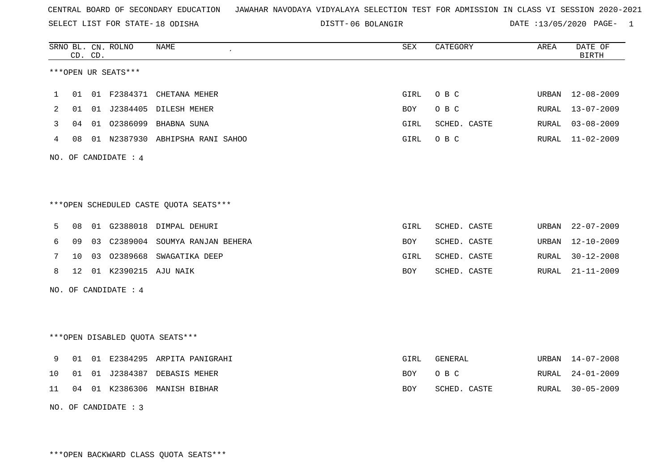SELECT LIST FOR STATE- DISTT- 18 ODISHA

06 BOLANGIR DATE :13/05/2020 PAGE- 1

|    |    | CD. CD. | SRNO BL. CN. ROLNO   | <b>NAME</b>                            | <b>SEX</b> | CATEGORY     | AREA  | DATE OF<br><b>BIRTH</b> |
|----|----|---------|----------------------|----------------------------------------|------------|--------------|-------|-------------------------|
|    |    |         | ***OPEN UR SEATS***  |                                        |            |              |       |                         |
| 1  | 01 |         |                      | 01 F2384371 CHETANA MEHER              | GIRL       | O B C        | URBAN | $12 - 08 - 2009$        |
| 2  | 01 |         |                      | 01 J2384405 DILESH MEHER               | <b>BOY</b> | O B C        | RURAL | $13 - 07 - 2009$        |
| 3  | 04 |         |                      | 01 02386099 BHABNA SUNA                | GIRL       | SCHED. CASTE | RURAL | $03 - 08 - 2009$        |
| 4  | 08 |         |                      | 01 N2387930 ABHIPSHA RANI SAHOO        | GIRL       | O B C        | RURAL | $11 - 02 - 2009$        |
|    |    |         | NO. OF CANDIDATE : 4 |                                        |            |              |       |                         |
|    |    |         |                      | ***OPEN SCHEDULED CASTE QUOTA SEATS*** |            |              |       |                         |
| 5  | 08 |         |                      | 01 G2388018 DIMPAL DEHURI              | GIRL       | SCHED. CASTE | URBAN | $22 - 07 - 2009$        |
| 6  | 09 |         |                      | 03 C2389004 SOUMYA RANJAN BEHERA       | <b>BOY</b> | SCHED. CASTE | URBAN | $12 - 10 - 2009$        |
| 7  | 10 |         | 03 02389668          | SWAGATIKA DEEP                         | GIRL       | SCHED. CASTE | RURAL | $30 - 12 - 2008$        |
| 8  | 12 |         | 01 K2390215 AJU NAIK |                                        | BOY        | SCHED. CASTE | RURAL | $21 - 11 - 2009$        |
|    |    |         | NO. OF CANDIDATE : 4 |                                        |            |              |       |                         |
|    |    |         |                      | ***OPEN DISABLED QUOTA SEATS***        |            |              |       |                         |
| 9  | 01 |         |                      | 01 E2384295 ARPITA PANIGRAHI           | GIRL       | GENERAL      | URBAN | $14 - 07 - 2008$        |
| 10 | 01 | 01      |                      | J2384387 DEBASIS MEHER                 | BOY        | O B C        | RURAL | $24 - 01 - 2009$        |
| 11 | 04 | 01      | K2386306             | MANISH BIBHAR                          | BOY        | SCHED. CASTE | RURAL | $30 - 05 - 2009$        |

NO. OF CANDIDATE : 3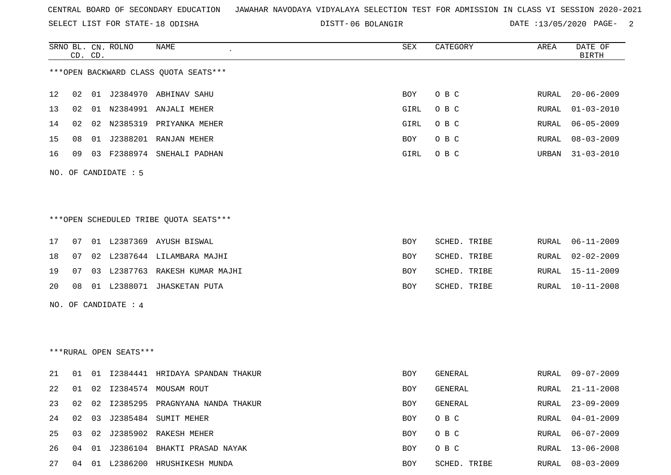SELECT LIST FOR STATE- DISTT- 18 ODISHA

06 BOLANGIR DATE :13/05/2020 PAGE- 2

|    |    | CD. CD. | SRNO BL. CN. ROLNO     | <b>NAME</b>                            | ${\tt SEX}$ | CATEGORY     | AREA  | DATE OF<br><b>BIRTH</b> |
|----|----|---------|------------------------|----------------------------------------|-------------|--------------|-------|-------------------------|
|    |    |         |                        | *** OPEN BACKWARD CLASS QUOTA SEATS*** |             |              |       |                         |
| 12 | 02 |         |                        | 01 J2384970 ABHINAV SAHU               | BOY         | O B C        | RURAL | $20 - 06 - 2009$        |
| 13 | 02 |         |                        | 01 N2384991 ANJALI MEHER               | GIRL        | O B C        | RURAL | $01 - 03 - 2010$        |
| 14 | 02 |         |                        | 02 N2385319 PRIYANKA MEHER             | <b>GIRL</b> | O B C        | RURAL | $06 - 05 - 2009$        |
| 15 | 08 |         |                        | 01 J2388201 RANJAN MEHER               | BOY         | O B C        | RURAL | $08 - 03 - 2009$        |
| 16 | 09 | 03      |                        | F2388974 SNEHALI PADHAN                | GIRL        | O B C        | URBAN | $31 - 03 - 2010$        |
|    |    |         | NO. OF CANDIDATE : 5   |                                        |             |              |       |                         |
|    |    |         |                        | ***OPEN SCHEDULED TRIBE QUOTA SEATS*** |             |              |       |                         |
| 17 | 07 |         |                        | 01 L2387369 AYUSH BISWAL               | BOY         | SCHED. TRIBE | RURAL | $06 - 11 - 2009$        |
| 18 | 07 |         |                        | 02 L2387644 LILAMBARA MAJHI            | BOY         | SCHED. TRIBE | RURAL | $02 - 02 - 2009$        |
| 19 | 07 |         |                        | 03 L2387763 RAKESH KUMAR MAJHI         | BOY         | SCHED. TRIBE | RURAL | $15 - 11 - 2009$        |
| 20 | 08 |         |                        | 01 L2388071 JHASKETAN PUTA             | BOY         | SCHED. TRIBE | RURAL | $10 - 11 - 2008$        |
|    |    |         | NO. OF CANDIDATE : $4$ |                                        |             |              |       |                         |
|    |    |         |                        |                                        |             |              |       |                         |
|    |    |         |                        |                                        |             |              |       |                         |
|    |    |         | ***RURAL OPEN SEATS*** |                                        |             |              |       |                         |
| 21 | 01 |         |                        | 01 I2384441 HRIDAYA SPANDAN THAKUR     | BOY         | GENERAL      | RURAL | $09 - 07 - 2009$        |
| 22 | 01 |         |                        | 02 I2384574 MOUSAM ROUT                | BOY         | GENERAL      | RURAL | $21 - 11 - 2008$        |
| 23 | 02 | 02      |                        | 12385295 PRAGNYANA NANDA THAKUR        | BOY         | GENERAL      | RURAL | $23 - 09 - 2009$        |
| 24 | 02 |         |                        | 03 J2385484 SUMIT MEHER                | BOY         | O B C        | RURAL | $04 - 01 - 2009$        |
| 25 | 03 |         |                        | 02 J2385902 RAKESH MEHER               | BOY         | O B C        | RURAL | $06 - 07 - 2009$        |
| 26 | 04 |         |                        | 01 J2386104 BHAKTI PRASAD NAYAK        | BOY         | O B C        | RURAL | $13 - 06 - 2008$        |
| 27 |    |         |                        | 04 01 L2386200 HRUSHIKESH MUNDA        | BOY         | SCHED. TRIBE | RURAL | $08 - 03 - 2009$        |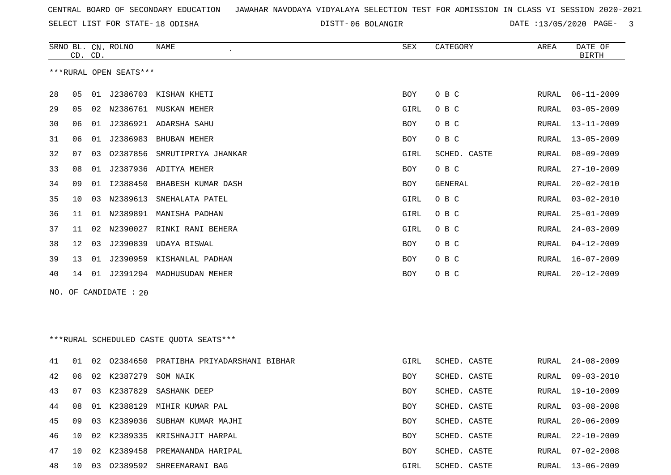SELECT LIST FOR STATE- DISTT- 18 ODISHA

06 BOLANGIR DATE :13/05/2020 PAGE- 3

|                        | CD. CD. |    | SRNO BL. CN. ROLNO | NAME                                    | SEX        | CATEGORY       | AREA  | DATE OF<br><b>BIRTH</b> |  |
|------------------------|---------|----|--------------------|-----------------------------------------|------------|----------------|-------|-------------------------|--|
| ***RURAL OPEN SEATS*** |         |    |                    |                                         |            |                |       |                         |  |
| 28                     | 05      | 01 |                    | J2386703 KISHAN KHETI                   | BOY        | O B C          | RURAL | $06 - 11 - 2009$        |  |
| 29                     | 05      | 02 | N2386761           | MUSKAN MEHER                            | GIRL       | O B C          | RURAL | $03 - 05 - 2009$        |  |
| 30                     | 06      | 01 |                    | J2386921 ADARSHA SAHU                   | BOY        | O B C          | RURAL | $13 - 11 - 2009$        |  |
| 31                     | 06      | 01 | J2386983           | <b>BHUBAN MEHER</b>                     | <b>BOY</b> | O B C          | RURAL | $13 - 05 - 2009$        |  |
| 32                     | 07      | 03 | 02387856           | SMRUTIPRIYA JHANKAR                     | GIRL       | SCHED. CASTE   | RURAL | $08 - 09 - 2009$        |  |
| 33                     | 08      | 01 | J2387936           | ADITYA MEHER                            | BOY        | O B C          | RURAL | $27 - 10 - 2009$        |  |
| 34                     | 09      | 01 | I2388450           | BHABESH KUMAR DASH                      | BOY        | <b>GENERAL</b> | RURAL | $20 - 02 - 2010$        |  |
| 35                     | 10      | 03 | N2389613           | SNEHALATA PATEL                         | GIRL       | O B C          | RURAL | $03 - 02 - 2010$        |  |
| 36                     | 11      | 01 | N2389891           | MANISHA PADHAN                          | GIRL       | O B C          | RURAL | $25 - 01 - 2009$        |  |
| 37                     | 11      |    |                    | RINKI RANI BEHERA                       |            | O B C          |       | $24 - 03 - 2009$        |  |
|                        |         | 02 | N2390027           |                                         | GIRL       |                | RURAL |                         |  |
| 38                     | 12      | 03 | J2390839           | UDAYA BISWAL                            | BOY        | O B C          | RURAL | $04 - 12 - 2009$        |  |
| 39                     | 13      | 01 | J2390959           | KISHANLAL PADHAN                        | BOY        | O B C          | RURAL | $16 - 07 - 2009$        |  |
| 40                     | 14      | 01 |                    | J2391294 MADHUSUDAN MEHER               | BOY        | O B C          | RURAL | $20 - 12 - 2009$        |  |
| NO.                    |         |    | OF CANDIDATE : 20  |                                         |            |                |       |                         |  |
|                        |         |    |                    |                                         |            |                |       |                         |  |
|                        |         |    |                    |                                         |            |                |       |                         |  |
|                        |         |    |                    | ***RURAL SCHEDULED CASTE QUOTA SEATS*** |            |                |       |                         |  |
| 41                     | 01      | 02 | 02384650           | PRATIBHA PRIYADARSHANI BIBHAR           | GIRL       | SCHED. CASTE   | RURAL | $24 - 08 - 2009$        |  |
| 42                     | 06      | 02 | K2387279           | SOM NAIK                                | BOY        | SCHED. CASTE   | RURAL | $09 - 03 - 2010$        |  |
| 43                     | 07      | 03 | K2387829           | SASHANK DEEP                            | <b>BOY</b> | SCHED. CASTE   | RURAL | 19-10-2009              |  |
| 44                     | 08      |    |                    | 01 K2388129 MIHIR KUMAR PAL             | BOY        | SCHED. CASTE   | RURAL | $03 - 08 - 2008$        |  |
| 45                     | 09      | 03 | K2389036           | SUBHAM KUMAR MAJHI                      | BOY        | SCHED. CASTE   | RURAL | $20 - 06 - 2009$        |  |
| 46                     | 10      | 02 |                    | K2389335 KRISHNAJIT HARPAL              | BOY        | SCHED. CASTE   | RURAL | $22 - 10 - 2009$        |  |
| 47                     | 10      | 02 |                    | K2389458 PREMANANDA HARIPAL             | BOY        | SCHED. CASTE   | RURAL | $07 - 02 - 2008$        |  |
| 48                     |         |    |                    | 10 03 02389592 SHREEMARANI BAG          | GIRL       | SCHED. CASTE   |       | RURAL 13-06-2009        |  |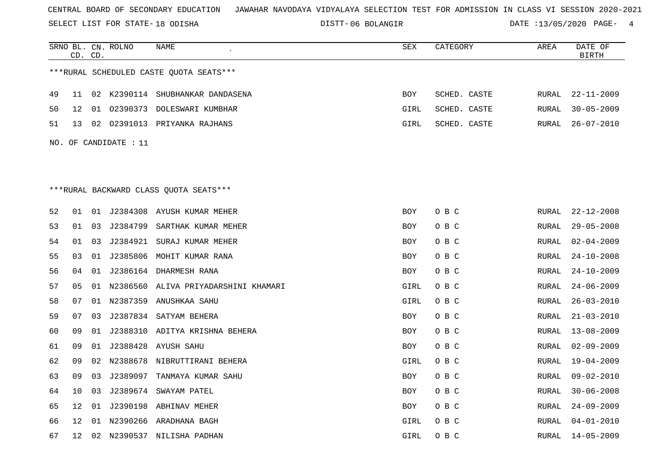SELECT LIST FOR STATE- DISTT- 18 ODISHA

06 BOLANGIR DATE :13/05/2020 PAGE- 4

|    |                 | CD. CD. | SRNO BL. CN. ROLNO    | NAME                                    | SEX        | CATEGORY     | AREA  | DATE OF<br>$\operatorname{BIRTH}$ |
|----|-----------------|---------|-----------------------|-----------------------------------------|------------|--------------|-------|-----------------------------------|
|    |                 |         |                       | ***RURAL SCHEDULED CASTE OUOTA SEATS*** |            |              |       |                                   |
| 49 | 11              |         |                       | 02 K2390114 SHUBHANKAR DANDASENA        | BOY        | SCHED. CASTE | RURAL | $22 - 11 - 2009$                  |
| 50 | 12              |         |                       | 01 02390373 DOLESWARI KUMBHAR           | GIRL       | SCHED. CASTE | RURAL | $30 - 05 - 2009$                  |
| 51 | 13              |         |                       | 02 02391013 PRIYANKA RAJHANS            | GIRL       | SCHED. CASTE | RURAL | $26 - 07 - 2010$                  |
|    |                 |         | NO. OF CANDIDATE : 11 |                                         |            |              |       |                                   |
|    |                 |         |                       |                                         |            |              |       |                                   |
|    |                 |         |                       |                                         |            |              |       |                                   |
|    |                 |         |                       | ***RURAL BACKWARD CLASS QUOTA SEATS***  |            |              |       |                                   |
|    |                 |         |                       |                                         |            |              |       |                                   |
| 52 | 01              |         |                       | 01 J2384308 AYUSH KUMAR MEHER           | BOY        | O B C        | RURAL | $22 - 12 - 2008$                  |
| 53 | 01              | 03      | J2384799              | SARTHAK KUMAR MEHER                     | <b>BOY</b> | O B C        | RURAL | $29 - 05 - 2008$                  |
| 54 | 01              | 03      |                       | J2384921 SURAJ KUMAR MEHER              | BOY        | O B C        | RURAL | $02 - 04 - 2009$                  |
| 55 | 03              |         |                       | 01 J2385806 MOHIT KUMAR RANA            | BOY        | O B C        | RURAL | $24 - 10 - 2008$                  |
| 56 | 04              | 01      |                       | J2386164 DHARMESH RANA                  | BOY        | O B C        | RURAL | $24 - 10 - 2009$                  |
| 57 | 05              |         |                       | 01 N2386560 ALIVA PRIYADARSHINI KHAMARI | GIRL       | O B C        | RURAL | $24 - 06 - 2009$                  |
| 58 | 07              |         |                       | 01 N2387359 ANUSHKAA SAHU               | GIRL       | O B C        | RURAL | $26 - 03 - 2010$                  |
| 59 | 07              | 03      |                       | J2387834 SATYAM BEHERA                  | <b>BOY</b> | O B C        | RURAL | $21 - 03 - 2010$                  |
| 60 | 09              | 01      |                       | J2388310 ADITYA KRISHNA BEHERA          | <b>BOY</b> | O B C        | RURAL | $13 - 08 - 2009$                  |
| 61 | 09              | 01      |                       | J2388428 AYUSH SAHU                     | BOY        | O B C        | RURAL | $02 - 09 - 2009$                  |
| 62 | 09              | 02      | N2388678              | NIBRUTTIRANI BEHERA                     | GIRL       | O B C        | RURAL | $19 - 04 - 2009$                  |
| 63 | 09              | 03      |                       | J2389097 TANMAYA KUMAR SAHU             | BOY        | O B C        | RURAL | $09 - 02 - 2010$                  |
| 64 | 10              | 03      |                       | J2389674 SWAYAM PATEL                   | BOY        | O B C        | RURAL | $30 - 06 - 2008$                  |
| 65 | 12              | 01      |                       | J2390198 ABHINAV MEHER                  | <b>BOY</b> | O B C        | RURAL | $24 - 09 - 2009$                  |
| 66 | 12              |         |                       | 01 N2390266 ARADHANA BAGH               | GIRL       | O B C        | RURAL | $04 - 01 - 2010$                  |
| 67 | 12 <sup>°</sup> |         |                       | 02 N2390537 NILISHA PADHAN              | GIRL       | O B C        | RURAL | $14 - 05 - 2009$                  |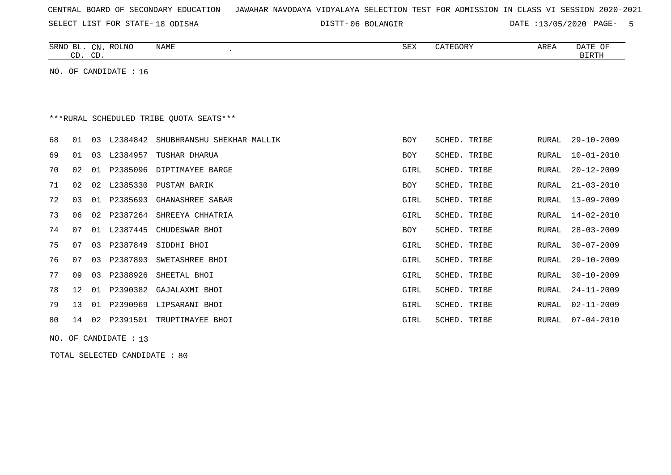SELECT LIST FOR STATE- DISTT- 18 ODISHA

06 BOLANGIR DATE :13/05/2020 PAGE- 5

|    | CD. CD.           |    | SRNO BL. CN. ROLNO    | <b>NAME</b><br>$\cdot$                  | SEX         | CATEGORY     | AREA         | DATE OF<br><b>BIRTH</b> |
|----|-------------------|----|-----------------------|-----------------------------------------|-------------|--------------|--------------|-------------------------|
|    |                   |    | NO. OF CANDIDATE : 16 |                                         |             |              |              |                         |
|    |                   |    |                       |                                         |             |              |              |                         |
|    |                   |    |                       |                                         |             |              |              |                         |
|    |                   |    |                       | ***RURAL SCHEDULED TRIBE OUOTA SEATS*** |             |              |              |                         |
| 68 | 01                | 03 | L2384842              | SHUBHRANSHU SHEKHAR MALLIK              | <b>BOY</b>  | SCHED. TRIBE | RURAL        | $29 - 10 - 2009$        |
| 69 | 01                | 03 | L2384957              | TUSHAR DHARUA                           | <b>BOY</b>  | SCHED. TRIBE | RURAL        | $10 - 01 - 2010$        |
| 70 | 02                | 01 | P2385096              | DIPTIMAYEE BARGE                        | GIRL        | SCHED. TRIBE | RURAL        | $20 - 12 - 2009$        |
| 71 | 02                | 02 | L2385330              | PUSTAM BARIK                            | <b>BOY</b>  | SCHED. TRIBE | RURAL        | $21 - 03 - 2010$        |
| 72 | 03                | 01 | P2385693              | <b>GHANASHREE SABAR</b>                 | GIRL        | SCHED. TRIBE | RURAL        | $13 - 09 - 2009$        |
| 73 | 06                | 02 | P2387264              | SHREEYA CHHATRIA                        | GIRL        | SCHED. TRIBE | RURAL        | $14 - 02 - 2010$        |
| 74 | 07                | 01 | L2387445              | CHUDESWAR BHOI                          | <b>BOY</b>  | SCHED. TRIBE | RURAL        | $28 - 03 - 2009$        |
| 75 | 07                | 03 | P2387849              | SIDDHI BHOI                             | GIRL        | SCHED. TRIBE | RURAL        | $30 - 07 - 2009$        |
| 76 | 07                | 03 | P2387893              | SWETASHREE BHOI                         | GIRL        | SCHED. TRIBE | RURAL        | $29 - 10 - 2009$        |
| 77 | 09                | 03 | P2388926              | SHEETAL BHOI                            | GIRL        | SCHED. TRIBE | RURAL        | $30 - 10 - 2009$        |
| 78 | $12 \overline{ }$ | 01 | P2390382              | GAJALAXMI BHOI                          | GIRL        | SCHED. TRIBE | <b>RURAL</b> | $24 - 11 - 2009$        |
| 79 | 13                | 01 | P2390969              | LIPSARANI BHOI                          | GIRL        | SCHED. TRIBE | RURAL        | $02 - 11 - 2009$        |
| 80 | 14                | 02 | P2391501              | TRUPTIMAYEE BHOI                        | <b>GIRL</b> | SCHED. TRIBE | RURAL        | $07 - 04 - 2010$        |
|    |                   |    |                       |                                         |             |              |              |                         |

NO. OF CANDIDATE : 13

TOTAL SELECTED CANDIDATE : 80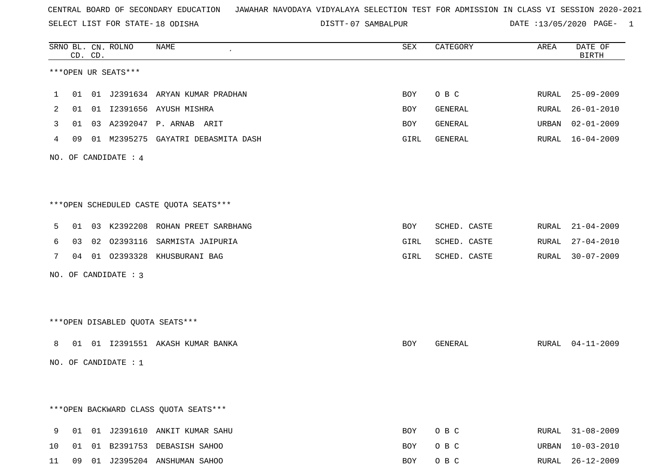SELECT LIST FOR STATE- DISTT- 18 ODISHA

|    | CD. CD. | SRNO BL. CN. ROLNO   | NAME<br>$\bullet$                       | SEX  | CATEGORY     | AREA  | DATE OF<br><b>BIRTH</b> |
|----|---------|----------------------|-----------------------------------------|------|--------------|-------|-------------------------|
|    |         | ***OPEN UR SEATS***  |                                         |      |              |       |                         |
| 1  |         |                      | 01 01 J2391634 ARYAN KUMAR PRADHAN      | BOY  | O B C        |       | RURAL 25-09-2009        |
| 2  |         |                      | 01 01 I2391656 AYUSH MISHRA             | BOY  | GENERAL      | RURAL | $26 - 01 - 2010$        |
| 3  |         |                      | 01  03  A2392047  P. ARNAB  ARIT        | BOY  | GENERAL      | URBAN | $02 - 01 - 2009$        |
| 4  |         |                      | 09 01 M2395275 GAYATRI DEBASMITA DASH   | GIRL | GENERAL      |       | RURAL 16-04-2009        |
|    |         | NO. OF CANDIDATE : 4 |                                         |      |              |       |                         |
|    |         |                      |                                         |      |              |       |                         |
|    |         |                      | ***OPEN SCHEDULED CASTE QUOTA SEATS***  |      |              |       |                         |
| 5  |         |                      | 01 03 K2392208 ROHAN PREET SARBHANG     | BOY  | SCHED. CASTE |       | RURAL 21-04-2009        |
| 6  |         |                      | 03 02 02393116 SARMISTA JAIPURIA        | GIRL | SCHED. CASTE | RURAL | $27 - 04 - 2010$        |
| 7  |         |                      | 04 01 02393328 KHUSBURANI BAG           | GIRL | SCHED. CASTE | RURAL | $30 - 07 - 2009$        |
|    |         | NO. OF CANDIDATE : 3 |                                         |      |              |       |                         |
|    |         |                      |                                         |      |              |       |                         |
|    |         |                      | ***OPEN DISABLED QUOTA SEATS***         |      |              |       |                         |
| 8  |         |                      | 01 01 I2391551 AKASH KUMAR BANKA        | BOY  | GENERAL      |       | RURAL 04-11-2009        |
|    |         | NO. OF CANDIDATE : 1 |                                         |      |              |       |                         |
|    |         |                      |                                         |      |              |       |                         |
|    |         |                      | *** OPEN BACKWARD CLASS QUOTA SEATS *** |      |              |       |                         |
| 9  |         |                      | 01 01 J2391610 ANKIT KUMAR SAHU         | BOY  | O B C        | RURAL | $31 - 08 - 2009$        |
| 10 |         |                      | 01 01 B2391753 DEBASISH SAHOO           | BOY  | O B C        | URBAN | $10 - 03 - 2010$        |
| 11 |         |                      | 09 01 J2395204 ANSHUMAN SAHOO           | BOY  | O B C        |       | RURAL 26-12-2009        |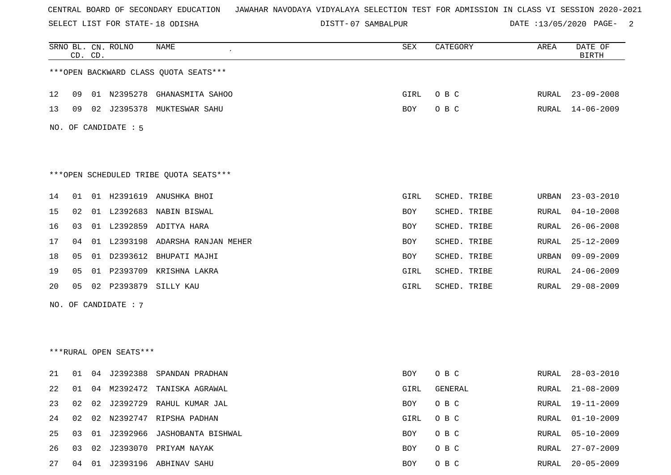SELECT LIST FOR STATE- DISTT- 18 ODISHA

|    |    | CD. CD. | SRNO BL. CN. ROLNO     | NAME                                   | ${\tt SEX}$ | CATEGORY     | AREA         | DATE OF<br><b>BIRTH</b> |
|----|----|---------|------------------------|----------------------------------------|-------------|--------------|--------------|-------------------------|
|    |    |         |                        | *** OPEN BACKWARD CLASS QUOTA SEATS*** |             |              |              |                         |
| 12 | 09 |         | 01 N2395278            | GHANASMITA SAHOO                       | GIRL        | O B C        | RURAL        | $23 - 09 - 2008$        |
| 13 | 09 |         | 02 J2395378            | MUKTESWAR SAHU                         | BOY         | O B C        | RURAL        | $14 - 06 - 2009$        |
|    |    |         | NO. OF CANDIDATE : 5   |                                        |             |              |              |                         |
|    |    |         |                        |                                        |             |              |              |                         |
|    |    |         |                        | ***OPEN SCHEDULED TRIBE QUOTA SEATS*** |             |              |              |                         |
| 14 | 01 |         | 01 H2391619            | ANUSHKA BHOI                           | GIRL        | SCHED. TRIBE | URBAN        | $23 - 03 - 2010$        |
| 15 | 02 |         | 01 L2392683            | NABIN BISWAL                           | BOY         | SCHED. TRIBE | RURAL        | $04 - 10 - 2008$        |
| 16 | 03 |         |                        | 01 L2392859 ADITYA HARA                | BOY         | SCHED. TRIBE | RURAL        | $26 - 06 - 2008$        |
| 17 | 04 |         | 01 L2393198            | ADARSHA RANJAN MEHER                   | BOY         | SCHED. TRIBE | RURAL        | $25 - 12 - 2009$        |
| 18 | 05 |         |                        | 01 D2393612 BHUPATI MAJHI              | BOY         | SCHED. TRIBE | URBAN        | $09 - 09 - 2009$        |
| 19 | 05 | 01      | P2393709               | KRISHNA LAKRA                          | GIRL        | SCHED. TRIBE | RURAL        | $24 - 06 - 2009$        |
| 20 | 05 | 02      | P2393879               | SILLY KAU                              | GIRL        | SCHED. TRIBE | RURAL        | $29 - 08 - 2009$        |
|    |    |         | NO. OF CANDIDATE : 7   |                                        |             |              |              |                         |
|    |    |         |                        |                                        |             |              |              |                         |
|    |    |         |                        |                                        |             |              |              |                         |
|    |    |         | ***RURAL OPEN SEATS*** |                                        |             |              |              |                         |
| 21 | 01 | 04      | J2392388               | SPANDAN PRADHAN                        | BOY         | O B C        | RURAL        | $28 - 03 - 2010$        |
| 22 | 01 |         |                        | 04 M2392472 TANISKA AGRAWAL            | GIRL        | GENERAL      | RURAL        | $21 - 08 - 2009$        |
| 23 | 02 | 02      |                        | J2392729 RAHUL KUMAR JAL               | <b>BOY</b>  | O B C        | <b>RURAL</b> | $19 - 11 - 2009$        |
| 24 | 02 |         |                        | 02 N2392747 RIPSHA PADHAN              | GIRL        | O B C        | <b>RURAL</b> | $01 - 10 - 2009$        |
| 25 | 03 |         |                        | 01 J2392966 JASHOBANTA BISHWAL         | BOY         | O B C        | <b>RURAL</b> | $05 - 10 - 2009$        |
| 26 | 03 | 02      |                        | J2393070 PRIYAM NAYAK                  | BOY         | O B C        | <b>RURAL</b> | $27 - 07 - 2009$        |
| 27 | 04 |         |                        | 01 J2393196 ABHINAV SAHU               | BOY         | O B C        | <b>RURAL</b> | $20 - 05 - 2009$        |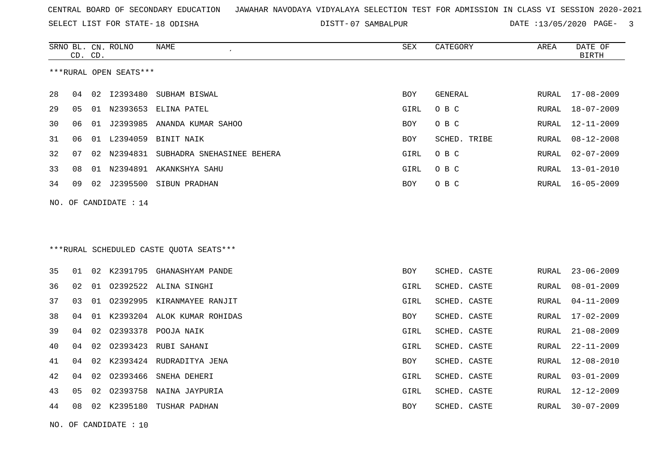SELECT LIST FOR STATE- DISTT- 18 ODISHA

|    | CD. CD. |    | SRNO BL. CN. ROLNO      | NAME                                    | SEX        | CATEGORY     | AREA  | DATE OF<br><b>BIRTH</b> |
|----|---------|----|-------------------------|-----------------------------------------|------------|--------------|-------|-------------------------|
|    |         |    | ***RURAL OPEN SEATS***  |                                         |            |              |       |                         |
| 28 | 04      |    |                         | 02 I2393480 SUBHAM BISWAL               | <b>BOY</b> | GENERAL      | RURAL | 17-08-2009              |
| 29 | 05      |    | 01 N2393653             | ELINA PATEL                             | GIRL       | O B C        | RURAL | $18 - 07 - 2009$        |
| 30 | 06      |    |                         | 01 J2393985 ANANDA KUMAR SAHOO          | <b>BOY</b> | O B C        | RURAL | $12 - 11 - 2009$        |
| 31 | 06      |    | 01 L2394059             | BINIT NAIK                              | BOY        | SCHED. TRIBE | RURAL | $08 - 12 - 2008$        |
| 32 | 07      |    |                         | 02 N2394831 SUBHADRA SNEHASINEE BEHERA  | GIRL       | O B C        | RURAL | $02 - 07 - 2009$        |
| 33 | 08      | 01 |                         | N2394891 AKANKSHYA SAHU                 | GIRL       | O B C        | RURAL | $13 - 01 - 2010$        |
| 34 | 09      |    |                         | 02 J2395500 SIBUN PRADHAN               | <b>BOY</b> | O B C        | RURAL | $16 - 05 - 2009$        |
|    |         |    | NO. OF CANDIDATE : $14$ |                                         |            |              |       |                         |
|    |         |    |                         |                                         |            |              |       |                         |
|    |         |    |                         |                                         |            |              |       |                         |
|    |         |    |                         | ***RURAL SCHEDULED CASTE OUOTA SEATS*** |            |              |       |                         |
| 35 | 01      |    |                         | 02 K2391795 GHANASHYAM PANDE            | <b>BOY</b> | SCHED. CASTE | RURAL | $23 - 06 - 2009$        |
| 36 | 02      |    |                         | 01 02392522 ALINA SINGHI                | GIRL       | SCHED. CASTE | RURAL | $08 - 01 - 2009$        |
| 37 | 03      | 01 |                         | 02392995 KIRANMAYEE RANJIT              | GIRL       | SCHED. CASTE | RURAL | $04 - 11 - 2009$        |
| 38 | 04      |    |                         | 01 K2393204 ALOK KUMAR ROHIDAS          | BOY        | SCHED. CASTE | RURAL | $17 - 02 - 2009$        |
| 39 | 04      | 02 |                         | 02393378 POOJA NAIK                     | GIRL       | SCHED. CASTE | RURAL | $21 - 08 - 2009$        |
| 40 | 04      | 02 | 02393423                | RUBI SAHANI                             | GIRL       | SCHED. CASTE | RURAL | $22 - 11 - 2009$        |
| 41 | 04      | 02 |                         | K2393424 RUDRADITYA JENA                | BOY        | SCHED. CASTE | RURAL | $12 - 08 - 2010$        |
| 42 | 04      | 02 | 02393466                | SNEHA DEHERI                            | GIRL       | SCHED. CASTE | RURAL | $03 - 01 - 2009$        |
| 43 | 05      | 02 |                         | 02393758 NAINA JAYPURIA                 | GIRL       | SCHED. CASTE | RURAL | 12-12-2009              |
| 44 | 08      |    |                         | 02 K2395180 TUSHAR PADHAN               | <b>BOY</b> | SCHED. CASTE | RURAL | $30 - 07 - 2009$        |
|    |         |    | NO. OF CANDIDATE : $10$ |                                         |            |              |       |                         |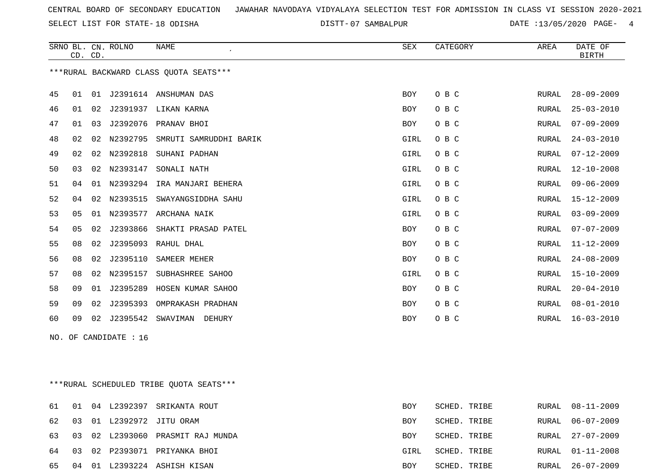SELECT LIST FOR STATE- DISTT- 18 ODISHA

|                          |    | CD. CD. | SRNO BL. CN. ROLNO | <b>NAME</b>                              | <b>SEX</b> | CATEGORY | AREA         | DATE OF<br><b>BIRTH</b> |  |
|--------------------------|----|---------|--------------------|------------------------------------------|------------|----------|--------------|-------------------------|--|
|                          |    |         |                    | *** RURAL BACKWARD CLASS QUOTA SEATS***  |            |          |              |                         |  |
| 45                       | 01 |         |                    | 01 J2391614 ANSHUMAN DAS                 | BOY        | O B C    | RURAL        | $28 - 09 - 2009$        |  |
| 46                       | 01 | 02      |                    | J2391937 LIKAN KARNA                     | <b>BOY</b> | O B C    | <b>RURAL</b> | $25 - 03 - 2010$        |  |
| 47                       | 01 | 03      |                    | J2392076 PRANAV BHOI                     | <b>BOY</b> | O B C    | <b>RURAL</b> | $07 - 09 - 2009$        |  |
| 48                       | 02 | 02      | N2392795           | SMRUTI SAMRUDDHI BARIK                   | GIRL       | O B C    | RURAL        | $24 - 03 - 2010$        |  |
| 49                       | 02 | 02      | N2392818           | SUHANI PADHAN                            | GIRL       | O B C    | RURAL        | $07 - 12 - 2009$        |  |
| 50                       | 03 | 02      | N2393147           | SONALI NATH                              | GIRL       | O B C    | <b>RURAL</b> | $12 - 10 - 2008$        |  |
| 51                       | 04 | 01      | N2393294           | IRA MANJARI BEHERA                       | GIRL       | O B C    | <b>RURAL</b> | $09 - 06 - 2009$        |  |
| 52                       | 04 | 02      | N2393515           | SWAYANGSIDDHA SAHU                       | GIRL       | O B C    | <b>RURAL</b> | $15 - 12 - 2009$        |  |
| 53                       | 05 | 01      | N2393577           | ARCHANA NAIK                             | GIRL       | O B C    | RURAL        | $03 - 09 - 2009$        |  |
| 54                       | 05 | 02      | J2393866           | SHAKTI PRASAD PATEL                      | <b>BOY</b> | O B C    | <b>RURAL</b> | $07 - 07 - 2009$        |  |
| 55                       | 08 | 02      |                    | J2395093 RAHUL DHAL                      | BOY        | O B C    | RURAL        | $11 - 12 - 2009$        |  |
| 56                       | 08 | 02      | J2395110           | SAMEER MEHER                             | BOY        | O B C    | RURAL        | $24 - 08 - 2009$        |  |
| 57                       | 08 | 02      | N2395157           | SUBHASHREE SAHOO                         | GIRL       | O B C    | <b>RURAL</b> | $15 - 10 - 2009$        |  |
| 58                       | 09 | 01      | J2395289           | HOSEN KUMAR SAHOO                        | <b>BOY</b> | O B C    | <b>RURAL</b> | $20 - 04 - 2010$        |  |
| 59                       | 09 | 02      | J2395393           | OMPRAKASH PRADHAN                        | <b>BOY</b> | O B C    | <b>RURAL</b> | $08 - 01 - 2010$        |  |
| 60                       | 09 | 02      | J2395542           | SWAVIMAN DEHURY                          | BOY        | O B C    | RURAL        | $16 - 03 - 2010$        |  |
| OF CANDIDATE : 16<br>NO. |    |         |                    |                                          |            |          |              |                         |  |
|                          |    |         |                    |                                          |            |          |              |                         |  |
|                          |    |         |                    |                                          |            |          |              |                         |  |
|                          |    |         |                    | *** RURAL SCHEDULED TRIBE QUOTA SEATS*** |            |          |              |                         |  |

|  |  | 61 01 04 L2392397 SRIKANTA ROUT     | <b>BOY</b> | SCHED. TRIBE | RURAL 08-11-2009 |
|--|--|-------------------------------------|------------|--------------|------------------|
|  |  | 62 03 01 L2392972 JITU ORAM         | BOY        | SCHED. TRIBE | RURAL 06-07-2009 |
|  |  | 63 03 02 L2393060 PRASMIT RAJ MUNDA | BOY        | SCHED. TRIBE | RURAL 27-07-2009 |
|  |  | 64 03 02 P2393071 PRIYANKA BHOI     | GIRL       | SCHED. TRIBE | RURAL 01-11-2008 |
|  |  | 65 04 01 L2393224 ASHISH KISAN      | BOY        | SCHED. TRIBE | RURAL 26-07-2009 |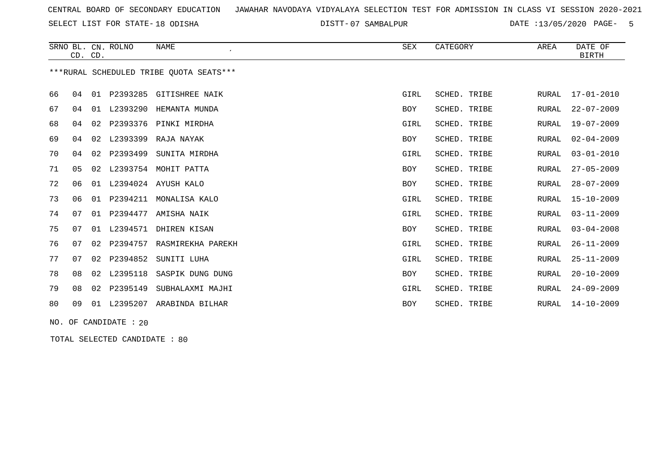SELECT LIST FOR STATE- DISTT- 18 ODISHA

07 SAMBALPUR DATE :13/05/2020 PAGE- 5

|    | CD. CD.        |    | SRNO BL. CN. ROLNO | <b>NAME</b><br>$\cdot$                  | <b>SEX</b> | CATEGORY     | AREA         | DATE OF<br><b>BIRTH</b> |
|----|----------------|----|--------------------|-----------------------------------------|------------|--------------|--------------|-------------------------|
|    |                |    |                    | ***RURAL SCHEDULED TRIBE OUOTA SEATS*** |            |              |              |                         |
| 66 | 04             | 01 | P2393285           | <b>GITISHREE NAIK</b>                   | GIRL       | SCHED. TRIBE | RURAL        | $17 - 01 - 2010$        |
| 67 | 04             | 01 | L2393290           | HEMANTA MUNDA                           | <b>BOY</b> | SCHED. TRIBE | <b>RURAL</b> | $22 - 07 - 2009$        |
| 68 | 04             | 02 | P2393376           | PINKI MIRDHA                            | GIRL       | SCHED. TRIBE | RURAL        | $19 - 07 - 2009$        |
| 69 | 04             | 02 | L2393399           | RAJA NAYAK                              | <b>BOY</b> | SCHED. TRIBE | <b>RURAL</b> | $02 - 04 - 2009$        |
| 70 | 04             | 02 | P2393499           | SUNITA MIRDHA                           | GIRL       | SCHED. TRIBE | <b>RURAL</b> | $03 - 01 - 2010$        |
| 71 | 0 <sub>5</sub> | 02 | L2393754           | MOHIT PATTA                             | <b>BOY</b> | SCHED. TRIBE | <b>RURAL</b> | $27 - 05 - 2009$        |
| 72 | 06             | 01 | L2394024           | AYUSH KALO                              | BOY        | SCHED. TRIBE | RURAL        | $28 - 07 - 2009$        |
| 73 | 06             | 01 | P2394211           | MONALISA KALO                           | GIRL       | SCHED. TRIBE | <b>RURAL</b> | $15 - 10 - 2009$        |
| 74 | 07             | 01 | P2394477           | AMISHA NAIK                             | GIRL       | SCHED. TRIBE | RURAL        | $03 - 11 - 2009$        |
| 75 | 07             | 01 | L2394571           | DHIREN KISAN                            | BOY        | SCHED. TRIBE | RURAL        | $03 - 04 - 2008$        |
| 76 | 07             | 02 | P2394757           | RASMIREKHA PAREKH                       | GIRL       | SCHED. TRIBE | RURAL        | $26 - 11 - 2009$        |
| 77 | 07             | 02 | P2394852           | SUNITI LUHA                             | GIRL       | SCHED. TRIBE | RURAL        | $25 - 11 - 2009$        |
| 78 | 08             | 02 | L2395118           | SASPIK DUNG DUNG                        | BOY        | SCHED. TRIBE | RURAL        | $20 - 10 - 2009$        |
| 79 | 08             | 02 | P2395149           | SUBHALAXMI MAJHI                        | GIRL       | SCHED. TRIBE | RURAL        | $24 - 09 - 2009$        |
| 80 | 09             | 01 | L2395207           | ARABINDA BILHAR                         | <b>BOY</b> | SCHED. TRIBE | RURAL        | $14 - 10 - 2009$        |

NO. OF CANDIDATE : 20

TOTAL SELECTED CANDIDATE : 80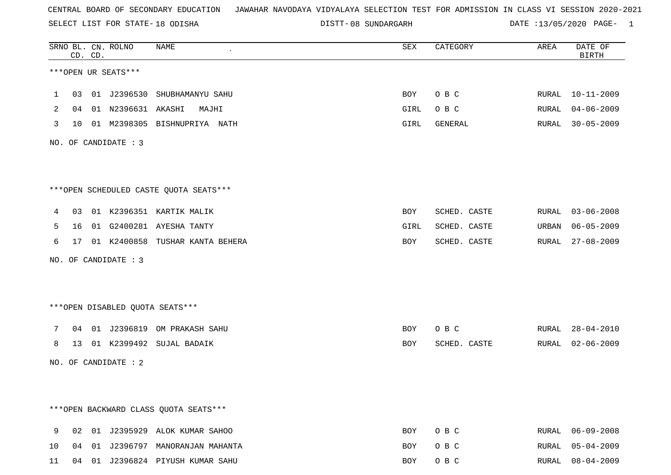SELECT LIST FOR STATE- DISTT- 18 ODISHA

08 SUNDARGARH DATE :13/05/2020 PAGE- 1

|              |    | CD. CD. | SRNO BL. CN. ROLNO       | NAME                                   | SEX        | CATEGORY     | AREA  | DATE OF<br><b>BIRTH</b> |
|--------------|----|---------|--------------------------|----------------------------------------|------------|--------------|-------|-------------------------|
|              |    |         | ***OPEN UR SEATS***      |                                        |            |              |       |                         |
| $\mathbf{1}$ |    |         |                          | 03 01 J2396530 SHUBHAMANYU SAHU        | BOY        | O B C        |       | RURAL 10-11-2009        |
| 2            |    |         | 04  01  N2396631  AKASHI | MAJHI                                  | GIRL       | O B C        | RURAL | 04-06-2009              |
| 3            |    |         |                          | 10 01 M2398305 BISHNUPRIYA NATH        | GIRL       | GENERAL      | RURAL | $30 - 05 - 2009$        |
|              |    |         | NO. OF CANDIDATE : 3     |                                        |            |              |       |                         |
|              |    |         |                          | ***OPEN SCHEDULED CASTE QUOTA SEATS*** |            |              |       |                         |
| 4            |    |         |                          | 03 01 K2396351 KARTIK MALIK            | BOY        | SCHED. CASTE |       | RURAL 03-06-2008        |
| 5            |    |         |                          | 16 01 G2400281 AYESHA TANTY            | GIRL       | SCHED. CASTE |       | URBAN 06-05-2009        |
| 6            |    |         |                          | 17 01 K2400858 TUSHAR KANTA BEHERA     | BOY        | SCHED. CASTE |       | RURAL 27-08-2009        |
|              |    |         | NO. OF CANDIDATE : 3     |                                        |            |              |       |                         |
|              |    |         |                          | ***OPEN DISABLED QUOTA SEATS***        |            |              |       |                         |
| 7            |    |         |                          | 04 01 J2396819 OM PRAKASH SAHU         | <b>BOY</b> | O B C        |       | RURAL 28-04-2010        |
| 8            |    |         |                          | 13 01 K2399492 SUJAL BADAIK            | BOY        | SCHED. CASTE |       | RURAL 02-06-2009        |
|              |    |         | NO. OF CANDIDATE : 2     |                                        |            |              |       |                         |
|              |    |         |                          |                                        |            |              |       |                         |
|              |    |         |                          | *** OPEN BACKWARD CLASS QUOTA SEATS*** |            |              |       |                         |
| 9            | 02 |         |                          | 01 J2395929 ALOK KUMAR SAHOO           | BOY        | O B C        | RURAL | $06 - 09 - 2008$        |
| 10           |    |         |                          | 04 01 J2396797 MANORANJAN MAHANTA      | BOY        | O B C        | RURAL | $05 - 04 - 2009$        |
| 11           |    |         |                          | 04 01 J2396824 PIYUSH KUMAR SAHU       | BOY        | O B C        |       | RURAL 08-04-2009        |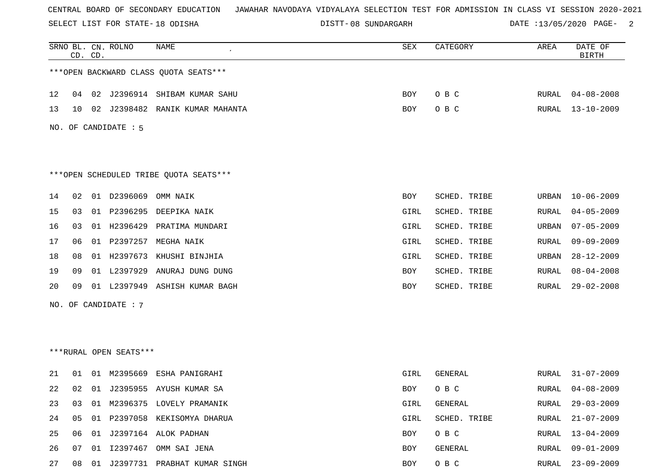SELECT LIST FOR STATE- DISTT- 18 ODISHA

DISTT-08 SUNDARGARH DATE :13/05/2020 PAGE- 2

|    | CD. CD. |    | SRNO BL. CN. ROLNO     | NAME                                    | SEX        | CATEGORY     | AREA  | DATE OF<br><b>BIRTH</b> |
|----|---------|----|------------------------|-----------------------------------------|------------|--------------|-------|-------------------------|
|    |         |    |                        | *** OPEN BACKWARD CLASS QUOTA SEATS***  |            |              |       |                         |
| 12 | 04      | 02 |                        | J2396914 SHIBAM KUMAR SAHU              | <b>BOY</b> | O B C        | RURAL | $04 - 08 - 2008$        |
| 13 | 10      |    |                        | 02 J2398482 RANIK KUMAR MAHANTA         | <b>BOY</b> | O B C        | RURAL | $13 - 10 - 2009$        |
|    |         |    | NO. OF CANDIDATE : 5   |                                         |            |              |       |                         |
|    |         |    |                        |                                         |            |              |       |                         |
|    |         |    |                        | *** OPEN SCHEDULED TRIBE QUOTA SEATS*** |            |              |       |                         |
| 14 | 02      | 01 | D2396069               | OMM NAIK                                | BOY        | SCHED. TRIBE | URBAN | $10 - 06 - 2009$        |
| 15 | 03      | 01 | P2396295               | DEEPIKA NAIK                            | GIRL       | SCHED. TRIBE | RURAL | $04 - 05 - 2009$        |
| 16 | 03      | 01 | H2396429               | PRATIMA MUNDARI                         | GIRL       | SCHED. TRIBE | URBAN | $07 - 05 - 2009$        |
| 17 | 06      | 01 | P2397257               | MEGHA NAIK                              | GIRL       | SCHED. TRIBE | RURAL | $09 - 09 - 2009$        |
| 18 | 08      |    |                        | 01 H2397673 KHUSHI BINJHIA              | GIRL       | SCHED. TRIBE | URBAN | $28 - 12 - 2009$        |
| 19 | 09      |    | 01 L2397929            | ANURAJ DUNG DUNG                        | <b>BOY</b> | SCHED. TRIBE | RURAL | $08 - 04 - 2008$        |
| 20 | 09      |    |                        | 01 L2397949 ASHISH KUMAR BAGH           | <b>BOY</b> | SCHED. TRIBE | RURAL | $29 - 02 - 2008$        |
|    |         |    | NO. OF CANDIDATE : 7   |                                         |            |              |       |                         |
|    |         |    |                        |                                         |            |              |       |                         |
|    |         |    |                        |                                         |            |              |       |                         |
|    |         |    | ***RURAL OPEN SEATS*** |                                         |            |              |       |                         |
| 21 | 01      | 01 | M2395669               | ESHA PANIGRAHI                          | GIRL       | GENERAL      | RURAL | $31 - 07 - 2009$        |
| 22 | 02      |    |                        | 01 J2395955 AYUSH KUMAR SA              | BOY        | O B C        | RURAL | $04 - 08 - 2009$        |
| 23 | 03      | 01 |                        | M2396375 LOVELY PRAMANIK                | GIRL       | GENERAL      | RURAL | $29 - 03 - 2009$        |
| 24 | 05      |    |                        | 01 P2397058 KEKISOMYA DHARUA            | GIRL       | SCHED. TRIBE | RURAL | $21 - 07 - 2009$        |
| 25 | 06      |    |                        | 01 J2397164 ALOK PADHAN                 | BOY        | O B C        | RURAL | $13 - 04 - 2009$        |
| 26 | 07      |    |                        | 01 I2397467 OMM SAI JENA                | <b>BOY</b> | GENERAL      | RURAL | $09 - 01 - 2009$        |
| 27 | 08      |    |                        | 01 J2397731 PRABHAT KUMAR SINGH         | BOY        | O B C        | RURAL | $23 - 09 - 2009$        |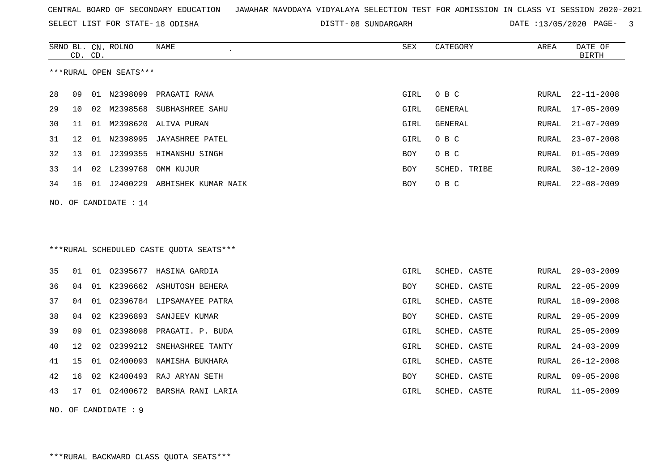SELECT LIST FOR STATE- DISTT- 18 ODISHA

08 SUNDARGARH DATE :13/05/2020 PAGE- 3

|     | CD.                 | CD. | SRNO BL. CN. ROLNO     | NAME                                    | <b>SEX</b> | CATEGORY       | AREA  | DATE OF<br><b>BIRTH</b> |  |
|-----|---------------------|-----|------------------------|-----------------------------------------|------------|----------------|-------|-------------------------|--|
|     |                     |     | ***RURAL OPEN SEATS*** |                                         |            |                |       |                         |  |
| 28  | 09                  |     |                        | 01 N2398099 PRAGATI RANA                | GIRL       | O B C          | RURAL | $22 - 11 - 2008$        |  |
| 29  | 10                  |     |                        | 02 M2398568 SUBHASHREE SAHU             | GIRL       | <b>GENERAL</b> | RURAL | $17 - 05 - 2009$        |  |
| 30  | 11                  |     |                        | 01 M2398620 ALIVA PURAN                 | GIRL       | GENERAL        | RURAL | $21 - 07 - 2009$        |  |
| 31  | 12                  |     |                        | 01 N2398995 JAYASHREE PATEL             | GIRL       | O B C          | RURAL | $23 - 07 - 2008$        |  |
| 32  | 13                  |     |                        | 01 J2399355 HIMANSHU SINGH              | <b>BOY</b> | O B C          | RURAL | $01 - 05 - 2009$        |  |
| 33  | 14                  |     | 02 L2399768            | OMM KUJUR                               | BOY        | SCHED. TRIBE   | RURAL | $30 - 12 - 2009$        |  |
| 34  | 16                  |     |                        | 01 J2400229 ABHISHEK KUMAR NAIK         | BOY        | O B C          | RURAL | $22 - 08 - 2009$        |  |
| NO. |                     |     | OF CANDIDATE : 14      |                                         |            |                |       |                         |  |
|     |                     |     |                        |                                         |            |                |       |                         |  |
|     |                     |     |                        |                                         |            |                |       |                         |  |
|     |                     |     |                        | ***RURAL SCHEDULED CASTE QUOTA SEATS*** |            |                |       |                         |  |
|     |                     |     |                        |                                         |            |                |       |                         |  |
| 35  | 01                  |     |                        | 01 02395677 HASINA GARDIA               | GIRL       | SCHED. CASTE   | RURAL | $29 - 03 - 2009$        |  |
| 36  | 04                  |     |                        | 01 K2396662 ASHUTOSH BEHERA             | BOY        | SCHED. CASTE   | RURAL | $22 - 05 - 2009$        |  |
| 37  | 04                  | 01  |                        | 02396784 LIPSAMAYEE PATRA               | GIRL       | SCHED. CASTE   | RURAL | $18 - 09 - 2008$        |  |
| 38  | 04                  |     |                        | 02 K2396893 SANJEEV KUMAR               | BOY        | SCHED. CASTE   | RURAL | $29 - 05 - 2009$        |  |
| 39  | 09                  | 01  |                        | 02398098 PRAGATI. P. BUDA               | GIRL       | SCHED. CASTE   | RURAL | $25 - 05 - 2009$        |  |
| 40  | 12                  | 02  | 02399212               | SNEHASHREE TANTY                        | GIRL       | SCHED. CASTE   | RURAL | $24 - 03 - 2009$        |  |
| 41  | 15                  | 01  | 02400093               | NAMISHA BUKHARA                         | GIRL       | SCHED. CASTE   | RURAL | $26 - 12 - 2008$        |  |
| 42  | 16                  |     |                        | 02 K2400493 RAJ ARYAN SETH              | <b>BOY</b> | SCHED. CASTE   | RURAL | $09 - 05 - 2008$        |  |
| 43  | 17                  |     |                        | 01 02400672 BARSHA RANI LARIA           | GIRL       | SCHED. CASTE   | RURAL | $11 - 05 - 2009$        |  |
|     | NO. OF CANDIDATE: 9 |     |                        |                                         |            |                |       |                         |  |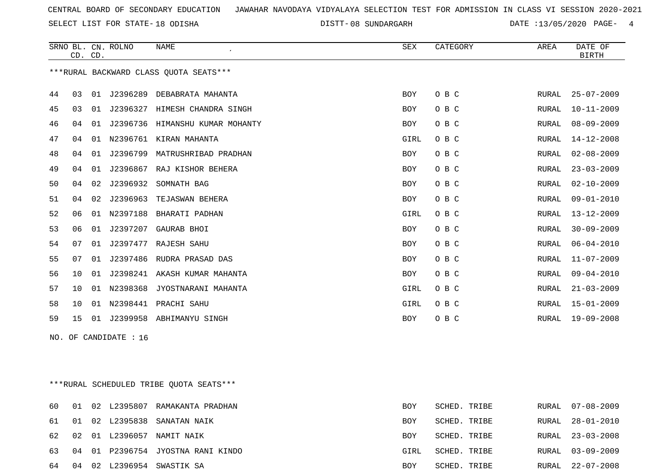SELECT LIST FOR STATE- DISTT- 18 ODISHA

DISTT-08 SUNDARGARH DATE :13/05/2020 PAGE- 4

|     | CD. CD. |    | SRNO BL. CN. ROLNO | <b>NAME</b>                             | SEX        | CATEGORY     | AREA  | DATE OF<br><b>BIRTH</b> |
|-----|---------|----|--------------------|-----------------------------------------|------------|--------------|-------|-------------------------|
|     |         |    |                    | *** RURAL BACKWARD CLASS QUOTA SEATS*** |            |              |       |                         |
| 44  | 03      | 01 | J2396289           | DEBABRATA MAHANTA                       | <b>BOY</b> | O B C        | RURAL | $25 - 07 - 2009$        |
| 45  | 03      | 01 |                    | J2396327 HIMESH CHANDRA SINGH           | <b>BOY</b> | O B C        | RURAL | $10 - 11 - 2009$        |
| 46  | 04      |    |                    | 01 J2396736 HIMANSHU KUMAR MOHANTY      | <b>BOY</b> | O B C        | RURAL | $08 - 09 - 2009$        |
| 47  | 04      |    |                    | 01 N2396761 KIRAN MAHANTA               | GIRL       | O B C        | RURAL | $14 - 12 - 2008$        |
| 48  | 04      |    | 01 J2396799        | MATRUSHRIBAD PRADHAN                    | <b>BOY</b> | O B C        | RURAL | $02 - 08 - 2009$        |
| 49  | 04      |    |                    | 01 J2396867 RAJ KISHOR BEHERA           | <b>BOY</b> | O B C        | RURAL | $23 - 03 - 2009$        |
| 50  | 04      | 02 | J2396932           | SOMNATH BAG                             | BOY        | O B C        | RURAL | $02 - 10 - 2009$        |
| 51  | 04      | 02 |                    | J2396963 TEJASWAN BEHERA                | BOY        | O B C        | RURAL | $09 - 01 - 2010$        |
| 52  | 06      |    |                    | 01 N2397188 BHARATI PADHAN              | GIRL       | O B C        | RURAL | $13 - 12 - 2009$        |
| 53  | 06      |    |                    | 01 J2397207 GAURAB BHOI                 | BOY        | O B C        | RURAL | $30 - 09 - 2009$        |
| 54  | 07      |    |                    | 01 J2397477 RAJESH SAHU                 | <b>BOY</b> | O B C        | RURAL | $06 - 04 - 2010$        |
| 55  | 07      |    |                    | 01 J2397486 RUDRA PRASAD DAS            | BOY        | O B C        | RURAL | $11 - 07 - 2009$        |
| 56  | 10      |    |                    | 01 J2398241 AKASH KUMAR MAHANTA         | BOY        | O B C        | RURAL | $09 - 04 - 2010$        |
| 57  | 10      |    |                    | 01 N2398368 JYOSTNARANI MAHANTA         | GIRL       | O B C        | RURAL | $21 - 03 - 2009$        |
| 58  | 10      |    |                    | 01 N2398441 PRACHI SAHU                 | GIRL       | O B C        | RURAL | $15 - 01 - 2009$        |
| 59  | 15      |    |                    | 01 J2399958 ABHIMANYU SINGH             | BOY        | O B C        | RURAL | 19-09-2008              |
| NO. |         |    | OF CANDIDATE : 16  |                                         |            |              |       |                         |
|     |         |    |                    |                                         |            |              |       |                         |
|     |         |    |                    |                                         |            |              |       |                         |
|     |         |    |                    | ***RURAL SCHEDULED TRIBE OUOTA SEATS*** |            |              |       |                         |
| 60  | 01      |    |                    | 02 L2395807 RAMAKANTA PRADHAN           | BOY        | SCHED. TRIBE | RURAL | $07 - 08 - 2009$        |
| 61  | 01      |    | 02 L2395838        | SANATAN NAIK                            | BOY        | SCHED. TRIBE | RURAL | $28 - 01 - 2010$        |

02 01 L2396057 NAMIT NAIK BOY SCHED. TRIBE RURAL 23-03-2008

04 01 P2396754 JYOSTNA RANI KINDO GIRL SCHED. TRIBE RURAL 03-09-2009

04 02 L2396954 SWASTIK SA BOY SCHED. TRIBE RURAL 22-07-2008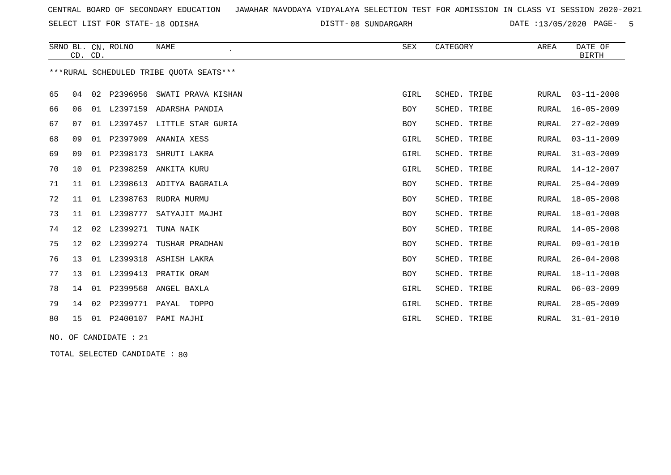SELECT LIST FOR STATE- DISTT- 18 ODISHA

08 SUNDARGARH DATE :13/05/2020 PAGE- 5

|    |                 | CD. CD. | SRNO BL. CN. ROLNO    | <b>NAME</b><br>$\epsilon$               | SEX        | CATEGORY     | AREA         | DATE OF<br><b>BIRTH</b> |
|----|-----------------|---------|-----------------------|-----------------------------------------|------------|--------------|--------------|-------------------------|
|    |                 |         |                       | ***RURAL SCHEDULED TRIBE OUOTA SEATS*** |            |              |              |                         |
| 65 | 04              |         |                       | 02 P2396956 SWATI PRAVA KISHAN          | GIRL       | SCHED. TRIBE | RURAL        | $03 - 11 - 2008$        |
| 66 | 06              |         |                       | 01 L2397159 ADARSHA PANDIA              | <b>BOY</b> | SCHED. TRIBE | RURAL        | $16 - 05 - 2009$        |
| 67 | 07              | 01      |                       | L2397457 LITTLE STAR GURIA              | BOY        | SCHED. TRIBE | RURAL        | $27 - 02 - 2009$        |
| 68 | 09              | 01      | P2397909              | ANANIA XESS                             | GIRL       | SCHED. TRIBE | RURAL        | $03 - 11 - 2009$        |
| 69 | 09              | 01      | P2398173              | SHRUTI LAKRA                            | GIRL       | SCHED. TRIBE | <b>RURAL</b> | $31 - 03 - 2009$        |
| 70 | 10              |         | 01 P2398259           | ANKITA KURU                             | GIRL       | SCHED. TRIBE | RURAL        | $14 - 12 - 2007$        |
| 71 | 11              |         |                       | 01 L2398613 ADITYA BAGRAILA             | BOY        | SCHED. TRIBE | RURAL        | $25 - 04 - 2009$        |
| 72 | 11              |         | 01 L2398763           | RUDRA MURMU                             | <b>BOY</b> | SCHED. TRIBE | RURAL        | $18 - 05 - 2008$        |
| 73 | 11              |         | 01 L2398777           | SATYAJIT MAJHI                          | <b>BOY</b> | SCHED. TRIBE | RURAL        | $18 - 01 - 2008$        |
| 74 | 12 <sub>1</sub> | 02      | L2399271              | TUNA NAIK                               | BOY        | SCHED. TRIBE | RURAL        | $14 - 05 - 2008$        |
| 75 | 12              | 02      | L2399274              | TUSHAR PRADHAN                          | <b>BOY</b> | SCHED. TRIBE | RURAL        | $09 - 01 - 2010$        |
| 76 | 13              |         |                       | 01 L2399318 ASHISH LAKRA                | <b>BOY</b> | SCHED. TRIBE | <b>RURAL</b> | $26 - 04 - 2008$        |
| 77 | 13              |         | 01 L2399413           | PRATIK ORAM                             | BOY        | SCHED. TRIBE | RURAL        | $18 - 11 - 2008$        |
| 78 | 14              | 01      | P2399568              | ANGEL BAXLA                             | GIRL       | SCHED. TRIBE | RURAL        | $06 - 03 - 2009$        |
| 79 | 14              | 02      | P2399771 PAYAL        | TOPPO                                   | GIRL       | SCHED. TRIBE | <b>RURAL</b> | $28 - 05 - 2009$        |
| 80 | 15              |         |                       | 01 P2400107 PAMI MAJHI                  | GIRL       | SCHED. TRIBE | RURAL        | $31 - 01 - 2010$        |
|    |                 |         | NO. OF CANDIDATE : 21 |                                         |            |              |              |                         |

TOTAL SELECTED CANDIDATE : 80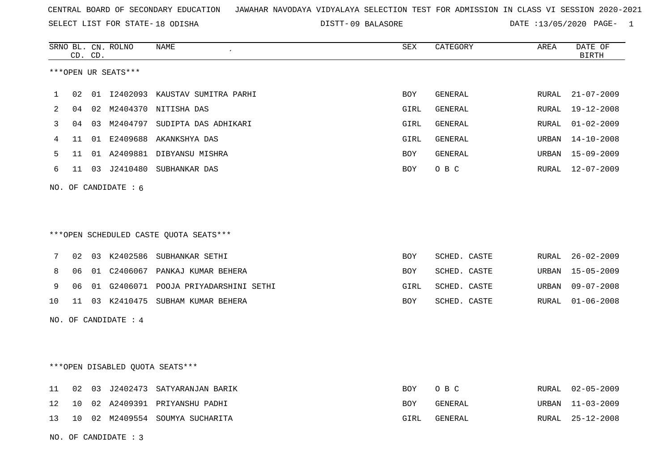SELECT LIST FOR STATE- DISTT- 18 ODISHA

DISTT-09 BALASORE DATE :13/05/2020 PAGE- 1

|                |    | CD. CD. | SRNO BL. CN. ROLNO              | NAME                                   | SEX  | CATEGORY     | AREA  | DATE OF<br><b>BIRTH</b> |
|----------------|----|---------|---------------------------------|----------------------------------------|------|--------------|-------|-------------------------|
|                |    |         | ***OPEN UR SEATS***             |                                        |      |              |       |                         |
| 1              | 02 |         |                                 | 01 I2402093 KAUSTAV SUMITRA PARHI      | BOY  | GENERAL      | RURAL | $21 - 07 - 2009$        |
| $\overline{2}$ | 04 |         |                                 | 02 M2404370 NITISHA DAS                | GIRL | GENERAL      | RURAL | $19 - 12 - 2008$        |
| 3              | 04 | 03      |                                 | M2404797 SUDIPTA DAS ADHIKARI          | GIRL | GENERAL      | RURAL | $01 - 02 - 2009$        |
| 4              | 11 |         |                                 | 01 E2409688 AKANKSHYA DAS              | GIRL | GENERAL      | URBAN | $14 - 10 - 2008$        |
| 5              | 11 |         |                                 | 01 A2409881 DIBYANSU MISHRA            | BOY  | GENERAL      | URBAN | 15-09-2009              |
| 6              | 11 |         |                                 | 03 J2410480 SUBHANKAR DAS              | BOY  | O B C        | RURAL | $12 - 07 - 2009$        |
|                |    |         | NO. OF CANDIDATE $: 6$          |                                        |      |              |       |                         |
|                |    |         |                                 |                                        |      |              |       |                         |
|                |    |         |                                 |                                        |      |              |       |                         |
|                |    |         |                                 | ***OPEN SCHEDULED CASTE QUOTA SEATS*** |      |              |       |                         |
| 7              | 02 |         |                                 | 03 K2402586 SUBHANKAR SETHI            | BOY  | SCHED. CASTE | RURAL | $26 - 02 - 2009$        |
| 8              | 06 |         |                                 | 01 C2406067 PANKAJ KUMAR BEHERA        | BOY  | SCHED. CASTE | URBAN | $15 - 05 - 2009$        |
| 9              | 06 |         |                                 | 01 G2406071 POOJA PRIYADARSHINI SETHI  | GIRL | SCHED. CASTE | URBAN | $09 - 07 - 2008$        |
| 10             | 11 |         |                                 | 03 K2410475 SUBHAM KUMAR BEHERA        | BOY  | SCHED. CASTE | RURAL | $01 - 06 - 2008$        |
|                |    |         | NO. OF CANDIDATE : 4            |                                        |      |              |       |                         |
|                |    |         |                                 |                                        |      |              |       |                         |
|                |    |         |                                 |                                        |      |              |       |                         |
|                |    |         | ***OPEN DISABLED QUOTA SEATS*** |                                        |      |              |       |                         |
| 11             | 02 |         |                                 | 03 J2402473 SATYARANJAN BARIK          | BOY  | O B C        | RURAL | $02 - 05 - 2009$        |
| 12             | 10 |         |                                 | 02 A2409391 PRIYANSHU PADHI            | BOY  | GENERAL      | URBAN | $11 - 03 - 2009$        |
| 13             | 10 |         |                                 | 02 M2409554 SOUMYA SUCHARITA           | GIRL | GENERAL      | RURAL | $25 - 12 - 2008$        |
|                |    |         | NO. OF CANDIDATE : 3            |                                        |      |              |       |                         |
|                |    |         |                                 |                                        |      |              |       |                         |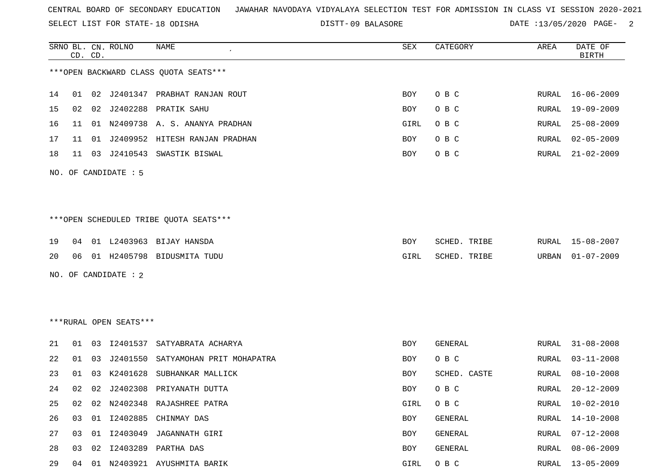SELECT LIST FOR STATE- DISTT- 18 ODISHA

09 BALASORE DATE :13/05/2020 PAGE- 2

|    | CD. CD. |    | SRNO BL. CN. ROLNO     | NAME                                    | SEX      | CATEGORY     | AREA  | DATE OF<br><b>BIRTH</b> |
|----|---------|----|------------------------|-----------------------------------------|----------|--------------|-------|-------------------------|
|    |         |    |                        | *** OPEN BACKWARD CLASS QUOTA SEATS***  |          |              |       |                         |
| 14 | 01      |    |                        | 02 J2401347 PRABHAT RANJAN ROUT         | BOY      | O B C        | RURAL | 16-06-2009              |
| 15 | 02      |    |                        | 02 J2402288 PRATIK SAHU                 | BOY      | O B C        | RURAL | 19-09-2009              |
| 16 | 11      |    |                        | 01 N2409738 A. S. ANANYA PRADHAN        | GIRL     | O B C        | RURAL | $25 - 08 - 2009$        |
| 17 | 11      | 01 |                        | J2409952 HITESH RANJAN PRADHAN          | BOY      | O B C        | RURAL | $02 - 05 - 2009$        |
| 18 | 11      |    |                        | 03 J2410543 SWASTIK BISWAL              | BOY      | O B C        | RURAL | $21 - 02 - 2009$        |
|    |         |    | NO. OF CANDIDATE : 5   |                                         |          |              |       |                         |
|    |         |    |                        |                                         |          |              |       |                         |
|    |         |    |                        | *** OPEN SCHEDULED TRIBE QUOTA SEATS*** |          |              |       |                         |
| 19 | 04      |    |                        | 01 L2403963 BIJAY HANSDA                | BOY      | SCHED. TRIBE |       | RURAL 15-08-2007        |
| 20 | 06      |    |                        | 01 H2405798 BIDUSMITA TUDU              | GIRL     | SCHED. TRIBE | URBAN | $01 - 07 - 2009$        |
|    |         |    | NO. OF CANDIDATE : 2   |                                         |          |              |       |                         |
|    |         |    |                        |                                         |          |              |       |                         |
|    |         |    |                        |                                         |          |              |       |                         |
|    |         |    | ***RURAL OPEN SEATS*** |                                         |          |              |       |                         |
| 21 |         |    |                        | 01 03 I2401537 SATYABRATA ACHARYA       | BOY      | GENERAL      | RURAL | $31 - 08 - 2008$        |
| 22 | 01      | 03 | J2401550               | SATYAMOHAN PRIT MOHAPATRA               | BOY      | O B C        | RURAL | $03 - 11 - 2008$        |
| 23 | 01      | 03 | K2401628               | SUBHANKAR MALLICK                       | BOY      | SCHED. CASTE | RURAL | $08 - 10 - 2008$        |
| 24 | 02      | 02 | J2402308               | PRIYANATH DUTTA                         | BOY      | O B C        | RURAL | $20 - 12 - 2009$        |
|    |         |    |                        | 25 02 02 N2402348 RAJASHREE PATRA       | GIRL OBC |              |       | RURAL 10-02-2010        |
| 26 | 03      |    |                        | 01 I2402885 CHINMAY DAS                 | BOY      | GENERAL      | RURAL | 14-10-2008              |
| 27 | 03      |    |                        | 01 I2403049 JAGANNATH GIRI              | BOY      | GENERAL      | RURAL | $07 - 12 - 2008$        |
| 28 | 03      |    |                        | 02 I2403289 PARTHA DAS                  | BOY      | GENERAL      |       | RURAL 08-06-2009        |
| 29 | 04      |    |                        | 01 N2403921 AYUSHMITA BARIK             | GIRL     | O B C        |       | RURAL 13-05-2009        |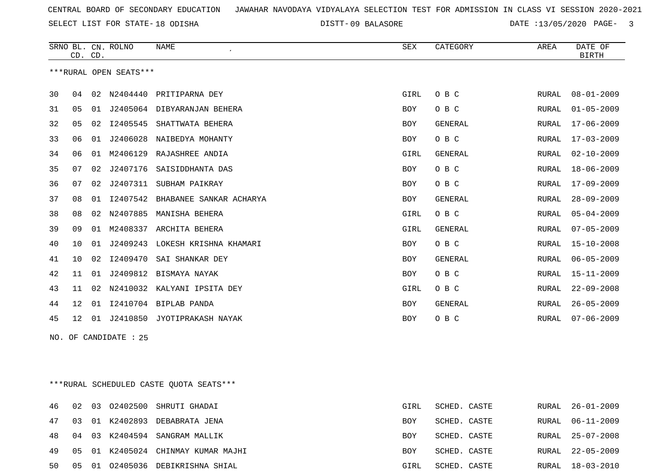SELECT LIST FOR STATE- DISTT- 18 ODISHA

DISTT-09 BALASORE DATE :13/05/2020 PAGE- 3

|    | CD. CD.         |    | SRNO BL. CN. ROLNO     | <b>NAME</b><br>$\cdot$      | <b>SEX</b> | CATEGORY       | AREA         | DATE OF<br><b>BIRTH</b> |
|----|-----------------|----|------------------------|-----------------------------|------------|----------------|--------------|-------------------------|
|    |                 |    | ***RURAL OPEN SEATS*** |                             |            |                |              |                         |
| 30 | 04              | 02 | N2404440               | PRITIPARNA DEY              | GIRL       | O B C          | RURAL        | $08 - 01 - 2009$        |
| 31 | 05              | 01 |                        | J2405064 DIBYARANJAN BEHERA | BOY        | O B C          | <b>RURAL</b> | $01 - 05 - 2009$        |
| 32 | 05              | 02 | I2405545               | SHATTWATA BEHERA            | <b>BOY</b> | <b>GENERAL</b> | <b>RURAL</b> | $17 - 06 - 2009$        |
| 33 | 06              | 01 | J2406028               | NAIBEDYA MOHANTY            | BOY        | O B C          | <b>RURAL</b> | $17 - 03 - 2009$        |
| 34 | 06              | 01 | M2406129               | RAJASHREE ANDIA             | GIRL       | <b>GENERAL</b> | RURAL        | $02 - 10 - 2009$        |
| 35 | 07              | 02 | J2407176               | SAISIDDHANTA DAS            | <b>BOY</b> | O B C          | RURAL        | $18 - 06 - 2009$        |
| 36 | 07              | 02 | J2407311               | SUBHAM PAIKRAY              | <b>BOY</b> | O B C          | <b>RURAL</b> | $17 - 09 - 2009$        |
| 37 | 08              | 01 | I2407542               | BHABANEE SANKAR ACHARYA     | <b>BOY</b> | GENERAL        | <b>RURAL</b> | $28 - 09 - 2009$        |
| 38 | 08              | 02 | N2407885               | MANISHA BEHERA              | GIRL       | O B C          | <b>RURAL</b> | $05 - 04 - 2009$        |
| 39 | 09              | 01 | M2408337               | ARCHITA BEHERA              | GIRL       | <b>GENERAL</b> | <b>RURAL</b> | $07 - 05 - 2009$        |
| 40 | 10              | 01 | J2409243               | LOKESH KRISHNA KHAMARI      | <b>BOY</b> | O B C          | <b>RURAL</b> | $15 - 10 - 2008$        |
| 41 | 10              | 02 | I2409470               | SAI SHANKAR DEY             | <b>BOY</b> | <b>GENERAL</b> | <b>RURAL</b> | $06 - 05 - 2009$        |
| 42 | 11              | 01 | J2409812               | BISMAYA NAYAK               | <b>BOY</b> | O B C          | <b>RURAL</b> | $15 - 11 - 2009$        |
| 43 | 11              | 02 | N2410032               | KALYANI IPSITA DEY          | GIRL       | O B C          | <b>RURAL</b> | $22 - 09 - 2008$        |
| 44 | 12              | 01 |                        | I2410704 BIPLAB PANDA       | <b>BOY</b> | GENERAL        | <b>RURAL</b> | $26 - 05 - 2009$        |
| 45 | 12 <sup>°</sup> |    | 01 J2410850            | JYOTIPRAKASH NAYAK          | <b>BOY</b> | O B C          | <b>RURAL</b> | $07 - 06 - 2009$        |
|    |                 |    | NO. OF CANDIDATE : 25  |                             |            |                |              |                         |

\*\*\*RURAL SCHEDULED CASTE QUOTA SEATS\*\*\*

| 46 02 |  | 03 02402500 SHRUTI GHADAI             | GIRL | SCHED. CASTE |  | RURAL 26-01-2009 |
|-------|--|---------------------------------------|------|--------------|--|------------------|
|       |  | 47 03 01 K2402893 DEBABRATA JENA      | BOY  | SCHED. CASTE |  | RURAL 06-11-2009 |
|       |  | 48 04 03 K2404594 SANGRAM MALLIK      | BOY  | SCHED. CASTE |  | RURAL 25-07-2008 |
|       |  | 49 05 01 K2405024 CHINMAY KUMAR MAJHI | BOY  | SCHED. CASTE |  | RURAL 22-05-2009 |
| 50    |  | 05 01 02405036 DEBIKRISHNA SHIAL      | GIRL | SCHED. CASTE |  | RURAL 18-03-2010 |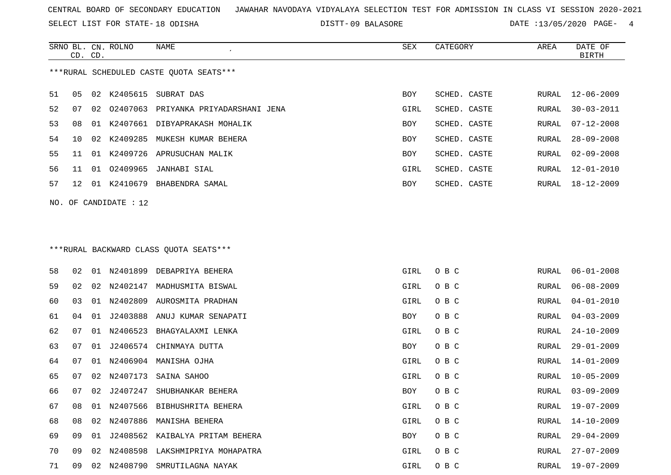SELECT LIST FOR STATE- DISTT- 18 ODISHA

09 BALASORE DATE :13/05/2020 PAGE- 4

|    | CD. CD. |    | SRNO BL. CN. ROLNO    | NAME<br>$\epsilon$                      | SEX  | CATEGORY     | AREA  | DATE OF<br><b>BIRTH</b> |
|----|---------|----|-----------------------|-----------------------------------------|------|--------------|-------|-------------------------|
|    |         |    |                       | ***RURAL SCHEDULED CASTE QUOTA SEATS*** |      |              |       |                         |
| 51 | 05      | 02 | K2405615              | SUBRAT DAS                              | BOY  | SCHED. CASTE | RURAL | $12 - 06 - 2009$        |
| 52 | 07      | 02 |                       | 02407063 PRIYANKA PRIYADARSHANI JENA    | GIRL | SCHED. CASTE | RURAL | $30 - 03 - 2011$        |
| 53 | 08      | 01 |                       | K2407661 DIBYAPRAKASH MOHALIK           | BOY  | SCHED. CASTE | RURAL | $07 - 12 - 2008$        |
| 54 | 10      | 02 | K2409285              | MUKESH KUMAR BEHERA                     | BOY  | SCHED. CASTE | RURAL | $28 - 09 - 2008$        |
| 55 | 11      |    |                       | 01 K2409726 APRUSUCHAN MALIK            | BOY  | SCHED. CASTE | RURAL | $02 - 09 - 2008$        |
| 56 | 11      |    | 01 02409965           | JANHABI SIAL                            | GIRL | SCHED. CASTE | RURAL | $12 - 01 - 2010$        |
| 57 | 12      |    |                       | 01 K2410679 BHABENDRA SAMAL             | BOY  | SCHED. CASTE | RURAL | 18-12-2009              |
|    |         |    | NO. OF CANDIDATE : 12 |                                         |      |              |       |                         |
|    |         |    |                       |                                         |      |              |       |                         |
|    |         |    |                       |                                         |      |              |       |                         |
|    |         |    |                       | *** RURAL BACKWARD CLASS QUOTA SEATS*** |      |              |       |                         |
| 58 | 02      |    |                       | 01 N2401899 DEBAPRIYA BEHERA            | GIRL | O B C        | RURAL | $06 - 01 - 2008$        |
| 59 | 02      | 02 | N2402147              | MADHUSMITA BISWAL                       | GIRL | O B C        | RURAL | $06 - 08 - 2009$        |
| 60 | 03      | 01 | N2402809              | AUROSMITA PRADHAN                       | GIRL | O B C        | RURAL | $04 - 01 - 2010$        |
| 61 | 04      | 01 | J2403888              | ANUJ KUMAR SENAPATI                     | BOY  | O B C        | RURAL | $04 - 03 - 2009$        |
| 62 | 07      | 01 | N2406523              | BHAGYALAXMI LENKA                       | GIRL | O B C        | RURAL | $24 - 10 - 2009$        |
| 63 | 07      | 01 |                       | J2406574 CHINMAYA DUTTA                 | BOY  | O B C        | RURAL | $29 - 01 - 2009$        |
| 64 | 07      | 01 | N2406904              | MANISHA OJHA                            | GIRL | O B C        | RURAL | $14 - 01 - 2009$        |
| 65 | 07      | 02 | N2407173              | SAINA SAHOO                             | GIRL | O B C        | RURAL | $10 - 05 - 2009$        |
| 66 | 07      | 02 | J2407247              | SHUBHANKAR BEHERA                       | BOY  | O B C        | RURAL | $03 - 09 - 2009$        |
| 67 | 08      | 01 |                       | N2407566 BIBHUSHRITA BEHERA             | GIRL | O B C        | RURAL | 19-07-2009              |
| 68 | 08      | 02 |                       | N2407886 MANISHA BEHERA                 | GIRL | O B C        | RURAL | $14 - 10 - 2009$        |
| 69 | 09      | 01 |                       | J2408562 KAIBALYA PRITAM BEHERA         | BOY  | O B C        | RURAL | $29 - 04 - 2009$        |
| 70 | 09      | 02 | N2408598              | LAKSHMIPRIYA MOHAPATRA                  | GIRL | O B C        | RURAL | $27 - 07 - 2009$        |
| 71 | 09      |    |                       | 02 N2408790 SMRUTILAGNA NAYAK           | GIRL | O B C        | RURAL | $19 - 07 - 2009$        |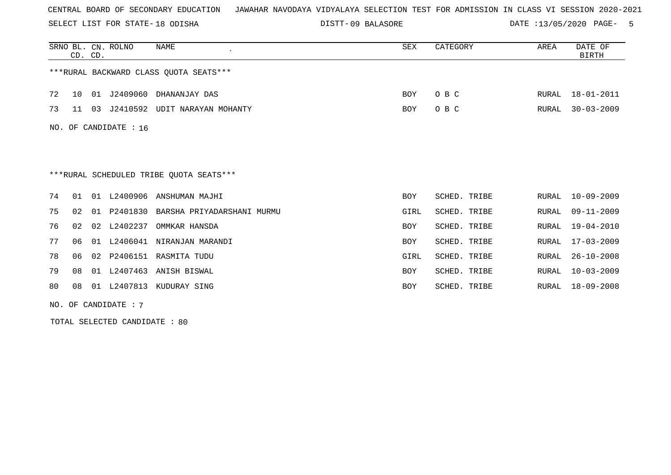SELECT LIST FOR STATE- DISTT- 18 ODISHA

DISTT-09 BALASORE DATE :13/05/2020 PAGE- 5

|     | CD. CD. |    | SRNO BL. CN. ROLNO | <b>NAME</b>                             | SEX        | CATEGORY     | AREA  | DATE OF<br><b>BIRTH</b> |
|-----|---------|----|--------------------|-----------------------------------------|------------|--------------|-------|-------------------------|
|     |         |    |                    | ***RURAL BACKWARD CLASS OUOTA SEATS***  |            |              |       |                         |
| 72  | 10      | 01 |                    | J2409060 DHANANJAY DAS                  | BOY        | O B C        | RURAL | $18 - 01 - 2011$        |
| 73  | 11      | 03 | J2410592           | UDIT NARAYAN MOHANTY                    | BOY        | O B C        | RURAL | $30 - 03 - 2009$        |
| NO. |         |    | OF CANDIDATE : 16  |                                         |            |              |       |                         |
|     |         |    |                    |                                         |            |              |       |                         |
|     |         |    |                    |                                         |            |              |       |                         |
|     |         |    |                    | ***RURAL SCHEDULED TRIBE QUOTA SEATS*** |            |              |       |                         |
| 74  | 01      |    | 01 L2400906        | ANSHUMAN MAJHI                          | BOY        | SCHED. TRIBE | RURAL | $10 - 09 - 2009$        |
| 75  | 02      | 01 | P2401830           | BARSHA PRIYADARSHANI MURMU              | GIRL       | SCHED. TRIBE | RURAL | $09 - 11 - 2009$        |
| 76  | 02      | 02 | L2402237           | OMMKAR HANSDA                           | <b>BOY</b> | SCHED. TRIBE | RURAL | $19 - 04 - 2010$        |
| 77  | 06      |    | 01 L2406041        | NIRANJAN MARANDI                        | <b>BOY</b> | SCHED. TRIBE | RURAL | $17 - 03 - 2009$        |
| 78  | 06      |    |                    | 02 P2406151 RASMITA TUDU                | GIRL       | SCHED. TRIBE | RURAL | $26 - 10 - 2008$        |
| 79  | 08      | 01 | L2407463           | ANISH BISWAL                            | <b>BOY</b> | SCHED. TRIBE | RURAL | $10 - 03 - 2009$        |
| 80  | 08      |    | 01 L2407813        | KUDURAY SING                            | <b>BOY</b> | SCHED. TRIBE | RURAL | $18 - 09 - 2008$        |

NO. OF CANDIDATE : 7

TOTAL SELECTED CANDIDATE : 80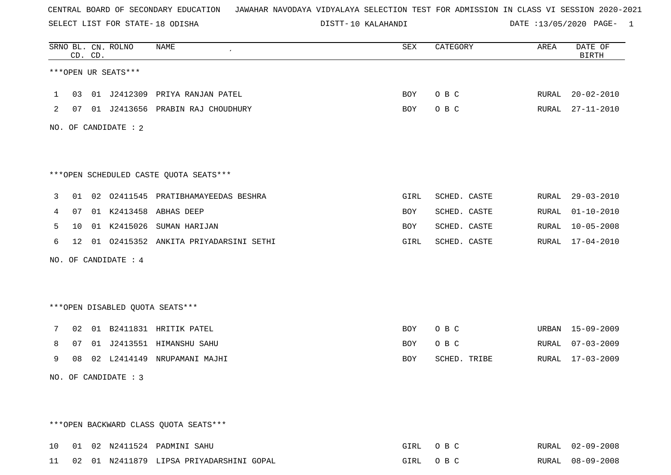SELECT LIST FOR STATE- DISTT- 18 ODISHA

DISTT-10 KALAHANDI DATE :13/05/2020 PAGE- 1

|              | CD. CD. | SRNO BL. CN. ROLNO     | NAME                                     | SEX        | CATEGORY     | AREA  | DATE OF<br><b>BIRTH</b> |
|--------------|---------|------------------------|------------------------------------------|------------|--------------|-------|-------------------------|
|              |         | ***OPEN UR SEATS***    |                                          |            |              |       |                         |
| $\mathbf{1}$ |         |                        | 03 01 J2412309 PRIYA RANJAN PATEL        | BOY        | O B C        | RURAL | $20 - 02 - 2010$        |
| 2            |         |                        | 07 01 J2413656 PRABIN RAJ CHOUDHURY      | BOY        | O B C        |       | RURAL 27-11-2010        |
|              |         | NO. OF CANDIDATE : $2$ |                                          |            |              |       |                         |
|              |         |                        | ***OPEN SCHEDULED CASTE QUOTA SEATS***   |            |              |       |                         |
| 3            |         |                        | 01 02 02411545 PRATIBHAMAYEEDAS BESHRA   | GIRL       | SCHED. CASTE |       | RURAL 29-03-2010        |
| 4            |         |                        | 07 01 K2413458 ABHAS DEEP                | BOY        | SCHED. CASTE |       | RURAL 01-10-2010        |
| 5            |         |                        | 10 01 K2415026 SUMAN HARIJAN             | <b>BOY</b> | SCHED. CASTE |       | RURAL 10-05-2008        |
| 6            |         |                        | 12 01 02415352 ANKITA PRIYADARSINI SETHI | GIRL       | SCHED. CASTE |       | RURAL 17-04-2010        |
|              |         | NO. OF CANDIDATE : 4   |                                          |            |              |       |                         |
|              |         |                        |                                          |            |              |       |                         |
|              |         |                        | ***OPEN DISABLED QUOTA SEATS***          |            |              |       |                         |
| 7            |         |                        | 02 01 B2411831 HRITIK PATEL              | BOY        | O B C        |       | URBAN 15-09-2009        |
| 8            |         |                        | 07 01 J2413551 HIMANSHU SAHU             | BOY        | O B C        |       | RURAL 07-03-2009        |
| 9            |         |                        | 08 02 L2414149 NRUPAMANI MAJHI           | BOY        | SCHED. TRIBE |       | RURAL 17-03-2009        |
|              |         | NO. OF CANDIDATE : 3   |                                          |            |              |       |                         |
|              |         |                        |                                          |            |              |       |                         |
|              |         |                        | *** OPEN BACKWARD CLASS QUOTA SEATS***   |            |              |       |                         |
|              |         |                        | 10 01 02 N2411524 PADMINI SAHU           |            | GIRL OBC     |       | RURAL 02-09-2008        |

11 02 01 N2411879 LIPSA PRIYADARSHINI GOPAL GIRL O B C RURAL 08-09-2008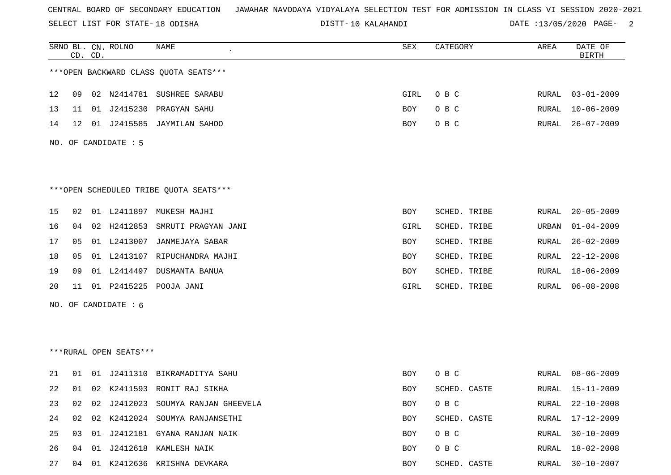SELECT LIST FOR STATE- DISTT- 18 ODISHA

10 KALAHANDI DATE :13/05/2020 PAGE- 2

|    |    | CD. CD. | SRNO BL. CN. ROLNO     | <b>NAME</b>                            | SEX         | CATEGORY     | AREA  | DATE OF<br><b>BIRTH</b> |
|----|----|---------|------------------------|----------------------------------------|-------------|--------------|-------|-------------------------|
|    |    |         |                        | *** OPEN BACKWARD CLASS QUOTA SEATS*** |             |              |       |                         |
| 12 | 09 |         |                        | 02 N2414781 SUSHREE SARABU             | <b>GIRL</b> | O B C        | RURAL | $03 - 01 - 2009$        |
| 13 | 11 |         | 01 J2415230            | PRAGYAN SAHU                           | BOY         | O B C        | RURAL | $10 - 06 - 2009$        |
| 14 | 12 |         |                        | 01 J2415585 JAYMILAN SAHOO             | BOY         | O B C        | RURAL | $26 - 07 - 2009$        |
|    |    |         | NO. OF CANDIDATE : 5   |                                        |             |              |       |                         |
|    |    |         |                        |                                        |             |              |       |                         |
|    |    |         |                        | ***OPEN SCHEDULED TRIBE QUOTA SEATS*** |             |              |       |                         |
| 15 | 02 |         |                        | 01 L2411897 MUKESH MAJHI               | BOY         | SCHED. TRIBE | RURAL | $20 - 05 - 2009$        |
| 16 | 04 |         |                        | 02 H2412853 SMRUTI PRAGYAN JANI        | GIRL        | SCHED. TRIBE | URBAN | $01 - 04 - 2009$        |
| 17 | 05 |         | 01 L2413007            | JANMEJAYA SABAR                        | BOY         | SCHED. TRIBE | RURAL | $26 - 02 - 2009$        |
| 18 | 05 |         |                        | 01 L2413107 RIPUCHANDRA MAJHI          | BOY         | SCHED. TRIBE | RURAL | $22 - 12 - 2008$        |
| 19 | 09 |         |                        | 01 L2414497 DUSMANTA BANUA             | <b>BOY</b>  | SCHED. TRIBE | RURAL | $18 - 06 - 2009$        |
| 20 | 11 |         | 01 P2415225            | POOJA JANI                             | GIRL        | SCHED. TRIBE | RURAL | $06 - 08 - 2008$        |
|    |    |         | NO. OF CANDIDATE : $6$ |                                        |             |              |       |                         |
|    |    |         |                        |                                        |             |              |       |                         |
|    |    |         |                        |                                        |             |              |       |                         |
|    |    |         | ***RURAL OPEN SEATS*** |                                        |             |              |       |                         |
| 21 | 01 |         |                        | 01 J2411310 BIKRAMADITYA SAHU          | BOY         | O B C        | RURAL | $08 - 06 - 2009$        |
| 22 |    |         |                        | 01 02 K2411593 RONIT RAJ SIKHA         | BOY         | SCHED. CASTE | RURAL | $15 - 11 - 2009$        |
| 23 | 02 | 02      |                        | J2412023 SOUMYA RANJAN GHEEVELA        | <b>BOY</b>  | O B C        | RURAL | $22 - 10 - 2008$        |
| 24 |    |         |                        | 02 02 K2412024 SOUMYA RANJANSETHI      | BOY         | SCHED. CASTE | RURAL | $17 - 12 - 2009$        |
| 25 | 03 |         |                        | 01 J2412181 GYANA RANJAN NAIK          | BOY         | O B C        | RURAL | $30 - 10 - 2009$        |
| 26 | 04 |         |                        | 01 J2412618 KAMLESH NAIK               | BOY         | $O$ B $C$    | RURAL | $18 - 02 - 2008$        |
| 27 | 04 |         |                        | 01 K2412636 KRISHNA DEVKARA            | BOY         | SCHED. CASTE | RURAL | $30 - 10 - 2007$        |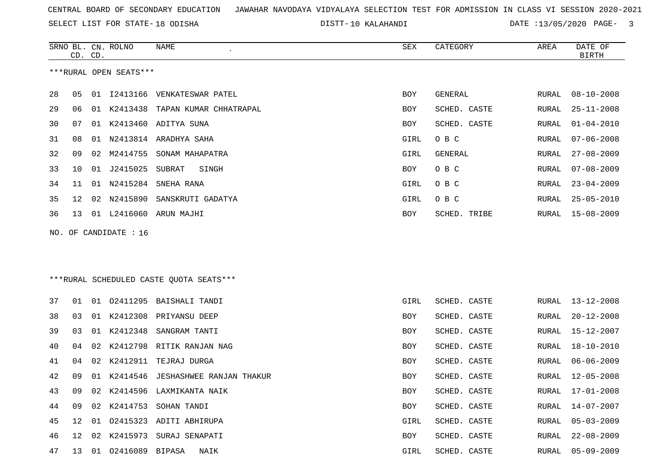SELECT LIST FOR STATE- DISTT- 18 ODISHA

10 KALAHANDI DATE :13/05/2020 PAGE- 3

|    | CD. CD. |    | SRNO BL. CN. ROLNO     | NAME                                    | SEX        | CATEGORY     | AREA         | DATE OF<br><b>BIRTH</b> |
|----|---------|----|------------------------|-----------------------------------------|------------|--------------|--------------|-------------------------|
|    |         |    | ***RURAL OPEN SEATS*** |                                         |            |              |              |                         |
| 28 | 05      |    | 01 12413166            | VENKATESWAR PATEL                       | BOY        | GENERAL      | RURAL        | $08 - 10 - 2008$        |
| 29 | 06      | 01 | K2413438               | TAPAN KUMAR CHHATRAPAL                  | <b>BOY</b> | SCHED. CASTE | <b>RURAL</b> | $25 - 11 - 2008$        |
| 30 | 07      |    |                        | 01 K2413460 ADITYA SUNA                 | <b>BOY</b> | SCHED. CASTE | <b>RURAL</b> | $01 - 04 - 2010$        |
| 31 | 08      | 01 |                        | N2413814 ARADHYA SAHA                   | GIRL       | O B C        | RURAL        | $07 - 06 - 2008$        |
| 32 | 09      | 02 | M2414755               | SONAM MAHAPATRA                         | GIRL       | GENERAL      | RURAL        | $27 - 08 - 2009$        |
| 33 | 10      | 01 | J2415025               | SUBRAT<br>SINGH                         | <b>BOY</b> | O B C        | RURAL        | $07 - 08 - 2009$        |
| 34 | 11      | 01 | N2415284               | SNEHA RANA                              | GIRL       | O B C        | RURAL        | $23 - 04 - 2009$        |
| 35 | 12      | 02 | N2415890               | SANSKRUTI GADATYA                       | GIRL       | O B C        | RURAL        | $25 - 05 - 2010$        |
| 36 | 13      |    |                        | 01 L2416060 ARUN MAJHI                  | BOY        | SCHED. TRIBE | RURAL        | $15 - 08 - 2009$        |
|    |         |    | NO. OF CANDIDATE : 16  |                                         |            |              |              |                         |
|    |         |    |                        |                                         |            |              |              |                         |
|    |         |    |                        | ***RURAL SCHEDULED CASTE OUOTA SEATS*** |            |              |              |                         |
| 37 | 01      | 01 | 02411295               | BAISHALI TANDI                          | GIRL       | SCHED. CASTE | RURAL        | $13 - 12 - 2008$        |
| 38 | 03      |    | 01 K2412308            | PRIYANSU DEEP                           | <b>BOY</b> | SCHED. CASTE | RURAL        | $20 - 12 - 2008$        |
| 39 | 03      | 01 | K2412348               | SANGRAM TANTI                           | <b>BOY</b> | SCHED. CASTE | RURAL        | 15-12-2007              |
| 40 | 04      | 02 | K2412798               | RITIK RANJAN NAG                        | <b>BOY</b> | SCHED. CASTE | RURAL        | $18 - 10 - 2010$        |
| 41 | 04      | 02 |                        | K2412911 TEJRAJ DURGA                   | <b>BOY</b> | SCHED. CASTE | RURAL        | $06 - 06 - 2009$        |
| 42 | 09      | 01 | K2414546               | JESHASHWEE RANJAN THAKUR                | BOY        | SCHED. CASTE | RURAL        | $12 - 05 - 2008$        |
| 43 | 09      | 02 | K2414596               | LAXMIKANTA NAIK                         | BOY        | SCHED. CASTE | RURAL        | 17-01-2008              |
| 44 | 09      | 02 | K2414753               | SOHAN TANDI                             | BOY        | SCHED. CASTE | RURAL        | 14-07-2007              |
| 45 | 12      | 01 | 02415323               | ADITI ABHIRUPA                          | GIRL       | SCHED. CASTE | RURAL        | $05 - 03 - 2009$        |
| 46 | 12      | 02 | K2415973               | SURAJ SENAPATI                          | <b>BOY</b> | SCHED. CASTE | RURAL        | $22 - 08 - 2009$        |
| 47 | 13      |    | 01 02416089 BIPASA     | NAIK                                    | GIRL       | SCHED. CASTE | RURAL        | $05 - 09 - 2009$        |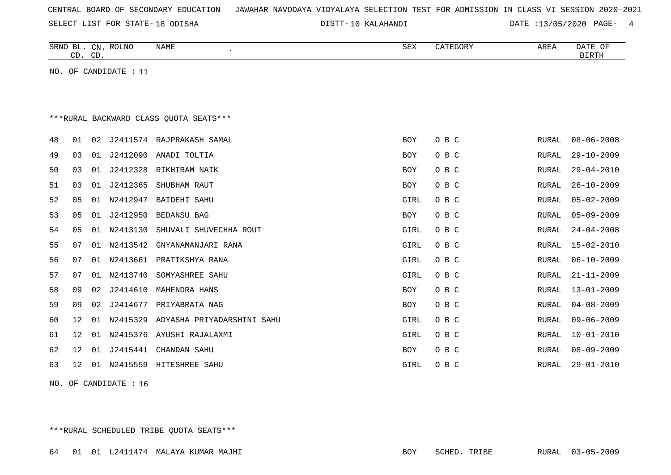SELECT LIST FOR STATE- DISTT- 18 ODISHA

10 KALAHANDI DATE :13/05/2020 PAGE- 4

|    | CD. CD. |    | SRNO BL. CN. ROLNO    | <b>NAME</b>                            | SEX         | CATEGORY | AREA         | DATE OF<br><b>BIRTH</b> |
|----|---------|----|-----------------------|----------------------------------------|-------------|----------|--------------|-------------------------|
|    |         |    | NO. OF CANDIDATE : 11 |                                        |             |          |              |                         |
|    |         |    |                       |                                        |             |          |              |                         |
|    |         |    |                       |                                        |             |          |              |                         |
|    |         |    |                       | ***RURAL BACKWARD CLASS OUOTA SEATS*** |             |          |              |                         |
| 48 | 01      | 02 |                       | J2411574 RAJPRAKASH SAMAL              | <b>BOY</b>  | O B C    | RURAL        | $08 - 06 - 2008$        |
| 49 | 03      | 01 | J2412090              | ANADI TOLTIA                           | <b>BOY</b>  | O B C    | RURAL        | $29 - 10 - 2009$        |
| 50 | 03      | 01 | J2412328              | RIKHIRAM NAIK                          | <b>BOY</b>  | O B C    | <b>RURAL</b> | $29 - 04 - 2010$        |
| 51 | 03      | 01 | J2412365              | SHUBHAM RAUT                           | BOY         | O B C    | RURAL        | $26 - 10 - 2009$        |
| 52 | 05      | 01 | N2412947              | <b>BAIDEHI SAHU</b>                    | GIRL        | O B C    | RURAL        | $05 - 02 - 2009$        |
| 53 | 05      | 01 | J2412950              | <b>BEDANSU BAG</b>                     | <b>BOY</b>  | O B C    | <b>RURAL</b> | $05 - 09 - 2009$        |
| 54 | 05      | 01 | N2413130              | SHUVALI SHUVECHHA ROUT                 | GIRL        | O B C    | RURAL        | $24 - 04 - 2008$        |
| 55 | 07      | 01 | N2413542              | GNYANAMANJARI RANA                     | GIRL        | O B C    | RURAL        | $15 - 02 - 2010$        |
| 56 | 07      | 01 | N2413661              | PRATIKSHYA RANA                        | GIRL        | O B C    | RURAL        | $06 - 10 - 2009$        |
| 57 | 07      | 01 | N2413740              | SOMYASHREE SAHU                        | GIRL        | O B C    | <b>RURAL</b> | $21 - 11 - 2009$        |
| 58 | 09      | 02 | J2414610              | MAHENDRA HANS                          | BOY         | O B C    | RURAL        | $13 - 01 - 2009$        |
| 59 | 09      | 02 | J2414677              | PRIYABRATA NAG                         | BOY         | O B C    | RURAL        | $04 - 08 - 2009$        |
| 60 | 12      | 01 | N2415329              | ADYASHA PRIYADARSHINI SAHU             | GIRL        | O B C    | <b>RURAL</b> | $09 - 06 - 2009$        |
| 61 | 12      | 01 |                       | N2415376 AYUSHI RAJALAXMI              | GIRL        | O B C    | RURAL        | $10 - 01 - 2010$        |
| 62 | 12      | 01 | J2415441              | CHANDAN SAHU                           | <b>BOY</b>  | O B C    | RURAL        | $08 - 09 - 2009$        |
| 63 | 12      | 01 |                       | N2415559 HITESHREE SAHU                | <b>GIRL</b> | O B C    | RURAL        | $29 - 01 - 2010$        |
|    |         |    |                       |                                        |             |          |              |                         |

NO. OF CANDIDATE : 16

\*\*\*RURAL SCHEDULED TRIBE QUOTA SEATS\*\*\*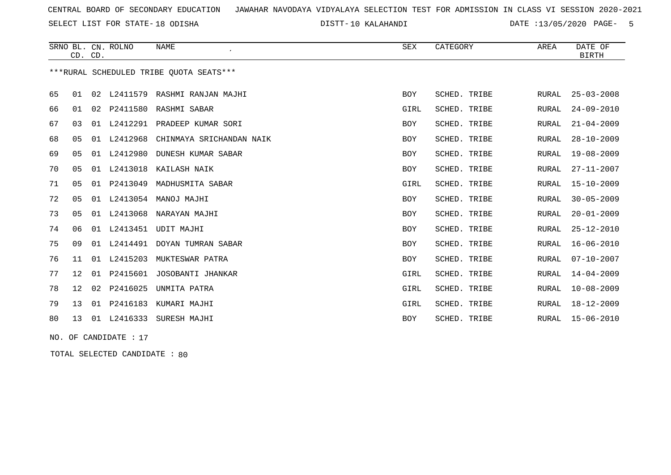SELECT LIST FOR STATE- DISTT- 18 ODISHA

10 KALAHANDI DATE :13/05/2020 PAGE- 5

|    |                 | CD. CD. | SRNO BL. CN. ROLNO    | <b>NAME</b><br>$\epsilon$               | SEX        | CATEGORY     | AREA         | DATE OF<br><b>BIRTH</b> |
|----|-----------------|---------|-----------------------|-----------------------------------------|------------|--------------|--------------|-------------------------|
|    |                 |         |                       | ***RURAL SCHEDULED TRIBE QUOTA SEATS*** |            |              |              |                         |
| 65 | 01              |         |                       | 02 L2411579 RASHMI RANJAN MAJHI         | <b>BOY</b> | SCHED. TRIBE | RURAL        | $25 - 03 - 2008$        |
| 66 | 01              |         |                       | 02 P2411580 RASHMI SABAR                | GIRL       | SCHED. TRIBE | RURAL        | $24 - 09 - 2010$        |
| 67 | 03              |         |                       | 01 L2412291 PRADEEP KUMAR SORI          | BOY        | SCHED. TRIBE | RURAL        | $21 - 04 - 2009$        |
| 68 | 05              | 01      | L2412968              | CHINMAYA SRICHANDAN NAIK                | BOY        | SCHED. TRIBE | RURAL        | $28 - 10 - 2009$        |
| 69 | 05              |         | 01 L2412980           | DUNESH KUMAR SABAR                      | <b>BOY</b> | SCHED. TRIBE | <b>RURAL</b> | $19 - 08 - 2009$        |
| 70 | 05              |         | 01 L2413018           | KAILASH NAIK                            | BOY        | SCHED. TRIBE | RURAL        | $27 - 11 - 2007$        |
| 71 | 05              | 01      | P2413049              | MADHUSMITA SABAR                        | GIRL       | SCHED. TRIBE | RURAL        | $15 - 10 - 2009$        |
| 72 | 05              |         |                       | 01 L2413054 MANOJ MAJHI                 | <b>BOY</b> | SCHED. TRIBE | RURAL        | $30 - 05 - 2009$        |
| 73 | 05              |         |                       | 01 L2413068 NARAYAN MAJHI               | <b>BOY</b> | SCHED. TRIBE | RURAL        | $20 - 01 - 2009$        |
| 74 | 06              |         | 01 L2413451           | UDIT MAJHI                              | BOY        | SCHED. TRIBE | RURAL        | $25 - 12 - 2010$        |
| 75 | 09              | 01      | L2414491              | DOYAN TUMRAN SABAR                      | <b>BOY</b> | SCHED. TRIBE | RURAL        | $16 - 06 - 2010$        |
| 76 | 11              |         | 01 L2415203           | MUKTESWAR PATRA                         | <b>BOY</b> | SCHED. TRIBE | <b>RURAL</b> | $07 - 10 - 2007$        |
| 77 | 12 <sup>°</sup> | 01      | P2415601              | JOSOBANTI JHANKAR                       | GIRL       | SCHED. TRIBE | RURAL        | $14 - 04 - 2009$        |
| 78 | 12              | 02      | P2416025              | UNMITA PATRA                            | GIRL       | SCHED. TRIBE | RURAL        | $10 - 08 - 2009$        |
| 79 | 13              | 01      | P2416183              | KUMARI MAJHI                            | GIRL       | SCHED. TRIBE | <b>RURAL</b> | $18 - 12 - 2009$        |
| 80 | 13              |         |                       | 01 L2416333 SURESH MAJHI                | BOY        | SCHED. TRIBE | RURAL        | $15 - 06 - 2010$        |
|    |                 |         | NO. OF CANDIDATE : 17 |                                         |            |              |              |                         |

TOTAL SELECTED CANDIDATE : 80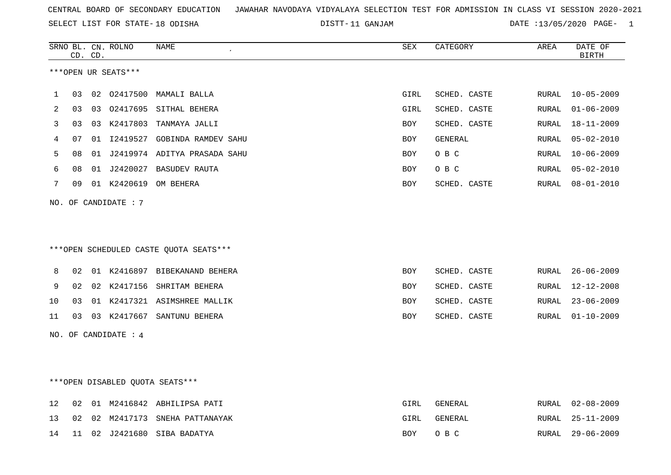11 GANJAM DATE :13/05/2020 PAGE- 1

|    |    | CD. CD. | SRNO BL. CN. ROLNO   | NAME                                   | SEX        | CATEGORY     | AREA         | DATE OF<br><b>BIRTH</b> |
|----|----|---------|----------------------|----------------------------------------|------------|--------------|--------------|-------------------------|
|    |    |         | ***OPEN UR SEATS***  |                                        |            |              |              |                         |
| 1  | 03 |         |                      | 02 02417500 MAMALI BALLA               | GIRL       | SCHED. CASTE | RURAL        | $10 - 05 - 2009$        |
| 2  | 03 | 03      |                      | 02417695 SITHAL BEHERA                 | GIRL       | SCHED. CASTE | RURAL        | $01 - 06 - 2009$        |
| 3  | 03 |         |                      | 03 K2417803 TANMAYA JALLI              | <b>BOY</b> | SCHED. CASTE | RURAL        | $18 - 11 - 2009$        |
| 4  | 07 | 01      |                      | I2419527 GOBINDA RAMDEV SAHU           | BOY        | GENERAL      | RURAL        | $05 - 02 - 2010$        |
| 5  | 08 | 01      |                      | J2419974 ADITYA PRASADA SAHU           | BOY        | O B C        | RURAL        | $10 - 06 - 2009$        |
| 6  | 08 | 01      |                      | J2420027 BASUDEV RAUTA                 | BOY        | O B C        | RURAL        | $05 - 02 - 2010$        |
| 7  | 09 |         |                      | 01 K2420619 OM BEHERA                  | BOY        | SCHED. CASTE | RURAL        | $08 - 01 - 2010$        |
|    |    |         | NO. OF CANDIDATE: 7  |                                        |            |              |              |                         |
|    |    |         |                      |                                        |            |              |              |                         |
|    |    |         |                      | ***OPEN SCHEDULED CASTE QUOTA SEATS*** |            |              |              |                         |
| 8  | 02 |         |                      | 01 K2416897 BIBEKANAND BEHERA          | <b>BOY</b> | SCHED. CASTE | RURAL        | $26 - 06 - 2009$        |
| 9  | 02 | 02      | K2417156             | SHRITAM BEHERA                         | BOY        | SCHED. CASTE | RURAL        | 12-12-2008              |
| 10 | 03 |         |                      | 01 K2417321 ASIMSHREE MALLIK           | BOY        | SCHED. CASTE | RURAL        | $23 - 06 - 2009$        |
| 11 | 03 | 03      |                      | K2417667 SANTUNU BEHERA                | BOY        | SCHED. CASTE | RURAL        | $01 - 10 - 2009$        |
|    |    |         | NO. OF CANDIDATE : 4 |                                        |            |              |              |                         |
|    |    |         |                      |                                        |            |              |              |                         |
|    |    |         |                      |                                        |            |              |              |                         |
|    |    |         |                      | ***OPEN DISABLED QUOTA SEATS***        |            |              |              |                         |
| 12 | 02 |         |                      | 01 M2416842 ABHILIPSA PATI             | GIRL       | GENERAL      | RURAL        | $02 - 08 - 2009$        |
| 13 | 02 | 02      |                      | M2417173 SNEHA PATTANAYAK              | GIRL       | GENERAL      | <b>RURAL</b> | $25 - 11 - 2009$        |
| 14 | 11 |         |                      | 02 J2421680 SIBA BADATYA               | BOY        | O B C        | RURAL        | $29 - 06 - 2009$        |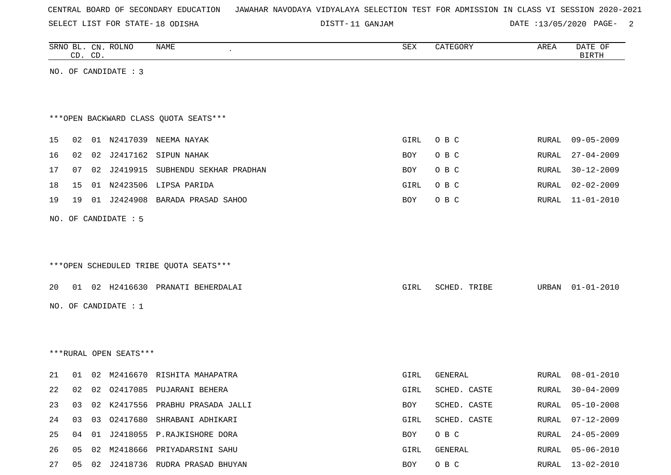SELECT LIST FOR STATE- DISTT- 18 ODISHA

DISTT-11 GANJAM  $\overline{D}$  DATE :13/05/2020 PAGE- 2

|    |    | CD. CD. | SRNO BL. CN. ROLNO     | <b>NAME</b>                            | SEX  | CATEGORY       | AREA  | DATE OF<br><b>BIRTH</b> |
|----|----|---------|------------------------|----------------------------------------|------|----------------|-------|-------------------------|
|    |    |         | NO. OF CANDIDATE : 3   |                                        |      |                |       |                         |
|    |    |         |                        |                                        |      |                |       |                         |
|    |    |         |                        | *** OPEN BACKWARD CLASS QUOTA SEATS*** |      |                |       |                         |
| 15 | 02 |         |                        | 01 N2417039 NEEMA NAYAK                | GIRL | O B C          | RURAL | $09 - 05 - 2009$        |
| 16 | 02 |         |                        | 02 J2417162 SIPUN NAHAK                | BOY  | O B C          | RURAL | $27 - 04 - 2009$        |
| 17 | 07 |         |                        | 02 J2419915 SUBHENDU SEKHAR PRADHAN    | BOY. | O B C          | RURAL | $30 - 12 - 2009$        |
| 18 | 15 |         |                        | 01 N2423506 LIPSA PARIDA               | GIRL | O B C          | RURAL | $02 - 02 - 2009$        |
| 19 | 19 |         |                        | 01 J2424908 BARADA PRASAD SAHOO        | BOY  | O B C          | RURAL | $11 - 01 - 2010$        |
|    |    |         | NO. OF CANDIDATE : 5   |                                        |      |                |       |                         |
|    |    |         |                        |                                        |      |                |       |                         |
|    |    |         |                        |                                        |      |                |       |                         |
|    |    |         |                        | ***OPEN SCHEDULED TRIBE QUOTA SEATS*** |      |                |       |                         |
| 20 |    |         |                        | 01 02 H2416630 PRANATI BEHERDALAI      | GIRL | SCHED. TRIBE   |       | URBAN 01-01-2010        |
|    |    |         | NO. OF CANDIDATE : $1$ |                                        |      |                |       |                         |
|    |    |         |                        |                                        |      |                |       |                         |
|    |    |         |                        |                                        |      |                |       |                         |
|    |    |         | ***RURAL OPEN SEATS*** |                                        |      |                |       |                         |
| 21 | 01 |         |                        | 02 M2416670 RISHITA MAHAPATRA          | GIRL | <b>GENERAL</b> | RURAL | $08 - 01 - 2010$        |
| 22 | 02 | 02      |                        | 02417085 PUJARANI BEHERA               | GIRL | SCHED. CASTE   | RURAL | $30 - 04 - 2009$        |
| 23 | 03 |         |                        | 02 K2417556 PRABHU PRASADA JALLI       | BOY  | SCHED. CASTE   | RURAL | $05 - 10 - 2008$        |
| 24 | 03 |         |                        | 03 02417680 SHRABANI ADHIKARI          | GIRL | SCHED. CASTE   | RURAL | $07 - 12 - 2009$        |
| 25 | 04 | 01      |                        | J2418055 P.RAJKISHORE DORA             | BOY  | O B C          | RURAL | $24 - 05 - 2009$        |
| 26 |    |         |                        | 05 02 M2418666 PRIYADARSINI SAHU       | GIRL | GENERAL        | RURAL | $05 - 06 - 2010$        |

27 05 02 J2418736 RUDRA PRASAD BHUYAN BOY O B C RURAL 13-02-2010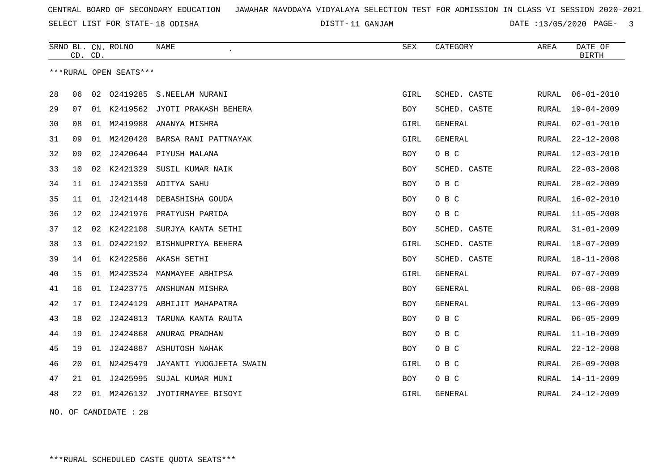SELECT LIST FOR STATE- DISTT- 18 ODISHA

DISTT-11 GANJAM  $\overline{DATE}$  :13/05/2020 PAGE- 3

|    | CD. CD. |    | SRNO BL. CN. ROLNO     | NAME                          | <b>SEX</b> | CATEGORY       | AREA         | DATE OF<br><b>BIRTH</b> |
|----|---------|----|------------------------|-------------------------------|------------|----------------|--------------|-------------------------|
|    |         |    | ***RURAL OPEN SEATS*** |                               |            |                |              |                         |
| 28 | 06      | 02 | 02419285               | S.NEELAM NURANI               | GIRL       | SCHED. CASTE   | RURAL        | $06 - 01 - 2010$        |
| 29 | 07      | 01 |                        | K2419562 JYOTI PRAKASH BEHERA | BOY        | SCHED. CASTE   | RURAL        | $19 - 04 - 2009$        |
| 30 | 08      | 01 | M2419988               | ANANYA MISHRA                 | GIRL       | GENERAL        | RURAL        | $02 - 01 - 2010$        |
| 31 | 09      | 01 | M2420420               | BARSA RANI PATTNAYAK          | GIRL       | <b>GENERAL</b> | RURAL        | $22 - 12 - 2008$        |
| 32 | 09      | 02 |                        | J2420644 PIYUSH MALANA        | <b>BOY</b> | O B C          | RURAL        | $12 - 03 - 2010$        |
| 33 | 10      | 02 | K2421329               | SUSIL KUMAR NAIK              | BOY        | SCHED. CASTE   | RURAL        | $22 - 03 - 2008$        |
| 34 | 11      | 01 |                        | J2421359 ADITYA SAHU          | <b>BOY</b> | O B C          | RURAL        | $28 - 02 - 2009$        |
| 35 | 11      | 01 | J2421448               | DEBASHISHA GOUDA              | BOY        | O B C          | RURAL        | $16 - 02 - 2010$        |
| 36 | 12      | 02 | J2421976               | PRATYUSH PARIDA               | BOY        | O B C          | RURAL        | $11 - 05 - 2008$        |
| 37 | 12      | 02 | K2422108               | SURJYA KANTA SETHI            | BOY        | SCHED. CASTE   | RURAL        | $31 - 01 - 2009$        |
| 38 | 13      | 01 |                        | 02422192 BISHNUPRIYA BEHERA   | GIRL       | SCHED. CASTE   | RURAL        | $18 - 07 - 2009$        |
| 39 | 14      | 01 |                        | K2422586 AKASH SETHI          | BOY        | SCHED. CASTE   | RURAL        | $18 - 11 - 2008$        |
| 40 | 15      | 01 | M2423524               | MANMAYEE ABHIPSA              | GIRL       | <b>GENERAL</b> | RURAL        | $07 - 07 - 2009$        |
| 41 | 16      | 01 |                        | I2423775 ANSHUMAN MISHRA      | BOY        | <b>GENERAL</b> | RURAL        | $06 - 08 - 2008$        |
| 42 | 17      | 01 | I2424129               | ABHIJIT MAHAPATRA             | <b>BOY</b> | <b>GENERAL</b> | <b>RURAL</b> | $13 - 06 - 2009$        |
| 43 | 18      | 02 | J2424813               | TARUNA KANTA RAUTA            | BOY        | O B C          | RURAL        | $06 - 05 - 2009$        |
| 44 | 19      | 01 | J2424868               | ANURAG PRADHAN                | <b>BOY</b> | O B C          | RURAL        | $11 - 10 - 2009$        |
| 45 | 19      | 01 | J2424887               | ASHUTOSH NAHAK                | BOY        | O B C          | RURAL        | $22 - 12 - 2008$        |
| 46 | 20      |    | 01 N2425479            | JAYANTI YUOGJEETA SWAIN       | GIRL       | O B C          | RURAL        | $26 - 09 - 2008$        |
| 47 | 21      | 01 | J2425995               | SUJAL KUMAR MUNI              | BOY        | O B C          | RURAL        | $14 - 11 - 2009$        |
| 48 | 22      | 01 |                        | M2426132 JYOTIRMAYEE BISOYI   | GIRL       | GENERAL        | RURAL        | $24 - 12 - 2009$        |

NO. OF CANDIDATE : 28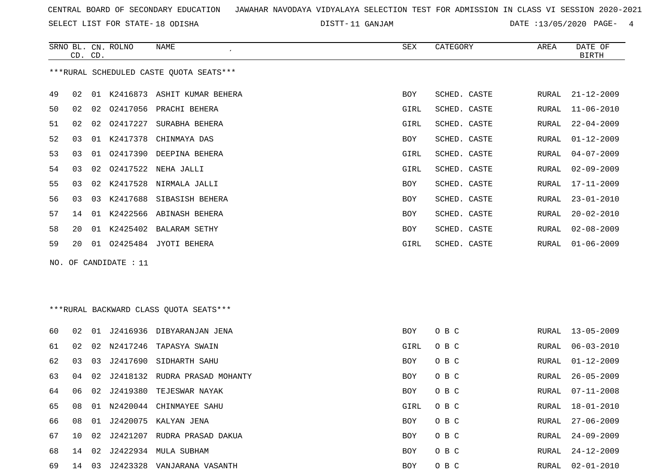SELECT LIST FOR STATE- DISTT- 18 ODISHA

DISTT-11 GANJAM  $\overline{D}$  DATE :13/05/2020 PAGE- 4

|    | CD. CD. |    | SRNO BL. CN. ROLNO    | NAME                                    | SEX        | CATEGORY     | AREA  | DATE OF<br><b>BIRTH</b> |
|----|---------|----|-----------------------|-----------------------------------------|------------|--------------|-------|-------------------------|
|    |         |    |                       | ***RURAL SCHEDULED CASTE QUOTA SEATS*** |            |              |       |                         |
| 49 | 02      |    |                       | 01 K2416873 ASHIT KUMAR BEHERA          | BOY        | SCHED. CASTE | RURAL | $21 - 12 - 2009$        |
| 50 | 02      |    |                       | 02 02417056 PRACHI BEHERA               | GIRL       | SCHED. CASTE | RURAL | $11 - 06 - 2010$        |
| 51 | 02      | 02 | 02417227              | SURABHA BEHERA                          | GIRL       | SCHED. CASTE | RURAL | $22 - 04 - 2009$        |
| 52 | 03      |    | 01 K2417378           | CHINMAYA DAS                            | BOY        | SCHED. CASTE | RURAL | $01 - 12 - 2009$        |
| 53 | 03      |    |                       | 01 02417390 DEEPINA BEHERA              | GIRL       | SCHED. CASTE | RURAL | $04 - 07 - 2009$        |
| 54 | 03      | 02 |                       | 02417522 NEHA JALLI                     | GIRL       | SCHED. CASTE | RURAL | $02 - 09 - 2009$        |
| 55 | 03      |    |                       | 02 K2417528 NIRMALA JALLI               | BOY        | SCHED. CASTE | RURAL | $17 - 11 - 2009$        |
| 56 | 03      | 03 | K2417688              | SIBASISH BEHERA                         | BOY        | SCHED. CASTE | RURAL | $23 - 01 - 2010$        |
| 57 | 14      |    |                       | 01 K2422566 ABINASH BEHERA              | BOY        | SCHED. CASTE | RURAL | $20 - 02 - 2010$        |
| 58 | 20      |    |                       | 01 K2425402 BALARAM SETHY               | BOY        | SCHED. CASTE | RURAL | $02 - 08 - 2009$        |
| 59 | 20      |    |                       | 01 02425484 JYOTI BEHERA                | GIRL       | SCHED. CASTE | RURAL | $01 - 06 - 2009$        |
|    |         |    | NO. OF CANDIDATE : 11 |                                         |            |              |       |                         |
|    |         |    |                       |                                         |            |              |       |                         |
|    |         |    |                       | *** RURAL BACKWARD CLASS QUOTA SEATS*** |            |              |       |                         |
| 60 | 02      |    |                       | 01 J2416936 DIBYARANJAN JENA            | <b>BOY</b> | O B C        | RURAL | $13 - 05 - 2009$        |
| 61 | 02      | 02 |                       | N2417246 TAPASYA SWAIN                  | GIRL       | O B C        | RURAL | $06 - 03 - 2010$        |
| 62 | 03      | 03 |                       | J2417690 SIDHARTH SAHU                  | <b>BOY</b> | O B C        | RURAL | $01 - 12 - 2009$        |
| 63 | 04      | 02 |                       | J2418132 RUDRA PRASAD MOHANTY           | BOY        | O B C        | RURAL | $26 - 05 - 2009$        |
| 64 | 06      |    |                       | 02 J2419380 TEJESWAR NAYAK              | BOY        | O B C        | RURAL | $07 - 11 - 2008$        |
| 65 | 08      |    |                       | 01 N2420044 CHINMAYEE SAHU              | GIRL       | O B C        | RURAL | $18 - 01 - 2010$        |
| 66 | 08      |    |                       | 01 J2420075 KALYAN JENA                 | BOY        | O B C        | RURAL | $27 - 06 - 2009$        |
| 67 | 10      |    |                       | 02 J2421207 RUDRA PRASAD DAKUA          | BOY        | O B C        | RURAL | $24 - 09 - 2009$        |
| 68 |         |    |                       | 14 02 J2422934 MULA SUBHAM              | BOY        | O B C        | RURAL | $24 - 12 - 2009$        |
| 69 |         |    |                       | 14 03 J2423328 VANJARANA VASANTH        | BOY        | O B C        |       | RURAL 02-01-2010        |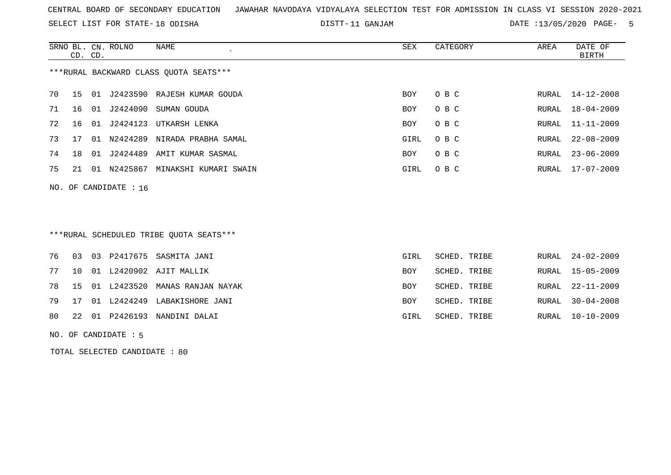SELECT LIST FOR STATE- DISTT- 18 ODISHA

11 GANJAM DATE :13/05/2020 PAGE- 5

|    | CD. CD. |     | SRNO BL. CN. ROLNO | NAME                                   | SEX        | CATEGORY | AREA  | DATE OF<br>BIRTH |
|----|---------|-----|--------------------|----------------------------------------|------------|----------|-------|------------------|
|    |         |     |                    | ***RURAL BACKWARD CLASS OUOTA SEATS*** |            |          |       |                  |
| 70 | 15 01   |     | J2423590           | RAJESH KUMAR GOUDA                     | <b>BOY</b> | O B C    |       | RURAL 14-12-2008 |
| 71 | 16      | -01 | J2424090           | SUMAN GOUDA                            | <b>BOY</b> | O B C    |       | RURAL 18-04-2009 |
| 72 | 16      | 01  | J2424123           | UTKARSH LENKA                          | <b>BOY</b> | O B C    |       | RURAL 11-11-2009 |
| 73 | 17      | O 1 | N2424289           | NIRADA PRABHA SAMAL                    | GIRL       | O B C    |       | RURAL 22-08-2009 |
| 74 | 18      | 01  | J2424489           | AMIT KUMAR SASMAL                      | <b>BOY</b> | O B C    | RURAL | $23 - 06 - 2009$ |
| 75 | 21      | 01  | N2425867           | MINAKSHI KUMARI SWAIN                  | GIRL       | O B C    |       | RURAL 17-07-2009 |
|    |         |     |                    |                                        |            |          |       |                  |

\*\*\*RURAL SCHEDULED TRIBE QUOTA SEATS\*\*\*

|  |  | 76 03 03 P2417675 SASMITA JANI       | GIRL       | SCHED. TRIBE |  | RURAL 24-02-2009 |
|--|--|--------------------------------------|------------|--------------|--|------------------|
|  |  | 77 10 01 L2420902 AJIT MALLIK        | BOY        | SCHED. TRIBE |  | RURAL 15-05-2009 |
|  |  | 78 15 01 L2423520 MANAS RANJAN NAYAK | <b>BOY</b> | SCHED. TRIBE |  | RURAL 22-11-2009 |
|  |  | 79 17 01 L2424249 LABAKISHORE JANI   | <b>BOY</b> | SCHED. TRIBE |  | RURAL 30-04-2008 |
|  |  | 80 22 01 P2426193 NANDINI DALAI      | GIRL       | SCHED. TRIBE |  | RURAL 10-10-2009 |
|  |  |                                      |            |              |  |                  |

NO. OF CANDIDATE : 5

NO. OF CANDIDATE : 16

TOTAL SELECTED CANDIDATE : 80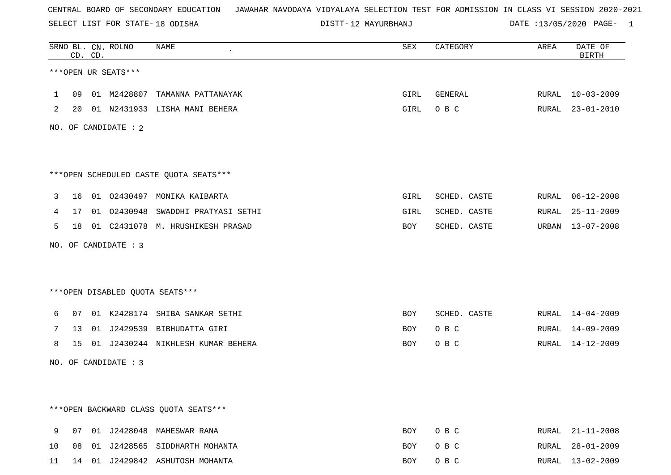SELECT LIST FOR STATE- DISTT- 18 ODISHA

12 MAYURBHANJ DATE :13/05/2020 PAGE- 1

|                |    | CD. CD. | SRNO BL. CN. ROLNO   | <b>NAME</b>                             | SEX        | CATEGORY     | AREA  | DATE OF<br><b>BIRTH</b> |
|----------------|----|---------|----------------------|-----------------------------------------|------------|--------------|-------|-------------------------|
|                |    |         | ***OPEN UR SEATS***  |                                         |            |              |       |                         |
| $\mathbf{1}$   | 09 |         |                      | 01 M2428807 TAMANNA PATTANAYAK          | GIRL       | GENERAL      |       | RURAL 10-03-2009        |
| $\overline{2}$ |    |         |                      | 20 01 N2431933 LISHA MANI BEHERA        | GIRL       | O B C        |       | RURAL 23-01-2010        |
|                |    |         | NO. OF CANDIDATE : 2 |                                         |            |              |       |                         |
|                |    |         |                      |                                         |            |              |       |                         |
|                |    |         |                      | *** OPEN SCHEDULED CASTE QUOTA SEATS*** |            |              |       |                         |
| 3              |    |         |                      | 16 01 02430497 MONIKA KAIBARTA          | GIRL       | SCHED. CASTE | RURAL | $06 - 12 - 2008$        |
| 4              |    |         |                      | 17 01 02430948 SWADDHI PRATYASI SETHI   | GIRL       | SCHED. CASTE | RURAL | $25 - 11 - 2009$        |
| 5              | 18 |         |                      | 01 C2431078 M. HRUSHIKESH PRASAD        | BOY        | SCHED. CASTE | URBAN | 13-07-2008              |
|                |    |         | NO. OF CANDIDATE : 3 |                                         |            |              |       |                         |
|                |    |         |                      |                                         |            |              |       |                         |
|                |    |         |                      | ***OPEN DISABLED QUOTA SEATS***         |            |              |       |                         |
| 6              |    |         |                      | 07 01 K2428174 SHIBA SANKAR SETHI       | BOY        | SCHED. CASTE |       | RURAL 14-04-2009        |
| 7              | 13 |         |                      | 01 J2429539 BIBHUDATTA GIRI             | BOY        | O B C        | RURAL | 14-09-2009              |
| 8              |    |         |                      | 15 01 J2430244 NIKHLESH KUMAR BEHERA    | BOY        | O B C        |       | RURAL 14-12-2009        |
|                |    |         | NO. OF CANDIDATE : 3 |                                         |            |              |       |                         |
|                |    |         |                      |                                         |            |              |       |                         |
|                |    |         |                      | *** OPEN BACKWARD CLASS QUOTA SEATS***  |            |              |       |                         |
|                |    |         |                      |                                         |            |              |       |                         |
| 9              |    |         |                      | 07 01 J2428048 MAHESWAR RANA            | <b>BOY</b> | O B C        |       | RURAL 21-11-2008        |
| 10             |    |         |                      | 08 01 J2428565 SIDDHARTH MOHANTA        | BOY        | O B C        |       | RURAL 28-01-2009        |

11 14 01 J2429842 ASHUTOSH MOHANTA BOY O B C RURAL 13-02-2009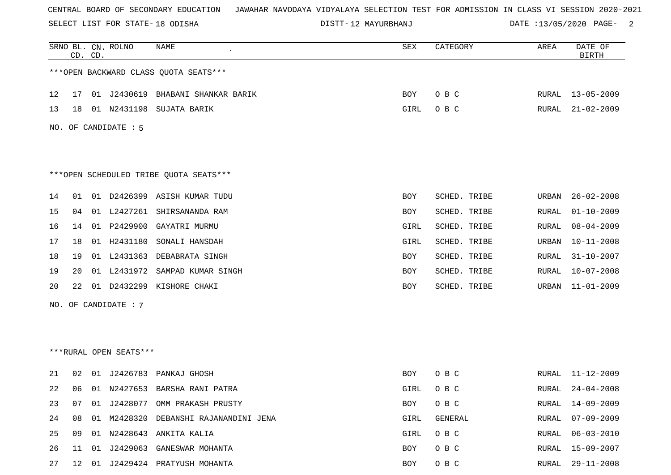SELECT LIST FOR STATE- DISTT- 18 ODISHA

12 MAYURBHANJ DATE :13/05/2020 PAGE- 2

|    |    | CD. CD. | SRNO BL. CN. ROLNO     | NAME                                   | SEX        | CATEGORY     | AREA         | DATE OF<br><b>BIRTH</b> |
|----|----|---------|------------------------|----------------------------------------|------------|--------------|--------------|-------------------------|
|    |    |         |                        | *** OPEN BACKWARD CLASS QUOTA SEATS*** |            |              |              |                         |
| 12 | 17 |         |                        | 01 J2430619 BHABANI SHANKAR BARIK      | BOY        | O B C        | RURAL        | $13 - 05 - 2009$        |
| 13 | 18 |         | 01 N2431198            | SUJATA BARIK                           | GIRL       | O B C        | RURAL        | $21 - 02 - 2009$        |
|    |    |         | NO. OF CANDIDATE : 5   |                                        |            |              |              |                         |
|    |    |         |                        | ***OPEN SCHEDULED TRIBE QUOTA SEATS*** |            |              |              |                         |
| 14 | 01 |         |                        | 01 D2426399 ASISH KUMAR TUDU           | BOY        | SCHED. TRIBE | URBAN        | $26 - 02 - 2008$        |
| 15 | 04 | 01      | L2427261               | SHIRSANANDA RAM                        | BOY        | SCHED. TRIBE | RURAL        | $01 - 10 - 2009$        |
| 16 | 14 |         | 01 P2429900            | GAYATRI MURMU                          | GIRL       | SCHED. TRIBE | RURAL        | $08 - 04 - 2009$        |
| 17 | 18 |         | 01 H2431180            | SONALI HANSDAH                         | GIRL       | SCHED. TRIBE | URBAN        | $10 - 11 - 2008$        |
| 18 | 19 |         | 01 L2431363            | DEBABRATA SINGH                        | BOY        | SCHED. TRIBE | RURAL        | $31 - 10 - 2007$        |
| 19 | 20 |         | 01 L2431972            | SAMPAD KUMAR SINGH                     | BOY        | SCHED. TRIBE | RURAL        | $10 - 07 - 2008$        |
| 20 | 22 | 01      | D2432299               | KISHORE CHAKI                          | <b>BOY</b> | SCHED. TRIBE | URBAN        | $11 - 01 - 2009$        |
|    |    |         | NO. OF CANDIDATE : 7   |                                        |            |              |              |                         |
|    |    |         |                        |                                        |            |              |              |                         |
|    |    |         |                        |                                        |            |              |              |                         |
|    |    |         | ***RURAL OPEN SEATS*** |                                        |            |              |              |                         |
| 21 | 02 | 01      |                        | J2426783 PANKAJ GHOSH                  | BOY        | O B C        | RURAL        | 11-12-2009              |
| 22 | 06 |         |                        | 01 N2427653 BARSHA RANI PATRA          | GIRL       | O B C        | RURAL        | $24 - 04 - 2008$        |
| 23 | 07 |         |                        | 01 J2428077 OMM PRAKASH PRUSTY         | <b>BOY</b> | O B C        | RURAL        | 14-09-2009              |
| 24 | 08 |         | 01 M2428320            | DEBANSHI RAJANANDINI JENA              | GIRL       | GENERAL      | <b>RURAL</b> | $07 - 09 - 2009$        |
| 25 | 09 |         |                        | 01 N2428643 ANKITA KALIA               | GIRL       | O B C        | RURAL        | $06 - 03 - 2010$        |
| 26 | 11 | 01      | J2429063               | GANESWAR MOHANTA                       | BOY        | O B C        | RURAL        | $15 - 09 - 2007$        |
| 27 | 12 | 01      |                        | J2429424 PRATYUSH MOHANTA              | BOY        | O B C        | RURAL        | $29 - 11 - 2008$        |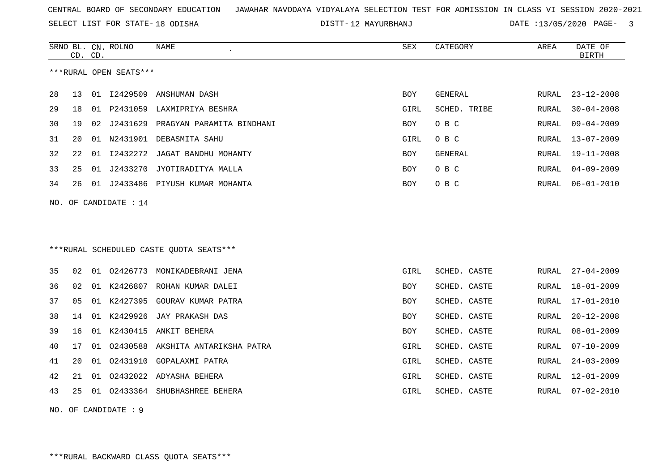SELECT LIST FOR STATE- DISTT- 18 ODISHA

DISTT-12 MAYURBHANJ DATE :13/05/2020 PAGE- 3

|    | CD. CD. |    | SRNO BL. CN. ROLNO      | NAME<br>$\epsilon$                      | SEX        | CATEGORY     | AREA  | DATE OF<br><b>BIRTH</b> |
|----|---------|----|-------------------------|-----------------------------------------|------------|--------------|-------|-------------------------|
|    |         |    | ***RURAL OPEN SEATS***  |                                         |            |              |       |                         |
| 28 | 13      |    | 01 I2429509             | ANSHUMAN DASH                           | <b>BOY</b> | GENERAL      | RURAL | $23 - 12 - 2008$        |
| 29 | 18      | 01 |                         | P2431059 LAXMIPRIYA BESHRA              | GIRL       | SCHED. TRIBE | RURAL | $30 - 04 - 2008$        |
| 30 | 19      | 02 | J2431629                | PRAGYAN PARAMITA BINDHANI               | BOY        | O B C        | RURAL | $09 - 04 - 2009$        |
| 31 | 20      | 01 |                         | N2431901 DEBASMITA SAHU                 | GIRL       | O B C        | RURAL | $13 - 07 - 2009$        |
| 32 | 22      | 01 | I2432272                | JAGAT BANDHU MOHANTY                    | <b>BOY</b> | GENERAL      | RURAL | $19 - 11 - 2008$        |
| 33 | 25      | 01 |                         | J2433270 JYOTIRADITYA MALLA             | <b>BOY</b> | O B C        | RURAL | $04 - 09 - 2009$        |
| 34 | 26      |    |                         | 01 J2433486 PIYUSH KUMAR MOHANTA        | <b>BOY</b> | O B C        | RURAL | $06 - 01 - 2010$        |
|    |         |    | NO. OF CANDIDATE : $14$ |                                         |            |              |       |                         |
|    |         |    |                         |                                         |            |              |       |                         |
|    |         |    |                         | ***RURAL SCHEDULED CASTE OUOTA SEATS*** |            |              |       |                         |
| 35 | 02      |    | 01 02426773             | MONIKADEBRANI JENA                      | GIRL       | SCHED. CASTE | RURAL | $27 - 04 - 2009$        |
| 36 | 02      |    |                         | 01 K2426807 ROHAN KUMAR DALEI           | <b>BOY</b> | SCHED. CASTE | RURAL | $18 - 01 - 2009$        |
| 37 | 05      | 01 | K2427395                | GOURAV KUMAR PATRA                      | BOY        | SCHED. CASTE | RURAL | $17 - 01 - 2010$        |
| 38 | 14      | 01 | K2429926                | JAY PRAKASH DAS                         | <b>BOY</b> | SCHED. CASTE | RURAL | $20 - 12 - 2008$        |
| 39 | 16      |    | 01 K2430415             | ANKIT BEHERA                            | <b>BOY</b> | SCHED. CASTE | RURAL | $08 - 01 - 2009$        |
| 40 | 17      | 01 |                         | 02430588 AKSHITA ANTARIKSHA PATRA       | GIRL       | SCHED. CASTE | RURAL | $07 - 10 - 2009$        |
| 41 | 20      | 01 |                         | 02431910 GOPALAXMI PATRA                | GIRL       | SCHED. CASTE | RURAL | $24 - 03 - 2009$        |
| 42 | 21      | 01 |                         | 02432022 ADYASHA BEHERA                 | GIRL       | SCHED. CASTE | RURAL | $12 - 01 - 2009$        |
| 43 | 25      |    |                         | 01 02433364 SHUBHASHREE BEHERA          | GIRL       | SCHED. CASTE | RURAL | $07 - 02 - 2010$        |
|    |         |    | NO. OF CANDIDATE : $9$  |                                         |            |              |       |                         |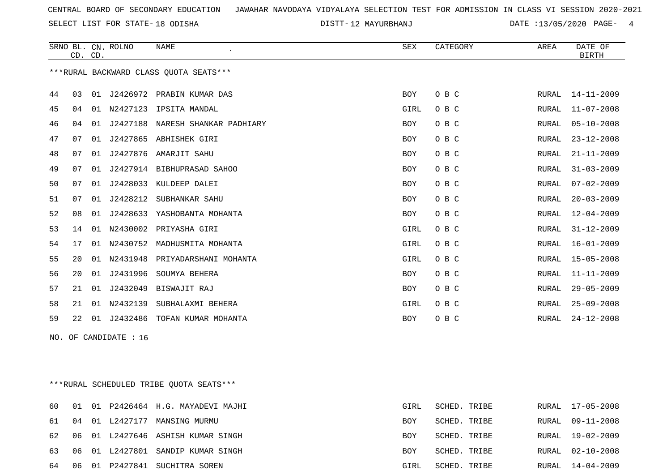SELECT LIST FOR STATE- DISTT- 18 ODISHA

12 MAYURBHANJ DATE :13/05/2020 PAGE- 4

|    |    | CD. CD. | SRNO BL. CN. ROLNO    | NAME                                   | SEX        | CATEGORY | AREA  | DATE OF<br><b>BIRTH</b> |
|----|----|---------|-----------------------|----------------------------------------|------------|----------|-------|-------------------------|
|    |    |         |                       | ***RURAL BACKWARD CLASS QUOTA SEATS*** |            |          |       |                         |
| 44 | 03 |         |                       | 01 J2426972 PRABIN KUMAR DAS           | <b>BOY</b> | O B C    | RURAL | $14 - 11 - 2009$        |
| 45 | 04 |         |                       | 01 N2427123 IPSITA MANDAL              | GIRL       | O B C    | RURAL | $11 - 07 - 2008$        |
| 46 | 04 |         |                       | 01 J2427188 NARESH SHANKAR PADHIARY    | <b>BOY</b> | O B C    | RURAL | $05 - 10 - 2008$        |
| 47 | 07 |         |                       | 01 J2427865 ABHISHEK GIRI              | BOY        | O B C    | RURAL | $23 - 12 - 2008$        |
| 48 | 07 |         |                       | 01 J2427876 AMARJIT SAHU               | BOY        | O B C    | RURAL | $21 - 11 - 2009$        |
| 49 | 07 | 01      |                       | J2427914 BIBHUPRASAD SAHOO             | <b>BOY</b> | O B C    | RURAL | $31 - 03 - 2009$        |
| 50 | 07 |         |                       | 01 J2428033 KULDEEP DALEI              | BOY        | O B C    | RURAL | $07 - 02 - 2009$        |
| 51 | 07 | 01      | J2428212              | SUBHANKAR SAHU                         | BOY        | O B C    | RURAL | $20 - 03 - 2009$        |
| 52 | 08 | 01      | J2428633              | YASHOBANTA MOHANTA                     | BOY        | O B C    | RURAL | $12 - 04 - 2009$        |
| 53 | 14 | 01      |                       | N2430002 PRIYASHA GIRI                 | GIRL       | O B C    | RURAL | $31 - 12 - 2009$        |
| 54 | 17 | 01      |                       | N2430752 MADHUSMITA MOHANTA            | GIRL       | O B C    | RURAL | $16 - 01 - 2009$        |
| 55 | 20 | 01      | N2431948              | PRIYADARSHANI MOHANTA                  | GIRL       | O B C    | RURAL | $15 - 05 - 2008$        |
| 56 | 20 | 01      | J2431996              | SOUMYA BEHERA                          | <b>BOY</b> | O B C    | RURAL | $11 - 11 - 2009$        |
| 57 | 21 |         |                       | 01 J2432049 BISWAJIT RAJ               | <b>BOY</b> | O B C    | RURAL | $29 - 05 - 2009$        |
| 58 | 21 |         | 01 N2432139           | SUBHALAXMI BEHERA                      | GIRL       | O B C    | RURAL | $25 - 09 - 2008$        |
| 59 | 22 |         | 01 J2432486           | TOFAN KUMAR MOHANTA                    | <b>BOY</b> | O B C    | RURAL | $24 - 12 - 2008$        |
|    |    |         | NO. OF CANDIDATE : 16 |                                        |            |          |       |                         |

\*\*\*RURAL SCHEDULED TRIBE QUOTA SEATS\*\*\*

| 60  |  | 01 01 P2426464 H.G. MAYADEVI MAJHI | GIRL       | SCHED. TRIBE | RURAL 17-05-2008 |
|-----|--|------------------------------------|------------|--------------|------------------|
|     |  | 61 04 01 L2427177 MANSING MURMU    | BOY        | SCHED. TRIBE | RURAL 09-11-2008 |
| 62. |  | 06 01 L2427646 ASHISH KUMAR SINGH  | <b>BOY</b> | SCHED. TRIBE | RURAL 19-02-2009 |
| 63  |  | 06 01 L2427801 SANDIP KUMAR SINGH  | <b>BOY</b> | SCHED. TRIBE | RURAL 02-10-2008 |
| 64  |  | 06 01 P2427841 SUCHITRA SOREN      | GIRL       | SCHED. TRIBE | RURAL 14-04-2009 |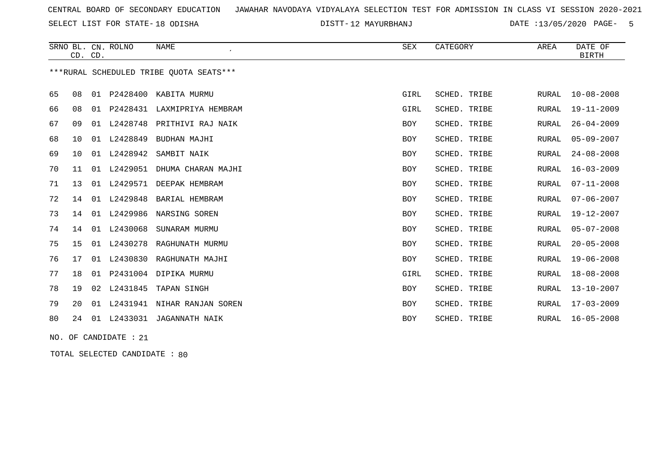SELECT LIST FOR STATE- DISTT- 18 ODISHA

12 MAYURBHANJ DATE :13/05/2020 PAGE- 5

|    |                 | CD. CD. | SRNO BL. CN. ROLNO    | <b>NAME</b><br>$\epsilon$               | SEX        | CATEGORY     | AREA         | DATE OF<br><b>BIRTH</b> |
|----|-----------------|---------|-----------------------|-----------------------------------------|------------|--------------|--------------|-------------------------|
|    |                 |         |                       | ***RURAL SCHEDULED TRIBE OUOTA SEATS*** |            |              |              |                         |
| 65 | 08              |         | 01 P2428400           | KABITA MURMU                            | GIRL       | SCHED. TRIBE | RURAL        | $10 - 08 - 2008$        |
| 66 | 08              |         |                       | 01 P2428431 LAXMIPRIYA HEMBRAM          | GIRL       | SCHED. TRIBE | <b>RURAL</b> | $19 - 11 - 2009$        |
| 67 | 09              | 01      | L2428748              | PRITHIVI RAJ NAIK                       | BOY        | SCHED. TRIBE | RURAL        | $26 - 04 - 2009$        |
| 68 | 10              | 01      | L2428849              | BUDHAN MAJHI                            | BOY        | SCHED. TRIBE | <b>RURAL</b> | $05 - 09 - 2007$        |
| 69 | 10 <sup>°</sup> |         | 01 L2428942           | SAMBIT NAIK                             | BOY        | SCHED. TRIBE | <b>RURAL</b> | $24 - 08 - 2008$        |
| 70 | 11              | 01      | L2429051              | DHUMA CHARAN MAJHI                      | BOY        | SCHED. TRIBE | <b>RURAL</b> | $16 - 03 - 2009$        |
| 71 | 13              | 01      |                       | L2429571 DEEPAK HEMBRAM                 | BOY        | SCHED. TRIBE | <b>RURAL</b> | $07 - 11 - 2008$        |
| 72 | 14              | 01      | L2429848              | BARIAL HEMBRAM                          | BOY        | SCHED. TRIBE | <b>RURAL</b> | $07 - 06 - 2007$        |
| 73 | 14              |         | 01 L2429986           | NARSING SOREN                           | BOY        | SCHED. TRIBE | <b>RURAL</b> | 19-12-2007              |
| 74 | 14              | 01      | L2430068              | SUNARAM MURMU                           | BOY        | SCHED. TRIBE | RURAL        | $05 - 07 - 2008$        |
| 75 | 15              | 01      | L2430278              | RAGHUNATH MURMU                         | <b>BOY</b> | SCHED. TRIBE | <b>RURAL</b> | $20 - 05 - 2008$        |
| 76 | 17              |         | 01 L2430830           | RAGHUNATH MAJHI                         | BOY        | SCHED. TRIBE | <b>RURAL</b> | $19 - 06 - 2008$        |
| 77 | 18              |         |                       | 01 P2431004 DIPIKA MURMU                | GIRL       | SCHED. TRIBE | <b>RURAL</b> | $18 - 08 - 2008$        |
| 78 | 19              | 02      | L2431845              | TAPAN SINGH                             | BOY        | SCHED. TRIBE | <b>RURAL</b> | $13 - 10 - 2007$        |
| 79 | 20              | 01      | L2431941              | NIHAR RANJAN SOREN                      | BOY        | SCHED. TRIBE | <b>RURAL</b> | $17 - 03 - 2009$        |
| 80 |                 |         |                       | 24 01 L2433031 JAGANNATH NAIK           | BOY        | SCHED. TRIBE | RURAL        | $16 - 05 - 2008$        |
|    |                 |         | NO. OF CANDIDATE : 21 |                                         |            |              |              |                         |

TOTAL SELECTED CANDIDATE : 80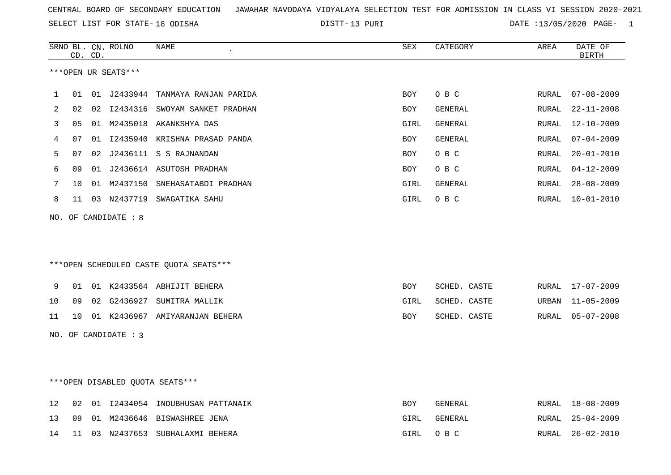13 PURI DATE :13/05/2020 PAGE- 1

|    |    | CD. CD. | SRNO BL. CN. ROLNO   | NAME                                   | SEX        | CATEGORY     | AREA         | DATE OF<br><b>BIRTH</b> |
|----|----|---------|----------------------|----------------------------------------|------------|--------------|--------------|-------------------------|
|    |    |         | ***OPEN UR SEATS***  |                                        |            |              |              |                         |
| 1  | 01 |         | 01 J2433944          | TANMAYA RANJAN PARIDA                  | <b>BOY</b> | O B C        | RURAL        | $07 - 08 - 2009$        |
| 2  | 02 |         |                      | 02 I2434316 SWOYAM SANKET PRADHAN      | BOY        | GENERAL      | RURAL        | $22 - 11 - 2008$        |
| 3  | 05 |         |                      | 01 M2435018 AKANKSHYA DAS              | GIRL       | GENERAL      | RURAL        | $12 - 10 - 2009$        |
| 4  | 07 |         |                      | 01 I2435940 KRISHNA PRASAD PANDA       | <b>BOY</b> | GENERAL      | RURAL        | $07 - 04 - 2009$        |
| 5  | 07 |         |                      | 02 J2436111 S S RAJNANDAN              | <b>BOY</b> | O B C        | <b>RURAL</b> | $20 - 01 - 2010$        |
| 6  | 09 |         |                      | 01 J2436614 ASUTOSH PRADHAN            | BOY        | O B C        | RURAL        | $04 - 12 - 2009$        |
| 7  | 10 |         |                      | 01 M2437150 SNEHASATABDI PRADHAN       | GIRL       | GENERAL      | RURAL        | $28 - 08 - 2009$        |
| 8  |    |         |                      | 11 03 N2437719 SWAGATIKA SAHU          | GIRL       | O B C        | RURAL        | 10-01-2010              |
|    |    |         | NO. OF CANDIDATE : 8 |                                        |            |              |              |                         |
|    |    |         |                      |                                        |            |              |              |                         |
|    |    |         |                      |                                        |            |              |              |                         |
|    |    |         |                      | ***OPEN SCHEDULED CASTE QUOTA SEATS*** |            |              |              |                         |
| 9  | 01 |         |                      | 01 K2433564 ABHIJIT BEHERA             | BOY        | SCHED. CASTE | RURAL        | 17-07-2009              |
| 10 | 09 |         |                      | 02 G2436927 SUMITRA MALLIK             | GIRL       | SCHED. CASTE | URBAN        | $11 - 05 - 2009$        |
| 11 | 10 |         |                      | 01 K2436967 AMIYARANJAN BEHERA         | BOY        | SCHED. CASTE | RURAL        | $05 - 07 - 2008$        |
|    |    |         | NO. OF CANDIDATE : 3 |                                        |            |              |              |                         |
|    |    |         |                      |                                        |            |              |              |                         |
|    |    |         |                      |                                        |            |              |              |                         |
|    |    |         |                      | ***OPEN DISABLED QUOTA SEATS***        |            |              |              |                         |
| 12 | 02 |         |                      | 01 I2434054 INDUBHUSAN PATTANAIK       | <b>BOY</b> | GENERAL      |              | RURAL 18-08-2009        |
| 13 |    |         |                      | 09 01 M2436646 BISWASHREE JENA         | GIRL       | GENERAL      |              | RURAL 25-04-2009        |

14 11 03 N2437653 SUBHALAXMI BEHERA GIRL O B C RURAL 26-02-2010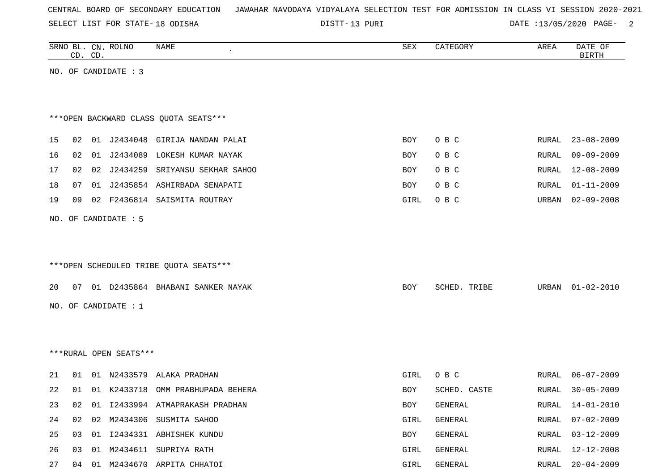| CENTRAL BOARD OF SECONDARY EDUCATION – JAWAHAR NAVODAYA VIDYALAYA SELECTION TEST FOR ADMISSION IN CLASS VI SESSION 2020-2021 |  |
|------------------------------------------------------------------------------------------------------------------------------|--|
|------------------------------------------------------------------------------------------------------------------------------|--|

DISTT-13 PURI 2001 2002 DATE :13/05/2020 PAGE-

|    |    | CD. CD. | SRNO BL. CN. ROLNO     | NAME                                   | SEX  | CATEGORY     | AREA         | DATE OF<br><b>BIRTH</b> |
|----|----|---------|------------------------|----------------------------------------|------|--------------|--------------|-------------------------|
|    |    |         | NO. OF CANDIDATE : 3   |                                        |      |              |              |                         |
|    |    |         |                        |                                        |      |              |              |                         |
|    |    |         |                        |                                        |      |              |              |                         |
|    |    |         |                        | *** OPEN BACKWARD CLASS QUOTA SEATS*** |      |              |              |                         |
| 15 | 02 |         |                        | 01 J2434048 GIRIJA NANDAN PALAI        | BOY  | O B C        | RURAL        | $23 - 08 - 2009$        |
| 16 | 02 |         |                        | 01 J2434089 LOKESH KUMAR NAYAK         |      | O B C        | RURAL        | $09 - 09 - 2009$        |
|    |    |         |                        |                                        | BOY  |              |              |                         |
| 17 | 02 |         |                        | 02 J2434259 SRIYANSU SEKHAR SAHOO      | BOY  | O B C        | RURAL        | 12-08-2009              |
| 18 | 07 |         |                        | 01 J2435854 ASHIRBADA SENAPATI         | BOY  | O B C        | RURAL        | $01 - 11 - 2009$        |
| 19 | 09 |         |                        | 02 F2436814 SAISMITA ROUTRAY           | GIRL | O B C        | URBAN        | $02 - 09 - 2008$        |
|    |    |         | NO. OF CANDIDATE : 5   |                                        |      |              |              |                         |
|    |    |         |                        |                                        |      |              |              |                         |
|    |    |         |                        |                                        |      |              |              |                         |
|    |    |         |                        | ***OPEN SCHEDULED TRIBE QUOTA SEATS*** |      |              |              |                         |
| 20 |    |         |                        | 07 01 D2435864 BHABANI SANKER NAYAK    | BOY  | SCHED. TRIBE | URBAN        | $01 - 02 - 2010$        |
|    |    |         | NO. OF CANDIDATE : 1   |                                        |      |              |              |                         |
|    |    |         |                        |                                        |      |              |              |                         |
|    |    |         |                        |                                        |      |              |              |                         |
|    |    |         |                        |                                        |      |              |              |                         |
|    |    |         | ***RURAL OPEN SEATS*** |                                        |      |              |              |                         |
| 21 | 01 |         | 01 N2433579            | ALAKA PRADHAN                          | GIRL | O B C        | RURAL        | $06 - 07 - 2009$        |
| 22 | 01 |         | 01 K2433718            | OMM PRABHUPADA BEHERA                  | BOY  | SCHED. CASTE | RURAL        | $30 - 05 - 2009$        |
| 23 | 02 |         |                        | 01 I2433994 ATMAPRAKASH PRADHAN        | BOY  | GENERAL      | RURAL        | $14 - 01 - 2010$        |
| 24 | 02 | 02      |                        | M2434306 SUSMITA SAHOO                 | GIRL | GENERAL      | <b>RURAL</b> | $07 - 02 - 2009$        |
| 25 | 03 |         |                        | 01 I2434331 ABHISHEK KUNDU             | BOY  | GENERAL      | RURAL        | $03 - 12 - 2009$        |
| 26 | 03 |         |                        | 01 M2434611 SUPRIYA RATH               | GIRL | GENERAL      | RURAL        | $12 - 12 - 2008$        |
| 27 |    |         |                        | 04 01 M2434670 ARPITA CHHATOI          | GIRL | GENERAL      | RURAL        | $20 - 04 - 2009$        |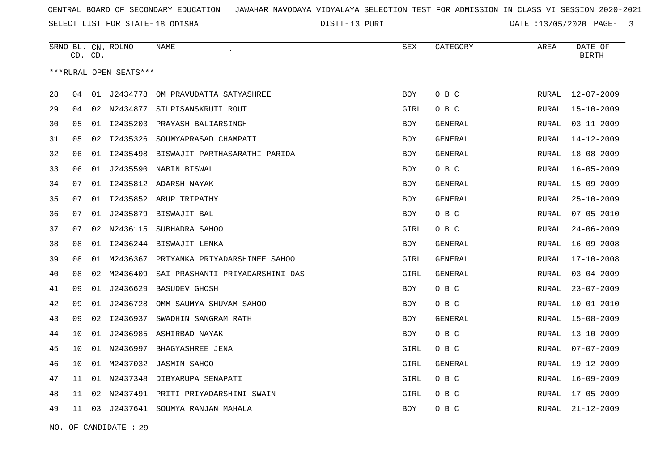13 PURI DATE :13/05/2020 PAGE- 3

|                        | CD. | CD. | SRNO BL. CN. ROLNO | NAME                                      | SEX        | CATEGORY       | AREA  | DATE OF<br><b>BIRTH</b> |
|------------------------|-----|-----|--------------------|-------------------------------------------|------------|----------------|-------|-------------------------|
| ***RURAL OPEN SEATS*** |     |     |                    |                                           |            |                |       |                         |
| 28                     | 04  | 01  | J2434778           | OM PRAVUDATTA SATYASHREE                  | <b>BOY</b> | O B C          | RURAL | $12 - 07 - 2009$        |
| 29                     | 04  | 02  | N2434877           | SILPISANSKRUTI ROUT                       | GIRL       | O B C          | RURAL | 15-10-2009              |
| 30                     | 05  | 01  | I2435203           | PRAYASH BALIARSINGH                       | <b>BOY</b> | <b>GENERAL</b> | RURAL | $03 - 11 - 2009$        |
| 31                     | 05  | 02  | I2435326           | SOUMYAPRASAD CHAMPATI                     | BOY        | <b>GENERAL</b> | RURAL | 14-12-2009              |
| 32                     | 06  | 01  | I2435498           | BISWAJIT PARTHASARATHI PARIDA             | <b>BOY</b> | GENERAL        | RURAL | 18-08-2009              |
| 33                     | 06  | 01  |                    | J2435590 NABIN BISWAL                     | BOY        | O B C          | RURAL | $16 - 05 - 2009$        |
| 34                     | 07  | 01  |                    | I2435812 ADARSH NAYAK                     | <b>BOY</b> | GENERAL        | RURAL | $15 - 09 - 2009$        |
| 35                     | 07  |     |                    | 01 I2435852 ARUP TRIPATHY                 | <b>BOY</b> | <b>GENERAL</b> | RURAL | $25 - 10 - 2009$        |
| 36                     | 07  |     |                    | 01 J2435879 BISWAJIT BAL                  | BOY        | O B C          | RURAL | $07 - 05 - 2010$        |
| 37                     | 07  |     | 02 N2436115        | SUBHADRA SAHOO                            | GIRL       | O B C          | RURAL | $24 - 06 - 2009$        |
| 38                     | 08  |     |                    | 01 I2436244 BISWAJIT LENKA                | BOY        | GENERAL        | RURAL | $16 - 09 - 2008$        |
| 39                     | 08  |     |                    | 01 M2436367 PRIYANKA PRIYADARSHINEE SAHOO | GIRL       | <b>GENERAL</b> | RURAL | 17-10-2008              |
| 40                     | 08  |     | 02 M2436409        | SAI PRASHANTI PRIYADARSHINI DAS           | GIRL       | GENERAL        | RURAL | $03 - 04 - 2009$        |
| 41                     | 09  |     | 01 J2436629        | <b>BASUDEV GHOSH</b>                      | BOY        | O B C          | RURAL | $23 - 07 - 2009$        |
| 42                     | 09  |     | 01 J2436728        | OMM SAUMYA SHUVAM SAHOO                   | BOY        | O B C          | RURAL | $10 - 01 - 2010$        |
| 43                     | 09  | 02  | I2436937           | SWADHIN SANGRAM RATH                      | BOY        | GENERAL        | RURAL | $15 - 08 - 2009$        |
| 44                     | 10  |     | 01 J2436985        | ASHIRBAD NAYAK                            | BOY        | O B C          | RURAL | $13 - 10 - 2009$        |
| 45                     | 10  |     |                    | 01 N2436997 BHAGYASHREE JENA              | GIRL       | O B C          | RURAL | $07 - 07 - 2009$        |
| 46                     | 10  | 01  | M2437032           | <b>JASMIN SAHOO</b>                       | GIRL       | GENERAL        | RURAL | 19-12-2009              |
| 47                     | 11  | 01  | N2437348           | DIBYARUPA SENAPATI                        | GIRL       | O B C          | RURAL | 16-09-2009              |
| 48                     | 11  | 02  |                    | N2437491 PRITI PRIYADARSHINI SWAIN        | GIRL       | O B C          | RURAL | 17-05-2009              |
| 49                     | 11  |     |                    | 03 J2437641 SOUMYA RANJAN MAHALA          | BOY        | O B C          | RURAL | $21 - 12 - 2009$        |

NO. OF CANDIDATE : 29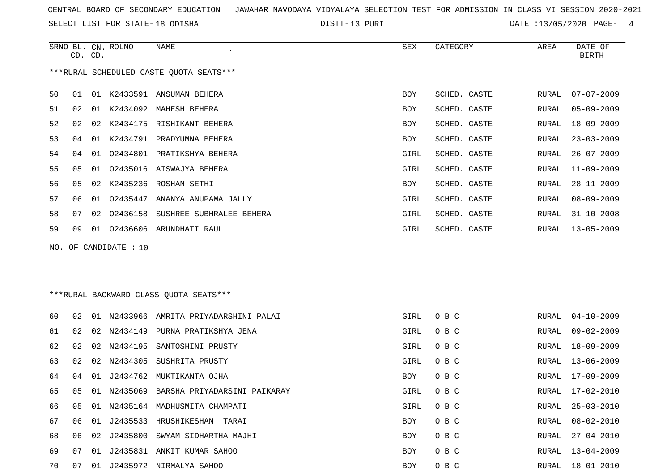SELECT LIST FOR STATE- DISTT- 18 ODISHA

13 PURI DATE :13/05/2020 PAGE- 4

|                                         |         |                 | SRNO BL. CN. ROLNO | NAME                      | SEX        | CATEGORY     | AREA  | DATE OF          |
|-----------------------------------------|---------|-----------------|--------------------|---------------------------|------------|--------------|-------|------------------|
|                                         | CD. CD. |                 |                    |                           |            |              |       | <b>BIRTH</b>     |
| ***RURAL SCHEDULED CASTE OUOTA SEATS*** |         |                 |                    |                           |            |              |       |                  |
| 50                                      | 01      | 01              |                    | K2433591 ANSUMAN BEHERA   | BOY        | SCHED. CASTE | RURAL | $07 - 07 - 2009$ |
| 51                                      | 02      | 01              |                    | K2434092 MAHESH BEHERA    | BOY        | SCHED. CASTE | RURAL | $05 - 09 - 2009$ |
| 52                                      | 02      | 02 <sub>o</sub> |                    | K2434175 RISHIKANT BEHERA | BOY        | SCHED. CASTE | RURAL | $18 - 09 - 2009$ |
| 53                                      | 04      | 01              |                    | K2434791 PRADYUMNA BEHERA | <b>BOY</b> | SCHED. CASTE | RURAL | $23 - 03 - 2009$ |
| 54                                      | 04      | 01              | 02434801           | PRATIKSHYA BEHERA         | GIRL       | SCHED. CASTE | RURAL | $26 - 07 - 2009$ |
| 55                                      | 05      | 01              | 02435016           | AISWAJYA BEHERA           | GIRL       | SCHED. CASTE | RURAL | $11 - 09 - 2009$ |
| 56                                      | 05      | 02              | K2435236           | ROSHAN SETHI              | BOY        | SCHED. CASTE | RURAL | $28 - 11 - 2009$ |
| 57                                      | 06      | 01              | 02435447           | ANANYA ANUPAMA JALLY      | GIRL       | SCHED. CASTE | RURAL | $08 - 09 - 2009$ |
| 58                                      | 07      | 02              | 02436158           | SUSHREE SUBHRALEE BEHERA  | GIRL       | SCHED. CASTE | RURAL | $31 - 10 - 2008$ |
| 59                                      | 09      | 01              | 02436606           | ARUNDHATI RAUL            | GIRL       | SCHED. CASTE | RURAL | $13 - 05 - 2009$ |
|                                         |         |                 |                    |                           |            |              |       |                  |

NO. OF CANDIDATE : 10

\*\*\*RURAL BACKWARD CLASS QUOTA SEATS\*\*\*

| 60  | 02   | O 1 |             | N2433966 AMRITA PRIYADARSHINI PALAI | GIRL       | O B C | RURAL | $04 - 10 - 2009$ |
|-----|------|-----|-------------|-------------------------------------|------------|-------|-------|------------------|
| 61  | 02.  |     | 02 N2434149 | PURNA PRATIKSHYA JENA               | GIRL       | O B C | RURAL | 09-02-2009       |
| 62  | 02   |     |             | 02 N2434195 SANTOSHINI PRUSTY       | GIRL       | O B C | RURAL | 18-09-2009       |
| 63  | O 2. |     |             | 02 N2434305 SUSHRITA PRUSTY         | GIRL       | O B C | RURAL | 13-06-2009       |
| 64  | 04   | 01  | J2434762    | MUKTIKANTA OJHA                     | BOY        | O B C | RURAL | 17-09-2009       |
| 65  | 05   |     | 01 N2435069 | BARSHA PRIYADARSINI PAIKARAY        | GIRL       | O B C | RURAL | 17-02-2010       |
| 66. | 05   |     |             | 01 N2435164 MADHUSMITA CHAMPATI     | GIRL       | O B C | RURAL | 25-03-2010       |
| 67  | 06   | 01  |             | J2435533 HRUSHIKESHAN<br>TARAI      | BOY        | O B C | RURAL | $08 - 02 - 2010$ |
| 68  |      |     |             | 02 J2435800 SWYAM SIDHARTHA MAJHI   | BOY        | O B C | RURAL | $27 - 04 - 2010$ |
| 69  | 07   | O 1 |             | J2435831 ANKIT KUMAR SAHOO          | BOY        | O B C | RURAL | $13 - 04 - 2009$ |
| 70  | 07   | 01  |             | J2435972 NIRMALYA SAHOO             | <b>BOY</b> | O B C | RURAL | 18-01-2010       |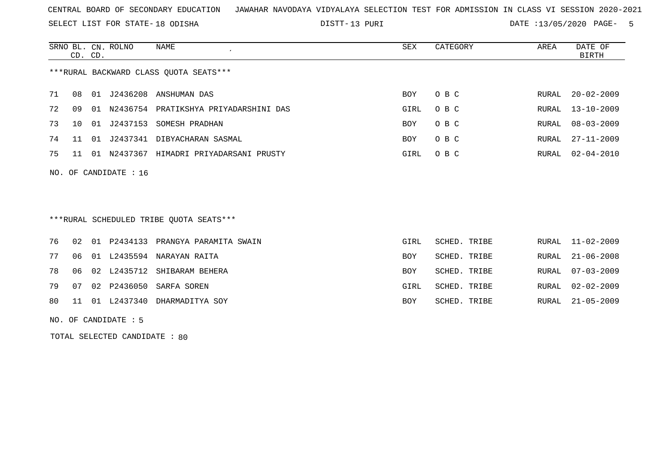SELECT LIST FOR STATE- DISTT- 18 ODISHA

13 PURI DATE :13/05/2020 PAGE- 5

|                                        | CD. CD. |       | SRNO BL. CN. ROLNO | NAME<br>$\cdot$              | SEX        | CATEGORY | AREA  | DATE OF<br>BIRTH |
|----------------------------------------|---------|-------|--------------------|------------------------------|------------|----------|-------|------------------|
| ***RURAL BACKWARD CLASS OUOTA SEATS*** |         |       |                    |                              |            |          |       |                  |
| 71                                     | 08      | 01    | J2436208           | ANSHUMAN DAS                 | BOY        | O B C    | RURAL | $20 - 02 - 2009$ |
| 72                                     | 09      | . N 1 | N2436754           | PRATIKSHYA PRIYADARSHINI DAS | GIRL       | O B C    |       | RURAL 13-10-2009 |
| 73                                     | 1 O     | O 1   | J2437153           | SOMESH PRADHAN               | <b>BOY</b> | O B C    | RURAL | $08 - 03 - 2009$ |
| 74                                     | 11      | 01    | J2437341           | DIBYACHARAN SASMAL           | BOY        | O B C    | RURAL | $27 - 11 - 2009$ |
| 75                                     |         | 01    | N2437367           | HIMADRI PRIYADARSANI PRUSTY  | GIRL       | O B C    | RURAL | $02 - 04 - 2010$ |

\*\*\*RURAL SCHEDULED TRIBE QUOTA SEATS\*\*\*

|  |  | 76 02 01 P2434133 PRANGYA PARAMITA SWAIN | GIRL | SCHED. TRIBE |  | RURAL 11-02-2009 |
|--|--|------------------------------------------|------|--------------|--|------------------|
|  |  | 77 06 01 L2435594 NARAYAN RAITA          | BOY  | SCHED. TRIBE |  | RURAL 21-06-2008 |
|  |  | 78 06 02 L2435712 SHIBARAM BEHERA        | BOY  | SCHED. TRIBE |  | RURAL 07-03-2009 |
|  |  | 79 07 02 P2436050 SARFA SOREN            | GIRL | SCHED. TRIBE |  | RURAL 02-02-2009 |
|  |  | 80 11 01 L2437340 DHARMADITYA SOY        | BOY  | SCHED. TRIBE |  | RURAL 21-05-2009 |

NO. OF CANDIDATE : 5

NO. OF CANDIDATE : 16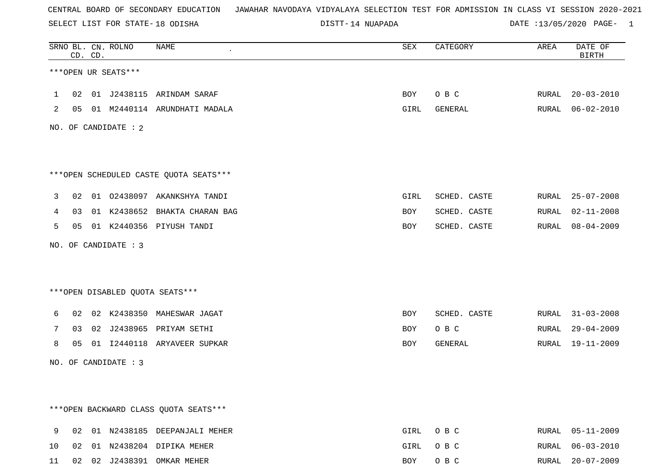SELECT LIST FOR STATE- DISTT- 18 ODISHA

14 NUAPADA DATE :13/05/2020 PAGE- 1

|              |    | CD. CD. | SRNO BL. CN. ROLNO   | NAME<br>$\epsilon$                     | SEX  | CATEGORY     | AREA | DATE OF<br><b>BIRTH</b> |
|--------------|----|---------|----------------------|----------------------------------------|------|--------------|------|-------------------------|
|              |    |         | ***OPEN UR SEATS***  |                                        |      |              |      |                         |
| $\mathbf{1}$ | 02 |         |                      | 01 J2438115 ARINDAM SARAF              | BOY  | O B C        |      | RURAL 20-03-2010        |
| 2            |    |         |                      | 05 01 M2440114 ARUNDHATI MADALA        | GIRL | GENERAL      |      | RURAL 06-02-2010        |
|              |    |         | NO. OF CANDIDATE : 2 |                                        |      |              |      |                         |
|              |    |         |                      |                                        |      |              |      |                         |
|              |    |         |                      | ***OPEN SCHEDULED CASTE QUOTA SEATS*** |      |              |      |                         |
| 3            |    |         |                      | 02 01 02438097 AKANKSHYA TANDI         | GIRL | SCHED. CASTE |      | RURAL 25-07-2008        |
| 4            | 03 |         |                      | 01 K2438652 BHAKTA CHARAN BAG          | BOY  | SCHED. CASTE |      | RURAL 02-11-2008        |
| 5            |    |         |                      | 05 01 K2440356 PIYUSH TANDI            | BOY  | SCHED. CASTE |      | RURAL 08-04-2009        |
|              |    |         | NO. OF CANDIDATE : 3 |                                        |      |              |      |                         |
|              |    |         |                      |                                        |      |              |      |                         |
|              |    |         |                      | ***OPEN DISABLED OUOTA SEATS***        |      |              |      |                         |
| 6            |    |         |                      | 02 02 K2438350 MAHESWAR JAGAT          | BOY  | SCHED. CASTE |      | RURAL 31-03-2008        |
| 7            | 03 |         |                      | 02 J2438965 PRIYAM SETHI               | BOY  | O B C        |      | RURAL 29-04-2009        |
| 8            | 05 |         |                      | 01 I2440118 ARYAVEER SUPKAR            | BOY  | GENERAL      |      | RURAL 19-11-2009        |
|              |    |         | NO. OF CANDIDATE : 3 |                                        |      |              |      |                         |
|              |    |         |                      |                                        |      |              |      |                         |
|              |    |         |                      |                                        |      |              |      |                         |
|              |    |         |                      | *** OPEN BACKWARD CLASS QUOTA SEATS*** |      |              |      |                         |
| 9            |    |         |                      | 02 01 N2438185 DEEPANJALI MEHER        | GIRL | O B C        |      | RURAL 05-11-2009        |
| 10           |    |         |                      | 02 01 N2438204 DIPIKA MEHER            | GIRL | O B C        |      | RURAL 06-03-2010        |

11 02 02 J2438391 OMKAR MEHER BOY O B C RURAL 20-07-2009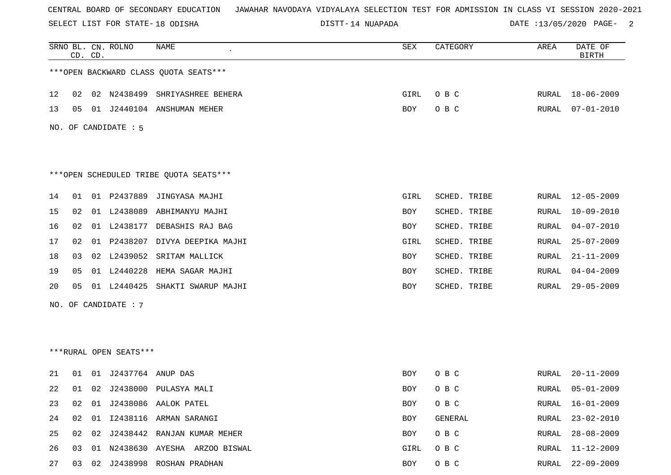SELECT LIST FOR STATE- DISTT- 18 ODISHA

14 NUAPADA DATE :13/05/2020 PAGE- 2

|    |    | CD. CD. | SRNO BL. CN. ROLNO     | NAME                                   | SEX  | CATEGORY     | AREA  | DATE OF<br><b>BIRTH</b> |
|----|----|---------|------------------------|----------------------------------------|------|--------------|-------|-------------------------|
|    |    |         |                        | *** OPEN BACKWARD CLASS QUOTA SEATS*** |      |              |       |                         |
| 12 | 02 |         |                        | 02 N2438499 SHRIYASHREE BEHERA         | GIRL | O B C        | RURAL | 18-06-2009              |
| 13 | 05 |         |                        | 01 J2440104 ANSHUMAN MEHER             | BOY  | O B C        | RURAL | $07 - 01 - 2010$        |
|    |    |         | NO. OF CANDIDATE : 5   |                                        |      |              |       |                         |
|    |    |         |                        | ***OPEN SCHEDULED TRIBE QUOTA SEATS*** |      |              |       |                         |
| 14 | 01 |         |                        | 01 P2437889 JINGYASA MAJHI             | GIRL | SCHED. TRIBE | RURAL | 12-05-2009              |
| 15 | 02 |         |                        | 01 L2438089 ABHIMANYU MAJHI            | BOY  | SCHED. TRIBE | RURAL | 10-09-2010              |
| 16 | 02 |         | 01 L2438177            | DEBASHIS RAJ BAG                       | BOY  | SCHED. TRIBE | RURAL | $04 - 07 - 2010$        |
| 17 | 02 | 01      | P2438207               | DIVYA DEEPIKA MAJHI                    | GIRL | SCHED. TRIBE | RURAL | $25 - 07 - 2009$        |
| 18 | 03 |         |                        | 02 L2439052 SRITAM MALLICK             | BOY  | SCHED. TRIBE | RURAL | $21 - 11 - 2009$        |
| 19 | 05 |         | 01 L2440228            | HEMA SAGAR MAJHI                       | BOY  | SCHED. TRIBE | RURAL | $04 - 04 - 2009$        |
| 20 | 05 | 01      | L2440425               | SHAKTI SWARUP MAJHI                    | BOY  | SCHED. TRIBE | RURAL | $29 - 05 - 2009$        |
|    |    |         | NO. OF CANDIDATE: 7    |                                        |      |              |       |                         |
|    |    |         |                        |                                        |      |              |       |                         |
|    |    |         | ***RURAL OPEN SEATS*** |                                        |      |              |       |                         |
| 21 | 01 |         | 01 J2437764 ANUP DAS   |                                        | BOY  | O B C        | RURAL | $20 - 11 - 2009$        |
| 22 | 01 |         |                        | 02 J2438000 PULASYA MALI               | BOY  | O B C        | RURAL | $05 - 01 - 2009$        |
| 23 | 02 |         |                        | 01 J2438086 AALOK PATEL                | BOY  | O B C        | RURAL | $16 - 01 - 2009$        |
| 24 | 02 |         |                        | 01 I2438116 ARMAN SARANGI              | BOY  | GENERAL      | RURAL | $23 - 02 - 2010$        |
| 25 | 02 |         |                        | 02 J2438442 RANJAN KUMAR MEHER         | BOY  | O B C        | RURAL | $28 - 08 - 2009$        |
| 26 | 03 |         |                        | 01 N2438630 AYESHA ARZOO BISWAL        | GIRL | O B C        | RURAL | $11 - 12 - 2009$        |
| 27 | 03 |         |                        | 02 J2438998 ROSHAN PRADHAN             | BOY  | O B C        | RURAL | $22 - 09 - 2009$        |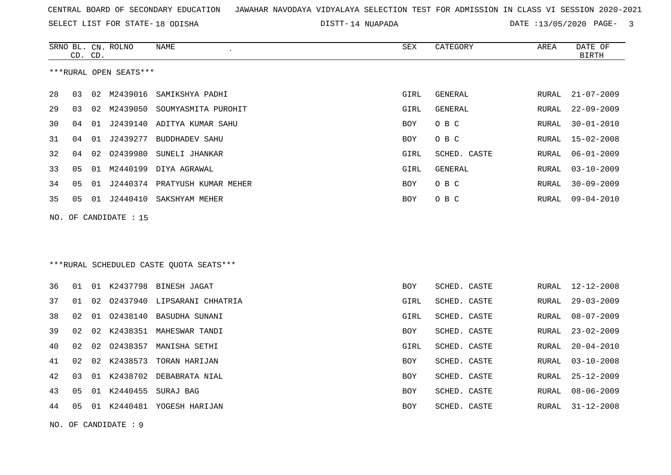SELECT LIST FOR STATE- DISTT- 18 ODISHA

14 NUAPADA DATE :13/05/2020 PAGE- 3

|    | CD. CD. |    | SRNO BL. CN. ROLNO     | NAME                                     | <b>SEX</b> | CATEGORY       | AREA  | DATE OF<br><b>BIRTH</b> |
|----|---------|----|------------------------|------------------------------------------|------------|----------------|-------|-------------------------|
|    |         |    | ***RURAL OPEN SEATS*** |                                          |            |                |       |                         |
| 28 | 03      |    | 02 M2439016            | SAMIKSHYA PADHI                          | GIRL       | GENERAL        | RURAL | $21 - 07 - 2009$        |
| 29 | 03      |    |                        | 02 M2439050 SOUMYASMITA PUROHIT          | GIRL       | <b>GENERAL</b> | RURAL | $22 - 09 - 2009$        |
| 30 | 04      | 01 |                        | J2439140 ADITYA KUMAR SAHU               | BOY        | O B C          | RURAL | $30 - 01 - 2010$        |
| 31 | 04      | 01 | J2439277               | <b>BUDDHADEV SAHU</b>                    | <b>BOY</b> | O B C          | RURAL | $15 - 02 - 2008$        |
| 32 | 04      | 02 |                        | 02439980 SUNELI JHANKAR                  | GIRL       | SCHED. CASTE   | RURAL | $06 - 01 - 2009$        |
| 33 | 05      |    |                        | 01 M2440199 DIYA AGRAWAL                 | GIRL       | GENERAL        | RURAL | $03 - 10 - 2009$        |
| 34 | 05      | 01 |                        | J2440374 PRATYUSH KUMAR MEHER            | <b>BOY</b> | O B C          | RURAL | $30 - 09 - 2009$        |
| 35 | 05      |    |                        | 01 J2440410 SAKSHYAM MEHER               | <b>BOY</b> | O B C          | RURAL | $09 - 04 - 2010$        |
|    |         |    | NO. OF CANDIDATE : 15  |                                          |            |                |       |                         |
|    |         |    |                        |                                          |            |                |       |                         |
|    |         |    |                        |                                          |            |                |       |                         |
|    |         |    |                        | *** RURAL SCHEDULED CASTE QUOTA SEATS*** |            |                |       |                         |
| 36 | 01      |    |                        | 01 K2437798 BINESH JAGAT                 | <b>BOY</b> | SCHED. CASTE   | RURAL | 12-12-2008              |
| 37 | 01      | 02 |                        | 02437940 LIPSARANI CHHATRIA              | GIRL       | SCHED. CASTE   | RURAL | $29 - 03 - 2009$        |
| 38 | 02      | 01 | 02438140               | BASUDHA SUNANI                           | GIRL       | SCHED. CASTE   | RURAL | $08 - 07 - 2009$        |
| 39 | 02      |    |                        | 02 K2438351 MAHESWAR TANDI               | <b>BOY</b> | SCHED. CASTE   | RURAL | $23 - 02 - 2009$        |
| 40 | 02      | 02 | 02438357               | MANISHA SETHI                            | GIRL       | SCHED. CASTE   | RURAL | $20 - 04 - 2010$        |
| 41 | 02      |    |                        | 02 K2438573 TORAN HARIJAN                | BOY        | SCHED. CASTE   | RURAL | $03 - 10 - 2008$        |
| 42 | 03      | 01 | K2438702               | DEBABRATA NIAL                           | BOY        | SCHED. CASTE   | RURAL | $25 - 12 - 2009$        |
| 43 | 05      |    |                        | 01 K2440455 SURAJ BAG                    | BOY        | SCHED. CASTE   | RURAL | $08 - 06 - 2009$        |
| 44 | 05      |    |                        | 01 K2440481 YOGESH HARIJAN               | <b>BOY</b> | SCHED. CASTE   | RURAL | $31 - 12 - 2008$        |

NO. OF CANDIDATE : 9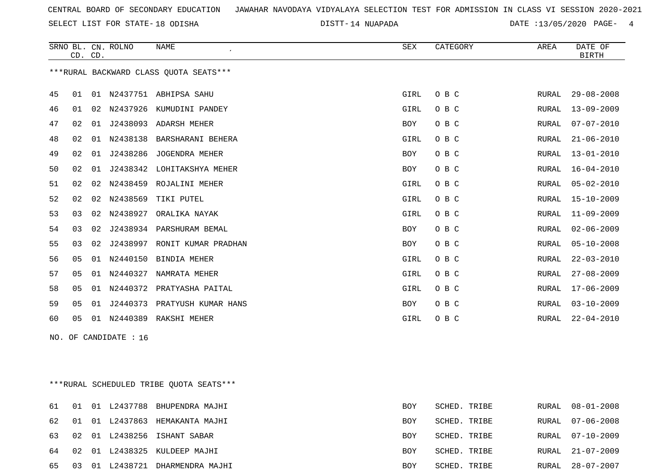SELECT LIST FOR STATE- DISTT- 18 ODISHA

14 NUAPADA DATE :13/05/2020 PAGE- 4

|    | CD. CD. |    | SRNO BL. CN. ROLNO | <b>NAME</b><br>$\epsilon$               | <b>SEX</b> | CATEGORY | AREA  | DATE OF<br><b>BIRTH</b> |
|----|---------|----|--------------------|-----------------------------------------|------------|----------|-------|-------------------------|
|    |         |    |                    | *** RURAL BACKWARD CLASS QUOTA SEATS*** |            |          |       |                         |
| 45 | 01      | 01 |                    | N2437751 ABHIPSA SAHU                   | GIRL       | O B C    | RURAL | $29 - 08 - 2008$        |
| 46 | 01      | 02 | N2437926           | KUMUDINI PANDEY                         | GIRL       | O B C    | RURAL | $13 - 09 - 2009$        |
| 47 | 02      | 01 |                    | J2438093 ADARSH MEHER                   | <b>BOY</b> | O B C    | RURAL | $07 - 07 - 2010$        |
| 48 | 02      | 01 | N2438138           | BARSHARANI BEHERA                       | GIRL       | O B C    | RURAL | $21 - 06 - 2010$        |
| 49 | 02      | 01 | J2438286           | JOGENDRA MEHER                          | BOY        | O B C    | RURAL | $13 - 01 - 2010$        |
| 50 | 02      | 01 | J2438342           | LOHITAKSHYA MEHER                       | BOY        | O B C    | RURAL | $16 - 04 - 2010$        |
| 51 | 02      | 02 | N2438459           | ROJALINI MEHER                          | GIRL       | O B C    | RURAL | $05 - 02 - 2010$        |
| 52 | 02      | 02 | N2438569           | TIKI PUTEL                              | GIRL       | O B C    | RURAL | $15 - 10 - 2009$        |
| 53 | 03      | 02 | N2438927           | ORALIKA NAYAK                           | GIRL       | O B C    | RURAL | $11 - 09 - 2009$        |
| 54 | 03      | 02 | J2438934           | PARSHURAM BEMAL                         | <b>BOY</b> | O B C    | RURAL | $02 - 06 - 2009$        |
| 55 | 03      | 02 | J2438997           | RONIT KUMAR PRADHAN                     | <b>BOY</b> | O B C    | RURAL | $05 - 10 - 2008$        |
| 56 | 05      | 01 | N2440150           | <b>BINDIA MEHER</b>                     | GIRL       | O B C    | RURAL | $22 - 03 - 2010$        |
| 57 | 05      | 01 | N2440327           | NAMRATA MEHER                           | GIRL       | O B C    | RURAL | $27 - 08 - 2009$        |
| 58 | 05      | 01 | N2440372           | PRATYASHA PAITAL                        | GIRL       | O B C    | RURAL | $17 - 06 - 2009$        |
| 59 | 05      | 01 | J2440373           | PRATYUSH KUMAR HANS                     | BOY        | O B C    | RURAL | $03 - 10 - 2009$        |
| 60 | 05      | 01 | N2440389           | RAKSHI MEHER                            | GIRL       | O B C    | RURAL | $22 - 04 - 2010$        |
|    |         |    |                    |                                         |            |          |       |                         |

NO. OF CANDIDATE : 16

\*\*\*RURAL SCHEDULED TRIBE QUOTA SEATS\*\*\*

|  |  | 61 01 01 L2437788 BHUPENDRA MAJHI  | <b>BOY</b> | SCHED. TRIBE |  | RURAL 08-01-2008 |
|--|--|------------------------------------|------------|--------------|--|------------------|
|  |  | 62 01 01 L2437863 HEMAKANTA MAJHI  | <b>BOY</b> | SCHED. TRIBE |  | RURAL 07-06-2008 |
|  |  | 63 02 01 L2438256 ISHANT SABAR     | BOY        | SCHED. TRIBE |  | RURAL 07-10-2009 |
|  |  | 64 02 01 L2438325 KULDEEP MAJHI    | BOY        | SCHED. TRIBE |  | RURAL 21-07-2009 |
|  |  | 65 03 01 L2438721 DHARMENDRA MAJHI | BOY        | SCHED. TRIBE |  | RURAL 28-07-2007 |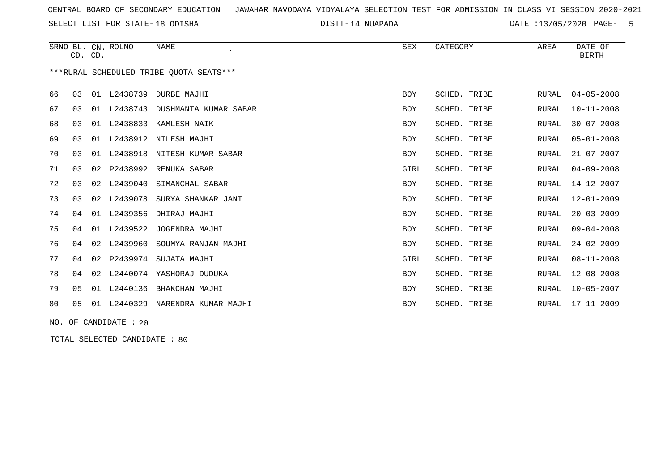SELECT LIST FOR STATE- DISTT- 18 ODISHA

14 NUAPADA DATE :13/05/2020 PAGE- 5

|    | CD. CD.        |    | SRNO BL. CN. ROLNO | <b>NAME</b>                             | <b>SEX</b> | CATEGORY     | AREA         | DATE OF<br><b>BIRTH</b> |
|----|----------------|----|--------------------|-----------------------------------------|------------|--------------|--------------|-------------------------|
|    |                |    |                    | ***RURAL SCHEDULED TRIBE OUOTA SEATS*** |            |              |              |                         |
| 66 | 0 <sub>3</sub> | 01 | L2438739           | DURBE MAJHI                             | <b>BOY</b> | SCHED. TRIBE | RURAL        | $04 - 05 - 2008$        |
| 67 | 03             | 01 | L2438743           | DUSHMANTA KUMAR SABAR                   | <b>BOY</b> | SCHED. TRIBE | <b>RURAL</b> | $10 - 11 - 2008$        |
| 68 | 03             | 01 | L2438833           | KAMLESH NAIK                            | <b>BOY</b> | SCHED. TRIBE | <b>RURAL</b> | $30 - 07 - 2008$        |
| 69 | 03             | 01 | L2438912           | NILESH MAJHI                            | <b>BOY</b> | SCHED. TRIBE | <b>RURAL</b> | $05 - 01 - 2008$        |
| 70 | 03             | 01 | L2438918           | NITESH KUMAR SABAR                      | <b>BOY</b> | SCHED. TRIBE | RURAL        | $21 - 07 - 2007$        |
| 71 | 03             | 02 | P2438992           | RENUKA SABAR                            | GIRL       | SCHED. TRIBE | RURAL        | $04 - 09 - 2008$        |
| 72 | 03             | 02 | L2439040           | SIMANCHAL SABAR                         | <b>BOY</b> | SCHED. TRIBE | <b>RURAL</b> | $14 - 12 - 2007$        |
| 73 | 03             | 02 | L2439078           | SURYA SHANKAR JANI                      | <b>BOY</b> | SCHED. TRIBE | <b>RURAL</b> | $12 - 01 - 2009$        |
| 74 | 04             | 01 | L2439356           | DHIRAJ MAJHI                            | <b>BOY</b> | SCHED. TRIBE | RURAL        | $20 - 03 - 2009$        |
| 75 | 04             | 01 | L2439522           | JOGENDRA MAJHI                          | <b>BOY</b> | SCHED. TRIBE | <b>RURAL</b> | $09 - 04 - 2008$        |
| 76 | 04             | 02 | L2439960           | SOUMYA RANJAN MAJHI                     | <b>BOY</b> | SCHED. TRIBE | <b>RURAL</b> | $24 - 02 - 2009$        |
| 77 | 04             | 02 |                    | P2439974 SUJATA MAJHI                   | GIRL       | SCHED. TRIBE | RURAL        | $08 - 11 - 2008$        |
| 78 | 04             | 02 |                    | L2440074 YASHORAJ DUDUKA                | <b>BOY</b> | SCHED. TRIBE | <b>RURAL</b> | $12 - 08 - 2008$        |
| 79 | 05             |    | 01 L2440136        | BHAKCHAN MAJHI                          | BOY        | SCHED. TRIBE | <b>RURAL</b> | $10 - 05 - 2007$        |
| 80 | 0 <sub>5</sub> | 01 | L2440329           | NARENDRA KUMAR MAJHI                    | BOY        | SCHED. TRIBE | RURAL        | $17 - 11 - 2009$        |

NO. OF CANDIDATE : 20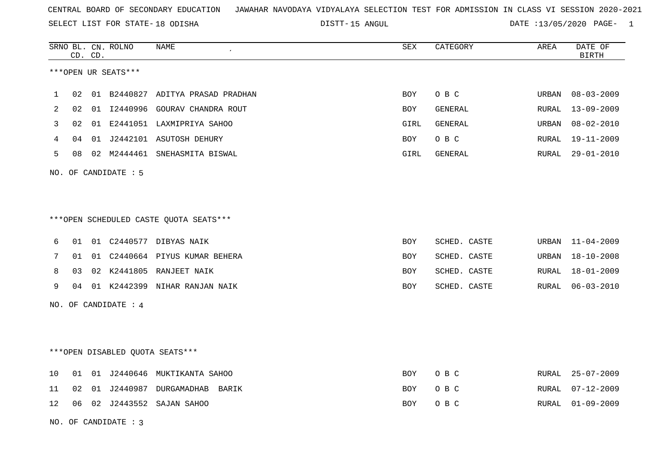SELECT LIST FOR STATE- DISTT- 18 ODISHA

DISTT-15 ANGUL 2008 2009 DATE :13/05/2020 PAGE- 1

|    |    | CD. CD. | SRNO BL. CN. ROLNO   | NAME                                   | SEX        | CATEGORY     | AREA  | DATE OF<br><b>BIRTH</b> |
|----|----|---------|----------------------|----------------------------------------|------------|--------------|-------|-------------------------|
|    |    |         | ***OPEN UR SEATS***  |                                        |            |              |       |                         |
| 1  | 02 | 01      | B2440827             | ADITYA PRASAD PRADHAN                  | <b>BOY</b> | O B C        | URBAN | $08 - 03 - 2009$        |
| 2  | 02 | 01      |                      | 12440996 GOURAV CHANDRA ROUT           | <b>BOY</b> | GENERAL      | RURAL | $13 - 09 - 2009$        |
| 3  | 02 |         |                      | 01 E2441051 LAXMIPRIYA SAHOO           | GIRL       | GENERAL      | URBAN | $08 - 02 - 2010$        |
| 4  | 04 |         |                      | 01 J2442101 ASUTOSH DEHURY             | <b>BOY</b> | O B C        | RURAL | 19-11-2009              |
| 5  | 08 |         |                      | 02 M2444461 SNEHASMITA BISWAL          | GIRL       | GENERAL      | RURAL | $29 - 01 - 2010$        |
|    |    |         | NO. OF CANDIDATE : 5 |                                        |            |              |       |                         |
|    |    |         |                      |                                        |            |              |       |                         |
|    |    |         |                      |                                        |            |              |       |                         |
|    |    |         |                      | ***OPEN SCHEDULED CASTE QUOTA SEATS*** |            |              |       |                         |
| 6  | 01 |         |                      | 01 C2440577 DIBYAS NAIK                | BOY        | SCHED. CASTE | URBAN | $11 - 04 - 2009$        |
| 7  | 01 |         |                      | 01 C2440664 PIYUS KUMAR BEHERA         | BOY        | SCHED. CASTE | URBAN | $18 - 10 - 2008$        |
| 8  | 03 |         |                      | 02 K2441805 RANJEET NAIK               | <b>BOY</b> | SCHED. CASTE | RURAL | $18 - 01 - 2009$        |
| 9  | 04 |         |                      | 01 K2442399 NIHAR RANJAN NAIK          | BOY        | SCHED. CASTE | RURAL | $06 - 03 - 2010$        |
|    |    |         | NO. OF CANDIDATE : 4 |                                        |            |              |       |                         |
|    |    |         |                      |                                        |            |              |       |                         |
|    |    |         |                      |                                        |            |              |       |                         |
|    |    |         |                      | ***OPEN DISABLED QUOTA SEATS***        |            |              |       |                         |
| 10 | 01 |         |                      | 01 J2440646 MUKTIKANTA SAHOO           | BOY        | O B C        | RURAL | $25 - 07 - 2009$        |
| 11 | 02 | 01      |                      | J2440987 DURGAMADHAB<br>BARIK          | <b>BOY</b> | O B C        | RURAL | $07 - 12 - 2009$        |
| 12 | 06 |         |                      | 02 J2443552 SAJAN SAHOO                | BOY        | O B C        | RURAL | $01 - 09 - 2009$        |
|    |    |         | NO. OF CANDIDATE: 3  |                                        |            |              |       |                         |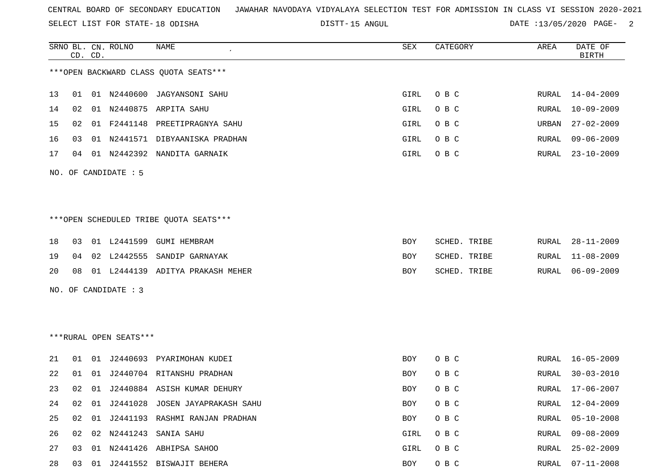SELECT LIST FOR STATE- DISTT- 18 ODISHA

DISTT-15 ANGUL 2001 2002 DATE :13/05/2020 PAGE-

|    |    | CD. CD. | SRNO BL. CN. ROLNO     | NAME                                    | SEX        | CATEGORY     | AREA          | DATE OF<br><b>BIRTH</b> |
|----|----|---------|------------------------|-----------------------------------------|------------|--------------|---------------|-------------------------|
|    |    |         |                        | *** OPEN BACKWARD CLASS QUOTA SEATS***  |            |              |               |                         |
| 13 | 01 |         | 01 N2440600            | JAGYANSONI SAHU                         | GIRL       | O B C        | RURAL         | $14 - 04 - 2009$        |
| 14 | 02 |         |                        | 01 N2440875 ARPITA SAHU                 | GIRL       | O B C        | RURAL         | $10 - 09 - 2009$        |
| 15 | 02 | 01      | F2441148               | PREETIPRAGNYA SAHU                      | GIRL       | O B C        | URBAN         | $27 - 02 - 2009$        |
| 16 | 03 | 01      |                        | N2441571 DIBYAANISKA PRADHAN            | GIRL       | O B C        | RURAL         | $09 - 06 - 2009$        |
| 17 | 04 |         |                        | 01 N2442392 NANDITA GARNAIK             | GIRL       | O B C        | RURAL         | $23 - 10 - 2009$        |
|    |    |         | NO. OF CANDIDATE : 5   |                                         |            |              |               |                         |
|    |    |         |                        |                                         |            |              |               |                         |
|    |    |         |                        | *** OPEN SCHEDULED TRIBE QUOTA SEATS*** |            |              |               |                         |
| 18 | 03 |         | 01 L2441599            | GUMI HEMBRAM                            | BOY        | SCHED. TRIBE | RURAL         | $28 - 11 - 2009$        |
| 19 | 04 |         | 02 L2442555            | SANDIP GARNAYAK                         | BOY        | SCHED. TRIBE | RURAL         | $11 - 08 - 2009$        |
| 20 | 08 |         |                        | 01 L2444139 ADITYA PRAKASH MEHER        | BOY        | SCHED. TRIBE | RURAL         | $06 - 09 - 2009$        |
|    |    |         | NO. OF CANDIDATE : 3   |                                         |            |              |               |                         |
|    |    |         |                        |                                         |            |              |               |                         |
|    |    |         |                        |                                         |            |              |               |                         |
|    |    |         | ***RURAL OPEN SEATS*** |                                         |            |              |               |                         |
| 21 | 01 |         |                        | 01 J2440693 PYARIMOHAN KUDEI            | BOY        | O B C        | RURAL         | $16 - 05 - 2009$        |
| 22 | 01 | 01      |                        | J2440704 RITANSHU PRADHAN               | BOY        | O B C        | RURAL         | $30 - 03 - 2010$        |
| 23 | 02 | 01      |                        | J2440884 ASISH KUMAR DEHURY             | BOY        | O B C        | RURAL         | $17 - 06 - 2007$        |
| 24 | 02 | 01      | J2441028               | JOSEN JAYAPRAKASH SAHU                  | <b>BOY</b> | O B C        | ${\tt RURAL}$ | $12 - 04 - 2009$        |
| 25 | 02 |         |                        | 01 J2441193 RASHMI RANJAN PRADHAN       | BOY        | O B C        | RURAL         | $05 - 10 - 2008$        |
| 26 | 02 |         |                        | 02 N2441243 SANIA SAHU                  | GIRL       | O B C        | RURAL         | $09 - 08 - 2009$        |
| 27 | 03 |         |                        | 01 N2441426 ABHIPSA SAHOO               | GIRL       | O B C        | RURAL         | $25 - 02 - 2009$        |
| 28 | 03 | 01      |                        | J2441552 BISWAJIT BEHERA                | BOY        | O B C        | RURAL         | $07 - 11 - 2008$        |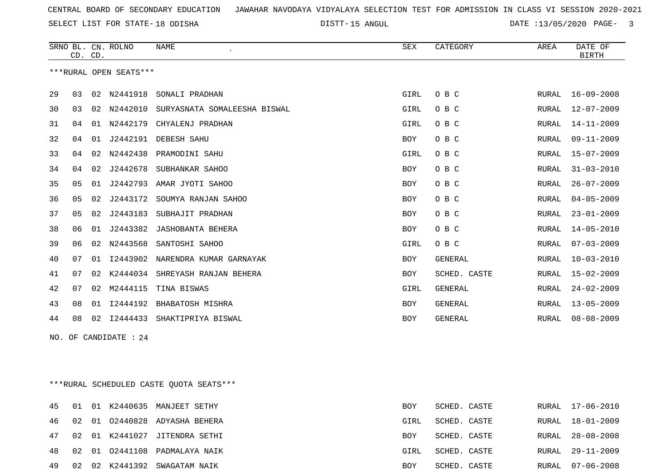SELECT LIST FOR STATE- DISTT- 18 ODISHA

15 ANGUL DATE :13/05/2020 PAGE- 3

|    |                | CD. CD. | SRNO BL. CN. ROLNO     | NAME                         | <b>SEX</b> | CATEGORY       | AREA         | DATE OF<br><b>BIRTH</b> |
|----|----------------|---------|------------------------|------------------------------|------------|----------------|--------------|-------------------------|
|    |                |         | ***RURAL OPEN SEATS*** |                              |            |                |              |                         |
|    |                |         |                        |                              |            |                |              |                         |
| 29 | 03             | 02      | N2441918               | SONALI PRADHAN               | GIRL       | O B C          | RURAL        | $16 - 09 - 2008$        |
| 30 | 03             | 02      | N2442010               | SURYASNATA SOMALEESHA BISWAL | GIRL       | O B C          | RURAL        | $12 - 07 - 2009$        |
| 31 | 04             | 01      | N2442179               | CHYALENJ PRADHAN             | GIRL       | O B C          | RURAL        | $14 - 11 - 2009$        |
| 32 | 04             | 01      | J2442191               | DEBESH SAHU                  | <b>BOY</b> | O B C          | <b>RURAL</b> | $09 - 11 - 2009$        |
| 33 | 04             | 02      | N2442438               | PRAMODINI SAHU               | GIRL       | O B C          | <b>RURAL</b> | $15 - 07 - 2009$        |
| 34 | 04             | 02      | J2442678               | SUBHANKAR SAHOO              | <b>BOY</b> | O B C          | <b>RURAL</b> | $31 - 03 - 2010$        |
| 35 | 0 <sub>5</sub> | 01      | J2442793               | AMAR JYOTI SAHOO             | <b>BOY</b> | O B C          | <b>RURAL</b> | $26 - 07 - 2009$        |
| 36 | 05             | 02      | J2443172               | SOUMYA RANJAN SAHOO          | <b>BOY</b> | O B C          | RURAL        | $04 - 05 - 2009$        |
| 37 | 05             | 02      | J2443183               | SUBHAJIT PRADHAN             | <b>BOY</b> | O B C          | RURAL        | $23 - 01 - 2009$        |
| 38 | 06             | 01      | J2443382               | JASHOBANTA BEHERA            | <b>BOY</b> | O B C          | RURAL        | $14 - 05 - 2010$        |
| 39 | 06             | 02      | N2443568               | SANTOSHI SAHOO               | GIRL       | O B C          | <b>RURAL</b> | $07 - 03 - 2009$        |
| 40 | 07             | 01      | I2443902               | NARENDRA KUMAR GARNAYAK      | <b>BOY</b> | <b>GENERAL</b> | <b>RURAL</b> | $10 - 03 - 2010$        |
| 41 | 07             | 02      | K2444034               | SHREYASH RANJAN BEHERA       | <b>BOY</b> | SCHED. CASTE   | RURAL        | $15 - 02 - 2009$        |
| 42 | 07             | 02      | M2444115               | TINA BISWAS                  | GIRL       | <b>GENERAL</b> | <b>RURAL</b> | $24 - 02 - 2009$        |
| 43 | 08             | 01      | I2444192               | BHABATOSH MISHRA             | <b>BOY</b> | GENERAL        | RURAL        | $13 - 05 - 2009$        |
| 44 | 08             | 02      | I2444433               | SHAKTIPRIYA BISWAL           | <b>BOY</b> | <b>GENERAL</b> | <b>RURAL</b> | $08 - 08 - 2009$        |
|    |                |         |                        |                              |            |                |              |                         |

NO. OF CANDIDATE : 24

\*\*\*RURAL SCHEDULED CASTE QUOTA SEATS\*\*\*

|       |  | 45 01 01 K2440635 MANJEET SETHY  | BOY  | SCHED. CASTE |  | RURAL 17-06-2010 |
|-------|--|----------------------------------|------|--------------|--|------------------|
|       |  | 46 02 01 02440828 ADYASHA BEHERA | GIRL | SCHED. CASTE |  | RURAL 18-01-2009 |
|       |  | 47 02 01 K2441027 JITENDRA SETHI | BOY  | SCHED. CASTE |  | RURAL 28-08-2008 |
|       |  | 48 02 01 02441108 PADMALAYA NAIK | GIRL | SCHED. CASTE |  | RURAL 29-11-2009 |
| 49 02 |  | 02 K2441392 SWAGATAM NAIK        | BOY  | SCHED. CASTE |  | RURAL 07-06-2008 |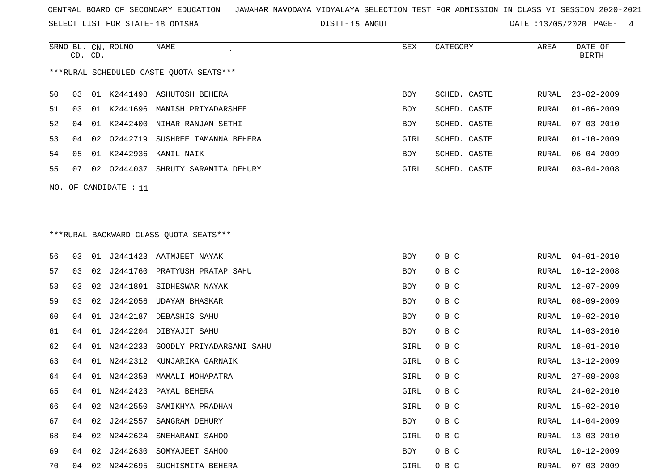SELECT LIST FOR STATE- DISTT- 18 ODISHA

DISTT-15 ANGUL 2020 PAGE- 4

RURAL 13-03-2010

RURAL 10-12-2009

|    | CD. CD. |    | SRNO BL. CN. ROLNO    | NAME                                    | SEX        | CATEGORY     | AREA  | DATE OF<br><b>BIRTH</b> |
|----|---------|----|-----------------------|-----------------------------------------|------------|--------------|-------|-------------------------|
|    |         |    |                       | ***RURAL SCHEDULED CASTE QUOTA SEATS*** |            |              |       |                         |
| 50 | 03      |    |                       | 01 K2441498 ASHUTOSH BEHERA             | <b>BOY</b> | SCHED. CASTE | RURAL | $23 - 02 - 2009$        |
| 51 | 03      |    | 01 K2441696           | MANISH PRIYADARSHEE                     | BOY        | SCHED. CASTE | RURAL | $01 - 06 - 2009$        |
| 52 | 04      |    |                       | 01 K2442400 NIHAR RANJAN SETHI          | BOY        | SCHED. CASTE | RURAL | $07 - 03 - 2010$        |
| 53 | 04      | 02 | 02442719              | SUSHREE TAMANNA BEHERA                  | GIRL       | SCHED. CASTE | RURAL | $01 - 10 - 2009$        |
| 54 | 05      |    | 01 K2442936           | KANIL NAIK                              | BOY        | SCHED. CASTE | RURAL | $06 - 04 - 2009$        |
| 55 | 07      |    |                       | 02 02444037 SHRUTY SARAMITA DEHURY      | GIRL       | SCHED. CASTE | RURAL | $03 - 04 - 2008$        |
|    |         |    | NO. OF CANDIDATE : 11 |                                         |            |              |       |                         |
|    |         |    |                       |                                         |            |              |       |                         |
|    |         |    |                       |                                         |            |              |       |                         |
|    |         |    |                       | *** RURAL BACKWARD CLASS QUOTA SEATS*** |            |              |       |                         |
| 56 | 03      |    |                       | 01 J2441423 AATMJEET NAYAK              | <b>BOY</b> | O B C        | RURAL | $04 - 01 - 2010$        |
| 57 | 03      |    |                       | 02 J2441760 PRATYUSH PRATAP SAHU        | <b>BOY</b> | O B C        | RURAL | $10 - 12 - 2008$        |
| 58 | 03      | 02 |                       | J2441891 SIDHESWAR NAYAK                | <b>BOY</b> | O B C        | RURAL | $12 - 07 - 2009$        |
| 59 | 03      |    |                       | 02 J2442056 UDAYAN BHASKAR              | <b>BOY</b> | O B C        | RURAL | $08 - 09 - 2009$        |
| 60 | 04      | 01 | J2442187              | DEBASHIS SAHU                           | BOY        | O B C        | RURAL | 19-02-2010              |
| 61 | 04      |    |                       | 01 J2442204 DIBYAJIT SAHU               | BOY        | O B C        | RURAL | $14 - 03 - 2010$        |
| 62 | 04      | 01 |                       | N2442233 GOODLY PRIYADARSANI SAHU       | GIRL       | O B C        | RURAL | $18 - 01 - 2010$        |
| 63 | 04      |    |                       | 01 N2442312 KUNJARIKA GARNAIK           | GIRL       | O B C        | RURAL | $13 - 12 - 2009$        |
| 64 | 04      |    | 01 N2442358           | MAMALI MOHAPATRA                        | GIRL       | O B C        | RURAL | $27 - 08 - 2008$        |
| 65 | 04      |    | 01 N2442423           | PAYAL BEHERA                            | GIRL       | O B C        | RURAL | $24 - 02 - 2010$        |
| 66 | 04      | 02 | N2442550              | SAMIKHYA PRADHAN                        | GIRL       | O B C        | RURAL | $15 - 02 - 2010$        |
| 67 | 04      |    | 02 J2442557           | SANGRAM DEHURY                          | <b>BOY</b> | O B C        | RURAL | 14-04-2009              |

68 04 02 N2442624 SNEHARANI SAHOO GIRL O B C

69 04 02 J2442630 SOMYAJEET SAHOO BOY O BOY O B C

70 04 02 N2442695 SUCHISMITA BEHERA GIRL O B C RURAL 07-03-2009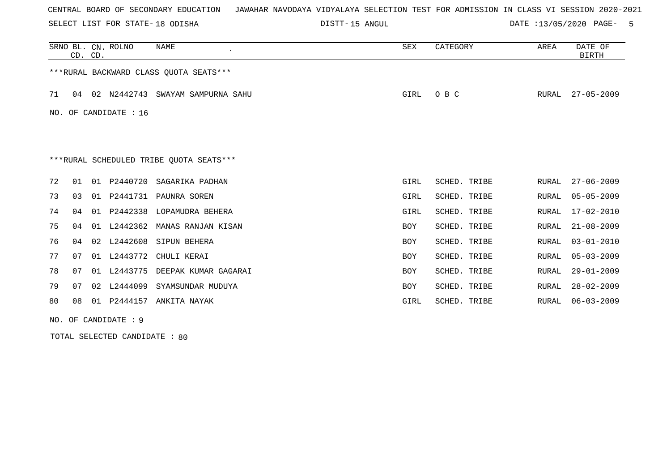SELECT LIST FOR STATE- DISTT- 18 ODISHA

DISTT-15 ANGUL 2008 2009 DATE :13/05/2020 PAGE- 5

|    |                                         | CD. CD. | SRNO BL. CN. ROLNO | <b>NAME</b>                             | <b>SEX</b> | CATEGORY     | AREA  | DATE OF<br><b>BIRTH</b> |  |  |
|----|-----------------------------------------|---------|--------------------|-----------------------------------------|------------|--------------|-------|-------------------------|--|--|
|    |                                         |         |                    | *** RURAL BACKWARD CLASS QUOTA SEATS*** |            |              |       |                         |  |  |
| 71 | 04                                      |         | 02 N2442743        | SWAYAM SAMPURNA SAHU                    | GIRL       | O B C        | RURAL | $27 - 05 - 2009$        |  |  |
|    | NO. OF CANDIDATE : $16$                 |         |                    |                                         |            |              |       |                         |  |  |
|    |                                         |         |                    |                                         |            |              |       |                         |  |  |
|    | ***RURAL SCHEDULED TRIBE OUOTA SEATS*** |         |                    |                                         |            |              |       |                         |  |  |
| 72 | 01                                      | 01      | P2440720           | SAGARIKA PADHAN                         | GIRL       | SCHED. TRIBE | RURAL | $27 - 06 - 2009$        |  |  |
| 73 | 03                                      | 01      | P2441731           | PAUNRA SOREN                            | GIRL       | SCHED. TRIBE | RURAL | $05 - 05 - 2009$        |  |  |
| 74 | 04                                      | 01      | P2442338           | LOPAMUDRA BEHERA                        | GIRL       | SCHED. TRIBE | RURAL | $17 - 02 - 2010$        |  |  |
| 75 | 04                                      | 01      | L2442362           | MANAS RANJAN KISAN                      | BOY        | SCHED. TRIBE | RURAL | $21 - 08 - 2009$        |  |  |
| 76 | 04                                      | 02      | L2442608           | SIPUN BEHERA                            | <b>BOY</b> | SCHED. TRIBE | RURAL | $03 - 01 - 2010$        |  |  |
| 77 | 07                                      |         | 01 L2443772        | CHULI KERAI                             | <b>BOY</b> | SCHED. TRIBE | RURAL | $05 - 03 - 2009$        |  |  |
| 78 | 07                                      |         | 01 L2443775        | DEEPAK KUMAR GAGARAI                    | <b>BOY</b> | SCHED. TRIBE | RURAL | $29 - 01 - 2009$        |  |  |
| 79 | 07                                      |         | 02 L2444099        | SYAMSUNDAR MUDUYA                       | <b>BOY</b> | SCHED. TRIBE | RURAL | $28 - 02 - 2009$        |  |  |
| 80 | 08                                      | 01      | P2444157           | ANKITA NAYAK                            | GIRL       | SCHED. TRIBE | RURAL | $06 - 03 - 2009$        |  |  |

NO. OF CANDIDATE : 9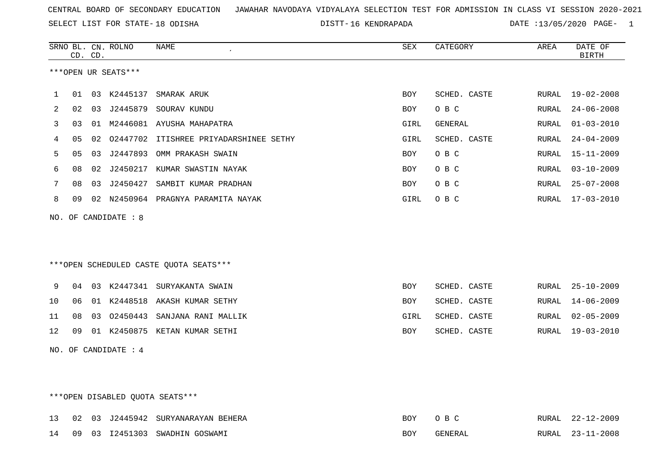SELECT LIST FOR STATE- DISTT- 18 ODISHA

16 KENDRAPADA DATE :13/05/2020 PAGE- 1

|    | CD. CD.                         |    | SRNO BL. CN. ROLNO   | <b>NAME</b>                               | ${\tt SEX}$ | CATEGORY     | AREA  | DATE OF<br><b>BIRTH</b> |  |
|----|---------------------------------|----|----------------------|-------------------------------------------|-------------|--------------|-------|-------------------------|--|
|    |                                 |    | ***OPEN UR SEATS***  |                                           |             |              |       |                         |  |
|    |                                 |    |                      |                                           |             |              |       |                         |  |
| 1  | 01                              |    |                      | 03 K2445137 SMARAK ARUK                   | BOY         | SCHED. CASTE |       | RURAL 19-02-2008        |  |
| 2  | 02                              |    | 03 J2445879          | SOURAV KUNDU                              | BOY         | O B C        | RURAL | $24 - 06 - 2008$        |  |
| 3  | 03                              |    |                      | 01 M2446081 AYUSHA MAHAPATRA              | GIRL        | GENERAL      | RURAL | $01 - 03 - 2010$        |  |
| 4  | 05                              |    |                      | 02 02447702 ITISHREE PRIYADARSHINEE SETHY | GIRL        | SCHED. CASTE | RURAL | $24 - 04 - 2009$        |  |
| 5  | 05                              | 03 |                      | J2447893 OMM PRAKASH SWAIN                | BOY         | O B C        | RURAL | $15 - 11 - 2009$        |  |
| 6  | 08                              |    |                      | 02 J2450217 KUMAR SWASTIN NAYAK           | BOY         | O B C        | RURAL | $03 - 10 - 2009$        |  |
| 7  | 08                              | 03 | J2450427             | SAMBIT KUMAR PRADHAN                      | BOY         | O B C        | RURAL | $25 - 07 - 2008$        |  |
| 8  | 09                              |    |                      | 02 N2450964 PRAGNYA PARAMITA NAYAK        | GIRL        | O B C        |       | RURAL 17-03-2010        |  |
|    |                                 |    | NO. OF CANDIDATE : 8 |                                           |             |              |       |                         |  |
|    |                                 |    |                      |                                           |             |              |       |                         |  |
|    |                                 |    |                      |                                           |             |              |       |                         |  |
|    |                                 |    |                      |                                           |             |              |       |                         |  |
|    |                                 |    |                      | ***OPEN SCHEDULED CASTE QUOTA SEATS***    |             |              |       |                         |  |
| 9  | 04                              |    |                      | 03 K2447341 SURYAKANTA SWAIN              | BOY         | SCHED. CASTE | RURAL | $25 - 10 - 2009$        |  |
| 10 | 06                              |    |                      | 01 K2448518 AKASH KUMAR SETHY             | BOY         | SCHED. CASTE | RURAL | $14 - 06 - 2009$        |  |
| 11 | 08                              |    |                      | 03 02450443 SANJANA RANI MALLIK           | GIRL        | SCHED. CASTE | RURAL | $02 - 05 - 2009$        |  |
| 12 | 09                              |    |                      | 01 K2450875 KETAN KUMAR SETHI             | BOY         | SCHED. CASTE | RURAL | $19 - 03 - 2010$        |  |
|    |                                 |    | NO. OF CANDIDATE : 4 |                                           |             |              |       |                         |  |
|    |                                 |    |                      |                                           |             |              |       |                         |  |
|    |                                 |    |                      |                                           |             |              |       |                         |  |
|    |                                 |    |                      |                                           |             |              |       |                         |  |
|    | ***OPEN DISABLED QUOTA SEATS*** |    |                      |                                           |             |              |       |                         |  |

|  |  | 13 02 03 J2445942 SURYANARAYAN BEHERA | BOY OBC |         | RURAL 22-12-2009 |
|--|--|---------------------------------------|---------|---------|------------------|
|  |  | 14 09 03 12451303 SWADHIN GOSWAMI     | BOY     | GENERAL | RURAL 23-11-2008 |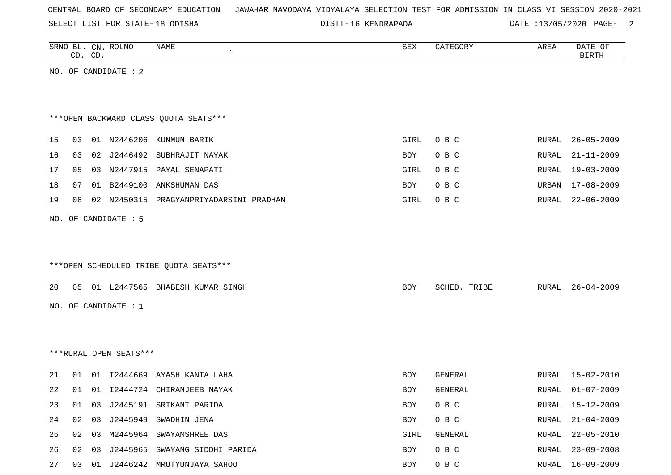SELECT LIST FOR STATE- DISTT- 18 ODISHA

16 KENDRAPADA DATE :13/05/2020 PAGE- 2

|                                        |                               | CD. CD.  | SRNO BL. CN. ROLNO     | NAME                                                                                                                                                                                                                     | SEX                                            | CATEGORY                                                          | AREA                                                          | DATE OF<br><b>BIRTH</b> |
|----------------------------------------|-------------------------------|----------|------------------------|--------------------------------------------------------------------------------------------------------------------------------------------------------------------------------------------------------------------------|------------------------------------------------|-------------------------------------------------------------------|---------------------------------------------------------------|-------------------------|
|                                        |                               |          | NO. OF CANDIDATE : 2   |                                                                                                                                                                                                                          |                                                |                                                                   |                                                               |                         |
|                                        |                               |          |                        |                                                                                                                                                                                                                          |                                                |                                                                   |                                                               |                         |
|                                        |                               |          |                        |                                                                                                                                                                                                                          |                                                |                                                                   |                                                               |                         |
|                                        |                               |          |                        | *** OPEN BACKWARD CLASS QUOTA SEATS***                                                                                                                                                                                   |                                                |                                                                   |                                                               |                         |
| 15                                     | 03                            |          |                        | 01 N2446206 KUNMUN BARIK                                                                                                                                                                                                 | GIRL                                           | O B C                                                             | RURAL                                                         | $26 - 05 - 2009$        |
| 16                                     | 03                            | 02       |                        | J2446492 SUBHRAJIT NAYAK                                                                                                                                                                                                 | BOY                                            | O B C                                                             | RURAL                                                         | $21 - 11 - 2009$        |
| 17                                     | 05                            |          |                        | 03 N2447915 PAYAL SENAPATI                                                                                                                                                                                               | GIRL                                           | O B C                                                             | RURAL                                                         | $19 - 03 - 2009$        |
| 18                                     | 07                            | 01       | B2449100               | ANKSHUMAN DAS                                                                                                                                                                                                            | BOY                                            | O B C                                                             | URBAN                                                         | $17 - 08 - 2009$        |
| 19                                     | 08                            |          |                        | 02 N2450315 PRAGYANPRIYADARSINI PRADHAN                                                                                                                                                                                  | GIRL                                           | O B C                                                             | RURAL                                                         | $22 - 06 - 2009$        |
|                                        |                               |          |                        |                                                                                                                                                                                                                          |                                                |                                                                   |                                                               |                         |
|                                        |                               |          | NO. OF CANDIDATE : 5   |                                                                                                                                                                                                                          |                                                |                                                                   |                                                               |                         |
|                                        |                               |          |                        |                                                                                                                                                                                                                          |                                                |                                                                   |                                                               |                         |
|                                        |                               |          |                        | ***OPEN SCHEDULED TRIBE QUOTA SEATS***                                                                                                                                                                                   |                                                |                                                                   |                                                               |                         |
|                                        |                               |          |                        |                                                                                                                                                                                                                          |                                                |                                                                   |                                                               |                         |
| 20                                     | 05                            |          |                        | 01 L2447565 BHABESH KUMAR SINGH                                                                                                                                                                                          | BOY                                            | SCHED. TRIBE                                                      | RURAL                                                         | $26 - 04 - 2009$        |
|                                        |                               |          | NO. OF CANDIDATE : 1   |                                                                                                                                                                                                                          |                                                |                                                                   |                                                               |                         |
|                                        |                               |          |                        |                                                                                                                                                                                                                          |                                                |                                                                   |                                                               |                         |
|                                        |                               |          |                        |                                                                                                                                                                                                                          |                                                |                                                                   |                                                               |                         |
|                                        |                               |          | ***RURAL OPEN SEATS*** |                                                                                                                                                                                                                          |                                                |                                                                   |                                                               |                         |
|                                        |                               |          |                        |                                                                                                                                                                                                                          |                                                |                                                                   |                                                               | $15 - 02 - 2010$        |
|                                        |                               |          |                        |                                                                                                                                                                                                                          |                                                |                                                                   |                                                               |                         |
|                                        |                               |          |                        |                                                                                                                                                                                                                          |                                                |                                                                   |                                                               | $01 - 07 - 2009$        |
|                                        |                               |          |                        |                                                                                                                                                                                                                          |                                                |                                                                   |                                                               | RURAL 15-12-2009        |
|                                        |                               |          |                        |                                                                                                                                                                                                                          |                                                |                                                                   |                                                               | $21 - 04 - 2009$        |
|                                        |                               |          |                        |                                                                                                                                                                                                                          |                                                |                                                                   |                                                               | $22 - 05 - 2010$        |
|                                        |                               |          |                        |                                                                                                                                                                                                                          |                                                |                                                                   |                                                               | $23 - 09 - 2008$        |
| 21<br>22<br>23<br>24<br>25<br>26<br>27 | 01<br>01<br>01<br>02<br>02 03 | 01<br>03 |                        | 12444669 AYASH KANTA LAHA<br>01 I2444724 CHIRANJEEB NAYAK<br>03 J2445191 SRIKANT PARIDA<br>J2445949 SWADHIN JENA<br>02 03 M2445964 SWAYAMSHREE DAS<br>J2445965 SWAYANG SIDDHI PARIDA<br>03 01 J2446242 MRUTYUNJAYA SAHOO | BOY<br>BOY<br>BOY<br>BOY<br>GIRL<br>BOY<br>BOY | GENERAL<br>GENERAL<br>O B C<br>O B C<br>GENERAL<br>O B C<br>O B C | RURAL<br>RURAL<br>RURAL<br>RURAL<br>RURAL<br>RURAL 16-09-2009 |                         |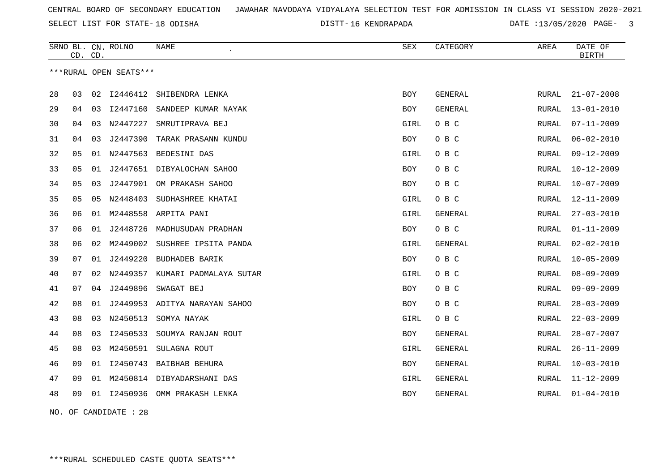SELECT LIST FOR STATE- DISTT- 18 ODISHA

16 KENDRAPADA DATE :13/05/2020 PAGE- 3

|    | CD. CD. |    | SRNO BL. CN. ROLNO     | <b>NAME</b>                | SEX        | CATEGORY       | AREA          | DATE OF<br><b>BIRTH</b> |
|----|---------|----|------------------------|----------------------------|------------|----------------|---------------|-------------------------|
|    |         |    | ***RURAL OPEN SEATS*** |                            |            |                |               |                         |
| 28 | 03      | 02 | I2446412               | SHIBENDRA LENKA            | <b>BOY</b> | <b>GENERAL</b> | RURAL         | $21 - 07 - 2008$        |
| 29 | 04      | 03 | I2447160               | SANDEEP KUMAR NAYAK        | BOY        | GENERAL        | RURAL         | $13 - 01 - 2010$        |
| 30 | 04      |    | 03 N2447227            | SMRUTIPRAVA BEJ            | GIRL       | O B C          | RURAL         | $07 - 11 - 2009$        |
| 31 | 04      | 03 | J2447390               | TARAK PRASANN KUNDU        | BOY        | O B C          | RURAL         | $06 - 02 - 2010$        |
| 32 | 05      |    | 01 N2447563            | BEDESINI DAS               | GIRL       | O B C          | ${\tt RURAL}$ | $09 - 12 - 2009$        |
| 33 | 05      | 01 | J2447651               | DIBYALOCHAN SAHOO          | <b>BOY</b> | O B C          | RURAL         | $10 - 12 - 2009$        |
| 34 | 05      | 03 | J2447901               | OM PRAKASH SAHOO           | <b>BOY</b> | O B C          | <b>RURAL</b>  | $10 - 07 - 2009$        |
| 35 | 05      | 05 | N2448403               | SUDHASHREE KHATAI          | GIRL       | O B C          | RURAL         | $12 - 11 - 2009$        |
| 36 | 06      | 01 | M2448558               | ARPITA PANI                | GIRL       | GENERAL        | RURAL         | $27 - 03 - 2010$        |
| 37 | 06      | 01 | J2448726               | MADHUSUDAN PRADHAN         | BOY        | O B C          | RURAL         | $01 - 11 - 2009$        |
| 38 | 06      | 02 | M2449002               | SUSHREE IPSITA PANDA       | GIRL       | GENERAL        | RURAL         | $02 - 02 - 2010$        |
| 39 | 07      | 01 |                        | J2449220 BUDHADEB BARIK    | BOY        | O B C          | RURAL         | $10 - 05 - 2009$        |
| 40 | 07      | 02 | N2449357               | KUMARI PADMALAYA SUTAR     | GIRL       | O B C          | <b>RURAL</b>  | $08 - 09 - 2009$        |
| 41 | 07      | 04 | J2449896               | SWAGAT BEJ                 | BOY        | O B C          | RURAL         | $09 - 09 - 2009$        |
| 42 | 08      | 01 | J2449953               | ADITYA NARAYAN SAHOO       | BOY        | O B C          | RURAL         | $28 - 03 - 2009$        |
| 43 | 08      | 03 | N2450513               | SOMYA NAYAK                | GIRL       | O B C          | RURAL         | $22 - 03 - 2009$        |
| 44 | 08      | 03 | I2450533               | SOUMYA RANJAN ROUT         | <b>BOY</b> | <b>GENERAL</b> | <b>RURAL</b>  | $28 - 07 - 2007$        |
| 45 | 08      | 03 | M2450591               | SULAGNA ROUT               | GIRL       | <b>GENERAL</b> | RURAL         | $26 - 11 - 2009$        |
| 46 | 09      | 01 |                        | 12450743 BAIBHAB BEHURA    | <b>BOY</b> | <b>GENERAL</b> | RURAL         | $10 - 03 - 2010$        |
| 47 | 09      | 01 |                        | M2450814 DIBYADARSHANI DAS | GIRL       | <b>GENERAL</b> | RURAL         | $11 - 12 - 2009$        |
| 48 | 09      | 01 | I2450936               | OMM PRAKASH LENKA          | BOY        | <b>GENERAL</b> | RURAL         | $01 - 04 - 2010$        |
|    |         |    |                        |                            |            |                |               |                         |

NO. OF CANDIDATE : 28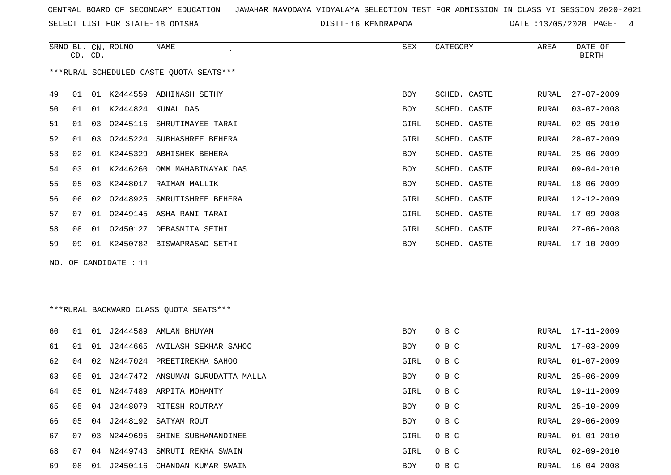SELECT LIST FOR STATE- DISTT- 18 ODISHA

16 KENDRAPADA DATE :13/05/2020 PAGE- 4

|    |    | CD. CD. | SRNO BL. CN. ROLNO    | <b>NAME</b>                             | ${\tt SEX}$ | CATEGORY     | AREA  | DATE OF<br><b>BIRTH</b> |
|----|----|---------|-----------------------|-----------------------------------------|-------------|--------------|-------|-------------------------|
|    |    |         |                       | ***RURAL SCHEDULED CASTE OUOTA SEATS*** |             |              |       |                         |
| 49 | 01 |         |                       | 01 K2444559 ABHINASH SETHY              | BOY         | SCHED. CASTE | RURAL | $27 - 07 - 2009$        |
| 50 | 01 |         |                       | 01 K2444824 KUNAL DAS                   | BOY         | SCHED. CASTE | RURAL | $03 - 07 - 2008$        |
| 51 | 01 | 03      |                       | 02445116 SHRUTIMAYEE TARAI              | GIRL        | SCHED. CASTE | RURAL | $02 - 05 - 2010$        |
| 52 | 01 | 03      | 02445224              | SUBHASHREE BEHERA                       | GIRL        | SCHED. CASTE | RURAL | $28 - 07 - 2009$        |
| 53 | 02 | 01      | K2445329              | ABHISHEK BEHERA                         | BOY         | SCHED. CASTE | RURAL | $25 - 06 - 2009$        |
| 54 | 03 |         | 01 K2446260           | OMM MAHABINAYAK DAS                     | <b>BOY</b>  | SCHED. CASTE | RURAL | $09 - 04 - 2010$        |
| 55 | 05 | 03      | K2448017              | RAIMAN MALLIK                           | <b>BOY</b>  | SCHED. CASTE | RURAL | $18 - 06 - 2009$        |
| 56 | 06 | 02      | 02448925              | SMRUTISHREE BEHERA                      | GIRL        | SCHED. CASTE | RURAL | $12 - 12 - 2009$        |
| 57 | 07 | 01      |                       | 02449145 ASHA RANI TARAI                | GIRL        | SCHED. CASTE | RURAL | $17 - 09 - 2008$        |
| 58 | 08 | 01      | 02450127              | DEBASMITA SETHI                         | GIRL        | SCHED. CASTE | RURAL | $27 - 06 - 2008$        |
| 59 | 09 |         |                       | 01 K2450782 BISWAPRASAD SETHI           | BOY         | SCHED. CASTE | RURAL | $17 - 10 - 2009$        |
|    |    |         | NO. OF CANDIDATE : 11 |                                         |             |              |       |                         |
|    |    |         |                       |                                         |             |              |       |                         |
|    |    |         |                       | *** RURAL BACKWARD CLASS QUOTA SEATS*** |             |              |       |                         |
| 60 | 01 |         |                       | 01 J2444589 AMLAN BHUYAN                | <b>BOY</b>  | O B C        | RURAL | $17 - 11 - 2009$        |
| 61 | 01 | 01      |                       | J2444665 AVILASH SEKHAR SAHOO           | BOY         | O B C        | RURAL | $17 - 03 - 2009$        |
| 62 | 04 |         |                       | 02 N2447024 PREETIREKHA SAHOO           | GIRL        | O B C        | RURAL | $01 - 07 - 2009$        |

68 07 04 N2449743 SMRUTI REKHA SWAIN GIRL O B C RURAL 02-09-2010 69 08 01 J2450116 CHANDAN KUMAR SWAIN BOY O B C RURAL 16-04-2008

63 05 01 J2447472 ANSUMAN GURUDATTA MALLA BOX O B C

65 05 04 J2448079 RITESH ROUTRAY BOY O B C RURAL 25-10-2009 66 05 04 J2448192 SATYAM ROUT BOY O B C RURAL 2009 67 07 03 N2449695 SHINE SUBHANANDINEE GIRL O B C

RURAL 25-06-2009 64 05 01 N2447489 ARPITA MOHANTY GIRL O B C RURAL 19-11-2009 RURAL 29-06-2009 RURAL 01-01-2010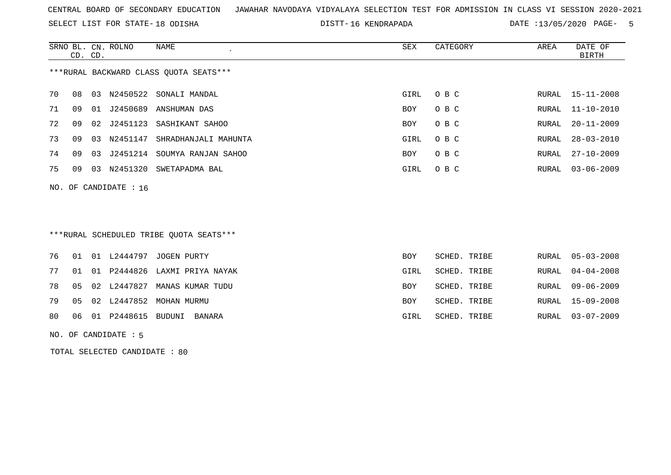SELECT LIST FOR STATE- DISTT- 18 ODISHA

16 KENDRAPADA DATE :13/05/2020 PAGE- 5

|                                        | CD. CD. |    | SRNO BL. CN. ROLNO      | NAME<br>$\epsilon$       | SEX  | CATEGORY | AREA  | DATE OF<br>BIRTH |
|----------------------------------------|---------|----|-------------------------|--------------------------|------|----------|-------|------------------|
| ***RURAL BACKWARD CLASS OUOTA SEATS*** |         |    |                         |                          |      |          |       |                  |
| 70                                     | 08      | 03 |                         | N2450522 SONALI MANDAL   | GIRL | O B C    |       | RURAL 15-11-2008 |
| 71                                     | 09      | 01 | J2450689                | ANSHUMAN DAS             | BOY  | O B C    |       | RURAL 11-10-2010 |
| 72                                     | 09      | 02 |                         | J2451123 SASHIKANT SAHOO | BOY  | O B C    | RURAL | $20 - 11 - 2009$ |
| 73                                     | 09      | 03 | N2451147                | SHRADHANJALI MAHUNTA     | GIRL | O B C    | RURAL | $28 - 03 - 2010$ |
| 74                                     | 09      | 03 | J2451214                | SOUMYA RANJAN SAHOO      | BOY  | O B C    | RURAL | 27-10-2009       |
| 75                                     | 09      | 03 |                         | N2451320 SWETAPADMA BAL  | GIRL | O B C    |       | RURAL 03-06-2009 |
|                                        |         |    | NO. OF CANDIDATE : $16$ |                          |      |          |       |                  |

# \*\*\*RURAL SCHEDULED TRIBE QUOTA SEATS\*\*\*

|  |                                      | 76 01 01 L2444797 JOGEN PURTY       | BOY        | SCHED. TRIBE | RURAL 05-03-2008 |
|--|--------------------------------------|-------------------------------------|------------|--------------|------------------|
|  |                                      | 77 01 01 P2444826 LAXMI PRIYA NAYAK | GIRL       | SCHED. TRIBE | RURAL 04-04-2008 |
|  |                                      | 78 05 02 L2447827 MANAS KUMAR TUDU  | <b>BOY</b> | SCHED. TRIBE | RURAL 09-06-2009 |
|  |                                      | 79 05 02 L2447852 MOHAN MURMU       | BOY        | SCHED. TRIBE | RURAL 15-09-2008 |
|  | 80    06    01    P2448615    BUDUNI | BANARA                              | GIRL       | SCHED. TRIBE | RURAL 03-07-2009 |
|  |                                      |                                     |            |              |                  |

#### NO. OF CANDIDATE : 5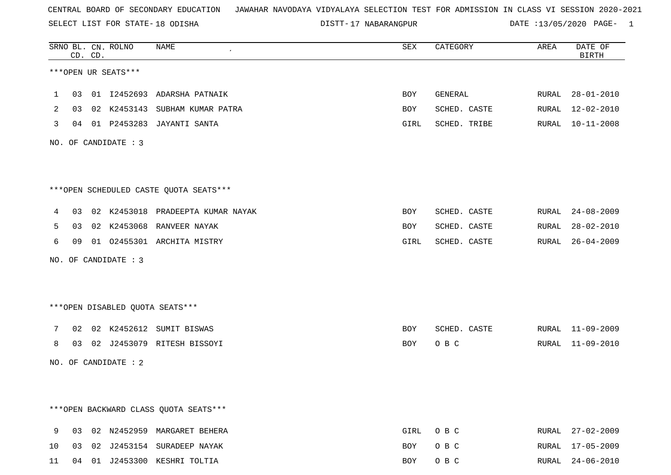SELECT LIST FOR STATE- DISTT- 18 ODISHA

DISTT-17 NABARANGPUR DATE :13/05/2020 PAGE- 1

|    |    | CD. CD. | SRNO BL. CN. ROLNO   | <b>NAME</b><br>$\cdot$                 | SEX  | CATEGORY     | AREA  | DATE OF<br><b>BIRTH</b> |
|----|----|---------|----------------------|----------------------------------------|------|--------------|-------|-------------------------|
|    |    |         | ***OPEN UR SEATS***  |                                        |      |              |       |                         |
| 1  |    |         |                      | 03 01 I2452693 ADARSHA PATNAIK         | BOY  | GENERAL      |       | RURAL 28-01-2010        |
| 2  | 03 |         |                      | 02 K2453143 SUBHAM KUMAR PATRA         | BOY  | SCHED. CASTE | RURAL | 12-02-2010              |
| 3  |    |         |                      | 04 01 P2453283 JAYANTI SANTA           | GIRL | SCHED. TRIBE |       | RURAL 10-11-2008        |
|    |    |         | NO. OF CANDIDATE : 3 |                                        |      |              |       |                         |
|    |    |         |                      |                                        |      |              |       |                         |
|    |    |         |                      | ***OPEN SCHEDULED CASTE QUOTA SEATS*** |      |              |       |                         |
| 4  |    |         |                      | 03 02 K2453018 PRADEEPTA KUMAR NAYAK   | BOY  | SCHED. CASTE | RURAL | $24 - 08 - 2009$        |
| 5  |    |         |                      | 03 02 K2453068 RANVEER NAYAK           | BOY  | SCHED. CASTE | RURAL | $28 - 02 - 2010$        |
| 6  |    |         |                      | 09 01 02455301 ARCHITA MISTRY          | GIRL | SCHED. CASTE | RURAL | $26 - 04 - 2009$        |
|    |    |         | NO. OF CANDIDATE : 3 |                                        |      |              |       |                         |
|    |    |         |                      |                                        |      |              |       |                         |
|    |    |         |                      | ***OPEN DISABLED QUOTA SEATS***        |      |              |       |                         |
| 7  |    |         |                      | 02 02 K2452612 SUMIT BISWAS            | BOY  | SCHED. CASTE |       | RURAL 11-09-2009        |
| 8  | 03 |         |                      | 02 J2453079 RITESH BISSOYI             | BOY  | O B C        |       | RURAL 11-09-2010        |
|    |    |         | NO. OF CANDIDATE : 2 |                                        |      |              |       |                         |
|    |    |         |                      |                                        |      |              |       |                         |
|    |    |         |                      |                                        |      |              |       |                         |
|    |    |         |                      | *** OPEN BACKWARD CLASS QUOTA SEATS*** |      |              |       |                         |
| 9  |    |         |                      | 03 02 N2452959 MARGARET BEHERA         | GIRL | O B C        |       | RURAL 27-02-2009        |
| 10 |    |         |                      | 03 02 J2453154 SURADEEP NAYAK          | BOY  | O B C        | RURAL | 17-05-2009              |
| 11 |    |         |                      | 04 01 J2453300 KESHRI TOLTIA           | BOY  | O B C        |       | RURAL 24-06-2010        |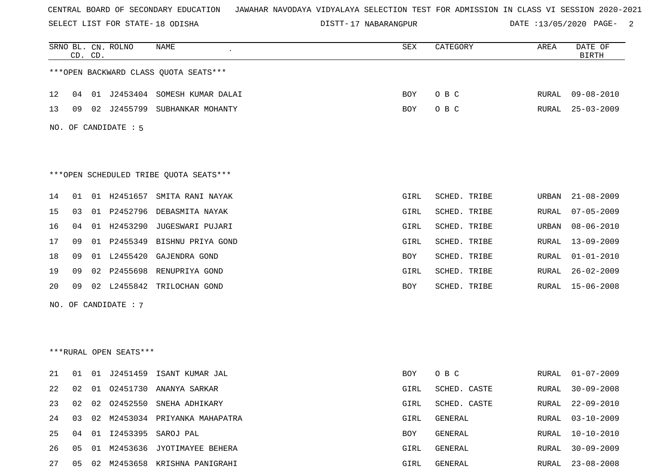SELECT LIST FOR STATE- DISTT- 18 ODISHA

DISTT-17 NABARANGPUR DATE :13/05/2020 PAGE- 2

|    |    | CD. CD. | SRNO BL. CN. ROLNO     | NAME                                   | SEX        | CATEGORY     | AREA  | DATE OF<br><b>BIRTH</b> |
|----|----|---------|------------------------|----------------------------------------|------------|--------------|-------|-------------------------|
|    |    |         |                        | *** OPEN BACKWARD CLASS QUOTA SEATS*** |            |              |       |                         |
| 12 | 04 |         |                        | 01 J2453404 SOMESH KUMAR DALAI         | BOY        | O B C        | RURAL | 09-08-2010              |
| 13 | 09 | 02      | J2455799               | SUBHANKAR MOHANTY                      | BOY        | O B C        | RURAL | $25 - 03 - 2009$        |
|    |    |         | NO. OF CANDIDATE : 5   |                                        |            |              |       |                         |
|    |    |         |                        | ***OPEN SCHEDULED TRIBE QUOTA SEATS*** |            |              |       |                         |
| 14 | 01 |         | 01 H2451657            | SMITA RANI NAYAK                       | GIRL       | SCHED. TRIBE | URBAN | $21 - 08 - 2009$        |
| 15 | 03 |         | 01 P2452796            | DEBASMITA NAYAK                        | GIRL       | SCHED. TRIBE | RURAL | $07 - 05 - 2009$        |
| 16 | 04 |         | 01 H2453290            | JUGESWARI PUJARI                       | GIRL       | SCHED. TRIBE | URBAN | $08 - 06 - 2010$        |
| 17 | 09 |         | 01 P2455349            | BISHNU PRIYA GOND                      | GIRL       | SCHED. TRIBE | RURAL | $13 - 09 - 2009$        |
| 18 | 09 |         | 01 L2455420            | GAJENDRA GOND                          | BOY        | SCHED. TRIBE | RURAL | $01 - 01 - 2010$        |
| 19 | 09 | 02      | P2455698               | RENUPRIYA GOND                         | GIRL       | SCHED. TRIBE | RURAL | $26 - 02 - 2009$        |
| 20 | 09 | 02      | L2455842               | TRILOCHAN GOND                         | <b>BOY</b> | SCHED. TRIBE | RURAL | $15 - 06 - 2008$        |
|    |    |         | NO. OF CANDIDATE : 7   |                                        |            |              |       |                         |
|    |    |         |                        |                                        |            |              |       |                         |
|    |    |         |                        |                                        |            |              |       |                         |
|    |    |         | ***RURAL OPEN SEATS*** |                                        |            |              |       |                         |
| 21 | 01 | 01      |                        | J2451459 ISANT KUMAR JAL               | BOY        | O B C        | RURAL | $01 - 07 - 2009$        |
| 22 | 02 |         |                        | 01 02451730 ANANYA SARKAR              | GIRL       | SCHED. CASTE | RURAL | $30 - 09 - 2008$        |
| 23 | 02 | 02      |                        | 02452550 SNEHA ADHIKARY                | GIRL       | SCHED. CASTE | RURAL | $22 - 09 - 2010$        |
| 24 | 03 | 02      |                        | M2453034 PRIYANKA MAHAPATRA            | GIRL       | GENERAL      | RURAL | $03 - 10 - 2009$        |
| 25 | 04 |         |                        | 01 I2453395 SAROJ PAL                  | BOY        | GENERAL      | RURAL | $10 - 10 - 2010$        |
| 26 | 05 | 01      | M2453636               | JYOTIMAYEE BEHERA                      | GIRL       | GENERAL      | RURAL | $30 - 09 - 2009$        |
| 27 | 05 |         |                        | 02 M2453658 KRISHNA PANIGRAHI          | GIRL       | GENERAL      | RURAL | $23 - 08 - 2008$        |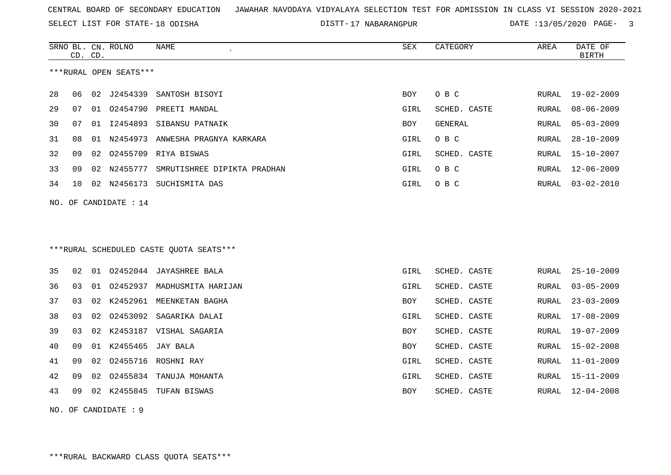SELECT LIST FOR STATE- DISTT- 18 ODISHA

DISTT-17 NABARANGPUR DATE :13/05/2020 PAGE- 3

|    | CD. CD. |    | SRNO BL. CN. ROLNO     | <b>NAME</b>                             | <b>SEX</b> | CATEGORY     | AREA          | DATE OF<br><b>BIRTH</b> |
|----|---------|----|------------------------|-----------------------------------------|------------|--------------|---------------|-------------------------|
|    |         |    | ***RURAL OPEN SEATS*** |                                         |            |              |               |                         |
| 28 | 06      | 02 | J2454339               | SANTOSH BISOYI                          | <b>BOY</b> | O B C        | RURAL         | $19 - 02 - 2009$        |
| 29 | 07      | 01 |                        | 02454790 PREETI MANDAL                  | GIRL       | SCHED. CASTE | RURAL         | $08 - 06 - 2009$        |
| 30 | 07      |    |                        | 01 I2454893 SIBANSU PATNAIK             | <b>BOY</b> | GENERAL      | RURAL         | $05 - 03 - 2009$        |
| 31 | 08      | 01 | N2454973               | ANWESHA PRAGNYA KARKARA                 | GIRL       | O B C        | RURAL         | $28 - 10 - 2009$        |
| 32 | 09      | 02 | 02455709               | RIYA BISWAS                             | GIRL       | SCHED. CASTE | RURAL         | $15 - 10 - 2007$        |
| 33 | 09      |    | 02 N2455777            | SMRUTISHREE DIPIKTA PRADHAN             | GIRL       | O B C        | RURAL         | $12 - 06 - 2009$        |
| 34 | 10      |    |                        | 02 N2456173 SUCHISMITA DAS              | GIRL       | O B C        | RURAL         | $03 - 02 - 2010$        |
|    |         |    | NO. OF CANDIDATE : 14  |                                         |            |              |               |                         |
|    |         |    |                        |                                         |            |              |               |                         |
|    |         |    |                        |                                         |            |              |               |                         |
|    |         |    |                        | ***RURAL SCHEDULED CASTE OUOTA SEATS*** |            |              |               |                         |
| 35 | 02      | 01 |                        | 02452044 JAYASHREE BALA                 | GIRL       | SCHED. CASTE | RURAL         | $25 - 10 - 2009$        |
| 36 | 03      | 01 |                        | 02452937 MADHUSMITA HARIJAN             | GIRL       | SCHED. CASTE | RURAL         | $03 - 05 - 2009$        |
| 37 | 03      |    |                        | 02 K2452961 MEENKETAN BAGHA             | BOY        | SCHED. CASTE | RURAL         | $23 - 03 - 2009$        |
| 38 | 03      | 02 |                        | 02453092 SAGARIKA DALAI                 | GIRL       | SCHED. CASTE | RURAL         | $17 - 08 - 2009$        |
| 39 | 03      |    |                        | 02 K2453187 VISHAL SAGARIA              | <b>BOY</b> | SCHED. CASTE | ${\tt RURAL}$ | $19 - 07 - 2009$        |
| 40 | 09      |    | 01 K2455465            | JAY BALA                                | <b>BOY</b> | SCHED. CASTE | RURAL         | $15 - 02 - 2008$        |
| 41 | 09      | 02 | 02455716               | ROSHNI RAY                              | GIRL       | SCHED. CASTE | <b>RURAL</b>  | $11 - 01 - 2009$        |
| 42 | 09      | 02 | 02455834               | TANUJA MOHANTA                          | GIRL       | SCHED. CASTE | RURAL         | $15 - 11 - 2009$        |
| 43 | 09      |    | 02 K2455845            | TUFAN BISWAS                            | <b>BOY</b> | SCHED. CASTE | RURAL         | $12 - 04 - 2008$        |
|    |         |    |                        |                                         |            |              |               |                         |

NO. OF CANDIDATE : 9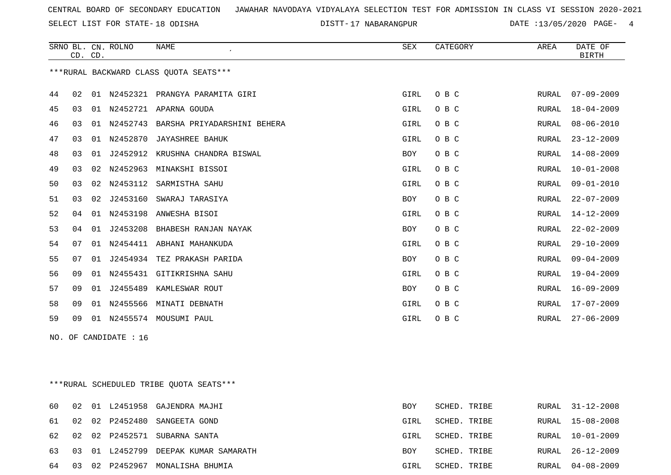SELECT LIST FOR STATE- DISTT- 18 ODISHA

DISTT-17 NABARANGPUR DATE :13/05/2020 PAGE- 4

|     |    | CD. CD. | SRNO BL. CN. ROLNO | <b>NAME</b>                             | <b>SEX</b> | CATEGORY | AREA  | DATE OF<br><b>BIRTH</b> |
|-----|----|---------|--------------------|-----------------------------------------|------------|----------|-------|-------------------------|
|     |    |         |                    | *** RURAL BACKWARD CLASS QUOTA SEATS*** |            |          |       |                         |
| 44  | 02 | 01      | N2452321           | PRANGYA PARAMITA GIRI                   | GIRL       | O B C    | RURAL | $07 - 09 - 2009$        |
| 45  | 03 | 01      | N2452721           | APARNA GOUDA                            | GIRL       | O B C    | RURAL | $18 - 04 - 2009$        |
| 46  | 03 | 01      | N2452743           | BARSHA PRIYADARSHINI BEHERA             | GIRL       | O B C    | RURAL | $08 - 06 - 2010$        |
| 47  | 03 | 01      | N2452870           | <b>JAYASHREE BAHUK</b>                  | GIRL       | O B C    | RURAL | $23 - 12 - 2009$        |
| 48  | 03 | 01      |                    | J2452912 KRUSHNA CHANDRA BISWAL         | <b>BOY</b> | O B C    | RURAL | $14 - 08 - 2009$        |
| 49  | 03 | 02      | N2452963           | MINAKSHI BISSOI                         | GIRL       | O B C    | RURAL | $10 - 01 - 2008$        |
| 50  | 03 | 02      | N2453112           | SARMISTHA SAHU                          | GIRL       | O B C    | RURAL | $09 - 01 - 2010$        |
| 51  | 03 | 02      | J2453160           | SWARAJ TARASIYA                         | BOY        | O B C    | RURAL | $22 - 07 - 2009$        |
| 52  | 04 | 01      | N2453198           | ANWESHA BISOI                           | GIRL       | O B C    | RURAL | 14-12-2009              |
| 53  | 04 | 01      | J2453208           | BHABESH RANJAN NAYAK                    | <b>BOY</b> | O B C    | RURAL | $22 - 02 - 2009$        |
| 54  | 07 |         | 01 N2454411        | ABHANI MAHANKUDA                        | GIRL       | O B C    | RURAL | $29 - 10 - 2009$        |
| 55  | 07 | 01      | J2454934           | TEZ PRAKASH PARIDA                      | BOY        | O B C    | RURAL | $09 - 04 - 2009$        |
| 56  | 09 | 01      | N2455431           | GITIKRISHNA SAHU                        | GIRL       | O B C    | RURAL | $19 - 04 - 2009$        |
| 57  | 09 | 01      | J2455489           | KAMLESWAR ROUT                          | BOY        | O B C    | RURAL | $16 - 09 - 2009$        |
| 58  | 09 | 01      | N2455566           | MINATI DEBNATH                          | GIRL       | O B C    | RURAL | $17 - 07 - 2009$        |
| 59  | 09 |         |                    | 01 N2455574 MOUSUMI PAUL                | GIRL       | O B C    | RURAL | $27 - 06 - 2009$        |
| NO. |    |         | OF CANDIDATE : 16  |                                         |            |          |       |                         |

\*\*\*RURAL SCHEDULED TRIBE QUOTA SEATS\*\*\*

| 60    | 02 |  | 01 L2451958 GAJENDRA MAJHI              | BOY        | SCHED. TRIBE |  | RURAL 31-12-2008 |
|-------|----|--|-----------------------------------------|------------|--------------|--|------------------|
| 61 02 |    |  | 02 P2452480 SANGEETA GOND               | GIRL       | SCHED. TRIBE |  | RURAL 15-08-2008 |
|       |    |  | 62 02 02 P2452571 SUBARNA SANTA         | GIRL       | SCHED. TRIBE |  | RURAL 10-01-2009 |
|       |    |  | 63 03 01 L2452799 DEEPAK KUMAR SAMARATH | <b>BOY</b> | SCHED. TRIBE |  | RURAL 26-12-2009 |
| 64 03 |    |  | 02 P2452967 MONALISHA BHUMIA            | GIRL       | SCHED. TRIBE |  | RURAL 04-08-2009 |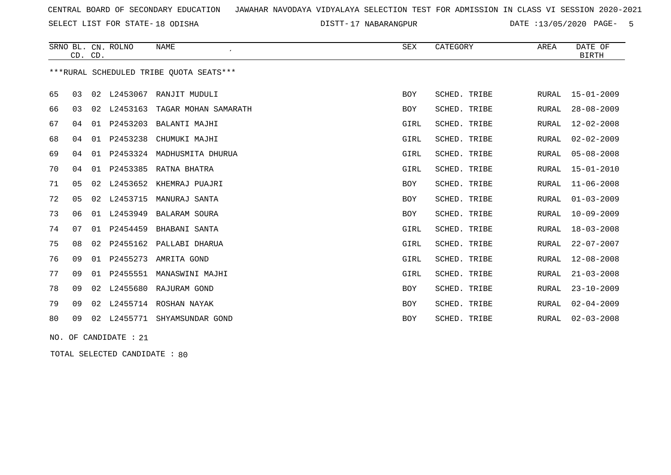SELECT LIST FOR STATE- DISTT- 18 ODISHA

17 NABARANGPUR DATE :13/05/2020 PAGE- 5

|    |    | CD. CD. | SRNO BL. CN. ROLNO    | <b>NAME</b><br>$\epsilon$               | SEX        | CATEGORY     | AREA         | DATE OF<br><b>BIRTH</b> |
|----|----|---------|-----------------------|-----------------------------------------|------------|--------------|--------------|-------------------------|
|    |    |         |                       | ***RURAL SCHEDULED TRIBE QUOTA SEATS*** |            |              |              |                         |
| 65 | 03 | 02      | L2453067              | RANJIT MUDULI                           | <b>BOY</b> | SCHED. TRIBE | RURAL        | $15 - 01 - 2009$        |
| 66 | 03 |         |                       | 02 L2453163 TAGAR MOHAN SAMARATH        | <b>BOY</b> | SCHED. TRIBE | RURAL        | $28 - 08 - 2009$        |
| 67 | 04 | 01      | P2453203              | BALANTI MAJHI                           | GIRL       | SCHED. TRIBE | RURAL        | $12 - 02 - 2008$        |
| 68 | 04 | 01      | P2453238              | CHUMUKI MAJHI                           | GIRL       | SCHED. TRIBE | <b>RURAL</b> | $02 - 02 - 2009$        |
| 69 | 04 | 01      | P2453324              | MADHUSMITA DHURUA                       | GIRL       | SCHED. TRIBE | <b>RURAL</b> | $05 - 08 - 2008$        |
| 70 | 04 | 01      | P2453385              | RATNA BHATRA                            | GIRL       | SCHED. TRIBE | <b>RURAL</b> | $15 - 01 - 2010$        |
| 71 | 05 | 02      | L2453652              | KHEMRAJ PUAJRI                          | BOY        | SCHED. TRIBE | <b>RURAL</b> | $11 - 06 - 2008$        |
| 72 | 05 | 02      | L2453715              | MANURAJ SANTA                           | <b>BOY</b> | SCHED. TRIBE | <b>RURAL</b> | $01 - 03 - 2009$        |
| 73 | 06 |         | 01 L2453949           | BALARAM SOURA                           | <b>BOY</b> | SCHED. TRIBE | <b>RURAL</b> | $10 - 09 - 2009$        |
| 74 | 07 | 01      | P2454459              | BHABANI SANTA                           | GIRL       | SCHED. TRIBE | RURAL        | $18 - 03 - 2008$        |
| 75 | 08 | 02      | P2455162              | PALLABI DHARUA                          | GIRL       | SCHED. TRIBE | <b>RURAL</b> | $22 - 07 - 2007$        |
| 76 | 09 | 01      | P2455273              | AMRITA GOND                             | GIRL       | SCHED. TRIBE | <b>RURAL</b> | $12 - 08 - 2008$        |
| 77 | 09 | 01      | P2455551              | MANASWINI MAJHI                         | GIRL       | SCHED. TRIBE | <b>RURAL</b> | $21 - 03 - 2008$        |
| 78 | 09 | 02      | L2455680              | RAJURAM GOND                            | <b>BOY</b> | SCHED. TRIBE | <b>RURAL</b> | $23 - 10 - 2009$        |
| 79 | 09 | 02      |                       | L2455714 ROSHAN NAYAK                   | <b>BOY</b> | SCHED. TRIBE | <b>RURAL</b> | $02 - 04 - 2009$        |
| 80 | 09 |         |                       | 02 L2455771 SHYAMSUNDAR GOND            | <b>BOY</b> | SCHED. TRIBE | RURAL        | $02 - 03 - 2008$        |
|    |    |         | NO. OF CANDIDATE : 21 |                                         |            |              |              |                         |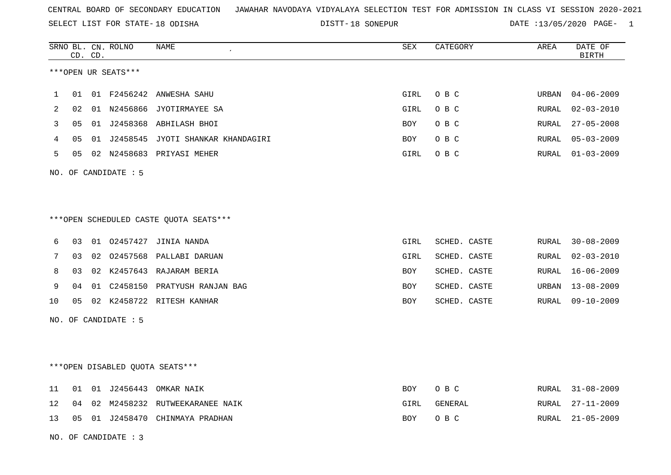SELECT LIST FOR STATE- DISTT- 18 ODISHA

|    |    | CD. CD. | SRNO BL. CN. ROLNO   | NAME                                   | SEX         | CATEGORY     | AREA  | DATE OF<br><b>BIRTH</b> |
|----|----|---------|----------------------|----------------------------------------|-------------|--------------|-------|-------------------------|
|    |    |         | ***OPEN UR SEATS***  |                                        |             |              |       |                         |
| 1  | 01 |         |                      | 01 F2456242 ANWESHA SAHU               | GIRL        | O B C        | URBAN | $04 - 06 - 2009$        |
| 2  | 02 |         |                      | 01 N2456866 JYOTIRMAYEE SA             | GIRL        | O B C        | RURAL | $02 - 03 - 2010$        |
| 3  | 05 |         |                      | 01 J2458368 ABHILASH BHOI              | BOY         | O B C        | RURAL | $27 - 05 - 2008$        |
| 4  | 05 |         |                      | 01 J2458545 JYOTI SHANKAR KHANDAGIRI   | BOY         | O B C        | RURAL | $05 - 03 - 2009$        |
| 5  | 05 |         |                      | 02 N2458683 PRIYASI MEHER              | GIRL        | O B C        | RURAL | $01 - 03 - 2009$        |
|    |    |         | NO. OF CANDIDATE : 5 |                                        |             |              |       |                         |
|    |    |         |                      |                                        |             |              |       |                         |
|    |    |         |                      | ***OPEN SCHEDULED CASTE QUOTA SEATS*** |             |              |       |                         |
| 6  | 03 |         |                      | 01 02457427 JINIA NANDA                | <b>GIRL</b> | SCHED. CASTE | RURAL | $30 - 08 - 2009$        |
| 7  | 03 |         |                      | 02 02457568 PALLABI DARUAN             | <b>GIRL</b> | SCHED. CASTE | RURAL | $02 - 03 - 2010$        |
| 8  | 03 |         |                      | 02 K2457643 RAJARAM BERIA              | <b>BOY</b>  | SCHED. CASTE | RURAL | $16 - 06 - 2009$        |
| 9  | 04 |         |                      | 01 C2458150 PRATYUSH RANJAN BAG        | <b>BOY</b>  | SCHED. CASTE | URBAN | $13 - 08 - 2009$        |
| 10 | 05 |         |                      | 02 K2458722 RITESH KANHAR              | BOY         | SCHED. CASTE | RURAL | $09 - 10 - 2009$        |
|    |    |         | NO. OF CANDIDATE : 5 |                                        |             |              |       |                         |
|    |    |         |                      |                                        |             |              |       |                         |
|    |    |         |                      | ***OPEN DISABLED QUOTA SEATS***        |             |              |       |                         |
| 11 | 01 |         |                      | 01 J2456443 OMKAR NAIK                 | BOY         | O B C        | RURAL | $31 - 08 - 2009$        |
| 12 | 04 |         |                      | 02 M2458232 RUTWEEKARANEE NAIK         | GIRL        | GENERAL      | RURAL | $27 - 11 - 2009$        |
| 13 | 05 |         |                      | 01 J2458470 CHINMAYA PRADHAN           | BOY         | O B C        | RURAL | $21 - 05 - 2009$        |
|    |    |         | NO. OF CANDIDATE : 3 |                                        |             |              |       |                         |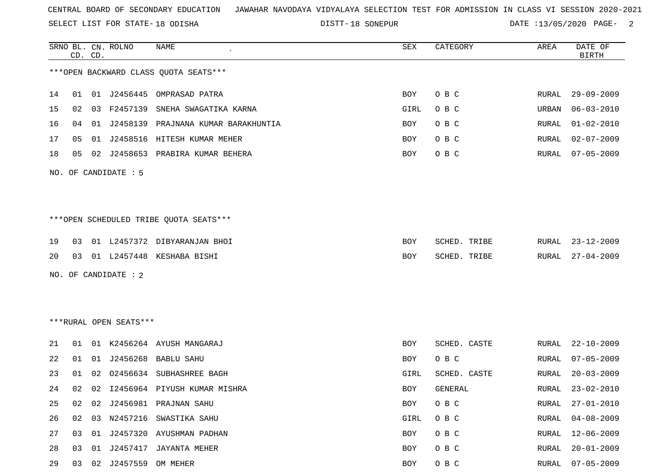SELECT LIST FOR STATE- DISTT- 18 ODISHA

|    |    | CD. CD. | SRNO BL. CN. ROLNO     | <b>NAME</b>                            | SEX  | CATEGORY     | AREA  | DATE OF<br><b>BIRTH</b> |
|----|----|---------|------------------------|----------------------------------------|------|--------------|-------|-------------------------|
|    |    |         |                        | *** OPEN BACKWARD CLASS QUOTA SEATS*** |      |              |       |                         |
| 14 | 01 |         |                        | 01 J2456445 OMPRASAD PATRA             | BOY  | O B C        | RURAL | $29 - 09 - 2009$        |
| 15 | 02 | 03      | F2457139               | SNEHA SWAGATIKA KARNA                  | GIRL | O B C        | URBAN | $06 - 03 - 2010$        |
| 16 | 04 | 01      | J2458139               | PRAJNANA KUMAR BARAKHUNTIA             | BOY  | O B C        | RURAL | $01 - 02 - 2010$        |
| 17 | 05 |         |                        | 01 J2458516 HITESH KUMAR MEHER         | BOY  | O B C        | RURAL | $02 - 07 - 2009$        |
| 18 | 05 |         |                        | 02 J2458653 PRABIRA KUMAR BEHERA       | BOY  | O B C        | RURAL | $07 - 05 - 2009$        |
|    |    |         | NO. OF CANDIDATE : 5   |                                        |      |              |       |                         |
|    |    |         |                        |                                        |      |              |       |                         |
|    |    |         |                        | ***OPEN SCHEDULED TRIBE QUOTA SEATS*** |      |              |       |                         |
| 19 | 03 |         |                        | 01 L2457372 DIBYARANJAN BHOI           | BOY  | SCHED. TRIBE | RURAL | $23 - 12 - 2009$        |
| 20 | 03 |         |                        | 01 L2457448 KESHABA BISHI              | BOY  | SCHED. TRIBE | RURAL | $27 - 04 - 2009$        |
|    |    |         | NO. OF CANDIDATE : 2   |                                        |      |              |       |                         |
|    |    |         |                        |                                        |      |              |       |                         |
|    |    |         | ***RURAL OPEN SEATS*** |                                        |      |              |       |                         |
| 21 | 01 |         |                        | 01 K2456264 AYUSH MANGARAJ             | BOY  | SCHED. CASTE | RURAL | $22 - 10 - 2009$        |
| 22 | 01 |         |                        | 01 J2456268 BABLU SAHU                 | BOY  | O B C        | RURAL | $07 - 05 - 2009$        |
| 23 | 01 | 02      | 02456634               | SUBHASHREE BAGH                        | GIRL | SCHED. CASTE | RURAL | $20 - 03 - 2009$        |
| 24 | 02 |         |                        | 02 I2456964 PIYUSH KUMAR MISHRA        | BOY  | GENERAL      | RURAL | $23 - 02 - 2010$        |
| 25 | 02 | 02      |                        | J2456981 PRAJNAN SAHU                  | BOY  | O B C        | RURAL | $27 - 01 - 2010$        |
| 26 | 02 | 03      |                        | N2457216 SWASTIKA SAHU                 | GIRL | O B C        | RURAL | $04 - 08 - 2009$        |
| 27 | 03 |         |                        | 01 J2457320 AYUSHMAN PADHAN            | BOY  | O B C        | RURAL | $12 - 06 - 2009$        |
| 28 | 03 | 01      |                        | J2457417 JAYANTA MEHER                 | BOY  | O B C        | RURAL | $20 - 01 - 2009$        |
| 29 | 03 |         | 02 J2457559 OM MEHER   |                                        | BOY  | O B C        | RURAL | $07 - 05 - 2009$        |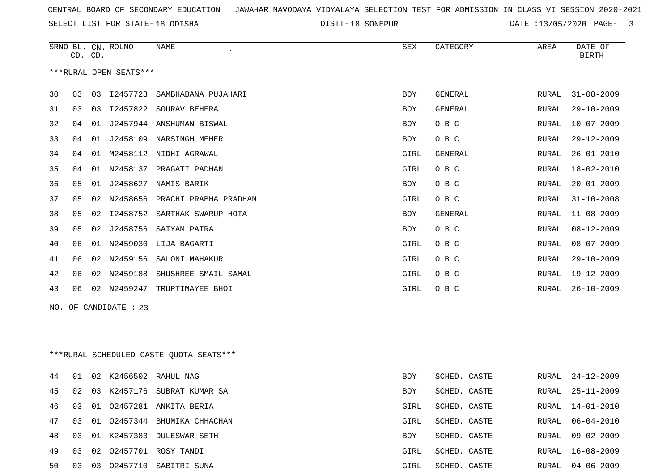SELECT LIST FOR STATE- DISTT- 18 ODISHA

|    | CD. CD. |    | SRNO BL. CN. ROLNO     | NAME                                    | ${\tt SEX}$ | CATEGORY     | AREA  | DATE OF<br><b>BIRTH</b> |
|----|---------|----|------------------------|-----------------------------------------|-------------|--------------|-------|-------------------------|
|    |         |    | ***RURAL OPEN SEATS*** |                                         |             |              |       |                         |
| 30 | 03      | 03 | I2457723               | SAMBHABANA PUJAHARI                     | BOY         | GENERAL      | RURAL | $31 - 08 - 2009$        |
| 31 | 03      | 03 |                        | 12457822 SOURAV BEHERA                  | BOY         | GENERAL      | RURAL | $29 - 10 - 2009$        |
| 32 | 04      | 01 |                        | J2457944 ANSHUMAN BISWAL                | BOY         | O B C        | RURAL | $10 - 07 - 2009$        |
| 33 | 04      | 01 | J2458109               | NARSINGH MEHER                          | BOY         | O B C        | RURAL | $29 - 12 - 2009$        |
| 34 | 04      | 01 |                        | M2458112 NIDHI AGRAWAL                  | GIRL        | GENERAL      | RURAL | $26 - 01 - 2010$        |
| 35 | 04      |    |                        | 01 N2458137 PRAGATI PADHAN              | GIRL        | O B C        | RURAL | $18 - 02 - 2010$        |
| 36 | 05      | 01 | J2458627               | NAMIS BARIK                             | BOY         | O B C        | RURAL | $20 - 01 - 2009$        |
| 37 | 05      | 02 | N2458656               | PRACHI PRABHA PRADHAN                   | GIRL        | O B C        | RURAL | $31 - 10 - 2008$        |
| 38 | 05      | 02 | I2458752               | SARTHAK SWARUP HOTA                     | BOY         | GENERAL      | RURAL | $11 - 08 - 2009$        |
| 39 | 05      |    |                        | 02 J2458756 SATYAM PATRA                | BOY         | O B C        | RURAL | $08 - 12 - 2009$        |
| 40 | 06      | 01 | N2459030               | LIJA BAGARTI                            | GIRL        | O B C        | RURAL | $08 - 07 - 2009$        |
| 41 | 06      | 02 | N2459156               | SALONI MAHAKUR                          | GIRL        | O B C        | RURAL | $29 - 10 - 2009$        |
| 42 | 06      | 02 | N2459188               | SHUSHREE SMAIL SAMAL                    | GIRL        | O B C        | RURAL | 19-12-2009              |
| 43 | 06      |    | 02 N2459247            | TRUPTIMAYEE BHOI                        | GIRL        | O B C        | RURAL | $26 - 10 - 2009$        |
|    |         |    | NO. OF CANDIDATE : 23  |                                         |             |              |       |                         |
|    |         |    |                        |                                         |             |              |       |                         |
|    |         |    |                        |                                         |             |              |       |                         |
|    |         |    |                        | ***RURAL SCHEDULED CASTE QUOTA SEATS*** |             |              |       |                         |
|    |         |    |                        |                                         |             |              |       |                         |
| 44 | 01      |    |                        | 02 K2456502 RAHUL NAG                   | BOY         | SCHED. CASTE | RURAL | $24 - 12 - 2009$        |
| 45 | 02      |    |                        | 03 K2457176 SUBRAT KUMAR SA             | BOY         | SCHED. CASTE | RURAL | $25 - 11 - 2009$        |
| 46 | 03      |    |                        | 01 02457281 ANKITA BERIA                | GIRL        | SCHED. CASTE | RURAL | 14-01-2010              |
| 47 | 03      | 01 |                        | 02457344 BHUMIKA CHHACHAN               | GIRL        | SCHED. CASTE | RURAL | $06 - 04 - 2010$        |
| 48 | 03      |    |                        | 01 K2457383 DULESWAR SETH               | BOY         | SCHED. CASTE | RURAL | 09-02-2009              |
| 49 | 03      |    |                        | 02 02457701 ROSY TANDI                  | GIRL        | SCHED. CASTE | RURAL | $16 - 08 - 2009$        |
| 50 | 03      |    |                        | 03 02457710 SABITRI SUNA                | GIRL        | SCHED. CASTE | RURAL | $04 - 06 - 2009$        |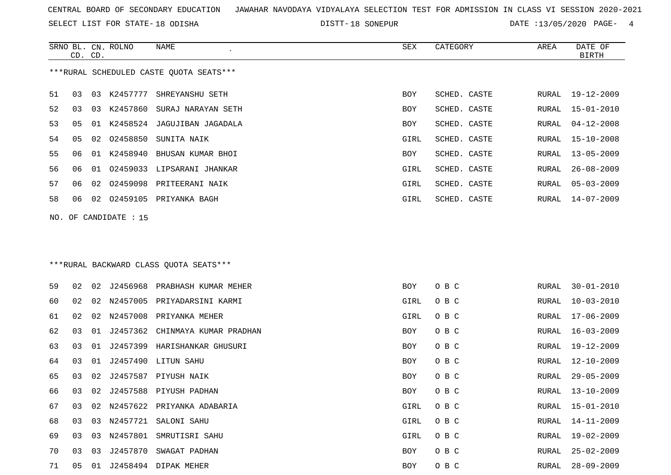SELECT LIST FOR STATE- DISTT- 18 ODISHA

SRNO BL. CN.

ROLNO NAME SEX CATEGORY AREA DATE OF

|     | CD. CD. |    |                   |                                         |      |              |       | <b>BIRTH</b>     |
|-----|---------|----|-------------------|-----------------------------------------|------|--------------|-------|------------------|
|     |         |    |                   | ***RURAL SCHEDULED CASTE QUOTA SEATS*** |      |              |       |                  |
| 51  | 03      | 03 | K2457777          | SHREYANSHU SETH                         | BOY  | SCHED. CASTE | RURAL | 19-12-2009       |
| 52  | 03      | 03 | K2457860          | SURAJ NARAYAN SETH                      | BOY  | SCHED. CASTE | RURAL | $15 - 01 - 2010$ |
| 53  | 05      | 01 |                   | K2458524 JAGUJIBAN JAGADALA             | BOY  | SCHED. CASTE | RURAL | $04 - 12 - 2008$ |
| 54  | 05      | 02 | 02458850          | SUNITA NAIK                             | GIRL | SCHED. CASTE | RURAL | $15 - 10 - 2008$ |
| 55  | 06      | 01 | K2458940          | BHUSAN KUMAR BHOI                       | BOY  | SCHED. CASTE | RURAL | $13 - 05 - 2009$ |
| 56  | 06      | 01 | 02459033          | LIPSARANI JHANKAR                       | GIRL | SCHED. CASTE | RURAL | $26 - 08 - 2009$ |
| 57  | 06      | 02 | 02459098          | PRITEERANI NAIK                         | GIRL | SCHED. CASTE | RURAL | $05 - 03 - 2009$ |
| 58  | 06      | 02 |                   | 02459105 PRIYANKA BAGH                  | GIRL | SCHED. CASTE | RURAL | $14 - 07 - 2009$ |
| NO. |         |    | OF CANDIDATE : 15 |                                         |      |              |       |                  |
|     |         |    |                   | *** RURAL BACKWARD CLASS QUOTA SEATS*** |      |              |       |                  |
| 59  | 02      | 02 | J2456968          | PRABHASH KUMAR MEHER                    | BOY  | O B C        | RURAL | $30 - 01 - 2010$ |
| 60  | 02      | 02 | N2457005          | PRIYADARSINI KARMI                      | GIRL | O B C        | RURAL | $10 - 03 - 2010$ |
| 61  | 02      | 02 | N2457008          | PRIYANKA MEHER                          | GIRL | O B C        | RURAL | 17-06-2009       |
| 62  | 03      | 01 | J2457362          | CHINMAYA KUMAR PRADHAN                  | BOY  | O B C        | RURAL | $16 - 03 - 2009$ |
| 63  | 03      | 01 | J2457399          | HARISHANKAR GHUSURI                     | BOY  | O B C        | RURAL | 19-12-2009       |
| 64  | 03      | 01 | J2457490          | LITUN SAHU                              | BOY  | O B C        | RURAL | $12 - 10 - 2009$ |
| 65  | 03      | 02 | J2457587          | PIYUSH NAIK                             | BOY  | O B C        | RURAL | $29 - 05 - 2009$ |
| 66  | 03      | 02 |                   | J2457588 PIYUSH PADHAN                  | BOY  | O B C        | RURAL | 13-10-2009       |
| 67  | 03      | 02 |                   | N2457622 PRIYANKA ADABARIA              | GIRL | O B C        | RURAL | $15 - 01 - 2010$ |
| 68  |         |    |                   | 03 03 N2457721 SALONI SAHU              | GIRL | O B C        | RURAL | 14-11-2009       |
| 69  | 03      |    |                   | 03 N2457801 SMRUTISRI SAHU              | GIRL | O B C        | RURAL | 19-02-2009       |
| 70  | 03      | 03 | J2457870          | SWAGAT PADHAN                           | BOY  | O B C        | RURAL | $25 - 02 - 2009$ |
| 71  | 05      |    |                   | 01 J2458494 DIPAK MEHER                 | BOY  | O B C        | RURAL | $28 - 09 - 2009$ |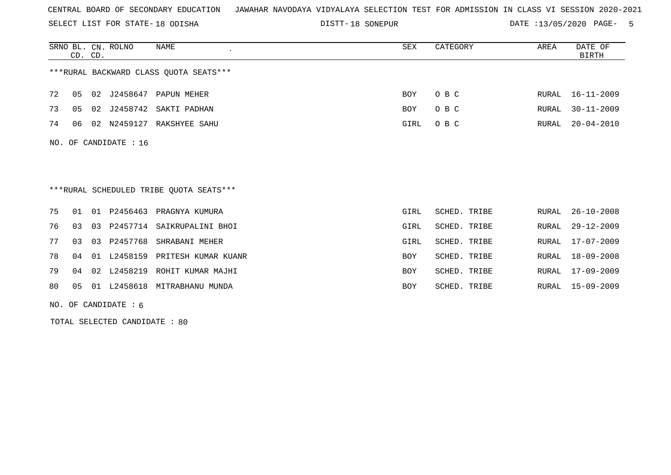SELECT LIST FOR STATE- DISTT- 18 ODISHA

DISTT-18 SONEPUR **DATE** :13/05/2020 PAGE- 5

|     | CD. CD. |    | SRNO BL. CN. ROLNO | NAME                                    | SEX        | CATEGORY     | AREA         | DATE OF<br><b>BIRTH</b> |
|-----|---------|----|--------------------|-----------------------------------------|------------|--------------|--------------|-------------------------|
|     |         |    |                    | ***RURAL BACKWARD CLASS OUOTA SEATS***  |            |              |              |                         |
| 72  | 05      | 02 | J2458647           | PAPUN MEHER                             | BOY        | O B C        | RURAL        | 16-11-2009              |
| 73  | 05      |    | 02 J2458742        | SAKTI PADHAN                            | <b>BOY</b> | O B C        | RURAL        | $30 - 11 - 2009$        |
| 74  | 06      | 02 | N2459127           | RAKSHYEE SAHU                           | GIRL       | O B C        | RURAL        | $20 - 04 - 2010$        |
| NO. |         |    | OF CANDIDATE : 16  | ***RURAL SCHEDULED TRIBE QUOTA SEATS*** |            |              |              |                         |
| 75  | 01      |    | 01 P2456463        | PRAGNYA KUMURA                          | GIRL       | SCHED. TRIBE | RURAL        | $26 - 10 - 2008$        |
| 76  | 03      | 03 | P2457714           |                                         |            |              |              | $29 - 12 - 2009$        |
|     |         |    |                    | SAIKRUPALINI BHOI                       | GIRL       | SCHED. TRIBE | RURAL        |                         |
| 77  | 03      | 03 | P2457768           | SHRABANI MEHER                          | GIRL       | SCHED. TRIBE | <b>RURAL</b> | $17 - 07 - 2009$        |
| 78  | 04      | 01 | L2458159           | PRITESH KUMAR KUANR                     | <b>BOY</b> | SCHED. TRIBE | RURAL        | $18 - 09 - 2008$        |
| 79  | 04      |    |                    | 02 L2458219 ROHIT KUMAR MAJHI           | <b>BOY</b> | SCHED. TRIBE | RURAL        | 17-09-2009              |
| 80  | 05      | 01 | L2458618           | MITRABHANU MUNDA                        | <b>BOY</b> | SCHED. TRIBE | RURAL        | $15 - 09 - 2009$        |

NO. OF CANDIDATE : 6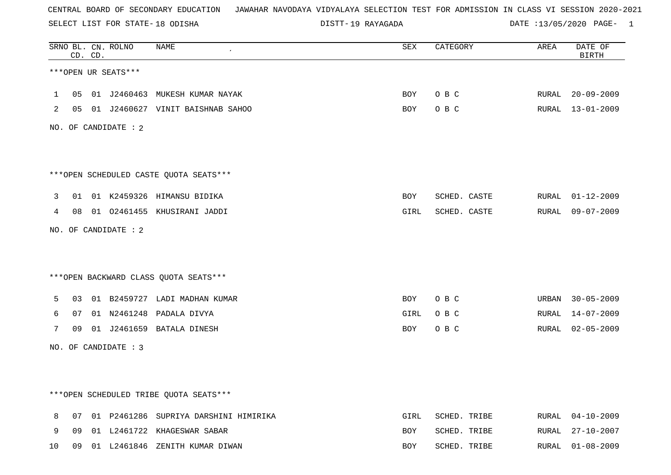SELECT LIST FOR STATE- DISTT- 18 ODISHA

19 RAYAGADA DATE :13/05/2020 PAGE- 1

|                |    | CD. CD. | SRNO BL. CN. ROLNO   | <b>NAME</b>                             | SEX        | CATEGORY     | AREA  | DATE OF<br><b>BIRTH</b> |
|----------------|----|---------|----------------------|-----------------------------------------|------------|--------------|-------|-------------------------|
|                |    |         | ***OPEN UR SEATS***  |                                         |            |              |       |                         |
| $\mathbf{1}$   | 05 |         |                      | 01 J2460463 MUKESH KUMAR NAYAK          | BOY        | O B C        |       | RURAL 20-09-2009        |
| $\overline{2}$ |    |         |                      | 05 01 J2460627 VINIT BAISHNAB SAHOO     | BOY        | O B C        |       | RURAL 13-01-2009        |
|                |    |         | NO. OF CANDIDATE : 2 |                                         |            |              |       |                         |
|                |    |         |                      |                                         |            |              |       |                         |
|                |    |         |                      | *** OPEN SCHEDULED CASTE QUOTA SEATS*** |            |              |       |                         |
| 3              | 01 |         |                      | 01 K2459326 HIMANSU BIDIKA              | BOY        | SCHED. CASTE |       | RURAL 01-12-2009        |
| 4              | 08 |         |                      | 01 02461455 KHUSIRANI JADDI             | GIRL       | SCHED. CASTE | RURAL | 09-07-2009              |
|                |    |         | NO. OF CANDIDATE : 2 |                                         |            |              |       |                         |
|                |    |         |                      |                                         |            |              |       |                         |
|                |    |         |                      | *** OPEN BACKWARD CLASS QUOTA SEATS***  |            |              |       |                         |
| 5              | 03 |         |                      | 01 B2459727 LADI MADHAN KUMAR           | BOY        | O B C        |       | URBAN 30-05-2009        |
| 6              | 07 |         |                      | 01 N2461248 PADALA DIVYA                | GIRL       | O B C        | RURAL | 14-07-2009              |
| 7              | 09 |         |                      | 01 J2461659 BATALA DINESH               | BOY        | O B C        |       | RURAL 02-05-2009        |
|                |    |         | NO. OF CANDIDATE : 3 |                                         |            |              |       |                         |
|                |    |         |                      |                                         |            |              |       |                         |
|                |    |         |                      | ***OPEN SCHEDULED TRIBE QUOTA SEATS***  |            |              |       |                         |
| 8              | 07 |         |                      | 01 P2461286 SUPRIYA DARSHINI HIMIRIKA   | GIRL       | SCHED. TRIBE |       | RURAL 04-10-2009        |
| 9              | 09 |         |                      | 01 L2461722 KHAGESWAR SABAR             | BOY        | SCHED. TRIBE | RURAL | 27-10-2007              |
| 10             | 09 |         |                      | 01 L2461846 ZENITH KUMAR DIWAN          | <b>BOY</b> | SCHED. TRIBE | RURAL | $01 - 08 - 2009$        |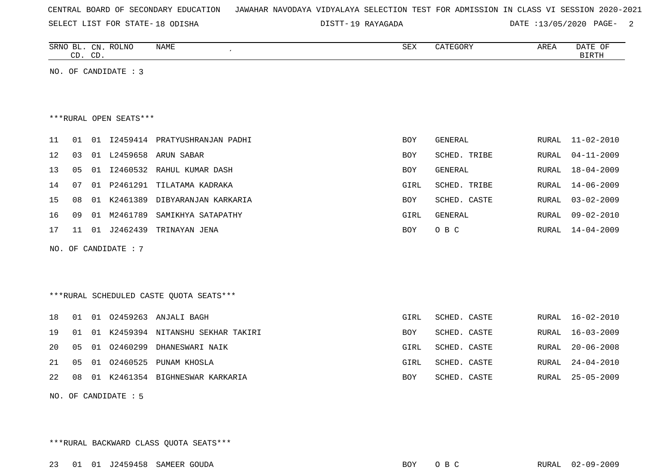|  |  |  |  | CENTRAL BOARD OF SECONDARY EDUCATION – JAWAHAR NAVODAYA VIDYALAYA SELECTION TEST FOR ADMISSION IN CLASS VI SESSION 2020-2021 |  |  |  |  |  |  |  |  |  |  |  |  |  |  |
|--|--|--|--|------------------------------------------------------------------------------------------------------------------------------|--|--|--|--|--|--|--|--|--|--|--|--|--|--|
|--|--|--|--|------------------------------------------------------------------------------------------------------------------------------|--|--|--|--|--|--|--|--|--|--|--|--|--|--|

SELECT LIST FOR STATE- DISTT- 18 ODISHA

19 RAYAGADA DATE :13/05/2020 PAGE- 2

|                         | CD. CD.        |    | SRNO BL. CN. ROLNO     | NAME<br>$\epsilon$   | SEX        | CATEGORY     | AREA  | DATE OF<br><b>BIRTH</b> |  |
|-------------------------|----------------|----|------------------------|----------------------|------------|--------------|-------|-------------------------|--|
| OF CANDIDATE : 3<br>NO. |                |    |                        |                      |            |              |       |                         |  |
|                         |                |    |                        |                      |            |              |       |                         |  |
|                         |                |    |                        |                      |            |              |       |                         |  |
|                         |                |    | ***RURAL OPEN SEATS*** |                      |            |              |       |                         |  |
| 11                      | 01             | 01 | I2459414               | PRATYUSHRANJAN PADHI | BOY        | GENERAL      | RURAL | $11 - 02 - 2010$        |  |
| 12                      | 03             | 01 | L2459658               | ARUN SABAR           | <b>BOY</b> | SCHED. TRIBE | RURAL | $04 - 11 - 2009$        |  |
| 13                      | 0 <sub>5</sub> | 01 | I2460532               | RAHUL KUMAR DASH     | <b>BOY</b> | GENERAL      | RURAL | $18 - 04 - 2009$        |  |
| 14                      | 07             | 01 | P2461291               | TILATAMA KADRAKA     | GIRL       | SCHED. TRIBE | RURAL | $14 - 06 - 2009$        |  |
| 15                      | 08             | 01 | K2461389               | DIBYARANJAN KARKARIA | BOY        | SCHED. CASTE | RURAL | $03 - 02 - 2009$        |  |
| 16                      | 09             | 01 | M2461789               | SAMIKHYA SATAPATHY   | GIRL       | GENERAL      | RURAL | $09 - 02 - 2010$        |  |
| 17                      | 11             | 01 | J2462439               | TRINAYAN JENA        | <b>BOY</b> | O B C        | RURAL | $14 - 04 - 2009$        |  |

NO. OF CANDIDATE : 7

\*\*\*RURAL SCHEDULED CASTE QUOTA SEATS\*\*\*

| 19 01 01 K2459394 NITANSHU SEKHAR TAKIRI<br>BOY<br>SCHED. CASTE | RURAL 16-02-2010 |
|-----------------------------------------------------------------|------------------|
|                                                                 | RURAL 16-03-2009 |
| 20 05 01 02460299 DHANESWARI NAIK<br>SCHED. CASTE<br>GIRL       | RURAL 20-06-2008 |
| 21  05  01  02460525  PUNAM KHOSLA<br>SCHED. CASTE<br>GIRL      | RURAL 24-04-2010 |
| 22 08 01 K2461354 BIGHNESWAR KARKARIA<br>SCHED. CASTE<br>BOY    | RURAL 25-05-2009 |

NO. OF CANDIDATE : 5

\*\*\*RURAL BACKWARD CLASS QUOTA SEATS\*\*\*

23 01 01 J2459458 SAMEER GOUDA BOY O B C RURAL 02-09-2009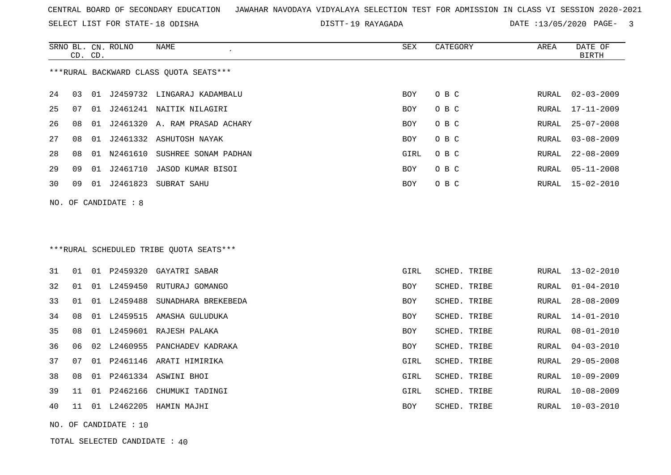SELECT LIST FOR STATE- DISTT- 18 ODISHA

19 RAYAGADA DATE :13/05/2020 PAGE- 3

|    |    | CD. CD. | SRNO BL. CN. ROLNO   | <b>NAME</b>                             | <b>SEX</b> | CATEGORY     | AREA  | DATE OF<br><b>BIRTH</b> |
|----|----|---------|----------------------|-----------------------------------------|------------|--------------|-------|-------------------------|
|    |    |         |                      | ***RURAL BACKWARD CLASS OUOTA SEATS***  |            |              |       |                         |
| 24 | 03 | 01      |                      | J2459732 LINGARAJ KADAMBALU             | <b>BOY</b> | O B C        | RURAL | $02 - 03 - 2009$        |
| 25 | 07 |         |                      | 01 J2461241 NAITIK NILAGIRI             | <b>BOY</b> | O B C        | RURAL | 17-11-2009              |
| 26 | 08 | 01      |                      | J2461320 A. RAM PRASAD ACHARY           | <b>BOY</b> | O B C        | RURAL | $25 - 07 - 2008$        |
| 27 | 08 | 01      |                      | J2461332 ASHUTOSH NAYAK                 | <b>BOY</b> | O B C        | RURAL | $03 - 08 - 2009$        |
| 28 | 08 | 01      | N2461610             | SUSHREE SONAM PADHAN                    | GIRL       | O B C        | RURAL | $22 - 08 - 2009$        |
| 29 | 09 | 01      | J2461710             | JASOD KUMAR BISOI                       | <b>BOY</b> | O B C        | RURAL | $05 - 11 - 2008$        |
| 30 | 09 | 01      | J2461823             | SUBRAT SAHU                             | <b>BOY</b> | O B C        | RURAL | $15 - 02 - 2010$        |
|    |    |         | NO. OF CANDIDATE : 8 |                                         |            |              |       |                         |
|    |    |         |                      |                                         |            |              |       |                         |
|    |    |         |                      |                                         |            |              |       |                         |
|    |    |         |                      | ***RURAL SCHEDULED TRIBE OUOTA SEATS*** |            |              |       |                         |
|    |    |         |                      |                                         |            |              |       |                         |
| 31 | 01 |         | 01 P2459320          | GAYATRI SABAR                           | GIRL       | SCHED. TRIBE | RURAL | $13 - 02 - 2010$        |
| 32 | 01 | 01      | L2459450             | RUTURAJ GOMANGO                         | <b>BOY</b> | SCHED. TRIBE | RURAL | $01 - 04 - 2010$        |
| 33 | 01 | 01      | L2459488             | SUNADHARA BREKEBEDA                     | <b>BOY</b> | SCHED. TRIBE | RURAL | $28 - 08 - 2009$        |
| 34 | 08 |         |                      | 01 L2459515 AMASHA GULUDUKA             | <b>BOY</b> | SCHED. TRIBE | RURAL | $14 - 01 - 2010$        |
| 35 |    |         |                      | 08 01 L2459601 RAJESH PALAKA            | <b>BOY</b> | SCHED, TRIBE |       | RURAL $08 - 01 - 2010$  |

|  |  | 36 06 02 L2460955 PANCHADEV KADRAKA | <b>BOY</b> | SCHED. TRIBE |  | RURAL 04-03-2010 |
|--|--|-------------------------------------|------------|--------------|--|------------------|
|  |  | 37 07 01 P2461146 ARATI HIMIRIKA    | GIRL       | SCHED. TRIBE |  | RURAL 29-05-2008 |
|  |  | 38 08 01 P2461334 ASWINI BHOI       | GIRL       | SCHED. TRIBE |  | RURAL 10-09-2009 |
|  |  | 39 11 01 P2462166 CHUMUKI TADINGI   | GIRL       | SCHED. TRIBE |  | RURAL 10-08-2009 |
|  |  | 40 11 01 L2462205 HAMIN MAJHI       | BOY        | SCHED. TRIBE |  | RURAL 10-03-2010 |

NO. OF CANDIDATE : 10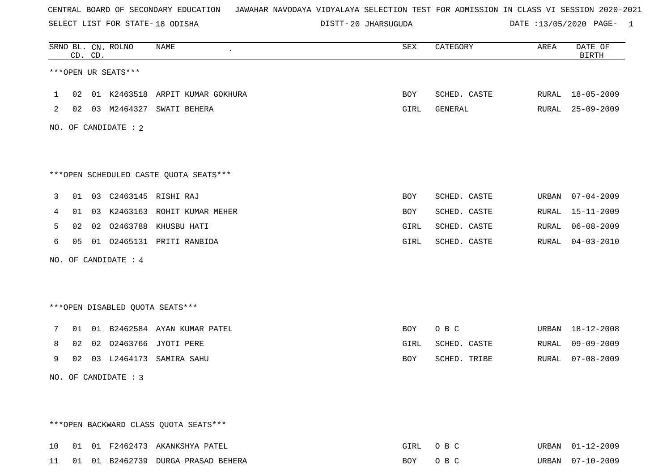SELECT LIST FOR STATE- DISTT- 18 ODISHA

20 JHARSUGUDA DATE :13/05/2020 PAGE- 1

|    |    | CD. CD. | SRNO BL. CN. ROLNO   | <b>NAME</b><br>$\pmb{\cdot}$           | SEX  | CATEGORY     | AREA  | DATE OF<br><b>BIRTH</b> |
|----|----|---------|----------------------|----------------------------------------|------|--------------|-------|-------------------------|
|    |    |         | ***OPEN UR SEATS***  |                                        |      |              |       |                         |
| ı. | 02 |         |                      | 01 K2463518 ARPIT KUMAR GOKHURA        | BOY  | SCHED. CASTE |       | RURAL 18-05-2009        |
| 2  |    |         |                      | 02 03 M2464327 SWATI BEHERA            | GIRL | GENERAL      |       | RURAL 25-09-2009        |
|    |    |         | NO. OF CANDIDATE : 2 |                                        |      |              |       |                         |
|    |    |         |                      | ***OPEN SCHEDULED CASTE QUOTA SEATS*** |      |              |       |                         |
|    |    |         |                      |                                        |      |              |       |                         |
| 3  |    |         |                      | 01 03 C2463145 RISHI RAJ               | BOY  | SCHED. CASTE | URBAN | $07 - 04 - 2009$        |
| 4  | 01 |         |                      | 03 K2463163 ROHIT KUMAR MEHER          | BOY  | SCHED. CASTE | RURAL | $15 - 11 - 2009$        |
| 5  | 02 |         |                      | 02 02463788 KHUSBU HATI                | GIRL | SCHED. CASTE | RURAL | $06 - 08 - 2009$        |
| 6  | 05 |         |                      | 01 02465131 PRITI RANBIDA              | GIRL | SCHED. CASTE | RURAL | $04 - 03 - 2010$        |
|    |    |         | NO. OF CANDIDATE : 4 |                                        |      |              |       |                         |
|    |    |         |                      |                                        |      |              |       |                         |
|    |    |         |                      | ***OPEN DISABLED QUOTA SEATS***        |      |              |       |                         |
| 7  | 01 |         |                      | 01 B2462584 AYAN KUMAR PATEL           | BOY  | O B C        | URBAN | 18-12-2008              |
| 8  | 02 |         |                      | 02 02463766 JYOTI PERE                 | GIRL | SCHED. CASTE | RURAL | $09 - 09 - 2009$        |
| 9  |    |         |                      | 02 03 L2464173 SAMIRA SAHU             | BOY  | SCHED. TRIBE | RURAL | $07 - 08 - 2009$        |
|    |    |         | NO. OF CANDIDATE : 3 |                                        |      |              |       |                         |
|    |    |         |                      |                                        |      |              |       |                         |
|    |    |         |                      | *** OPEN BACKWARD CLASS QUOTA SEATS*** |      |              |       |                         |
| 10 |    |         |                      | 01 01 F2462473 AKANKSHYA PATEL         | GIRL | O B C        |       | URBAN 01-12-2009        |
| 11 |    |         |                      | 01 01 B2462739 DURGA PRASAD BEHERA     | BOY  | O B C        |       | URBAN 07-10-2009        |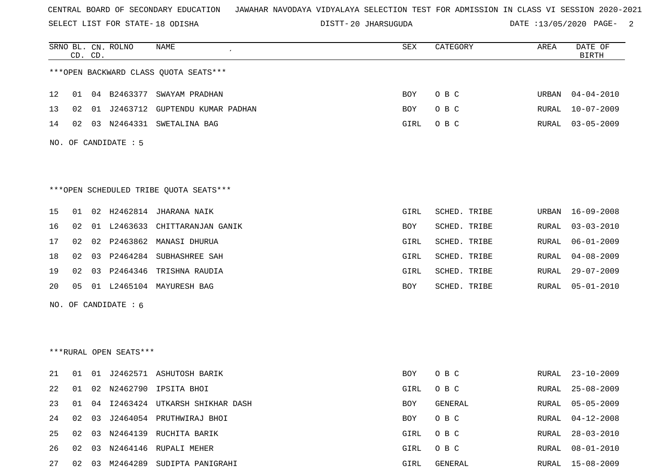SELECT LIST FOR STATE- DISTT- 18 ODISHA

20 JHARSUGUDA DATE :13/05/2020 PAGE- 2

|    |    | CD. CD. | SRNO BL. CN. ROLNO     | <b>NAME</b>                            | SEX        | CATEGORY     | AREA  | DATE OF<br><b>BIRTH</b> |
|----|----|---------|------------------------|----------------------------------------|------------|--------------|-------|-------------------------|
|    |    |         |                        | *** OPEN BACKWARD CLASS QUOTA SEATS*** |            |              |       |                         |
| 12 | 01 |         | 04 B2463377            | SWAYAM PRADHAN                         | BOY        | O B C        | URBAN | $04 - 04 - 2010$        |
| 13 | 02 | 01      | J2463712               | GUPTENDU KUMAR PADHAN                  | BOY        | O B C        | RURAL | $10 - 07 - 2009$        |
| 14 | 02 |         | 03 N2464331            | SWETALINA BAG                          | GIRL       | O B C        | RURAL | $03 - 05 - 2009$        |
|    |    |         | NO. OF CANDIDATE : 5   |                                        |            |              |       |                         |
|    |    |         |                        |                                        |            |              |       |                         |
|    |    |         |                        | ***OPEN SCHEDULED TRIBE QUOTA SEATS*** |            |              |       |                         |
| 15 | 01 |         |                        | 02 H2462814 JHARANA NAIK               | GIRL       | SCHED. TRIBE | URBAN | $16 - 09 - 2008$        |
| 16 | 02 |         |                        | 01 L2463633 CHITTARANJAN GANIK         | BOY        | SCHED. TRIBE | RURAL | $03 - 03 - 2010$        |
| 17 | 02 |         |                        | 02 P2463862 MANASI DHURUA              | GIRL       | SCHED. TRIBE | RURAL | $06 - 01 - 2009$        |
| 18 | 02 |         |                        | 03 P2464284 SUBHASHREE SAH             | GIRL       | SCHED. TRIBE | RURAL | $04 - 08 - 2009$        |
| 19 | 02 |         | 03 P2464346            | TRISHNA RAUDIA                         | GIRL       | SCHED. TRIBE | RURAL | $29 - 07 - 2009$        |
| 20 | 05 |         |                        | 01 L2465104 MAYURESH BAG               | BOY        | SCHED. TRIBE | RURAL | $05 - 01 - 2010$        |
|    |    |         | NO. OF CANDIDATE : 6   |                                        |            |              |       |                         |
|    |    |         |                        |                                        |            |              |       |                         |
|    |    |         |                        |                                        |            |              |       |                         |
|    |    |         | ***RURAL OPEN SEATS*** |                                        |            |              |       |                         |
| 21 | 01 |         |                        | 01 J2462571 ASHUTOSH BARIK             | BOY        | O B C        | RURAL | $23 - 10 - 2009$        |
| 22 | 01 |         |                        | 02 N2462790 IPSITA BHOI                | GIRL       | O B C        | RURAL | $25 - 08 - 2009$        |
| 23 | 01 | 04      |                        | 12463424 UTKARSH SHIKHAR DASH          | <b>BOY</b> | GENERAL      | RURAL | $05 - 05 - 2009$        |
| 24 | 02 |         |                        | 03 J2464054 PRUTHWIRAJ BHOI            | BOY        | O B C        | RURAL | $04 - 12 - 2008$        |
| 25 | 02 |         |                        | 03 N2464139 RUCHITA BARIK              | GIRL       | O B C        | RURAL | $28 - 03 - 2010$        |
| 26 | 02 | 03      |                        | N2464146 RUPALI MEHER                  | GIRL       | $O$ B $C$    | RURAL | $08 - 01 - 2010$        |
| 27 | 02 |         |                        | 03 M2464289 SUDIPTA PANIGRAHI          | GIRL       | GENERAL      | RURAL | $15 - 08 - 2009$        |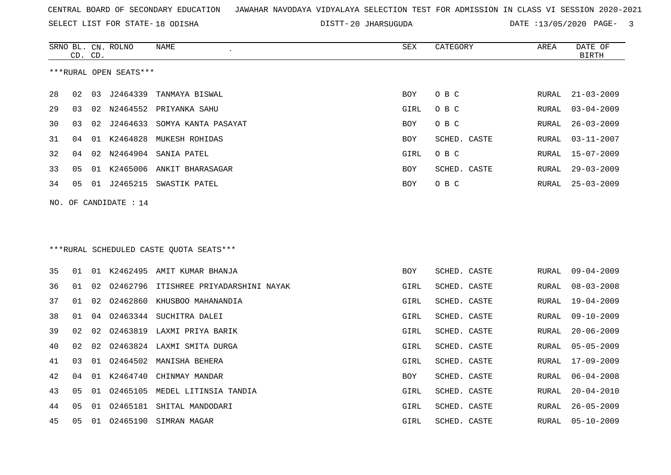SELECT LIST FOR STATE- DISTT- 18 ODISHA

20 JHARSUGUDA DATE :13/05/2020 PAGE- 3

|    | CD. CD. |    | SRNO BL. CN. ROLNO      | NAME                                    | SEX        | CATEGORY     | AREA          | DATE OF<br><b>BIRTH</b> |
|----|---------|----|-------------------------|-----------------------------------------|------------|--------------|---------------|-------------------------|
|    |         |    | ***RURAL OPEN SEATS***  |                                         |            |              |               |                         |
| 28 | 02      |    | 03 J2464339             | TANMAYA BISWAL                          | BOY        | O B C        | ${\tt RURAL}$ | $21 - 03 - 2009$        |
| 29 | 03      |    |                         | 02 N2464552 PRIYANKA SAHU               | GIRL       | O B C        | RURAL         | $03 - 04 - 2009$        |
| 30 | 03      | 02 | J2464633                | SOMYA KANTA PASAYAT                     | BOY        | O B C        | RURAL         | $26 - 03 - 2009$        |
| 31 | 04      |    | 01 K2464828             | MUKESH ROHIDAS                          | BOY        | SCHED. CASTE | RURAL         | $03 - 11 - 2007$        |
| 32 | 04      | 02 |                         | N2464904 SANIA PATEL                    | GIRL       | O B C        | RURAL         | $15 - 07 - 2009$        |
| 33 | 05      | 01 |                         | K2465006 ANKIT BHARASAGAR               | BOY        | SCHED. CASTE | RURAL         | $29 - 03 - 2009$        |
| 34 | 05      |    |                         | 01 J2465215 SWASTIK PATEL               | <b>BOY</b> | O B C        | RURAL         | $25 - 03 - 2009$        |
|    |         |    | NO. OF CANDIDATE : $14$ |                                         |            |              |               |                         |
|    |         |    |                         |                                         |            |              |               |                         |
|    |         |    |                         |                                         |            |              |               |                         |
|    |         |    |                         | ***RURAL SCHEDULED CASTE QUOTA SEATS*** |            |              |               |                         |
| 35 | 01      |    |                         | 01 K2462495 AMIT KUMAR BHANJA           | <b>BOY</b> | SCHED. CASTE | RURAL         | $09 - 04 - 2009$        |
| 36 | 01      | 02 |                         | 02462796 ITISHREE PRIYADARSHINI NAYAK   | GIRL       | SCHED. CASTE | <b>RURAL</b>  | $08 - 03 - 2008$        |
| 37 | 01      | 02 | 02462860                | KHUSBOO MAHANANDIA                      | GIRL       | SCHED. CASTE | RURAL         | $19 - 04 - 2009$        |
| 38 | 01      | 04 |                         | 02463344 SUCHITRA DALEI                 | GIRL       | SCHED. CASTE | RURAL         | $09 - 10 - 2009$        |
| 39 | 02      | 02 | 02463819                | LAXMI PRIYA BARIK                       | GIRL       | SCHED. CASTE | RURAL         | $20 - 06 - 2009$        |
| 40 | 02      | 02 |                         | 02463824 LAXMI SMITA DURGA              | GIRL       | SCHED. CASTE | RURAL         | $05 - 05 - 2009$        |
| 41 | 03      | 01 |                         | 02464502 MANISHA BEHERA                 | GIRL       | SCHED. CASTE | RURAL         | $17 - 09 - 2009$        |
| 42 | 04      |    | 01 K2464740             | CHINMAY MANDAR                          | BOY        | SCHED. CASTE | RURAL         | $06 - 04 - 2008$        |
| 43 | 05      |    |                         | 01 02465105 MEDEL LITINSIA TANDIA       | GIRL       | SCHED. CASTE | RURAL         | $20 - 04 - 2010$        |
| 44 | 05      | 01 |                         | 02465181 SHITAL MANDODARI               | GIRL       | SCHED. CASTE | RURAL         | $26 - 05 - 2009$        |
| 45 | 05      |    |                         | 01  02465190  SIMRAN MAGAR              | GIRL       | SCHED. CASTE | RURAL         | $05 - 10 - 2009$        |
|    |         |    |                         |                                         |            |              |               |                         |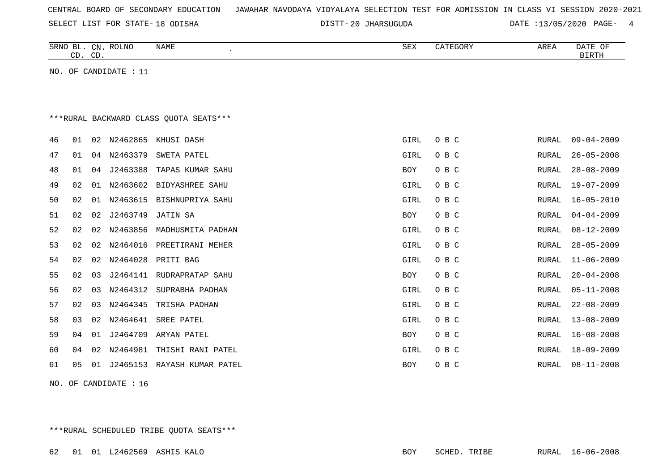| CENTRAL BOARD OF SECONDARY EDUCATION – JAWAHAR NAVODAYA VIDYALAYA SELECTION TEST FOR ADMISSION IN CLASS VI SESSION 2020-2021 |  |  |  |  |
|------------------------------------------------------------------------------------------------------------------------------|--|--|--|--|
|------------------------------------------------------------------------------------------------------------------------------|--|--|--|--|

SELECT LIST FOR STATE- DISTT- 18 ODISHA

DISTT-20 JHARSUGUDA DATE :13/05/2020 PAGE- 4

|    | CD. CD. |    | SRNO BL. CN. ROLNO    | <b>NAME</b>                            | SEX        | CATEGORY | AREA         | DATE OF<br><b>BIRTH</b> |
|----|---------|----|-----------------------|----------------------------------------|------------|----------|--------------|-------------------------|
|    |         |    | NO. OF CANDIDATE : 11 |                                        |            |          |              |                         |
|    |         |    |                       |                                        |            |          |              |                         |
|    |         |    |                       |                                        |            |          |              |                         |
|    |         |    |                       | ***RURAL BACKWARD CLASS OUOTA SEATS*** |            |          |              |                         |
| 46 | 01      | 02 | N2462865              | KHUSI DASH                             | GIRL       | O B C    | <b>RURAL</b> | $09 - 04 - 2009$        |
| 47 | 01      | 04 | N2463379              | SWETA PATEL                            | GIRL       | O B C    | RURAL        | $26 - 05 - 2008$        |
| 48 | 01      | 04 | J2463388              | TAPAS KUMAR SAHU                       | <b>BOY</b> | O B C    | <b>RURAL</b> | $28 - 08 - 2009$        |
| 49 | 02      | 01 | N2463602              | <b>BIDYASHREE SAHU</b>                 | GIRL       | O B C    | <b>RURAL</b> | $19 - 07 - 2009$        |
| 50 | 02      | 01 | N2463615              | BISHNUPRIYA SAHU                       | GIRL       | O B C    | RURAL        | $16 - 05 - 2010$        |
| 51 | 02      | 02 | J2463749              | JATIN SA                               | <b>BOY</b> | O B C    | RURAL        | $04 - 04 - 2009$        |
| 52 | 02      | 02 | N2463856              | MADHUSMITA PADHAN                      | GIRL       | O B C    | RURAL        | $08 - 12 - 2009$        |
| 53 | 02      | 02 | N2464016              | PREETIRANI MEHER                       | GIRL       | O B C    | RURAL        | $28 - 05 - 2009$        |
| 54 | 02      | 02 | N2464028              | PRITI BAG                              | GIRL       | O B C    | <b>RURAL</b> | $11 - 06 - 2009$        |
| 55 | 02      | 03 |                       | J2464141 RUDRAPRATAP SAHU              | <b>BOY</b> | O B C    | <b>RURAL</b> | $20 - 04 - 2008$        |
| 56 | 02      | 03 | N2464312              | SUPRABHA PADHAN                        | GIRL       | O B C    | RURAL        | $05 - 11 - 2008$        |
| 57 | 02      | 03 | N2464345              | TRISHA PADHAN                          | GIRL       | O B C    | <b>RURAL</b> | $22 - 08 - 2009$        |
| 58 | 03      | 02 | N2464641              | SREE PATEL                             | GIRL       | O B C    | RURAL        | $13 - 08 - 2009$        |
| 59 | 04      | 01 | J2464709              | ARYAN PATEL                            | BOY        | O B C    | RURAL        | $16 - 08 - 2008$        |
| 60 | 04      | 02 | N2464981              | THISHI RANI PATEL                      | GIRL       | O B C    | RURAL        | $18 - 09 - 2009$        |
| 61 | 05      | 01 |                       | J2465153 RAYASH KUMAR PATEL            | <b>BOY</b> | O B C    | RURAL        | $08 - 11 - 2008$        |
|    |         |    |                       |                                        |            |          |              |                         |

NO. OF CANDIDATE : 16

\*\*\*RURAL SCHEDULED TRIBE QUOTA SEATS\*\*\*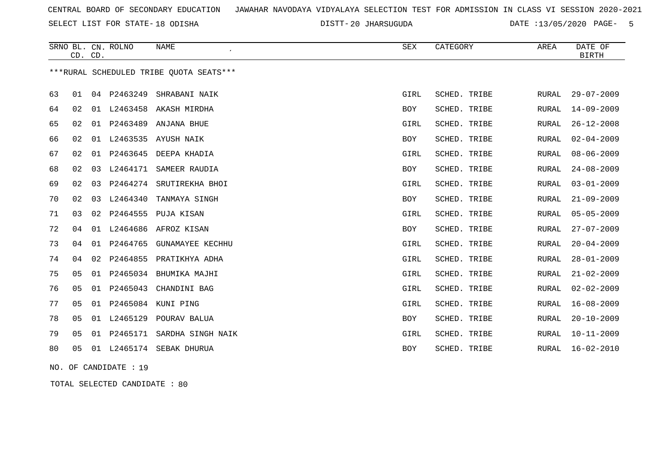SELECT LIST FOR STATE- DISTT- 18 ODISHA

20 JHARSUGUDA DATE :13/05/2020 PAGE- 5

|    | CD. CD.        |    | SRNO BL. CN. ROLNO | <b>NAME</b>                             | ${\tt SEX}$ | CATEGORY     | AREA         | DATE OF<br><b>BIRTH</b> |
|----|----------------|----|--------------------|-----------------------------------------|-------------|--------------|--------------|-------------------------|
|    |                |    |                    | ***RURAL SCHEDULED TRIBE OUOTA SEATS*** |             |              |              |                         |
| 63 | 01             | 04 | P2463249           | SHRABANI NAIK                           | GIRL        | SCHED. TRIBE | RURAL        | $29 - 07 - 2009$        |
| 64 | 02             |    | 01 L2463458        | AKASH MIRDHA                            | BOY         | SCHED. TRIBE | RURAL        | 14-09-2009              |
| 65 | 02             |    | 01 P2463489        | ANJANA BHUE                             | GIRL        | SCHED. TRIBE | RURAL        | $26 - 12 - 2008$        |
| 66 | 02             |    |                    | 01 L2463535 AYUSH NAIK                  | BOY         | SCHED. TRIBE | RURAL        | $02 - 04 - 2009$        |
| 67 | 02             | 01 | P2463645           | DEEPA KHADIA                            | GIRL        | SCHED. TRIBE | RURAL        | $08 - 06 - 2009$        |
| 68 | 02             | 03 | L2464171           | SAMEER RAUDIA                           | BOY         | SCHED. TRIBE | RURAL        | $24 - 08 - 2009$        |
| 69 | 02             | 03 |                    | P2464274 SRUTIREKHA BHOI                | GIRL        | SCHED. TRIBE | RURAL        | $03 - 01 - 2009$        |
| 70 | 02             | 03 | L2464340           | TANMAYA SINGH                           | BOY         | SCHED. TRIBE | RURAL        | $21 - 09 - 2009$        |
| 71 | 03             | 02 | P2464555           | PUJA KISAN                              | GIRL        | SCHED. TRIBE | <b>RURAL</b> | $05 - 05 - 2009$        |
| 72 | 04             |    | 01 L2464686        | AFROZ KISAN                             | BOY         | SCHED. TRIBE | RURAL        | $27 - 07 - 2009$        |
| 73 | 04             |    | 01 P2464765        | <b>GUNAMAYEE KECHHU</b>                 | GIRL        | SCHED. TRIBE | <b>RURAL</b> | $20 - 04 - 2009$        |
| 74 | 04             | 02 |                    | P2464855 PRATIKHYA ADHA                 | GIRL        | SCHED. TRIBE | RURAL        | $28 - 01 - 2009$        |
| 75 | 05             | 01 | P2465034           | BHUMIKA MAJHI                           | GIRL        | SCHED. TRIBE | <b>RURAL</b> | $21 - 02 - 2009$        |
| 76 | 05             | 01 | P2465043           | CHANDINI BAG                            | GIRL        | SCHED. TRIBE | RURAL        | $02 - 02 - 2009$        |
| 77 | 05             |    |                    | 01 P2465084 KUNI PING                   | GIRL        | SCHED. TRIBE | RURAL        | $16 - 08 - 2009$        |
| 78 | 0 <sub>5</sub> | 01 | L2465129           | POURAV BALUA                            | BOY         | SCHED. TRIBE | <b>RURAL</b> | $20 - 10 - 2009$        |
| 79 | 05             | 01 | P2465171           | SARDHA SINGH NAIK                       | GIRL        | SCHED. TRIBE | RURAL        | $10 - 11 - 2009$        |
| 80 | 05             | 01 |                    | L2465174 SEBAK DHURUA                   | <b>BOY</b>  | SCHED. TRIBE | <b>RURAL</b> | $16 - 02 - 2010$        |

NO. OF CANDIDATE : 19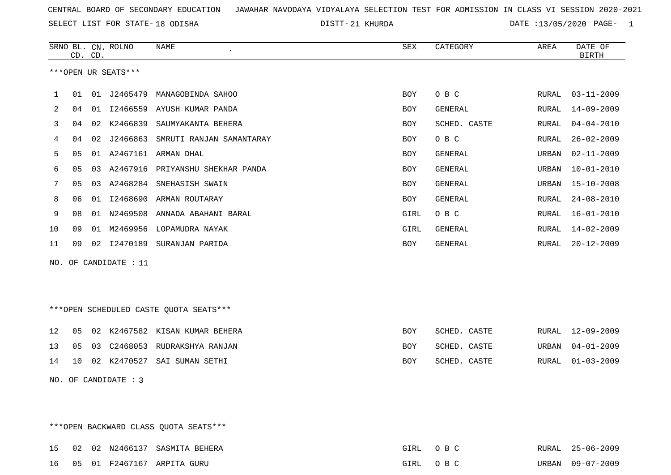SELECT LIST FOR STATE- DISTT- 18 ODISHA

21 KHURDA DATE :13/05/2020 PAGE- 1

|    |    | CD. CD. | SRNO BL. CN. ROLNO    | NAME<br>$\lambda$                      | ${\tt SEX}$ | CATEGORY     | AREA  | DATE OF<br><b>BIRTH</b> |
|----|----|---------|-----------------------|----------------------------------------|-------------|--------------|-------|-------------------------|
|    |    |         | ***OPEN UR SEATS***   |                                        |             |              |       |                         |
| 1  | 01 |         |                       | 01 J2465479 MANAGOBINDA SAHOO          | <b>BOY</b>  | O B C        | RURAL | $03 - 11 - 2009$        |
| 2  | 04 |         |                       | 01 I2466559 AYUSH KUMAR PANDA          | BOY         | GENERAL      | RURAL | $14 - 09 - 2009$        |
| 3  | 04 |         | 02 K2466839           | SAUMYAKANTA BEHERA                     | <b>BOY</b>  | SCHED. CASTE | RURAL | $04 - 04 - 2010$        |
| 4  | 04 | 02      | J2466863              | SMRUTI RANJAN SAMANTARAY               | BOY         | O B C        | RURAL | $26 - 02 - 2009$        |
| 5  | 05 |         |                       | 01 A2467161 ARMAN DHAL                 | <b>BOY</b>  | GENERAL      | URBAN | $02 - 11 - 2009$        |
| 6  | 05 | 03      |                       | A2467916 PRIYANSHU SHEKHAR PANDA       | BOY         | GENERAL      | URBAN | $10 - 01 - 2010$        |
| 7  | 05 |         |                       | 03 A2468284 SNEHASISH SWAIN            | BOY         | GENERAL      | URBAN | $15 - 10 - 2008$        |
| 8  | 06 | 01      |                       | 12468690 ARMAN ROUTARAY                | BOY         | GENERAL      | RURAL | $24 - 08 - 2010$        |
| 9  | 08 |         |                       | 01 N2469508 ANNADA ABAHANI BARAL       | GIRL        | O B C        | RURAL | $16 - 01 - 2010$        |
| 10 | 09 | 01      |                       | M2469956 LOPAMUDRA NAYAK               | GIRL        | GENERAL      | RURAL | $14 - 02 - 2009$        |
| 11 | 09 |         |                       | 02 I2470189 SURANJAN PARIDA            | BOY         | GENERAL      | RURAL | $20 - 12 - 2009$        |
|    |    |         | NO. OF CANDIDATE : 11 |                                        |             |              |       |                         |
|    |    |         |                       |                                        |             |              |       |                         |
|    |    |         |                       |                                        |             |              |       |                         |
|    |    |         |                       | ***OPEN SCHEDULED CASTE QUOTA SEATS*** |             |              |       |                         |
|    |    |         |                       |                                        |             |              |       |                         |
| 12 | 05 |         |                       | 02 K2467582 KISAN KUMAR BEHERA         | <b>BOY</b>  | SCHED. CASTE | RURAL | $12 - 09 - 2009$        |
| 13 | 05 | 03      |                       | C2468053 RUDRAKSHYA RANJAN             | BOY         | SCHED. CASTE | URBAN | $04 - 01 - 2009$        |
| 14 | 10 |         |                       | 02 K2470527 SAI SUMAN SETHI            | BOY         | SCHED. CASTE | RURAL | $01 - 03 - 2009$        |
|    |    |         | NO. OF CANDIDATE : 3  |                                        |             |              |       |                         |
|    |    |         |                       |                                        |             |              |       |                         |
|    |    |         |                       |                                        |             |              |       |                         |

\*\*\*OPEN BACKWARD CLASS QUOTA SEATS\*\*\*

|  | 15 02 02 N2466137 SASMITA BEHERA | GIRL OBC | RURAL 25-06-2009 |
|--|----------------------------------|----------|------------------|
|  | 16 05 01 F2467167 ARPITA GURU    | GIRL OBC | URBAN 09-07-2009 |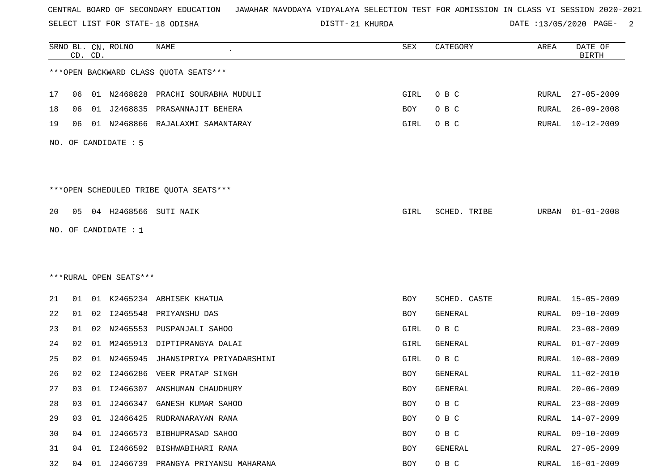SELECT LIST FOR STATE- DISTT- 18 ODISHA

DISTT-21 KHURDA **DATE** :13/05/2020 PAGE- 2

|    |    | CD. CD. | SRNO BL. CN. ROLNO     | NAME                                   | SEX  | CATEGORY     | AREA  | DATE OF<br><b>BIRTH</b> |
|----|----|---------|------------------------|----------------------------------------|------|--------------|-------|-------------------------|
|    |    |         |                        | *** OPEN BACKWARD CLASS QUOTA SEATS*** |      |              |       |                         |
| 17 | 06 |         |                        | 01 N2468828 PRACHI SOURABHA MUDULI     | GIRL | O B C        | RURAL | 27-05-2009              |
| 18 | 06 | 01      | J2468835               | PRASANNAJIT BEHERA                     | BOY  | O B C        | RURAL | $26 - 09 - 2008$        |
| 19 | 06 |         |                        | 01 N2468866 RAJALAXMI SAMANTARAY       | GIRL | O B C        | RURAL | 10-12-2009              |
|    |    |         | NO. OF CANDIDATE : 5   |                                        |      |              |       |                         |
|    |    |         |                        | ***OPEN SCHEDULED TRIBE QUOTA SEATS*** |      |              |       |                         |
| 20 | 05 |         |                        | 04 H2468566 SUTI NAIK                  | GIRL | SCHED. TRIBE | URBAN | $01 - 01 - 2008$        |
|    |    |         | NO. OF CANDIDATE : 1   |                                        |      |              |       |                         |
|    |    |         |                        |                                        |      |              |       |                         |
|    |    |         |                        |                                        |      |              |       |                         |
|    |    |         | ***RURAL OPEN SEATS*** |                                        |      |              |       |                         |
| 21 | 01 |         |                        | 01 K2465234 ABHISEK KHATUA             | BOY  | SCHED. CASTE | RURAL | 15-05-2009              |
| 22 | 01 |         |                        | 02 I2465548 PRIYANSHU DAS              | BOY  | GENERAL      | RURAL | $09 - 10 - 2009$        |
| 23 | 01 | 02      |                        | N2465553 PUSPANJALI SAHOO              | GIRL | O B C        | RURAL | $23 - 08 - 2009$        |
| 24 | 02 | 01      | M2465913               | DIPTIPRANGYA DALAI                     | GIRL | GENERAL      | RURAL | $01 - 07 - 2009$        |
| 25 | 02 | 01      | N2465945               | JHANSIPRIYA PRIYADARSHINI              | GIRL | O B C        | RURAL | $10 - 08 - 2009$        |
| 26 | 02 | 02      | I2466286               | VEER PRATAP SINGH                      | BOY  | GENERAL      | RURAL | $11 - 02 - 2010$        |
| 27 | 03 |         |                        | 01 I2466307 ANSHUMAN CHAUDHURY         | BOY  | GENERAL      | RURAL | $20 - 06 - 2009$        |
| 28 | 03 | 01      |                        | J2466347 GANESH KUMAR SAHOO            | BOY  | O B C        | RURAL | $23 - 08 - 2009$        |
| 29 | 03 | 01      |                        | J2466425 RUDRANARAYAN RANA             | BOY  | O B C        | RURAL | $14 - 07 - 2009$        |
| 30 | 04 | 01      |                        | J2466573 BIBHUPRASAD SAHOO             | BOY  | O B C        | RURAL | $09 - 10 - 2009$        |
| 31 | 04 | 01      |                        | 12466592 BISHWABIHARI RANA             | BOY  | GENERAL      | RURAL | $27 - 05 - 2009$        |
| 32 | 04 | 01      |                        | J2466739 PRANGYA PRIYANSU MAHARANA     | BOY  | O B C        | RURAL | $16 - 01 - 2009$        |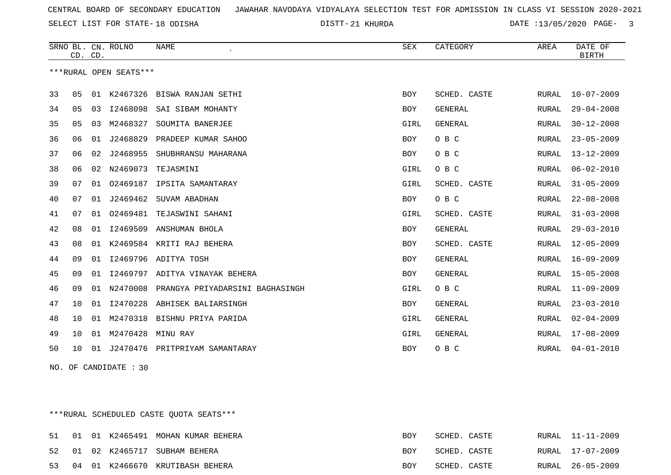21 KHURDA DATE :13/05/2020 PAGE- 3

|    | CD. CD. |    | SRNO BL. CN. ROLNO     | <b>NAME</b>                     | SEX        | CATEGORY       | AREA         | DATE OF<br><b>BIRTH</b> |
|----|---------|----|------------------------|---------------------------------|------------|----------------|--------------|-------------------------|
|    |         |    | ***RURAL OPEN SEATS*** |                                 |            |                |              |                         |
| 33 | 05      | 01 | K2467326               | BISWA RANJAN SETHI              | <b>BOY</b> | SCHED. CASTE   | <b>RURAL</b> | $10 - 07 - 2009$        |
| 34 | 05      | 03 | I2468098               | SAI SIBAM MOHANTY               | <b>BOY</b> | <b>GENERAL</b> | RURAL        | $29 - 04 - 2008$        |
| 35 | 05      | 03 | M2468327               | SOUMITA BANERJEE                | GIRL       | <b>GENERAL</b> | RURAL        | $30 - 12 - 2008$        |
| 36 | 06      | 01 | J2468829               | PRADEEP KUMAR SAHOO             | BOY        | O B C          | RURAL        | $23 - 05 - 2009$        |
| 37 | 06      | 02 | J2468955               | SHUBHRANSU MAHARANA             | <b>BOY</b> | O B C          | RURAL        | $13 - 12 - 2009$        |
| 38 | 06      | 02 | N2469073               | TEJASMINI                       | GIRL       | O B C          | RURAL        | $06 - 02 - 2010$        |
| 39 | 07      |    |                        | 01 02469187 IPSITA SAMANTARAY   | GIRL       | SCHED. CASTE   | RURAL        | $31 - 05 - 2009$        |
| 40 | 07      | 01 | J2469462               | SUVAM ABADHAN                   | <b>BOY</b> | O B C          | RURAL        | $22 - 08 - 2008$        |
| 41 | 07      | 01 | 02469481               | TEJASWINI SAHANI                | GIRL       | SCHED. CASTE   | RURAL        | $31 - 03 - 2008$        |
| 42 | 08      | 01 | I2469509               | ANSHUMAN BHOLA                  | <b>BOY</b> | <b>GENERAL</b> | RURAL        | $29 - 03 - 2010$        |
| 43 | 08      |    |                        | 01 K2469584 KRITI RAJ BEHERA    | <b>BOY</b> | SCHED. CASTE   | RURAL        | $12 - 05 - 2009$        |
| 44 | 09      | 01 | I2469796               | ADITYA TOSH                     | <b>BOY</b> | <b>GENERAL</b> | RURAL        | $16 - 09 - 2009$        |
| 45 | 09      | 01 | I2469797               | ADITYA VINAYAK BEHERA           | <b>BOY</b> | GENERAL        | RURAL        | $15 - 05 - 2008$        |
| 46 | 09      | 01 | N2470008               | PRANGYA PRIYADARSINI BAGHASINGH | GIRL       | O B C          | <b>RURAL</b> | $11 - 09 - 2009$        |
| 47 | 10      | 01 | I2470228               | ABHISEK BALIARSINGH             | <b>BOY</b> | <b>GENERAL</b> | RURAL        | $23 - 03 - 2010$        |
| 48 | 10      | 01 | M2470318               | BISHNU PRIYA PARIDA             | GIRL       | <b>GENERAL</b> | RURAL        | $02 - 04 - 2009$        |
| 49 | 10      | 01 | M2470428               | MINU RAY                        | GIRL       | <b>GENERAL</b> | RURAL        | $17 - 08 - 2009$        |
| 50 | 10      | 01 | J2470476               | PRITPRIYAM SAMANTARAY           | <b>BOY</b> | O B C          | RURAL        | $04 - 01 - 2010$        |

NO. OF CANDIDATE : 30

\*\*\*RURAL SCHEDULED CASTE QUOTA SEATS\*\*\*

|  |  | 51 01 01 K2465491 MOHAN KUMAR BEHERA | BOY        | SCHED. CASTE | RURAL 11-11-2009 |
|--|--|--------------------------------------|------------|--------------|------------------|
|  |  | 52 01 02 K2465717 SUBHAM BEHERA      | <b>BOY</b> | SCHED. CASTE | RURAL 17-07-2009 |
|  |  | 53 04 01 K2466670 KRUTIBASH BEHERA   | BOY        | SCHED. CASTE | RURAL 26-05-2009 |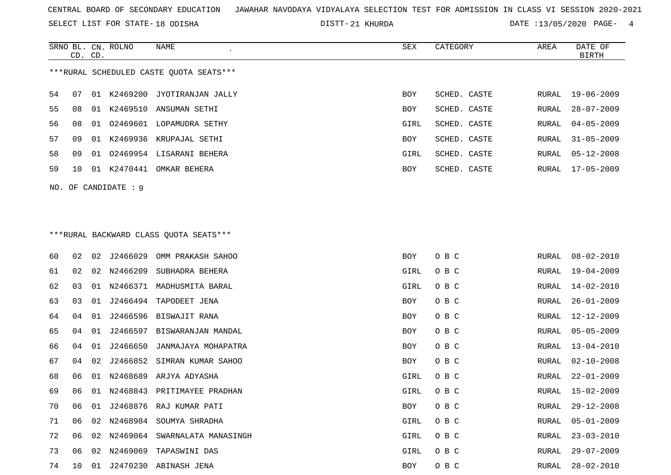SELECT LIST FOR STATE- DISTT- 18 ODISHA

21 KHURDA DATE :13/05/2020 PAGE- 4

|          | SRNO BL. CN. ROLNO<br>CD. CD. | <b>NAME</b><br>$\epsilon$               | <b>SEX</b> | CATEGORY     | AREA  | DATE OF<br><b>BIRTH</b> |
|----------|-------------------------------|-----------------------------------------|------------|--------------|-------|-------------------------|
|          |                               | ***RURAL SCHEDULED CASTE QUOTA SEATS*** |            |              |       |                         |
| 54<br>07 | K2469200<br>01                | JYOTIRANJAN JALLY                       | <b>BOY</b> | SCHED. CASTE | RURAL | $19 - 06 - 2009$        |
| 55<br>08 | 01                            | K2469510 ANSUMAN SETHI                  | BOY        | SCHED. CASTE | RURAL | $28 - 07 - 2009$        |
| 56<br>08 | 01                            | 02469601 LOPAMUDRA SETHY                | GIRL       | SCHED. CASTE | RURAL | $04 - 05 - 2009$        |
| 57<br>09 | K2469936<br>01                | KRUPAJAL SETHI                          | <b>BOY</b> | SCHED. CASTE | RURAL | $31 - 05 - 2009$        |
| 58<br>09 | 01                            | 02469954 LISARANI BEHERA                | GIRL       | SCHED. CASTE | RURAL | $05 - 12 - 2008$        |
| 59<br>10 | K2470441<br>01                | OMKAR BEHERA                            | BOY        | SCHED. CASTE | RURAL | $17 - 05 - 2009$        |
| NO.      | OF CANDIDATE : 9              |                                         |            |              |       |                         |
|          |                               |                                         |            |              |       |                         |
|          |                               |                                         |            |              |       |                         |
|          |                               | *** RURAL BACKWARD CLASS QUOTA SEATS*** |            |              |       |                         |
| 60<br>02 | J2466029<br>02                | OMM PRAKASH SAHOO                       | <b>BOY</b> | O B C        | RURAL | $08 - 02 - 2010$        |
| 02<br>61 | N2466209<br>02                | SUBHADRA BEHERA                         | GIRL       | O B C        | RURAL | $19 - 04 - 2009$        |

| 60 | 02 | 02 | J2466029 | OMM PRAKASH SAHOO           | BOY  | O B C | RURAL | $08 - 02 - 2010$ |
|----|----|----|----------|-----------------------------|------|-------|-------|------------------|
| 61 | 02 | 02 | N2466209 | SUBHADRA BEHERA             | GIRL | O B C | RURAL | 19-04-2009       |
| 62 | 03 | 01 | N2466371 | MADHUSMITA BARAL            | GIRL | O B C | RURAL | $14 - 02 - 2010$ |
| 63 | 03 | 01 | J2466494 | TAPODEET JENA               | BOY  | O B C | RURAL | $26 - 01 - 2009$ |
| 64 | 04 | 01 | J2466596 | BISWAJIT RANA               | BOY  | O B C | RURAL | 12-12-2009       |
| 65 | 04 | 01 | J2466597 | BISWARANJAN MANDAL          | BOY  | O B C | RURAL | $05 - 05 - 2009$ |
| 66 | 04 | 01 | J2466650 | JANMAJAYA MOHAPATRA         | BOY  | O B C | RURAL | $13 - 04 - 2010$ |
| 67 | 04 | 02 | J2466852 | SIMRAN KUMAR SAHOO          | BOY  | O B C | RURAL | $02 - 10 - 2008$ |
| 68 | 06 | 01 | N2468689 | ARJYA ADYASHA               | GIRL | O B C | RURAL | $22 - 01 - 2009$ |
| 69 | 06 | 01 |          | N2468843 PRITIMAYEE PRADHAN | GIRL | O B C | RURAL | 15-02-2009       |
| 70 | 06 | 01 | J2468876 | RAJ KUMAR PATI              | BOY  | O B C | RURAL | $29 - 12 - 2008$ |
| 71 | 06 | 02 | N2468984 | SOUMYA SHRADHA              | GIRL | O B C | RURAL | $05 - 01 - 2009$ |
| 72 | 06 | 02 | N2469064 | SWARNALATA MANASINGH        | GIRL | O B C | RURAL | $23 - 03 - 2010$ |
| 73 | 06 | 02 | N2469069 | TAPASWINI DAS               | GIRL | O B C | RURAL | $29 - 07 - 2009$ |
| 74 | 10 | 01 |          | J2470230 ABINASH JENA       | BOY  | O B C | RURAL | $28 - 02 - 2010$ |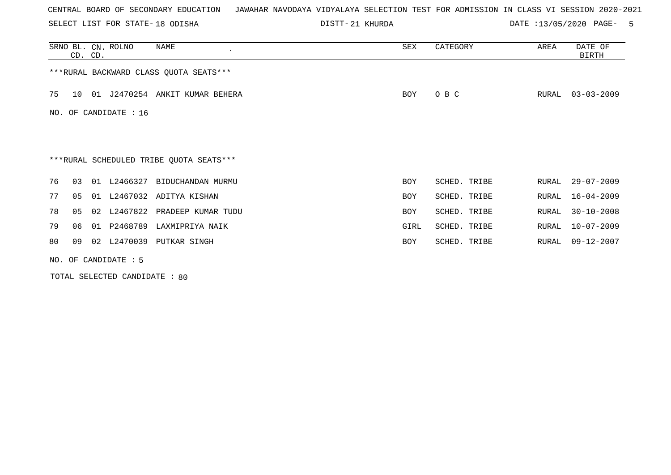SELECT LIST FOR STATE- DISTT- 18 ODISHA

21 KHURDA DATE :13/05/2020 PAGE- 5

|    |    | CD. CD. | SRNO BL. CN. ROLNO      | NAME<br>$\cdot$                         | SEX        | CATEGORY     | AREA  | DATE OF<br>BIRTH |
|----|----|---------|-------------------------|-----------------------------------------|------------|--------------|-------|------------------|
|    |    |         |                         | *** RURAL BACKWARD CLASS QUOTA SEATS*** |            |              |       |                  |
| 75 | 10 |         |                         | 01 J2470254 ANKIT KUMAR BEHERA          | BOY        | O B C        | RURAL | $03 - 03 - 2009$ |
|    |    |         | NO. OF CANDIDATE : $16$ |                                         |            |              |       |                  |
|    |    |         |                         |                                         |            |              |       |                  |
|    |    |         |                         | ***RURAL SCHEDULED TRIBE QUOTA SEATS*** |            |              |       |                  |
| 76 | 03 |         |                         | 01 L2466327 BIDUCHANDAN MURMU           | BOY        | SCHED. TRIBE | RURAL | $29 - 07 - 2009$ |
| 77 | 05 |         |                         | 01 L2467032 ADITYA KISHAN               | <b>BOY</b> | SCHED. TRIBE | RURAL | $16 - 04 - 2009$ |
| 78 | 05 |         |                         | 02 L2467822 PRADEEP KUMAR TUDU          | BOY        | SCHED. TRIBE | RURAL | $30 - 10 - 2008$ |
| 79 | 06 |         | 01 P2468789             | LAXMIPRIYA NAIK                         | GIRL       | SCHED. TRIBE | RURAL | $10 - 07 - 2009$ |
| 80 | 09 |         |                         | 02 L2470039 PUTKAR SINGH                | BOY        | SCHED. TRIBE | RURAL | $09 - 12 - 2007$ |
|    |    |         | NO. OF CANDIDATE $: 5$  |                                         |            |              |       |                  |

TOTAL SELECTED CANDIDATE : 80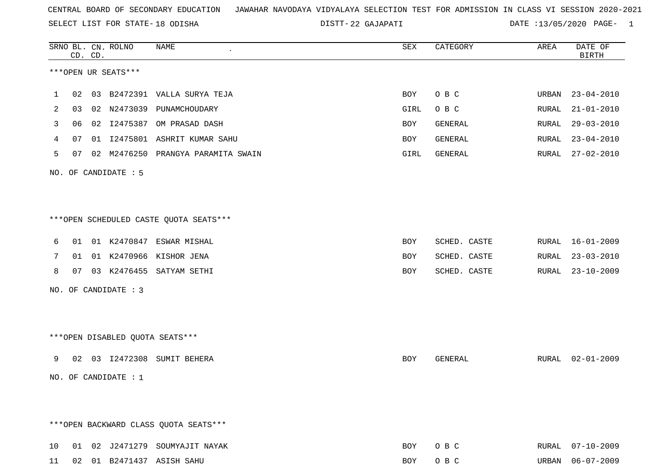SELECT LIST FOR STATE- DISTT- 18 ODISHA

22 GAJAPATI DATE :13/05/2020 PAGE- 1

|    |    | CD. CD. | SRNO BL. CN. ROLNO   | NAME                                   | ${\tt SEX}$ | CATEGORY     | AREA  | DATE OF<br><b>BIRTH</b> |
|----|----|---------|----------------------|----------------------------------------|-------------|--------------|-------|-------------------------|
|    |    |         | ***OPEN UR SEATS***  |                                        |             |              |       |                         |
| 1  | 02 |         |                      | 03 B2472391 VALLA SURYA TEJA           | BOY         | O B C        | URBAN | $23 - 04 - 2010$        |
| 2  | 03 |         | 02 N2473039          | PUNAMCHOUDARY                          | GIRL        | O B C        | RURAL | $21 - 01 - 2010$        |
| 3  | 06 | 02      |                      | I2475387 OM PRASAD DASH                | BOY         | GENERAL      | RURAL | $29 - 03 - 2010$        |
| 4  | 07 |         |                      | 01 I2475801 ASHRIT KUMAR SAHU          | BOY         | GENERAL      | RURAL | $23 - 04 - 2010$        |
| 5  | 07 |         |                      | 02 M2476250 PRANGYA PARAMITA SWAIN     | GIRL        | GENERAL      | RURAL | $27 - 02 - 2010$        |
|    |    |         | NO. OF CANDIDATE : 5 |                                        |             |              |       |                         |
|    |    |         |                      | ***OPEN SCHEDULED CASTE QUOTA SEATS*** |             |              |       |                         |
| 6  |    |         |                      | 01 01 K2470847 ESWAR MISHAL            | BOY         | SCHED. CASTE | RURAL | $16 - 01 - 2009$        |
| 7  |    |         |                      | 01 01 K2470966 KISHOR JENA             | BOY         | SCHED. CASTE | RURAL | $23 - 03 - 2010$        |
| 8  |    |         |                      | 07 03 K2476455 SATYAM SETHI            | BOY         | SCHED. CASTE | RURAL | $23 - 10 - 2009$        |
|    |    |         | NO. OF CANDIDATE : 3 |                                        |             |              |       |                         |
|    |    |         |                      |                                        |             |              |       |                         |
|    |    |         |                      | ***OPEN DISABLED QUOTA SEATS***        |             |              |       |                         |
| 9  | 02 |         |                      | 03 I2472308 SUMIT BEHERA               | <b>BOY</b>  | GENERAL      |       | RURAL 02-01-2009        |
|    |    |         | NO. OF CANDIDATE : 1 |                                        |             |              |       |                         |
|    |    |         |                      |                                        |             |              |       |                         |
|    |    |         |                      | *** OPEN BACKWARD CLASS QUOTA SEATS*** |             |              |       |                         |
| 10 |    |         |                      | 01 02 J2471279 SOUMYAJIT NAYAK         | BOY         | O B C        |       | RURAL 07-10-2009        |
|    |    |         |                      | 11 02 01 B2471437 ASISH SAHU           | BOY         | O B C        |       | URBAN 06-07-2009        |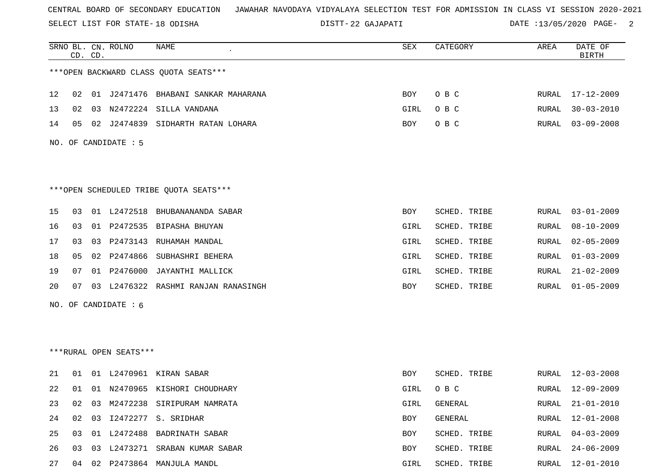SELECT LIST FOR STATE- DISTT- 18 ODISHA

22 GAJAPATI DATE :13/05/2020 PAGE- 2

|    | CD. CD. |    | SRNO BL. CN. ROLNO     | NAME                                   | SEX  | CATEGORY     | AREA         | DATE OF<br><b>BIRTH</b> |
|----|---------|----|------------------------|----------------------------------------|------|--------------|--------------|-------------------------|
|    |         |    |                        | *** OPEN BACKWARD CLASS QUOTA SEATS*** |      |              |              |                         |
| 12 | 02      |    |                        | 01 J2471476 BHABANI SANKAR MAHARANA    | BOY  | O B C        |              | RURAL 17-12-2009        |
| 13 | 02      |    |                        | 03 N2472224 SILLA VANDANA              | GIRL | O B C        | RURAL        | $30 - 03 - 2010$        |
| 14 | 05      |    |                        | 02 J2474839 SIDHARTH RATAN LOHARA      | BOY  | O B C        | RURAL        | $03 - 09 - 2008$        |
|    |         |    | NO. OF CANDIDATE : 5   |                                        |      |              |              |                         |
|    |         |    |                        |                                        |      |              |              |                         |
|    |         |    |                        | ***OPEN SCHEDULED TRIBE QUOTA SEATS*** |      |              |              |                         |
| 15 | 03      |    |                        | 01 L2472518 BHUBANANANDA SABAR         | BOY  | SCHED. TRIBE | <b>RURAL</b> | $03 - 01 - 2009$        |
| 16 | 03      |    |                        | 01 P2472535 BIPASHA BHUYAN             | GIRL | SCHED. TRIBE | RURAL        | $08 - 10 - 2009$        |
| 17 | 03      | 03 |                        | P2473143 RUHAMAH MANDAL                | GIRL | SCHED. TRIBE | RURAL        | $02 - 05 - 2009$        |
| 18 | 05      |    |                        | 02 P2474866 SUBHASHRI BEHERA           | GIRL | SCHED. TRIBE | RURAL        | $01 - 03 - 2009$        |
| 19 | 07      |    |                        | 01 P2476000 JAYANTHI MALLICK           | GIRL | SCHED. TRIBE | RURAL        | $21 - 02 - 2009$        |
| 20 | 07      |    |                        | 03 L2476322 RASHMI RANJAN RANASINGH    | BOY  | SCHED. TRIBE | RURAL        | $01 - 05 - 2009$        |
|    |         |    | NO. OF CANDIDATE : $6$ |                                        |      |              |              |                         |
|    |         |    |                        |                                        |      |              |              |                         |
|    |         |    |                        |                                        |      |              |              |                         |
|    |         |    | ***RURAL OPEN SEATS*** |                                        |      |              |              |                         |
| 21 | 01      |    |                        | 01 L2470961 KIRAN SABAR                | BOY  | SCHED. TRIBE |              | RURAL 12-03-2008        |
| 22 |         |    |                        | 01 01 N2470965 KISHORI CHOUDHARY       | GIRL | O B C        |              | RURAL 12-09-2009        |
| 23 | 02      |    |                        | 03 M2472238 SIRIPURAM NAMRATA          | GIRL | GENERAL      | RURAL        | $21 - 01 - 2010$        |
| 24 | 02      |    |                        | 03 12472277 S. SRIDHAR                 | BOY  | GENERAL      | RURAL        | 12-01-2008              |
| 25 | 03      |    |                        | 01 L2472488 BADRINATH SABAR            | BOY  | SCHED. TRIBE | RURAL        | $04 - 03 - 2009$        |
| 26 | 03      |    |                        | 03 L2473271 SRABAN KUMAR SABAR         | BOY  | SCHED. TRIBE | RURAL        | $24 - 06 - 2009$        |
| 27 |         |    |                        | 04 02 P2473864 MANJULA MANDL           | GIRL | SCHED. TRIBE | RURAL        | 12-01-2010              |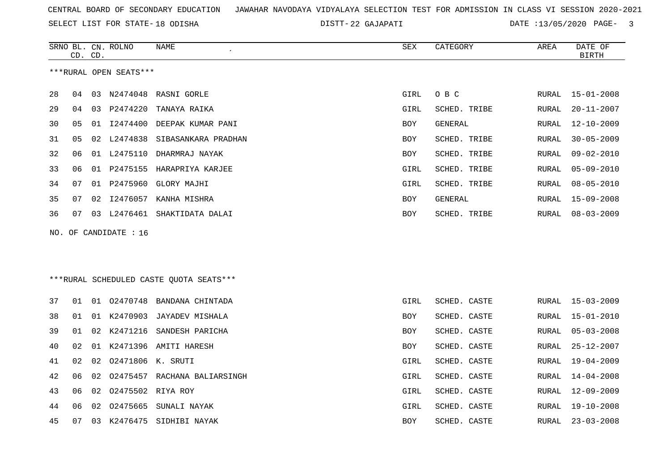SELECT LIST FOR STATE- DISTT- 18 ODISHA

DISTT-22 GAJAPATI DATE :13/05/2020 PAGE- 3

|    | CD. CD. |    | SRNO BL. CN. ROLNO     | NAME                                    | SEX        | CATEGORY     | AREA  | DATE OF<br><b>BIRTH</b> |
|----|---------|----|------------------------|-----------------------------------------|------------|--------------|-------|-------------------------|
|    |         |    | ***RURAL OPEN SEATS*** |                                         |            |              |       |                         |
| 28 | 04      |    |                        | 03 N2474048 RASNI GORLE                 | GIRL       | O B C        | RURAL | 15-01-2008              |
| 29 | 04      |    | 03 P2474220            | TANAYA RAIKA                            | GIRL       | SCHED. TRIBE | RURAL | $20 - 11 - 2007$        |
| 30 | 05      |    |                        | 01 I2474400 DEEPAK KUMAR PANI           | <b>BOY</b> | GENERAL      | RURAL | $12 - 10 - 2009$        |
| 31 | 05      | 02 | L2474838               | SIBASANKARA PRADHAN                     | <b>BOY</b> | SCHED. TRIBE | RURAL | $30 - 05 - 2009$        |
| 32 | 06      | 01 |                        | L2475110 DHARMRAJ NAYAK                 | <b>BOY</b> | SCHED. TRIBE | RURAL | $09 - 02 - 2010$        |
| 33 | 06      | 01 |                        | P2475155 HARAPRIYA KARJEE               | GIRL       | SCHED. TRIBE | RURAL | $05 - 09 - 2010$        |
| 34 | 07      | 01 |                        | P2475960 GLORY MAJHI                    | GIRL       | SCHED. TRIBE | RURAL | $08 - 05 - 2010$        |
| 35 | 07      | 02 | I2476057               | KANHA MISHRA                            | BOY        | GENERAL      | RURAL | $15 - 09 - 2008$        |
| 36 | 07      |    |                        | 03 L2476461 SHAKTIDATA DALAI            | <b>BOY</b> | SCHED. TRIBE | RURAL | $08 - 03 - 2009$        |
|    |         |    | NO. OF CANDIDATE : 16  |                                         |            |              |       |                         |
|    |         |    |                        |                                         |            |              |       |                         |
|    |         |    |                        |                                         |            |              |       |                         |
|    |         |    |                        | ***RURAL SCHEDULED CASTE QUOTA SEATS*** |            |              |       |                         |
| 37 | 01      | 01 |                        | 02470748 BANDANA CHINTADA               | GIRL       | SCHED. CASTE | RURAL | $15 - 03 - 2009$        |
| 38 | 01      | 01 | K2470903               | JAYADEV MISHALA                         | BOY        | SCHED. CASTE | RURAL | $15 - 01 - 2010$        |
| 39 | 01      | 02 |                        | K2471216 SANDESH PARICHA                | <b>BOY</b> | SCHED. CASTE | RURAL | $05 - 03 - 2008$        |
| 40 | 02      | 01 |                        | K2471396 AMITI HARESH                   | BOY        | SCHED. CASTE | RURAL | $25 - 12 - 2007$        |
| 41 | 02      | 02 | 02471806 K. SRUTI      |                                         | GIRL       | SCHED. CASTE | RURAL | 19-04-2009              |
| 42 | 06      | 02 |                        | 02475457 RACHANA BALIARSINGH            | GIRL       | SCHED. CASTE | RURAL | $14 - 04 - 2008$        |
| 43 | 06      | 02 | 02475502 RIYA ROY      |                                         | GIRL       | SCHED. CASTE | RURAL | $12 - 09 - 2009$        |
| 44 | 06      | 02 | 02475665               | SUNALI NAYAK                            | GIRL       | SCHED. CASTE | RURAL | $19 - 10 - 2008$        |
| 45 | 07      | 03 |                        | K2476475 SIDHIBI NAYAK                  | <b>BOY</b> | SCHED. CASTE | RURAL | $23 - 03 - 2008$        |
|    |         |    |                        |                                         |            |              |       |                         |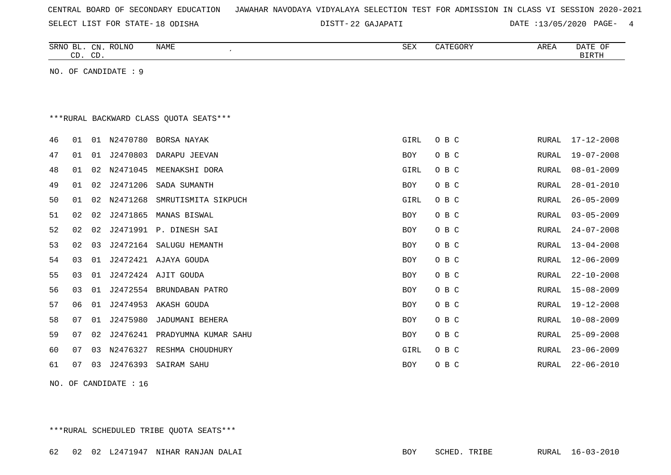| CENTRAL BOARD OF SECONDARY EDUCATION – JAWAHAR NAVODAYA VIDYALAYA SELECTION TEST FOR ADMISSION IN CLASS VI SESSION 2020-2021 |  |  |  |  |
|------------------------------------------------------------------------------------------------------------------------------|--|--|--|--|
|------------------------------------------------------------------------------------------------------------------------------|--|--|--|--|

DISTT-22 GAJAPATI 22 GAJAPATI DATE :13/05/2020 PAGE- 4

|    | CD. CD. |    | SRNO BL. CN. ROLNO   | <b>NAME</b>                             | <b>SEX</b> | CATEGORY | AREA          | DATE OF<br><b>BIRTH</b> |
|----|---------|----|----------------------|-----------------------------------------|------------|----------|---------------|-------------------------|
|    |         |    | NO. OF CANDIDATE : 9 |                                         |            |          |               |                         |
|    |         |    |                      |                                         |            |          |               |                         |
|    |         |    |                      |                                         |            |          |               |                         |
|    |         |    |                      | *** RURAL BACKWARD CLASS QUOTA SEATS*** |            |          |               |                         |
| 46 | 01      | 01 | N2470780             | BORSA NAYAK                             | GIRL       | O B C    | RURAL         | $17 - 12 - 2008$        |
| 47 | 01      | 01 | J2470803             | DARAPU JEEVAN                           | <b>BOY</b> | O B C    | RURAL         | $19 - 07 - 2008$        |
| 48 | 01      | 02 | N2471045             | MEENAKSHI DORA                          | GIRL       | O B C    | RURAL         | $08 - 01 - 2009$        |
| 49 | 01      | 02 | J2471206             | SADA SUMANTH                            | <b>BOY</b> | O B C    | RURAL         | $28 - 01 - 2010$        |
| 50 | 01      | 02 | N2471268             | SMRUTISMITA SIKPUCH                     | GIRL       | O B C    | RURAL         | $26 - 05 - 2009$        |
| 51 | 02      | 02 | J2471865             | MANAS BISWAL                            | BOY        | O B C    | RURAL         | $03 - 05 - 2009$        |
| 52 | 02      | 02 | J2471991             | P. DINESH SAI                           | <b>BOY</b> | O B C    | RURAL         | $24 - 07 - 2008$        |
| 53 | 02      | 03 | J2472164             | SALUGU HEMANTH                          | BOY        | O B C    | RURAL         | $13 - 04 - 2008$        |
| 54 | 03      | 01 |                      | J2472421 AJAYA GOUDA                    | <b>BOY</b> | O B C    | ${\tt RURAL}$ | $12 - 06 - 2009$        |
| 55 | 03      | 01 |                      | J2472424 AJIT GOUDA                     | <b>BOY</b> | O B C    | RURAL         | $22 - 10 - 2008$        |
| 56 | 03      | 01 | J2472554             | BRUNDABAN PATRO                         | BOY        | O B C    | RURAL         | $15 - 08 - 2009$        |
| 57 | 06      | 01 | J2474953             | AKASH GOUDA                             | <b>BOY</b> | O B C    | RURAL         | 19-12-2008              |
| 58 | 07      | 01 | J2475980             | JADUMANI BEHERA                         | BOY        | O B C    | RURAL         | $10 - 08 - 2009$        |
| 59 | 07      | 02 | J2476241             | PRADYUMNA KUMAR SAHU                    | BOY        | O B C    | RURAL         | $25 - 09 - 2008$        |
| 60 | 07      | 03 | N2476327             | RESHMA CHOUDHURY                        | GIRL       | O B C    | RURAL         | $23 - 06 - 2009$        |
| 61 | 07      | 03 | J2476393             | SAIRAM SAHU                             | <b>BOY</b> | O B C    | ${\tt RURAL}$ | $22 - 06 - 2010$        |

NO. OF CANDIDATE : 16

\*\*\*RURAL SCHEDULED TRIBE QUOTA SEATS\*\*\*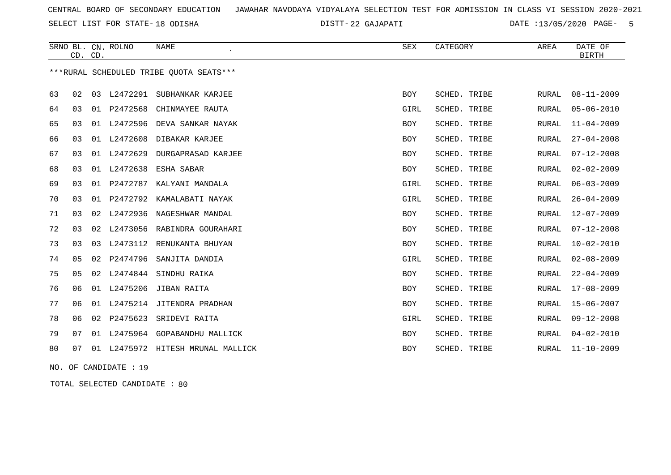SELECT LIST FOR STATE- DISTT- 18 ODISHA

22 GAJAPATI DATE :13/05/2020 PAGE- 5

|    |    | CD. CD. | SRNO BL. CN. ROLNO | <b>NAME</b>                              | <b>SEX</b> | CATEGORY        | AREA         | DATE OF<br><b>BIRTH</b> |
|----|----|---------|--------------------|------------------------------------------|------------|-----------------|--------------|-------------------------|
|    |    |         |                    | *** RURAL SCHEDULED TRIBE QUOTA SEATS*** |            |                 |              |                         |
| 63 | 02 | 03      | L2472291           | SUBHANKAR KARJEE                         | <b>BOY</b> | SCHED. TRIBE    | <b>RURAL</b> | $08 - 11 - 2009$        |
| 64 | 03 | 01      | P2472568           | CHINMAYEE RAUTA                          | GIRL       | SCHED. TRIBE    | RURAL        | $05 - 06 - 2010$        |
| 65 | 03 | 01      | L2472596           | DEVA SANKAR NAYAK                        | <b>BOY</b> | SCHED. TRIBE    | RURAL        | $11 - 04 - 2009$        |
| 66 | 03 |         | 01 L2472608        | DIBAKAR KARJEE                           | <b>BOY</b> | SCHED. TRIBE    | RURAL        | $27 - 04 - 2008$        |
| 67 | 03 | 01      | L2472629           | DURGAPRASAD KARJEE                       | <b>BOY</b> | SCHED. TRIBE    | RURAL        | $07 - 12 - 2008$        |
| 68 | 03 | 01      | L2472638           | ESHA SABAR                               | <b>BOY</b> | SCHED. TRIBE    | <b>RURAL</b> | $02 - 02 - 2009$        |
| 69 | 03 |         |                    | 01 P2472787 KALYANI MANDALA              | GIRL       | SCHED. TRIBE    | RURAL        | $06 - 03 - 2009$        |
| 70 | 03 | 01      |                    | P2472792 KAMALABATI NAYAK                | GIRL       | SCHED. TRIBE    | RURAL        | $26 - 04 - 2009$        |
| 71 | 03 | 02      | L2472936           | NAGESHWAR MANDAL                         | <b>BOY</b> | SCHED. TRIBE    | <b>RURAL</b> | $12 - 07 - 2009$        |
| 72 | 03 | 02      |                    | L2473056 RABINDRA GOURAHARI              | BOY        | SCHED. TRIBE    | RURAL        | $07 - 12 - 2008$        |
| 73 | 03 |         |                    | 03 L2473112 RENUKANTA BHUYAN             | <b>BOY</b> | SCHED. TRIBE    | RURAL        | $10 - 02 - 2010$        |
| 74 | 05 | 02      | P2474796           | SANJITA DANDIA                           | GIRL       | SCHED. TRIBE    | RURAL        | $02 - 08 - 2009$        |
| 75 | 05 |         | 02 L2474844        | SINDHU RAIKA                             | <b>BOY</b> | SCHED. TRIBE    | <b>RURAL</b> | $22 - 04 - 2009$        |
| 76 | 06 | 01      | L2475206           | JIBAN RAITA                              | <b>BOY</b> | SCHED. TRIBE    | <b>RURAL</b> | $17 - 08 - 2009$        |
| 77 | 06 |         |                    | 01 L2475214 JITENDRA PRADHAN             | BOY        | SCHED. TRIBE    | RURAL        | $15 - 06 - 2007$        |
| 78 | 06 | 02      | P2475623           | SRIDEVI RAITA                            | GIRL       | SCHED. TRIBE    | <b>RURAL</b> | $09 - 12 - 2008$        |
| 79 | 07 | 01      | L2475964           | GOPABANDHU MALLICK                       | BOY        | SCHED. TRIBE    | RURAL        | $04 - 02 - 2010$        |
| 80 | 07 | 01      |                    | L2475972 HITESH MRUNAL MALLICK           | <b>BOY</b> | SCHED.<br>TRIBE | <b>RURAL</b> | $11 - 10 - 2009$        |

NO. OF CANDIDATE : 19

TOTAL SELECTED CANDIDATE : 80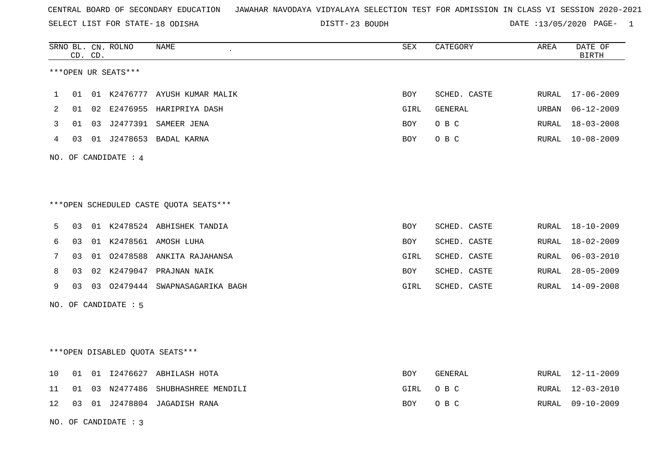SELECT LIST FOR STATE- DISTT- 18 ODISHA

23 BOUDH DATE :13/05/2020 PAGE- 1

|    |    | CD. CD. | SRNO BL. CN. ROLNO   | NAME                                    | <b>SEX</b> | CATEGORY     | AREA  | DATE OF<br><b>BIRTH</b> |
|----|----|---------|----------------------|-----------------------------------------|------------|--------------|-------|-------------------------|
|    |    |         | ***OPEN UR SEATS***  |                                         |            |              |       |                         |
| 1  | 01 |         |                      | 01 K2476777 AYUSH KUMAR MALIK           | BOY        | SCHED. CASTE | RURAL | 17-06-2009              |
| 2  | 01 |         |                      | 02 E2476955 HARIPRIYA DASH              | GIRL       | GENERAL      | URBAN | $06 - 12 - 2009$        |
| 3  | 01 |         |                      | 03 J2477391 SAMEER JENA                 | BOY        | O B C        | RURAL | $18 - 03 - 2008$        |
| 4  |    |         |                      | 03 01 J2478653 BADAL KARNA              | <b>BOY</b> | O B C        | RURAL | 10-08-2009              |
|    |    |         | NO. OF CANDIDATE : 4 |                                         |            |              |       |                         |
|    |    |         |                      | *** OPEN SCHEDULED CASTE QUOTA SEATS*** |            |              |       |                         |
| 5  |    |         |                      | 03 01 K2478524 ABHISHEK TANDIA          | BOY        | SCHED. CASTE |       | RURAL 18-10-2009        |
| 6  | 03 |         |                      | 01 K2478561 AMOSH LUHA                  | <b>BOY</b> | SCHED. CASTE | RURAL | $18 - 02 - 2009$        |
| 7  | 03 |         |                      | 01 02478588 ANKITA RAJAHANSA            | GIRL       | SCHED. CASTE | RURAL | $06 - 03 - 2010$        |
| 8  | 03 |         |                      | 02 K2479047 PRAJNAN NAIK                | BOY        | SCHED. CASTE | RURAL | $28 - 05 - 2009$        |
| 9  | 03 |         |                      | 03 02479444 SWAPNASAGARIKA BAGH         | GIRL       | SCHED. CASTE | RURAL | 14-09-2008              |
|    |    |         | NO. OF CANDIDATE : 5 |                                         |            |              |       |                         |
|    |    |         |                      | ***OPEN DISABLED QUOTA SEATS***         |            |              |       |                         |
| 10 | 01 |         |                      | 01 I2476627 ABHILASH HOTA               | BOY        | GENERAL      |       | RURAL 12-11-2009        |
| 11 | 01 |         |                      | 03 N2477486 SHUBHASHREE MENDILI         | GIRL       | O B C        | RURAL | $12 - 03 - 2010$        |
| 12 |    |         |                      | 03 01 J2478804 JAGADISH RANA            | BOY        | O B C        | RURAL | $09 - 10 - 2009$        |
|    |    |         | NO. OF CANDIDATE : 3 |                                         |            |              |       |                         |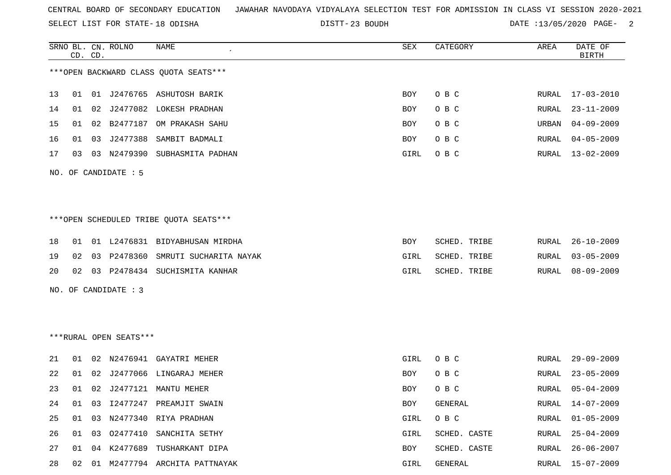SELECT LIST FOR STATE- DISTT- 18 ODISHA

DISTT-23 BOUDH DATE :13/05/2020 PAGE- 2

|    |    | CD. CD. | SRNO BL. CN. ROLNO     | NAME                                   | SEX  | CATEGORY     | AREA  | DATE OF<br><b>BIRTH</b> |
|----|----|---------|------------------------|----------------------------------------|------|--------------|-------|-------------------------|
|    |    |         |                        | *** OPEN BACKWARD CLASS QUOTA SEATS*** |      |              |       |                         |
| 13 | 01 |         |                        | 01 J2476765 ASHUTOSH BARIK             | BOY  | O B C        | RURAL | $17 - 03 - 2010$        |
| 14 | 01 |         |                        | 02 J2477082 LOKESH PRADHAN             | BOY  | O B C        | RURAL | $23 - 11 - 2009$        |
| 15 | 01 | 02      |                        | B2477187 OM PRAKASH SAHU               | BOY  | O B C        | URBAN | $04 - 09 - 2009$        |
| 16 | 01 | 03      | J2477388               | SAMBIT BADMALI                         | BOY  | O B C        | RURAL | $04 - 05 - 2009$        |
| 17 | 03 |         |                        | 03 N2479390 SUBHASMITA PADHAN          | GIRL | O B C        | RURAL | 13-02-2009              |
|    |    |         | NO. OF CANDIDATE : 5   |                                        |      |              |       |                         |
|    |    |         |                        |                                        |      |              |       |                         |
|    |    |         |                        |                                        |      |              |       |                         |
|    |    |         |                        | ***OPEN SCHEDULED TRIBE QUOTA SEATS*** |      |              |       |                         |
| 18 | 01 |         |                        | 01 L2476831 BIDYABHUSAN MIRDHA         | BOY  | SCHED. TRIBE | RURAL | $26 - 10 - 2009$        |
| 19 | 02 | 03      | P2478360               | SMRUTI SUCHARITA NAYAK                 | GIRL | SCHED. TRIBE | RURAL | $03 - 05 - 2009$        |
| 20 | 02 |         |                        | 03 P2478434 SUCHISMITA KANHAR          | GIRL | SCHED. TRIBE | RURAL | $08 - 09 - 2009$        |
|    |    |         | NO. OF CANDIDATE : 3   |                                        |      |              |       |                         |
|    |    |         |                        |                                        |      |              |       |                         |
|    |    |         |                        |                                        |      |              |       |                         |
|    |    |         | ***RURAL OPEN SEATS*** |                                        |      |              |       |                         |
| 21 | 01 |         |                        | 02 N2476941 GAYATRI MEHER              | GIRL | O B C        | RURAL | $29 - 09 - 2009$        |
| 22 | 01 |         |                        | 02 J2477066 LINGARAJ MEHER             | BOY  | O B C        | RURAL | $23 - 05 - 2009$        |
| 23 | 01 |         |                        | 02 J2477121 MANTU MEHER                | BOY  | O B C        | RURAL | $05 - 04 - 2009$        |
| 24 |    |         |                        | 01 03 I2477247 PREAMJIT SWAIN          | BOY  | GENERAL      |       | RURAL 14-07-2009        |
| 25 | 01 | 03      |                        | N2477340 RIYA PRADHAN                  | GIRL | O B C        | RURAL | $01 - 05 - 2009$        |
| 26 | 01 | 03      | 02477410               | SANCHITA SETHY                         | GIRL | SCHED. CASTE | RURAL | $25 - 04 - 2009$        |
| 27 | 01 |         |                        | 04 K2477689 TUSHARKANT DIPA            | BOY  | SCHED. CASTE | RURAL | $26 - 06 - 2007$        |
| 28 | 02 |         |                        | 01 M2477794 ARCHITA PATTNAYAK          | GIRL | GENERAL      | RURAL | $15 - 07 - 2009$        |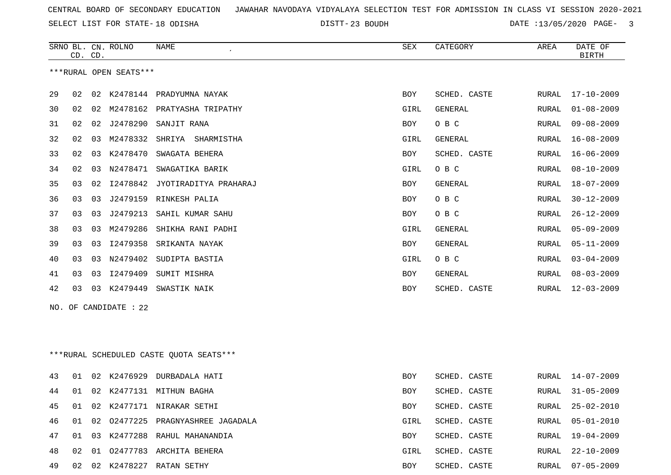SELECT LIST FOR STATE- DISTT- 18 ODISHA

23 BOUDH DATE :13/05/2020 PAGE- 3

|          |          | CD. CD. | SRNO BL. CN. ROLNO     | NAME<br>$\epsilon$                      | SEX         | CATEGORY                     | AREA  | DATE OF<br><b>BIRTH</b> |
|----------|----------|---------|------------------------|-----------------------------------------|-------------|------------------------------|-------|-------------------------|
|          |          |         | ***RURAL OPEN SEATS*** |                                         |             |                              |       |                         |
| 29       | 02       |         |                        | 02 K2478144 PRADYUMNA NAYAK             | BOY         | SCHED. CASTE                 | RURAL | $17 - 10 - 2009$        |
| 30       | 02       | 02      |                        | M2478162 PRATYASHA TRIPATHY             | GIRL        | <b>GENERAL</b>               | RURAL | $01 - 08 - 2009$        |
| 31       | 02       | 02      | J2478290               | SANJIT RANA                             | BOY         | O B C                        | RURAL | $09 - 08 - 2009$        |
| 32       | 02       | 03      | M2478332               | SHRIYA SHARMISTHA                       | GIRL        | GENERAL                      | RURAL | $16 - 08 - 2009$        |
| 33       | 02       | 03      | K2478470               | SWAGATA BEHERA                          | BOY         | SCHED. CASTE                 | RURAL | $16 - 06 - 2009$        |
| 34       | 02       | 03      | N2478471               | SWAGATIKA BARIK                         | GIRL        | O B C                        | RURAL | $08 - 10 - 2009$        |
| 35       | 03       | 02      |                        | 12478842 JYOTIRADITYA PRAHARAJ          | BOY         | GENERAL                      | RURAL | $18 - 07 - 2009$        |
| 36       | 03       | 03      |                        | J2479159 RINKESH PALIA                  | BOY         | O B C                        | RURAL | $30 - 12 - 2009$        |
| 37       | 03       | 03      | J2479213               | SAHIL KUMAR SAHU                        | BOY         | O B C                        | RURAL | $26 - 12 - 2009$        |
| 38       | 03       | 03      | M2479286               | SHIKHA RANI PADHI                       | GIRL        | <b>GENERAL</b>               | RURAL | $05 - 09 - 2009$        |
| 39       | 03       | 03      | I2479358               | SRIKANTA NAYAK                          | BOY         | <b>GENERAL</b>               | RURAL | $05 - 11 - 2009$        |
| 40       | 03       | 03      | N2479402               | SUDIPTA BASTIA                          | GIRL        | O B C                        | RURAL | $03 - 04 - 2009$        |
| 41       | 03       | 03      | I2479409               | SUMIT MISHRA                            | BOY         | GENERAL                      | RURAL | $08 - 03 - 2009$        |
| 42       | 03       |         | 03 K2479449            | SWASTIK NAIK                            | BOY         | SCHED. CASTE                 | RURAL | $12 - 03 - 2009$        |
|          |          |         | NO. OF CANDIDATE : 22  |                                         |             |                              |       |                         |
|          |          |         |                        |                                         |             |                              |       |                         |
|          |          |         |                        |                                         |             |                              |       |                         |
|          |          |         |                        | ***RURAL SCHEDULED CASTE QUOTA SEATS*** |             |                              |       |                         |
| 43       | 01       |         |                        | 02 K2476929 DURBADALA HATI              | BOY         | SCHED. CASTE                 | RURAL | 14-07-2009              |
| 44       | 01       |         |                        | 02 K2477131 MITHUN BAGHA                | BOY         | SCHED. CASTE                 | RURAL | $31 - 05 - 2009$        |
| 45       | 01       |         |                        | 02 K2477171 NIRAKAR SETHI               | <b>BOY</b>  | SCHED. CASTE                 | RURAL | $25 - 02 - 2010$        |
| 46       | 01       |         |                        | 02 02477225 PRAGNYASHREE JAGADALA       | GIRL        | SCHED. CASTE                 | RURAL | $05 - 01 - 2010$        |
|          |          |         |                        | 03 K2477288 RAHUL MAHANANDIA            |             |                              |       | $19 - 04 - 2009$        |
| 47<br>48 | 01<br>02 |         |                        | 01 02477783 ARCHITA BEHERA              | BOY<br>GIRL | SCHED. CASTE<br>SCHED. CASTE | RURAL | $22 - 10 - 2009$        |
|          |          |         |                        |                                         |             |                              | RURAL |                         |
| 49       |          |         |                        | 02 02 K2478227 RATAN SETHY              | BOY         | SCHED. CASTE                 | RURAL | $07 - 05 - 2009$        |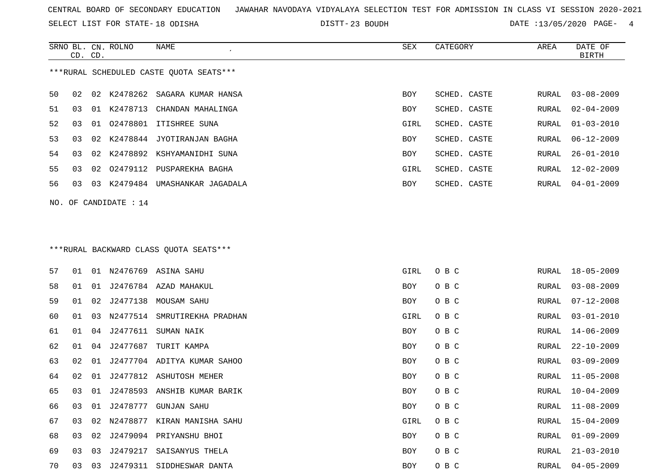SELECT LIST FOR STATE- DISTT- 18 ODISHA

23 BOUDH DATE :13/05/2020 PAGE- 4

|    | CD. CD. |    | SRNO BL. CN. ROLNO    | NAME                                    | SEX  | CATEGORY     | AREA  | DATE OF<br><b>BIRTH</b> |
|----|---------|----|-----------------------|-----------------------------------------|------|--------------|-------|-------------------------|
|    |         |    |                       | ***RURAL SCHEDULED CASTE QUOTA SEATS*** |      |              |       |                         |
| 50 | 02      |    |                       | 02 K2478262 SAGARA KUMAR HANSA          | BOY  | SCHED. CASTE | RURAL | $03 - 08 - 2009$        |
| 51 | 03      |    |                       | 01 K2478713 CHANDAN MAHALINGA           | BOY  | SCHED. CASTE | RURAL | $02 - 04 - 2009$        |
| 52 | 03      | 01 | 02478801              | ITISHREE SUNA                           | GIRL | SCHED. CASTE | RURAL | $01 - 03 - 2010$        |
| 53 | 03      | 02 | K2478844              | JYOTIRANJAN BAGHA                       | BOY  | SCHED. CASTE | RURAL | $06 - 12 - 2009$        |
| 54 | 03      | 02 | K2478892              | KSHYAMANIDHI SUNA                       | BOY  | SCHED. CASTE | RURAL | $26 - 01 - 2010$        |
| 55 | 03      | 02 |                       | 02479112 PUSPAREKHA BAGHA               | GIRL | SCHED. CASTE | RURAL | $12 - 02 - 2009$        |
| 56 | 03      | 03 |                       | K2479484 UMASHANKAR JAGADALA            | BOY  | SCHED. CASTE | RURAL | 04-01-2009              |
|    |         |    | NO. OF CANDIDATE : 14 |                                         |      |              |       |                         |
|    |         |    |                       |                                         |      |              |       |                         |
|    |         |    |                       |                                         |      |              |       |                         |
|    |         |    |                       | *** RURAL BACKWARD CLASS QUOTA SEATS*** |      |              |       |                         |
| 57 | 01      |    |                       | 01 N2476769 ASINA SAHU                  | GIRL | O B C        | RURAL | $18 - 05 - 2009$        |
| 58 | 01      | 01 |                       | J2476784 AZAD MAHAKUL                   | BOY  | O B C        | RURAL | $03 - 08 - 2009$        |
| 59 | 01      | 02 |                       | J2477138 MOUSAM SAHU                    | BOY  | O B C        | RURAL | $07 - 12 - 2008$        |
| 60 | 01      | 03 | N2477514              | SMRUTIREKHA PRADHAN                     | GIRL | O B C        | RURAL | $03 - 01 - 2010$        |
| 61 | 01      | 04 | J2477611              | SUMAN NAIK                              | BOY  | O B C        | RURAL | $14 - 06 - 2009$        |
| 62 | 01      | 04 | J2477687              | TURIT KAMPA                             | BOY  | O B C        | RURAL | $22 - 10 - 2009$        |
| 63 | 02      | 01 |                       | J2477704 ADITYA KUMAR SAHOO             | BOY  | O B C        | RURAL | $03 - 09 - 2009$        |
| 64 | 02      | 01 |                       | J2477812 ASHUTOSH MEHER                 | BOY  | O B C        | RURAL | 11-05-2008              |
| 65 | 03      | 01 |                       | J2478593 ANSHIB KUMAR BARIK             | BOY  | O B C        | RURAL | $10 - 04 - 2009$        |
| 66 | 03      | 01 | J2478777              | GUNJAN SAHU                             | BOY  | O B C        | RURAL | $11 - 08 - 2009$        |
| 67 | 03      |    |                       | 02 N2478877 KIRAN MANISHA SAHU          | GIRL | O B C        | RURAL | $15 - 04 - 2009$        |
| 68 | 03      | 02 |                       | J2479094 PRIYANSHU BHOI                 | BOY  | O B C        | RURAL | $01 - 09 - 2009$        |
| 69 | 03      | 03 |                       | J2479217 SAISANYUS THELA                | BOY  | O B C        | RURAL | $21 - 03 - 2010$        |
| 70 | 03      | 03 |                       | J2479311 SIDDHESWAR DANTA               | BOY  | O B C        | RURAL | 04-05-2009              |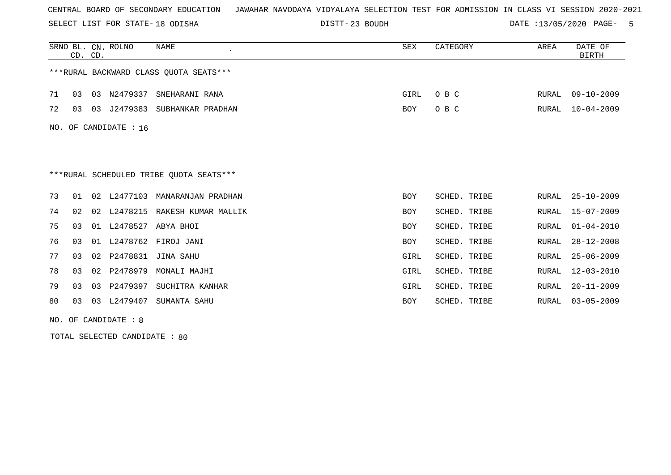SELECT LIST FOR STATE- DISTT- 18 ODISHA

23 BOUDH DATE :13/05/2020 PAGE- 5

|     | CD. CD.        |    | SRNO BL. CN. ROLNO | <b>NAME</b><br>$\cdot$                  | <b>SEX</b> | CATEGORY     | AREA         | DATE OF<br><b>BIRTH</b> |
|-----|----------------|----|--------------------|-----------------------------------------|------------|--------------|--------------|-------------------------|
|     |                |    |                    | *** RURAL BACKWARD CLASS QUOTA SEATS*** |            |              |              |                         |
| 71  | 03             | 03 | N2479337           | SNEHARANI RANA                          | GIRL       | O B C        | RURAL        | $09 - 10 - 2009$        |
| 72  | 03             | 03 | J2479383           | SUBHANKAR PRADHAN                       | BOY        | O B C        | RURAL        | $10 - 04 - 2009$        |
| NO. |                |    | OF CANDIDATE : 16  |                                         |            |              |              |                         |
|     |                |    |                    |                                         |            |              |              |                         |
|     |                |    |                    | ***RURAL SCHEDULED TRIBE QUOTA SEATS*** |            |              |              |                         |
| 73  | 01             | 02 | L2477103           | MANARANJAN PRADHAN                      | <b>BOY</b> | SCHED. TRIBE | RURAL        | $25 - 10 - 2009$        |
| 74  | 02             | 02 | L2478215           | RAKESH KUMAR MALLIK                     | <b>BOY</b> | SCHED. TRIBE | <b>RURAL</b> | $15 - 07 - 2009$        |
| 75  | 0 <sub>3</sub> | 01 | L2478527           | ABYA BHOI                               | <b>BOY</b> | SCHED. TRIBE | <b>RURAL</b> | $01 - 04 - 2010$        |
| 76  | 03             | 01 | L2478762           | FIROJ JANI                              | <b>BOY</b> | SCHED. TRIBE | RURAL        | $28 - 12 - 2008$        |
| 77  | 03             | 02 | P2478831           | <b>JINA SAHU</b>                        | GIRL       | SCHED. TRIBE | RURAL        | $25 - 06 - 2009$        |
| 78  | 03             | 02 | P2478979           | MONALI MAJHI                            | GIRL       | SCHED. TRIBE | <b>RURAL</b> | $12 - 03 - 2010$        |
| 79  | 03             | 03 | P2479397           | SUCHITRA KANHAR                         | GIRL       | SCHED. TRIBE | RURAL        | $20 - 11 - 2009$        |
| 80  | 03             | 03 | L2479407           | SUMANTA SAHU                            | <b>BOY</b> | SCHED. TRIBE | <b>RURAL</b> | $03 - 05 - 2009$        |

NO. OF CANDIDATE : 8

TOTAL SELECTED CANDIDATE : 80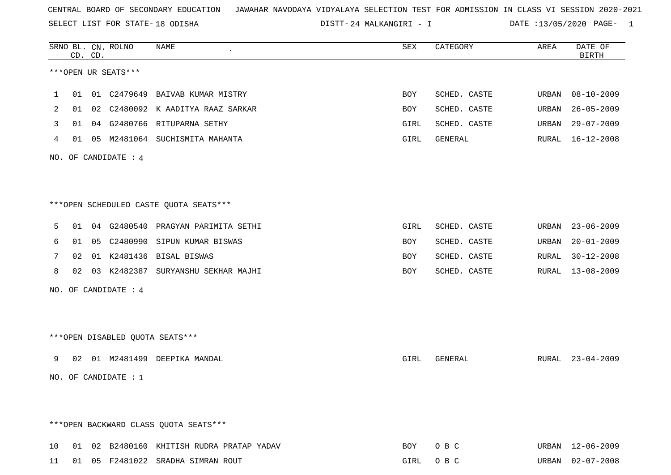SELECT LIST FOR STATE- DISTT- 18 ODISHA

24 MALKANGIRI - I DATE :13/05/2020 PAGE- 1

|    |    | CD. CD. | SRNO BL. CN. ROLNO   | NAME                                   | SEX  | CATEGORY     | AREA  | DATE OF<br><b>BIRTH</b> |
|----|----|---------|----------------------|----------------------------------------|------|--------------|-------|-------------------------|
|    |    |         | ***OPEN UR SEATS***  |                                        |      |              |       |                         |
| 1  | 01 |         |                      | 01 C2479649 BAIVAB KUMAR MISTRY        | BOY  | SCHED. CASTE | URBAN | 08-10-2009              |
| 2  | 01 | 02      | C2480092             | K AADITYA RAAZ SARKAR                  | BOY  | SCHED. CASTE | URBAN | $26 - 05 - 2009$        |
| 3  | 01 |         |                      | 04 G2480766 RITUPARNA SETHY            | GIRL | SCHED. CASTE | URBAN | $29 - 07 - 2009$        |
| 4  | 01 |         |                      | 05 M2481064 SUCHISMITA MAHANTA         | GIRL | GENERAL      | RURAL | 16-12-2008              |
|    |    |         | NO. OF CANDIDATE : 4 |                                        |      |              |       |                         |
|    |    |         |                      | ***OPEN SCHEDULED CASTE QUOTA SEATS*** |      |              |       |                         |
| 5  | 01 |         | 04 G2480540          | PRAGYAN PARIMITA SETHI                 | GIRL | SCHED. CASTE | URBAN | $23 - 06 - 2009$        |
| 6  | 01 | 05      | C2480990             | SIPUN KUMAR BISWAS                     | BOY  | SCHED. CASTE | URBAN | $20 - 01 - 2009$        |
| 7  | 02 |         |                      | 01 K2481436 BISAL BISWAS               | BOY  | SCHED. CASTE | RURAL | $30 - 12 - 2008$        |
| 8  | 02 |         |                      | 03 K2482387 SURYANSHU SEKHAR MAJHI     | BOY  | SCHED. CASTE | RURAL | $13 - 08 - 2009$        |
|    |    |         | NO. OF CANDIDATE : 4 |                                        |      |              |       |                         |
|    |    |         |                      | ***OPEN DISABLED QUOTA SEATS***        |      |              |       |                         |
| 9  | 02 |         |                      | 01 M2481499 DEEPIKA MANDAL             | GIRL | GENERAL      |       | RURAL 23-04-2009        |
|    |    |         | NO. OF CANDIDATE : 1 |                                        |      |              |       |                         |
|    |    |         |                      | *** OPEN BACKWARD CLASS QUOTA SEATS*** |      |              |       |                         |
| 10 | 01 |         |                      | 02 B2480160 KHITISH RUDRA PRATAP YADAV | BOY  | O B C        |       | URBAN 12-06-2009        |
| 11 |    |         |                      | 01 05 F2481022 SRADHA SIMRAN ROUT      | GIRL | O B C        | URBAN | $02 - 07 - 2008$        |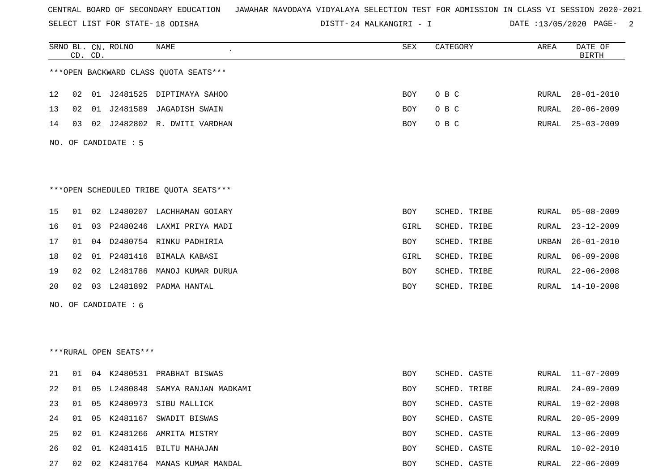SELECT LIST FOR STATE- DISTT- 18 ODISHA

24 MALKANGIRI - I DATE :13/05/2020 PAGE- 2

|    |    | CD. CD. | SRNO BL. CN. ROLNO     | NAME                                   | SEX        | CATEGORY     | AREA         | DATE OF<br><b>BIRTH</b> |
|----|----|---------|------------------------|----------------------------------------|------------|--------------|--------------|-------------------------|
|    |    |         |                        | *** OPEN BACKWARD CLASS QUOTA SEATS*** |            |              |              |                         |
| 12 | 02 |         |                        | 01 J2481525 DIPTIMAYA SAHOO            | <b>BOY</b> | O B C        | RURAL        | $28 - 01 - 2010$        |
| 13 | 02 |         | 01 J2481589            | JAGADISH SWAIN                         | BOY        | O B C        | RURAL        | $20 - 06 - 2009$        |
| 14 | 03 |         |                        | 02 J2482802 R. DWITI VARDHAN           | BOY        | O B C        | RURAL        | $25 - 03 - 2009$        |
|    |    |         | NO. OF CANDIDATE : 5   |                                        |            |              |              |                         |
|    |    |         |                        | ***OPEN SCHEDULED TRIBE QUOTA SEATS*** |            |              |              |                         |
| 15 | 01 |         |                        | 02 L2480207 LACHHAMAN GOIARY           | BOY        | SCHED. TRIBE | RURAL        | $05 - 08 - 2009$        |
| 16 | 01 |         |                        | 03 P2480246 LAXMI PRIYA MADI           | GIRL       | SCHED. TRIBE | RURAL        | $23 - 12 - 2009$        |
| 17 | 01 |         |                        | 04 D2480754 RINKU PADHIRIA             | BOY        | SCHED. TRIBE | URBAN        | $26 - 01 - 2010$        |
| 18 | 02 |         |                        | 01 P2481416 BIMALA KABASI              | GIRL       | SCHED. TRIBE | RURAL        | $06 - 09 - 2008$        |
| 19 | 02 |         | 02 L2481786            | MANOJ KUMAR DURUA                      | BOY        | SCHED. TRIBE | RURAL        | $22 - 06 - 2008$        |
| 20 | 02 |         |                        | 03 L2481892 PADMA HANTAL               | BOY        | SCHED. TRIBE | RURAL        | $14 - 10 - 2008$        |
|    |    |         | NO. OF CANDIDATE $: 6$ |                                        |            |              |              |                         |
|    |    |         |                        |                                        |            |              |              |                         |
|    |    |         | ***RURAL OPEN SEATS*** |                                        |            |              |              |                         |
| 21 | 01 |         | 04 K2480531            | PRABHAT BISWAS                         | BOY        | SCHED. CASTE | RURAL        | $11 - 07 - 2009$        |
| 22 | 01 |         | 05 L2480848            | SAMYA RANJAN MADKAMI                   | BOY        | SCHED. TRIBE | RURAL        | $24 - 09 - 2009$        |
| 23 | 01 | 05      |                        | K2480973 SIBU MALLICK                  | <b>BOY</b> | SCHED. CASTE | RURAL        | $19 - 02 - 2008$        |
| 24 | 01 | 05      |                        | K2481167 SWADIT BISWAS                 | BOY        | SCHED. CASTE | RURAL        | $20 - 05 - 2009$        |
| 25 | 02 |         |                        | 01 K2481266 AMRITA MISTRY              | BOY        | SCHED. CASTE | RURAL        | $13 - 06 - 2009$        |
| 26 | 02 | 01      |                        | K2481415 BILTU MAHAJAN                 | BOY        | SCHED. CASTE | <b>RURAL</b> | $10 - 02 - 2010$        |
| 27 | 02 |         |                        | 02 K2481764 MANAS KUMAR MANDAL         | BOY        | SCHED. CASTE | RURAL        | $22 - 06 - 2009$        |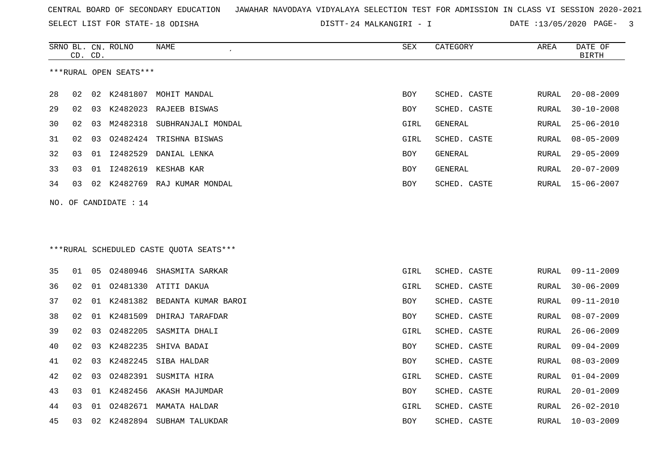SELECT LIST FOR STATE- DISTT- 18 ODISHA

24 MALKANGIRI - I DATE :13/05/2020 PAGE- 3

|    |    | CD. CD. | SRNO BL. CN. ROLNO      | NAME                                    | SEX        | CATEGORY     | AREA         | DATE OF<br><b>BIRTH</b> |
|----|----|---------|-------------------------|-----------------------------------------|------------|--------------|--------------|-------------------------|
|    |    |         | ***RURAL OPEN SEATS***  |                                         |            |              |              |                         |
| 28 | 02 |         |                         | 02 K2481807 MOHIT MANDAL                | BOY        | SCHED. CASTE | RURAL        | $20 - 08 - 2009$        |
| 29 | 02 | 03      | K2482023                | RAJEEB BISWAS                           | <b>BOY</b> | SCHED. CASTE | RURAL        | $30 - 10 - 2008$        |
| 30 | 02 | 03      | M2482318                | SUBHRANJALI MONDAL                      | GIRL       | GENERAL      | RURAL        | $25 - 06 - 2010$        |
| 31 | 02 | 03      | 02482424                | TRISHNA BISWAS                          | GIRL       | SCHED. CASTE | RURAL        | $08 - 05 - 2009$        |
| 32 | 03 | 01      | I2482529                | DANIAL LENKA                            | <b>BOY</b> | GENERAL      | RURAL        | $29 - 05 - 2009$        |
| 33 | 03 | 01      |                         | 12482619 KESHAB KAR                     | <b>BOY</b> | GENERAL      | <b>RURAL</b> | $20 - 07 - 2009$        |
| 34 | 03 |         |                         | 02 K2482769 RAJ KUMAR MONDAL            | BOY        | SCHED. CASTE | RURAL        | $15 - 06 - 2007$        |
|    |    |         | NO. OF CANDIDATE : $14$ |                                         |            |              |              |                         |
|    |    |         |                         |                                         |            |              |              |                         |
|    |    |         |                         |                                         |            |              |              |                         |
|    |    |         |                         | ***RURAL SCHEDULED CASTE OUOTA SEATS*** |            |              |              |                         |
| 35 | 01 | 05      |                         | 02480946 SHASMITA SARKAR                | GIRL       | SCHED. CASTE | RURAL        | $09 - 11 - 2009$        |
| 36 | 02 | 01      |                         | 02481330 ATITI DAKUA                    | GIRL       | SCHED. CASTE | <b>RURAL</b> | $30 - 06 - 2009$        |
| 37 | 02 | 01      | K2481382                | BEDANTA KUMAR BAROI                     | BOY        | SCHED. CASTE | RURAL        | $09 - 11 - 2010$        |
| 38 | 02 | 01      |                         | K2481509 DHIRAJ TARAFDAR                | BOY        | SCHED. CASTE | RURAL        | $08 - 07 - 2009$        |
| 39 | 02 | 03      | 02482205                | SASMITA DHALI                           | GIRL       | SCHED. CASTE | <b>RURAL</b> | $26 - 06 - 2009$        |
| 40 | 02 | 03      | K2482235                | SHIVA BADAI                             | BOY        | SCHED. CASTE | RURAL        | $09 - 04 - 2009$        |
| 41 | 02 | 03      | K2482245                | SIBA HALDAR                             | BOY        | SCHED. CASTE | RURAL        | $08 - 03 - 2009$        |
| 42 | 02 | 03      |                         | 02482391 SUSMITA HIRA                   | GIRL       | SCHED. CASTE | RURAL        | $01 - 04 - 2009$        |
| 43 | 03 | 01      |                         | K2482456 AKASH MAJUMDAR                 | <b>BOY</b> | SCHED. CASTE | <b>RURAL</b> | $20 - 01 - 2009$        |
| 44 | 03 | 01      |                         | 02482671 MAMATA HALDAR                  | GIRL       | SCHED. CASTE | RURAL        | $26 - 02 - 2010$        |
| 45 | 03 | 02      |                         | K2482894 SUBHAM TALUKDAR                | BOY        | SCHED. CASTE | RURAL        | $10 - 03 - 2009$        |
|    |    |         |                         |                                         |            |              |              |                         |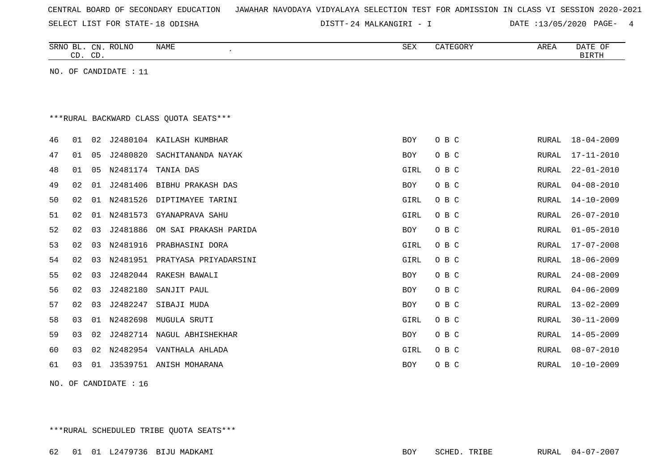|  |  | CENTRAL BOARD OF SECONDARY EDUCATION – JAWAHAR NAVODAYA VIDYALAYA SELECTION TEST FOR ADMISSION IN CLASS VI SESSION 2020-2021 |  |  |  |  |  |  |  |
|--|--|------------------------------------------------------------------------------------------------------------------------------|--|--|--|--|--|--|--|
|  |  |                                                                                                                              |  |  |  |  |  |  |  |

24 MALKANGIRI - I DATE :13/05/2020 PAGE- 4

|    | CD. CD. |                | SRNO BL. CN. ROLNO    | NAME<br>$\cdot$                         | ${\tt SEX}$ | CATEGORY | AREA         | DATE OF<br><b>BIRTH</b> |
|----|---------|----------------|-----------------------|-----------------------------------------|-------------|----------|--------------|-------------------------|
|    |         |                | NO. OF CANDIDATE : 11 |                                         |             |          |              |                         |
|    |         |                |                       |                                         |             |          |              |                         |
|    |         |                |                       |                                         |             |          |              |                         |
|    |         |                |                       | *** RURAL BACKWARD CLASS QUOTA SEATS*** |             |          |              |                         |
| 46 | 01      | 02             |                       | J2480104 KAILASH KUMBHAR                | BOY         | O B C    | RURAL        | $18 - 04 - 2009$        |
| 47 | 01      | 05             | J2480820              | SACHITANANDA NAYAK                      | BOY         | O B C    | RURAL        | $17 - 11 - 2010$        |
| 48 | 01      | 05             | N2481174              | TANIA DAS                               | GIRL        | O B C    | RURAL        | $22 - 01 - 2010$        |
| 49 | 02      | 01             | J2481406              | BIBHU PRAKASH DAS                       | <b>BOY</b>  | O B C    | RURAL        | $04 - 08 - 2010$        |
| 50 | 02      | 01             |                       | N2481526 DIPTIMAYEE TARINI              | GIRL        | O B C    | <b>RURAL</b> | $14 - 10 - 2009$        |
| 51 | 02      | 01             | N2481573              | GYANAPRAVA SAHU                         | GIRL        | O B C    | RURAL        | $26 - 07 - 2010$        |
| 52 | 02      | 0 <sub>3</sub> | J2481886              | OM SAI PRAKASH PARIDA                   | BOY         | O B C    | RURAL        | $01 - 05 - 2010$        |
| 53 | 02      | 03             | N2481916              | PRABHASINI DORA                         | GIRL        | O B C    | RURAL        | $17 - 07 - 2008$        |
| 54 | 02      | 03             | N2481951              | PRATYASA PRIYADARSINI                   | GIRL        | O B C    | <b>RURAL</b> | $18 - 06 - 2009$        |
| 55 | 02      | 03             | J2482044              | RAKESH BAWALI                           | <b>BOY</b>  | O B C    | <b>RURAL</b> | $24 - 08 - 2009$        |
| 56 | 02      | 0 <sub>3</sub> | J2482180              | SANJIT PAUL                             | <b>BOY</b>  | O B C    | RURAL        | $04 - 06 - 2009$        |
| 57 | 02      | 03             | J2482247              | SIBAJI MUDA                             | BOY         | O B C    | RURAL        | $13 - 02 - 2009$        |
| 58 | 03      | 01             | N2482698              | MUGULA SRUTI                            | GIRL        | O B C    | RURAL        | $30 - 11 - 2009$        |
| 59 | 03      | 02             |                       | J2482714 NAGUL ABHISHEKHAR              | BOY         | O B C    | RURAL        | $14 - 05 - 2009$        |
| 60 | 03      | 02             | N2482954              | VANTHALA AHLADA                         | GIRL        | O B C    | RURAL        | $08 - 07 - 2010$        |
| 61 | 03      | 01             |                       | J3539751 ANISH MOHARANA                 | BOY         | O B C    | RURAL        | $10 - 10 - 2009$        |
|    |         |                |                       |                                         |             |          |              |                         |

NO. OF CANDIDATE : 16

\*\*\*RURAL SCHEDULED TRIBE QUOTA SEATS\*\*\*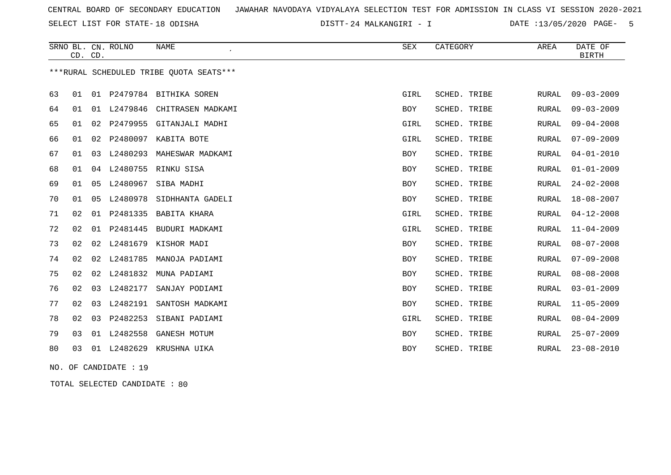SELECT LIST FOR STATE- DISTT- 18 ODISHA

24 MALKANGIRI - I DATE :13/05/2020 PAGE- 5

|    |    | CD. CD. | SRNO BL. CN. ROLNO    | <b>NAME</b><br>$\bullet$                | <b>SEX</b> | CATEGORY     | <b>AREA</b> | DATE OF<br><b>BIRTH</b> |
|----|----|---------|-----------------------|-----------------------------------------|------------|--------------|-------------|-------------------------|
|    |    |         |                       | ***RURAL SCHEDULED TRIBE QUOTA SEATS*** |            |              |             |                         |
| 63 | 01 |         |                       | 01 P2479784 BITHIKA SOREN               | GIRL       | SCHED. TRIBE | RURAL       | $09 - 03 - 2009$        |
| 64 | 01 |         |                       | 01 L2479846 CHITRASEN MADKAMI           | BOY        | SCHED. TRIBE | RURAL       | $09 - 03 - 2009$        |
| 65 | 01 | 02      |                       | P2479955 GITANJALI MADHI                | GIRL       | SCHED. TRIBE | RURAL       | $09 - 04 - 2008$        |
| 66 | 01 | 02      |                       | P2480097 KABITA BOTE                    | GIRL       | SCHED. TRIBE | RURAL       | $07 - 09 - 2009$        |
| 67 | 01 | 03      | L2480293              | MAHESWAR MADKAMI                        | <b>BOY</b> | SCHED. TRIBE | RURAL       | $04 - 01 - 2010$        |
| 68 | 01 |         |                       | 04 L2480755 RINKU SISA                  | <b>BOY</b> | SCHED. TRIBE | RURAL       | $01 - 01 - 2009$        |
| 69 | 01 | 05      | L2480967              | SIBA MADHI                              | <b>BOY</b> | SCHED. TRIBE | RURAL       | $24 - 02 - 2008$        |
| 70 | 01 | 05      | L2480978              | SIDHHANTA GADELI                        | <b>BOY</b> | SCHED. TRIBE | RURAL       | $18 - 08 - 2007$        |
| 71 | 02 |         |                       | 01 P2481335 BABITA KHARA                | GIRL       | SCHED. TRIBE | RURAL       | $04 - 12 - 2008$        |
| 72 | 02 | 01      |                       | P2481445 BUDURI MADKAMI                 | GIRL       | SCHED. TRIBE | RURAL       | $11 - 04 - 2009$        |
| 73 | 02 | 02      | L2481679              | KISHOR MADI                             | <b>BOY</b> | SCHED. TRIBE | RURAL       | $08 - 07 - 2008$        |
| 74 | 02 |         |                       | 02 L2481785 MANOJA PADIAMI              | <b>BOY</b> | SCHED. TRIBE | RURAL       | $07 - 09 - 2008$        |
| 75 | 02 | 02      | L2481832              | MUNA PADIAMI                            | <b>BOY</b> | SCHED. TRIBE | RURAL       | $08 - 08 - 2008$        |
| 76 | 02 | 03      | L2482177              | SANJAY PODIAMI                          | <b>BOY</b> | SCHED. TRIBE | RURAL       | $03 - 01 - 2009$        |
| 77 | 02 | 03      | L2482191              | SANTOSH MADKAMI                         | <b>BOY</b> | SCHED. TRIBE | RURAL       | $11 - 05 - 2009$        |
| 78 | 02 | 03      |                       | P2482253 SIBANI PADIAMI                 | GIRL       | SCHED. TRIBE | RURAL       | $08 - 04 - 2009$        |
| 79 | 03 |         | 01 L2482558           | GANESH MOTUM                            | <b>BOY</b> | SCHED. TRIBE | RURAL       | $25 - 07 - 2009$        |
| 80 | 03 |         | 01 L2482629           | KRUSHNA UIKA                            | <b>BOY</b> | SCHED. TRIBE | RURAL       | $23 - 08 - 2010$        |
|    |    |         | NO. OF CANDIDATE : 19 |                                         |            |              |             |                         |

TOTAL SELECTED CANDIDATE : 80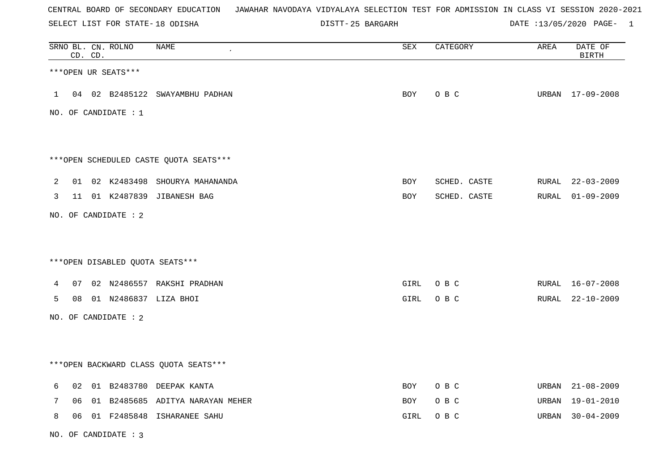SELECT LIST FOR STATE- DISTT- 18 ODISHA

25 BARGARH DATE :13/05/2020 PAGE- 1

|   |    | CD. CD. | SRNO BL. CN. ROLNO     | <b>NAME</b>                             | <b>SEX</b> | CATEGORY     | AREA  | DATE OF<br><b>BIRTH</b> |
|---|----|---------|------------------------|-----------------------------------------|------------|--------------|-------|-------------------------|
|   |    |         | ***OPEN UR SEATS***    |                                         |            |              |       |                         |
| 1 |    |         | 04 02 B2485122         | SWAYAMBHU PADHAN                        | BOY        | O B C        |       | URBAN 17-09-2008        |
|   |    |         | NO. OF CANDIDATE : $1$ |                                         |            |              |       |                         |
|   |    |         |                        |                                         |            |              |       |                         |
|   |    |         |                        | *** OPEN SCHEDULED CASTE QUOTA SEATS*** |            |              |       |                         |
| 2 |    |         |                        | 01 02 K2483498 SHOURYA MAHANANDA        | BOY        | SCHED. CASTE |       | RURAL 22-03-2009        |
| 3 |    |         |                        | 11 01 K2487839 JIBANESH BAG             | BOY        | SCHED. CASTE | RURAL | $01 - 09 - 2009$        |
|   |    |         | NO. OF CANDIDATE : 2   |                                         |            |              |       |                         |
|   |    |         |                        |                                         |            |              |       |                         |
|   |    |         |                        | ***OPEN DISABLED QUOTA SEATS***         |            |              |       |                         |
| 4 | 07 |         |                        | 02 N2486557 RAKSHI PRADHAN              | GIRL       | O B C        |       | RURAL 16-07-2008        |
| 5 | 08 |         |                        | 01 N2486837 LIZA BHOI                   | GIRL       | O B C        |       | RURAL 22-10-2009        |
|   |    |         | NO. OF CANDIDATE : 2   |                                         |            |              |       |                         |
|   |    |         |                        |                                         |            |              |       |                         |
|   |    |         |                        | *** OPEN BACKWARD CLASS QUOTA SEATS *** |            |              |       |                         |
| 6 |    |         |                        | 02 01 B2483780 DEEPAK KANTA             | BOY        | O B C        |       | URBAN 21-08-2009        |
| 7 | 06 | 01      | B2485685               | ADITYA NARAYAN MEHER                    | <b>BOY</b> | O B C        | URBAN | $19 - 01 - 2010$        |
| 8 | 06 |         |                        | 01 F2485848 ISHARANEE SAHU              | GIRL       | O B C        |       | URBAN 30-04-2009        |

NO. OF CANDIDATE : 3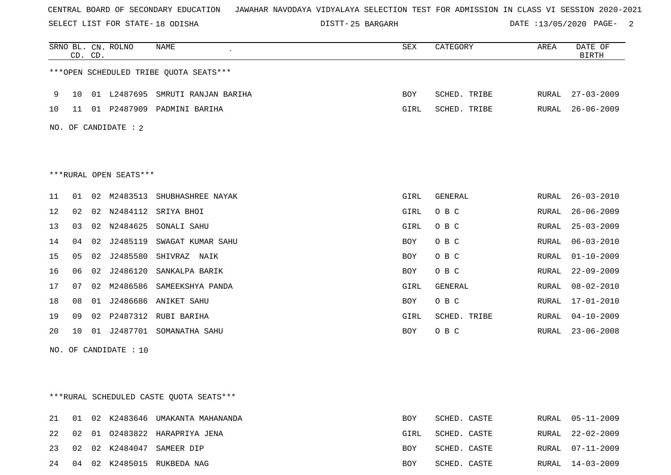SELECT LIST FOR STATE- DISTT- 18 ODISHA

25 BARGARH DATE :13/05/2020 PAGE- 2

|     |    | CD. CD. | SRNO BL. CN. ROLNO     | <b>NAME</b>                            | SEX         | CATEGORY     | AREA         | DATE OF<br><b>BIRTH</b> |
|-----|----|---------|------------------------|----------------------------------------|-------------|--------------|--------------|-------------------------|
|     |    |         |                        | ***OPEN SCHEDULED TRIBE OUOTA SEATS*** |             |              |              |                         |
| 9   | 10 |         | 01 L2487695            | SMRUTI RANJAN BARIHA                   | <b>BOY</b>  | SCHED. TRIBE | RURAL        | $27 - 03 - 2009$        |
| 10  | 11 |         |                        | 01 P2487909 PADMINI BARIHA             | <b>GIRL</b> | SCHED. TRIBE | RURAL        | $26 - 06 - 2009$        |
| NO. |    |         | OF CANDIDATE : 2       |                                        |             |              |              |                         |
|     |    |         |                        |                                        |             |              |              |                         |
|     |    |         |                        |                                        |             |              |              |                         |
|     |    |         | ***RURAL OPEN SEATS*** |                                        |             |              |              |                         |
| 11  | 01 | 02      | M2483513               | SHUBHASHREE NAYAK                      | GIRL        | GENERAL      | RURAL        | $26 - 03 - 2010$        |
| 12  | 02 | 02      | N2484112               | SRIYA BHOI                             | GIRL        | O B C        | RURAL        | $26 - 06 - 2009$        |
| 13  | 03 |         | 02 N2484625            | SONALI SAHU                            | GIRL        | O B C        | RURAL        | $25 - 03 - 2009$        |
| 14  | 04 |         | 02 J2485119            | SWAGAT KUMAR SAHU                      | <b>BOY</b>  | O B C        | RURAL        | $06 - 03 - 2010$        |
| 15  | 05 | 02      | J2485580               | SHIVRAZ<br>NAIK                        | BOY         | O B C        | RURAL        | $01 - 10 - 2009$        |
| 16  | 06 | 02      | J2486120               | SANKALPA BARIK                         | <b>BOY</b>  | O B C        | RURAL        | $22 - 09 - 2009$        |
| 17  | 07 | 02      | M2486586               | SAMEEKSHYA PANDA                       | GIRL        | GENERAL      | RURAL        | $08 - 02 - 2010$        |
| 18  | 08 | 01      |                        | J2486686 ANIKET SAHU                   | <b>BOY</b>  | O B C        | RURAL        | $17 - 01 - 2010$        |
| 19  | 09 |         | 02 P2487312            | RUBI BARIHA                            | GIRL        | SCHED. TRIBE | <b>RURAL</b> | $04 - 10 - 2009$        |
| 20  | 10 | 01      | J2487701               | SOMANATHA SAHU                         | <b>BOY</b>  | O B C        | RURAL        | $23 - 06 - 2008$        |

NO. OF CANDIDATE : 10

\*\*\*RURAL SCHEDULED CASTE QUOTA SEATS\*\*\*

|    |  | 21 01 02 K2483646 UMAKANTA MAHANANDA | BOY  | SCHED. CASTE | RURAL 05-11-2009 |
|----|--|--------------------------------------|------|--------------|------------------|
|    |  | 22 02 01 02483822 HARAPRIYA JENA     | GIRL | SCHED. CASTE | RURAL 22-02-2009 |
| 23 |  | 02 02 K2484047 SAMEER DIP            | BOY  | SCHED. CASTE | RURAL 07-11-2009 |
| 24 |  | 04 02 K2485015 RUKBEDA NAG           | BOY  | SCHED. CASTE | RURAL 14-03-2009 |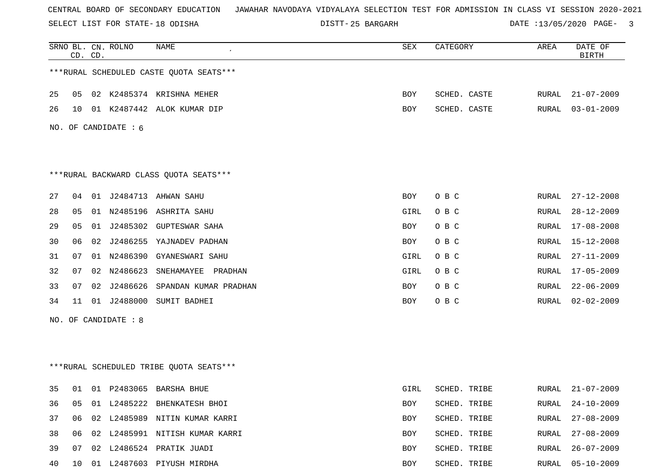SELECT LIST FOR STATE- DISTT- 18 ODISHA

25 BARGARH DATE :13/05/2020 PAGE- 3

|    | CD. CD. |    | SRNO BL. CN. ROLNO   | <b>NAME</b>                             | SEX  | CATEGORY     | AREA  | DATE OF<br><b>BIRTH</b> |
|----|---------|----|----------------------|-----------------------------------------|------|--------------|-------|-------------------------|
|    |         |    |                      | ***RURAL SCHEDULED CASTE QUOTA SEATS*** |      |              |       |                         |
| 25 | 05      |    |                      | 02 K2485374 KRISHNA MEHER               | BOY  | SCHED. CASTE | RURAL | $21 - 07 - 2009$        |
| 26 | 10      |    |                      | 01 K2487442 ALOK KUMAR DIP              | BOY  | SCHED. CASTE | RURAL | $03 - 01 - 2009$        |
|    |         |    | NO. OF CANDIDATE : 6 |                                         |      |              |       |                         |
|    |         |    |                      |                                         |      |              |       |                         |
|    |         |    |                      | *** RURAL BACKWARD CLASS QUOTA SEATS*** |      |              |       |                         |
| 27 | 04      |    |                      | 01 J2484713 AHWAN SAHU                  | BOY  | O B C        | RURAL | $27 - 12 - 2008$        |
| 28 | 05      |    |                      | 01 N2485196 ASHRITA SAHU                | GIRL | O B C        | RURAL | $28 - 12 - 2009$        |
| 29 | 05      | 01 |                      | J2485302 GUPTESWAR SAHA                 | BOY  | O B C        | RURAL | $17 - 08 - 2008$        |
| 30 | 06      | 02 |                      | J2486255 YAJNADEV PADHAN                | BOY  | O B C        | RURAL | $15 - 12 - 2008$        |
| 31 | 07      |    |                      | 01 N2486390 GYANESWARI SAHU             | GIRL | O B C        | RURAL | $27 - 11 - 2009$        |
| 32 | 07      |    | 02 N2486623          | SNEHAMAYEE<br>PRADHAN                   | GIRL | O B C        | RURAL | $17 - 05 - 2009$        |
| 33 | 07      | 02 | J2486626             | SPANDAN KUMAR PRADHAN                   | BOY  | O B C        | RURAL | $22 - 06 - 2009$        |
| 34 | 11      |    |                      | 01 J2488000 SUMIT BADHEI                | BOY  | O B C        | RURAL | $02 - 02 - 2009$        |
|    |         |    | NO. OF CANDIDATE : 8 |                                         |      |              |       |                         |
|    |         |    |                      |                                         |      |              |       |                         |
|    |         |    |                      | ***RURAL SCHEDULED TRIBE QUOTA SEATS*** |      |              |       |                         |
| 35 |         |    |                      | 01 01 P2483065 BARSHA BHUE              | GIRL | SCHED. TRIBE | RURAL | $21 - 07 - 2009$        |
| 36 | 05      |    |                      | 01 L2485222 BHENKATESH BHOI             | BOY  | SCHED. TRIBE | RURAL | $24 - 10 - 2009$        |
| 37 | 06      |    |                      | 02 L2485989 NITIN KUMAR KARRI           | BOY  | SCHED. TRIBE | RURAL | $27 - 08 - 2009$        |
| 38 | 06      |    |                      | 02 L2485991 NITISH KUMAR KARRI          | BOY  | SCHED. TRIBE | RURAL | $27 - 08 - 2009$        |
| 39 | 07      |    |                      | 02 L2486524 PRATIK JUADI                | BOY  | SCHED. TRIBE | RURAL | $26 - 07 - 2009$        |
| 40 | 10      |    |                      | 01 L2487603 PIYUSH MIRDHA               | BOY  | SCHED. TRIBE | RURAL | $05 - 10 - 2009$        |
|    |         |    |                      |                                         |      |              |       |                         |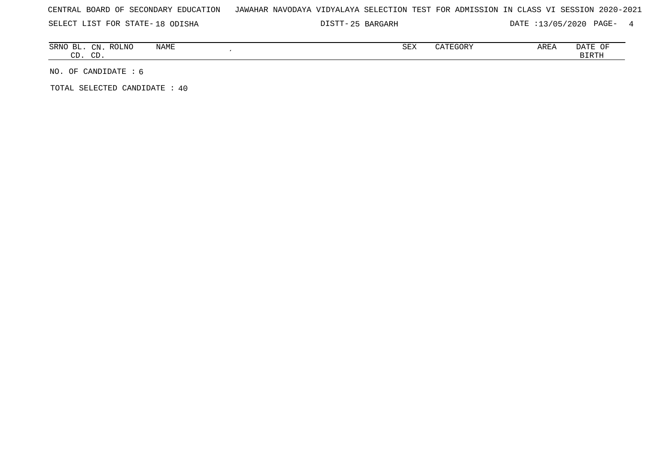25 BARGARH DATE :13/05/2020 PAGE- 4

| <b>SRNC</b><br>$\overline{\phantom{a}}$<br>BЬ | $\cap$<br>$-1$ V | <b>ROLNC</b><br><b>NAME</b> | CDZ<br>つロマ | mmAAT1<br>EGOK.<br>. | AREA | $\sim$ $\sim$ $\sim$ $\sim$<br>OF<br>DA L. |
|-----------------------------------------------|------------------|-----------------------------|------------|----------------------|------|--------------------------------------------|
| $\sim$ $\sim$<br>، ب                          | $\sim$<br>ັ      |                             |            |                      |      | <b>BIRTH</b>                               |

NO. OF CANDIDATE : 6

TOTAL SELECTED CANDIDATE : 40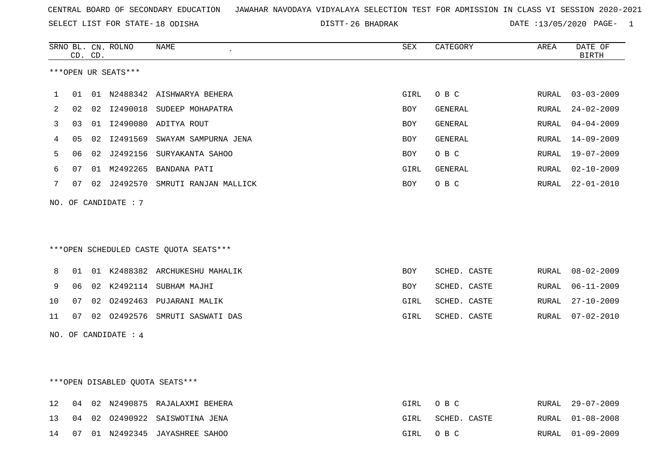26 BHADRAK DATE :13/05/2020 PAGE- 1

|    |    | CD. CD. | SRNO BL. CN. ROLNO   | <b>NAME</b>                            | <b>SEX</b> | CATEGORY       | AREA  | DATE OF<br><b>BIRTH</b> |
|----|----|---------|----------------------|----------------------------------------|------------|----------------|-------|-------------------------|
|    |    |         | ***OPEN UR SEATS***  |                                        |            |                |       |                         |
| 1  | 01 |         |                      | 01 N2488342 AISHWARYA BEHERA           | GIRL       | O B C          | RURAL | $03 - 03 - 2009$        |
|    |    |         |                      |                                        |            |                |       |                         |
| 2  | 02 |         |                      | 02 I2490018 SUDEEP MOHAPATRA           | <b>BOY</b> | GENERAL        | RURAL | $24 - 02 - 2009$        |
| 3  | 03 |         |                      | 01 I2490080 ADITYA ROUT                | <b>BOY</b> | GENERAL        | RURAL | $04 - 04 - 2009$        |
| 4  | 05 |         |                      | 02 I2491569 SWAYAM SAMPURNA JENA       | BOY        | GENERAL        | RURAL | 14-09-2009              |
| 5  | 06 |         |                      | 02 J2492156 SURYAKANTA SAHOO           | BOY        | O B C          | RURAL | 19-07-2009              |
| 6  | 07 |         |                      | 01 M2492265 BANDANA PATI               | GIRL       | <b>GENERAL</b> | RURAL | $02 - 10 - 2009$        |
| 7  | 07 |         |                      | 02 J2492570 SMRUTI RANJAN MALLICK      | <b>BOY</b> | O B C          | RURAL | $22 - 01 - 2010$        |
|    |    |         | NO. OF CANDIDATE : 7 |                                        |            |                |       |                         |
|    |    |         |                      |                                        |            |                |       |                         |
|    |    |         |                      |                                        |            |                |       |                         |
|    |    |         |                      | ***OPEN SCHEDULED CASTE QUOTA SEATS*** |            |                |       |                         |
| 8  | 01 |         |                      | 01 K2488382 ARCHUKESHU MAHALIK         | <b>BOY</b> | SCHED. CASTE   | RURAL | $08 - 02 - 2009$        |
| 9  | 06 |         |                      | 02 K2492114 SUBHAM MAJHI               | BOY        | SCHED. CASTE   | RURAL | $06 - 11 - 2009$        |
| 10 | 07 | 02      |                      | 02492463 PUJARANI MALIK                | GIRL       | SCHED. CASTE   | RURAL | $27 - 10 - 2009$        |
| 11 | 07 |         |                      | 02 02492576 SMRUTI SASWATI DAS         | GIRL       | SCHED. CASTE   | RURAL | $07 - 02 - 2010$        |
|    |    |         | NO. OF CANDIDATE : 4 |                                        |            |                |       |                         |
|    |    |         |                      |                                        |            |                |       |                         |
|    |    |         |                      |                                        |            |                |       |                         |
|    |    |         |                      |                                        |            |                |       |                         |
|    |    |         |                      | ***OPEN DISABLED QUOTA SEATS***        |            |                |       |                         |
| 12 | 04 |         |                      | 02 N2490875 RAJALAXMI BEHERA           | GIRL       | O B C          | RURAL | $29 - 07 - 2009$        |
| 13 |    |         |                      | 04 02 02490922 SAISWOTINA JENA         | GIRL       | SCHED. CASTE   | RURAL | $01 - 08 - 2008$        |
|    |    |         |                      |                                        |            |                |       |                         |

14 07 01 N2492345 JAYASHREE SAHOO GIRL O B C RURAL 01-09-2009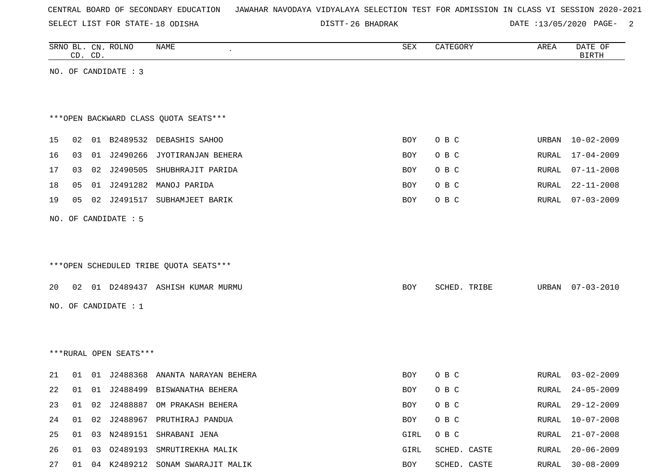SELECT LIST FOR STATE- DISTT- 18 ODISHA

26 BHADRAK DATE :13/05/2020 PAGE- 2

|    |    | CD. CD. | SRNO BL. CN. ROLNO     | NAME                                   | SEX        | CATEGORY     | AREA  | DATE OF<br><b>BIRTH</b> |
|----|----|---------|------------------------|----------------------------------------|------------|--------------|-------|-------------------------|
|    |    |         | NO. OF CANDIDATE : 3   |                                        |            |              |       |                         |
|    |    |         |                        |                                        |            |              |       |                         |
|    |    |         |                        |                                        |            |              |       |                         |
|    |    |         |                        | *** OPEN BACKWARD CLASS QUOTA SEATS*** |            |              |       |                         |
| 15 |    |         |                        | 02 01 B2489532 DEBASHIS SAHOO          | BOY        | O B C        | URBAN | 10-02-2009              |
| 16 | 03 |         |                        | 01 J2490266 JYOTIRANJAN BEHERA         | BOY        | O B C        | RURAL | $17 - 04 - 2009$        |
| 17 | 03 |         |                        | 02 J2490505 SHUBHRAJIT PARIDA          | <b>BOY</b> | O B C        | RURAL | $07 - 11 - 2008$        |
| 18 | 05 |         |                        | 01 J2491282 MANOJ PARIDA               | BOY        | O B C        | RURAL | $22 - 11 - 2008$        |
| 19 | 05 |         |                        | 02 J2491517 SUBHAMJEET BARIK           | BOY        | O B C        | RURAL | $07 - 03 - 2009$        |
|    |    |         | NO. OF CANDIDATE : 5   |                                        |            |              |       |                         |
|    |    |         |                        |                                        |            |              |       |                         |
|    |    |         |                        |                                        |            |              |       |                         |
|    |    |         |                        | ***OPEN SCHEDULED TRIBE QUOTA SEATS*** |            |              |       |                         |
|    |    |         |                        |                                        |            |              |       |                         |
| 20 |    |         |                        | 02 01 D2489437 ASHISH KUMAR MURMU      | BOY        | SCHED. TRIBE | URBAN | $07 - 03 - 2010$        |
|    |    |         | NO. OF CANDIDATE : 1   |                                        |            |              |       |                         |
|    |    |         |                        |                                        |            |              |       |                         |
|    |    |         |                        |                                        |            |              |       |                         |
|    |    |         | ***RURAL OPEN SEATS*** |                                        |            |              |       |                         |
| 21 |    |         |                        | 01 01 J2488368 ANANTA NARAYAN BEHERA   | BOY        | O B C        | RURAL | $03 - 02 - 2009$        |
| 22 | 01 |         |                        | 01 J2488499 BISWANATHA BEHERA          | BOY        | O B C        | RURAL | $24 - 05 - 2009$        |
| 23 |    |         |                        | 01 02 J2488887 OM PRAKASH BEHERA       | BOY        | O B C        |       | RURAL 29-12-2009        |
| 24 |    |         |                        | 01 02 J2488967 PRUTHIRAJ PANDUA        | BOY        | O B C        | RURAL | $10 - 07 - 2008$        |
| 25 |    |         |                        | 01 03 N2489151 SHRABANI JENA           | GIRL       | O B C        | RURAL | $21 - 07 - 2008$        |
| 26 |    |         |                        | 01 03 02489193 SMRUTIREKHA MALIK       | GIRL       | SCHED. CASTE | RURAL | $20 - 06 - 2009$        |
| 27 |    |         |                        | 01 04 K2489212 SONAM SWARAJIT MALIK    | BOY        | SCHED. CASTE | RURAL | $30 - 08 - 2009$        |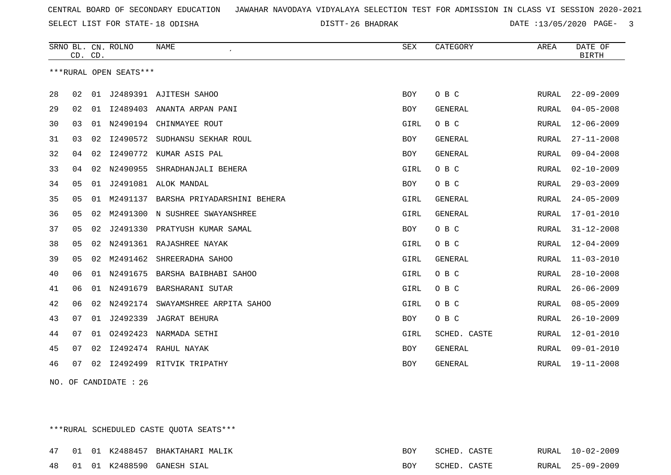26 BHADRAK DATE :13/05/2020 PAGE- 3

|    | CD. CD. |    | SRNO BL. CN. ROLNO     | <b>NAME</b>                 | ${\tt SEX}$ | CATEGORY       | AREA  | DATE OF<br><b>BIRTH</b> |
|----|---------|----|------------------------|-----------------------------|-------------|----------------|-------|-------------------------|
|    |         |    | ***RURAL OPEN SEATS*** |                             |             |                |       |                         |
| 28 | 02      | 01 |                        | J2489391 AJITESH SAHOO      | <b>BOY</b>  | O B C          | RURAL | $22 - 09 - 2009$        |
| 29 | 02      | 01 |                        | 12489403 ANANTA ARPAN PANI  | <b>BOY</b>  | <b>GENERAL</b> | RURAL | $04 - 05 - 2008$        |
| 30 | 03      | 01 | N2490194               | CHINMAYEE ROUT              | GIRL        | O B C          | RURAL | $12 - 06 - 2009$        |
| 31 | 03      | 02 | I2490572               | SUDHANSU SEKHAR ROUL        | <b>BOY</b>  | <b>GENERAL</b> | RURAL | $27 - 11 - 2008$        |
| 32 | 04      | 02 |                        | I2490772 KUMAR ASIS PAL     | <b>BOY</b>  | GENERAL        | RURAL | $09 - 04 - 2008$        |
| 33 | 04      | 02 | N2490955               | SHRADHANJALI BEHERA         | GIRL        | O B C          | RURAL | $02 - 10 - 2009$        |
| 34 | 05      | 01 |                        | J2491081 ALOK MANDAL        | <b>BOY</b>  | O B C          | RURAL | $29 - 03 - 2009$        |
| 35 | 05      | 01 | M2491137               | BARSHA PRIYADARSHINI BEHERA | GIRL        | GENERAL        | RURAL | $24 - 05 - 2009$        |
| 36 | 05      | 02 | M2491300               | N SUSHREE SWAYANSHREE       | GIRL        | <b>GENERAL</b> | RURAL | $17 - 01 - 2010$        |
| 37 | 05      | 02 | J2491330               | PRATYUSH KUMAR SAMAL        | BOY         | O B C          | RURAL | $31 - 12 - 2008$        |
| 38 | 05      | 02 | N2491361               | RAJASHREE NAYAK             | GIRL        | O B C          | RURAL | $12 - 04 - 2009$        |
| 39 | 05      | 02 | M2491462               | SHREERADHA SAHOO            | GIRL        | <b>GENERAL</b> | RURAL | $11 - 03 - 2010$        |
| 40 | 06      | 01 | N2491675               | BARSHA BAIBHABI SAHOO       | GIRL        | O B C          | RURAL | $28 - 10 - 2008$        |
| 41 | 06      | 01 | N2491679               | BARSHARANI SUTAR            | GIRL        | O B C          | RURAL | $26 - 06 - 2009$        |
| 42 | 06      | 02 | N2492174               | SWAYAMSHREE ARPITA SAHOO    | GIRL        | O B C          | RURAL | $08 - 05 - 2009$        |
| 43 | 07      | 01 | J2492339               | <b>JAGRAT BEHURA</b>        | BOY         | O B C          | RURAL | $26 - 10 - 2009$        |
| 44 | 07      | 01 | 02492423               | NARMADA SETHI               | GIRL        | SCHED. CASTE   | RURAL | $12 - 01 - 2010$        |
| 45 | 07      | 02 |                        | 12492474 RAHUL NAYAK        | <b>BOY</b>  | <b>GENERAL</b> | RURAL | $09 - 01 - 2010$        |
| 46 | 07      | 02 |                        | 12492499 RITVIK TRIPATHY    | <b>BOY</b>  | <b>GENERAL</b> | RURAL | $19 - 11 - 2008$        |

NO. OF CANDIDATE : 26

\*\*\*RURAL SCHEDULED CASTE QUOTA SEATS\*\*\*

|  |  | 47 01 01 K2488457 BHAKTAHARI MALIK | BOY | SCHED. CASTE |  | RURAL 10-02-2009 |
|--|--|------------------------------------|-----|--------------|--|------------------|
|  |  | 48 01 01 K2488590 GANESH SIAL      | BOY | SCHED. CASTE |  | RURAL 25-09-2009 |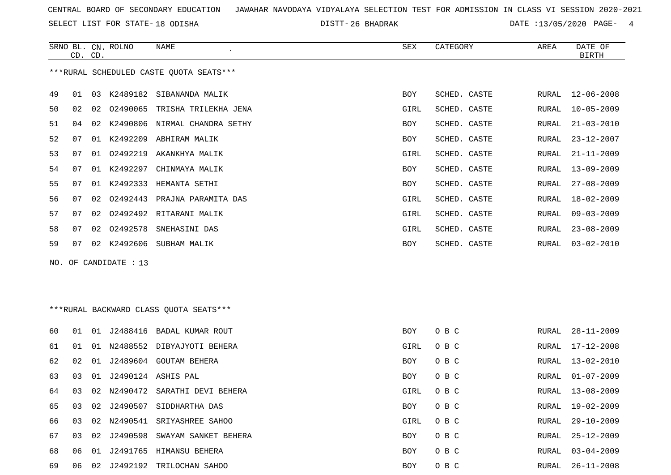SELECT LIST FOR STATE- DISTT- 18 ODISHA

DISTT-26 BHADRAK DATE :13/05/2020 PAGE- 4

|    | CD. CD. |    | SRNO BL. CN. ROLNO    | <b>NAME</b>                             | <b>SEX</b>  | CATEGORY     | AREA  | DATE OF<br><b>BIRTH</b> |
|----|---------|----|-----------------------|-----------------------------------------|-------------|--------------|-------|-------------------------|
|    |         |    |                       | ***RURAL SCHEDULED CASTE QUOTA SEATS*** |             |              |       |                         |
| 49 | 01      |    |                       | 03 K2489182 SIBANANDA MALIK             | <b>BOY</b>  | SCHED. CASTE | RURAL | $12 - 06 - 2008$        |
| 50 | 02      |    |                       | 02 02490065 TRISHA TRILEKHA JENA        | GIRL        | SCHED. CASTE | RURAL | $10 - 05 - 2009$        |
| 51 | 04      |    |                       | 02 K2490806 NIRMAL CHANDRA SETHY        | BOY         | SCHED. CASTE | RURAL | $21 - 03 - 2010$        |
| 52 | 07      |    |                       | 01 K2492209 ABHIRAM MALIK               | <b>BOY</b>  | SCHED. CASTE | RURAL | $23 - 12 - 2007$        |
| 53 | 07      | 01 |                       | 02492219 AKANKHYA MALIK                 | <b>GIRL</b> | SCHED. CASTE | RURAL | $21 - 11 - 2009$        |
| 54 | 07      |    | 01 K2492297           | CHINMAYA MALIK                          | <b>BOY</b>  | SCHED. CASTE | RURAL | $13 - 09 - 2009$        |
| 55 | 07      |    |                       | 01 K2492333 HEMANTA SETHI               | <b>BOY</b>  | SCHED. CASTE | RURAL | $27 - 08 - 2009$        |
| 56 | 07      | 02 |                       | 02492443 PRAJNA PARAMITA DAS            | GIRL        | SCHED. CASTE | RURAL | $18 - 02 - 2009$        |
| 57 | 07      | 02 | 02492492              | RITARANI MALIK                          | <b>GIRL</b> | SCHED. CASTE | RURAL | $09 - 03 - 2009$        |
| 58 | 07      | 02 | 02492578              | SNEHASINI DAS                           | GIRL        | SCHED. CASTE | RURAL | $23 - 08 - 2009$        |
| 59 | 07      |    |                       | 02 K2492606 SUBHAM MALIK                | BOY         | SCHED. CASTE | RURAL | $03 - 02 - 2010$        |
|    |         |    | NO. OF CANDIDATE : 13 |                                         |             |              |       |                         |
|    |         |    |                       |                                         |             |              |       |                         |
|    |         |    |                       | *** RURAL BACKWARD CLASS QUOTA SEATS*** |             |              |       |                         |
| 60 | 01      |    |                       | 01 J2488416 BADAL KUMAR ROUT            | BOY         | O B C        | RURAL | $28 - 11 - 2009$        |
| 61 | 01      |    |                       | 01 N2488552 DIBYAJYOTI BEHERA           | GIRL        | O B C        | RURAL | $17 - 12 - 2008$        |
| 62 | 02      |    |                       | 01 J2489604 GOUTAM BEHERA               | <b>BOY</b>  | O B C        | RURAL | $13 - 02 - 2010$        |
| 63 | 03      |    |                       | 01 J2490124 ASHIS PAL                   | <b>BOY</b>  | O B C        | RURAL | $01 - 07 - 2009$        |

68 06 01 J2491765 HIMANSU BEHERA BOY O B C

64 03 02 N2490472 SARATHI DEVI BEHERA GIRL O B C RURAL 13-08-2009

65 03 02 J2490507 SIDDHARTHA DAS BOY O B C RURAL 19-02-2009

66 03 02 N2490541 SRIYASHREE SAHOO GIRL O B C GIRL O B C

67 03 02 J2490598 SWAYAM SANKET BEHERA BOY O B C

69 06 02 J2492192 TRILOCHAN SAHOO BOY O B C RURAL 26-11-2008

RURAL 29-10-2009

RURAL 25-12-2009

RURAL 03-04-2009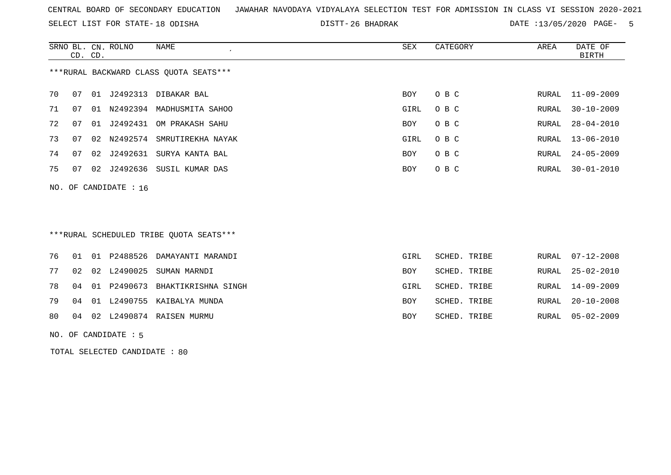SELECT LIST FOR STATE- DISTT- 18 ODISHA

26 BHADRAK DATE :13/05/2020 PAGE- 5

RURAL 14-09-2009

|    | CD. CD. |    | SRNO BL. CN. ROLNO    | NAME<br>$\epsilon$                      | SEX        | CATEGORY     | AREA  | DATE OF<br><b>BIRTH</b> |
|----|---------|----|-----------------------|-----------------------------------------|------------|--------------|-------|-------------------------|
|    |         |    |                       | *** RURAL BACKWARD CLASS QUOTA SEATS*** |            |              |       |                         |
| 70 | 07      | 01 | J2492313              | DIBAKAR BAL                             | <b>BOY</b> | O B C        | RURAL | $11 - 09 - 2009$        |
| 71 | 07      |    |                       | 01 N2492394 MADHUSMITA SAHOO            | GIRL       | O B C        | RURAL | $30 - 10 - 2009$        |
| 72 | 07      | 01 | J2492431              | OM PRAKASH SAHU                         | BOY        | O B C        | RURAL | $28 - 04 - 2010$        |
| 73 | 07      |    | 02 N2492574           | SMRUTIREKHA NAYAK                       | GIRL       | O B C        | RURAL | $13 - 06 - 2010$        |
| 74 | 07      | 02 | J2492631              | SURYA KANTA BAL                         | <b>BOY</b> | O B C        | RURAL | $24 - 05 - 2009$        |
| 75 | 07      | 02 | J2492636              | SUSIL KUMAR DAS                         | <b>BOY</b> | O B C        | RURAL | $30 - 01 - 2010$        |
|    |         |    | NO. OF CANDIDATE : 16 |                                         |            |              |       |                         |
|    |         |    |                       |                                         |            |              |       |                         |
|    |         |    |                       | ***RURAL SCHEDULED TRIBE QUOTA SEATS*** |            |              |       |                         |
| 76 | 01      | 01 | P2488526              | DAMAYANTI MARANDI                       | GIRL       | SCHED. TRIBE | RURAL | $07 - 12 - 2008$        |
| 77 | 02      | 02 | L2490025              | SUMAN MARNDI                            | <b>BOY</b> | SCHED. TRIBE | RURAL | $25 - 02 - 2010$        |

78 04 01 P2490673 BHAKTIKRISHNA SINGH GIRL SCHED. TRIBE RURAL 14-09-2009

79 04 01 L2490755 KAIBALYA MUNDA BOY SCHED. TRIBE RURAL 20-10-2008

80 04 02 L2490874 RAISEN MURMU BOY SCHED. TRIBE RURAL 05-02-2009

NO. OF CANDIDATE : 5

TOTAL SELECTED CANDIDATE : 80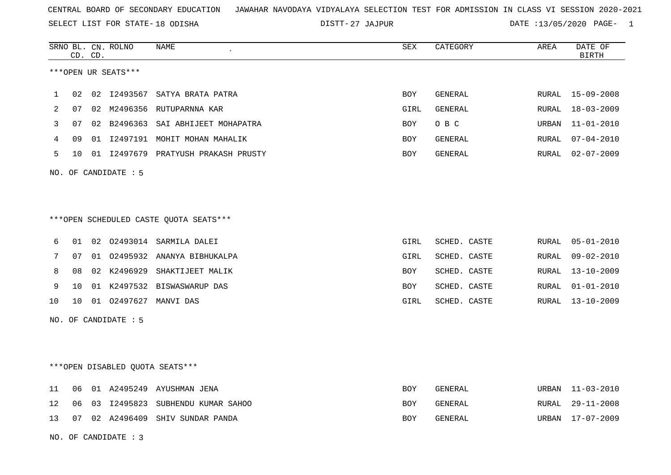SELECT LIST FOR STATE- DISTT- 18 ODISHA

27 JAJPUR DATE :13/05/2020 PAGE- 1

|                   |    | CD. CD. | SRNO BL. CN. ROLNO   | NAME                                   | ${\tt SEX}$ | CATEGORY       | AREA  | DATE OF<br>BIRTH |
|-------------------|----|---------|----------------------|----------------------------------------|-------------|----------------|-------|------------------|
|                   |    |         | ***OPEN UR SEATS***  |                                        |             |                |       |                  |
| 1                 | 02 | 02      |                      | 12493567 SATYA BRATA PATRA             | <b>BOY</b>  | <b>GENERAL</b> | RURAL | $15 - 09 - 2008$ |
| 2                 | 07 | 02      | M2496356             | RUTUPARNNA KAR                         | GIRL        | GENERAL        | RURAL | $18 - 03 - 2009$ |
| 3                 | 07 |         |                      | 02 B2496363 SAI ABHIJEET MOHAPATRA     | <b>BOY</b>  | O B C          | URBAN | $11 - 01 - 2010$ |
| 4                 | 09 |         |                      | 01 I2497191 MOHIT MOHAN MAHALIK        | <b>BOY</b>  | <b>GENERAL</b> | RURAL | $07 - 04 - 2010$ |
| 5                 | 10 |         |                      | 01 I2497679 PRATYUSH PRAKASH PRUSTY    | BOY         | <b>GENERAL</b> | RURAL | $02 - 07 - 2009$ |
|                   |    |         | NO. OF CANDIDATE : 5 |                                        |             |                |       |                  |
|                   |    |         |                      |                                        |             |                |       |                  |
|                   |    |         |                      |                                        |             |                |       |                  |
|                   |    |         |                      | ***OPEN SCHEDULED CASTE QUOTA SEATS*** |             |                |       |                  |
| 6                 | 01 |         |                      | 02 02493014 SARMILA DALEI              | GIRL        | SCHED. CASTE   | RURAL | $05 - 01 - 2010$ |
| 7                 | 07 |         | 01 02495932          | ANANYA BIBHUKALPA                      | GIRL        | SCHED. CASTE   | RURAL | $09 - 02 - 2010$ |
| 8                 | 08 |         | 02 K2496929          | SHAKTIJEET MALIK                       | BOY         | SCHED. CASTE   | RURAL | $13 - 10 - 2009$ |
| 9                 | 10 | 01      | K2497532             | BISWASWARUP DAS                        | BOY         | SCHED. CASTE   | RURAL | $01 - 01 - 2010$ |
| 10                | 10 |         |                      | 01 02497627 MANVI DAS                  | GIRL        | SCHED. CASTE   | RURAL | 13-10-2009       |
|                   |    |         | NO. OF CANDIDATE : 5 |                                        |             |                |       |                  |
|                   |    |         |                      |                                        |             |                |       |                  |
|                   |    |         |                      |                                        |             |                |       |                  |
|                   |    |         |                      | ***OPEN DISABLED OUOTA SEATS***        |             |                |       |                  |
| 11                | 06 |         |                      | 01 A2495249 AYUSHMAN JENA              | <b>BOY</b>  | GENERAL        |       | URBAN 11-03-2010 |
| $12 \overline{ }$ | 06 | 03      | I2495823             | SUBHENDU KUMAR SAHOO                   | <b>BOY</b>  | GENERAL        | RURAL | $29 - 11 - 2008$ |
| 13                | 07 |         | 02 A2496409          | SHIV SUNDAR PANDA                      | <b>BOY</b>  | GENERAL        | URBAN | 17-07-2009       |

NO. OF CANDIDATE : 3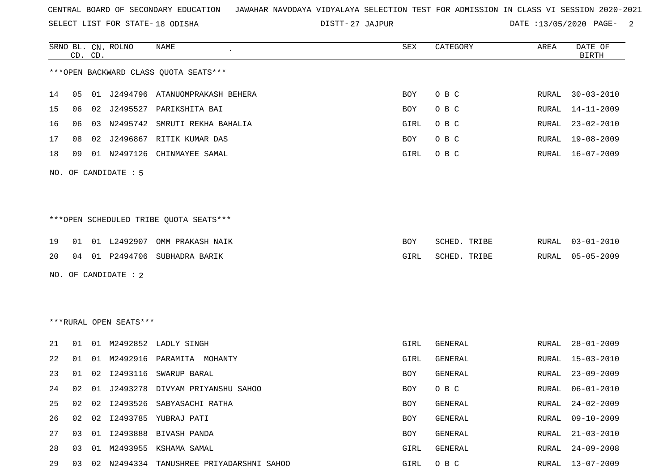SELECT LIST FOR STATE- DISTT- 18 ODISHA

27 JAJPUR DATE :13/05/2020 PAGE- 2

|    |    | CD. CD. | SRNO BL. CN. ROLNO     | NAME                                     | SEX         | CATEGORY     | AREA  | DATE OF<br><b>BIRTH</b> |
|----|----|---------|------------------------|------------------------------------------|-------------|--------------|-------|-------------------------|
|    |    |         |                        | *** OPEN BACKWARD CLASS QUOTA SEATS***   |             |              |       |                         |
| 14 | 05 |         |                        | 01 J2494796 ATANUOMPRAKASH BEHERA        | BOY         | O B C        | RURAL | $30 - 03 - 2010$        |
| 15 | 06 |         |                        | 02 J2495527 PARIKSHITA BAI               | BOY         | O B C        | RURAL | 14-11-2009              |
| 16 | 06 | 03      | N2495742               | SMRUTI REKHA BAHALIA                     | GIRL        | O B C        | RURAL | $23 - 02 - 2010$        |
| 17 | 08 | 02      |                        | J2496867 RITIK KUMAR DAS                 | BOY         | O B C        | RURAL | 19-08-2009              |
| 18 | 09 |         |                        | 01 N2497126 CHINMAYEE SAMAL              | GIRL        | O B C        | RURAL | 16-07-2009              |
|    |    |         | NO. OF CANDIDATE : 5   |                                          |             |              |       |                         |
|    |    |         |                        |                                          |             |              |       |                         |
|    |    |         |                        | ***OPEN SCHEDULED TRIBE QUOTA SEATS***   |             |              |       |                         |
| 19 | 01 |         |                        | 01 L2492907 OMM PRAKASH NAIK             | BOY         | SCHED. TRIBE | RURAL | $03 - 01 - 2010$        |
| 20 | 04 |         |                        | 01 P2494706 SUBHADRA BARIK               | GIRL        | SCHED. TRIBE | RURAL | $05 - 05 - 2009$        |
|    |    |         | NO. OF CANDIDATE : 2   |                                          |             |              |       |                         |
|    |    |         |                        |                                          |             |              |       |                         |
|    |    |         |                        |                                          |             |              |       |                         |
|    |    |         | ***RURAL OPEN SEATS*** |                                          |             |              |       |                         |
| 21 | 01 |         |                        | 01 M2492852 LADLY SINGH                  | <b>GIRL</b> | GENERAL      | RURAL | $28 - 01 - 2009$        |
| 22 | 01 | 01      | M2492916               | PARAMITA MOHANTY                         | GIRL        | GENERAL      | RURAL | $15 - 03 - 2010$        |
| 23 | 01 | 02      | I2493116               | SWARUP BARAL                             | BOY         | GENERAL      | RURAL | $23 - 09 - 2009$        |
| 24 | 02 |         |                        | 01 J2493278 DIVYAM PRIYANSHU SAHOO       | BOY         | O B C        | RURAL | $06 - 01 - 2010$        |
|    |    |         |                        | 25 02 02 12493526 SABYASACHI RATHA       | BOY         | GENERAL      |       | RURAL 24-02-2009        |
| 26 | 02 | 02      |                        | 12493785 YUBRAJ PATI                     | BOY         | GENERAL      | RURAL | $09 - 10 - 2009$        |
| 27 | 03 |         |                        | 01 I2493888 BIVASH PANDA                 | BOY         | GENERAL      | RURAL | $21 - 03 - 2010$        |
| 28 | 03 |         |                        | 01 M2493955 KSHAMA SAMAL                 | GIRL        | GENERAL      | RURAL | $24 - 09 - 2008$        |
| 29 | 03 |         |                        | 02 N2494334 TANUSHREE PRIYADARSHNI SAHOO | GIRL        | O B C        | RURAL | $13 - 07 - 2009$        |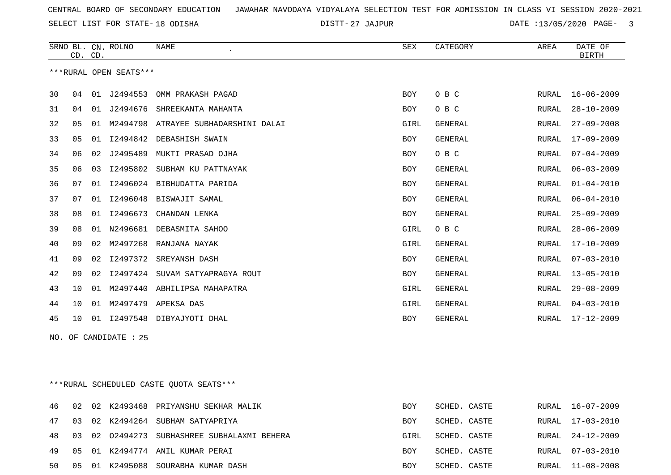27 JAJPUR DATE :13/05/2020 PAGE- 3

|    | CD. CD. |                | SRNO BL. CN. ROLNO     | <b>NAME</b><br>$\epsilon$   | <b>SEX</b> | CATEGORY       | AREA         | DATE OF<br><b>BIRTH</b> |
|----|---------|----------------|------------------------|-----------------------------|------------|----------------|--------------|-------------------------|
|    |         |                | ***RURAL OPEN SEATS*** |                             |            |                |              |                         |
| 30 | 04      | 01             | J2494553               | OMM PRAKASH PAGAD           | <b>BOY</b> | O B C          | RURAL        | $16 - 06 - 2009$        |
| 31 | 04      | 01             | J2494676               | SHREEKANTA MAHANTA          | <b>BOY</b> | O B C          | <b>RURAL</b> | $28 - 10 - 2009$        |
| 32 | 05      | 01             | M2494798               | ATRAYEE SUBHADARSHINI DALAI | GIRL       | <b>GENERAL</b> | <b>RURAL</b> | $27 - 09 - 2008$        |
| 33 | 05      | 01             | I2494842               | DEBASHISH SWAIN             | <b>BOY</b> | GENERAL        | <b>RURAL</b> | $17 - 09 - 2009$        |
| 34 | 06      | 02             | J2495489               | MUKTI PRASAD OJHA           | <b>BOY</b> | O B C          | <b>RURAL</b> | $07 - 04 - 2009$        |
| 35 | 06      | 0 <sub>3</sub> | I2495802               | SUBHAM KU PATTNAYAK         | <b>BOY</b> | <b>GENERAL</b> | <b>RURAL</b> | $06 - 03 - 2009$        |
| 36 | 07      | 01             | I2496024               | BIBHUDATTA PARIDA           | <b>BOY</b> | <b>GENERAL</b> | <b>RURAL</b> | $01 - 04 - 2010$        |
| 37 | 07      | 01             | I2496048               | BISWAJIT SAMAL              | <b>BOY</b> | <b>GENERAL</b> | <b>RURAL</b> | $06 - 04 - 2010$        |
| 38 | 08      | 01             | I2496673               | CHANDAN LENKA               | <b>BOY</b> | <b>GENERAL</b> | <b>RURAL</b> | $25 - 09 - 2009$        |
| 39 | 08      | 01             | N2496681               | DEBASMITA SAHOO             | GIRL       | O B C          | <b>RURAL</b> | $28 - 06 - 2009$        |
| 40 | 09      | 02             | M2497268               | RANJANA NAYAK               | GIRL       | <b>GENERAL</b> | <b>RURAL</b> | $17 - 10 - 2009$        |
| 41 | 09      | 02             | I2497372               | SREYANSH DASH               | <b>BOY</b> | <b>GENERAL</b> | <b>RURAL</b> | $07 - 03 - 2010$        |
| 42 | 09      | 02             | I2497424               | SUVAM SATYAPRAGYA ROUT      | <b>BOY</b> | <b>GENERAL</b> | <b>RURAL</b> | $13 - 05 - 2010$        |
| 43 | 10      | 01             | M2497440               | ABHILIPSA MAHAPATRA         | GIRL       | <b>GENERAL</b> | <b>RURAL</b> | $29 - 08 - 2009$        |
| 44 | 10      |                | 01 M2497479            | APEKSA DAS                  | GIRL       | <b>GENERAL</b> | <b>RURAL</b> | $04 - 03 - 2010$        |
| 45 | 10      | 01             | I2497548               | DIBYAJYOTI DHAL             | <b>BOY</b> | <b>GENERAL</b> | <b>RURAL</b> | $17 - 12 - 2009$        |
|    |         |                |                        |                             |            |                |              |                         |

NO. OF CANDIDATE : 25

\*\*\*RURAL SCHEDULED CASTE QUOTA SEATS\*\*\*

|  |  | 46 02 02 K2493468 PRIYANSHU SEKHAR MALIK       | <b>BOY</b> | SCHED. CASTE |  | RURAL 16-07-2009 |
|--|--|------------------------------------------------|------------|--------------|--|------------------|
|  |  | 47 03 02 K2494264 SUBHAM SATYAPRIYA            | <b>BOY</b> | SCHED. CASTE |  | RURAL 17-03-2010 |
|  |  | 48 03 02 02494273 SUBHASHREE SUBHALAXMI BEHERA | GIRL       | SCHED. CASTE |  | RURAL 24-12-2009 |
|  |  | 49 05 01 K2494774 ANIL KUMAR PERAI             | <b>BOY</b> | SCHED. CASTE |  | RURAL 07-03-2010 |
|  |  | 50 05 01 K2495088 SOURABHA KUMAR DASH          | BOY        | SCHED. CASTE |  | RURAL 11-08-2008 |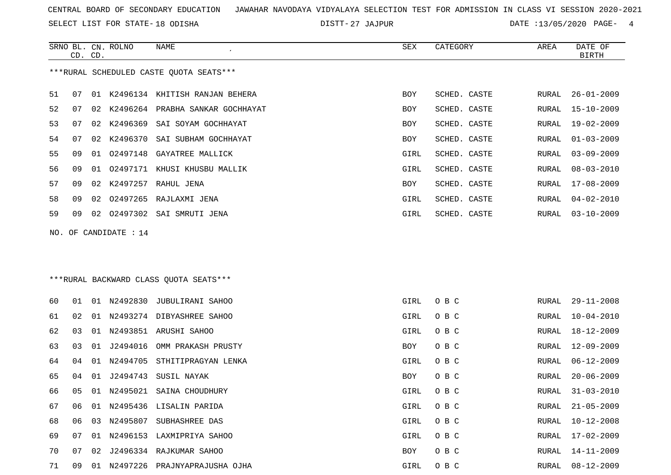SELECT LIST FOR STATE- DISTT- 18 ODISHA

SRNO BL. CN.

ROLNO NAME SEX CATEGORY AREA DATE OF

27 JAJPUR DATE :13/05/2020 PAGE- 4

| ***RURAL SCHEDULED CASTE QUOTA SEATS***<br>51<br>01 K2496134 KHITISH RANJAN BEHERA<br>SCHED. CASTE<br>07<br><b>BOY</b><br>52<br>07<br>02<br>K2496264 PRABHA SANKAR GOCHHAYAT<br>SCHED. CASTE<br>BOY<br>53<br>K2496369<br>07<br>SAI SOYAM GOCHHAYAT<br>SCHED. CASTE<br>02<br>BOY<br>54<br>K2496370<br>07<br>02<br>SAI SUBHAM GOCHHAYAT<br>SCHED. CASTE<br>BOY<br>55<br>02497148<br>09<br>GAYATREE MALLICK<br>GIRL<br>SCHED. CASTE<br>01<br>56<br>09<br>01<br>02497171<br>KHUSI KHUSBU MALLIK<br>GIRL<br>SCHED. CASTE<br>57<br>K2497257<br>09<br>02<br>RAHUL JENA<br>BOY<br>SCHED. CASTE<br>02497265<br>58<br>09<br>02<br>RAJLAXMI JENA<br>GIRL<br>SCHED. CASTE<br>59<br>09<br>02<br>02497302 SAI SMRUTI JENA<br>GIRL<br>SCHED. CASTE | $26 - 01 - 2009$<br>RURAL<br>15-10-2009<br>RURAL<br>$19 - 02 - 2009$<br>RURAL<br>RURAL<br>$01 - 03 - 2009$<br>$03 - 09 - 2009$<br>RURAL<br>RURAL<br>$08 - 03 - 2010$<br>17-08-2009<br>RURAL<br>$04 - 02 - 2010$<br>RURAL<br>$03 - 10 - 2009$<br>RURAL |
|-------------------------------------------------------------------------------------------------------------------------------------------------------------------------------------------------------------------------------------------------------------------------------------------------------------------------------------------------------------------------------------------------------------------------------------------------------------------------------------------------------------------------------------------------------------------------------------------------------------------------------------------------------------------------------------------------------------------------------------|-------------------------------------------------------------------------------------------------------------------------------------------------------------------------------------------------------------------------------------------------------|
|                                                                                                                                                                                                                                                                                                                                                                                                                                                                                                                                                                                                                                                                                                                                     |                                                                                                                                                                                                                                                       |
|                                                                                                                                                                                                                                                                                                                                                                                                                                                                                                                                                                                                                                                                                                                                     |                                                                                                                                                                                                                                                       |
|                                                                                                                                                                                                                                                                                                                                                                                                                                                                                                                                                                                                                                                                                                                                     |                                                                                                                                                                                                                                                       |
|                                                                                                                                                                                                                                                                                                                                                                                                                                                                                                                                                                                                                                                                                                                                     |                                                                                                                                                                                                                                                       |
|                                                                                                                                                                                                                                                                                                                                                                                                                                                                                                                                                                                                                                                                                                                                     |                                                                                                                                                                                                                                                       |
|                                                                                                                                                                                                                                                                                                                                                                                                                                                                                                                                                                                                                                                                                                                                     |                                                                                                                                                                                                                                                       |
|                                                                                                                                                                                                                                                                                                                                                                                                                                                                                                                                                                                                                                                                                                                                     |                                                                                                                                                                                                                                                       |
|                                                                                                                                                                                                                                                                                                                                                                                                                                                                                                                                                                                                                                                                                                                                     |                                                                                                                                                                                                                                                       |
|                                                                                                                                                                                                                                                                                                                                                                                                                                                                                                                                                                                                                                                                                                                                     |                                                                                                                                                                                                                                                       |
|                                                                                                                                                                                                                                                                                                                                                                                                                                                                                                                                                                                                                                                                                                                                     |                                                                                                                                                                                                                                                       |
| NO. OF CANDIDATE : $14$                                                                                                                                                                                                                                                                                                                                                                                                                                                                                                                                                                                                                                                                                                             |                                                                                                                                                                                                                                                       |
|                                                                                                                                                                                                                                                                                                                                                                                                                                                                                                                                                                                                                                                                                                                                     |                                                                                                                                                                                                                                                       |
|                                                                                                                                                                                                                                                                                                                                                                                                                                                                                                                                                                                                                                                                                                                                     |                                                                                                                                                                                                                                                       |
| ***RURAL BACKWARD CLASS OUOTA SEATS***                                                                                                                                                                                                                                                                                                                                                                                                                                                                                                                                                                                                                                                                                              |                                                                                                                                                                                                                                                       |
| 60<br>01 N2492830<br>JUBULIRANI SAHOO<br>GIRL<br>O B C<br>01                                                                                                                                                                                                                                                                                                                                                                                                                                                                                                                                                                                                                                                                        | $29 - 11 - 2008$<br>RURAL                                                                                                                                                                                                                             |
| O B C<br>61<br>02<br>N2493274 DIBYASHREE SAHOO<br>GIRL<br>01                                                                                                                                                                                                                                                                                                                                                                                                                                                                                                                                                                                                                                                                        | $10 - 04 - 2010$<br>RURAL                                                                                                                                                                                                                             |
| 62<br>N2493851<br>ARUSHI SAHOO<br>O B C<br>03<br>01<br>GIRL                                                                                                                                                                                                                                                                                                                                                                                                                                                                                                                                                                                                                                                                         | 18-12-2009<br>RURAL                                                                                                                                                                                                                                   |
| 63<br>O B C<br>03<br>01<br>J2494016<br>OMM PRAKASH PRUSTY<br>BOY                                                                                                                                                                                                                                                                                                                                                                                                                                                                                                                                                                                                                                                                    | $12 - 09 - 2009$<br>RURAL                                                                                                                                                                                                                             |
| 64<br>N2494705<br>STHITIPRAGYAN LENKA<br>GIRL<br>O B C<br>04<br>01                                                                                                                                                                                                                                                                                                                                                                                                                                                                                                                                                                                                                                                                  | RURAL<br>06-12-2009                                                                                                                                                                                                                                   |
| 65<br>J2494743<br>O B C<br>01<br>SUSIL NAYAK<br>BOY<br>04                                                                                                                                                                                                                                                                                                                                                                                                                                                                                                                                                                                                                                                                           | $20 - 06 - 2009$<br>RURAL                                                                                                                                                                                                                             |
| 66<br>N2495021<br>SAINA CHOUDHURY<br>GIRL<br>O B C<br>05<br>01                                                                                                                                                                                                                                                                                                                                                                                                                                                                                                                                                                                                                                                                      | $31 - 03 - 2010$<br>RURAL                                                                                                                                                                                                                             |
| 67<br>N2495436 LISALIN PARIDA<br>GIRL<br>O B C<br>06<br>01                                                                                                                                                                                                                                                                                                                                                                                                                                                                                                                                                                                                                                                                          | $21 - 05 - 2009$<br>RURAL                                                                                                                                                                                                                             |
| 68<br>03 N2495807 SUBHASHREE DAS<br>O B C<br>06<br>GIRL                                                                                                                                                                                                                                                                                                                                                                                                                                                                                                                                                                                                                                                                             | RURAL 10-12-2008                                                                                                                                                                                                                                      |
| 69<br>01 N2496153 LAXMIPRIYA SAHOO<br>GIRL<br>O B C<br>07                                                                                                                                                                                                                                                                                                                                                                                                                                                                                                                                                                                                                                                                           | 17-02-2009<br>RURAL                                                                                                                                                                                                                                   |
| 70<br>02 J2496334 RAJKUMAR SAHOO<br>O B C<br>07<br>BOY                                                                                                                                                                                                                                                                                                                                                                                                                                                                                                                                                                                                                                                                              | $14 - 11 - 2009$<br>RURAL                                                                                                                                                                                                                             |
| 71<br>O B C<br>09<br>01 N2497226 PRAJNYAPRAJUSHA OJHA<br>GIRL                                                                                                                                                                                                                                                                                                                                                                                                                                                                                                                                                                                                                                                                       | RURAL<br>$08 - 12 - 2009$                                                                                                                                                                                                                             |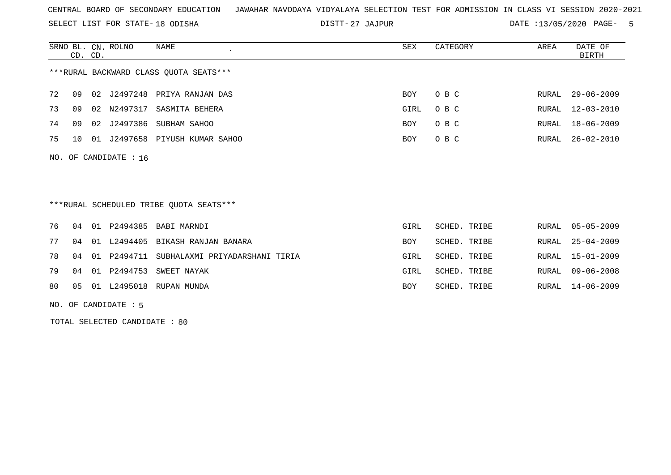SELECT LIST FOR STATE- DISTT- 18 ODISHA

27 JAJPUR DATE :13/05/2020 PAGE- 5

|                                        | CD. CD.              |     | SRNO BL. CN. ROLNO | NAME               | SEX  | CATEGORY | AREA | DATE OF<br>BIRTH |  |  |
|----------------------------------------|----------------------|-----|--------------------|--------------------|------|----------|------|------------------|--|--|
| ***RURAL BACKWARD CLASS QUOTA SEATS*** |                      |     |                    |                    |      |          |      |                  |  |  |
| 72                                     | 09                   |     | 02 J2497248        | PRIYA RANJAN DAS   | BOY  | O B C    |      | RURAL 29-06-2009 |  |  |
| 73                                     | 09                   | 02  | N2497317           | SASMITA BEHERA     | GIRL | O B C    |      | RURAL 12-03-2010 |  |  |
| 74                                     | 09                   | 0.2 | J2497386           | SUBHAM SAHOO       | BOY  | O B C    |      | RURAL 18-06-2009 |  |  |
| 75                                     | 1 O                  | 01  | J2497658           | PIYUSH KUMAR SAHOO | BOY  | O B C    |      | RURAL 26-02-2010 |  |  |
|                                        | NO. OF CANDIDATE: 16 |     |                    |                    |      |          |      |                  |  |  |

\*\*\*RURAL SCHEDULED TRIBE QUOTA SEATS\*\*\*

|  |  | 76 04 01 P2494385 BABI MARNDI                    | GIRL       | SCHED. TRIBE |  | RURAL 05-05-2009 |
|--|--|--------------------------------------------------|------------|--------------|--|------------------|
|  |  | 77 04 01 L2494405 BIKASH RANJAN BANARA           | <b>BOY</b> | SCHED. TRIBE |  | RURAL 25-04-2009 |
|  |  | 78 04 01 P2494711 SUBHALAXMI PRIYADARSHANI TIRIA | GIRL       | SCHED. TRIBE |  | RURAL 15-01-2009 |
|  |  | 79 04 01 P2494753 SWEET NAYAK                    | GIRL       | SCHED. TRIBE |  | RURAL 09-06-2008 |
|  |  | 80  05  01  L2495018  RUPAN  MUNDA               | BOY        | SCHED. TRIBE |  | RURAL 14-06-2009 |

NO. OF CANDIDATE : 5

TOTAL SELECTED CANDIDATE : 80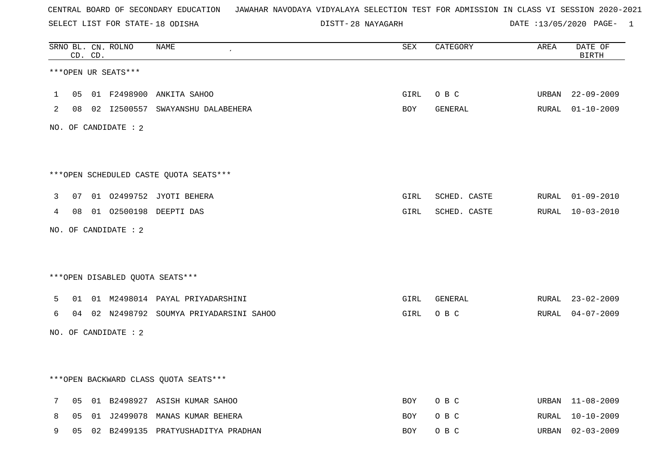SELECT LIST FOR STATE- DISTT- 18 ODISHA

28 NAYAGARH DATE :13/05/2020 PAGE- 1

|              |    | CD. CD. | SRNO BL. CN. ROLNO     | NAME                                     | SEX        | CATEGORY     | AREA  | DATE OF<br><b>BIRTH</b> |
|--------------|----|---------|------------------------|------------------------------------------|------------|--------------|-------|-------------------------|
|              |    |         | ***OPEN UR SEATS***    |                                          |            |              |       |                         |
| $\mathbf{1}$ | 05 |         |                        | 01 F2498900 ANKITA SAHOO                 | GIRL       | O B C        | URBAN | $22 - 09 - 2009$        |
| 2            |    |         |                        | 08 02 12500557 SWAYANSHU DALABEHERA      | BOY        | GENERAL      |       | RURAL 01-10-2009        |
|              |    |         | NO. OF CANDIDATE : $2$ |                                          |            |              |       |                         |
|              |    |         |                        | ***OPEN SCHEDULED CASTE QUOTA SEATS***   |            |              |       |                         |
| 3            | 07 |         |                        | 01 02499752 JYOTI BEHERA                 | GIRL       | SCHED. CASTE |       | RURAL 01-09-2010        |
| 4            | 08 |         |                        | 01 02500198 DEEPTI DAS                   | GIRL       | SCHED. CASTE |       | RURAL 10-03-2010        |
|              |    |         | NO. OF CANDIDATE : 2   |                                          |            |              |       |                         |
|              |    |         |                        |                                          |            |              |       |                         |
|              |    |         |                        | *** OPEN DISABLED QUOTA SEATS***         |            |              |       |                         |
| 5            | 01 |         |                        | 01 M2498014 PAYAL PRIYADARSHINI          | GIRL       | GENERAL      |       | RURAL 23-02-2009        |
| 6            |    |         |                        | 04 02 N2498792 SOUMYA PRIYADARSINI SAHOO | GIRL       | O B C        | RURAL | 04-07-2009              |
|              |    |         | NO. OF CANDIDATE : 2   |                                          |            |              |       |                         |
|              |    |         |                        |                                          |            |              |       |                         |
|              |    |         |                        | *** OPEN BACKWARD CLASS QUOTA SEATS***   |            |              |       |                         |
| 7            | 05 |         |                        | 01 B2498927 ASISH KUMAR SAHOO            | <b>BOY</b> | O B C        |       | URBAN 11-08-2009        |
| 8            | 05 |         |                        | 01 J2499078 MANAS KUMAR BEHERA           | <b>BOY</b> | O B C        |       | RURAL 10-10-2009        |
| 9            | 05 |         |                        | 02 B2499135 PRATYUSHADITYA PRADHAN       | BOY        | O B C        | URBAN | $02 - 03 - 2009$        |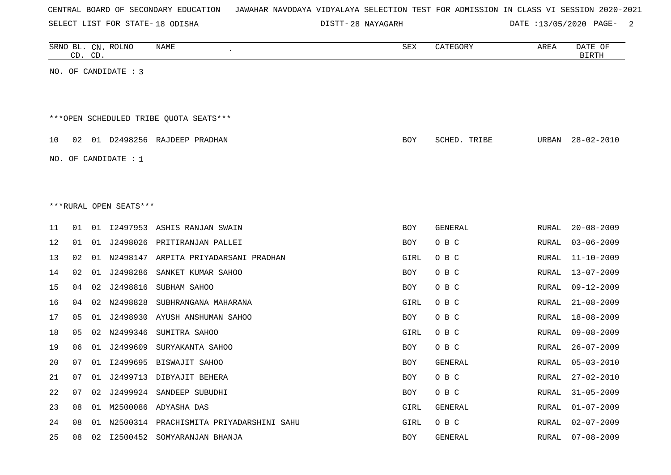| CENTRAL BOARD OF SECONDARY EDUCATION – JAWAHAR NAVODAYA VIDYALAYA SELECTION TEST FOR ADMISSION IN CLASS VI SESSION 2020-2021 |  |
|------------------------------------------------------------------------------------------------------------------------------|--|
|------------------------------------------------------------------------------------------------------------------------------|--|

DISTT-28 NAYAGARH DATE :13/05/2020 PAGE- 2

|    |    | CD. CD. | SRNO BL. CN. ROLNO     | <b>NAME</b>                                | <b>SEX</b> | CATEGORY     | AREA         | DATE OF<br><b>BIRTH</b> |
|----|----|---------|------------------------|--------------------------------------------|------------|--------------|--------------|-------------------------|
|    |    |         | NO. OF CANDIDATE : 3   |                                            |            |              |              |                         |
|    |    |         |                        |                                            |            |              |              |                         |
|    |    |         |                        | ***OPEN SCHEDULED TRIBE QUOTA SEATS***     |            |              |              |                         |
| 10 | 02 |         |                        | 01 D2498256 RAJDEEP PRADHAN                | <b>BOY</b> | SCHED. TRIBE | URBAN        | $28 - 02 - 2010$        |
|    |    |         | NO. OF CANDIDATE : $1$ |                                            |            |              |              |                         |
|    |    |         |                        |                                            |            |              |              |                         |
|    |    |         | ***RURAL OPEN SEATS*** |                                            |            |              |              |                         |
| 11 | 01 |         |                        | 01 I2497953 ASHIS RANJAN SWAIN             | <b>BOY</b> | GENERAL      | RURAL        | $20 - 08 - 2009$        |
| 12 | 01 |         |                        | 01 J2498026 PRITIRANJAN PALLEI             | <b>BOY</b> | O B C        | RURAL        | $03 - 06 - 2009$        |
| 13 | 02 |         |                        | 01 N2498147 ARPITA PRIYADARSANI PRADHAN    | GIRL       | O B C        | RURAL        | $11 - 10 - 2009$        |
| 14 | 02 |         |                        | 01 J2498286 SANKET KUMAR SAHOO             | <b>BOY</b> | O B C        | <b>RURAL</b> | $13 - 07 - 2009$        |
| 15 | 04 |         | 02 J2498816            | SUBHAM SAHOO                               | BOY        | O B C        | RURAL        | $09 - 12 - 2009$        |
| 16 | 04 |         | 02 N2498828            | SUBHRANGANA MAHARANA                       | GIRL       | O B C        | RURAL        | $21 - 08 - 2009$        |
| 17 | 05 | 01      |                        | J2498930 AYUSH ANSHUMAN SAHOO              | <b>BOY</b> | O B C        | RURAL        | $18 - 08 - 2009$        |
| 18 | 05 |         | 02 N2499346            | SUMITRA SAHOO                              | GIRL       | O B C        | RURAL        | $09 - 08 - 2009$        |
| 19 | 06 |         |                        | 01 J2499609 SURYAKANTA SAHOO               | <b>BOY</b> | O B C        | <b>RURAL</b> | $26 - 07 - 2009$        |
| 20 | 07 |         |                        | 01 I2499695 BISWAJIT SAHOO                 | <b>BOY</b> | GENERAL      | RURAL        | $05 - 03 - 2010$        |
| 21 | 07 | 01      |                        | J2499713 DIBYAJIT BEHERA                   | BOY        | O B C        | RURAL        | $27 - 02 - 2010$        |
| 22 | 07 | 02      |                        | J2499924 SANDEEP SUBUDHI                   | <b>BOY</b> | O B C        | RURAL        | $31 - 05 - 2009$        |
| 23 | 08 |         |                        | 01 M2500086 ADYASHA DAS                    | GIRL       | GENERAL      | RURAL        | $01 - 07 - 2009$        |
| 24 | 08 |         |                        | 01 N2500314 PRACHISMITA PRIYADARSHINI SAHU | GIRL       | O B C        | RURAL        | $02 - 07 - 2009$        |
| 25 | 08 |         |                        | 02 I2500452 SOMYARANJAN BHANJA             | <b>BOY</b> | GENERAL      | RURAL        | $07 - 08 - 2009$        |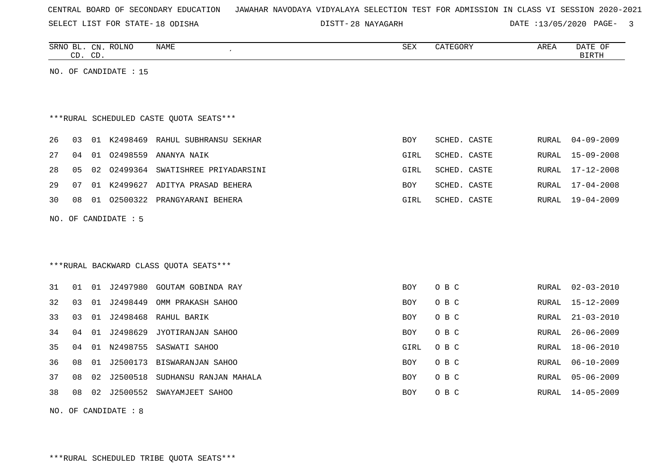SELECT LIST FOR STATE- DISTT- 18 ODISHA

28 NAYAGARH DATE :13/05/2020 PAGE- 3

|     |    | CD. CD. | SRNO BL. CN. ROLNO    | <b>NAME</b>                             | <b>SEX</b> | CATEGORY     | AREA         | DATE OF<br><b>BIRTH</b> |
|-----|----|---------|-----------------------|-----------------------------------------|------------|--------------|--------------|-------------------------|
|     |    |         | NO. OF CANDIDATE : 15 |                                         |            |              |              |                         |
|     |    |         |                       |                                         |            |              |              |                         |
|     |    |         |                       |                                         |            |              |              |                         |
|     |    |         |                       | ***RURAL SCHEDULED CASTE OUOTA SEATS*** |            |              |              |                         |
| 26  | 03 |         |                       | 01 K2498469 RAHUL SUBHRANSU SEKHAR      | <b>BOY</b> | SCHED. CASTE | RURAL        | $04 - 09 - 2009$        |
| 27  | 04 | 01      |                       | 02498559 ANANYA NAIK                    | GIRL       | SCHED. CASTE | RURAL        | $15 - 09 - 2008$        |
| 28  | 05 | 02      |                       | 02499364 SWATISHREE PRIYADARSINI        | GIRL       | SCHED. CASTE | RURAL        | $17 - 12 - 2008$        |
| 29  | 07 |         |                       | 01 K2499627 ADITYA PRASAD BEHERA        | <b>BOY</b> | SCHED. CASTE | RURAL        | $17 - 04 - 2008$        |
| 30  | 08 |         |                       | 01 02500322 PRANGYARANI BEHERA          | GIRL       | SCHED. CASTE | RURAL        | $19 - 04 - 2009$        |
| NO. |    |         | OF CANDIDATE : 5      |                                         |            |              |              |                         |
|     |    |         |                       |                                         |            |              |              |                         |
|     |    |         |                       |                                         |            |              |              |                         |
|     |    |         |                       | ***RURAL BACKWARD CLASS QUOTA SEATS***  |            |              |              |                         |
| 31  | 01 | 01      | J2497980              | GOUTAM GOBINDA RAY                      | <b>BOY</b> | O B C        | RURAL        | $02 - 03 - 2010$        |
| 32  | 03 |         | 01 J2498449           | OMM PRAKASH SAHOO                       | <b>BOY</b> | O B C        | <b>RURAL</b> | $15 - 12 - 2009$        |
| 33  | 03 | 01      | J2498468              | RAHUL BARIK                             | <b>BOY</b> | O B C        | RURAL        | $21 - 03 - 2010$        |
| 34  | 04 |         |                       | 01 J2498629 JYOTIRANJAN SAHOO           | <b>BOY</b> | O B C        | RURAL        | $26 - 06 - 2009$        |

35 04 01 N2498755 SASWATI SAHOO GIRL O B C RURAL 18-06-2010 36 08 01 J2500173 BISWARANJAN SAHOO BOY O B C RURAL 06-10-2009  $37$  08 02 J2500518 SUDHANSU RANJAN MAHALA  $\overline{100}$ O B C RURAL 05-06-2009 38 08 02 J2500552 SWAYAMJEET SAHOO BOY O BOY O B C RURAL 14-05-2009

NO. OF CANDIDATE : 8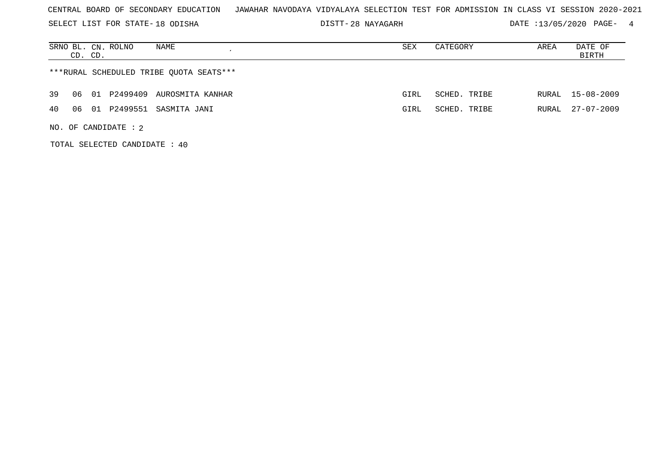SELECT LIST FOR STATE- DISTT- 18 ODISHA

TOTAL SELECTED CANDIDATE : 40

28 NAYAGARH DATE :13/05/2020 PAGE- 4

| NAME<br>SRNO BL. CN. ROLNO<br>CD. CD.        | SEX  | CATEGORY     | AREA  | DATE OF<br>BIRTH |  |  |  |  |  |
|----------------------------------------------|------|--------------|-------|------------------|--|--|--|--|--|
| ***RURAL SCHEDULED TRIBE OUOTA SEATS***      |      |              |       |                  |  |  |  |  |  |
| 39<br>P2499409 AUROSMITA KANHAR<br>06<br>01  | GIRL | SCHED. TRIBE | RURAL | 15-08-2009       |  |  |  |  |  |
| P2499551<br>40<br>06<br>- 01<br>SASMITA JANI | GIRL | SCHED. TRIBE | RURAL | 27-07-2009       |  |  |  |  |  |
| NO. OF CANDIDATE : $2$                       |      |              |       |                  |  |  |  |  |  |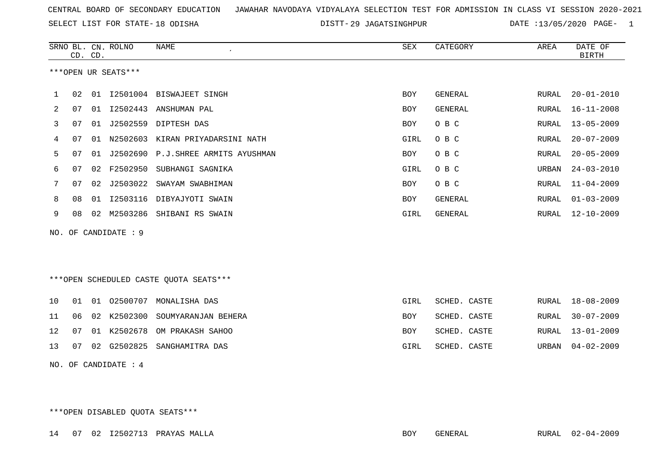SELECT LIST FOR STATE- DISTT- 18 ODISHA

DISTT-29 JAGATSINGHPUR DATE :13/05/2020 PAGE- 1

|    | CD. CD. |    | SRNO BL. CN. ROLNO   | <b>NAME</b>                            | SEX        | CATEGORY       | AREA         | DATE OF<br><b>BIRTH</b> |
|----|---------|----|----------------------|----------------------------------------|------------|----------------|--------------|-------------------------|
|    |         |    | ***OPEN UR SEATS***  |                                        |            |                |              |                         |
| 1  | 02      |    |                      | 01 I2501004 BISWAJEET SINGH            | <b>BOY</b> | GENERAL        | RURAL        | $20 - 01 - 2010$        |
| 2  | 07      |    |                      | 01 I2502443 ANSHUMAN PAL               | <b>BOY</b> | <b>GENERAL</b> | RURAL        | $16 - 11 - 2008$        |
| 3  | 07      | 01 | J2502559             | DIPTESH DAS                            | BOY        | O B C          | RURAL        | $13 - 05 - 2009$        |
| 4  | 07      | 01 | N2502603             | KIRAN PRIYADARSINI NATH                | GIRL       | O B C          | RURAL        | $20 - 07 - 2009$        |
| 5  | 07      | 01 |                      | J2502690 P.J.SHREE ARMITS AYUSHMAN     | BOY        | O B C          | RURAL        | $20 - 05 - 2009$        |
| 6  | 07      | 02 | F2502950             | SUBHANGI SAGNIKA                       | GIRL       | O B C          | URBAN        | $24 - 03 - 2010$        |
| 7  | 07      | 02 | J2503022             | SWAYAM SWABHIMAN                       | BOY        | O B C          | <b>RURAL</b> | $11 - 04 - 2009$        |
| 8  | 08      | 01 |                      | I2503116 DIBYAJYOTI SWAIN              | BOY        | GENERAL        | RURAL        | $01 - 03 - 2009$        |
| 9  | 08      | 02 | M2503286             | SHIBANI RS SWAIN                       | GIRL       | <b>GENERAL</b> | RURAL        | $12 - 10 - 2009$        |
|    |         |    | NO. OF CANDIDATE : 9 |                                        |            |                |              |                         |
|    |         |    |                      |                                        |            |                |              |                         |
|    |         |    |                      |                                        |            |                |              |                         |
|    |         |    |                      | ***OPEN SCHEDULED CASTE QUOTA SEATS*** |            |                |              |                         |
|    |         |    |                      |                                        |            |                |              |                         |
| 10 | 01      | 01 | 02500707             | MONALISHA DAS                          | GIRL       | SCHED. CASTE   | RURAL        | $18 - 08 - 2009$        |
| 11 | 06      | 02 | K2502300             | SOUMYARANJAN BEHERA                    | <b>BOY</b> | SCHED. CASTE   | <b>RURAL</b> | $30 - 07 - 2009$        |
| 12 | 07      | 01 | K2502678             | OM PRAKASH SAHOO                       | <b>BOY</b> | SCHED. CASTE   | RURAL        | $13 - 01 - 2009$        |
| 13 | 07      | 02 | G2502825             | SANGHAMITRA DAS                        | GIRL       | SCHED. CASTE   | URBAN        | $04 - 02 - 2009$        |
|    |         |    | NO. OF CANDIDATE : 4 |                                        |            |                |              |                         |

\*\*\*OPEN DISABLED QUOTA SEATS\*\*\*

14 07 02 I2502713 PRAYAS MALLA BOY GENERAL RURAL 02-04-2009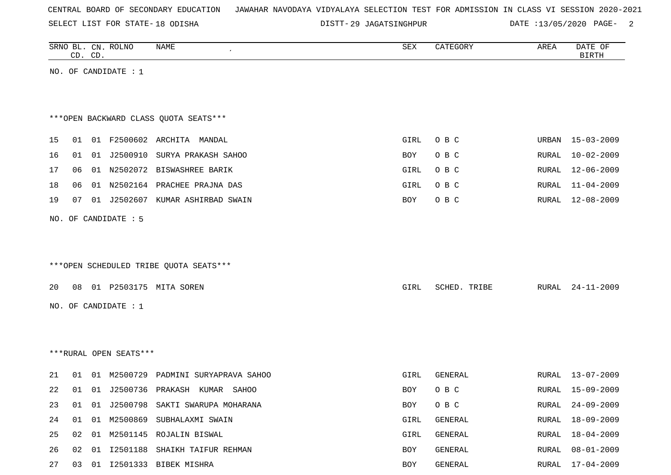SELECT LIST FOR STATE- DISTT- 18 ODISHA

DISTT-29 JAGATSINGHPUR DATE :13/05/2020 PAGE- 2

|    |    | CD. CD. | SRNO BL. CN. ROLNO     | NAME                                   | ${\tt SEX}$ | CATEGORY     | AREA  | DATE OF<br><b>BIRTH</b> |
|----|----|---------|------------------------|----------------------------------------|-------------|--------------|-------|-------------------------|
|    |    |         | NO. OF CANDIDATE : $1$ |                                        |             |              |       |                         |
|    |    |         |                        |                                        |             |              |       |                         |
|    |    |         |                        |                                        |             |              |       |                         |
|    |    |         |                        | *** OPEN BACKWARD CLASS QUOTA SEATS*** |             |              |       |                         |
| 15 | 01 |         |                        | 01 F2500602 ARCHITA MANDAL             | GIRL        | O B C        |       | URBAN 15-03-2009        |
| 16 | 01 |         |                        | 01 J2500910 SURYA PRAKASH SAHOO        | BOY         | O B C        | RURAL | $10 - 02 - 2009$        |
| 17 | 06 |         |                        | 01 N2502072 BISWASHREE BARIK           | GIRL        | O B C        | RURAL | 12-06-2009              |
| 18 | 06 |         |                        | 01 N2502164 PRACHEE PRAJNA DAS         | GIRL        | O B C        | RURAL | $11 - 04 - 2009$        |
| 19 | 07 |         |                        | 01 J2502607 KUMAR ASHIRBAD SWAIN       | BOY         | O B C        | RURAL | 12-08-2009              |
|    |    |         | NO. OF CANDIDATE : 5   |                                        |             |              |       |                         |
|    |    |         |                        |                                        |             |              |       |                         |
|    |    |         |                        |                                        |             |              |       |                         |
|    |    |         |                        | ***OPEN SCHEDULED TRIBE QUOTA SEATS*** |             |              |       |                         |
|    |    |         |                        |                                        |             |              |       |                         |
| 20 | 08 |         |                        | 01 P2503175 MITA SOREN                 | GIRL        | SCHED. TRIBE | RURAL | $24 - 11 - 2009$        |
|    |    |         | NO. OF CANDIDATE : $1$ |                                        |             |              |       |                         |
|    |    |         |                        |                                        |             |              |       |                         |
|    |    |         |                        |                                        |             |              |       |                         |
|    |    |         | ***RURAL OPEN SEATS*** |                                        |             |              |       |                         |
| 21 | 01 |         |                        | 01 M2500729 PADMINI SURYAPRAVA SAHOO   | GIRL        | GENERAL      | RURAL | $13 - 07 - 2009$        |
| 22 | 01 |         |                        | 01 J2500736 PRAKASH KUMAR<br>SAHOO     | BOY         | O B C        | RURAL | 15-09-2009              |
| 23 | 01 |         |                        | 01 J2500798 SAKTI SWARUPA MOHARANA     | BOY         | O B C        | RURAL | $24 - 09 - 2009$        |
| 24 | 01 |         |                        | 01 M2500869 SUBHALAXMI SWAIN           | GIRL        | GENERAL      | RURAL | $18 - 09 - 2009$        |
| 25 | 02 |         |                        | 01 M2501145 ROJALIN BISWAL             | GIRL        | GENERAL      | RURAL | $18 - 04 - 2009$        |
| 26 | 02 | 01      |                        | I2501188 SHAIKH TAIFUR REHMAN          | BOY         | GENERAL      | RURAL | $08 - 01 - 2009$        |
| 27 |    |         |                        | 03 01 I2501333 BIBEK MISHRA            | BOY         | GENERAL      | RURAL | 17-04-2009              |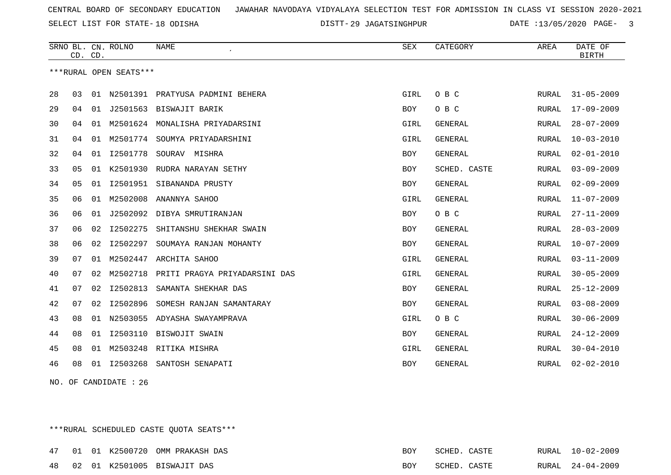SELECT LIST FOR STATE- DISTT- 18 ODISHA

29 JAGATSINGHPUR DATE :13/05/2020 PAGE- 3

|    | CD. CD.        |    | SRNO BL. CN. ROLNO     | <b>NAME</b>                      | <b>SEX</b> | CATEGORY       | AREA         | DATE OF<br><b>BIRTH</b> |
|----|----------------|----|------------------------|----------------------------------|------------|----------------|--------------|-------------------------|
|    |                |    | ***RURAL OPEN SEATS*** |                                  |            |                |              |                         |
| 28 | 03             | 01 |                        | N2501391 PRATYUSA PADMINI BEHERA | GIRL       | O B C          | RURAL        | $31 - 05 - 2009$        |
| 29 | 04             | 01 |                        | J2501563 BISWAJIT BARIK          | <b>BOY</b> | O B C          | RURAL        | $17 - 09 - 2009$        |
| 30 | 04             | 01 |                        | M2501624 MONALISHA PRIYADARSINI  | GIRL       | <b>GENERAL</b> | <b>RURAL</b> | $28 - 07 - 2009$        |
| 31 | 04             | 01 |                        | M2501774 SOUMYA PRIYADARSHINI    | GIRL       | <b>GENERAL</b> | <b>RURAL</b> | $10 - 03 - 2010$        |
| 32 | 04             | 01 | I2501778               | SOURAV MISHRA                    | BOY        | GENERAL        | RURAL        | $02 - 01 - 2010$        |
| 33 | 05             | 01 | K2501930               | RUDRA NARAYAN SETHY              | BOY        | SCHED. CASTE   | RURAL        | $03 - 09 - 2009$        |
| 34 | 0 <sub>5</sub> | 01 | I2501951               | SIBANANDA PRUSTY                 | <b>BOY</b> | <b>GENERAL</b> | <b>RURAL</b> | $02 - 09 - 2009$        |
| 35 | 06             | 01 | M2502008               | ANANNYA SAHOO                    | GIRL       | <b>GENERAL</b> | <b>RURAL</b> | $11 - 07 - 2009$        |
| 36 | 06             | 01 | J2502092               | DIBYA SMRUTIRANJAN               | BOY        | O B C          | RURAL        | $27 - 11 - 2009$        |
| 37 | 06             | 02 | I2502275               | SHITANSHU SHEKHAR SWAIN          | <b>BOY</b> | <b>GENERAL</b> | <b>RURAL</b> | $28 - 03 - 2009$        |
| 38 | 06             | 02 | I2502297               | SOUMAYA RANJAN MOHANTY           | BOY        | <b>GENERAL</b> | <b>RURAL</b> | $10 - 07 - 2009$        |
| 39 | 07             | 01 | M2502447               | ARCHITA SAHOO                    | GIRL       | <b>GENERAL</b> | RURAL        | $03 - 11 - 2009$        |
| 40 | 07             | 02 | M2502718               | PRITI PRAGYA PRIYADARSINI DAS    | GIRL       | <b>GENERAL</b> | <b>RURAL</b> | $30 - 05 - 2009$        |
| 41 | 07             | 02 | I2502813               | SAMANTA SHEKHAR DAS              | <b>BOY</b> | <b>GENERAL</b> | <b>RURAL</b> | $25 - 12 - 2009$        |
| 42 | 07             | 02 | I2502896               | SOMESH RANJAN SAMANTARAY         | <b>BOY</b> | <b>GENERAL</b> | RURAL        | $03 - 08 - 2009$        |
| 43 | 08             | 01 | N2503055               | ADYASHA SWAYAMPRAVA              | GIRL       | O B C          | <b>RURAL</b> | $30 - 06 - 2009$        |
| 44 | 08             | 01 | I2503110               | BISWOJIT SWAIN                   | BOY        | GENERAL        | <b>RURAL</b> | $24 - 12 - 2009$        |
| 45 | 08             | 01 | M2503248               | RITIKA MISHRA                    | GIRL       | <b>GENERAL</b> | RURAL        | $30 - 04 - 2010$        |
| 46 | 08             | 01 | I2503268               | SANTOSH SENAPATI                 | <b>BOY</b> | <b>GENERAL</b> | RURAL        | $02 - 02 - 2010$        |

NO. OF CANDIDATE : 26

\*\*\*RURAL SCHEDULED CASTE QUOTA SEATS\*\*\*

|  |  | 47 01 01 K2500720 OMM PRAKASH DAS | BOY | SCHED. CASTE |  | RURAL 10-02-2009 |
|--|--|-----------------------------------|-----|--------------|--|------------------|
|  |  | 48 02 01 K2501005 BISWAJIT DAS    | BOY | SCHED. CASTE |  | RURAL 24-04-2009 |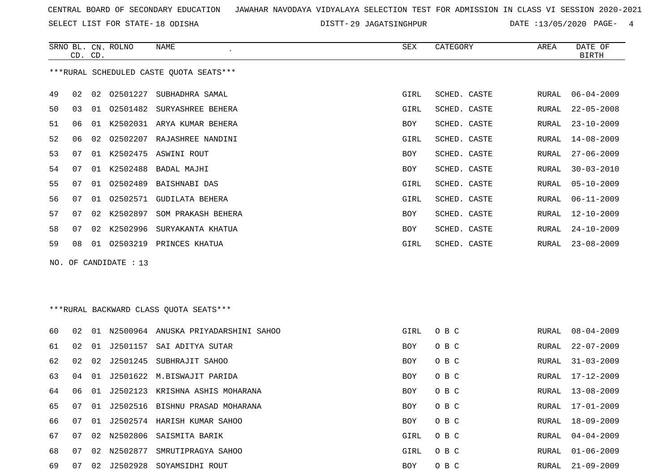SELECT LIST FOR STATE- DISTT- 18 ODISHA

DISTT-29 JAGATSINGHPUR DATE :13/05/2020 PAGE- 4

|    | CD. CD. |    | SRNO BL. CN. ROLNO    | <b>NAME</b>                              | SEX        | CATEGORY     | AREA  | DATE OF<br><b>BIRTH</b> |
|----|---------|----|-----------------------|------------------------------------------|------------|--------------|-------|-------------------------|
|    |         |    |                       | *** RURAL SCHEDULED CASTE QUOTA SEATS*** |            |              |       |                         |
| 49 | 02      | 02 | 02501227              | SUBHADHRA SAMAL                          | GIRL       | SCHED. CASTE | RURAL | $06 - 04 - 2009$        |
| 50 | 03      |    |                       | 01 02501482 SURYASHREE BEHERA            | GIRL       | SCHED. CASTE | RURAL | $22 - 05 - 2008$        |
| 51 | 06      |    |                       | 01 K2502031 ARYA KUMAR BEHERA            | <b>BOY</b> | SCHED. CASTE | RURAL | $23 - 10 - 2009$        |
| 52 | 06      |    |                       | 02 02502207 RAJASHREE NANDINI            | GIRL       | SCHED. CASTE | RURAL | $14 - 08 - 2009$        |
| 53 | 07      |    |                       | 01 K2502475 ASWINI ROUT                  | BOY        | SCHED. CASTE | RURAL | $27 - 06 - 2009$        |
| 54 | 07      |    | 01 K2502488           | BADAL MAJHI                              | BOY        | SCHED. CASTE | RURAL | $30 - 03 - 2010$        |
| 55 | 07      |    | 01 02502489           | BAISHNABI DAS                            | GIRL       | SCHED. CASTE | RURAL | $05 - 10 - 2009$        |
| 56 | 07      |    |                       | 01 02502571 GUDILATA BEHERA              | GIRL       | SCHED. CASTE | RURAL | $06 - 11 - 2009$        |
| 57 | 07      |    | 02 K2502897           | SOM PRAKASH BEHERA                       | <b>BOY</b> | SCHED. CASTE | RURAL | $12 - 10 - 2009$        |
| 58 | 07      |    |                       | 02 K2502996 SURYAKANTA KHATUA            | BOY        | SCHED. CASTE | RURAL | $24 - 10 - 2009$        |
| 59 | 08      |    |                       | 01 02503219 PRINCES KHATUA               | GIRL       | SCHED. CASTE | RURAL | $23 - 08 - 2009$        |
|    |         |    | NO. OF CANDIDATE : 13 |                                          |            |              |       |                         |
|    |         |    |                       |                                          |            |              |       |                         |
|    |         |    |                       |                                          |            |              |       |                         |
|    |         |    |                       | ***RURAL BACKWARD CLASS OUOTA SEATS***   |            |              |       |                         |
| 60 | 02      |    |                       | 01 N2500964 ANUSKA PRIYADARSHINI SAHOO   | GIRL       | O B C        | RURAL | $08 - 04 - 2009$        |
| 61 | 02      |    |                       | 01 J2501157 SAI ADITYA SUTAR             | BOY        | O B C        | RURAL | $22 - 07 - 2009$        |
| 62 | 02      | 02 |                       | J2501245 SUBHRAJIT SAHOO                 | <b>BOY</b> | O B C        | RURAL | $31 - 03 - 2009$        |
| 63 | 04      |    |                       | 01 J2501622 M.BISWAJIT PARIDA            | <b>BOY</b> | O B C        | RURAL | $17 - 12 - 2009$        |
| 64 | 06      |    |                       | 01 J2502123 KRISHNA ASHIS MOHARANA       | <b>BOY</b> | O B C        | RURAL | $13 - 08 - 2009$        |
| 65 | 07      |    |                       | 01 J2502516 BISHNU PRASAD MOHARANA       | BOY        | O B C        | RURAL | 17-01-2009              |
| 66 | 07      |    |                       | 01 J2502574 HARISH KUMAR SAHOO           | <b>BOY</b> | O B C        | RURAL | $18 - 09 - 2009$        |

 07 02 N2502806 SAISMITA BARIK GIRL O B C RURAL 04-04-2009 07 02 N2502877 SMRUTIPRAGYA SAHOO GIRL O B C RURAL 01-06-2009 07 02 J2502928 SOYAMSIDHI ROUT BOY O B C RURAL 21-09-2009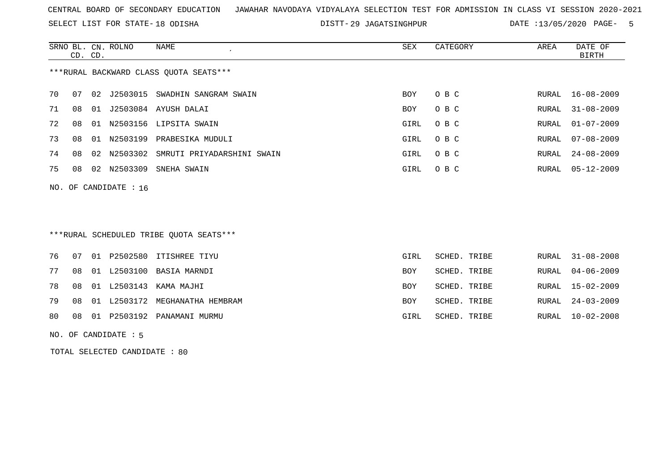SELECT LIST FOR STATE- DISTT- 18 ODISHA

DISTT-29 JAGATSINGHPUR DATE :13/05/2020 PAGE- 5

|    | CD. CD.               |    | SRNO BL. CN. ROLNO | NAME                                   | SEX        | CATEGORY | AREA  | DATE OF<br>BIRTH |  |  |
|----|-----------------------|----|--------------------|----------------------------------------|------------|----------|-------|------------------|--|--|
|    |                       |    |                    | ***RURAL BACKWARD CLASS OUOTA SEATS*** |            |          |       |                  |  |  |
|    |                       |    |                    |                                        |            |          |       |                  |  |  |
| 70 | 07                    | 02 | J2503015           | SWADHIN SANGRAM SWAIN                  | <b>BOY</b> | O B C    |       | RURAL 16-08-2009 |  |  |
| 71 | 08                    | 01 | J2503084           | AYUSH DALAI                            | <b>BOY</b> | O B C    | RURAL | $31 - 08 - 2009$ |  |  |
| 72 | 08                    | 01 |                    | N2503156 LIPSITA SWAIN                 | GIRL       | O B C    |       | RURAL 01-07-2009 |  |  |
| 73 | 08                    | 01 | N2503199           | PRABESIKA MUDULI                       | GIRL       | O B C    | RURAL | 07-08-2009       |  |  |
| 74 | 08                    |    | 02 N2503302        | SMRUTI PRIYADARSHINI SWAIN             | GIRL       | O B C    | RURAL | $24 - 08 - 2009$ |  |  |
| 75 | 08                    |    | 02 N2503309        | SNEHA SWAIN                            | GIRL       | O B C    |       | RURAL 05-12-2009 |  |  |
|    | NO. OF CANDIDATE : 16 |    |                    |                                        |            |          |       |                  |  |  |

# \*\*\*RURAL SCHEDULED TRIBE QUOTA SEATS\*\*\*

|  |  | 76 07 01 P2502580 ITISHREE TIYU      | GIRL       | SCHED. TRIBE |  | RURAL 31-08-2008 |
|--|--|--------------------------------------|------------|--------------|--|------------------|
|  |  | 77 08 01 L2503100 BASIA MARNDI       | BOY        | SCHED. TRIBE |  | RURAL 04-06-2009 |
|  |  | 78 08 01 L2503143 KAMA MAJHI         | <b>BOY</b> | SCHED. TRIBE |  | RURAL 15-02-2009 |
|  |  | 79 08 01 L2503172 MEGHANATHA HEMBRAM | <b>BOY</b> | SCHED. TRIBE |  | RURAL 24-03-2009 |
|  |  | 80 08 01 P2503192 PANAMANI MURMU     | GIRL       | SCHED. TRIBE |  | RURAL 10-02-2008 |
|  |  |                                      |            |              |  |                  |

#### NO. OF CANDIDATE : 5

TOTAL SELECTED CANDIDATE : 80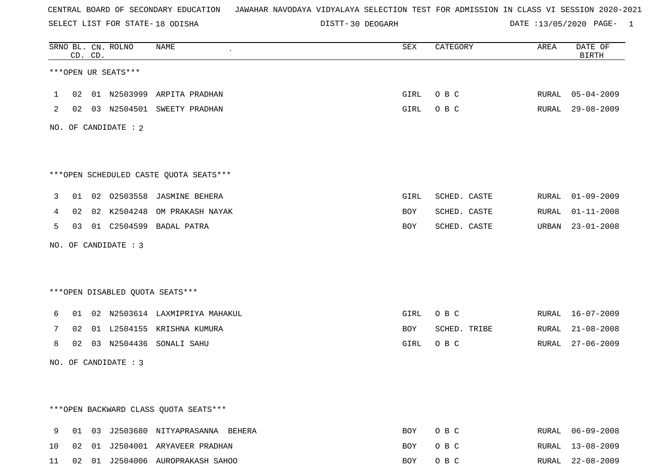SELECT LIST FOR STATE- DISTT- 18 ODISHA

DISTT-30 DEOGARH DATE :13/05/2020 PAGE- 1

|              |    | CD. CD. | SRNO BL. CN. ROLNO   | NAME                                   | SEX  | CATEGORY     | AREA  | DATE OF<br><b>BIRTH</b> |
|--------------|----|---------|----------------------|----------------------------------------|------|--------------|-------|-------------------------|
|              |    |         | ***OPEN UR SEATS***  |                                        |      |              |       |                         |
| $\mathbf{1}$ |    |         |                      | 02 01 N2503999 ARPITA PRADHAN          | GIRL | O B C        |       | RURAL 05-04-2009        |
| 2            |    |         |                      | 02 03 N2504501 SWEETY PRADHAN          | GIRL | O B C        |       | RURAL 29-08-2009        |
|              |    |         | NO. OF CANDIDATE : 2 |                                        |      |              |       |                         |
|              |    |         |                      |                                        |      |              |       |                         |
|              |    |         |                      | ***OPEN SCHEDULED CASTE QUOTA SEATS*** |      |              |       |                         |
| 3            |    |         |                      | 01 02 02503558 JASMINE BEHERA          | GIRL | SCHED. CASTE | RURAL | $01 - 09 - 2009$        |
| 4            |    |         | 02 02 K2504248       | OM PRAKASH NAYAK                       | BOY  | SCHED. CASTE | RURAL | $01 - 11 - 2008$        |
| 5            |    |         |                      | 03 01 C2504599 BADAL PATRA             | BOY  | SCHED. CASTE |       | URBAN 23-01-2008        |
|              |    |         | NO. OF CANDIDATE : 3 |                                        |      |              |       |                         |
|              |    |         |                      |                                        |      |              |       |                         |
|              |    |         |                      | ***OPEN DISABLED QUOTA SEATS***        |      |              |       |                         |
| 6            |    |         |                      | 01 02 N2503614 LAXMIPRIYA MAHAKUL      | GIRL | O B C        |       | RURAL 16-07-2009        |
| 7            | 02 |         |                      | 01 L2504155 KRISHNA KUMURA             | BOY  | SCHED. TRIBE | RURAL | $21 - 08 - 2008$        |
| 8            |    |         |                      | 02 03 N2504436 SONALI SAHU             | GIRL | O B C        | RURAL | $27 - 06 - 2009$        |
|              |    |         | NO. OF CANDIDATE : 3 |                                        |      |              |       |                         |
|              |    |         |                      |                                        |      |              |       |                         |
|              |    |         |                      |                                        |      |              |       |                         |
|              |    |         |                      | *** OPEN BACKWARD CLASS QUOTA SEATS*** |      |              |       |                         |
| 9            |    |         |                      | 01 03 J2503680 NITYAPRASANNA BEHERA    | BOY  | O B C        | RURAL | 06-09-2008              |
| 10           |    |         |                      | 02 01 J2504001 ARYAVEER PRADHAN        | BOY  | O B C        | RURAL | 13-08-2009              |
| 11           |    |         |                      | 02 01 J2504006 AUROPRAKASH SAHOO       | BOY  | O B C        |       | RURAL 22-08-2009        |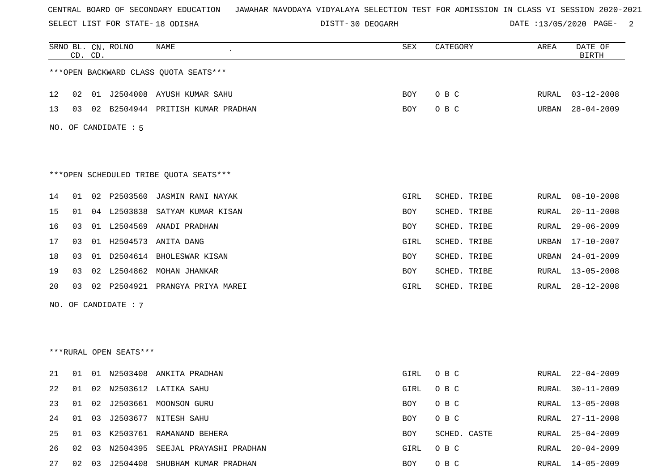SELECT LIST FOR STATE- DISTT- 18 ODISHA

DISTT-30 DEOGARH DATE :13/05/2020 PAGE- 2

|    |    | CD. CD. | SRNO BL. CN. ROLNO     | NAME                                   | SEX  | CATEGORY     | AREA         | DATE OF<br><b>BIRTH</b> |
|----|----|---------|------------------------|----------------------------------------|------|--------------|--------------|-------------------------|
|    |    |         |                        | *** OPEN BACKWARD CLASS QUOTA SEATS*** |      |              |              |                         |
| 12 | 02 |         |                        | 01 J2504008 AYUSH KUMAR SAHU           | BOY  | O B C        | RURAL        | $03 - 12 - 2008$        |
| 13 | 03 | 02      |                        | B2504944 PRITISH KUMAR PRADHAN         | BOY  | O B C        | URBAN        | $28 - 04 - 2009$        |
|    |    |         | NO. OF CANDIDATE : 5   |                                        |      |              |              |                         |
|    |    |         |                        | ***OPEN SCHEDULED TRIBE QUOTA SEATS*** |      |              |              |                         |
| 14 | 01 | 02      | P2503560               | JASMIN RANI NAYAK                      | GIRL | SCHED. TRIBE | RURAL        | $08 - 10 - 2008$        |
| 15 | 01 |         | 04 L2503838            | SATYAM KUMAR KISAN                     | BOY  | SCHED. TRIBE | RURAL        | $20 - 11 - 2008$        |
| 16 | 03 |         |                        | 01 L2504569 ANADI PRADHAN              | BOY  | SCHED. TRIBE | RURAL        | $29 - 06 - 2009$        |
| 17 | 03 |         | 01 H2504573            | ANITA DANG                             | GIRL | SCHED. TRIBE | URBAN        | $17 - 10 - 2007$        |
| 18 | 03 |         |                        | 01 D2504614 BHOLESWAR KISAN            | BOY  | SCHED. TRIBE | URBAN        | $24 - 01 - 2009$        |
| 19 | 03 |         | 02 L2504862            | MOHAN JHANKAR                          | BOY  | SCHED. TRIBE | RURAL        | $13 - 05 - 2008$        |
| 20 | 03 | 02      | P2504921               | PRANGYA PRIYA MAREI                    | GIRL | SCHED. TRIBE | <b>RURAL</b> | $28 - 12 - 2008$        |
|    |    |         | NO. OF CANDIDATE : 7   |                                        |      |              |              |                         |
|    |    |         |                        |                                        |      |              |              |                         |
|    |    |         | ***RURAL OPEN SEATS*** |                                        |      |              |              |                         |
| 21 | 01 | 01      | N2503408               | ANKITA PRADHAN                         | GIRL | O B C        | RURAL        | $22 - 04 - 2009$        |
| 22 | 01 |         |                        | 02 N2503612 LATIKA SAHU                | GIRL | O B C        | RURAL        | $30 - 11 - 2009$        |
| 23 | 01 | 02      |                        | J2503661 MOONSON GURU                  | BOY  | O B C        | RURAL        | $13 - 05 - 2008$        |
| 24 | 01 | 03      |                        | J2503677 NITESH SAHU                   | BOY  | O B C        | RURAL        | $27 - 11 - 2008$        |
| 25 | 01 |         |                        | 03 K2503761 RAMANAND BEHERA            | BOY  | SCHED. CASTE | RURAL        | $25 - 04 - 2009$        |
| 26 | 02 | 03      |                        | N2504395 SEEJAL PRAYASHI PRADHAN       | GIRL | O B C        | <b>RURAL</b> | $20 - 04 - 2009$        |
| 27 | 02 |         |                        | 03 J2504408 SHUBHAM KUMAR PRADHAN      | BOY  | O B C        | RURAL        | $14 - 05 - 2009$        |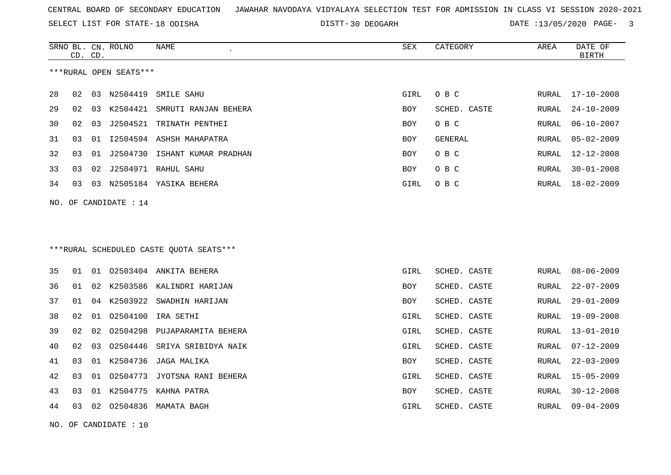SELECT LIST FOR STATE- DISTT- 18 ODISHA

30 DEOGARH DATE :13/05/2020 PAGE- 3

|    | CD. CD.              |    | SRNO BL. CN. ROLNO     | NAME                                     | SEX        | CATEGORY     | AREA  | DATE OF<br><b>BIRTH</b> |  |  |
|----|----------------------|----|------------------------|------------------------------------------|------------|--------------|-------|-------------------------|--|--|
|    |                      |    | ***RURAL OPEN SEATS*** |                                          |            |              |       |                         |  |  |
| 28 | 02                   |    | 03 N2504419            | SMILE SAHU                               | GIRL       | O B C        | RURAL | $17 - 10 - 2008$        |  |  |
| 29 | 02                   |    |                        | 03 K2504421 SMRUTI RANJAN BEHERA         | <b>BOY</b> | SCHED. CASTE | RURAL | $24 - 10 - 2009$        |  |  |
| 30 | 02                   | 03 | J2504521               | TRINATH PENTHEI                          | BOY        | O B C        | RURAL | $06 - 10 - 2007$        |  |  |
| 31 | 03                   | 01 |                        | 12504594 ASHSH MAHAPATRA                 | BOY        | GENERAL      | RURAL | $05 - 02 - 2009$        |  |  |
| 32 | 03                   | 01 |                        | J2504730 ISHANT KUMAR PRADHAN            | BOY        | O B C        | RURAL | 12-12-2008              |  |  |
| 33 | 03                   | 02 |                        | J2504971 RAHUL SAHU                      | BOY        | O B C        | RURAL | $30 - 01 - 2008$        |  |  |
| 34 | 03                   |    |                        | 03 N2505184 YASIKA BEHERA                | GIRL       | O B C        | RURAL | 18-02-2009              |  |  |
|    |                      |    | NO. OF CANDIDATE : 14  |                                          |            |              |       |                         |  |  |
|    |                      |    |                        |                                          |            |              |       |                         |  |  |
|    |                      |    |                        |                                          |            |              |       |                         |  |  |
|    |                      |    |                        | *** RURAL SCHEDULED CASTE QUOTA SEATS*** |            |              |       |                         |  |  |
|    |                      |    |                        |                                          |            |              |       |                         |  |  |
| 35 | 01                   | 01 |                        | 02503404 ANKITA BEHERA                   | GIRL       | SCHED. CASTE | RURAL | $08 - 06 - 2009$        |  |  |
| 36 | 01                   | 02 |                        | K2503586 KALINDRI HARIJAN                | BOY        | SCHED. CASTE | RURAL | $22 - 07 - 2009$        |  |  |
| 37 | 01                   |    | 04 K2503922            | SWADHIN HARIJAN                          | BOY        | SCHED. CASTE | RURAL | $29 - 01 - 2009$        |  |  |
| 38 | 02                   |    | 01 02504100            | IRA SETHI                                | GIRL       | SCHED. CASTE | RURAL | $19 - 09 - 2008$        |  |  |
| 39 | 02                   | 02 | 02504298               | PUJAPARAMITA BEHERA                      | GIRL       | SCHED. CASTE | RURAL | $13 - 01 - 2010$        |  |  |
| 40 | 02                   | 03 |                        | 02504446 SRIYA SRIBIDYA NAIK             | GIRL       | SCHED. CASTE | RURAL | $07 - 12 - 2009$        |  |  |
| 41 | 03                   | 01 | K2504736               | JAGA MALIKA                              | BOY        | SCHED. CASTE | RURAL | $22 - 03 - 2009$        |  |  |
| 42 | 03                   | 01 |                        | 02504773 JYOTSNA RANI BEHERA             | GIRL       | SCHED. CASTE | RURAL | $15 - 05 - 2009$        |  |  |
| 43 | 03                   | 01 |                        | K2504775 KAHNA PATRA                     | BOY        | SCHED. CASTE | RURAL | $30 - 12 - 2008$        |  |  |
| 44 | 03                   |    |                        | 02 02504836 MAMATA BAGH                  | GIRL       | SCHED. CASTE | RURAL | $09 - 04 - 2009$        |  |  |
|    | NO. OF CANDIDATE: 10 |    |                        |                                          |            |              |       |                         |  |  |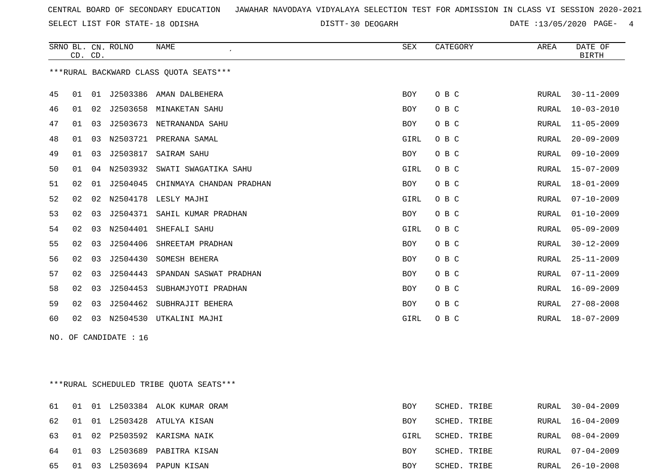SELECT LIST FOR STATE- DISTT- 18 ODISHA

DISTT-30 DEOGARH DATE :13/05/2020 PAGE- 4

|    | CD. CD. |    | SRNO BL. CN. ROLNO | NAME                                   | <b>SEX</b>  | CATEGORY | AREA          | DATE OF<br><b>BIRTH</b> |
|----|---------|----|--------------------|----------------------------------------|-------------|----------|---------------|-------------------------|
|    |         |    |                    | ***RURAL BACKWARD CLASS OUOTA SEATS*** |             |          |               |                         |
| 45 | 01      | 01 |                    | J2503386 AMAN DALBEHERA                | <b>BOY</b>  | O B C    | RURAL         | $30 - 11 - 2009$        |
| 46 | 01      | 02 | J2503658           | MINAKETAN SAHU                         | BOY         | O B C    | RURAL         | $10 - 03 - 2010$        |
| 47 | 01      | 03 | J2503673           | NETRANANDA SAHU                        | <b>BOY</b>  | O B C    | RURAL         | $11 - 05 - 2009$        |
| 48 | 01      | 03 | N2503721           | PRERANA SAMAL                          | GIRL        | O B C    | RURAL         | $20 - 09 - 2009$        |
| 49 | 01      | 03 | J2503817           | <b>SAIRAM SAHU</b>                     | <b>BOY</b>  | O B C    | RURAL         | $09 - 10 - 2009$        |
| 50 | 01      | 04 | N2503932           | SWATI SWAGATIKA SAHU                   | GIRL        | O B C    | RURAL         | $15 - 07 - 2009$        |
| 51 | 02      | 01 | J2504045           | CHINMAYA CHANDAN PRADHAN               | <b>BOY</b>  | O B C    | RURAL         | $18 - 01 - 2009$        |
| 52 | 02      | 02 | N2504178           | LESLY MAJHI                            | GIRL        | O B C    | RURAL         | $07 - 10 - 2009$        |
| 53 | 02      | 03 | J2504371           | SAHIL KUMAR PRADHAN                    | <b>BOY</b>  | O B C    | RURAL         | $01 - 10 - 2009$        |
| 54 | 02      | 03 | N2504401           | SHEFALI SAHU                           | GIRL        | O B C    | RURAL         | $05 - 09 - 2009$        |
| 55 | 02      | 03 | J2504406           | SHREETAM PRADHAN                       | <b>BOY</b>  | O B C    | RURAL         | $30 - 12 - 2009$        |
| 56 | 02      | 03 | J2504430           | SOMESH BEHERA                          | <b>BOY</b>  | O B C    | ${\tt RURAL}$ | $25 - 11 - 2009$        |
| 57 | 02      | 03 | J2504443           | SPANDAN SASWAT PRADHAN                 | <b>BOY</b>  | O B C    | RURAL         | $07 - 11 - 2009$        |
| 58 | 02      | 03 | J2504453           | SUBHAMJYOTI PRADHAN                    | BOY         | O B C    | RURAL         | $16 - 09 - 2009$        |
| 59 | 02      | 03 | J2504462           | SUBHRAJIT BEHERA                       | <b>BOY</b>  | O B C    | RURAL         | $27 - 08 - 2008$        |
| 60 | 02      | 03 | N2504530           | UTKALINI MAJHI                         | <b>GIRL</b> | O B C    | RURAL         | $18 - 07 - 2009$        |
|    |         |    |                    |                                        |             |          |               |                         |

NO. OF CANDIDATE : 16

\*\*\*RURAL SCHEDULED TRIBE QUOTA SEATS\*\*\*

|       |  | 61 01 01 L2503384 ALOK KUMAR ORAM | BOY        | SCHED. TRIBE |       | RURAL 30-04-2009 |
|-------|--|-----------------------------------|------------|--------------|-------|------------------|
|       |  | 62 01 01 L2503428 ATULYA KISAN    | BOY        | SCHED. TRIBE |       | RURAL 16-04-2009 |
|       |  | 63 01 02 P2503592 KARISMA NAIK    | GIRL       | SCHED. TRIBE |       | RURAL 08-04-2009 |
|       |  | 64 01 03 L2503689 PABITRA KISAN   | <b>BOY</b> | SCHED. TRIBE |       | RURAL 07-04-2009 |
| 65 01 |  | 03 L2503694 PAPUN KISAN           | BOY        | SCHED. TRIBE | RURAL | 26-10-2008       |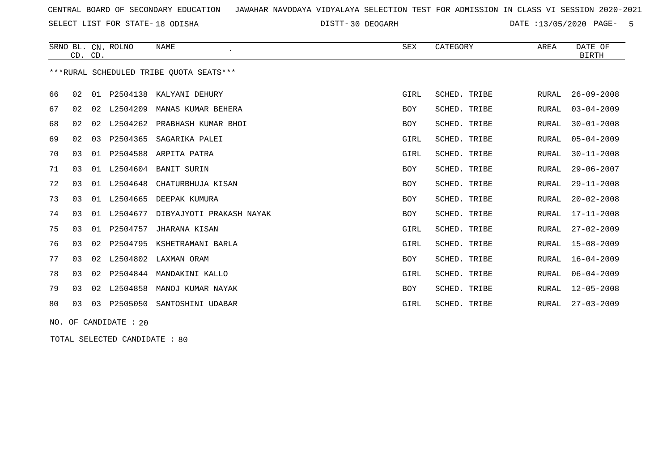SELECT LIST FOR STATE- DISTT- 18 ODISHA

DISTT-30 DEOGARH DATE :13/05/2020 PAGE- 5

|    | CD. CD. |    | SRNO BL. CN. ROLNO | <b>NAME</b>                             | <b>SEX</b> | CATEGORY     | AREA  | DATE OF<br><b>BIRTH</b> |
|----|---------|----|--------------------|-----------------------------------------|------------|--------------|-------|-------------------------|
|    |         |    |                    | ***RURAL SCHEDULED TRIBE OUOTA SEATS*** |            |              |       |                         |
| 66 | 02      | 01 | P2504138           | KALYANI DEHURY                          | GIRL       | SCHED. TRIBE | RURAL | $26 - 09 - 2008$        |
| 67 | 02      | 02 | L2504209           | MANAS KUMAR BEHERA                      | <b>BOY</b> | SCHED. TRIBE | RURAL | $03 - 04 - 2009$        |
| 68 | 02      | 02 | L2504262           | PRABHASH KUMAR BHOI                     | <b>BOY</b> | SCHED. TRIBE | RURAL | $30 - 01 - 2008$        |
| 69 | 02      | 03 | P2504365           | SAGARIKA PALEI                          | GIRL       | SCHED. TRIBE | RURAL | $05 - 04 - 2009$        |
| 70 | 03      | 01 | P2504588           | ARPITA PATRA                            | GIRL       | SCHED. TRIBE | RURAL | $30 - 11 - 2008$        |
| 71 | 03      | 01 | L2504604           | <b>BANIT SURIN</b>                      | <b>BOY</b> | SCHED. TRIBE | RURAL | $29 - 06 - 2007$        |
| 72 | 03      | 01 | L2504648           | CHATURBHUJA KISAN                       | <b>BOY</b> | SCHED. TRIBE | RURAL | $29 - 11 - 2008$        |
| 73 | 03      | 01 | L2504665           | DEEPAK KUMURA                           | BOY        | SCHED. TRIBE | RURAL | $20 - 02 - 2008$        |
| 74 | 03      | 01 | L2504677           | DIBYAJYOTI PRAKASH NAYAK                | <b>BOY</b> | SCHED. TRIBE | RURAL | $17 - 11 - 2008$        |
| 75 | 03      | 01 | P2504757           | JHARANA KISAN                           | GIRL       | SCHED. TRIBE | RURAL | $27 - 02 - 2009$        |
| 76 | 03      | 02 | P2504795           | KSHETRAMANI BARLA                       | GIRL       | SCHED. TRIBE | RURAL | $15 - 08 - 2009$        |
| 77 | 03      | 02 | L2504802           | LAXMAN ORAM                             | <b>BOY</b> | SCHED. TRIBE | RURAL | $16 - 04 - 2009$        |
| 78 | 03      | 02 | P2504844           | MANDAKINI KALLO                         | GIRL       | SCHED. TRIBE | RURAL | $06 - 04 - 2009$        |
| 79 | 03      | 02 | L2504858           | MANOJ KUMAR NAYAK                       | <b>BOY</b> | SCHED. TRIBE | RURAL | $12 - 05 - 2008$        |
| 80 | 03      | 03 | P2505050           | SANTOSHINI UDABAR                       | GIRL       | SCHED. TRIBE | RURAL | $27 - 03 - 2009$        |

NO. OF CANDIDATE : 20

TOTAL SELECTED CANDIDATE : 80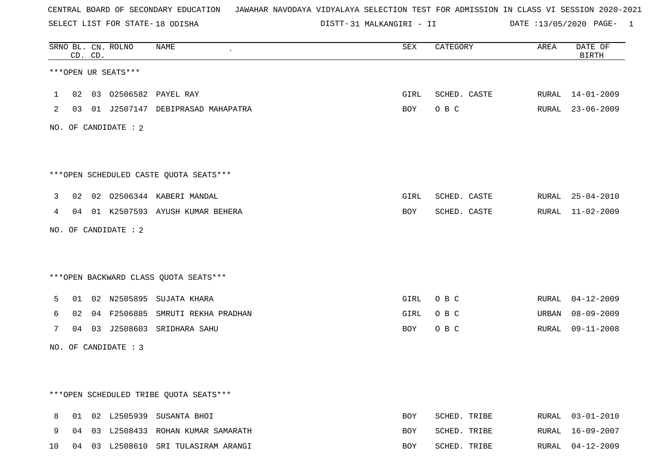SELECT LIST FOR STATE- DISTT- 18 ODISHA

31 MALKANGIRI - II DATE :13/05/2020 PAGE- 1

|              |                 | CD. CD. | SRNO BL. CN. ROLNO   | NAME                                   | ${\tt SEX}$ | CATEGORY     | AREA  | DATE OF<br>BIRTH |
|--------------|-----------------|---------|----------------------|----------------------------------------|-------------|--------------|-------|------------------|
|              |                 |         | ***OPEN UR SEATS***  |                                        |             |              |       |                  |
| $\mathbf{1}$ |                 |         |                      | 02 03 02506582 PAYEL RAY               | GIRL        | SCHED. CASTE |       | RURAL 14-01-2009 |
| 2            |                 |         |                      | 03 01 J2507147 DEBIPRASAD MAHAPATRA    | BOY         | O B C        |       | RURAL 23-06-2009 |
|              |                 |         | NO. OF CANDIDATE : 2 |                                        |             |              |       |                  |
|              |                 |         |                      | ***OPEN SCHEDULED CASTE QUOTA SEATS*** |             |              |       |                  |
| 3            |                 |         |                      | 02 02 02506344 KABERI MANDAL           | GIRL        | SCHED. CASTE |       | RURAL 25-04-2010 |
| 4            |                 |         |                      | 04 01 K2507593 AYUSH KUMAR BEHERA      | BOY         | SCHED. CASTE |       | RURAL 11-02-2009 |
|              |                 |         | NO. OF CANDIDATE : 2 |                                        |             |              |       |                  |
|              |                 |         |                      | *** OPEN BACKWARD CLASS QUOTA SEATS*** |             |              |       |                  |
| 5            |                 |         |                      | 01 02 N2505895 SUJATA KHARA            | GIRL        | O B C        |       | RURAL 04-12-2009 |
| 6            | 02 <sub>o</sub> |         |                      | 04 F2506885 SMRUTI REKHA PRADHAN       | GIRL        | O B C        | URBAN | $08 - 09 - 2009$ |
| 7            |                 |         |                      | 04 03 J2508603 SRIDHARA SAHU           | BOY         | O B C        | RURAL | 09-11-2008       |
|              |                 |         | NO. OF CANDIDATE : 3 |                                        |             |              |       |                  |
|              |                 |         |                      |                                        |             |              |       |                  |
|              |                 |         |                      | ***OPEN SCHEDULED TRIBE QUOTA SEATS*** |             |              |       |                  |
| 8            |                 |         |                      | 01 02 L2505939 SUSANTA BHOI            | <b>BOY</b>  | SCHED. TRIBE |       | RURAL 03-01-2010 |
| 9            | 04              |         |                      | 03 L2508433 ROHAN KUMAR SAMARATH       | BOY         | SCHED. TRIBE | RURAL | 16-09-2007       |
| 10           |                 |         |                      | 04 03 L2508610 SRI TULASIRAM ARANGI    | <b>BOY</b>  | SCHED. TRIBE |       | RURAL 04-12-2009 |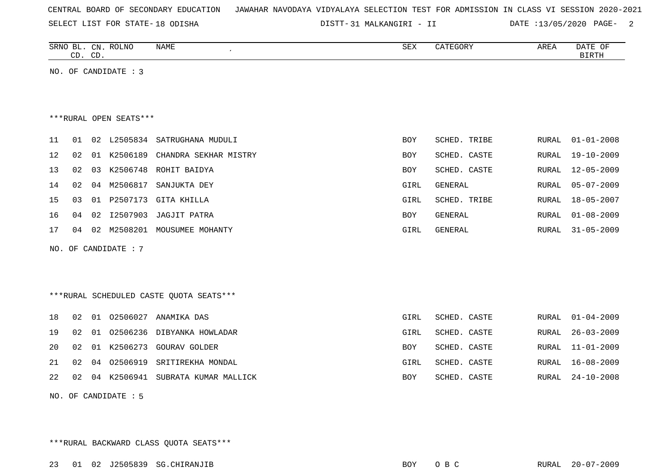|  |  |  |  |  | CENTRAL BOARD OF SECONDARY EDUCATION – JAWAHAR NAVODAYA VIDYALAYA SELECTION TEST FOR ADMISSION IN CLASS VI SESSION 2020-2021 |  |  |  |  |  |  |  |  |  |  |  |  |  |
|--|--|--|--|--|------------------------------------------------------------------------------------------------------------------------------|--|--|--|--|--|--|--|--|--|--|--|--|--|
|--|--|--|--|--|------------------------------------------------------------------------------------------------------------------------------|--|--|--|--|--|--|--|--|--|--|--|--|--|

SELECT LIST FOR STATE- DISTT- 18 ODISHA

31 MALKANGIRI - II DATE :13/05/2020 PAGE- 2

|    | CD. CD. |    | SRNO BL. CN. ROLNO     | NAME                                     | SEX        | CATEGORY       | AREA         | DATE OF<br><b>BIRTH</b> |
|----|---------|----|------------------------|------------------------------------------|------------|----------------|--------------|-------------------------|
|    |         |    | NO. OF CANDIDATE : 3   |                                          |            |                |              |                         |
|    |         |    |                        |                                          |            |                |              |                         |
|    |         |    |                        |                                          |            |                |              |                         |
|    |         |    | ***RURAL OPEN SEATS*** |                                          |            |                |              |                         |
| 11 | 01      |    |                        | 02 L2505834 SATRUGHANA MUDULI            | BOY        | SCHED. TRIBE   | RURAL        | $01 - 01 - 2008$        |
| 12 | 02      | 01 |                        | K2506189 CHANDRA SEKHAR MISTRY           | BOY        | SCHED. CASTE   | RURAL        | $19 - 10 - 2009$        |
| 13 | 02      | 03 |                        | K2506748 ROHIT BAIDYA                    | BOY        | SCHED. CASTE   | RURAL        | $12 - 05 - 2009$        |
| 14 | 02      | 04 | M2506817               | SANJUKTA DEY                             | GIRL       | GENERAL        | RURAL        | $05 - 07 - 2009$        |
| 15 | 03      |    |                        | 01 P2507173 GITA KHILLA                  | GIRL       | SCHED. TRIBE   | RURAL        | 18-05-2007              |
| 16 | 04      | 02 | I2507903               | JAGJIT PATRA                             | <b>BOY</b> | <b>GENERAL</b> | <b>RURAL</b> | $01 - 08 - 2009$        |
| 17 | 04      |    |                        | 02 M2508201 MOUSUMEE MOHANTY             | GIRL       | GENERAL        | RURAL        | $31 - 05 - 2009$        |
|    |         |    | NO. OF CANDIDATE : 7   |                                          |            |                |              |                         |
|    |         |    |                        |                                          |            |                |              |                         |
|    |         |    |                        |                                          |            |                |              |                         |
|    |         |    |                        | *** RURAL SCHEDULED CASTE QUOTA SEATS*** |            |                |              |                         |
|    |         |    |                        |                                          |            |                |              |                         |
| 18 | 02      |    |                        | 01 02506027 ANAMIKA DAS                  | GIRL       | SCHED. CASTE   | RURAL        | $01 - 04 - 2009$        |
| 19 | 02      | 01 |                        | 02506236 DIBYANKA HOWLADAR               | GIRL       | SCHED. CASTE   | RURAL        | $26 - 03 - 2009$        |
| 20 | 02      | 01 | K2506273               | <b>GOURAV GOLDER</b>                     | BOY        | SCHED. CASTE   | RURAL        | $11 - 01 - 2009$        |
| 21 | 02      | 04 |                        | 02506919 SRITIREKHA MONDAL               | GIRL       | SCHED. CASTE   | <b>RURAL</b> | $16 - 08 - 2009$        |
| 22 | 02      |    |                        | 04 K2506941 SUBRATA KUMAR MALLICK        | BOY        | SCHED. CASTE   | RURAL        | $24 - 10 - 2008$        |
|    |         |    | NO. OF CANDIDATE : 5   |                                          |            |                |              |                         |

\*\*\*RURAL BACKWARD CLASS QUOTA SEATS\*\*\*

23 01 02 J2505839 SG.CHIRANJIB BOY O B C RURAL 20-07-2009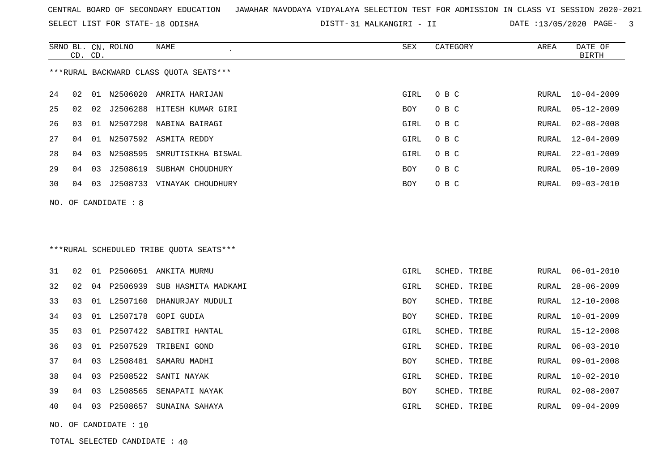SELECT LIST FOR STATE- DISTT- 18 ODISHA

31 MALKANGIRI - II DATE :13/05/2020 PAGE- 3

|    |    | CD. CD. | SRNO BL. CN. ROLNO    | <b>NAME</b>                             | SEX        | CATEGORY     | AREA         | DATE OF<br><b>BIRTH</b> |
|----|----|---------|-----------------------|-----------------------------------------|------------|--------------|--------------|-------------------------|
|    |    |         |                       | ***RURAL BACKWARD CLASS OUOTA SEATS***  |            |              |              |                         |
| 24 | 02 |         |                       | 01 N2506020 AMRITA HARIJAN              | GIRL       | O B C        | RURAL        | $10 - 04 - 2009$        |
| 25 | 02 | 02      |                       | J2506288 HITESH KUMAR GIRI              | BOY        | O B C        | RURAL        | $05 - 12 - 2009$        |
| 26 | 03 |         |                       | 01 N2507298 NABINA BAIRAGI              | GIRL       | O B C        | RURAL        | $02 - 08 - 2008$        |
| 27 | 04 |         |                       | 01 N2507592 ASMITA REDDY                | GIRL       | O B C        | RURAL        | $12 - 04 - 2009$        |
| 28 | 04 | 03      |                       | N2508595 SMRUTISIKHA BISWAL             | GIRL       | O B C        | RURAL        | $22 - 01 - 2009$        |
| 29 | 04 | 03      | J2508619              | SUBHAM CHOUDHURY                        | BOY        | O B C        | RURAL        | $05 - 10 - 2009$        |
| 30 | 04 |         |                       | 03 J2508733 VINAYAK CHOUDHURY           | BOY        | O B C        | RURAL        | $09 - 03 - 2010$        |
|    |    |         | NO. OF CANDIDATE : 8  |                                         |            |              |              |                         |
|    |    |         |                       |                                         |            |              |              |                         |
|    |    |         |                       |                                         |            |              |              |                         |
|    |    |         |                       | ***RURAL SCHEDULED TRIBE QUOTA SEATS*** |            |              |              |                         |
| 31 | 02 |         |                       | 01 P2506051 ANKITA MURMU                | GIRL       | SCHED. TRIBE | RURAL        | $06 - 01 - 2010$        |
| 32 | 02 |         | 04 P2506939           | SUB HASMITA MADKAMI                     | GIRL       | SCHED. TRIBE | RURAL        | $28 - 06 - 2009$        |
| 33 | 03 |         | 01 L2507160           | DHANURJAY MUDULI                        | <b>BOY</b> | SCHED. TRIBE | RURAL        | $12 - 10 - 2008$        |
| 34 | 03 |         | 01 L2507178           | GOPI GUDIA                              | BOY        | SCHED. TRIBE | RURAL        | $10 - 01 - 2009$        |
| 35 | 03 |         |                       | 01 P2507422 SABITRI HANTAL              | GIRL       | SCHED. TRIBE | RURAL        | 15-12-2008              |
| 36 | 03 |         | 01 P2507529           | TRIBENI GOND                            | GIRL       | SCHED. TRIBE | RURAL        | $06 - 03 - 2010$        |
| 37 | 04 |         |                       | 03 L2508481 SAMARU MADHI                | <b>BOY</b> | SCHED. TRIBE | RURAL        | $09 - 01 - 2008$        |
| 38 | 04 |         |                       | 03 P2508522 SANTI NAYAK                 | GIRL       | SCHED. TRIBE | <b>RURAL</b> | $10 - 02 - 2010$        |
| 39 | 04 |         |                       | 03 L2508565 SENAPATI NAYAK              | BOY        | SCHED. TRIBE | RURAL        | $02 - 08 - 2007$        |
| 40 | 04 |         |                       | 03 P2508657 SUNAINA SAHAYA              | GIRL       | SCHED. TRIBE | RURAL        | $09 - 04 - 2009$        |
|    |    |         | NO. OF CANDIDATE : 10 |                                         |            |              |              |                         |

TOTAL SELECTED CANDIDATE : 40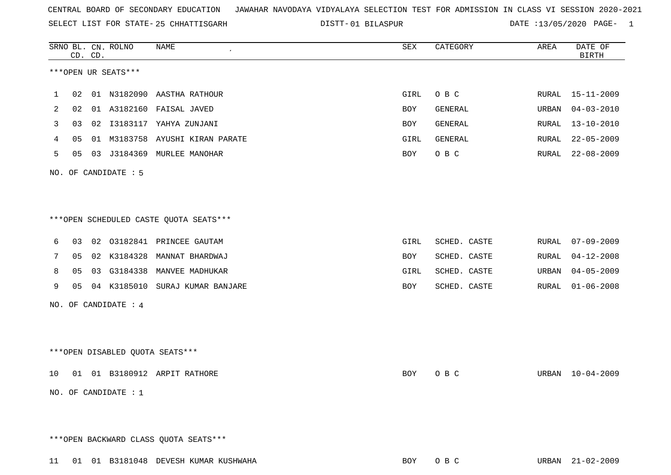| 2  | 02 |                        | 01 A3182160 FAISAL JAVED                | BOY        | GENERAL        | URBAN 04-03-2010 |
|----|----|------------------------|-----------------------------------------|------------|----------------|------------------|
| 3  | 03 |                        | 02 I3183117 YAHYA ZUNJANI               | <b>BOY</b> | <b>GENERAL</b> | RURAL 13-10-2010 |
| 4  | 05 |                        | 01 M3183758 AYUSHI KIRAN PARATE         | GIRL       | GENERAL        | RURAL 22-05-2009 |
| 5  |    |                        | 05 03 J3184369 MURLEE MANOHAR           | <b>BOY</b> | O B C          | RURAL 22-08-2009 |
|    |    | NO. OF CANDIDATE : 5   |                                         |            |                |                  |
|    |    |                        |                                         |            |                |                  |
|    |    |                        |                                         |            |                |                  |
|    |    |                        | ***OPEN SCHEDULED CASTE QUOTA SEATS***  |            |                |                  |
| 6  | 03 |                        | 02 03182841 PRINCEE GAUTAM              | GIRL       | SCHED. CASTE   | RURAL 07-09-2009 |
| 7  |    |                        | 05 02 K3184328 MANNAT BHARDWAJ          | BOY        | SCHED. CASTE   | RURAL 04-12-2008 |
| 8  | 05 |                        | 03 G3184338 MANVEE MADHUKAR             | GIRL       | SCHED. CASTE   | URBAN 04-05-2009 |
| 9  |    |                        | 05 04 K3185010 SURAJ KUMAR BANJARE      | BOY        | SCHED. CASTE   | RURAL 01-06-2008 |
|    |    | NO. OF CANDIDATE : 4   |                                         |            |                |                  |
|    |    |                        |                                         |            |                |                  |
|    |    |                        |                                         |            |                |                  |
|    |    |                        | ***OPEN DISABLED QUOTA SEATS***         |            |                |                  |
| 10 |    |                        | 01 01 B3180912 ARPIT RATHORE            | BOY        | O B C          | URBAN 10-04-2009 |
|    |    | NO. OF CANDIDATE : $1$ |                                         |            |                |                  |
|    |    |                        |                                         |            |                |                  |
|    |    |                        |                                         |            |                |                  |
|    |    |                        | *** OPEN BACKWARD CLASS QUOTA SEATS***  |            |                |                  |
|    |    |                        | 11 01 01 B3181048 DEVESH KUMAR KUSHWAHA | BOY        | O B C          | URBAN 21-02-2009 |
|    |    |                        |                                         |            |                |                  |

SELECT LIST FOR STATE- DISTT- 25 CHHATTISGARH

SRNO BL. CN.

CD. CD.

\*\*\*OPEN UR SEATS\*\*\*

ROLNO NAME SEX CATEGORY AREA DATE OF

BIRTH

1 02 01 N3182090 AASTHA RATHOUR GIRL O B C RURAL 15-11-2009

01 BILASPUR DATE :13/05/2020 PAGE- 1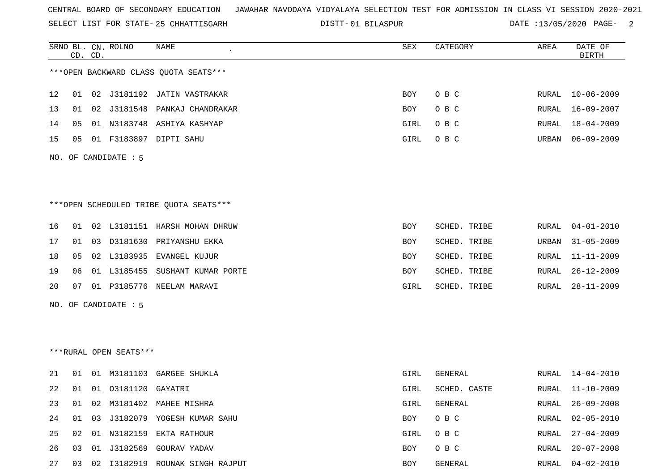SELECT LIST FOR STATE- DISTT- 25 CHHATTISGARH

01 BILASPUR DATE :13/05/2020 PAGE- 2

RURAL 20-07-2008

|    |    | CD. CD. | SRNO BL. CN. ROLNO     | <b>NAME</b>                            | SEX        | CATEGORY     | AREA         | DATE OF<br><b>BIRTH</b> |
|----|----|---------|------------------------|----------------------------------------|------------|--------------|--------------|-------------------------|
|    |    |         |                        | *** OPEN BACKWARD CLASS QUOTA SEATS*** |            |              |              |                         |
| 12 | 01 |         |                        | 02 J3181192 JATIN VASTRAKAR            | <b>BOY</b> | O B C        | RURAL        | $10 - 06 - 2009$        |
| 13 | 01 |         |                        | 02 J3181548 PANKAJ CHANDRAKAR          | BOY        | O B C        | RURAL        | $16 - 09 - 2007$        |
| 14 | 05 |         |                        | 01 N3183748 ASHIYA KASHYAP             | GIRL       | O B C        | RURAL        | $18 - 04 - 2009$        |
| 15 | 05 |         |                        | 01 F3183897 DIPTI SAHU                 | GIRL       | O B C        | URBAN        | $06 - 09 - 2009$        |
|    |    |         | NO. OF CANDIDATE : 5   |                                        |            |              |              |                         |
|    |    |         |                        |                                        |            |              |              |                         |
|    |    |         |                        |                                        |            |              |              |                         |
|    |    |         |                        | ***OPEN SCHEDULED TRIBE QUOTA SEATS*** |            |              |              |                         |
| 16 | 01 |         |                        | 02 L3181151 HARSH MOHAN DHRUW          | BOY        | SCHED. TRIBE | RURAL        | $04 - 01 - 2010$        |
| 17 | 01 |         |                        | 03 D3181630 PRIYANSHU EKKA             | BOY        | SCHED. TRIBE | URBAN        | $31 - 05 - 2009$        |
| 18 | 05 |         |                        | 02 L3183935 EVANGEL KUJUR              | BOY        | SCHED. TRIBE | RURAL        | $11 - 11 - 2009$        |
| 19 | 06 |         |                        | 01 L3185455 SUSHANT KUMAR PORTE        | BOY        | SCHED. TRIBE | RURAL        | $26 - 12 - 2009$        |
| 20 | 07 |         |                        | 01 P3185776 NEELAM MARAVI              | GIRL       | SCHED. TRIBE | RURAL        | $28 - 11 - 2009$        |
|    |    |         | NO. OF CANDIDATE : 5   |                                        |            |              |              |                         |
|    |    |         |                        |                                        |            |              |              |                         |
|    |    |         |                        |                                        |            |              |              |                         |
|    |    |         | ***RURAL OPEN SEATS*** |                                        |            |              |              |                         |
| 21 | 01 |         |                        | 01 M3181103 GARGEE SHUKLA              | GIRL       | GENERAL      | RURAL        | $14 - 04 - 2010$        |
| 22 | 01 |         | 01 03181120            | GAYATRI                                | GIRL       | SCHED. CASTE | RURAL        | $11 - 10 - 2009$        |
| 23 | 01 |         |                        | 02 M3181402 MAHEE MISHRA               | GIRL       | GENERAL      | <b>RURAL</b> | $26 - 09 - 2008$        |

24 01 03 J3182079 YOGESH KUMAR SAHU BOY O B C RURAL 02-05-2010

25 02 01 N3182159 EKTA RATHOUR GIRL O B C RURAL 27-04-2009

26 03 01 J3182569 GOURAV YADAV BOY O B C

27 03 02 I3182919 ROUNAK SINGH RAJPUT BOY GENERAL RURAL 04-02-2010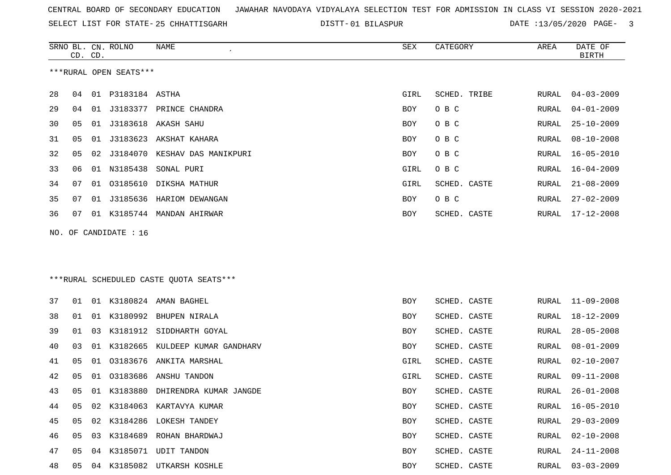SELECT LIST FOR STATE- DISTT- 25 CHHATTISGARH

01 BILASPUR DATE :13/05/2020 PAGE- 3

|    | CD. CD. |    | SRNO BL. CN. ROLNO     | NAME                                    | SEX        | CATEGORY     | AREA  | DATE OF<br><b>BIRTH</b> |
|----|---------|----|------------------------|-----------------------------------------|------------|--------------|-------|-------------------------|
|    |         |    | ***RURAL OPEN SEATS*** |                                         |            |              |       |                         |
| 28 | 04      |    | 01 P3183184 ASTHA      |                                         | GIRL       | SCHED. TRIBE | RURAL | $04 - 03 - 2009$        |
| 29 | 04      |    |                        | 01 J3183377 PRINCE CHANDRA              | BOY        | O B C        | RURAL | $04 - 01 - 2009$        |
| 30 | 05      | 01 | J3183618               | AKASH SAHU                              | BOY        | овс          | RURAL | $25 - 10 - 2009$        |
| 31 | 05      | 01 | J3183623               | AKSHAT KAHARA                           | BOY        | O B C        | RURAL | $08 - 10 - 2008$        |
| 32 | 05      | 02 | J3184070               | KESHAV DAS MANIKPURI                    | BOY        | O B C        | RURAL | $16 - 05 - 2010$        |
| 33 | 06      | 01 | N3185438               | SONAL PURI                              | GIRL       | O B C        | RURAL | $16 - 04 - 2009$        |
| 34 | 07      | 01 | 03185610               | DIKSHA MATHUR                           | GIRL       | SCHED. CASTE | RURAL | $21 - 08 - 2009$        |
| 35 | 07      | 01 | J3185636               | HARIOM DEWANGAN                         | BOY        | O B C        | RURAL | $27 - 02 - 2009$        |
| 36 | 07      |    |                        | 01 K3185744 MANDAN AHIRWAR              | BOY        | SCHED. CASTE | RURAL | $17 - 12 - 2008$        |
|    |         |    | NO. OF CANDIDATE : 16  |                                         |            |              |       |                         |
|    |         |    |                        |                                         |            |              |       |                         |
|    |         |    |                        |                                         |            |              |       |                         |
|    |         |    |                        | ***RURAL SCHEDULED CASTE QUOTA SEATS*** |            |              |       |                         |
| 37 | 01      |    |                        | 01 K3180824 AMAN BAGHEL                 | BOY        | SCHED. CASTE | RURAL | $11 - 09 - 2008$        |
| 38 | 01      | 01 | K3180992               | BHUPEN NIRALA                           | BOY        | SCHED. CASTE | RURAL | $18 - 12 - 2009$        |
| 39 | 01      | 03 | K3181912               | SIDDHARTH GOYAL                         | BOY        | SCHED. CASTE | RURAL | $28 - 05 - 2008$        |
| 40 | 03      | 01 |                        | K3182665 KULDEEP KUMAR GANDHARV         | BOY        | SCHED. CASTE | RURAL | $08 - 01 - 2009$        |
| 41 | 05      | 01 | 03183676               | ANKITA MARSHAL                          | GIRL       | SCHED. CASTE | RURAL | $02 - 10 - 2007$        |
| 42 | 05      | 01 |                        | 03183686 ANSHU TANDON                   | GIRL       | SCHED. CASTE | RURAL | $09 - 11 - 2008$        |
| 43 | 05      |    | 01 K3183880            | DHIRENDRA KUMAR JANGDE                  | BOY        | SCHED. CASTE | RURAL | $26 - 01 - 2008$        |
| 44 | 05      | 02 |                        | K3184063 KARTAVYA KUMAR                 | BOY        | SCHED. CASTE | RURAL | $16 - 05 - 2010$        |
| 45 | 05      |    |                        | 02 K3184286 LOKESH TANDEY               | <b>BOY</b> | SCHED. CASTE | RURAL | $29 - 03 - 2009$        |
| 46 | 05      | 03 |                        | K3184689 ROHAN BHARDWAJ                 | BOY        | SCHED. CASTE | RURAL | $02 - 10 - 2008$        |
| 47 | 05      |    |                        | 04 K3185071 UDIT TANDON                 | BOY        | SCHED. CASTE | RURAL | $24 - 11 - 2008$        |
| 48 | 05      |    |                        | 04 K3185082 UTKARSH KOSHLE              | BOY        | SCHED. CASTE |       | RURAL 03-03-2009        |
|    |         |    |                        |                                         |            |              |       |                         |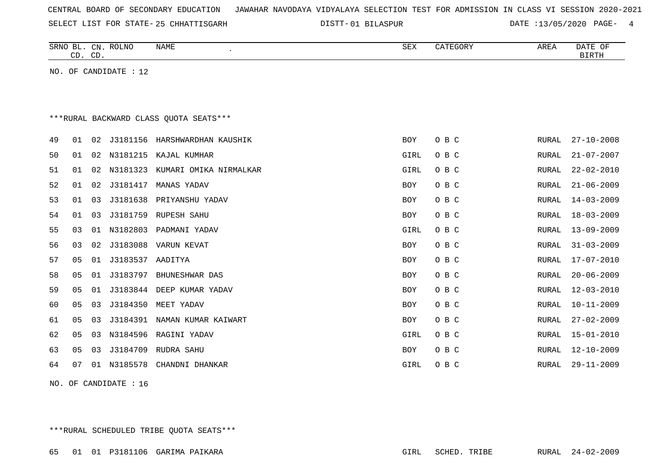SELECT LIST FOR STATE- DISTT- 25 CHHATTISGARH

01 BILASPUR DATE :13/05/2020 PAGE- 4

|    | CD. CD. |    | SRNO BL. CN. ROLNO    | NAME                                   | SEX        | CATEGORY | AREA         | DATE OF<br><b>BIRTH</b> |
|----|---------|----|-----------------------|----------------------------------------|------------|----------|--------------|-------------------------|
|    |         |    | NO. OF CANDIDATE : 12 |                                        |            |          |              |                         |
|    |         |    |                       |                                        |            |          |              |                         |
|    |         |    |                       |                                        |            |          |              |                         |
|    |         |    |                       | ***RURAL BACKWARD CLASS QUOTA SEATS*** |            |          |              |                         |
| 49 | 01      | 02 | J3181156              | HARSHWARDHAN KAUSHIK                   | <b>BOY</b> | O B C    | <b>RURAL</b> | $27 - 10 - 2008$        |
| 50 | 01      | 02 | N3181215              | KAJAL KUMHAR                           | GIRL       | O B C    | RURAL        | $21 - 07 - 2007$        |
| 51 | 01      | 02 | N3181323              | KUMARI OMIKA NIRMALKAR                 | GIRL       | O B C    | <b>RURAL</b> | $22 - 02 - 2010$        |
| 52 | 01      | 02 | J3181417              | MANAS YADAV                            | BOY        | O B C    | RURAL        | $21 - 06 - 2009$        |
| 53 | 01      | 03 | J3181638              | PRIYANSHU YADAV                        | BOY        | O B C    | RURAL        | $14 - 03 - 2009$        |
| 54 | 01      | 03 | J3181759              | <b>RUPESH SAHU</b>                     | BOY        | O B C    | RURAL        | $18 - 03 - 2009$        |
| 55 | 03      | 01 | N3182803              | PADMANI YADAV                          | GIRL       | O B C    | RURAL        | $13 - 09 - 2009$        |
| 56 | 03      | 02 | J3183088              | VARUN KEVAT                            | BOY        | O B C    | RURAL        | $31 - 03 - 2009$        |
| 57 | 05      | 01 | J3183537              | AADITYA                                | <b>BOY</b> | O B C    | RURAL        | $17 - 07 - 2010$        |
| 58 | 05      | 01 | J3183797              | BHUNESHWAR DAS                         | <b>BOY</b> | O B C    | RURAL        | $20 - 06 - 2009$        |
| 59 | 05      | 01 |                       | J3183844 DEEP KUMAR YADAV              | <b>BOY</b> | O B C    | RURAL        | $12 - 03 - 2010$        |
| 60 | 05      | 03 | J3184350              | MEET YADAV                             | <b>BOY</b> | O B C    | <b>RURAL</b> | $10 - 11 - 2009$        |
| 61 | 05      | 03 | J3184391              | NAMAN KUMAR KAIWART                    | BOY        | O B C    | RURAL        | $27 - 02 - 2009$        |
| 62 | 05      | 03 | N3184596              | RAGINI YADAV                           | GIRL       | O B C    | RURAL        | $15 - 01 - 2010$        |
| 63 | 05      | 03 | J3184709              | RUDRA SAHU                             | BOY        | O B C    | RURAL        | $12 - 10 - 2009$        |
| 64 | 07      | 01 | N3185578              | CHANDNI DHANKAR                        | GIRL       | O B C    | <b>RURAL</b> | $29 - 11 - 2009$        |
|    |         |    |                       |                                        |            |          |              |                         |

NO. OF CANDIDATE : 16

\*\*\*RURAL SCHEDULED TRIBE QUOTA SEATS\*\*\*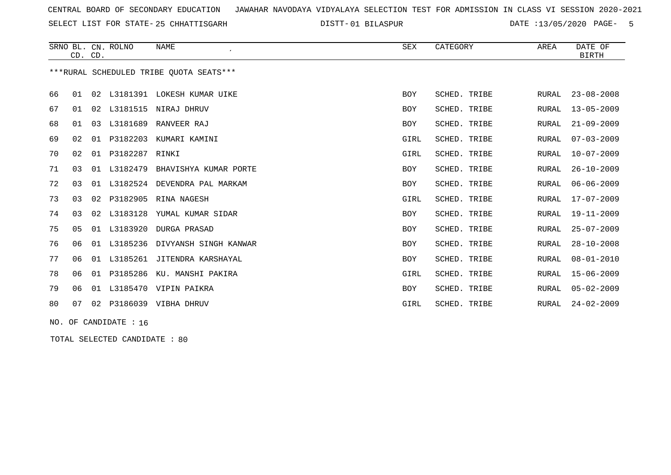SELECT LIST FOR STATE- DISTT- 25 CHHATTISGARH

01 BILASPUR DATE :13/05/2020 PAGE- 5

|                                         | CD. CD.        |    | SRNO BL. CN. ROLNO | <b>NAME</b>                    | SEX        | CATEGORY     | AREA         | DATE OF<br><b>BIRTH</b> |  |  |  |
|-----------------------------------------|----------------|----|--------------------|--------------------------------|------------|--------------|--------------|-------------------------|--|--|--|
| ***RURAL SCHEDULED TRIBE OUOTA SEATS*** |                |    |                    |                                |            |              |              |                         |  |  |  |
| 66                                      | 01             | 02 |                    | L3181391 LOKESH KUMAR UIKE     | <b>BOY</b> | SCHED. TRIBE | RURAL        | $23 - 08 - 2008$        |  |  |  |
| 67                                      | 01             | 02 | L3181515           | NIRAJ DHRUV                    | <b>BOY</b> | SCHED. TRIBE | RURAL        | $13 - 05 - 2009$        |  |  |  |
| 68                                      | 01             | 03 | L3181689           | RANVEER RAJ                    | BOY        | SCHED. TRIBE | RURAL        | $21 - 09 - 2009$        |  |  |  |
| 69                                      | 02             | 01 | P3182203           | KUMARI KAMINI                  | GIRL       | SCHED. TRIBE | RURAL        | $07 - 03 - 2009$        |  |  |  |
| 70                                      | 02             | 01 | P3182287           | RINKI                          | GIRL       | SCHED. TRIBE | RURAL        | $10 - 07 - 2009$        |  |  |  |
| 71                                      | 03             | 01 | L3182479           | BHAVISHYA KUMAR PORTE          | <b>BOY</b> | SCHED. TRIBE | RURAL        | $26 - 10 - 2009$        |  |  |  |
| 72                                      | 03             |    | 01 L3182524        | DEVENDRA PAL MARKAM            | BOY        | SCHED. TRIBE | RURAL        | $06 - 06 - 2009$        |  |  |  |
| 73                                      | 03             | 02 | P3182905           | RINA NAGESH                    | GIRL       | SCHED. TRIBE | RURAL        | $17 - 07 - 2009$        |  |  |  |
| 74                                      | 03             |    |                    | 02 L3183128 YUMAL KUMAR SIDAR  | <b>BOY</b> | SCHED. TRIBE | RURAL        | $19 - 11 - 2009$        |  |  |  |
| 75                                      | 0 <sub>5</sub> |    | 01 L3183920        | DURGA PRASAD                   | BOY        | SCHED. TRIBE | RURAL        | $25 - 07 - 2009$        |  |  |  |
| 76                                      | 06             |    | 01 L3185236        | DIVYANSH SINGH KANWAR          | BOY        | SCHED. TRIBE | RURAL        | $28 - 10 - 2008$        |  |  |  |
| 77                                      | 06             |    |                    | 01 L3185261 JITENDRA KARSHAYAL | BOY        | SCHED. TRIBE | <b>RURAL</b> | $08 - 01 - 2010$        |  |  |  |
| 78                                      | 06             | 01 | P3185286           | KU. MANSHI PAKIRA              | GIRL       | SCHED. TRIBE | <b>RURAL</b> | $15 - 06 - 2009$        |  |  |  |
| 79                                      | 06             | 01 |                    | L3185470 VIPIN PAIKRA          | <b>BOY</b> | SCHED. TRIBE | RURAL        | $05 - 02 - 2009$        |  |  |  |
| 80                                      | 07             | 02 |                    | P3186039 VIBHA DHRUV           | GIRL       | SCHED. TRIBE | RURAL        | $24 - 02 - 2009$        |  |  |  |

NO. OF CANDIDATE : 16

TOTAL SELECTED CANDIDATE : 80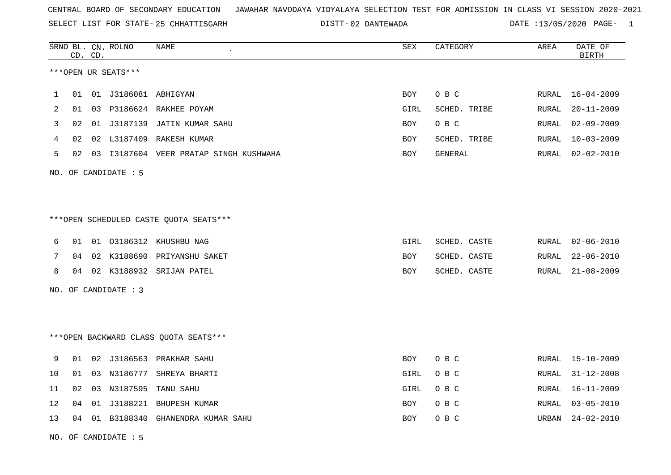02 DANTEWADA DATE :13/05/2020 PAGE- 1

|    |    | CD. CD. | SRNO BL. CN. ROLNO   | NAME                                   | SEX        | CATEGORY     | AREA  | DATE OF<br><b>BIRTH</b> |
|----|----|---------|----------------------|----------------------------------------|------------|--------------|-------|-------------------------|
|    |    |         | ***OPEN UR SEATS***  |                                        |            |              |       |                         |
| 1  | 01 |         |                      |                                        | BOY        | O B C        | RURAL | $16 - 04 - 2009$        |
| 2  | 01 |         |                      | 03 P3186624 RAKHEE POYAM               | GIRL       | SCHED. TRIBE | RURAL | $20 - 11 - 2009$        |
| 3  | 02 |         |                      | 01 J3187139 JATIN KUMAR SAHU           | <b>BOY</b> | O B C        | RURAL | $02 - 09 - 2009$        |
| 4  | 02 |         |                      | 02 L3187409 RAKESH KUMAR               | BOY        | SCHED. TRIBE | RURAL | 10-03-2009              |
| 5  | 02 |         |                      | 03 I3187604 VEER PRATAP SINGH KUSHWAHA | <b>BOY</b> | GENERAL      | RURAL | $02 - 02 - 2010$        |
|    |    |         | NO. OF CANDIDATE : 5 |                                        |            |              |       |                         |
|    |    |         |                      |                                        |            |              |       |                         |
|    |    |         |                      | ***OPEN SCHEDULED CASTE QUOTA SEATS*** |            |              |       |                         |
| 6  | 01 |         |                      | 01 03186312 KHUSHBU NAG                | GIRL       | SCHED. CASTE | RURAL | $02 - 06 - 2010$        |
| 7  | 04 |         |                      | 02 K3188690 PRIYANSHU SAKET            | BOY        | SCHED. CASTE | RURAL | $22 - 06 - 2010$        |
| 8  |    |         |                      | 04 02 K3188932 SRIJAN PATEL            | BOY        | SCHED. CASTE | RURAL | $21 - 08 - 2009$        |
|    |    |         | NO. OF CANDIDATE : 3 |                                        |            |              |       |                         |
|    |    |         |                      |                                        |            |              |       |                         |
|    |    |         |                      | *** OPEN BACKWARD CLASS QUOTA SEATS*** |            |              |       |                         |
| 9  | 01 |         |                      | 02 J3186563 PRAKHAR SAHU               | BOY        | O B C        | RURAL | 15-10-2009              |
| 10 | 01 |         | 03 N3186777          | SHREYA BHARTI                          | GIRL       | O B C        | RURAL | $31 - 12 - 2008$        |
| 11 | 02 | 03      | N3187595             | TANU SAHU                              | GIRL       | O B C        | RURAL | $16 - 11 - 2009$        |
| 12 | 04 | 01      | J3188221             | BHUPESH KUMAR                          | BOY        | O B C        | RURAL | $03 - 05 - 2010$        |
| 13 | 04 |         |                      | 01 B3188340 GHANENDRA KUMAR SAHU       | <b>BOY</b> | O B C        | URBAN | $24 - 02 - 2010$        |

NO. OF CANDIDATE : 5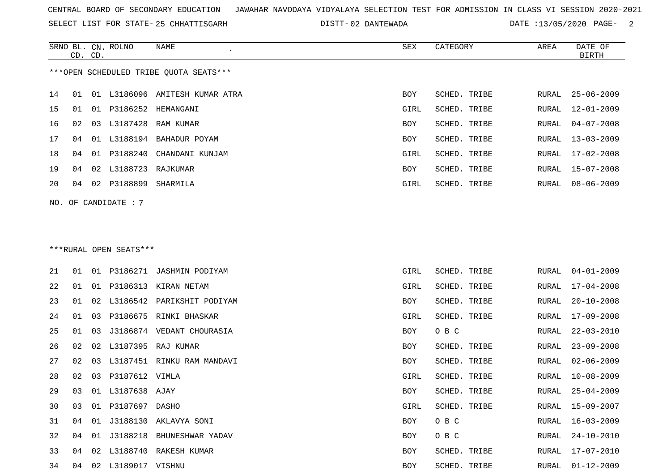SELECT LIST FOR STATE- DISTT- 25 CHHATTISGARH

02 DANTEWADA DATE :13/05/2020 PAGE- 2

|    | CD. CD. |    | SRNO BL. CN. ROLNO     | NAME                                   | SEX  | CATEGORY     | AREA  | DATE OF<br><b>BIRTH</b> |
|----|---------|----|------------------------|----------------------------------------|------|--------------|-------|-------------------------|
|    |         |    |                        | ***OPEN SCHEDULED TRIBE QUOTA SEATS*** |      |              |       |                         |
|    |         |    |                        |                                        |      |              |       |                         |
| 14 | 01      | 01 |                        | L3186096 AMITESH KUMAR ATRA            | BOY  | SCHED. TRIBE | RURAL | $25 - 06 - 2009$        |
| 15 | 01      | 01 |                        | P3186252 HEMANGANI                     | GIRL | SCHED. TRIBE | RURAL | $12 - 01 - 2009$        |
| 16 | 02      |    |                        | 03 L3187428 RAM KUMAR                  | BOY  | SCHED. TRIBE | RURAL | $04 - 07 - 2008$        |
| 17 | 04      |    |                        | 01 L3188194 BAHADUR POYAM              | BOY  | SCHED. TRIBE | RURAL | $13 - 03 - 2009$        |
| 18 | 04      | 01 |                        | P3188240 CHANDANI KUNJAM               | GIRL | SCHED. TRIBE | RURAL | $17 - 02 - 2008$        |
| 19 | 04      | 02 | L3188723               | RAJKUMAR                               | BOY  | SCHED. TRIBE | RURAL | $15 - 07 - 2008$        |
| 20 | 04      | 02 | P3188899               | SHARMILA                               | GIRL | SCHED. TRIBE | RURAL | $08 - 06 - 2009$        |
|    |         |    | NO. OF CANDIDATE : $7$ |                                        |      |              |       |                         |
|    |         |    |                        |                                        |      |              |       |                         |
|    |         |    |                        |                                        |      |              |       |                         |
|    |         |    | ***RURAL OPEN SEATS*** |                                        |      |              |       |                         |
|    |         |    |                        |                                        |      |              |       |                         |
| 21 | 01      |    |                        | 01 P3186271 JASHMIN PODIYAM            | GIRL | SCHED. TRIBE | RURAL | $04 - 01 - 2009$        |
| 22 | 01      |    |                        | 01 P3186313 KIRAN NETAM                | GIRL | SCHED. TRIBE | RURAL | $17 - 04 - 2008$        |
| 23 | 01      | 02 |                        | L3186542 PARIKSHIT PODIYAM             | BOY  | SCHED. TRIBE | RURAL | $20 - 10 - 2008$        |
| 24 | 01      | 03 |                        | P3186675 RINKI BHASKAR                 | GIRL | SCHED. TRIBE | RURAL | $17 - 09 - 2008$        |
| 25 | 01      | 03 |                        | J3186874 VEDANT CHOURASIA              | BOY  | O B C        | RURAL | $22 - 03 - 2010$        |
| 26 | 02      | 02 |                        | L3187395 RAJ KUMAR                     | BOY  | SCHED. TRIBE | RURAL | $23 - 09 - 2008$        |
| 27 | 02      | 03 |                        | L3187451 RINKU RAM MANDAVI             | BOY  | SCHED. TRIBE | RURAL | $02 - 06 - 2009$        |
| 28 | 02      | 03 | P3187612 VIMLA         |                                        | GIRL | SCHED. TRIBE | RURAL | $10 - 08 - 2009$        |
| 29 | 03      |    | 01 L3187638 AJAY       |                                        | BOY  | SCHED. TRIBE | RURAL | $25 - 04 - 2009$        |
| 30 | 03      |    | 01 P3187697 DASHO      |                                        | GIRL | SCHED. TRIBE | RURAL | 15-09-2007              |
| 31 |         |    |                        | 04 01 J3188130 AKLAVYA SONI            | BOY  | O B C        | RURAL | $16 - 03 - 2009$        |
| 32 |         |    |                        | 04 01 J3188218 BHUNESHWAR YADAV        | BOY  | O B C        | RURAL | $24 - 10 - 2010$        |
| 33 | 04      |    |                        | 02 L3188740 RAKESH KUMAR               | BOY  | SCHED. TRIBE | RURAL | $17 - 07 - 2010$        |
| 34 |         |    | 04 02 L3189017 VISHNU  |                                        | BOY  | SCHED. TRIBE |       | RURAL 01-12-2009        |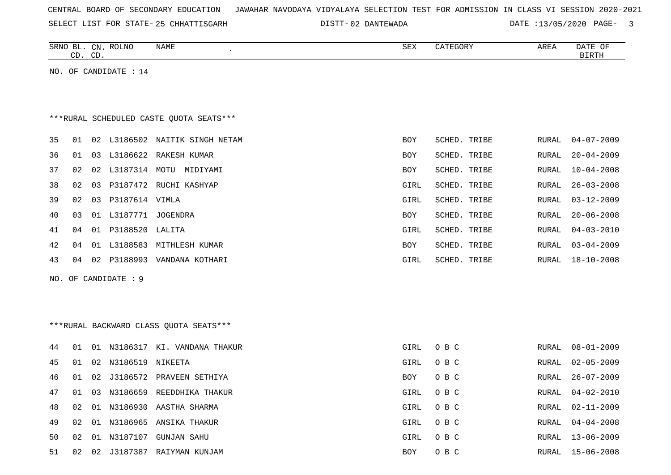| CENTRAL BOARD OF SECONDARY EDUCATION – JAWAHAR NAVODAYA VIDYALAYA SELECTION TEST FOR ADMISSION IN CLASS VI SESSION 2020-2021 |  |
|------------------------------------------------------------------------------------------------------------------------------|--|
|------------------------------------------------------------------------------------------------------------------------------|--|

25 CHHATTISGARH 02 DANTEWADA DATE :13/05/2020 PAGE- 3

|    |    | CD. CD. | SRNO BL. CN. ROLNO    | <b>NAME</b>                             | SEX        | CATEGORY     | AREA         | DATE OF<br>$\operatorname{BIRTH}$ |
|----|----|---------|-----------------------|-----------------------------------------|------------|--------------|--------------|-----------------------------------|
|    |    |         | NO. OF CANDIDATE : 14 |                                         |            |              |              |                                   |
|    |    |         |                       |                                         |            |              |              |                                   |
|    |    |         |                       |                                         |            |              |              |                                   |
|    |    |         |                       | ***RURAL SCHEDULED CASTE QUOTA SEATS*** |            |              |              |                                   |
| 35 | 01 |         |                       | 02 L3186502 NAITIK SINGH NETAM          | <b>BOY</b> | SCHED. TRIBE | RURAL        | $04 - 07 - 2009$                  |
| 36 | 01 |         |                       | 03 L3186622 RAKESH KUMAR                | <b>BOY</b> | SCHED. TRIBE | <b>RURAL</b> | $20 - 04 - 2009$                  |
| 37 | 02 |         |                       | 02 L3187314 MOTU MIDIYAMI               | BOY        | SCHED. TRIBE | RURAL        | $10 - 04 - 2008$                  |
| 38 | 02 | 03      |                       | P3187472 RUCHI KASHYAP                  | GIRL       | SCHED. TRIBE | RURAL        | $26 - 03 - 2008$                  |
| 39 | 02 | 03      | P3187614 VIMLA        |                                         | GIRL       | SCHED. TRIBE | <b>RURAL</b> | $03 - 12 - 2009$                  |
| 40 | 03 |         | 01 L3187771 JOGENDRA  |                                         | BOY        | SCHED. TRIBE | <b>RURAL</b> | $20 - 06 - 2008$                  |
| 41 | 04 |         | 01 P3188520 LALITA    |                                         | GIRL       | SCHED. TRIBE | RURAL        | $04 - 03 - 2010$                  |
| 42 | 04 |         |                       | 01 L3188583 MITHLESH KUMAR              | BOY        | SCHED. TRIBE | RURAL        | $03 - 04 - 2009$                  |
| 43 | 04 |         |                       | 02 P3188993 VANDANA KOTHARI             | GIRL       | SCHED. TRIBE | RURAL        | $18 - 10 - 2008$                  |
|    |    |         | NO. OF CANDIDATE : 9  |                                         |            |              |              |                                   |
|    |    |         |                       |                                         |            |              |              |                                   |
|    |    |         |                       |                                         |            |              |              |                                   |
|    |    |         |                       | *** RURAL BACKWARD CLASS QUOTA SEATS*** |            |              |              |                                   |
| 44 | 01 |         |                       | 01 N3186317 KI. VANDANA THAKUR          | GIRL       | O B C        | RURAL        | $08 - 01 - 2009$                  |
| 45 | 01 | 02      | N3186519 NIKEETA      |                                         | GIRL       | O B C        | RURAL        | $02 - 05 - 2009$                  |
| 46 | 01 | 02      |                       | J3186572 PRAVEEN SETHIYA                | BOY        | O B C        | RURAL        | $26 - 07 - 2009$                  |
| 47 | 01 |         |                       | 03 N3186659 REEDDHIKA THAKUR            | GIRL       | O B C        | <b>RURAL</b> | $04 - 02 - 2010$                  |
| 48 | 02 |         |                       | 01 N3186930 AASTHA SHARMA               | GIRL       | O B C        | RURAL        | $02 - 11 - 2009$                  |
| 49 | 02 |         |                       | 01 N3186965 ANSIKA THAKUR               | GIRL       | O B C        | RURAL        | $04 - 04 - 2008$                  |
| 50 | 02 |         |                       | 01 N3187107 GUNJAN SAHU                 | GIRL       | O B C        | RURAL        | $13 - 06 - 2009$                  |
| 51 | 02 | 02      |                       | J3187387 RAIYMAN KUNJAM                 | <b>BOY</b> | O B C        | RURAL        | $15 - 06 - 2008$                  |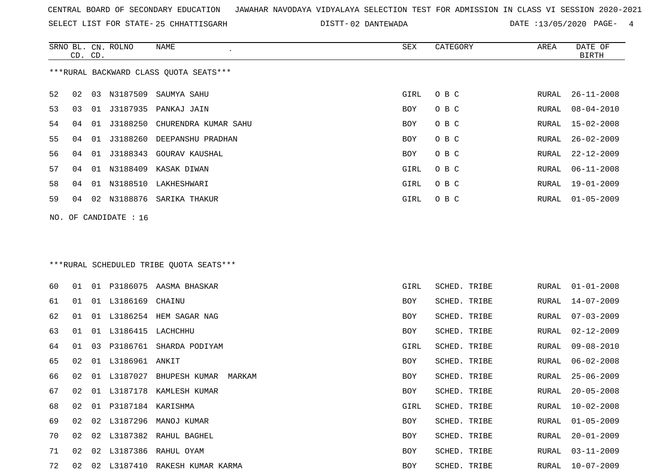SELECT LIST FOR STATE- DISTT- 25 CHHATTISGARH

02 DANTEWADA DATE :13/05/2020 PAGE- 4

|    | CD. CD. |    | SRNO BL. CN. ROLNO    | NAME                                    | ${\tt SEX}$ | CATEGORY     | AREA  | DATE OF<br><b>BIRTH</b> |
|----|---------|----|-----------------------|-----------------------------------------|-------------|--------------|-------|-------------------------|
|    |         |    |                       | ***RURAL BACKWARD CLASS QUOTA SEATS***  |             |              |       |                         |
| 52 | 02      | 03 | N3187509              | SAUMYA SAHU                             | GIRL        | O B C        | RURAL | $26 - 11 - 2008$        |
| 53 | 03      | 01 | J3187935              | PANKAJ JAIN                             | BOY         | O B C        | RURAL | $08 - 04 - 2010$        |
| 54 | 04      | 01 | J3188250              | CHURENDRA KUMAR SAHU                    | BOY         | O B C        | RURAL | $15 - 02 - 2008$        |
| 55 | 04      | 01 | J3188260              | DEEPANSHU PRADHAN                       | BOY         | O B C        | RURAL | $26 - 02 - 2009$        |
| 56 | 04      | 01 | J3188343              | <b>GOURAV KAUSHAL</b>                   | BOY         | O B C        | RURAL | $22 - 12 - 2009$        |
| 57 | 04      |    | 01 N3188409           | KASAK DIWAN                             | GIRL        | O B C        | RURAL | $06 - 11 - 2008$        |
| 58 | 04      |    | 01 N3188510           | LAKHESHWARI                             | GIRL        | O B C        | RURAL | $19 - 01 - 2009$        |
| 59 | 04      |    | 02 N3188876           | SARIKA THAKUR                           | GIRL        | O B C        | RURAL | $01 - 05 - 2009$        |
|    |         |    |                       |                                         |             |              |       |                         |
|    |         |    | NO. OF CANDIDATE : 16 |                                         |             |              |       |                         |
|    |         |    |                       |                                         |             |              |       |                         |
|    |         |    |                       |                                         |             |              |       |                         |
|    |         |    |                       | ***RURAL SCHEDULED TRIBE QUOTA SEATS*** |             |              |       |                         |
| 60 | 01      |    |                       | 01 P3186075 AASMA BHASKAR               | GIRL        | SCHED. TRIBE | RURAL | $01 - 01 - 2008$        |
| 61 | 01      |    | 01 L3186169           | CHAINU                                  | BOY         | SCHED. TRIBE | RURAL | $14 - 07 - 2009$        |
| 62 | 01      |    | 01 L3186254           | HEM SAGAR NAG                           | BOY         | SCHED. TRIBE | RURAL | $07 - 03 - 2009$        |
| 63 | 01      |    | 01 L3186415           | LACHCHHU                                | BOY         | SCHED. TRIBE | RURAL | $02 - 12 - 2009$        |
| 64 | 01      | 03 | P3186761              | SHARDA PODIYAM                          | GIRL        | SCHED. TRIBE | RURAL | $09 - 08 - 2010$        |
| 65 | 02      |    | 01 L3186961 ANKIT     |                                         | BOY         | SCHED. TRIBE | RURAL | $06 - 02 - 2008$        |
| 66 | 02      | 01 | L3187027              | BHUPESH KUMAR<br>MARKAM                 | BOY         | SCHED. TRIBE | RURAL | $25 - 06 - 2009$        |
| 67 | 02      |    |                       | 01 L3187178 KAMLESH KUMAR               | <b>BOY</b>  | SCHED. TRIBE | RURAL | $20 - 05 - 2008$        |
| 68 | 02      |    | 01 P3187184 KARISHMA  |                                         | GIRL        | SCHED. TRIBE | RURAL | $10 - 02 - 2008$        |
| 69 | 02      |    |                       | 02 L3187296 MANOJ KUMAR                 | BOY         | SCHED. TRIBE | RURAL | $01 - 05 - 2009$        |
| 70 | 02      |    |                       | 02 L3187382 RAHUL BAGHEL                | BOY         | SCHED. TRIBE | RURAL | $20 - 01 - 2009$        |
| 71 | 02      |    |                       | 02 L3187386 RAHUL OYAM                  | BOY         | SCHED. TRIBE | RURAL | $03 - 11 - 2009$        |
| 72 |         |    |                       | 02 02 L3187410 RAKESH KUMAR KARMA       | BOY         | SCHED. TRIBE |       | RURAL 10-07-2009        |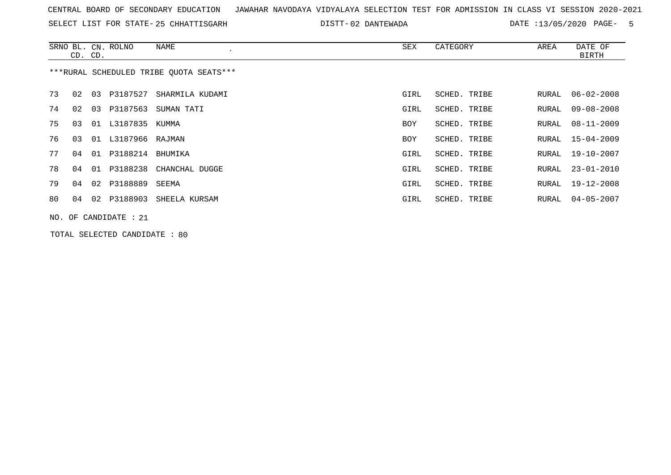SELECT LIST FOR STATE- DISTT- 25 CHHATTISGARH

02 DANTEWADA DATE :13/05/2020 PAGE- 5

|    | CD. CD.                                 |    | SRNO BL. CN. ROLNO | NAME<br>$\cdot$         | SEX        | CATEGORY     | AREA  | DATE OF<br>BIRTH |  |  |
|----|-----------------------------------------|----|--------------------|-------------------------|------------|--------------|-------|------------------|--|--|
|    | ***RURAL SCHEDULED TRIBE OUOTA SEATS*** |    |                    |                         |            |              |       |                  |  |  |
| 73 | 02                                      | 03 | P3187527           | SHARMILA KUDAMI         | GIRL       | SCHED. TRIBE | RURAL | $06 - 02 - 2008$ |  |  |
| 74 | 02                                      | 03 | P3187563           | SUMAN TATI              | GIRL       | SCHED. TRIBE | RURAL | $09 - 08 - 2008$ |  |  |
| 75 | 03                                      | 01 | L3187835 KUMMA     |                         | <b>BOY</b> | SCHED. TRIBE | RURAL | $08 - 11 - 2009$ |  |  |
| 76 | 03                                      | 01 | L3187966 RAJMAN    |                         | <b>BOY</b> | SCHED. TRIBE | RURAL | $15 - 04 - 2009$ |  |  |
| 77 | 04                                      | 01 | P3188214 BHUMIKA   |                         | GIRL       | SCHED. TRIBE | RURAL | 19-10-2007       |  |  |
| 78 | 04                                      | 01 |                    | P3188238 CHANCHAL DUGGE | GIRL       | SCHED. TRIBE | RURAL | $23 - 01 - 2010$ |  |  |
| 79 | 04                                      |    | 02 P3188889 SEEMA  |                         | GIRL       | SCHED. TRIBE | RURAL | 19-12-2008       |  |  |
| 80 | 04                                      | 02 | P3188903           | SHEELA KURSAM           | GIRL       | SCHED. TRIBE | RURAL | $04 - 05 - 2007$ |  |  |
|    | NO. OF CANDIDATE : $21$                 |    |                    |                         |            |              |       |                  |  |  |

TOTAL SELECTED CANDIDATE : 80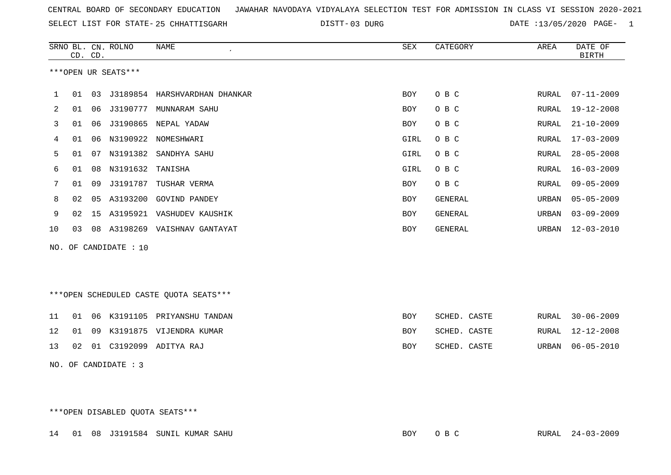03 DURG DATE :13/05/2020 PAGE- 1

|    |                      | CD. CD. | SRNO BL. CN. ROLNO    | <b>NAME</b>                            | ${\tt SEX}$ | CATEGORY       | AREA         | DATE OF<br><b>BIRTH</b> |  |  |
|----|----------------------|---------|-----------------------|----------------------------------------|-------------|----------------|--------------|-------------------------|--|--|
|    |                      |         | ***OPEN UR SEATS***   |                                        |             |                |              |                         |  |  |
| 1  | 01                   | 03      |                       | J3189854 HARSHVARDHAN DHANKAR          | <b>BOY</b>  | O B C          | RURAL        | $07 - 11 - 2009$        |  |  |
| 2  | 01                   | 06      | J3190777              | MUNNARAM SAHU                          | <b>BOY</b>  | O B C          | <b>RURAL</b> | $19 - 12 - 2008$        |  |  |
| 3  | 01                   | 06      |                       | J3190865 NEPAL YADAW                   | <b>BOY</b>  | O B C          | <b>RURAL</b> | $21 - 10 - 2009$        |  |  |
| 4  | 01                   | 06      |                       | N3190922 NOMESHWARI                    | GIRL        | O B C          | RURAL        | $17 - 03 - 2009$        |  |  |
| 5  | 01                   | 07      |                       | N3191382 SANDHYA SAHU                  | GIRL        | O B C          | <b>RURAL</b> | $28 - 05 - 2008$        |  |  |
| 6  | 01                   | 08      | N3191632              | TANISHA                                | GIRL        | O B C          | <b>RURAL</b> | $16 - 03 - 2009$        |  |  |
| 7  | 01                   | 09      | J3191787              | TUSHAR VERMA                           | <b>BOY</b>  | O B C          | <b>RURAL</b> | $09 - 05 - 2009$        |  |  |
| 8  | 02                   | 05      | A3193200              | <b>GOVIND PANDEY</b>                   | <b>BOY</b>  | <b>GENERAL</b> | URBAN        | $05 - 05 - 2009$        |  |  |
| 9  | 02                   | 15      |                       | A3195921 VASHUDEV KAUSHIK              | BOY         | GENERAL        | URBAN        | $03 - 09 - 2009$        |  |  |
| 10 | 03                   |         |                       | 08 A3198269 VAISHNAV GANTAYAT          | <b>BOY</b>  | GENERAL        | URBAN        | $12 - 03 - 2010$        |  |  |
|    |                      |         | NO. OF CANDIDATE : 10 |                                        |             |                |              |                         |  |  |
|    |                      |         |                       |                                        |             |                |              |                         |  |  |
|    |                      |         |                       | ***OPEN SCHEDULED CASTE QUOTA SEATS*** |             |                |              |                         |  |  |
| 11 | 01                   |         |                       | 06 K3191105 PRIYANSHU TANDAN           | <b>BOY</b>  | SCHED. CASTE   | RURAL        | $30 - 06 - 2009$        |  |  |
| 12 | 01                   | 09      |                       | K3191875 VIJENDRA KUMAR                | <b>BOY</b>  | SCHED. CASTE   | <b>RURAL</b> | $12 - 12 - 2008$        |  |  |
| 13 | 02                   |         |                       | 01 C3192099 ADITYA RAJ                 | <b>BOY</b>  | SCHED. CASTE   | URBAN        | $06 - 05 - 2010$        |  |  |
|    | NO. OF CANDIDATE : 3 |         |                       |                                        |             |                |              |                         |  |  |

\*\*\*OPEN DISABLED QUOTA SEATS\*\*\*

14 01 08 J3191584 SUNIL KUMAR SAHU BOY O B C RURAL 24-03-2009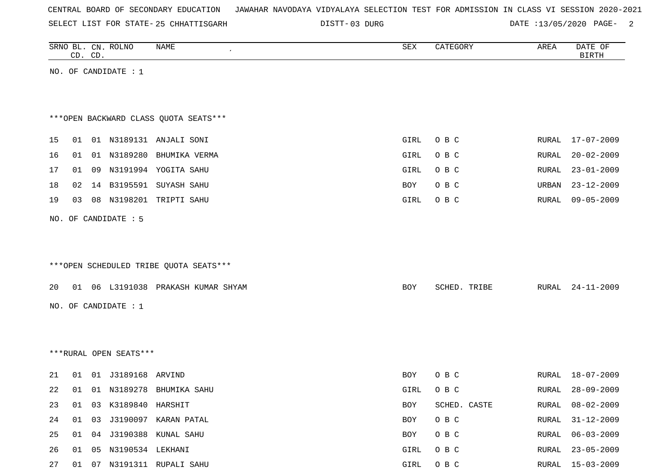| CENTRAL BOARD OF SECONDARY EDUCATION – JAWAHAR NAVODAYA VIDYALAYA SELECTION TEST FOR ADMISSION IN CLASS VI SESSION 2020-2021 |  |  |  |  |
|------------------------------------------------------------------------------------------------------------------------------|--|--|--|--|
|------------------------------------------------------------------------------------------------------------------------------|--|--|--|--|

DISTT-03 DURG DATE :13/05/2020 PAGE- 2

|    |    | CD. CD. | SRNO BL. CN. ROLNO     | NAME                                   | SEX        | CATEGORY     | AREA  | DATE OF<br><b>BIRTH</b> |
|----|----|---------|------------------------|----------------------------------------|------------|--------------|-------|-------------------------|
|    |    |         | NO. OF CANDIDATE : $1$ |                                        |            |              |       |                         |
|    |    |         |                        |                                        |            |              |       |                         |
|    |    |         |                        |                                        |            |              |       |                         |
|    |    |         |                        | *** OPEN BACKWARD CLASS QUOTA SEATS*** |            |              |       |                         |
| 15 | 01 |         |                        | 01 N3189131 ANJALI SONI                | GIRL       | O B C        | RURAL | 17-07-2009              |
| 16 | 01 |         | 01 N3189280            | BHUMIKA VERMA                          | GIRL       | O B C        | RURAL | $20 - 02 - 2009$        |
| 17 | 01 |         |                        | 09 N3191994 YOGITA SAHU                | GIRL       | O B C        | RURAL | $23 - 01 - 2009$        |
| 18 | 02 | 14      |                        | B3195591 SUYASH SAHU                   | BOY        | O B C        | URBAN | $23 - 12 - 2009$        |
| 19 | 03 |         | 08 N3198201            | TRIPTI SAHU                            | GIRL       | O B C        | RURAL | $09 - 05 - 2009$        |
|    |    |         | NO. OF CANDIDATE : 5   |                                        |            |              |       |                         |
|    |    |         |                        |                                        |            |              |       |                         |
|    |    |         |                        |                                        |            |              |       |                         |
|    |    |         |                        | ***OPEN SCHEDULED TRIBE QUOTA SEATS*** |            |              |       |                         |
| 20 | 01 |         |                        | 06 L3191038 PRAKASH KUMAR SHYAM        | <b>BOY</b> | SCHED. TRIBE | RURAL | $24 - 11 - 2009$        |
|    |    |         |                        |                                        |            |              |       |                         |
|    |    |         | NO. OF CANDIDATE : $1$ |                                        |            |              |       |                         |
|    |    |         |                        |                                        |            |              |       |                         |
|    |    |         |                        |                                        |            |              |       |                         |
|    |    |         | ***RURAL OPEN SEATS*** |                                        |            |              |       |                         |
| 21 | 01 |         |                        |                                        | BOY        | O B C        | RURAL | 18-07-2009              |
| 22 | 01 |         |                        | 01 N3189278 BHUMIKA SAHU               | GIRL       | O B C        | RURAL | $28 - 09 - 2009$        |
| 23 | 01 |         | 03 K3189840 HARSHIT    |                                        | BOY        | SCHED. CASTE | RURAL | $08 - 02 - 2009$        |
| 24 | 01 | 03      |                        | J3190097 KARAN PATAL                   | BOY        | O B C        | RURAL | $31 - 12 - 2009$        |
| 25 | 01 |         |                        | 04 J3190388 KUNAL SAHU                 | BOY        | O B C        | RURAL | $06 - 03 - 2009$        |
| 26 | 01 | 05      | N3190534 LEKHANI       |                                        | GIRL       | O B C        | RURAL | $23 - 05 - 2009$        |
| 27 | 01 |         |                        | 07 N3191311 RUPALI SAHU                | GIRL       | O B C        |       | RURAL 15-03-2009        |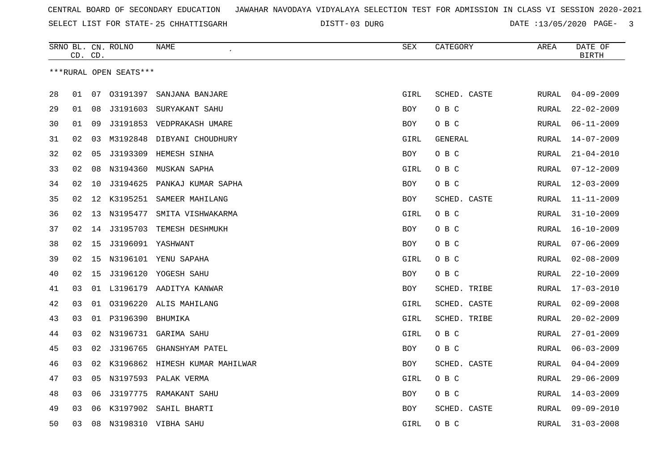03 DURG DATE :13/05/2020 PAGE- 3

|    | CD. CD. |    | SRNO BL. CN. ROLNO     | NAME                              | SEX        | CATEGORY     | AREA         | DATE OF<br><b>BIRTH</b> |
|----|---------|----|------------------------|-----------------------------------|------------|--------------|--------------|-------------------------|
|    |         |    | ***RURAL OPEN SEATS*** |                                   |            |              |              |                         |
| 28 | 01      |    |                        | 07 03191397 SANJANA BANJARE       | GIRL       | SCHED. CASTE | RURAL        | $04 - 09 - 2009$        |
| 29 | 01      | 08 |                        | J3191603 SURYAKANT SAHU           | BOY        | O B C        | RURAL        | $22 - 02 - 2009$        |
| 30 | 01      | 09 |                        | J3191853 VEDPRAKASH UMARE         | BOY        | O B C        | RURAL        | $06 - 11 - 2009$        |
| 31 | 02      | 03 |                        | M3192848 DIBYANI CHOUDHURY        | GIRL       | GENERAL      | RURAL        | $14 - 07 - 2009$        |
| 32 | 02      | 05 | J3193309               | HEMESH SINHA                      | BOY        | O B C        | RURAL        | $21 - 04 - 2010$        |
| 33 | 02      | 08 | N3194360               | MUSKAN SAPHA                      | GIRL       | O B C        | RURAL        | $07 - 12 - 2009$        |
| 34 | 02      | 10 | J3194625               | PANKAJ KUMAR SAPHA                | BOY        | O B C        | RURAL        | $12 - 03 - 2009$        |
| 35 | 02      |    | 12 K3195251            | SAMEER MAHILANG                   | <b>BOY</b> | SCHED. CASTE | <b>RURAL</b> | $11 - 11 - 2009$        |
| 36 | 02      |    | 13 N3195477            | SMITA VISHWAKARMA                 | GIRL       | O B C        | RURAL        | $31 - 10 - 2009$        |
| 37 | 02      |    |                        | 14 J3195703 TEMESH DESHMUKH       | <b>BOY</b> | O B C        | RURAL        | $16 - 10 - 2009$        |
| 38 | 02      | 15 |                        | J3196091 YASHWANT                 | <b>BOY</b> | O B C        | RURAL        | $07 - 06 - 2009$        |
| 39 | 02      | 15 |                        | N3196101 YENU SAPAHA              | GIRL       | O B C        | RURAL        | $02 - 08 - 2009$        |
| 40 | 02      | 15 |                        | J3196120 YOGESH SAHU              | BOY        | O B C        | RURAL        | $22 - 10 - 2009$        |
| 41 | 03      |    | 01 L3196179            | AADITYA KANWAR                    | <b>BOY</b> | SCHED. TRIBE | RURAL        | $17 - 03 - 2010$        |
| 42 | 03      |    |                        | 01 03196220 ALIS MAHILANG         | GIRL       | SCHED. CASTE | RURAL        | $02 - 09 - 2008$        |
| 43 | 03      | 01 | P3196390               | BHUMIKA                           | GIRL       | SCHED. TRIBE | RURAL        | $20 - 02 - 2009$        |
| 44 | 03      | 02 | N3196731               | GARIMA SAHU                       | GIRL       | O B C        | RURAL        | $27 - 01 - 2009$        |
| 45 | 03      | 02 |                        | J3196765 GHANSHYAM PATEL          | BOY        | O B C        | RURAL        | $06 - 03 - 2009$        |
| 46 | 03      |    |                        | 02 K3196862 HIMESH KUMAR MAHILWAR | <b>BOY</b> | SCHED. CASTE | RURAL        | $04 - 04 - 2009$        |
| 47 | 03      | 05 |                        | N3197593 PALAK VERMA              | GIRL       | O B C        | RURAL        | $29 - 06 - 2009$        |
| 48 | 03      | 06 |                        | J3197775 RAMAKANT SAHU            | <b>BOY</b> | O B C        | RURAL        | $14 - 03 - 2009$        |
| 49 | 03      | 06 | K3197902               | SAHIL BHARTI                      | BOY        | SCHED. CASTE | RURAL        | $09 - 09 - 2010$        |
| 50 | 03      | 08 |                        | N3198310 VIBHA SAHU               | GIRL       | O B C        | RURAL        | $31 - 03 - 2008$        |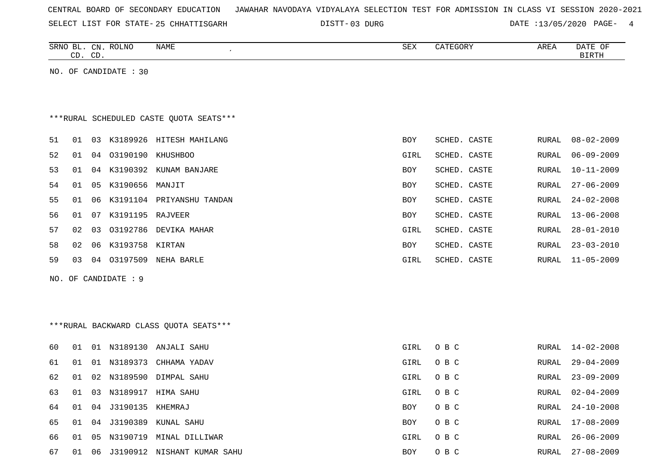|  | CENTRAL BOARD OF SECONDARY EDUCATION – JAWAHAR NAVODAYA VIDYALAYA SELECTION TEST FOR ADMISSION IN CLASS VI SESSION 2020-2021 |
|--|------------------------------------------------------------------------------------------------------------------------------|
|--|------------------------------------------------------------------------------------------------------------------------------|

03 DURG DATE :13/05/2020 PAGE- 4

RURAL 26-06-2009

| SRNO BL. CN. ROLNO<br><b>NAME</b><br>$\epsilon$<br>CD. CD. | SEX           | CATEGORY<br>AREA             | DATE OF<br><b>BIRTH</b> |
|------------------------------------------------------------|---------------|------------------------------|-------------------------|
| NO. OF CANDIDATE : 30                                      |               |                              |                         |
|                                                            |               |                              |                         |
|                                                            |               |                              |                         |
| ***RURAL SCHEDULED CASTE OUOTA SEATS***                    |               |                              |                         |
| 51<br>03 K3189926 HITESH MAHILANG<br>01                    | BOY           | SCHED. CASTE<br>RURAL        | $08 - 02 - 2009$        |
| 52<br>01<br>04 03190190<br><b>KHUSHBOO</b>                 | GIRL          | SCHED. CASTE<br>RURAL        | $06 - 09 - 2009$        |
| 53<br>01<br>04<br>K3190392<br>KUNAM BANJARE                | BOY           | SCHED. CASTE<br><b>RURAL</b> | $10 - 11 - 2009$        |
| 54<br>01<br>K3190656<br>05<br>MANJIT                       | BOY           | SCHED. CASTE<br>RURAL        | $27 - 06 - 2009$        |
| 55<br>01<br>K3191104 PRIYANSHU TANDAN<br>06                | BOY           | SCHED. CASTE<br>RURAL        | $24 - 02 - 2008$        |
| 56<br>K3191195<br>01<br>07<br>RAJVEER                      | BOY           | SCHED. CASTE<br>RURAL        | $13 - 06 - 2008$        |
| 57<br>02<br>03<br>03192786 DEVIKA MAHAR                    | GIRL          | SCHED. CASTE<br>RURAL        | $28 - 01 - 2010$        |
| 58<br>02<br>06<br>K3193758 KIRTAN                          | BOY           | SCHED. CASTE<br>RURAL        | $23 - 03 - 2010$        |
| 59<br>03<br>04 03197509<br>NEHA BARLE                      | GIRL          | SCHED. CASTE<br>RURAL        | $11 - 05 - 2009$        |
| NO. OF CANDIDATE : 9                                       |               |                              |                         |
|                                                            |               |                              |                         |
|                                                            |               |                              |                         |
| *** RURAL BACKWARD CLASS QUOTA SEATS***                    |               |                              |                         |
| 60<br>01<br>01 N3189130<br>ANJALI SAHU                     | GIRL          | O B C<br>RURAL               | $14 - 02 - 2008$        |
| 61<br>01 N3189373<br>CHHAMA YADAV<br>01                    | GIRL<br>O B C | RURAL                        | $29 - 04 - 2009$        |

 01 02 N3189590 DIMPAL SAHU GIRL O B C RURAL 23-09-2009 01 03 N3189917 HIMA SAHU GIRL O B C RURAL 02-04-2009 01 04 J3190135 KHEMRAJ BOY O B C RURAL 24-10-2008 01 04 J3190389 KUNAL SAHU BOY O B C RURAL 17-08-2009

66 01 05 N3190719 MINAL DILLIWAR GIRL O B C RURAL 26-06-2009

67 01 06 J3190912 NISHANT KUMAR SAHU BOY O B C RURAL 27-08-2009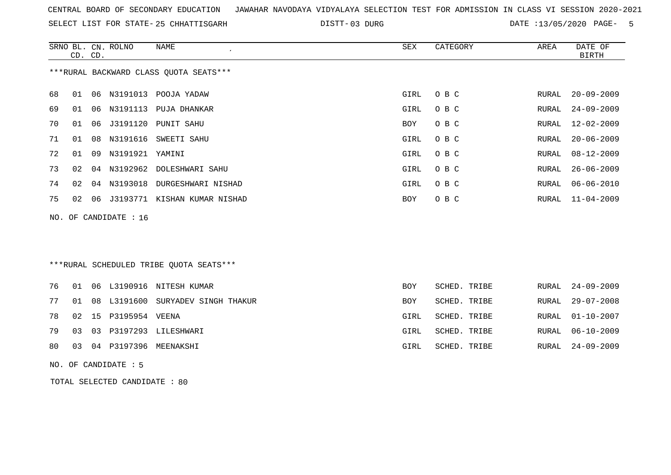SELECT LIST FOR STATE- DISTT- 25 CHHATTISGARH

DISTT-03 DURG 2020 DATE :13/05/2020 PAGE- 5

|    |                                        |    | SRNO BL. CN. ROLNO      | NAME                            | SEX  | CATEGORY | AREA  | DATE OF          |  |  |  |
|----|----------------------------------------|----|-------------------------|---------------------------------|------|----------|-------|------------------|--|--|--|
|    | CD. CD.                                |    |                         |                                 |      |          |       | BIRTH            |  |  |  |
|    | ***RURAL BACKWARD CLASS QUOTA SEATS*** |    |                         |                                 |      |          |       |                  |  |  |  |
| 68 | 01                                     |    | 06 N3191013             | POOJA YADAW                     | GIRL | O B C    | RURAL | $20 - 09 - 2009$ |  |  |  |
| 69 | 01                                     | 06 | N3191113                | PUJA DHANKAR                    | GIRL | O B C    | RURAL | $24 - 09 - 2009$ |  |  |  |
| 70 | 01                                     |    | 06 J3191120             | PUNIT SAHU                      | BOY  | O B C    | RURAL | 12-02-2009       |  |  |  |
| 71 | 01                                     | 08 |                         | N3191616 SWEETI SAHU            | GIRL | O B C    | RURAL | $20 - 06 - 2009$ |  |  |  |
| 72 | 01                                     | 09 | N3191921 YAMINI         |                                 | GIRL | O B C    | RURAL | $08 - 12 - 2009$ |  |  |  |
| 73 | 02                                     |    |                         | 04 N3192962 DOLESHWARI SAHU     | GIRL | O B C    | RURAL | 26-06-2009       |  |  |  |
| 74 | 02                                     |    |                         | 04 N3193018 DURGESHWARI NISHAD  | GIRL | O B C    | RURAL | $06 - 06 - 2010$ |  |  |  |
| 75 | 02                                     |    |                         | 06 J3193771 KISHAN KUMAR NISHAD | BOY  | O B C    |       | RURAL 11-04-2009 |  |  |  |
|    |                                        |    | NO. OF CANDIDATE : $16$ |                                 |      |          |       |                  |  |  |  |

## \*\*\*RURAL SCHEDULED TRIBE QUOTA SEATS\*\*\*

|  |                         | 76 01 06 L3190916 NITESH KUMAR          | BOY  | SCHED. TRIBE | RURAL 24-09-2009 |
|--|-------------------------|-----------------------------------------|------|--------------|------------------|
|  |                         | 77 01 08 L3191600 SURYADEV SINGH THAKUR | BOY  | SCHED. TRIBE | RURAL 29-07-2008 |
|  | 78 02 15 P3195954 VEENA |                                         | GIRL | SCHED. TRIBE | RURAL 01-10-2007 |
|  |                         | 79 03 03 P3197293 LILESHWARI            | GIRL | SCHED. TRIBE | RURAL 06-10-2009 |
|  |                         | 80 03 04 P3197396 MEENAKSHI             | GIRL | SCHED. TRIBE | RURAL 24-09-2009 |

NO. OF CANDIDATE : 5

TOTAL SELECTED CANDIDATE : 80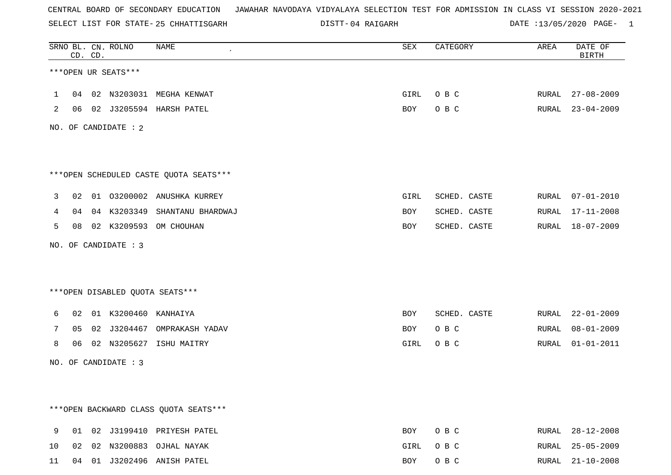SELECT LIST FOR STATE- DISTT- 25 CHHATTISGARH

04 RAIGARH DATE :13/05/2020 PAGE- 1

|              |    | CD. CD. | SRNO BL. CN. ROLNO   | NAME                                    | SEX  | CATEGORY     | AREA  | DATE OF<br><b>BIRTH</b> |
|--------------|----|---------|----------------------|-----------------------------------------|------|--------------|-------|-------------------------|
|              |    |         | ***OPEN UR SEATS***  |                                         |      |              |       |                         |
| $\mathbf{1}$ | 04 |         |                      | 02 N3203031 MEGHA KENWAT                | GIRL | O B C        | RURAL | $27 - 08 - 2009$        |
| 2            | 06 |         |                      | 02 J3205594 HARSH PATEL                 | BOY  | O B C        | RURAL | $23 - 04 - 2009$        |
|              |    |         | NO. OF CANDIDATE : 2 |                                         |      |              |       |                         |
|              |    |         |                      |                                         |      |              |       |                         |
|              |    |         |                      | ***OPEN SCHEDULED CASTE QUOTA SEATS***  |      |              |       |                         |
| 3            | 02 |         |                      | 01 03200002 ANUSHKA KURREY              | GIRL | SCHED. CASTE | RURAL | $07 - 01 - 2010$        |
| 4            | 04 |         | 04 K3203349          | SHANTANU BHARDWAJ                       | BOY  | SCHED. CASTE | RURAL | $17 - 11 - 2008$        |
| 5            | 08 |         | 02 K3209593          | OM CHOUHAN                              | BOY  | SCHED. CASTE | RURAL | 18-07-2009              |
|              |    |         | NO. OF CANDIDATE : 3 |                                         |      |              |       |                         |
|              |    |         |                      |                                         |      |              |       |                         |
|              |    |         |                      | *** OPEN DISABLED QUOTA SEATS***        |      |              |       |                         |
| 6            | 02 |         | 01 K3200460          | KANHAIYA                                | BOY  | SCHED. CASTE | RURAL | $22 - 01 - 2009$        |
| 7            | 05 |         |                      | 02 J3204467 OMPRAKASH YADAV             | BOY  | O B C        | RURAL | $08 - 01 - 2009$        |
| 8            | 06 |         |                      | 02 N3205627 ISHU MAITRY                 | GIRL | O B C        | RURAL | $01 - 01 - 2011$        |
|              |    |         | NO. OF CANDIDATE : 3 |                                         |      |              |       |                         |
|              |    |         |                      |                                         |      |              |       |                         |
|              |    |         |                      |                                         |      |              |       |                         |
|              |    |         |                      | *** OPEN BACKWARD CLASS QUOTA SEATS *** |      |              |       |                         |
| 9            | 01 |         |                      | 02 J3199410 PRIYESH PATEL               | BOY  | O B C        | RURAL | $28 - 12 - 2008$        |
| 10           | 02 |         |                      | 02 N3200883 OJHAL NAYAK                 | GIRL | O B C        |       | RURAL 25-05-2009        |

11 04 01 J3202496 ANISH PATEL BOY O B C RURAL 21-10-2008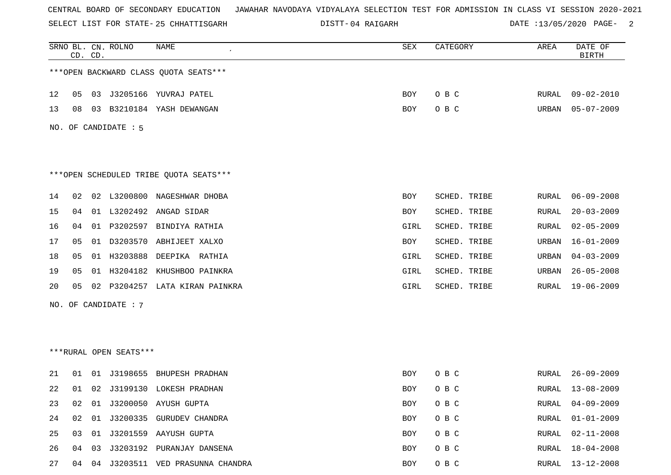SELECT LIST FOR STATE- DISTT- 25 CHHATTISGARH

04 RAIGARH DATE :13/05/2020 PAGE- 2

|    | CD. CD. |    | SRNO BL. CN. ROLNO     | NAME                                   | SEX        | CATEGORY     | AREA         | DATE OF<br><b>BIRTH</b> |
|----|---------|----|------------------------|----------------------------------------|------------|--------------|--------------|-------------------------|
|    |         |    |                        | *** OPEN BACKWARD CLASS QUOTA SEATS*** |            |              |              |                         |
| 12 | 05      |    |                        | 03 J3205166 YUVRAJ PATEL               | BOY        | O B C        | RURAL        | 09-02-2010              |
| 13 | 08      | 03 |                        | B3210184 YASH DEWANGAN                 | <b>BOY</b> | O B C        | URBAN        | $05 - 07 - 2009$        |
|    |         |    | NO. OF CANDIDATE : 5   |                                        |            |              |              |                         |
|    |         |    |                        |                                        |            |              |              |                         |
|    |         |    |                        |                                        |            |              |              |                         |
|    |         |    |                        | ***OPEN SCHEDULED TRIBE QUOTA SEATS*** |            |              |              |                         |
| 14 | 02      | 02 |                        | L3200800 NAGESHWAR DHOBA               | <b>BOY</b> | SCHED. TRIBE | RURAL        | $06 - 09 - 2008$        |
| 15 | 04      |    |                        | 01 L3202492 ANGAD SIDAR                | BOY        | SCHED. TRIBE | RURAL        | $20 - 03 - 2009$        |
| 16 | 04      |    |                        | 01 P3202597 BINDIYA RATHIA             | GIRL       | SCHED. TRIBE | RURAL        | $02 - 05 - 2009$        |
| 17 | 05      |    |                        | 01 D3203570 ABHIJEET XALXO             | BOY        | SCHED. TRIBE | URBAN        | $16 - 01 - 2009$        |
| 18 | 05      |    |                        | 01 H3203888 DEEPIKA RATHIA             | GIRL       | SCHED. TRIBE | URBAN        | $04 - 03 - 2009$        |
| 19 | 05      | 01 |                        | H3204182 KHUSHBOO PAINKRA              | GIRL       | SCHED. TRIBE | URBAN        | $26 - 05 - 2008$        |
| 20 | 05      | 02 |                        | P3204257 LATA KIRAN PAINKRA            | GIRL       | SCHED. TRIBE | RURAL        | 19-06-2009              |
|    |         |    | NO. OF CANDIDATE : 7   |                                        |            |              |              |                         |
|    |         |    |                        |                                        |            |              |              |                         |
|    |         |    |                        |                                        |            |              |              |                         |
|    |         |    | ***RURAL OPEN SEATS*** |                                        |            |              |              |                         |
| 21 | 01      | 01 |                        | J3198655 BHUPESH PRADHAN               | BOY        | O B C        | RURAL        | $26 - 09 - 2009$        |
| 22 | 01      | 02 |                        | J3199130 LOKESH PRADHAN                | BOY        | O B C        | RURAL        | $13 - 08 - 2009$        |
| 23 | 02      | 01 |                        | J3200050 AYUSH GUPTA                   | BOY        | O B C        | <b>RURAL</b> | $04 - 09 - 2009$        |
| 24 | 02      | 01 |                        | J3200335 GURUDEV CHANDRA               | BOY        | O B C        | <b>RURAL</b> | $01 - 01 - 2009$        |
| 25 | 03      | 01 |                        | J3201559 AAYUSH GUPTA                  | BOY        | O B C        | RURAL        | $02 - 11 - 2008$        |
| 26 | 04      | 03 |                        | J3203192 PURANJAY DANSENA              | BOY        | O B C        | <b>RURAL</b> | $18 - 04 - 2008$        |
| 27 | 04      | 04 |                        | J3203511 VED PRASUNNA CHANDRA          | BOY        | O B C        | <b>RURAL</b> | $13 - 12 - 2008$        |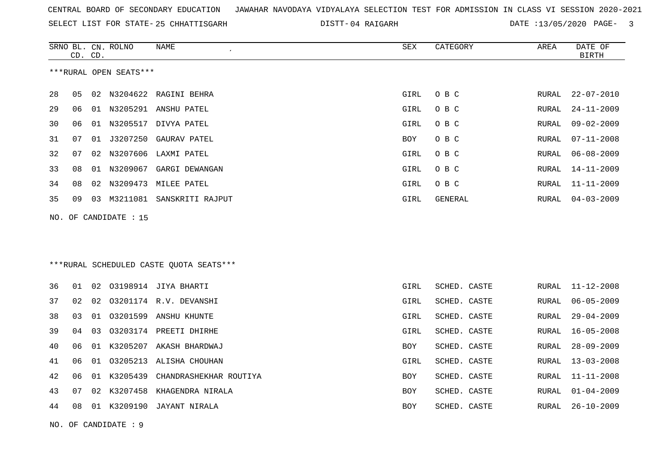| CENTRAL BOARD OF SECONDARY EDUCATION – JAWAHAR NAVODAYA VIDYALAYA SELECTION TEST FOR ADMISSION IN CLASS VI SESSION 2020-2021 |  |
|------------------------------------------------------------------------------------------------------------------------------|--|
|------------------------------------------------------------------------------------------------------------------------------|--|

SELECT LIST FOR STATE- DISTT- 25 CHHATTISGARH 04 RAIGARH DATE :13/05/2020 PAGE- 3

|     | CD. CD. |    | SRNO BL. CN. ROLNO     | NAME<br>$\epsilon$                       | SEX        | CATEGORY     | AREA          | DATE OF<br><b>BIRTH</b> |
|-----|---------|----|------------------------|------------------------------------------|------------|--------------|---------------|-------------------------|
|     |         |    | ***RURAL OPEN SEATS*** |                                          |            |              |               |                         |
| 28  | 05      |    |                        | 02 N3204622 RAGINI BEHRA                 | GIRL       | O B C        | RURAL         | $22 - 07 - 2010$        |
| 29  | 06      |    |                        | 01 N3205291 ANSHU PATEL                  | GIRL       | O B C        | RURAL         | $24 - 11 - 2009$        |
| 30  | 06      |    |                        | 01 N3205517 DIVYA PATEL                  | GIRL       | O B C        | RURAL         | $09 - 02 - 2009$        |
| 31  | 07      |    |                        | 01 J3207250 GAURAV PATEL                 | BOY        | O B C        | ${\tt RURAL}$ | $07 - 11 - 2008$        |
| 32  | 07      | 02 |                        | N3207606 LAXMI PATEL                     | GIRL       | O B C        | RURAL         | $06 - 08 - 2009$        |
| 33  | 08      |    |                        | 01 N3209067 GARGI DEWANGAN               | GIRL       | O B C        | RURAL         | $14 - 11 - 2009$        |
| 34  | 08      |    |                        | 02 N3209473 MILEE PATEL                  | GIRL       | O B C        | RURAL         | $11 - 11 - 2009$        |
| 35  | 09      |    |                        | 03 M3211081 SANSKRITI RAJPUT             | GIRL       | GENERAL      | RURAL         | $04 - 03 - 2009$        |
| NO. |         |    | OF CANDIDATE : 15      |                                          |            |              |               |                         |
|     |         |    |                        |                                          |            |              |               |                         |
|     |         |    |                        |                                          |            |              |               |                         |
|     |         |    |                        | *** RURAL SCHEDULED CASTE QUOTA SEATS*** |            |              |               |                         |
| 36  | 01      |    |                        | 02 03198914 JIYA BHARTI                  | GIRL       | SCHED. CASTE | RURAL         | $11 - 12 - 2008$        |
| 37  | 02      | 02 |                        | 03201174 R.V. DEVANSHI                   | GIRL       | SCHED. CASTE | RURAL         | $06 - 05 - 2009$        |
| 38  | 03      | 01 |                        | 03201599 ANSHU KHUNTE                    | GIRL       | SCHED. CASTE | RURAL         | $29 - 04 - 2009$        |
| 39  | 04      | 03 |                        | 03203174 PREETI DHIRHE                   | GIRL       | SCHED. CASTE | RURAL         | $16 - 05 - 2008$        |
| 40  | 06      |    |                        | 01 K3205207 AKASH BHARDWAJ               | <b>BOY</b> | SCHED. CASTE | RURAL         | $28 - 09 - 2009$        |
| 41  | 06      | 01 |                        | 03205213 ALISHA CHOUHAN                  | GIRL       | SCHED. CASTE | RURAL         | $13 - 03 - 2008$        |
| 42  | 06      |    |                        | 01 K3205439 CHANDRASHEKHAR ROUTIYA       | BOY        | SCHED. CASTE | RURAL         | $11 - 11 - 2008$        |
| 43  | 07      |    |                        | 02 K3207458 KHAGENDRA NIRALA             | BOY        | SCHED. CASTE | RURAL         | $01 - 04 - 2009$        |
| 44  | 08      |    |                        | 01 K3209190 JAYANT NIRALA                | BOY        | SCHED. CASTE | RURAL         | $26 - 10 - 2009$        |
|     |         |    | NO. OF CANDIDATE: 9    |                                          |            |              |               |                         |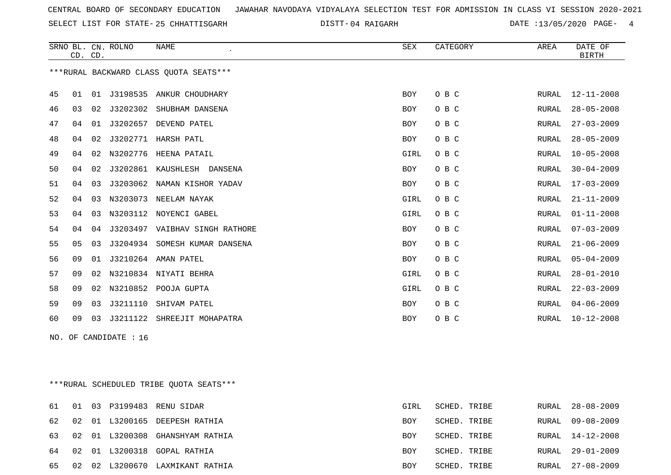SELECT LIST FOR STATE- DISTT- 25 CHHATTISGARH

04 RAIGARH DATE :13/05/2020 PAGE- 4

|                                        |    | CD. CD. | SRNO BL. CN. ROLNO | <b>NAME</b>                    | <b>SEX</b> | CATEGORY | AREA         | DATE OF<br><b>BIRTH</b> |
|----------------------------------------|----|---------|--------------------|--------------------------------|------------|----------|--------------|-------------------------|
| ***RURAL BACKWARD CLASS OUOTA SEATS*** |    |         |                    |                                |            |          |              |                         |
| 45                                     | 01 | 01      | J3198535           | ANKUR CHOUDHARY                | <b>BOY</b> | O B C    | RURAL        | $12 - 11 - 2008$        |
| 46                                     | 03 | 02      | J3202302           | SHUBHAM DANSENA                | <b>BOY</b> | O B C    | RURAL        | $28 - 05 - 2008$        |
| 47                                     | 04 | 01      | J3202657           | DEVEND PATEL                   | <b>BOY</b> | O B C    | <b>RURAL</b> | $27 - 03 - 2009$        |
| 48                                     | 04 | 02      | J3202771           | HARSH PATL                     | BOY        | O B C    | <b>RURAL</b> | $28 - 05 - 2009$        |
| 49                                     | 04 | 02      | N3202776           | HEENA PATAIL                   | GIRL       | O B C    | <b>RURAL</b> | $10 - 05 - 2008$        |
| 50                                     | 04 | 02      | J3202861           | KAUSHLESH<br>DANSENA           | <b>BOY</b> | O B C    | RURAL        | $30 - 04 - 2009$        |
| 51                                     | 04 | 03      | J3203062           | NAMAN KISHOR YADAV             | BOY        | O B C    | RURAL        | $17 - 03 - 2009$        |
| 52                                     | 04 | 03      | N3203073           | NEELAM NAYAK                   | GIRL       | O B C    | RURAL        | $21 - 11 - 2009$        |
| 53                                     | 04 | 03      |                    | N3203112 NOYENCI GABEL         | GIRL       | O B C    | RURAL        | $01 - 11 - 2008$        |
| 54                                     | 04 | 04      |                    | J3203497 VAIBHAV SINGH RATHORE | BOY        | O B C    | RURAL        | $07 - 03 - 2009$        |
| 55                                     | 05 | 03      | J3204934           | SOMESH KUMAR DANSENA           | BOY        | O B C    | <b>RURAL</b> | $21 - 06 - 2009$        |
| 56                                     | 09 | 01      |                    | J3210264 AMAN PATEL            | <b>BOY</b> | O B C    | RURAL        | $05 - 04 - 2009$        |
| 57                                     | 09 | 02      |                    | N3210834 NIYATI BEHRA          | GIRL       | O B C    | RURAL        | $28 - 01 - 2010$        |
| 58                                     | 09 | 02      | N3210852           | POOJA GUPTA                    | GIRL       | O B C    | <b>RURAL</b> | $22 - 03 - 2009$        |
| 59                                     | 09 | 03      | J3211110           | SHIVAM PATEL                   | BOY        | O B C    | RURAL        | $04 - 06 - 2009$        |
| 60                                     | 09 | 03      | J3211122           | SHREEJIT MOHAPATRA             | BOY        | O B C    | RURAL        | $10 - 12 - 2008$        |
| NO.                                    |    |         | OF CANDIDATE : 16  |                                |            |          |              |                         |

\*\*\*RURAL SCHEDULED TRIBE QUOTA SEATS\*\*\*

|       |  | 61 01 03 P3199483 RENU SIDAR       | GIRL       | SCHED. TRIBE |       | RURAL 28-08-2009 |
|-------|--|------------------------------------|------------|--------------|-------|------------------|
|       |  | 62 02 01 L3200165 DEEPESH RATHIA   | <b>BOY</b> | SCHED. TRIBE | RURAL | 09-08-2009       |
|       |  | 63 02 01 L3200308 GHANSHYAM RATHIA | BOY        | SCHED. TRIBE |       | RURAL 14-12-2008 |
|       |  | 64 02 01 L3200318 GOPAL RATHIA     | <b>BOY</b> | SCHED. TRIBE |       | RURAL 29-01-2009 |
| 65 02 |  | 02 L3200670 LAXMIKANT RATHIA       | BOY        | SCHED. TRIBE |       | RURAL 27-08-2009 |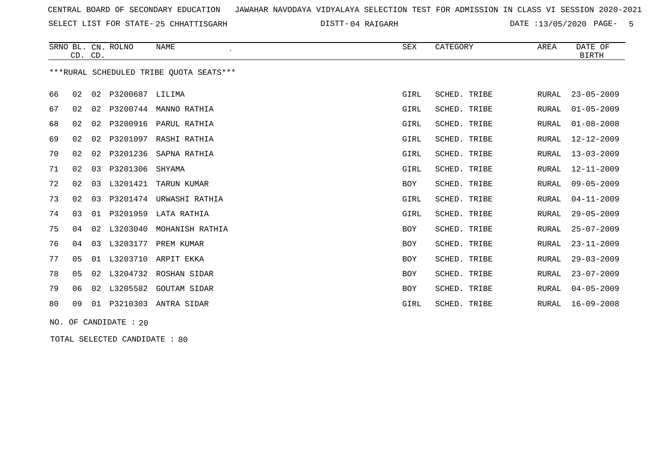SELECT LIST FOR STATE- DISTT- 25 CHHATTISGARH

04 RAIGARH DATE :13/05/2020 PAGE- 5

|    | CD. CD.                                 |    | SRNO BL. CN. ROLNO | <b>NAME</b>         | SEX        | CATEGORY     | AREA         | DATE OF<br><b>BIRTH</b> |  |  |  |
|----|-----------------------------------------|----|--------------------|---------------------|------------|--------------|--------------|-------------------------|--|--|--|
|    | ***RURAL SCHEDULED TRIBE OUOTA SEATS*** |    |                    |                     |            |              |              |                         |  |  |  |
| 66 | 02                                      | 02 | P3200687           | LILIMA              | GIRL       | SCHED. TRIBE | <b>RURAL</b> | $23 - 05 - 2009$        |  |  |  |
| 67 | 02                                      | 02 | P3200744           | MANNO RATHIA        | GIRL       | SCHED. TRIBE | <b>RURAL</b> | $01 - 05 - 2009$        |  |  |  |
| 68 | 02                                      | 02 | P3200916           | PARUL RATHIA        | GIRL       | SCHED. TRIBE | <b>RURAL</b> | $01 - 08 - 2008$        |  |  |  |
| 69 | 02                                      | 02 | P3201097           | RASHI RATHIA        | GIRL       | SCHED. TRIBE | <b>RURAL</b> | $12 - 12 - 2009$        |  |  |  |
| 70 | 02                                      | 02 | P3201236           | SAPNA RATHIA        | GIRL       | SCHED. TRIBE | <b>RURAL</b> | $13 - 03 - 2009$        |  |  |  |
| 71 | 02                                      | 03 | P3201306           | SHYAMA              | GIRL       | SCHED. TRIBE | <b>RURAL</b> | $12 - 11 - 2009$        |  |  |  |
| 72 | 02                                      | 03 | L3201421           | TARUN KUMAR         | <b>BOY</b> | SCHED. TRIBE | <b>RURAL</b> | $09 - 05 - 2009$        |  |  |  |
| 73 | 02                                      | 03 | P3201474           | URWASHI RATHIA      | GIRL       | SCHED. TRIBE | <b>RURAL</b> | $04 - 11 - 2009$        |  |  |  |
| 74 | 03                                      | 01 | P3201959           | LATA RATHIA         | GIRL       | SCHED. TRIBE | <b>RURAL</b> | $29 - 05 - 2009$        |  |  |  |
| 75 | 04                                      | 02 | L3203040           | MOHANISH RATHIA     | <b>BOY</b> | SCHED. TRIBE | <b>RURAL</b> | $25 - 07 - 2009$        |  |  |  |
| 76 | 04                                      | 03 | L3203177           | PREM KUMAR          | <b>BOY</b> | SCHED. TRIBE | <b>RURAL</b> | $23 - 11 - 2009$        |  |  |  |
| 77 | 0 <sub>5</sub>                          | 01 | L3203710           | ARPIT EKKA          | <b>BOY</b> | SCHED. TRIBE | <b>RURAL</b> | $29 - 03 - 2009$        |  |  |  |
| 78 | 0 <sub>5</sub>                          | 02 | L3204732           | ROSHAN SIDAR        | <b>BOY</b> | SCHED. TRIBE | <b>RURAL</b> | $23 - 07 - 2009$        |  |  |  |
| 79 | 06                                      | 02 | L3205582           | <b>GOUTAM SIDAR</b> | <b>BOY</b> | SCHED. TRIBE | <b>RURAL</b> | $04 - 05 - 2009$        |  |  |  |
| 80 | 09                                      | 01 | P3210303           | ANTRA SIDAR         | GIRL       | SCHED. TRIBE | <b>RURAL</b> | $16 - 09 - 2008$        |  |  |  |
|    |                                         |    |                    |                     |            |              |              |                         |  |  |  |

NO. OF CANDIDATE : 20

TOTAL SELECTED CANDIDATE : 80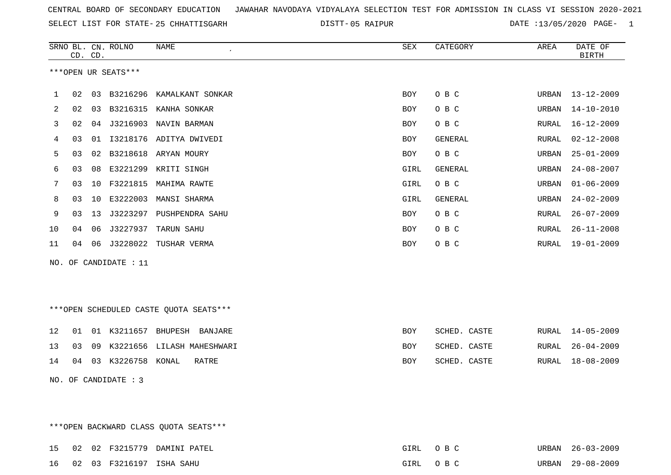SELECT LIST FOR STATE- DISTT- 25 CHHATTISGARH

05 RAIPUR DATE :13/05/2020 PAGE- 1

|    |    | CD. CD. | SRNO BL. CN. ROLNO    | $\ensuremath{\mathsf{NAME}}$           | ${\tt SEX}$ | CATEGORY       | AREA  | DATE OF<br><b>BIRTH</b> |
|----|----|---------|-----------------------|----------------------------------------|-------------|----------------|-------|-------------------------|
|    |    |         | ***OPEN UR SEATS***   |                                        |             |                |       |                         |
| 1  | 02 | 03      | B3216296              | KAMALKANT SONKAR                       | BOY         | O B C          | URBAN | $13 - 12 - 2009$        |
| 2  | 02 | 03      | B3216315              | KANHA SONKAR                           | <b>BOY</b>  | O B C          | URBAN | $14 - 10 - 2010$        |
| 3  | 02 | 04      |                       | J3216903 NAVIN BARMAN                  | <b>BOY</b>  | O B C          | RURAL | $16 - 12 - 2009$        |
| 4  | 03 | 01      |                       | I3218176 ADITYA DWIVEDI                | BOY         | GENERAL        | RURAL | $02 - 12 - 2008$        |
| 5  | 03 | 02      | B3218618              | ARYAN MOURY                            | <b>BOY</b>  | O B C          | URBAN | $25 - 01 - 2009$        |
| 6  | 03 | 08      | E3221299              | KRITI SINGH                            | GIRL        | <b>GENERAL</b> | URBAN | $24 - 08 - 2007$        |
| 7  | 03 | 10      | F3221815              | MAHIMA RAWTE                           | GIRL        | O B C          | URBAN | $01 - 06 - 2009$        |
| 8  | 03 | 10      | E3222003              | MANSI SHARMA                           | GIRL        | GENERAL        | URBAN | $24 - 02 - 2009$        |
| 9  | 03 | 13      | J3223297              | PUSHPENDRA SAHU                        | <b>BOY</b>  | O B C          | RURAL | $26 - 07 - 2009$        |
| 10 | 04 | 06      | J3227937              | TARUN SAHU                             | BOY         | O B C          | RURAL | $26 - 11 - 2008$        |
| 11 | 04 | 06      | J3228022              | TUSHAR VERMA                           | <b>BOY</b>  | O B C          | RURAL | $19 - 01 - 2009$        |
|    |    |         | NO. OF CANDIDATE : 11 |                                        |             |                |       |                         |
|    |    |         |                       |                                        |             |                |       |                         |
|    |    |         |                       |                                        |             |                |       |                         |
|    |    |         |                       | ***OPEN SCHEDULED CASTE QUOTA SEATS*** |             |                |       |                         |
| 12 | 01 |         |                       | 01 K3211657 BHUPESH BANJARE            | <b>BOY</b>  | SCHED. CASTE   | RURAL | $14 - 05 - 2009$        |
| 13 | 03 | 09      | K3221656              | LILASH MAHESHWARI                      | <b>BOY</b>  | SCHED. CASTE   | RURAL | $26 - 04 - 2009$        |
| 14 | 04 | 03      | K3226758              | KONAL<br>RATRE                         | BOY         | SCHED. CASTE   | RURAL | $18 - 08 - 2009$        |
|    |    |         | NO. OF CANDIDATE : 3  |                                        |             |                |       |                         |

\*\*\*OPEN BACKWARD CLASS QUOTA SEATS\*\*\*

|  |  | 15 02 02 F3215779 DAMINI PATEL | GIRL | $\bigcap$ $R$ $C$ | URBAN 26-03-2009 |
|--|--|--------------------------------|------|-------------------|------------------|
|  |  | 16 02 03 F3216197 ISHA SAHU    | GIRL | ORC <sup>.</sup>  | URBAN 29-08-2009 |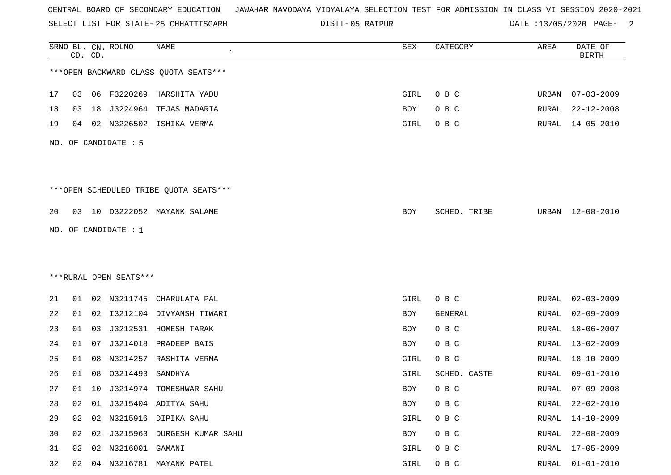SELECT LIST FOR STATE- DISTT- 25 CHHATTISGARH

05 RAIPUR DATE :13/05/2020 PAGE- 2

|    |    | CD. CD. | SRNO BL. CN. ROLNO     | NAME                                   | SEX  | CATEGORY     | AREA         | DATE OF<br><b>BIRTH</b> |
|----|----|---------|------------------------|----------------------------------------|------|--------------|--------------|-------------------------|
|    |    |         |                        | *** OPEN BACKWARD CLASS QUOTA SEATS*** |      |              |              |                         |
| 17 | 03 |         |                        | 06 F3220269 HARSHITA YADU              | GIRL | O B C        | URBAN        | $07 - 03 - 2009$        |
| 18 | 03 | 18      | J3224964               | TEJAS MADARIA                          | BOY  | O B C        | RURAL        | $22 - 12 - 2008$        |
| 19 | 04 |         | 02 N3226502            | ISHIKA VERMA                           | GIRL | O B C        | RURAL        | $14 - 05 - 2010$        |
|    |    |         | NO. OF CANDIDATE : 5   |                                        |      |              |              |                         |
|    |    |         |                        | ***OPEN SCHEDULED TRIBE QUOTA SEATS*** |      |              |              |                         |
| 20 |    |         |                        | 03 10 D3222052 MAYANK SALAME           | BOY  | SCHED. TRIBE | URBAN        | 12-08-2010              |
|    |    |         | NO. OF CANDIDATE : 1   |                                        |      |              |              |                         |
|    |    |         |                        |                                        |      |              |              |                         |
|    |    |         |                        |                                        |      |              |              |                         |
|    |    |         | ***RURAL OPEN SEATS*** |                                        |      |              |              |                         |
| 21 | 01 |         | 02 N3211745            | CHARULATA PAL                          | GIRL | O B C        | RURAL        | $02 - 03 - 2009$        |
| 22 | 01 |         |                        | 02 I3212104 DIVYANSH TIWARI            | BOY  | GENERAL      | RURAL        | $02 - 09 - 2009$        |
| 23 | 01 | 03      | J3212531               | HOMESH TARAK                           | BOY  | O B C        | RURAL        | $18 - 06 - 2007$        |
| 24 | 01 | 07      | J3214018               | PRADEEP BAIS                           | BOY  | O B C        | RURAL        | $13 - 02 - 2009$        |
| 25 | 01 | 08      | N3214257               | RASHITA VERMA                          | GIRL | O B C        | RURAL        | $18 - 10 - 2009$        |
| 26 | 01 | 08      | 03214493               | SANDHYA                                | GIRL | SCHED. CASTE | RURAL        | $09 - 01 - 2010$        |
| 27 | 01 |         |                        | 10 J3214974 TOMESHWAR SAHU             | BOY  | O B C        | RURAL        | $07 - 09 - 2008$        |
| 28 | 02 |         |                        | 01 J3215404 ADITYA SAHU                | BOY  | O B C        | <b>RURAL</b> | $22 - 02 - 2010$        |
| 29 | 02 | 02      |                        | N3215916 DIPIKA SAHU                   | GIRL | O B C        | RURAL        | $14 - 10 - 2009$        |
| 30 | 02 |         |                        | 02 J3215963 DURGESH KUMAR SAHU         | BOY  | O B C        | RURAL        | $22 - 08 - 2009$        |
| 31 | 02 | 02      | N3216001 GAMANI        |                                        | GIRL | O B C        | <b>RURAL</b> | $17 - 05 - 2009$        |
| 32 | 02 |         |                        | 04 N3216781 MAYANK PATEL               | GIRL | O B C        | <b>RURAL</b> | $01 - 01 - 2010$        |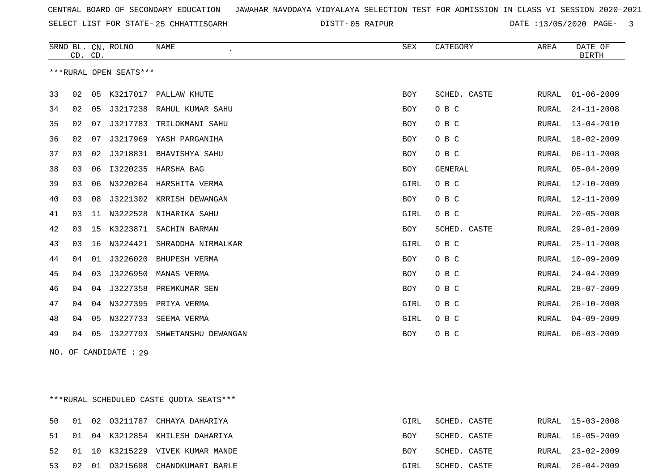SELECT LIST FOR STATE- DISTT- 25 CHHATTISGARH

05 RAIPUR DATE :13/05/2020 PAGE- 3

|                        | CD. CD. |    | SRNO BL. CN. ROLNO | NAME                    | <b>SEX</b> | CATEGORY       | AREA  | DATE OF<br><b>BIRTH</b> |
|------------------------|---------|----|--------------------|-------------------------|------------|----------------|-------|-------------------------|
| ***RURAL OPEN SEATS*** |         |    |                    |                         |            |                |       |                         |
| 33                     | 02      | 05 | K3217017           | PALLAW KHUTE            | <b>BOY</b> | SCHED. CASTE   | RURAL | $01 - 06 - 2009$        |
| 34                     | 02      | 05 | J3217238           | RAHUL KUMAR SAHU        | BOY        | O B C          | RURAL | $24 - 11 - 2008$        |
| 35                     | 02      | 07 | J3217783           | TRILOKMANI SAHU         | BOY        | O B C          | RURAL | $13 - 04 - 2010$        |
| 36                     | 02      | 07 | J3217969           | YASH PARGANIHA          | BOY        | O B C          | RURAL | $18 - 02 - 2009$        |
| 37                     | 03      | 02 | J3218831           | BHAVISHYA SAHU          | BOY        | O B C          | RURAL | $06 - 11 - 2008$        |
| 38                     | 03      | 06 | I3220235           | HARSHA BAG              | BOY        | <b>GENERAL</b> | RURAL | $05 - 04 - 2009$        |
| 39                     | 03      | 06 |                    | N3220264 HARSHITA VERMA | GIRL       | O B C          | RURAL | $12 - 10 - 2009$        |
| 40                     | 03      | 08 | J3221302           | KRRISH DEWANGAN         | BOY        | O B C          | RURAL | $12 - 11 - 2009$        |
| 41                     | 03      | 11 | N3222528           | NIHARIKA SAHU           | GIRL       | O B C          | RURAL | $20 - 05 - 2008$        |
| 42                     | 03      | 15 | K3223871           | SACHIN BARMAN           | BOY        | SCHED. CASTE   | RURAL | $29 - 01 - 2009$        |
| 43                     | 03      | 16 | N3224421           | SHRADDHA NIRMALKAR      | GIRL       | O B C          | RURAL | $25 - 11 - 2008$        |
| 44                     | 04      | 01 | J3226020           | <b>BHUPESH VERMA</b>    | BOY        | O B C          | RURAL | $10 - 09 - 2009$        |
| 45                     | 04      | 03 | J3226950           | MANAS VERMA             | BOY        | O B C          | RURAL | $24 - 04 - 2009$        |
| 46                     | 04      | 04 | J3227358           | PREMKUMAR SEN           | BOY        | O B C          | RURAL | $28 - 07 - 2009$        |
| 47                     | 04      | 04 | N3227395           | PRIYA VERMA             | GIRL       | O B C          | RURAL | $26 - 10 - 2008$        |
| 48                     | 04      | 05 | N3227733           | SEEMA VERMA             | GIRL       | O B C          | RURAL | $04 - 09 - 2009$        |
| 49                     | 04      | 05 | J3227793           | SHWETANSHU DEWANGAN     | BOY        | O B C          | RURAL | $06 - 03 - 2009$        |
|                        |         |    |                    |                         |            |                |       |                         |

NO. OF CANDIDATE : 29

\*\*\*RURAL SCHEDULED CASTE QUOTA SEATS\*\*\*

|  |  | 50 01 02 03211787 CHHAYA DAHARIYA   | GIRL | SCHED. CASTE |  | RURAL 15-03-2008 |
|--|--|-------------------------------------|------|--------------|--|------------------|
|  |  | 51 01 04 K3212854 KHILESH DAHARIYA  | BOY  | SCHED. CASTE |  | RURAL 16-05-2009 |
|  |  | 52 01 10 K3215229 VIVEK KUMAR MANDE | BOY  | SCHED. CASTE |  | RURAL 23-02-2009 |
|  |  | 53 02 01 03215698 CHANDKUMARI BARLE | GIRL | SCHED. CASTE |  | RURAL 26-04-2009 |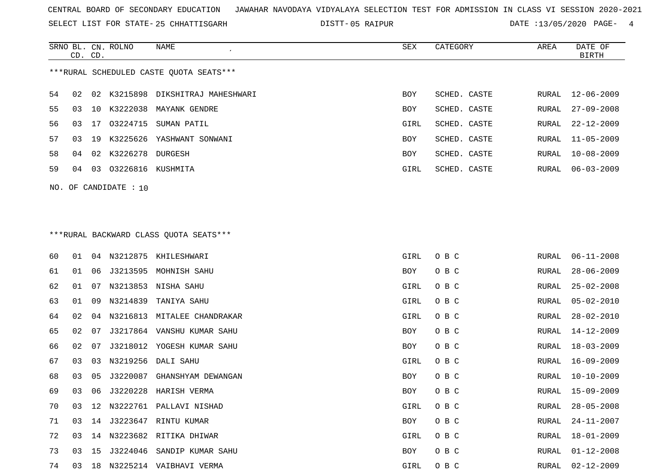SELECT LIST FOR STATE- DISTT- 25 CHHATTISGARH

05 RAIPUR DATE :13/05/2020 PAGE- 4

|     | CD. CD.                                 |     | SRNO BL. CN. ROLNO | NAME                           | SEX        | CATEGORY     | AREA  | DATE OF<br>BIRTH |  |
|-----|-----------------------------------------|-----|--------------------|--------------------------------|------------|--------------|-------|------------------|--|
|     | ***RURAL SCHEDULED CASTE OUOTA SEATS*** |     |                    |                                |            |              |       |                  |  |
| 54  | 02                                      | 02  |                    | K3215898 DIKSHITRAJ MAHESHWARI | <b>BOY</b> | SCHED. CASTE | RURAL | $12 - 06 - 2009$ |  |
| 55. | 03                                      | 1 O | K3222038           | MAYANK GENDRE                  | <b>BOY</b> | SCHED. CASTE | RURAL | $27 - 09 - 2008$ |  |
| 56. | 03                                      | 17  | 03224715           | SUMAN PATIL                    | GIRL       | SCHED. CASTE | RURAL | 22-12-2009       |  |
| 57  | 03                                      | 19  | K3225626           | YASHWANT SONWANI               | <b>BOY</b> | SCHED. CASTE | RURAL | $11 - 05 - 2009$ |  |
| 58  | 04                                      | 02  | K3226278           | DURGESH                        | <b>BOY</b> | SCHED. CASTE | RURAL | $10 - 08 - 2009$ |  |
| 59  | 04                                      | 03  | 03226816           | KUSHMITA                       | GIRL       | SCHED. CASTE | RURAL | 06-03-2009       |  |
|     |                                         |     |                    |                                |            |              |       |                  |  |

NO. OF CANDIDATE : 10

# \*\*\*RURAL BACKWARD CLASS QUOTA SEATS\*\*\*

| 60 | 01 |    |             | 04 N3212875 KHILESHWARI     | GIRL | O B C | RURAL | $06 - 11 - 2008$ |
|----|----|----|-------------|-----------------------------|------|-------|-------|------------------|
| 61 | 01 | 06 |             | J3213595 MOHNISH SAHU       | BOY  | O B C | RURAL | $28 - 06 - 2009$ |
| 62 | 01 | 07 |             | N3213853 NISHA SAHU         | GIRL | O B C | RURAL | $25 - 02 - 2008$ |
| 63 | 01 | 09 | N3214839    | TANIYA SAHU                 | GIRL | O B C | RURAL | $05 - 02 - 2010$ |
| 64 | 02 | 04 |             | N3216813 MITALEE CHANDRAKAR | GIRL | O B C | RURAL | $28 - 02 - 2010$ |
| 65 | 02 | 07 |             | J3217864 VANSHU KUMAR SAHU  | BOY  | O B C | RURAL | 14-12-2009       |
| 66 | 02 | 07 |             | J3218012 YOGESH KUMAR SAHU  | BOY  | O B C | RURAL | 18-03-2009       |
| 67 | 03 | 03 |             | N3219256 DALI SAHU          | GIRL | O B C | RURAL | 16-09-2009       |
| 68 | 03 | 05 | J3220087    | GHANSHYAM DEWANGAN          | BOY  | O B C | RURAL | $10 - 10 - 2009$ |
| 69 | 03 | 06 |             | J3220228 HARISH VERMA       | BOY  | O B C | RURAL | 15-09-2009       |
| 70 | 03 |    | 12 N3222761 | PALLAVI NISHAD              | GIRL | O B C | RURAL | $28 - 05 - 2008$ |
| 71 | 03 |    |             | 14 J3223647 RINTU KUMAR     | BOY  | O B C | RURAL | $24 - 11 - 2007$ |
| 72 | 03 | 14 |             | N3223682 RITIKA DHIWAR      | GIRL | O B C | RURAL | $18 - 01 - 2009$ |
| 73 | 03 | 15 |             | J3224046 SANDIP KUMAR SAHU  | BOY  | O B C | RURAL | $01 - 12 - 2008$ |
| 74 | 03 | 18 |             | N3225214 VAIBHAVI VERMA     | GIRL | O B C | RURAL | $02 - 12 - 2009$ |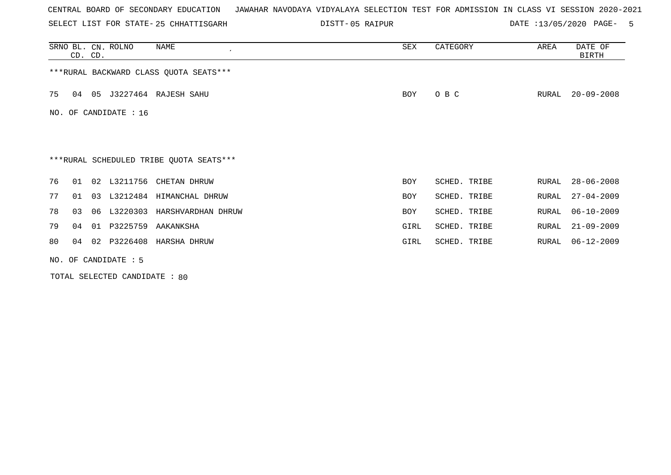SELECT LIST FOR STATE- DISTT- 25 CHHATTISGARH

05 RAIPUR DATE :13/05/2020 PAGE- 5

|     | CD. CD. |    | SRNO BL. CN. ROLNO     | NAME                                    | SEX        | CATEGORY     | AREA  | DATE OF<br>BIRTH |
|-----|---------|----|------------------------|-----------------------------------------|------------|--------------|-------|------------------|
|     |         |    |                        | *** RURAL BACKWARD CLASS QUOTA SEATS*** |            |              |       |                  |
| 75  | 04      | 05 |                        | J3227464 RAJESH SAHU                    | <b>BOY</b> | O B C        | RURAL | $20 - 09 - 2008$ |
| NO. |         |    | OF CANDIDATE : 16      |                                         |            |              |       |                  |
|     |         |    |                        |                                         |            |              |       |                  |
|     |         |    |                        | ***RURAL SCHEDULED TRIBE QUOTA SEATS*** |            |              |       |                  |
| 76  | 01      |    |                        | 02 L3211756 CHETAN DHRUW                | <b>BOY</b> | SCHED. TRIBE | RURAL | $28 - 06 - 2008$ |
| 77  | 01      | 03 |                        | L3212484 HIMANCHAL DHRUW                | <b>BOY</b> | SCHED. TRIBE | RURAL | $27 - 04 - 2009$ |
| 78  | 03      | 06 |                        | L3220303 HARSHVARDHAN DHRUW             | <b>BOY</b> | SCHED. TRIBE | RURAL | $06 - 10 - 2009$ |
| 79  | 04      | 01 | P3225759               | AAKANKSHA                               | GIRL       | SCHED. TRIBE | RURAL | $21 - 09 - 2009$ |
| 80  | 04      |    |                        | 02 P3226408 HARSHA DHRUW                | GIRL       | SCHED. TRIBE | RURAL | 06-12-2009       |
|     |         |    | NO. OF CANDIDATE $: 5$ |                                         |            |              |       |                  |

TOTAL SELECTED CANDIDATE : 80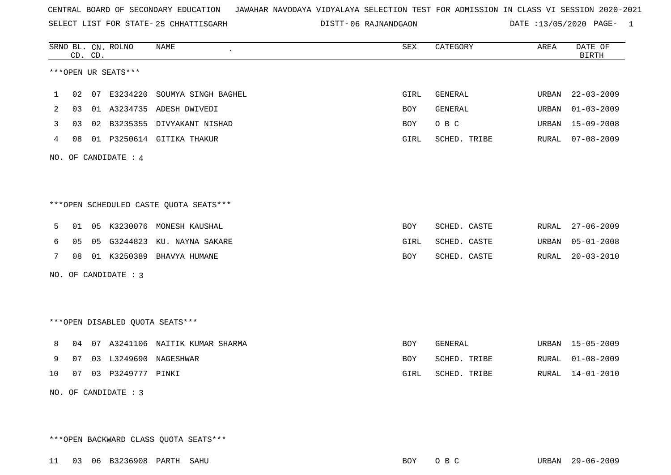SELECT LIST FOR STATE- DISTT- 25 CHHATTISGARH

06 RAJNANDGAON DATE :13/05/2020 PAGE- 1

|     |    | CD. CD. | SRNO BL. CN. ROLNO              | NAME                                   | SEX        | CATEGORY       | AREA  | DATE OF<br><b>BIRTH</b> |
|-----|----|---------|---------------------------------|----------------------------------------|------------|----------------|-------|-------------------------|
|     |    |         | ***OPEN UR SEATS***             |                                        |            |                |       |                         |
| 1   |    |         |                                 | 02 07 E3234220 SOUMYA SINGH BAGHEL     | GIRL       | GENERAL        | URBAN | $22 - 03 - 2009$        |
| 2   | 03 |         |                                 | 01 A3234735 ADESH DWIVEDI              | BOY        | GENERAL        | URBAN | $01 - 03 - 2009$        |
| 3   | 03 |         |                                 | 02 B3235355 DIVYAKANT NISHAD           | BOY        | O B C          | URBAN | $15 - 09 - 2008$        |
| 4   | 08 |         |                                 | 01 P3250614 GITIKA THAKUR              | GIRL       | SCHED. TRIBE   | RURAL | $07 - 08 - 2009$        |
| NO. |    |         | OF CANDIDATE : 4                |                                        |            |                |       |                         |
|     |    |         |                                 |                                        |            |                |       |                         |
|     |    |         |                                 | ***OPEN SCHEDULED CASTE QUOTA SEATS*** |            |                |       |                         |
| 5   | 01 |         |                                 | 05 K3230076 MONESH KAUSHAL             | BOY        | SCHED. CASTE   | RURAL | $27 - 06 - 2009$        |
| 6   | 05 |         |                                 | 05 G3244823 KU. NAYNA SAKARE           | GIRL       | SCHED. CASTE   | URBAN | $05 - 01 - 2008$        |
| 7   | 08 |         |                                 | 01 K3250389 BHAVYA HUMANE              | BOY        | SCHED. CASTE   | RURAL | $20 - 03 - 2010$        |
|     |    |         | NO. OF CANDIDATE : 3            |                                        |            |                |       |                         |
|     |    |         |                                 |                                        |            |                |       |                         |
|     |    |         | ***OPEN DISABLED QUOTA SEATS*** |                                        |            |                |       |                         |
| 8   |    |         |                                 | 04 07 A3241106 NAITIK KUMAR SHARMA     | <b>BOY</b> | <b>GENERAL</b> | URBAN | $15 - 05 - 2009$        |
| 9   | 07 |         |                                 | 03 L3249690 NAGESHWAR                  | <b>BOY</b> | SCHED. TRIBE   | RURAL | $01 - 08 - 2009$        |
| 10  | 07 |         | 03 P3249777 PINKI               |                                        | GIRL       | SCHED. TRIBE   | RURAL | $14 - 01 - 2010$        |
|     |    |         | NO. OF CANDIDATE : 3            |                                        |            |                |       |                         |

\*\*\*OPEN BACKWARD CLASS QUOTA SEATS\*\*\*

11 03 06 B3236908 PARTH SAHU BOY O B C URBAN 29-06-2009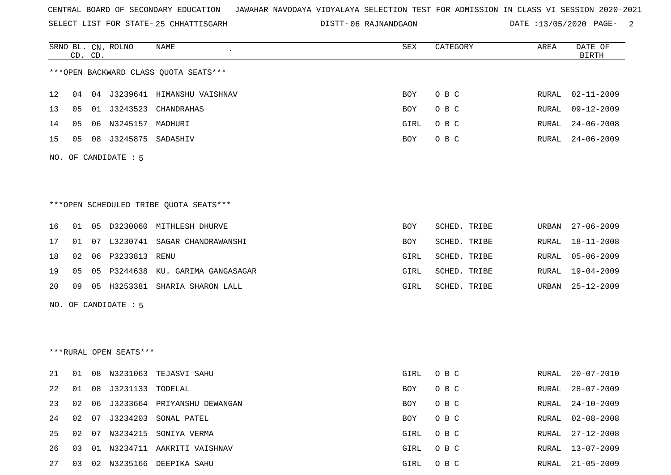SELECT LIST FOR STATE- DISTT- 25 CHHATTISGARH

06 RAJNANDGAON DATE :13/05/2020 PAGE- 2

|    |    | CD. CD. | SRNO BL. CN. ROLNO     | NAME                                   | SEX        | CATEGORY     | AREA  | DATE OF<br><b>BIRTH</b> |
|----|----|---------|------------------------|----------------------------------------|------------|--------------|-------|-------------------------|
|    |    |         |                        | *** OPEN BACKWARD CLASS QUOTA SEATS*** |            |              |       |                         |
| 12 | 04 |         |                        | 04 J3239641 HIMANSHU VAISHNAV          | <b>BOY</b> | O B C        | RURAL | $02 - 11 - 2009$        |
| 13 | 05 |         |                        | 01 J3243523 CHANDRAHAS                 | BOY        | O B C        | RURAL | $09 - 12 - 2009$        |
| 14 | 05 |         | 06 N3245157 MADHURI    |                                        | GIRL       | O B C        | RURAL | $24 - 06 - 2008$        |
| 15 | 05 |         | 08 J3245875 SADASHIV   |                                        | BOY        | O B C        | RURAL | $24 - 06 - 2009$        |
|    |    |         | NO. OF CANDIDATE : 5   |                                        |            |              |       |                         |
|    |    |         |                        | ***OPEN SCHEDULED TRIBE QUOTA SEATS*** |            |              |       |                         |
| 16 | 01 |         |                        | 05 D3230060 MITHLESH DHURVE            | BOY        | SCHED. TRIBE | URBAN | $27 - 06 - 2009$        |
| 17 | 01 |         |                        | 07 L3230741 SAGAR CHANDRAWANSHI        | BOY        | SCHED. TRIBE | RURAL | $18 - 11 - 2008$        |
| 18 | 02 |         | 06 P3233813            | RENU                                   | GIRL       | SCHED. TRIBE | RURAL | $05 - 06 - 2009$        |
| 19 | 05 |         |                        | 05 P3244638 KU. GARIMA GANGASAGAR      | GIRL       | SCHED. TRIBE | RURAL | $19 - 04 - 2009$        |
| 20 | 09 |         |                        | 05 H3253381 SHARIA SHARON LALL         | GIRL       | SCHED. TRIBE | URBAN | $25 - 12 - 2009$        |
|    |    |         | NO. OF CANDIDATE : 5   |                                        |            |              |       |                         |
|    |    |         |                        |                                        |            |              |       |                         |
|    |    |         |                        |                                        |            |              |       |                         |
|    |    |         | ***RURAL OPEN SEATS*** |                                        |            |              |       |                         |
| 21 | 01 |         |                        | 08 N3231063 TEJASVI SAHU               | GIRL       | O B C        | RURAL | $20 - 07 - 2010$        |
| 22 | 01 |         | 08 J3231133 TODELAL    |                                        | <b>BOY</b> | O B C        | RURAL | $28 - 07 - 2009$        |
| 23 | 02 |         |                        | 06 J3233664 PRIYANSHU DEWANGAN         | BOY        | O B C        | RURAL | $24 - 10 - 2009$        |
| 24 | 02 |         |                        | 07 J3234203 SONAL PATEL                | BOY        | O B C        | RURAL | $02 - 08 - 2008$        |
| 25 | 02 |         |                        | 07 N3234215 SONIYA VERMA               | GIRL       | O B C        | RURAL | $27 - 12 - 2008$        |
| 26 | 03 |         |                        | 01 N3234711 AAKRITI VAISHNAV           | GIRL       | O B C        | RURAL | $13 - 07 - 2009$        |
| 27 | 03 |         |                        | 02 N3235166 DEEPIKA SAHU               | GIRL       | O B C        |       | RURAL 21-05-2009        |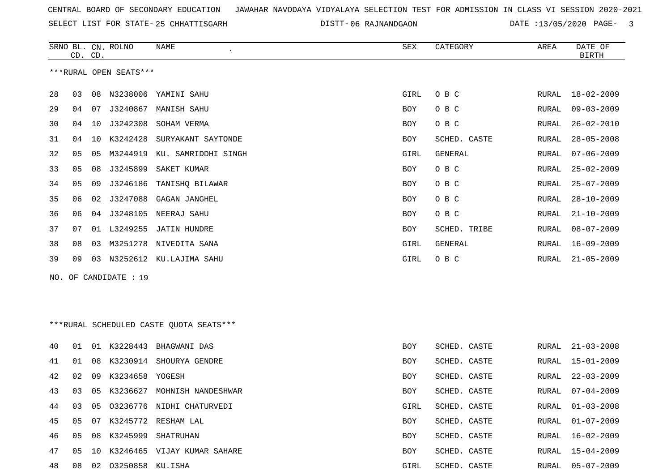SELECT LIST FOR STATE- DISTT- 25 CHHATTISGARH

DISTT-06 RAJNANDGAON DATE :13/05/2020 PAGE- 3

|     | CD. CD. |    | SRNO BL. CN. ROLNO     | NAME                                    | SEX        | CATEGORY       | AREA  | DATE OF<br><b>BIRTH</b> |
|-----|---------|----|------------------------|-----------------------------------------|------------|----------------|-------|-------------------------|
|     |         |    | ***RURAL OPEN SEATS*** |                                         |            |                |       |                         |
| 28  | 03      | 08 |                        | N3238006 YAMINI SAHU                    | GIRL       | O B C          | RURAL | $18 - 02 - 2009$        |
| 29  | 04      | 07 | J3240867               | MANISH SAHU                             | BOY        | O B C          | RURAL | $09 - 03 - 2009$        |
| 30  | 04      | 10 | J3242308               | SOHAM VERMA                             | BOY        | O B C          | RURAL | $26 - 02 - 2010$        |
| 31  | 04      | 10 | K3242428               | SURYAKANT SAYTONDE                      | BOY        | SCHED. CASTE   | RURAL | $28 - 05 - 2008$        |
| 32  | 05      | 05 | M3244919               | KU. SAMRIDDHI SINGH                     | GIRL       | GENERAL        | RURAL | $07 - 06 - 2009$        |
| 33  | 05      | 08 | J3245899               | SAKET KUMAR                             | BOY        | O B C          | RURAL | $25 - 02 - 2009$        |
| 34  | 05      | 09 | J3246186               | TANISHQ BILAWAR                         | BOY        | O B C          | RURAL | $25 - 07 - 2009$        |
| 35  | 06      | 02 | J3247088               | GAGAN JANGHEL                           | BOY        | O B C          | RURAL | $28 - 10 - 2009$        |
| 36  | 06      | 04 |                        | J3248105 NEERAJ SAHU                    | BOY        | O B C          | RURAL | $21 - 10 - 2009$        |
| 37  | 07      |    | 01 L3249255            | <b>JATIN HUNDRE</b>                     | BOY        | SCHED. TRIBE   | RURAL | $08 - 07 - 2009$        |
| 38  | 08      | 03 | M3251278               | NIVEDITA SANA                           | GIRL       | <b>GENERAL</b> | RURAL | $16 - 09 - 2009$        |
| 39  | 09      | 03 |                        | N3252612 KU.LAJIMA SAHU                 | GIRL       | O B C          | RURAL | $21 - 05 - 2009$        |
| NO. |         |    | OF CANDIDATE : 19      |                                         |            |                |       |                         |
|     |         |    |                        |                                         |            |                |       |                         |
|     |         |    |                        |                                         |            |                |       |                         |
|     |         |    |                        | ***RURAL SCHEDULED CASTE QUOTA SEATS*** |            |                |       |                         |
| 40  | 01      | 01 | K3228443               | BHAGWANI DAS                            | <b>BOY</b> | SCHED. CASTE   | RURAL | $21 - 03 - 2008$        |
| 41  | 01      | 08 | K3230914               | SHOURYA GENDRE                          | BOY        | SCHED. CASTE   | RURAL | $15 - 01 - 2009$        |
| 42  | 02      | 09 | K3234658 YOGESH        |                                         | <b>BOY</b> | SCHED. CASTE   | RURAL | $22 - 03 - 2009$        |
| 43  | 03      | 05 | K3236627               | MOHNISH NANDESHWAR                      | <b>BOY</b> | SCHED. CASTE   | RURAL | $07 - 04 - 2009$        |
| 44  | 03      | 05 |                        | 03236776 NIDHI CHATURVEDI               | GIRL       | SCHED. CASTE   | RURAL | $01 - 03 - 2008$        |
| 45  | 05      | 07 |                        | K3245772 RESHAM LAL                     | BOY        | SCHED. CASTE   | RURAL | $01 - 07 - 2009$        |
| 46  | 05      | 08 | K3245999               | SHATRUHAN                               | BOY        | SCHED. CASTE   | RURAL | $16 - 02 - 2009$        |
| 47  | 05      | 10 |                        | K3246465 VIJAY KUMAR SAHARE             | BOY        | SCHED. CASTE   | RURAL | 15-04-2009              |
| 48  | 08      | 02 | 03250858 KU.ISHA       |                                         | GIRL       | SCHED. CASTE   | RURAL | $05 - 07 - 2009$        |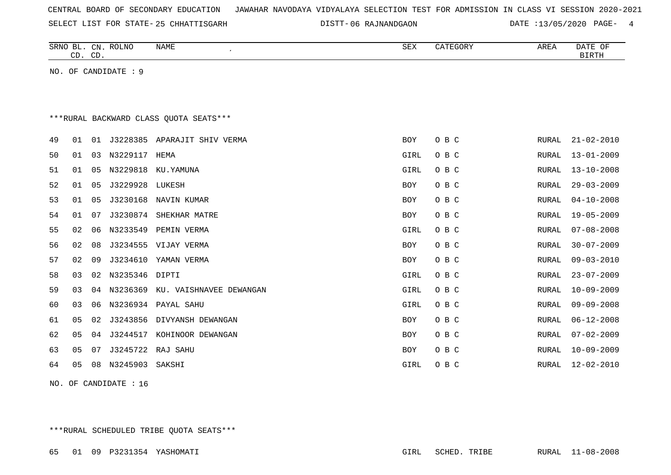SELECT LIST FOR STATE- DISTT- 25 CHHATTISGARH

06 RAJNANDGAON DATE :13/05/2020 PAGE- 4

|    |    | CD. CD. | SRNO BL. CN. ROLNO   | NAME<br>$\epsilon$                      | SEX        | CATEGORY | AREA         | DATE OF<br><b>BIRTH</b> |
|----|----|---------|----------------------|-----------------------------------------|------------|----------|--------------|-------------------------|
|    |    |         | NO. OF CANDIDATE : 9 |                                         |            |          |              |                         |
|    |    |         |                      |                                         |            |          |              |                         |
|    |    |         |                      |                                         |            |          |              |                         |
|    |    |         |                      | *** RURAL BACKWARD CLASS QUOTA SEATS*** |            |          |              |                         |
| 49 | 01 |         |                      | 01 J3228385 APARAJIT SHIV VERMA         | BOY        | O B C    | RURAL        | $21 - 02 - 2010$        |
| 50 | 01 |         | 03 N3229117 HEMA     |                                         | GIRL       | O B C    | RURAL        | $13 - 01 - 2009$        |
| 51 | 01 | 05      |                      | N3229818 KU.YAMUNA                      | GIRL       | O B C    | RURAL        | $13 - 10 - 2008$        |
| 52 | 01 | 05      | J3229928 LUKESH      |                                         | <b>BOY</b> | O B C    | <b>RURAL</b> | $29 - 03 - 2009$        |
| 53 | 01 | 05      |                      | J3230168 NAVIN KUMAR                    | <b>BOY</b> | O B C    | <b>RURAL</b> | $04 - 10 - 2008$        |
| 54 | 01 | 07      |                      | J3230874 SHEKHAR MATRE                  | <b>BOY</b> | O B C    | RURAL        | $19 - 05 - 2009$        |
| 55 | 02 | 06      | N3233549             | PEMIN VERMA                             | GIRL       | O B C    | RURAL        | $07 - 08 - 2008$        |
| 56 | 02 | 08      |                      | J3234555 VIJAY VERMA                    | <b>BOY</b> | O B C    | RURAL        | $30 - 07 - 2009$        |
| 57 | 02 | 09      |                      | J3234610 YAMAN VERMA                    | <b>BOY</b> | O B C    | <b>RURAL</b> | $09 - 03 - 2010$        |
| 58 | 03 | 02      | N3235346 DIPTI       |                                         | GIRL       | O B C    | <b>RURAL</b> | $23 - 07 - 2009$        |
| 59 | 03 | 04      |                      | N3236369 KU. VAISHNAVEE DEWANGAN        | GIRL       | O B C    | <b>RURAL</b> | $10 - 09 - 2009$        |
| 60 | 03 | 06      |                      | N3236934 PAYAL SAHU                     | GIRL       | O B C    | <b>RURAL</b> | $09 - 09 - 2008$        |
| 61 | 05 | 02      |                      | J3243856 DIVYANSH DEWANGAN              | <b>BOY</b> | O B C    | RURAL        | $06 - 12 - 2008$        |
| 62 | 05 | 04      | J3244517             | KOHINOOR DEWANGAN                       | <b>BOY</b> | O B C    | RURAL        | $07 - 02 - 2009$        |
| 63 | 05 | 07      |                      | J3245722 RAJ SAHU                       | <b>BOY</b> | O B C    | RURAL        | $10 - 09 - 2009$        |
| 64 | 05 | 08      | N3245903             | SAKSHI                                  | GIRL       | O B C    | RURAL        | $12 - 02 - 2010$        |

NO. OF CANDIDATE : 16

\*\*\*RURAL SCHEDULED TRIBE QUOTA SEATS\*\*\*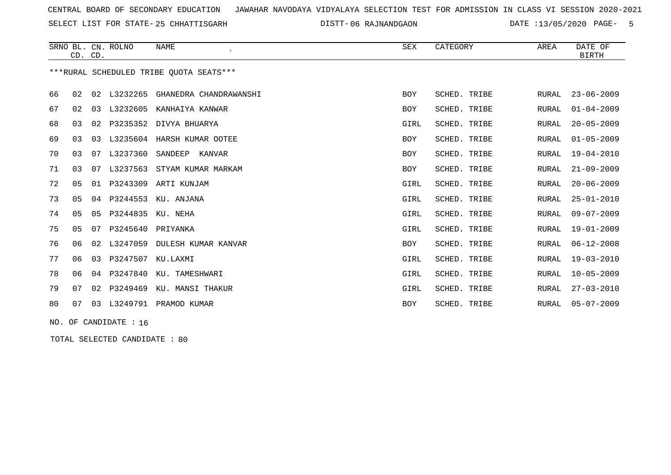SELECT LIST FOR STATE- DISTT- 25 CHHATTISGARH

06 RAJNANDGAON DATE :13/05/2020 PAGE- 5

|    |    |          | <b>NAME</b>                   | SEX                                     | CATEGORY            | AREA         | DATE OF<br><b>BIRTH</b> |
|----|----|----------|-------------------------------|-----------------------------------------|---------------------|--------------|-------------------------|
|    |    |          |                               |                                         |                     |              |                         |
| 02 | 02 | L3232265 | GHANEDRA CHANDRAWANSHI        | <b>BOY</b>                              | <b>SCHED. TRIBE</b> | RURAL        | $23 - 06 - 2009$        |
| 02 | 03 | L3232605 | KANHAIYA KANWAR               | <b>BOY</b>                              | SCHED. TRIBE        | <b>RURAL</b> | $01 - 04 - 2009$        |
| 03 | 02 | P3235352 | DIVYA BHUARYA                 | GIRL                                    | SCHED. TRIBE        | RURAL        | $20 - 05 - 2009$        |
| 03 | 03 | L3235604 | HARSH KUMAR OOTEE             | <b>BOY</b>                              | SCHED. TRIBE        | <b>RURAL</b> | $01 - 05 - 2009$        |
| 03 | 07 | L3237360 | SANDEEP<br>KANVAR             | <b>BOY</b>                              | SCHED. TRIBE        | RURAL        | $19 - 04 - 2010$        |
| 03 | 07 | L3237563 | STYAM KUMAR MARKAM            | <b>BOY</b>                              | SCHED. TRIBE        | RURAL        | $21 - 09 - 2009$        |
| 05 | 01 | P3243309 | ARTI KUNJAM                   | GIRL                                    | SCHED. TRIBE        | <b>RURAL</b> | $20 - 06 - 2009$        |
| 05 | 04 | P3244553 | KU. ANJANA                    | GIRL                                    | SCHED. TRIBE        | RURAL        | $25 - 01 - 2010$        |
| 05 | 05 | P3244835 | KU. NEHA                      | GIRL                                    | SCHED. TRIBE        | <b>RURAL</b> | $09 - 07 - 2009$        |
| 05 | 07 | P3245640 | PRIYANKA                      | GIRL                                    | SCHED. TRIBE        | RURAL        | $19 - 01 - 2009$        |
| 06 | 02 | L3247059 | DULESH KUMAR KANVAR           | <b>BOY</b>                              | SCHED. TRIBE        | <b>RURAL</b> | $06 - 12 - 2008$        |
| 06 | 03 | P3247507 | KU.LAXMI                      | GIRL                                    | SCHED. TRIBE        | RURAL        | $19 - 03 - 2010$        |
| 06 | 04 | P3247840 | KU. TAMESHWARI                | GIRL                                    | SCHED. TRIBE        | <b>RURAL</b> | $10 - 05 - 2009$        |
| 07 | 02 | P3249469 | KU. MANSI THAKUR              | GIRL                                    | SCHED. TRIBE        | RURAL        | $27 - 03 - 2010$        |
| 07 | 03 | L3249791 | PRAMOD KUMAR                  | <b>BOY</b>                              | SCHED. TRIBE        | RURAL        | $05 - 07 - 2009$        |
|    |    |          | SRNO BL. CN. ROLNO<br>CD. CD. | ***RURAL SCHEDULED TRIBE OUOTA SEATS*** |                     |              |                         |

NO. OF CANDIDATE : 16

TOTAL SELECTED CANDIDATE : 80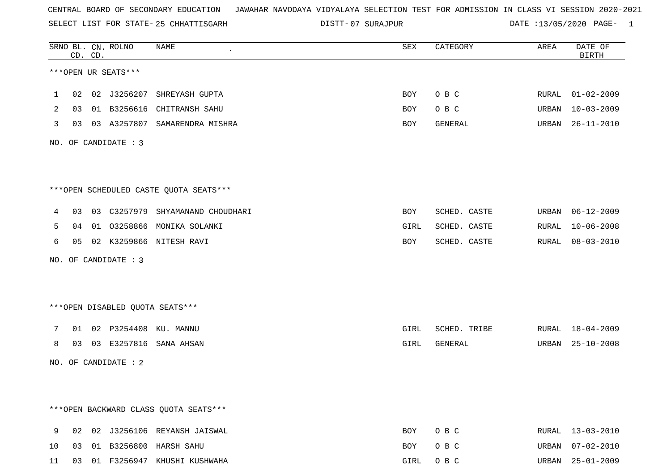SELECT LIST FOR STATE- DISTT- 25 CHHATTISGARH

07 SURAJPUR DATE :13/05/2020 PAGE- 1

|                |    | CD. CD. | SRNO BL. CN. ROLNO   | NAME                                   | ${\tt SEX}$ | CATEGORY     | AREA  | DATE OF<br><b>BIRTH</b> |
|----------------|----|---------|----------------------|----------------------------------------|-------------|--------------|-------|-------------------------|
|                |    |         | ***OPEN UR SEATS***  |                                        |             |              |       |                         |
| 1              |    |         |                      | 02 02 J3256207 SHREYASH GUPTA          | BOY         | O B C        |       | RURAL 01-02-2009        |
| $\overline{2}$ |    |         |                      | 03 01 B3256616 CHITRANSH SAHU          | BOY         | O B C        | URBAN | $10 - 03 - 2009$        |
| 3              |    |         |                      | 03 03 A3257807 SAMARENDRA MISHRA       | BOY         | GENERAL      | URBAN | $26 - 11 - 2010$        |
|                |    |         | NO. OF CANDIDATE : 3 |                                        |             |              |       |                         |
|                |    |         |                      | ***OPEN SCHEDULED CASTE QUOTA SEATS*** |             |              |       |                         |
|                |    |         |                      |                                        |             |              |       |                         |
| 4              |    |         |                      | 03 03 C3257979 SHYAMANAND CHOUDHARI    | BOY         | SCHED. CASTE | URBAN | $06 - 12 - 2009$        |
| 5              |    |         |                      | 04 01 03258866 MONIKA SOLANKI          | GIRL        | SCHED. CASTE | RURAL | $10 - 06 - 2008$        |
| 6              |    |         |                      | 05 02 K3259866 NITESH RAVI             | BOY         | SCHED. CASTE | RURAL | $08 - 03 - 2010$        |
|                |    |         | NO. OF CANDIDATE : 3 |                                        |             |              |       |                         |
|                |    |         |                      |                                        |             |              |       |                         |
|                |    |         |                      | *** OPEN DISABLED QUOTA SEATS***       |             |              |       |                         |
| 7              |    |         |                      | 01 02 P3254408 KU. MANNU               | GIRL        | SCHED. TRIBE |       | RURAL 18-04-2009        |
| 8              | 03 |         |                      | 03 E3257816 SANA AHSAN                 | GIRL        | GENERAL      | URBAN | $25 - 10 - 2008$        |
|                |    |         | NO. OF CANDIDATE : 2 |                                        |             |              |       |                         |
|                |    |         |                      |                                        |             |              |       |                         |
|                |    |         |                      | *** OPEN BACKWARD CLASS QUOTA SEATS*** |             |              |       |                         |
| 9              |    |         |                      | 02 02 J3256106 REYANSH JAISWAL         | BOY         | O B C        | RURAL | $13 - 03 - 2010$        |
| 10             |    |         |                      | 03 01 B3256800 HARSH SAHU              | BOY         | O B C        | URBAN | $07 - 02 - 2010$        |
| 11             |    |         |                      | 03 01 F3256947 KHUSHI KUSHWAHA         | GIRL        | O B C        | URBAN | $25 - 01 - 2009$        |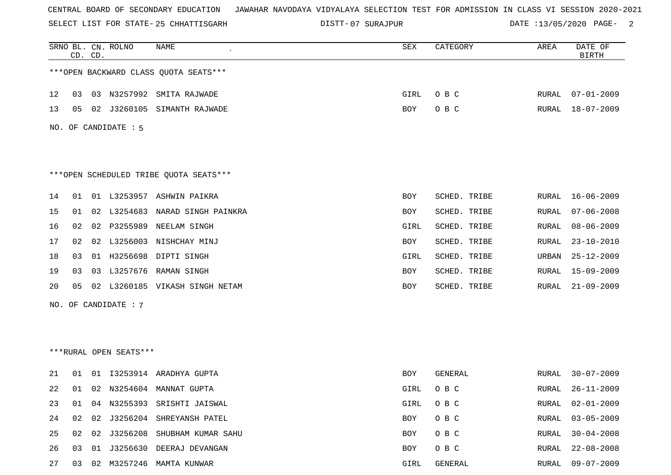SELECT LIST FOR STATE- DISTT- 25 CHHATTISGARH

07 SURAJPUR DATE :13/05/2020 PAGE- 2

|    |    | CD. CD. | SRNO BL. CN. ROLNO     | NAME                                   | SEX        | CATEGORY     | AREA          | DATE OF<br><b>BIRTH</b> |
|----|----|---------|------------------------|----------------------------------------|------------|--------------|---------------|-------------------------|
|    |    |         |                        | *** OPEN BACKWARD CLASS QUOTA SEATS*** |            |              |               |                         |
| 12 | 03 |         | 03 N3257992            | SMITA RAJWADE                          | GIRL       | O B C        | RURAL         | 07-01-2009              |
| 13 | 05 | 02      | J3260105               | SIMANTH RAJWADE                        | BOY        | O B C        | RURAL         | 18-07-2009              |
|    |    |         | NO. OF CANDIDATE : 5   |                                        |            |              |               |                         |
|    |    |         |                        | ***OPEN SCHEDULED TRIBE QUOTA SEATS*** |            |              |               |                         |
| 14 | 01 |         |                        | 01 L3253957 ASHWIN PAIKRA              | <b>BOY</b> | SCHED. TRIBE | RURAL         | $16 - 06 - 2009$        |
| 15 | 01 | 02      |                        | L3254683 NARAD SINGH PAINKRA           | BOY        | SCHED. TRIBE | RURAL         | $07 - 06 - 2008$        |
| 16 | 02 | 02      |                        | P3255989 NEELAM SINGH                  | GIRL       | SCHED. TRIBE | RURAL         | $08 - 06 - 2009$        |
| 17 | 02 | 02      |                        | L3256003 NISHCHAY MINJ                 | BOY        | SCHED. TRIBE | RURAL         | $23 - 10 - 2010$        |
| 18 | 03 |         |                        | 01 H3256698 DIPTI SINGH                | GIRL       | SCHED. TRIBE | URBAN         | $25 - 12 - 2009$        |
| 19 | 03 |         |                        | 03 L3257676 RAMAN SINGH                | BOY        | SCHED. TRIBE | RURAL         | $15 - 09 - 2009$        |
| 20 | 05 | 02      |                        | L3260185 VIKASH SINGH NETAM            | BOY        | SCHED. TRIBE | RURAL         | $21 - 09 - 2009$        |
|    |    |         | NO. OF CANDIDATE : 7   |                                        |            |              |               |                         |
|    |    |         |                        |                                        |            |              |               |                         |
|    |    |         |                        |                                        |            |              |               |                         |
|    |    |         | ***RURAL OPEN SEATS*** |                                        |            |              |               |                         |
| 21 | 01 | 01      |                        | 13253914 ARADHYA GUPTA                 | BOY        | GENERAL      | RURAL         | $30 - 07 - 2009$        |
| 22 | 01 |         |                        | 02 N3254604 MANNAT GUPTA               | GIRL       | O B C        | RURAL         | $26 - 11 - 2009$        |
| 23 | 01 |         |                        | 04 N3255393 SRISHTI JAISWAL            | GIRL       | O B C        | RURAL         | $02 - 01 - 2009$        |
| 24 | 02 | 02      | J3256204               | SHREYANSH PATEL                        | BOY        | O B C        | RURAL         | $03 - 05 - 2009$        |
| 25 | 02 |         | 02 J3256208            | SHUBHAM KUMAR SAHU                     | BOY        | O B C        | RURAL         | $30 - 04 - 2008$        |
| 26 | 03 | 01      | J3256630               | DEERAJ DEVANGAN                        | BOY        | O B C        | ${\tt RURAL}$ | $22 - 08 - 2008$        |
| 27 | 03 |         |                        | 02 M3257246 MAMTA KUNWAR               | GIRL       | GENERAL      | RURAL         | $09 - 07 - 2009$        |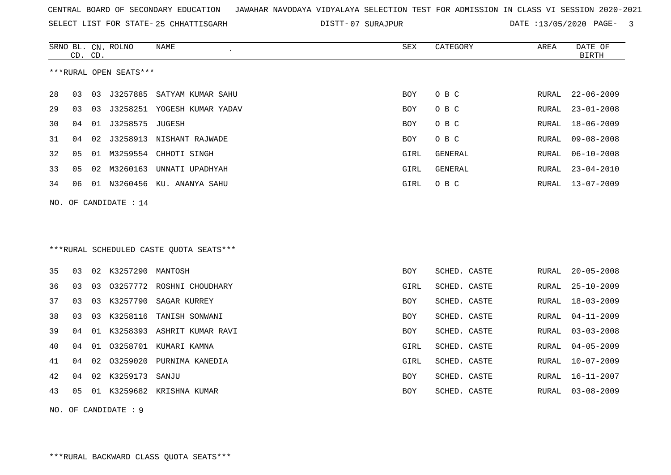SELECT LIST FOR STATE- DISTT- 25 CHHATTISGARH

07 SURAJPUR DATE :13/05/2020 PAGE- 3

|    | CD. CD. |    | SRNO BL. CN. ROLNO     | NAME                                    | SEX        | CATEGORY       | AREA         | DATE OF<br><b>BIRTH</b> |
|----|---------|----|------------------------|-----------------------------------------|------------|----------------|--------------|-------------------------|
|    |         |    | ***RURAL OPEN SEATS*** |                                         |            |                |              |                         |
| 28 | 03      | 03 | J3257885               | SATYAM KUMAR SAHU                       | <b>BOY</b> | O B C          | RURAL        | $22 - 06 - 2009$        |
| 29 | 03      | 03 |                        | J3258251 YOGESH KUMAR YADAV             | BOY        | O B C          | <b>RURAL</b> | $23 - 01 - 2008$        |
| 30 | 04      | 01 | J3258575 JUGESH        |                                         | BOY        | O B C          | RURAL        | $18 - 06 - 2009$        |
| 31 | 04      | 02 |                        | J3258913 NISHANT RAJWADE                | BOY        | O B C          | <b>RURAL</b> | $09 - 08 - 2008$        |
| 32 | 05      | 01 |                        | M3259554 CHHOTI SINGH                   | GIRL       | <b>GENERAL</b> | RURAL        | $06 - 10 - 2008$        |
| 33 | 05      | 02 |                        | M3260163 UNNATI UPADHYAH                | GIRL       | <b>GENERAL</b> | RURAL        | $23 - 04 - 2010$        |
| 34 | 06      |    |                        | 01 N3260456 KU. ANANYA SAHU             | GIRL       | O B C          | RURAL        | $13 - 07 - 2009$        |
|    |         |    | NO. OF CANDIDATE : 14  |                                         |            |                |              |                         |
|    |         |    |                        |                                         |            |                |              |                         |
|    |         |    |                        |                                         |            |                |              |                         |
|    |         |    |                        | ***RURAL SCHEDULED CASTE QUOTA SEATS*** |            |                |              |                         |
| 35 | 03      |    | 02 K3257290 MANTOSH    |                                         | <b>BOY</b> | SCHED. CASTE   | <b>RURAL</b> | $20 - 05 - 2008$        |
| 36 | 03      | 03 |                        | 03257772 ROSHNI CHOUDHARY               | GIRL       | SCHED. CASTE   | <b>RURAL</b> | $25 - 10 - 2009$        |
| 37 | 03      | 03 | K3257790               | SAGAR KURREY                            | BOY        | SCHED. CASTE   | RURAL        | $18 - 03 - 2009$        |
| 38 | 03      | 03 | K3258116               | TANISH SONWANI                          | BOY        | SCHED. CASTE   | RURAL        | $04 - 11 - 2009$        |
| 39 | 04      | 01 |                        | K3258393 ASHRIT KUMAR RAVI              | BOY        | SCHED. CASTE   | RURAL        | $03 - 03 - 2008$        |
| 40 | 04      |    |                        | 01 03258701 KUMARI KAMNA                | GIRL       | SCHED. CASTE   | RURAL        | $04 - 05 - 2009$        |
| 41 | 04      | 02 | 03259020               | PURNIMA KANEDIA                         | GIRL       | SCHED. CASTE   | RURAL        | $10 - 07 - 2009$        |
| 42 | 04      |    | 02 K3259173            | SANJU                                   | <b>BOY</b> | SCHED. CASTE   | RURAL        | $16 - 11 - 2007$        |
| 43 | 05      |    |                        | 01 K3259682 KRISHNA KUMAR               | BOY        | SCHED. CASTE   | RURAL        | $03 - 08 - 2009$        |

NO. OF CANDIDATE : 9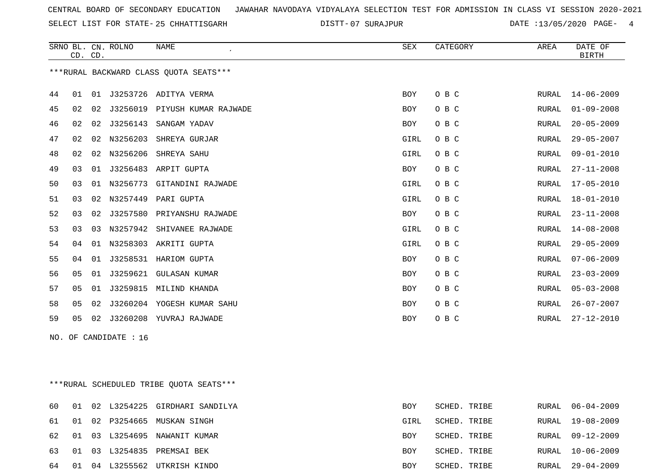SELECT LIST FOR STATE- DISTT- 25 CHHATTISGARH

07 SURAJPUR DATE :13/05/2020 PAGE- 4

|    |    | CD. CD. | SRNO BL. CN. ROLNO    | <b>NAME</b>                            | SEX        | CATEGORY | AREA  | DATE OF<br><b>BIRTH</b> |
|----|----|---------|-----------------------|----------------------------------------|------------|----------|-------|-------------------------|
|    |    |         |                       | ***RURAL BACKWARD CLASS OUOTA SEATS*** |            |          |       |                         |
| 44 | 01 |         |                       | 01 J3253726 ADITYA VERMA               | BOY        | O B C    | RURAL | $14 - 06 - 2009$        |
| 45 | 02 | 02      |                       | J3256019 PIYUSH KUMAR RAJWADE          | <b>BOY</b> | O B C    | RURAL | $01 - 09 - 2008$        |
| 46 | 02 | 02      | J3256143              | SANGAM YADAV                           | BOY        | O B C    | RURAL | $20 - 05 - 2009$        |
| 47 | 02 | 02      | N3256203              | SHREYA GURJAR                          | GIRL       | O B C    | RURAL | $29 - 05 - 2007$        |
| 48 | 02 |         | 02 N3256206           | SHREYA SAHU                            | GIRL       | O B C    | RURAL | $09 - 01 - 2010$        |
| 49 | 03 | 01      |                       | J3256483 ARPIT GUPTA                   | BOY        | O B C    | RURAL | $27 - 11 - 2008$        |
| 50 | 03 | 01      |                       | N3256773 GITANDINI RAJWADE             | GIRL       | O B C    | RURAL | $17 - 05 - 2010$        |
| 51 | 03 | 02      | N3257449              | PARI GUPTA                             | GIRL       | O B C    | RURAL | $18 - 01 - 2010$        |
| 52 | 03 | 02      |                       | J3257580 PRIYANSHU RAJWADE             | BOY        | O B C    | RURAL | $23 - 11 - 2008$        |
| 53 | 03 | 03      | N3257942              | SHIVANEE RAJWADE                       | GIRL       | O B C    | RURAL | $14 - 08 - 2008$        |
| 54 | 04 | 01      |                       | N3258303 AKRITI GUPTA                  | GIRL       | O B C    | RURAL | $29 - 05 - 2009$        |
| 55 | 04 |         |                       | 01 J3258531 HARIOM GUPTA               | BOY        | O B C    | RURAL | $07 - 06 - 2009$        |
| 56 | 05 | 01      | J3259621              | <b>GULASAN KUMAR</b>                   | <b>BOY</b> | O B C    | RURAL | $23 - 03 - 2009$        |
| 57 | 05 | 01      |                       | J3259815 MILIND KHANDA                 | BOY        | O B C    | RURAL | $05 - 03 - 2008$        |
| 58 | 05 |         |                       | 02 J3260204 YOGESH KUMAR SAHU          | BOY        | O B C    | RURAL | $26 - 07 - 2007$        |
| 59 | 05 |         |                       | 02 J3260208 YUVRAJ RAJWADE             | BOY        | O B C    | RURAL | $27 - 12 - 2010$        |
|    |    |         | NO. OF CANDIDATE : 16 |                                        |            |          |       |                         |
|    |    |         |                       |                                        |            |          |       |                         |
|    |    |         |                       |                                        |            |          |       |                         |

\*\*\*RURAL SCHEDULED TRIBE QUOTA SEATS\*\*\*

| 60    |  | 01 02 L3254225 GIRDHARI SANDILYA | <b>BOY</b> | SCHED. TRIBE | RURAL 06-04-2009 |
|-------|--|----------------------------------|------------|--------------|------------------|
|       |  | 61 01 02 P3254665 MUSKAN SINGH   | GIRL       | SCHED. TRIBE | RURAL 19-08-2009 |
|       |  | 62 01 03 L3254695 NAWANIT KUMAR  | BOY        | SCHED. TRIBE | RURAL 09-12-2009 |
|       |  | 63 01 03 L3254835 PREMSAI BEK    | BOY        | SCHED. TRIBE | RURAL 10-06-2009 |
| 64 01 |  | 04 L3255562 UTKRISH KINDO        | BOY        | SCHED. TRIBE | RURAL 29-04-2009 |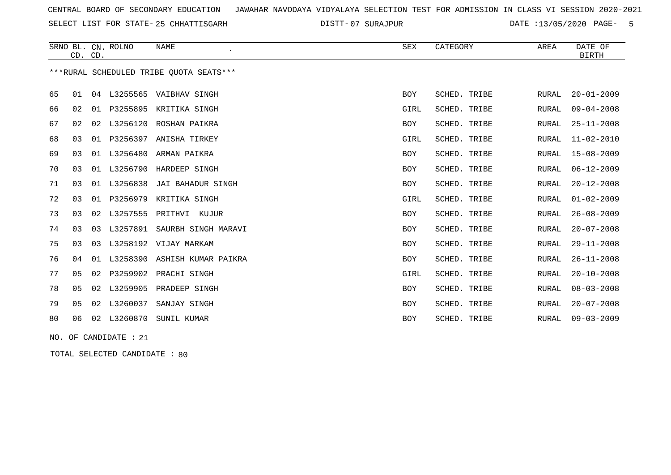SELECT LIST FOR STATE- DISTT- 25 CHHATTISGARH

07 SURAJPUR DATE :13/05/2020 PAGE- 5

|    |                | CD. CD. | SRNO BL. CN. ROLNO | NAME<br>$\epsilon$                      | SEX        | CATEGORY     | AREA         | DATE OF<br>BIRTH |
|----|----------------|---------|--------------------|-----------------------------------------|------------|--------------|--------------|------------------|
|    |                |         |                    | ***RURAL SCHEDULED TRIBE OUOTA SEATS*** |            |              |              |                  |
| 65 | 01             |         |                    | 04 L3255565 VAIBHAV SINGH               | <b>BOY</b> | SCHED. TRIBE | RURAL        | $20 - 01 - 2009$ |
| 66 | 02             | 01      |                    | P3255895 KRITIKA SINGH                  | GIRL       | SCHED. TRIBE | <b>RURAL</b> | $09 - 04 - 2008$ |
| 67 | 02             | 02      |                    | L3256120 ROSHAN PAIKRA                  | BOY        | SCHED. TRIBE | RURAL        | $25 - 11 - 2008$ |
| 68 | 03             |         |                    | 01 P3256397 ANISHA TIRKEY               | GIRL       | SCHED. TRIBE | <b>RURAL</b> | $11 - 02 - 2010$ |
| 69 | 03             | 01      | L3256480           | ARMAN PAIKRA                            | <b>BOY</b> | SCHED. TRIBE | RURAL        | $15 - 08 - 2009$ |
| 70 | 03             | 01      | L3256790           | HARDEEP SINGH                           | <b>BOY</b> | SCHED. TRIBE | <b>RURAL</b> | $06 - 12 - 2009$ |
| 71 | 03             | 01      | L3256838           | JAI BAHADUR SINGH                       | <b>BOY</b> | SCHED. TRIBE | <b>RURAL</b> | $20 - 12 - 2008$ |
| 72 | 03             | 01      | P3256979           | KRITIKA SINGH                           | GIRL       | SCHED. TRIBE | <b>RURAL</b> | $01 - 02 - 2009$ |
| 73 | 03             | 02      | L3257555           | PRITHVI KUJUR                           | <b>BOY</b> | SCHED. TRIBE | <b>RURAL</b> | $26 - 08 - 2009$ |
| 74 | 03             | 03      | L3257891           | SAURBH SINGH MARAVI                     | <b>BOY</b> | SCHED. TRIBE | RURAL        | $20 - 07 - 2008$ |
| 75 | 03             | 03      |                    | L3258192 VIJAY MARKAM                   | <b>BOY</b> | SCHED. TRIBE | RURAL        | $29 - 11 - 2008$ |
| 76 | 04             | 01      | L3258390           | ASHISH KUMAR PAIKRA                     | <b>BOY</b> | SCHED. TRIBE | <b>RURAL</b> | $26 - 11 - 2008$ |
| 77 | 05             | 02      |                    | P3259902 PRACHI SINGH                   | GIRL       | SCHED. TRIBE | <b>RURAL</b> | $20 - 10 - 2008$ |
| 78 | 0 <sub>5</sub> |         | 02 L3259905        | PRADEEP SINGH                           | <b>BOY</b> | SCHED. TRIBE | RURAL        | $08 - 03 - 2008$ |
| 79 | 05             | 02      | L3260037           | SANJAY SINGH                            | <b>BOY</b> | SCHED. TRIBE | <b>RURAL</b> | $20 - 07 - 2008$ |
| 80 | 06             | 02      | L3260870           | SUNIL KUMAR                             | <b>BOY</b> | SCHED. TRIBE | RURAL        | $09 - 03 - 2009$ |

NO. OF CANDIDATE : 21

TOTAL SELECTED CANDIDATE : 80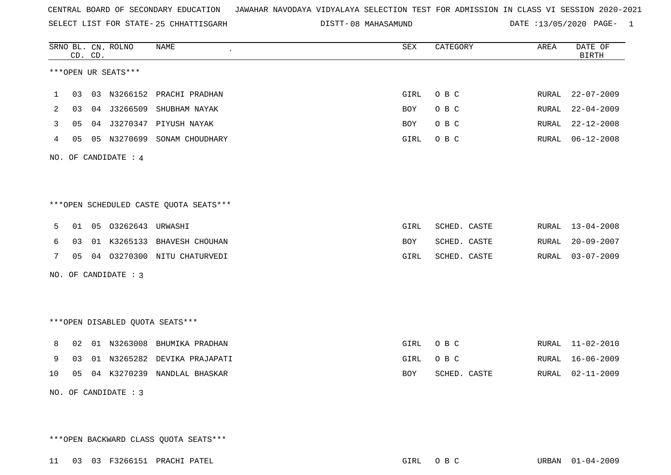SELECT LIST FOR STATE- DISTT- 25 CHHATTISGARH

08 MAHASAMUND DATE :13/05/2020 PAGE- 1

|                         |    | CD. CD. | SRNO BL. CN. ROLNO     | <b>NAME</b>                             | ${\tt SEX}$ | CATEGORY     | AREA  | DATE OF<br><b>BIRTH</b> |  |
|-------------------------|----|---------|------------------------|-----------------------------------------|-------------|--------------|-------|-------------------------|--|
|                         |    |         | ***OPEN UR SEATS***    |                                         |             |              |       |                         |  |
| 1                       | 03 |         |                        | 03 N3266152 PRACHI PRADHAN              | GIRL        | O B C        | RURAL | $22 - 07 - 2009$        |  |
| 2                       | 03 |         | 04 J3266509            | SHUBHAM NAYAK                           | BOY         | O B C        | RURAL | $22 - 04 - 2009$        |  |
| 3                       | 05 |         |                        | 04 J3270347 PIYUSH NAYAK                | BOY         | O B C        | RURAL | $22 - 12 - 2008$        |  |
| 4                       | 05 |         |                        | 05 N3270699 SONAM CHOUDHARY             | GIRL        | O B C        | RURAL | $06 - 12 - 2008$        |  |
| OF CANDIDATE : 4<br>NO. |    |         |                        |                                         |             |              |       |                         |  |
|                         |    |         |                        |                                         |             |              |       |                         |  |
|                         |    |         |                        | *** OPEN SCHEDULED CASTE QUOTA SEATS*** |             |              |       |                         |  |
| 5                       | 01 |         | 05 03262643 URWASHI    |                                         | GIRL        | SCHED. CASTE | RURAL | $13 - 04 - 2008$        |  |
| 6                       | 03 |         |                        | 01 K3265133 BHAVESH CHOUHAN             | BOY         | SCHED. CASTE | RURAL | $20 - 09 - 2007$        |  |
| 7                       |    |         |                        | 05 04 03270300 NITU CHATURVEDI          | GIRL        | SCHED. CASTE | RURAL | $03 - 07 - 2009$        |  |
|                         |    |         | NO. OF CANDIDATE : $3$ |                                         |             |              |       |                         |  |
|                         |    |         |                        | ***OPEN DISABLED QUOTA SEATS***         |             |              |       |                         |  |
| 8                       | 02 |         |                        | 01 N3263008 BHUMIKA PRADHAN             | GIRL        | O B C        |       | RURAL 11-02-2010        |  |
| 9                       | 03 |         |                        | 01 N3265282 DEVIKA PRAJAPATI            | GIRL        | O B C        | RURAL | $16 - 06 - 2009$        |  |
| 10                      | 05 |         |                        | 04 K3270239 NANDLAL BHASKAR             | <b>BOY</b>  | SCHED. CASTE | RURAL | $02 - 11 - 2009$        |  |
|                         |    |         | NO. OF CANDIDATE : $3$ |                                         |             |              |       |                         |  |

\*\*\*OPEN BACKWARD CLASS QUOTA SEATS\*\*\*

11 03 03 F3266151 PRACHI PATEL GIRL O B C URBAN 01-04-2009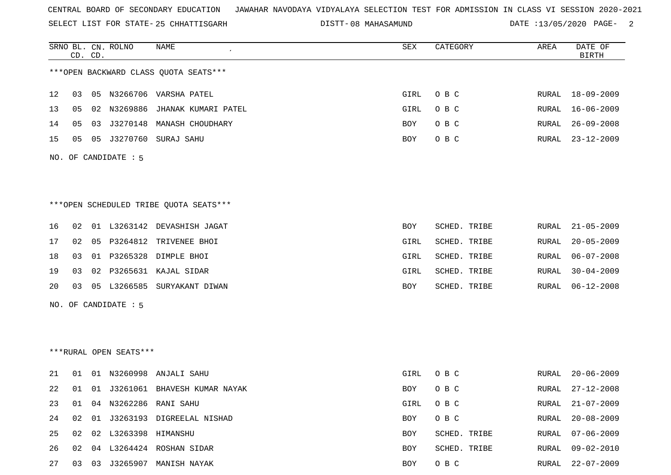SELECT LIST FOR STATE- DISTT- 25 CHHATTISGARH

08 MAHASAMUND DATE :13/05/2020 PAGE- 2

|                      |    | CD. CD. | SRNO BL. CN. ROLNO     | NAME                                   | SEX        | CATEGORY     | AREA  | DATE OF<br><b>BIRTH</b> |  |  |
|----------------------|----|---------|------------------------|----------------------------------------|------------|--------------|-------|-------------------------|--|--|
|                      |    |         |                        | *** OPEN BACKWARD CLASS QUOTA SEATS*** |            |              |       |                         |  |  |
| 12                   | 03 |         |                        | 05 N3266706 VARSHA PATEL               | GIRL       | O B C        |       | RURAL 18-09-2009        |  |  |
| 13                   | 05 |         |                        | 02 N3269886 JHANAK KUMARI PATEL        | GIRL       | O B C        | RURAL | $16 - 06 - 2009$        |  |  |
| 14                   | 05 | 03      |                        | J3270148 MANASH CHOUDHARY              | BOY        | O B C        | RURAL | $26 - 09 - 2008$        |  |  |
| 15                   | 05 | 05      |                        | J3270760 SURAJ SAHU                    | <b>BOY</b> | O B C        | RURAL | $23 - 12 - 2009$        |  |  |
| NO. OF CANDIDATE : 5 |    |         |                        |                                        |            |              |       |                         |  |  |
|                      |    |         |                        |                                        |            |              |       |                         |  |  |
|                      |    |         |                        |                                        |            |              |       |                         |  |  |
|                      |    |         |                        | ***OPEN SCHEDULED TRIBE QUOTA SEATS*** |            |              |       |                         |  |  |
| 16                   | 02 |         |                        | 01 L3263142 DEVASHISH JAGAT            | BOY        | SCHED. TRIBE | RURAL | $21 - 05 - 2009$        |  |  |
| 17                   | 02 | 05      |                        | P3264812 TRIVENEE BHOI                 | GIRL       | SCHED. TRIBE | RURAL | $20 - 05 - 2009$        |  |  |
| 18                   | 03 |         |                        | 01 P3265328 DIMPLE BHOI                | GIRL       | SCHED. TRIBE | RURAL | $06 - 07 - 2008$        |  |  |
| 19                   | 03 | 02      |                        | P3265631 KAJAL SIDAR                   | GIRL       | SCHED. TRIBE | RURAL | $30 - 04 - 2009$        |  |  |
| 20                   | 03 |         |                        | 05 L3266585 SURYAKANT DIWAN            | BOY        | SCHED. TRIBE | RURAL | $06 - 12 - 2008$        |  |  |
|                      |    |         | NO. OF CANDIDATE : 5   |                                        |            |              |       |                         |  |  |
|                      |    |         |                        |                                        |            |              |       |                         |  |  |
|                      |    |         |                        |                                        |            |              |       |                         |  |  |
|                      |    |         | ***RURAL OPEN SEATS*** |                                        |            |              |       |                         |  |  |
| 21                   | 01 |         |                        | 01 N3260998 ANJALI SAHU                | GIRL       | O B C        | RURAL | $20 - 06 - 2009$        |  |  |
| 22                   | 01 |         |                        | 01 J3261061 BHAVESH KUMAR NAYAK        | <b>BOY</b> | O B C        | RURAL | $27 - 12 - 2008$        |  |  |
| 23                   | 01 |         |                        | 04 N3262286 RANI SAHU                  | GIRL       | O B C        | RURAL | $21 - 07 - 2009$        |  |  |
| 24                   | 02 |         |                        | 01 J3263193 DIGREELAL NISHAD           | BOY        | O B C        | RURAL | $20 - 08 - 2009$        |  |  |
| 25                   | 02 |         | 02 L3263398 HIMANSHU   |                                        | BOY        | SCHED. TRIBE | RURAL | $07 - 06 - 2009$        |  |  |
| 26                   | 02 |         |                        | 04 L3264424 ROSHAN SIDAR               | BOY        | SCHED. TRIBE | RURAL | $09 - 02 - 2010$        |  |  |

27 03 03 J3265907 MANISH NAYAK BOY O B C RURAL 22-07-2009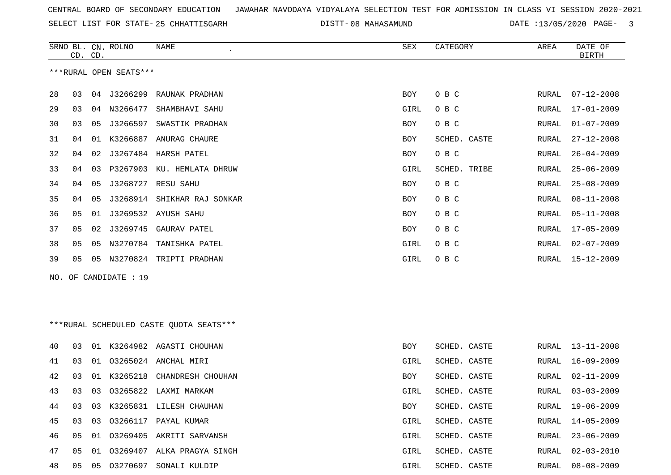SELECT LIST FOR STATE- DISTT- 25 CHHATTISGARH

DISTT-08 MAHASAMUND DATE :13/05/2020 PAGE- 3

| ***RURAL OPEN SEATS***<br>28<br>04 J3266299<br>03<br>RAUNAK PRADHAN<br>BOY<br>O B C<br>RURAL<br>$07 - 12 - 2008$<br>29<br>O B C<br>03<br>N3266477<br>SHAMBHAVI SAHU<br>GIRL<br>RURAL<br>17-01-2009<br>04<br>30<br>J3266597<br>SWASTIK PRADHAN<br>$01 - 07 - 2009$<br>03<br>05<br>BOY<br>O B C<br>RURAL<br>31<br>K3266887 ANURAG CHAURE<br>SCHED. CASTE<br>$27 - 12 - 2008$<br>04<br>01<br>BOY<br>RURAL<br>32<br>J3267484<br>HARSH PATEL<br>O B C<br>$26 - 04 - 2009$<br>04<br>02<br>BOY<br>RURAL<br>33<br>P3267903<br>KU. HEMLATA DHRUW<br>SCHED. TRIBE<br>$25 - 06 - 2009$<br>04<br>03<br>GIRL<br>RURAL<br>34<br>J3268727 RESU SAHU<br>O B C<br>04<br>05<br>$25 - 08 - 2009$<br>BOY<br>RURAL<br>35<br>J3268914 SHIKHAR RAJ SONKAR<br>O B C<br>$08 - 11 - 2008$<br>04<br>05<br>BOY<br>RURAL<br>36<br>J3269532 AYUSH SAHU<br>O B C<br>05<br>01<br>BOY<br>RURAL<br>$05 - 11 - 2008$<br>37<br>J3269745<br>GAURAV PATEL<br>O B C<br>$17 - 05 - 2009$<br>05<br>02<br>BOY<br>RURAL<br>38<br>N3270784<br>TANISHKA PATEL<br>O B C<br>$02 - 07 - 2009$<br>05<br>05<br>GIRL<br><b>RURAL</b><br>39<br>N3270824 TRIPTI PRADHAN<br>$15 - 12 - 2009$<br>05<br>05<br>GIRL<br>O B C<br>RURAL<br>OF CANDIDATE : 19<br>NO.<br>*** RURAL SCHEDULED CASTE QUOTA SEATS***<br>40<br>01 K3264982 AGASTI CHOUHAN<br>03<br>BOY<br>SCHED. CASTE<br>RURAL<br>13-11-2008<br>03265024<br>ANCHAL MIRI<br>SCHED. CASTE<br>$16 - 09 - 2009$<br>41<br>03<br>01<br>GIRL<br>RURAL<br>42<br>K3265218<br>CHANDRESH CHOUHAN<br>SCHED. CASTE<br>$02 - 11 - 2009$<br>03<br>01<br>BOY<br>RURAL<br>43<br>03<br>03265822 LAXMI MARKAM<br>$03 - 03 - 2009$<br>03<br>GIRL<br>SCHED. CASTE<br>RURAL<br>03<br>03 K3265831 LILESH CHAUHAN<br>$19 - 06 - 2009$<br>44<br>SCHED. CASTE<br>BOY<br>RURAL<br>45<br>03266117 PAYAL KUMAR<br>SCHED. CASTE<br>03<br>03<br>GIRL<br>RURAL<br>$14 - 05 - 2009$<br>03269405<br>$23 - 06 - 2009$<br>46<br>05<br>01<br>AKRITI SARVANSH<br>GIRL<br>SCHED. CASTE<br>RURAL<br>47<br>03269407 ALKA PRAGYA SINGH<br>SCHED. CASTE<br>05<br>01<br>GIRL<br>RURAL<br>$02 - 03 - 2010$<br>48<br>03270697 SONALI KULDIP<br>$08 - 08 - 2009$<br>05<br>05<br>GIRL<br>SCHED. CASTE<br>RURAL | CD. CD. | SRNO BL. CN. ROLNO | NAME | SEX | CATEGORY | AREA | DATE OF<br><b>BIRTH</b> |
|----------------------------------------------------------------------------------------------------------------------------------------------------------------------------------------------------------------------------------------------------------------------------------------------------------------------------------------------------------------------------------------------------------------------------------------------------------------------------------------------------------------------------------------------------------------------------------------------------------------------------------------------------------------------------------------------------------------------------------------------------------------------------------------------------------------------------------------------------------------------------------------------------------------------------------------------------------------------------------------------------------------------------------------------------------------------------------------------------------------------------------------------------------------------------------------------------------------------------------------------------------------------------------------------------------------------------------------------------------------------------------------------------------------------------------------------------------------------------------------------------------------------------------------------------------------------------------------------------------------------------------------------------------------------------------------------------------------------------------------------------------------------------------------------------------------------------------------------------------------------------------------------------------------------------------------------------------------------------------------------------------------------------------------------------------------------------------------------------------------------------------------------------------------|---------|--------------------|------|-----|----------|------|-------------------------|
|                                                                                                                                                                                                                                                                                                                                                                                                                                                                                                                                                                                                                                                                                                                                                                                                                                                                                                                                                                                                                                                                                                                                                                                                                                                                                                                                                                                                                                                                                                                                                                                                                                                                                                                                                                                                                                                                                                                                                                                                                                                                                                                                                                |         |                    |      |     |          |      |                         |
|                                                                                                                                                                                                                                                                                                                                                                                                                                                                                                                                                                                                                                                                                                                                                                                                                                                                                                                                                                                                                                                                                                                                                                                                                                                                                                                                                                                                                                                                                                                                                                                                                                                                                                                                                                                                                                                                                                                                                                                                                                                                                                                                                                |         |                    |      |     |          |      |                         |
|                                                                                                                                                                                                                                                                                                                                                                                                                                                                                                                                                                                                                                                                                                                                                                                                                                                                                                                                                                                                                                                                                                                                                                                                                                                                                                                                                                                                                                                                                                                                                                                                                                                                                                                                                                                                                                                                                                                                                                                                                                                                                                                                                                |         |                    |      |     |          |      |                         |
|                                                                                                                                                                                                                                                                                                                                                                                                                                                                                                                                                                                                                                                                                                                                                                                                                                                                                                                                                                                                                                                                                                                                                                                                                                                                                                                                                                                                                                                                                                                                                                                                                                                                                                                                                                                                                                                                                                                                                                                                                                                                                                                                                                |         |                    |      |     |          |      |                         |
|                                                                                                                                                                                                                                                                                                                                                                                                                                                                                                                                                                                                                                                                                                                                                                                                                                                                                                                                                                                                                                                                                                                                                                                                                                                                                                                                                                                                                                                                                                                                                                                                                                                                                                                                                                                                                                                                                                                                                                                                                                                                                                                                                                |         |                    |      |     |          |      |                         |
|                                                                                                                                                                                                                                                                                                                                                                                                                                                                                                                                                                                                                                                                                                                                                                                                                                                                                                                                                                                                                                                                                                                                                                                                                                                                                                                                                                                                                                                                                                                                                                                                                                                                                                                                                                                                                                                                                                                                                                                                                                                                                                                                                                |         |                    |      |     |          |      |                         |
|                                                                                                                                                                                                                                                                                                                                                                                                                                                                                                                                                                                                                                                                                                                                                                                                                                                                                                                                                                                                                                                                                                                                                                                                                                                                                                                                                                                                                                                                                                                                                                                                                                                                                                                                                                                                                                                                                                                                                                                                                                                                                                                                                                |         |                    |      |     |          |      |                         |
|                                                                                                                                                                                                                                                                                                                                                                                                                                                                                                                                                                                                                                                                                                                                                                                                                                                                                                                                                                                                                                                                                                                                                                                                                                                                                                                                                                                                                                                                                                                                                                                                                                                                                                                                                                                                                                                                                                                                                                                                                                                                                                                                                                |         |                    |      |     |          |      |                         |
|                                                                                                                                                                                                                                                                                                                                                                                                                                                                                                                                                                                                                                                                                                                                                                                                                                                                                                                                                                                                                                                                                                                                                                                                                                                                                                                                                                                                                                                                                                                                                                                                                                                                                                                                                                                                                                                                                                                                                                                                                                                                                                                                                                |         |                    |      |     |          |      |                         |
|                                                                                                                                                                                                                                                                                                                                                                                                                                                                                                                                                                                                                                                                                                                                                                                                                                                                                                                                                                                                                                                                                                                                                                                                                                                                                                                                                                                                                                                                                                                                                                                                                                                                                                                                                                                                                                                                                                                                                                                                                                                                                                                                                                |         |                    |      |     |          |      |                         |
|                                                                                                                                                                                                                                                                                                                                                                                                                                                                                                                                                                                                                                                                                                                                                                                                                                                                                                                                                                                                                                                                                                                                                                                                                                                                                                                                                                                                                                                                                                                                                                                                                                                                                                                                                                                                                                                                                                                                                                                                                                                                                                                                                                |         |                    |      |     |          |      |                         |
|                                                                                                                                                                                                                                                                                                                                                                                                                                                                                                                                                                                                                                                                                                                                                                                                                                                                                                                                                                                                                                                                                                                                                                                                                                                                                                                                                                                                                                                                                                                                                                                                                                                                                                                                                                                                                                                                                                                                                                                                                                                                                                                                                                |         |                    |      |     |          |      |                         |
|                                                                                                                                                                                                                                                                                                                                                                                                                                                                                                                                                                                                                                                                                                                                                                                                                                                                                                                                                                                                                                                                                                                                                                                                                                                                                                                                                                                                                                                                                                                                                                                                                                                                                                                                                                                                                                                                                                                                                                                                                                                                                                                                                                |         |                    |      |     |          |      |                         |
|                                                                                                                                                                                                                                                                                                                                                                                                                                                                                                                                                                                                                                                                                                                                                                                                                                                                                                                                                                                                                                                                                                                                                                                                                                                                                                                                                                                                                                                                                                                                                                                                                                                                                                                                                                                                                                                                                                                                                                                                                                                                                                                                                                |         |                    |      |     |          |      |                         |
|                                                                                                                                                                                                                                                                                                                                                                                                                                                                                                                                                                                                                                                                                                                                                                                                                                                                                                                                                                                                                                                                                                                                                                                                                                                                                                                                                                                                                                                                                                                                                                                                                                                                                                                                                                                                                                                                                                                                                                                                                                                                                                                                                                |         |                    |      |     |          |      |                         |
|                                                                                                                                                                                                                                                                                                                                                                                                                                                                                                                                                                                                                                                                                                                                                                                                                                                                                                                                                                                                                                                                                                                                                                                                                                                                                                                                                                                                                                                                                                                                                                                                                                                                                                                                                                                                                                                                                                                                                                                                                                                                                                                                                                |         |                    |      |     |          |      |                         |
|                                                                                                                                                                                                                                                                                                                                                                                                                                                                                                                                                                                                                                                                                                                                                                                                                                                                                                                                                                                                                                                                                                                                                                                                                                                                                                                                                                                                                                                                                                                                                                                                                                                                                                                                                                                                                                                                                                                                                                                                                                                                                                                                                                |         |                    |      |     |          |      |                         |
|                                                                                                                                                                                                                                                                                                                                                                                                                                                                                                                                                                                                                                                                                                                                                                                                                                                                                                                                                                                                                                                                                                                                                                                                                                                                                                                                                                                                                                                                                                                                                                                                                                                                                                                                                                                                                                                                                                                                                                                                                                                                                                                                                                |         |                    |      |     |          |      |                         |
|                                                                                                                                                                                                                                                                                                                                                                                                                                                                                                                                                                                                                                                                                                                                                                                                                                                                                                                                                                                                                                                                                                                                                                                                                                                                                                                                                                                                                                                                                                                                                                                                                                                                                                                                                                                                                                                                                                                                                                                                                                                                                                                                                                |         |                    |      |     |          |      |                         |
|                                                                                                                                                                                                                                                                                                                                                                                                                                                                                                                                                                                                                                                                                                                                                                                                                                                                                                                                                                                                                                                                                                                                                                                                                                                                                                                                                                                                                                                                                                                                                                                                                                                                                                                                                                                                                                                                                                                                                                                                                                                                                                                                                                |         |                    |      |     |          |      |                         |
|                                                                                                                                                                                                                                                                                                                                                                                                                                                                                                                                                                                                                                                                                                                                                                                                                                                                                                                                                                                                                                                                                                                                                                                                                                                                                                                                                                                                                                                                                                                                                                                                                                                                                                                                                                                                                                                                                                                                                                                                                                                                                                                                                                |         |                    |      |     |          |      |                         |
|                                                                                                                                                                                                                                                                                                                                                                                                                                                                                                                                                                                                                                                                                                                                                                                                                                                                                                                                                                                                                                                                                                                                                                                                                                                                                                                                                                                                                                                                                                                                                                                                                                                                                                                                                                                                                                                                                                                                                                                                                                                                                                                                                                |         |                    |      |     |          |      |                         |
|                                                                                                                                                                                                                                                                                                                                                                                                                                                                                                                                                                                                                                                                                                                                                                                                                                                                                                                                                                                                                                                                                                                                                                                                                                                                                                                                                                                                                                                                                                                                                                                                                                                                                                                                                                                                                                                                                                                                                                                                                                                                                                                                                                |         |                    |      |     |          |      |                         |
|                                                                                                                                                                                                                                                                                                                                                                                                                                                                                                                                                                                                                                                                                                                                                                                                                                                                                                                                                                                                                                                                                                                                                                                                                                                                                                                                                                                                                                                                                                                                                                                                                                                                                                                                                                                                                                                                                                                                                                                                                                                                                                                                                                |         |                    |      |     |          |      |                         |
|                                                                                                                                                                                                                                                                                                                                                                                                                                                                                                                                                                                                                                                                                                                                                                                                                                                                                                                                                                                                                                                                                                                                                                                                                                                                                                                                                                                                                                                                                                                                                                                                                                                                                                                                                                                                                                                                                                                                                                                                                                                                                                                                                                |         |                    |      |     |          |      |                         |
|                                                                                                                                                                                                                                                                                                                                                                                                                                                                                                                                                                                                                                                                                                                                                                                                                                                                                                                                                                                                                                                                                                                                                                                                                                                                                                                                                                                                                                                                                                                                                                                                                                                                                                                                                                                                                                                                                                                                                                                                                                                                                                                                                                |         |                    |      |     |          |      |                         |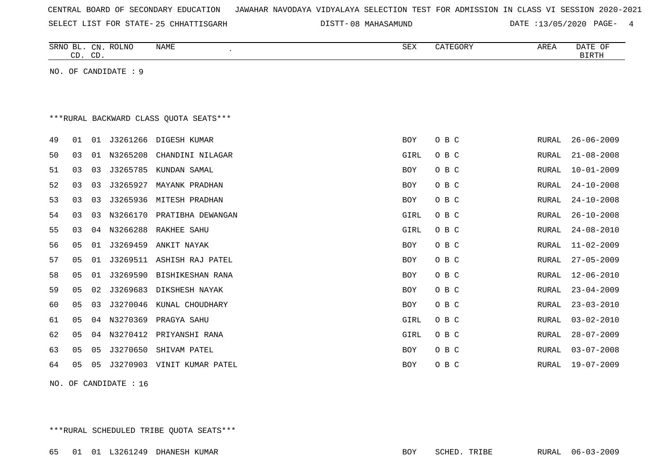| CENTRAL BOARD OF SECONDARY EDUCATION – JAWAHAR NAVODAYA VIDYALAYA SELECTION TEST FOR ADMISSION IN CLASS VI SESSION 2020-2021 |  |  |  |  |
|------------------------------------------------------------------------------------------------------------------------------|--|--|--|--|
|------------------------------------------------------------------------------------------------------------------------------|--|--|--|--|

SELECT LIST FOR STATE- DISTT- 25 CHHATTISGARH

08 MAHASAMUND DATE :13/05/2020 PAGE- 4

|                                        | CD. CD.        |                | SRNO BL. CN. ROLNO   | <b>NAME</b>       | SEX        | CATEGORY | AREA  | DATE OF<br><b>BIRTH</b> |  |
|----------------------------------------|----------------|----------------|----------------------|-------------------|------------|----------|-------|-------------------------|--|
|                                        |                |                | NO. OF CANDIDATE : 9 |                   |            |          |       |                         |  |
|                                        |                |                |                      |                   |            |          |       |                         |  |
|                                        |                |                |                      |                   |            |          |       |                         |  |
| ***RURAL BACKWARD CLASS OUOTA SEATS*** |                |                |                      |                   |            |          |       |                         |  |
| 49                                     | 01             | 01             | J3261266             | DIGESH KUMAR      | <b>BOY</b> | O B C    | RURAL | $26 - 06 - 2009$        |  |
| 50                                     | 03             | 01             | N3265208             | CHANDINI NILAGAR  | GIRL       | O B C    | RURAL | $21 - 08 - 2008$        |  |
| 51                                     | 03             | 03             | J3265785             | KUNDAN SAMAL      | <b>BOY</b> | O B C    | RURAL | $10 - 01 - 2009$        |  |
| 52                                     | 03             | 03             | J3265927             | MAYANK PRADHAN    | BOY        | O B C    | RURAL | $24 - 10 - 2008$        |  |
| 53                                     | 03             | 03             | J3265936             | MITESH PRADHAN    | BOY        | O B C    | RURAL | $24 - 10 - 2008$        |  |
| 54                                     | 03             | 03             | N3266170             | PRATIBHA DEWANGAN | GIRL       | O B C    | RURAL | $26 - 10 - 2008$        |  |
| 55                                     | 03             | 04             | N3266288             | RAKHEE SAHU       | GIRL       | O B C    | RURAL | $24 - 08 - 2010$        |  |
| 56                                     | 0 <sub>5</sub> | 01             | J3269459             | ANKIT NAYAK       | BOY        | O B C    | RURAL | $11 - 02 - 2009$        |  |
| 57                                     | 05             | 01             | J3269511             | ASHISH RAJ PATEL  | <b>BOY</b> | O B C    | RURAL | $27 - 05 - 2009$        |  |
| 58                                     | 0 <sub>5</sub> | 01             | J3269590             | BISHIKESHAN RANA  | BOY        | O B C    | RURAL | $12 - 06 - 2010$        |  |
| 59                                     | 0 <sub>5</sub> | 02             | J3269683             | DIKSHESH NAYAK    | BOY        | O B C    | RURAL | $23 - 04 - 2009$        |  |
| 60                                     | 05             | 03             | J3270046             | KUNAL CHOUDHARY   | <b>BOY</b> | O B C    | RURAL | $23 - 03 - 2010$        |  |
| 61                                     | 0 <sub>5</sub> | 04             | N3270369             | PRAGYA SAHU       | GIRL       | O B C    | RURAL | $03 - 02 - 2010$        |  |
| 62                                     | 0 <sub>5</sub> | 04             | N3270412             | PRIYANSHI RANA    | GIRL       | O B C    | RURAL | $28 - 07 - 2009$        |  |
| 63                                     | 05             | 05             | J3270650             | SHIVAM PATEL      | <b>BOY</b> | O B C    | RURAL | $03 - 07 - 2008$        |  |
| 64                                     | 05             | 0 <sub>5</sub> | J3270903             | VINIT KUMAR PATEL | <b>BOY</b> | O B C    | RURAL | $19 - 07 - 2009$        |  |
|                                        |                |                |                      |                   |            |          |       |                         |  |

NO. OF CANDIDATE : 16

\*\*\*RURAL SCHEDULED TRIBE QUOTA SEATS\*\*\*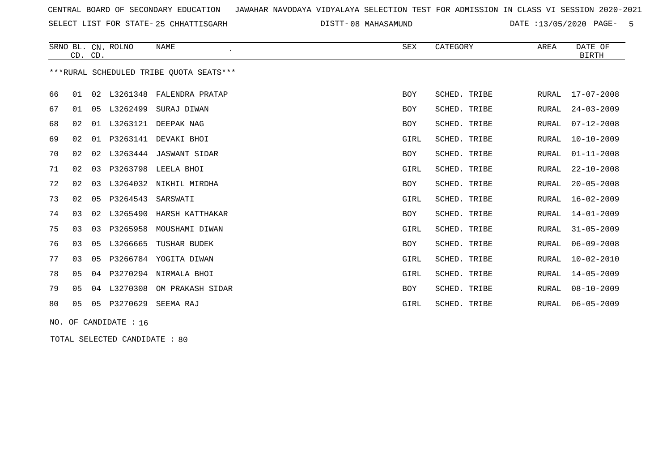SELECT LIST FOR STATE- DISTT- 25 CHHATTISGARH

08 MAHASAMUND DATE :13/05/2020 PAGE- 5

|    | CD. CD.        |    | SRNO BL. CN. ROLNO | <b>NAME</b>                             | <b>SEX</b> | CATEGORY            | AREA         | DATE OF<br><b>BIRTH</b> |
|----|----------------|----|--------------------|-----------------------------------------|------------|---------------------|--------------|-------------------------|
|    |                |    |                    | ***RURAL SCHEDULED TRIBE OUOTA SEATS*** |            |                     |              |                         |
| 66 | 01             | 02 | L3261348           | FALENDRA PRATAP                         | <b>BOY</b> | SCHED. TRIBE        | RURAL        | $17 - 07 - 2008$        |
| 67 | 01             | 05 | L3262499           | SURAJ DIWAN                             | <b>BOY</b> | SCHED. TRIBE        | <b>RURAL</b> | $24 - 03 - 2009$        |
| 68 | 02             | 01 | L3263121           | DEEPAK NAG                              | <b>BOY</b> | SCHED. TRIBE        | <b>RURAL</b> | $07 - 12 - 2008$        |
| 69 | 02             | 01 | P3263141           | DEVAKI BHOI                             | GIRL       | SCHED. TRIBE        | <b>RURAL</b> | $10 - 10 - 2009$        |
| 70 | 02             | 02 | L3263444           | <b>JASWANT SIDAR</b>                    | <b>BOY</b> | SCHED. TRIBE        | <b>RURAL</b> | $01 - 11 - 2008$        |
| 71 | 02             | 03 | P3263798           | LEELA BHOI                              | GIRL       | SCHED. TRIBE        | RURAL        | $22 - 10 - 2008$        |
| 72 | 02             | 03 | L3264032           | NIKHIL MIRDHA                           | <b>BOY</b> | SCHED. TRIBE        | <b>RURAL</b> | $20 - 05 - 2008$        |
| 73 | 02             | 05 | P3264543           | SARSWATI                                | GIRL       | SCHED. TRIBE        | RURAL        | $16 - 02 - 2009$        |
| 74 | 03             | 02 | L3265490           | HARSH KATTHAKAR                         | <b>BOY</b> | SCHED. TRIBE        | <b>RURAL</b> | $14 - 01 - 2009$        |
| 75 | 03             | 03 | P3265958           | MOUSHAMI DIWAN                          | GIRL       | SCHED. TRIBE        | <b>RURAL</b> | $31 - 05 - 2009$        |
| 76 | 03             | 05 | L3266665           | TUSHAR BUDEK                            | <b>BOY</b> | <b>SCHED. TRIBE</b> | <b>RURAL</b> | $06 - 09 - 2008$        |
| 77 | 03             | 05 |                    | P3266784 YOGITA DIWAN                   | GIRL       | SCHED. TRIBE        | RURAL        | $10 - 02 - 2010$        |
| 78 | 05             | 04 |                    | P3270294 NIRMALA BHOI                   | GIRL       | SCHED. TRIBE        | <b>RURAL</b> | $14 - 05 - 2009$        |
| 79 | 05             | 04 | L3270308           | OM PRAKASH SIDAR                        | BOY        | SCHED. TRIBE        | <b>RURAL</b> | $08 - 10 - 2009$        |
| 80 | 0 <sub>5</sub> | 05 | P3270629           | SEEMA RAJ                               | GIRL       | SCHED. TRIBE        | RURAL        | $06 - 05 - 2009$        |

NO. OF CANDIDATE : 16

TOTAL SELECTED CANDIDATE : 80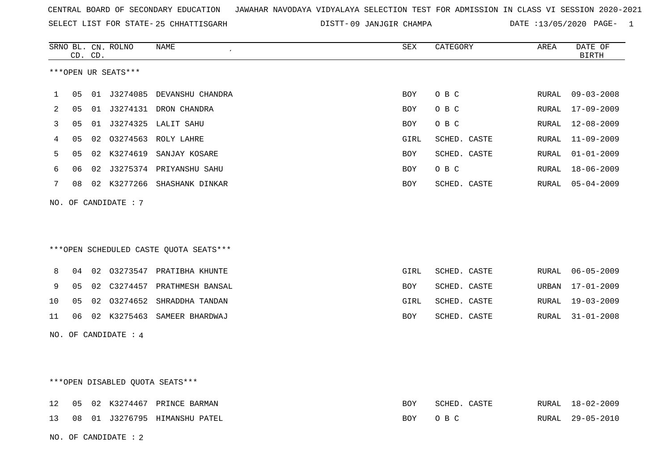SELECT LIST FOR STATE- DISTT- 25 CHHATTISGARH

09 JANJGIR CHAMPA DATE :13/05/2020 PAGE- 1

|     |                | CD. CD. | SRNO BL. CN. ROLNO   | NAME                                   | SEX        | CATEGORY     | AREA  | DATE OF<br><b>BIRTH</b> |
|-----|----------------|---------|----------------------|----------------------------------------|------------|--------------|-------|-------------------------|
|     |                |         | ***OPEN UR SEATS***  |                                        |            |              |       |                         |
| 1   | 05             |         |                      | 01 J3274085 DEVANSHU CHANDRA           | <b>BOY</b> | O B C        | RURAL | $09 - 03 - 2008$        |
| 2   | 05             |         |                      | 01 J3274131 DRON CHANDRA               | BOY        | O B C        | RURAL | 17-09-2009              |
| 3   | 05             |         |                      | 01 J3274325 LALIT SAHU                 | <b>BOY</b> | O B C        | RURAL | $12 - 08 - 2009$        |
| 4   | 05             |         |                      | 02 03274563 ROLY LAHRE                 | GIRL       | SCHED. CASTE | RURAL | $11 - 09 - 2009$        |
| 5   | 05             |         |                      | 02 K3274619 SANJAY KOSARE              | <b>BOY</b> | SCHED. CASTE | RURAL | $01 - 01 - 2009$        |
| 6   | 06             |         |                      | 02 J3275374 PRIYANSHU SAHU             | <b>BOY</b> | O B C        | RURAL | $18 - 06 - 2009$        |
| 7   | 08             |         |                      | 02 K3277266 SHASHANK DINKAR            | BOY        | SCHED. CASTE | RURAL | 05-04-2009              |
| NO. |                |         | OF CANDIDATE : 7     |                                        |            |              |       |                         |
|     |                |         |                      | ***OPEN SCHEDULED CASTE QUOTA SEATS*** |            |              |       |                         |
| 8   | 04             |         |                      | 02 03273547 PRATIBHA KHUNTE            | GIRL       | SCHED. CASTE | RURAL | 06-05-2009              |
| 9   | 05             |         |                      | 02 C3274457 PRATHMESH BANSAL           | BOY        | SCHED. CASTE | URBAN | $17 - 01 - 2009$        |
| 10  | 0 <sub>5</sub> |         |                      | 02 03274652 SHRADDHA TANDAN            | GIRL       | SCHED. CASTE | RURAL | $19 - 03 - 2009$        |
| 11  | 06             |         |                      | 02 K3275463 SAMEER BHARDWAJ            | BOY        | SCHED. CASTE | RURAL | $31 - 01 - 2008$        |
|     |                |         | NO. OF CANDIDATE : 4 |                                        |            |              |       |                         |
|     |                |         |                      | ***OPEN DISABLED QUOTA SEATS***        |            |              |       |                         |
| 12  | 05             |         |                      | 02 K3274467 PRINCE BARMAN              | <b>BOY</b> | SCHED. CASTE | RURAL | 18-02-2009              |
| 13  | 08             |         |                      | 01 J3276795 HIMANSHU PATEL             | BOY        | O B C        | RURAL | $29 - 05 - 2010$        |
|     |                |         | NO. OF CANDIDATE: 2  |                                        |            |              |       |                         |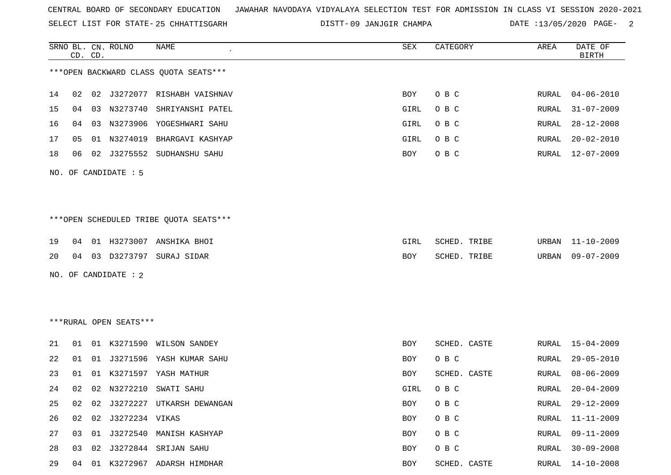SELECT LIST FOR STATE- DISTT- 25 CHHATTISGARH

09 JANJGIR CHAMPA DATE :13/05/2020 PAGE- 2

|    |    | CD. CD. | SRNO BL. CN. ROLNO     | NAME                                   | SEX         | CATEGORY     | AREA  | DATE OF<br><b>BIRTH</b> |
|----|----|---------|------------------------|----------------------------------------|-------------|--------------|-------|-------------------------|
|    |    |         |                        | *** OPEN BACKWARD CLASS QUOTA SEATS*** |             |              |       |                         |
| 14 | 02 |         |                        | 02 J3272077 RISHABH VAISHNAV           | BOY         | O B C        | RURAL | $04 - 06 - 2010$        |
| 15 | 04 | 03      |                        | N3273740 SHRIYANSHI PATEL              | GIRL        | O B C        | RURAL | $31 - 07 - 2009$        |
| 16 | 04 | 03      |                        | N3273906 YOGESHWARI SAHU               | GIRL        | O B C        | RURAL | $28 - 12 - 2008$        |
| 17 | 05 | 01      |                        | N3274019 BHARGAVI KASHYAP              | <b>GIRL</b> | O B C        | RURAL | $20 - 02 - 2010$        |
| 18 | 06 |         |                        | 02 J3275552 SUDHANSHU SAHU             | BOY         | O B C        | RURAL | 12-07-2009              |
|    |    |         | NO. OF CANDIDATE : 5   |                                        |             |              |       |                         |
|    |    |         |                        |                                        |             |              |       |                         |
|    |    |         |                        | ***OPEN SCHEDULED TRIBE QUOTA SEATS*** |             |              |       |                         |
| 19 | 04 |         |                        | 01 H3273007 ANSHIKA BHOI               | GIRL        | SCHED. TRIBE | URBAN | $11 - 10 - 2009$        |
| 20 |    |         |                        | 04  03  D3273797  SURAJ SIDAR          | BOY         | SCHED. TRIBE | URBAN | $09 - 07 - 2009$        |
|    |    |         | NO. OF CANDIDATE : 2   |                                        |             |              |       |                         |
|    |    |         |                        |                                        |             |              |       |                         |
|    |    |         |                        |                                        |             |              |       |                         |
|    |    |         | ***RURAL OPEN SEATS*** |                                        |             |              |       |                         |
| 21 |    |         |                        | 01 01 K3271590 WILSON SANDEY           | BOY         | SCHED. CASTE | RURAL | 15-04-2009              |
| 22 | 01 | 01      |                        | J3271596 YASH KUMAR SAHU               | BOY         | O B C        | RURAL | $29 - 05 - 2010$        |
| 23 | 01 | 01      |                        | K3271597 YASH MATHUR                   | BOY         | SCHED. CASTE | RURAL | $08 - 06 - 2009$        |
| 24 | 02 | 02      | N3272210               | SWATI SAHU                             | <b>GIRL</b> | O B C        | RURAL | $20 - 04 - 2009$        |
|    |    |         |                        | 25 02 02 J3272227 UTKARSH DEWANGAN     |             | BOY OBC      |       | RURAL 29-12-2009        |
| 26 |    |         | 02 02 J3272234 VIKAS   |                                        | BOY         | O B C        | RURAL | $11 - 11 - 2009$        |
| 27 |    |         |                        | 03 01 J3272540 MANISH KASHYAP          | BOY         | O B C        | RURAL | $09 - 11 - 2009$        |
| 28 |    |         |                        | 03 02 J3272844 SRIJAN SAHU             | BOY         | O B C        | RURAL | $30 - 09 - 2008$        |
| 29 |    |         |                        | 04 01 K3272967 ADARSH HIMDHAR          | BOY         | SCHED. CASTE | RURAL | 14-10-2008              |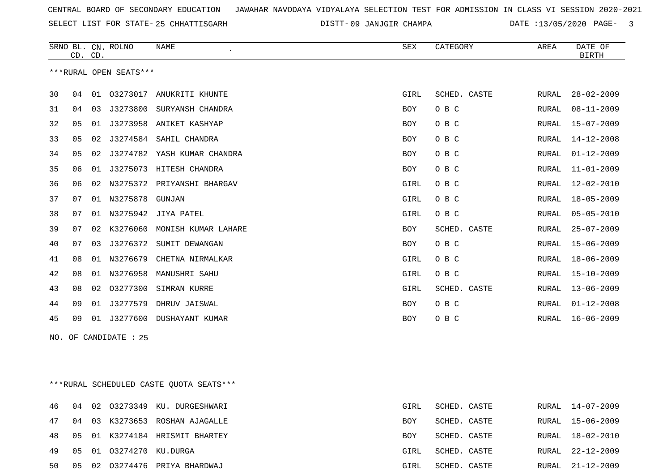SELECT LIST FOR STATE- DISTT- 25 CHHATTISGARH

09 JANJGIR CHAMPA DATE :13/05/2020 PAGE- 3

|    | CD. CD.               |    | SRNO BL. CN. ROLNO     | <b>NAME</b>                  | SEX        | CATEGORY     | AREA  | DATE OF<br><b>BIRTH</b> |  |
|----|-----------------------|----|------------------------|------------------------------|------------|--------------|-------|-------------------------|--|
|    |                       |    | ***RURAL OPEN SEATS*** |                              |            |              |       |                         |  |
| 30 | 04                    |    | 01 03273017            | ANUKRITI KHUNTE              | GIRL       | SCHED. CASTE | RURAL | $28 - 02 - 2009$        |  |
| 31 | 04                    | 03 | J3273800               | SURYANSH CHANDRA             | <b>BOY</b> | O B C        | RURAL | $08 - 11 - 2009$        |  |
| 32 | 05                    | 01 |                        | J3273958 ANIKET KASHYAP      | <b>BOY</b> | O B C        | RURAL | $15 - 07 - 2009$        |  |
| 33 | 05                    | 02 | J3274584               | SAHIL CHANDRA                | <b>BOY</b> | O B C        | RURAL | $14 - 12 - 2008$        |  |
| 34 | 05                    | 02 |                        | J3274782 YASH KUMAR CHANDRA  | BOY        | O B C        | RURAL | $01 - 12 - 2009$        |  |
| 35 | 06                    | 01 |                        | J3275073 HITESH CHANDRA      | BOY        | O B C        | RURAL | $11 - 01 - 2009$        |  |
| 36 | 06                    | 02 |                        | N3275372 PRIYANSHI BHARGAV   | GIRL       | O B C        | RURAL | $12 - 02 - 2010$        |  |
| 37 | 07                    | 01 | N3275878               | GUNJAN                       | GIRL       | O B C        | RURAL | $18 - 05 - 2009$        |  |
| 38 | 07                    | 01 |                        | N3275942 JIYA PATEL          | GIRL       | O B C        | RURAL | $05 - 05 - 2010$        |  |
| 39 | 07                    | 02 |                        | K3276060 MONISH KUMAR LAHARE | <b>BOY</b> | SCHED. CASTE | RURAL | $25 - 07 - 2009$        |  |
| 40 | 07                    | 03 |                        | J3276372 SUMIT DEWANGAN      | <b>BOY</b> | O B C        | RURAL | $15 - 06 - 2009$        |  |
| 41 | 08                    | 01 | N3276679               | CHETNA NIRMALKAR             | GIRL       | O B C        | RURAL | $18 - 06 - 2009$        |  |
| 42 | 08                    | 01 | N3276958               | MANUSHRI SAHU                | GIRL       | O B C        | RURAL | $15 - 10 - 2009$        |  |
| 43 | 08                    | 02 |                        | 03277300 SIMRAN KURRE        | GIRL       | SCHED. CASTE | RURAL | $13 - 06 - 2009$        |  |
| 44 | 09                    | 01 | J3277579               | DHRUV JAISWAL                | <b>BOY</b> | O B C        | RURAL | $01 - 12 - 2008$        |  |
| 45 | 09                    |    |                        | 01 J3277600 DUSHAYANT KUMAR  | <b>BOY</b> | O B C        | RURAL | $16 - 06 - 2009$        |  |
|    | NO. OF CANDIDATE : 25 |    |                        |                              |            |              |       |                         |  |
|    |                       |    |                        |                              |            |              |       |                         |  |
|    |                       |    |                        |                              |            |              |       |                         |  |

\*\*\*RURAL SCHEDULED CASTE QUOTA SEATS\*\*\*

|  |                            | 46 04 02 03273349 KU. DURGESHWARI         | GIRL       | SCHED. CASTE |  | RURAL 14-07-2009 |
|--|----------------------------|-------------------------------------------|------------|--------------|--|------------------|
|  |                            | 47 04 03 K3273653 ROSHAN AJAGALLE         | <b>BOY</b> | SCHED. CASTE |  | RURAL 15-06-2009 |
|  |                            | 48   05   01   K3274184   HRISMIT BHARTEY | BOY        | SCHED. CASTE |  | RURAL 18-02-2010 |
|  | 49 05 01 03274270 KU.DURGA |                                           | GIRL       | SCHED. CASTE |  | RURAL 22-12-2009 |
|  |                            | 50 05 02 03274476 PRIYA BHARDWAJ          | GIRL       | SCHED. CASTE |  | RURAL 21-12-2009 |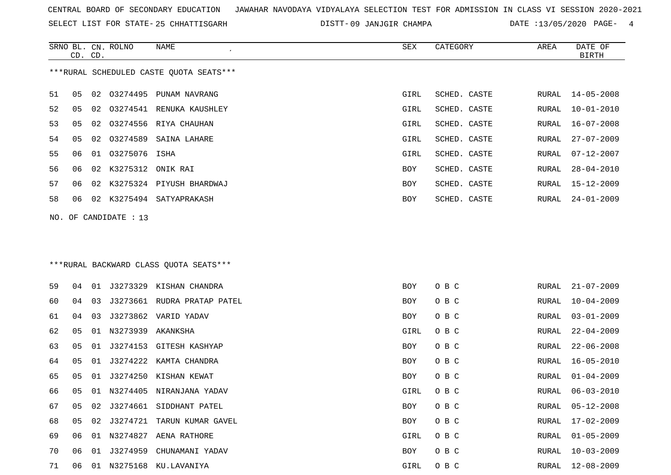SELECT LIST FOR STATE- DISTT- 25 CHHATTISGARH

DISTT-09 JANJGIR CHAMPA DATE :13/05/2020 PAGE- 4

|    | CD. CD. |    | SRNO BL. CN. ROLNO    | NAME                                    | SEX        | CATEGORY     | AREA  | DATE OF<br><b>BIRTH</b> |
|----|---------|----|-----------------------|-----------------------------------------|------------|--------------|-------|-------------------------|
|    |         |    |                       | ***RURAL SCHEDULED CASTE QUOTA SEATS*** |            |              |       |                         |
| 51 | 05      | 02 |                       | 03274495 PUNAM NAVRANG                  | GIRL       | SCHED. CASTE | RURAL | $14 - 05 - 2008$        |
| 52 | 05      | 02 |                       | 03274541 RENUKA KAUSHLEY                | GIRL       | SCHED. CASTE | RURAL | $10 - 01 - 2010$        |
| 53 | 05      | 02 | 03274556              | RIYA CHAUHAN                            | GIRL       | SCHED. CASTE | RURAL | $16 - 07 - 2008$        |
| 54 | 05      | 02 | 03274589              | SAINA LAHARE                            | GIRL       | SCHED. CASTE | RURAL | $27 - 07 - 2009$        |
| 55 | 06      | 01 | 03275076              | ISHA                                    | GIRL       | SCHED. CASTE | RURAL | $07 - 12 - 2007$        |
| 56 | 06      | 02 | K3275312              | ONIK RAI                                | BOY        | SCHED. CASTE | RURAL | $28 - 04 - 2010$        |
| 57 | 06      |    |                       | 02 K3275324 PIYUSH BHARDWAJ             | BOY        | SCHED. CASTE | RURAL | 15-12-2009              |
| 58 | 06      |    |                       | 02 K3275494 SATYAPRAKASH                | BOY        | SCHED. CASTE | RURAL | $24 - 01 - 2009$        |
|    |         |    | NO. OF CANDIDATE : 13 |                                         |            |              |       |                         |
|    |         |    |                       |                                         |            |              |       |                         |
|    |         |    |                       | *** RURAL BACKWARD CLASS QUOTA SEATS*** |            |              |       |                         |
| 59 | 04      |    |                       | 01 J3273329 KISHAN CHANDRA              | BOY        | O B C        | RURAL | $21 - 07 - 2009$        |
| 60 | 04      | 03 |                       | J3273661 RUDRA PRATAP PATEL             | BOY        | O B C        | RURAL | $10 - 04 - 2009$        |
| 61 | 04      | 03 |                       | J3273862 VARID YADAV                    | BOY        | O B C        | RURAL | $03 - 01 - 2009$        |
| 62 | 05      | 01 | N3273939              | AKANKSHA                                | GIRL       | O B C        | RURAL | $22 - 04 - 2009$        |
| 63 | 05      | 01 |                       | J3274153 GITESH KASHYAP                 | BOY        | O B C        | RURAL | $22 - 06 - 2008$        |
| 64 | 05      | 01 | J3274222              | KAMTA CHANDRA                           | BOY        | O B C        | RURAL | $16 - 05 - 2010$        |
| 65 | 05      | 01 |                       | J3274250 KISHAN KEWAT                   | BOY        | O B C        | RURAL | $01 - 04 - 2009$        |
| 66 | 05      |    |                       | 01 N3274405 NIRANJANA YADAV             | GIRL       | O B C        | RURAL | $06 - 03 - 2010$        |
| 67 | 05      | 02 |                       | J3274661 SIDDHANT PATEL                 | BOY        | O B C        | RURAL | $05 - 12 - 2008$        |
| 68 | 05      |    |                       | 02 J3274721 TARUN KUMAR GAVEL           | <b>BOY</b> | O B C        | RURAL | $17 - 02 - 2009$        |
| 69 | 06      |    |                       | 01 N3274827 AENA RATHORE                | GIRL       | O B C        | RURAL | $01 - 05 - 2009$        |
| 70 | 06      |    |                       | 01 J3274959 CHUNAMANI YADAV             | BOY        | O B C        | RURAL | $10 - 03 - 2009$        |
| 71 | 06      |    |                       | 01 N3275168 KU.LAVANIYA                 | GIRL       | O B C        |       | RURAL 12-08-2009        |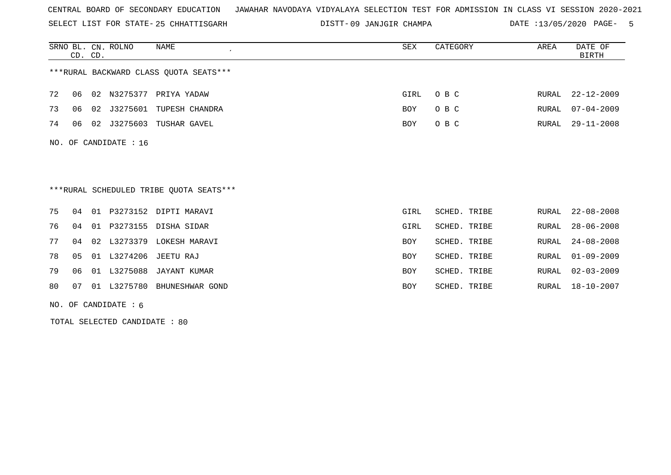SELECT LIST FOR STATE- DISTT- 25 CHHATTISGARH

09 JANJGIR CHAMPA DATE :13/05/2020 PAGE- 5

|     |                                        | CD. CD. | SRNO BL. CN. ROLNO     | NAME                                    | SEX  | CATEGORY     | AREA  | DATE OF<br><b>BIRTH</b> |  |  |  |
|-----|----------------------------------------|---------|------------------------|-----------------------------------------|------|--------------|-------|-------------------------|--|--|--|
|     | ***RURAL BACKWARD CLASS OUOTA SEATS*** |         |                        |                                         |      |              |       |                         |  |  |  |
| 72  | 06                                     | 02      |                        | N3275377 PRIYA YADAW                    | GIRL | O B C        | RURAL | $22 - 12 - 2009$        |  |  |  |
| 73  | 06                                     | 02      | J3275601               | TUPESH CHANDRA                          | BOY  | O B C        | RURAL | $07 - 04 - 2009$        |  |  |  |
| 74  | 06                                     |         |                        | 02 J3275603 TUSHAR GAVEL                | BOY  | O B C        | RURAL | $29 - 11 - 2008$        |  |  |  |
| NO. |                                        |         | OF CANDIDATE : 16      |                                         |      |              |       |                         |  |  |  |
|     |                                        |         |                        | ***RURAL SCHEDULED TRIBE OUOTA SEATS*** |      |              |       |                         |  |  |  |
| 75  | 04                                     |         |                        | 01 P3273152 DIPTI MARAVI                | GIRL | SCHED. TRIBE | RURAL | $22 - 08 - 2008$        |  |  |  |
| 76  | 04                                     |         |                        | 01 P3273155 DISHA SIDAR                 | GIRL | SCHED. TRIBE | RURAL | $28 - 06 - 2008$        |  |  |  |
| 77  | 04                                     |         |                        | 02 L3273379 LOKESH MARAVI               | BOY  | SCHED. TRIBE | RURAL | $24 - 08 - 2008$        |  |  |  |
| 78  | 0 <sub>5</sub>                         |         |                        | 01 L3274206 JEETU RAJ                   | BOY  | SCHED. TRIBE | RURAL | $01 - 09 - 2009$        |  |  |  |
| 79  | 06                                     |         | 01 L3275088            | JAYANT KUMAR                            | BOY  | SCHED. TRIBE | RURAL | $02 - 03 - 2009$        |  |  |  |
| 80  | 07                                     |         | 01 L3275780            | BHUNESHWAR GOND                         | BOY  | SCHED. TRIBE | RURAL | $18 - 10 - 2007$        |  |  |  |
|     |                                        |         | NO. OF CANDIDATE $: 6$ |                                         |      |              |       |                         |  |  |  |

TOTAL SELECTED CANDIDATE : 80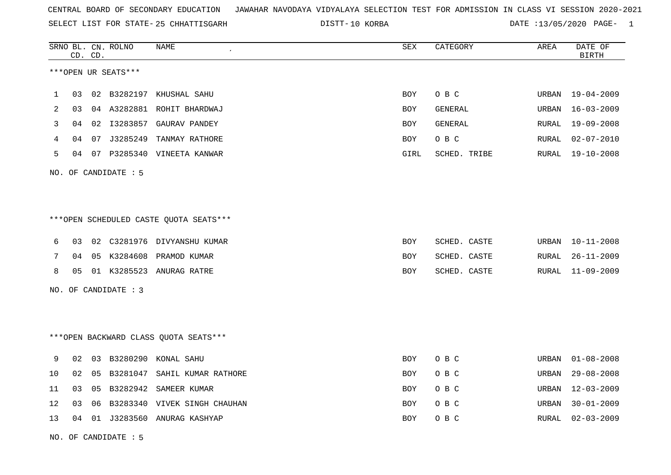SELECT LIST FOR STATE- DISTT- 25 CHHATTISGARH

10 KORBA DATE :13/05/2020 PAGE- 1

|             |    | CD. CD. | SRNO BL. CN. ROLNO   | NAME                                    | ${\tt SEX}$ | CATEGORY       | AREA  | DATE OF<br><b>BIRTH</b> |  |  |  |  |
|-------------|----|---------|----------------------|-----------------------------------------|-------------|----------------|-------|-------------------------|--|--|--|--|
|             |    |         | ***OPEN UR SEATS***  |                                         |             |                |       |                         |  |  |  |  |
| $\mathbf 1$ | 03 |         | 02 B3282197          | KHUSHAL SAHU                            | BOY         | O B C          | URBAN | 19-04-2009              |  |  |  |  |
| 2           | 03 |         |                      | 04 A3282881 ROHIT BHARDWAJ              | BOY         | <b>GENERAL</b> | URBAN | $16 - 03 - 2009$        |  |  |  |  |
| 3           | 04 |         |                      | 02 I3283857 GAURAV PANDEY               | BOY         | <b>GENERAL</b> | RURAL | $19 - 09 - 2008$        |  |  |  |  |
| 4           | 04 |         | 07 J3285249          | TANMAY RATHORE                          | BOY         | O B C          | RURAL | $02 - 07 - 2010$        |  |  |  |  |
| 5           |    |         |                      | 04 07 P3285340 VINEETA KANWAR           | GIRL        | SCHED. TRIBE   | RURAL | $19 - 10 - 2008$        |  |  |  |  |
|             |    |         | NO. OF CANDIDATE : 5 |                                         |             |                |       |                         |  |  |  |  |
|             |    |         |                      |                                         |             |                |       |                         |  |  |  |  |
|             |    |         |                      |                                         |             |                |       |                         |  |  |  |  |
|             |    |         |                      | *** OPEN SCHEDULED CASTE QUOTA SEATS*** |             |                |       |                         |  |  |  |  |
| 6           | 03 |         |                      | 02 C3281976 DIVYANSHU KUMAR             | <b>BOY</b>  | SCHED. CASTE   | URBAN | $10 - 11 - 2008$        |  |  |  |  |
| 7           | 04 |         | 05 K3284608          | PRAMOD KUMAR                            | BOY         | SCHED. CASTE   | RURAL | $26 - 11 - 2009$        |  |  |  |  |
| 8           | 05 |         |                      | 01 K3285523 ANURAG RATRE                | BOY         | SCHED. CASTE   | RURAL | 11-09-2009              |  |  |  |  |
| NO.         |    |         | OF CANDIDATE : 3     |                                         |             |                |       |                         |  |  |  |  |
|             |    |         |                      |                                         |             |                |       |                         |  |  |  |  |
|             |    |         |                      |                                         |             |                |       |                         |  |  |  |  |
|             |    |         |                      | *** OPEN BACKWARD CLASS QUOTA SEATS *** |             |                |       |                         |  |  |  |  |
| 9           | 02 | 03      |                      | B3280290 KONAL SAHU                     | <b>BOY</b>  | O B C          | URBAN | $01 - 08 - 2008$        |  |  |  |  |
| 10          | 02 | 05      | B3281047             | SAHIL KUMAR RATHORE                     | BOY         | O B C          | URBAN | $29 - 08 - 2008$        |  |  |  |  |
| 11          | 03 | 05      |                      | B3282942 SAMEER KUMAR                   | BOY         | O B C          | URBAN | $12 - 03 - 2009$        |  |  |  |  |
| 12          | 03 | 06      |                      | B3283340 VIVEK SINGH CHAUHAN            | BOY         | O B C          | URBAN | $30 - 01 - 2009$        |  |  |  |  |
| 13          | 04 |         |                      | 01 J3283560 ANURAG KASHYAP              | BOY         | O B C          | RURAL | $02 - 03 - 2009$        |  |  |  |  |

NO. OF CANDIDATE : 5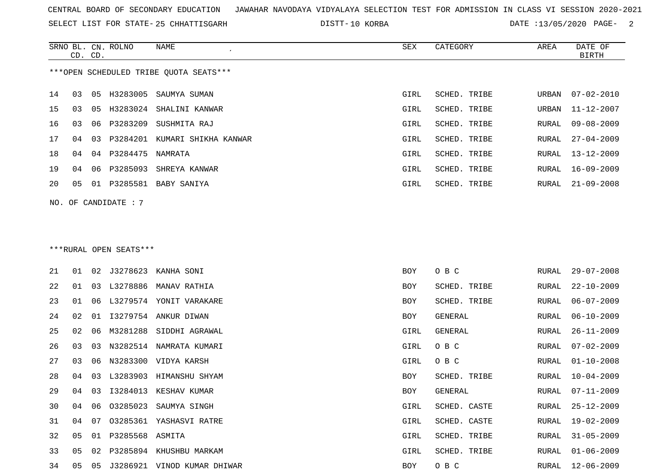SELECT LIST FOR STATE- DISTT- 25 CHHATTISGARH

10 KORBA DATE :13/05/2020 PAGE- 2

|                        | CD. CD.                                |    | SRNO BL. CN. ROLNO  | NAME                          | SEX  | CATEGORY     | AREA  | DATE OF<br>BIRTH |  |  |  |
|------------------------|----------------------------------------|----|---------------------|-------------------------------|------|--------------|-------|------------------|--|--|--|
|                        | ***OPEN SCHEDULED TRIBE OUOTA SEATS*** |    |                     |                               |      |              |       |                  |  |  |  |
| 14                     | 03                                     |    |                     | 05 H3283005 SAUMYA SUMAN      | GIRL | SCHED. TRIBE | URBAN | 07-02-2010       |  |  |  |
| 15                     | 03                                     | 05 |                     | H3283024 SHALINI KANWAR       | GIRL | SCHED. TRIBE | URBAN | 11-12-2007       |  |  |  |
| 16                     | 03                                     |    | 06 P3283209         | SUSHMITA RAJ                  | GIRL | SCHED. TRIBE | RURAL | $09 - 08 - 2009$ |  |  |  |
| 17                     | 04                                     | 03 |                     | P3284201 KUMARI SHIKHA KANWAR | GIRL | SCHED. TRIBE | RURAL | $27 - 04 - 2009$ |  |  |  |
| 18                     | 04                                     |    | 04 P3284475 NAMRATA |                               | GIRL | SCHED. TRIBE | RURAL | 13-12-2009       |  |  |  |
| 19                     | 04                                     |    | 06 P3285093         | SHREYA KANWAR                 | GIRL | SCHED. TRIBE | RURAL | 16-09-2009       |  |  |  |
| 20                     | 05                                     |    | 01 P3285581         | BABY SANIYA                   | GIRL | SCHED. TRIBE | RURAL | $21 - 09 - 2008$ |  |  |  |
| NO. OF CANDIDATE : $7$ |                                        |    |                     |                               |      |              |       |                  |  |  |  |

# \*\*\*RURAL OPEN SEATS\*\*\*

| 21 | 01 | 02 |                 | J3278623 KANHA SONI     | BOY        | O B C        | RURAL | $29 - 07 - 2008$ |
|----|----|----|-----------------|-------------------------|------------|--------------|-------|------------------|
| 22 | 01 | 03 |                 | L3278886 MANAV RATHIA   | <b>BOY</b> | SCHED. TRIBE | RURAL | 22-10-2009       |
| 23 | 01 | 06 |                 | L3279574 YONIT VARAKARE | BOY        | SCHED. TRIBE | RURAL | $06 - 07 - 2009$ |
| 24 | 02 | 01 |                 | 13279754 ANKUR DIWAN    | BOY        | GENERAL      | RURAL | $06 - 10 - 2009$ |
| 25 | 02 | 06 |                 | M3281288 SIDDHI AGRAWAL | GIRL       | GENERAL      | RURAL | 26-11-2009       |
| 26 | 03 | 03 | N3282514        | NAMRATA KUMARI          | GIRL       | O B C        | RURAL | $07 - 02 - 2009$ |
| 27 | 03 | 06 |                 | N3283300 VIDYA KARSH    | GIRL       | O B C        | RURAL | $01 - 10 - 2008$ |
| 28 | 04 | 03 | L3283903        | HIMANSHU SHYAM          | BOY        | SCHED. TRIBE |       | RURAL 10-04-2009 |
| 29 | 04 | 03 | I3284013        | KESHAV KUMAR            | BOY        | GENERAL      | RURAL | 07-11-2009       |
| 30 | 04 | 06 | 03285023        | SAUMYA SINGH            | GIRL       | SCHED. CASTE | RURAL | $25 - 12 - 2009$ |
| 31 | 04 | 07 | 03285361        | YASHASVI RATRE          | GIRL       | SCHED. CASTE | RURAL | $19 - 02 - 2009$ |
| 32 | 05 | 01 | P3285568 ASMITA |                         | GIRL       | SCHED. TRIBE | RURAL | 31-05-2009       |
| 33 | 05 | 02 |                 | P3285894 KHUSHBU MARKAM | GIRL       | SCHED. TRIBE | RURAL | $01 - 06 - 2009$ |
| 34 | 05 | 05 | J3286921        | VINOD KUMAR DHIWAR      | BOY        | O B C        | RURAL | $12 - 06 - 2009$ |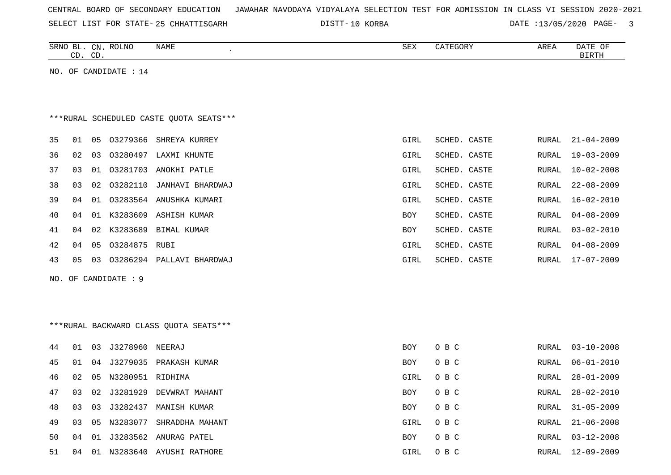| CENTRAL BOARD OF SECONDARY EDUCATION – JAWAHAR NAVODAYA VIDYALAYA SELECTION TEST FOR ADMISSION IN CLASS VI SESSION 2020-2021 |  |  |  |
|------------------------------------------------------------------------------------------------------------------------------|--|--|--|
|------------------------------------------------------------------------------------------------------------------------------|--|--|--|

SELECT LIST FOR STATE-25 CHHATTISGARH DISTT-10 KORBA DATE :13/05/2020 PAGE- 3

| DATE OF<br>SRNO BL. CN. ROLNO<br>NAME<br>SEX<br>CATEGORY<br>AREA<br><b>BIRTH</b><br>CD. CD. |                                         |    |                   |                         |            |              |       |                  |  |  |  |
|---------------------------------------------------------------------------------------------|-----------------------------------------|----|-------------------|-------------------------|------------|--------------|-------|------------------|--|--|--|
| NO.                                                                                         |                                         |    | OF CANDIDATE : 14 |                         |            |              |       |                  |  |  |  |
|                                                                                             |                                         |    |                   |                         |            |              |       |                  |  |  |  |
|                                                                                             | ***RURAL SCHEDULED CASTE QUOTA SEATS*** |    |                   |                         |            |              |       |                  |  |  |  |
| 35                                                                                          | 01                                      | 05 |                   | 03279366 SHREYA KURREY  | GIRL       | SCHED. CASTE | RURAL | $21 - 04 - 2009$ |  |  |  |
| 36                                                                                          | 02                                      | 03 |                   | 03280497 LAXMI KHUNTE   | GIRL       | SCHED. CASTE | RURAL | $19 - 03 - 2009$ |  |  |  |
| 37                                                                                          | 03                                      | 01 |                   | 03281703 ANOKHI PATLE   | GIRL       | SCHED. CASTE | RURAL | $10 - 02 - 2008$ |  |  |  |
| 38                                                                                          | 03                                      | 02 | 03282110          | JANHAVI BHARDWAJ        | GIRL       | SCHED. CASTE | RURAL | $22 - 08 - 2009$ |  |  |  |
| 39                                                                                          | 04                                      | 01 |                   | 03283564 ANUSHKA KUMARI | GIRL       | SCHED. CASTE | RURAL | 16-02-2010       |  |  |  |
| 40                                                                                          | 04                                      | 01 | K3283609          | ASHISH KUMAR            | <b>BOY</b> | SCHED. CASTE | RURAL | $04 - 08 - 2009$ |  |  |  |
| 41                                                                                          | 04                                      |    | 02 K3283689       | BIMAL KUMAR             | <b>BOY</b> | SCHED. CASTE | RURAL | $03 - 02 - 2010$ |  |  |  |
| 42                                                                                          | 04                                      | 05 | 03284875 RUBI     |                         | GIRL       | SCHED. CASTE | RURAL | $04 - 08 - 2009$ |  |  |  |

43 05 03 O3286294 PALLAVI BHARDWAJ GIRL SCHED. CASTE RURAL 17-07-2009

- 
- NO. OF CANDIDATE : 9

\*\*\*RURAL BACKWARD CLASS QUOTA SEATS\*\*\*

| 44  | 01 | 03 | J3278960 NEERAJ  |                          | <b>BOY</b> | O B C | RURAL | 03-10-2008       |
|-----|----|----|------------------|--------------------------|------------|-------|-------|------------------|
| 45  | 01 | 04 |                  | J3279035 PRAKASH KUMAR   | BOY        | O B C | RURAL | $06 - 01 - 2010$ |
| 46  | 02 | 05 | N3280951 RIDHIMA |                          | GIRL       | O B C | RURAL | 28-01-2009       |
| 47  | 03 |    | 02 J3281929      | DEVWRAT MAHANT           | BOY        | O B C | RURAL | 28-02-2010       |
| 48  | 03 |    |                  | 03 J3282437 MANISH KUMAR | BOY        | O B C | RURAL | 31-05-2009       |
| 49  | 03 | 05 | N3283077         | SHRADDHA MAHANT          | GIRL       | O B C | RURAL | 21-06-2008       |
| 50. | 04 |    |                  | 01 J3283562 ANURAG PATEL | BOY        | O B C | RURAL | 03-12-2008       |
| 51  | 04 | 01 |                  | N3283640 AYUSHI RATHORE  | GIRL       | O B C | RURAL | $12 - 09 - 2009$ |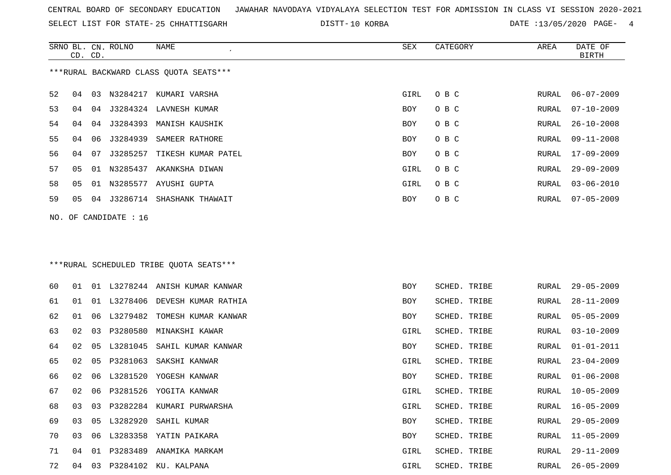SELECT LIST FOR STATE- DISTT- 25 CHHATTISGARH

SRNO BL. CN.

ROLNO NAME SEX CATEGORY AREA DATE OF

10 KORBA DATE :13/05/2020 PAGE- 4

| ***RURAL BACKWARD CLASS QUOTA SEATS***<br>52<br>O B C<br>$06 - 07 - 2009$<br>04<br>03<br>N3284217 KUMARI VARSHA<br>GIRL<br>RURAL<br>53<br>J3284324 LAVNESH KUMAR<br>O B C<br>$07 - 10 - 2009$<br>04<br>BOY<br>RURAL<br>04<br>54<br>O B C<br>04<br>J3284393 MANISH KAUSHIK<br>BOY<br>RURAL<br>$26 - 10 - 2008$<br>04<br>55<br>O B C<br>$09 - 11 - 2008$<br>04<br>06<br>J3284939<br>SAMEER RATHORE<br>BOY<br>RURAL<br>56<br>O B C<br>$17 - 09 - 2009$<br>04<br>07<br>J3285257<br>TIKESH KUMAR PATEL<br>BOY<br>RURAL<br>57<br>N3285437<br>GIRL<br>O B C<br>$29 - 09 - 2009$<br>05<br>01<br>AKANKSHA DIWAN<br>RURAL<br>58<br>N3285577 AYUSHI GUPTA<br>O B C<br>$03 - 06 - 2010$<br>05<br>01<br>GIRL<br>RURAL<br>59<br>J3286714 SHASHANK THAWAIT<br>O B C<br>$07 - 05 - 2009$<br>05<br>BOY<br>RURAL<br>04<br>OF CANDIDATE : 16<br>NO.<br>***RURAL SCHEDULED TRIBE QUOTA SEATS***<br>60<br>01 L3278244 ANISH KUMAR KANWAR<br>$29 - 05 - 2009$<br>01<br>SCHED. TRIBE<br>RURAL<br>BOY<br>61<br>01 L3278406<br>$28 - 11 - 2009$<br>01<br>DEVESH KUMAR RATHIA<br>BOY<br>SCHED. TRIBE<br>RURAL<br>62<br>$05 - 05 - 2009$<br>01<br>06<br>L3279482<br>TOMESH KUMAR KANWAR<br>SCHED. TRIBE<br>BOY<br>RURAL<br>63<br>P3280580<br>$03 - 10 - 2009$<br>02<br>03<br>MINAKSHI KAWAR<br>GIRL<br>SCHED. TRIBE<br>RURAL<br>64<br>02<br>05<br>L3281045<br>SAHIL KUMAR KANWAR<br>SCHED. TRIBE<br>$01 - 01 - 2011$<br>BOY<br>RURAL<br>65<br>02<br>05<br>P3281063<br>SAKSHI KANWAR<br>GIRL<br>SCHED. TRIBE<br>$23 - 04 - 2009$<br>RURAL<br>66<br>L3281520<br>02<br>06<br>YOGESH KANWAR<br>SCHED. TRIBE<br>$01 - 06 - 2008$<br>BOY<br>RURAL<br>67<br>02<br>06<br>P3281526 YOGITA KANWAR<br>GIRL<br>SCHED. TRIBE<br>$10 - 05 - 2009$<br>RURAL<br>68<br>03<br>03<br>P3282284 KUMARI PURWARSHA<br>GIRL<br>SCHED. TRIBE<br>RURAL<br>$16 - 05 - 2009$<br>69<br>03 05 L3282920 SAHIL KUMAR<br>BOY<br>SCHED. TRIBE<br>RURAL 29-05-2009<br>70<br>03<br>06 L3283358 YATIN PAIKARA<br>BOY<br>SCHED. TRIBE<br>RURAL<br>$11 - 05 - 2009$<br>71<br>01 P3283489 ANAMIKA MARKAM<br>GIRL<br>SCHED. TRIBE<br>RURAL<br>29-11-2009<br>04<br>72<br>03 P3284102 KU. KALPANA<br>$26 - 05 - 2009$<br>04<br>GIRL<br>SCHED. TRIBE<br>RURAL | CD. CD. |  |  |  | <b>BIRTH</b> |
|----------------------------------------------------------------------------------------------------------------------------------------------------------------------------------------------------------------------------------------------------------------------------------------------------------------------------------------------------------------------------------------------------------------------------------------------------------------------------------------------------------------------------------------------------------------------------------------------------------------------------------------------------------------------------------------------------------------------------------------------------------------------------------------------------------------------------------------------------------------------------------------------------------------------------------------------------------------------------------------------------------------------------------------------------------------------------------------------------------------------------------------------------------------------------------------------------------------------------------------------------------------------------------------------------------------------------------------------------------------------------------------------------------------------------------------------------------------------------------------------------------------------------------------------------------------------------------------------------------------------------------------------------------------------------------------------------------------------------------------------------------------------------------------------------------------------------------------------------------------------------------------------------------------------------------------------------------------------------------------------------------------------------------------------------------------------------------------------------------------------------------------------------------------------------------------|---------|--|--|--|--------------|
|                                                                                                                                                                                                                                                                                                                                                                                                                                                                                                                                                                                                                                                                                                                                                                                                                                                                                                                                                                                                                                                                                                                                                                                                                                                                                                                                                                                                                                                                                                                                                                                                                                                                                                                                                                                                                                                                                                                                                                                                                                                                                                                                                                                        |         |  |  |  |              |
|                                                                                                                                                                                                                                                                                                                                                                                                                                                                                                                                                                                                                                                                                                                                                                                                                                                                                                                                                                                                                                                                                                                                                                                                                                                                                                                                                                                                                                                                                                                                                                                                                                                                                                                                                                                                                                                                                                                                                                                                                                                                                                                                                                                        |         |  |  |  |              |
|                                                                                                                                                                                                                                                                                                                                                                                                                                                                                                                                                                                                                                                                                                                                                                                                                                                                                                                                                                                                                                                                                                                                                                                                                                                                                                                                                                                                                                                                                                                                                                                                                                                                                                                                                                                                                                                                                                                                                                                                                                                                                                                                                                                        |         |  |  |  |              |
|                                                                                                                                                                                                                                                                                                                                                                                                                                                                                                                                                                                                                                                                                                                                                                                                                                                                                                                                                                                                                                                                                                                                                                                                                                                                                                                                                                                                                                                                                                                                                                                                                                                                                                                                                                                                                                                                                                                                                                                                                                                                                                                                                                                        |         |  |  |  |              |
|                                                                                                                                                                                                                                                                                                                                                                                                                                                                                                                                                                                                                                                                                                                                                                                                                                                                                                                                                                                                                                                                                                                                                                                                                                                                                                                                                                                                                                                                                                                                                                                                                                                                                                                                                                                                                                                                                                                                                                                                                                                                                                                                                                                        |         |  |  |  |              |
|                                                                                                                                                                                                                                                                                                                                                                                                                                                                                                                                                                                                                                                                                                                                                                                                                                                                                                                                                                                                                                                                                                                                                                                                                                                                                                                                                                                                                                                                                                                                                                                                                                                                                                                                                                                                                                                                                                                                                                                                                                                                                                                                                                                        |         |  |  |  |              |
|                                                                                                                                                                                                                                                                                                                                                                                                                                                                                                                                                                                                                                                                                                                                                                                                                                                                                                                                                                                                                                                                                                                                                                                                                                                                                                                                                                                                                                                                                                                                                                                                                                                                                                                                                                                                                                                                                                                                                                                                                                                                                                                                                                                        |         |  |  |  |              |
|                                                                                                                                                                                                                                                                                                                                                                                                                                                                                                                                                                                                                                                                                                                                                                                                                                                                                                                                                                                                                                                                                                                                                                                                                                                                                                                                                                                                                                                                                                                                                                                                                                                                                                                                                                                                                                                                                                                                                                                                                                                                                                                                                                                        |         |  |  |  |              |
|                                                                                                                                                                                                                                                                                                                                                                                                                                                                                                                                                                                                                                                                                                                                                                                                                                                                                                                                                                                                                                                                                                                                                                                                                                                                                                                                                                                                                                                                                                                                                                                                                                                                                                                                                                                                                                                                                                                                                                                                                                                                                                                                                                                        |         |  |  |  |              |
|                                                                                                                                                                                                                                                                                                                                                                                                                                                                                                                                                                                                                                                                                                                                                                                                                                                                                                                                                                                                                                                                                                                                                                                                                                                                                                                                                                                                                                                                                                                                                                                                                                                                                                                                                                                                                                                                                                                                                                                                                                                                                                                                                                                        |         |  |  |  |              |
|                                                                                                                                                                                                                                                                                                                                                                                                                                                                                                                                                                                                                                                                                                                                                                                                                                                                                                                                                                                                                                                                                                                                                                                                                                                                                                                                                                                                                                                                                                                                                                                                                                                                                                                                                                                                                                                                                                                                                                                                                                                                                                                                                                                        |         |  |  |  |              |
|                                                                                                                                                                                                                                                                                                                                                                                                                                                                                                                                                                                                                                                                                                                                                                                                                                                                                                                                                                                                                                                                                                                                                                                                                                                                                                                                                                                                                                                                                                                                                                                                                                                                                                                                                                                                                                                                                                                                                                                                                                                                                                                                                                                        |         |  |  |  |              |
|                                                                                                                                                                                                                                                                                                                                                                                                                                                                                                                                                                                                                                                                                                                                                                                                                                                                                                                                                                                                                                                                                                                                                                                                                                                                                                                                                                                                                                                                                                                                                                                                                                                                                                                                                                                                                                                                                                                                                                                                                                                                                                                                                                                        |         |  |  |  |              |
|                                                                                                                                                                                                                                                                                                                                                                                                                                                                                                                                                                                                                                                                                                                                                                                                                                                                                                                                                                                                                                                                                                                                                                                                                                                                                                                                                                                                                                                                                                                                                                                                                                                                                                                                                                                                                                                                                                                                                                                                                                                                                                                                                                                        |         |  |  |  |              |
|                                                                                                                                                                                                                                                                                                                                                                                                                                                                                                                                                                                                                                                                                                                                                                                                                                                                                                                                                                                                                                                                                                                                                                                                                                                                                                                                                                                                                                                                                                                                                                                                                                                                                                                                                                                                                                                                                                                                                                                                                                                                                                                                                                                        |         |  |  |  |              |
|                                                                                                                                                                                                                                                                                                                                                                                                                                                                                                                                                                                                                                                                                                                                                                                                                                                                                                                                                                                                                                                                                                                                                                                                                                                                                                                                                                                                                                                                                                                                                                                                                                                                                                                                                                                                                                                                                                                                                                                                                                                                                                                                                                                        |         |  |  |  |              |
|                                                                                                                                                                                                                                                                                                                                                                                                                                                                                                                                                                                                                                                                                                                                                                                                                                                                                                                                                                                                                                                                                                                                                                                                                                                                                                                                                                                                                                                                                                                                                                                                                                                                                                                                                                                                                                                                                                                                                                                                                                                                                                                                                                                        |         |  |  |  |              |
|                                                                                                                                                                                                                                                                                                                                                                                                                                                                                                                                                                                                                                                                                                                                                                                                                                                                                                                                                                                                                                                                                                                                                                                                                                                                                                                                                                                                                                                                                                                                                                                                                                                                                                                                                                                                                                                                                                                                                                                                                                                                                                                                                                                        |         |  |  |  |              |
|                                                                                                                                                                                                                                                                                                                                                                                                                                                                                                                                                                                                                                                                                                                                                                                                                                                                                                                                                                                                                                                                                                                                                                                                                                                                                                                                                                                                                                                                                                                                                                                                                                                                                                                                                                                                                                                                                                                                                                                                                                                                                                                                                                                        |         |  |  |  |              |
|                                                                                                                                                                                                                                                                                                                                                                                                                                                                                                                                                                                                                                                                                                                                                                                                                                                                                                                                                                                                                                                                                                                                                                                                                                                                                                                                                                                                                                                                                                                                                                                                                                                                                                                                                                                                                                                                                                                                                                                                                                                                                                                                                                                        |         |  |  |  |              |
|                                                                                                                                                                                                                                                                                                                                                                                                                                                                                                                                                                                                                                                                                                                                                                                                                                                                                                                                                                                                                                                                                                                                                                                                                                                                                                                                                                                                                                                                                                                                                                                                                                                                                                                                                                                                                                                                                                                                                                                                                                                                                                                                                                                        |         |  |  |  |              |
|                                                                                                                                                                                                                                                                                                                                                                                                                                                                                                                                                                                                                                                                                                                                                                                                                                                                                                                                                                                                                                                                                                                                                                                                                                                                                                                                                                                                                                                                                                                                                                                                                                                                                                                                                                                                                                                                                                                                                                                                                                                                                                                                                                                        |         |  |  |  |              |
|                                                                                                                                                                                                                                                                                                                                                                                                                                                                                                                                                                                                                                                                                                                                                                                                                                                                                                                                                                                                                                                                                                                                                                                                                                                                                                                                                                                                                                                                                                                                                                                                                                                                                                                                                                                                                                                                                                                                                                                                                                                                                                                                                                                        |         |  |  |  |              |
|                                                                                                                                                                                                                                                                                                                                                                                                                                                                                                                                                                                                                                                                                                                                                                                                                                                                                                                                                                                                                                                                                                                                                                                                                                                                                                                                                                                                                                                                                                                                                                                                                                                                                                                                                                                                                                                                                                                                                                                                                                                                                                                                                                                        |         |  |  |  |              |
|                                                                                                                                                                                                                                                                                                                                                                                                                                                                                                                                                                                                                                                                                                                                                                                                                                                                                                                                                                                                                                                                                                                                                                                                                                                                                                                                                                                                                                                                                                                                                                                                                                                                                                                                                                                                                                                                                                                                                                                                                                                                                                                                                                                        |         |  |  |  |              |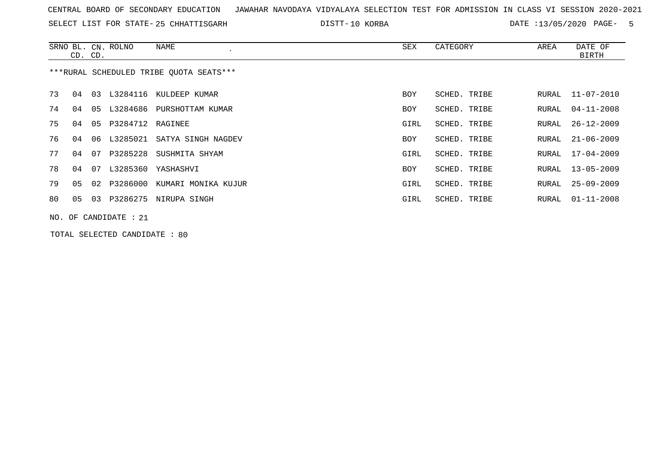SELECT LIST FOR STATE- DISTT- 25 CHHATTISGARH

10 KORBA DATE :13/05/2020 PAGE- 5

|                                         | CD. CD. |    | SRNO BL. CN. ROLNO      | NAME                        | SEX        | CATEGORY     | AREA  | DATE OF<br><b>BIRTH</b> |  |  |
|-----------------------------------------|---------|----|-------------------------|-----------------------------|------------|--------------|-------|-------------------------|--|--|
| ***RURAL SCHEDULED TRIBE OUOTA SEATS*** |         |    |                         |                             |            |              |       |                         |  |  |
| 73                                      | 04      | 03 |                         | L3284116 KULDEEP KUMAR      | <b>BOY</b> | SCHED. TRIBE | RURAL | $11 - 07 - 2010$        |  |  |
| 74                                      | 04      | 05 |                         | L3284686 PURSHOTTAM KUMAR   | <b>BOY</b> | SCHED. TRIBE | RURAL | $04 - 11 - 2008$        |  |  |
| 75                                      | 04      | 05 | P3284712 RAGINEE        |                             | GIRL       | SCHED. TRIBE | RURAL | $26 - 12 - 2009$        |  |  |
| 76                                      | 04      | 06 |                         | L3285021 SATYA SINGH NAGDEV | <b>BOY</b> | SCHED. TRIBE | RURAL | $21 - 06 - 2009$        |  |  |
| 77                                      | 04      | 07 |                         | P3285228 SUSHMITA SHYAM     | GIRL       | SCHED. TRIBE | RURAL | 17-04-2009              |  |  |
| 78                                      | 04      | 07 |                         | L3285360 YASHASHVI          | <b>BOY</b> | SCHED. TRIBE | RURAL | 13-05-2009              |  |  |
| 79                                      | 05      | 02 | P3286000                | KUMARI MONIKA KUJUR         | GIRL       | SCHED. TRIBE | RURAL | $25 - 09 - 2009$        |  |  |
| 80                                      | 05      | 03 |                         | P3286275 NIRUPA SINGH       | GIRL       | SCHED. TRIBE | RURAL | 01-11-2008              |  |  |
|                                         |         |    | NO. OF CANDIDATE : $21$ |                             |            |              |       |                         |  |  |

TOTAL SELECTED CANDIDATE : 80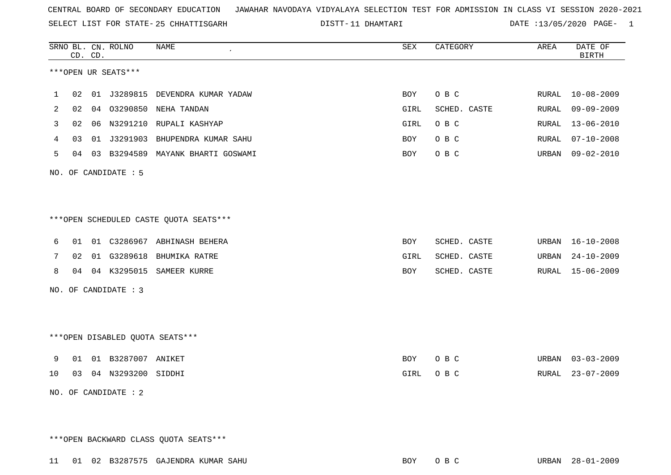SELECT LIST FOR STATE- DISTT- 25 CHHATTISGARH

11 DHAMTARI DATE :13/05/2020 PAGE- 1

|    | CD. CD. |    | SRNO BL. CN. ROLNO              | NAME                                   | SEX        | CATEGORY     | AREA  | DATE OF<br><b>BIRTH</b> |
|----|---------|----|---------------------------------|----------------------------------------|------------|--------------|-------|-------------------------|
|    |         |    | ***OPEN UR SEATS***             |                                        |            |              |       |                         |
| 1  | 02      |    |                                 | 01 J3289815 DEVENDRA KUMAR YADAW       | <b>BOY</b> | O B C        | RURAL | $10 - 08 - 2009$        |
| 2  | 02      | 04 | 03290850                        | NEHA TANDAN                            | GIRL       | SCHED. CASTE | RURAL | $09 - 09 - 2009$        |
| 3  | 02      |    |                                 | 06 N3291210 RUPALI KASHYAP             | GIRL       | O B C        | RURAL | $13 - 06 - 2010$        |
| 4  | 03      | 01 | J3291903                        | BHUPENDRA KUMAR SAHU                   | <b>BOY</b> | O B C        | RURAL | $07 - 10 - 2008$        |
| 5  | 04      | 03 | B3294589                        | MAYANK BHARTI GOSWAMI                  | BOY        | O B C        | URBAN | $09 - 02 - 2010$        |
|    |         |    | NO. OF CANDIDATE : 5            |                                        |            |              |       |                         |
|    |         |    |                                 |                                        |            |              |       |                         |
|    |         |    |                                 | ***OPEN SCHEDULED CASTE QUOTA SEATS*** |            |              |       |                         |
| 6  | 01      |    |                                 | 01 C3286967 ABHINASH BEHERA            | BOY        | SCHED. CASTE | URBAN | $16 - 10 - 2008$        |
| 7  | 02      |    | 01 G3289618                     | BHUMIKA RATRE                          | GIRL       | SCHED. CASTE | URBAN | $24 - 10 - 2009$        |
| 8  | 04      |    | 04 K3295015                     | SAMEER KURRE                           | BOY        | SCHED. CASTE | RURAL | $15 - 06 - 2009$        |
|    |         |    | NO. OF CANDIDATE : 3            |                                        |            |              |       |                         |
|    |         |    |                                 |                                        |            |              |       |                         |
|    |         |    |                                 |                                        |            |              |       |                         |
|    |         |    | ***OPEN DISABLED QUOTA SEATS*** |                                        |            |              |       |                         |
| 9  | 01      |    | 01 B3287007 ANIKET              |                                        | BOY        | O B C        | URBAN | $03 - 03 - 2009$        |
| 10 | 03      |    | 04 N3293200 SIDDHI              |                                        | GIRL       | O B C        | RURAL | $23 - 07 - 2009$        |
|    |         |    | NO. OF CANDIDATE : 2            |                                        |            |              |       |                         |

\*\*\*OPEN BACKWARD CLASS QUOTA SEATS\*\*\*

11 01 02 B3287575 GAJENDRA KUMAR SAHU BOY O B C URBAN 28-01-2009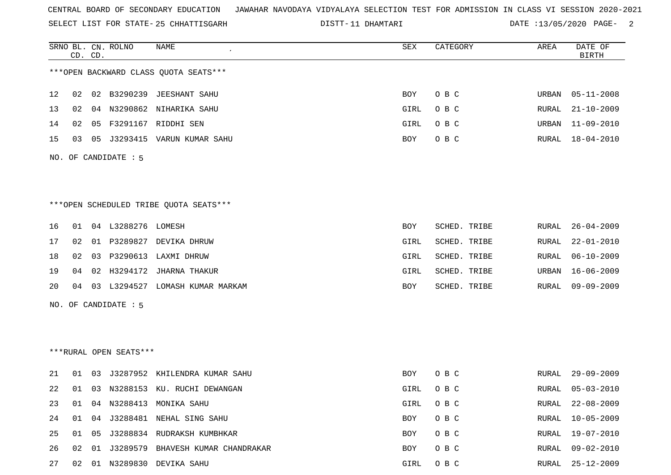SELECT LIST FOR STATE- DISTT- 25 CHHATTISGARH

11 DHAMTARI DATE :13/05/2020 PAGE- 2

|     |    | CD. CD. | SRNO BL. CN. ROLNO     | <b>NAME</b>                            | SEX        | CATEGORY     | AREA  | DATE OF<br><b>BIRTH</b> |
|-----|----|---------|------------------------|----------------------------------------|------------|--------------|-------|-------------------------|
|     |    |         |                        | *** OPEN BACKWARD CLASS QUOTA SEATS*** |            |              |       |                         |
| 12  | 02 | 02      |                        | B3290239 JEESHANT SAHU                 | <b>BOY</b> | O B C        | URBAN | $05 - 11 - 2008$        |
| 13  | 02 | 04      | N3290862               | NIHARIKA SAHU                          | GIRL       | O B C        | RURAL | $21 - 10 - 2009$        |
| 14  | 02 | 05      |                        | F3291167 RIDDHI SEN                    | GIRL       | O B C        | URBAN | $11 - 09 - 2010$        |
| 15  | 03 | 05      |                        | J3293415 VARUN KUMAR SAHU              | BOY        | O B C        | RURAL | $18 - 04 - 2010$        |
| NO. |    |         | OF CANDIDATE : 5       |                                        |            |              |       |                         |
|     |    |         |                        |                                        |            |              |       |                         |
|     |    |         |                        | ***OPEN SCHEDULED TRIBE QUOTA SEATS*** |            |              |       |                         |
| 16  | 01 |         | 04 L3288276 LOMESH     |                                        | BOY        | SCHED. TRIBE | RURAL | $26 - 04 - 2009$        |
| 17  | 02 | 01      | P3289827               | DEVIKA DHRUW                           | GIRL       | SCHED. TRIBE | RURAL | $22 - 01 - 2010$        |
| 18  | 02 | 03      |                        | P3290613 LAXMI DHRUW                   | GIRL       | SCHED. TRIBE | RURAL | $06 - 10 - 2009$        |
| 19  | 04 | 02      | H3294172               | JHARNA THAKUR                          | GIRL       | SCHED. TRIBE | URBAN | $16 - 06 - 2009$        |
| 20  | 04 | 03      |                        | L3294527 LOMASH KUMAR MARKAM           | BOY        | SCHED. TRIBE | RURAL | $09 - 09 - 2009$        |
| NO. |    |         | OF CANDIDATE : 5       |                                        |            |              |       |                         |
|     |    |         |                        |                                        |            |              |       |                         |
|     |    |         |                        |                                        |            |              |       |                         |
|     |    |         | ***RURAL OPEN SEATS*** |                                        |            |              |       |                         |
| 21  | 01 | 03      |                        | J3287952 KHILENDRA KUMAR SAHU          | BOY        | O B C        | RURAL | $29 - 09 - 2009$        |
| 22  | 01 | 03      |                        | N3288153 KU. RUCHI DEWANGAN            | GIRL       | O B C        | RURAL | $05 - 03 - 2010$        |
| 23  | 01 |         | 04 N3288413            | MONIKA SAHU                            | GIRL       | O B C        | RURAL | $22 - 08 - 2009$        |
| 24  | 01 |         |                        | 04 J3288481 NEHAL SING SAHU            | BOY        | O B C        | RURAL | $10 - 05 - 2009$        |
| 25  | 01 |         |                        | 05 J3288834 RUDRAKSH KUMBHKAR          | BOY        | O B C        | RURAL | $19 - 07 - 2010$        |
| 26  | 02 | 01      | J3289579               | BHAVESH KUMAR CHANDRAKAR               | BOY        | O B C        | RURAL | $09 - 02 - 2010$        |
| 27  | 02 |         |                        | 01 N3289830 DEVIKA SAHU                | GIRL       | O B C        | RURAL | $25 - 12 - 2009$        |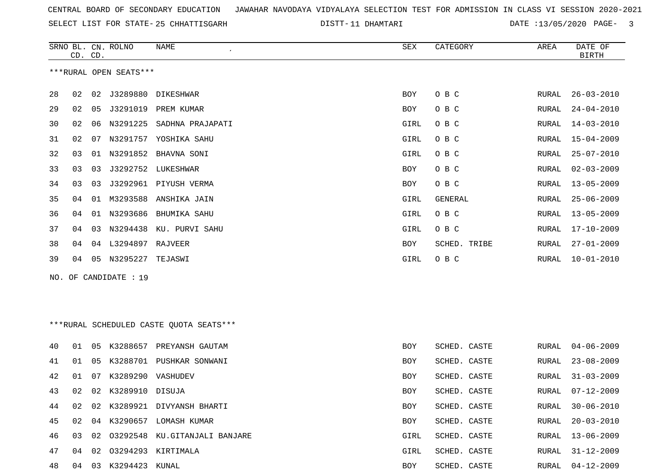SELECT LIST FOR STATE- DISTT- 25 CHHATTISGARH

11 DHAMTARI DATE :13/05/2020 PAGE- 3

|     | CD. CD.                |    | SRNO BL. CN. ROLNO   | NAME                                     | SEX         | CATEGORY       | AREA         | DATE OF<br><b>BIRTH</b> |  |  |  |
|-----|------------------------|----|----------------------|------------------------------------------|-------------|----------------|--------------|-------------------------|--|--|--|
|     | ***RURAL OPEN SEATS*** |    |                      |                                          |             |                |              |                         |  |  |  |
| 28  | 02                     | 02 |                      | J3289880 DIKESHWAR                       | BOY         | O B C          | RURAL        | $26 - 03 - 2010$        |  |  |  |
| 29  | 02                     | 05 | J3291019             | PREM KUMAR                               | BOY         | O B C          | RURAL        | $24 - 04 - 2010$        |  |  |  |
| 30  | 02                     | 06 | N3291225             | SADHNA PRAJAPATI                         | GIRL        | O B C          | RURAL        | $14 - 03 - 2010$        |  |  |  |
| 31  | 02                     | 07 | N3291757             | YOSHIKA SAHU                             | <b>GIRL</b> | O B C          | RURAL        | $15 - 04 - 2009$        |  |  |  |
| 32  | 03                     | 01 | N3291852             | BHAVNA SONI                              | GIRL        | O B C          | RURAL        | $25 - 07 - 2010$        |  |  |  |
| 33  | 03                     | 03 | J3292752             | LUKESHWAR                                | BOY         | O B C          | RURAL        | $02 - 03 - 2009$        |  |  |  |
| 34  | 03                     | 03 |                      | J3292961 PIYUSH VERMA                    | BOY         | O B C          | RURAL        | $13 - 05 - 2009$        |  |  |  |
| 35  | 04                     | 01 | M3293588             | ANSHIKA JAIN                             | GIRL        | <b>GENERAL</b> | RURAL        | $25 - 06 - 2009$        |  |  |  |
| 36  | 04                     | 01 |                      | N3293686 BHUMIKA SAHU                    | GIRL        | O B C          | <b>RURAL</b> | $13 - 05 - 2009$        |  |  |  |
| 37  | 04                     | 03 | N3294438             | KU. PURVI SAHU                           | GIRL        | O B C          | RURAL        | $17 - 10 - 2009$        |  |  |  |
| 38  | 04                     | 04 | L3294897 RAJVEER     |                                          | BOY         | SCHED. TRIBE   | RURAL        | $27 - 01 - 2009$        |  |  |  |
| 39  | 04                     | 05 | N3295227 TEJASWI     |                                          | GIRL        | O B C          | RURAL        | $10 - 01 - 2010$        |  |  |  |
| NO. |                        |    | OF CANDIDATE : 19    |                                          |             |                |              |                         |  |  |  |
|     |                        |    |                      |                                          |             |                |              |                         |  |  |  |
|     |                        |    |                      |                                          |             |                |              |                         |  |  |  |
|     |                        |    |                      | *** RURAL SCHEDULED CASTE QUOTA SEATS*** |             |                |              |                         |  |  |  |
| 40  | 01                     | 05 |                      | K3288657 PREYANSH GAUTAM                 | BOY         | SCHED. CASTE   | RURAL        | $04 - 06 - 2009$        |  |  |  |
| 41  | 01                     | 05 | K3288701             | PUSHKAR SONWANI                          | BOY         | SCHED. CASTE   | RURAL        | $23 - 08 - 2009$        |  |  |  |
| 42  | 01                     | 07 | K3289290 VASHUDEV    |                                          | BOY         | SCHED. CASTE   | RURAL        | $31 - 03 - 2009$        |  |  |  |
| 43  | 02                     | 02 | K3289910 DISUJA      |                                          | BOY         | SCHED. CASTE   | RURAL        | $07 - 12 - 2009$        |  |  |  |
| 44  | 02                     | 02 |                      | K3289921 DIVYANSH BHARTI                 | BOY         | SCHED. CASTE   | RURAL        | $30 - 06 - 2010$        |  |  |  |
| 45  | 02                     |    |                      | 04 K3290657 LOMASH KUMAR                 | <b>BOY</b>  | SCHED. CASTE   | RURAL        | $20 - 03 - 2010$        |  |  |  |
| 46  | 03                     | 02 |                      | 03292548 KU.GITANJALI BANJARE            | GIRL        | SCHED. CASTE   | RURAL        | $13 - 06 - 2009$        |  |  |  |
| 47  | 04                     | 02 |                      | 03294293 KIRTIMALA                       | GIRL        | SCHED. CASTE   | RURAL        | $31 - 12 - 2009$        |  |  |  |
| 48  |                        |    | 04 03 K3294423 KUNAL |                                          | BOY         | SCHED. CASTE   | RURAL        | $04 - 12 - 2009$        |  |  |  |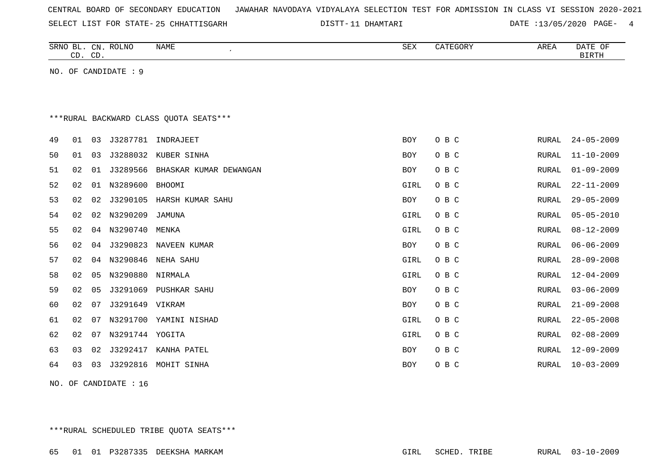| CENTRAL BOARD OF SECONDARY EDUCATION – JAWAHAR NAVODAYA VIDYALAYA SELECTION TEST FOR ADMISSION IN CLASS VI SESSION 2020-2021 |  |  |  |  |
|------------------------------------------------------------------------------------------------------------------------------|--|--|--|--|
|------------------------------------------------------------------------------------------------------------------------------|--|--|--|--|

SELECT LIST FOR STATE- DISTT- 25 CHHATTISGARH

11 DHAMTARI DATE :13/05/2020 PAGE- 4

|    | CD. CD. |    | SRNO BL. CN. ROLNO   | <b>NAME</b><br>$\epsilon$               | SEX        | CATEGORY | AREA         | DATE OF<br><b>BIRTH</b> |
|----|---------|----|----------------------|-----------------------------------------|------------|----------|--------------|-------------------------|
|    |         |    | NO. OF CANDIDATE : 9 |                                         |            |          |              |                         |
|    |         |    |                      |                                         |            |          |              |                         |
|    |         |    |                      |                                         |            |          |              |                         |
|    |         |    |                      | *** RURAL BACKWARD CLASS QUOTA SEATS*** |            |          |              |                         |
| 49 | 01      | 03 | J3287781             | INDRAJEET                               | <b>BOY</b> | O B C    | RURAL        | $24 - 05 - 2009$        |
| 50 | 01      | 03 | J3288032             | KUBER SINHA                             | <b>BOY</b> | O B C    | <b>RURAL</b> | $11 - 10 - 2009$        |
| 51 | 02      | 01 | J3289566             | BHASKAR KUMAR DEWANGAN                  | <b>BOY</b> | O B C    | <b>RURAL</b> | $01 - 09 - 2009$        |
| 52 | 02      | 01 | N3289600             | BHOOMI                                  | GIRL       | O B C    | <b>RURAL</b> | $22 - 11 - 2009$        |
| 53 | 02      | 02 | J3290105             | HARSH KUMAR SAHU                        | <b>BOY</b> | O B C    | <b>RURAL</b> | $29 - 05 - 2009$        |
| 54 | 02      | 02 | N3290209             | JAMUNA                                  | GIRL       | O B C    | <b>RURAL</b> | $05 - 05 - 2010$        |
| 55 | 02      | 04 | N3290740             | MENKA                                   | GIRL       | O B C    | RURAL        | $08 - 12 - 2009$        |
| 56 | 02      |    |                      | 04 J3290823 NAVEEN KUMAR                | BOY        | O B C    | RURAL        | $06 - 06 - 2009$        |
| 57 | 02      | 04 | N3290846             | NEHA SAHU                               | GIRL       | O B C    | RURAL        | $28 - 09 - 2008$        |
| 58 | 02      | 05 | N3290880             | NIRMALA                                 | GIRL       | O B C    | <b>RURAL</b> | $12 - 04 - 2009$        |
| 59 | 02      | 05 | J3291069             | PUSHKAR SAHU                            | <b>BOY</b> | O B C    | <b>RURAL</b> | $03 - 06 - 2009$        |
| 60 | 02      | 07 | J3291649 VIKRAM      |                                         | <b>BOY</b> | O B C    | RURAL        | $21 - 09 - 2008$        |
| 61 | 02      | 07 |                      | N3291700 YAMINI NISHAD                  | GIRL       | O B C    | <b>RURAL</b> | $22 - 05 - 2008$        |
| 62 | 02      | 07 | N3291744 YOGITA      |                                         | GIRL       | O B C    | <b>RURAL</b> | $02 - 08 - 2009$        |
| 63 | 03      | 02 | J3292417             | KANHA PATEL                             | <b>BOY</b> | O B C    | RURAL        | $12 - 09 - 2009$        |
| 64 | 03      | 03 | J3292816             | MOHIT SINHA                             | <b>BOY</b> | O B C    | RURAL        | $10 - 03 - 2009$        |
|    |         |    |                      |                                         |            |          |              |                         |

NO. OF CANDIDATE : 16

\*\*\*RURAL SCHEDULED TRIBE QUOTA SEATS\*\*\*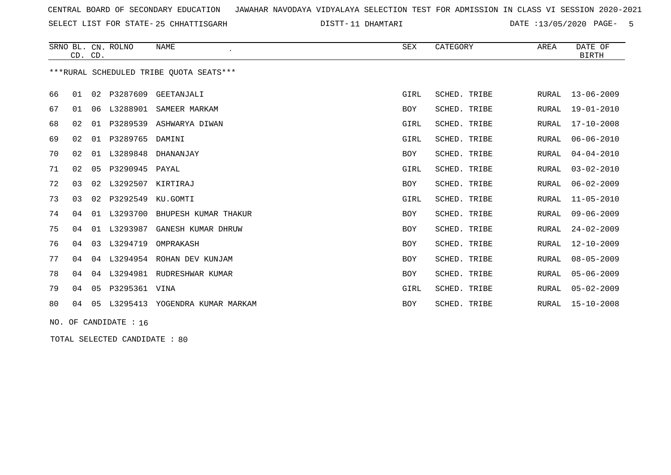SELECT LIST FOR STATE- DISTT- 25 CHHATTISGARH

11 DHAMTARI DATE :13/05/2020 PAGE- 5

|                                         | CD. CD. |    | SRNO BL. CN. ROLNO | <b>NAME</b>           | SEX        | CATEGORY        | AREA         | DATE OF<br><b>BIRTH</b> |
|-----------------------------------------|---------|----|--------------------|-----------------------|------------|-----------------|--------------|-------------------------|
| ***RURAL SCHEDULED TRIBE OUOTA SEATS*** |         |    |                    |                       |            |                 |              |                         |
| 66                                      | 01      | 02 | P3287609           | GEETANJALI            | GIRL       | SCHED. TRIBE    | <b>RURAL</b> | $13 - 06 - 2009$        |
| 67                                      | 01      | 06 | L3288901           | SAMEER MARKAM         | BOY        | SCHED.<br>TRIBE | <b>RURAL</b> | $19 - 01 - 2010$        |
| 68                                      | 02      | 01 | P3289539           | ASHWARYA DIWAN        | GIRL       | SCHED.<br>TRIBE | <b>RURAL</b> | $17 - 10 - 2008$        |
| 69                                      | 02      | 01 | P3289765           | DAMINI                | GIRL       | SCHED. TRIBE    | <b>RURAL</b> | $06 - 06 - 2010$        |
| 70                                      | 02      | 01 | L3289848           | DHANANJAY             | <b>BOY</b> | SCHED. TRIBE    | RURAL        | $04 - 04 - 2010$        |
| 71                                      | 02      | 05 | P3290945           | PAYAL                 | GIRL       | SCHED. TRIBE    | <b>RURAL</b> | $03 - 02 - 2010$        |
| 72                                      | 03      | 02 | L3292507           | KIRTIRAJ              | BOY        | SCHED. TRIBE    | <b>RURAL</b> | $06 - 02 - 2009$        |
| 73                                      | 03      | 02 | P3292549           | KU.GOMTI              | GIRL       | SCHED. TRIBE    | <b>RURAL</b> | $11 - 05 - 2010$        |
| 74                                      | 04      | 01 | L3293700           | BHUPESH KUMAR THAKUR  | <b>BOY</b> | SCHED. TRIBE    | <b>RURAL</b> | $09 - 06 - 2009$        |
| 75                                      | 04      | 01 | L3293987           | GANESH KUMAR DHRUW    | BOY        | SCHED. TRIBE    | RURAL        | $24 - 02 - 2009$        |
| 76                                      | 04      | 03 | L3294719           | OMPRAKASH             | <b>BOY</b> | SCHED. TRIBE    | <b>RURAL</b> | $12 - 10 - 2009$        |
| 77                                      | 04      | 04 | L3294954           | ROHAN DEV KUNJAM      | <b>BOY</b> | SCHED. TRIBE    | <b>RURAL</b> | $08 - 05 - 2009$        |
| 78                                      | 04      | 04 | L3294981           | RUDRESHWAR KUMAR      | <b>BOY</b> | SCHED. TRIBE    | <b>RURAL</b> | $05 - 06 - 2009$        |
| 79                                      | 04      | 05 | P3295361           | VINA                  | GIRL       | SCHED. TRIBE    | <b>RURAL</b> | $05 - 02 - 2009$        |
| 80                                      | 04      | 05 | L3295413           | YOGENDRA KUMAR MARKAM | <b>BOY</b> | SCHED. TRIBE    | RURAL        | $15 - 10 - 2008$        |
|                                         |         |    |                    |                       |            |                 |              |                         |

NO. OF CANDIDATE : 16

TOTAL SELECTED CANDIDATE : 80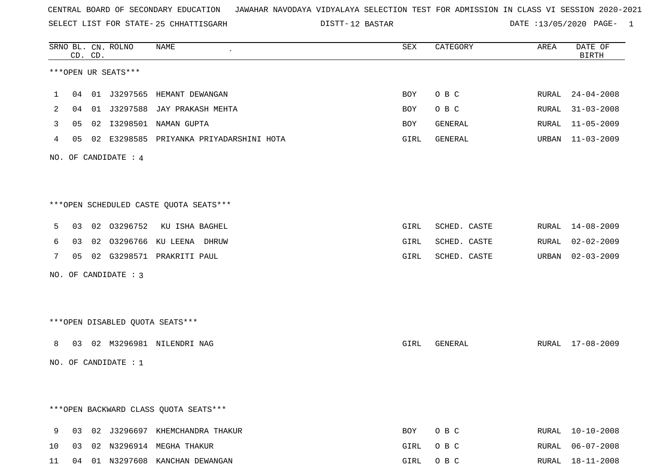SELECT LIST FOR STATE- DISTT- 25 CHHATTISGARH

12 BASTAR DATE :13/05/2020 PAGE- 1

|    |    | CD. CD. | SRNO BL. CN. ROLNO   | NAME                                    | SEX  | CATEGORY     | AREA  | DATE OF<br><b>BIRTH</b> |
|----|----|---------|----------------------|-----------------------------------------|------|--------------|-------|-------------------------|
|    |    |         | ***OPEN UR SEATS***  |                                         |      |              |       |                         |
| 1  |    |         |                      | 04 01 J3297565 HEMANT DEWANGAN          | BOY  | O B C        |       | RURAL 24-04-2008        |
| 2  | 04 |         | 01 J3297588          | JAY PRAKASH MEHTA                       | BOY  | O B C        | RURAL | $31 - 03 - 2008$        |
| 3  | 05 | 02      |                      | I3298501 NAMAN GUPTA                    | BOY  | GENERAL      | RURAL | $11 - 05 - 2009$        |
| 4  | 05 |         |                      | 02 E3298585 PRIYANKA PRIYADARSHINI HOTA | GIRL | GENERAL      |       | URBAN 11-03-2009        |
|    |    |         | NO. OF CANDIDATE : 4 |                                         |      |              |       |                         |
|    |    |         |                      |                                         |      |              |       |                         |
|    |    |         |                      | ***OPEN SCHEDULED CASTE QUOTA SEATS***  |      |              |       |                         |
| 5  | 03 |         | 02 03296752          | KU ISHA BAGHEL                          | GIRL | SCHED. CASTE | RURAL | 14-08-2009              |
| 6  | 03 | 02      |                      | 03296766 KU LEENA DHRUW                 | GIRL | SCHED. CASTE | RURAL | $02 - 02 - 2009$        |
| 7  | 05 |         |                      | 02 G3298571 PRAKRITI PAUL               | GIRL | SCHED. CASTE | URBAN | $02 - 03 - 2009$        |
|    |    |         | NO. OF CANDIDATE : 3 |                                         |      |              |       |                         |
|    |    |         |                      |                                         |      |              |       |                         |
|    |    |         |                      |                                         |      |              |       |                         |
|    |    |         |                      | ***OPEN DISABLED QUOTA SEATS***         |      |              |       |                         |
| 8  |    |         |                      | 03 02 M3296981 NILENDRI NAG             | GIRL | GENERAL      |       | RURAL 17-08-2009        |
|    |    |         | NO. OF CANDIDATE : 1 |                                         |      |              |       |                         |
|    |    |         |                      |                                         |      |              |       |                         |
|    |    |         |                      |                                         |      |              |       |                         |
|    |    |         |                      | *** OPEN BACKWARD CLASS QUOTA SEATS***  |      |              |       |                         |
| 9  |    |         |                      | 03 02 J3296697 KHEMCHANDRA THAKUR       | BOY  | O B C        |       | RURAL 10-10-2008        |
| 10 |    |         |                      | 03 02 N3296914 MEGHA THAKUR             | GIRL | O B C        |       | RURAL 06-07-2008        |
| 11 |    |         |                      | 04 01 N3297608 KANCHAN DEWANGAN         | GIRL | O B C        |       | RURAL 18-11-2008        |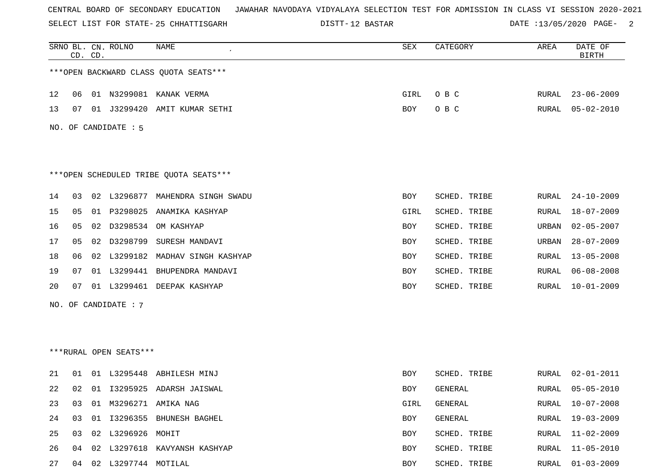SELECT LIST FOR STATE- DISTT- 25 CHHATTISGARH

12 BASTAR DATE :13/05/2020 PAGE- 2

|    |    | CD. CD. | SRNO BL. CN. ROLNO     | NAME                                   | ${\tt SEX}$ | CATEGORY     | AREA         | DATE OF<br><b>BIRTH</b> |
|----|----|---------|------------------------|----------------------------------------|-------------|--------------|--------------|-------------------------|
|    |    |         |                        | *** OPEN BACKWARD CLASS QUOTA SEATS*** |             |              |              |                         |
| 12 | 06 |         |                        | 01 N3299081 KANAK VERMA                | GIRL        | O B C        | RURAL        | $23 - 06 - 2009$        |
| 13 | 07 |         | 01 J3299420            | AMIT KUMAR SETHI                       | BOY         | O B C        | RURAL        | $05 - 02 - 2010$        |
|    |    |         | NO. OF CANDIDATE : 5   |                                        |             |              |              |                         |
|    |    |         |                        |                                        |             |              |              |                         |
|    |    |         |                        | ***OPEN SCHEDULED TRIBE QUOTA SEATS*** |             |              |              |                         |
| 14 | 03 |         | 02 L3296877            | MAHENDRA SINGH SWADU                   | BOY         | SCHED. TRIBE | RURAL        | $24 - 10 - 2009$        |
| 15 | 05 |         | 01 P3298025            | ANAMIKA KASHYAP                        | GIRL        | SCHED. TRIBE | <b>RURAL</b> | $18 - 07 - 2009$        |
| 16 | 05 |         |                        | 02 D3298534 OM KASHYAP                 | BOY         | SCHED. TRIBE | URBAN        | $02 - 05 - 2007$        |
| 17 | 05 |         | 02 D3298799            | SURESH MANDAVI                         | BOY         | SCHED. TRIBE | URBAN        | $28 - 07 - 2009$        |
| 18 | 06 |         |                        | 02 L3299182 MADHAV SINGH KASHYAP       | BOY         | SCHED. TRIBE | <b>RURAL</b> | $13 - 05 - 2008$        |
| 19 | 07 |         | 01 L3299441            | BHUPENDRA MANDAVI                      | BOY         | SCHED. TRIBE | RURAL        | $06 - 08 - 2008$        |
| 20 | 07 |         | 01 L3299461            | DEEPAK KASHYAP                         | BOY         | SCHED. TRIBE | <b>RURAL</b> | $10 - 01 - 2009$        |
|    |    |         | NO. OF CANDIDATE : 7   |                                        |             |              |              |                         |
|    |    |         |                        |                                        |             |              |              |                         |
|    |    |         |                        |                                        |             |              |              |                         |
|    |    |         | ***RURAL OPEN SEATS*** |                                        |             |              |              |                         |
| 21 | 01 |         | 01 L3295448            | ABHILESH MINJ                          | BOY         | SCHED. TRIBE | RURAL        | $02 - 01 - 2011$        |
| 22 | 02 |         |                        | 01 I3295925 ADARSH JAISWAL             | BOY         | GENERAL      | RURAL        | $05 - 05 - 2010$        |
| 23 | 03 |         |                        | 01 M3296271 AMIKA NAG                  | GIRL        | GENERAL      | RURAL        | $10 - 07 - 2008$        |
| 24 | 03 |         |                        | 01 I3296355 BHUNESH BAGHEL             | BOY         | GENERAL      | RURAL        | $19 - 03 - 2009$        |
| 25 | 03 |         | 02 L3296926 MOHIT      |                                        | BOY         | SCHED. TRIBE | RURAL        | 11-02-2009              |
| 26 | 04 |         |                        | 02 L3297618 KAVYANSH KASHYAP           | BOY         | SCHED. TRIBE | <b>RURAL</b> | $11 - 05 - 2010$        |
| 27 | 04 |         | 02 L3297744 MOTILAL    |                                        | BOY         | SCHED. TRIBE | RURAL        | $01 - 03 - 2009$        |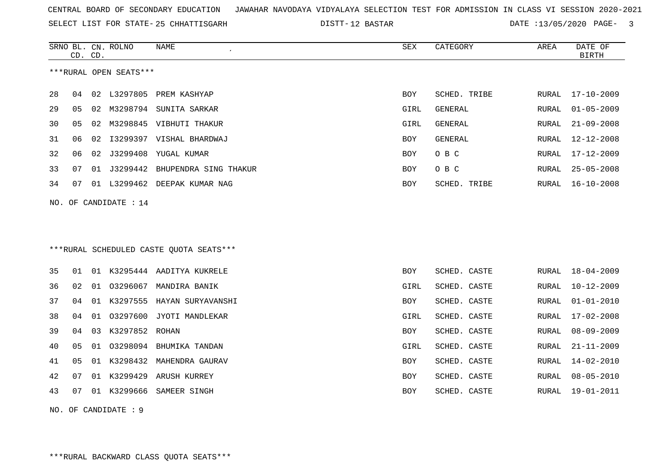SELECT LIST FOR STATE- DISTT- 25 CHHATTISGARH

12 BASTAR DATE :13/05/2020 PAGE- 3

|                        |                     | CD. CD. | SRNO BL. CN. ROLNO    | NAME                                    | ${\tt SEX}$ | CATEGORY     | AREA  | DATE OF<br><b>BIRTH</b> |  |  |
|------------------------|---------------------|---------|-----------------------|-----------------------------------------|-------------|--------------|-------|-------------------------|--|--|
| ***RURAL OPEN SEATS*** |                     |         |                       |                                         |             |              |       |                         |  |  |
| 28                     | 04                  |         |                       | 02 L3297805 PREM KASHYAP                | <b>BOY</b>  | SCHED. TRIBE | RURAL | 17-10-2009              |  |  |
| 29                     | 05                  |         |                       | 02 M3298794 SUNITA SARKAR               | GIRL        | GENERAL      | RURAL | $01 - 05 - 2009$        |  |  |
| 30                     | 05                  |         |                       | 02 M3298845 VIBHUTI THAKUR              | GIRL        | GENERAL      | RURAL | $21 - 09 - 2008$        |  |  |
| 31                     | 06                  | 02      |                       | I3299397 VISHAL BHARDWAJ                | <b>BOY</b>  | GENERAL      | RURAL | 12-12-2008              |  |  |
| 32                     | 06                  |         |                       | 02 J3299408 YUGAL KUMAR                 | BOY         | O B C        | RURAL | 17-12-2009              |  |  |
| 33                     | 07                  |         |                       | 01 J3299442 BHUPENDRA SING THAKUR       | BOY         | O B C        | RURAL | $25 - 05 - 2008$        |  |  |
| 34                     | 07                  |         |                       | 01 L3299462 DEEPAK KUMAR NAG            | BOY         | SCHED. TRIBE |       | RURAL 16-10-2008        |  |  |
|                        |                     |         | NO. OF CANDIDATE : 14 |                                         |             |              |       |                         |  |  |
|                        |                     |         |                       |                                         |             |              |       |                         |  |  |
|                        |                     |         |                       |                                         |             |              |       |                         |  |  |
|                        |                     |         |                       | ***RURAL SCHEDULED CASTE QUOTA SEATS*** |             |              |       |                         |  |  |
| 35                     | 01                  |         |                       | 01 K3295444 AADITYA KUKRELE             | <b>BOY</b>  | SCHED. CASTE |       | RURAL 18-04-2009        |  |  |
| 36                     | 02                  |         |                       | 01 03296067 MANDIRA BANIK               | GIRL        | SCHED. CASTE | RURAL | $10 - 12 - 2009$        |  |  |
| 37                     | 04                  |         |                       | 01 K3297555 HAYAN SURYAVANSHI           | BOY         | SCHED. CASTE | RURAL | $01 - 01 - 2010$        |  |  |
| 38                     | 04                  |         |                       | 01 03297600 JYOTI MANDLEKAR             | GIRL        | SCHED. CASTE | RURAL | $17 - 02 - 2008$        |  |  |
| 39                     | 04                  |         | 03 K3297852 ROHAN     |                                         | BOY         | SCHED. CASTE | RURAL | $08 - 09 - 2009$        |  |  |
| 40                     | 05                  |         |                       | 01 03298094 BHUMIKA TANDAN              | GIRL        | SCHED. CASTE | RURAL | $21 - 11 - 2009$        |  |  |
| 41                     | 05                  |         |                       | 01 K3298432 MAHENDRA GAURAV             | BOY         | SCHED. CASTE | RURAL | $14 - 02 - 2010$        |  |  |
| 42                     | 07                  |         |                       | 01 K3299429 ARUSH KURREY                | BOY         | SCHED. CASTE | RURAL | $08 - 05 - 2010$        |  |  |
| 43                     | 07                  |         |                       | 01 K3299666 SAMEER SINGH                | <b>BOY</b>  | SCHED. CASTE | RURAL | 19-01-2011              |  |  |
|                        | NO. OF CANDIDATE: 9 |         |                       |                                         |             |              |       |                         |  |  |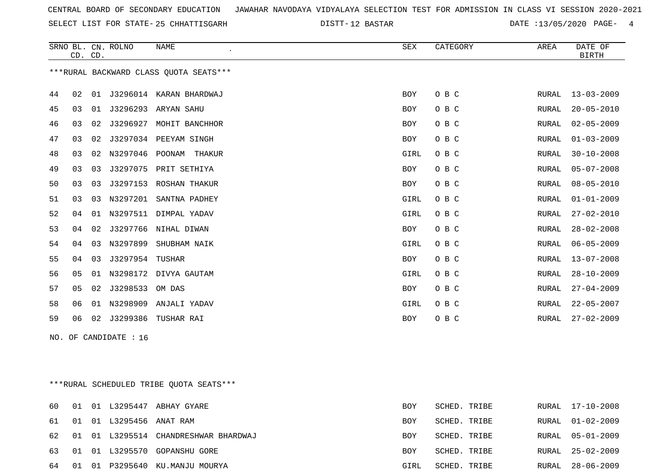SELECT LIST FOR STATE- DISTT- 25 CHHATTISGARH

12 BASTAR DATE :13/05/2020 PAGE- 4

|    | CD. CD. |    | SRNO BL. CN. ROLNO    | NAME                                    | SEX        | CATEGORY     | AREA         | DATE OF<br><b>BIRTH</b> |
|----|---------|----|-----------------------|-----------------------------------------|------------|--------------|--------------|-------------------------|
|    |         |    |                       | *** RURAL BACKWARD CLASS QUOTA SEATS*** |            |              |              |                         |
| 44 | 02      | 01 |                       | J3296014 KARAN BHARDWAJ                 | BOY        | O B C        | RURAL        | $13 - 03 - 2009$        |
| 45 | 03      |    |                       | 01 J3296293 ARYAN SAHU                  | BOY        | O B C        | RURAL        | $20 - 05 - 2010$        |
| 46 | 03      | 02 |                       | J3296927 MOHIT BANCHHOR                 | <b>BOY</b> | O B C        | RURAL        | $02 - 05 - 2009$        |
| 47 | 03      | 02 |                       | J3297034 PEEYAM SINGH                   | <b>BOY</b> | O B C        | <b>RURAL</b> | $01 - 03 - 2009$        |
| 48 | 03      |    |                       | 02 N3297046 POONAM THAKUR               | GIRL       | O B C        | RURAL        | $30 - 10 - 2008$        |
| 49 | 03      | 03 |                       | J3297075 PRIT SETHIYA                   | BOY        | O B C        | RURAL        | $05 - 07 - 2008$        |
| 50 | 03      | 03 |                       | J3297153 ROSHAN THAKUR                  | <b>BOY</b> | O B C        | RURAL        | $08 - 05 - 2010$        |
| 51 | 03      | 03 |                       | N3297201 SANTNA PADHEY                  | GIRL       | O B C        | RURAL        | $01 - 01 - 2009$        |
| 52 | 04      |    |                       | 01 N3297511 DIMPAL YADAV                | GIRL       | O B C        | RURAL        | $27 - 02 - 2010$        |
| 53 | 04      | 02 |                       | J3297766 NIHAL DIWAN                    | <b>BOY</b> | O B C        | RURAL        | $28 - 02 - 2008$        |
| 54 | 04      | 03 | N3297899              | SHUBHAM NAIK                            | GIRL       | O B C        | RURAL        | $06 - 05 - 2009$        |
| 55 | 04      | 03 | J3297954 TUSHAR       |                                         | <b>BOY</b> | O B C        | RURAL        | $13 - 07 - 2008$        |
| 56 | 05      | 01 |                       | N3298172 DIVYA GAUTAM                   | GIRL       | O B C        | RURAL        | $28 - 10 - 2009$        |
| 57 | 05      | 02 | J3298533              | OM DAS                                  | BOY        | O B C        | RURAL        | $27 - 04 - 2009$        |
| 58 | 06      |    |                       | 01 N3298909 ANJALI YADAV                | GIRL       | O B C        | RURAL        | $22 - 05 - 2007$        |
| 59 | 06      |    |                       | 02 J3299386 TUSHAR RAI                  | BOY        | O B C        | RURAL        | $27 - 02 - 2009$        |
|    |         |    | NO. OF CANDIDATE : 16 |                                         |            |              |              |                         |
|    |         |    |                       |                                         |            |              |              |                         |
|    |         |    |                       |                                         |            |              |              |                         |
|    |         |    |                       | ***RURAL SCHEDULED TRIBE QUOTA SEATS*** |            |              |              |                         |
| 60 | 01      |    |                       | 01 L3295447 ABHAY GYARE                 | <b>BOY</b> | SCHED. TRIBE | RURAL        | $17 - 10 - 2008$        |
| 61 | 01      |    | 01 L3295456 ANAT RAM  |                                         | <b>BOY</b> | SCHED. TRIBE | RURAL        | $01 - 02 - 2009$        |
| 62 | 01      |    |                       | 01 L3295514 CHANDRESHWAR BHARDWAJ       | <b>BOY</b> | SCHED. TRIBE | RURAL        | $05 - 01 - 2009$        |

63 01 01 L3295570 GOPANSHU GORE BOY SCHED. TRIBE RURAL 25-02-2009 64 01 01 P3295640 KU.MANJU MOURYA GIRL SCHED. TRIBE RURAL 28-06-2009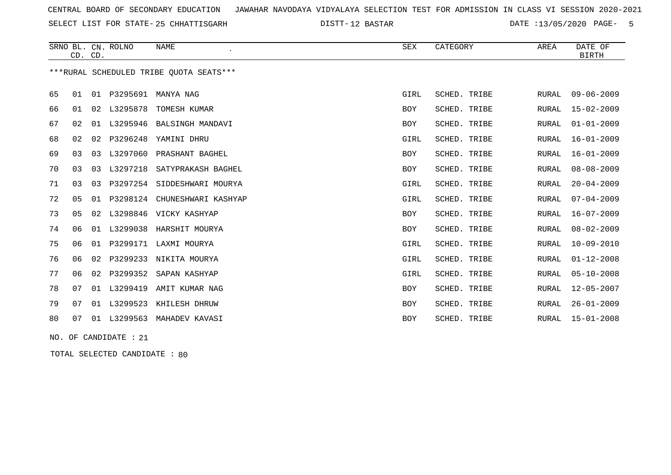SELECT LIST FOR STATE- DISTT- 25 CHHATTISGARH

12 BASTAR DATE :13/05/2020 PAGE- 5

|    | CD. CD. |                | SRNO BL. CN. ROLNO | NAME<br>$\cdot$                         | SEX        | CATEGORY     | AREA         | DATE OF<br><b>BIRTH</b> |
|----|---------|----------------|--------------------|-----------------------------------------|------------|--------------|--------------|-------------------------|
|    |         |                |                    | ***RURAL SCHEDULED TRIBE OUOTA SEATS*** |            |              |              |                         |
| 65 | 01      | 01             | P3295691           | MANYA NAG                               | GIRL       | SCHED. TRIBE | RURAL        | $09 - 06 - 2009$        |
| 66 | 01      | 02             | L3295878           | TOMESH KUMAR                            | BOY        | SCHED. TRIBE | <b>RURAL</b> | $15 - 02 - 2009$        |
| 67 | 02      | 01             | L3295946           | BALSINGH MANDAVI                        | <b>BOY</b> | SCHED. TRIBE | <b>RURAL</b> | $01 - 01 - 2009$        |
| 68 | 02      | 02             | P3296248           | YAMINI DHRU                             | GIRL       | SCHED. TRIBE | <b>RURAL</b> | $16 - 01 - 2009$        |
| 69 | 03      | 03             | L3297060           | PRASHANT BAGHEL                         | <b>BOY</b> | SCHED. TRIBE | <b>RURAL</b> | $16 - 01 - 2009$        |
| 70 | 03      | 0 <sub>3</sub> | L3297218           | SATYPRAKASH BAGHEL                      | <b>BOY</b> | SCHED. TRIBE | RURAL        | $08 - 08 - 2009$        |
| 71 | 03      | 03             | P3297254           | SIDDESHWARI MOURYA                      | GIRL       | SCHED. TRIBE | <b>RURAL</b> | $20 - 04 - 2009$        |
| 72 | 05      | 01             | P3298124           | CHUNESHWARI KASHYAP                     | GIRL       | SCHED. TRIBE | <b>RURAL</b> | $07 - 04 - 2009$        |
| 73 | 05      | 02             | L3298846           | VICKY KASHYAP                           | <b>BOY</b> | SCHED. TRIBE | <b>RURAL</b> | $16 - 07 - 2009$        |
| 74 | 06      | 01             | L3299038           | HARSHIT MOURYA                          | BOY        | SCHED. TRIBE | <b>RURAL</b> | $08 - 02 - 2009$        |
| 75 | 06      | 01             | P3299171           | LAXMI MOURYA                            | GIRL       | SCHED. TRIBE | <b>RURAL</b> | $10 - 09 - 2010$        |
| 76 | 06      | 02             | P3299233           | NIKITA MOURYA                           | GIRL       | SCHED. TRIBE | <b>RURAL</b> | $01 - 12 - 2008$        |
| 77 | 06      | 02             | P3299352           | SAPAN KASHYAP                           | GIRL       | SCHED. TRIBE | <b>RURAL</b> | $05 - 10 - 2008$        |
| 78 | 07      |                | 01 L3299419        | AMIT KUMAR NAG                          | <b>BOY</b> | SCHED. TRIBE | <b>RURAL</b> | $12 - 05 - 2007$        |
| 79 | 07      |                | 01 L3299523        | KHILESH DHRUW                           | <b>BOY</b> | SCHED. TRIBE | <b>RURAL</b> | $26 - 01 - 2009$        |
| 80 | 07      | 01             | L3299563           | MAHADEV KAVASI                          | <b>BOY</b> | SCHED. TRIBE | RURAL        | $15 - 01 - 2008$        |

NO. OF CANDIDATE : 21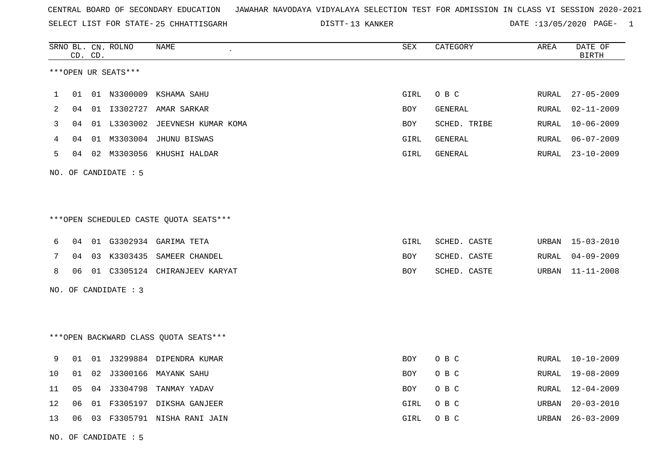SELECT LIST FOR STATE- DISTT- 25 CHHATTISGARH

13 KANKER DATE :13/05/2020 PAGE- 1

|    | CD. CD. |    | SRNO BL. CN. ROLNO   | NAME                                    | <b>SEX</b> | CATEGORY     | AREA  | DATE OF<br><b>BIRTH</b> |
|----|---------|----|----------------------|-----------------------------------------|------------|--------------|-------|-------------------------|
|    |         |    | ***OPEN UR SEATS***  |                                         |            |              |       |                         |
| 1  | 01      |    |                      | 01 N3300009 KSHAMA SAHU                 | GIRL       | O B C        | RURAL | $27 - 05 - 2009$        |
| 2  | 04      |    |                      | 01 I3302727 AMAR SARKAR                 | <b>BOY</b> | GENERAL      | RURAL | $02 - 11 - 2009$        |
| 3  | 04      |    |                      | 01 L3303002 JEEVNESH KUMAR KOMA         | BOY        | SCHED. TRIBE | RURAL | $10 - 06 - 2009$        |
| 4  | 04      |    |                      | 01 M3303004 JHUNU BISWAS                | GIRL       | GENERAL      | RURAL | $06 - 07 - 2009$        |
| 5  | 04      |    |                      | 02 M3303056 KHUSHI HALDAR               | GIRL       | GENERAL      | RURAL | $23 - 10 - 2009$        |
|    |         |    | NO. OF CANDIDATE : 5 |                                         |            |              |       |                         |
|    |         |    |                      |                                         |            |              |       |                         |
|    |         |    |                      | *** OPEN SCHEDULED CASTE QUOTA SEATS*** |            |              |       |                         |
| 6  | 04      |    |                      | 01 G3302934 GARIMA TETA                 | GIRL       | SCHED. CASTE |       | URBAN 15-03-2010        |
| 7  | 04      |    |                      | 03 K3303435 SAMEER CHANDEL              | BOY        | SCHED. CASTE | RURAL | $04 - 09 - 2009$        |
| 8  | 06      |    |                      | 01 C3305124 CHIRANJEEV KARYAT           | BOY        | SCHED. CASTE | URBAN | 11-11-2008              |
|    |         |    | NO. OF CANDIDATE : 3 |                                         |            |              |       |                         |
|    |         |    |                      |                                         |            |              |       |                         |
|    |         |    |                      | *** OPEN BACKWARD CLASS QUOTA SEATS***  |            |              |       |                         |
| 9  | 01      |    |                      | 01 J3299884 DIPENDRA KUMAR              | BOY        | O B C        | RURAL | $10 - 10 - 2009$        |
| 10 | 01      | 02 |                      | J3300166 MAYANK SAHU                    | BOY        | O B C        | RURAL | 19-08-2009              |
| 11 | 05      | 04 |                      | J3304798 TANMAY YADAV                   | BOY        | O B C        | RURAL | 12-04-2009              |
| 12 | 06      | 01 |                      | F3305197 DIKSHA GANJEER                 | GIRL       | O B C        | URBAN | $20 - 03 - 2010$        |
| 13 | 06      |    |                      | 03 F3305791 NISHA RANI JAIN             | GIRL       | O B C        | URBAN | $26 - 03 - 2009$        |
|    |         |    |                      |                                         |            |              |       |                         |

NO. OF CANDIDATE : 5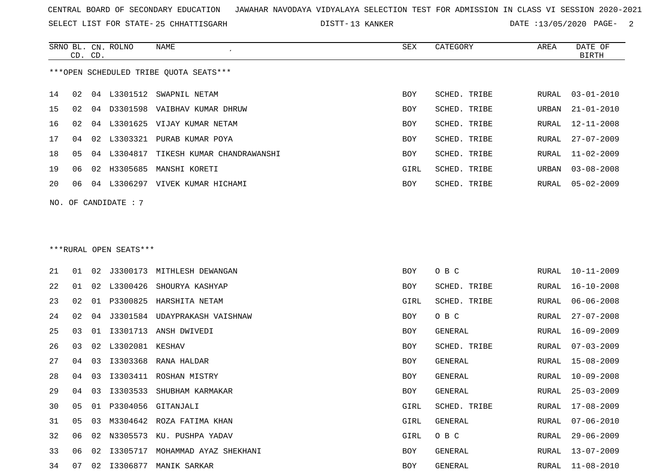SELECT LIST FOR STATE- DISTT- 25 CHHATTISGARH

13 KANKER DATE :13/05/2020 PAGE- 2

|    |    | CD. CD. | SRNO BL. CN. ROLNO     | <b>NAME</b>                            | <b>SEX</b> | CATEGORY     | AREA         | DATE OF<br><b>BIRTH</b> |
|----|----|---------|------------------------|----------------------------------------|------------|--------------|--------------|-------------------------|
|    |    |         |                        | ***OPEN SCHEDULED TRIBE QUOTA SEATS*** |            |              |              |                         |
| 14 | 02 |         |                        | 04 L3301512 SWAPNIL NETAM              | <b>BOY</b> | SCHED. TRIBE | RURAL        | $03 - 01 - 2010$        |
| 15 | 02 |         |                        | 04 D3301598 VAIBHAV KUMAR DHRUW        | BOY        | SCHED. TRIBE | URBAN        | $21 - 01 - 2010$        |
| 16 | 02 |         |                        | 04 L3301625 VIJAY KUMAR NETAM          | <b>BOY</b> | SCHED. TRIBE | <b>RURAL</b> | $12 - 11 - 2008$        |
| 17 | 04 |         |                        | 02 L3303321 PURAB KUMAR POYA           | BOY        | SCHED. TRIBE | RURAL        | $27 - 07 - 2009$        |
| 18 | 05 |         |                        | 04 L3304817 TIKESH KUMAR CHANDRAWANSHI | BOY        | SCHED. TRIBE | <b>RURAL</b> | $11 - 02 - 2009$        |
| 19 | 06 |         |                        | 02 H3305685 MANSHI KORETI              | GIRL       | SCHED. TRIBE | URBAN        | $03 - 08 - 2008$        |
| 20 | 06 |         |                        | 04 L3306297 VIVEK KUMAR HICHAMI        | BOY        | SCHED. TRIBE | RURAL        | $05 - 02 - 2009$        |
|    |    |         | NO. OF CANDIDATE : 7   |                                        |            |              |              |                         |
|    |    |         |                        |                                        |            |              |              |                         |
|    |    |         |                        |                                        |            |              |              |                         |
|    |    |         | ***RURAL OPEN SEATS*** |                                        |            |              |              |                         |
| 21 | 01 |         |                        | 02 J3300173 MITHLESH DEWANGAN          | <b>BOY</b> | O B C        | RURAL        | $10 - 11 - 2009$        |
| 22 | 01 |         |                        | 02 L3300426 SHOURYA KASHYAP            | BOY        | SCHED. TRIBE | RURAL        | $16 - 10 - 2008$        |
| 23 | 02 |         |                        | 01 P3300825 HARSHITA NETAM             | GIRL       | SCHED. TRIBE | <b>RURAL</b> | $06 - 06 - 2008$        |
| 24 | 02 | 04      |                        | J3301584 UDAYPRAKASH VAISHNAW          | <b>BOY</b> | O B C        | <b>RURAL</b> | $27 - 07 - 2008$        |
| 25 | 03 | 01      |                        | I3301713 ANSH DWIVEDI                  | BOY        | GENERAL      | RURAL        | $16 - 09 - 2009$        |
| 26 | 03 | 02      | L3302081 KESHAV        |                                        | <b>BOY</b> | SCHED. TRIBE | RURAL        | $07 - 03 - 2009$        |
| 27 | 04 | 03      |                        | I3303368 RANA HALDAR                   | <b>BOY</b> | GENERAL      | RURAL        | $15 - 08 - 2009$        |
| 28 | 04 | 03      |                        | I3303411 ROSHAN MISTRY                 | <b>BOY</b> | GENERAL      | <b>RURAL</b> | $10 - 09 - 2008$        |
| 29 | 04 |         |                        | 03 I3303533 SHUBHAM KARMAKAR           | <b>BOY</b> | GENERAL      | RURAL        | $25 - 03 - 2009$        |

31 05 03 M3304642 ROZA FATIMA KHAN GIRL GENERAL RURAL 07-06-2010 32 06 02 N3305573 KU. PUSHPA YADAV GARAL 2009 SOLUTION O B C

33 06 02 I3305717 MOHAMMAD AYAZ SHEKHANI BOY GENERAL RURAL 13-07-2009

30 05 01 P3304056 GITANJALI GIRL SCHED. TRIBE RURAL 17-08-2009 RURAL 29-06-2009 GENERAL RURAL 13-07-2009 34 07 02 I3306877 MANIK SARKAR BOY GENERAL RURAL 11-08-2010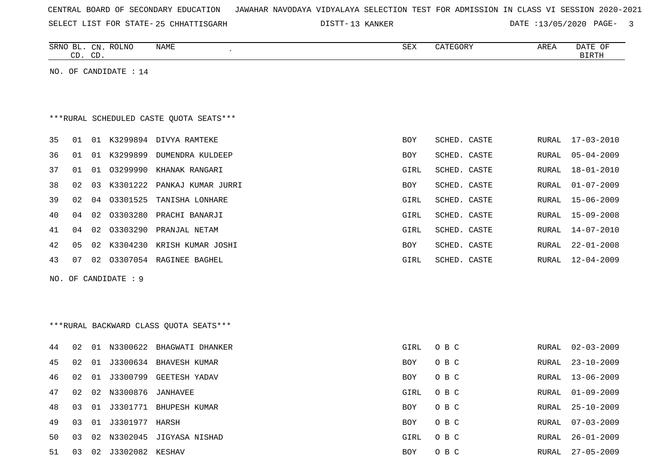| CENTRAL BOARD OF SECONDARY EDUCATION – JAWAHAR NAVODAYA VIDYALAYA SELECTION TEST FOR ADMISSION IN CLASS VI SESSION 2020-2021 |  |  |  |  |
|------------------------------------------------------------------------------------------------------------------------------|--|--|--|--|
|------------------------------------------------------------------------------------------------------------------------------|--|--|--|--|

SELECT LIST FOR STATE- DISTT- 25 CHHATTISGARH

13 KANKER DATE :13/05/2020 PAGE- 3

|    | CD. CD.        |    | SRNO BL. CN. ROLNO    | NAME                                    | SEX        | CATEGORY     | AREA          | DATE OF<br>BIRTH |
|----|----------------|----|-----------------------|-----------------------------------------|------------|--------------|---------------|------------------|
|    |                |    | NO. OF CANDIDATE : 14 |                                         |            |              |               |                  |
|    |                |    |                       |                                         |            |              |               |                  |
|    |                |    |                       |                                         |            |              |               |                  |
|    |                |    |                       | ***RURAL SCHEDULED CASTE QUOTA SEATS*** |            |              |               |                  |
| 35 | 01             |    |                       | 01 K3299894 DIVYA RAMTEKE               | <b>BOY</b> | SCHED. CASTE | RURAL         | $17 - 03 - 2010$ |
| 36 | 01             |    |                       | 01 K3299899 DUMENDRA KULDEEP            | BOY        | SCHED. CASTE | RURAL         | $05 - 04 - 2009$ |
| 37 | 01             | 01 | 03299990              | KHANAK RANGARI                          | GIRL       | SCHED. CASTE | RURAL         | $18 - 01 - 2010$ |
| 38 | 02             | 03 | K3301222              | PANKAJ KUMAR JURRI                      | BOY        | SCHED. CASTE | RURAL         | $01 - 07 - 2009$ |
| 39 | 02             | 04 | 03301525              | TANISHA LONHARE                         | GIRL       | SCHED. CASTE | RURAL         | $15 - 06 - 2009$ |
| 40 | 04             | 02 |                       | 03303280 PRACHI BANARJI                 | GIRL       | SCHED. CASTE | RURAL         | $15 - 09 - 2008$ |
| 41 | 04             | 02 | 03303290              | PRANJAL NETAM                           | GIRL       | SCHED. CASTE | <b>RURAL</b>  | $14 - 07 - 2010$ |
| 42 | 0 <sub>5</sub> | 02 |                       | K3304230 KRISH KUMAR JOSHI              | BOY        | SCHED. CASTE | <b>RURAL</b>  | $22 - 01 - 2008$ |
| 43 | 07             | 02 |                       | 03307054 RAGINEE BAGHEL                 | GIRL       | SCHED. CASTE | ${\tt RURAL}$ | $12 - 04 - 2009$ |
|    |                |    | NO. OF CANDIDATE : 9  |                                         |            |              |               |                  |
|    |                |    |                       |                                         |            |              |               |                  |
|    |                |    |                       |                                         |            |              |               |                  |
|    |                |    |                       | ***RURAL BACKWARD CLASS QUOTA SEATS***  |            |              |               |                  |
| 44 | 02             |    |                       | 01 N3300622 BHAGWATI DHANKER            | GIRL       | O B C        | RURAL         | $02 - 03 - 2009$ |
| 45 | 02             |    |                       | 01 J3300634 BHAVESH KUMAR               | BOY        | O B C        | RURAL         | $23 - 10 - 2009$ |
| 46 | 02             | 01 |                       | J3300799 GEETESH YADAV                  | <b>BOY</b> | O B C        | RURAL         | $13 - 06 - 2009$ |
| 47 | 02             | 02 | N3300876              | JANHAVEE                                | GIRL       | O B C        | RURAL         | $01 - 09 - 2009$ |
| 48 | 03             | 01 |                       | J3301771 BHUPESH KUMAR                  | <b>BOY</b> | O B C        | RURAL         | $25 - 10 - 2009$ |

49 03 01 J3301977 HARSH BOY O B C RURAL 07-03-2009 50 03 02 N3302045 JIGYASA NISHAD GIRL O B C RURAL 26-01-2009 51 03 02 J3302082 KESHAV BOY O B C RURAL 27-05-2009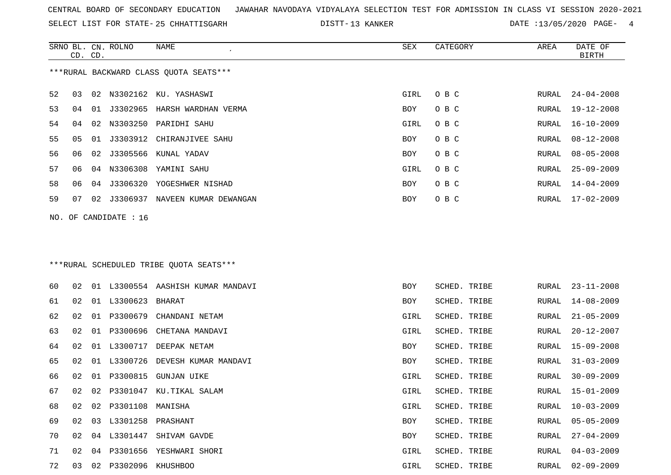SELECT LIST FOR STATE- DISTT- 25 CHHATTISGARH

DISTT-13 KANKER DATE :13/05/2020 PAGE- 4

|    | CD. CD. |    | SRNO BL. CN. ROLNO      | NAME                                    | SEX        | CATEGORY     | AREA  | DATE OF<br><b>BIRTH</b> |
|----|---------|----|-------------------------|-----------------------------------------|------------|--------------|-------|-------------------------|
|    |         |    |                         | ***RURAL BACKWARD CLASS QUOTA SEATS***  |            |              |       |                         |
| 52 | 03      |    |                         | 02 N3302162 KU. YASHASWI                | GIRL       | O B C        | RURAL | $24 - 04 - 2008$        |
| 53 | 04      | 01 |                         | J3302965 HARSH WARDHAN VERMA            | BOY        | O B C        | RURAL | $19 - 12 - 2008$        |
| 54 | 04      |    |                         | 02 N3303250 PARIDHI SAHU                | GIRL       | O B C        | RURAL | $16 - 10 - 2009$        |
| 55 | 05      |    |                         | 01 J3303912 CHIRANJIVEE SAHU            | BOY        | O B C        | RURAL | $08 - 12 - 2008$        |
| 56 | 06      | 02 |                         | J3305566 KUNAL YADAV                    | BOY        | O B C        | RURAL | $08 - 05 - 2008$        |
| 57 | 06      |    |                         | 04 N3306308 YAMINI SAHU                 | GIRL       | O B C        | RURAL | $25 - 09 - 2009$        |
| 58 | 06      |    |                         | 04 J3306320 YOGESHWER NISHAD            | <b>BOY</b> | O B C        | RURAL | $14 - 04 - 2009$        |
| 59 | 07      | 02 |                         | J3306937 NAVEEN KUMAR DEWANGAN          | <b>BOY</b> | O B C        | RURAL | $17 - 02 - 2009$        |
|    |         |    | NO. OF CANDIDATE : $16$ |                                         |            |              |       |                         |
|    |         |    |                         |                                         |            |              |       |                         |
|    |         |    |                         |                                         |            |              |       |                         |
|    |         |    |                         | ***RURAL SCHEDULED TRIBE QUOTA SEATS*** |            |              |       |                         |
| 60 | 02      |    |                         | 01 L3300554 AASHISH KUMAR MANDAVI       | <b>BOY</b> | SCHED. TRIBE | RURAL | $23 - 11 - 2008$        |
| 61 | 02      |    | 01 L3300623 BHARAT      |                                         | <b>BOY</b> | SCHED. TRIBE | RURAL | $14 - 08 - 2009$        |
| 62 | 02      |    |                         | 01 P3300679 CHANDANI NETAM              | GIRL       | SCHED. TRIBE | RURAL | $21 - 05 - 2009$        |
| 63 | 02      |    | 01 P3300696             | CHETANA MANDAVI                         | GIRL       | SCHED. TRIBE | RURAL | $20 - 12 - 2007$        |
| 64 | 02      |    |                         | 01 L3300717 DEEPAK NETAM                | BOY        | SCHED. TRIBE | RURAL | $15 - 09 - 2008$        |
| 65 | 02      |    |                         | 01 L3300726 DEVESH KUMAR MANDAVI        | BOY        | SCHED. TRIBE | RURAL | $31 - 03 - 2009$        |
| 66 | 02      |    |                         | 01 P3300815 GUNJAN UIKE                 | GIRL       | SCHED. TRIBE | RURAL | $30 - 09 - 2009$        |
| 67 | 02      |    |                         | 02 P3301047 KU.TIKAL SALAM              | GIRL       | SCHED. TRIBE | RURAL | $15 - 01 - 2009$        |
| 68 | 02      |    | 02 P3301108 MANISHA     |                                         | GIRL       | SCHED. TRIBE | RURAL | $10 - 03 - 2009$        |
| 69 | 02      |    | 03 L3301258 PRASHANT    |                                         | <b>BOY</b> | SCHED. TRIBE | RURAL | $05 - 05 - 2009$        |
| 70 | 02      |    |                         | 04 L3301447 SHIVAM GAVDE                | <b>BOY</b> | SCHED. TRIBE | RURAL | $27 - 04 - 2009$        |
| 71 | 02      |    |                         | 04 P3301656 YESHWARI SHORI              | GIRL       | SCHED. TRIBE | RURAL | $04 - 03 - 2009$        |

03 02 P3302096 KHUSHBOO GIRL SCHED. TRIBE RURAL 02-09-2009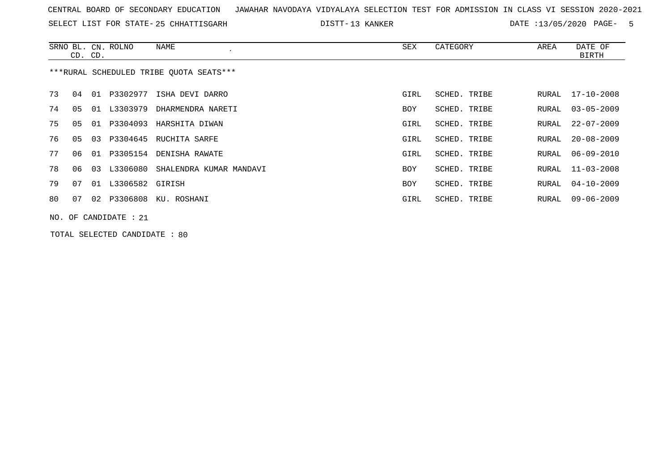SELECT LIST FOR STATE- DISTT- 25 CHHATTISGARH

13 KANKER DATE :13/05/2020 PAGE- 5

|    |                                         | CD. CD. | SRNO BL. CN. ROLNO    | NAME                             | SEX  | CATEGORY     | AREA  | DATE OF<br>BIRTH |  |
|----|-----------------------------------------|---------|-----------------------|----------------------------------|------|--------------|-------|------------------|--|
|    | ***RURAL SCHEDULED TRIBE QUOTA SEATS*** |         |                       |                                  |      |              |       |                  |  |
| 73 | 04                                      |         | 01 P3302977           | ISHA DEVI DARRO                  | GIRL | SCHED. TRIBE | RURAL | 17-10-2008       |  |
| 74 | 05                                      | 01      | L3303979              | DHARMENDRA NARETI                | BOY  | SCHED. TRIBE | RURAL | $03 - 05 - 2009$ |  |
| 75 | 05                                      |         | 01 P3304093           | HARSHITA DIWAN                   | GIRL | SCHED. TRIBE | RURAL | $22 - 07 - 2009$ |  |
| 76 | 05                                      | 03      | P3304645              | RUCHITA SARFE                    | GIRL | SCHED. TRIBE | RURAL | $20 - 08 - 2009$ |  |
| 77 | 06                                      | 01      |                       | P3305154 DENISHA RAWATE          | GIRL | SCHED. TRIBE | RURAL | $06 - 09 - 2010$ |  |
| 78 | 06                                      | 03      |                       | L3306080 SHALENDRA KUMAR MANDAVI | BOY  | SCHED. TRIBE | RURAL | $11 - 03 - 2008$ |  |
| 79 | 07                                      |         | 01 L3306582 GIRISH    |                                  | BOY  | SCHED. TRIBE | RURAL | $04 - 10 - 2009$ |  |
| 80 | 07                                      |         |                       | 02 P3306808 KU. ROSHANI          | GIRL | SCHED. TRIBE | RURAL | $09 - 06 - 2009$ |  |
|    |                                         |         | NO. OF CANDIDATE : 21 |                                  |      |              |       |                  |  |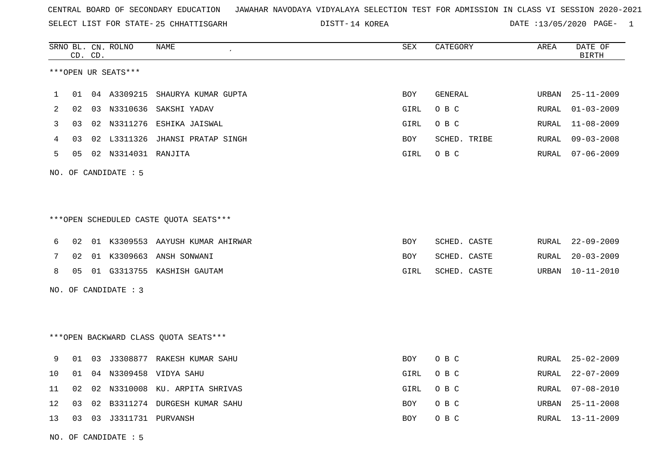SELECT LIST FOR STATE- DISTT- 25 CHHATTISGARH

DISTT-14 KOREA 2001 2012 DATE :13/05/2020 PAGE- 1

|              |    | CD. CD. | SRNO BL. CN. ROLNO         | NAME                                   | SEX        | CATEGORY     | AREA  | DATE OF<br><b>BIRTH</b> |
|--------------|----|---------|----------------------------|----------------------------------------|------------|--------------|-------|-------------------------|
|              |    |         | ***OPEN UR SEATS***        |                                        |            |              |       |                         |
| $\mathbf{1}$ | 01 |         | 04 A3309215                | SHAURYA KUMAR GUPTA                    | <b>BOY</b> | GENERAL      | URBAN | $25 - 11 - 2009$        |
| 2            | 02 |         |                            | 03 N3310636 SAKSHI YADAV               | GIRL       | O B C        | RURAL | $01 - 03 - 2009$        |
| 3            | 03 |         |                            | 02 N3311276 ESHIKA JAISWAL             | GIRL       | O B C        | RURAL | 11-08-2009              |
| 4            | 03 |         |                            | 02 L3311326 JHANSI PRATAP SINGH        | BOY        | SCHED. TRIBE | RURAL | $09 - 03 - 2008$        |
| 5            |    |         | 05 02 N3314031 RANJITA     |                                        | GIRL       | O B C        | RURAL | $07 - 06 - 2009$        |
|              |    |         | NO. OF CANDIDATE : 5       |                                        |            |              |       |                         |
|              |    |         |                            |                                        |            |              |       |                         |
|              |    |         |                            | ***OPEN SCHEDULED CASTE QUOTA SEATS*** |            |              |       |                         |
| 6            | 02 |         |                            | 01 K3309553 AAYUSH KUMAR AHIRWAR       | <b>BOY</b> | SCHED. CASTE | RURAL | $22 - 09 - 2009$        |
| 7            | 02 |         |                            | 01 K3309663 ANSH SONWANI               | BOY        | SCHED. CASTE | RURAL | $20 - 03 - 2009$        |
| 8            |    |         |                            | 05 01 G3313755 KASHISH GAUTAM          | GIRL       | SCHED. CASTE | URBAN | 10-11-2010              |
|              |    |         | NO. OF CANDIDATE : 3       |                                        |            |              |       |                         |
|              |    |         |                            |                                        |            |              |       |                         |
|              |    |         |                            | *** OPEN BACKWARD CLASS QUOTA SEATS*** |            |              |       |                         |
| 9            | 01 |         |                            | 03 J3308877 RAKESH KUMAR SAHU          | BOY        | O B C        | RURAL | $25 - 02 - 2009$        |
| 10           | 01 |         |                            | 04 N3309458 VIDYA SAHU                 | GIRL       | O B C        | RURAL | $22 - 07 - 2009$        |
| 11           | 02 |         |                            | 02 N3310008 KU. ARPITA SHRIVAS         | GIRL       | O B C        | RURAL | $07 - 08 - 2010$        |
| 12           | 03 |         |                            | 02 B3311274 DURGESH KUMAR SAHU         | BOY        | O B C        | URBAN | $25 - 11 - 2008$        |
| 13           |    |         | 03  03  03311731  PURVANSH |                                        | BOY        | O B C        | RURAL | 13-11-2009              |

NO. OF CANDIDATE : 5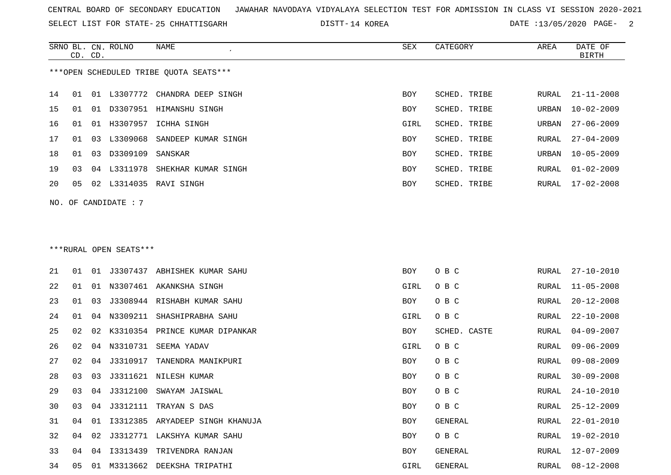SELECT LIST FOR STATE- DISTT- 25 CHHATTISGARH

DISTT-14 KOREA 2001 COREA DATE :13/05/2020 PAGE-

|    | CD. CD.        |    | SRNO BL. CN. ROLNO     | NAME                                   | <b>SEX</b> | CATEGORY     | AREA  | DATE OF<br><b>BIRTH</b> |
|----|----------------|----|------------------------|----------------------------------------|------------|--------------|-------|-------------------------|
|    |                |    |                        | ***OPEN SCHEDULED TRIBE QUOTA SEATS*** |            |              |       |                         |
| 14 | 01             | 01 |                        | L3307772 CHANDRA DEEP SINGH            | BOY        | SCHED. TRIBE | RURAL | $21 - 11 - 2008$        |
| 15 | 01             |    |                        | 01 D3307951 HIMANSHU SINGH             | BOY        | SCHED. TRIBE | URBAN | $10 - 02 - 2009$        |
| 16 | 01             |    |                        | 01 H3307957 ICHHA SINGH                | GIRL       | SCHED. TRIBE | URBAN | $27 - 06 - 2009$        |
| 17 | 01             | 03 | L3309068               | SANDEEP KUMAR SINGH                    | <b>BOY</b> | SCHED. TRIBE | RURAL | $27 - 04 - 2009$        |
| 18 | 01             | 03 | D3309109               | SANSKAR                                | <b>BOY</b> | SCHED. TRIBE | URBAN | $10 - 05 - 2009$        |
| 19 | 03             | 04 |                        | L3311978 SHEKHAR KUMAR SINGH           | BOY        | SCHED. TRIBE | RURAL | $01 - 02 - 2009$        |
| 20 | 0 <sub>5</sub> |    |                        | 02 L3314035 RAVI SINGH                 | BOY        | SCHED. TRIBE | RURAL | $17 - 02 - 2008$        |
|    |                |    | NO. OF CANDIDATE : 7   |                                        |            |              |       |                         |
|    |                |    |                        |                                        |            |              |       |                         |
|    |                |    |                        |                                        |            |              |       |                         |
|    |                |    | ***RURAL OPEN SEATS*** |                                        |            |              |       |                         |
| 21 | 01             | 01 |                        | J3307437 ABHISHEK KUMAR SAHU           | BOY        | O B C        | RURAL | $27 - 10 - 2010$        |
| 22 | 01             |    |                        | 01 N3307461 AKANKSHA SINGH             | GIRL       | O B C        | RURAL | $11 - 05 - 2008$        |
|    |                |    |                        |                                        |            |              |       |                         |

| 21 | 01 | 01 |          | J3307437 ABHISHEK KUMAR SAHU      | BOY  | O B C        |       | RURAL 27-10-2010 |
|----|----|----|----------|-----------------------------------|------|--------------|-------|------------------|
| 22 | 01 | 01 |          | N3307461 AKANKSHA SINGH           | GIRL | O B C        | RURAL | $11 - 05 - 2008$ |
| 23 | 01 | 03 |          | J3308944 RISHABH KUMAR SAHU       | BOY  | O B C        | RURAL | $20 - 12 - 2008$ |
| 24 | 01 | 04 | N3309211 | SHASHIPRABHA SAHU                 | GIRL | O B C        | RURAL | $22 - 10 - 2008$ |
| 25 | 02 |    |          | 02 K3310354 PRINCE KUMAR DIPANKAR | BOY  | SCHED. CASTE | RURAL | $04 - 09 - 2007$ |
| 26 | 02 | 04 | N3310731 | SEEMA YADAV                       | GIRL | O B C        | RURAL | $09 - 06 - 2009$ |
| 27 | 02 | 04 | J3310917 | TANENDRA MANIKPURI                | BOY  | O B C        | RURAL | $09 - 08 - 2009$ |
| 28 | 03 | 03 |          | J3311621 NILESH KUMAR             | BOY  | O B C        | RURAL | $30 - 09 - 2008$ |
| 29 | 03 | 04 |          | J3312100 SWAYAM JAISWAL           | BOY  | O B C        | RURAL | $24 - 10 - 2010$ |
| 30 | 03 | 04 | J3312111 | TRAYAN S DAS                      | BOY  | O B C        | RURAL | $25 - 12 - 2009$ |
| 31 | 04 | 01 | I3312385 | ARYADEEP SINGH KHANUJA            | BOY  | GENERAL      | RURAL | $22 - 01 - 2010$ |
| 32 | 04 | 02 | J3312771 | LAKSHYA KUMAR SAHU                | BOY  | O B C        | RURAL | 19-02-2010       |
| 33 | 04 | 04 | I3313439 | TRIVENDRA RANJAN                  | BOY  | GENERAL      | RURAL | 12-07-2009       |
| 34 | 05 | 01 |          | M3313662 DEEKSHA TRIPATHI         | GIRL | GENERAL      |       | RURAL 08-12-2008 |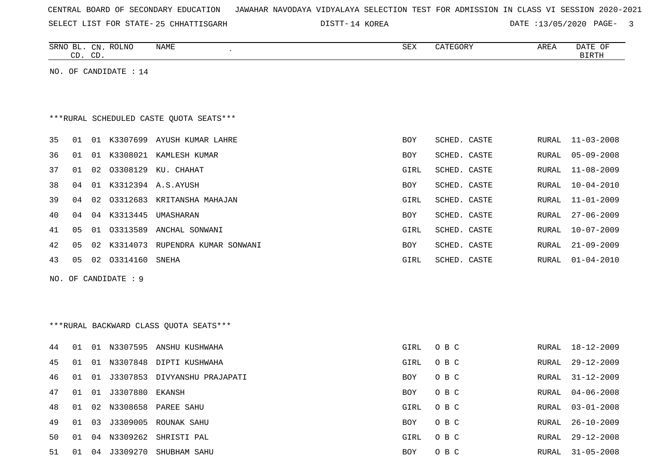|  |  |  |  | CENTRAL BOARD OF SECONDARY EDUCATION – JAWAHAR NAVODAYA VIDYALAYA SELECTION TEST FOR ADMISSION IN CLASS VI SESSION 2020-2021 |  |  |  |  |  |  |  |  |  |  |  |  |  |
|--|--|--|--|------------------------------------------------------------------------------------------------------------------------------|--|--|--|--|--|--|--|--|--|--|--|--|--|
|--|--|--|--|------------------------------------------------------------------------------------------------------------------------------|--|--|--|--|--|--|--|--|--|--|--|--|--|

SELECT LIST FOR STATE- 25 CHHATTISGARH

25 CHHATTISGARH 14 KOREA DATE :13/05/2020 PAGE- 3

|     |    | CD. CD. | SRNO BL. CN. ROLNO      | NAME                                    | SEX        | CATEGORY     | AREA         | DATE OF<br><b>BIRTH</b> |
|-----|----|---------|-------------------------|-----------------------------------------|------------|--------------|--------------|-------------------------|
|     |    |         | NO. OF CANDIDATE : $14$ |                                         |            |              |              |                         |
|     |    |         |                         |                                         |            |              |              |                         |
|     |    |         |                         |                                         |            |              |              |                         |
|     |    |         |                         | ***RURAL SCHEDULED CASTE OUOTA SEATS*** |            |              |              |                         |
| 35  | 01 |         |                         | 01 K3307699 AYUSH KUMAR LAHRE           | <b>BOY</b> | SCHED. CASTE | RURAL        | $11 - 03 - 2008$        |
| 36  | 01 | 01      |                         | K3308021 KAMLESH KUMAR                  | <b>BOY</b> | SCHED. CASTE | RURAL        | $05 - 09 - 2008$        |
| 37  | 01 |         |                         | 02 03308129 KU. CHAHAT                  | GIRL       | SCHED. CASTE | RURAL        | $11 - 08 - 2009$        |
| 38  | 04 |         |                         | 01 K3312394 A.S. AYUSH                  | <b>BOY</b> | SCHED. CASTE | RURAL        | $10 - 04 - 2010$        |
| 39  | 04 | 02      |                         | 03312683 KRITANSHA MAHAJAN              | GIRL       | SCHED. CASTE | RURAL        | $11 - 01 - 2009$        |
| 40  | 04 |         |                         | 04 K3313445 UMASHARAN                   | <b>BOY</b> | SCHED. CASTE | RURAL        | $27 - 06 - 2009$        |
| 41  | 05 | 01      |                         | 03313589 ANCHAL SONWANI                 | GIRL       | SCHED. CASTE | RURAL        | $10 - 07 - 2009$        |
| 42  | 05 |         |                         | 02 K3314073 RUPENDRA KUMAR SONWANI      | BOY        | SCHED. CASTE | RURAL        | $21 - 09 - 2009$        |
| 43  | 05 |         | 02 03314160             | SNEHA                                   | GIRL       | SCHED. CASTE | RURAL        | $01 - 04 - 2010$        |
| NO. |    |         | OF CANDIDATE : 9        |                                         |            |              |              |                         |
|     |    |         |                         |                                         |            |              |              |                         |
|     |    |         |                         |                                         |            |              |              |                         |
|     |    |         |                         | *** RURAL BACKWARD CLASS QUOTA SEATS*** |            |              |              |                         |
| 44  | 01 |         |                         | 01 N3307595 ANSHU KUSHWAHA              | GIRL       | O B C        | RURAL        | $18 - 12 - 2009$        |
| 45  | 01 |         |                         | 01 N3307848 DIPTI KUSHWAHA              | GIRL       | O B C        | RURAL        | $29 - 12 - 2009$        |
| 46  | 01 |         |                         | 01 J3307853 DIVYANSHU PRAJAPATI         | <b>BOY</b> | O B C        | <b>RURAL</b> | $31 - 12 - 2009$        |
| 47  | 01 |         | 01 J3307880 EKANSH      |                                         | BOY        | O B C        | RURAL        | $04 - 06 - 2008$        |
| 48  | 01 |         |                         | 02 N3308658 PAREE SAHU                  | GIRL       | O B C        | <b>RURAL</b> | $03 - 01 - 2008$        |
| 49  | 01 | 03      |                         | J3309005 ROUNAK SAHU                    | <b>BOY</b> | O B C        | RURAL        | $26 - 10 - 2009$        |
| 50  | 01 |         |                         | 04 N3309262 SHRISTI PAL                 | GIRL       | O B C        | RURAL        | $29 - 12 - 2008$        |
| 51  | 01 |         | 04 J3309270             | SHUBHAM SAHU                            | <b>BOY</b> | O B C        | RURAL        | $31 - 05 - 2008$        |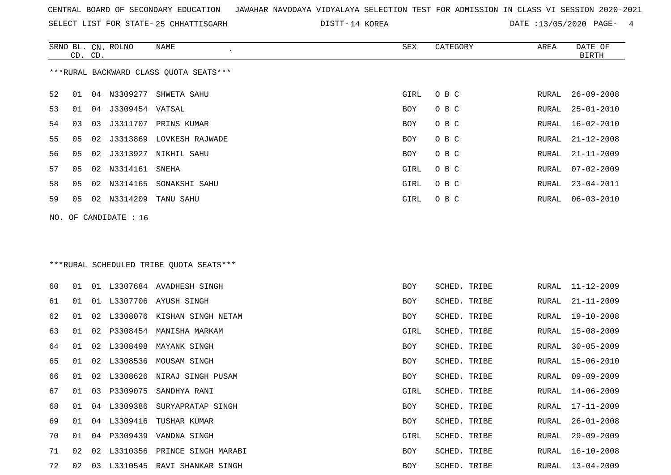SRNO BL. CN. ROLNO NAME SEX CATEGORY AREA DATE OF

SELECT LIST FOR STATE- DISTT- 25 CHHATTISGARH

DISTT-14 KOREA 2000 DATE :13/05/2020 PAGE- 4

|    | CD. CD. |    |                       |                                         |      |              |  |       | <b>BIRTH</b>     |  |  |  |  |
|----|---------|----|-----------------------|-----------------------------------------|------|--------------|--|-------|------------------|--|--|--|--|
|    |         |    |                       | ***RURAL BACKWARD CLASS QUOTA SEATS***  |      |              |  |       |                  |  |  |  |  |
| 52 | 01      |    |                       | 04 N3309277 SHWETA SAHU                 | GIRL | O B C        |  | RURAL | $26 - 09 - 2008$ |  |  |  |  |
| 53 | 01      | 04 | J3309454 VATSAL       |                                         | BOY  | O B C        |  | RURAL | $25 - 01 - 2010$ |  |  |  |  |
| 54 | 03      | 03 |                       | J3311707 PRINS KUMAR                    | BOY  | O B C        |  | RURAL | $16 - 02 - 2010$ |  |  |  |  |
| 55 | 05      | 02 | J3313869              | LOVKESH RAJWADE                         | BOY  | O B C        |  | RURAL | $21 - 12 - 2008$ |  |  |  |  |
| 56 | 05      | 02 |                       | J3313927 NIKHIL SAHU                    | BOY  | O B C        |  | RURAL | $21 - 11 - 2009$ |  |  |  |  |
| 57 | 05      |    | 02 N3314161           | SNEHA                                   | GIRL | O B C        |  | RURAL | $07 - 02 - 2009$ |  |  |  |  |
| 58 | 05      |    |                       | 02 N3314165 SONAKSHI SAHU               | GIRL | O B C        |  | RURAL | $23 - 04 - 2011$ |  |  |  |  |
| 59 | 05      |    | 02 N3314209           | TANU SAHU                               | GIRL | O B C        |  | RURAL | $06 - 03 - 2010$ |  |  |  |  |
|    |         |    | NO. OF CANDIDATE : 16 |                                         |      |              |  |       |                  |  |  |  |  |
|    |         |    |                       |                                         |      |              |  |       |                  |  |  |  |  |
|    |         |    |                       | ***RURAL SCHEDULED TRIBE QUOTA SEATS*** |      |              |  |       |                  |  |  |  |  |
| 60 | 01      |    |                       | 01 L3307684 AVADHESH SINGH              | BOY  | SCHED. TRIBE |  | RURAL | 11-12-2009       |  |  |  |  |
| 61 | 01      | 01 |                       | L3307706 AYUSH SINGH                    | BOY  | SCHED. TRIBE |  | RURAL | $21 - 11 - 2009$ |  |  |  |  |
| 62 | 01      | 02 |                       | L3308076 KISHAN SINGH NETAM             | BOY  | SCHED. TRIBE |  | RURAL | $19 - 10 - 2008$ |  |  |  |  |
| 63 | 01      | 02 | P3308454              | MANISHA MARKAM                          | GIRL | SCHED. TRIBE |  | RURAL | $15 - 08 - 2009$ |  |  |  |  |
| 64 | 01      | 02 | L3308498              | MAYANK SINGH                            | BOY  | SCHED. TRIBE |  | RURAL | $30 - 05 - 2009$ |  |  |  |  |
| 65 | 01      | 02 | L3308536              | MOUSAM SINGH                            | BOY  | SCHED. TRIBE |  | RURAL | $15 - 06 - 2010$ |  |  |  |  |
| 66 | 01      | 02 | L3308626              | NIRAJ SINGH PUSAM                       | BOY  | SCHED. TRIBE |  | RURAL | $09 - 09 - 2009$ |  |  |  |  |
| 67 | 01      | 03 | P3309075              | SANDHYA RANI                            | GIRL | SCHED. TRIBE |  | RURAL | $14 - 06 - 2009$ |  |  |  |  |
| 68 | 01      |    |                       | 04 L3309386 SURYAPRATAP SINGH           | BOY  | SCHED. TRIBE |  | RURAL | $17 - 11 - 2009$ |  |  |  |  |
| 69 | 01      |    |                       | 04 L3309416 TUSHAR KUMAR                | BOY  | SCHED. TRIBE |  | RURAL | 26-01-2008       |  |  |  |  |
| 70 | 01      |    |                       | 04 P3309439 VANDNA SINGH                | GIRL | SCHED. TRIBE |  | RURAL | $29 - 09 - 2009$ |  |  |  |  |
| 71 | 02      |    |                       | 02 L3310356 PRINCE SINGH MARABI         | BOY  | SCHED. TRIBE |  | RURAL | $16 - 10 - 2008$ |  |  |  |  |
| 72 | 02      |    |                       | 03 L3310545 RAVI SHANKAR SINGH          | BOY  | SCHED. TRIBE |  | RURAL | $13 - 04 - 2009$ |  |  |  |  |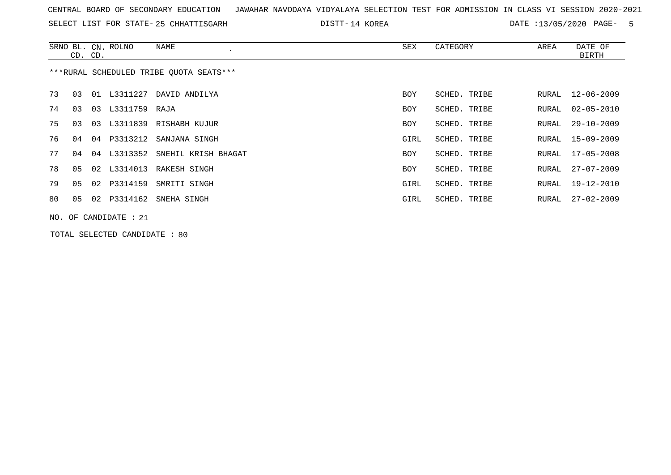SELECT LIST FOR STATE- DISTT- 25 CHHATTISGARH

14 KOREA DATE :13/05/2020 PAGE- 5

|    | CD. CD.                                  |    | SRNO BL. CN. ROLNO    | NAME                            | SEX  | CATEGORY     | AREA  | DATE OF<br><b>BIRTH</b> |  |  |  |  |
|----|------------------------------------------|----|-----------------------|---------------------------------|------|--------------|-------|-------------------------|--|--|--|--|
|    | *** RURAL SCHEDULED TRIBE QUOTA SEATS*** |    |                       |                                 |      |              |       |                         |  |  |  |  |
| 73 | 03                                       |    | 01 L3311227           | DAVID ANDILYA                   | BOY  | SCHED. TRIBE | RURAL | $12 - 06 - 2009$        |  |  |  |  |
| 74 | 03                                       | 03 | L3311759 RAJA         |                                 | BOY  | SCHED. TRIBE | RURAL | $02 - 05 - 2010$        |  |  |  |  |
| 75 | 03                                       | 03 |                       | L3311839 RISHABH KUJUR          | BOY  | SCHED. TRIBE | RURAL | $29 - 10 - 2009$        |  |  |  |  |
| 76 | 04                                       |    |                       | 04 P3313212 SANJANA SINGH       | GIRL | SCHED. TRIBE | RURAL | 15-09-2009              |  |  |  |  |
| 77 | 04                                       |    |                       | 04 L3313352 SNEHIL KRISH BHAGAT | BOY  | SCHED. TRIBE | RURAL | $17 - 05 - 2008$        |  |  |  |  |
| 78 | 05                                       |    |                       | 02 L3314013 RAKESH SINGH        | BOY  | SCHED. TRIBE | RURAL | 27-07-2009              |  |  |  |  |
| 79 | 05                                       |    | 02 P3314159           | SMRITI SINGH                    | GIRL | SCHED. TRIBE | RURAL | 19-12-2010              |  |  |  |  |
| 80 | 05                                       |    | 02 P3314162           | SNEHA SINGH                     | GIRL | SCHED. TRIBE | RURAL | $27 - 02 - 2009$        |  |  |  |  |
|    |                                          |    | NO. OF CANDIDATE : 21 |                                 |      |              |       |                         |  |  |  |  |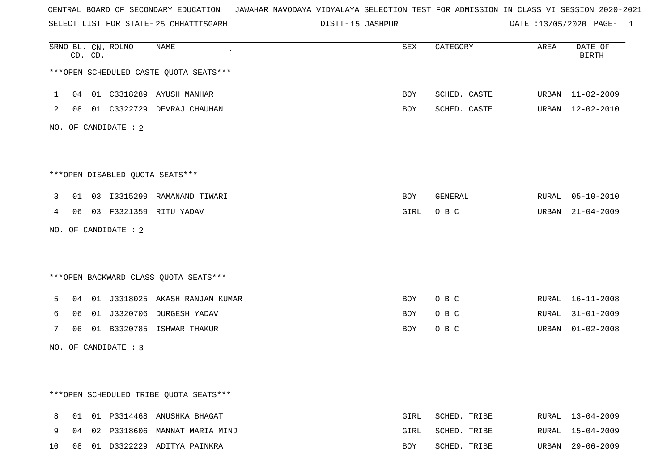SELECT LIST FOR STATE- DISTT- 25 CHHATTISGARH

15 JASHPUR DATE :13/05/2020 PAGE- 1

|              |    | CD. CD. | SRNO BL. CN. ROLNO   | <b>NAME</b>                            | <b>SEX</b> | CATEGORY     | AREA  | DATE OF<br><b>BIRTH</b> |
|--------------|----|---------|----------------------|----------------------------------------|------------|--------------|-------|-------------------------|
|              |    |         |                      | ***OPEN SCHEDULED CASTE QUOTA SEATS*** |            |              |       |                         |
| $\mathbf{1}$ | 04 |         |                      | 01 C3318289 AYUSH MANHAR               | BOY        | SCHED. CASTE | URBAN | 11-02-2009              |
| 2            |    |         |                      | 08 01 C3322729 DEVRAJ CHAUHAN          | BOY        | SCHED. CASTE | URBAN | 12-02-2010              |
|              |    |         | NO. OF CANDIDATE : 2 |                                        |            |              |       |                         |
|              |    |         |                      | ***OPEN DISABLED QUOTA SEATS***        |            |              |       |                         |
| 3            | 01 |         |                      | 03 I3315299 RAMANAND TIWARI            | BOY        | GENERAL      |       | RURAL 05-10-2010        |
| 4            |    |         |                      | 06  03  F3321359  RITU YADAV           | GIRL       | O B C        |       | URBAN 21-04-2009        |
|              |    |         | NO. OF CANDIDATE : 2 |                                        |            |              |       |                         |
|              |    |         |                      | *** OPEN BACKWARD CLASS QUOTA SEATS*** |            |              |       |                         |
| 5            | 04 |         |                      | 01 J3318025 AKASH RANJAN KUMAR         | BOY        | O B C        |       | RURAL 16-11-2008        |
| 6            | 06 |         |                      | 01 J3320706 DURGESH YADAV              | BOY        | O B C        | RURAL | $31 - 01 - 2009$        |
| 7            | 06 |         |                      | 01 B3320785 ISHWAR THAKUR              | BOY        | O B C        | URBAN | $01 - 02 - 2008$        |
|              |    |         | NO. OF CANDIDATE : 3 |                                        |            |              |       |                         |
|              |    |         |                      |                                        |            |              |       |                         |
|              |    |         |                      | ***OPEN SCHEDULED TRIBE QUOTA SEATS*** |            |              |       |                         |
| 8            |    |         |                      | 01 01 P3314468 ANUSHKA BHAGAT          | GIRL       | SCHED. TRIBE |       | RURAL 13-04-2009        |
| 9            | 04 |         |                      | 02 P3318606 MANNAT MARIA MINJ          | GIRL       | SCHED. TRIBE | RURAL | 15-04-2009              |
| 10           | 08 |         |                      | 01 D3322229 ADITYA PAINKRA             | BOY        | SCHED. TRIBE | URBAN | $29 - 06 - 2009$        |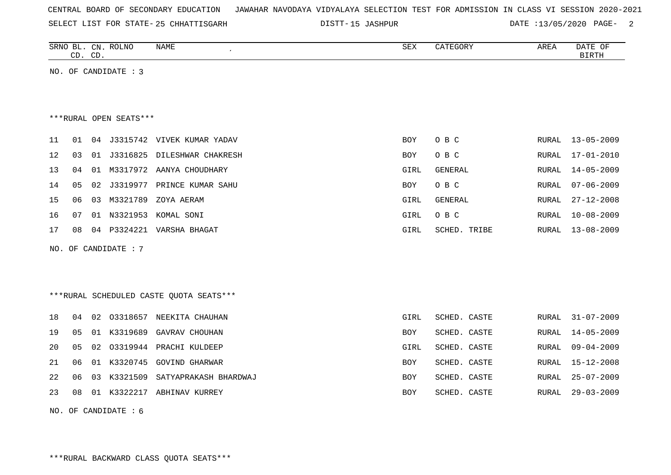| CENTRAL BOARD OF SECONDARY EDUCATION – JAWAHAR NAVODAYA VIDYALAYA SELECTION TEST FOR ADMISSION IN CLASS VI SESSION 2020-2021 |  |  |  |  |
|------------------------------------------------------------------------------------------------------------------------------|--|--|--|--|
|------------------------------------------------------------------------------------------------------------------------------|--|--|--|--|

SELECT LIST FOR STATE- DISTT- 25 CHHATTISGARH 15 JASHPUR DATE :13/05/2020 PAGE- 2

SCHED. CASTE RURAL 25-07-2009

|    | CD. CD. |    | SRNO BL. CN. ROLNO     | NAME<br>$\epsilon$                      | SEX        | CATEGORY       | AREA         | DATE OF<br><b>BIRTH</b> |
|----|---------|----|------------------------|-----------------------------------------|------------|----------------|--------------|-------------------------|
|    |         |    | NO. OF CANDIDATE : 3   |                                         |            |                |              |                         |
|    |         |    |                        |                                         |            |                |              |                         |
|    |         |    |                        |                                         |            |                |              |                         |
|    |         |    | ***RURAL OPEN SEATS*** |                                         |            |                |              |                         |
| 11 | 01      |    |                        | 04 J3315742 VIVEK KUMAR YADAV           | BOY        | O B C          | RURAL        | $13 - 05 - 2009$        |
| 12 | 03      | 01 | J3316825               | DILESHWAR CHAKRESH                      | <b>BOY</b> | O B C          | RURAL        | $17 - 01 - 2010$        |
| 13 | 04      | 01 |                        | M3317972 AANYA CHOUDHARY                | GIRL       | <b>GENERAL</b> | RURAL        | $14 - 05 - 2009$        |
| 14 | 05      | 02 | J3319977               | PRINCE KUMAR SAHU                       | BOY        | O B C          | RURAL        | $07 - 06 - 2009$        |
| 15 | 06      | 03 | M3321789               | ZOYA AERAM                              | GIRL       | <b>GENERAL</b> | RURAL        | $27 - 12 - 2008$        |
| 16 | 07      |    | 01 N3321953            | KOMAL SONI                              | GIRL       | O B C          | <b>RURAL</b> | $10 - 08 - 2009$        |
| 17 | 08      | 04 | P3324221               | VARSHA BHAGAT                           | GIRL       | SCHED. TRIBE   | RURAL        | $13 - 08 - 2009$        |
|    |         |    | NO. OF CANDIDATE : 7   |                                         |            |                |              |                         |
|    |         |    |                        |                                         |            |                |              |                         |
|    |         |    |                        |                                         |            |                |              |                         |
|    |         |    |                        | ***RURAL SCHEDULED CASTE OUOTA SEATS*** |            |                |              |                         |
| 18 | 04      | 02 | 03318657               | NEEKITA CHAUHAN                         | GIRL       | SCHED. CASTE   | RURAL        | $31 - 07 - 2009$        |
| 19 | 05      | 01 | K3319689               | GAVRAV CHOUHAN                          | BOY        | SCHED. CASTE   | RURAL        | $14 - 05 - 2009$        |
| 20 | 05      | 02 |                        | 03319944 PRACHI KULDEEP                 | GIRL       | SCHED. CASTE   | RURAL        | $09 - 04 - 2009$        |
| 21 | 06      |    |                        | 01 K3320745 GOVIND GHARWAR              | <b>BOY</b> | SCHED. CASTE   | RURAL        | $15 - 12 - 2008$        |

22 06 03 K3321509 SATYAPRAKASH BHARDWAJ SCHED. CASTE ROY

23 08 01 K3322217 ABHINAV KURREY BOY SCHED. CASTE RURAL 29-03-2009

NO. OF CANDIDATE : 6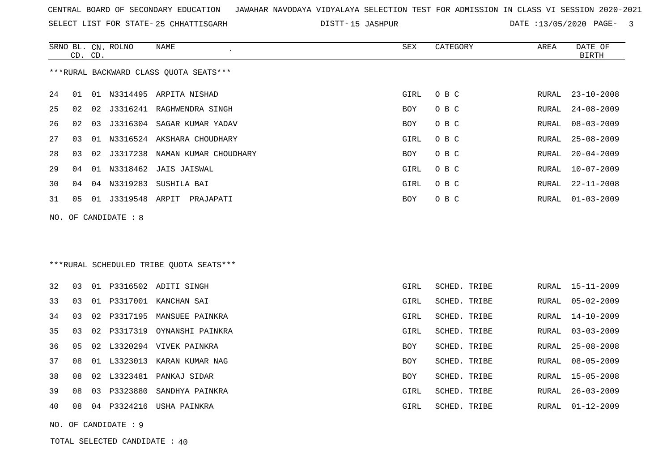SELECT LIST FOR STATE- DISTT- 25 CHHATTISGARH

15 JASHPUR DATE :13/05/2020 PAGE- 3

|    |    | CD. CD. | SRNO BL. CN. ROLNO     | <b>NAME</b>                             | <b>SEX</b> | CATEGORY     | AREA         | DATE OF<br><b>BIRTH</b> |
|----|----|---------|------------------------|-----------------------------------------|------------|--------------|--------------|-------------------------|
|    |    |         |                        | *** RURAL BACKWARD CLASS QUOTA SEATS*** |            |              |              |                         |
| 24 | 01 | 01      | N3314495               | ARPITA NISHAD                           | GIRL       | O B C        | <b>RURAL</b> | $23 - 10 - 2008$        |
| 25 | 02 | 02      | J3316241               | RAGHWENDRA SINGH                        | <b>BOY</b> | O B C        | <b>RURAL</b> | $24 - 08 - 2009$        |
| 26 | 02 | 03      | J3316304               | SAGAR KUMAR YADAV                       | <b>BOY</b> | O B C        | <b>RURAL</b> | $08 - 03 - 2009$        |
| 27 | 03 | 01      | N3316524               | AKSHARA CHOUDHARY                       | GIRL       | O B C        | <b>RURAL</b> | $25 - 08 - 2009$        |
| 28 | 03 | 02      | J3317238               | NAMAN KUMAR CHOUDHARY                   | <b>BOY</b> | O B C        | <b>RURAL</b> | $20 - 04 - 2009$        |
| 29 | 04 | 01      | N3318462               | <b>JAIS JAISWAL</b>                     | GIRL       | O B C        | RURAL        | $10 - 07 - 2009$        |
| 30 | 04 | 04      | N3319283               | SUSHILA BAI                             | GIRL       | O B C        | <b>RURAL</b> | $22 - 11 - 2008$        |
| 31 | 05 | 01      | J3319548               | ARPIT<br>PRAJAPATI                      | <b>BOY</b> | O B C        | RURAL        | $01 - 03 - 2009$        |
|    |    |         | NO. OF CANDIDATE : $8$ |                                         |            |              |              |                         |
|    |    |         |                        |                                         |            |              |              |                         |
|    |    |         |                        | ***RURAL SCHEDULED TRIBE OUOTA SEATS*** |            |              |              |                         |
| 32 | 03 | 01      | P3316502               | ADITI SINGH                             | GIRL       | SCHED. TRIBE | RURAL        | $15 - 11 - 2009$        |
| 33 | 03 | 01      | P3317001               | KANCHAN SAI                             | GIRL       | SCHED. TRIBE | RURAL        | $05 - 02 - 2009$        |
| 34 | 03 | 02      | P3317195               | MANSUEE PAINKRA                         | GIRL       | SCHED. TRIBE | <b>RURAL</b> | $14 - 10 - 2009$        |

35 03 02 P3317319 OYNANSHI PAINKRA GIRL SCHED. TRIBE RURAL 03-03-2009

36 05 02 L3320294 VIVEK PAINKRA BOY SCHED. TRIBE RURAL 25-08-2008

37 08 01 L3323013 KARAN KUMAR NAG BOY SCHED. TRIBE RURAL 08-05-2009

38 08 02 L3323481 PANKAJ SIDAR BOY SCHED. TRIBE RURAL 15-05-2008

39 08 03 P3323880 SANDHYA PAINKRA GIRL SCHED. TRIBE RURAL 26-03-2009

40 08 04 P3324216 USHA PAINKRA GIRL SCHED. TRIBE RURAL 01-12-2009

NO. OF CANDIDATE : 9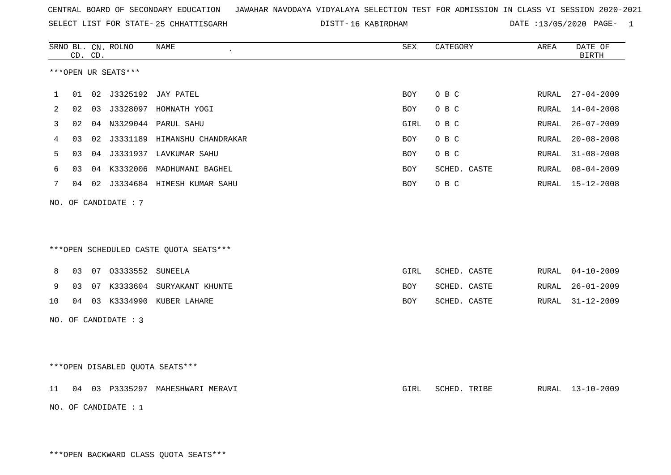SELECT LIST FOR STATE- DISTT- 25 CHHATTISGARH

16 KABIRDHAM DATE :13/05/2020 PAGE- 1

|             |    | CD. CD. | SRNO BL. CN. ROLNO     | <b>NAME</b>                            | <b>SEX</b> | CATEGORY     | AREA  | DATE OF<br><b>BIRTH</b> |
|-------------|----|---------|------------------------|----------------------------------------|------------|--------------|-------|-------------------------|
|             |    |         | ***OPEN UR SEATS***    |                                        |            |              |       |                         |
| $\mathbf 1$ |    |         |                        | 01 02 J3325192 JAY PATEL               | BOY        | O B C        |       | RURAL 27-04-2009        |
| 2           | 02 |         |                        | 03 J3328097 HOMNATH YOGI               | BOY        | O B C        | RURAL | $14 - 04 - 2008$        |
| 3           | 02 |         |                        | 04 N3329044 PARUL SAHU                 | GIRL       | O B C        | RURAL | $26 - 07 - 2009$        |
| 4           | 03 |         |                        | 02 J3331189 HIMANSHU CHANDRAKAR        | BOY        | O B C        | RURAL | $20 - 08 - 2008$        |
| 5           | 03 |         |                        | 04 J3331937 LAVKUMAR SAHU              | BOY        | O B C        | RURAL | $31 - 08 - 2008$        |
| 6           | 03 |         |                        | 04 K3332006 MADHUMANI BAGHEL           | BOY        | SCHED. CASTE | RURAL | $08 - 04 - 2009$        |
| 7           |    |         |                        | 04 02 J3334684 HIMESH KUMAR SAHU       | BOY        | O B C        |       | RURAL 15-12-2008        |
| NO.         |    |         | OF CANDIDATE : 7       |                                        |            |              |       |                         |
|             |    |         |                        | ***OPEN SCHEDULED CASTE QUOTA SEATS*** |            |              |       |                         |
| 8           |    |         | 03 07 03333552 SUNEELA |                                        | GIRL       | SCHED. CASTE | RURAL | $04 - 10 - 2009$        |
| 9           |    |         |                        | 03 07 K3333604 SURYAKANT KHUNTE        | BOY        | SCHED. CASTE | RURAL | $26 - 01 - 2009$        |
| 10          |    |         |                        | 04 03 K3334990 KUBER LAHARE            | BOY        | SCHED. CASTE | RURAL | $31 - 12 - 2009$        |
|             |    |         | NO. OF CANDIDATE : 3   |                                        |            |              |       |                         |
|             |    |         |                        | ***OPEN DISABLED QUOTA SEATS***        |            |              |       |                         |
| 11          |    |         |                        | 04 03 P3335297 MAHESHWARI MERAVI       | GIRL       | SCHED. TRIBE |       | RURAL 13-10-2009        |
|             |    |         | NO. OF CANDIDATE : 1   |                                        |            |              |       |                         |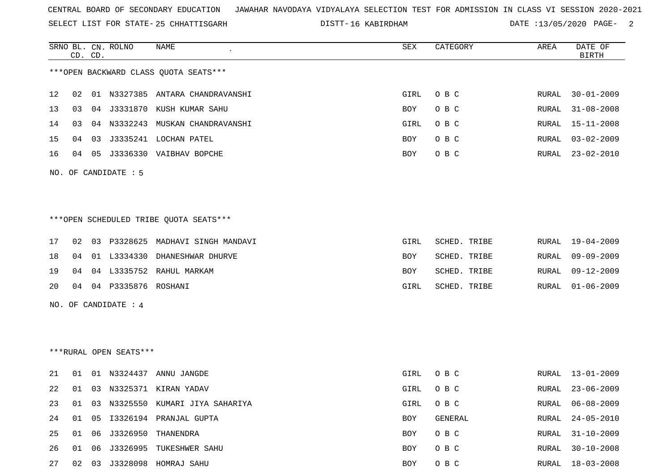SELECT LIST FOR STATE- DISTT- 25 CHHATTISGARH

16 KABIRDHAM DATE :13/05/2020 PAGE- 2

|    |    | CD. CD. | SRNO BL. CN. ROLNO     | NAME                                   | SEX  | CATEGORY     | AREA         | DATE OF<br><b>BIRTH</b> |
|----|----|---------|------------------------|----------------------------------------|------|--------------|--------------|-------------------------|
|    |    |         |                        | *** OPEN BACKWARD CLASS QUOTA SEATS*** |      |              |              |                         |
|    |    |         |                        |                                        |      |              |              |                         |
| 12 | 02 |         |                        | 01 N3327385 ANTARA CHANDRAVANSHI       | GIRL | O B C        | RURAL        | $30 - 01 - 2009$        |
| 13 | 03 |         |                        | 04 J3331870 KUSH KUMAR SAHU            | BOY  | O B C        | RURAL        | $31 - 08 - 2008$        |
| 14 | 03 |         |                        | 04 N3332243 MUSKAN CHANDRAVANSHI       | GIRL | O B C        | RURAL        | $15 - 11 - 2008$        |
| 15 | 04 | 03      |                        | J3335241 LOCHAN PATEL                  | BOY  | O B C        | RURAL        | $03 - 02 - 2009$        |
| 16 | 04 |         |                        | 05 J3336330 VAIBHAV BOPCHE             | BOY  | O B C        | RURAL        | $23 - 02 - 2010$        |
|    |    |         | NO. OF CANDIDATE : 5   |                                        |      |              |              |                         |
|    |    |         |                        |                                        |      |              |              |                         |
|    |    |         |                        |                                        |      |              |              |                         |
|    |    |         |                        | ***OPEN SCHEDULED TRIBE QUOTA SEATS*** |      |              |              |                         |
|    |    |         |                        |                                        |      |              |              |                         |
| 17 | 02 |         |                        | 03 P3328625 MADHAVI SINGH MANDAVI      | GIRL | SCHED. TRIBE | RURAL        | 19-04-2009              |
| 18 | 04 |         |                        | 01 L3334330 DHANESHWAR DHURVE          | BOY  | SCHED. TRIBE | <b>RURAL</b> | $09 - 09 - 2009$        |
| 19 | 04 |         |                        | 04 L3335752 RAHUL MARKAM               | BOY  | SCHED. TRIBE | RURAL        | $09 - 12 - 2009$        |
| 20 |    |         | 04 04 P3335876 ROSHANI |                                        | GIRL | SCHED. TRIBE | RURAL        | $01 - 06 - 2009$        |
|    |    |         | NO. OF CANDIDATE : $4$ |                                        |      |              |              |                         |
|    |    |         |                        |                                        |      |              |              |                         |
|    |    |         |                        |                                        |      |              |              |                         |
|    |    |         | ***RURAL OPEN SEATS*** |                                        |      |              |              |                         |
|    |    |         |                        |                                        |      |              |              |                         |
| 21 | 01 |         |                        | 01 N3324437 ANNU JANGDE                | GIRL | O B C        |              | RURAL 13-01-2009        |
| 22 | 01 |         |                        | 03 N3325371 KIRAN YADAV                | GIRL | O B C        | RURAL        | $23 - 06 - 2009$        |
| 23 | 01 |         |                        | 03 N3325550 KUMARI JIYA SAHARIYA       | GIRL | O B C        | RURAL        | $06 - 08 - 2009$        |
| 24 | 01 | 05      |                        | I3326194 PRANJAL GUPTA                 | BOY  | GENERAL      | RURAL        | $24 - 05 - 2010$        |
| 25 | 01 |         |                        | 06 J3326950 THANENDRA                  | BOY  | O B C        | RURAL        | $31 - 10 - 2009$        |
| 26 | 01 |         |                        | 06 J3326995 TUKESHWER SAHU             | BOY  | O B C        | RURAL        | $30 - 10 - 2008$        |
| 27 |    |         |                        | 02 03 J3328098 HOMRAJ SAHU             | BOY  | O B C        |              | RURAL 18-03-2008        |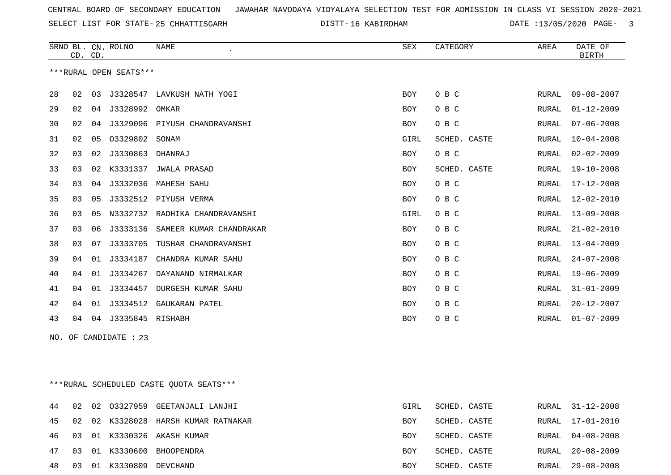SELECT LIST FOR STATE- DISTT- 25 CHHATTISGARH

16 KABIRDHAM DATE :13/05/2020 PAGE- 3

|    | SRNO BL. CN. ROLNO<br>CD. CD. |    |                        | <b>SEX</b><br>NAME        |            | CATEGORY     | AREA         | DATE OF<br><b>BIRTH</b> |  |
|----|-------------------------------|----|------------------------|---------------------------|------------|--------------|--------------|-------------------------|--|
|    |                               |    | ***RURAL OPEN SEATS*** |                           |            |              |              |                         |  |
| 28 | 02                            | 03 | J3328547               | LAVKUSH NATH YOGI         | <b>BOY</b> | O B C        | <b>RURAL</b> | $09 - 08 - 2007$        |  |
| 29 | 02                            | 04 | J3328992               | OMKAR                     | <b>BOY</b> | O B C        | RURAL        | $01 - 12 - 2009$        |  |
| 30 | 02                            | 04 | J3329096               | PIYUSH CHANDRAVANSHI      | <b>BOY</b> | O B C        | RURAL        | $07 - 06 - 2008$        |  |
| 31 | 02                            | 05 | 03329802               | SONAM                     | GIRL       | SCHED. CASTE | <b>RURAL</b> | $10 - 04 - 2008$        |  |
| 32 | 03                            | 02 | J3330863               | DHANRAJ                   | <b>BOY</b> | O B C        | <b>RURAL</b> | $02 - 02 - 2009$        |  |
| 33 | 03                            | 02 | K3331337               | <b>JWALA PRASAD</b>       | <b>BOY</b> | SCHED. CASTE | <b>RURAL</b> | $19 - 10 - 2008$        |  |
| 34 | 03                            | 04 | J3332036               | MAHESH SAHU               | <b>BOY</b> | O B C        | RURAL        | $17 - 12 - 2008$        |  |
| 35 | 03                            | 05 |                        | J3332512 PIYUSH VERMA     | <b>BOY</b> | O B C        | <b>RURAL</b> | $12 - 02 - 2010$        |  |
| 36 | 03                            | 05 | N3332732               | RADHIKA CHANDRAVANSHI     | GIRL       | O B C        | <b>RURAL</b> | $13 - 09 - 2008$        |  |
| 37 | 03                            | 06 | J3333136               | SAMEER KUMAR CHANDRAKAR   | <b>BOY</b> | O B C        | RURAL        | $21 - 02 - 2010$        |  |
| 38 | 03                            | 07 | J3333705               | TUSHAR CHANDRAVANSHI      | <b>BOY</b> | O B C        | RURAL        | $13 - 04 - 2009$        |  |
| 39 | 04                            | 01 | J3334187               | CHANDRA KUMAR SAHU        | <b>BOY</b> | O B C        | RURAL        | $24 - 07 - 2008$        |  |
| 40 | 04                            | 01 | J3334267               | DAYANAND NIRMALKAR        | <b>BOY</b> | O B C        | <b>RURAL</b> | $19 - 06 - 2009$        |  |
| 41 | 04                            | 01 | J3334457               | <b>DURGESH KUMAR SAHU</b> | <b>BOY</b> | O B C        | <b>RURAL</b> | $31 - 01 - 2009$        |  |
| 42 | 04                            | 01 | J3334512               | GAUKARAN PATEL            | <b>BOY</b> | O B C        | <b>RURAL</b> | $20 - 12 - 2007$        |  |
| 43 | 04                            |    | 04 J3335845 RISHABH    |                           | <b>BOY</b> | O B C        | <b>RURAL</b> | $01 - 07 - 2009$        |  |
|    |                               |    |                        |                           |            |              |              |                         |  |

NO. OF CANDIDATE : 23

\*\*\*RURAL SCHEDULED CASTE QUOTA SEATS\*\*\*

|  |                            | 44 02 02 03327959 GEETANJALI LANJHI    | GIRL       | SCHED. CASTE | RURAL 31-12-2008 |
|--|----------------------------|----------------------------------------|------------|--------------|------------------|
|  |                            | 45 02 02 K3328028 HARSH KUMAR RATNAKAR | <b>BOY</b> | SCHED. CASTE | RURAL 17-01-2010 |
|  |                            | 46 03 01 K3330326 AKASH KUMAR          | BOY        | SCHED. CASTE | RURAL 04-08-2008 |
|  |                            | 47 03 01 K3330600 BHOOPENDRA           | <b>BOY</b> | SCHED. CASTE | RURAL 20-08-2009 |
|  | 48 03 01 K3330809 DEVCHAND |                                        | BOY        | SCHED. CASTE | RURAL 29-08-2008 |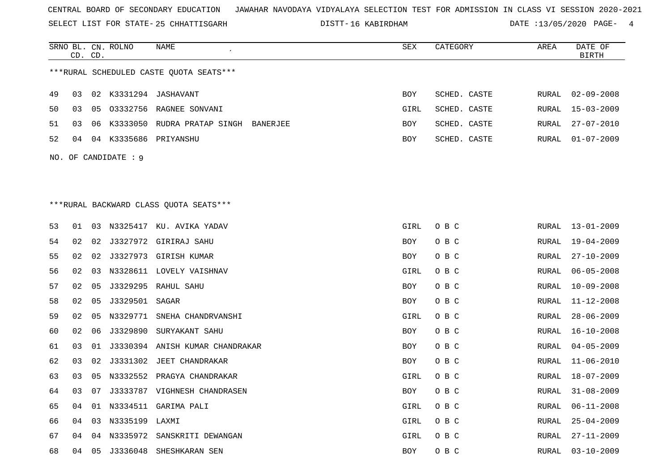SELECT LIST FOR STATE- DISTT- 25 CHHATTISGARH

DISTT-16 KABIRDHAM DATE :13/05/2020 PAGE- 4

|    | CD. CD. |    | SRNO BL. CN. ROLNO   | NAME                                    | SEX  | CATEGORY     | AREA         | DATE OF<br><b>BIRTH</b> |
|----|---------|----|----------------------|-----------------------------------------|------|--------------|--------------|-------------------------|
|    |         |    |                      | ***RURAL SCHEDULED CASTE QUOTA SEATS*** |      |              |              |                         |
| 49 | 03      | 02 |                      | K3331294 JASHAVANT                      | BOY  | SCHED. CASTE | RURAL        | $02 - 09 - 2008$        |
| 50 | 03      | 05 |                      | 03332756 RAGNEE SONVANI                 | GIRL | SCHED. CASTE | RURAL        | $15 - 03 - 2009$        |
| 51 | 03      | 06 |                      | K3333050 RUDRA PRATAP SINGH BANERJEE    | BOY  | SCHED. CASTE | RURAL        | $27 - 07 - 2010$        |
| 52 | 04      | 04 |                      | K3335686 PRIYANSHU                      | BOY  | SCHED. CASTE | RURAL        | $01 - 07 - 2009$        |
|    |         |    | NO. OF CANDIDATE : 9 |                                         |      |              |              |                         |
|    |         |    |                      |                                         |      |              |              |                         |
|    |         |    |                      |                                         |      |              |              |                         |
|    |         |    |                      | *** RURAL BACKWARD CLASS QUOTA SEATS*** |      |              |              |                         |
| 53 | 01      |    |                      | 03 N3325417 KU. AVIKA YADAV             | GIRL | O B C        | RURAL        | 13-01-2009              |
| 54 | 02      | 02 |                      | J3327972 GIRIRAJ SAHU                   | BOY  | O B C        | <b>RURAL</b> | $19 - 04 - 2009$        |
| 55 | 02      | 02 |                      | J3327973 GIRISH KUMAR                   | BOY  | O B C        | RURAL        | $27 - 10 - 2009$        |
| 56 | 02      | 03 |                      | N3328611 LOVELY VAISHNAV                | GIRL | O B C        | RURAL        | $06 - 05 - 2008$        |
| 57 | 02      | 05 |                      | J3329295 RAHUL SAHU                     | BOY  | O B C        | RURAL        | $10 - 09 - 2008$        |
| 58 | 02      | 05 | J3329501 SAGAR       |                                         | BOY  | O B C        | RURAL        | $11 - 12 - 2008$        |
| 59 | 02      | 05 |                      | N3329771 SNEHA CHANDRVANSHI             | GIRL | O B C        | RURAL        | $28 - 06 - 2009$        |
| 60 | 02      | 06 | J3329890             | SURYAKANT SAHU                          | BOY  | O B C        | RURAL        | $16 - 10 - 2008$        |
| 61 | 03      | 01 |                      | J3330394 ANISH KUMAR CHANDRAKAR         | BOY  | O B C        | RURAL        | $04 - 05 - 2009$        |
| 62 | 03      | 02 |                      | J3331302 JEET CHANDRAKAR                | BOY  | O B C        | RURAL        | $11 - 06 - 2010$        |
| 63 | 03      | 05 |                      | N3332552 PRAGYA CHANDRAKAR              | GIRL | O B C        | RURAL        | $18 - 07 - 2009$        |
| 64 | 03      | 07 |                      | J3333787 VIGHNESH CHANDRASEN            | BOY  | O B C        | RURAL        | $31 - 08 - 2009$        |
| 65 | 04      | 01 |                      | N3334511 GARIMA PALI                    | GIRL | O B C        | RURAL        | $06 - 11 - 2008$        |
| 66 | 04      | 03 | N3335199 LAXMI       |                                         | GIRL | O B C        | RURAL        | $25 - 04 - 2009$        |
| 67 | 04      | 04 |                      | N3335972 SANSKRITI DEWANGAN             | GIRL | O B C        | RURAL        | $27 - 11 - 2009$        |
| 68 | 04      | 05 | J3336048             | SHESHKARAN SEN                          | BOY  | O B C        | RURAL        | $03 - 10 - 2009$        |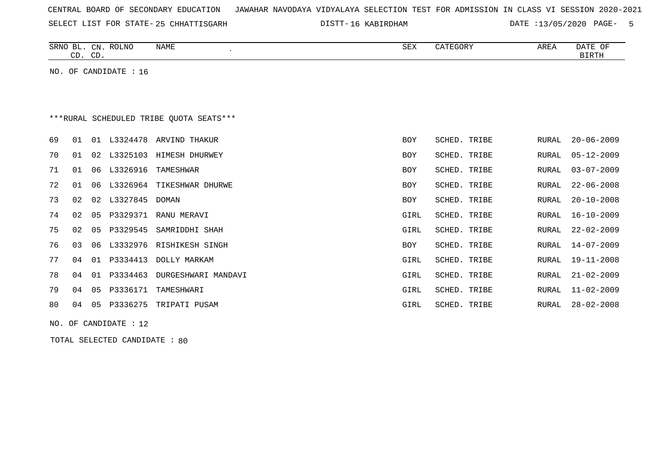|  |  |  |  |  | CENTRAL BOARD OF SECONDARY EDUCATION – JAWAHAR NAVODAYA VIDYALAYA SELECTION TEST FOR ADMISSION IN CLASS VI SESSION 2020-2021 |  |  |  |  |  |  |  |  |  |  |  |  |
|--|--|--|--|--|------------------------------------------------------------------------------------------------------------------------------|--|--|--|--|--|--|--|--|--|--|--|--|
|--|--|--|--|--|------------------------------------------------------------------------------------------------------------------------------|--|--|--|--|--|--|--|--|--|--|--|--|

SELECT LIST FOR STATE-25 CHHATTISGARH DISTT-16 KABIRDHAM DATE :13/05/2020 PAGE- 5

|    | CD. CD. |    | SRNO BL. CN. ROLNO    | <b>NAME</b><br>$\pmb{\cdot}$            | SEX        | CATEGORY     | AREA         | DATE OF<br><b>BIRTH</b> |
|----|---------|----|-----------------------|-----------------------------------------|------------|--------------|--------------|-------------------------|
|    |         |    | NO. OF CANDIDATE : 16 |                                         |            |              |              |                         |
|    |         |    |                       |                                         |            |              |              |                         |
|    |         |    |                       |                                         |            |              |              |                         |
|    |         |    |                       | ***RURAL SCHEDULED TRIBE OUOTA SEATS*** |            |              |              |                         |
| 69 | 01      |    | 01 L3324478           | ARVIND THAKUR                           | <b>BOY</b> | SCHED. TRIBE | <b>RURAL</b> | $20 - 06 - 2009$        |
| 70 | 01      | 02 | L3325103              | HIMESH DHURWEY                          | <b>BOY</b> | SCHED. TRIBE | <b>RURAL</b> | $05 - 12 - 2009$        |
| 71 | 01      | 06 | L3326916              | TAMESHWAR                               | BOY        | SCHED. TRIBE | <b>RURAL</b> | $03 - 07 - 2009$        |
| 72 | 01      | 06 | L3326964              | TIKESHWAR DHURWE                        | BOY        | SCHED. TRIBE | <b>RURAL</b> | $22 - 06 - 2008$        |
| 73 | 02      | 02 | L3327845              | DOMAN                                   | BOY        | SCHED. TRIBE | <b>RURAL</b> | $20 - 10 - 2008$        |
| 74 | 02      | 05 | P3329371              | RANU MERAVI                             | GIRL       | SCHED. TRIBE | <b>RURAL</b> | $16 - 10 - 2009$        |
| 75 | 02      | 05 | P3329545              | SAMRIDDHI SHAH                          | GIRL       | SCHED. TRIBE | <b>RURAL</b> | $22 - 02 - 2009$        |
| 76 | 03      | 06 |                       | L3332976 RISHIKESH SINGH                | BOY        | SCHED. TRIBE | <b>RURAL</b> | $14 - 07 - 2009$        |
| 77 | 04      | 01 | P3334413              | DOLLY MARKAM                            | GIRL       | SCHED. TRIBE | <b>RURAL</b> | $19 - 11 - 2008$        |
| 78 | 04      | 01 | P3334463              | DURGESHWARI MANDAVI                     | GIRL       | SCHED. TRIBE | <b>RURAL</b> | $21 - 02 - 2009$        |
| 79 | 04      | 05 | P3336171              | TAMESHWARI                              | GIRL       | SCHED. TRIBE | <b>RURAL</b> | $11 - 02 - 2009$        |
| 80 | 04      | 05 | P3336275              | TRIPATI PUSAM                           | GIRL       | SCHED. TRIBE | <b>RURAL</b> | $28 - 02 - 2008$        |
|    |         |    | NO. OF CANDIDATE : 12 |                                         |            |              |              |                         |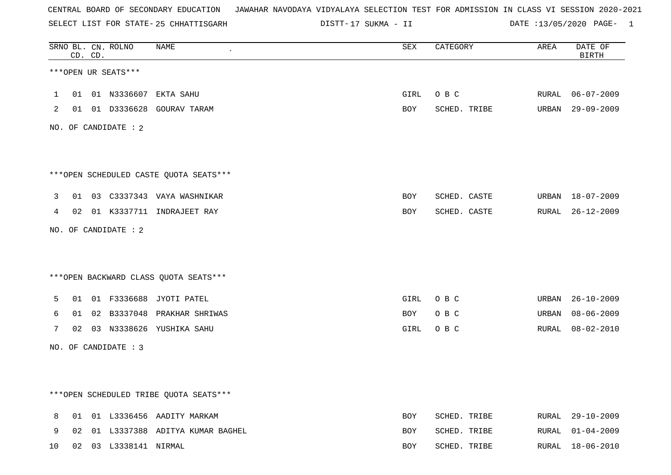SELECT LIST FOR STATE- DISTT- 25 CHHATTISGARH

17 SUKMA - II DATE :13/05/2020 PAGE- 1

|    |    | CD. CD. | SRNO BL. CN. ROLNO    | <b>NAME</b>                            | <b>SEX</b> | CATEGORY     | AREA  | DATE OF<br><b>BIRTH</b> |
|----|----|---------|-----------------------|----------------------------------------|------------|--------------|-------|-------------------------|
|    |    |         | ***OPEN UR SEATS***   |                                        |            |              |       |                         |
| 1  |    |         |                       | 01 01 N3336607 EKTA SAHU               | GIRL       | O B C        | RURAL | $06 - 07 - 2009$        |
| 2  |    |         |                       | 01 01 D3336628 GOURAV TARAM            | BOY        | SCHED. TRIBE |       | URBAN 29-09-2009        |
|    |    |         | NO. OF CANDIDATE : 2  |                                        |            |              |       |                         |
|    |    |         |                       |                                        |            |              |       |                         |
|    |    |         |                       | ***OPEN SCHEDULED CASTE QUOTA SEATS*** |            |              |       |                         |
| 3  |    |         |                       | 01 03 C3337343 VAYA WASHNIKAR          | BOY        | SCHED. CASTE |       | URBAN 18-07-2009        |
| 4  |    |         |                       | 02 01 K3337711 INDRAJEET RAY           | BOY        | SCHED. CASTE |       | RURAL 26-12-2009        |
|    |    |         | NO. OF CANDIDATE : 2  |                                        |            |              |       |                         |
|    |    |         |                       |                                        |            |              |       |                         |
|    |    |         |                       | *** OPEN BACKWARD CLASS QUOTA SEATS*** |            |              |       |                         |
| 5  |    |         |                       | 01 01 F3336688 JYOTI PATEL             | GIRL       | O B C        |       | URBAN 26-10-2009        |
| 6  | 01 |         |                       | 02 B3337048 PRAKHAR SHRIWAS            | BOY        | O B C        | URBAN | $08 - 06 - 2009$        |
| 7  |    |         |                       | 02 03 N3338626 YUSHIKA SAHU            | GIRL       | O B C        |       | RURAL 08-02-2010        |
|    |    |         | NO. OF CANDIDATE : 3  |                                        |            |              |       |                         |
|    |    |         |                       |                                        |            |              |       |                         |
|    |    |         |                       | ***OPEN SCHEDULED TRIBE QUOTA SEATS*** |            |              |       |                         |
| 8  |    |         |                       | 01 01 L3336456 AADITY MARKAM           | <b>BOY</b> | SCHED. TRIBE |       | RURAL 29-10-2009        |
| 9  | 02 |         |                       | 01 L3337388 ADITYA KUMAR BAGHEL        | BOY        | SCHED. TRIBE | RURAL | 01-04-2009              |
| 10 |    |         | 02 03 L3338141 NIRMAL |                                        | <b>BOY</b> | SCHED. TRIBE |       | RURAL 18-06-2010        |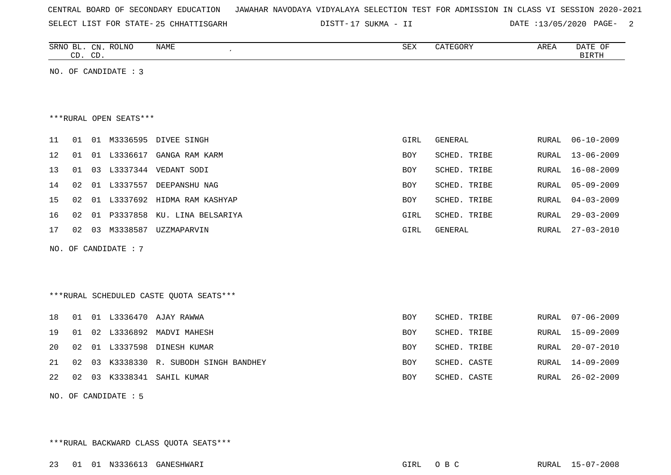| CENTRAL BOARD OF SECONDARY EDUCATION – JAWAHAR NAVODAYA VIDYALAYA SELECTION TEST FOR ADMISSION IN CLASS VI SESSION 2020-2021 |  |  |  |  |  |  |  |  |  |  |  |  |  |  |  |  |  |  |
|------------------------------------------------------------------------------------------------------------------------------|--|--|--|--|--|--|--|--|--|--|--|--|--|--|--|--|--|--|
|------------------------------------------------------------------------------------------------------------------------------|--|--|--|--|--|--|--|--|--|--|--|--|--|--|--|--|--|--|

SELECT LIST FOR STATE- DISTT- 25 CHHATTISGARH

17 SUKMA - II DATE :13/05/2020 PAGE- 2

| SRNO<br>. பட . | CN           | <b>ROLNO</b> | <b>NAME</b> | $\alpha$ maz<br>ΔΕΛ | <b>CATEGORY</b> | AREA | D 7 TH<br>ΟF<br>DAIL |
|----------------|--------------|--------------|-------------|---------------------|-----------------|------|----------------------|
| $\sim$<br>ىت   | $\cap$<br>ىب |              |             |                     |                 |      | <b>BIRTH</b>         |

NO. OF CANDIDATE : 3

\*\*\*RURAL OPEN SEATS\*\*\*

| 11              | 01    | 01 |                | M3336595 DIVEE SINGH              | GIRL       | GENERAL      | RURAL 06-10-2009 |
|-----------------|-------|----|----------------|-----------------------------------|------------|--------------|------------------|
| 12 <sub>2</sub> |       |    | 01 01 L3336617 | GANGA RAM KARM                    | <b>BOY</b> | SCHED. TRIBE | RURAL 13-06-2009 |
| 13 <sup>7</sup> | 01 03 |    | L3337344       | VEDANT SODI                       | <b>BOY</b> | SCHED. TRIBE | RURAL 16-08-2009 |
| 14              | 02    | 01 | L3337557       | DEEPANSHU NAG                     | BOY        | SCHED. TRIBE | RURAL 05-09-2009 |
| 15              |       |    |                | 02 01 L3337692 HIDMA RAM KASHYAP  | BOY        | SCHED. TRIBE | RURAL 04-03-2009 |
| 16              |       |    |                | 02 01 P3337858 KU. LINA BELSARIYA | GIRL       | SCHED. TRIBE | RURAL 29-03-2009 |
| 17              | 02    | 03 | M3338587       | UZZMAPARVIN                       | GIRL       | GENERAL      | RURAL 27-03-2010 |

NO. OF CANDIDATE : 7

\*\*\*RURAL SCHEDULED CASTE QUOTA SEATS\*\*\*

|  |  | 18  01  01  L3336470  AJAY RAWWA          | BOY        | SCHED. TRIBE | RURAL 07-06-2009 |
|--|--|-------------------------------------------|------------|--------------|------------------|
|  |  | 19 01 02 L3336892 MADVI MAHESH            | BOY        | SCHED. TRIBE | RURAL 15-09-2009 |
|  |  | 20 02 01 L3337598 DINESH KUMAR            | BOY        | SCHED. TRIBE | RURAL 20-07-2010 |
|  |  | 21 02 03 K3338330 R. SUBODH SINGH BANDHEY | <b>BOY</b> | SCHED. CASTE | RURAL 14-09-2009 |
|  |  | 22 02 03 K3338341 SAHIL KUMAR             | BOY        | SCHED. CASTE | RURAL 26-02-2009 |
|  |  |                                           |            |              |                  |

NO. OF CANDIDATE : 5

\*\*\*RURAL BACKWARD CLASS QUOTA SEATS\*\*\*

23 01 01 N3336613 GANESHWARI GIRL O B C RURAL 15-07-2008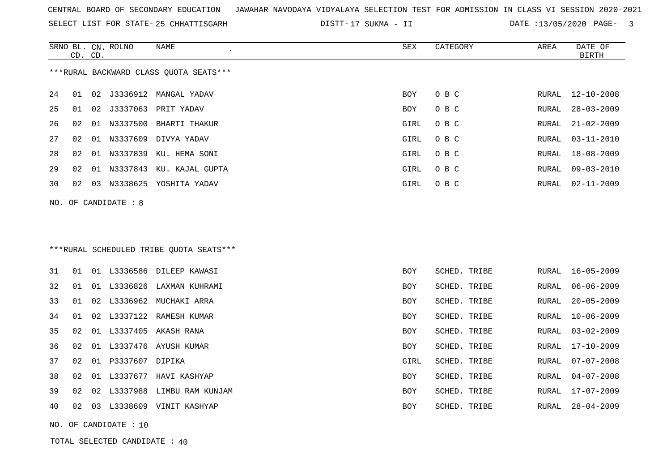SELECT LIST FOR STATE- DISTT- 25 CHHATTISGARH

DISTT-17 SUKMA - II DATE :13/05/2020 PAGE- 3

|    |    | CD. CD. | SRNO BL. CN. ROLNO    | NAME                                    | <b>SEX</b> | CATEGORY     | AREA  | DATE OF<br><b>BIRTH</b> |
|----|----|---------|-----------------------|-----------------------------------------|------------|--------------|-------|-------------------------|
|    |    |         |                       | ***RURAL BACKWARD CLASS OUOTA SEATS***  |            |              |       |                         |
| 24 | 01 |         |                       |                                         | <b>BOY</b> | O B C        | RURAL | $12 - 10 - 2008$        |
| 25 | 01 |         |                       | 02 J3337063 PRIT YADAV                  | <b>BOY</b> | O B C        | RURAL | $28 - 03 - 2009$        |
| 26 | 02 |         |                       | 01 N3337500 BHARTI THAKUR               | GIRL       | O B C        | RURAL | $21 - 02 - 2009$        |
| 27 | 02 |         |                       | 01 N3337609 DIVYA YADAV                 | GIRL       | O B C        | RURAL | $03 - 11 - 2010$        |
| 28 | 02 |         |                       | 01 N3337839 KU. HEMA SONI               | GIRL       | O B C        | RURAL | $18 - 08 - 2009$        |
| 29 | 02 |         |                       | 01 N3337843 KU. KAJAL GUPTA             | GIRL       | O B C        | RURAL | $09 - 03 - 2010$        |
| 30 | 02 |         |                       | 03 N3338625 YOSHITA YADAV               | GIRL       | O B C        | RURAL | $02 - 11 - 2009$        |
|    |    |         | NO. OF CANDIDATE : 8  |                                         |            |              |       |                         |
|    |    |         |                       |                                         |            |              |       |                         |
|    |    |         |                       |                                         |            |              |       |                         |
|    |    |         |                       | ***RURAL SCHEDULED TRIBE QUOTA SEATS*** |            |              |       |                         |
| 31 | 01 |         |                       | 01 L3336586 DILEEP KAWASI               | <b>BOY</b> | SCHED. TRIBE | RURAL | $16 - 05 - 2009$        |
| 32 | 01 |         |                       | 01 L3336826 LAXMAN KUHRAMI              | <b>BOY</b> | SCHED. TRIBE | RURAL | $06 - 06 - 2009$        |
| 33 | 01 |         |                       | 02 L3336962 MUCHAKI ARRA                | BOY        | SCHED. TRIBE | RURAL | $20 - 05 - 2009$        |
| 34 | 01 |         |                       | 02 L3337122 RAMESH KUMAR                | <b>BOY</b> | SCHED. TRIBE | RURAL | $10 - 06 - 2009$        |
| 35 | 02 |         |                       | 01 L3337405 AKASH RANA                  | BOY        | SCHED. TRIBE | RURAL | $03 - 02 - 2009$        |
| 36 | 02 |         |                       | 01 L3337476 AYUSH KUMAR                 | <b>BOY</b> | SCHED. TRIBE | RURAL | $17 - 10 - 2009$        |
| 37 | 02 |         | 01 P3337607 DIPIKA    |                                         | GIRL       | SCHED. TRIBE | RURAL | $07 - 07 - 2008$        |
| 38 | 02 |         |                       | 01 L3337677 HAVI KASHYAP                | <b>BOY</b> | SCHED. TRIBE | RURAL | $04 - 07 - 2008$        |
| 39 | 02 |         |                       | 02 L3337988 LIMBU RAM KUNJAM            | BOY        | SCHED. TRIBE | RURAL | 17-07-2009              |
| 40 | 02 |         |                       | 03 L3338609 VINIT KASHYAP               | <b>BOY</b> | SCHED. TRIBE | RURAL | $28 - 04 - 2009$        |
|    |    |         | NO. OF CANDIDATE : 10 |                                         |            |              |       |                         |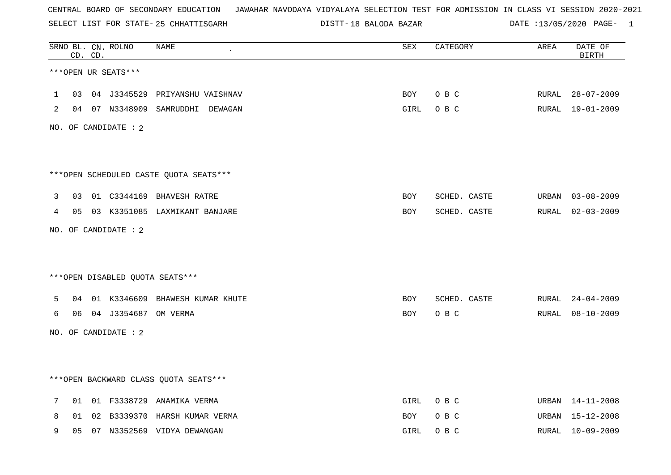SELECT LIST FOR STATE- DISTT- 25 CHHATTISGARH

18 BALODA BAZAR DATE :13/05/2020 PAGE- 1

|             |    | CD. CD. | SRNO BL. CN. ROLNO   | <b>NAME</b>                            | ${\tt SEX}$ | CATEGORY     | AREA  | DATE OF<br><b>BIRTH</b> |
|-------------|----|---------|----------------------|----------------------------------------|-------------|--------------|-------|-------------------------|
|             |    |         | ***OPEN UR SEATS***  |                                        |             |              |       |                         |
| $\mathbf 1$ | 03 |         |                      | 04 J3345529 PRIYANSHU VAISHNAV         | BOY         | O B C        | RURAL | $28 - 07 - 2009$        |
| 2           |    |         |                      | 04 07 N3348909 SAMRUDDHI DEWAGAN       | GIRL        | O B C        |       | RURAL 19-01-2009        |
|             |    |         | NO. OF CANDIDATE : 2 |                                        |             |              |       |                         |
|             |    |         |                      | ***OPEN SCHEDULED CASTE QUOTA SEATS*** |             |              |       |                         |
| 3           | 03 |         |                      | 01 C3344169 BHAVESH RATRE              | BOY         | SCHED. CASTE |       | URBAN 03-08-2009        |
| 4           |    |         |                      | 05 03 K3351085 LAXMIKANT BANJARE       | <b>BOY</b>  | SCHED. CASTE | RURAL | $02 - 03 - 2009$        |
|             |    |         | NO. OF CANDIDATE : 2 |                                        |             |              |       |                         |
|             |    |         |                      |                                        |             |              |       |                         |
|             |    |         |                      | ***OPEN DISABLED QUOTA SEATS***        |             |              |       |                         |
| 5           | 04 |         |                      | 01 K3346609 BHAWESH KUMAR KHUTE        | BOY         | SCHED. CASTE | RURAL | $24 - 04 - 2009$        |
| 6           | 06 |         | 04 J3354687 OM VERMA |                                        | BOY         | O B C        | RURAL | $08 - 10 - 2009$        |
|             |    |         | NO. OF CANDIDATE : 2 |                                        |             |              |       |                         |
|             |    |         |                      |                                        |             |              |       |                         |
|             |    |         |                      | *** OPEN BACKWARD CLASS QUOTA SEATS*** |             |              |       |                         |
| 7           | 01 |         |                      | 01 F3338729 ANAMIKA VERMA              | GIRL        | O B C        | URBAN | 14-11-2008              |
| 8           | 01 |         |                      | 02 B3339370 HARSH KUMAR VERMA          | BOY         | O B C        | URBAN | 15-12-2008              |
| 9           | 05 |         |                      | 07 N3352569 VIDYA DEWANGAN             | GIRL        | O B C        |       | RURAL 10-09-2009        |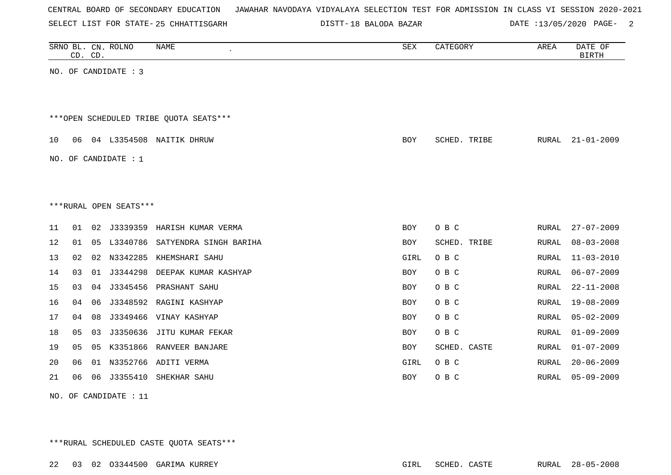| CENTRAL BOARD OF SECONDARY EDUCATION – JAWAHAR NAVODAYA VIDYALAYA SELECTION TEST FOR ADMISSION IN CLASS VI SESSION 2020-2021 |  |  |  |  |
|------------------------------------------------------------------------------------------------------------------------------|--|--|--|--|
|------------------------------------------------------------------------------------------------------------------------------|--|--|--|--|

SELECT LIST FOR STATE- DISTT- 25 CHHATTISGARH

18 BALODA BAZAR DATE :13/05/2020 PAGE- 2

|    | CD. CD.                |    | SRNO BL. CN. ROLNO     | NAME                                   | SEX        | CATEGORY     | AREA         | DATE OF<br><b>BIRTH</b> |  |  |  |  |  |
|----|------------------------|----|------------------------|----------------------------------------|------------|--------------|--------------|-------------------------|--|--|--|--|--|
|    |                        |    | NO. OF CANDIDATE : 3   |                                        |            |              |              |                         |  |  |  |  |  |
|    |                        |    |                        | ***OPEN SCHEDULED TRIBE QUOTA SEATS*** |            |              |              |                         |  |  |  |  |  |
| 10 | 06                     |    | 04 L3354508            | NAITIK DHRUW                           | <b>BOY</b> | SCHED. TRIBE | RURAL        | $21 - 01 - 2009$        |  |  |  |  |  |
|    |                        |    | NO. OF CANDIDATE : $1$ |                                        |            |              |              |                         |  |  |  |  |  |
|    |                        |    |                        |                                        |            |              |              |                         |  |  |  |  |  |
|    | ***RURAL OPEN SEATS*** |    |                        |                                        |            |              |              |                         |  |  |  |  |  |
| 11 | 01                     |    |                        | 02 J3339359 HARISH KUMAR VERMA         | <b>BOY</b> | O B C        | RURAL        | $27 - 07 - 2009$        |  |  |  |  |  |
| 12 | 01                     | 05 | L3340786               | SATYENDRA SINGH BARIHA                 | <b>BOY</b> | SCHED. TRIBE | RURAL        | $08 - 03 - 2008$        |  |  |  |  |  |
| 13 | 02                     | 02 | N3342285               | KHEMSHARI SAHU                         | GIRL       | O B C        | RURAL        | $11 - 03 - 2010$        |  |  |  |  |  |
| 14 | 03                     |    | 01 J3344298            | DEEPAK KUMAR KASHYAP                   | BOY        | O B C        | RURAL        | $06 - 07 - 2009$        |  |  |  |  |  |
| 15 | 03                     |    | 04 J3345456            | PRASHANT SAHU                          | <b>BOY</b> | O B C        | RURAL        | $22 - 11 - 2008$        |  |  |  |  |  |
| 16 | 04                     | 06 | J3348592               | RAGINI KASHYAP                         | <b>BOY</b> | O B C        | <b>RURAL</b> | $19 - 08 - 2009$        |  |  |  |  |  |
| 17 | 04                     | 08 |                        | J3349466 VINAY KASHYAP                 | BOY        | O B C        | <b>RURAL</b> | $05 - 02 - 2009$        |  |  |  |  |  |
| 18 | 05                     | 03 | J3350636               | JITU KUMAR FEKAR                       | BOY        | O B C        | RURAL        | $01 - 09 - 2009$        |  |  |  |  |  |
| 19 | 05                     | 05 |                        | K3351866 RANVEER BANJARE               | <b>BOY</b> | SCHED. CASTE | RURAL        | $01 - 07 - 2009$        |  |  |  |  |  |
| 20 | 06                     | 01 | N3352766               | ADITI VERMA                            | GIRL       | O B C        | RURAL        | $20 - 06 - 2009$        |  |  |  |  |  |
| 21 | 06                     | 06 | J3355410               | SHEKHAR SAHU                           | BOY        | O B C        | RURAL        | $05 - 09 - 2009$        |  |  |  |  |  |
|    |                        |    |                        |                                        |            |              |              |                         |  |  |  |  |  |

NO. OF CANDIDATE : 11

\*\*\*RURAL SCHEDULED CASTE QUOTA SEATS\*\*\*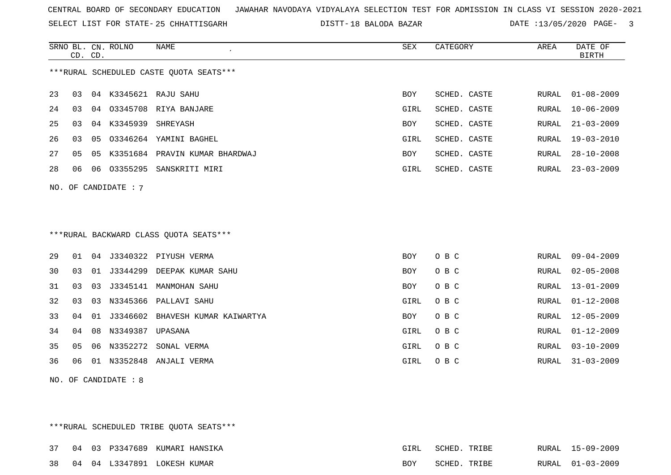SELECT LIST FOR STATE- DISTT- 25 CHHATTISGARH

18 BALODA BAZAR DATE :13/05/2020 PAGE- 3

|     |    | CD. CD. | SRNO BL. CN. ROLNO   | NAME<br>$\epsilon$                      | ${\tt SEX}$ | CATEGORY     | AREA         | DATE OF<br><b>BIRTH</b> |
|-----|----|---------|----------------------|-----------------------------------------|-------------|--------------|--------------|-------------------------|
|     |    |         |                      | ***RURAL SCHEDULED CASTE QUOTA SEATS*** |             |              |              |                         |
|     |    |         |                      |                                         |             |              |              |                         |
| 23  | 03 |         |                      | 04 K3345621 RAJU SAHU                   | BOY         | SCHED. CASTE | RURAL        | $01 - 08 - 2009$        |
| 24  | 03 | 04      |                      | 03345708 RIYA BANJARE                   | GIRL        | SCHED. CASTE | RURAL        | $10 - 06 - 2009$        |
| 25  | 03 | 04      | K3345939             | SHREYASH                                | BOY         | SCHED. CASTE | <b>RURAL</b> | $21 - 03 - 2009$        |
| 26  | 03 | 05      |                      | 03346264 YAMINI BAGHEL                  | GIRL        | SCHED. CASTE | RURAL        | $19 - 03 - 2010$        |
| 27  | 05 | 05      |                      | K3351684 PRAVIN KUMAR BHARDWAJ          | BOY         | SCHED. CASTE | RURAL        | $28 - 10 - 2008$        |
| 28  | 06 | 06      |                      | 03355295 SANSKRITI MIRI                 | GIRL        | SCHED. CASTE | RURAL        | $23 - 03 - 2009$        |
| NO. |    |         | OF CANDIDATE : 7     |                                         |             |              |              |                         |
|     |    |         |                      |                                         |             |              |              |                         |
|     |    |         |                      |                                         |             |              |              |                         |
|     |    |         |                      | *** RURAL BACKWARD CLASS QUOTA SEATS*** |             |              |              |                         |
|     |    |         |                      |                                         |             |              |              |                         |
| 29  | 01 |         |                      | 04 J3340322 PIYUSH VERMA                | <b>BOY</b>  | O B C        | RURAL        | $09 - 04 - 2009$        |
| 30  | 03 | 01      |                      | J3344299 DEEPAK KUMAR SAHU              | BOY         | O B C        | RURAL        | $02 - 05 - 2008$        |
| 31  | 03 | 03      |                      | J3345141 MANMOHAN SAHU                  | BOY         | O B C        | RURAL        | $13 - 01 - 2009$        |
| 32  | 03 |         |                      | 03 N3345366 PALLAVI SAHU                | GIRL        | O B C        | RURAL        | $01 - 12 - 2008$        |
| 33  | 04 | 01      |                      | J3346602 BHAVESH KUMAR KAIWARTYA        | BOY         | O B C        | RURAL        | $12 - 05 - 2009$        |
| 34  | 04 | 08      | N3349387             | UPASANA                                 | GIRL        | O B C        | RURAL        | $01 - 12 - 2009$        |
| 35  | 05 | 06      | N3352272             | SONAL VERMA                             | GIRL        | O B C        | RURAL        | $03 - 10 - 2009$        |
| 36  | 06 |         |                      | 01 N3352848 ANJALI VERMA                | GIRL        | O B C        | RURAL        | $31 - 03 - 2009$        |
|     |    |         | NO. OF CANDIDATE : 8 |                                         |             |              |              |                         |
|     |    |         |                      |                                         |             |              |              |                         |
|     |    |         |                      |                                         |             |              |              |                         |
|     |    |         |                      |                                         |             |              |              |                         |

\*\*\*RURAL SCHEDULED TRIBE QUOTA SEATS\*\*\*

|  |  | 37 04 03 P3347689 KUMARI HANSIKA | GIRL | SCHED. TRIBE |  | RURAL 15-09-2009 |
|--|--|----------------------------------|------|--------------|--|------------------|
|  |  | 38 04 04 L3347891 LOKESH KUMAR   | BOY  | SCHED. TRIBE |  | RURAL 01-03-2009 |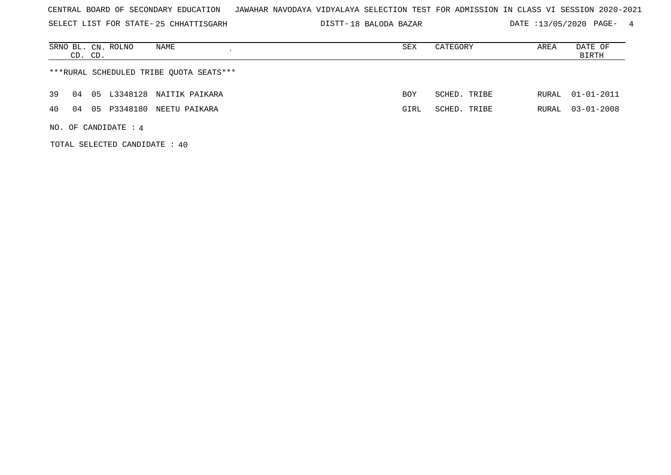SELECT LIST FOR STATE- DISTT- 25 CHHATTISGARH

18 BALODA BAZAR DATE :13/05/2020 PAGE- 4

| SRNO BL. CN. ROLNO<br>NAME<br>CD. CD.    | SEX        | CATEGORY     | AREA | DATE OF<br>BIRTH |
|------------------------------------------|------------|--------------|------|------------------|
| ***RURAL SCHEDULED TRIBE OUOTA SEATS***  |            |              |      |                  |
| 39<br>05 L3348128 NAITIK PAIKARA<br>04   | <b>BOY</b> | SCHED. TRIBE |      | RURAL 01-01-2011 |
| P3348180 NEETU PAIKARA<br>40<br>04<br>05 | GIRL       | SCHED. TRIBE |      | RURAL 03-01-2008 |
| NO. OF CANDIDATE : $4$                   |            |              |      |                  |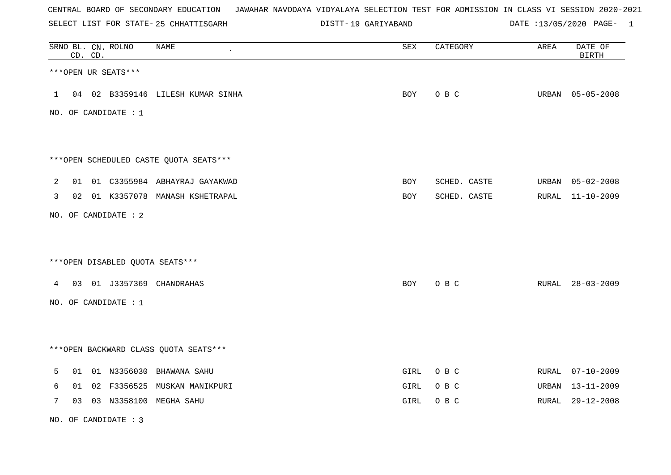SELECT LIST FOR STATE- DISTT- 25 CHHATTISGARH

19 GARIYABAND DATE :13/05/2020 PAGE- 1

|             | CD. CD. | SRNO BL. CN. ROLNO   | <b>NAME</b>                            | SEX  | CATEGORY     | AREA | DATE OF<br><b>BIRTH</b> |
|-------------|---------|----------------------|----------------------------------------|------|--------------|------|-------------------------|
|             |         | ***OPEN UR SEATS***  |                                        |      |              |      |                         |
|             |         |                      | 1 04 02 B3359146 LILESH KUMAR SINHA    | BOY  | O B C        |      | URBAN 05-05-2008        |
|             |         | NO. OF CANDIDATE : 1 |                                        |      |              |      |                         |
|             |         |                      |                                        |      |              |      |                         |
|             |         |                      | ***OPEN SCHEDULED CASTE QUOTA SEATS*** |      |              |      |                         |
| 2           |         |                      | 01 01 C3355984 ABHAYRAJ GAYAKWAD       | BOY  | SCHED. CASTE |      | URBAN 05-02-2008        |
| 3           |         |                      | 02 01 K3357078 MANASH KSHETRAPAL       | BOY  | SCHED. CASTE |      | RURAL 11-10-2009        |
|             |         | NO. OF CANDIDATE : 2 |                                        |      |              |      |                         |
|             |         |                      |                                        |      |              |      |                         |
|             |         |                      | *** OPEN DISABLED QUOTA SEATS***       |      |              |      |                         |
|             |         |                      | 4 03 01 J3357369 CHANDRAHAS            | BOY  | O B C        |      | RURAL 28-03-2009        |
|             |         | NO. OF CANDIDATE : 1 |                                        |      |              |      |                         |
|             |         |                      |                                        |      |              |      |                         |
|             |         |                      | *** OPEN BACKWARD CLASS QUOTA SEATS*** |      |              |      |                         |
| 5           |         |                      | 01 01 N3356030 BHAWANA SAHU            | GIRL | O B C        |      | RURAL 07-10-2009        |
| 6           | 01      |                      | 02 F3356525 MUSKAN MANIKPURI           | GIRL | O B C        |      | URBAN 13-11-2009        |
| $7^{\circ}$ |         |                      | 03 03 N3358100 MEGHA SAHU              | GIRL | O B C        |      | RURAL 29-12-2008        |

NO. OF CANDIDATE : 3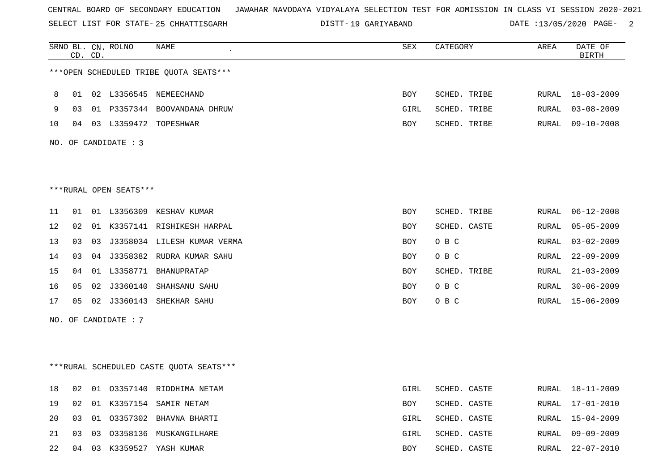SELECT LIST FOR STATE- DISTT- 25 CHHATTISGARH

19 GARIYABAND DATE :13/05/2020 PAGE- 2

|    |    | CD. CD. | SRNO BL. CN. ROLNO     | NAME                                     | <b>SEX</b> | CATEGORY     | AREA  | DATE OF<br><b>BIRTH</b> |
|----|----|---------|------------------------|------------------------------------------|------------|--------------|-------|-------------------------|
|    |    |         |                        | ***OPEN SCHEDULED TRIBE QUOTA SEATS***   |            |              |       |                         |
| 8  | 01 |         |                        | 02 L3356545 NEMEECHAND                   | BOY        | SCHED. TRIBE | RURAL | $18 - 03 - 2009$        |
| 9  | 03 |         |                        | 01 P3357344 BOOVANDANA DHRUW             | GIRL       | SCHED. TRIBE | RURAL | $03 - 08 - 2009$        |
| 10 | 04 |         |                        | 03 L3359472 TOPESHWAR                    | BOY        | SCHED. TRIBE | RURAL | $09 - 10 - 2008$        |
|    |    |         | NO. OF CANDIDATE : 3   |                                          |            |              |       |                         |
|    |    |         |                        |                                          |            |              |       |                         |
|    |    |         | ***RURAL OPEN SEATS*** |                                          |            |              |       |                         |
| 11 | 01 |         |                        | 01 L3356309 KESHAV KUMAR                 | <b>BOY</b> | SCHED. TRIBE | RURAL | $06 - 12 - 2008$        |
| 12 | 02 |         |                        | 01 K3357141 RISHIKESH HARPAL             | BOY        | SCHED. CASTE | RURAL | $05 - 05 - 2009$        |
| 13 | 03 | 03      |                        | J3358034 LILESH KUMAR VERMA              | BOY        | O B C        | RURAL | $03 - 02 - 2009$        |
| 14 | 03 |         |                        | 04 J3358382 RUDRA KUMAR SAHU             | BOY        | O B C        | RURAL | $22 - 09 - 2009$        |
| 15 | 04 |         |                        | 01 L3358771 BHANUPRATAP                  | <b>BOY</b> | SCHED. TRIBE | RURAL | $21 - 03 - 2009$        |
| 16 | 05 | 02      |                        | J3360140 SHAHSANU SAHU                   | <b>BOY</b> | O B C        | RURAL | $30 - 06 - 2009$        |
| 17 | 05 |         |                        | 02 J3360143 SHEKHAR SAHU                 | <b>BOY</b> | O B C        | RURAL | $15 - 06 - 2009$        |
|    |    |         | NO. OF CANDIDATE : 7   |                                          |            |              |       |                         |
|    |    |         |                        |                                          |            |              |       |                         |
|    |    |         |                        | *** RURAL SCHEDULED CASTE QUOTA SEATS*** |            |              |       |                         |
| 18 | 02 |         |                        | 01 03357140 RIDDHIMA NETAM               | GIRL       | SCHED. CASTE | RURAL | 18-11-2009              |
| 19 | 02 |         |                        | 01 K3357154 SAMIR NETAM                  | BOY        | SCHED. CASTE | RURAL | 17-01-2010              |
| 20 | 03 |         |                        | 01 03357302 BHAVNA BHARTI                | GIRL       | SCHED. CASTE | RURAL | $15 - 04 - 2009$        |
| 21 | 03 |         |                        | 03 03358136 MUSKANGILHARE                | GIRL       | SCHED. CASTE | RURAL | $09 - 09 - 2009$        |

22 04 03 K3359527 YASH KUMAR BOY SCHED. CASTE RURAL 22-07-2010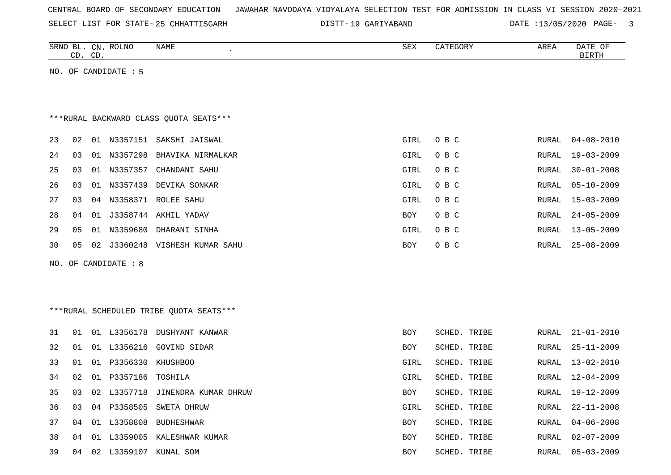| CENTRAL BOARD OF SECONDARY EDUCATION – JAWAHAR NAVODAYA VIDYALAYA SELECTION TEST FOR ADMISSION IN CLASS VI SESSION 2020-2021 |  |  |  |  |
|------------------------------------------------------------------------------------------------------------------------------|--|--|--|--|
|------------------------------------------------------------------------------------------------------------------------------|--|--|--|--|

SELECT LIST FOR STATE-25 CHHATTISGARH DISTT-19 GARIYABAND DATE :13/05/2020 PAGE- 3

|    |    | CD. CD. | SRNO BL. CN. ROLNO   | NAME<br>$\pmb{\cdot}$                   | SEX         | CATEGORY     | AREA         | DATE OF<br><b>BIRTH</b> |
|----|----|---------|----------------------|-----------------------------------------|-------------|--------------|--------------|-------------------------|
|    |    |         | NO. OF CANDIDATE : 5 |                                         |             |              |              |                         |
|    |    |         |                      |                                         |             |              |              |                         |
|    |    |         |                      |                                         |             |              |              |                         |
|    |    |         |                      | ***RURAL BACKWARD CLASS OUOTA SEATS***  |             |              |              |                         |
| 23 | 02 |         |                      | 01 N3357151 SAKSHI JAISWAL              | GIRL        | O B C        | RURAL        | $04 - 08 - 2010$        |
| 24 | 03 |         | 01 N3357298          | BHAVIKA NIRMALKAR                       | GIRL        | O B C        | RURAL        | $19 - 03 - 2009$        |
| 25 | 03 |         |                      | 01 N3357357 CHANDANI SAHU               | GIRL        | O B C        | RURAL        | $30 - 01 - 2008$        |
| 26 | 03 | 01      |                      | N3357439 DEVIKA SONKAR                  | GIRL        | O B C        | RURAL        | $05 - 10 - 2009$        |
| 27 | 03 |         |                      | 04 N3358371 ROLEE SAHU                  | GIRL        | O B C        | RURAL        | $15 - 03 - 2009$        |
| 28 | 04 |         |                      | 01 J3358744 AKHIL YADAV                 | BOY         | O B C        | <b>RURAL</b> | $24 - 05 - 2009$        |
| 29 | 05 | 01      |                      | N3359680 DHARANI SINHA                  | GIRL        | O B C        | RURAL        | $13 - 05 - 2009$        |
| 30 | 05 |         |                      | 02 J3360248 VISHESH KUMAR SAHU          | BOY         | O B C        | RURAL        | $25 - 08 - 2009$        |
|    |    |         | NO. OF CANDIDATE : 8 |                                         |             |              |              |                         |
|    |    |         |                      |                                         |             |              |              |                         |
|    |    |         |                      |                                         |             |              |              |                         |
|    |    |         |                      | ***RURAL SCHEDULED TRIBE QUOTA SEATS*** |             |              |              |                         |
| 31 | 01 |         |                      | 01 L3356178 DUSHYANT KANWAR             | BOY         | SCHED. TRIBE | <b>RURAL</b> | $21 - 01 - 2010$        |
| 32 | 01 |         |                      | 01 L3356216 GOVIND SIDAR                | BOY         | SCHED. TRIBE | <b>RURAL</b> | $25 - 11 - 2009$        |
| 33 | 01 | 01      |                      | P3356330 KHUSHBOO                       | GIRL        | SCHED. TRIBE | <b>RURAL</b> | $13 - 02 - 2010$        |
| 34 | 02 | 01      | P3357186 TOSHILA     |                                         | <b>GIRL</b> | SCHED. TRIBE | <b>RURAL</b> | $12 - 04 - 2009$        |
| 35 | 03 |         |                      | 02 L3357718 JINENDRA KUMAR DHRUW        | BOY         | SCHED. TRIBE | <b>RURAL</b> | $19 - 12 - 2009$        |
| 36 | 03 | 04      | P3358505             | SWETA DHRUW                             | GIRL        | SCHED. TRIBE | RURAL        | $22 - 11 - 2008$        |
| 37 | 04 |         | 01 L3358808          | BUDHESHWAR                              | BOY         | SCHED. TRIBE | RURAL        | $04 - 06 - 2008$        |
| 38 | 04 |         |                      | 01 L3359005 KALESHWAR KUMAR             | BOY         | SCHED. TRIBE | <b>RURAL</b> | $02 - 07 - 2009$        |
| 39 | 04 |         |                      | 02 L3359107 KUNAL SOM                   | <b>BOY</b>  | SCHED. TRIBE | <b>RURAL</b> | $05 - 03 - 2009$        |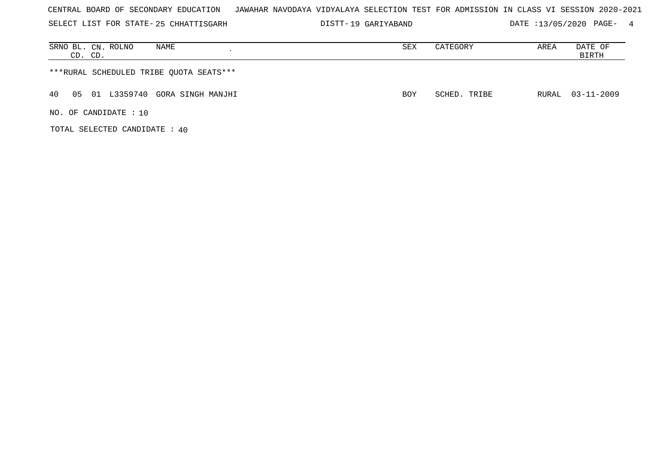SELECT LIST FOR STATE- DISTT- 25 CHHATTISGARH

19 GARIYABAND DATE :13/05/2020 PAGE- 4

| SRNO BL. CN. ROLNO<br>NAME<br>CD. CD.     | SEX        | CATEGORY     | AREA | DATE OF<br>BIRTH |
|-------------------------------------------|------------|--------------|------|------------------|
| ***RURAL SCHEDULED TRIBE QUOTA SEATS***   |            |              |      |                  |
| 01 L3359740 GORA SINGH MANJHI<br>40<br>05 | <b>BOY</b> | SCHED. TRIBE |      | RURAL 03-11-2009 |
| NO. OF CANDIDATE: 10                      |            |              |      |                  |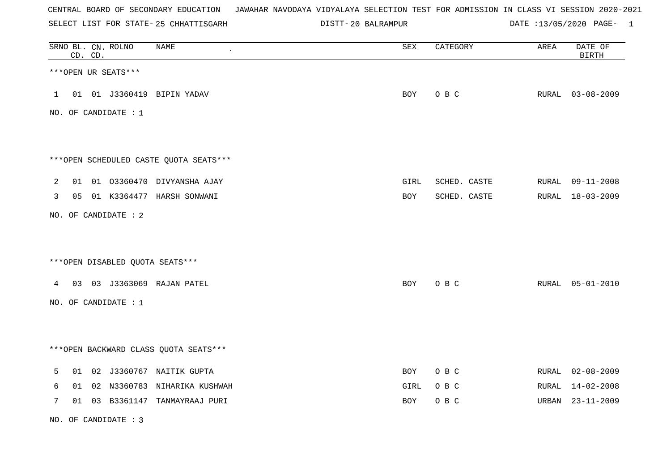SELECT LIST FOR STATE- DISTT- 25 CHHATTISGARH

20 BALRAMPUR DATE :13/05/2020 PAGE- 1

|              |    | CD. CD. | SRNO BL. CN. ROLNO   | <b>NAME</b>                            | ${\tt SEX}$ | CATEGORY     | AREA  | DATE OF<br><b>BIRTH</b> |
|--------------|----|---------|----------------------|----------------------------------------|-------------|--------------|-------|-------------------------|
|              |    |         | ***OPEN UR SEATS***  |                                        |             |              |       |                         |
| $\mathbf{1}$ |    |         |                      | 01 01 J3360419 BIPIN YADAV             | BOY         | O B C        |       | RURAL 03-08-2009        |
|              |    |         | NO. OF CANDIDATE : 1 |                                        |             |              |       |                         |
|              |    |         |                      |                                        |             |              |       |                         |
|              |    |         |                      | ***OPEN SCHEDULED CASTE QUOTA SEATS*** |             |              |       |                         |
| 2            |    |         |                      | 01 01 03360470 DIVYANSHA AJAY          | GIRL        | SCHED. CASTE |       | RURAL 09-11-2008        |
| 3            |    |         |                      | 05 01 K3364477 HARSH SONWANI           | BOY         | SCHED. CASTE |       | RURAL 18-03-2009        |
|              |    |         | NO. OF CANDIDATE : 2 |                                        |             |              |       |                         |
|              |    |         |                      |                                        |             |              |       |                         |
|              |    |         |                      | ***OPEN DISABLED QUOTA SEATS***        |             |              |       |                         |
| 4            | 03 |         |                      | 03 J3363069 RAJAN PATEL                | BOY         | O B C        |       | RURAL 05-01-2010        |
|              |    |         | NO. OF CANDIDATE : 1 |                                        |             |              |       |                         |
|              |    |         |                      |                                        |             |              |       |                         |
|              |    |         |                      | *** OPEN BACKWARD CLASS QUOTA SEATS*** |             |              |       |                         |
| 5            |    |         |                      | 01 02 J3360767 NAITIK GUPTA            | BOY         | O B C        |       | RURAL 02-08-2009        |
| 6            | 01 |         |                      | 02 N3360783 NIHARIKA KUSHWAH           | GIRL        | O B C        | RURAL | $14 - 02 - 2008$        |
| 7            | 01 |         |                      | 03 B3361147 TANMAYRAAJ PURI            | BOY         | O B C        |       | URBAN 23-11-2009        |

NO. OF CANDIDATE : 3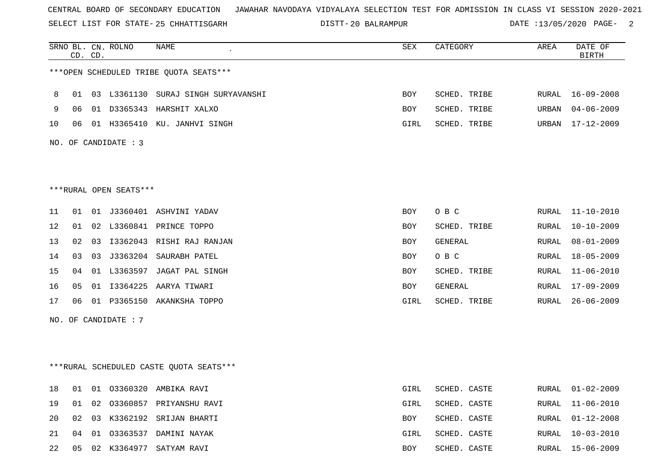SELECT LIST FOR STATE- DISTT- 25 CHHATTISGARH

20 BALRAMPUR DATE :13/05/2020 PAGE- 2

|    | CD. CD. |    | SRNO BL. CN. ROLNO     | NAME                                    | SEX        | CATEGORY     | AREA          | DATE OF<br>BIRTH |
|----|---------|----|------------------------|-----------------------------------------|------------|--------------|---------------|------------------|
|    |         |    |                        | ***OPEN SCHEDULED TRIBE QUOTA SEATS***  |            |              |               |                  |
| 8  | 01      |    |                        | 03 L3361130 SURAJ SINGH SURYAVANSHI     | <b>BOY</b> | SCHED. TRIBE | RURAL         | $16 - 09 - 2008$ |
| 9  | 06      |    |                        | 01 D3365343 HARSHIT XALXO               | BOY        | SCHED. TRIBE | URBAN         | $04 - 06 - 2009$ |
| 10 | 06      |    |                        | 01 H3365410 KU. JANHVI SINGH            | GIRL       | SCHED. TRIBE | URBAN         | 17-12-2009       |
|    |         |    | NO. OF CANDIDATE : 3   |                                         |            |              |               |                  |
|    |         |    |                        |                                         |            |              |               |                  |
|    |         |    | ***RURAL OPEN SEATS*** |                                         |            |              |               |                  |
| 11 | 01      |    |                        | 01 J3360401 ASHVINI YADAV               | <b>BOY</b> | O B C        | RURAL         | 11-10-2010       |
| 12 | 01      |    |                        | 02 L3360841 PRINCE TOPPO                | <b>BOY</b> | SCHED. TRIBE | ${\tt RURAL}$ | $10 - 10 - 2009$ |
| 13 | 02      |    |                        | 03 I3362043 RISHI RAJ RANJAN            | BOY        | GENERAL      | RURAL         | $08 - 01 - 2009$ |
| 14 | 03      | 03 |                        | J3363204 SAURABH PATEL                  | BOY        | O B C        | RURAL         | $18 - 05 - 2009$ |
| 15 | 04      |    |                        | 01 L3363597 JAGAT PAL SINGH             | <b>BOY</b> | SCHED. TRIBE | RURAL         | $11 - 06 - 2010$ |
| 16 | 05      |    |                        | 01 13364225 AARYA TIWARI                | <b>BOY</b> | GENERAL      | RURAL         | $17 - 09 - 2009$ |
| 17 | 06      |    |                        | 01 P3365150 AKANKSHA TOPPO              | GIRL       | SCHED. TRIBE | RURAL         | $26 - 06 - 2009$ |
|    |         |    | NO. OF CANDIDATE : 7   |                                         |            |              |               |                  |
|    |         |    |                        |                                         |            |              |               |                  |
|    |         |    |                        | ***RURAL SCHEDULED CASTE QUOTA SEATS*** |            |              |               |                  |
| 18 | 01      |    |                        | 01 03360320 AMBIKA RAVI                 | GIRL       | SCHED. CASTE |               | RURAL 01-02-2009 |
| 19 | 01      | 02 |                        | 03360857 PRIYANSHU RAVI                 | GIRL       | SCHED. CASTE | RURAL         | $11 - 06 - 2010$ |
| 20 | 02      |    |                        | 03 K3362192 SRIJAN BHARTI               | <b>BOY</b> | SCHED. CASTE | RURAL         | $01 - 12 - 2008$ |
| 21 | 04      | 01 |                        | 03363537 DAMINI NAYAK                   | GIRL       | SCHED. CASTE | RURAL         | $10 - 03 - 2010$ |
| 22 | 05      |    |                        | 02 K3364977 SATYAM RAVI                 | <b>BOY</b> | SCHED. CASTE | RURAL         | 15-06-2009       |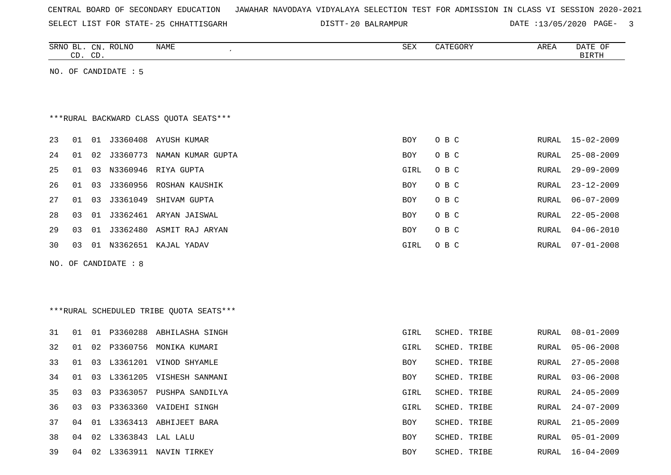SELECT LIST FOR STATE- DISTT- 25 CHHATTISGARH

20 BALRAMPUR DATE :13/05/2020 PAGE- 3

|    |    |          | NAME<br>$\epsilon$                                                             | SEX                                                                                                                                                                                                                                                                                                                                                                                                                                                            | CATEGORY     | AREA  | DATE OF<br><b>BIRTH</b> |
|----|----|----------|--------------------------------------------------------------------------------|----------------------------------------------------------------------------------------------------------------------------------------------------------------------------------------------------------------------------------------------------------------------------------------------------------------------------------------------------------------------------------------------------------------------------------------------------------------|--------------|-------|-------------------------|
|    |    |          |                                                                                |                                                                                                                                                                                                                                                                                                                                                                                                                                                                |              |       |                         |
|    |    |          |                                                                                |                                                                                                                                                                                                                                                                                                                                                                                                                                                                |              |       |                         |
|    |    |          |                                                                                |                                                                                                                                                                                                                                                                                                                                                                                                                                                                |              |       |                         |
|    |    |          |                                                                                |                                                                                                                                                                                                                                                                                                                                                                                                                                                                |              |       |                         |
|    |    |          |                                                                                | BOY                                                                                                                                                                                                                                                                                                                                                                                                                                                            | O B C        | RURAL | $15 - 02 - 2009$        |
| 01 | 02 |          |                                                                                | BOY                                                                                                                                                                                                                                                                                                                                                                                                                                                            | O B C        | RURAL | $25 - 08 - 2009$        |
| 01 | 03 |          | RIYA GUPTA                                                                     | GIRL                                                                                                                                                                                                                                                                                                                                                                                                                                                           | O B C        | RURAL | $29 - 09 - 2009$        |
| 01 | 03 | J3360956 | ROSHAN KAUSHIK                                                                 | BOY                                                                                                                                                                                                                                                                                                                                                                                                                                                            | O B C        | RURAL | $23 - 12 - 2009$        |
| 01 | 03 | J3361049 | SHIVAM GUPTA                                                                   | BOY                                                                                                                                                                                                                                                                                                                                                                                                                                                            | O B C        | RURAL | $06 - 07 - 2009$        |
| 03 | 01 |          |                                                                                | BOY                                                                                                                                                                                                                                                                                                                                                                                                                                                            | O B C        | RURAL | $22 - 05 - 2008$        |
| 03 | 01 |          |                                                                                | BOY                                                                                                                                                                                                                                                                                                                                                                                                                                                            | O B C        | RURAL | $04 - 06 - 2010$        |
| 03 |    |          |                                                                                | GIRL                                                                                                                                                                                                                                                                                                                                                                                                                                                           | O B C        | RURAL | $07 - 01 - 2008$        |
|    |    |          |                                                                                |                                                                                                                                                                                                                                                                                                                                                                                                                                                                |              |       |                         |
|    |    |          |                                                                                |                                                                                                                                                                                                                                                                                                                                                                                                                                                                |              |       |                         |
|    |    |          |                                                                                |                                                                                                                                                                                                                                                                                                                                                                                                                                                                |              |       |                         |
|    |    |          |                                                                                |                                                                                                                                                                                                                                                                                                                                                                                                                                                                |              |       |                         |
| 01 |    |          |                                                                                | GIRL                                                                                                                                                                                                                                                                                                                                                                                                                                                           | SCHED. TRIBE | RURAL | $08 - 01 - 2009$        |
| 01 | 02 | P3360756 | MONIKA KUMARI                                                                  | GIRL                                                                                                                                                                                                                                                                                                                                                                                                                                                           | SCHED. TRIBE | RURAL | $05 - 06 - 2008$        |
| 01 | 03 |          |                                                                                | BOY                                                                                                                                                                                                                                                                                                                                                                                                                                                            | SCHED. TRIBE | RURAL | $27 - 05 - 2008$        |
| 01 | 03 | L3361205 |                                                                                | BOY                                                                                                                                                                                                                                                                                                                                                                                                                                                            | SCHED. TRIBE | RURAL | $03 - 06 - 2008$        |
| 03 |    |          |                                                                                | GIRL                                                                                                                                                                                                                                                                                                                                                                                                                                                           | SCHED. TRIBE | RURAL | $24 - 05 - 2009$        |
| 03 |    |          |                                                                                | GIRL                                                                                                                                                                                                                                                                                                                                                                                                                                                           | SCHED. TRIBE | RURAL | $24 - 07 - 2009$        |
| 04 |    |          |                                                                                | BOY                                                                                                                                                                                                                                                                                                                                                                                                                                                            | SCHED. TRIBE | RURAL | $21 - 05 - 2009$        |
|    |    |          |                                                                                | BOY                                                                                                                                                                                                                                                                                                                                                                                                                                                            | SCHED. TRIBE | RURAL | $05 - 01 - 2009$        |
|    |    |          |                                                                                | BOY                                                                                                                                                                                                                                                                                                                                                                                                                                                            | SCHED. TRIBE | RURAL | $16 - 04 - 2009$        |
|    |    | CD. CD.  | SRNO BL. CN. ROLNO<br>NO. OF CANDIDATE : 5<br>N3360946<br>NO. OF CANDIDATE : 8 | *** RURAL BACKWARD CLASS QUOTA SEATS***<br>01 01 J3360408 AYUSH KUMAR<br>J3360773 NAMAN KUMAR GUPTA<br>J3362461 ARYAN JAISWAL<br>J3362480 ASMIT RAJ ARYAN<br>01 N3362651 KAJAL YADAV<br>***RURAL SCHEDULED TRIBE QUOTA SEATS***<br>01 P3360288 ABHILASHA SINGH<br>L3361201 VINOD SHYAMLE<br>VISHESH SANMANI<br>03 P3363057 PUSHPA SANDILYA<br>03 P3363360 VAIDEHI SINGH<br>01 L3363413 ABHIJEET BARA<br>04 02 L3363843 LAL LALU<br>04 02 L3363911 NAVIN TIRKEY |              |       |                         |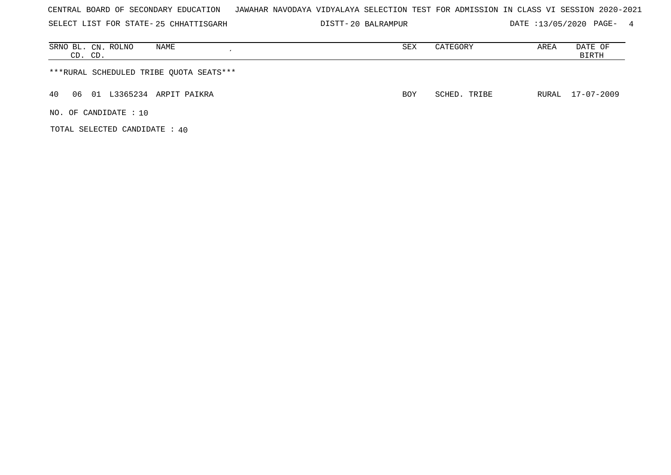| CENTRAL BOARD OF SECONDARY EDUCATION – JAWAHAR NAVODAYA VIDYALAYA SELECTION TEST FOR ADMISSION IN CLASS VI SESSION 2020-2021 |  |  |  |  |  |  |  |  |  |  |
|------------------------------------------------------------------------------------------------------------------------------|--|--|--|--|--|--|--|--|--|--|
|------------------------------------------------------------------------------------------------------------------------------|--|--|--|--|--|--|--|--|--|--|

SELECT LIST FOR STATE- DISTT- 25 CHHATTISGARH 20 BALRAMPUR DATE :13/05/2020 PAGE- 4

| NAME<br>SRNO BL. CN. ROLNO<br>CD. CD.   | SEX        | CATEGORY     | AREA | DATE OF<br>BIRTH |
|-----------------------------------------|------------|--------------|------|------------------|
| ***RURAL SCHEDULED TRIBE QUOTA SEATS*** |            |              |      |                  |
| 01 L3365234 ARPIT PAIKRA<br>40<br>06    | <b>BOY</b> | SCHED. TRIBE |      | RURAL 17-07-2009 |
| NO. OF CANDIDATE: 10                    |            |              |      |                  |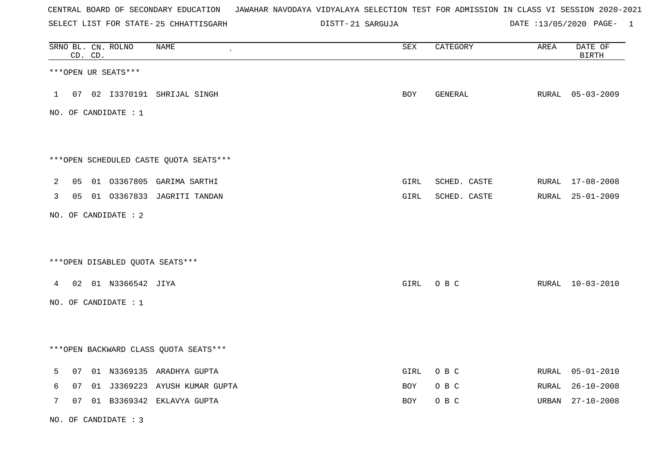SELECT LIST FOR STATE- DISTT- 25 CHHATTISGARH

21 SARGUJA DATE :13/05/2020 PAGE- 1

|              |    | CD. CD. | SRNO BL. CN. ROLNO   | <b>NAME</b>                            | ${\tt SEX}$ | CATEGORY     | AREA  | DATE OF<br><b>BIRTH</b> |
|--------------|----|---------|----------------------|----------------------------------------|-------------|--------------|-------|-------------------------|
|              |    |         | ***OPEN UR SEATS***  |                                        |             |              |       |                         |
| $\mathbf{1}$ |    |         |                      | 07 02 I3370191 SHRIJAL SINGH           | BOY         | GENERAL      |       | RURAL 05-03-2009        |
|              |    |         | NO. OF CANDIDATE : 1 |                                        |             |              |       |                         |
|              |    |         |                      |                                        |             |              |       |                         |
|              |    |         |                      | ***OPEN SCHEDULED CASTE QUOTA SEATS*** |             |              |       |                         |
| 2            | 05 |         |                      | 01 03367805 GARIMA SARTHI              | GIRL        | SCHED. CASTE |       | RURAL 17-08-2008        |
| 3            |    |         |                      | 05 01 03367833 JAGRITI TANDAN          | GIRL        | SCHED. CASTE |       | RURAL 25-01-2009        |
|              |    |         | NO. OF CANDIDATE : 2 |                                        |             |              |       |                         |
|              |    |         |                      |                                        |             |              |       |                         |
|              |    |         |                      | *** OPEN DISABLED QUOTA SEATS***       |             |              |       |                         |
| $4\degree$   | 02 |         | 01 N3366542 JIYA     |                                        | GIRL        | O B C        |       | RURAL 10-03-2010        |
|              |    |         | NO. OF CANDIDATE : 1 |                                        |             |              |       |                         |
|              |    |         |                      |                                        |             |              |       |                         |
|              |    |         |                      | *** OPEN BACKWARD CLASS QUOTA SEATS*** |             |              |       |                         |
| 5            | 07 |         |                      | 01 N3369135 ARADHYA GUPTA              | GIRL        | O B C        | RURAL | $05 - 01 - 2010$        |
| 6            | 07 |         |                      | 01 J3369223 AYUSH KUMAR GUPTA          | BOY         | O B C        | RURAL | $26 - 10 - 2008$        |
| 7            | 07 |         |                      | 01 B3369342 EKLAVYA GUPTA              | BOY         | O B C        | URBAN | $27 - 10 - 2008$        |

NO. OF CANDIDATE : 3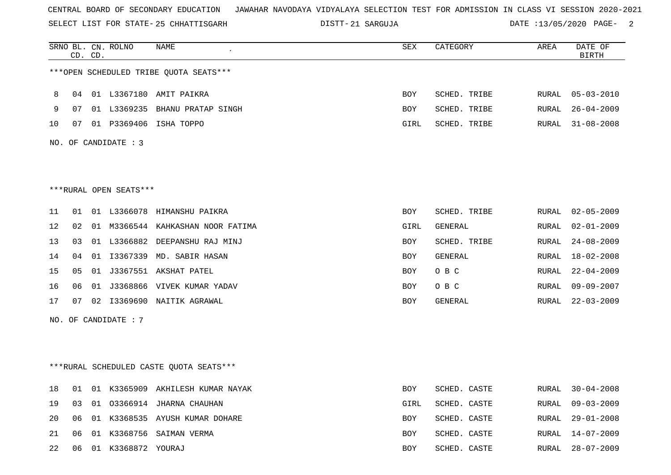SELECT LIST FOR STATE- DISTT- 25 CHHATTISGARH

21 SARGUJA DATE :13/05/2020 PAGE- 2

|                                         | SRNO BL. CN. ROLNO<br>CD. CD. |  | NAME                              | SEX        | CATEGORY     | AREA  | DATE OF<br><b>BIRTH</b> |
|-----------------------------------------|-------------------------------|--|-----------------------------------|------------|--------------|-------|-------------------------|
| ***OPEN SCHEDULED TRIBE QUOTA SEATS***  |                               |  |                                   |            |              |       |                         |
| 8                                       | 04                            |  | 01 L3367180 AMIT PAIKRA           | <b>BOY</b> | SCHED. TRIBE | RURAL | $05 - 03 - 2010$        |
| 9                                       | 07                            |  | 01 L3369235 BHANU PRATAP SINGH    | BOY        | SCHED. TRIBE | RURAL | $26 - 04 - 2009$        |
| 10                                      | 07                            |  | 01 P3369406 ISHA TOPPO            | GIRL       | SCHED. TRIBE | RURAL | $31 - 08 - 2008$        |
| NO. OF CANDIDATE : 3                    |                               |  |                                   |            |              |       |                         |
|                                         |                               |  |                                   |            |              |       |                         |
|                                         |                               |  |                                   |            |              |       |                         |
| ***RURAL OPEN SEATS***                  |                               |  |                                   |            |              |       |                         |
| 11                                      | 01                            |  | 01 L3366078 HIMANSHU PAIKRA       | BOY        | SCHED. TRIBE | RURAL | $02 - 05 - 2009$        |
| 12                                      | 02                            |  | 01 M3366544 KAHKASHAN NOOR FATIMA | GIRL       | GENERAL      | RURAL | $02 - 01 - 2009$        |
| 13                                      | 03                            |  | 01 L3366882 DEEPANSHU RAJ MINJ    | BOY        | SCHED. TRIBE | RURAL | $24 - 08 - 2009$        |
| 14                                      | 04                            |  | 01 I3367339 MD. SABIR HASAN       | <b>BOY</b> | GENERAL      | RURAL | $18 - 02 - 2008$        |
| 15                                      | 05                            |  | 01 J3367551 AKSHAT PATEL          | <b>BOY</b> | O B C        | RURAL | $22 - 04 - 2009$        |
| 16                                      | 06                            |  | 01 J3368866 VIVEK KUMAR YADAV     | <b>BOY</b> | O B C        | RURAL | $09 - 09 - 2007$        |
| 17                                      | 07                            |  | 02 I3369690 NAITIK AGRAWAL        | BOY        | GENERAL      | RURAL | $22 - 03 - 2009$        |
| NO. OF CANDIDATE : 7                    |                               |  |                                   |            |              |       |                         |
|                                         |                               |  |                                   |            |              |       |                         |
|                                         |                               |  |                                   |            |              |       |                         |
| ***RURAL SCHEDULED CASTE QUOTA SEATS*** |                               |  |                                   |            |              |       |                         |
| 18                                      | 01                            |  | 01 K3365909 AKHILESH KUMAR NAYAK  | <b>BOY</b> | SCHED. CASTE | RURAL | $30 - 04 - 2008$        |
| 19                                      | 03                            |  | 01 03366914 JHARNA CHAUHAN        | GIRL       | SCHED. CASTE | RURAL | $09 - 03 - 2009$        |
| 20                                      | 06                            |  | 01 K3368535 AYUSH KUMAR DOHARE    | BOY        | SCHED. CASTE | RURAL | $29 - 01 - 2008$        |
| 21                                      | 06                            |  | 01 K3368756 SAIMAN VERMA          | <b>BOY</b> | SCHED. CASTE | RURAL | $14 - 07 - 2009$        |

22 06 01 K3368872 YOURAJ BOY SCHED. CASTE RURAL 28-07-2009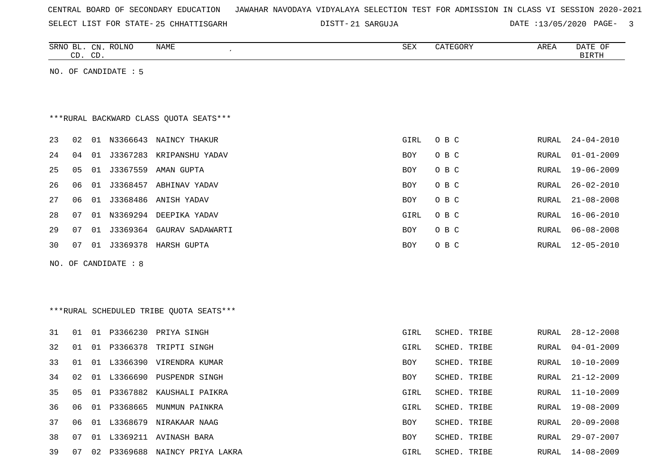| CENTRAL BOARD OF SECONDARY EDUCATION – JAWAHAR NAVODAYA VIDYALAYA SELECTION TEST FOR ADMISSION IN CLASS VI SESSION 2020-2021 |  |
|------------------------------------------------------------------------------------------------------------------------------|--|
|------------------------------------------------------------------------------------------------------------------------------|--|

SELECT LIST FOR STATE- DISTT- 25 CHHATTISGARH

DISTT-21 SARGUJA 2020 DATE :13/05/2020 PAGE- 3

|    | CD. CD. |    | SRNO BL. CN. ROLNO   | NAME                                    | SEX        | CATEGORY     | AREA  | DATE OF<br><b>BIRTH</b> |
|----|---------|----|----------------------|-----------------------------------------|------------|--------------|-------|-------------------------|
|    |         |    | NO. OF CANDIDATE : 5 |                                         |            |              |       |                         |
|    |         |    |                      |                                         |            |              |       |                         |
|    |         |    |                      |                                         |            |              |       |                         |
|    |         |    |                      | *** RURAL BACKWARD CLASS QUOTA SEATS*** |            |              |       |                         |
| 23 | 02      |    |                      | 01 N3366643 NAINCY THAKUR               | GIRL       | O B C        | RURAL | $24 - 04 - 2010$        |
| 24 | 04      | 01 |                      | J3367283 KRIPANSHU YADAV                | BOY        | O B C        | RURAL | $01 - 01 - 2009$        |
| 25 | 05      | 01 | J3367559             | AMAN GUPTA                              | <b>BOY</b> | O B C        | RURAL | $19 - 06 - 2009$        |
| 26 | 06      |    |                      | 01 J3368457 ABHINAV YADAV               | BOY        | O B C        | RURAL | $26 - 02 - 2010$        |
| 27 | 06      | 01 |                      | J3368486 ANISH YADAV                    | BOY        | O B C        | RURAL | $21 - 08 - 2008$        |
| 28 | 07      |    |                      | 01 N3369294 DEEPIKA YADAV               | GIRL       | O B C        | RURAL | $16 - 06 - 2010$        |
| 29 | 07      |    |                      | 01 J3369364 GAURAV SADAWARTI            | <b>BOY</b> | O B C        | RURAL | $06 - 08 - 2008$        |
| 30 | 07      |    |                      | 01 J3369378 HARSH GUPTA                 | <b>BOY</b> | O B C        | RURAL | $12 - 05 - 2010$        |
|    |         |    | NO. OF CANDIDATE : 8 |                                         |            |              |       |                         |
|    |         |    |                      |                                         |            |              |       |                         |
|    |         |    |                      |                                         |            |              |       |                         |
|    |         |    |                      | ***RURAL SCHEDULED TRIBE QUOTA SEATS*** |            |              |       |                         |
| 31 | 01      |    |                      | 01 P3366230 PRIYA SINGH                 | GIRL       | SCHED. TRIBE | RURAL | $28 - 12 - 2008$        |
| 32 | 01      |    |                      | 01 P3366378 TRIPTI SINGH                | GIRL       | SCHED. TRIBE | RURAL | $04 - 01 - 2009$        |
| 33 | 01      |    |                      | 01 L3366390 VIRENDRA KUMAR              | BOY        | SCHED. TRIBE | RURAL | $10 - 10 - 2009$        |
| 34 | 02      |    | 01 L3366690          | PUSPENDR SINGH                          | BOY        | SCHED. TRIBE | RURAL | $21 - 12 - 2009$        |
| 35 | 05      |    | 01 P3367882          | KAUSHALI PAIKRA                         | GIRL       | SCHED. TRIBE | RURAL | $11 - 10 - 2009$        |
| 36 | 06      |    |                      | 01 P3368665 MUNMUN PAINKRA              | GIRL       | SCHED. TRIBE | RURAL | $19 - 08 - 2009$        |
| 37 | 06      |    |                      | 01 L3368679 NIRAKAAR NAAG               | <b>BOY</b> | SCHED. TRIBE | RURAL | $20 - 09 - 2008$        |
| 38 | 07      |    |                      | 01 L3369211 AVINASH BARA                | BOY        | SCHED. TRIBE | RURAL | $29 - 07 - 2007$        |
| 39 | 07      |    |                      | 02 P3369688 NAINCY PRIYA LAKRA          | GIRL       | SCHED. TRIBE | RURAL | 14-08-2009              |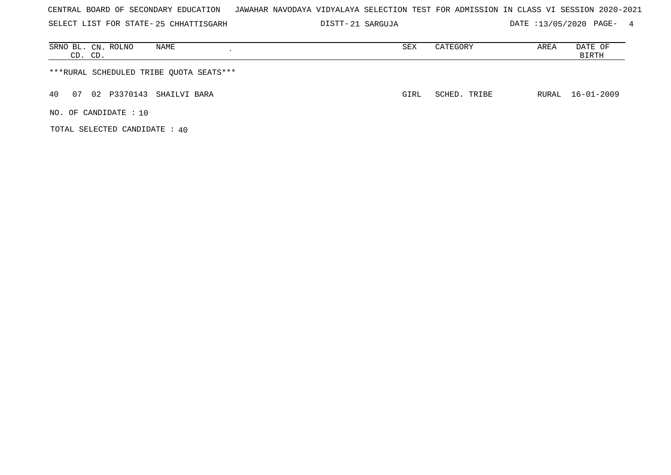| CENTRAL BOARD OF SECONDARY EDUCATION – JAWAHAR NAVODAYA VIDYALAYA SELECTION TEST FOR ADMISSION IN CLASS VI SESSION 2020-2021 |  |  |  |  |  |  |  |
|------------------------------------------------------------------------------------------------------------------------------|--|--|--|--|--|--|--|
|------------------------------------------------------------------------------------------------------------------------------|--|--|--|--|--|--|--|

SELECT LIST FOR STATE- DISTT- 25 CHHATTISGARH 21 SARGUJA DATE :13/05/2020 PAGE- 4

| SRNO BL. CN. ROLNO<br>NAME<br>CD. CD.   | SEX  | CATEGORY     | AREA | DATE OF<br>BIRTH |
|-----------------------------------------|------|--------------|------|------------------|
| ***RURAL SCHEDULED TRIBE QUOTA SEATS*** |      |              |      |                  |
| 02 P3370143 SHAILVI BARA<br>40<br>07    | GIRL | SCHED. TRIBE |      | RURAL 16-01-2009 |
| NO. OF CANDIDATE : $10$                 |      |              |      |                  |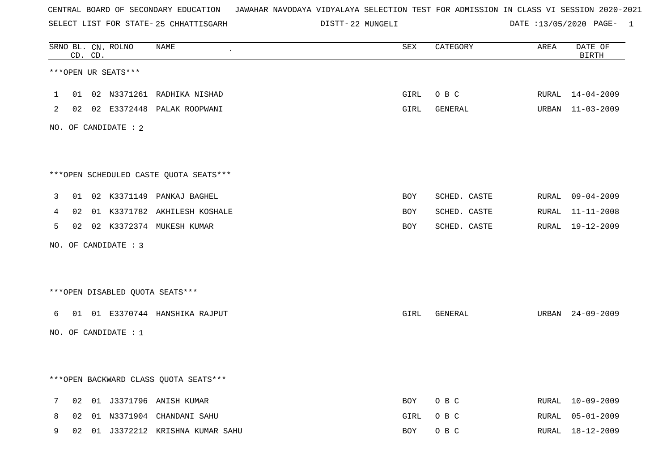SELECT LIST FOR STATE- DISTT- 25 CHHATTISGARH

22 MUNGELI DATE :13/05/2020 PAGE- 1

|   |    | CD. CD. | SRNO BL. CN. ROLNO   | NAME                                   | SEX        | CATEGORY     | AREA  | DATE OF<br><b>BIRTH</b> |
|---|----|---------|----------------------|----------------------------------------|------------|--------------|-------|-------------------------|
|   |    |         | ***OPEN UR SEATS***  |                                        |            |              |       |                         |
| 1 | 01 |         |                      | 02 N3371261 RADHIKA NISHAD             | GIRL       | O B C        |       | RURAL 14-04-2009        |
| 2 |    |         |                      | 02 02 E3372448 PALAK ROOPWANI          | GIRL       | GENERAL      |       | URBAN 11-03-2009        |
|   |    |         | NO. OF CANDIDATE : 2 |                                        |            |              |       |                         |
|   |    |         |                      | ***OPEN SCHEDULED CASTE QUOTA SEATS*** |            |              |       |                         |
| 3 | 01 |         |                      | 02 K3371149 PANKAJ BAGHEL              | BOY        | SCHED. CASTE |       | RURAL 09-04-2009        |
| 4 | 02 |         |                      | 01 K3371782 AKHILESH KOSHALE           | BOY        | SCHED. CASTE | RURAL | 11-11-2008              |
| 5 |    |         |                      | 02 02 K3372374 MUKESH KUMAR            | <b>BOY</b> | SCHED. CASTE |       | RURAL 19-12-2009        |
|   |    |         | NO. OF CANDIDATE : 3 |                                        |            |              |       |                         |
|   |    |         |                      | ***OPEN DISABLED QUOTA SEATS***        |            |              |       |                         |
| 6 | 01 |         |                      | 01 E3370744 HANSHIKA RAJPUT            | GIRL       | GENERAL      |       | URBAN 24-09-2009        |
|   |    |         | NO. OF CANDIDATE: 1  |                                        |            |              |       |                         |
|   |    |         |                      | *** OPEN BACKWARD CLASS QUOTA SEATS*** |            |              |       |                         |
|   |    |         |                      |                                        |            |              |       |                         |
| 7 | 02 |         |                      | 01 J3371796 ANISH KUMAR                | BOY        | O B C        | RURAL | $10 - 09 - 2009$        |
| 8 | 02 |         |                      | 01 N3371904 CHANDANI SAHU              | GIRL       | O B C        | RURAL | 05-01-2009              |
| 9 | 02 |         |                      | 01 J3372212 KRISHNA KUMAR SAHU         | BOY        | O B C        | RURAL | 18-12-2009              |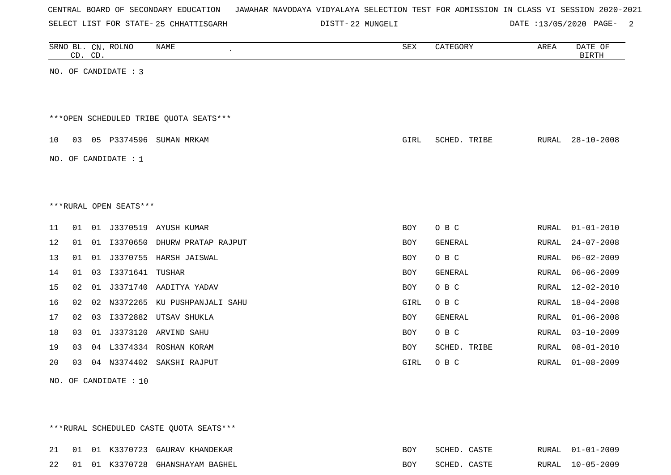| CENTRAL BOARD OF SECONDARY EDUCATION – JAWAHAR NAVODAYA VIDYALAYA SELECTION TEST FOR ADMISSION IN CLASS VI SESSION 2020-2021 |  |  |
|------------------------------------------------------------------------------------------------------------------------------|--|--|
|------------------------------------------------------------------------------------------------------------------------------|--|--|

SELECT LIST FOR STATE- DISTT- 25 CHHATTISGARH 22 MUNGELI DATE :13/05/2020 PAGE- 2

|    | CD. CD. |    | SRNO BL. CN. ROLNO     | <b>NAME</b>                            | SEX        | CATEGORY     | AREA         | DATE OF<br><b>BIRTH</b> |
|----|---------|----|------------------------|----------------------------------------|------------|--------------|--------------|-------------------------|
|    |         |    | NO. OF CANDIDATE : 3   |                                        |            |              |              |                         |
|    |         |    |                        | ***OPEN SCHEDULED TRIBE QUOTA SEATS*** |            |              |              |                         |
| 10 | 03      |    |                        | 05 P3374596 SUMAN MRKAM                | GIRL       | SCHED. TRIBE | RURAL        | $28 - 10 - 2008$        |
|    |         |    | NO. OF CANDIDATE : $1$ |                                        |            |              |              |                         |
|    |         |    |                        |                                        |            |              |              |                         |
|    |         |    | ***RURAL OPEN SEATS*** |                                        |            |              |              |                         |
| 11 | 01      |    |                        | 01 J3370519 AYUSH KUMAR                | <b>BOY</b> | O B C        | RURAL        | $01 - 01 - 2010$        |
| 12 | 01      | 01 | I3370650               | DHURW PRATAP RAJPUT                    | <b>BOY</b> | GENERAL      | <b>RURAL</b> | $24 - 07 - 2008$        |
| 13 | 01      |    |                        | 01 J3370755 HARSH JAISWAL              | BOY        | O B C        | RURAL        | $06 - 02 - 2009$        |
| 14 | 01      |    | 03 13371641            | TUSHAR                                 | <b>BOY</b> | GENERAL      | <b>RURAL</b> | $06 - 06 - 2009$        |
| 15 | 02      | 01 |                        | J3371740 AADITYA YADAV                 | <b>BOY</b> | O B C        | <b>RURAL</b> | $12 - 02 - 2010$        |
| 16 | 02      | 02 | N3372265               | KU PUSHPANJALI SAHU                    | GIRL       | O B C        | <b>RURAL</b> | $18 - 04 - 2008$        |
| 17 | 02      | 03 | I3372882               | UTSAV SHUKLA                           | <b>BOY</b> | GENERAL      | <b>RURAL</b> | $01 - 06 - 2008$        |
| 18 | 03      |    |                        | 01 J3373120 ARVIND SAHU                | BOY        | O B C        | RURAL        | $03 - 10 - 2009$        |
| 19 | 03      |    |                        | 04 L3374334 ROSHAN KORAM               | BOY        | SCHED. TRIBE | <b>RURAL</b> | $08 - 01 - 2010$        |
| 20 | 03      |    |                        | 04 N3374402 SAKSHI RAJPUT              | GIRL       | O B C        | RURAL        | $01 - 08 - 2009$        |
|    |         |    | NO. OF CANDIDATE : 10  |                                        |            |              |              |                         |

\*\*\*RURAL SCHEDULED CASTE QUOTA SEATS\*\*\*

| $\cap$ $\cap$ | $\bigcap$ 1 |             | 17370723 i | GAURAV KHANDEKAR  | ⊽רת | スペHヱレ | ◠ձའͲϜ                         | RURAL        | $01 - 01 - 2009$ |
|---------------|-------------|-------------|------------|-------------------|-----|-------|-------------------------------|--------------|------------------|
| າ າ           | . በ 1       | $\bigcap$ 1 | K3370728   | GHANSHAYAM BAGHEL | BOY | חתטרס | $\cap$ $\wedge$ $\cap$ $\Box$ | <b>RURAL</b> | 10-05-2009       |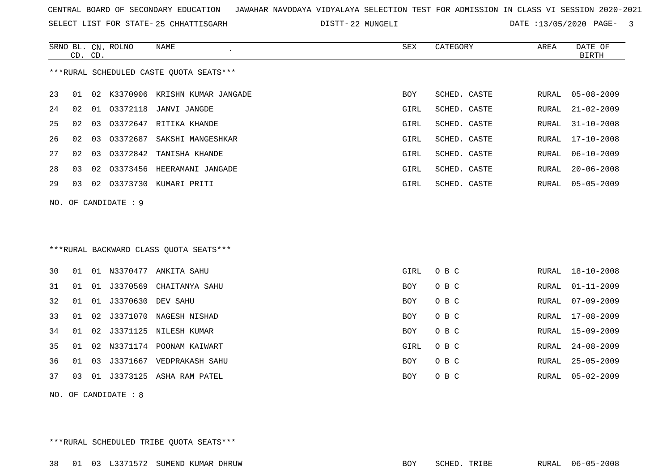SELECT LIST FOR STATE- DISTT- 25 CHHATTISGARH

22 MUNGELI DATE :13/05/2020 PAGE- 3

|    |    | CD. CD. | SRNO BL. CN. ROLNO   | <b>NAME</b><br>$\epsilon$               | SEX        | CATEGORY     | AREA  | DATE OF<br><b>BIRTH</b> |
|----|----|---------|----------------------|-----------------------------------------|------------|--------------|-------|-------------------------|
|    |    |         |                      | ***RURAL SCHEDULED CASTE OUOTA SEATS*** |            |              |       |                         |
| 23 | 01 |         |                      | 02 K3370906 KRISHN KUMAR JANGADE        | <b>BOY</b> | SCHED. CASTE | RURAL | $05 - 08 - 2009$        |
| 24 | 02 |         |                      | 01 03372118 JANVI JANGDE                | GIRL       | SCHED. CASTE | RURAL | $21 - 02 - 2009$        |
| 25 | 02 | 03      |                      | 03372647 RITIKA KHANDE                  | GIRL       | SCHED. CASTE | RURAL | $31 - 10 - 2008$        |
| 26 | 02 | 03      | 03372687             | SAKSHI MANGESHKAR                       | GIRL       | SCHED. CASTE | RURAL | $17 - 10 - 2008$        |
| 27 | 02 | 03      |                      | 03372842 TANISHA KHANDE                 | GIRL       | SCHED. CASTE | RURAL | $06 - 10 - 2009$        |
| 28 | 03 | 02      |                      | 03373456 HEERAMANI JANGADE              | GIRL       | SCHED. CASTE | RURAL | $20 - 06 - 2008$        |
| 29 | 03 |         |                      | 02 03373730 KUMARI PRITI                | GIRL       | SCHED. CASTE | RURAL | $05 - 05 - 2009$        |
|    |    |         | NO. OF CANDIDATE : 9 |                                         |            |              |       |                         |
|    |    |         |                      |                                         |            |              |       |                         |
|    |    |         |                      |                                         |            |              |       |                         |
|    |    |         |                      | *** RURAL BACKWARD CLASS QUOTA SEATS*** |            |              |       |                         |
| 30 | 01 |         |                      | 01 N3370477 ANKITA SAHU                 | GIRL       | O B C        | RURAL | $18 - 10 - 2008$        |
| 31 | 01 |         |                      | 01 J3370569 CHAITANYA SAHU              | BOY        | O B C        | RURAL | $01 - 11 - 2009$        |
| 32 | 01 |         | 01 J3370630 DEV SAHU |                                         | <b>BOY</b> | O B C        | RURAL | $07 - 09 - 2009$        |
| 33 | 01 |         |                      | 02 J3371070 NAGESH NISHAD               | BOY        | O B C        | RURAL | $17 - 08 - 2009$        |
| 34 | 01 |         |                      | 02 J3371125 NILESH KUMAR                | BOY        | O B C        | RURAL | $15 - 09 - 2009$        |
| 35 | 01 | 02      |                      | N3371174 POONAM KAIWART                 | GIRL       | O B C        | RURAL | $24 - 08 - 2009$        |
| 36 | 01 | 03      |                      | J3371667 VEDPRAKASH SAHU                | BOY.       | O B C        | RURAL | $25 - 05 - 2009$        |
| 37 | 03 |         |                      | 01 J3373125 ASHA RAM PATEL              | <b>BOY</b> | O B C        | RURAL | $05 - 02 - 2009$        |
|    |    |         | NO. OF CANDIDATE : 8 |                                         |            |              |       |                         |

\*\*\*RURAL SCHEDULED TRIBE QUOTA SEATS\*\*\*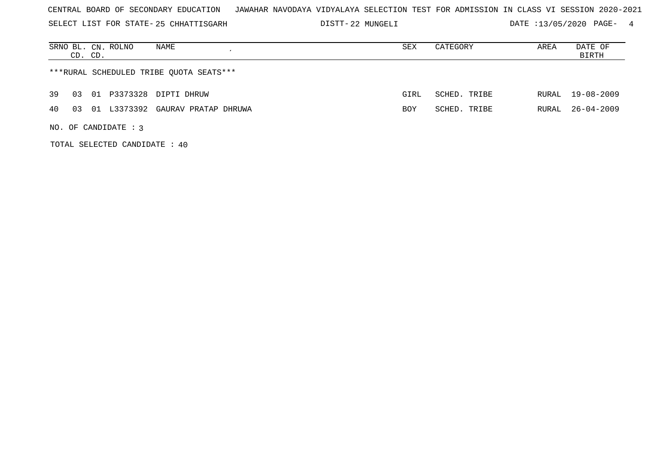SELECT LIST FOR STATE- DISTT- 25 CHHATTISGARH

22 MUNGELI DATE :13/05/2020 PAGE- 4

| NAME<br>SRNO BL. CN. ROLNO<br>CD. CD.           | SEX        | CATEGORY     | AREA  | DATE OF<br>BIRTH |  |  |  |  |  |  |  |  |  |
|-------------------------------------------------|------------|--------------|-------|------------------|--|--|--|--|--|--|--|--|--|
| ***RURAL SCHEDULED TRIBE QUOTA SEATS***         |            |              |       |                  |  |  |  |  |  |  |  |  |  |
| 01 P3373328 DIPTI DHRUW<br>39<br>03             | GIRL       | SCHED. TRIBE | RURAL | 19-08-2009       |  |  |  |  |  |  |  |  |  |
| L3373392 GAURAV PRATAP DHRUWA<br>40<br>01<br>03 | <b>BOY</b> | SCHED. TRIBE | RURAL | 26-04-2009       |  |  |  |  |  |  |  |  |  |
| NO. OF CANDIDATE : $3$                          |            |              |       |                  |  |  |  |  |  |  |  |  |  |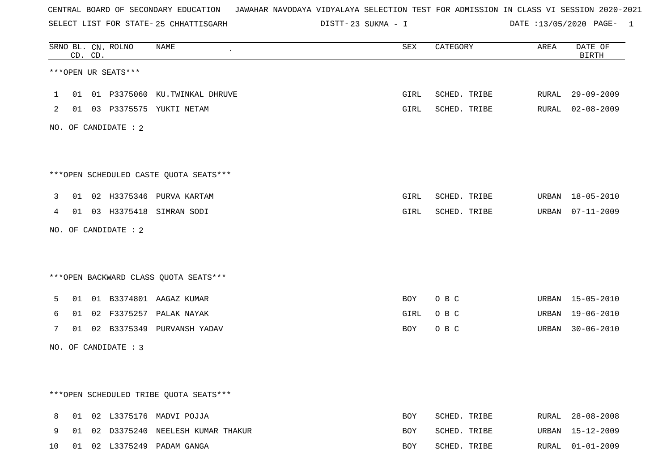SELECT LIST FOR STATE- DISTT- 25 CHHATTISGARH

23 SUKMA - I DATE :13/05/2020 PAGE- 1

|    |    | CD. CD. | SRNO BL. CN. ROLNO   | <b>NAME</b>                             | <b>SEX</b> | CATEGORY     | AREA  | DATE OF<br><b>BIRTH</b> |
|----|----|---------|----------------------|-----------------------------------------|------------|--------------|-------|-------------------------|
|    |    |         | ***OPEN UR SEATS***  |                                         |            |              |       |                         |
| 1  | 01 |         |                      | 01 P3375060 KU.TWINKAL DHRUVE           | GIRL       | SCHED. TRIBE |       | RURAL 29-09-2009        |
| 2  |    |         |                      | 01 03 P3375575 YUKTI NETAM              | GIRL       | SCHED. TRIBE |       | RURAL 02-08-2009        |
|    |    |         | NO. OF CANDIDATE : 2 |                                         |            |              |       |                         |
|    |    |         |                      | *** OPEN SCHEDULED CASTE QUOTA SEATS*** |            |              |       |                         |
| 3  |    |         |                      | 01 02 H3375346 PURVA KARTAM             | GIRL       | SCHED. TRIBE | URBAN | 18-05-2010              |
| 4  |    |         |                      | 01 03 H3375418 SIMRAN SODI              | GIRL       | SCHED. TRIBE | URBAN | 07-11-2009              |
|    |    |         | NO. OF CANDIDATE : 2 |                                         |            |              |       |                         |
|    |    |         |                      | *** OPEN BACKWARD CLASS QUOTA SEATS***  |            |              |       |                         |
| 5  | 01 |         |                      | 01 B3374801 AAGAZ KUMAR                 | BOY        | O B C        |       | URBAN 15-05-2010        |
| 6  | 01 |         |                      | 02 F3375257 PALAK NAYAK                 | GIRL       | O B C        | URBAN | 19-06-2010              |
| 7  |    |         |                      | 01 02 B3375349 PURVANSH YADAV           | BOY        | O B C        | URBAN | $30 - 06 - 2010$        |
|    |    |         | NO. OF CANDIDATE : 3 |                                         |            |              |       |                         |
|    |    |         |                      |                                         |            |              |       |                         |
|    |    |         |                      | ***OPEN SCHEDULED TRIBE QUOTA SEATS***  |            |              |       |                         |
| 8  |    |         |                      | 01 02 L3375176 MADVI POJJA              | <b>BOY</b> | SCHED. TRIBE |       | RURAL 28-08-2008        |
| 9  | 01 |         |                      | 02 D3375240 NEELESH KUMAR THAKUR        | BOY        | SCHED. TRIBE | URBAN | 15-12-2009              |
| 10 |    |         |                      | 01 02 L3375249 PADAM GANGA              | <b>BOY</b> | SCHED. TRIBE |       | RURAL 01-01-2009        |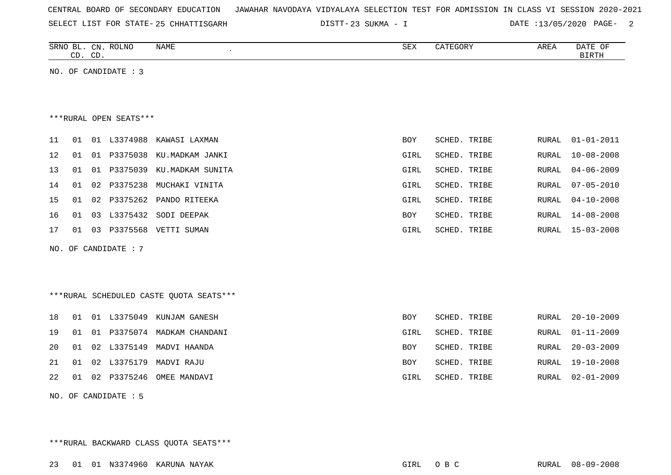|  |  |  | CENTRAL BOARD OF SECONDARY EDUCATION – JAWAHAR NAVODAYA VIDYALAYA SELECTION TEST FOR ADMISSION IN CLASS VI SESSION 2020-2021 |  |  |  |  |  |  |  |  |  |  |  |  |  |  |
|--|--|--|------------------------------------------------------------------------------------------------------------------------------|--|--|--|--|--|--|--|--|--|--|--|--|--|--|
|--|--|--|------------------------------------------------------------------------------------------------------------------------------|--|--|--|--|--|--|--|--|--|--|--|--|--|--|

SELECT LIST FOR STATE- DISTT- 25 CHHATTISGARH

23 SUKMA - I DATE :13/05/2020 PAGE- 2

| SRNO<br>ROLNO<br>NAME<br>$CN$ .<br>BГ | CDY<br>∠∟ت | GUR) | AREA | DATE<br>$\mathcal{L}$ |
|---------------------------------------|------------|------|------|-----------------------|
|                                       |            |      |      |                       |
| $\cap$<br>$\sim$<br>ر∟ب<br>ىت         |            |      |      | טייים דם<br>BIKIR     |
|                                       |            |      |      |                       |

NO. OF CANDIDATE : 3

\*\*\*RURAL OPEN SEATS\*\*\*

| 11 | 01 |    | 01 L3374988 | KAWASI LAXMAN             | BOY        | SCHED. TRIBE |       | RURAL 01-01-2011 |
|----|----|----|-------------|---------------------------|------------|--------------|-------|------------------|
| 12 | 01 | 01 |             | P3375038 KU.MADKAM JANKI  | GIRL       | SCHED. TRIBE | RURAL | 10-08-2008       |
| 13 | 01 | 01 | P3375039    | KU.MADKAM SUNITA          | GIRL       | SCHED. TRIBE |       | RURAL 04-06-2009 |
| 14 | 01 |    | 02 P3375238 | MUCHAKI VINITA            | GIRL       | SCHED. TRIBE |       | RURAL 07-05-2010 |
| 15 | 01 |    |             | 02 P3375262 PANDO RITEEKA | GIRL       | SCHED. TRIBE |       | RURAL 04-10-2008 |
| 16 | 01 |    | 03 L3375432 | SODI DEEPAK               | <b>BOY</b> | SCHED. TRIBE | RURAL | 14-08-2008       |
| 17 | 01 | 03 | P3375568    | VETTI SUMAN               | GIRL       | SCHED. TRIBE | RURAL | 15-03-2008       |
|    |    |    |             |                           |            |              |       |                  |

NO. OF CANDIDATE : 7

\*\*\*RURAL SCHEDULED CASTE QUOTA SEATS\*\*\*

|  |  | 18 01 01 L3375049 KUNJAM GANESH   | BOY  | SCHED. TRIBE | RURAL 20-10-2009 |
|--|--|-----------------------------------|------|--------------|------------------|
|  |  | 19 01 01 P3375074 MADKAM CHANDANI | GIRL | SCHED. TRIBE | RURAL 01-11-2009 |
|  |  | 20 01 02 L3375149 MADVI HAANDA    | BOY  | SCHED. TRIBE | RURAL 20-03-2009 |
|  |  | 21 01 02 L3375179 MADVI RAJU      | BOY  | SCHED. TRIBE | RURAL 19-10-2008 |
|  |  | 22 01 02 P3375246 OMEE MANDAVI    | GIRL | SCHED. TRIBE | RURAL 02-01-2009 |
|  |  |                                   |      |              |                  |

NO. OF CANDIDATE : 5

\*\*\*RURAL BACKWARD CLASS QUOTA SEATS\*\*\*

23 01 01 N3374960 KARUNA NAYAK GIRL O B C RURAL 08-09-2008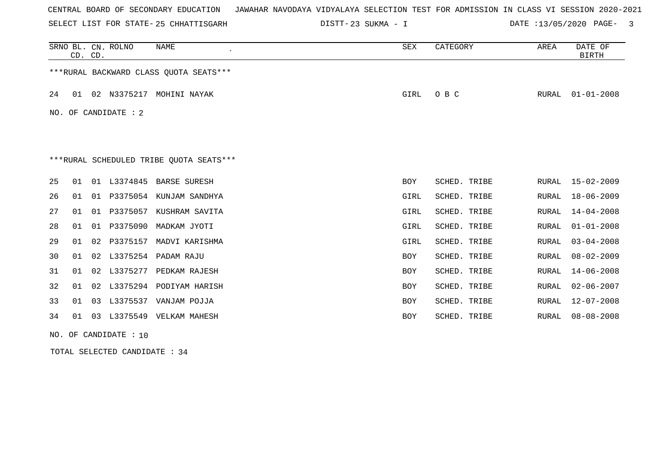SELECT LIST FOR STATE- DISTT- 25 CHHATTISGARH

23 SUKMA - I DATE :13/05/2020 PAGE- 3

|    | CD. CD.                                 |    | SRNO BL. CN. ROLNO | <b>NAME</b>                             | SEX         | CATEGORY     | AREA         | DATE OF<br><b>BIRTH</b> |  |  |  |
|----|-----------------------------------------|----|--------------------|-----------------------------------------|-------------|--------------|--------------|-------------------------|--|--|--|
|    |                                         |    |                    | *** RURAL BACKWARD CLASS QUOTA SEATS*** |             |              |              |                         |  |  |  |
| 24 |                                         |    |                    | 01 02 N3375217 MOHINI NAYAK             | GIRL        | O B C        | RURAL        | $01 - 01 - 2008$        |  |  |  |
|    | NO. OF CANDIDATE : 2                    |    |                    |                                         |             |              |              |                         |  |  |  |
|    |                                         |    |                    |                                         |             |              |              |                         |  |  |  |
|    | ***RURAL SCHEDULED TRIBE QUOTA SEATS*** |    |                    |                                         |             |              |              |                         |  |  |  |
| 25 | 01                                      | 01 | L3374845           | <b>BARSE SURESH</b>                     | <b>BOY</b>  | SCHED. TRIBE |              | RURAL 15-02-2009        |  |  |  |
| 26 | 01                                      | 01 | P3375054           | KUNJAM SANDHYA                          | GIRL        | SCHED. TRIBE | RURAL        | $18 - 06 - 2009$        |  |  |  |
| 27 | 01                                      | 01 | P3375057           | KUSHRAM SAVITA                          | <b>GIRL</b> | SCHED. TRIBE | <b>RURAL</b> | $14 - 04 - 2008$        |  |  |  |
| 28 | 01                                      | 01 | P3375090           | MADKAM JYOTI                            | GIRL        | SCHED. TRIBE | RURAL        | $01 - 01 - 2008$        |  |  |  |
| 29 | 01                                      | 02 | P3375157           | MADVI KARISHMA                          | GIRL        | SCHED. TRIBE | RURAL        | $03 - 04 - 2008$        |  |  |  |
| 30 | 01                                      | 02 | L3375254           | PADAM RAJU                              | <b>BOY</b>  | SCHED. TRIBE | <b>RURAL</b> | $08 - 02 - 2009$        |  |  |  |
| 31 | 01                                      | 02 | L3375277           | PEDKAM RAJESH                           | <b>BOY</b>  | SCHED. TRIBE | <b>RURAL</b> | $14 - 06 - 2008$        |  |  |  |
| 32 | 01                                      | 02 | L3375294           | PODIYAM HARISH                          | <b>BOY</b>  | SCHED. TRIBE | RURAL        | $02 - 06 - 2007$        |  |  |  |
| 33 | 01                                      | 03 | L3375537           | VANJAM POJJA                            | BOY         | SCHED. TRIBE | RURAL        | $12 - 07 - 2008$        |  |  |  |
| 34 | 01                                      | 03 | L3375549           | VELKAM MAHESH                           | <b>BOY</b>  | SCHED. TRIBE | RURAL        | $08 - 08 - 2008$        |  |  |  |

NO. OF CANDIDATE : 10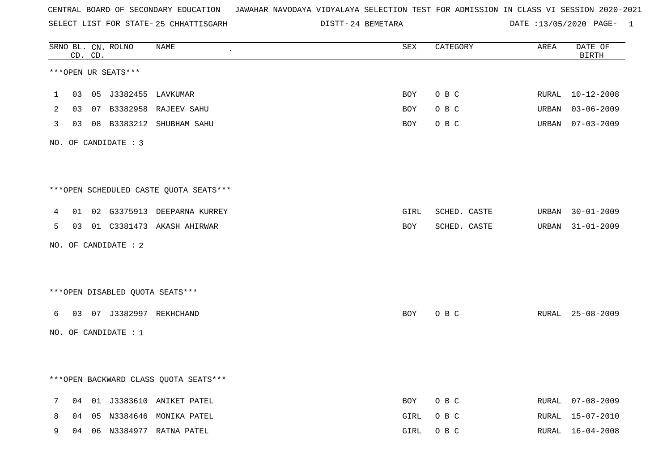SELECT LIST FOR STATE- DISTT- 25 CHHATTISGARH

24 BEMETARA DATE :13/05/2020 PAGE- 1

|   |    | CD. CD. | SRNO BL. CN. ROLNO   | <b>NAME</b>                            | ${\tt SEX}$ | CATEGORY     | AREA  | DATE OF<br><b>BIRTH</b> |
|---|----|---------|----------------------|----------------------------------------|-------------|--------------|-------|-------------------------|
|   |    |         | ***OPEN UR SEATS***  |                                        |             |              |       |                         |
| 1 | 03 |         |                      |                                        | <b>BOY</b>  | O B C        | RURAL | $10 - 12 - 2008$        |
| 2 | 03 |         |                      | 07 B3382958 RAJEEV SAHU                | BOY         | O B C        | URBAN | $03 - 06 - 2009$        |
| 3 | 03 |         |                      | 08 B3383212 SHUBHAM SAHU               | BOY         | O B C        | URBAN | $07 - 03 - 2009$        |
|   |    |         | NO. OF CANDIDATE : 3 |                                        |             |              |       |                         |
|   |    |         |                      |                                        |             |              |       |                         |
|   |    |         |                      | ***OPEN SCHEDULED CASTE QUOTA SEATS*** |             |              |       |                         |
| 4 |    |         |                      | 01 02 G3375913 DEEPARNA KURREY         | GIRL        | SCHED. CASTE | URBAN | $30 - 01 - 2009$        |
| 5 |    |         |                      | 03 01 C3381473 AKASH AHIRWAR           | BOY         | SCHED. CASTE |       | URBAN 31-01-2009        |
|   |    |         | NO. OF CANDIDATE : 2 |                                        |             |              |       |                         |
|   |    |         |                      |                                        |             |              |       |                         |
|   |    |         |                      | ***OPEN DISABLED OUOTA SEATS***        |             |              |       |                         |
| 6 |    |         |                      | 03 07 J3382997 REKHCHAND               | BOY         | O B C        |       | RURAL 25-08-2009        |
|   |    |         | NO. OF CANDIDATE : 1 |                                        |             |              |       |                         |
|   |    |         |                      |                                        |             |              |       |                         |
|   |    |         |                      | *** OPEN BACKWARD CLASS QUOTA SEATS*** |             |              |       |                         |
| 7 | 04 |         |                      | 01 J3383610 ANIKET PATEL               | BOY         | O B C        | RURAL | $07 - 08 - 2009$        |
| 8 | 04 | 05      |                      | N3384646 MONIKA PATEL                  | GIRL        | O B C        | RURAL | 15-07-2010              |
| 9 | 04 | 06      |                      | N3384977 RATNA PATEL                   | GIRL        | O B C        | RURAL | $16 - 04 - 2008$        |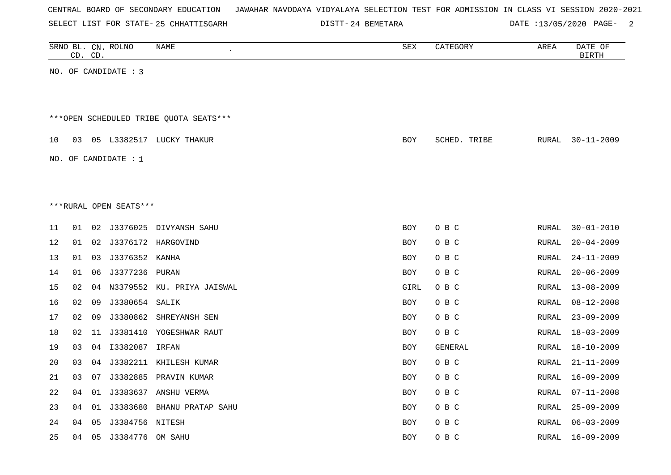| CENTRAL BOARD OF SECONDARY EDUCATION – JAWAHAR NAVODAYA VIDYALAYA SELECTION TEST FOR ADMISSION IN CLASS VI SESSION 2020-2021 |  |
|------------------------------------------------------------------------------------------------------------------------------|--|
|------------------------------------------------------------------------------------------------------------------------------|--|

SELECT LIST FOR STATE- 25 CHHATTISGARH

25 CHHATTISGARH 24 BEMETARA DATE :13/05/2020 PAGE- 2

|    |    | CD. CD. | SRNO BL. CN. ROLNO     | NAME<br>$\overline{\phantom{a}}$       | SEX        | CATEGORY     | AREA         | DATE OF<br><b>BIRTH</b> |
|----|----|---------|------------------------|----------------------------------------|------------|--------------|--------------|-------------------------|
|    |    |         | NO. OF CANDIDATE : 3   |                                        |            |              |              |                         |
|    |    |         |                        |                                        |            |              |              |                         |
|    |    |         |                        |                                        |            |              |              |                         |
|    |    |         |                        | ***OPEN SCHEDULED TRIBE QUOTA SEATS*** |            |              |              |                         |
| 10 | 03 |         |                        | 05 L3382517 LUCKY THAKUR               | BOY        | SCHED. TRIBE | RURAL        | $30 - 11 - 2009$        |
|    |    |         | NO. OF CANDIDATE : $1$ |                                        |            |              |              |                         |
|    |    |         |                        |                                        |            |              |              |                         |
|    |    |         |                        |                                        |            |              |              |                         |
|    |    |         | ***RURAL OPEN SEATS*** |                                        |            |              |              |                         |
|    |    |         |                        |                                        |            |              |              |                         |
| 11 | 01 | 02      |                        | J3376025 DIVYANSH SAHU                 | <b>BOY</b> | O B C        | RURAL        | $30 - 01 - 2010$        |
| 12 | 01 | 02      |                        | J3376172 HARGOVIND                     | <b>BOY</b> | O B C        | <b>RURAL</b> | $20 - 04 - 2009$        |
| 13 | 01 | 03      | J3376352 KANHA         |                                        | BOY        | O B C        | <b>RURAL</b> | $24 - 11 - 2009$        |
| 14 | 01 | 06      | J3377236 PURAN         |                                        | <b>BOY</b> | O B C        | <b>RURAL</b> | $20 - 06 - 2009$        |
| 15 | 02 | 04      |                        | N3379552 KU. PRIYA JAISWAL             | GIRL       | O B C        | <b>RURAL</b> | $13 - 08 - 2009$        |
| 16 | 02 | 09      | J3380654 SALIK         |                                        | <b>BOY</b> | O B C        | RURAL        | $08 - 12 - 2008$        |
| 17 | 02 | 09      |                        | J3380862 SHREYANSH SEN                 | <b>BOY</b> | O B C        | <b>RURAL</b> | $23 - 09 - 2009$        |
| 18 | 02 | 11      |                        | J3381410 YOGESHWAR RAUT                | <b>BOY</b> | O B C        | <b>RURAL</b> | $18 - 03 - 2009$        |
| 19 | 03 |         | 04  13382087  IRFAN    |                                        | BOY        | GENERAL      | RURAL        | $18 - 10 - 2009$        |
| 20 | 03 | 04      |                        | J3382211 KHILESH KUMAR                 | BOY        | O B C        | RURAL        | $21 - 11 - 2009$        |
| 21 | 03 | 07      |                        | J3382885 PRAVIN KUMAR                  | <b>BOY</b> | O B C        | RURAL        | $16 - 09 - 2009$        |
| 22 | 04 | 01      |                        | J3383637 ANSHU VERMA                   | BOY        | O B C        | RURAL        | $07 - 11 - 2008$        |
| 23 | 04 | 01      |                        | J3383680 BHANU PRATAP SAHU             | BOY        | O B C        | RURAL        | $25 - 09 - 2009$        |
| 24 | 04 | 05      | J3384756 NITESH        |                                        | BOY        | O B C        | RURAL        | $06 - 03 - 2009$        |
| 25 | 04 |         | 05 J3384776 OM SAHU    |                                        | <b>BOY</b> | O B C        | RURAL        | $16 - 09 - 2009$        |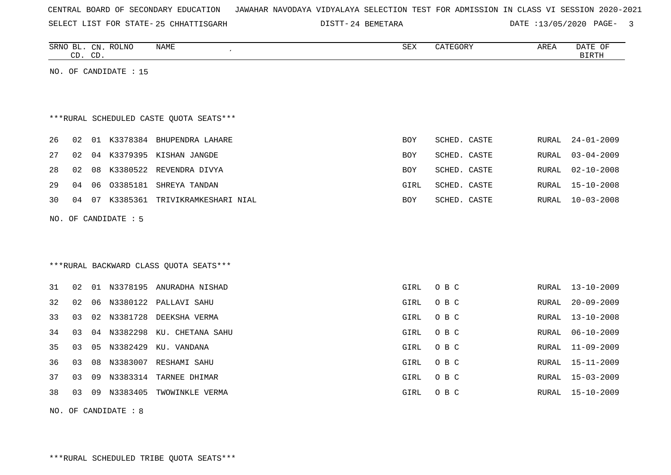| CENTRAL BOARD OF SECONDARY EDUCATION – JAWAHAR NAVODAYA VIDYALAYA SELECTION TEST FOR ADMISSION IN CLASS VI SESSION 2020-2021 |  |  |  |  |
|------------------------------------------------------------------------------------------------------------------------------|--|--|--|--|
|------------------------------------------------------------------------------------------------------------------------------|--|--|--|--|

SELECT LIST FOR STATE- DISTT- 25 CHHATTISGARH 24 BEMETARA DATE :13/05/2020 PAGE- 3

|    | CD. CD. |    | SRNO BL. CN. ROLNO    | <b>NAME</b>                             | <b>SEX</b>  | CATEGORY     | AREA         | DATE OF<br><b>BIRTH</b> |
|----|---------|----|-----------------------|-----------------------------------------|-------------|--------------|--------------|-------------------------|
|    |         |    | NO. OF CANDIDATE : 15 |                                         |             |              |              |                         |
|    |         |    |                       |                                         |             |              |              |                         |
|    |         |    |                       | ***RURAL SCHEDULED CASTE QUOTA SEATS*** |             |              |              |                         |
| 26 | 02      |    |                       | 01 K3378384 BHUPENDRA LAHARE            | <b>BOY</b>  | SCHED. CASTE | <b>RURAL</b> | $24 - 01 - 2009$        |
| 27 | 02      |    |                       | 04 K3379395 KISHAN JANGDE               | BOY         | SCHED. CASTE | <b>RURAL</b> | $03 - 04 - 2009$        |
| 28 | 02      | 08 |                       | K3380522 REVENDRA DIVYA                 | <b>BOY</b>  | SCHED. CASTE | <b>RURAL</b> | $02 - 10 - 2008$        |
| 29 | 04      | 06 | 03385181              | SHREYA TANDAN                           | GIRL        | SCHED. CASTE | <b>RURAL</b> | $15 - 10 - 2008$        |
| 30 | 04      |    |                       | 07 K3385361 TRIVIKRAMKESHARI NIAL       | <b>BOY</b>  | SCHED. CASTE | <b>RURAL</b> | $10 - 03 - 2008$        |
|    |         |    | NO. OF CANDIDATE : 5  |                                         |             |              |              |                         |
|    |         |    |                       |                                         |             |              |              |                         |
|    |         |    |                       |                                         |             |              |              |                         |
|    |         |    |                       | *** RURAL BACKWARD CLASS QUOTA SEATS*** |             |              |              |                         |
| 31 | 02      |    |                       | 01 N3378195 ANURADHA NISHAD             | <b>GIRL</b> | O B C        | RURAL        | $13 - 10 - 2009$        |
| 32 | 02      | 06 | N3380122              | PALLAVI SAHU                            | GIRL        | O B C        | <b>RURAL</b> | $20 - 09 - 2009$        |
| 33 | 03      | 02 | N3381728              | DEEKSHA VERMA                           | GIRL        | O B C        | <b>RURAL</b> | $13 - 10 - 2008$        |
| 34 | 03      | 04 | N3382298              | KU. CHETANA SAHU                        | GIRL        | O B C        | <b>RURAL</b> | $06 - 10 - 2009$        |
| 35 | 03      | 05 | N3382429              | KU. VANDANA                             | GIRL        | O B C        | <b>RURAL</b> | $11 - 09 - 2009$        |
| 36 | 03      | 08 |                       | N3383007 RESHAMI SAHU                   | GIRL        | O B C        | RURAL        | $15 - 11 - 2009$        |
| 37 | 03      | 09 | N3383314              | TARNEE DHIMAR                           | GIRL        | O B C        | <b>RURAL</b> | $15 - 03 - 2009$        |
| 38 | 03      | 09 |                       | N3383405 TWOWINKLE VERMA                | GIRL        | O B C        | RURAL        | $15 - 10 - 2009$        |

NO. OF CANDIDATE : 8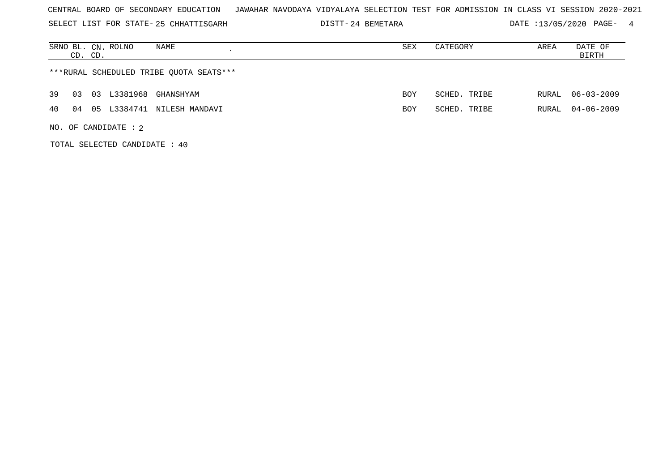SELECT LIST FOR STATE- DISTT- 25 CHHATTISGARH

24 BEMETARA DATE :13/05/2020 PAGE- 4

| NAME<br>SRNO BL. CN. ROLNO<br>CD. CD.      | SEX        | CATEGORY     | AREA  | DATE OF<br>BIRTH |  |  |  |  |  |
|--------------------------------------------|------------|--------------|-------|------------------|--|--|--|--|--|
| ***RURAL SCHEDULED TRIBE QUOTA SEATS***    |            |              |       |                  |  |  |  |  |  |
| L3381968<br>39<br>03<br>GHANSHYAM<br>03    | <b>BOY</b> | SCHED. TRIBE | RURAL | $06 - 03 - 2009$ |  |  |  |  |  |
| L3384741 NILESH MANDAVI<br>4 O<br>05<br>04 | BOY        | SCHED. TRIBE | RURAL | $04 - 06 - 2009$ |  |  |  |  |  |
| NO. OF CANDIDATE : $2$                     |            |              |       |                  |  |  |  |  |  |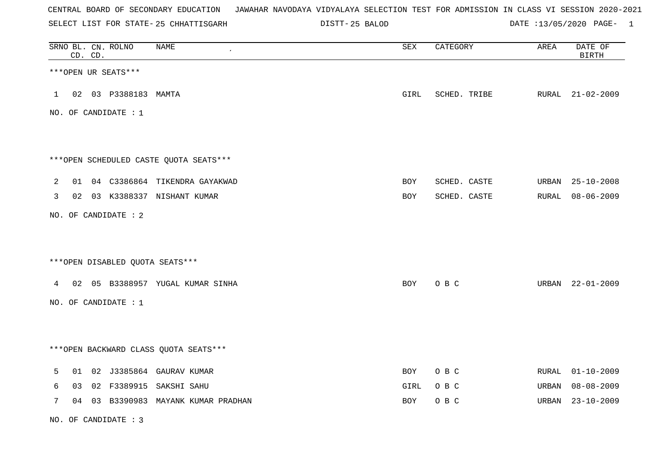SELECT LIST FOR STATE- DISTT- 25 CHHATTISGARH

25 BALOD DATE :13/05/2020 PAGE- 1

|   |    | CD. CD. | SRNO BL. CN. ROLNO     | <b>NAME</b>                            | ${\tt SEX}$ | CATEGORY     | AREA  | DATE OF<br><b>BIRTH</b> |
|---|----|---------|------------------------|----------------------------------------|-------------|--------------|-------|-------------------------|
|   |    |         | ***OPEN UR SEATS***    |                                        |             |              |       |                         |
|   |    |         | 1 02 03 P3388183 MAMTA |                                        | GIRL        | SCHED. TRIBE |       | RURAL 21-02-2009        |
|   |    |         | NO. OF CANDIDATE : 1   |                                        |             |              |       |                         |
|   |    |         |                        |                                        |             |              |       |                         |
|   |    |         |                        | ***OPEN SCHEDULED CASTE QUOTA SEATS*** |             |              |       |                         |
| 2 |    |         |                        | 01 04 C3386864 TIKENDRA GAYAKWAD       | BOY         | SCHED. CASTE | URBAN | $25 - 10 - 2008$        |
| 3 |    |         |                        | 02 03 K3388337 NISHANT KUMAR           | <b>BOY</b>  | SCHED. CASTE |       | RURAL 08-06-2009        |
|   |    |         | NO. OF CANDIDATE : 2   |                                        |             |              |       |                         |
|   |    |         |                        | *** OPEN DISABLED QUOTA SEATS***       |             |              |       |                         |
|   |    |         |                        | 4 02 05 B3388957 YUGAL KUMAR SINHA     | BOY         | O B C        |       | URBAN 22-01-2009        |
|   |    |         | NO. OF CANDIDATE : 1   |                                        |             |              |       |                         |
|   |    |         |                        |                                        |             |              |       |                         |
|   |    |         |                        | *** OPEN BACKWARD CLASS QUOTA SEATS*** |             |              |       |                         |
| 5 | 01 |         |                        | 02 J3385864 GAURAV KUMAR               | <b>BOY</b>  | O B C        | RURAL | $01 - 10 - 2009$        |
| 6 | 03 |         |                        | 02 F3389915 SAKSHI SAHU                | GIRL        | O B C        | URBAN | 08-08-2009              |
| 7 | 04 |         |                        | 03 B3390983 MAYANK KUMAR PRADHAN       | BOY         | O B C        | URBAN | $23 - 10 - 2009$        |

NO. OF CANDIDATE : 3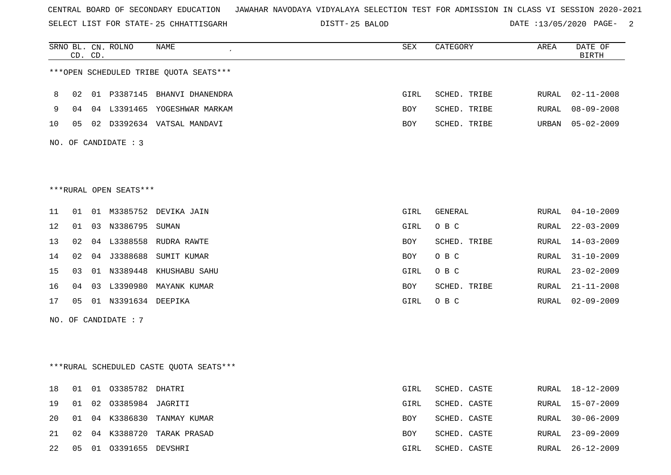SELECT LIST FOR STATE- DISTT- 25 CHHATTISGARH

25 BALOD DATE :13/05/2020 PAGE- 2

|    |                      | CD. CD. | SRNO BL. CN. ROLNO       | NAME<br>$\epsilon$                      | SEX  | CATEGORY     | AREA  | DATE OF<br><b>BIRTH</b> |  |  |
|----|----------------------|---------|--------------------------|-----------------------------------------|------|--------------|-------|-------------------------|--|--|
|    |                      |         |                          | ***OPEN SCHEDULED TRIBE QUOTA SEATS***  |      |              |       |                         |  |  |
| 8  | 02                   |         |                          | 01 P3387145 BHANVI DHANENDRA            | GIRL | SCHED. TRIBE | RURAL | $02 - 11 - 2008$        |  |  |
| 9  | 04                   |         |                          | 04 L3391465 YOGESHWAR MARKAM            | BOY  | SCHED. TRIBE | RURAL | $08 - 09 - 2008$        |  |  |
| 10 | 05                   |         |                          | 02 D3392634 VATSAL MANDAVI              | BOY  | SCHED. TRIBE | URBAN | $05 - 02 - 2009$        |  |  |
|    | NO. OF CANDIDATE : 3 |         |                          |                                         |      |              |       |                         |  |  |
|    |                      |         |                          |                                         |      |              |       |                         |  |  |
|    |                      |         | ***RURAL OPEN SEATS***   |                                         |      |              |       |                         |  |  |
| 11 | 01                   |         |                          | 01 M3385752 DEVIKA JAIN                 | GIRL | GENERAL      | RURAL | $04 - 10 - 2009$        |  |  |
| 12 | 01                   |         | 03 N3386795 SUMAN        |                                         | GIRL | O B C        | RURAL | $22 - 03 - 2009$        |  |  |
| 13 | 02                   |         |                          | 04 L3388558 RUDRA RAWTE                 | BOY  | SCHED. TRIBE | RURAL | $14 - 03 - 2009$        |  |  |
| 14 | 02                   |         | 04 J3388688              | SUMIT KUMAR                             | BOY  | O B C        | RURAL | $31 - 10 - 2009$        |  |  |
| 15 | 03                   |         |                          | 01 N3389448 KHUSHABU SAHU               | GIRL | O B C        | RURAL | $23 - 02 - 2009$        |  |  |
| 16 | 04                   | 03      | L3390980                 | MAYANK KUMAR                            | BOY  | SCHED. TRIBE | RURAL | $21 - 11 - 2008$        |  |  |
| 17 |                      |         | 05 01 N3391634 DEEPIKA   |                                         | GIRL | O B C        | RURAL | $02 - 09 - 2009$        |  |  |
|    |                      |         | NO. OF CANDIDATE : 7     |                                         |      |              |       |                         |  |  |
|    |                      |         |                          |                                         |      |              |       |                         |  |  |
|    |                      |         |                          | ***RURAL SCHEDULED CASTE QUOTA SEATS*** |      |              |       |                         |  |  |
| 18 |                      |         | 01  01  03385782  DHATRI |                                         | GIRL | SCHED. CASTE |       | RURAL 18-12-2009        |  |  |
| 19 | 01                   |         | 02 03385984 JAGRITI      |                                         | GIRL | SCHED. CASTE | RURAL | $15 - 07 - 2009$        |  |  |
| 20 | 01                   |         |                          | 04 K3386830 TANMAY KUMAR                | BOY  | SCHED. CASTE | RURAL | $30 - 06 - 2009$        |  |  |
| 21 | 02                   |         |                          | 04 K3388720 TARAK PRASAD                | BOY  | SCHED. CASTE | RURAL | $23 - 09 - 2009$        |  |  |
| 22 | 05                   |         | 01 03391655 DEVSHRI      |                                         | GIRL | SCHED. CASTE | RURAL | $26 - 12 - 2009$        |  |  |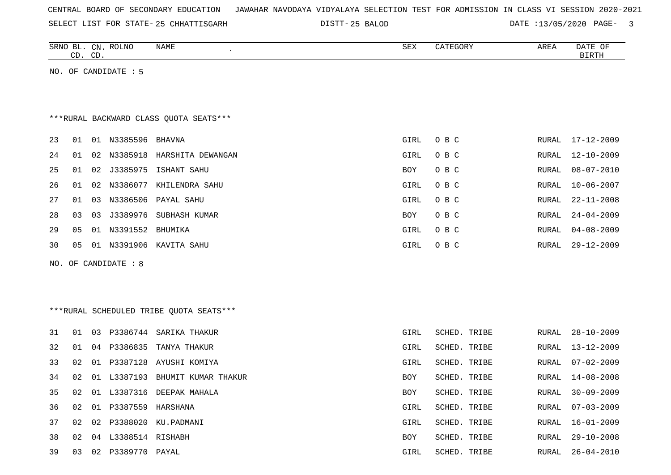|  |  | CENTRAL BOARD OF SECONDARY EDUCATION – JAWAHAR NAVODAYA VIDYALAYA SELECTION TEST FOR ADMISSION IN CLASS VI SESSION 2020-2021 |  |  |  |
|--|--|------------------------------------------------------------------------------------------------------------------------------|--|--|--|
|--|--|------------------------------------------------------------------------------------------------------------------------------|--|--|--|

SELECT LIST FOR STATE- 25 CHHATTISGARH

25 CHHATTISGARH 25 BALOD DATE :13/05/2020 PAGE- 3

| SRNO BL. CN. ROLNO<br>CD. CD. |    |    | NAME                    | SEX                                     | CATEGORY | AREA         | DATE OF<br><b>BIRTH</b> |                  |
|-------------------------------|----|----|-------------------------|-----------------------------------------|----------|--------------|-------------------------|------------------|
|                               |    |    | NO. OF CANDIDATE : 5    |                                         |          |              |                         |                  |
|                               |    |    |                         |                                         |          |              |                         |                  |
|                               |    |    |                         |                                         |          |              |                         |                  |
|                               |    |    |                         | *** RURAL BACKWARD CLASS QUOTA SEATS*** |          |              |                         |                  |
| 23                            | 01 |    | 01 N3385596             | BHAVNA                                  | GIRL     | O B C        | RURAL                   | $17 - 12 - 2009$ |
| 24                            | 01 | 02 | N3385918                | HARSHITA DEWANGAN                       | GIRL     | O B C        | RURAL                   | $12 - 10 - 2009$ |
| 25                            | 01 | 02 | J3385975                | ISHANT SAHU                             | BOY      | O B C        | RURAL                   | $08 - 07 - 2010$ |
| 26                            | 01 | 02 | N3386077                | KHILENDRA SAHU                          | GIRL     | O B C        | RURAL                   | $10 - 06 - 2007$ |
| 27                            | 01 | 03 |                         | N3386506 PAYAL SAHU                     | GIRL     | O B C        | RURAL                   | $22 - 11 - 2008$ |
| 28                            | 03 | 03 | J3389976                | SUBHASH KUMAR                           | BOY      | O B C        | RURAL                   | $24 - 04 - 2009$ |
| 29                            | 05 | 01 | N3391552                | BHUMIKA                                 | GIRL     | O B C        | RURAL                   | $04 - 08 - 2009$ |
| 30                            | 05 | 01 | N3391906                | KAVITA SAHU                             | GIRL     | O B C        | RURAL                   | $29 - 12 - 2009$ |
|                               |    |    | NO. OF CANDIDATE : 8    |                                         |          |              |                         |                  |
|                               |    |    |                         |                                         |          |              |                         |                  |
|                               |    |    |                         |                                         |          |              |                         |                  |
|                               |    |    |                         | ***RURAL SCHEDULED TRIBE QUOTA SEATS*** |          |              |                         |                  |
|                               |    |    |                         |                                         |          |              |                         |                  |
| 31                            | 01 | 03 |                         | P3386744 SARIKA THAKUR                  | GIRL     | SCHED. TRIBE | RURAL                   | $28 - 10 - 2009$ |
| 32                            | 01 | 04 | P3386835                | TANYA THAKUR                            | GIRL     | SCHED. TRIBE | RURAL                   | $13 - 12 - 2009$ |
| 33                            | 02 | 01 |                         | P3387128 AYUSHI KOMIYA                  | GIRL     | SCHED. TRIBE | RURAL                   | $07 - 02 - 2009$ |
| 34                            | 02 | 01 |                         | L3387193 BHUMIT KUMAR THAKUR            | BOY      | SCHED. TRIBE | RURAL                   | $14 - 08 - 2008$ |
| 35                            | 02 | 01 |                         | L3387316 DEEPAK MAHALA                  | BOY      | SCHED. TRIBE | <b>RURAL</b>            | $30 - 09 - 2009$ |
| 36                            |    |    | 02 01 P3387559 HARSHANA |                                         | GIRL     | SCHED. TRIBE |                         | RURAL 07-03-2009 |
| 37                            | 02 | 02 |                         | P3388020 KU.PADMANI                     | GIRL     | SCHED. TRIBE | RURAL                   | $16 - 01 - 2009$ |
| 38                            |    |    | 02 04 L3388514 RISHABH  |                                         | BOY      | SCHED. TRIBE | RURAL                   | $29 - 10 - 2008$ |
| 39                            |    |    | 03 02 P3389770 PAYAL    |                                         | GIRL     | SCHED. TRIBE | RURAL                   | $26 - 04 - 2010$ |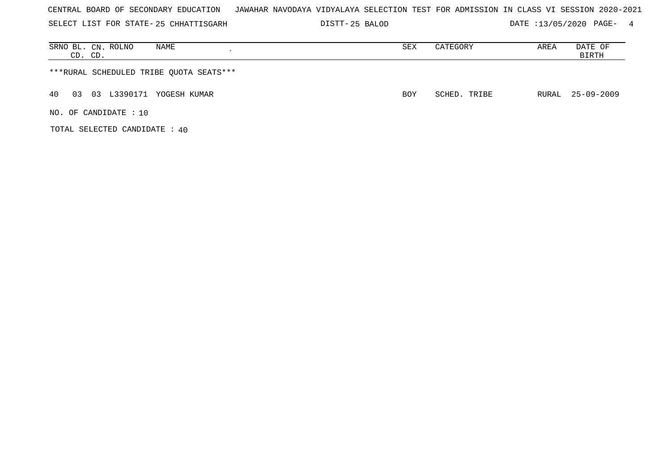| CENTRAL BOARD OF SECONDARY EDUCATION – JAWAHAR NAVODAYA VIDYALAYA SELECTION TEST FOR ADMISSION IN CLASS VI SESSION 2020-2021 |  |  |  |  |  |  |  |
|------------------------------------------------------------------------------------------------------------------------------|--|--|--|--|--|--|--|
|------------------------------------------------------------------------------------------------------------------------------|--|--|--|--|--|--|--|

SELECT LIST FOR STATE- DISTT- 25 CHHATTISGARH 25 BALOD DATE :13/05/2020 PAGE- 4

| SRNO BL. CN. ROLNO<br>NAME<br>CD. CD.   | SEX        | CATEGORY     | AREA | DATE OF<br>BIRTH |
|-----------------------------------------|------------|--------------|------|------------------|
| ***RURAL SCHEDULED TRIBE QUOTA SEATS*** |            |              |      |                  |
| 03 L3390171 YOGESH KUMAR<br>40<br>03    | <b>BOY</b> | SCHED. TRIBE |      | RURAL 25-09-2009 |
| NO. OF CANDIDATE $: 10$                 |            |              |      |                  |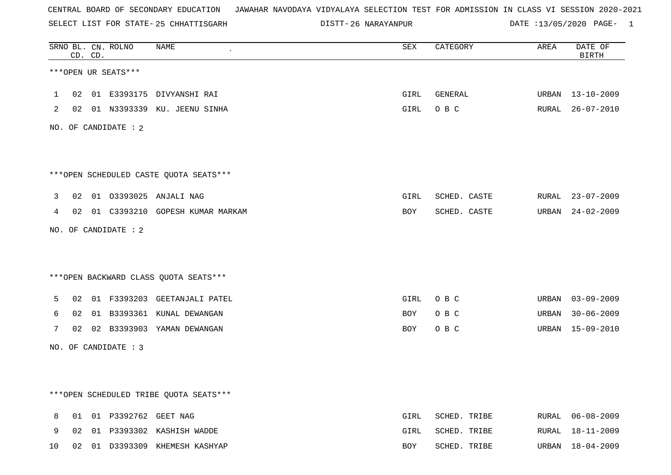SELECT LIST FOR STATE- DISTT- 25 CHHATTISGARH

26 NARAYANPUR DATE :13/05/2020 PAGE- 1

|    |    | CD. CD. | SRNO BL. CN. ROLNO   | <b>NAME</b>                            | ${\tt SEX}$ | CATEGORY     | AREA  | DATE OF<br>$\operatorname{BIRTH}$ |
|----|----|---------|----------------------|----------------------------------------|-------------|--------------|-------|-----------------------------------|
|    |    |         | ***OPEN UR SEATS***  |                                        |             |              |       |                                   |
| 1  | 02 |         |                      | 01 E3393175 DIVYANSHI RAI              | GIRL        | GENERAL      |       | URBAN 13-10-2009                  |
| 2  |    |         |                      | 02 01 N3393339 KU. JEENU SINHA         | GIRL        | O B C        |       | RURAL 26-07-2010                  |
|    |    |         | NO. OF CANDIDATE : 2 |                                        |             |              |       |                                   |
|    |    |         |                      |                                        |             |              |       |                                   |
|    |    |         |                      | ***OPEN SCHEDULED CASTE QUOTA SEATS*** |             |              |       |                                   |
| 3  | 02 |         |                      | 01 03393025 ANJALI NAG                 | GIRL        | SCHED. CASTE |       | RURAL 23-07-2009                  |
| 4  |    |         |                      | 02 01 C3393210 GOPESH KUMAR MARKAM     | BOY         | SCHED. CASTE |       | URBAN 24-02-2009                  |
|    |    |         | NO. OF CANDIDATE : 2 |                                        |             |              |       |                                   |
|    |    |         |                      |                                        |             |              |       |                                   |
|    |    |         |                      | *** OPEN BACKWARD CLASS QUOTA SEATS*** |             |              |       |                                   |
| 5  | 02 |         |                      | 01 F3393203 GEETANJALI PATEL           | GIRL        | O B C        |       | URBAN 03-09-2009                  |
| 6  | 02 |         |                      | 01 B3393361 KUNAL DEWANGAN             | BOY         | O B C        | URBAN | $30 - 06 - 2009$                  |
| 7  |    |         |                      | 02 02 B3393903 YAMAN DEWANGAN          | BOY         | O B C        |       | URBAN 15-09-2010                  |
|    |    |         | NO. OF CANDIDATE : 3 |                                        |             |              |       |                                   |
|    |    |         |                      |                                        |             |              |       |                                   |
|    |    |         |                      |                                        |             |              |       |                                   |
|    |    |         |                      | ***OPEN SCHEDULED TRIBE QUOTA SEATS*** |             |              |       |                                   |
| 8  | 01 |         | 01 P3392762 GEET NAG |                                        | GIRL        | SCHED. TRIBE |       | RURAL 06-08-2009                  |
| 9  | 02 |         |                      | 01 P3393302 KASHISH WADDE              | GIRL        | SCHED. TRIBE | RURAL | 18-11-2009                        |
| 10 | 02 |         |                      | 01 D3393309 KHEMESH KASHYAP            | <b>BOY</b>  | SCHED. TRIBE |       | URBAN 18-04-2009                  |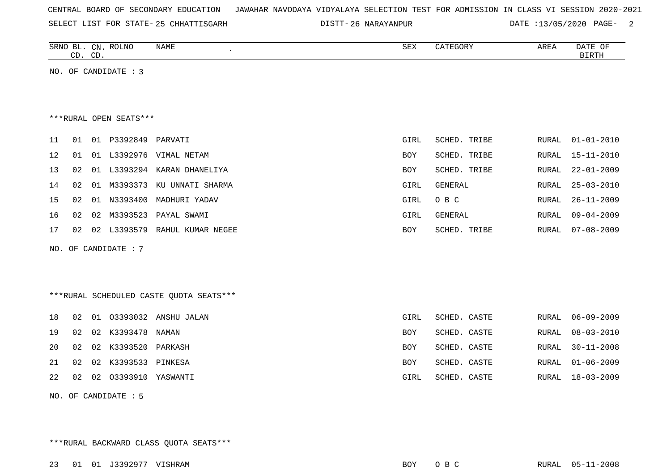|  |  |  | CENTRAL BOARD OF SECONDARY EDUCATION – JAWAHAR NAVODAYA VIDYALAYA SELECTION TEST FOR ADMISSION IN CLASS VI SESSION 2020-2021 |  |  |  |  |  |  |  |  |  |  |  |  |  |  |  |
|--|--|--|------------------------------------------------------------------------------------------------------------------------------|--|--|--|--|--|--|--|--|--|--|--|--|--|--|--|
|--|--|--|------------------------------------------------------------------------------------------------------------------------------|--|--|--|--|--|--|--|--|--|--|--|--|--|--|--|

SELECT LIST FOR STATE- DISTT- 25 CHHATTISGARH

26 NARAYANPUR DATE :13/05/2020 PAGE- 2

|     | CD. CD. |    | SRNO BL. CN. ROLNO     | NAME<br>$\cdot$             | SEX        | CATEGORY     | AREA  | DATE OF<br><b>BIRTH</b> |  |  |
|-----|---------|----|------------------------|-----------------------------|------------|--------------|-------|-------------------------|--|--|
|     |         |    | NO. OF CANDIDATE : $3$ |                             |            |              |       |                         |  |  |
|     |         |    |                        |                             |            |              |       |                         |  |  |
|     |         |    | ***RURAL OPEN SEATS*** |                             |            |              |       |                         |  |  |
|     |         |    |                        |                             |            |              |       |                         |  |  |
| -11 | 01      | 01 | P3392849 PARVATI       |                             | GIRL       | SCHED. TRIBE | RURAL | $01 - 01 - 2010$        |  |  |
| 12  | 01      |    |                        | 01 L3392976 VIMAL NETAM     | BOY        | SCHED. TRIBE | RURAL | $15 - 11 - 2010$        |  |  |
| 13  | 02      |    |                        | 01 L3393294 KARAN DHANELIYA | <b>BOY</b> | SCHED. TRIBE | RURAL | $22 - 01 - 2009$        |  |  |
| 14  | 02      | 01 |                        | M3393373 KU UNNATI SHARMA   | GIRL       | GENERAL      | RURAL | $25 - 03 - 2010$        |  |  |
| 15  | 02      | 01 | N3393400               | MADHURI YADAV               | GIRL       | O B C        | RURAL | $26 - 11 - 2009$        |  |  |
| 16  | 02      |    |                        | 02 M3393523 PAYAL SWAMI     | GIRL       | GENERAL      | RURAL | $09 - 04 - 2009$        |  |  |
| 17  | 02      | 02 |                        | L3393579 RAHUL KUMAR NEGEE  | BOY        | SCHED. TRIBE | RURAL | $07 - 08 - 2009$        |  |  |
|     |         |    | NO. OF CANDIDATE: 7    |                             |            |              |       |                         |  |  |

\*\*\*RURAL SCHEDULED CASTE QUOTA SEATS\*\*\*

| 18    |    |                           | 02 01 03393032 ANSHU JALAN | GIRL | SCHED. CASTE |       | RURAL 06-09-2009 |
|-------|----|---------------------------|----------------------------|------|--------------|-------|------------------|
| 19    | 02 | 02 K3393478 NAMAN         |                            | BOY  | SCHED. CASTE |       | RURAL 08-03-2010 |
|       |    | 20 02 02 K3393520 PARKASH |                            | BOY  | SCHED. CASTE |       | RURAL 30-11-2008 |
| 21    |    | 02 02 K3393533 PINKESA    |                            | BOY  | SCHED. CASTE |       | RURAL 01-06-2009 |
| 22 02 |    | 02 03393910 YASWANTI      |                            | GIRL | SCHED. CASTE | RURAL | 18-03-2009       |
|       |    |                           |                            |      |              |       |                  |

NO. OF CANDIDATE : 5

\*\*\*RURAL BACKWARD CLASS QUOTA SEATS\*\*\*

23 01 01 J3392977 VISHRAM BOY O B C RURAL 05-11-2008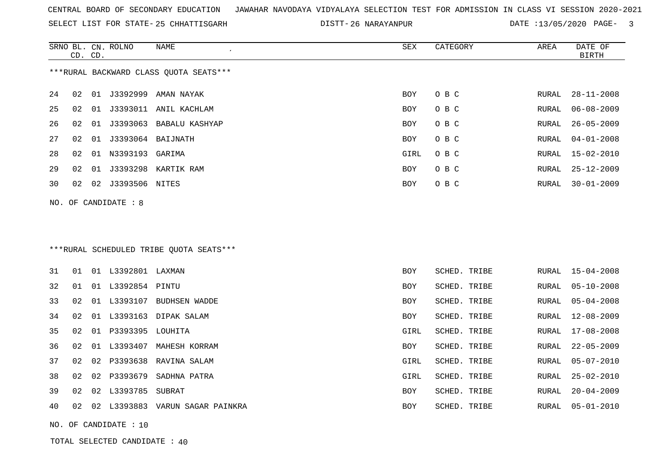SELECT LIST FOR STATE- DISTT- 25 CHHATTISGARH

26 NARAYANPUR DATE :13/05/2020 PAGE- 3

|    | CD. CD. |    | SRNO BL. CN. ROLNO    | <b>NAME</b><br>SEX<br>CATEGORY          |            |              | AREA  | DATE OF<br><b>BIRTH</b> |
|----|---------|----|-----------------------|-----------------------------------------|------------|--------------|-------|-------------------------|
|    |         |    |                       | *** RURAL BACKWARD CLASS QUOTA SEATS*** |            |              |       |                         |
| 24 | 02      |    |                       | 01 J3392999 AMAN NAYAK                  | BOY        | O B C        | RURAL | $28 - 11 - 2008$        |
| 25 | 02      |    |                       | 01 J3393011 ANIL KACHLAM                | <b>BOY</b> | O B C        | RURAL | $06 - 08 - 2009$        |
| 26 | 02      |    |                       | 01 J3393063 BABALU KASHYAP              | <b>BOY</b> | O B C        | RURAL | $26 - 05 - 2009$        |
| 27 | 02      |    |                       |                                         | BOY        | O B C        | RURAL | $04 - 01 - 2008$        |
| 28 | 02      |    | 01 N3393193 GARIMA    |                                         | GIRL       | O B C        | RURAL | $15 - 02 - 2010$        |
| 29 | 02      |    |                       | 01 J3393298 KARTIK RAM                  | <b>BOY</b> | O B C        | RURAL | $25 - 12 - 2009$        |
| 30 | 02      |    | 02 J3393506 NITES     |                                         | BOY        | O B C        | RURAL | $30 - 01 - 2009$        |
|    |         |    | NO. OF CANDIDATE : 8  |                                         |            |              |       |                         |
|    |         |    |                       |                                         |            |              |       |                         |
|    |         |    |                       |                                         |            |              |       |                         |
|    |         |    |                       | ***RURAL SCHEDULED TRIBE QUOTA SEATS*** |            |              |       |                         |
|    |         |    |                       |                                         |            |              |       |                         |
| 31 | 01      |    | 01 L3392801 LAXMAN    |                                         | BOY        | SCHED. TRIBE | RURAL | $15 - 04 - 2008$        |
| 32 | 01      |    | 01 L3392854 PINTU     |                                         | BOY        | SCHED. TRIBE | RURAL | $05 - 10 - 2008$        |
| 33 | 02      |    |                       | 01 L3393107 BUDHSEN WADDE               | <b>BOY</b> | SCHED. TRIBE | RURAL | $05 - 04 - 2008$        |
| 34 | 02      |    |                       | 01 L3393163 DIPAK SALAM                 | BOY        | SCHED. TRIBE | RURAL | 12-08-2009              |
| 35 | 02      |    | 01 P3393395 LOUHITA   |                                         | GIRL       | SCHED. TRIBE | RURAL | $17 - 08 - 2008$        |
| 36 | 02      |    |                       | 01 L3393407 MAHESH KORRAM               | BOY        | SCHED. TRIBE | RURAL | $22 - 05 - 2009$        |
| 37 | 02      | 02 | P3393638              | RAVINA SALAM                            | GIRL       | SCHED. TRIBE | RURAL | $05 - 07 - 2010$        |
| 38 | 02      |    |                       | 02 P3393679 SADHNA PATRA                | GIRL       | SCHED. TRIBE | RURAL | $25 - 02 - 2010$        |
| 39 | 02      | 02 | L3393785 SUBRAT       |                                         | BOY        | SCHED. TRIBE | RURAL | $20 - 04 - 2009$        |
| 40 | 02      |    |                       | 02 L3393883 VARUN SAGAR PAINKRA         | BOY        | SCHED. TRIBE | RURAL | $05 - 01 - 2010$        |
|    |         |    | NO. OF CANDIDATE : 10 |                                         |            |              |       |                         |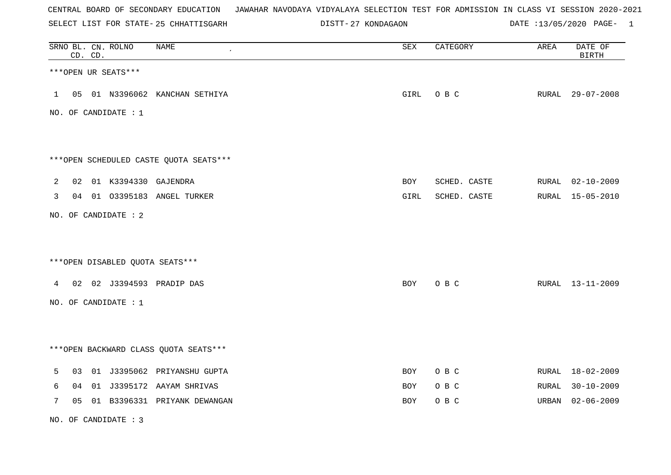SELECT LIST FOR STATE- DISTT- 25 CHHATTISGARH

27 KONDAGAON DATE :13/05/2020 PAGE- 1

| SRNO BL. CN. ROLNO | CD. CD. |                      | <b>NAME</b>                            | ${\tt SEX}$ | CATEGORY     | AREA  | DATE OF<br>BIRTH |
|--------------------|---------|----------------------|----------------------------------------|-------------|--------------|-------|------------------|
|                    |         | ***OPEN UR SEATS***  |                                        |             |              |       |                  |
| $\mathbf{1}$       |         |                      | 05 01 N3396062 KANCHAN SETHIYA         | GIRL        | O B C        |       | RURAL 29-07-2008 |
|                    |         | NO. OF CANDIDATE : 1 |                                        |             |              |       |                  |
|                    |         |                      |                                        |             |              |       |                  |
|                    |         |                      | ***OPEN SCHEDULED CASTE QUOTA SEATS*** |             |              |       |                  |
| $\overline{2}$     |         |                      | 02 01 K3394330 GAJENDRA                | BOY         | SCHED. CASTE |       | RURAL 02-10-2009 |
| 3                  |         |                      | 04 01 03395183 ANGEL TURKER            | GIRL        | SCHED. CASTE |       | RURAL 15-05-2010 |
|                    |         | NO. OF CANDIDATE : 2 |                                        |             |              |       |                  |
|                    |         |                      |                                        |             |              |       |                  |
|                    |         |                      | ***OPEN DISABLED QUOTA SEATS***        |             |              |       |                  |
| 4                  |         |                      | 02 02 J3394593 PRADIP DAS              | BOY         | O B C        |       | RURAL 13-11-2009 |
|                    |         | NO. OF CANDIDATE : 1 |                                        |             |              |       |                  |
|                    |         |                      |                                        |             |              |       |                  |
|                    |         |                      | *** OPEN BACKWARD CLASS QUOTA SEATS*** |             |              |       |                  |
| 5                  | 03      |                      | 01 J3395062 PRIYANSHU GUPTA            | BOY         | O B C        |       | RURAL 18-02-2009 |
| 6                  | 04      |                      | 01 J3395172 AAYAM SHRIVAS              | BOY         | O B C        |       | RURAL 30-10-2009 |
| 7                  | 05      |                      | 01 B3396331 PRIYANK DEWANGAN           | <b>BOY</b>  | O B C        | URBAN | $02 - 06 - 2009$ |

NO. OF CANDIDATE : 3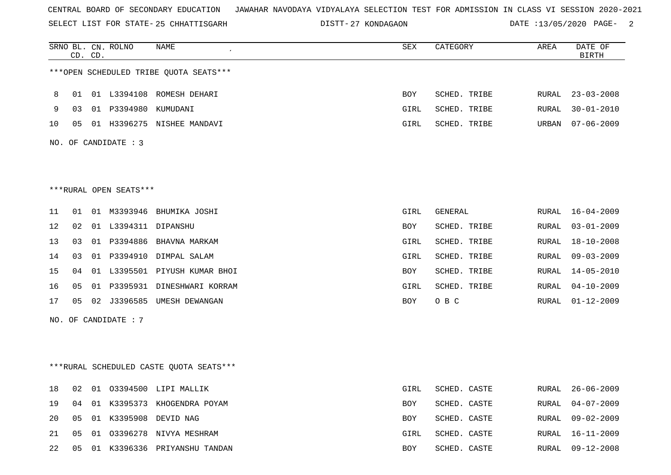SELECT LIST FOR STATE- DISTT- 25 CHHATTISGARH

DISTT-27 KONDAGAON DATE :13/05/2020 PAGE- 2

|    |    | CD. CD. | SRNO BL. CN. ROLNO     | NAME                                    | SEX  | CATEGORY     | AREA  | DATE OF<br><b>BIRTH</b> |
|----|----|---------|------------------------|-----------------------------------------|------|--------------|-------|-------------------------|
|    |    |         |                        | ***OPEN SCHEDULED TRIBE QUOTA SEATS***  |      |              |       |                         |
| 8  | 01 |         |                        | 01 L3394108 ROMESH DEHARI               | BOY  | SCHED. TRIBE | RURAL | $23 - 03 - 2008$        |
| 9  | 03 |         | 01 P3394980 KUMUDANI   |                                         | GIRL | SCHED. TRIBE | RURAL | $30 - 01 - 2010$        |
| 10 | 05 |         |                        | 01 H3396275 NISHEE MANDAVI              | GIRL | SCHED. TRIBE | URBAN | $07 - 06 - 2009$        |
|    |    |         | NO. OF CANDIDATE : 3   |                                         |      |              |       |                         |
|    |    |         |                        |                                         |      |              |       |                         |
|    |    |         | ***RURAL OPEN SEATS*** |                                         |      |              |       |                         |
| 11 | 01 |         |                        | 01 M3393946 BHUMIKA JOSHI               | GIRL | GENERAL      | RURAL | $16 - 04 - 2009$        |
| 12 | 02 |         | 01 L3394311 DIPANSHU   |                                         | BOY  | SCHED. TRIBE | RURAL | $03 - 01 - 2009$        |
| 13 | 03 |         |                        | 01 P3394886 BHAVNA MARKAM               | GIRL | SCHED. TRIBE | RURAL | $18 - 10 - 2008$        |
| 14 | 03 |         | 01 P3394910            | DIMPAL SALAM                            | GIRL | SCHED. TRIBE | RURAL | $09 - 03 - 2009$        |
| 15 | 04 |         |                        | 01 L3395501 PIYUSH KUMAR BHOI           | BOY  | SCHED. TRIBE | RURAL | $14 - 05 - 2010$        |
| 16 | 05 |         | 01 P3395931            | DINESHWARI KORRAM                       | GIRL | SCHED. TRIBE | RURAL | $04 - 10 - 2009$        |
| 17 | 05 |         |                        | 02 J3396585 UMESH DEWANGAN              | BOY  | O B C        | RURAL | $01 - 12 - 2009$        |
|    |    |         | NO. OF CANDIDATE : 7   |                                         |      |              |       |                         |
|    |    |         |                        |                                         |      |              |       |                         |
|    |    |         |                        | ***RURAL SCHEDULED CASTE QUOTA SEATS*** |      |              |       |                         |
| 18 | 02 |         |                        | 01 03394500 LIPI MALLIK                 | GIRL | SCHED. CASTE |       | RURAL 26-06-2009        |
| 19 |    |         |                        | 04 01 K3395373 KHOGENDRA POYAM          | BOY  | SCHED. CASTE |       | RURAL 04-07-2009        |
| 20 | 05 |         |                        | 01 K3395908 DEVID NAG                   | BOY  | SCHED. CASTE | RURAL | 09-02-2009              |
| 21 | 05 |         |                        | 01 03396278 NIVYA MESHRAM               | GIRL | SCHED. CASTE | RURAL | $16 - 11 - 2009$        |
| 22 |    |         |                        | 05 01 K3396336 PRIYANSHU TANDAN         | BOY  | SCHED. CASTE |       | RURAL 09-12-2008        |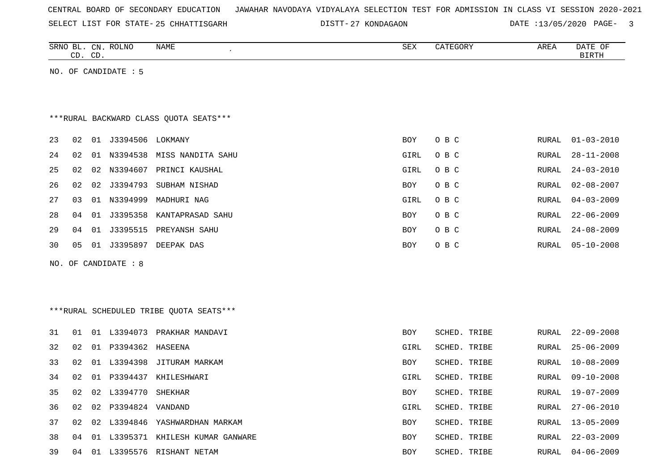|  |  |  |  |  | CENTRAL BOARD OF SECONDARY EDUCATION – JAWAHAR NAVODAYA VIDYALAYA SELECTION TEST FOR ADMISSION IN CLASS VI SESSION 2020-2021 |  |  |  |  |  |  |  |  |  |  |  |  |
|--|--|--|--|--|------------------------------------------------------------------------------------------------------------------------------|--|--|--|--|--|--|--|--|--|--|--|--|
|--|--|--|--|--|------------------------------------------------------------------------------------------------------------------------------|--|--|--|--|--|--|--|--|--|--|--|--|

SELECT LIST FOR STATE- DISTT- 25 CHHATTISGARH

DISTT-27 KONDAGAON DATE :13/05/2020 PAGE- 3

|                                         |    | CD. CD. | SRNO BL. CN. ROLNO   | NAME                                    | SEX        | CATEGORY            | AREA         | DATE OF<br><b>BIRTH</b> |  |  |  |
|-----------------------------------------|----|---------|----------------------|-----------------------------------------|------------|---------------------|--------------|-------------------------|--|--|--|
|                                         |    |         | NO. OF CANDIDATE : 5 |                                         |            |                     |              |                         |  |  |  |
|                                         |    |         |                      |                                         |            |                     |              |                         |  |  |  |
|                                         |    |         |                      |                                         |            |                     |              |                         |  |  |  |
| *** RURAL BACKWARD CLASS QUOTA SEATS*** |    |         |                      |                                         |            |                     |              |                         |  |  |  |
| 23                                      | 02 |         |                      |                                         | BOY        | O B C               | RURAL        | $01 - 03 - 2010$        |  |  |  |
| 24                                      | 02 | 01      | N3394538             | MISS NANDITA SAHU                       | GIRL       | O B C               | RURAL        | $28 - 11 - 2008$        |  |  |  |
| 25                                      | 02 |         | 02 N3394607          | PRINCI KAUSHAL                          | GIRL       | O B C               | RURAL        | $24 - 03 - 2010$        |  |  |  |
| 26                                      | 02 |         |                      | 02 J3394793 SUBHAM NISHAD               | <b>BOY</b> | O B C               | RURAL        | $02 - 08 - 2007$        |  |  |  |
| 27                                      | 03 |         | 01 N3394999          | MADHURI NAG                             | GIRL       | O B C               | <b>RURAL</b> | $04 - 03 - 2009$        |  |  |  |
| 28                                      | 04 |         |                      | 01 J3395358 KANTAPRASAD SAHU            | <b>BOY</b> | O B C               | RURAL        | $22 - 06 - 2009$        |  |  |  |
| 29                                      | 04 | 01      |                      | J3395515 PREYANSH SAHU                  | BOY        | O B C               | RURAL        | $24 - 08 - 2009$        |  |  |  |
| 30                                      | 05 |         |                      | 01 J3395897 DEEPAK DAS                  | <b>BOY</b> | O B C               | RURAL        | $05 - 10 - 2008$        |  |  |  |
|                                         |    |         | NO. OF CANDIDATE : 8 |                                         |            |                     |              |                         |  |  |  |
|                                         |    |         |                      |                                         |            |                     |              |                         |  |  |  |
|                                         |    |         |                      |                                         |            |                     |              |                         |  |  |  |
|                                         |    |         |                      | ***RURAL SCHEDULED TRIBE QUOTA SEATS*** |            |                     |              |                         |  |  |  |
|                                         |    |         |                      |                                         |            |                     |              |                         |  |  |  |
| 31                                      | 01 |         |                      | 01 L3394073 PRAKHAR MANDAVI             | <b>BOY</b> | SCHED. TRIBE        | RURAL        | $22 - 09 - 2008$        |  |  |  |
| 32                                      | 02 |         | 01 P3394362 HASEENA  |                                         | GIRL       | SCHED. TRIBE        | RURAL        | $25 - 06 - 2009$        |  |  |  |
| 33                                      | 02 |         |                      | 01 L3394398 JITURAM MARKAM              | BOY        | SCHED. TRIBE        | RURAL        | $10 - 08 - 2009$        |  |  |  |
| 34                                      | 02 |         |                      | 01 P3394437 KHILESHWARI                 | GIRL       | <b>SCHED. TRIBE</b> | <b>RURAL</b> | $09 - 10 - 2008$        |  |  |  |
| 35                                      | 02 |         | 02 L3394770          | SHEKHAR                                 | <b>BOY</b> | SCHED. TRIBE        | <b>RURAL</b> | $19 - 07 - 2009$        |  |  |  |
| 36                                      | 02 |         | 02 P3394824 VANDAND  |                                         | GIRL       | SCHED. TRIBE        | RURAL        | $27 - 06 - 2010$        |  |  |  |
| 37                                      | 02 |         |                      | 02 L3394846 YASHWARDHAN MARKAM          | BOY        | SCHED. TRIBE        | RURAL        | $13 - 05 - 2009$        |  |  |  |
| 38                                      | 04 | 01      |                      | L3395371 KHILESH KUMAR GANWARE          | <b>BOY</b> | SCHED. TRIBE        | RURAL        | $22 - 03 - 2009$        |  |  |  |
| 39                                      | 04 |         |                      | 01 L3395576 RISHANT NETAM               | <b>BOY</b> | SCHED. TRIBE        | RURAL        | $04 - 06 - 2009$        |  |  |  |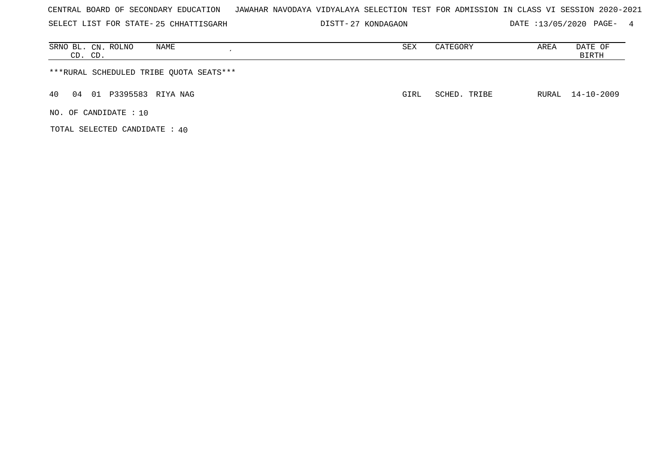SELECT LIST FOR STATE- DISTT- 25 CHHATTISGARH

DISTT-27 KONDAGAON DATE :13/05/2020 PAGE- 4

| NAME<br>SRNO BL. CN. ROLNO<br>CD. CD.   | SEX  | CATEGORY     | AREA | DATE OF<br>BIRTH |
|-----------------------------------------|------|--------------|------|------------------|
| ***RURAL SCHEDULED TRIBE QUOTA SEATS*** |      |              |      |                  |
| 01 P3395583 RIYA NAG<br>40<br>04        | GIRL | SCHED. TRIBE |      | RURAL 14-10-2009 |
| NO. OF CANDIDATE: 10                    |      |              |      |                  |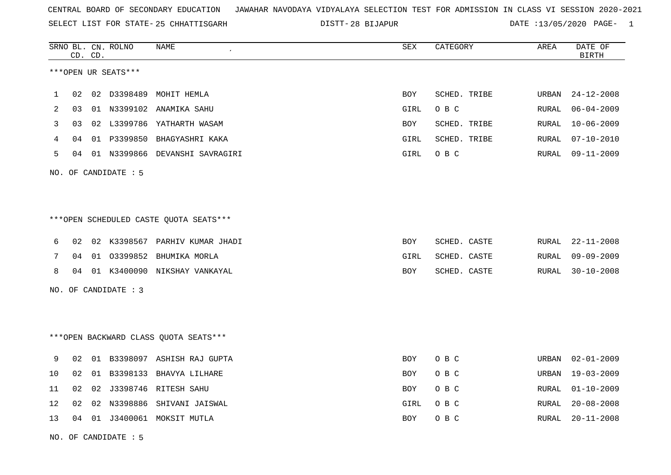SELECT LIST FOR STATE- DISTT- 25 CHHATTISGARH

28 BIJAPUR DATE :13/05/2020 PAGE- 1

|                                        |    | CD. CD. | SRNO BL. CN. ROLNO     | <b>NAME</b>                            | <b>SEX</b> | CATEGORY     | AREA         | DATE OF<br><b>BIRTH</b> |
|----------------------------------------|----|---------|------------------------|----------------------------------------|------------|--------------|--------------|-------------------------|
|                                        |    |         | ***OPEN UR SEATS***    |                                        |            |              |              |                         |
| 1                                      | 02 |         | 02 D3398489            | MOHIT HEMLA                            | <b>BOY</b> | SCHED. TRIBE | <b>URBAN</b> | $24 - 12 - 2008$        |
| 2                                      | 03 |         |                        | 01 N3399102 ANAMIKA SAHU               | GIRL       | O B C        | RURAL        | $06 - 04 - 2009$        |
| 3                                      | 03 |         |                        | 02 L3399786 YATHARTH WASAM             | BOY        | SCHED. TRIBE | <b>RURAL</b> | $10 - 06 - 2009$        |
| 4                                      | 04 |         |                        | 01 P3399850 BHAGYASHRI KAKA            | GIRL       | SCHED. TRIBE | RURAL        | $07 - 10 - 2010$        |
| 5                                      | 04 |         |                        | 01 N3399866 DEVANSHI SAVRAGIRI         | GIRL       | O B C        | RURAL        | 09-11-2009              |
|                                        |    |         | NO. OF CANDIDATE : $5$ |                                        |            |              |              |                         |
|                                        |    |         |                        |                                        |            |              |              |                         |
| ***OPEN SCHEDULED CASTE QUOTA SEATS*** |    |         |                        |                                        |            |              |              |                         |
| 6                                      | 02 |         |                        | 02 K3398567 PARHIV KUMAR JHADI         | BOY        | SCHED. CASTE | RURAL        | $22 - 11 - 2008$        |
| 7                                      | 04 |         | 01 03399852            | BHUMIKA MORLA                          | GIRL       | SCHED. CASTE | RURAL        | $09 - 09 - 2009$        |
| 8                                      | 04 |         |                        | 01 K3400090 NIKSHAY VANKAYAL           | BOY        | SCHED. CASTE | RURAL        | $30 - 10 - 2008$        |
|                                        |    |         | NO. OF CANDIDATE : 3   |                                        |            |              |              |                         |
|                                        |    |         |                        |                                        |            |              |              |                         |
|                                        |    |         |                        | *** OPEN BACKWARD CLASS QUOTA SEATS*** |            |              |              |                         |
| 9                                      | 02 |         |                        | 01 B3398097 ASHISH RAJ GUPTA           | BOY        | O B C        | URBAN        | $02 - 01 - 2009$        |
| 10                                     | 02 |         |                        | 01 B3398133 BHAVYA LILHARE             | BOY        | O B C        | <b>URBAN</b> | $19 - 03 - 2009$        |
| 11                                     | 02 | 02      |                        | J3398746 RITESH SAHU                   | BOY        | O B C        | RURAL        | $01 - 10 - 2009$        |
| 12                                     | 02 | 02      | N3398886               | SHIVANI JAISWAL                        | GIRL       | O B C        | RURAL        | $20 - 08 - 2008$        |
| 13                                     | 04 |         |                        | 01 J3400061 MOKSIT MUTLA               | BOY        | O B C        | RURAL        | $20 - 11 - 2008$        |
|                                        |    |         |                        |                                        |            |              |              |                         |

NO. OF CANDIDATE : 5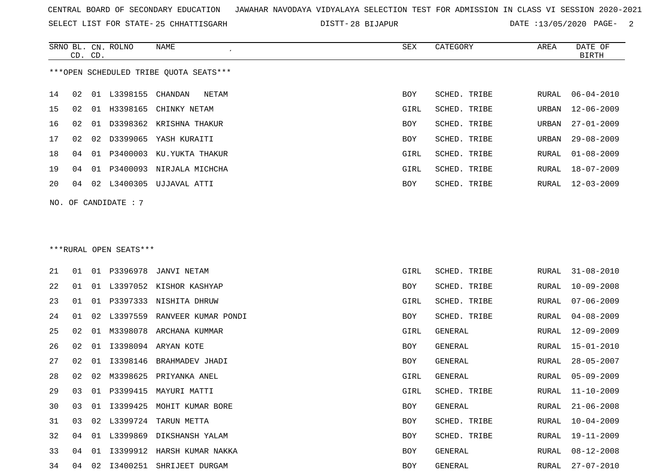SELECT LIST FOR STATE- DISTT- 25 CHHATTISGARH

28 BIJAPUR DATE :13/05/2020 PAGE- 2

|    | CD. CD. |    | SRNO BL. CN. ROLNO     | NAME                                   | SEX  | CATEGORY       | AREA         | DATE OF<br>BIRTH |
|----|---------|----|------------------------|----------------------------------------|------|----------------|--------------|------------------|
|    |         |    |                        | ***OPEN SCHEDULED TRIBE QUOTA SEATS*** |      |                |              |                  |
| 14 | 02      |    | 01 L3398155            | CHANDAN<br>NETAM                       | BOY  | SCHED. TRIBE   | RURAL        | $06 - 04 - 2010$ |
| 15 | 02      | 01 | H3398165               | CHINKY NETAM                           | GIRL | SCHED. TRIBE   | URBAN        | $12 - 06 - 2009$ |
| 16 | 02      | 01 |                        | D3398362 KRISHNA THAKUR                | BOY  | SCHED. TRIBE   | URBAN        | $27 - 01 - 2009$ |
| 17 | 02      | 02 | D3399065               | YASH KURAITI                           | BOY  | SCHED. TRIBE   | URBAN        | $29 - 08 - 2009$ |
| 18 | 04      | 01 | P3400003               | KU.YUKTA THAKUR                        | GIRL | SCHED. TRIBE   | RURAL        | $01 - 08 - 2009$ |
| 19 | 04      | 01 | P3400093               | NIRJALA MICHCHA                        | GIRL | SCHED. TRIBE   | RURAL        | $18 - 07 - 2009$ |
|    |         |    |                        |                                        |      |                |              |                  |
| 20 | 04      | 02 |                        | L3400305 UJJAVAL ATTI                  | BOY  | SCHED. TRIBE   | RURAL        | $12 - 03 - 2009$ |
|    |         |    | NO. OF CANDIDATE : 7   |                                        |      |                |              |                  |
|    |         |    |                        |                                        |      |                |              |                  |
|    |         |    |                        |                                        |      |                |              |                  |
|    |         |    | ***RURAL OPEN SEATS*** |                                        |      |                |              |                  |
| 21 | 01      |    | 01 P3396978            | JANVI NETAM                            | GIRL | SCHED. TRIBE   | RURAL        | $31 - 08 - 2010$ |
| 22 | 01      |    |                        | 01 L3397052 KISHOR KASHYAP             | BOY  | SCHED. TRIBE   | RURAL        | $10 - 09 - 2008$ |
| 23 | 01      | 01 | P3397333               | NISHITA DHRUW                          | GIRL | SCHED. TRIBE   | RURAL        | $07 - 06 - 2009$ |
| 24 | 01      | 02 | L3397559               | RANVEER KUMAR PONDI                    | BOY  | SCHED. TRIBE   | RURAL        | $04 - 08 - 2009$ |
| 25 | 02      | 01 | M3398078               | ARCHANA KUMMAR                         | GIRL | <b>GENERAL</b> | RURAL        | $12 - 09 - 2009$ |
| 26 | 02      | 01 | I3398094               | ARYAN KOTE                             | BOY  | GENERAL        | <b>RURAL</b> | $15 - 01 - 2010$ |
| 27 | 02      | 01 |                        | I3398146 BRAHMADEV JHADI               | BOY  | <b>GENERAL</b> | RURAL        | $28 - 05 - 2007$ |
| 28 | 02      | 02 | M3398625               | PRIYANKA ANEL                          | GIRL | <b>GENERAL</b> | RURAL        | $05 - 09 - 2009$ |
| 29 | 03      |    |                        | 01 P3399415 MAYURI MATTI               | GIRL | SCHED. TRIBE   | RURAL        | $11 - 10 - 2009$ |
| 30 | 03      |    |                        | 01 I3399425 MOHIT KUMAR BORE           | BOY  | GENERAL        | RURAL        | $21 - 06 - 2008$ |
| 31 | 03      |    |                        | 02 L3399724 TARUN METTA                | BOY  | SCHED. TRIBE   | RURAL        | $10 - 04 - 2009$ |
| 32 | 04      | 01 |                        | L3399869 DIKSHANSH YALAM               | BOY  | SCHED. TRIBE   | RURAL        | 19-11-2009       |
| 33 | 04      | 01 |                        | 13399912 HARSH KUMAR NAKKA             | BOY  | GENERAL        | RURAL        | $08 - 12 - 2008$ |
| 34 | 04      |    |                        | 02 I3400251 SHRIJEET DURGAM            | BOY  | GENERAL        | RURAL        | $27 - 07 - 2010$ |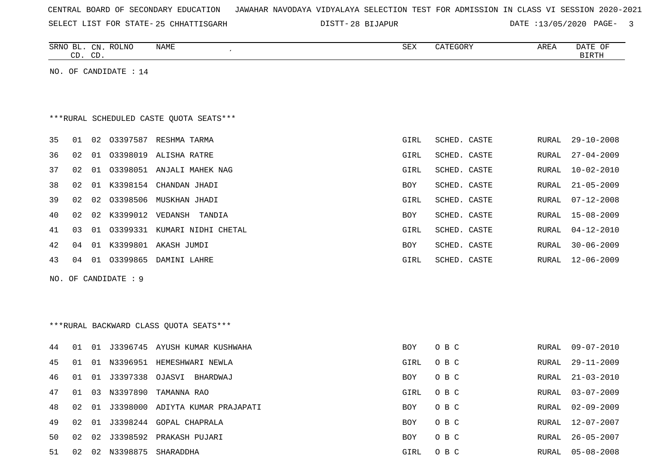| CENTRAL BOARD OF SECONDARY EDUCATION – JAWAHAR NAVODAYA VIDYALAYA SELECTION TEST FOR ADMISSION IN CLASS VI SESSION 2020-2021 |  |  |  |
|------------------------------------------------------------------------------------------------------------------------------|--|--|--|
|------------------------------------------------------------------------------------------------------------------------------|--|--|--|

SELECT LIST FOR STATE- DISTT- 25 CHHATTISGARH 28 BIJAPUR DATE :13/05/2020 PAGE- 3

|     |                                         | CD. CD. | SRNO BL. CN. ROLNO    | NAME<br>$\epsilon$                      | <b>SEX</b> | CATEGORY     | AREA  | DATE OF<br><b>BIRTH</b> |  |  |  |
|-----|-----------------------------------------|---------|-----------------------|-----------------------------------------|------------|--------------|-------|-------------------------|--|--|--|
|     |                                         |         | NO. OF CANDIDATE : 14 |                                         |            |              |       |                         |  |  |  |
|     |                                         |         |                       |                                         |            |              |       |                         |  |  |  |
|     |                                         |         |                       |                                         |            |              |       |                         |  |  |  |
|     | ***RURAL SCHEDULED CASTE QUOTA SEATS*** |         |                       |                                         |            |              |       |                         |  |  |  |
| 35  | 01                                      |         |                       | 02 03397587 RESHMA TARMA                | GIRL       | SCHED. CASTE | RURAL | $29 - 10 - 2008$        |  |  |  |
| 36  | 02                                      |         |                       | 01 03398019 ALISHA RATRE                | GIRL       | SCHED. CASTE | RURAL | $27 - 04 - 2009$        |  |  |  |
| 37  | 02                                      | 01      |                       | 03398051 ANJALI MAHEK NAG               | GIRL       | SCHED. CASTE | RURAL | $10 - 02 - 2010$        |  |  |  |
| 38  | 02                                      |         |                       | 01 K3398154 CHANDAN JHADI               | BOY        | SCHED. CASTE | RURAL | $21 - 05 - 2009$        |  |  |  |
| 39  | 02                                      | 02      | 03398506              | MUSKHAN JHADI                           | GIRL       | SCHED. CASTE | RURAL | $07 - 12 - 2008$        |  |  |  |
| 40  | 02                                      |         | 02 K3399012 VEDANSH   | TANDIA                                  | BOY        | SCHED. CASTE | RURAL | $15 - 08 - 2009$        |  |  |  |
| 41  | 03                                      |         |                       | 01 03399331 KUMARI NIDHI CHETAL         | GIRL       | SCHED. CASTE | RURAL | $04 - 12 - 2010$        |  |  |  |
| 42  | 04                                      | 01      |                       | K3399801 AKASH JUMDI                    | BOY        | SCHED. CASTE | RURAL | $30 - 06 - 2009$        |  |  |  |
| 43  | 04                                      |         |                       | 01 03399865 DAMINI LAHRE                | GIRL       | SCHED. CASTE | RURAL | $12 - 06 - 2009$        |  |  |  |
| NO. |                                         |         | OF CANDIDATE : 9      |                                         |            |              |       |                         |  |  |  |
|     |                                         |         |                       |                                         |            |              |       |                         |  |  |  |
|     |                                         |         |                       |                                         |            |              |       |                         |  |  |  |
|     |                                         |         |                       | *** RURAL BACKWARD CLASS QUOTA SEATS*** |            |              |       |                         |  |  |  |
| 44  | 01                                      |         |                       | 01 J3396745 AYUSH KUMAR KUSHWAHA        | BOY        | O B C        | RURAL | $09 - 07 - 2010$        |  |  |  |
| 45  | 01                                      |         | 01 N3396951           | HEMESHWARI NEWLA                        | GIRL       | O B C        | RURAL | $29 - 11 - 2009$        |  |  |  |
| 46  | 01                                      | 01      | J3397338              | OJASVI BHARDWAJ                         | BOY        | O B C        | RURAL | $21 - 03 - 2010$        |  |  |  |
| 47  | 01                                      | 03      | N3397890              | TAMANNA RAO                             | GIRL       | O B C        | RURAL | $03 - 07 - 2009$        |  |  |  |
| 48  | 02                                      | 01      | J3398000              | ADIYTA KUMAR PRAJAPATI                  | <b>BOY</b> | O B C        | RURAL | $02 - 09 - 2009$        |  |  |  |
| 49  | 02                                      | 01      |                       | J3398244 GOPAL CHAPRALA                 | BOY        | O B C        | RURAL | $12 - 07 - 2007$        |  |  |  |

50 02 02 J3398592 PRAKASH PUJARI BOY O B C RURAL 26-05-2007 51 02 02 N3398875 SHARADDHA GIRL O B C RURAL 05-08-2008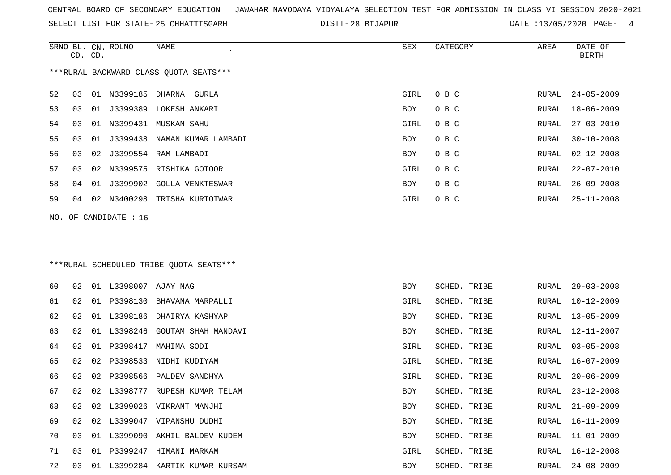SELECT LIST FOR STATE- DISTT- 25 CHHATTISGARH

28 BIJAPUR DATE :13/05/2020 PAGE- 4

|                                                                    | CD. CD. |  | SRNO BL. CN. ROLNO   | <b>NAME</b>                            | <b>SEX</b> | CATEGORY     | AREA  | DATE OF<br><b>BIRTH</b> |
|--------------------------------------------------------------------|---------|--|----------------------|----------------------------------------|------------|--------------|-------|-------------------------|
|                                                                    |         |  |                      | ***RURAL BACKWARD CLASS OUOTA SEATS*** |            |              |       |                         |
| 52                                                                 | 03      |  |                      | 01 N3399185 DHARNA GURLA               | GIRL       | O B C        | RURAL | $24 - 05 - 2009$        |
| 53                                                                 | 03      |  |                      | 01 J3399389 LOKESH ANKARI              | <b>BOY</b> | O B C        | RURAL | $18 - 06 - 2009$        |
| 54                                                                 | 03      |  |                      | 01 N3399431 MUSKAN SAHU                | GIRL       | O B C        | RURAL | $27 - 03 - 2010$        |
| 55                                                                 | 03      |  |                      | 01 J3399438 NAMAN KUMAR LAMBADI        | BOY        | O B C        | RURAL | $30 - 10 - 2008$        |
| 56                                                                 | 03      |  |                      | 02 J3399554 RAM LAMBADI                | BOY        | O B C        | RURAL | $02 - 12 - 2008$        |
| 57                                                                 | 03      |  |                      | 02 N3399575 RISHIKA GOTOOR             | GIRL       | O B C        | RURAL | $22 - 07 - 2010$        |
| 58                                                                 | 04      |  |                      | 01 J3399902 GOLLA VENKTESWAR           | BOY        | O B C        | RURAL | $26 - 09 - 2008$        |
| 59                                                                 | 04      |  |                      | 02 N3400298 TRISHA KURTOTWAR           | GIRL       | O B C        | RURAL | $25 - 11 - 2008$        |
| NO. OF CANDIDATE : $16$<br>***RURAL SCHEDULED TRIBE QUOTA SEATS*** |         |  |                      |                                        |            |              |       |                         |
| 60                                                                 | 02      |  | 01 L3398007 AJAY NAG |                                        | <b>BOY</b> | SCHED. TRIBE | RURAL | $29 - 03 - 2008$        |
| 61                                                                 | 02      |  |                      | 01 P3398130 BHAVANA MARPALLI           | GIRL       | SCHED. TRIBE | RURAL | $10 - 12 - 2009$        |
| 62                                                                 | 02      |  |                      | 01 L3398186 DHAIRYA KASHYAP            | BOY        | SCHED. TRIBE | RURAL | $13 - 05 - 2009$        |
| 63                                                                 | 02      |  |                      | 01 L3398246 GOUTAM SHAH MANDAVI        | BOY        | SCHED. TRIBE | RURAL | $12 - 11 - 2007$        |
| 64                                                                 | 02      |  |                      | 01 P3398417 MAHIMA SODI                | GIRL       | SCHED. TRIBE | RURAL | $03 - 05 - 2008$        |
| 65                                                                 | 02      |  |                      | 02 P3398533 NIDHI KUDIYAM              | GIRL       | SCHED. TRIBE | RURAL | $16 - 07 - 2009$        |
| 66                                                                 | 02      |  |                      | 02 P3398566 PALDEV SANDHYA             | GIRL       | SCHED. TRIBE | RURAL | $20 - 06 - 2009$        |
| 67                                                                 | 02      |  |                      | 02 L3398777 RUPESH KUMAR TELAM         | BOY        | SCHED. TRIBE | RURAL | $23 - 12 - 2008$        |
| 68                                                                 | 02      |  |                      | 02 L3399026 VIKRANT MANJHI             | BOY        | SCHED. TRIBE | RURAL | $21 - 09 - 2009$        |
| 69                                                                 | 02      |  |                      | 02 L3399047 VIPANSHU DUDHI             | <b>BOY</b> | SCHED. TRIBE | RURAL | $16 - 11 - 2009$        |
| 70                                                                 | 03      |  |                      | 01 L3399090 AKHIL BALDEV KUDEM         | <b>BOY</b> | SCHED. TRIBE | RURAL | $11 - 01 - 2009$        |

 03 01 P3399247 HIMANI MARKAM GIRL SCHED. TRIBE RURAL 16-12-2008 03 01 L3399284 KARTIK KUMAR KURSAM BOY SCHED. TRIBE RURAL 24-08-2009